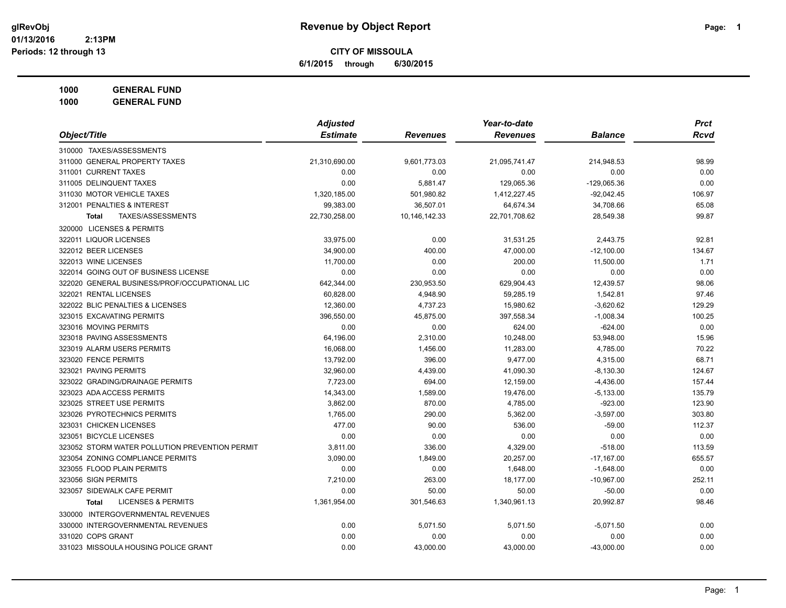**6/1/2015 through 6/30/2015**

**1000 GENERAL FUND**

|                                                | <b>Adjusted</b> |                 | Year-to-date    |                | <b>Prct</b> |
|------------------------------------------------|-----------------|-----------------|-----------------|----------------|-------------|
| Object/Title                                   | <b>Estimate</b> | <b>Revenues</b> | <b>Revenues</b> | <b>Balance</b> | <b>Rcvd</b> |
| 310000 TAXES/ASSESSMENTS                       |                 |                 |                 |                |             |
| 311000 GENERAL PROPERTY TAXES                  | 21,310,690.00   | 9,601,773.03    | 21,095,741.47   | 214,948.53     | 98.99       |
| 311001 CURRENT TAXES                           | 0.00            | 0.00            | 0.00            | 0.00           | 0.00        |
| 311005 DELINQUENT TAXES                        | 0.00            | 5,881.47        | 129,065.36      | $-129,065.36$  | 0.00        |
| 311030 MOTOR VEHICLE TAXES                     | 1,320,185.00    | 501,980.82      | 1,412,227.45    | $-92,042.45$   | 106.97      |
| 312001 PENALTIES & INTEREST                    | 99,383.00       | 36,507.01       | 64,674.34       | 34,708.66      | 65.08       |
| TAXES/ASSESSMENTS<br><b>Total</b>              | 22,730,258.00   | 10,146,142.33   | 22,701,708.62   | 28,549.38      | 99.87       |
| 320000 LICENSES & PERMITS                      |                 |                 |                 |                |             |
| 322011 LIQUOR LICENSES                         | 33,975.00       | 0.00            | 31,531.25       | 2,443.75       | 92.81       |
| 322012 BEER LICENSES                           | 34,900.00       | 400.00          | 47,000.00       | $-12,100.00$   | 134.67      |
| 322013 WINE LICENSES                           | 11,700.00       | 0.00            | 200.00          | 11,500.00      | 1.71        |
| 322014 GOING OUT OF BUSINESS LICENSE           | 0.00            | 0.00            | 0.00            | 0.00           | 0.00        |
| 322020 GENERAL BUSINESS/PROF/OCCUPATIONAL LIC  | 642,344.00      | 230,953.50      | 629,904.43      | 12,439.57      | 98.06       |
| 322021 RENTAL LICENSES                         | 60,828.00       | 4,948.90        | 59,285.19       | 1,542.81       | 97.46       |
| 322022 BLIC PENALTIES & LICENSES               | 12,360.00       | 4,737.23        | 15,980.62       | $-3,620.62$    | 129.29      |
| 323015 EXCAVATING PERMITS                      | 396,550.00      | 45,875.00       | 397,558.34      | $-1,008.34$    | 100.25      |
| 323016 MOVING PERMITS                          | 0.00            | 0.00            | 624.00          | $-624.00$      | 0.00        |
| 323018 PAVING ASSESSMENTS                      | 64,196.00       | 2,310.00        | 10,248.00       | 53,948.00      | 15.96       |
| 323019 ALARM USERS PERMITS                     | 16,068.00       | 1,456.00        | 11,283.00       | 4,785.00       | 70.22       |
| 323020 FENCE PERMITS                           | 13,792.00       | 396.00          | 9,477.00        | 4,315.00       | 68.71       |
| 323021 PAVING PERMITS                          | 32,960.00       | 4,439.00        | 41,090.30       | $-8,130.30$    | 124.67      |
| 323022 GRADING/DRAINAGE PERMITS                | 7,723.00        | 694.00          | 12,159.00       | $-4,436.00$    | 157.44      |
| 323023 ADA ACCESS PERMITS                      | 14,343.00       | 1,589.00        | 19,476.00       | $-5,133.00$    | 135.79      |
| 323025 STREET USE PERMITS                      | 3,862.00        | 870.00          | 4,785.00        | $-923.00$      | 123.90      |
| 323026 PYROTECHNICS PERMITS                    | 1,765.00        | 290.00          | 5,362.00        | $-3,597.00$    | 303.80      |
| 323031 CHICKEN LICENSES                        | 477.00          | 90.00           | 536.00          | $-59.00$       | 112.37      |
| 323051 BICYCLE LICENSES                        | 0.00            | 0.00            | 0.00            | 0.00           | 0.00        |
| 323052 STORM WATER POLLUTION PREVENTION PERMIT | 3,811.00        | 336.00          | 4,329.00        | $-518.00$      | 113.59      |
| 323054 ZONING COMPLIANCE PERMITS               | 3,090.00        | 1,849.00        | 20,257.00       | $-17,167.00$   | 655.57      |
| 323055 FLOOD PLAIN PERMITS                     | 0.00            | 0.00            | 1,648.00        | $-1,648.00$    | 0.00        |
| 323056 SIGN PERMITS                            | 7,210.00        | 263.00          | 18,177.00       | $-10,967.00$   | 252.11      |
| 323057 SIDEWALK CAFE PERMIT                    | 0.00            | 50.00           | 50.00           | $-50.00$       | 0.00        |
| <b>LICENSES &amp; PERMITS</b><br>Total         | 1,361,954.00    | 301,546.63      | 1,340,961.13    | 20,992.87      | 98.46       |
| 330000 INTERGOVERNMENTAL REVENUES              |                 |                 |                 |                |             |
| 330000 INTERGOVERNMENTAL REVENUES              | 0.00            | 5,071.50        | 5,071.50        | $-5,071.50$    | 0.00        |
| 331020 COPS GRANT                              | 0.00            | 0.00            | 0.00            | 0.00           | 0.00        |
| 331023 MISSOULA HOUSING POLICE GRANT           | 0.00            | 43,000.00       | 43,000.00       | $-43,000.00$   | 0.00        |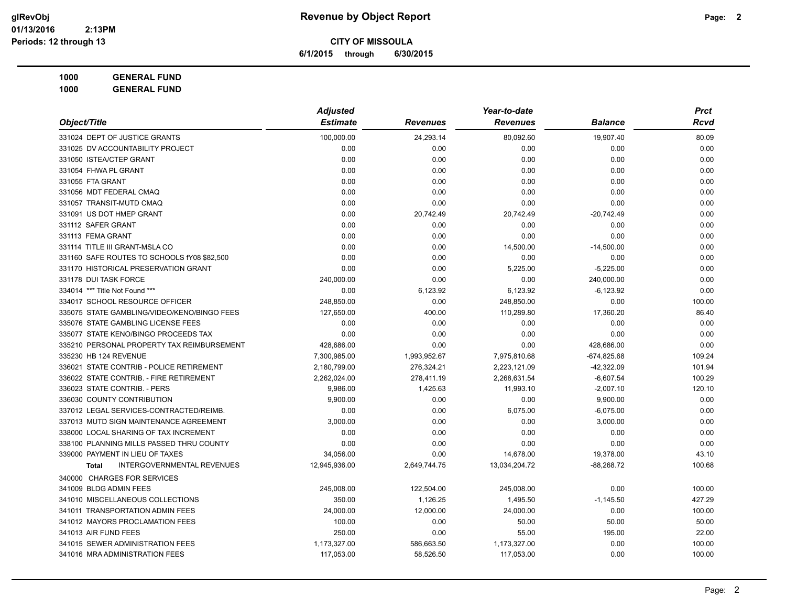**6/1/2015 through 6/30/2015**

|                                                   | <b>Adjusted</b> |                 | Year-to-date    |                | <b>Prct</b> |
|---------------------------------------------------|-----------------|-----------------|-----------------|----------------|-------------|
| Object/Title                                      | <b>Estimate</b> | <b>Revenues</b> | <b>Revenues</b> | <b>Balance</b> | Rcvd        |
| 331024 DEPT OF JUSTICE GRANTS                     | 100,000.00      | 24,293.14       | 80,092.60       | 19,907.40      | 80.09       |
| 331025 DV ACCOUNTABILITY PROJECT                  | 0.00            | 0.00            | 0.00            | 0.00           | 0.00        |
| 331050 ISTEA/CTEP GRANT                           | 0.00            | 0.00            | 0.00            | 0.00           | 0.00        |
| 331054 FHWA PL GRANT                              | 0.00            | 0.00            | 0.00            | 0.00           | 0.00        |
| 331055 FTA GRANT                                  | 0.00            | 0.00            | 0.00            | 0.00           | 0.00        |
| 331056 MDT FEDERAL CMAQ                           | 0.00            | 0.00            | 0.00            | 0.00           | 0.00        |
| 331057 TRANSIT-MUTD CMAQ                          | 0.00            | 0.00            | 0.00            | 0.00           | 0.00        |
| 331091 US DOT HMEP GRANT                          | 0.00            | 20,742.49       | 20,742.49       | $-20,742.49$   | 0.00        |
| 331112 SAFER GRANT                                | 0.00            | 0.00            | 0.00            | 0.00           | 0.00        |
| 331113 FEMA GRANT                                 | 0.00            | 0.00            | 0.00            | 0.00           | 0.00        |
| 331114 TITLE III GRANT-MSLA CO                    | 0.00            | 0.00            | 14,500.00       | $-14,500.00$   | 0.00        |
| 331160 SAFE ROUTES TO SCHOOLS fY08 \$82,500       | 0.00            | 0.00            | 0.00            | 0.00           | 0.00        |
| 331170 HISTORICAL PRESERVATION GRANT              | 0.00            | 0.00            | 5,225.00        | $-5,225.00$    | 0.00        |
| 331178 DUI TASK FORCE                             | 240,000.00      | 0.00            | 0.00            | 240,000.00     | 0.00        |
| 334014 *** Title Not Found ***                    | 0.00            | 6,123.92        | 6,123.92        | $-6,123.92$    | 0.00        |
| 334017 SCHOOL RESOURCE OFFICER                    | 248,850.00      | 0.00            | 248,850.00      | 0.00           | 100.00      |
| 335075 STATE GAMBLING/VIDEO/KENO/BINGO FEES       | 127,650.00      | 400.00          | 110,289.80      | 17,360.20      | 86.40       |
| 335076 STATE GAMBLING LICENSE FEES                | 0.00            | 0.00            | 0.00            | 0.00           | 0.00        |
| 335077 STATE KENO/BINGO PROCEEDS TAX              | 0.00            | 0.00            | 0.00            | 0.00           | 0.00        |
| 335210 PERSONAL PROPERTY TAX REIMBURSEMENT        | 428,686.00      | 0.00            | 0.00            | 428,686.00     | 0.00        |
| 335230 HB 124 REVENUE                             | 7,300,985.00    | 1,993,952.67    | 7,975,810.68    | $-674,825.68$  | 109.24      |
| 336021 STATE CONTRIB - POLICE RETIREMENT          | 2,180,799.00    | 276,324.21      | 2,223,121.09    | $-42,322.09$   | 101.94      |
| 336022 STATE CONTRIB. - FIRE RETIREMENT           | 2,262,024.00    | 278,411.19      | 2,268,631.54    | $-6,607.54$    | 100.29      |
| 336023 STATE CONTRIB. - PERS                      | 9,986.00        | 1,425.63        | 11,993.10       | $-2,007.10$    | 120.10      |
| 336030 COUNTY CONTRIBUTION                        | 9,900.00        | 0.00            | 0.00            | 9,900.00       | 0.00        |
| 337012 LEGAL SERVICES-CONTRACTED/REIMB.           | 0.00            | 0.00            | 6,075.00        | $-6,075.00$    | 0.00        |
| 337013 MUTD SIGN MAINTENANCE AGREEMENT            | 3,000.00        | 0.00            | 0.00            | 3,000.00       | 0.00        |
| 338000 LOCAL SHARING OF TAX INCREMENT             | 0.00            | 0.00            | 0.00            | 0.00           | 0.00        |
| 338100 PLANNING MILLS PASSED THRU COUNTY          | 0.00            | 0.00            | 0.00            | 0.00           | 0.00        |
| 339000 PAYMENT IN LIEU OF TAXES                   | 34,056.00       | 0.00            | 14,678.00       | 19,378.00      | 43.10       |
| <b>INTERGOVERNMENTAL REVENUES</b><br><b>Total</b> | 12,945,936.00   | 2,649,744.75    | 13,034,204.72   | $-88,268.72$   | 100.68      |
| 340000 CHARGES FOR SERVICES                       |                 |                 |                 |                |             |
| 341009 BLDG ADMIN FEES                            | 245,008.00      | 122,504.00      | 245,008.00      | 0.00           | 100.00      |
| 341010 MISCELLANEOUS COLLECTIONS                  | 350.00          | 1,126.25        | 1,495.50        | $-1,145.50$    | 427.29      |
| 341011 TRANSPORTATION ADMIN FEES                  | 24,000.00       | 12,000.00       | 24,000.00       | 0.00           | 100.00      |
| 341012 MAYORS PROCLAMATION FEES                   | 100.00          | 0.00            | 50.00           | 50.00          | 50.00       |
| 341013 AIR FUND FEES                              | 250.00          | 0.00            | 55.00           | 195.00         | 22.00       |
| 341015 SEWER ADMINISTRATION FEES                  | 1,173,327.00    | 586,663.50      | 1,173,327.00    | 0.00           | 100.00      |
| 341016 MRA ADMINISTRATION FEES                    | 117,053.00      | 58,526.50       | 117,053.00      | 0.00           | 100.00      |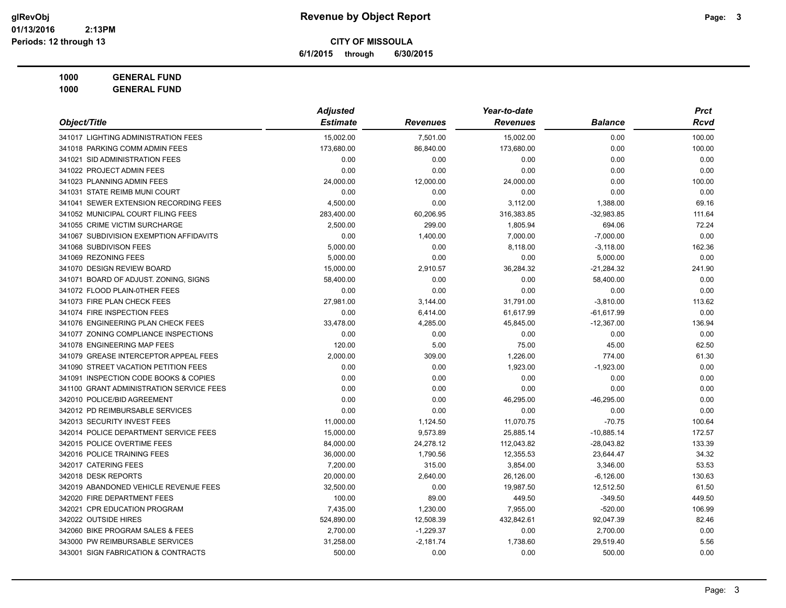**6/1/2015 through 6/30/2015**

| 1000 | <b>GENERAL FUND</b> |
|------|---------------------|
|      |                     |

|                                          | <b>Adjusted</b> |                 | Year-to-date    |                | Prct   |
|------------------------------------------|-----------------|-----------------|-----------------|----------------|--------|
| Object/Title                             | <b>Estimate</b> | <b>Revenues</b> | <b>Revenues</b> | <b>Balance</b> | Rcvd   |
| 341017 LIGHTING ADMINISTRATION FEES      | 15,002.00       | 7,501.00        | 15,002.00       | 0.00           | 100.00 |
| 341018 PARKING COMM ADMIN FEES           | 173,680.00      | 86,840.00       | 173,680.00      | 0.00           | 100.00 |
| 341021 SID ADMINISTRATION FEES           | 0.00            | 0.00            | 0.00            | 0.00           | 0.00   |
| 341022 PROJECT ADMIN FEES                | 0.00            | 0.00            | 0.00            | 0.00           | 0.00   |
| 341023 PLANNING ADMIN FEES               | 24,000.00       | 12,000.00       | 24,000.00       | 0.00           | 100.00 |
| 341031 STATE REIMB MUNI COURT            | 0.00            | 0.00            | 0.00            | 0.00           | 0.00   |
| 341041 SEWER EXTENSION RECORDING FEES    | 4,500.00        | 0.00            | 3,112.00        | 1,388.00       | 69.16  |
| 341052 MUNICIPAL COURT FILING FEES       | 283,400.00      | 60,206.95       | 316,383.85      | $-32,983.85$   | 111.64 |
| 341055 CRIME VICTIM SURCHARGE            | 2,500.00        | 299.00          | 1,805.94        | 694.06         | 72.24  |
| 341067 SUBDIVISION EXEMPTION AFFIDAVITS  | 0.00            | 1,400.00        | 7,000.00        | $-7,000.00$    | 0.00   |
| 341068 SUBDIVISON FEES                   | 5.000.00        | 0.00            | 8,118.00        | $-3,118.00$    | 162.36 |
| 341069 REZONING FEES                     | 5,000.00        | 0.00            | 0.00            | 5,000.00       | 0.00   |
| 341070 DESIGN REVIEW BOARD               | 15,000.00       | 2,910.57        | 36,284.32       | $-21,284.32$   | 241.90 |
| 341071 BOARD OF ADJUST. ZONING, SIGNS    | 58,400.00       | 0.00            | 0.00            | 58,400.00      | 0.00   |
| 341072 FLOOD PLAIN-0THER FEES            | 0.00            | 0.00            | 0.00            | 0.00           | 0.00   |
| 341073 FIRE PLAN CHECK FEES              | 27,981.00       | 3,144.00        | 31,791.00       | $-3,810.00$    | 113.62 |
| 341074 FIRE INSPECTION FEES              | 0.00            | 6,414.00        | 61,617.99       | $-61,617.99$   | 0.00   |
| 341076 ENGINEERING PLAN CHECK FEES       | 33,478.00       | 4,285.00        | 45,845.00       | $-12,367.00$   | 136.94 |
| 341077 ZONING COMPLIANCE INSPECTIONS     | 0.00            | 0.00            | 0.00            | 0.00           | 0.00   |
| 341078 ENGINEERING MAP FEES              | 120.00          | 5.00            | 75.00           | 45.00          | 62.50  |
| 341079 GREASE INTERCEPTOR APPEAL FEES    | 2,000.00        | 309.00          | 1,226.00        | 774.00         | 61.30  |
| 341090 STREET VACATION PETITION FEES     | 0.00            | 0.00            | 1,923.00        | $-1,923.00$    | 0.00   |
| 341091 INSPECTION CODE BOOKS & COPIES    | 0.00            | 0.00            | 0.00            | 0.00           | 0.00   |
| 341100 GRANT ADMINISTRATION SERVICE FEES | 0.00            | 0.00            | 0.00            | 0.00           | 0.00   |
| 342010 POLICE/BID AGREEMENT              | 0.00            | 0.00            | 46,295.00       | $-46,295.00$   | 0.00   |
| 342012 PD REIMBURSABLE SERVICES          | 0.00            | 0.00            | 0.00            | 0.00           | 0.00   |
| 342013 SECURITY INVEST FEES              | 11,000.00       | 1,124.50        | 11,070.75       | $-70.75$       | 100.64 |
| 342014 POLICE DEPARTMENT SERVICE FEES    | 15,000.00       | 9,573.89        | 25,885.14       | $-10,885.14$   | 172.57 |
| 342015 POLICE OVERTIME FEES              | 84,000.00       | 24,278.12       | 112,043.82      | $-28,043.82$   | 133.39 |
| 342016 POLICE TRAINING FEES              | 36,000.00       | 1,790.56        | 12,355.53       | 23,644.47      | 34.32  |
| 342017 CATERING FEES                     | 7,200.00        | 315.00          | 3,854.00        | 3,346.00       | 53.53  |
| 342018 DESK REPORTS                      | 20,000.00       | 2,640.00        | 26,126.00       | $-6,126.00$    | 130.63 |
| 342019 ABANDONED VEHICLE REVENUE FEES    | 32,500.00       | 0.00            | 19,987.50       | 12,512.50      | 61.50  |
| 342020 FIRE DEPARTMENT FEES              | 100.00          | 89.00           | 449.50          | $-349.50$      | 449.50 |
| 342021 CPR EDUCATION PROGRAM             | 7.435.00        | 1,230.00        | 7,955.00        | $-520.00$      | 106.99 |
| 342022 OUTSIDE HIRES                     | 524,890.00      | 12,508.39       | 432,842.61      | 92,047.39      | 82.46  |
| 342060 BIKE PROGRAM SALES & FEES         | 2,700.00        | $-1,229.37$     | 0.00            | 2,700.00       | 0.00   |
| 343000 PW REIMBURSABLE SERVICES          | 31,258.00       | $-2,181.74$     | 1,738.60        | 29,519.40      | 5.56   |
| 343001 SIGN FABRICATION & CONTRACTS      | 500.00          | 0.00            | 0.00            | 500.00         | 0.00   |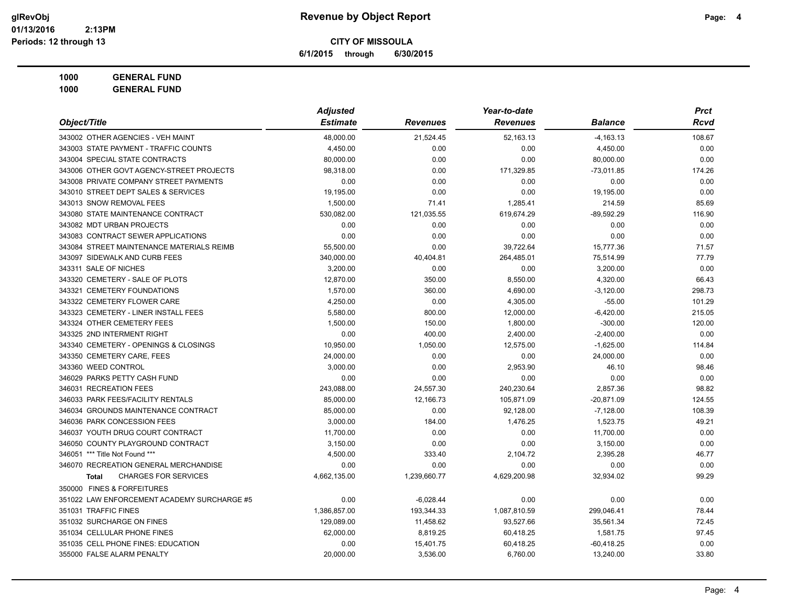**6/1/2015 through 6/30/2015**

|                                             | <b>Adjusted</b> |              | Year-to-date    |                | <b>Prct</b> |  |
|---------------------------------------------|-----------------|--------------|-----------------|----------------|-------------|--|
| Object/Title                                | <b>Estimate</b> | Revenues     | <b>Revenues</b> | <b>Balance</b> | Rcvd        |  |
| 343002 OTHER AGENCIES - VEH MAINT           | 48,000.00       | 21,524.45    | 52,163.13       | $-4,163.13$    | 108.67      |  |
| 343003 STATE PAYMENT - TRAFFIC COUNTS       | 4,450.00        | 0.00         | 0.00            | 4,450.00       | 0.00        |  |
| 343004 SPECIAL STATE CONTRACTS              | 80,000.00       | 0.00         | 0.00            | 80,000.00      | 0.00        |  |
| 343006 OTHER GOVT AGENCY-STREET PROJECTS    | 98,318.00       | 0.00         | 171,329.85      | $-73,011.85$   | 174.26      |  |
| 343008 PRIVATE COMPANY STREET PAYMENTS      | 0.00            | 0.00         | 0.00            | 0.00           | 0.00        |  |
| 343010 STREET DEPT SALES & SERVICES         | 19,195.00       | 0.00         | 0.00            | 19,195.00      | 0.00        |  |
| 343013 SNOW REMOVAL FEES                    | 1,500.00        | 71.41        | 1,285.41        | 214.59         | 85.69       |  |
| 343080 STATE MAINTENANCE CONTRACT           | 530,082.00      | 121,035.55   | 619,674.29      | $-89,592.29$   | 116.90      |  |
| 343082 MDT URBAN PROJECTS                   | 0.00            | 0.00         | 0.00            | 0.00           | 0.00        |  |
| 343083 CONTRACT SEWER APPLICATIONS          | 0.00            | 0.00         | 0.00            | 0.00           | 0.00        |  |
| 343084 STREET MAINTENANCE MATERIALS REIMB   | 55,500.00       | 0.00         | 39,722.64       | 15,777.36      | 71.57       |  |
| 343097 SIDEWALK AND CURB FEES               | 340,000.00      | 40,404.81    | 264,485.01      | 75,514.99      | 77.79       |  |
| 343311 SALE OF NICHES                       | 3,200.00        | 0.00         | 0.00            | 3,200.00       | 0.00        |  |
| 343320 CEMETERY - SALE OF PLOTS             | 12,870.00       | 350.00       | 8,550.00        | 4,320.00       | 66.43       |  |
| 343321 CEMETERY FOUNDATIONS                 | 1,570.00        | 360.00       | 4,690.00        | $-3,120.00$    | 298.73      |  |
| 343322 CEMETERY FLOWER CARE                 | 4,250.00        | 0.00         | 4,305.00        | $-55.00$       | 101.29      |  |
| 343323 CEMETERY - LINER INSTALL FEES        | 5,580.00        | 800.00       | 12,000.00       | $-6,420.00$    | 215.05      |  |
| 343324 OTHER CEMETERY FEES                  | 1,500.00        | 150.00       | 1,800.00        | $-300.00$      | 120.00      |  |
| 343325 2ND INTERMENT RIGHT                  | 0.00            | 400.00       | 2,400.00        | $-2,400.00$    | 0.00        |  |
| 343340 CEMETERY - OPENINGS & CLOSINGS       | 10,950.00       | 1,050.00     | 12,575.00       | $-1,625.00$    | 114.84      |  |
| 343350 CEMETERY CARE, FEES                  | 24,000.00       | 0.00         | 0.00            | 24,000.00      | 0.00        |  |
| 343360 WEED CONTROL                         | 3,000.00        | 0.00         | 2,953.90        | 46.10          | 98.46       |  |
| 346029 PARKS PETTY CASH FUND                | 0.00            | 0.00         | 0.00            | 0.00           | 0.00        |  |
| 346031 RECREATION FEES                      | 243,088.00      | 24,557.30    | 240,230.64      | 2,857.36       | 98.82       |  |
| 346033 PARK FEES/FACILITY RENTALS           | 85,000.00       | 12,166.73    | 105,871.09      | $-20,871.09$   | 124.55      |  |
| 346034 GROUNDS MAINTENANCE CONTRACT         | 85,000.00       | 0.00         | 92,128.00       | $-7,128.00$    | 108.39      |  |
| 346036 PARK CONCESSION FEES                 | 3,000.00        | 184.00       | 1,476.25        | 1,523.75       | 49.21       |  |
| 346037 YOUTH DRUG COURT CONTRACT            | 11,700.00       | 0.00         | 0.00            | 11,700.00      | 0.00        |  |
| 346050 COUNTY PLAYGROUND CONTRACT           | 3,150.00        | 0.00         | 0.00            | 3,150.00       | 0.00        |  |
| 346051 *** Title Not Found ***              | 4,500.00        | 333.40       | 2,104.72        | 2,395.28       | 46.77       |  |
| 346070 RECREATION GENERAL MERCHANDISE       | 0.00            | 0.00         | 0.00            | 0.00           | 0.00        |  |
| <b>CHARGES FOR SERVICES</b><br><b>Total</b> | 4,662,135.00    | 1,239,660.77 | 4,629,200.98    | 32,934.02      | 99.29       |  |
| 350000 FINES & FORFEITURES                  |                 |              |                 |                |             |  |
| 351022 LAW ENFORCEMENT ACADEMY SURCHARGE #5 | 0.00            | $-6,028.44$  | 0.00            | 0.00           | 0.00        |  |
| 351031 TRAFFIC FINES                        | 1,386,857.00    | 193,344.33   | 1,087,810.59    | 299,046.41     | 78.44       |  |
| 351032 SURCHARGE ON FINES                   | 129,089.00      | 11,458.62    | 93,527.66       | 35,561.34      | 72.45       |  |
| 351034 CELLULAR PHONE FINES                 | 62,000.00       | 8,819.25     | 60,418.25       | 1,581.75       | 97.45       |  |
| 351035 CELL PHONE FINES: EDUCATION          | 0.00            | 15,401.75    | 60,418.25       | $-60,418.25$   | 0.00        |  |
| 355000 FALSE ALARM PENALTY                  | 20,000.00       | 3,536.00     | 6,760.00        | 13,240.00      | 33.80       |  |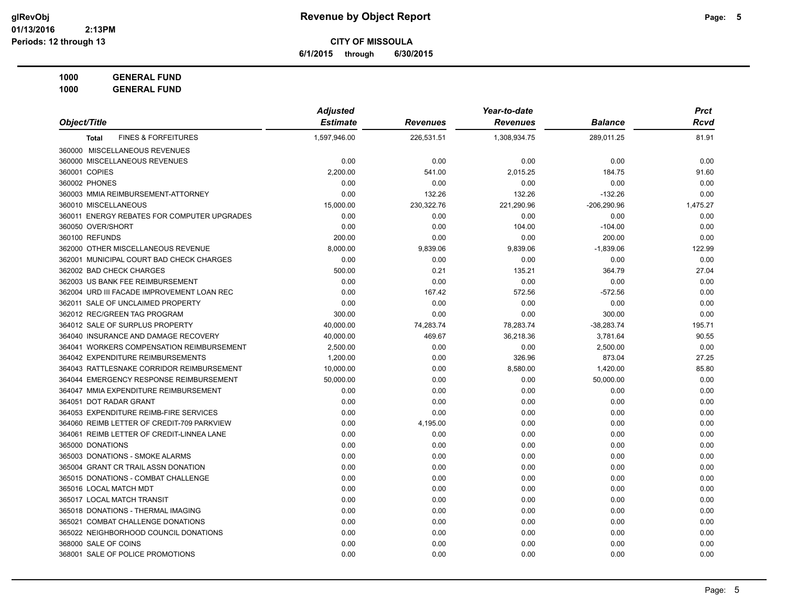**6/1/2015 through 6/30/2015**

|                                                | <b>Adjusted</b> |                 | Year-to-date    |                | <b>Prct</b> |
|------------------------------------------------|-----------------|-----------------|-----------------|----------------|-------------|
| Object/Title                                   | <b>Estimate</b> | <b>Revenues</b> | <b>Revenues</b> | <b>Balance</b> | Rcvd        |
| <b>FINES &amp; FORFEITURES</b><br><b>Total</b> | 1,597,946.00    | 226,531.51      | 1,308,934.75    | 289,011.25     | 81.91       |
| 360000 MISCELLANEOUS REVENUES                  |                 |                 |                 |                |             |
| 360000 MISCELLANEOUS REVENUES                  | 0.00            | 0.00            | 0.00            | 0.00           | 0.00        |
| 360001 COPIES                                  | 2,200.00        | 541.00          | 2,015.25        | 184.75         | 91.60       |
| 360002 PHONES                                  | 0.00            | 0.00            | 0.00            | 0.00           | 0.00        |
| 360003 MMIA REIMBURSEMENT-ATTORNEY             | 0.00            | 132.26          | 132.26          | $-132.26$      | 0.00        |
| 360010 MISCELLANEOUS                           | 15,000.00       | 230,322.76      | 221,290.96      | $-206,290.96$  | 1,475.27    |
| 360011 ENERGY REBATES FOR COMPUTER UPGRADES    | 0.00            | 0.00            | 0.00            | 0.00           | 0.00        |
| 360050 OVER/SHORT                              | 0.00            | 0.00            | 104.00          | $-104.00$      | 0.00        |
| 360100 REFUNDS                                 | 200.00          | 0.00            | 0.00            | 200.00         | 0.00        |
| 362000 OTHER MISCELLANEOUS REVENUE             | 8,000.00        | 9,839.06        | 9,839.06        | $-1,839.06$    | 122.99      |
| 362001 MUNICIPAL COURT BAD CHECK CHARGES       | 0.00            | 0.00            | 0.00            | 0.00           | 0.00        |
| 362002 BAD CHECK CHARGES                       | 500.00          | 0.21            | 135.21          | 364.79         | 27.04       |
| 362003 US BANK FEE REIMBURSEMENT               | 0.00            | 0.00            | 0.00            | 0.00           | 0.00        |
| 362004 URD III FACADE IMPROVEMENT LOAN REC     | 0.00            | 167.42          | 572.56          | $-572.56$      | 0.00        |
| 362011 SALE OF UNCLAIMED PROPERTY              | 0.00            | 0.00            | 0.00            | 0.00           | 0.00        |
| 362012 REC/GREEN TAG PROGRAM                   | 300.00          | 0.00            | 0.00            | 300.00         | 0.00        |
| 364012 SALE OF SURPLUS PROPERTY                | 40,000.00       | 74,283.74       | 78,283.74       | $-38,283.74$   | 195.71      |
| 364040 INSURANCE AND DAMAGE RECOVERY           | 40,000.00       | 469.67          | 36,218.36       | 3,781.64       | 90.55       |
| 364041 WORKERS COMPENSATION REIMBURSEMENT      | 2,500.00        | 0.00            | 0.00            | 2,500.00       | 0.00        |
| 364042 EXPENDITURE REIMBURSEMENTS              | 1,200.00        | 0.00            | 326.96          | 873.04         | 27.25       |
| 364043 RATTLESNAKE CORRIDOR REIMBURSEMENT      | 10,000.00       | 0.00            | 8,580.00        | 1,420.00       | 85.80       |
| 364044 EMERGENCY RESPONSE REIMBURSEMENT        | 50,000.00       | 0.00            | 0.00            | 50,000.00      | 0.00        |
| 364047 MMIA EXPENDITURE REIMBURSEMENT          | 0.00            | 0.00            | 0.00            | 0.00           | 0.00        |
| 364051 DOT RADAR GRANT                         | 0.00            | 0.00            | 0.00            | 0.00           | 0.00        |
| 364053 EXPENDITURE REIMB-FIRE SERVICES         | 0.00            | 0.00            | 0.00            | 0.00           | 0.00        |
| 364060 REIMB LETTER OF CREDIT-709 PARKVIEW     | 0.00            | 4,195.00        | 0.00            | 0.00           | 0.00        |
| 364061 REIMB LETTER OF CREDIT-LINNEA LANE      | 0.00            | 0.00            | 0.00            | 0.00           | 0.00        |
| 365000 DONATIONS                               | 0.00            | 0.00            | 0.00            | 0.00           | 0.00        |
| 365003 DONATIONS - SMOKE ALARMS                | 0.00            | 0.00            | 0.00            | 0.00           | 0.00        |
| 365004 GRANT CR TRAIL ASSN DONATION            | 0.00            | 0.00            | 0.00            | 0.00           | 0.00        |
| 365015 DONATIONS - COMBAT CHALLENGE            | 0.00            | 0.00            | 0.00            | 0.00           | 0.00        |
| 365016 LOCAL MATCH MDT                         | 0.00            | 0.00            | 0.00            | 0.00           | 0.00        |
| 365017 LOCAL MATCH TRANSIT                     | 0.00            | 0.00            | 0.00            | 0.00           | 0.00        |
| 365018 DONATIONS - THERMAL IMAGING             | 0.00            | 0.00            | 0.00            | 0.00           | 0.00        |
| 365021 COMBAT CHALLENGE DONATIONS              | 0.00            | 0.00            | 0.00            | 0.00           | 0.00        |
| 365022 NEIGHBORHOOD COUNCIL DONATIONS          | 0.00            | 0.00            | 0.00            | 0.00           | 0.00        |
| 368000 SALE OF COINS                           | 0.00            | 0.00            | 0.00            | 0.00           | 0.00        |
| 368001 SALE OF POLICE PROMOTIONS               | 0.00            | 0.00            | 0.00            | 0.00           | 0.00        |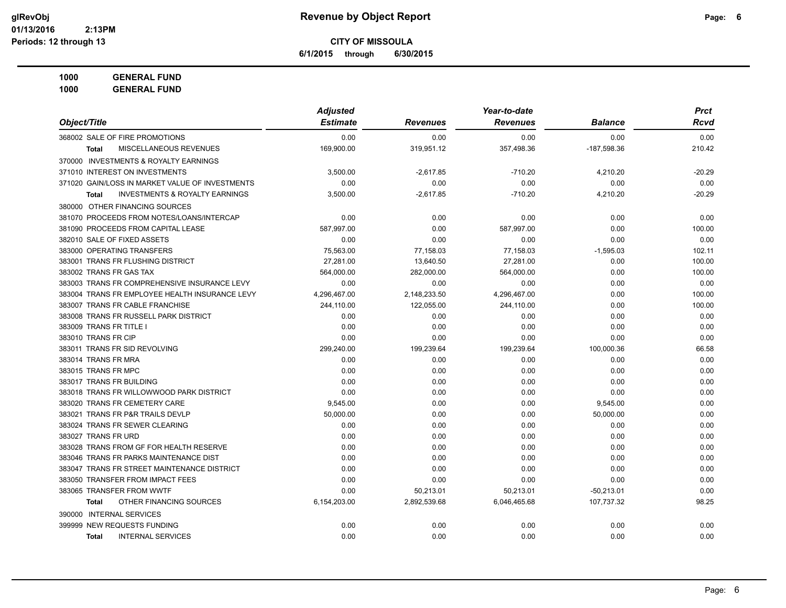**6/1/2015 through 6/30/2015**

|                                                    | <b>Adjusted</b> |                 | Year-to-date    |                | <b>Prct</b> |
|----------------------------------------------------|-----------------|-----------------|-----------------|----------------|-------------|
| Object/Title                                       | <b>Estimate</b> | <b>Revenues</b> | <b>Revenues</b> | <b>Balance</b> | <b>Rcvd</b> |
| 368002 SALE OF FIRE PROMOTIONS                     | 0.00            | 0.00            | 0.00            | 0.00           | 0.00        |
| <b>MISCELLANEOUS REVENUES</b><br>Total             | 169,900.00      | 319,951.12      | 357,498.36      | -187,598.36    | 210.42      |
| 370000 INVESTMENTS & ROYALTY EARNINGS              |                 |                 |                 |                |             |
| 371010 INTEREST ON INVESTMENTS                     | 3,500.00        | $-2.617.85$     | $-710.20$       | 4,210.20       | $-20.29$    |
| 371020 GAIN/LOSS IN MARKET VALUE OF INVESTMENTS    | 0.00            | 0.00            | 0.00            | 0.00           | 0.00        |
| <b>INVESTMENTS &amp; ROYALTY EARNINGS</b><br>Total | 3,500.00        | $-2,617.85$     | $-710.20$       | 4,210.20       | $-20.29$    |
| 380000 OTHER FINANCING SOURCES                     |                 |                 |                 |                |             |
| 381070 PROCEEDS FROM NOTES/LOANS/INTERCAP          | 0.00            | 0.00            | 0.00            | 0.00           | 0.00        |
| 381090 PROCEEDS FROM CAPITAL LEASE                 | 587,997.00      | 0.00            | 587,997.00      | 0.00           | 100.00      |
| 382010 SALE OF FIXED ASSETS                        | 0.00            | 0.00            | 0.00            | 0.00           | 0.00        |
| 383000 OPERATING TRANSFERS                         | 75,563.00       | 77,158.03       | 77,158.03       | $-1,595.03$    | 102.11      |
| 383001 TRANS FR FLUSHING DISTRICT                  | 27,281.00       | 13,640.50       | 27.281.00       | 0.00           | 100.00      |
| 383002 TRANS FR GAS TAX                            | 564,000.00      | 282,000.00      | 564,000.00      | 0.00           | 100.00      |
| 383003 TRANS FR COMPREHENSIVE INSURANCE LEVY       | 0.00            | 0.00            | 0.00            | 0.00           | 0.00        |
| 383004 TRANS FR EMPLOYEE HEALTH INSURANCE LEVY     | 4,296,467.00    | 2,148,233.50    | 4,296,467.00    | 0.00           | 100.00      |
| 383007 TRANS FR CABLE FRANCHISE                    | 244,110.00      | 122,055.00      | 244,110.00      | 0.00           | 100.00      |
| 383008 TRANS FR RUSSELL PARK DISTRICT              | 0.00            | 0.00            | 0.00            | 0.00           | 0.00        |
| 383009 TRANS FR TITLE I                            | 0.00            | 0.00            | 0.00            | 0.00           | 0.00        |
| 383010 TRANS FR CIP                                | 0.00            | 0.00            | 0.00            | 0.00           | 0.00        |
| 383011 TRANS FR SID REVOLVING                      | 299,240.00      | 199,239.64      | 199,239.64      | 100,000.36     | 66.58       |
| 383014 TRANS FR MRA                                | 0.00            | 0.00            | 0.00            | 0.00           | 0.00        |
| 383015 TRANS FR MPC                                | 0.00            | 0.00            | 0.00            | 0.00           | 0.00        |
| 383017 TRANS FR BUILDING                           | 0.00            | 0.00            | 0.00            | 0.00           | 0.00        |
| 383018 TRANS FR WILLOWWOOD PARK DISTRICT           | 0.00            | 0.00            | 0.00            | 0.00           | 0.00        |
| 383020 TRANS FR CEMETERY CARE                      | 9,545.00        | 0.00            | 0.00            | 9,545.00       | 0.00        |
| 383021 TRANS FR P&R TRAILS DEVLP                   | 50,000.00       | 0.00            | 0.00            | 50.000.00      | 0.00        |
| 383024 TRANS FR SEWER CLEARING                     | 0.00            | 0.00            | 0.00            | 0.00           | 0.00        |
| 383027 TRANS FR URD                                | 0.00            | 0.00            | 0.00            | 0.00           | 0.00        |
| 383028 TRANS FROM GF FOR HEALTH RESERVE            | 0.00            | 0.00            | 0.00            | 0.00           | 0.00        |
| 383046 TRANS FR PARKS MAINTENANCE DIST             | 0.00            | 0.00            | 0.00            | 0.00           | 0.00        |
| 383047 TRANS FR STREET MAINTENANCE DISTRICT        | 0.00            | 0.00            | 0.00            | 0.00           | 0.00        |
| 383050 TRANSFER FROM IMPACT FEES                   | 0.00            | 0.00            | 0.00            | 0.00           | 0.00        |
| 383065 TRANSFER FROM WWTF                          | 0.00            | 50,213.01       | 50,213.01       | $-50,213.01$   | 0.00        |
| OTHER FINANCING SOURCES<br>Total                   | 6,154,203.00    | 2,892,539.68    | 6,046,465.68    | 107,737.32     | 98.25       |
| 390000 INTERNAL SERVICES                           |                 |                 |                 |                |             |
| 399999 NEW REQUESTS FUNDING                        | 0.00            | 0.00            | 0.00            | 0.00           | 0.00        |
| <b>INTERNAL SERVICES</b><br>Total                  | 0.00            | 0.00            | 0.00            | 0.00           | 0.00        |
|                                                    |                 |                 |                 |                |             |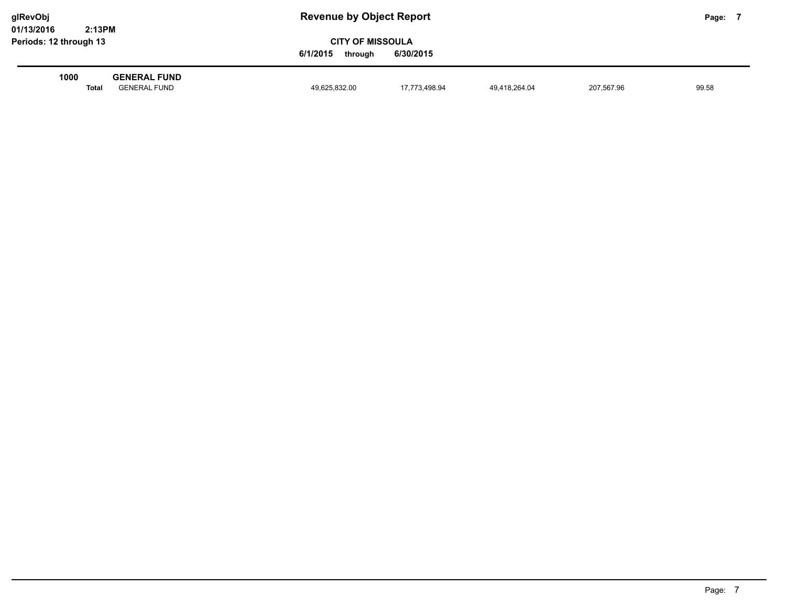| glRevObj<br>01/13/2016 | 2:13PM |                                            |                                                | <b>Revenue by Object Report</b> |               |            |       |  |
|------------------------|--------|--------------------------------------------|------------------------------------------------|---------------------------------|---------------|------------|-------|--|
| Periods: 12 through 13 |        |                                            | <b>CITY OF MISSOULA</b><br>6/1/2015<br>through | 6/30/2015                       |               |            |       |  |
| 1000                   | Total  | <b>GENERAL FUND</b><br><b>GENERAL FUND</b> | 49,625,832.00                                  | 17,773,498.94                   | 49.418.264.04 | 207.567.96 | 99.58 |  |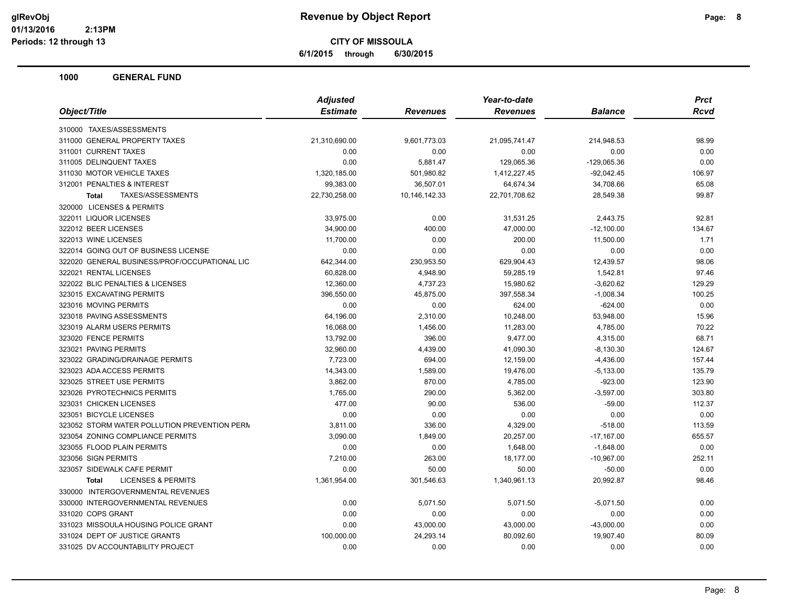**6/1/2015 through 6/30/2015**

|                                               | <b>Adjusted</b> |                 | Year-to-date    |                | <b>Prct</b> |  |
|-----------------------------------------------|-----------------|-----------------|-----------------|----------------|-------------|--|
| Object/Title                                  | <b>Estimate</b> | <b>Revenues</b> | <b>Revenues</b> | <b>Balance</b> | Rcvd        |  |
| 310000 TAXES/ASSESSMENTS                      |                 |                 |                 |                |             |  |
| 311000 GENERAL PROPERTY TAXES                 | 21,310,690.00   | 9,601,773.03    | 21,095,741.47   | 214,948.53     | 98.99       |  |
| 311001 CURRENT TAXES                          | 0.00            | 0.00            | 0.00            | 0.00           | 0.00        |  |
| 311005 DELINQUENT TAXES                       | 0.00            | 5,881.47        | 129,065.36      | $-129,065.36$  | 0.00        |  |
| 311030 MOTOR VEHICLE TAXES                    | 1,320,185.00    | 501,980.82      | 1,412,227.45    | $-92,042.45$   | 106.97      |  |
| 312001 PENALTIES & INTEREST                   | 99,383.00       | 36,507.01       | 64,674.34       | 34,708.66      | 65.08       |  |
| TAXES/ASSESSMENTS<br><b>Total</b>             | 22,730,258.00   | 10,146,142.33   | 22,701,708.62   | 28,549.38      | 99.87       |  |
| 320000 LICENSES & PERMITS                     |                 |                 |                 |                |             |  |
| 322011 LIQUOR LICENSES                        | 33,975.00       | 0.00            | 31,531.25       | 2,443.75       | 92.81       |  |
| 322012 BEER LICENSES                          | 34,900.00       | 400.00          | 47,000.00       | $-12,100.00$   | 134.67      |  |
| 322013 WINE LICENSES                          | 11,700.00       | 0.00            | 200.00          | 11,500.00      | 1.71        |  |
| 322014 GOING OUT OF BUSINESS LICENSE          | 0.00            | 0.00            | 0.00            | 0.00           | 0.00        |  |
| 322020 GENERAL BUSINESS/PROF/OCCUPATIONAL LIC | 642,344.00      | 230,953.50      | 629,904.43      | 12,439.57      | 98.06       |  |
| 322021 RENTAL LICENSES                        | 60,828.00       | 4,948.90        | 59,285.19       | 1,542.81       | 97.46       |  |
| 322022 BLIC PENALTIES & LICENSES              | 12,360.00       | 4,737.23        | 15,980.62       | $-3,620.62$    | 129.29      |  |
| 323015 EXCAVATING PERMITS                     | 396,550.00      | 45,875.00       | 397,558.34      | $-1,008.34$    | 100.25      |  |
| 323016 MOVING PERMITS                         | 0.00            | 0.00            | 624.00          | $-624.00$      | 0.00        |  |
| 323018 PAVING ASSESSMENTS                     | 64,196.00       | 2,310.00        | 10,248.00       | 53,948.00      | 15.96       |  |
| 323019 ALARM USERS PERMITS                    | 16,068.00       | 1,456.00        | 11,283.00       | 4,785.00       | 70.22       |  |
| 323020 FENCE PERMITS                          | 13,792.00       | 396.00          | 9,477.00        | 4,315.00       | 68.71       |  |
| 323021 PAVING PERMITS                         | 32,960.00       | 4,439.00        | 41,090.30       | $-8,130.30$    | 124.67      |  |
| 323022 GRADING/DRAINAGE PERMITS               | 7,723.00        | 694.00          | 12,159.00       | $-4,436.00$    | 157.44      |  |
| 323023 ADA ACCESS PERMITS                     | 14,343.00       | 1,589.00        | 19,476.00       | $-5,133.00$    | 135.79      |  |
| 323025 STREET USE PERMITS                     | 3,862.00        | 870.00          | 4,785.00        | $-923.00$      | 123.90      |  |
| 323026 PYROTECHNICS PERMITS                   | 1,765.00        | 290.00          | 5,362.00        | $-3,597.00$    | 303.80      |  |
| 323031 CHICKEN LICENSES                       | 477.00          | 90.00           | 536.00          | $-59.00$       | 112.37      |  |
| 323051 BICYCLE LICENSES                       | 0.00            | 0.00            | 0.00            | 0.00           | 0.00        |  |
| 323052 STORM WATER POLLUTION PREVENTION PERM  | 3,811.00        | 336.00          | 4,329.00        | $-518.00$      | 113.59      |  |
| 323054 ZONING COMPLIANCE PERMITS              | 3,090.00        | 1,849.00        | 20,257.00       | $-17,167.00$   | 655.57      |  |
| 323055 FLOOD PLAIN PERMITS                    | 0.00            | 0.00            | 1,648.00        | $-1,648.00$    | 0.00        |  |
| 323056 SIGN PERMITS                           | 7,210.00        | 263.00          | 18,177.00       | $-10,967.00$   | 252.11      |  |
| 323057 SIDEWALK CAFE PERMIT                   | 0.00            | 50.00           | 50.00           | $-50.00$       | 0.00        |  |
| <b>LICENSES &amp; PERMITS</b><br>Total        | 1,361,954.00    | 301,546.63      | 1,340,961.13    | 20,992.87      | 98.46       |  |
| 330000 INTERGOVERNMENTAL REVENUES             |                 |                 |                 |                |             |  |
| 330000 INTERGOVERNMENTAL REVENUES             | 0.00            | 5,071.50        | 5,071.50        | $-5,071.50$    | 0.00        |  |
| 331020 COPS GRANT                             | 0.00            | 0.00            | 0.00            | 0.00           | 0.00        |  |
| 331023 MISSOULA HOUSING POLICE GRANT          | 0.00            | 43,000.00       | 43,000.00       | $-43,000.00$   | 0.00        |  |
| 331024 DEPT OF JUSTICE GRANTS                 | 100,000.00      | 24,293.14       | 80,092.60       | 19,907.40      | 80.09       |  |
| 331025 DV ACCOUNTABILITY PROJECT              | 0.00            | 0.00            | 0.00            | 0.00           | 0.00        |  |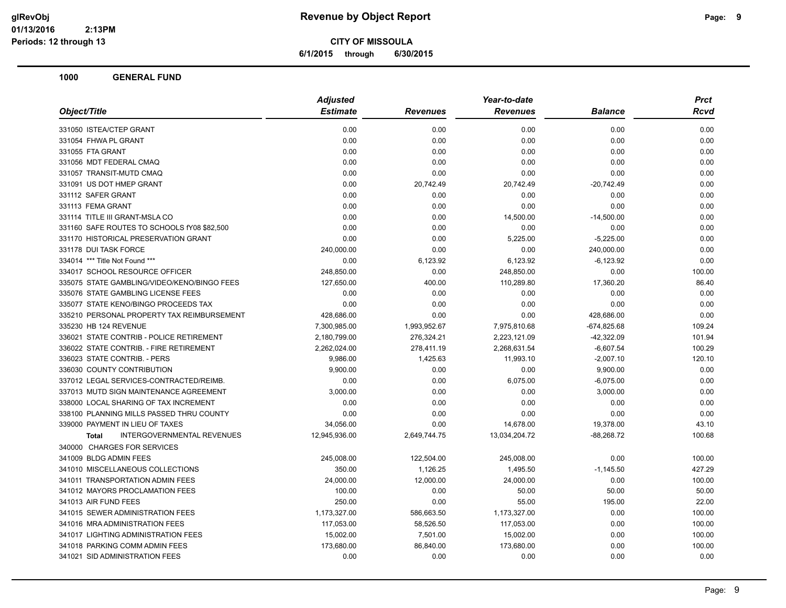**6/1/2015 through 6/30/2015**

|                                                   | <b>Adjusted</b> |                 | Year-to-date    |                | <b>Prct</b> |  |
|---------------------------------------------------|-----------------|-----------------|-----------------|----------------|-------------|--|
| Object/Title                                      | <b>Estimate</b> | <b>Revenues</b> | <b>Revenues</b> | <b>Balance</b> | Rcvd        |  |
| 331050 ISTEA/CTEP GRANT                           | 0.00            | 0.00            | 0.00            | 0.00           | 0.00        |  |
| 331054 FHWA PL GRANT                              | 0.00            | 0.00            | 0.00            | 0.00           | 0.00        |  |
| 331055 FTA GRANT                                  | 0.00            | 0.00            | 0.00            | 0.00           | 0.00        |  |
| 331056 MDT FEDERAL CMAQ                           | 0.00            | 0.00            | 0.00            | 0.00           | 0.00        |  |
| 331057 TRANSIT-MUTD CMAO                          | 0.00            | 0.00            | 0.00            | 0.00           | 0.00        |  |
| 331091 US DOT HMEP GRANT                          | 0.00            | 20,742.49       | 20,742.49       | $-20,742.49$   | 0.00        |  |
| 331112 SAFER GRANT                                | 0.00            | 0.00            | 0.00            | 0.00           | 0.00        |  |
| 331113 FEMA GRANT                                 | 0.00            | 0.00            | 0.00            | 0.00           | 0.00        |  |
| 331114 TITLE III GRANT-MSLA CO                    | 0.00            | 0.00            | 14,500.00       | $-14,500.00$   | 0.00        |  |
| 331160 SAFE ROUTES TO SCHOOLS fY08 \$82,500       | 0.00            | 0.00            | 0.00            | 0.00           | 0.00        |  |
| 331170 HISTORICAL PRESERVATION GRANT              | 0.00            | 0.00            | 5,225.00        | $-5,225.00$    | 0.00        |  |
| 331178 DUI TASK FORCE                             | 240,000.00      | 0.00            | 0.00            | 240,000.00     | 0.00        |  |
| 334014 *** Title Not Found ***                    | 0.00            | 6,123.92        | 6,123.92        | $-6, 123.92$   | 0.00        |  |
| 334017 SCHOOL RESOURCE OFFICER                    | 248,850.00      | 0.00            | 248,850.00      | 0.00           | 100.00      |  |
| 335075 STATE GAMBLING/VIDEO/KENO/BINGO FEES       | 127,650.00      | 400.00          | 110,289.80      | 17,360.20      | 86.40       |  |
| 335076 STATE GAMBLING LICENSE FEES                | 0.00            | 0.00            | 0.00            | 0.00           | 0.00        |  |
| 335077 STATE KENO/BINGO PROCEEDS TAX              | 0.00            | 0.00            | 0.00            | 0.00           | 0.00        |  |
| 335210 PERSONAL PROPERTY TAX REIMBURSEMENT        | 428,686.00      | 0.00            | 0.00            | 428,686.00     | 0.00        |  |
| 335230 HB 124 REVENUE                             | 7,300,985.00    | 1,993,952.67    | 7,975,810.68    | $-674,825.68$  | 109.24      |  |
| 336021 STATE CONTRIB - POLICE RETIREMENT          | 2,180,799.00    | 276,324.21      | 2,223,121.09    | $-42,322.09$   | 101.94      |  |
| 336022 STATE CONTRIB. - FIRE RETIREMENT           | 2,262,024.00    | 278,411.19      | 2,268,631.54    | $-6,607.54$    | 100.29      |  |
| 336023 STATE CONTRIB. - PERS                      | 9,986.00        | 1,425.63        | 11,993.10       | $-2,007.10$    | 120.10      |  |
| 336030 COUNTY CONTRIBUTION                        | 9,900.00        | 0.00            | 0.00            | 9,900.00       | 0.00        |  |
| 337012 LEGAL SERVICES-CONTRACTED/REIMB.           | 0.00            | 0.00            | 6,075.00        | $-6,075.00$    | 0.00        |  |
| 337013 MUTD SIGN MAINTENANCE AGREEMENT            | 3,000.00        | 0.00            | 0.00            | 3,000.00       | 0.00        |  |
| 338000 LOCAL SHARING OF TAX INCREMENT             | 0.00            | 0.00            | 0.00            | 0.00           | 0.00        |  |
| 338100 PLANNING MILLS PASSED THRU COUNTY          | 0.00            | 0.00            | 0.00            | 0.00           | 0.00        |  |
| 339000 PAYMENT IN LIEU OF TAXES                   | 34,056.00       | 0.00            | 14,678.00       | 19,378.00      | 43.10       |  |
| <b>INTERGOVERNMENTAL REVENUES</b><br><b>Total</b> | 12,945,936.00   | 2,649,744.75    | 13,034,204.72   | $-88,268.72$   | 100.68      |  |
| 340000 CHARGES FOR SERVICES                       |                 |                 |                 |                |             |  |
| 341009 BLDG ADMIN FEES                            | 245,008.00      | 122,504.00      | 245,008.00      | 0.00           | 100.00      |  |
| 341010 MISCELLANEOUS COLLECTIONS                  | 350.00          | 1,126.25        | 1,495.50        | $-1,145.50$    | 427.29      |  |
| 341011 TRANSPORTATION ADMIN FEES                  | 24,000.00       | 12,000.00       | 24,000.00       | 0.00           | 100.00      |  |
| 341012 MAYORS PROCLAMATION FEES                   | 100.00          | 0.00            | 50.00           | 50.00          | 50.00       |  |
| 341013 AIR FUND FEES                              | 250.00          | 0.00            | 55.00           | 195.00         | 22.00       |  |
| 341015 SEWER ADMINISTRATION FEES                  | 1,173,327.00    | 586.663.50      | 1,173,327.00    | 0.00           | 100.00      |  |
| 341016 MRA ADMINISTRATION FEES                    | 117,053.00      | 58,526.50       | 117,053.00      | 0.00           | 100.00      |  |
| 341017 LIGHTING ADMINISTRATION FEES               | 15,002.00       | 7,501.00        | 15,002.00       | 0.00           | 100.00      |  |
| 341018 PARKING COMM ADMIN FEES                    | 173,680.00      | 86,840.00       | 173,680.00      | 0.00           | 100.00      |  |
| 341021 SID ADMINISTRATION FEES                    | 0.00            | 0.00            | 0.00            | 0.00           | 0.00        |  |
|                                                   |                 |                 |                 |                |             |  |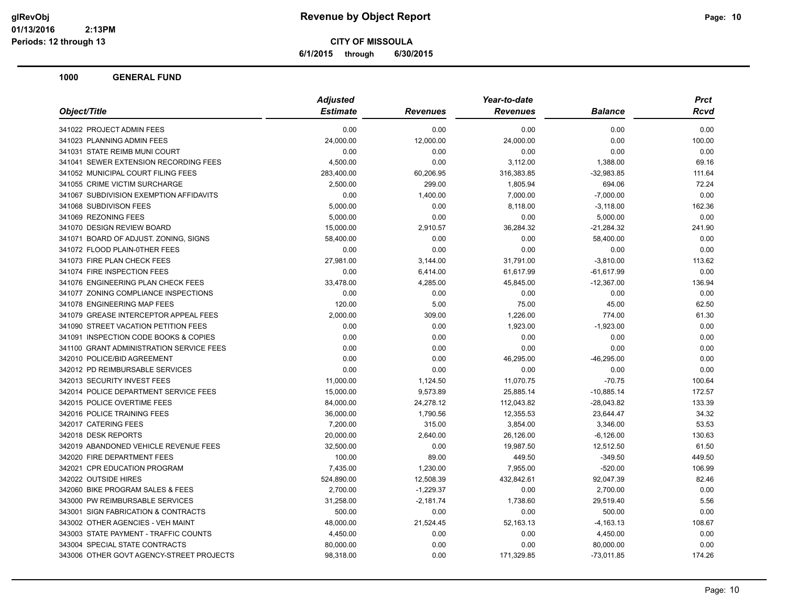**6/1/2015 through 6/30/2015**

|                                          | <b>Adjusted</b> |                 | Year-to-date    |                | <b>Prct</b> |  |
|------------------------------------------|-----------------|-----------------|-----------------|----------------|-------------|--|
| Object/Title                             | <b>Estimate</b> | <b>Revenues</b> | <b>Revenues</b> | <b>Balance</b> | <b>Rcvd</b> |  |
| 341022 PROJECT ADMIN FEES                | 0.00            | 0.00            | 0.00            | 0.00           | 0.00        |  |
| 341023 PLANNING ADMIN FEES               | 24,000.00       | 12,000.00       | 24,000.00       | 0.00           | 100.00      |  |
| 341031 STATE REIMB MUNI COURT            | 0.00            | 0.00            | 0.00            | 0.00           | 0.00        |  |
| 341041 SEWER EXTENSION RECORDING FEES    | 4,500.00        | 0.00            | 3,112.00        | 1,388.00       | 69.16       |  |
| 341052 MUNICIPAL COURT FILING FEES       | 283,400.00      | 60,206.95       | 316,383.85      | $-32,983.85$   | 111.64      |  |
| 341055 CRIME VICTIM SURCHARGE            | 2,500.00        | 299.00          | 1,805.94        | 694.06         | 72.24       |  |
| 341067 SUBDIVISION EXEMPTION AFFIDAVITS  | 0.00            | 1,400.00        | 7,000.00        | $-7,000.00$    | 0.00        |  |
| 341068 SUBDIVISON FEES                   | 5,000.00        | 0.00            | 8,118.00        | $-3,118.00$    | 162.36      |  |
| 341069 REZONING FEES                     | 5,000.00        | 0.00            | 0.00            | 5,000.00       | 0.00        |  |
| 341070 DESIGN REVIEW BOARD               | 15,000.00       | 2,910.57        | 36,284.32       | $-21,284.32$   | 241.90      |  |
| 341071 BOARD OF ADJUST. ZONING, SIGNS    | 58,400.00       | 0.00            | 0.00            | 58,400.00      | 0.00        |  |
| 341072 FLOOD PLAIN-0THER FEES            | 0.00            | 0.00            | 0.00            | 0.00           | 0.00        |  |
| 341073 FIRE PLAN CHECK FEES              | 27,981.00       | 3,144.00        | 31,791.00       | $-3,810.00$    | 113.62      |  |
| 341074 FIRE INSPECTION FEES              | 0.00            | 6,414.00        | 61,617.99       | $-61,617.99$   | 0.00        |  |
| 341076 ENGINEERING PLAN CHECK FEES       | 33,478.00       | 4,285.00        | 45,845.00       | $-12,367.00$   | 136.94      |  |
| 341077 ZONING COMPLIANCE INSPECTIONS     | 0.00            | 0.00            | 0.00            | 0.00           | 0.00        |  |
| 341078 ENGINEERING MAP FEES              | 120.00          | 5.00            | 75.00           | 45.00          | 62.50       |  |
| 341079 GREASE INTERCEPTOR APPEAL FEES    | 2,000.00        | 309.00          | 1,226.00        | 774.00         | 61.30       |  |
| 341090 STREET VACATION PETITION FEES     | 0.00            | 0.00            | 1,923.00        | $-1,923.00$    | 0.00        |  |
| 341091 INSPECTION CODE BOOKS & COPIES    | 0.00            | 0.00            | 0.00            | 0.00           | 0.00        |  |
| 341100 GRANT ADMINISTRATION SERVICE FEES | 0.00            | 0.00            | 0.00            | 0.00           | 0.00        |  |
| 342010 POLICE/BID AGREEMENT              | 0.00            | 0.00            | 46,295.00       | $-46,295.00$   | 0.00        |  |
| 342012 PD REIMBURSABLE SERVICES          | 0.00            | 0.00            | 0.00            | 0.00           | 0.00        |  |
| 342013 SECURITY INVEST FEES              | 11,000.00       | 1,124.50        | 11,070.75       | $-70.75$       | 100.64      |  |
| 342014 POLICE DEPARTMENT SERVICE FEES    | 15,000.00       | 9,573.89        | 25,885.14       | $-10,885.14$   | 172.57      |  |
| 342015 POLICE OVERTIME FEES              | 84,000.00       | 24,278.12       | 112,043.82      | $-28,043.82$   | 133.39      |  |
| 342016 POLICE TRAINING FEES              | 36,000.00       | 1,790.56        | 12,355.53       | 23,644.47      | 34.32       |  |
| 342017 CATERING FEES                     | 7,200.00        | 315.00          | 3,854.00        | 3,346.00       | 53.53       |  |
| 342018 DESK REPORTS                      | 20,000.00       | 2,640.00        | 26,126.00       | $-6,126.00$    | 130.63      |  |
| 342019 ABANDONED VEHICLE REVENUE FEES    | 32,500.00       | 0.00            | 19,987.50       | 12,512.50      | 61.50       |  |
| 342020 FIRE DEPARTMENT FEES              | 100.00          | 89.00           | 449.50          | $-349.50$      | 449.50      |  |
| 342021 CPR EDUCATION PROGRAM             | 7,435.00        | 1,230.00        | 7,955.00        | $-520.00$      | 106.99      |  |
| 342022 OUTSIDE HIRES                     | 524,890.00      | 12,508.39       | 432,842.61      | 92,047.39      | 82.46       |  |
| 342060 BIKE PROGRAM SALES & FEES         | 2,700.00        | $-1,229.37$     | 0.00            | 2,700.00       | 0.00        |  |
| 343000 PW REIMBURSABLE SERVICES          | 31,258.00       | $-2,181.74$     | 1,738.60        | 29,519.40      | 5.56        |  |
| 343001 SIGN FABRICATION & CONTRACTS      | 500.00          | 0.00            | 0.00            | 500.00         | 0.00        |  |
| 343002 OTHER AGENCIES - VEH MAINT        | 48,000.00       | 21,524.45       | 52,163.13       | $-4, 163.13$   | 108.67      |  |
| 343003 STATE PAYMENT - TRAFFIC COUNTS    | 4,450.00        | 0.00            | 0.00            | 4,450.00       | 0.00        |  |
| 343004 SPECIAL STATE CONTRACTS           | 80,000.00       | 0.00            | 0.00            | 80,000.00      | 0.00        |  |
| 343006 OTHER GOVT AGENCY-STREET PROJECTS | 98,318.00       | 0.00            | 171,329.85      | $-73,011.85$   | 174.26      |  |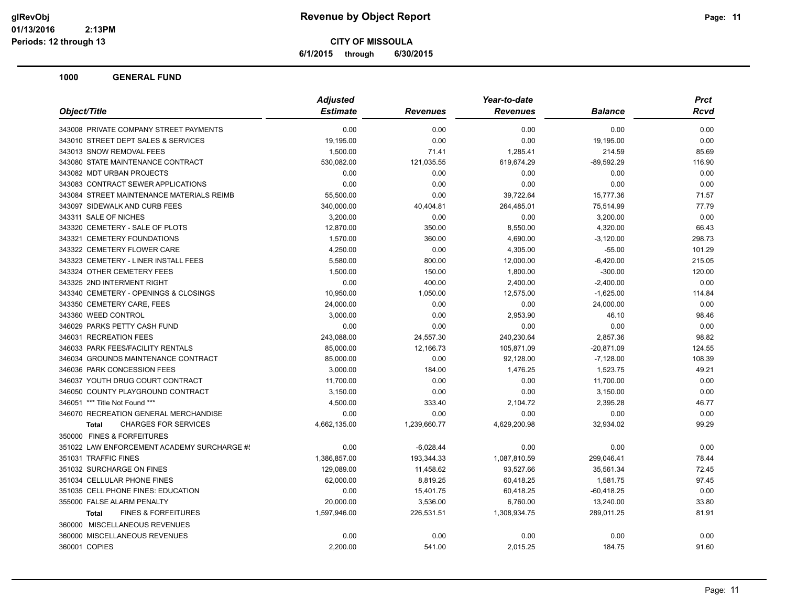**6/1/2015 through 6/30/2015**

| Object/Title                                   | <b>Adjusted</b><br><b>Estimate</b> | <b>Revenues</b> | Year-to-date<br><b>Revenues</b> | <b>Balance</b> | <b>Prct</b><br><b>Rcvd</b> |
|------------------------------------------------|------------------------------------|-----------------|---------------------------------|----------------|----------------------------|
|                                                |                                    |                 |                                 |                |                            |
| 343008 PRIVATE COMPANY STREET PAYMENTS         | 0.00                               | 0.00            | 0.00                            | 0.00           | 0.00                       |
| 343010 STREET DEPT SALES & SERVICES            | 19,195.00                          | 0.00            | 0.00                            | 19,195.00      | 0.00                       |
| 343013 SNOW REMOVAL FEES                       | 1,500.00                           | 71.41           | 1,285.41                        | 214.59         | 85.69                      |
| 343080 STATE MAINTENANCE CONTRACT              | 530,082.00                         | 121,035.55      | 619,674.29                      | $-89,592.29$   | 116.90                     |
| 343082 MDT URBAN PROJECTS                      | 0.00                               | 0.00            | 0.00                            | 0.00           | 0.00                       |
| 343083 CONTRACT SEWER APPLICATIONS             | 0.00                               | 0.00            | 0.00                            | 0.00           | 0.00                       |
| 343084 STREET MAINTENANCE MATERIALS REIMB      | 55,500.00                          | 0.00            | 39,722.64                       | 15,777.36      | 71.57                      |
| 343097 SIDEWALK AND CURB FEES                  | 340,000.00                         | 40,404.81       | 264,485.01                      | 75,514.99      | 77.79                      |
| 343311 SALE OF NICHES                          | 3,200.00                           | 0.00            | 0.00                            | 3,200.00       | 0.00                       |
| 343320 CEMETERY - SALE OF PLOTS                | 12,870.00                          | 350.00          | 8,550.00                        | 4,320.00       | 66.43                      |
| 343321 CEMETERY FOUNDATIONS                    | 1,570.00                           | 360.00          | 4,690.00                        | $-3,120.00$    | 298.73                     |
| 343322 CEMETERY FLOWER CARE                    | 4,250.00                           | 0.00            | 4,305.00                        | $-55.00$       | 101.29                     |
| 343323 CEMETERY - LINER INSTALL FEES           | 5,580.00                           | 800.00          | 12,000.00                       | $-6,420.00$    | 215.05                     |
| 343324 OTHER CEMETERY FEES                     | 1,500.00                           | 150.00          | 1,800.00                        | $-300.00$      | 120.00                     |
| 343325 2ND INTERMENT RIGHT                     | 0.00                               | 400.00          | 2,400.00                        | $-2,400.00$    | 0.00                       |
| 343340 CEMETERY - OPENINGS & CLOSINGS          | 10,950.00                          | 1,050.00        | 12,575.00                       | $-1,625.00$    | 114.84                     |
| 343350 CEMETERY CARE, FEES                     | 24,000.00                          | 0.00            | 0.00                            | 24,000.00      | 0.00                       |
| 343360 WEED CONTROL                            | 3,000.00                           | 0.00            | 2,953.90                        | 46.10          | 98.46                      |
| 346029 PARKS PETTY CASH FUND                   | 0.00                               | 0.00            | 0.00                            | 0.00           | 0.00                       |
| 346031 RECREATION FEES                         | 243,088.00                         | 24,557.30       | 240,230.64                      | 2,857.36       | 98.82                      |
| 346033 PARK FEES/FACILITY RENTALS              | 85,000.00                          | 12,166.73       | 105,871.09                      | $-20,871.09$   | 124.55                     |
| 346034 GROUNDS MAINTENANCE CONTRACT            | 85,000.00                          | 0.00            | 92,128.00                       | $-7,128.00$    | 108.39                     |
| 346036 PARK CONCESSION FEES                    | 3,000.00                           | 184.00          | 1,476.25                        | 1,523.75       | 49.21                      |
| 346037 YOUTH DRUG COURT CONTRACT               | 11,700.00                          | 0.00            | 0.00                            | 11,700.00      | 0.00                       |
| 346050 COUNTY PLAYGROUND CONTRACT              | 3,150.00                           | 0.00            | 0.00                            | 3,150.00       | 0.00                       |
| 346051 *** Title Not Found ***                 | 4,500.00                           | 333.40          | 2,104.72                        | 2,395.28       | 46.77                      |
| 346070 RECREATION GENERAL MERCHANDISE          | 0.00                               | 0.00            | 0.00                            | 0.00           | 0.00                       |
| <b>CHARGES FOR SERVICES</b><br><b>Total</b>    | 4,662,135.00                       | 1,239,660.77    | 4,629,200.98                    | 32,934.02      | 99.29                      |
| 350000 FINES & FORFEITURES                     |                                    |                 |                                 |                |                            |
| 351022 LAW ENFORCEMENT ACADEMY SURCHARGE #!    | 0.00                               | $-6,028.44$     | 0.00                            | 0.00           | 0.00                       |
| 351031 TRAFFIC FINES                           | 1,386,857.00                       | 193,344.33      | 1,087,810.59                    | 299,046.41     | 78.44                      |
| 351032 SURCHARGE ON FINES                      | 129,089.00                         | 11,458.62       | 93,527.66                       | 35,561.34      | 72.45                      |
| 351034 CELLULAR PHONE FINES                    | 62,000.00                          | 8,819.25        | 60,418.25                       | 1,581.75       | 97.45                      |
| 351035 CELL PHONE FINES: EDUCATION             | 0.00                               | 15,401.75       | 60,418.25                       | $-60,418.25$   | 0.00                       |
| 355000 FALSE ALARM PENALTY                     | 20,000.00                          | 3,536.00        | 6,760.00                        | 13,240.00      | 33.80                      |
| <b>FINES &amp; FORFEITURES</b><br><b>Total</b> | 1,597,946.00                       | 226,531.51      | 1,308,934.75                    | 289,011.25     | 81.91                      |
| 360000 MISCELLANEOUS REVENUES                  |                                    |                 |                                 |                |                            |
| 360000 MISCELLANEOUS REVENUES                  | 0.00                               | 0.00            | 0.00                            | 0.00           | 0.00                       |
|                                                |                                    |                 |                                 |                |                            |
| 360001 COPIES                                  | 2,200.00                           | 541.00          | 2,015.25                        | 184.75         | 91.60                      |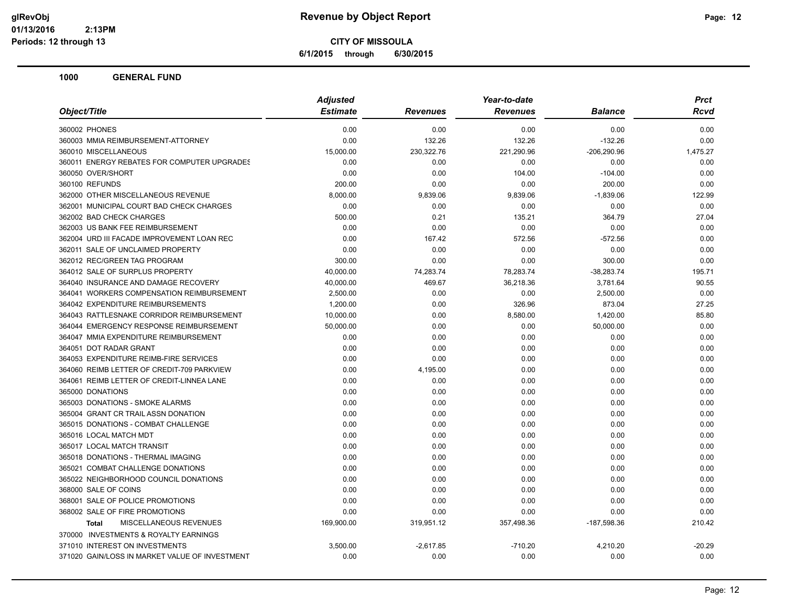**6/1/2015 through 6/30/2015**

| Object/Title                                   | <b>Adjusted</b> |                 | Year-to-date    |                | <b>Prct</b> |
|------------------------------------------------|-----------------|-----------------|-----------------|----------------|-------------|
|                                                | <b>Estimate</b> | <b>Revenues</b> | <b>Revenues</b> | <b>Balance</b> | Rcvd        |
| 360002 PHONES                                  | 0.00            | 0.00            | 0.00            | 0.00           | 0.00        |
| 360003 MMIA REIMBURSEMENT-ATTORNEY             | 0.00            | 132.26          | 132.26          | $-132.26$      | 0.00        |
| 360010 MISCELLANEOUS                           | 15,000.00       | 230,322.76      | 221,290.96      | $-206,290.96$  | 1,475.27    |
| 360011 ENERGY REBATES FOR COMPUTER UPGRADES    | 0.00            | 0.00            | 0.00            | 0.00           | 0.00        |
| 360050 OVER/SHORT                              | 0.00            | 0.00            | 104.00          | $-104.00$      | 0.00        |
| 360100 REFUNDS                                 | 200.00          | 0.00            | 0.00            | 200.00         | 0.00        |
| 362000 OTHER MISCELLANEOUS REVENUE             | 8,000.00        | 9,839.06        | 9,839.06        | $-1,839.06$    | 122.99      |
| 362001 MUNICIPAL COURT BAD CHECK CHARGES       | 0.00            | 0.00            | 0.00            | 0.00           | 0.00        |
| 362002 BAD CHECK CHARGES                       | 500.00          | 0.21            | 135.21          | 364.79         | 27.04       |
| 362003 US BANK FEE REIMBURSEMENT               | 0.00            | 0.00            | 0.00            | 0.00           | 0.00        |
| 362004 URD III FACADE IMPROVEMENT LOAN REC     | 0.00            | 167.42          | 572.56          | $-572.56$      | 0.00        |
| 362011 SALE OF UNCLAIMED PROPERTY              | 0.00            | 0.00            | 0.00            | 0.00           | 0.00        |
| 362012 REC/GREEN TAG PROGRAM                   | 300.00          | 0.00            | 0.00            | 300.00         | 0.00        |
| 364012 SALE OF SURPLUS PROPERTY                | 40,000.00       | 74,283.74       | 78,283.74       | $-38,283.74$   | 195.71      |
| 364040 INSURANCE AND DAMAGE RECOVERY           | 40,000.00       | 469.67          | 36,218.36       | 3,781.64       | 90.55       |
| 364041 WORKERS COMPENSATION REIMBURSEMENT      | 2,500.00        | 0.00            | 0.00            | 2,500.00       | 0.00        |
| 364042 EXPENDITURE REIMBURSEMENTS              | 1,200.00        | 0.00            | 326.96          | 873.04         | 27.25       |
| 364043 RATTLESNAKE CORRIDOR REIMBURSEMENT      | 10,000.00       | 0.00            | 8,580.00        | 1,420.00       | 85.80       |
| 364044 EMERGENCY RESPONSE REIMBURSEMENT        | 50,000.00       | 0.00            | 0.00            | 50,000.00      | 0.00        |
| 364047 MMIA EXPENDITURE REIMBURSEMENT          | 0.00            | 0.00            | 0.00            | 0.00           | 0.00        |
| 364051 DOT RADAR GRANT                         | 0.00            | 0.00            | 0.00            | 0.00           | 0.00        |
| 364053 EXPENDITURE REIMB-FIRE SERVICES         | 0.00            | 0.00            | 0.00            | 0.00           | 0.00        |
| 364060 REIMB LETTER OF CREDIT-709 PARKVIEW     | 0.00            | 4,195.00        | 0.00            | 0.00           | 0.00        |
| 364061 REIMB LETTER OF CREDIT-LINNEA LANE      | 0.00            | 0.00            | 0.00            | 0.00           | 0.00        |
| 365000 DONATIONS                               | 0.00            | 0.00            | 0.00            | 0.00           | 0.00        |
| 365003 DONATIONS - SMOKE ALARMS                | 0.00            | 0.00            | 0.00            | 0.00           | 0.00        |
| 365004 GRANT CR TRAIL ASSN DONATION            | 0.00            | 0.00            | 0.00            | 0.00           | 0.00        |
| 365015 DONATIONS - COMBAT CHALLENGE            | 0.00            | 0.00            | 0.00            | 0.00           | 0.00        |
| 365016 LOCAL MATCH MDT                         | 0.00            | 0.00            | 0.00            | 0.00           | 0.00        |
| 365017 LOCAL MATCH TRANSIT                     | 0.00            | 0.00            | 0.00            | 0.00           | 0.00        |
| 365018 DONATIONS - THERMAL IMAGING             | 0.00            | 0.00            | 0.00            | 0.00           | 0.00        |
| 365021 COMBAT CHALLENGE DONATIONS              | 0.00            | 0.00            | 0.00            | 0.00           | 0.00        |
| 365022 NEIGHBORHOOD COUNCIL DONATIONS          | 0.00            | 0.00            | 0.00            | 0.00           | 0.00        |
| 368000 SALE OF COINS                           | 0.00            | 0.00            | 0.00            | 0.00           | 0.00        |
| 368001 SALE OF POLICE PROMOTIONS               | 0.00            | 0.00            | 0.00            | 0.00           | 0.00        |
| 368002 SALE OF FIRE PROMOTIONS                 | 0.00            | 0.00            | 0.00            | 0.00           | 0.00        |
| MISCELLANEOUS REVENUES<br><b>Total</b>         | 169,900.00      | 319,951.12      | 357,498.36      | $-187,598.36$  | 210.42      |
| 370000 INVESTMENTS & ROYALTY EARNINGS          |                 |                 |                 |                |             |
| 371010 INTEREST ON INVESTMENTS                 | 3,500.00        | $-2,617.85$     | $-710.20$       | 4,210.20       | $-20.29$    |
| 371020 GAIN/LOSS IN MARKET VALUE OF INVESTMENT | 0.00            | 0.00            | 0.00            | 0.00           | 0.00        |
|                                                |                 |                 |                 |                |             |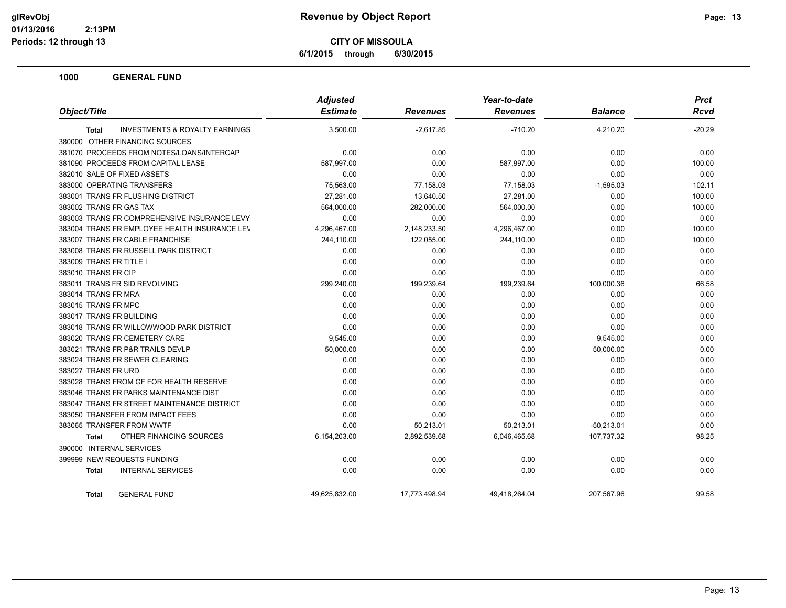## **glRevObj Revenue by Object Report Page: 13**

**CITY OF MISSOULA**

**6/1/2015 through 6/30/2015**

|                                                           | <b>Adjusted</b> |                 |                 | <b>Prct</b>    |             |
|-----------------------------------------------------------|-----------------|-----------------|-----------------|----------------|-------------|
| Object/Title                                              | <b>Estimate</b> | <b>Revenues</b> | <b>Revenues</b> | <b>Balance</b> | <b>Rcvd</b> |
| <b>INVESTMENTS &amp; ROYALTY EARNINGS</b><br><b>Total</b> | 3,500.00        | $-2,617.85$     | $-710.20$       | 4,210.20       | $-20.29$    |
| 380000 OTHER FINANCING SOURCES                            |                 |                 |                 |                |             |
| 381070 PROCEEDS FROM NOTES/LOANS/INTERCAP                 | 0.00            | 0.00            | 0.00            | 0.00           | 0.00        |
| 381090 PROCEEDS FROM CAPITAL LEASE                        | 587,997.00      | 0.00            | 587,997.00      | 0.00           | 100.00      |
| 382010 SALE OF FIXED ASSETS                               | 0.00            | 0.00            | 0.00            | 0.00           | 0.00        |
| 383000 OPERATING TRANSFERS                                | 75.563.00       | 77,158.03       | 77,158.03       | $-1,595.03$    | 102.11      |
| 383001 TRANS FR FLUSHING DISTRICT                         | 27.281.00       | 13,640.50       | 27.281.00       | 0.00           | 100.00      |
| 383002 TRANS FR GAS TAX                                   | 564,000.00      | 282,000.00      | 564,000.00      | 0.00           | 100.00      |
| 383003 TRANS FR COMPREHENSIVE INSURANCE LEVY              | 0.00            | 0.00            | 0.00            | 0.00           | 0.00        |
| 383004 TRANS FR EMPLOYEE HEALTH INSURANCE LEV             | 4,296,467.00    | 2,148,233.50    | 4,296,467.00    | 0.00           | 100.00      |
| 383007 TRANS FR CABLE FRANCHISE                           | 244,110.00      | 122,055.00      | 244,110.00      | 0.00           | 100.00      |
| 383008 TRANS FR RUSSELL PARK DISTRICT                     | 0.00            | 0.00            | 0.00            | 0.00           | 0.00        |
| 383009 TRANS FR TITLE I                                   | 0.00            | 0.00            | 0.00            | 0.00           | 0.00        |
| 383010 TRANS FR CIP                                       | 0.00            | 0.00            | 0.00            | 0.00           | 0.00        |
| 383011 TRANS FR SID REVOLVING                             | 299,240.00      | 199,239.64      | 199,239.64      | 100,000.36     | 66.58       |
| 383014 TRANS FR MRA                                       | 0.00            | 0.00            | 0.00            | 0.00           | 0.00        |
| 383015 TRANS FR MPC                                       | 0.00            | 0.00            | 0.00            | 0.00           | 0.00        |
| 383017 TRANS FR BUILDING                                  | 0.00            | 0.00            | 0.00            | 0.00           | 0.00        |
| 383018 TRANS FR WILLOWWOOD PARK DISTRICT                  | 0.00            | 0.00            | 0.00            | 0.00           | 0.00        |
| 383020 TRANS FR CEMETERY CARE                             | 9,545.00        | 0.00            | 0.00            | 9,545.00       | 0.00        |
| 383021 TRANS FR P&R TRAILS DEVLP                          | 50,000.00       | 0.00            | 0.00            | 50,000.00      | 0.00        |
| 383024 TRANS FR SEWER CLEARING                            | 0.00            | 0.00            | 0.00            | 0.00           | 0.00        |
| 383027 TRANS FR URD                                       | 0.00            | 0.00            | 0.00            | 0.00           | 0.00        |
| 383028 TRANS FROM GF FOR HEALTH RESERVE                   | 0.00            | 0.00            | 0.00            | 0.00           | 0.00        |
| 383046 TRANS FR PARKS MAINTENANCE DIST                    | 0.00            | 0.00            | 0.00            | 0.00           | 0.00        |
| 383047 TRANS FR STREET MAINTENANCE DISTRICT               | 0.00            | 0.00            | 0.00            | 0.00           | 0.00        |
| 383050 TRANSFER FROM IMPACT FEES                          | 0.00            | 0.00            | 0.00            | 0.00           | 0.00        |
| 383065 TRANSFER FROM WWTF                                 | 0.00            | 50,213.01       | 50,213.01       | $-50,213.01$   | 0.00        |
| OTHER FINANCING SOURCES<br><b>Total</b>                   | 6,154,203.00    | 2,892,539.68    | 6,046,465.68    | 107,737.32     | 98.25       |
| 390000 INTERNAL SERVICES                                  |                 |                 |                 |                |             |
| 399999 NEW REQUESTS FUNDING                               | 0.00            | 0.00            | 0.00            | 0.00           | 0.00        |
| <b>INTERNAL SERVICES</b><br><b>Total</b>                  | 0.00            | 0.00            | 0.00            | 0.00           | 0.00        |
| <b>GENERAL FUND</b><br><b>Total</b>                       | 49.625.832.00   | 17,773,498.94   | 49.418.264.04   | 207.567.96     | 99.58       |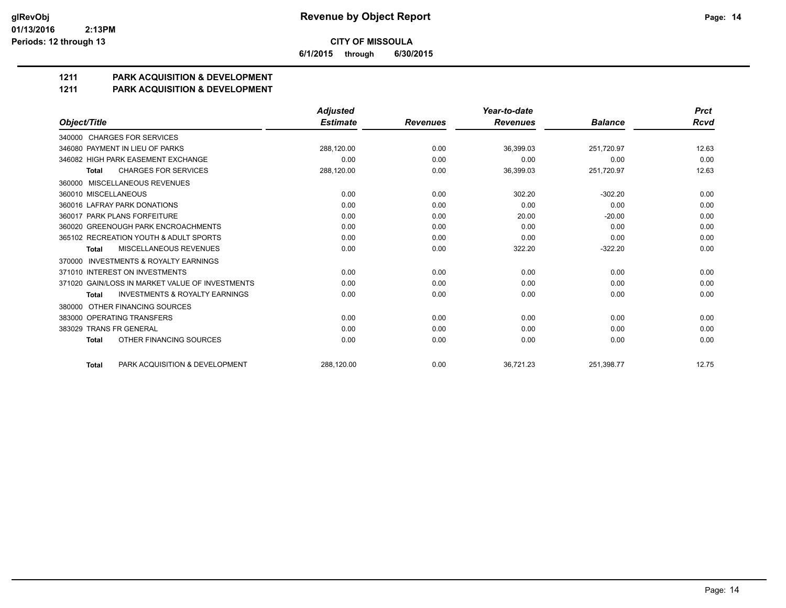**6/1/2015 through 6/30/2015**

## **1211 PARK ACQUISITION & DEVELOPMENT**

#### **1211 PARK ACQUISITION & DEVELOPMENT**

|                                                           | <b>Adjusted</b> |                 | Year-to-date    |                | <b>Prct</b> |
|-----------------------------------------------------------|-----------------|-----------------|-----------------|----------------|-------------|
| Object/Title                                              | <b>Estimate</b> | <b>Revenues</b> | <b>Revenues</b> | <b>Balance</b> | <b>Rcvd</b> |
| 340000 CHARGES FOR SERVICES                               |                 |                 |                 |                |             |
| 346080 PAYMENT IN LIEU OF PARKS                           | 288,120.00      | 0.00            | 36,399.03       | 251,720.97     | 12.63       |
| 346082 HIGH PARK EASEMENT EXCHANGE                        | 0.00            | 0.00            | 0.00            | 0.00           | 0.00        |
| <b>CHARGES FOR SERVICES</b><br><b>Total</b>               | 288,120.00      | 0.00            | 36,399.03       | 251,720.97     | 12.63       |
| MISCELLANEOUS REVENUES<br>360000                          |                 |                 |                 |                |             |
| 360010 MISCELLANEOUS                                      | 0.00            | 0.00            | 302.20          | $-302.20$      | 0.00        |
| 360016 LAFRAY PARK DONATIONS                              | 0.00            | 0.00            | 0.00            | 0.00           | 0.00        |
| 360017 PARK PLANS FORFEITURE                              | 0.00            | 0.00            | 20.00           | $-20.00$       | 0.00        |
| 360020 GREENOUGH PARK ENCROACHMENTS                       | 0.00            | 0.00            | 0.00            | 0.00           | 0.00        |
| 365102 RECREATION YOUTH & ADULT SPORTS                    | 0.00            | 0.00            | 0.00            | 0.00           | 0.00        |
| MISCELLANEOUS REVENUES<br><b>Total</b>                    | 0.00            | 0.00            | 322.20          | $-322.20$      | 0.00        |
| <b>INVESTMENTS &amp; ROYALTY EARNINGS</b><br>370000       |                 |                 |                 |                |             |
| 371010 INTEREST ON INVESTMENTS                            | 0.00            | 0.00            | 0.00            | 0.00           | 0.00        |
| 371020 GAIN/LOSS IN MARKET VALUE OF INVESTMENTS           | 0.00            | 0.00            | 0.00            | 0.00           | 0.00        |
| <b>INVESTMENTS &amp; ROYALTY EARNINGS</b><br><b>Total</b> | 0.00            | 0.00            | 0.00            | 0.00           | 0.00        |
| OTHER FINANCING SOURCES<br>380000                         |                 |                 |                 |                |             |
| 383000 OPERATING TRANSFERS                                | 0.00            | 0.00            | 0.00            | 0.00           | 0.00        |
| 383029 TRANS FR GENERAL                                   | 0.00            | 0.00            | 0.00            | 0.00           | 0.00        |
| OTHER FINANCING SOURCES<br><b>Total</b>                   | 0.00            | 0.00            | 0.00            | 0.00           | 0.00        |
| PARK ACQUISITION & DEVELOPMENT<br><b>Total</b>            | 288.120.00      | 0.00            | 36,721.23       | 251.398.77     | 12.75       |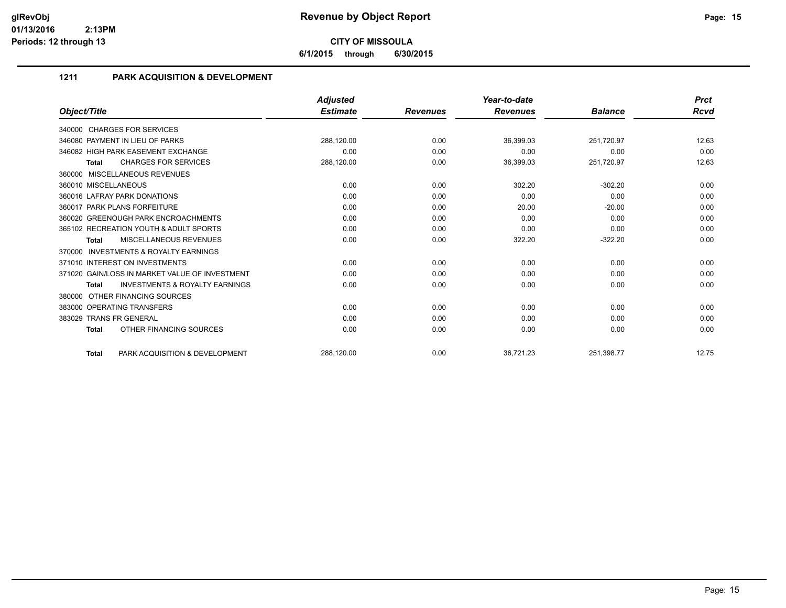**6/1/2015 through 6/30/2015**

## **1211 PARK ACQUISITION & DEVELOPMENT**

|                                                           | <b>Adjusted</b> |                 | Year-to-date    |                | <b>Prct</b> |
|-----------------------------------------------------------|-----------------|-----------------|-----------------|----------------|-------------|
| Object/Title                                              | <b>Estimate</b> | <b>Revenues</b> | <b>Revenues</b> | <b>Balance</b> | Rcvd        |
| 340000 CHARGES FOR SERVICES                               |                 |                 |                 |                |             |
| 346080 PAYMENT IN LIEU OF PARKS                           | 288,120.00      | 0.00            | 36,399.03       | 251,720.97     | 12.63       |
| 346082 HIGH PARK EASEMENT EXCHANGE                        | 0.00            | 0.00            | 0.00            | 0.00           | 0.00        |
| <b>CHARGES FOR SERVICES</b><br><b>Total</b>               | 288,120.00      | 0.00            | 36,399.03       | 251,720.97     | 12.63       |
| 360000 MISCELLANEOUS REVENUES                             |                 |                 |                 |                |             |
| 360010 MISCELLANEOUS                                      | 0.00            | 0.00            | 302.20          | $-302.20$      | 0.00        |
| 360016 LAFRAY PARK DONATIONS                              | 0.00            | 0.00            | 0.00            | 0.00           | 0.00        |
| 360017 PARK PLANS FORFEITURE                              | 0.00            | 0.00            | 20.00           | $-20.00$       | 0.00        |
| 360020 GREENOUGH PARK ENCROACHMENTS                       | 0.00            | 0.00            | 0.00            | 0.00           | 0.00        |
| 365102 RECREATION YOUTH & ADULT SPORTS                    | 0.00            | 0.00            | 0.00            | 0.00           | 0.00        |
| <b>MISCELLANEOUS REVENUES</b><br><b>Total</b>             | 0.00            | 0.00            | 322.20          | $-322.20$      | 0.00        |
| <b>INVESTMENTS &amp; ROYALTY EARNINGS</b><br>370000       |                 |                 |                 |                |             |
| 371010 INTEREST ON INVESTMENTS                            | 0.00            | 0.00            | 0.00            | 0.00           | 0.00        |
| 371020 GAIN/LOSS IN MARKET VALUE OF INVESTMENT            | 0.00            | 0.00            | 0.00            | 0.00           | 0.00        |
| <b>INVESTMENTS &amp; ROYALTY EARNINGS</b><br><b>Total</b> | 0.00            | 0.00            | 0.00            | 0.00           | 0.00        |
| OTHER FINANCING SOURCES<br>380000                         |                 |                 |                 |                |             |
| 383000 OPERATING TRANSFERS                                | 0.00            | 0.00            | 0.00            | 0.00           | 0.00        |
| 383029 TRANS FR GENERAL                                   | 0.00            | 0.00            | 0.00            | 0.00           | 0.00        |
| OTHER FINANCING SOURCES<br><b>Total</b>                   | 0.00            | 0.00            | 0.00            | 0.00           | 0.00        |
| PARK ACQUISITION & DEVELOPMENT<br><b>Total</b>            | 288,120.00      | 0.00            | 36,721.23       | 251,398.77     | 12.75       |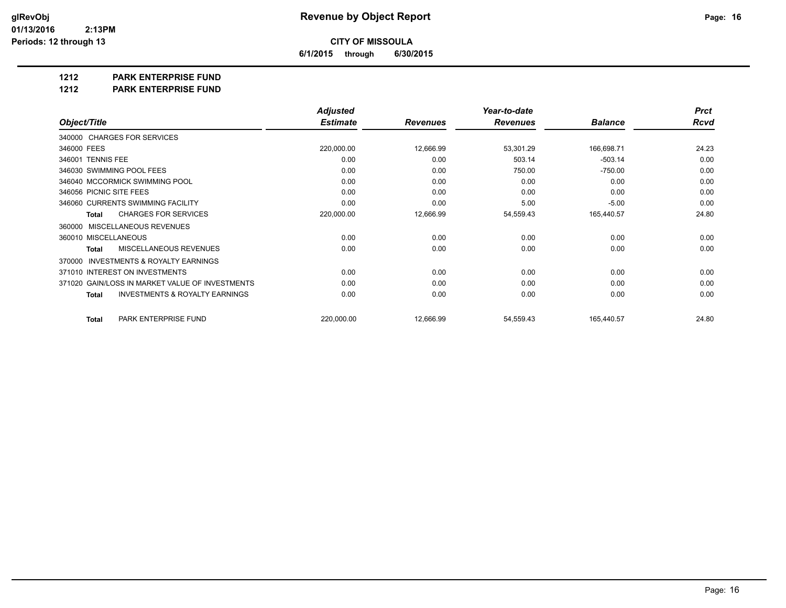**6/1/2015 through 6/30/2015**

**1212 PARK ENTERPRISE FUND**

**1212 PARK ENTERPRISE FUND**

|                                                           | <b>Adjusted</b> |                 | Year-to-date    |                | <b>Prct</b> |
|-----------------------------------------------------------|-----------------|-----------------|-----------------|----------------|-------------|
| Object/Title                                              | <b>Estimate</b> | <b>Revenues</b> | <b>Revenues</b> | <b>Balance</b> | <b>Rcvd</b> |
| 340000 CHARGES FOR SERVICES                               |                 |                 |                 |                |             |
| 346000 FEES                                               | 220,000.00      | 12,666.99       | 53,301.29       | 166,698.71     | 24.23       |
| 346001 TENNIS FEE                                         | 0.00            | 0.00            | 503.14          | $-503.14$      | 0.00        |
| 346030 SWIMMING POOL FEES                                 | 0.00            | 0.00            | 750.00          | $-750.00$      | 0.00        |
| 346040 MCCORMICK SWIMMING POOL                            | 0.00            | 0.00            | 0.00            | 0.00           | 0.00        |
| 346056 PICNIC SITE FEES                                   | 0.00            | 0.00            | 0.00            | 0.00           | 0.00        |
| 346060 CURRENTS SWIMMING FACILITY                         | 0.00            | 0.00            | 5.00            | $-5.00$        | 0.00        |
| <b>CHARGES FOR SERVICES</b><br>Total                      | 220,000.00      | 12,666.99       | 54,559.43       | 165,440.57     | 24.80       |
| MISCELLANEOUS REVENUES<br>360000                          |                 |                 |                 |                |             |
| 360010 MISCELLANEOUS                                      | 0.00            | 0.00            | 0.00            | 0.00           | 0.00        |
| MISCELLANEOUS REVENUES<br><b>Total</b>                    | 0.00            | 0.00            | 0.00            | 0.00           | 0.00        |
| <b>INVESTMENTS &amp; ROYALTY EARNINGS</b><br>370000       |                 |                 |                 |                |             |
| 371010 INTEREST ON INVESTMENTS                            | 0.00            | 0.00            | 0.00            | 0.00           | 0.00        |
| 371020 GAIN/LOSS IN MARKET VALUE OF INVESTMENTS           | 0.00            | 0.00            | 0.00            | 0.00           | 0.00        |
| <b>INVESTMENTS &amp; ROYALTY EARNINGS</b><br><b>Total</b> | 0.00            | 0.00            | 0.00            | 0.00           | 0.00        |
| PARK ENTERPRISE FUND<br><b>Total</b>                      | 220,000.00      | 12,666.99       | 54,559.43       | 165,440.57     | 24.80       |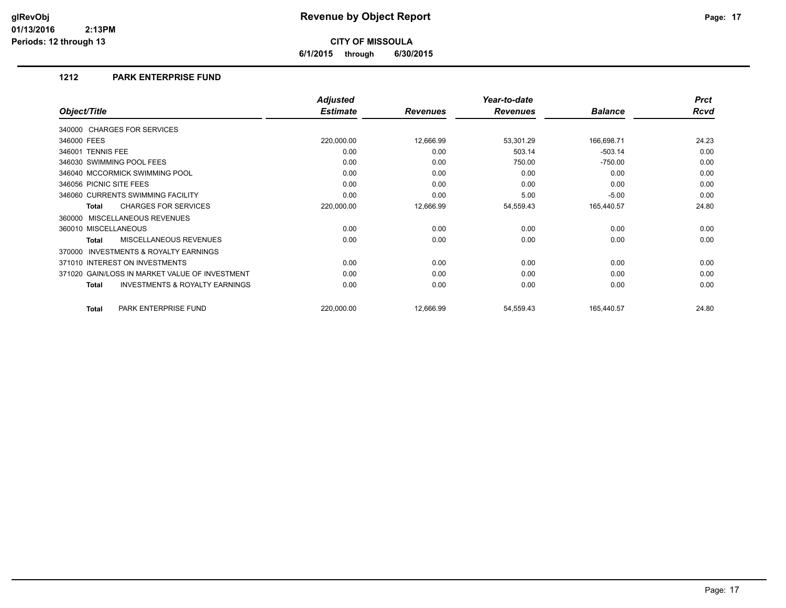**6/1/2015 through 6/30/2015**

#### **1212 PARK ENTERPRISE FUND**

|                                                           | <b>Adjusted</b> |                 | Year-to-date    |                | <b>Prct</b> |
|-----------------------------------------------------------|-----------------|-----------------|-----------------|----------------|-------------|
| Object/Title                                              | <b>Estimate</b> | <b>Revenues</b> | <b>Revenues</b> | <b>Balance</b> | <b>Rcvd</b> |
| 340000 CHARGES FOR SERVICES                               |                 |                 |                 |                |             |
| 346000 FEES                                               | 220,000.00      | 12,666.99       | 53,301.29       | 166,698.71     | 24.23       |
| 346001 TENNIS FEE                                         | 0.00            | 0.00            | 503.14          | $-503.14$      | 0.00        |
| 346030 SWIMMING POOL FEES                                 | 0.00            | 0.00            | 750.00          | $-750.00$      | 0.00        |
| 346040 MCCORMICK SWIMMING POOL                            | 0.00            | 0.00            | 0.00            | 0.00           | 0.00        |
| 346056 PICNIC SITE FEES                                   | 0.00            | 0.00            | 0.00            | 0.00           | 0.00        |
| 346060 CURRENTS SWIMMING FACILITY                         | 0.00            | 0.00            | 5.00            | $-5.00$        | 0.00        |
| <b>CHARGES FOR SERVICES</b><br><b>Total</b>               | 220,000.00      | 12,666.99       | 54,559.43       | 165,440.57     | 24.80       |
| 360000 MISCELLANEOUS REVENUES                             |                 |                 |                 |                |             |
| 360010 MISCELLANEOUS                                      | 0.00            | 0.00            | 0.00            | 0.00           | 0.00        |
| MISCELLANEOUS REVENUES<br><b>Total</b>                    | 0.00            | 0.00            | 0.00            | 0.00           | 0.00        |
| INVESTMENTS & ROYALTY EARNINGS<br>370000                  |                 |                 |                 |                |             |
| 371010 INTEREST ON INVESTMENTS                            | 0.00            | 0.00            | 0.00            | 0.00           | 0.00        |
| 371020 GAIN/LOSS IN MARKET VALUE OF INVESTMENT            | 0.00            | 0.00            | 0.00            | 0.00           | 0.00        |
| <b>INVESTMENTS &amp; ROYALTY EARNINGS</b><br><b>Total</b> | 0.00            | 0.00            | 0.00            | 0.00           | 0.00        |
| PARK ENTERPRISE FUND<br><b>Total</b>                      | 220,000.00      | 12,666.99       | 54,559.43       | 165,440.57     | 24.80       |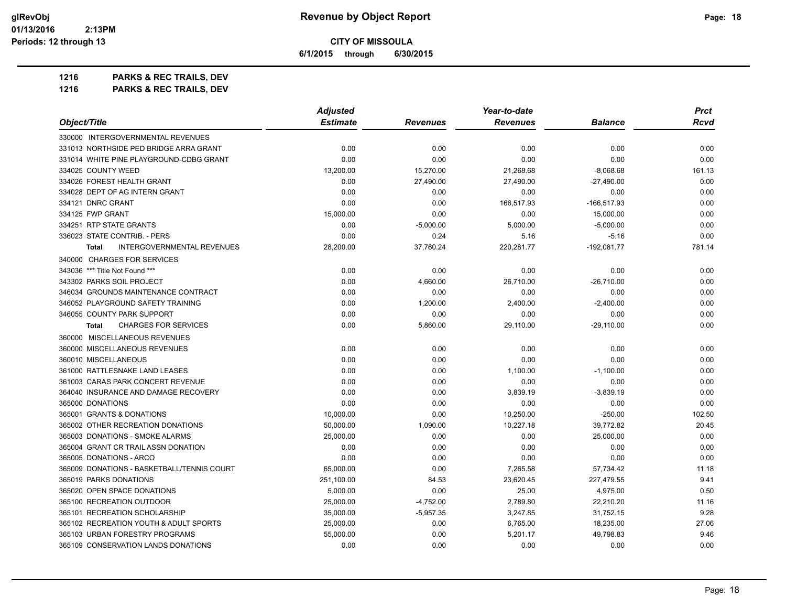**6/1/2015 through 6/30/2015**

**1216 PARKS & REC TRAILS, DEV**

**1216 PARKS & REC TRAILS, DEV**

| Object/Title                                      | <b>Adjusted</b> |                 | Year-to-date    |                | <b>Prct</b> |
|---------------------------------------------------|-----------------|-----------------|-----------------|----------------|-------------|
|                                                   | <b>Estimate</b> | <b>Revenues</b> | <b>Revenues</b> | <b>Balance</b> | <b>Rcvd</b> |
| 330000 INTERGOVERNMENTAL REVENUES                 |                 |                 |                 |                |             |
| 331013 NORTHSIDE PED BRIDGE ARRA GRANT            | 0.00            | 0.00            | 0.00            | 0.00           | 0.00        |
| 331014 WHITE PINE PLAYGROUND-CDBG GRANT           | 0.00            | 0.00            | 0.00            | 0.00           | 0.00        |
| 334025 COUNTY WEED                                | 13,200.00       | 15,270.00       | 21,268.68       | $-8,068.68$    | 161.13      |
| 334026 FOREST HEALTH GRANT                        | 0.00            | 27,490.00       | 27,490.00       | $-27,490.00$   | 0.00        |
| 334028 DEPT OF AG INTERN GRANT                    | 0.00            | 0.00            | 0.00            | 0.00           | 0.00        |
| 334121 DNRC GRANT                                 | 0.00            | 0.00            | 166,517.93      | -166,517.93    | 0.00        |
| 334125 FWP GRANT                                  | 15,000.00       | 0.00            | 0.00            | 15,000.00      | 0.00        |
| 334251 RTP STATE GRANTS                           | 0.00            | $-5,000.00$     | 5,000.00        | $-5,000.00$    | 0.00        |
| 336023 STATE CONTRIB. - PERS                      | 0.00            | 0.24            | 5.16            | $-5.16$        | 0.00        |
| <b>INTERGOVERNMENTAL REVENUES</b><br><b>Total</b> | 28,200.00       | 37,760.24       | 220,281.77      | $-192,081.77$  | 781.14      |
| 340000 CHARGES FOR SERVICES                       |                 |                 |                 |                |             |
| 343036 *** Title Not Found ***                    | 0.00            | 0.00            | 0.00            | 0.00           | 0.00        |
| 343302 PARKS SOIL PROJECT                         | 0.00            | 4,660.00        | 26,710.00       | $-26,710.00$   | 0.00        |
| 346034 GROUNDS MAINTENANCE CONTRACT               | 0.00            | 0.00            | 0.00            | 0.00           | 0.00        |
| 346052 PLAYGROUND SAFETY TRAINING                 | 0.00            | 1,200.00        | 2,400.00        | $-2,400.00$    | 0.00        |
| 346055 COUNTY PARK SUPPORT                        | 0.00            | 0.00            | 0.00            | 0.00           | 0.00        |
| <b>CHARGES FOR SERVICES</b><br><b>Total</b>       | 0.00            | 5,860.00        | 29,110.00       | $-29,110.00$   | 0.00        |
| 360000 MISCELLANEOUS REVENUES                     |                 |                 |                 |                |             |
| 360000 MISCELLANEOUS REVENUES                     | 0.00            | 0.00            | 0.00            | 0.00           | 0.00        |
| 360010 MISCELLANEOUS                              | 0.00            | 0.00            | 0.00            | 0.00           | 0.00        |
| 361000 RATTLESNAKE LAND LEASES                    | 0.00            | 0.00            | 1,100.00        | $-1,100.00$    | 0.00        |
| 361003 CARAS PARK CONCERT REVENUE                 | 0.00            | 0.00            | 0.00            | 0.00           | 0.00        |
| 364040 INSURANCE AND DAMAGE RECOVERY              | 0.00            | 0.00            | 3,839.19        | $-3,839.19$    | 0.00        |
| 365000 DONATIONS                                  | 0.00            | 0.00            | 0.00            | 0.00           | 0.00        |
| 365001 GRANTS & DONATIONS                         | 10,000.00       | 0.00            | 10,250.00       | $-250.00$      | 102.50      |
| 365002 OTHER RECREATION DONATIONS                 | 50,000.00       | 1,090.00        | 10,227.18       | 39,772.82      | 20.45       |
| 365003 DONATIONS - SMOKE ALARMS                   | 25,000.00       | 0.00            | 0.00            | 25,000.00      | 0.00        |
| 365004 GRANT CR TRAIL ASSN DONATION               | 0.00            | 0.00            | 0.00            | 0.00           | 0.00        |
| 365005 DONATIONS - ARCO                           | 0.00            | 0.00            | 0.00            | 0.00           | 0.00        |
| 365009 DONATIONS - BASKETBALL/TENNIS COURT        | 65,000.00       | 0.00            | 7,265.58        | 57,734.42      | 11.18       |
| 365019 PARKS DONATIONS                            | 251,100.00      | 84.53           | 23,620.45       | 227,479.55     | 9.41        |
| 365020 OPEN SPACE DONATIONS                       | 5,000.00        | 0.00            | 25.00           | 4,975.00       | 0.50        |
| 365100 RECREATION OUTDOOR                         | 25,000.00       | $-4,752.00$     | 2,789.80        | 22,210.20      | 11.16       |
| 365101 RECREATION SCHOLARSHIP                     | 35,000.00       | $-5,957.35$     | 3,247.85        | 31,752.15      | 9.28        |
| 365102 RECREATION YOUTH & ADULT SPORTS            | 25,000.00       | 0.00            | 6,765.00        | 18,235.00      | 27.06       |
| 365103 URBAN FORESTRY PROGRAMS                    | 55,000.00       | 0.00            | 5,201.17        | 49,798.83      | 9.46        |
| 365109 CONSERVATION LANDS DONATIONS               | 0.00            | 0.00            | 0.00            | 0.00           | 0.00        |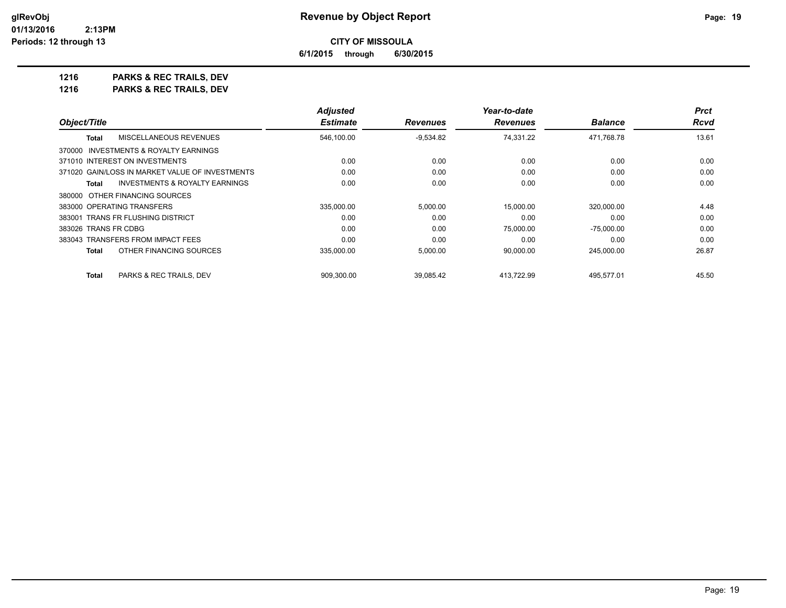*Prct Rcvd*

**CITY OF MISSOULA**

**6/1/2015 through 6/30/2015**

**1216 PARKS & REC TRAILS, DEV 1216 PARKS & REC TRAILS, DEV**

|                                                 | Adjusted        |                 | Year-to-date    |                | <b>Prct</b> |
|-------------------------------------------------|-----------------|-----------------|-----------------|----------------|-------------|
| Object/Title                                    | <b>Estimate</b> | <b>Revenues</b> | <b>Revenues</b> | <b>Balance</b> | Rcva        |
| <b>MISCELLANEOUS REVENUES</b><br><b>Total</b>   | 546.100.00      | $-9,534.82$     | 74.331.22       | 471.768.78     | 13.61       |
| 370000 INVESTMENTS & ROYALTY EARNINGS           |                 |                 |                 |                |             |
| 371010 INTEREST ON INVESTMENTS                  | 0.00            | 0.00            | 0.00            | 0.00           | 0.00        |
| 371020 GAIN/LOSS IN MARKET VALUE OF INVESTMENTS | 0.00            | 0.00            | 0.00            | 0.00           | 0.00        |
| INVESTMENTS & ROYALTY EARNINGS<br><b>Total</b>  | 0.00            | 0.00            | 0.00            | 0.00           | 0.00        |
| 380000 OTHER FINANCING SOURCES                  |                 |                 |                 |                |             |
| 383000 OPERATING TRANSFERS                      | 335.000.00      | 5,000.00        | 15,000.00       | 320,000.00     | 4.48        |
| 383001 TRANS FR FLUSHING DISTRICT               | 0.00            | 0.00            | 0.00            | 0.00           | 0.00        |
| 383026 TRANS FR CDBG                            | 0.00            | 0.00            | 75,000.00       | $-75,000.00$   | 0.00        |
| 383043 TRANSFERS FROM IMPACT FEES               | 0.00            | 0.00            | 0.00            | 0.00           | 0.00        |
| OTHER FINANCING SOURCES<br><b>Total</b>         | 335,000.00      | 5,000.00        | 90,000.00       | 245,000.00     | 26.87       |
| <b>Total</b><br>PARKS & REC TRAILS, DEV         | 909.300.00      | 39,085.42       | 413,722.99      | 495,577.01     | 45.50       |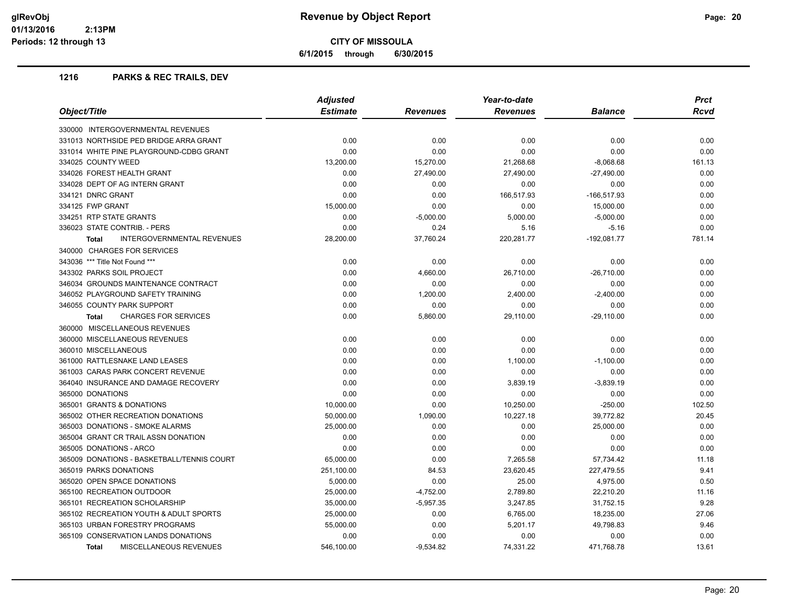**6/1/2015 through 6/30/2015**

#### **1216 PARKS & REC TRAILS, DEV**

| Object/Title                                      | <b>Adjusted</b> |             | Year-to-date    |                |             |
|---------------------------------------------------|-----------------|-------------|-----------------|----------------|-------------|
|                                                   | <b>Estimate</b> | Revenues    | <b>Revenues</b> | <b>Balance</b> | <b>Rcvd</b> |
| 330000 INTERGOVERNMENTAL REVENUES                 |                 |             |                 |                |             |
| 331013 NORTHSIDE PED BRIDGE ARRA GRANT            | 0.00            | 0.00        | 0.00            | 0.00           | 0.00        |
| 331014 WHITE PINE PLAYGROUND-CDBG GRANT           | 0.00            | 0.00        | 0.00            | 0.00           | 0.00        |
| 334025 COUNTY WEED                                | 13,200.00       | 15,270.00   | 21,268.68       | $-8,068.68$    | 161.13      |
| 334026 FOREST HEALTH GRANT                        | 0.00            | 27,490.00   | 27,490.00       | $-27,490.00$   | 0.00        |
| 334028 DEPT OF AG INTERN GRANT                    | 0.00            | 0.00        | 0.00            | 0.00           | 0.00        |
| 334121 DNRC GRANT                                 | 0.00            | 0.00        | 166,517.93      | $-166,517.93$  | 0.00        |
| 334125 FWP GRANT                                  | 15,000.00       | 0.00        | 0.00            | 15,000.00      | 0.00        |
| 334251 RTP STATE GRANTS                           | 0.00            | $-5,000.00$ | 5,000.00        | $-5,000.00$    | 0.00        |
| 336023 STATE CONTRIB. - PERS                      | 0.00            | 0.24        | 5.16            | $-5.16$        | 0.00        |
| <b>INTERGOVERNMENTAL REVENUES</b><br><b>Total</b> | 28,200.00       | 37,760.24   | 220,281.77      | $-192,081.77$  | 781.14      |
| 340000 CHARGES FOR SERVICES                       |                 |             |                 |                |             |
| 343036 *** Title Not Found ***                    | 0.00            | 0.00        | 0.00            | 0.00           | 0.00        |
| 343302 PARKS SOIL PROJECT                         | 0.00            | 4,660.00    | 26,710.00       | $-26,710.00$   | 0.00        |
| 346034 GROUNDS MAINTENANCE CONTRACT               | 0.00            | 0.00        | 0.00            | 0.00           | 0.00        |
| 346052 PLAYGROUND SAFETY TRAINING                 | 0.00            | 1,200.00    | 2,400.00        | $-2,400.00$    | 0.00        |
| 346055 COUNTY PARK SUPPORT                        | 0.00            | 0.00        | 0.00            | 0.00           | 0.00        |
| <b>CHARGES FOR SERVICES</b><br><b>Total</b>       | 0.00            | 5,860.00    | 29,110.00       | $-29,110.00$   | 0.00        |
| 360000 MISCELLANEOUS REVENUES                     |                 |             |                 |                |             |
| 360000 MISCELLANEOUS REVENUES                     | 0.00            | 0.00        | 0.00            | 0.00           | 0.00        |
| 360010 MISCELLANEOUS                              | 0.00            | 0.00        | 0.00            | 0.00           | 0.00        |
| 361000 RATTLESNAKE LAND LEASES                    | 0.00            | 0.00        | 1,100.00        | $-1,100.00$    | 0.00        |
| 361003 CARAS PARK CONCERT REVENUE                 | 0.00            | 0.00        | 0.00            | 0.00           | 0.00        |
| 364040 INSURANCE AND DAMAGE RECOVERY              | 0.00            | 0.00        | 3,839.19        | $-3,839.19$    | 0.00        |
| 365000 DONATIONS                                  | 0.00            | 0.00        | 0.00            | 0.00           | 0.00        |
| 365001 GRANTS & DONATIONS                         | 10,000.00       | 0.00        | 10,250.00       | $-250.00$      | 102.50      |
| 365002 OTHER RECREATION DONATIONS                 | 50,000.00       | 1,090.00    | 10,227.18       | 39,772.82      | 20.45       |
| 365003 DONATIONS - SMOKE ALARMS                   | 25,000.00       | 0.00        | 0.00            | 25,000.00      | 0.00        |
| 365004 GRANT CR TRAIL ASSN DONATION               | 0.00            | 0.00        | 0.00            | 0.00           | 0.00        |
| 365005 DONATIONS - ARCO                           | 0.00            | 0.00        | 0.00            | 0.00           | 0.00        |
| 365009 DONATIONS - BASKETBALL/TENNIS COURT        | 65,000.00       | 0.00        | 7,265.58        | 57,734.42      | 11.18       |
| 365019 PARKS DONATIONS                            | 251,100.00      | 84.53       | 23,620.45       | 227,479.55     | 9.41        |
| 365020 OPEN SPACE DONATIONS                       | 5,000.00        | 0.00        | 25.00           | 4,975.00       | 0.50        |
| 365100 RECREATION OUTDOOR                         | 25,000.00       | $-4,752.00$ | 2,789.80        | 22,210.20      | 11.16       |
| 365101 RECREATION SCHOLARSHIP                     | 35,000.00       | $-5,957.35$ | 3,247.85        | 31,752.15      | 9.28        |
| 365102 RECREATION YOUTH & ADULT SPORTS            | 25,000.00       | 0.00        | 6,765.00        | 18,235.00      | 27.06       |
| 365103 URBAN FORESTRY PROGRAMS                    | 55,000.00       | 0.00        | 5,201.17        | 49,798.83      | 9.46        |
| 365109 CONSERVATION LANDS DONATIONS               | 0.00            | 0.00        | 0.00            | 0.00           | 0.00        |
| MISCELLANEOUS REVENUES<br><b>Total</b>            | 546.100.00      | $-9.534.82$ | 74.331.22       | 471.768.78     | 13.61       |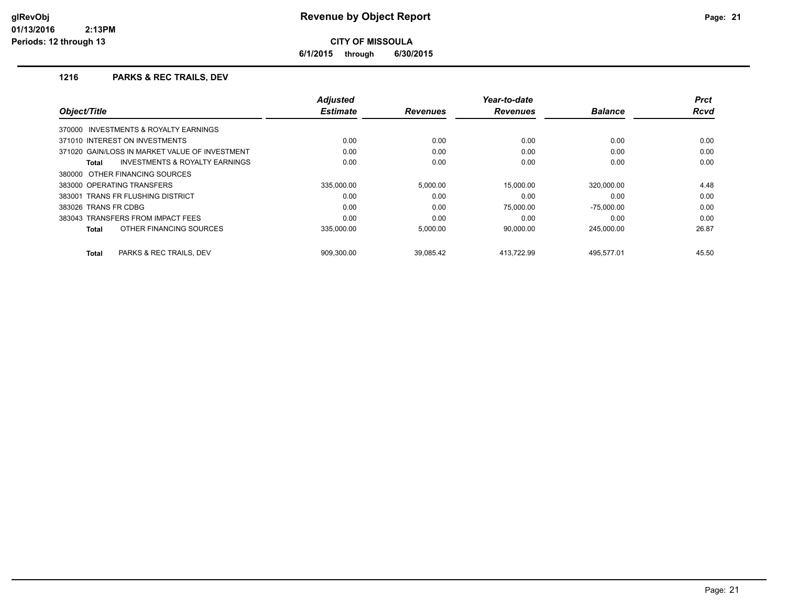**6/1/2015 through 6/30/2015**

#### **1216 PARKS & REC TRAILS, DEV**

|                                                    | <b>Adjusted</b> |                 | Year-to-date    |                | <b>Prct</b> |
|----------------------------------------------------|-----------------|-----------------|-----------------|----------------|-------------|
| Object/Title                                       | <b>Estimate</b> | <b>Revenues</b> | <b>Revenues</b> | <b>Balance</b> | <b>Rcvd</b> |
| 370000 INVESTMENTS & ROYALTY EARNINGS              |                 |                 |                 |                |             |
| 371010 INTEREST ON INVESTMENTS                     | 0.00            | 0.00            | 0.00            | 0.00           | 0.00        |
| 371020 GAIN/LOSS IN MARKET VALUE OF INVESTMENT     | 0.00            | 0.00            | 0.00            | 0.00           | 0.00        |
| <b>INVESTMENTS &amp; ROYALTY EARNINGS</b><br>Total | 0.00            | 0.00            | 0.00            | 0.00           | 0.00        |
| 380000 OTHER FINANCING SOURCES                     |                 |                 |                 |                |             |
| 383000 OPERATING TRANSFERS                         | 335.000.00      | 5.000.00        | 15.000.00       | 320,000.00     | 4.48        |
| 383001 TRANS FR FLUSHING DISTRICT                  | 0.00            | 0.00            | 0.00            | 0.00           | 0.00        |
| 383026 TRANS FR CDBG                               | 0.00            | 0.00            | 75.000.00       | $-75.000.00$   | 0.00        |
| 383043 TRANSFERS FROM IMPACT FEES                  | 0.00            | 0.00            | 0.00            | 0.00           | 0.00        |
| OTHER FINANCING SOURCES<br>Total                   | 335,000.00      | 5.000.00        | 90,000.00       | 245.000.00     | 26.87       |
| PARKS & REC TRAILS, DEV<br>Total                   | 909.300.00      | 39.085.42       | 413.722.99      | 495.577.01     | 45.50       |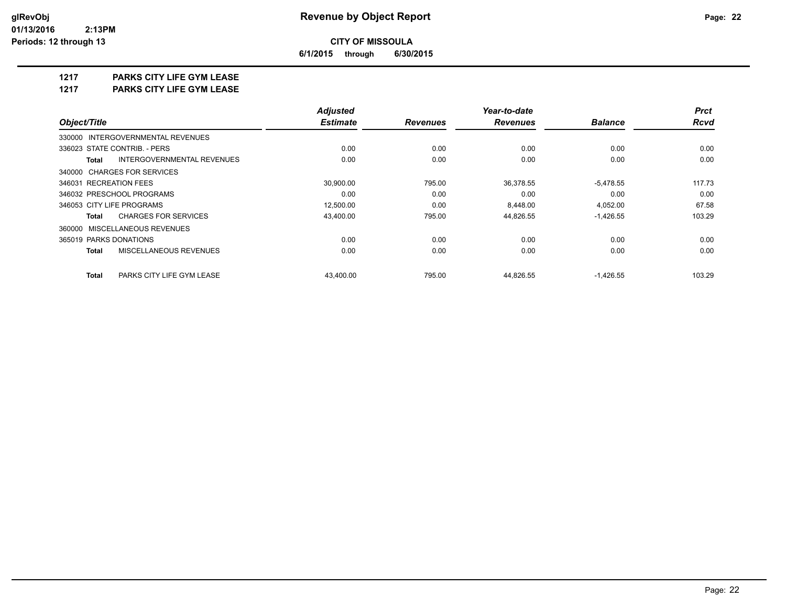**6/1/2015 through 6/30/2015**

## **1217 PARKS CITY LIFE GYM LEASE**

**1217 PARKS CITY LIFE GYM LEASE**

|                                            | <b>Adjusted</b> |                 | Year-to-date    |                | <b>Prct</b> |
|--------------------------------------------|-----------------|-----------------|-----------------|----------------|-------------|
| Object/Title                               | <b>Estimate</b> | <b>Revenues</b> | <b>Revenues</b> | <b>Balance</b> | <b>Rcvd</b> |
| 330000 INTERGOVERNMENTAL REVENUES          |                 |                 |                 |                |             |
| 336023 STATE CONTRIB. - PERS               | 0.00            | 0.00            | 0.00            | 0.00           | 0.00        |
| INTERGOVERNMENTAL REVENUES<br><b>Total</b> | 0.00            | 0.00            | 0.00            | 0.00           | 0.00        |
| 340000 CHARGES FOR SERVICES                |                 |                 |                 |                |             |
| 346031 RECREATION FEES                     | 30,900.00       | 795.00          | 36,378.55       | $-5,478.55$    | 117.73      |
| 346032 PRESCHOOL PROGRAMS                  | 0.00            | 0.00            | 0.00            | 0.00           | 0.00        |
| 346053 CITY LIFE PROGRAMS                  | 12,500.00       | 0.00            | 8,448.00        | 4,052.00       | 67.58       |
| <b>CHARGES FOR SERVICES</b><br>Total       | 43,400.00       | 795.00          | 44,826.55       | $-1,426.55$    | 103.29      |
| 360000 MISCELLANEOUS REVENUES              |                 |                 |                 |                |             |
| 365019 PARKS DONATIONS                     | 0.00            | 0.00            | 0.00            | 0.00           | 0.00        |
| MISCELLANEOUS REVENUES<br><b>Total</b>     | 0.00            | 0.00            | 0.00            | 0.00           | 0.00        |
| <b>Total</b><br>PARKS CITY LIFE GYM LEASE  | 43.400.00       | 795.00          | 44.826.55       | $-1,426.55$    | 103.29      |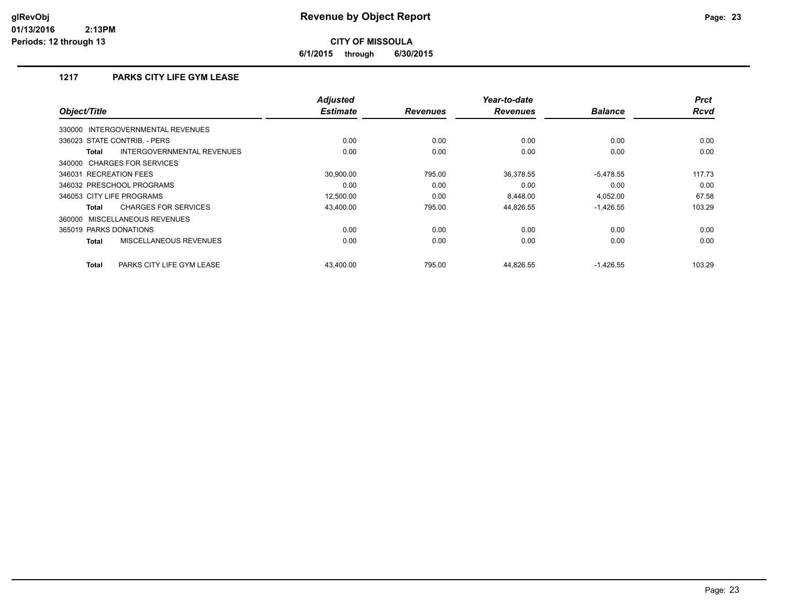**6/1/2015 through 6/30/2015**

## **1217 PARKS CITY LIFE GYM LEASE**

| Object/Title                                  | <b>Adjusted</b><br><b>Estimate</b> | <b>Revenues</b> | Year-to-date<br><b>Revenues</b> | <b>Balance</b> | <b>Prct</b><br><b>Rcvd</b> |
|-----------------------------------------------|------------------------------------|-----------------|---------------------------------|----------------|----------------------------|
| INTERGOVERNMENTAL REVENUES<br>330000          |                                    |                 |                                 |                |                            |
| 336023 STATE CONTRIB. - PERS                  | 0.00                               | 0.00            | 0.00                            | 0.00           | 0.00                       |
| INTERGOVERNMENTAL REVENUES<br><b>Total</b>    | 0.00                               | 0.00            | 0.00                            | 0.00           | 0.00                       |
| 340000 CHARGES FOR SERVICES                   |                                    |                 |                                 |                |                            |
| 346031 RECREATION FEES                        | 30.900.00                          | 795.00          | 36.378.55                       | $-5.478.55$    | 117.73                     |
| 346032 PRESCHOOL PROGRAMS                     | 0.00                               | 0.00            | 0.00                            | 0.00           | 0.00                       |
| 346053 CITY LIFE PROGRAMS                     | 12,500.00                          | 0.00            | 8.448.00                        | 4,052.00       | 67.58                      |
| <b>CHARGES FOR SERVICES</b><br><b>Total</b>   | 43,400.00                          | 795.00          | 44,826.55                       | $-1,426.55$    | 103.29                     |
| 360000 MISCELLANEOUS REVENUES                 |                                    |                 |                                 |                |                            |
| 365019 PARKS DONATIONS                        | 0.00                               | 0.00            | 0.00                            | 0.00           | 0.00                       |
| <b>MISCELLANEOUS REVENUES</b><br><b>Total</b> | 0.00                               | 0.00            | 0.00                            | 0.00           | 0.00                       |
| PARKS CITY LIFE GYM LEASE<br><b>Total</b>     | 43,400.00                          | 795.00          | 44,826.55                       | $-1,426.55$    | 103.29                     |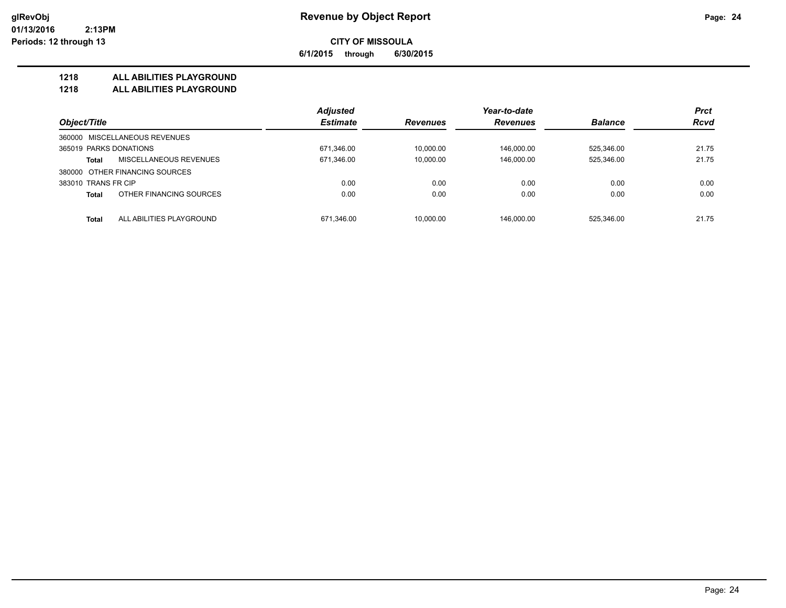**6/1/2015 through 6/30/2015**

#### **1218 ALL ABILITIES PLAYGROUND**

**1218 ALL ABILITIES PLAYGROUND**

|                                          | <b>Adjusted</b> |                 | Year-to-date    |                | <b>Prct</b> |
|------------------------------------------|-----------------|-----------------|-----------------|----------------|-------------|
| Object/Title                             | <b>Estimate</b> | <b>Revenues</b> | <b>Revenues</b> | <b>Balance</b> | <b>Rcvd</b> |
| 360000 MISCELLANEOUS REVENUES            |                 |                 |                 |                |             |
| 365019 PARKS DONATIONS                   | 671,346.00      | 10,000.00       | 146.000.00      | 525,346.00     | 21.75       |
| MISCELLANEOUS REVENUES<br><b>Total</b>   | 671,346.00      | 10.000.00       | 146.000.00      | 525,346.00     | 21.75       |
| 380000 OTHER FINANCING SOURCES           |                 |                 |                 |                |             |
| 383010 TRANS FR CIP                      | 0.00            | 0.00            | 0.00            | 0.00           | 0.00        |
| OTHER FINANCING SOURCES<br><b>Total</b>  | 0.00            | 0.00            | 0.00            | 0.00           | 0.00        |
|                                          |                 |                 |                 |                |             |
| ALL ABILITIES PLAYGROUND<br><b>Total</b> | 671.346.00      | 10.000.00       | 146.000.00      | 525.346.00     | 21.75       |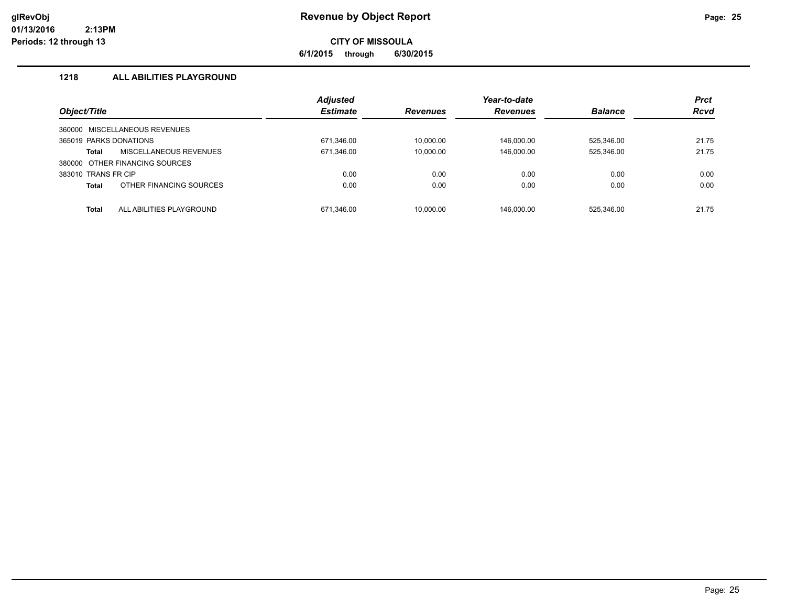**6/1/2015 through 6/30/2015**

## **1218 ALL ABILITIES PLAYGROUND**

|                        |                                | <b>Adjusted</b> |                 | Year-to-date    |                | <b>Prct</b> |
|------------------------|--------------------------------|-----------------|-----------------|-----------------|----------------|-------------|
| Object/Title           |                                | <b>Estimate</b> | <b>Revenues</b> | <b>Revenues</b> | <b>Balance</b> | <b>Rcvd</b> |
|                        | 360000 MISCELLANEOUS REVENUES  |                 |                 |                 |                |             |
| 365019 PARKS DONATIONS |                                | 671,346.00      | 10.000.00       | 146.000.00      | 525,346.00     | 21.75       |
| <b>Total</b>           | MISCELLANEOUS REVENUES         | 671,346.00      | 10.000.00       | 146.000.00      | 525,346.00     | 21.75       |
|                        | 380000 OTHER FINANCING SOURCES |                 |                 |                 |                |             |
| 383010 TRANS FR CIP    |                                | 0.00            | 0.00            | 0.00            | 0.00           | 0.00        |
| <b>Total</b>           | OTHER FINANCING SOURCES        | 0.00            | 0.00            | 0.00            | 0.00           | 0.00        |
| <b>Total</b>           | ALL ABILITIES PLAYGROUND       | 671,346.00      | 10.000.00       | 146.000.00      | 525.346.00     | 21.75       |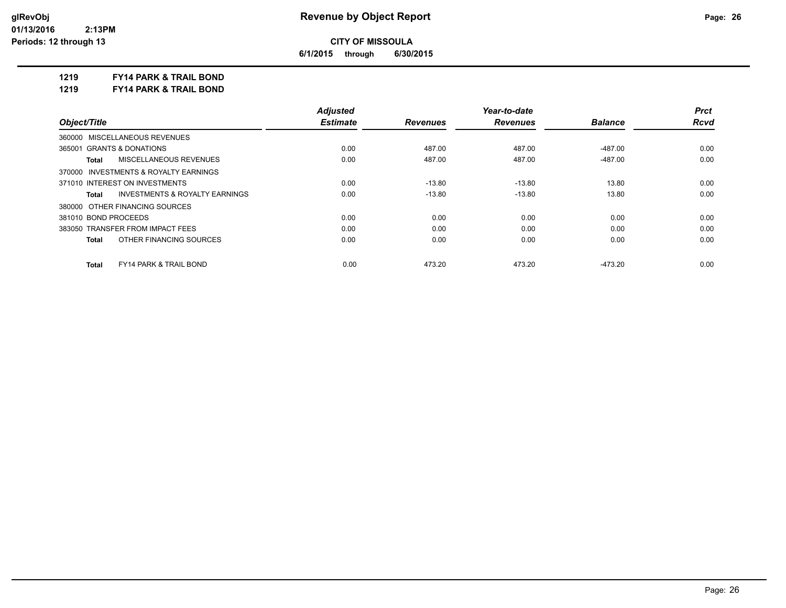**6/1/2015 through 6/30/2015**

**1219 FY14 PARK & TRAIL BOND**

**1219 FY14 PARK & TRAIL BOND**

|                                                           | <b>Adjusted</b> |                 | Year-to-date    |                | Prct        |
|-----------------------------------------------------------|-----------------|-----------------|-----------------|----------------|-------------|
| Object/Title                                              | <b>Estimate</b> | <b>Revenues</b> | <b>Revenues</b> | <b>Balance</b> | <b>Rcvd</b> |
| 360000 MISCELLANEOUS REVENUES                             |                 |                 |                 |                |             |
| 365001 GRANTS & DONATIONS                                 | 0.00            | 487.00          | 487.00          | -487.00        | 0.00        |
| MISCELLANEOUS REVENUES<br>Total                           | 0.00            | 487.00          | 487.00          | $-487.00$      | 0.00        |
| 370000 INVESTMENTS & ROYALTY EARNINGS                     |                 |                 |                 |                |             |
| 371010 INTEREST ON INVESTMENTS                            | 0.00            | $-13.80$        | $-13.80$        | 13.80          | 0.00        |
| <b>INVESTMENTS &amp; ROYALTY EARNINGS</b><br><b>Total</b> | 0.00            | $-13.80$        | $-13.80$        | 13.80          | 0.00        |
| 380000 OTHER FINANCING SOURCES                            |                 |                 |                 |                |             |
| 381010 BOND PROCEEDS                                      | 0.00            | 0.00            | 0.00            | 0.00           | 0.00        |
| 383050 TRANSFER FROM IMPACT FEES                          | 0.00            | 0.00            | 0.00            | 0.00           | 0.00        |
| OTHER FINANCING SOURCES<br><b>Total</b>                   | 0.00            | 0.00            | 0.00            | 0.00           | 0.00        |
| <b>FY14 PARK &amp; TRAIL BOND</b><br><b>Total</b>         | 0.00            | 473.20          | 473.20          | $-473.20$      | 0.00        |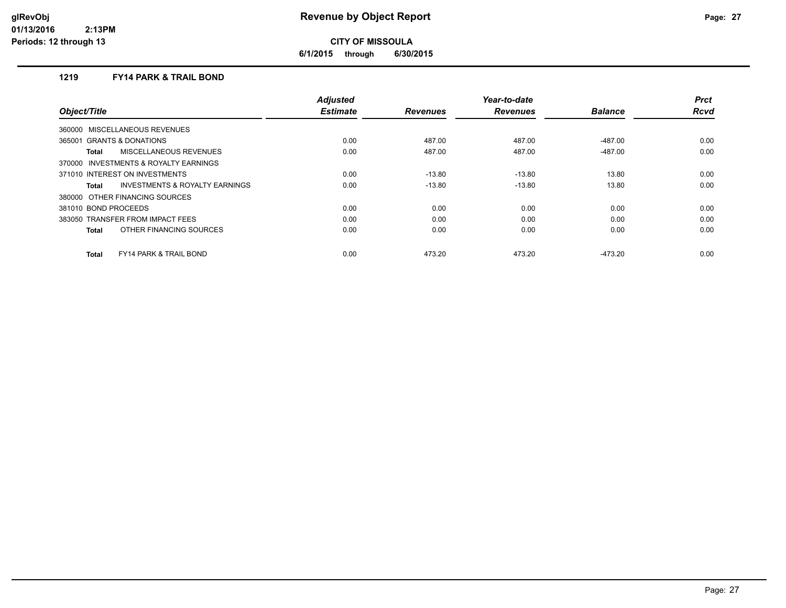**6/1/2015 through 6/30/2015**

## **1219 FY14 PARK & TRAIL BOND**

| Object/Title                               | <b>Adjusted</b><br><b>Estimate</b> | <b>Revenues</b> | Year-to-date<br><b>Revenues</b> | <b>Balance</b> | <b>Prct</b><br><b>Rcvd</b> |
|--------------------------------------------|------------------------------------|-----------------|---------------------------------|----------------|----------------------------|
|                                            |                                    |                 |                                 |                |                            |
| <b>MISCELLANEOUS REVENUES</b><br>360000    |                                    |                 |                                 |                |                            |
| 365001 GRANTS & DONATIONS                  | 0.00                               | 487.00          | 487.00                          | $-487.00$      | 0.00                       |
| MISCELLANEOUS REVENUES<br>Total            | 0.00                               | 487.00          | 487.00                          | $-487.00$      | 0.00                       |
| INVESTMENTS & ROYALTY EARNINGS<br>370000   |                                    |                 |                                 |                |                            |
| 371010 INTEREST ON INVESTMENTS             | 0.00                               | $-13.80$        | $-13.80$                        | 13.80          | 0.00                       |
| INVESTMENTS & ROYALTY EARNINGS<br>Total    | 0.00                               | $-13.80$        | $-13.80$                        | 13.80          | 0.00                       |
| 380000 OTHER FINANCING SOURCES             |                                    |                 |                                 |                |                            |
| 381010 BOND PROCEEDS                       | 0.00                               | 0.00            | 0.00                            | 0.00           | 0.00                       |
| 383050 TRANSFER FROM IMPACT FEES           | 0.00                               | 0.00            | 0.00                            | 0.00           | 0.00                       |
| OTHER FINANCING SOURCES<br>Total           | 0.00                               | 0.00            | 0.00                            | 0.00           | 0.00                       |
| <b>FY14 PARK &amp; TRAIL BOND</b><br>Total | 0.00                               | 473.20          | 473.20                          | $-473.20$      | 0.00                       |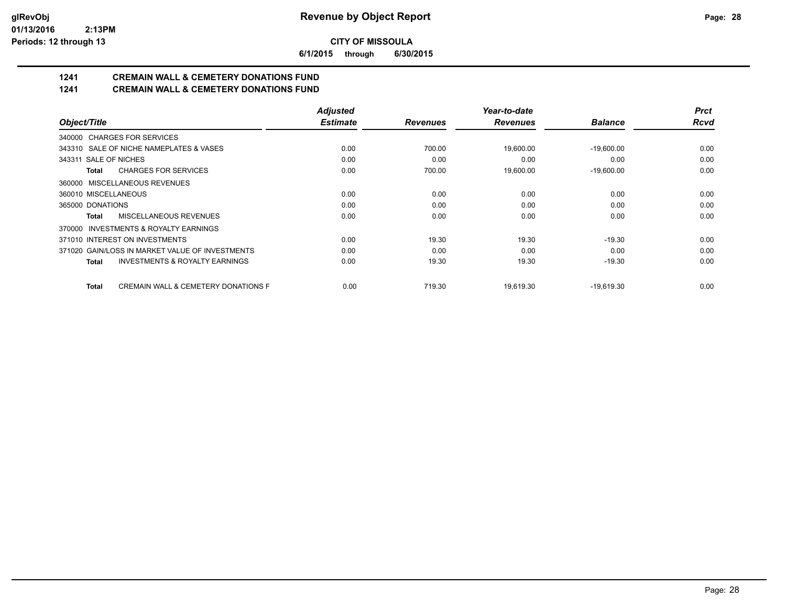**6/1/2015 through 6/30/2015**

## **1241 CREMAIN WALL & CEMETERY DONATIONS FUND**

## **1241 CREMAIN WALL & CEMETERY DONATIONS FUND**

|                                                           | <b>Adjusted</b> |                 | Year-to-date    |                | <b>Prct</b> |
|-----------------------------------------------------------|-----------------|-----------------|-----------------|----------------|-------------|
| Object/Title                                              | <b>Estimate</b> | <b>Revenues</b> | <b>Revenues</b> | <b>Balance</b> | <b>Rcvd</b> |
| 340000 CHARGES FOR SERVICES                               |                 |                 |                 |                |             |
| 343310 SALE OF NICHE NAMEPLATES & VASES                   | 0.00            | 700.00          | 19,600.00       | $-19,600.00$   | 0.00        |
| 343311 SALE OF NICHES                                     | 0.00            | 0.00            | 0.00            | 0.00           | 0.00        |
| <b>CHARGES FOR SERVICES</b><br>Total                      | 0.00            | 700.00          | 19,600.00       | $-19,600.00$   | 0.00        |
| 360000 MISCELLANEOUS REVENUES                             |                 |                 |                 |                |             |
| 360010 MISCELLANEOUS                                      | 0.00            | 0.00            | 0.00            | 0.00           | 0.00        |
| 365000 DONATIONS                                          | 0.00            | 0.00            | 0.00            | 0.00           | 0.00        |
| MISCELLANEOUS REVENUES<br><b>Total</b>                    | 0.00            | 0.00            | 0.00            | 0.00           | 0.00        |
| 370000 INVESTMENTS & ROYALTY EARNINGS                     |                 |                 |                 |                |             |
| 371010 INTEREST ON INVESTMENTS                            | 0.00            | 19.30           | 19.30           | $-19.30$       | 0.00        |
| 371020 GAIN/LOSS IN MARKET VALUE OF INVESTMENTS           | 0.00            | 0.00            | 0.00            | 0.00           | 0.00        |
| <b>INVESTMENTS &amp; ROYALTY EARNINGS</b><br><b>Total</b> | 0.00            | 19.30           | 19.30           | $-19.30$       | 0.00        |
| CREMAIN WALL & CEMETERY DONATIONS F<br><b>Total</b>       | 0.00            | 719.30          | 19,619.30       | $-19,619.30$   | 0.00        |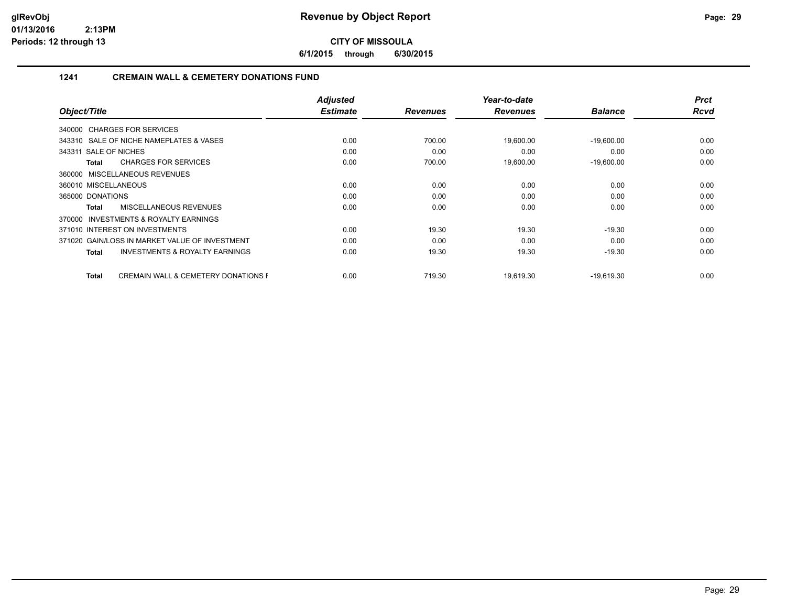**6/1/2015 through 6/30/2015**

## **1241 CREMAIN WALL & CEMETERY DONATIONS FUND**

| Object/Title                                                   | <b>Adjusted</b><br><b>Estimate</b> | <b>Revenues</b> | Year-to-date<br><b>Revenues</b> | <b>Balance</b> | <b>Prct</b><br><b>Rcvd</b> |
|----------------------------------------------------------------|------------------------------------|-----------------|---------------------------------|----------------|----------------------------|
|                                                                |                                    |                 |                                 |                |                            |
| 340000 CHARGES FOR SERVICES                                    |                                    |                 |                                 |                |                            |
| 343310 SALE OF NICHE NAMEPLATES & VASES                        | 0.00                               | 700.00          | 19,600.00                       | $-19.600.00$   | 0.00                       |
| 343311 SALE OF NICHES                                          | 0.00                               | 0.00            | 0.00                            | 0.00           | 0.00                       |
| <b>CHARGES FOR SERVICES</b><br>Total                           | 0.00                               | 700.00          | 19,600.00                       | $-19,600.00$   | 0.00                       |
| 360000 MISCELLANEOUS REVENUES                                  |                                    |                 |                                 |                |                            |
| 360010 MISCELLANEOUS                                           | 0.00                               | 0.00            | 0.00                            | 0.00           | 0.00                       |
| 365000 DONATIONS                                               | 0.00                               | 0.00            | 0.00                            | 0.00           | 0.00                       |
| <b>MISCELLANEOUS REVENUES</b><br>Total                         | 0.00                               | 0.00            | 0.00                            | 0.00           | 0.00                       |
| INVESTMENTS & ROYALTY EARNINGS<br>370000                       |                                    |                 |                                 |                |                            |
| 371010 INTEREST ON INVESTMENTS                                 | 0.00                               | 19.30           | 19.30                           | -19.30         | 0.00                       |
| 371020 GAIN/LOSS IN MARKET VALUE OF INVESTMENT                 | 0.00                               | 0.00            | 0.00                            | 0.00           | 0.00                       |
| <b>INVESTMENTS &amp; ROYALTY EARNINGS</b><br><b>Total</b>      | 0.00                               | 19.30           | 19.30                           | $-19.30$       | 0.00                       |
|                                                                |                                    |                 |                                 |                |                            |
| <b>CREMAIN WALL &amp; CEMETERY DONATIONS F</b><br><b>Total</b> | 0.00                               | 719.30          | 19,619.30                       | $-19.619.30$   | 0.00                       |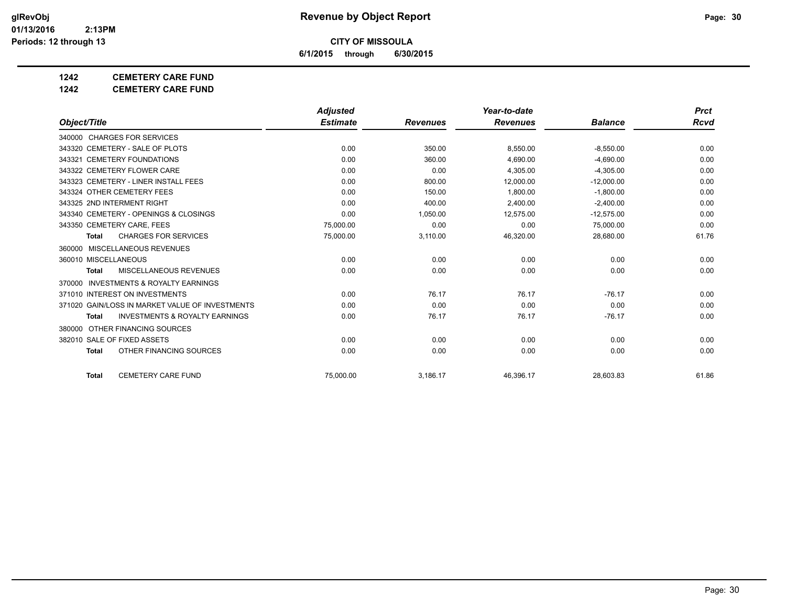**6/1/2015 through 6/30/2015**

## **1242 CEMETERY CARE FUND**

**1242 CEMETERY CARE FUND**

|                                                           | <b>Adjusted</b> |                 | Year-to-date    |                | <b>Prct</b> |
|-----------------------------------------------------------|-----------------|-----------------|-----------------|----------------|-------------|
| Object/Title                                              | <b>Estimate</b> | <b>Revenues</b> | <b>Revenues</b> | <b>Balance</b> | Rcvd        |
| 340000 CHARGES FOR SERVICES                               |                 |                 |                 |                |             |
| 343320 CEMETERY - SALE OF PLOTS                           | 0.00            | 350.00          | 8,550.00        | $-8,550.00$    | 0.00        |
| 343321 CEMETERY FOUNDATIONS                               | 0.00            | 360.00          | 4.690.00        | $-4.690.00$    | 0.00        |
| 343322 CEMETERY FLOWER CARE                               | 0.00            | 0.00            | 4,305.00        | $-4,305.00$    | 0.00        |
| 343323 CEMETERY - LINER INSTALL FEES                      | 0.00            | 800.00          | 12,000.00       | $-12,000.00$   | 0.00        |
| 343324 OTHER CEMETERY FEES                                | 0.00            | 150.00          | 1.800.00        | $-1.800.00$    | 0.00        |
| 343325 2ND INTERMENT RIGHT                                | 0.00            | 400.00          | 2,400.00        | $-2.400.00$    | 0.00        |
| 343340 CEMETERY - OPENINGS & CLOSINGS                     | 0.00            | 1,050.00        | 12,575.00       | $-12,575.00$   | 0.00        |
| 343350 CEMETERY CARE, FEES                                | 75.000.00       | 0.00            | 0.00            | 75,000.00      | 0.00        |
| <b>CHARGES FOR SERVICES</b><br><b>Total</b>               | 75,000.00       | 3,110.00        | 46,320.00       | 28,680.00      | 61.76       |
| 360000 MISCELLANEOUS REVENUES                             |                 |                 |                 |                |             |
| 360010 MISCELLANEOUS                                      | 0.00            | 0.00            | 0.00            | 0.00           | 0.00        |
| <b>MISCELLANEOUS REVENUES</b><br><b>Total</b>             | 0.00            | 0.00            | 0.00            | 0.00           | 0.00        |
| <b>INVESTMENTS &amp; ROYALTY EARNINGS</b><br>370000       |                 |                 |                 |                |             |
| 371010 INTEREST ON INVESTMENTS                            | 0.00            | 76.17           | 76.17           | $-76.17$       | 0.00        |
| 371020 GAIN/LOSS IN MARKET VALUE OF INVESTMENTS           | 0.00            | 0.00            | 0.00            | 0.00           | 0.00        |
| <b>INVESTMENTS &amp; ROYALTY EARNINGS</b><br><b>Total</b> | 0.00            | 76.17           | 76.17           | $-76.17$       | 0.00        |
| 380000 OTHER FINANCING SOURCES                            |                 |                 |                 |                |             |
| 382010 SALE OF FIXED ASSETS                               | 0.00            | 0.00            | 0.00            | 0.00           | 0.00        |
| OTHER FINANCING SOURCES<br><b>Total</b>                   | 0.00            | 0.00            | 0.00            | 0.00           | 0.00        |
| <b>CEMETERY CARE FUND</b><br><b>Total</b>                 | 75.000.00       | 3,186.17        | 46,396.17       | 28.603.83      | 61.86       |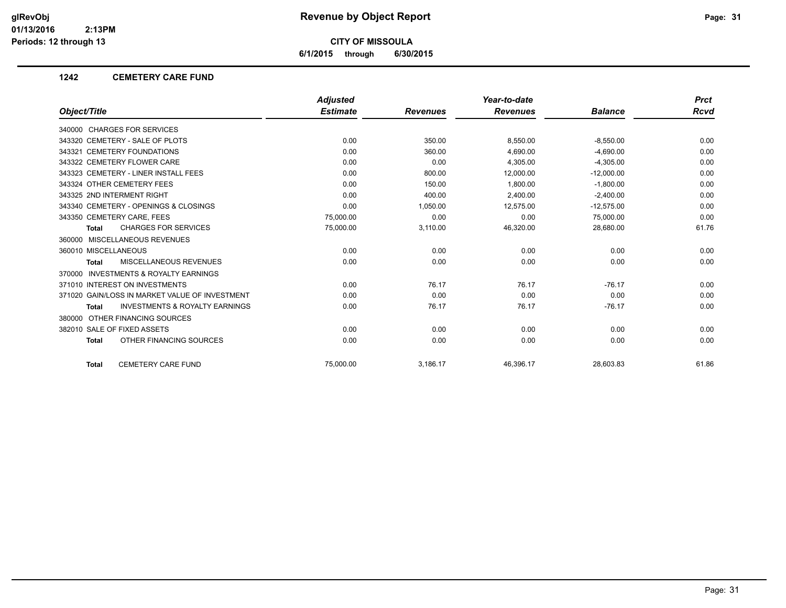**6/1/2015 through 6/30/2015**

#### **1242 CEMETERY CARE FUND**

|                                                           | <b>Adjusted</b> |                 | Year-to-date    |                | <b>Prct</b> |
|-----------------------------------------------------------|-----------------|-----------------|-----------------|----------------|-------------|
| Object/Title                                              | <b>Estimate</b> | <b>Revenues</b> | <b>Revenues</b> | <b>Balance</b> | Rcvd        |
| 340000 CHARGES FOR SERVICES                               |                 |                 |                 |                |             |
| 343320 CEMETERY - SALE OF PLOTS                           | 0.00            | 350.00          | 8,550.00        | $-8,550.00$    | 0.00        |
| 343321 CEMETERY FOUNDATIONS                               | 0.00            | 360.00          | 4.690.00        | $-4.690.00$    | 0.00        |
| 343322 CEMETERY FLOWER CARE                               | 0.00            | 0.00            | 4,305.00        | $-4,305.00$    | 0.00        |
| 343323 CEMETERY - LINER INSTALL FEES                      | 0.00            | 800.00          | 12,000.00       | $-12,000.00$   | 0.00        |
| 343324 OTHER CEMETERY FEES                                | 0.00            | 150.00          | 1.800.00        | $-1,800.00$    | 0.00        |
| 343325 2ND INTERMENT RIGHT                                | 0.00            | 400.00          | 2,400.00        | $-2,400.00$    | 0.00        |
| 343340 CEMETERY - OPENINGS & CLOSINGS                     | 0.00            | 1,050.00        | 12.575.00       | $-12,575.00$   | 0.00        |
| 343350 CEMETERY CARE, FEES                                | 75,000.00       | 0.00            | 0.00            | 75,000.00      | 0.00        |
| <b>CHARGES FOR SERVICES</b><br><b>Total</b>               | 75,000.00       | 3,110.00        | 46,320.00       | 28,680.00      | 61.76       |
| 360000 MISCELLANEOUS REVENUES                             |                 |                 |                 |                |             |
| 360010 MISCELLANEOUS                                      | 0.00            | 0.00            | 0.00            | 0.00           | 0.00        |
| <b>MISCELLANEOUS REVENUES</b><br><b>Total</b>             | 0.00            | 0.00            | 0.00            | 0.00           | 0.00        |
| 370000 INVESTMENTS & ROYALTY EARNINGS                     |                 |                 |                 |                |             |
| 371010 INTEREST ON INVESTMENTS                            | 0.00            | 76.17           | 76.17           | $-76.17$       | 0.00        |
| 371020 GAIN/LOSS IN MARKET VALUE OF INVESTMENT            | 0.00            | 0.00            | 0.00            | 0.00           | 0.00        |
| <b>INVESTMENTS &amp; ROYALTY EARNINGS</b><br><b>Total</b> | 0.00            | 76.17           | 76.17           | $-76.17$       | 0.00        |
| 380000 OTHER FINANCING SOURCES                            |                 |                 |                 |                |             |
| 382010 SALE OF FIXED ASSETS                               | 0.00            | 0.00            | 0.00            | 0.00           | 0.00        |
| OTHER FINANCING SOURCES<br><b>Total</b>                   | 0.00            | 0.00            | 0.00            | 0.00           | 0.00        |
| <b>CEMETERY CARE FUND</b><br><b>Total</b>                 | 75,000.00       | 3,186.17        | 46,396.17       | 28,603.83      | 61.86       |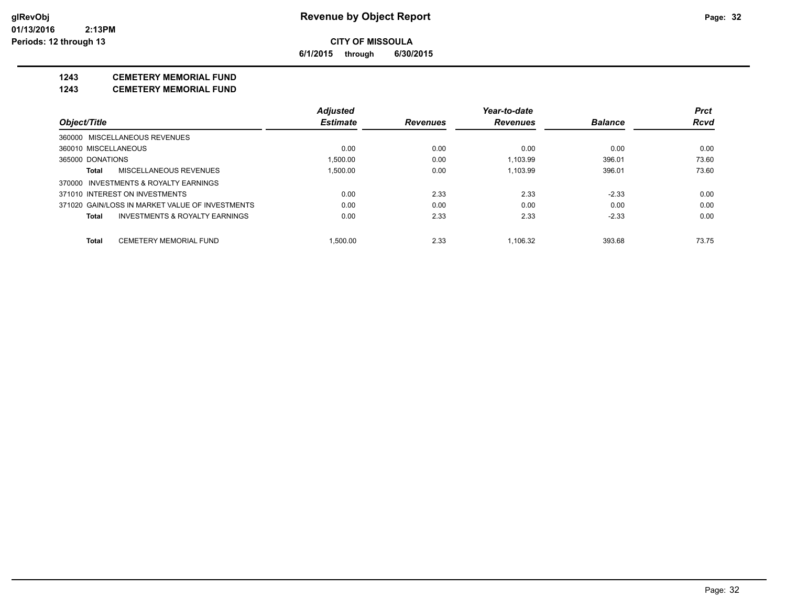**6/1/2015 through 6/30/2015**

## **1243 CEMETERY MEMORIAL FUND**

**1243 CEMETERY MEMORIAL FUND**

|                      |                                                 | <b>Adjusted</b> |                 | Year-to-date    |                | <b>Prct</b> |
|----------------------|-------------------------------------------------|-----------------|-----------------|-----------------|----------------|-------------|
| Object/Title         |                                                 | <b>Estimate</b> | <b>Revenues</b> | <b>Revenues</b> | <b>Balance</b> | <b>Rcvd</b> |
|                      | 360000 MISCELLANEOUS REVENUES                   |                 |                 |                 |                |             |
| 360010 MISCELLANEOUS |                                                 | 0.00            | 0.00            | 0.00            | 0.00           | 0.00        |
| 365000 DONATIONS     |                                                 | 1.500.00        | 0.00            | 1.103.99        | 396.01         | 73.60       |
| Total                | MISCELLANEOUS REVENUES                          | 1,500.00        | 0.00            | 1,103.99        | 396.01         | 73.60       |
|                      | 370000 INVESTMENTS & ROYALTY EARNINGS           |                 |                 |                 |                |             |
|                      | 371010 INTEREST ON INVESTMENTS                  | 0.00            | 2.33            | 2.33            | $-2.33$        | 0.00        |
|                      | 371020 GAIN/LOSS IN MARKET VALUE OF INVESTMENTS | 0.00            | 0.00            | 0.00            | 0.00           | 0.00        |
| Total                | INVESTMENTS & ROYALTY EARNINGS                  | 0.00            | 2.33            | 2.33            | $-2.33$        | 0.00        |
| <b>Total</b>         | CEMETERY MEMORIAL FUND                          | 1.500.00        | 2.33            | 1.106.32        | 393.68         | 73.75       |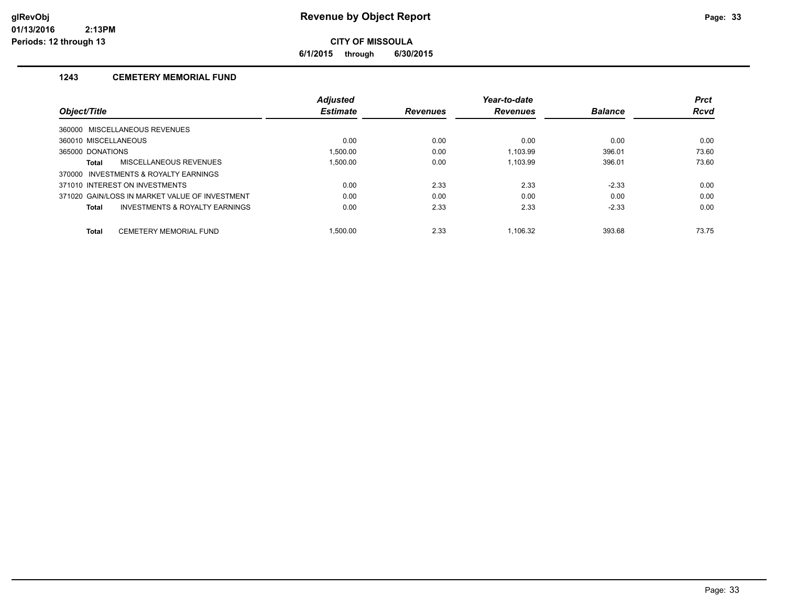**6/1/2015 through 6/30/2015**

## **1243 CEMETERY MEMORIAL FUND**

|                                                    | <b>Adjusted</b> |                 | Year-to-date    |                | <b>Prct</b> |
|----------------------------------------------------|-----------------|-----------------|-----------------|----------------|-------------|
| Object/Title                                       | <b>Estimate</b> | <b>Revenues</b> | <b>Revenues</b> | <b>Balance</b> | <b>Rcvd</b> |
| 360000 MISCELLANEOUS REVENUES                      |                 |                 |                 |                |             |
| 360010 MISCELLANEOUS                               | 0.00            | 0.00            | 0.00            | 0.00           | 0.00        |
| 365000 DONATIONS                                   | 1.500.00        | 0.00            | 1.103.99        | 396.01         | 73.60       |
| MISCELLANEOUS REVENUES<br>Total                    | 1.500.00        | 0.00            | 1.103.99        | 396.01         | 73.60       |
| 370000 INVESTMENTS & ROYALTY EARNINGS              |                 |                 |                 |                |             |
| 371010 INTEREST ON INVESTMENTS                     | 0.00            | 2.33            | 2.33            | $-2.33$        | 0.00        |
| 371020 GAIN/LOSS IN MARKET VALUE OF INVESTMENT     | 0.00            | 0.00            | 0.00            | 0.00           | 0.00        |
| <b>INVESTMENTS &amp; ROYALTY EARNINGS</b><br>Total | 0.00            | 2.33            | 2.33            | $-2.33$        | 0.00        |
| <b>CEMETERY MEMORIAL FUND</b><br>Total             | 1.500.00        | 2.33            | 1.106.32        | 393.68         | 73.75       |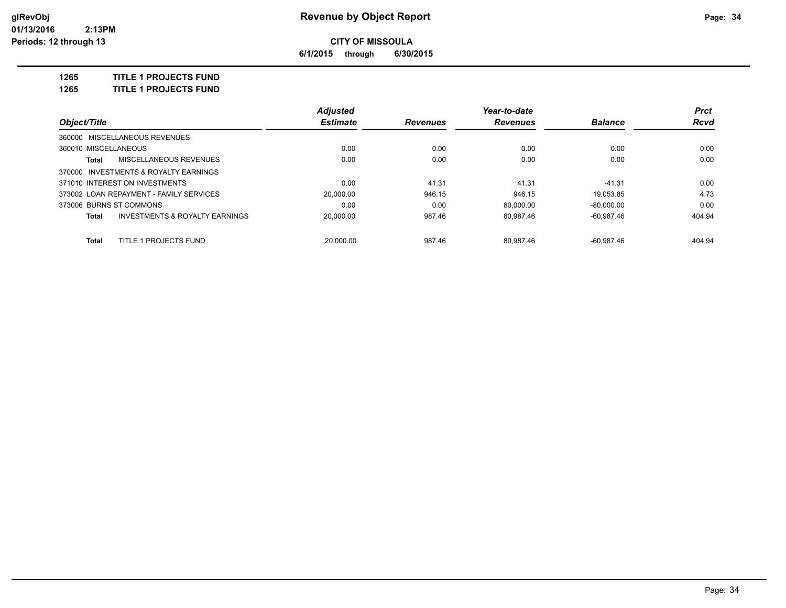**6/1/2015 through 6/30/2015**

**1265 TITLE 1 PROJECTS FUND**

**1265 TITLE 1 PROJECTS FUND**

|                                |                                           | <b>Adjusted</b> |                 | Year-to-date    |                | <b>Prct</b> |
|--------------------------------|-------------------------------------------|-----------------|-----------------|-----------------|----------------|-------------|
| Object/Title                   |                                           | <b>Estimate</b> | <b>Revenues</b> | <b>Revenues</b> | <b>Balance</b> | Rcvd        |
| 360000 MISCELLANEOUS REVENUES  |                                           |                 |                 |                 |                |             |
| 360010 MISCELLANEOUS           |                                           | 0.00            | 0.00            | 0.00            | 0.00           | 0.00        |
| Total                          | MISCELLANEOUS REVENUES                    | 0.00            | 0.00            | 0.00            | 0.00           | 0.00        |
|                                | 370000 INVESTMENTS & ROYALTY EARNINGS     |                 |                 |                 |                |             |
| 371010 INTEREST ON INVESTMENTS |                                           | 0.00            | 41.31           | 41.31           | $-41.31$       | 0.00        |
|                                | 373002 LOAN REPAYMENT - FAMILY SERVICES   | 20.000.00       | 946.15          | 946.15          | 19.053.85      | 4.73        |
| 373006 BURNS ST COMMONS        |                                           | 0.00            | 0.00            | 80.000.00       | $-80.000.00$   | 0.00        |
| Total                          | <b>INVESTMENTS &amp; ROYALTY EARNINGS</b> | 20.000.00       | 987.46          | 80.987.46       | $-60.987.46$   | 404.94      |
| Total                          | TITLE 1 PROJECTS FUND                     | 20.000.00       | 987.46          | 80.987.46       | $-60.987.46$   | 404.94      |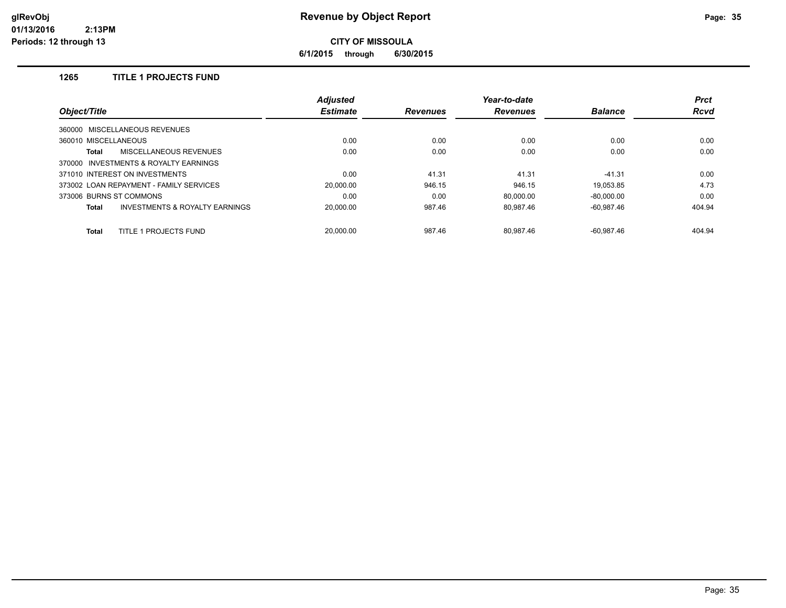**6/1/2015 through 6/30/2015**

## **1265 TITLE 1 PROJECTS FUND**

|                                                           | <b>Adjusted</b> |                 | Year-to-date    |                | <b>Prct</b> |
|-----------------------------------------------------------|-----------------|-----------------|-----------------|----------------|-------------|
| Object/Title                                              | <b>Estimate</b> | <b>Revenues</b> | <b>Revenues</b> | <b>Balance</b> | <b>Rcvd</b> |
| 360000 MISCELLANEOUS REVENUES                             |                 |                 |                 |                |             |
| 360010 MISCELLANEOUS                                      | 0.00            | 0.00            | 0.00            | 0.00           | 0.00        |
| MISCELLANEOUS REVENUES<br>Total                           | 0.00            | 0.00            | 0.00            | 0.00           | 0.00        |
| 370000 INVESTMENTS & ROYALTY EARNINGS                     |                 |                 |                 |                |             |
| 371010 INTEREST ON INVESTMENTS                            | 0.00            | 41.31           | 41.31           | $-41.31$       | 0.00        |
| 373002 LOAN REPAYMENT - FAMILY SERVICES                   | 20.000.00       | 946.15          | 946.15          | 19.053.85      | 4.73        |
| 373006 BURNS ST COMMONS                                   | 0.00            | 0.00            | 80.000.00       | $-80.000.00$   | 0.00        |
| <b>INVESTMENTS &amp; ROYALTY EARNINGS</b><br><b>Total</b> | 20.000.00       | 987.46          | 80,987.46       | $-60,987.46$   | 404.94      |
| TITLE 1 PROJECTS FUND<br><b>Total</b>                     | 20.000.00       | 987.46          | 80.987.46       | $-60.987.46$   | 404.94      |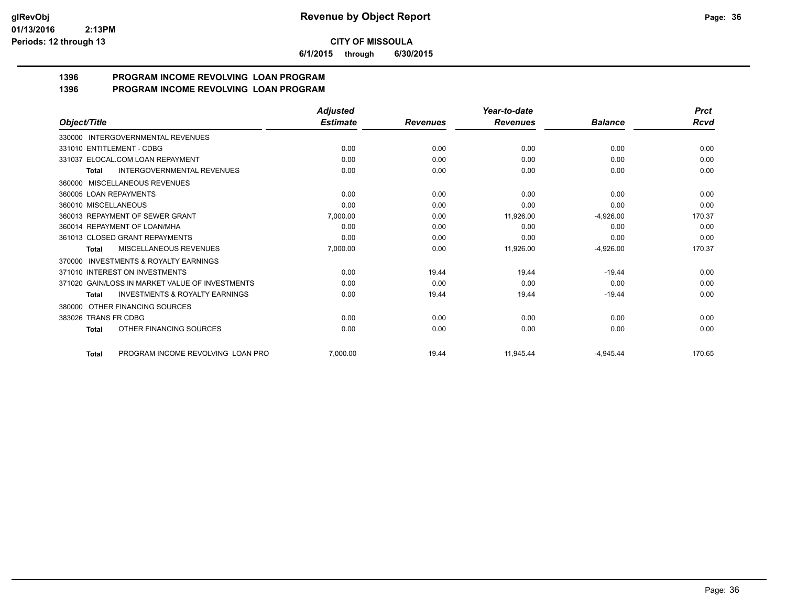**6/1/2015 through 6/30/2015**

# **1396 PROGRAM INCOME REVOLVING LOAN PROGRAM**

| 1396 | PROGRAM INCOME REVOLVING LOAN PROGRAM |  |
|------|---------------------------------------|--|
|      |                                       |  |

|                                                           | <b>Adjusted</b> |                 | Year-to-date    |                | <b>Prct</b> |
|-----------------------------------------------------------|-----------------|-----------------|-----------------|----------------|-------------|
| Object/Title                                              | <b>Estimate</b> | <b>Revenues</b> | <b>Revenues</b> | <b>Balance</b> | <b>Rcvd</b> |
| 330000 INTERGOVERNMENTAL REVENUES                         |                 |                 |                 |                |             |
| 331010 ENTITLEMENT - CDBG                                 | 0.00            | 0.00            | 0.00            | 0.00           | 0.00        |
| 331037 ELOCAL.COM LOAN REPAYMENT                          | 0.00            | 0.00            | 0.00            | 0.00           | 0.00        |
| <b>INTERGOVERNMENTAL REVENUES</b><br><b>Total</b>         | 0.00            | 0.00            | 0.00            | 0.00           | 0.00        |
| MISCELLANEOUS REVENUES<br>360000                          |                 |                 |                 |                |             |
| 360005 LOAN REPAYMENTS                                    | 0.00            | 0.00            | 0.00            | 0.00           | 0.00        |
| 360010 MISCELLANEOUS                                      | 0.00            | 0.00            | 0.00            | 0.00           | 0.00        |
| 360013 REPAYMENT OF SEWER GRANT                           | 7,000.00        | 0.00            | 11,926.00       | $-4,926.00$    | 170.37      |
| 360014 REPAYMENT OF LOAN/MHA                              | 0.00            | 0.00            | 0.00            | 0.00           | 0.00        |
| 361013 CLOSED GRANT REPAYMENTS                            | 0.00            | 0.00            | 0.00            | 0.00           | 0.00        |
| MISCELLANEOUS REVENUES<br><b>Total</b>                    | 7,000.00        | 0.00            | 11,926.00       | $-4,926.00$    | 170.37      |
| INVESTMENTS & ROYALTY EARNINGS<br>370000                  |                 |                 |                 |                |             |
| 371010 INTEREST ON INVESTMENTS                            | 0.00            | 19.44           | 19.44           | $-19.44$       | 0.00        |
| 371020 GAIN/LOSS IN MARKET VALUE OF INVESTMENTS           | 0.00            | 0.00            | 0.00            | 0.00           | 0.00        |
| <b>INVESTMENTS &amp; ROYALTY EARNINGS</b><br><b>Total</b> | 0.00            | 19.44           | 19.44           | $-19.44$       | 0.00        |
| OTHER FINANCING SOURCES<br>380000                         |                 |                 |                 |                |             |
| 383026 TRANS FR CDBG                                      | 0.00            | 0.00            | 0.00            | 0.00           | 0.00        |
| OTHER FINANCING SOURCES<br><b>Total</b>                   | 0.00            | 0.00            | 0.00            | 0.00           | 0.00        |
| PROGRAM INCOME REVOLVING LOAN PRO<br><b>Total</b>         | 7.000.00        | 19.44           | 11,945.44       | $-4,945.44$    | 170.65      |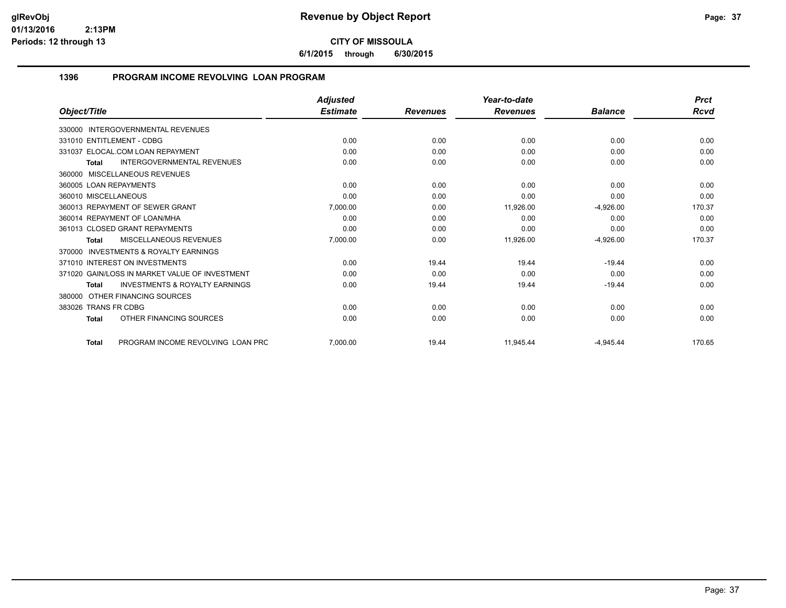**6/1/2015 through 6/30/2015**

#### **1396 PROGRAM INCOME REVOLVING LOAN PROGRAM**

|                                                           | <b>Adjusted</b> |                 | Year-to-date    |                | <b>Prct</b> |
|-----------------------------------------------------------|-----------------|-----------------|-----------------|----------------|-------------|
| Object/Title                                              | <b>Estimate</b> | <b>Revenues</b> | <b>Revenues</b> | <b>Balance</b> | <b>Rcvd</b> |
| <b>INTERGOVERNMENTAL REVENUES</b><br>330000               |                 |                 |                 |                |             |
| 331010 ENTITLEMENT - CDBG                                 | 0.00            | 0.00            | 0.00            | 0.00           | 0.00        |
| 331037 ELOCAL.COM LOAN REPAYMENT                          | 0.00            | 0.00            | 0.00            | 0.00           | 0.00        |
| <b>INTERGOVERNMENTAL REVENUES</b><br><b>Total</b>         | 0.00            | 0.00            | 0.00            | 0.00           | 0.00        |
| 360000 MISCELLANEOUS REVENUES                             |                 |                 |                 |                |             |
| 360005 LOAN REPAYMENTS                                    | 0.00            | 0.00            | 0.00            | 0.00           | 0.00        |
| 360010 MISCELLANEOUS                                      | 0.00            | 0.00            | 0.00            | 0.00           | 0.00        |
| 360013 REPAYMENT OF SEWER GRANT                           | 7,000.00        | 0.00            | 11,926.00       | $-4,926.00$    | 170.37      |
| 360014 REPAYMENT OF LOAN/MHA                              | 0.00            | 0.00            | 0.00            | 0.00           | 0.00        |
| 361013 CLOSED GRANT REPAYMENTS                            | 0.00            | 0.00            | 0.00            | 0.00           | 0.00        |
| <b>MISCELLANEOUS REVENUES</b><br><b>Total</b>             | 7,000.00        | 0.00            | 11,926.00       | $-4,926.00$    | 170.37      |
| <b>INVESTMENTS &amp; ROYALTY EARNINGS</b><br>370000       |                 |                 |                 |                |             |
| 371010 INTEREST ON INVESTMENTS                            | 0.00            | 19.44           | 19.44           | $-19.44$       | 0.00        |
| 371020 GAIN/LOSS IN MARKET VALUE OF INVESTMENT            | 0.00            | 0.00            | 0.00            | 0.00           | 0.00        |
| <b>INVESTMENTS &amp; ROYALTY EARNINGS</b><br><b>Total</b> | 0.00            | 19.44           | 19.44           | $-19.44$       | 0.00        |
| OTHER FINANCING SOURCES<br>380000                         |                 |                 |                 |                |             |
| 383026 TRANS FR CDBG                                      | 0.00            | 0.00            | 0.00            | 0.00           | 0.00        |
| OTHER FINANCING SOURCES<br>Total                          | 0.00            | 0.00            | 0.00            | 0.00           | 0.00        |
| PROGRAM INCOME REVOLVING LOAN PRC<br><b>Total</b>         | 7.000.00        | 19.44           | 11,945.44       | $-4,945.44$    | 170.65      |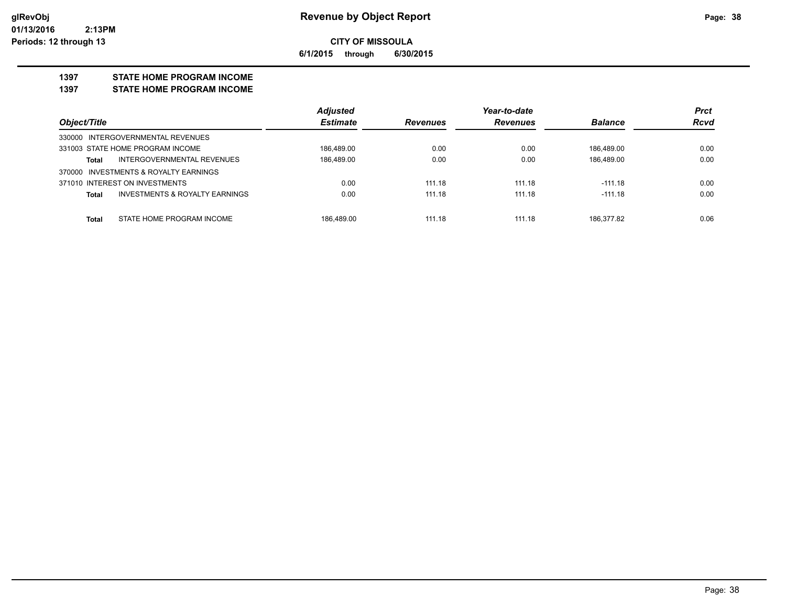**6/1/2015 through 6/30/2015**

#### **1397 STATE HOME PROGRAM INCOME**

**1397 STATE HOME PROGRAM INCOME**

|                                                           | <b>Adjusted</b> |                 | Year-to-date    |                | <b>Prct</b> |
|-----------------------------------------------------------|-----------------|-----------------|-----------------|----------------|-------------|
| Object/Title                                              | <b>Estimate</b> | <b>Revenues</b> | <b>Revenues</b> | <b>Balance</b> | <b>Rcvd</b> |
| 330000 INTERGOVERNMENTAL REVENUES                         |                 |                 |                 |                |             |
| 331003 STATE HOME PROGRAM INCOME                          | 186.489.00      | 0.00            | 0.00            | 186.489.00     | 0.00        |
| INTERGOVERNMENTAL REVENUES<br><b>Total</b>                | 186.489.00      | 0.00            | 0.00            | 186.489.00     | 0.00        |
| 370000 INVESTMENTS & ROYALTY EARNINGS                     |                 |                 |                 |                |             |
| 371010 INTEREST ON INVESTMENTS                            | 0.00            | 111.18          | 111.18          | $-111.18$      | 0.00        |
| <b>INVESTMENTS &amp; ROYALTY EARNINGS</b><br><b>Total</b> | 0.00            | 111.18          | 111.18          | $-111.18$      | 0.00        |
| STATE HOME PROGRAM INCOME<br><b>Total</b>                 | 186.489.00      | 111.18          | 111.18          | 186.377.82     | 0.06        |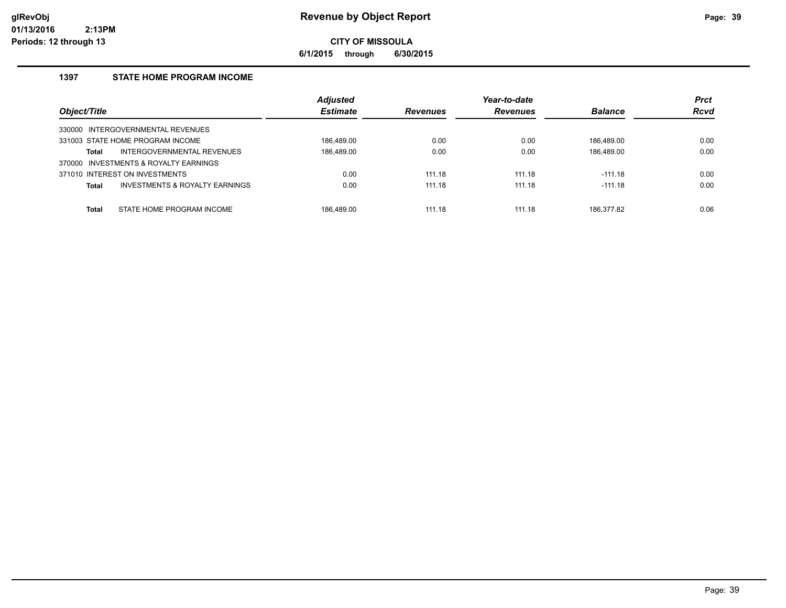**6/1/2015 through 6/30/2015**

#### **1397 STATE HOME PROGRAM INCOME**

| Object/Title |                                       | <b>Adjusted</b><br><b>Estimate</b> | <b>Revenues</b> | Year-to-date<br><b>Revenues</b> | <b>Balance</b> | <b>Prct</b><br><b>Rcvd</b> |
|--------------|---------------------------------------|------------------------------------|-----------------|---------------------------------|----------------|----------------------------|
|              | 330000 INTERGOVERNMENTAL REVENUES     |                                    |                 |                                 |                |                            |
|              | 331003 STATE HOME PROGRAM INCOME      | 186.489.00                         | 0.00            | 0.00                            | 186.489.00     | 0.00                       |
| <b>Total</b> | INTERGOVERNMENTAL REVENUES            | 186.489.00                         | 0.00            | 0.00                            | 186.489.00     | 0.00                       |
|              | 370000 INVESTMENTS & ROYALTY EARNINGS |                                    |                 |                                 |                |                            |
|              | 371010 INTEREST ON INVESTMENTS        | 0.00                               | 111.18          | 111.18                          | $-111.18$      | 0.00                       |
| <b>Total</b> | INVESTMENTS & ROYALTY EARNINGS        | 0.00                               | 111.18          | 111.18                          | $-111.18$      | 0.00                       |
| Total        | STATE HOME PROGRAM INCOME             | 186.489.00                         | 111.18          | 111.18                          | 186.377.82     | 0.06                       |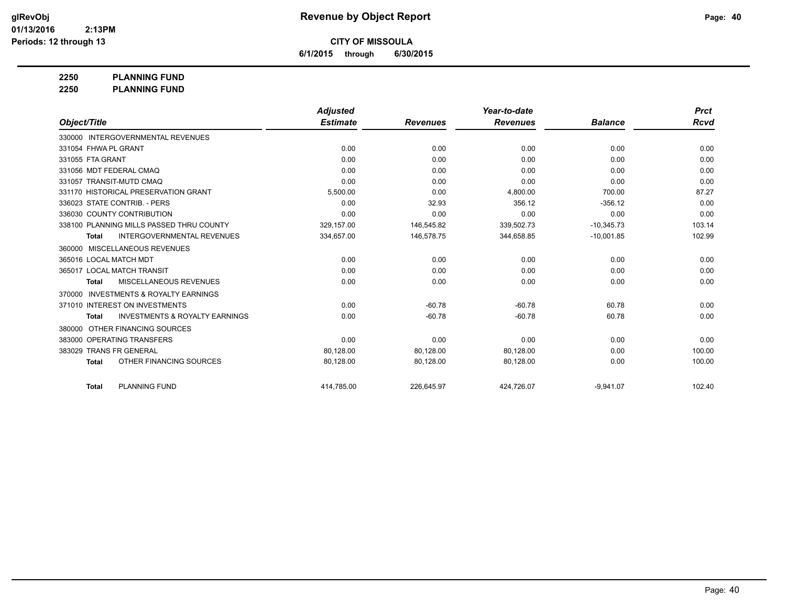**6/1/2015 through 6/30/2015**

**2250 PLANNING FUND**

**2250 PLANNING FUND**

|                                                     | <b>Adjusted</b> |                 | Year-to-date    |                | <b>Prct</b> |
|-----------------------------------------------------|-----------------|-----------------|-----------------|----------------|-------------|
| Object/Title                                        | <b>Estimate</b> | <b>Revenues</b> | <b>Revenues</b> | <b>Balance</b> | Rcvd        |
| 330000 INTERGOVERNMENTAL REVENUES                   |                 |                 |                 |                |             |
| 331054 FHWA PL GRANT                                | 0.00            | 0.00            | 0.00            | 0.00           | 0.00        |
| 331055 FTA GRANT                                    | 0.00            | 0.00            | 0.00            | 0.00           | 0.00        |
| 331056 MDT FEDERAL CMAO                             | 0.00            | 0.00            | 0.00            | 0.00           | 0.00        |
| 331057 TRANSIT-MUTD CMAQ                            | 0.00            | 0.00            | 0.00            | 0.00           | 0.00        |
| 331170 HISTORICAL PRESERVATION GRANT                | 5,500.00        | 0.00            | 4,800.00        | 700.00         | 87.27       |
| 336023 STATE CONTRIB. - PERS                        | 0.00            | 32.93           | 356.12          | $-356.12$      | 0.00        |
| 336030 COUNTY CONTRIBUTION                          | 0.00            | 0.00            | 0.00            | 0.00           | 0.00        |
| 338100 PLANNING MILLS PASSED THRU COUNTY            | 329.157.00      | 146,545.82      | 339,502.73      | $-10,345.73$   | 103.14      |
| <b>INTERGOVERNMENTAL REVENUES</b><br><b>Total</b>   | 334,657.00      | 146,578.75      | 344,658.85      | $-10,001.85$   | 102.99      |
| <b>MISCELLANEOUS REVENUES</b><br>360000             |                 |                 |                 |                |             |
| 365016 LOCAL MATCH MDT                              | 0.00            | 0.00            | 0.00            | 0.00           | 0.00        |
| 365017 LOCAL MATCH TRANSIT                          | 0.00            | 0.00            | 0.00            | 0.00           | 0.00        |
| MISCELLANEOUS REVENUES<br><b>Total</b>              | 0.00            | 0.00            | 0.00            | 0.00           | 0.00        |
| <b>INVESTMENTS &amp; ROYALTY EARNINGS</b><br>370000 |                 |                 |                 |                |             |
| 371010 INTEREST ON INVESTMENTS                      | 0.00            | $-60.78$        | $-60.78$        | 60.78          | 0.00        |
| <b>INVESTMENTS &amp; ROYALTY EARNINGS</b><br>Total  | 0.00            | $-60.78$        | $-60.78$        | 60.78          | 0.00        |
| OTHER FINANCING SOURCES<br>380000                   |                 |                 |                 |                |             |
| 383000 OPERATING TRANSFERS                          | 0.00            | 0.00            | 0.00            | 0.00           | 0.00        |
| <b>TRANS FR GENERAL</b><br>383029                   | 80,128.00       | 80,128.00       | 80,128.00       | 0.00           | 100.00      |
| OTHER FINANCING SOURCES<br><b>Total</b>             | 80,128.00       | 80,128.00       | 80,128.00       | 0.00           | 100.00      |
| <b>PLANNING FUND</b><br><b>Total</b>                | 414,785.00      | 226.645.97      | 424,726.07      | $-9,941.07$    | 102.40      |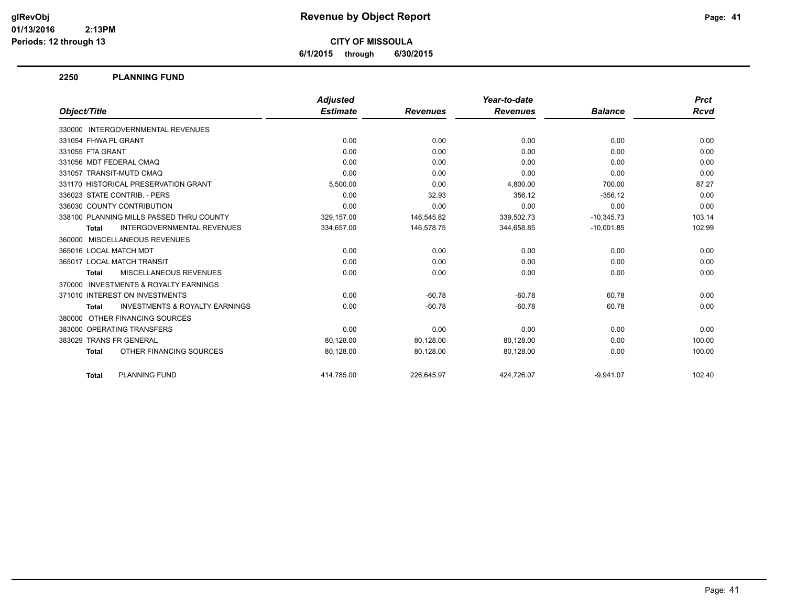**6/1/2015 through 6/30/2015**

#### **2250 PLANNING FUND**

|                                                           | <b>Adjusted</b> |                 | Year-to-date    |                | <b>Prct</b> |
|-----------------------------------------------------------|-----------------|-----------------|-----------------|----------------|-------------|
| Object/Title                                              | <b>Estimate</b> | <b>Revenues</b> | <b>Revenues</b> | <b>Balance</b> | Rcvd        |
| 330000 INTERGOVERNMENTAL REVENUES                         |                 |                 |                 |                |             |
| 331054 FHWA PL GRANT                                      | 0.00            | 0.00            | 0.00            | 0.00           | 0.00        |
| 331055 FTA GRANT                                          | 0.00            | 0.00            | 0.00            | 0.00           | 0.00        |
| 331056 MDT FEDERAL CMAQ                                   | 0.00            | 0.00            | 0.00            | 0.00           | 0.00        |
| 331057 TRANSIT-MUTD CMAQ                                  | 0.00            | 0.00            | 0.00            | 0.00           | 0.00        |
| 331170 HISTORICAL PRESERVATION GRANT                      | 5,500.00        | 0.00            | 4,800.00        | 700.00         | 87.27       |
| 336023 STATE CONTRIB. - PERS                              | 0.00            | 32.93           | 356.12          | $-356.12$      | 0.00        |
| 336030 COUNTY CONTRIBUTION                                | 0.00            | 0.00            | 0.00            | 0.00           | 0.00        |
| 338100 PLANNING MILLS PASSED THRU COUNTY                  | 329,157.00      | 146,545.82      | 339,502.73      | $-10,345.73$   | 103.14      |
| <b>INTERGOVERNMENTAL REVENUES</b><br><b>Total</b>         | 334,657.00      | 146,578.75      | 344,658.85      | $-10,001.85$   | 102.99      |
| 360000 MISCELLANEOUS REVENUES                             |                 |                 |                 |                |             |
| 365016 LOCAL MATCH MDT                                    | 0.00            | 0.00            | 0.00            | 0.00           | 0.00        |
| 365017 LOCAL MATCH TRANSIT                                | 0.00            | 0.00            | 0.00            | 0.00           | 0.00        |
| <b>MISCELLANEOUS REVENUES</b><br><b>Total</b>             | 0.00            | 0.00            | 0.00            | 0.00           | 0.00        |
| 370000 INVESTMENTS & ROYALTY EARNINGS                     |                 |                 |                 |                |             |
| 371010 INTEREST ON INVESTMENTS                            | 0.00            | $-60.78$        | $-60.78$        | 60.78          | 0.00        |
| <b>INVESTMENTS &amp; ROYALTY EARNINGS</b><br><b>Total</b> | 0.00            | $-60.78$        | $-60.78$        | 60.78          | 0.00        |
| 380000 OTHER FINANCING SOURCES                            |                 |                 |                 |                |             |
| 383000 OPERATING TRANSFERS                                | 0.00            | 0.00            | 0.00            | 0.00           | 0.00        |
| 383029 TRANS FR GENERAL                                   | 80,128.00       | 80,128.00       | 80,128.00       | 0.00           | 100.00      |
| OTHER FINANCING SOURCES<br><b>Total</b>                   | 80,128.00       | 80,128.00       | 80,128.00       | 0.00           | 100.00      |
| <b>PLANNING FUND</b><br><b>Total</b>                      | 414.785.00      | 226.645.97      | 424.726.07      | $-9.941.07$    | 102.40      |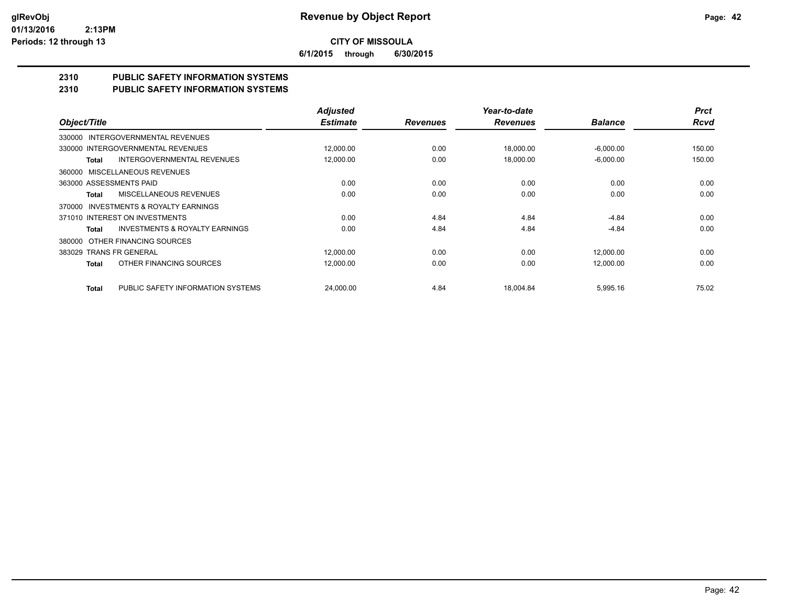**6/1/2015 through 6/30/2015**

# **2310 PUBLIC SAFETY INFORMATION SYSTEMS**

## **2310 PUBLIC SAFETY INFORMATION SYSTEMS**

|                                                    | <b>Adjusted</b> |                 | Year-to-date    |                | <b>Prct</b> |
|----------------------------------------------------|-----------------|-----------------|-----------------|----------------|-------------|
| Object/Title                                       | <b>Estimate</b> | <b>Revenues</b> | <b>Revenues</b> | <b>Balance</b> | <b>Rcvd</b> |
| 330000 INTERGOVERNMENTAL REVENUES                  |                 |                 |                 |                |             |
| 330000 INTERGOVERNMENTAL REVENUES                  | 12,000.00       | 0.00            | 18,000.00       | $-6,000.00$    | 150.00      |
| <b>INTERGOVERNMENTAL REVENUES</b><br>Total         | 12,000.00       | 0.00            | 18,000.00       | $-6,000.00$    | 150.00      |
| 360000 MISCELLANEOUS REVENUES                      |                 |                 |                 |                |             |
| 363000 ASSESSMENTS PAID                            | 0.00            | 0.00            | 0.00            | 0.00           | 0.00        |
| <b>MISCELLANEOUS REVENUES</b><br>Total             | 0.00            | 0.00            | 0.00            | 0.00           | 0.00        |
| 370000 INVESTMENTS & ROYALTY EARNINGS              |                 |                 |                 |                |             |
| 371010 INTEREST ON INVESTMENTS                     | 0.00            | 4.84            | 4.84            | $-4.84$        | 0.00        |
| <b>INVESTMENTS &amp; ROYALTY EARNINGS</b><br>Total | 0.00            | 4.84            | 4.84            | $-4.84$        | 0.00        |
| OTHER FINANCING SOURCES<br>380000                  |                 |                 |                 |                |             |
| 383029 TRANS FR GENERAL                            | 12,000.00       | 0.00            | 0.00            | 12,000.00      | 0.00        |
| OTHER FINANCING SOURCES<br><b>Total</b>            | 12,000.00       | 0.00            | 0.00            | 12,000.00      | 0.00        |
| PUBLIC SAFETY INFORMATION SYSTEMS<br>Total         | 24,000.00       | 4.84            | 18,004.84       | 5,995.16       | 75.02       |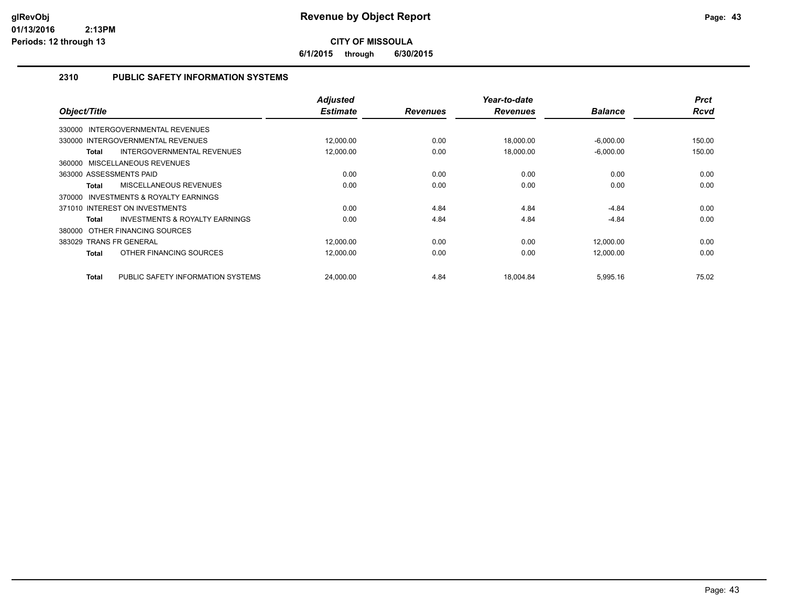**6/1/2015 through 6/30/2015**

#### **2310 PUBLIC SAFETY INFORMATION SYSTEMS**

| Object/Title                                       | <b>Adjusted</b><br><b>Estimate</b> | <b>Revenues</b> | Year-to-date<br><b>Revenues</b> | <b>Balance</b> | <b>Prct</b><br><b>Rcvd</b> |
|----------------------------------------------------|------------------------------------|-----------------|---------------------------------|----------------|----------------------------|
|                                                    |                                    |                 |                                 |                |                            |
| <b>INTERGOVERNMENTAL REVENUES</b><br>330000        |                                    |                 |                                 |                |                            |
| 330000 INTERGOVERNMENTAL REVENUES                  | 12,000.00                          | 0.00            | 18,000.00                       | $-6,000.00$    | 150.00                     |
| INTERGOVERNMENTAL REVENUES<br>Total                | 12,000.00                          | 0.00            | 18,000.00                       | $-6,000.00$    | 150.00                     |
| 360000 MISCELLANEOUS REVENUES                      |                                    |                 |                                 |                |                            |
| 363000 ASSESSMENTS PAID                            | 0.00                               | 0.00            | 0.00                            | 0.00           | 0.00                       |
| MISCELLANEOUS REVENUES<br>Total                    | 0.00                               | 0.00            | 0.00                            | 0.00           | 0.00                       |
| INVESTMENTS & ROYALTY EARNINGS<br>370000           |                                    |                 |                                 |                |                            |
| 371010 INTEREST ON INVESTMENTS                     | 0.00                               | 4.84            | 4.84                            | $-4.84$        | 0.00                       |
| <b>INVESTMENTS &amp; ROYALTY EARNINGS</b><br>Total | 0.00                               | 4.84            | 4.84                            | $-4.84$        | 0.00                       |
| 380000 OTHER FINANCING SOURCES                     |                                    |                 |                                 |                |                            |
| 383029 TRANS FR GENERAL                            | 12,000.00                          | 0.00            | 0.00                            | 12,000.00      | 0.00                       |
| OTHER FINANCING SOURCES<br><b>Total</b>            | 12,000.00                          | 0.00            | 0.00                            | 12,000.00      | 0.00                       |
|                                                    |                                    |                 |                                 |                |                            |
| PUBLIC SAFETY INFORMATION SYSTEMS<br>Total         | 24,000.00                          | 4.84            | 18,004.84                       | 5,995.16       | 75.02                      |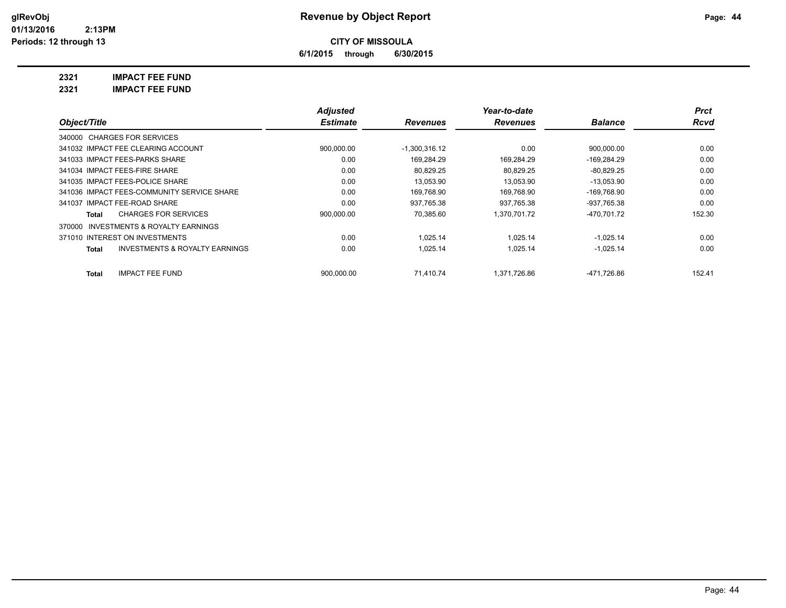**6/1/2015 through 6/30/2015**

**2321 IMPACT FEE FUND**

**2321 IMPACT FEE FUND**

|                                                           | <b>Adjusted</b> |                 | Year-to-date    |                | <b>Prct</b> |
|-----------------------------------------------------------|-----------------|-----------------|-----------------|----------------|-------------|
| Object/Title                                              | <b>Estimate</b> | <b>Revenues</b> | <b>Revenues</b> | <b>Balance</b> | Rcvd        |
| 340000 CHARGES FOR SERVICES                               |                 |                 |                 |                |             |
| 341032 IMPACT FEE CLEARING ACCOUNT                        | 900.000.00      | $-1,300,316.12$ | 0.00            | 900.000.00     | 0.00        |
| 341033 IMPACT FEES-PARKS SHARE                            | 0.00            | 169.284.29      | 169.284.29      | $-169.284.29$  | 0.00        |
| 341034 IMPACT FEES-FIRE SHARE                             | 0.00            | 80.829.25       | 80.829.25       | $-80.829.25$   | 0.00        |
| 341035 IMPACT FEES-POLICE SHARE                           | 0.00            | 13,053.90       | 13,053.90       | $-13,053.90$   | 0.00        |
| 341036 IMPACT FEES-COMMUNITY SERVICE SHARE                | 0.00            | 169.768.90      | 169.768.90      | $-169.768.90$  | 0.00        |
| 341037 IMPACT FEE-ROAD SHARE                              | 0.00            | 937.765.38      | 937.765.38      | -937.765.38    | 0.00        |
| <b>CHARGES FOR SERVICES</b><br>Total                      | 900,000.00      | 70,385.60       | 1,370,701.72    | -470.701.72    | 152.30      |
| 370000 INVESTMENTS & ROYALTY EARNINGS                     |                 |                 |                 |                |             |
| 371010 INTEREST ON INVESTMENTS                            | 0.00            | 1.025.14        | 1.025.14        | $-1,025.14$    | 0.00        |
| <b>INVESTMENTS &amp; ROYALTY EARNINGS</b><br><b>Total</b> | 0.00            | 1.025.14        | 1.025.14        | $-1,025.14$    | 0.00        |
| <b>IMPACT FEE FUND</b><br>Total                           | 900.000.00      | 71.410.74       | 1.371.726.86    | -471.726.86    | 152.41      |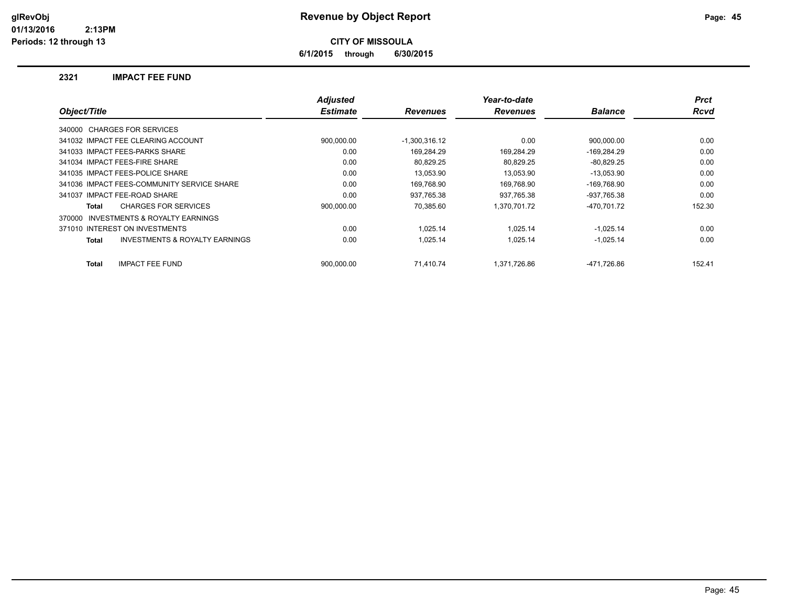**6/1/2015 through 6/30/2015**

#### **2321 IMPACT FEE FUND**

|                                                     | <b>Adjusted</b> |                 | Year-to-date    |                | <b>Prct</b> |
|-----------------------------------------------------|-----------------|-----------------|-----------------|----------------|-------------|
| Object/Title                                        | <b>Estimate</b> | <b>Revenues</b> | <b>Revenues</b> | <b>Balance</b> | <b>Rcvd</b> |
| 340000 CHARGES FOR SERVICES                         |                 |                 |                 |                |             |
| 341032 IMPACT FEE CLEARING ACCOUNT                  | 900,000.00      | $-1,300,316.12$ | 0.00            | 900,000.00     | 0.00        |
| 341033 IMPACT FEES-PARKS SHARE                      | 0.00            | 169,284.29      | 169,284.29      | -169,284.29    | 0.00        |
| 341034 IMPACT FEES-FIRE SHARE                       | 0.00            | 80,829.25       | 80,829.25       | $-80,829.25$   | 0.00        |
| 341035 IMPACT FEES-POLICE SHARE                     | 0.00            | 13.053.90       | 13.053.90       | $-13.053.90$   | 0.00        |
| 341036 IMPACT FEES-COMMUNITY SERVICE SHARE          | 0.00            | 169.768.90      | 169.768.90      | -169.768.90    | 0.00        |
| 341037 IMPACT FEE-ROAD SHARE                        | 0.00            | 937,765.38      | 937,765.38      | -937,765.38    | 0.00        |
| <b>CHARGES FOR SERVICES</b><br>Total                | 900,000.00      | 70.385.60       | 1.370.701.72    | -470.701.72    | 152.30      |
| <b>INVESTMENTS &amp; ROYALTY EARNINGS</b><br>370000 |                 |                 |                 |                |             |
| 371010 INTEREST ON INVESTMENTS                      | 0.00            | 1.025.14        | 1.025.14        | $-1,025.14$    | 0.00        |
| INVESTMENTS & ROYALTY EARNINGS<br><b>Total</b>      | 0.00            | 1,025.14        | 1,025.14        | $-1,025.14$    | 0.00        |
| <b>IMPACT FEE FUND</b><br><b>Total</b>              | 900.000.00      | 71.410.74       | 1,371,726.86    | -471,726.86    | 152.41      |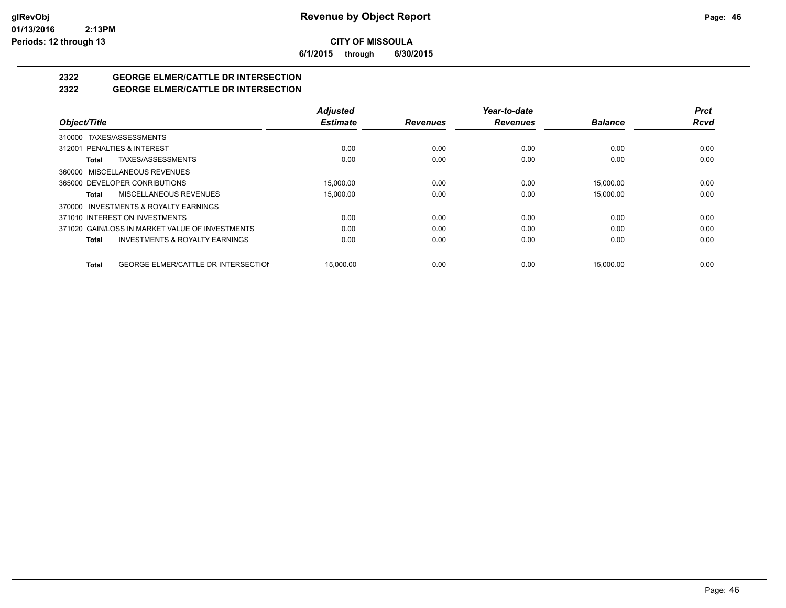**6/1/2015 through 6/30/2015**

# **2322 GEORGE ELMER/CATTLE DR INTERSECTION**

## **2322 GEORGE ELMER/CATTLE DR INTERSECTION**

|                                                            | <b>Adjusted</b> |                 | Year-to-date    |                | <b>Prct</b> |
|------------------------------------------------------------|-----------------|-----------------|-----------------|----------------|-------------|
| Object/Title                                               | <b>Estimate</b> | <b>Revenues</b> | <b>Revenues</b> | <b>Balance</b> | <b>Rcvd</b> |
| TAXES/ASSESSMENTS<br>310000                                |                 |                 |                 |                |             |
| 312001 PENALTIES & INTEREST                                | 0.00            | 0.00            | 0.00            | 0.00           | 0.00        |
| TAXES/ASSESSMENTS<br>Total                                 | 0.00            | 0.00            | 0.00            | 0.00           | 0.00        |
| MISCELLANEOUS REVENUES<br>360000                           |                 |                 |                 |                |             |
| 365000 DEVELOPER CONRIBUTIONS                              | 15.000.00       | 0.00            | 0.00            | 15.000.00      | 0.00        |
| <b>MISCELLANEOUS REVENUES</b><br><b>Total</b>              | 15,000.00       | 0.00            | 0.00            | 15.000.00      | 0.00        |
| INVESTMENTS & ROYALTY EARNINGS<br>370000                   |                 |                 |                 |                |             |
| 371010 INTEREST ON INVESTMENTS                             | 0.00            | 0.00            | 0.00            | 0.00           | 0.00        |
| 371020 GAIN/LOSS IN MARKET VALUE OF INVESTMENTS            | 0.00            | 0.00            | 0.00            | 0.00           | 0.00        |
| <b>INVESTMENTS &amp; ROYALTY EARNINGS</b><br><b>Total</b>  | 0.00            | 0.00            | 0.00            | 0.00           | 0.00        |
| <b>GEORGE ELMER/CATTLE DR INTERSECTION</b><br><b>Total</b> | 15.000.00       | 0.00            | 0.00            | 15.000.00      | 0.00        |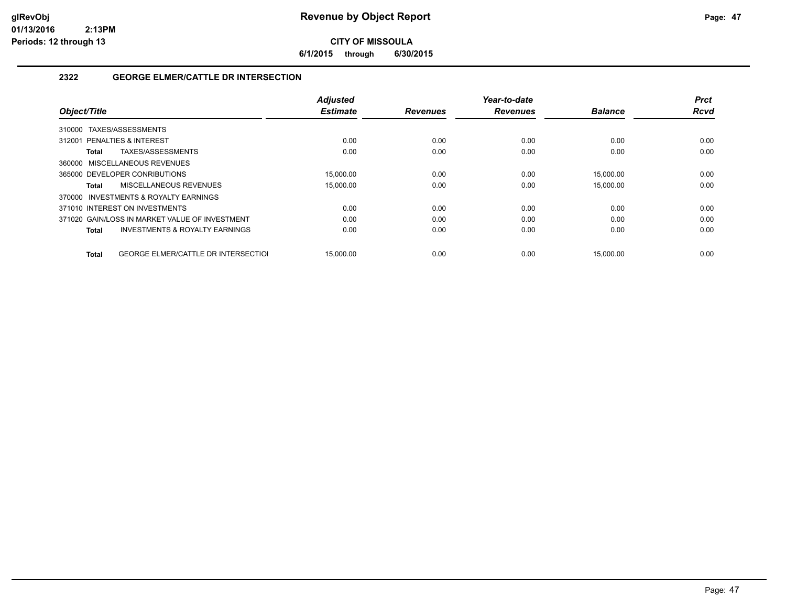**6/1/2015 through 6/30/2015**

#### **2322 GEORGE ELMER/CATTLE DR INTERSECTION**

| Object/Title                                        | <b>Adjusted</b><br><b>Estimate</b> | <b>Revenues</b> | Year-to-date<br><b>Revenues</b> | <b>Balance</b> | <b>Prct</b><br><b>Rcvd</b> |
|-----------------------------------------------------|------------------------------------|-----------------|---------------------------------|----------------|----------------------------|
|                                                     |                                    |                 |                                 |                |                            |
| TAXES/ASSESSMENTS<br>310000                         |                                    |                 |                                 |                |                            |
| 312001 PENALTIES & INTEREST                         | 0.00                               | 0.00            | 0.00                            | 0.00           | 0.00                       |
| TAXES/ASSESSMENTS<br>Total                          | 0.00                               | 0.00            | 0.00                            | 0.00           | 0.00                       |
| 360000 MISCELLANEOUS REVENUES                       |                                    |                 |                                 |                |                            |
| 365000 DEVELOPER CONRIBUTIONS                       | 15.000.00                          | 0.00            | 0.00                            | 15.000.00      | 0.00                       |
| MISCELLANEOUS REVENUES<br>Total                     | 15,000.00                          | 0.00            | 0.00                            | 15,000.00      | 0.00                       |
| 370000 INVESTMENTS & ROYALTY EARNINGS               |                                    |                 |                                 |                |                            |
| 371010 INTEREST ON INVESTMENTS                      | 0.00                               | 0.00            | 0.00                            | 0.00           | 0.00                       |
| 371020 GAIN/LOSS IN MARKET VALUE OF INVESTMENT      | 0.00                               | 0.00            | 0.00                            | 0.00           | 0.00                       |
| <b>INVESTMENTS &amp; ROYALTY EARNINGS</b><br>Total  | 0.00                               | 0.00            | 0.00                            | 0.00           | 0.00                       |
|                                                     |                                    |                 |                                 |                |                            |
| <b>GEORGE ELMER/CATTLE DR INTERSECTIOL</b><br>Total | 15.000.00                          | 0.00            | 0.00                            | 15.000.00      | 0.00                       |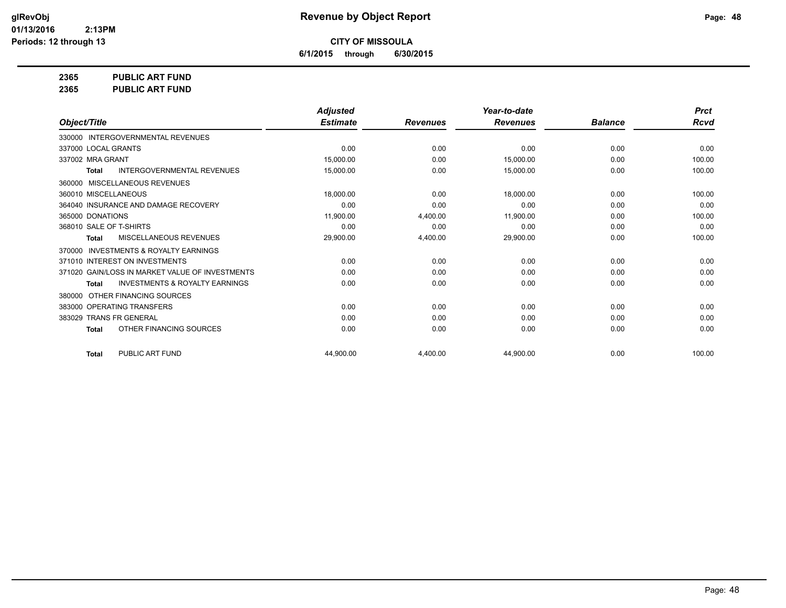**6/1/2015 through 6/30/2015**

**2365 PUBLIC ART FUND**

**2365 PUBLIC ART FUND**

|                                                    | <b>Adjusted</b> |                 | Year-to-date    |                | <b>Prct</b> |
|----------------------------------------------------|-----------------|-----------------|-----------------|----------------|-------------|
| Object/Title                                       | <b>Estimate</b> | <b>Revenues</b> | <b>Revenues</b> | <b>Balance</b> | Rcvd        |
| 330000 INTERGOVERNMENTAL REVENUES                  |                 |                 |                 |                |             |
| 337000 LOCAL GRANTS                                | 0.00            | 0.00            | 0.00            | 0.00           | 0.00        |
| 337002 MRA GRANT                                   | 15.000.00       | 0.00            | 15.000.00       | 0.00           | 100.00      |
| <b>INTERGOVERNMENTAL REVENUES</b><br><b>Total</b>  | 15,000.00       | 0.00            | 15,000.00       | 0.00           | 100.00      |
| 360000 MISCELLANEOUS REVENUES                      |                 |                 |                 |                |             |
| 360010 MISCELLANEOUS                               | 18,000.00       | 0.00            | 18,000.00       | 0.00           | 100.00      |
| 364040 INSURANCE AND DAMAGE RECOVERY               | 0.00            | 0.00            | 0.00            | 0.00           | 0.00        |
| 365000 DONATIONS                                   | 11,900.00       | 4.400.00        | 11,900.00       | 0.00           | 100.00      |
| 368010 SALE OF T-SHIRTS                            | 0.00            | 0.00            | 0.00            | 0.00           | 0.00        |
| MISCELLANEOUS REVENUES<br>Total                    | 29,900.00       | 4,400.00        | 29,900.00       | 0.00           | 100.00      |
| INVESTMENTS & ROYALTY EARNINGS<br>370000           |                 |                 |                 |                |             |
| 371010 INTEREST ON INVESTMENTS                     | 0.00            | 0.00            | 0.00            | 0.00           | 0.00        |
| 371020 GAIN/LOSS IN MARKET VALUE OF INVESTMENTS    | 0.00            | 0.00            | 0.00            | 0.00           | 0.00        |
| <b>INVESTMENTS &amp; ROYALTY EARNINGS</b><br>Total | 0.00            | 0.00            | 0.00            | 0.00           | 0.00        |
| OTHER FINANCING SOURCES<br>380000                  |                 |                 |                 |                |             |
| 383000 OPERATING TRANSFERS                         | 0.00            | 0.00            | 0.00            | 0.00           | 0.00        |
| 383029 TRANS FR GENERAL                            | 0.00            | 0.00            | 0.00            | 0.00           | 0.00        |
| OTHER FINANCING SOURCES<br><b>Total</b>            | 0.00            | 0.00            | 0.00            | 0.00           | 0.00        |
| PUBLIC ART FUND<br><b>Total</b>                    | 44.900.00       | 4.400.00        | 44.900.00       | 0.00           | 100.00      |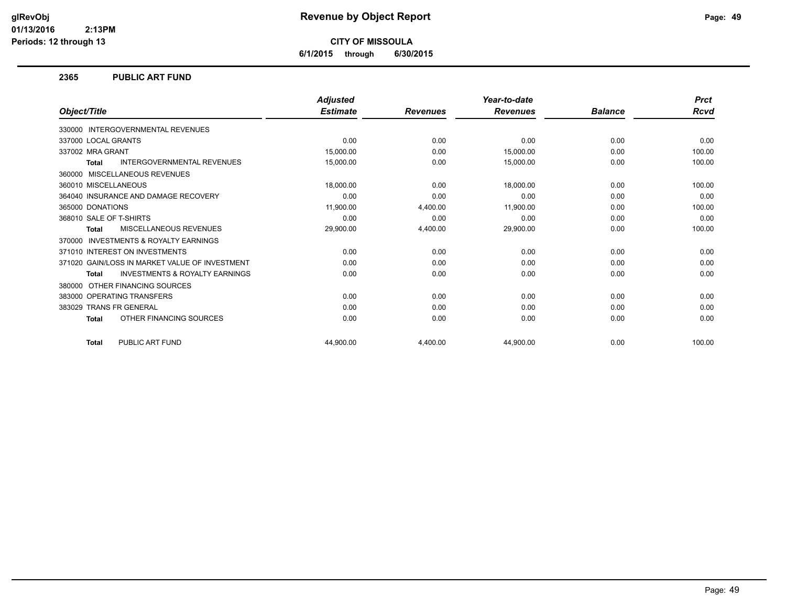**6/1/2015 through 6/30/2015**

#### **2365 PUBLIC ART FUND**

|                                                           | <b>Adjusted</b> |                 | Year-to-date    |                | <b>Prct</b> |
|-----------------------------------------------------------|-----------------|-----------------|-----------------|----------------|-------------|
| Object/Title                                              | <b>Estimate</b> | <b>Revenues</b> | <b>Revenues</b> | <b>Balance</b> | <b>Rcvd</b> |
| <b>INTERGOVERNMENTAL REVENUES</b><br>330000               |                 |                 |                 |                |             |
| 337000 LOCAL GRANTS                                       | 0.00            | 0.00            | 0.00            | 0.00           | 0.00        |
| 337002 MRA GRANT                                          | 15.000.00       | 0.00            | 15,000.00       | 0.00           | 100.00      |
| <b>INTERGOVERNMENTAL REVENUES</b><br><b>Total</b>         | 15,000.00       | 0.00            | 15,000.00       | 0.00           | 100.00      |
| MISCELLANEOUS REVENUES<br>360000                          |                 |                 |                 |                |             |
| 360010 MISCELLANEOUS                                      | 18.000.00       | 0.00            | 18,000.00       | 0.00           | 100.00      |
| 364040 INSURANCE AND DAMAGE RECOVERY                      | 0.00            | 0.00            | 0.00            | 0.00           | 0.00        |
| 365000 DONATIONS                                          | 11,900.00       | 4,400.00        | 11,900.00       | 0.00           | 100.00      |
| 368010 SALE OF T-SHIRTS                                   | 0.00            | 0.00            | 0.00            | 0.00           | 0.00        |
| <b>MISCELLANEOUS REVENUES</b><br><b>Total</b>             | 29,900.00       | 4,400.00        | 29,900.00       | 0.00           | 100.00      |
| <b>INVESTMENTS &amp; ROYALTY EARNINGS</b><br>370000       |                 |                 |                 |                |             |
| 371010 INTEREST ON INVESTMENTS                            | 0.00            | 0.00            | 0.00            | 0.00           | 0.00        |
| 371020 GAIN/LOSS IN MARKET VALUE OF INVESTMENT            | 0.00            | 0.00            | 0.00            | 0.00           | 0.00        |
| <b>INVESTMENTS &amp; ROYALTY EARNINGS</b><br><b>Total</b> | 0.00            | 0.00            | 0.00            | 0.00           | 0.00        |
| OTHER FINANCING SOURCES<br>380000                         |                 |                 |                 |                |             |
| 383000 OPERATING TRANSFERS                                | 0.00            | 0.00            | 0.00            | 0.00           | 0.00        |
| 383029 TRANS FR GENERAL                                   | 0.00            | 0.00            | 0.00            | 0.00           | 0.00        |
| OTHER FINANCING SOURCES<br><b>Total</b>                   | 0.00            | 0.00            | 0.00            | 0.00           | 0.00        |
| PUBLIC ART FUND<br><b>Total</b>                           | 44,900.00       | 4,400.00        | 44,900.00       | 0.00           | 100.00      |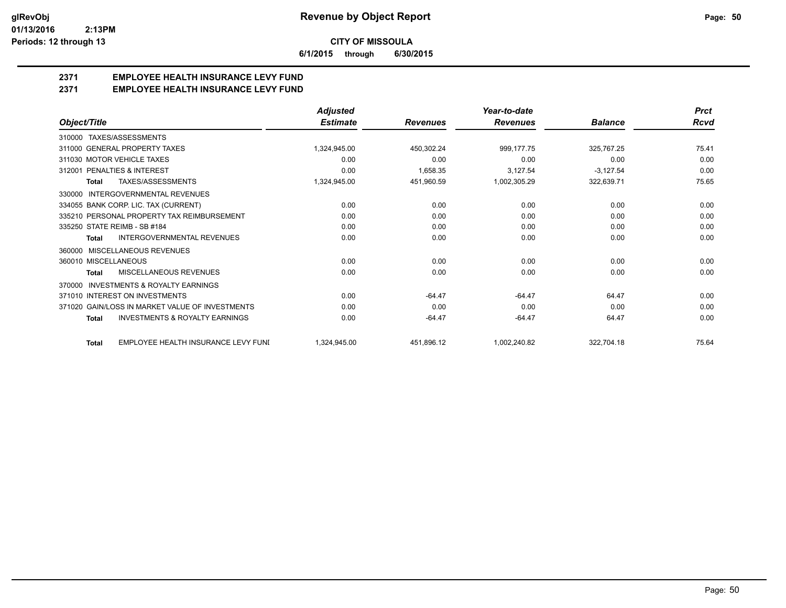**6/1/2015 through 6/30/2015**

## **2371 EMPLOYEE HEALTH INSURANCE LEVY FUND**

**2371 EMPLOYEE HEALTH INSURANCE LEVY FUND**

|                                                     | <b>Adjusted</b> |                 | Year-to-date    |                | <b>Prct</b> |
|-----------------------------------------------------|-----------------|-----------------|-----------------|----------------|-------------|
| Object/Title                                        | <b>Estimate</b> | <b>Revenues</b> | <b>Revenues</b> | <b>Balance</b> | <b>Rcvd</b> |
| 310000 TAXES/ASSESSMENTS                            |                 |                 |                 |                |             |
| 311000 GENERAL PROPERTY TAXES                       | 1,324,945.00    | 450,302.24      | 999,177.75      | 325,767.25     | 75.41       |
| 311030 MOTOR VEHICLE TAXES                          | 0.00            | 0.00            | 0.00            | 0.00           | 0.00        |
| PENALTIES & INTEREST<br>312001                      | 0.00            | 1,658.35        | 3,127.54        | $-3,127.54$    | 0.00        |
| TAXES/ASSESSMENTS<br><b>Total</b>                   | 1,324,945.00    | 451,960.59      | 1,002,305.29    | 322,639.71     | 75.65       |
| <b>INTERGOVERNMENTAL REVENUES</b><br>330000         |                 |                 |                 |                |             |
| 334055 BANK CORP. LIC. TAX (CURRENT)                | 0.00            | 0.00            | 0.00            | 0.00           | 0.00        |
| 335210 PERSONAL PROPERTY TAX REIMBURSEMENT          | 0.00            | 0.00            | 0.00            | 0.00           | 0.00        |
| 335250 STATE REIMB - SB #184                        | 0.00            | 0.00            | 0.00            | 0.00           | 0.00        |
| INTERGOVERNMENTAL REVENUES<br>Total                 | 0.00            | 0.00            | 0.00            | 0.00           | 0.00        |
| 360000 MISCELLANEOUS REVENUES                       |                 |                 |                 |                |             |
| 360010 MISCELLANEOUS                                | 0.00            | 0.00            | 0.00            | 0.00           | 0.00        |
| MISCELLANEOUS REVENUES<br><b>Total</b>              | 0.00            | 0.00            | 0.00            | 0.00           | 0.00        |
| <b>INVESTMENTS &amp; ROYALTY EARNINGS</b><br>370000 |                 |                 |                 |                |             |
| 371010 INTEREST ON INVESTMENTS                      | 0.00            | $-64.47$        | $-64.47$        | 64.47          | 0.00        |
| 371020 GAIN/LOSS IN MARKET VALUE OF INVESTMENTS     | 0.00            | 0.00            | 0.00            | 0.00           | 0.00        |
| <b>INVESTMENTS &amp; ROYALTY EARNINGS</b><br>Total  | 0.00            | $-64.47$        | $-64.47$        | 64.47          | 0.00        |
| EMPLOYEE HEALTH INSURANCE LEVY FUNI<br><b>Total</b> | 1,324,945.00    | 451,896.12      | 1,002,240.82    | 322,704.18     | 75.64       |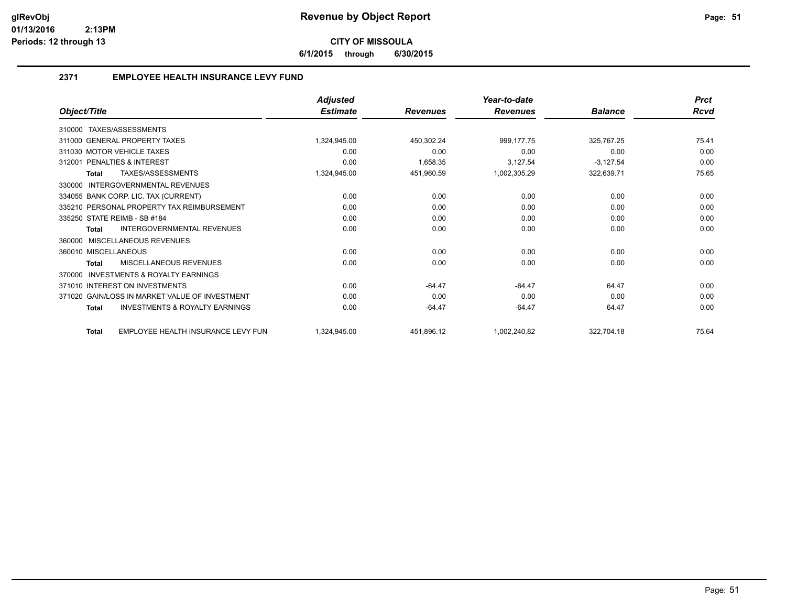**6/1/2015 through 6/30/2015**

#### **2371 EMPLOYEE HEALTH INSURANCE LEVY FUND**

|                                                    | <b>Adjusted</b> |                 | Year-to-date    |                | <b>Prct</b> |
|----------------------------------------------------|-----------------|-----------------|-----------------|----------------|-------------|
| Object/Title                                       | <b>Estimate</b> | <b>Revenues</b> | <b>Revenues</b> | <b>Balance</b> | Rcvd        |
| 310000 TAXES/ASSESSMENTS                           |                 |                 |                 |                |             |
| 311000 GENERAL PROPERTY TAXES                      | 1,324,945.00    | 450,302.24      | 999,177.75      | 325,767.25     | 75.41       |
| 311030 MOTOR VEHICLE TAXES                         | 0.00            | 0.00            | 0.00            | 0.00           | 0.00        |
| 312001 PENALTIES & INTEREST                        | 0.00            | 1,658.35        | 3,127.54        | $-3,127.54$    | 0.00        |
| <b>TAXES/ASSESSMENTS</b><br>Total                  | 1,324,945.00    | 451,960.59      | 1,002,305.29    | 322,639.71     | 75.65       |
| INTERGOVERNMENTAL REVENUES<br>330000               |                 |                 |                 |                |             |
| 334055 BANK CORP. LIC. TAX (CURRENT)               | 0.00            | 0.00            | 0.00            | 0.00           | 0.00        |
| 335210 PERSONAL PROPERTY TAX REIMBURSEMENT         | 0.00            | 0.00            | 0.00            | 0.00           | 0.00        |
| 335250 STATE REIMB - SB #184                       | 0.00            | 0.00            | 0.00            | 0.00           | 0.00        |
| <b>INTERGOVERNMENTAL REVENUES</b><br>Total         | 0.00            | 0.00            | 0.00            | 0.00           | 0.00        |
| MISCELLANEOUS REVENUES<br>360000                   |                 |                 |                 |                |             |
| 360010 MISCELLANEOUS                               | 0.00            | 0.00            | 0.00            | 0.00           | 0.00        |
| MISCELLANEOUS REVENUES<br><b>Total</b>             | 0.00            | 0.00            | 0.00            | 0.00           | 0.00        |
| INVESTMENTS & ROYALTY EARNINGS<br>370000           |                 |                 |                 |                |             |
| 371010 INTEREST ON INVESTMENTS                     | 0.00            | $-64.47$        | $-64.47$        | 64.47          | 0.00        |
| 371020 GAIN/LOSS IN MARKET VALUE OF INVESTMENT     | 0.00            | 0.00            | 0.00            | 0.00           | 0.00        |
| <b>INVESTMENTS &amp; ROYALTY EARNINGS</b><br>Total | 0.00            | $-64.47$        | $-64.47$        | 64.47          | 0.00        |
| EMPLOYEE HEALTH INSURANCE LEVY FUN<br><b>Total</b> | 1,324,945.00    | 451,896.12      | 1,002,240.82    | 322,704.18     | 75.64       |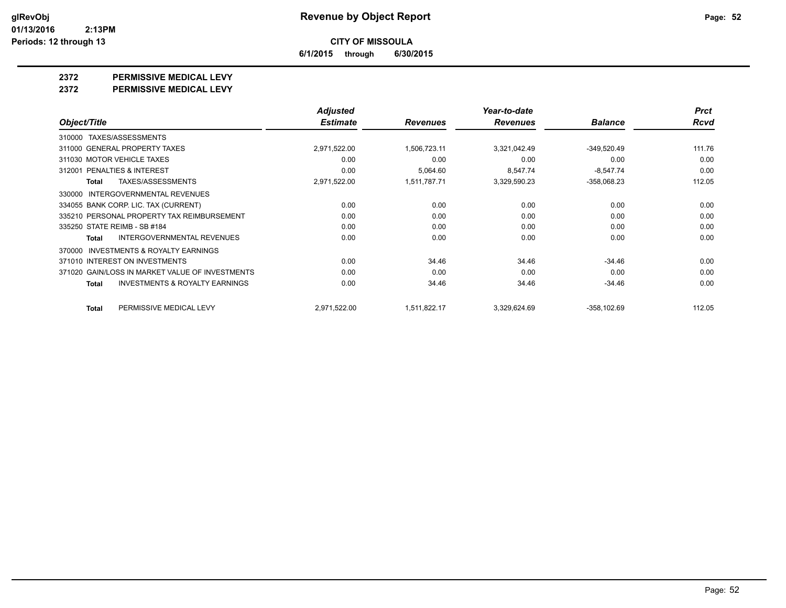**6/1/2015 through 6/30/2015**

**2372 PERMISSIVE MEDICAL LEVY**

**2372 PERMISSIVE MEDICAL LEVY**

|                                                           | <b>Adjusted</b> |                 | Year-to-date    |                | <b>Prct</b> |
|-----------------------------------------------------------|-----------------|-----------------|-----------------|----------------|-------------|
| Object/Title                                              | <b>Estimate</b> | <b>Revenues</b> | <b>Revenues</b> | <b>Balance</b> | Rcvd        |
| TAXES/ASSESSMENTS<br>310000                               |                 |                 |                 |                |             |
| 311000 GENERAL PROPERTY TAXES                             | 2,971,522.00    | 1,506,723.11    | 3,321,042.49    | $-349,520.49$  | 111.76      |
| 311030 MOTOR VEHICLE TAXES                                | 0.00            | 0.00            | 0.00            | 0.00           | 0.00        |
| 312001 PENALTIES & INTEREST                               | 0.00            | 5,064.60        | 8,547.74        | $-8,547.74$    | 0.00        |
| TAXES/ASSESSMENTS<br><b>Total</b>                         | 2,971,522.00    | 1,511,787.71    | 3,329,590.23    | $-358,068.23$  | 112.05      |
| INTERGOVERNMENTAL REVENUES<br>330000                      |                 |                 |                 |                |             |
| 334055 BANK CORP. LIC. TAX (CURRENT)                      | 0.00            | 0.00            | 0.00            | 0.00           | 0.00        |
| 335210 PERSONAL PROPERTY TAX REIMBURSEMENT                | 0.00            | 0.00            | 0.00            | 0.00           | 0.00        |
| 335250 STATE REIMB - SB #184                              | 0.00            | 0.00            | 0.00            | 0.00           | 0.00        |
| <b>INTERGOVERNMENTAL REVENUES</b><br><b>Total</b>         | 0.00            | 0.00            | 0.00            | 0.00           | 0.00        |
| INVESTMENTS & ROYALTY EARNINGS<br>370000                  |                 |                 |                 |                |             |
| 371010 INTEREST ON INVESTMENTS                            | 0.00            | 34.46           | 34.46           | $-34.46$       | 0.00        |
| 371020 GAIN/LOSS IN MARKET VALUE OF INVESTMENTS           | 0.00            | 0.00            | 0.00            | 0.00           | 0.00        |
| <b>INVESTMENTS &amp; ROYALTY EARNINGS</b><br><b>Total</b> | 0.00            | 34.46           | 34.46           | $-34.46$       | 0.00        |
| PERMISSIVE MEDICAL LEVY<br><b>Total</b>                   | 2,971,522.00    | 1,511,822.17    | 3,329,624.69    | $-358,102.69$  | 112.05      |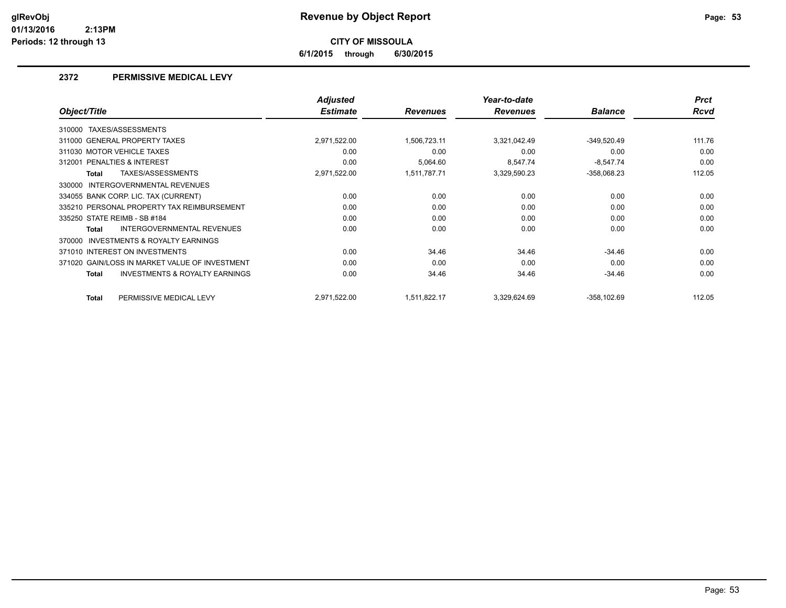**6/1/2015 through 6/30/2015**

#### **2372 PERMISSIVE MEDICAL LEVY**

|                                                           | <b>Adjusted</b> |                 | Year-to-date    |                | <b>Prct</b> |
|-----------------------------------------------------------|-----------------|-----------------|-----------------|----------------|-------------|
| Object/Title                                              | <b>Estimate</b> | <b>Revenues</b> | <b>Revenues</b> | <b>Balance</b> | Rcvd        |
| 310000 TAXES/ASSESSMENTS                                  |                 |                 |                 |                |             |
| 311000 GENERAL PROPERTY TAXES                             | 2,971,522.00    | 1,506,723.11    | 3,321,042.49    | $-349,520.49$  | 111.76      |
| 311030 MOTOR VEHICLE TAXES                                | 0.00            | 0.00            | 0.00            | 0.00           | 0.00        |
| <b>PENALTIES &amp; INTEREST</b><br>312001                 | 0.00            | 5,064.60        | 8,547.74        | $-8,547.74$    | 0.00        |
| TAXES/ASSESSMENTS<br><b>Total</b>                         | 2,971,522.00    | 1,511,787.71    | 3,329,590.23    | $-358,068.23$  | 112.05      |
| INTERGOVERNMENTAL REVENUES<br>330000                      |                 |                 |                 |                |             |
| 334055 BANK CORP. LIC. TAX (CURRENT)                      | 0.00            | 0.00            | 0.00            | 0.00           | 0.00        |
| 335210 PERSONAL PROPERTY TAX REIMBURSEMENT                | 0.00            | 0.00            | 0.00            | 0.00           | 0.00        |
| 335250 STATE REIMB - SB #184                              | 0.00            | 0.00            | 0.00            | 0.00           | 0.00        |
| <b>INTERGOVERNMENTAL REVENUES</b><br><b>Total</b>         | 0.00            | 0.00            | 0.00            | 0.00           | 0.00        |
| <b>INVESTMENTS &amp; ROYALTY EARNINGS</b><br>370000       |                 |                 |                 |                |             |
| 371010 INTEREST ON INVESTMENTS                            | 0.00            | 34.46           | 34.46           | $-34.46$       | 0.00        |
| 371020 GAIN/LOSS IN MARKET VALUE OF INVESTMENT            | 0.00            | 0.00            | 0.00            | 0.00           | 0.00        |
| <b>INVESTMENTS &amp; ROYALTY EARNINGS</b><br><b>Total</b> | 0.00            | 34.46           | 34.46           | $-34.46$       | 0.00        |
| PERMISSIVE MEDICAL LEVY<br><b>Total</b>                   | 2.971.522.00    | 1,511,822.17    | 3,329,624.69    | $-358, 102.69$ | 112.05      |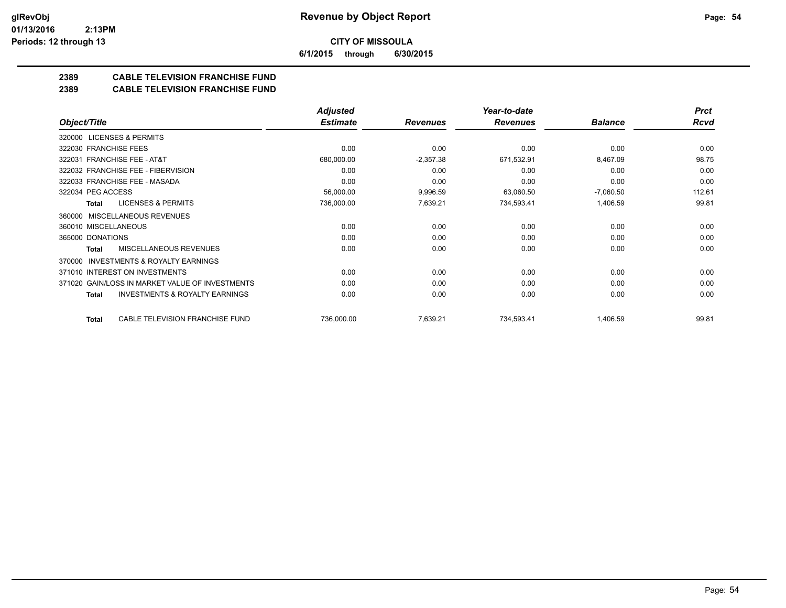**6/1/2015 through 6/30/2015**

## **2389 CABLE TELEVISION FRANCHISE FUND**

#### **2389 CABLE TELEVISION FRANCHISE FUND**

|                                                     | <b>Adjusted</b> |                 | Year-to-date    |                | <b>Prct</b> |
|-----------------------------------------------------|-----------------|-----------------|-----------------|----------------|-------------|
| Object/Title                                        | <b>Estimate</b> | <b>Revenues</b> | <b>Revenues</b> | <b>Balance</b> | Rcvd        |
| 320000 LICENSES & PERMITS                           |                 |                 |                 |                |             |
| 322030 FRANCHISE FEES                               | 0.00            | 0.00            | 0.00            | 0.00           | 0.00        |
| <b>FRANCHISE FEE - AT&amp;T</b><br>322031           | 680,000.00      | $-2,357.38$     | 671,532.91      | 8,467.09       | 98.75       |
| 322032 FRANCHISE FEE - FIBERVISION                  | 0.00            | 0.00            | 0.00            | 0.00           | 0.00        |
| 322033 FRANCHISE FEE - MASADA                       | 0.00            | 0.00            | 0.00            | 0.00           | 0.00        |
| 322034 PEG ACCESS                                   | 56,000.00       | 9,996.59        | 63,060.50       | $-7,060.50$    | 112.61      |
| <b>LICENSES &amp; PERMITS</b><br>Total              | 736,000.00      | 7,639.21        | 734,593.41      | 1,406.59       | 99.81       |
| 360000 MISCELLANEOUS REVENUES                       |                 |                 |                 |                |             |
| 360010 MISCELLANEOUS                                | 0.00            | 0.00            | 0.00            | 0.00           | 0.00        |
| 365000 DONATIONS                                    | 0.00            | 0.00            | 0.00            | 0.00           | 0.00        |
| <b>MISCELLANEOUS REVENUES</b><br>Total              | 0.00            | 0.00            | 0.00            | 0.00           | 0.00        |
| <b>INVESTMENTS &amp; ROYALTY EARNINGS</b><br>370000 |                 |                 |                 |                |             |
| 371010 INTEREST ON INVESTMENTS                      | 0.00            | 0.00            | 0.00            | 0.00           | 0.00        |
| 371020 GAIN/LOSS IN MARKET VALUE OF INVESTMENTS     | 0.00            | 0.00            | 0.00            | 0.00           | 0.00        |
| <b>INVESTMENTS &amp; ROYALTY EARNINGS</b><br>Total  | 0.00            | 0.00            | 0.00            | 0.00           | 0.00        |
| CABLE TELEVISION FRANCHISE FUND<br>Total            | 736,000.00      | 7,639.21        | 734,593.41      | 1,406.59       | 99.81       |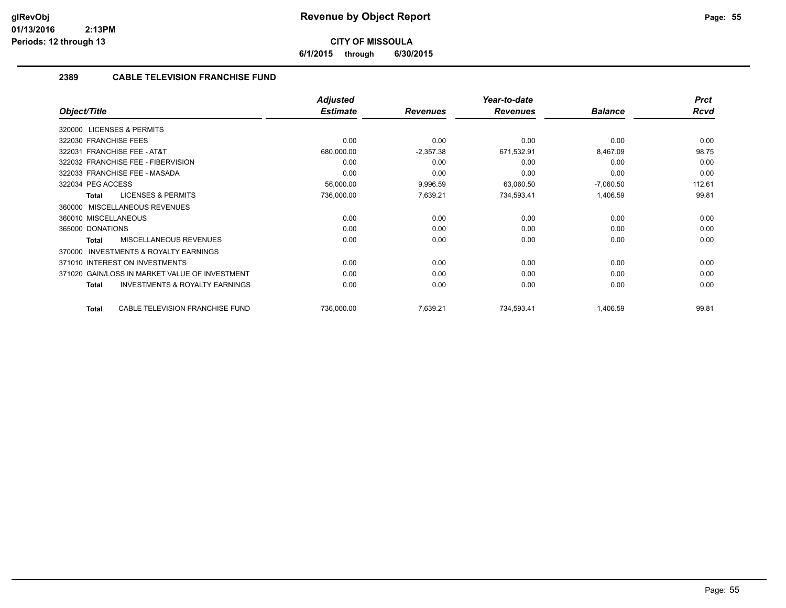**6/1/2015 through 6/30/2015**

#### **2389 CABLE TELEVISION FRANCHISE FUND**

|                                                           | <b>Adjusted</b> |                 | Year-to-date    |                | <b>Prct</b> |
|-----------------------------------------------------------|-----------------|-----------------|-----------------|----------------|-------------|
| Object/Title                                              | <b>Estimate</b> | <b>Revenues</b> | <b>Revenues</b> | <b>Balance</b> | <b>Rcvd</b> |
| 320000 LICENSES & PERMITS                                 |                 |                 |                 |                |             |
| 322030 FRANCHISE FEES                                     | 0.00            | 0.00            | 0.00            | 0.00           | 0.00        |
| 322031 FRANCHISE FEE - AT&T                               | 680,000.00      | $-2,357.38$     | 671,532.91      | 8,467.09       | 98.75       |
| 322032 FRANCHISE FEE - FIBERVISION                        | 0.00            | 0.00            | 0.00            | 0.00           | 0.00        |
| 322033 FRANCHISE FEE - MASADA                             | 0.00            | 0.00            | 0.00            | 0.00           | 0.00        |
| 322034 PEG ACCESS                                         | 56,000.00       | 9,996.59        | 63,060.50       | $-7,060.50$    | 112.61      |
| <b>LICENSES &amp; PERMITS</b><br><b>Total</b>             | 736,000.00      | 7,639.21        | 734,593.41      | 1,406.59       | 99.81       |
| MISCELLANEOUS REVENUES<br>360000                          |                 |                 |                 |                |             |
| 360010 MISCELLANEOUS                                      | 0.00            | 0.00            | 0.00            | 0.00           | 0.00        |
| 365000 DONATIONS                                          | 0.00            | 0.00            | 0.00            | 0.00           | 0.00        |
| <b>MISCELLANEOUS REVENUES</b><br>Total                    | 0.00            | 0.00            | 0.00            | 0.00           | 0.00        |
| <b>INVESTMENTS &amp; ROYALTY EARNINGS</b><br>370000       |                 |                 |                 |                |             |
| 371010 INTEREST ON INVESTMENTS                            | 0.00            | 0.00            | 0.00            | 0.00           | 0.00        |
| 371020 GAIN/LOSS IN MARKET VALUE OF INVESTMENT            | 0.00            | 0.00            | 0.00            | 0.00           | 0.00        |
| <b>INVESTMENTS &amp; ROYALTY EARNINGS</b><br><b>Total</b> | 0.00            | 0.00            | 0.00            | 0.00           | 0.00        |
| CABLE TELEVISION FRANCHISE FUND<br><b>Total</b>           | 736,000.00      | 7,639.21        | 734,593.41      | 1,406.59       | 99.81       |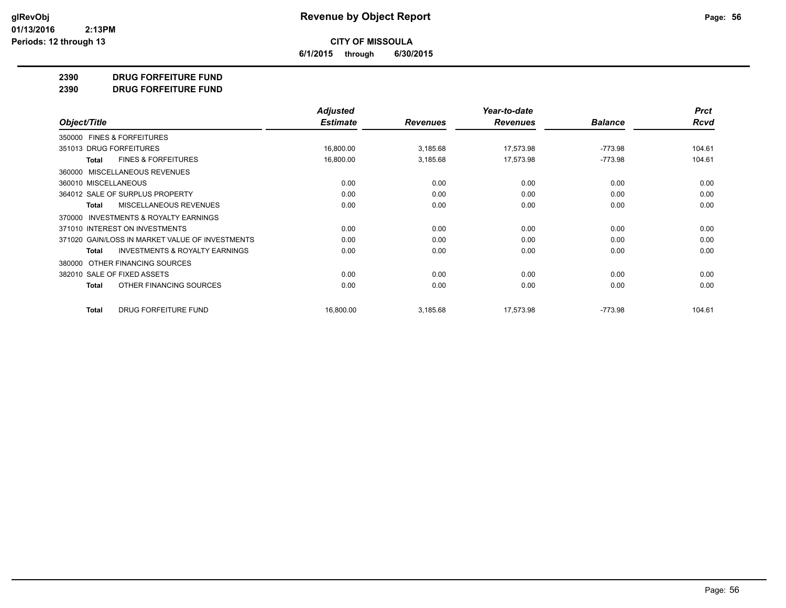**6/1/2015 through 6/30/2015**

#### **2390 DRUG FORFEITURE FUND**

**2390 DRUG FORFEITURE FUND**

|                                                    | <b>Adjusted</b> |                 | Year-to-date    |                | <b>Prct</b> |
|----------------------------------------------------|-----------------|-----------------|-----------------|----------------|-------------|
| Object/Title                                       | <b>Estimate</b> | <b>Revenues</b> | <b>Revenues</b> | <b>Balance</b> | <b>Rcvd</b> |
| 350000 FINES & FORFEITURES                         |                 |                 |                 |                |             |
| 351013 DRUG FORFEITURES                            | 16,800.00       | 3,185.68        | 17,573.98       | $-773.98$      | 104.61      |
| <b>FINES &amp; FORFEITURES</b><br>Total            | 16,800.00       | 3,185.68        | 17,573.98       | $-773.98$      | 104.61      |
| 360000 MISCELLANEOUS REVENUES                      |                 |                 |                 |                |             |
| 360010 MISCELLANEOUS                               | 0.00            | 0.00            | 0.00            | 0.00           | 0.00        |
| 364012 SALE OF SURPLUS PROPERTY                    | 0.00            | 0.00            | 0.00            | 0.00           | 0.00        |
| <b>MISCELLANEOUS REVENUES</b><br>Total             | 0.00            | 0.00            | 0.00            | 0.00           | 0.00        |
| 370000 INVESTMENTS & ROYALTY EARNINGS              |                 |                 |                 |                |             |
| 371010 INTEREST ON INVESTMENTS                     | 0.00            | 0.00            | 0.00            | 0.00           | 0.00        |
| 371020 GAIN/LOSS IN MARKET VALUE OF INVESTMENTS    | 0.00            | 0.00            | 0.00            | 0.00           | 0.00        |
| <b>INVESTMENTS &amp; ROYALTY EARNINGS</b><br>Total | 0.00            | 0.00            | 0.00            | 0.00           | 0.00        |
| OTHER FINANCING SOURCES<br>380000                  |                 |                 |                 |                |             |
| 382010 SALE OF FIXED ASSETS                        | 0.00            | 0.00            | 0.00            | 0.00           | 0.00        |
| OTHER FINANCING SOURCES<br>Total                   | 0.00            | 0.00            | 0.00            | 0.00           | 0.00        |
| <b>DRUG FORFEITURE FUND</b><br><b>Total</b>        | 16,800.00       | 3,185.68        | 17,573.98       | $-773.98$      | 104.61      |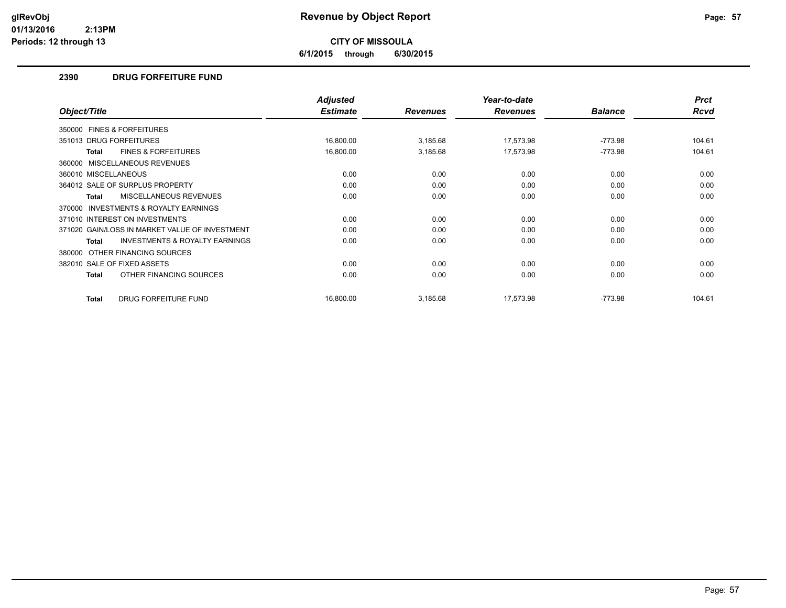**6/1/2015 through 6/30/2015**

#### **2390 DRUG FORFEITURE FUND**

|                                                           | <b>Adjusted</b> |                 | Year-to-date    |                | <b>Prct</b> |
|-----------------------------------------------------------|-----------------|-----------------|-----------------|----------------|-------------|
| Object/Title                                              | <b>Estimate</b> | <b>Revenues</b> | <b>Revenues</b> | <b>Balance</b> | <b>Rcvd</b> |
| 350000 FINES & FORFEITURES                                |                 |                 |                 |                |             |
| 351013 DRUG FORFEITURES                                   | 16,800.00       | 3,185.68        | 17,573.98       | $-773.98$      | 104.61      |
| <b>FINES &amp; FORFEITURES</b><br><b>Total</b>            | 16,800.00       | 3,185.68        | 17,573.98       | $-773.98$      | 104.61      |
| 360000 MISCELLANEOUS REVENUES                             |                 |                 |                 |                |             |
| 360010 MISCELLANEOUS                                      | 0.00            | 0.00            | 0.00            | 0.00           | 0.00        |
| 364012 SALE OF SURPLUS PROPERTY                           | 0.00            | 0.00            | 0.00            | 0.00           | 0.00        |
| <b>MISCELLANEOUS REVENUES</b><br>Total                    | 0.00            | 0.00            | 0.00            | 0.00           | 0.00        |
| <b>INVESTMENTS &amp; ROYALTY EARNINGS</b><br>370000       |                 |                 |                 |                |             |
| 371010 INTEREST ON INVESTMENTS                            | 0.00            | 0.00            | 0.00            | 0.00           | 0.00        |
| 371020 GAIN/LOSS IN MARKET VALUE OF INVESTMENT            | 0.00            | 0.00            | 0.00            | 0.00           | 0.00        |
| <b>INVESTMENTS &amp; ROYALTY EARNINGS</b><br><b>Total</b> | 0.00            | 0.00            | 0.00            | 0.00           | 0.00        |
| OTHER FINANCING SOURCES<br>380000                         |                 |                 |                 |                |             |
| 382010 SALE OF FIXED ASSETS                               | 0.00            | 0.00            | 0.00            | 0.00           | 0.00        |
| OTHER FINANCING SOURCES<br><b>Total</b>                   | 0.00            | 0.00            | 0.00            | 0.00           | 0.00        |
| DRUG FORFEITURE FUND<br><b>Total</b>                      | 16,800.00       | 3,185.68        | 17,573.98       | $-773.98$      | 104.61      |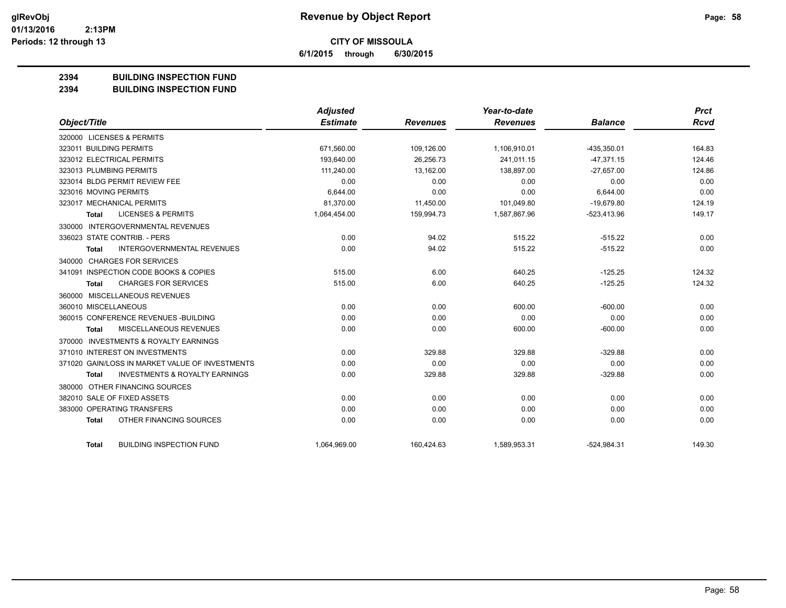**6/1/2015 through 6/30/2015**

#### **2394 BUILDING INSPECTION FUND**

#### **2394 BUILDING INSPECTION FUND**

|                                                           | <b>Adjusted</b> |                 | Year-to-date    |                | <b>Prct</b> |
|-----------------------------------------------------------|-----------------|-----------------|-----------------|----------------|-------------|
| Object/Title                                              | <b>Estimate</b> | <b>Revenues</b> | <b>Revenues</b> | <b>Balance</b> | <b>Rcvd</b> |
| 320000 LICENSES & PERMITS                                 |                 |                 |                 |                |             |
| 323011 BUILDING PERMITS                                   | 671,560.00      | 109,126.00      | 1,106,910.01    | $-435,350.01$  | 164.83      |
| 323012 ELECTRICAL PERMITS                                 | 193,640.00      | 26.256.73       | 241.011.15      | $-47.371.15$   | 124.46      |
| 323013 PLUMBING PERMITS                                   | 111,240.00      | 13,162.00       | 138,897.00      | $-27,657.00$   | 124.86      |
| 323014 BLDG PERMIT REVIEW FEE                             | 0.00            | 0.00            | 0.00            | 0.00           | 0.00        |
| 323016 MOVING PERMITS                                     | 6,644.00        | 0.00            | 0.00            | 6,644.00       | 0.00        |
| 323017 MECHANICAL PERMITS                                 | 81,370.00       | 11,450.00       | 101,049.80      | $-19,679.80$   | 124.19      |
| <b>LICENSES &amp; PERMITS</b><br><b>Total</b>             | 1,064,454.00    | 159,994.73      | 1,587,867.96    | $-523,413.96$  | 149.17      |
| 330000 INTERGOVERNMENTAL REVENUES                         |                 |                 |                 |                |             |
| 336023 STATE CONTRIB. - PERS                              | 0.00            | 94.02           | 515.22          | $-515.22$      | 0.00        |
| <b>INTERGOVERNMENTAL REVENUES</b><br><b>Total</b>         | 0.00            | 94.02           | 515.22          | $-515.22$      | 0.00        |
| 340000 CHARGES FOR SERVICES                               |                 |                 |                 |                |             |
| 341091 INSPECTION CODE BOOKS & COPIES                     | 515.00          | 6.00            | 640.25          | $-125.25$      | 124.32      |
| <b>CHARGES FOR SERVICES</b><br><b>Total</b>               | 515.00          | 6.00            | 640.25          | $-125.25$      | 124.32      |
| 360000 MISCELLANEOUS REVENUES                             |                 |                 |                 |                |             |
| 360010 MISCELLANEOUS                                      | 0.00            | 0.00            | 600.00          | $-600.00$      | 0.00        |
| 360015 CONFERENCE REVENUES - BUILDING                     | 0.00            | 0.00            | 0.00            | 0.00           | 0.00        |
| MISCELLANEOUS REVENUES<br><b>Total</b>                    | 0.00            | 0.00            | 600.00          | $-600.00$      | 0.00        |
| 370000 INVESTMENTS & ROYALTY EARNINGS                     |                 |                 |                 |                |             |
| 371010 INTEREST ON INVESTMENTS                            | 0.00            | 329.88          | 329.88          | $-329.88$      | 0.00        |
| 371020 GAIN/LOSS IN MARKET VALUE OF INVESTMENTS           | 0.00            | 0.00            | 0.00            | 0.00           | 0.00        |
| <b>INVESTMENTS &amp; ROYALTY EARNINGS</b><br><b>Total</b> | 0.00            | 329.88          | 329.88          | $-329.88$      | 0.00        |
| 380000 OTHER FINANCING SOURCES                            |                 |                 |                 |                |             |
| 382010 SALE OF FIXED ASSETS                               | 0.00            | 0.00            | 0.00            | 0.00           | 0.00        |
| 383000 OPERATING TRANSFERS                                | 0.00            | 0.00            | 0.00            | 0.00           | 0.00        |
| OTHER FINANCING SOURCES<br><b>Total</b>                   | 0.00            | 0.00            | 0.00            | 0.00           | 0.00        |
| <b>BUILDING INSPECTION FUND</b><br><b>Total</b>           | 1,064,969.00    | 160,424.63      | 1,589,953.31    | $-524,984.31$  | 149.30      |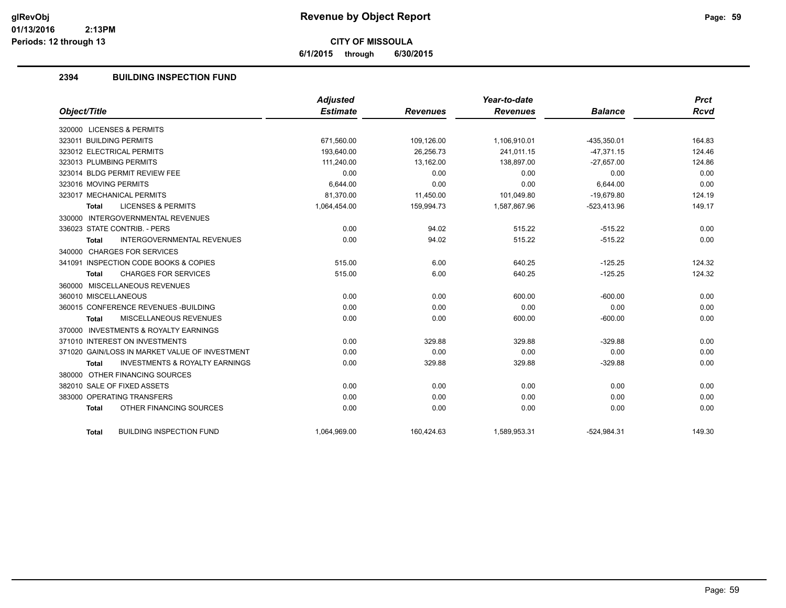**6/1/2015 through 6/30/2015**

#### **2394 BUILDING INSPECTION FUND**

|                                                    | Adjusted        |                 | Year-to-date    |                | <b>Prct</b> |
|----------------------------------------------------|-----------------|-----------------|-----------------|----------------|-------------|
| Object/Title                                       | <b>Estimate</b> | <b>Revenues</b> | <b>Revenues</b> | <b>Balance</b> | Rcvd        |
| 320000 LICENSES & PERMITS                          |                 |                 |                 |                |             |
| 323011 BUILDING PERMITS                            | 671,560.00      | 109,126.00      | 1,106,910.01    | -435,350.01    | 164.83      |
| 323012 ELECTRICAL PERMITS                          | 193.640.00      | 26.256.73       | 241.011.15      | $-47.371.15$   | 124.46      |
| 323013 PLUMBING PERMITS                            | 111,240.00      | 13,162.00       | 138,897.00      | $-27,657.00$   | 124.86      |
| 323014 BLDG PERMIT REVIEW FEE                      | 0.00            | 0.00            | 0.00            | 0.00           | 0.00        |
| 323016 MOVING PERMITS                              | 6.644.00        | 0.00            | 0.00            | 6.644.00       | 0.00        |
| 323017 MECHANICAL PERMITS                          | 81,370.00       | 11,450.00       | 101,049.80      | $-19,679.80$   | 124.19      |
| <b>LICENSES &amp; PERMITS</b><br><b>Total</b>      | 1,064,454.00    | 159,994.73      | 1,587,867.96    | $-523,413.96$  | 149.17      |
| 330000 INTERGOVERNMENTAL REVENUES                  |                 |                 |                 |                |             |
| 336023 STATE CONTRIB. - PERS                       | 0.00            | 94.02           | 515.22          | $-515.22$      | 0.00        |
| INTERGOVERNMENTAL REVENUES<br><b>Total</b>         | 0.00            | 94.02           | 515.22          | $-515.22$      | 0.00        |
| 340000 CHARGES FOR SERVICES                        |                 |                 |                 |                |             |
| 341091 INSPECTION CODE BOOKS & COPIES              | 515.00          | 6.00            | 640.25          | $-125.25$      | 124.32      |
| <b>CHARGES FOR SERVICES</b><br>Total               | 515.00          | 6.00            | 640.25          | $-125.25$      | 124.32      |
| 360000 MISCELLANEOUS REVENUES                      |                 |                 |                 |                |             |
| 360010 MISCELLANEOUS                               | 0.00            | 0.00            | 600.00          | $-600.00$      | 0.00        |
| 360015 CONFERENCE REVENUES - BUILDING              | 0.00            | 0.00            | 0.00            | 0.00           | 0.00        |
| <b>MISCELLANEOUS REVENUES</b><br>Total             | 0.00            | 0.00            | 600.00          | $-600.00$      | 0.00        |
| 370000 INVESTMENTS & ROYALTY EARNINGS              |                 |                 |                 |                |             |
| 371010 INTEREST ON INVESTMENTS                     | 0.00            | 329.88          | 329.88          | $-329.88$      | 0.00        |
| 371020 GAIN/LOSS IN MARKET VALUE OF INVESTMENT     | 0.00            | 0.00            | 0.00            | 0.00           | 0.00        |
| <b>INVESTMENTS &amp; ROYALTY EARNINGS</b><br>Total | 0.00            | 329.88          | 329.88          | $-329.88$      | 0.00        |
| 380000 OTHER FINANCING SOURCES                     |                 |                 |                 |                |             |
| 382010 SALE OF FIXED ASSETS                        | 0.00            | 0.00            | 0.00            | 0.00           | 0.00        |
| 383000 OPERATING TRANSFERS                         | 0.00            | 0.00            | 0.00            | 0.00           | 0.00        |
| OTHER FINANCING SOURCES<br><b>Total</b>            | 0.00            | 0.00            | 0.00            | 0.00           | 0.00        |
|                                                    |                 |                 |                 |                |             |
| <b>BUILDING INSPECTION FUND</b><br><b>Total</b>    | 1,064,969.00    | 160,424.63      | 1,589,953.31    | $-524,984.31$  | 149.30      |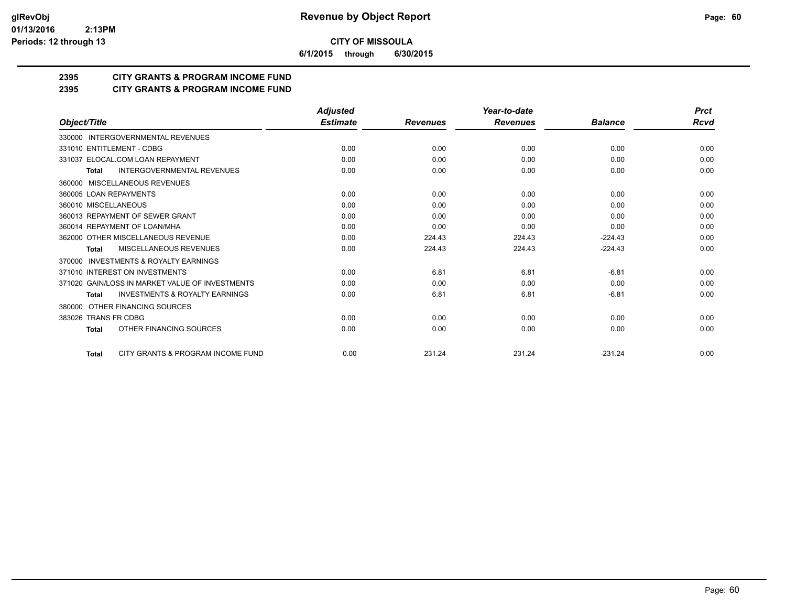**6/1/2015 through 6/30/2015**

## **2395 CITY GRANTS & PROGRAM INCOME FUND**

**2395 CITY GRANTS & PROGRAM INCOME FUND**

|                                                           | <b>Adjusted</b> |                 | Year-to-date    |                | <b>Prct</b> |
|-----------------------------------------------------------|-----------------|-----------------|-----------------|----------------|-------------|
| Object/Title                                              | <b>Estimate</b> | <b>Revenues</b> | <b>Revenues</b> | <b>Balance</b> | Rcvd        |
| 330000 INTERGOVERNMENTAL REVENUES                         |                 |                 |                 |                |             |
| 331010 ENTITLEMENT - CDBG                                 | 0.00            | 0.00            | 0.00            | 0.00           | 0.00        |
| 331037 ELOCAL.COM LOAN REPAYMENT                          | 0.00            | 0.00            | 0.00            | 0.00           | 0.00        |
| <b>INTERGOVERNMENTAL REVENUES</b><br><b>Total</b>         | 0.00            | 0.00            | 0.00            | 0.00           | 0.00        |
| MISCELLANEOUS REVENUES<br>360000                          |                 |                 |                 |                |             |
| 360005 LOAN REPAYMENTS                                    | 0.00            | 0.00            | 0.00            | 0.00           | 0.00        |
| 360010 MISCELLANEOUS                                      | 0.00            | 0.00            | 0.00            | 0.00           | 0.00        |
| 360013 REPAYMENT OF SEWER GRANT                           | 0.00            | 0.00            | 0.00            | 0.00           | 0.00        |
| 360014 REPAYMENT OF LOAN/MHA                              | 0.00            | 0.00            | 0.00            | 0.00           | 0.00        |
| 362000 OTHER MISCELLANEOUS REVENUE                        | 0.00            | 224.43          | 224.43          | $-224.43$      | 0.00        |
| <b>MISCELLANEOUS REVENUES</b><br><b>Total</b>             | 0.00            | 224.43          | 224.43          | $-224.43$      | 0.00        |
| <b>INVESTMENTS &amp; ROYALTY EARNINGS</b><br>370000       |                 |                 |                 |                |             |
| 371010 INTEREST ON INVESTMENTS                            | 0.00            | 6.81            | 6.81            | $-6.81$        | 0.00        |
| 371020 GAIN/LOSS IN MARKET VALUE OF INVESTMENTS           | 0.00            | 0.00            | 0.00            | 0.00           | 0.00        |
| <b>INVESTMENTS &amp; ROYALTY EARNINGS</b><br><b>Total</b> | 0.00            | 6.81            | 6.81            | $-6.81$        | 0.00        |
| OTHER FINANCING SOURCES<br>380000                         |                 |                 |                 |                |             |
| 383026 TRANS FR CDBG                                      | 0.00            | 0.00            | 0.00            | 0.00           | 0.00        |
| OTHER FINANCING SOURCES<br><b>Total</b>                   | 0.00            | 0.00            | 0.00            | 0.00           | 0.00        |
| CITY GRANTS & PROGRAM INCOME FUND<br><b>Total</b>         | 0.00            | 231.24          | 231.24          | $-231.24$      | 0.00        |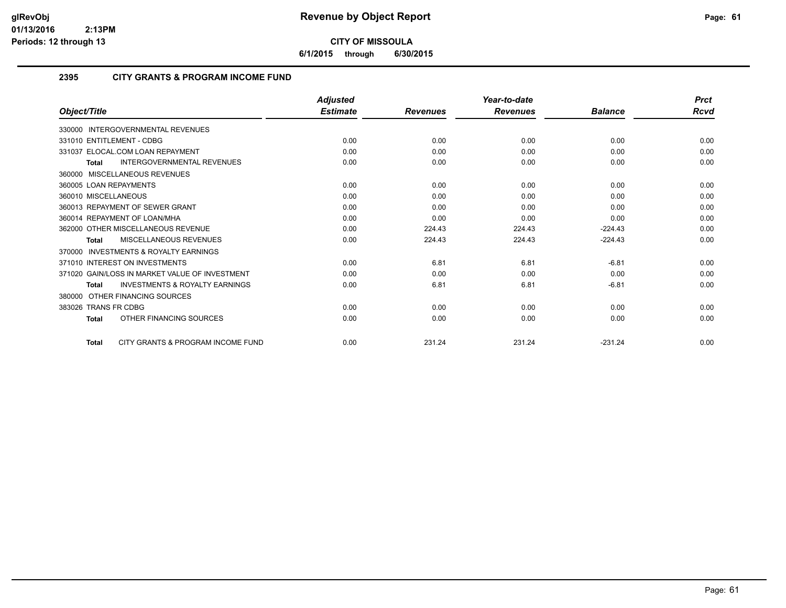**6/1/2015 through 6/30/2015**

#### **2395 CITY GRANTS & PROGRAM INCOME FUND**

|                                                           | <b>Adjusted</b> |                 | Year-to-date    |                | <b>Prct</b> |
|-----------------------------------------------------------|-----------------|-----------------|-----------------|----------------|-------------|
| Object/Title                                              | <b>Estimate</b> | <b>Revenues</b> | <b>Revenues</b> | <b>Balance</b> | Rcvd        |
| <b>INTERGOVERNMENTAL REVENUES</b><br>330000               |                 |                 |                 |                |             |
| 331010 ENTITLEMENT - CDBG                                 | 0.00            | 0.00            | 0.00            | 0.00           | 0.00        |
| 331037 ELOCAL.COM LOAN REPAYMENT                          | 0.00            | 0.00            | 0.00            | 0.00           | 0.00        |
| <b>INTERGOVERNMENTAL REVENUES</b><br>Total                | 0.00            | 0.00            | 0.00            | 0.00           | 0.00        |
| MISCELLANEOUS REVENUES<br>360000                          |                 |                 |                 |                |             |
| 360005 LOAN REPAYMENTS                                    | 0.00            | 0.00            | 0.00            | 0.00           | 0.00        |
| 360010 MISCELLANEOUS                                      | 0.00            | 0.00            | 0.00            | 0.00           | 0.00        |
| 360013 REPAYMENT OF SEWER GRANT                           | 0.00            | 0.00            | 0.00            | 0.00           | 0.00        |
| 360014 REPAYMENT OF LOAN/MHA                              | 0.00            | 0.00            | 0.00            | 0.00           | 0.00        |
| 362000 OTHER MISCELLANEOUS REVENUE                        | 0.00            | 224.43          | 224.43          | $-224.43$      | 0.00        |
| MISCELLANEOUS REVENUES<br><b>Total</b>                    | 0.00            | 224.43          | 224.43          | $-224.43$      | 0.00        |
| <b>INVESTMENTS &amp; ROYALTY EARNINGS</b><br>370000       |                 |                 |                 |                |             |
| 371010 INTEREST ON INVESTMENTS                            | 0.00            | 6.81            | 6.81            | $-6.81$        | 0.00        |
| 371020 GAIN/LOSS IN MARKET VALUE OF INVESTMENT            | 0.00            | 0.00            | 0.00            | 0.00           | 0.00        |
| <b>INVESTMENTS &amp; ROYALTY EARNINGS</b><br><b>Total</b> | 0.00            | 6.81            | 6.81            | $-6.81$        | 0.00        |
| OTHER FINANCING SOURCES<br>380000                         |                 |                 |                 |                |             |
| 383026 TRANS FR CDBG                                      | 0.00            | 0.00            | 0.00            | 0.00           | 0.00        |
| OTHER FINANCING SOURCES<br><b>Total</b>                   | 0.00            | 0.00            | 0.00            | 0.00           | 0.00        |
| CITY GRANTS & PROGRAM INCOME FUND<br><b>Total</b>         | 0.00            | 231.24          | 231.24          | $-231.24$      | 0.00        |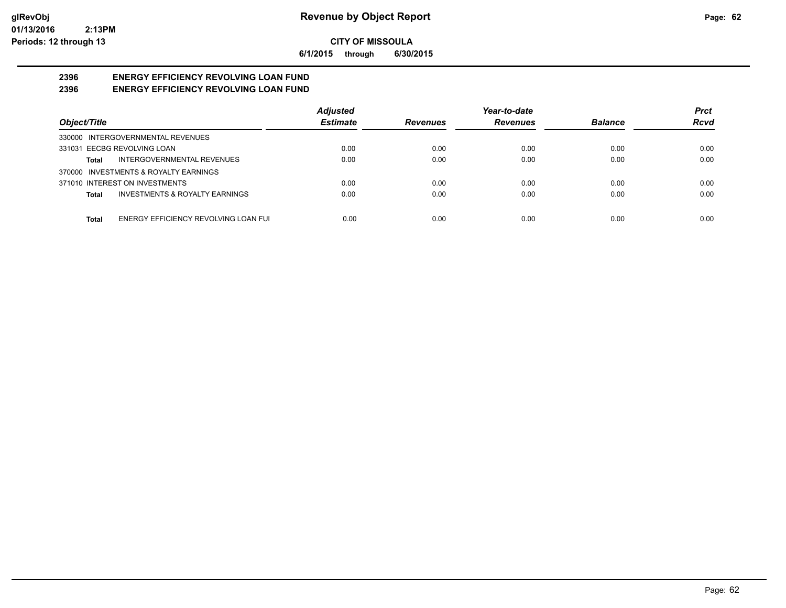**6/1/2015 through 6/30/2015**

#### **2396 ENERGY EFFICIENCY REVOLVING LOAN FUND 2396 ENERGY EFFICIENCY REVOLVING LOAN FUND**

|                                               | <b>Adjusted</b> |                 | Year-to-date    |                | <b>Prct</b> |
|-----------------------------------------------|-----------------|-----------------|-----------------|----------------|-------------|
| Object/Title                                  | <b>Estimate</b> | <b>Revenues</b> | <b>Revenues</b> | <b>Balance</b> | <b>Rcvd</b> |
| 330000 INTERGOVERNMENTAL REVENUES             |                 |                 |                 |                |             |
| 331031 EECBG REVOLVING LOAN                   | 0.00            | 0.00            | 0.00            | 0.00           | 0.00        |
| INTERGOVERNMENTAL REVENUES<br>Total           | 0.00            | 0.00            | 0.00            | 0.00           | 0.00        |
| 370000 INVESTMENTS & ROYALTY EARNINGS         |                 |                 |                 |                |             |
| 371010 INTEREST ON INVESTMENTS                | 0.00            | 0.00            | 0.00            | 0.00           | 0.00        |
| INVESTMENTS & ROYALTY EARNINGS<br>Total       | 0.00            | 0.00            | 0.00            | 0.00           | 0.00        |
|                                               |                 |                 |                 |                |             |
| ENERGY EFFICIENCY REVOLVING LOAN FUI<br>Total | 0.00            | 0.00            | 0.00            | 0.00           | 0.00        |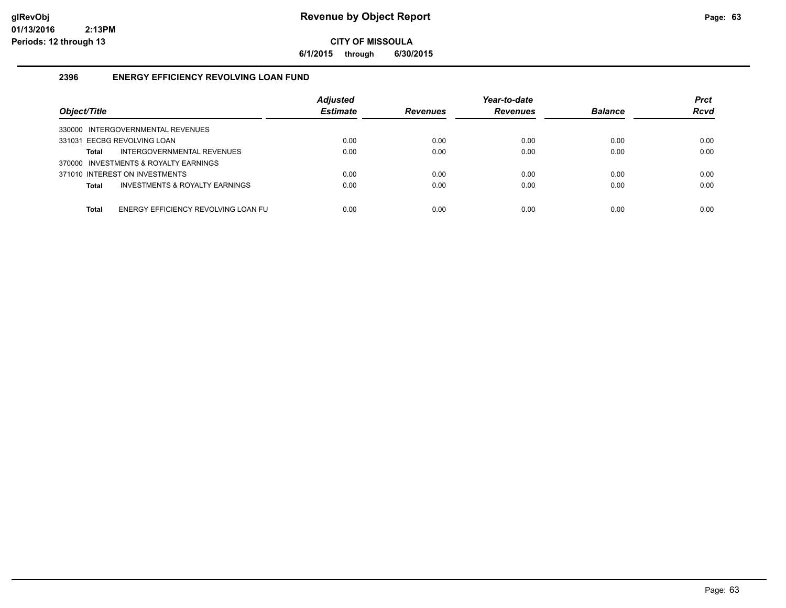**6/1/2015 through 6/30/2015**

#### **2396 ENERGY EFFICIENCY REVOLVING LOAN FUND**

| Object/Title                                              | <b>Adjusted</b><br><b>Estimate</b> | <b>Revenues</b> | Year-to-date<br><b>Revenues</b> | <b>Balance</b> | <b>Prct</b><br><b>Rcvd</b> |
|-----------------------------------------------------------|------------------------------------|-----------------|---------------------------------|----------------|----------------------------|
| 330000 INTERGOVERNMENTAL REVENUES                         |                                    |                 |                                 |                |                            |
| 331031 EECBG REVOLVING LOAN                               | 0.00                               | 0.00            | 0.00                            | 0.00           | 0.00                       |
| INTERGOVERNMENTAL REVENUES<br>Total                       | 0.00                               | 0.00            | 0.00                            | 0.00           | 0.00                       |
| 370000 INVESTMENTS & ROYALTY EARNINGS                     |                                    |                 |                                 |                |                            |
| 371010 INTEREST ON INVESTMENTS                            | 0.00                               | 0.00            | 0.00                            | 0.00           | 0.00                       |
| <b>INVESTMENTS &amp; ROYALTY EARNINGS</b><br><b>Total</b> | 0.00                               | 0.00            | 0.00                            | 0.00           | 0.00                       |
|                                                           |                                    |                 |                                 |                |                            |
| ENERGY EFFICIENCY REVOLVING LOAN FU<br>Total              | 0.00                               | 0.00            | 0.00                            | 0.00           | 0.00                       |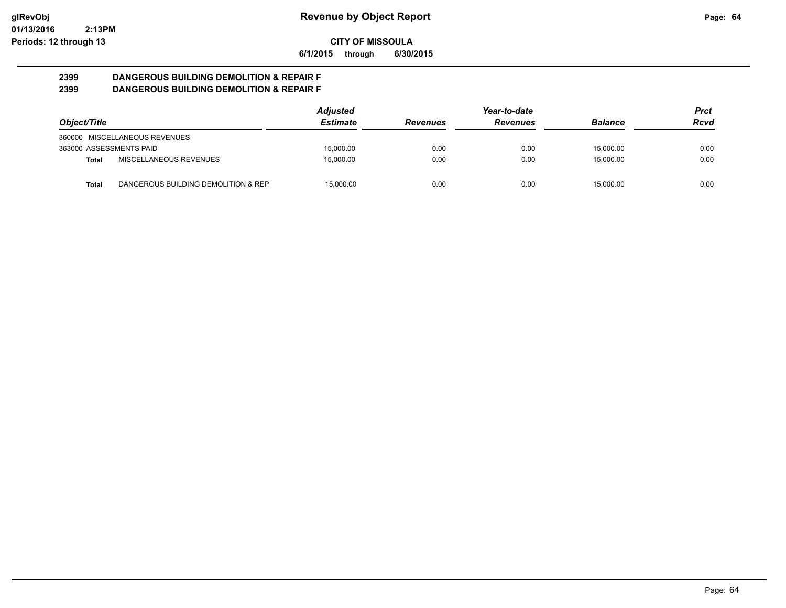**6/1/2015 through 6/30/2015**

#### **2399 DANGEROUS BUILDING DEMOLITION & REPAIR F 2399 DANGEROUS BUILDING DEMOLITION & REPAIR F**

|                         |                                      | <b>Adjusted</b> |                 | Year-to-date    |                | Prct |
|-------------------------|--------------------------------------|-----------------|-----------------|-----------------|----------------|------|
| Object/Title            |                                      | <b>Estimate</b> | <b>Revenues</b> | <b>Revenues</b> | <b>Balance</b> | Rcvd |
|                         | 360000 MISCELLANEOUS REVENUES        |                 |                 |                 |                |      |
| 363000 ASSESSMENTS PAID |                                      | 15.000.00       | 0.00            | 0.00            | 15.000.00      | 0.00 |
| Total                   | MISCELLANEOUS REVENUES               | 15.000.00       | 0.00            | 0.00            | 15.000.00      | 0.00 |
| Total                   | DANGEROUS BUILDING DEMOLITION & REP. | 15.000.00       | 0.00            | 0.00            | 15.000.00      | 0.00 |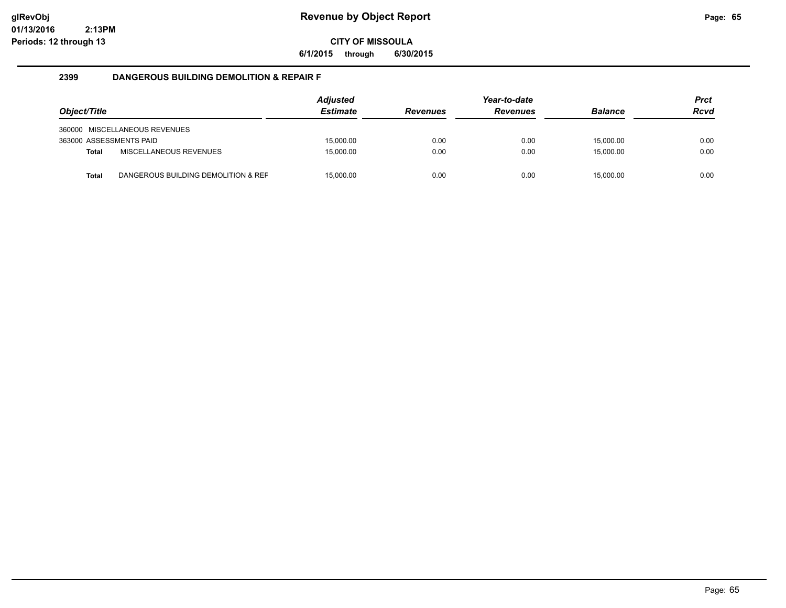**6/1/2015 through 6/30/2015**

#### **2399 DANGEROUS BUILDING DEMOLITION & REPAIR F**

| Object/Title            |                                     | Adjusted<br><b>Estimate</b> | <b>Revenues</b> | Year-to-date<br><b>Revenues</b> | <b>Balance</b> | <b>Prct</b><br><b>Rcvd</b> |
|-------------------------|-------------------------------------|-----------------------------|-----------------|---------------------------------|----------------|----------------------------|
|                         | 360000 MISCELLANEOUS REVENUES       |                             |                 |                                 |                |                            |
| 363000 ASSESSMENTS PAID |                                     | 15.000.00                   | 0.00            | 0.00                            | 15.000.00      | 0.00                       |
| <b>Total</b>            | <b>MISCELLANEOUS REVENUES</b>       | 15.000.00                   | 0.00            | 0.00                            | 15.000.00      | 0.00                       |
| <b>Total</b>            | DANGEROUS BUILDING DEMOLITION & REF | 15,000.00                   | 0.00            | 0.00                            | 15,000.00      | 0.00                       |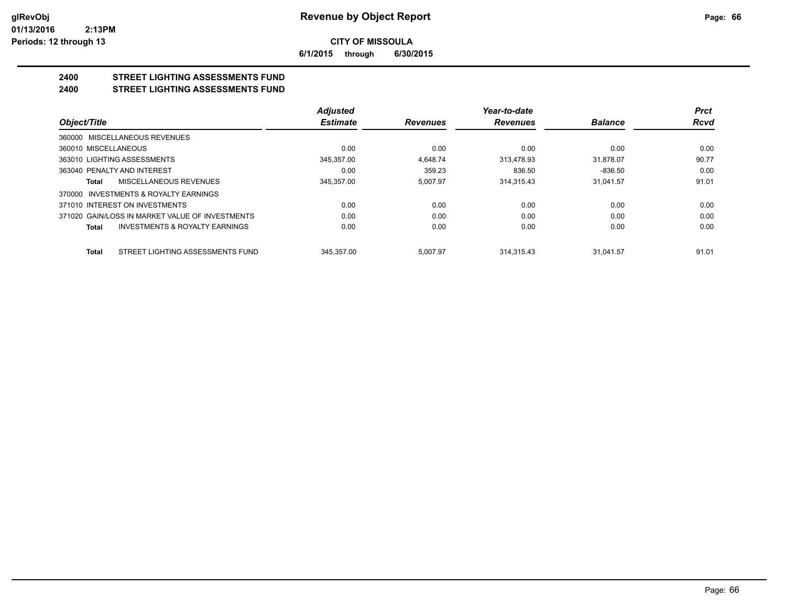**6/1/2015 through 6/30/2015**

# **2400 STREET LIGHTING ASSESSMENTS FUND**

## **2400 STREET LIGHTING ASSESSMENTS FUND**

|                                                    | <b>Adjusted</b> |                 | Year-to-date    |                | <b>Prct</b> |
|----------------------------------------------------|-----------------|-----------------|-----------------|----------------|-------------|
| Object/Title                                       | <b>Estimate</b> | <b>Revenues</b> | <b>Revenues</b> | <b>Balance</b> | <b>Rcvd</b> |
| 360000 MISCELLANEOUS REVENUES                      |                 |                 |                 |                |             |
| 360010 MISCELLANEOUS                               | 0.00            | 0.00            | 0.00            | 0.00           | 0.00        |
| 363010 LIGHTING ASSESSMENTS                        | 345.357.00      | 4.648.74        | 313.478.93      | 31.878.07      | 90.77       |
| 363040 PENALTY AND INTEREST                        | 0.00            | 359.23          | 836.50          | $-836.50$      | 0.00        |
| MISCELLANEOUS REVENUES<br>Total                    | 345.357.00      | 5.007.97        | 314.315.43      | 31.041.57      | 91.01       |
| INVESTMENTS & ROYALTY EARNINGS<br>370000           |                 |                 |                 |                |             |
| 371010 INTEREST ON INVESTMENTS                     | 0.00            | 0.00            | 0.00            | 0.00           | 0.00        |
| 371020 GAIN/LOSS IN MARKET VALUE OF INVESTMENTS    | 0.00            | 0.00            | 0.00            | 0.00           | 0.00        |
| <b>INVESTMENTS &amp; ROYALTY EARNINGS</b><br>Total | 0.00            | 0.00            | 0.00            | 0.00           | 0.00        |
| STREET LIGHTING ASSESSMENTS FUND<br><b>Total</b>   | 345.357.00      | 5.007.97        | 314.315.43      | 31.041.57      | 91.01       |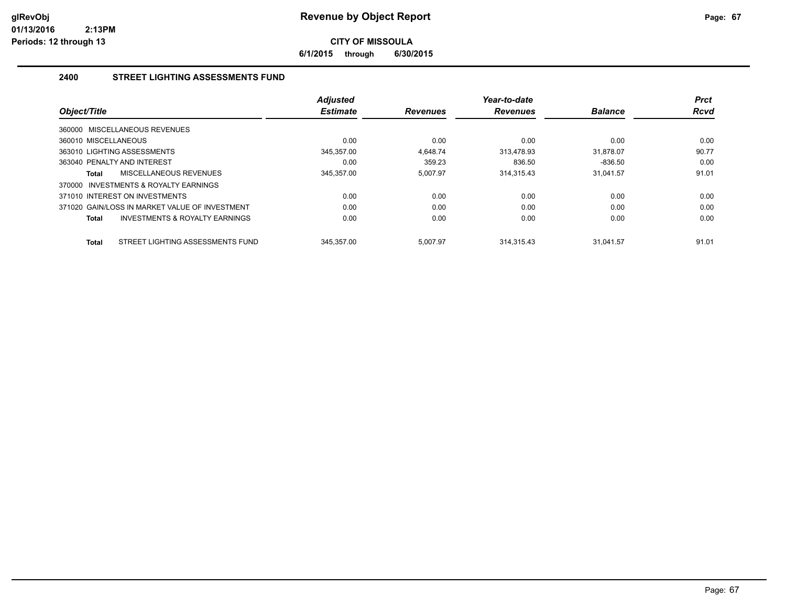**6/1/2015 through 6/30/2015**

#### **2400 STREET LIGHTING ASSESSMENTS FUND**

| Object/Title                                              | <b>Adjusted</b><br><b>Estimate</b> | <b>Revenues</b> | Year-to-date<br><b>Revenues</b> | <b>Balance</b> | <b>Prct</b><br><b>Rcvd</b> |
|-----------------------------------------------------------|------------------------------------|-----------------|---------------------------------|----------------|----------------------------|
| 360000 MISCELLANEOUS REVENUES                             |                                    |                 |                                 |                |                            |
| 360010 MISCELLANEOUS                                      | 0.00                               | 0.00            | 0.00                            | 0.00           | 0.00                       |
| 363010 LIGHTING ASSESSMENTS                               | 345.357.00                         | 4.648.74        | 313.478.93                      | 31.878.07      | 90.77                      |
| 363040 PENALTY AND INTEREST                               | 0.00                               | 359.23          | 836.50                          | $-836.50$      | 0.00                       |
| <b>MISCELLANEOUS REVENUES</b><br><b>Total</b>             | 345.357.00                         | 5.007.97        | 314.315.43                      | 31.041.57      | 91.01                      |
| 370000 INVESTMENTS & ROYALTY EARNINGS                     |                                    |                 |                                 |                |                            |
| 371010 INTEREST ON INVESTMENTS                            | 0.00                               | 0.00            | 0.00                            | 0.00           | 0.00                       |
| 371020 GAIN/LOSS IN MARKET VALUE OF INVESTMENT            | 0.00                               | 0.00            | 0.00                            | 0.00           | 0.00                       |
| <b>INVESTMENTS &amp; ROYALTY EARNINGS</b><br><b>Total</b> | 0.00                               | 0.00            | 0.00                            | 0.00           | 0.00                       |
| STREET LIGHTING ASSESSMENTS FUND<br><b>Total</b>          | 345.357.00                         | 5.007.97        | 314.315.43                      | 31.041.57      | 91.01                      |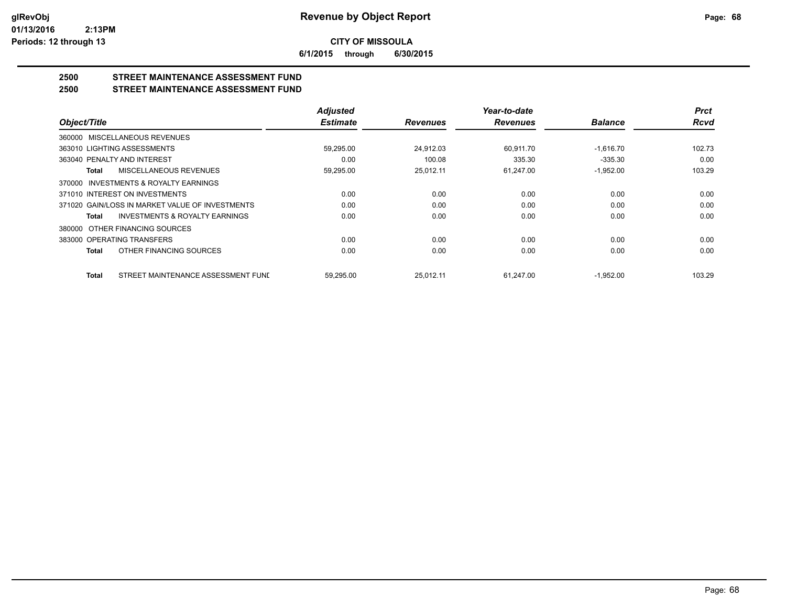**6/1/2015 through 6/30/2015**

## **2500 STREET MAINTENANCE ASSESSMENT FUND**

**2500 STREET MAINTENANCE ASSESSMENT FUND**

|                                                    | <b>Adjusted</b> |                 | Year-to-date    |                | <b>Prct</b> |
|----------------------------------------------------|-----------------|-----------------|-----------------|----------------|-------------|
| Object/Title                                       | <b>Estimate</b> | <b>Revenues</b> | <b>Revenues</b> | <b>Balance</b> | <b>Rcvd</b> |
| 360000 MISCELLANEOUS REVENUES                      |                 |                 |                 |                |             |
| 363010 LIGHTING ASSESSMENTS                        | 59,295.00       | 24.912.03       | 60.911.70       | $-1,616.70$    | 102.73      |
| 363040 PENALTY AND INTEREST                        | 0.00            | 100.08          | 335.30          | $-335.30$      | 0.00        |
| MISCELLANEOUS REVENUES<br>Total                    | 59,295.00       | 25,012.11       | 61,247.00       | $-1,952.00$    | 103.29      |
| 370000 INVESTMENTS & ROYALTY EARNINGS              |                 |                 |                 |                |             |
| 371010 INTEREST ON INVESTMENTS                     | 0.00            | 0.00            | 0.00            | 0.00           | 0.00        |
| 371020 GAIN/LOSS IN MARKET VALUE OF INVESTMENTS    | 0.00            | 0.00            | 0.00            | 0.00           | 0.00        |
| <b>INVESTMENTS &amp; ROYALTY EARNINGS</b><br>Total | 0.00            | 0.00            | 0.00            | 0.00           | 0.00        |
| 380000 OTHER FINANCING SOURCES                     |                 |                 |                 |                |             |
| 383000 OPERATING TRANSFERS                         | 0.00            | 0.00            | 0.00            | 0.00           | 0.00        |
| OTHER FINANCING SOURCES<br><b>Total</b>            | 0.00            | 0.00            | 0.00            | 0.00           | 0.00        |
| STREET MAINTENANCE ASSESSMENT FUNI<br><b>Total</b> | 59.295.00       | 25.012.11       | 61.247.00       | $-1.952.00$    | 103.29      |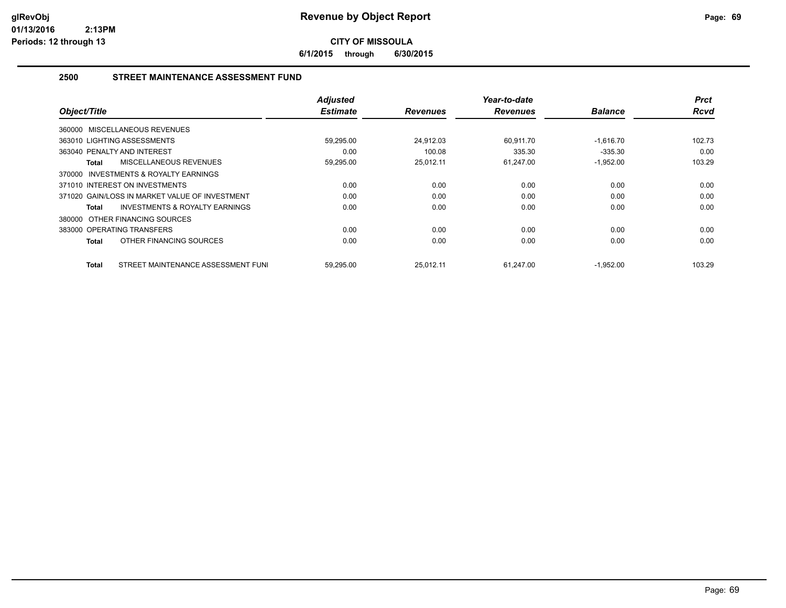**6/1/2015 through 6/30/2015**

#### **2500 STREET MAINTENANCE ASSESSMENT FUND**

| Object/Title                                       | <b>Adjusted</b><br><b>Estimate</b> | <b>Revenues</b> | Year-to-date<br><b>Revenues</b> | <b>Balance</b> | <b>Prct</b><br><b>Rcvd</b> |
|----------------------------------------------------|------------------------------------|-----------------|---------------------------------|----------------|----------------------------|
|                                                    |                                    |                 |                                 |                |                            |
| 360000 MISCELLANEOUS REVENUES                      |                                    |                 |                                 |                |                            |
| 363010 LIGHTING ASSESSMENTS                        | 59,295.00                          | 24.912.03       | 60.911.70                       | $-1.616.70$    | 102.73                     |
| 363040 PENALTY AND INTEREST                        | 0.00                               | 100.08          | 335.30                          | $-335.30$      | 0.00                       |
| <b>MISCELLANEOUS REVENUES</b><br>Total             | 59,295.00                          | 25.012.11       | 61.247.00                       | $-1,952.00$    | 103.29                     |
| 370000 INVESTMENTS & ROYALTY EARNINGS              |                                    |                 |                                 |                |                            |
| 371010 INTEREST ON INVESTMENTS                     | 0.00                               | 0.00            | 0.00                            | 0.00           | 0.00                       |
| 371020 GAIN/LOSS IN MARKET VALUE OF INVESTMENT     | 0.00                               | 0.00            | 0.00                            | 0.00           | 0.00                       |
| <b>INVESTMENTS &amp; ROYALTY EARNINGS</b><br>Total | 0.00                               | 0.00            | 0.00                            | 0.00           | 0.00                       |
| 380000 OTHER FINANCING SOURCES                     |                                    |                 |                                 |                |                            |
| 383000 OPERATING TRANSFERS                         | 0.00                               | 0.00            | 0.00                            | 0.00           | 0.00                       |
| OTHER FINANCING SOURCES<br><b>Total</b>            | 0.00                               | 0.00            | 0.00                            | 0.00           | 0.00                       |
| STREET MAINTENANCE ASSESSMENT FUNI<br><b>Total</b> | 59,295.00                          | 25.012.11       | 61,247.00                       | $-1,952.00$    | 103.29                     |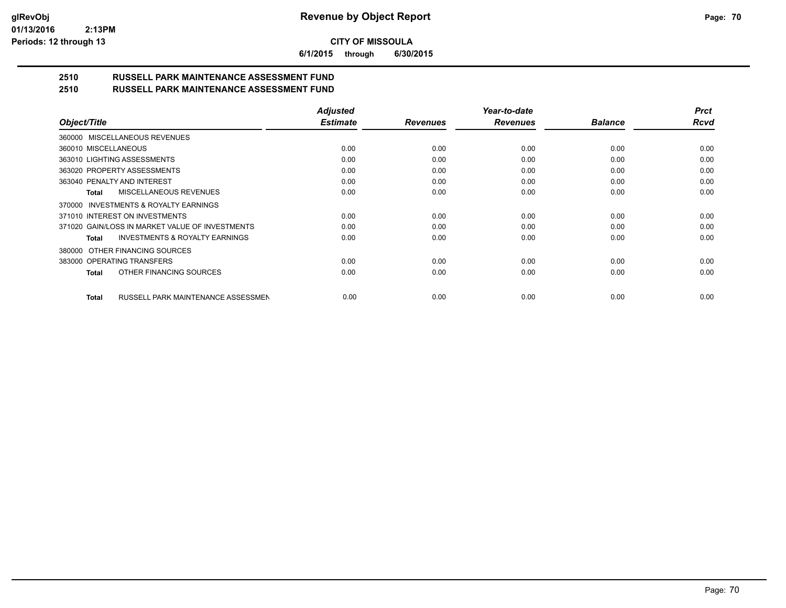**6/1/2015 through 6/30/2015**

# **2510 RUSSELL PARK MAINTENANCE ASSESSMENT FUND**

| 2510 | <b>RUSSELL PARK MAINTENANCE ASSESSMENT FUND</b> |  |
|------|-------------------------------------------------|--|
|      |                                                 |  |

|                                                     | <b>Adjusted</b> |                 | Year-to-date    |                | <b>Prct</b> |
|-----------------------------------------------------|-----------------|-----------------|-----------------|----------------|-------------|
| Object/Title                                        | <b>Estimate</b> | <b>Revenues</b> | <b>Revenues</b> | <b>Balance</b> | Rcvd        |
| 360000 MISCELLANEOUS REVENUES                       |                 |                 |                 |                |             |
| 360010 MISCELLANEOUS                                | 0.00            | 0.00            | 0.00            | 0.00           | 0.00        |
| 363010 LIGHTING ASSESSMENTS                         | 0.00            | 0.00            | 0.00            | 0.00           | 0.00        |
| 363020 PROPERTY ASSESSMENTS                         | 0.00            | 0.00            | 0.00            | 0.00           | 0.00        |
| 363040 PENALTY AND INTEREST                         | 0.00            | 0.00            | 0.00            | 0.00           | 0.00        |
| <b>MISCELLANEOUS REVENUES</b><br>Total              | 0.00            | 0.00            | 0.00            | 0.00           | 0.00        |
| <b>INVESTMENTS &amp; ROYALTY EARNINGS</b><br>370000 |                 |                 |                 |                |             |
| 371010 INTEREST ON INVESTMENTS                      | 0.00            | 0.00            | 0.00            | 0.00           | 0.00        |
| 371020 GAIN/LOSS IN MARKET VALUE OF INVESTMENTS     | 0.00            | 0.00            | 0.00            | 0.00           | 0.00        |
| <b>INVESTMENTS &amp; ROYALTY EARNINGS</b><br>Total  | 0.00            | 0.00            | 0.00            | 0.00           | 0.00        |
| OTHER FINANCING SOURCES<br>380000                   |                 |                 |                 |                |             |
| 383000 OPERATING TRANSFERS                          | 0.00            | 0.00            | 0.00            | 0.00           | 0.00        |
| OTHER FINANCING SOURCES<br>Total                    | 0.00            | 0.00            | 0.00            | 0.00           | 0.00        |
|                                                     |                 |                 |                 |                |             |
| RUSSELL PARK MAINTENANCE ASSESSMEN<br><b>Total</b>  | 0.00            | 0.00            | 0.00            | 0.00           | 0.00        |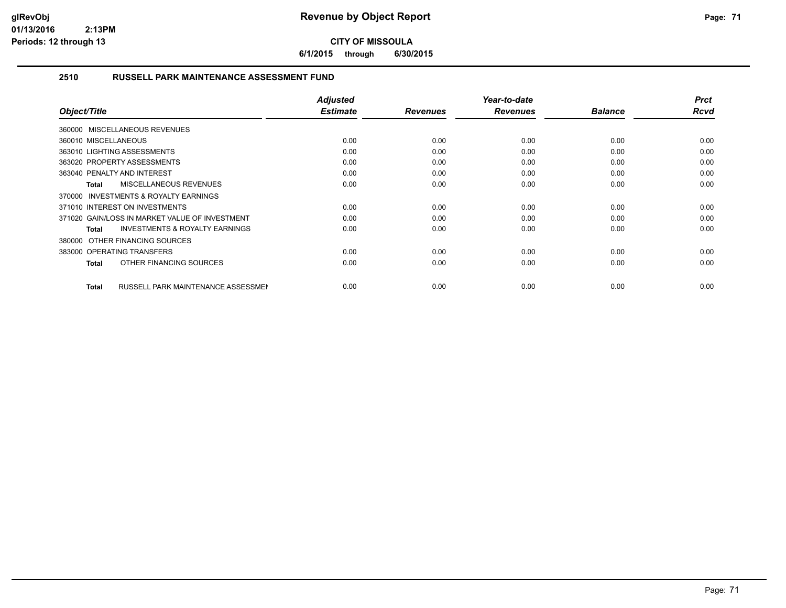**6/1/2015 through 6/30/2015**

#### **2510 RUSSELL PARK MAINTENANCE ASSESSMENT FUND**

| Object/Title                                              | <b>Adjusted</b><br><b>Estimate</b> | <b>Revenues</b> | Year-to-date<br><b>Revenues</b> | <b>Balance</b> | <b>Prct</b><br><b>Rcvd</b> |
|-----------------------------------------------------------|------------------------------------|-----------------|---------------------------------|----------------|----------------------------|
| 360000 MISCELLANEOUS REVENUES                             |                                    |                 |                                 |                |                            |
| 360010 MISCELLANEOUS                                      | 0.00                               | 0.00            | 0.00                            | 0.00           | 0.00                       |
| 363010 LIGHTING ASSESSMENTS                               | 0.00                               | 0.00            | 0.00                            | 0.00           | 0.00                       |
| 363020 PROPERTY ASSESSMENTS                               | 0.00                               | 0.00            | 0.00                            | 0.00           | 0.00                       |
| 363040 PENALTY AND INTEREST                               | 0.00                               | 0.00            | 0.00                            | 0.00           | 0.00                       |
| MISCELLANEOUS REVENUES<br><b>Total</b>                    | 0.00                               | 0.00            | 0.00                            | 0.00           | 0.00                       |
| INVESTMENTS & ROYALTY EARNINGS<br>370000                  |                                    |                 |                                 |                |                            |
| 371010 INTEREST ON INVESTMENTS                            | 0.00                               | 0.00            | 0.00                            | 0.00           | 0.00                       |
| 371020 GAIN/LOSS IN MARKET VALUE OF INVESTMENT            | 0.00                               | 0.00            | 0.00                            | 0.00           | 0.00                       |
| <b>INVESTMENTS &amp; ROYALTY EARNINGS</b><br><b>Total</b> | 0.00                               | 0.00            | 0.00                            | 0.00           | 0.00                       |
| 380000 OTHER FINANCING SOURCES                            |                                    |                 |                                 |                |                            |
| 383000 OPERATING TRANSFERS                                | 0.00                               | 0.00            | 0.00                            | 0.00           | 0.00                       |
| OTHER FINANCING SOURCES<br><b>Total</b>                   | 0.00                               | 0.00            | 0.00                            | 0.00           | 0.00                       |
|                                                           |                                    |                 |                                 |                |                            |
| <b>RUSSELL PARK MAINTENANCE ASSESSMEN</b><br><b>Total</b> | 0.00                               | 0.00            | 0.00                            | 0.00           | 0.00                       |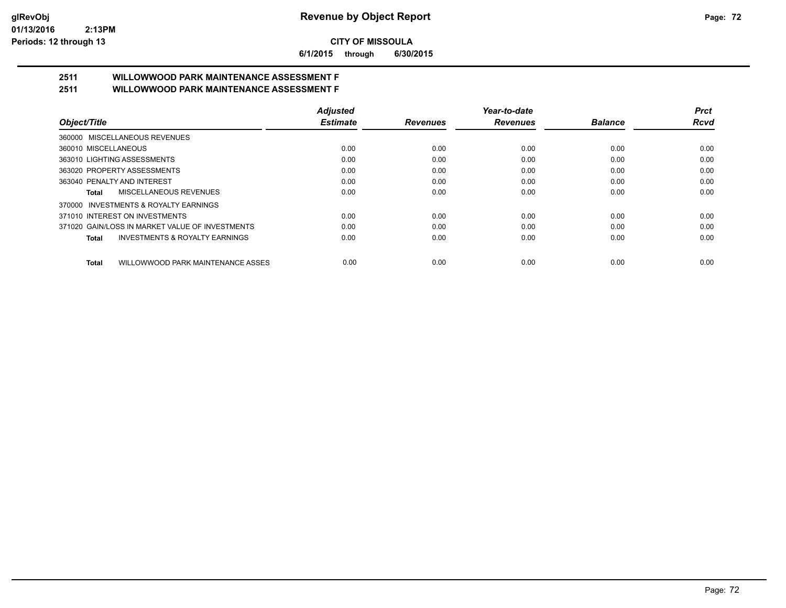**6/1/2015 through 6/30/2015**

# **2511 WILLOWWOOD PARK MAINTENANCE ASSESSMENT F**

**2511 WILLOWWOOD PARK MAINTENANCE ASSESSMENT F**

| Object/Title                                       | <b>Adjusted</b> |                 | Year-to-date    |                | Prct |
|----------------------------------------------------|-----------------|-----------------|-----------------|----------------|------|
|                                                    | <b>Estimate</b> | <b>Revenues</b> | <b>Revenues</b> | <b>Balance</b> | Rcvd |
| 360000 MISCELLANEOUS REVENUES                      |                 |                 |                 |                |      |
| 360010 MISCELLANEOUS                               | 0.00            | 0.00            | 0.00            | 0.00           | 0.00 |
| 363010 LIGHTING ASSESSMENTS                        | 0.00            | 0.00            | 0.00            | 0.00           | 0.00 |
| 363020 PROPERTY ASSESSMENTS                        | 0.00            | 0.00            | 0.00            | 0.00           | 0.00 |
| 363040 PENALTY AND INTEREST                        | 0.00            | 0.00            | 0.00            | 0.00           | 0.00 |
| MISCELLANEOUS REVENUES<br>Total                    | 0.00            | 0.00            | 0.00            | 0.00           | 0.00 |
| 370000 INVESTMENTS & ROYALTY EARNINGS              |                 |                 |                 |                |      |
| 371010 INTEREST ON INVESTMENTS                     | 0.00            | 0.00            | 0.00            | 0.00           | 0.00 |
| 371020 GAIN/LOSS IN MARKET VALUE OF INVESTMENTS    | 0.00            | 0.00            | 0.00            | 0.00           | 0.00 |
| <b>INVESTMENTS &amp; ROYALTY EARNINGS</b><br>Total | 0.00            | 0.00            | 0.00            | 0.00           | 0.00 |
| WILLOWWOOD PARK MAINTENANCE ASSES<br><b>Total</b>  | 0.00            | 0.00            | 0.00            | 0.00           | 0.00 |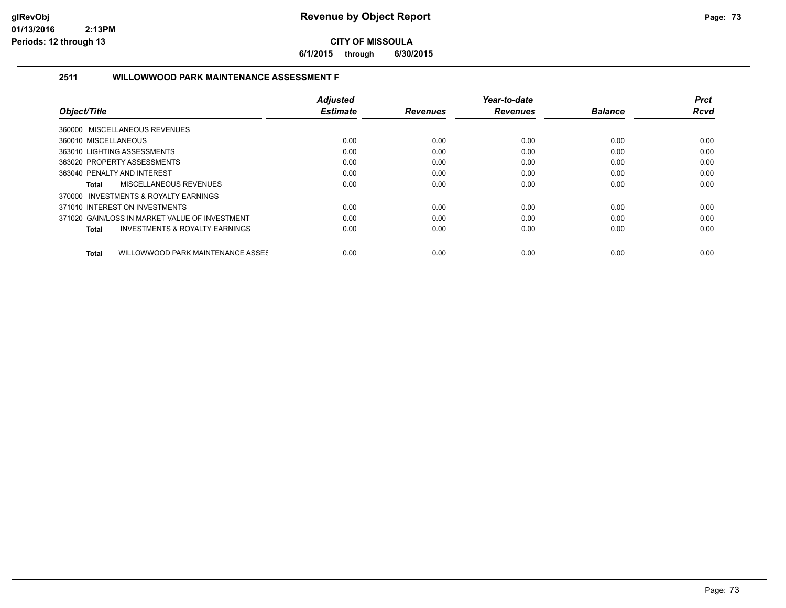**6/1/2015 through 6/30/2015**

### **2511 WILLOWWOOD PARK MAINTENANCE ASSESSMENT F**

|                                                | <b>Adjusted</b> |                 | Year-to-date    |                | <b>Prct</b> |
|------------------------------------------------|-----------------|-----------------|-----------------|----------------|-------------|
| Object/Title                                   | <b>Estimate</b> | <b>Revenues</b> | <b>Revenues</b> | <b>Balance</b> | <b>Rcvd</b> |
| 360000 MISCELLANEOUS REVENUES                  |                 |                 |                 |                |             |
| 360010 MISCELLANEOUS                           | 0.00            | 0.00            | 0.00            | 0.00           | 0.00        |
| 363010 LIGHTING ASSESSMENTS                    | 0.00            | 0.00            | 0.00            | 0.00           | 0.00        |
| 363020 PROPERTY ASSESSMENTS                    | 0.00            | 0.00            | 0.00            | 0.00           | 0.00        |
| 363040 PENALTY AND INTEREST                    | 0.00            | 0.00            | 0.00            | 0.00           | 0.00        |
| MISCELLANEOUS REVENUES<br>Total                | 0.00            | 0.00            | 0.00            | 0.00           | 0.00        |
| 370000 INVESTMENTS & ROYALTY EARNINGS          |                 |                 |                 |                |             |
| 371010 INTEREST ON INVESTMENTS                 | 0.00            | 0.00            | 0.00            | 0.00           | 0.00        |
| 371020 GAIN/LOSS IN MARKET VALUE OF INVESTMENT | 0.00            | 0.00            | 0.00            | 0.00           | 0.00        |
| INVESTMENTS & ROYALTY EARNINGS<br>Total        | 0.00            | 0.00            | 0.00            | 0.00           | 0.00        |
| WILLOWWOOD PARK MAINTENANCE ASSES<br>Total     | 0.00            | 0.00            | 0.00            | 0.00           | 0.00        |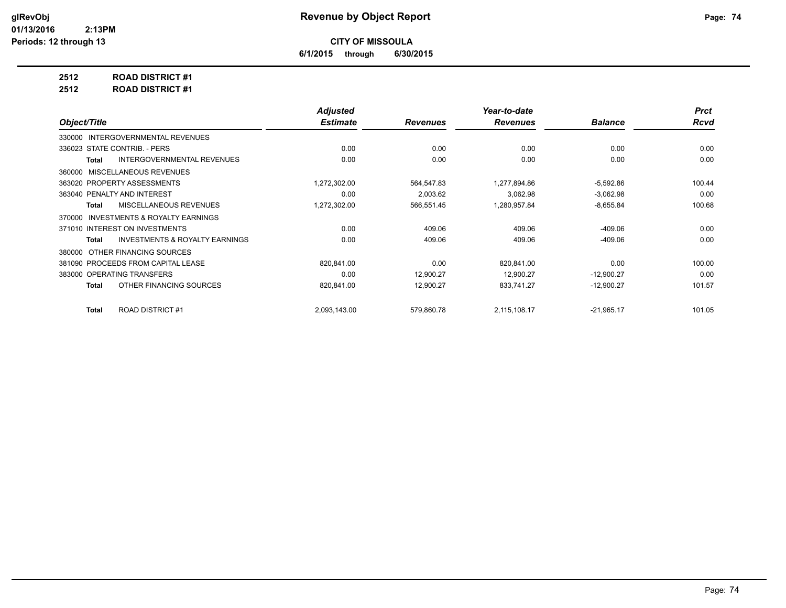**6/1/2015 through 6/30/2015**

**2512 ROAD DISTRICT #1**

**2512 ROAD DISTRICT #1**

|                                                     | <b>Adjusted</b> |                 | Year-to-date    |                | <b>Prct</b> |
|-----------------------------------------------------|-----------------|-----------------|-----------------|----------------|-------------|
| Object/Title                                        | <b>Estimate</b> | <b>Revenues</b> | <b>Revenues</b> | <b>Balance</b> | <b>Rcvd</b> |
| 330000 INTERGOVERNMENTAL REVENUES                   |                 |                 |                 |                |             |
| 336023 STATE CONTRIB. - PERS                        | 0.00            | 0.00            | 0.00            | 0.00           | 0.00        |
| INTERGOVERNMENTAL REVENUES<br>Total                 | 0.00            | 0.00            | 0.00            | 0.00           | 0.00        |
| 360000 MISCELLANEOUS REVENUES                       |                 |                 |                 |                |             |
| 363020 PROPERTY ASSESSMENTS                         | 1,272,302.00    | 564,547.83      | 1,277,894.86    | $-5,592.86$    | 100.44      |
| 363040 PENALTY AND INTEREST                         | 0.00            | 2.003.62        | 3,062.98        | $-3,062.98$    | 0.00        |
| <b>MISCELLANEOUS REVENUES</b><br>Total              | 1,272,302.00    | 566,551.45      | 1,280,957.84    | $-8,655.84$    | 100.68      |
| <b>INVESTMENTS &amp; ROYALTY EARNINGS</b><br>370000 |                 |                 |                 |                |             |
| 371010 INTEREST ON INVESTMENTS                      | 0.00            | 409.06          | 409.06          | $-409.06$      | 0.00        |
| <b>INVESTMENTS &amp; ROYALTY EARNINGS</b><br>Total  | 0.00            | 409.06          | 409.06          | $-409.06$      | 0.00        |
| OTHER FINANCING SOURCES<br>380000                   |                 |                 |                 |                |             |
| 381090 PROCEEDS FROM CAPITAL LEASE                  | 820.841.00      | 0.00            | 820,841.00      | 0.00           | 100.00      |
| 383000 OPERATING TRANSFERS                          | 0.00            | 12,900.27       | 12,900.27       | $-12,900.27$   | 0.00        |
| OTHER FINANCING SOURCES<br>Total                    | 820,841.00      | 12,900.27       | 833,741.27      | $-12,900.27$   | 101.57      |
| <b>ROAD DISTRICT #1</b><br><b>Total</b>             | 2,093,143.00    | 579,860.78      | 2,115,108.17    | $-21,965.17$   | 101.05      |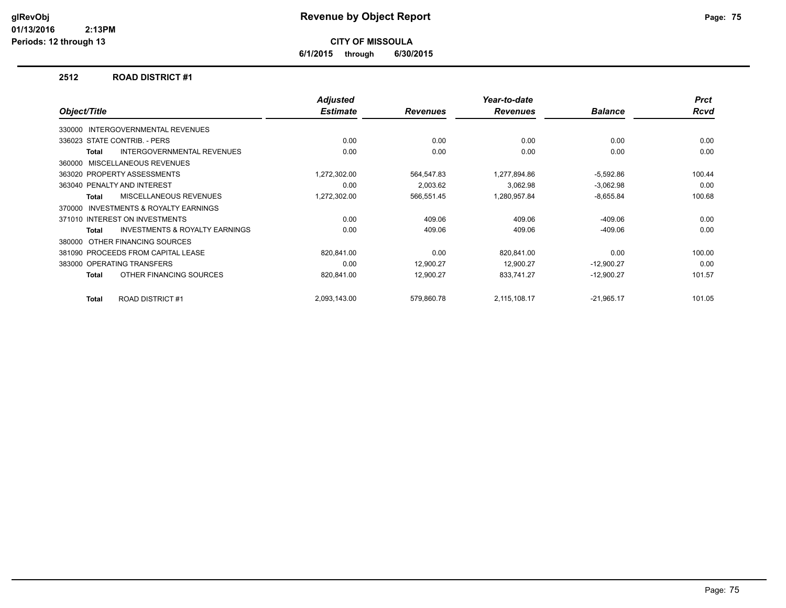**6/1/2015 through 6/30/2015**

### **2512 ROAD DISTRICT #1**

|                                                           | <b>Adjusted</b> |                 | Year-to-date    |                | <b>Prct</b> |
|-----------------------------------------------------------|-----------------|-----------------|-----------------|----------------|-------------|
| Object/Title                                              | <b>Estimate</b> | <b>Revenues</b> | <b>Revenues</b> | <b>Balance</b> | <b>Rcvd</b> |
| 330000 INTERGOVERNMENTAL REVENUES                         |                 |                 |                 |                |             |
| 336023 STATE CONTRIB. - PERS                              | 0.00            | 0.00            | 0.00            | 0.00           | 0.00        |
| <b>INTERGOVERNMENTAL REVENUES</b><br><b>Total</b>         | 0.00            | 0.00            | 0.00            | 0.00           | 0.00        |
| 360000 MISCELLANEOUS REVENUES                             |                 |                 |                 |                |             |
| 363020 PROPERTY ASSESSMENTS                               | 1,272,302.00    | 564,547.83      | 1,277,894.86    | $-5,592.86$    | 100.44      |
| 363040 PENALTY AND INTEREST                               | 0.00            | 2,003.62        | 3.062.98        | $-3,062.98$    | 0.00        |
| <b>MISCELLANEOUS REVENUES</b><br><b>Total</b>             | 1,272,302.00    | 566,551.45      | 1,280,957.84    | $-8,655.84$    | 100.68      |
| <b>INVESTMENTS &amp; ROYALTY EARNINGS</b><br>370000       |                 |                 |                 |                |             |
| 371010 INTEREST ON INVESTMENTS                            | 0.00            | 409.06          | 409.06          | $-409.06$      | 0.00        |
| <b>INVESTMENTS &amp; ROYALTY EARNINGS</b><br><b>Total</b> | 0.00            | 409.06          | 409.06          | -409.06        | 0.00        |
| OTHER FINANCING SOURCES<br>380000                         |                 |                 |                 |                |             |
| 381090 PROCEEDS FROM CAPITAL LEASE                        | 820.841.00      | 0.00            | 820,841.00      | 0.00           | 100.00      |
| 383000 OPERATING TRANSFERS                                | 0.00            | 12,900.27       | 12,900.27       | $-12,900.27$   | 0.00        |
| OTHER FINANCING SOURCES<br><b>Total</b>                   | 820,841.00      | 12,900.27       | 833,741.27      | $-12,900.27$   | 101.57      |
| <b>ROAD DISTRICT #1</b><br><b>Total</b>                   | 2,093,143.00    | 579,860.78      | 2,115,108.17    | $-21,965.17$   | 101.05      |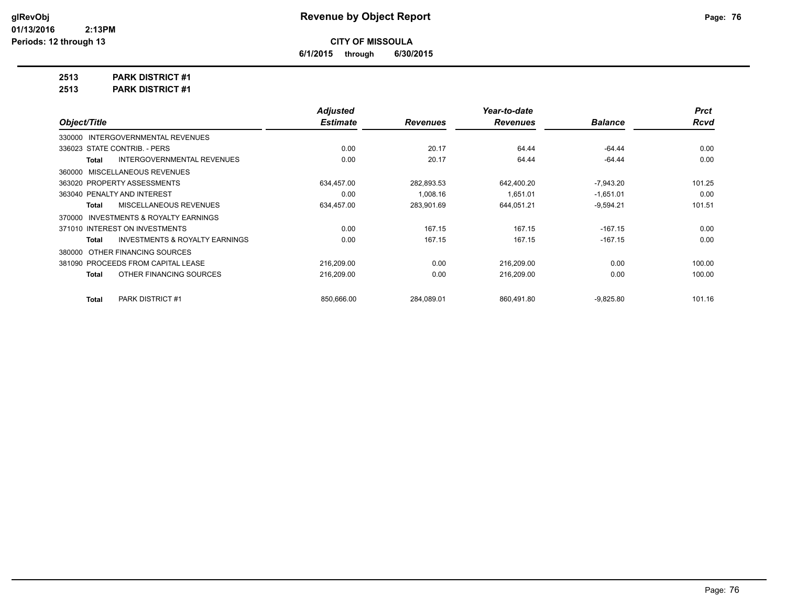**6/1/2015 through 6/30/2015**

**2513 PARK DISTRICT #1**

**2513 PARK DISTRICT #1**

|                                                    | <b>Adjusted</b> |                 | Year-to-date    |                | <b>Prct</b> |
|----------------------------------------------------|-----------------|-----------------|-----------------|----------------|-------------|
| Object/Title                                       | <b>Estimate</b> | <b>Revenues</b> | <b>Revenues</b> | <b>Balance</b> | <b>Rcvd</b> |
| 330000 INTERGOVERNMENTAL REVENUES                  |                 |                 |                 |                |             |
| 336023 STATE CONTRIB. - PERS                       | 0.00            | 20.17           | 64.44           | $-64.44$       | 0.00        |
| <b>INTERGOVERNMENTAL REVENUES</b><br>Total         | 0.00            | 20.17           | 64.44           | $-64.44$       | 0.00        |
| 360000 MISCELLANEOUS REVENUES                      |                 |                 |                 |                |             |
| 363020 PROPERTY ASSESSMENTS                        | 634.457.00      | 282,893.53      | 642,400.20      | $-7,943.20$    | 101.25      |
| 363040 PENALTY AND INTEREST                        | 0.00            | 1.008.16        | 1.651.01        | $-1,651.01$    | 0.00        |
| MISCELLANEOUS REVENUES<br>Total                    | 634,457.00      | 283,901.69      | 644,051.21      | $-9,594.21$    | 101.51      |
| 370000 INVESTMENTS & ROYALTY EARNINGS              |                 |                 |                 |                |             |
| 371010 INTEREST ON INVESTMENTS                     | 0.00            | 167.15          | 167.15          | $-167.15$      | 0.00        |
| <b>INVESTMENTS &amp; ROYALTY EARNINGS</b><br>Total | 0.00            | 167.15          | 167.15          | $-167.15$      | 0.00        |
| 380000 OTHER FINANCING SOURCES                     |                 |                 |                 |                |             |
| 381090 PROCEEDS FROM CAPITAL LEASE                 | 216,209.00      | 0.00            | 216,209.00      | 0.00           | 100.00      |
| OTHER FINANCING SOURCES<br>Total                   | 216,209.00      | 0.00            | 216,209.00      | 0.00           | 100.00      |
| <b>PARK DISTRICT #1</b><br><b>Total</b>            | 850,666.00      | 284,089.01      | 860,491.80      | $-9,825.80$    | 101.16      |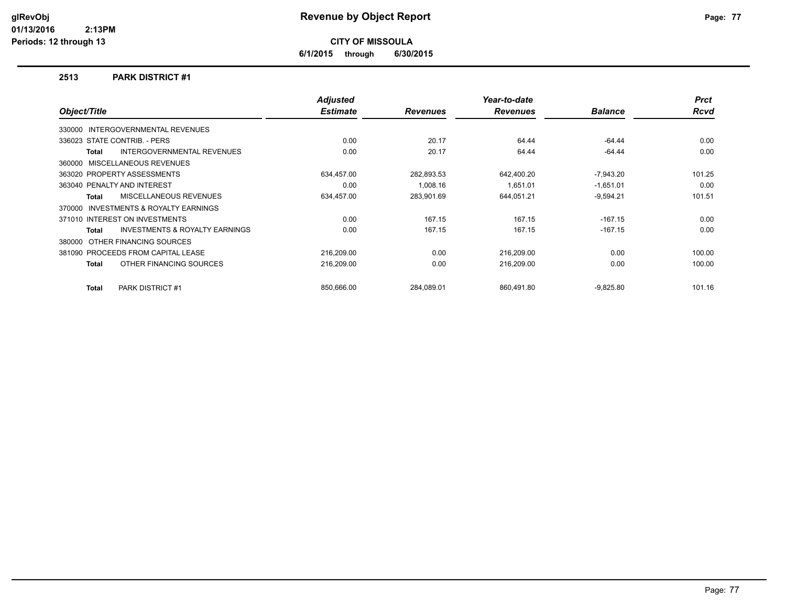**6/1/2015 through 6/30/2015**

### **2513 PARK DISTRICT #1**

|              |                                           | <b>Adjusted</b> |                 | Year-to-date    |                | <b>Prct</b> |
|--------------|-------------------------------------------|-----------------|-----------------|-----------------|----------------|-------------|
| Object/Title |                                           | <b>Estimate</b> | <b>Revenues</b> | <b>Revenues</b> | <b>Balance</b> | <b>Rcvd</b> |
|              | 330000 INTERGOVERNMENTAL REVENUES         |                 |                 |                 |                |             |
|              | 336023 STATE CONTRIB. - PERS              | 0.00            | 20.17           | 64.44           | $-64.44$       | 0.00        |
| Total        | <b>INTERGOVERNMENTAL REVENUES</b>         | 0.00            | 20.17           | 64.44           | $-64.44$       | 0.00        |
|              | 360000 MISCELLANEOUS REVENUES             |                 |                 |                 |                |             |
|              | 363020 PROPERTY ASSESSMENTS               | 634,457.00      | 282,893.53      | 642,400.20      | $-7,943.20$    | 101.25      |
|              | 363040 PENALTY AND INTEREST               | 0.00            | 1.008.16        | 1.651.01        | $-1,651.01$    | 0.00        |
| Total        | MISCELLANEOUS REVENUES                    | 634,457.00      | 283,901.69      | 644,051.21      | $-9,594.21$    | 101.51      |
|              | 370000 INVESTMENTS & ROYALTY EARNINGS     |                 |                 |                 |                |             |
|              | 371010 INTEREST ON INVESTMENTS            | 0.00            | 167.15          | 167.15          | $-167.15$      | 0.00        |
| Total        | <b>INVESTMENTS &amp; ROYALTY EARNINGS</b> | 0.00            | 167.15          | 167.15          | $-167.15$      | 0.00        |
|              | 380000 OTHER FINANCING SOURCES            |                 |                 |                 |                |             |
|              | 381090 PROCEEDS FROM CAPITAL LEASE        | 216,209.00      | 0.00            | 216,209.00      | 0.00           | 100.00      |
| Total        | OTHER FINANCING SOURCES                   | 216,209.00      | 0.00            | 216,209.00      | 0.00           | 100.00      |
| Total        | PARK DISTRICT #1                          | 850,666.00      | 284,089.01      | 860,491.80      | $-9,825.80$    | 101.16      |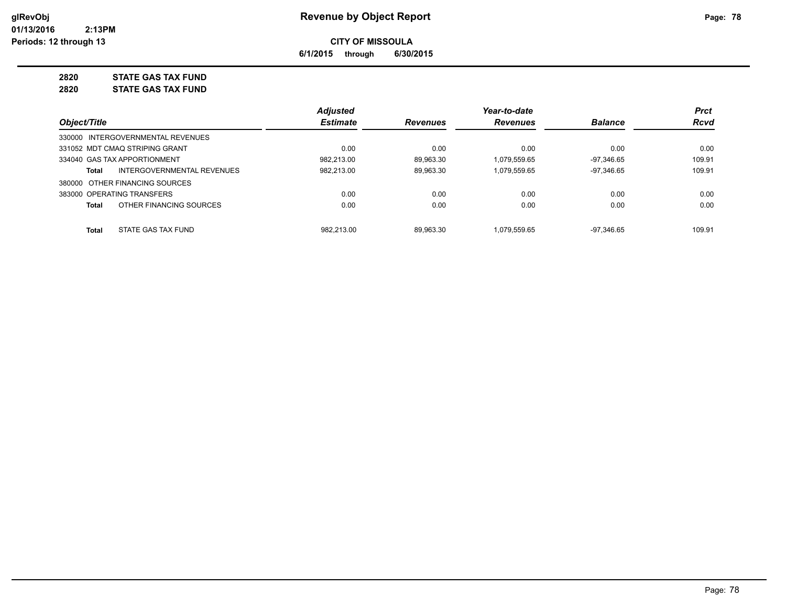**6/1/2015 through 6/30/2015**

# **2820 STATE GAS TAX FUND**

**2820 STATE GAS TAX FUND**

|                                                   | <b>Adjusted</b> |                 | Year-to-date    |                | <b>Prct</b> |
|---------------------------------------------------|-----------------|-----------------|-----------------|----------------|-------------|
| Object/Title                                      | <b>Estimate</b> | <b>Revenues</b> | <b>Revenues</b> | <b>Balance</b> | Rcvd        |
| 330000 INTERGOVERNMENTAL REVENUES                 |                 |                 |                 |                |             |
| 331052 MDT CMAQ STRIPING GRANT                    | 0.00            | 0.00            | 0.00            | 0.00           | 0.00        |
| 334040 GAS TAX APPORTIONMENT                      | 982.213.00      | 89.963.30       | 1.079.559.65    | $-97.346.65$   | 109.91      |
| <b>INTERGOVERNMENTAL REVENUES</b><br><b>Total</b> | 982.213.00      | 89.963.30       | 1.079.559.65    | $-97.346.65$   | 109.91      |
| 380000 OTHER FINANCING SOURCES                    |                 |                 |                 |                |             |
| 383000 OPERATING TRANSFERS                        | 0.00            | 0.00            | 0.00            | 0.00           | 0.00        |
| OTHER FINANCING SOURCES<br><b>Total</b>           | 0.00            | 0.00            | 0.00            | 0.00           | 0.00        |
| STATE GAS TAX FUND<br><b>Total</b>                | 982.213.00      | 89.963.30       | 1.079.559.65    | $-97.346.65$   | 109.91      |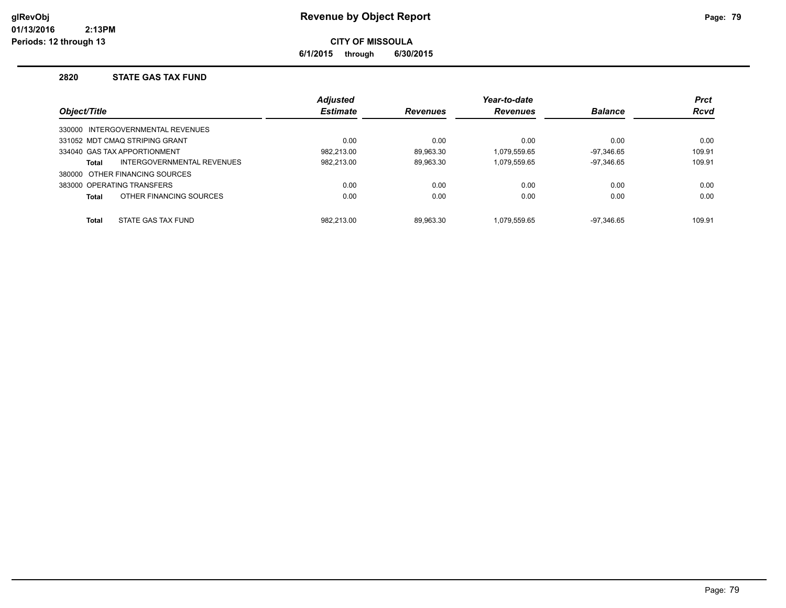**6/1/2015 through 6/30/2015**

### **2820 STATE GAS TAX FUND**

|              |                                   | <b>Adjusted</b> |                 | Year-to-date    |                | <b>Prct</b> |
|--------------|-----------------------------------|-----------------|-----------------|-----------------|----------------|-------------|
| Object/Title |                                   | <b>Estimate</b> | <b>Revenues</b> | <b>Revenues</b> | <b>Balance</b> | <b>Rcvd</b> |
|              | 330000 INTERGOVERNMENTAL REVENUES |                 |                 |                 |                |             |
|              | 331052 MDT CMAQ STRIPING GRANT    | 0.00            | 0.00            | 0.00            | 0.00           | 0.00        |
|              | 334040 GAS TAX APPORTIONMENT      | 982.213.00      | 89.963.30       | 1.079.559.65    | $-97.346.65$   | 109.91      |
| Total        | INTERGOVERNMENTAL REVENUES        | 982,213.00      | 89,963.30       | 1,079,559.65    | $-97,346.65$   | 109.91      |
|              | 380000 OTHER FINANCING SOURCES    |                 |                 |                 |                |             |
|              | 383000 OPERATING TRANSFERS        | 0.00            | 0.00            | 0.00            | 0.00           | 0.00        |
| Total        | OTHER FINANCING SOURCES           | 0.00            | 0.00            | 0.00            | 0.00           | 0.00        |
| <b>Total</b> | STATE GAS TAX FUND                | 982.213.00      | 89.963.30       | 1.079.559.65    | $-97.346.65$   | 109.91      |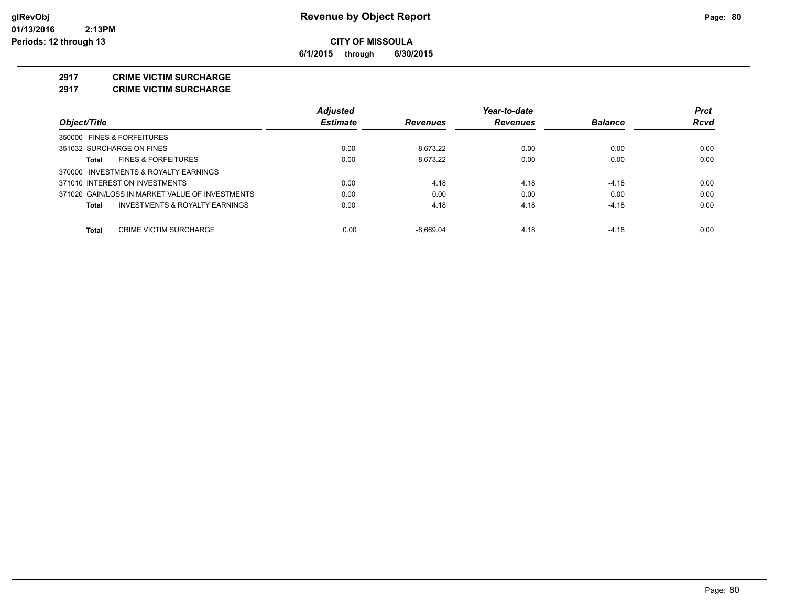**6/1/2015 through 6/30/2015**

### **2917 CRIME VICTIM SURCHARGE**

**2917 CRIME VICTIM SURCHARGE**

|                                                           | <b>Adjusted</b> |                 | Year-to-date    |                | <b>Prct</b> |
|-----------------------------------------------------------|-----------------|-----------------|-----------------|----------------|-------------|
| Object/Title                                              | <b>Estimate</b> | <b>Revenues</b> | <b>Revenues</b> | <b>Balance</b> | Rcvd        |
| 350000 FINES & FORFEITURES                                |                 |                 |                 |                |             |
| 351032 SURCHARGE ON FINES                                 | 0.00            | $-8.673.22$     | 0.00            | 0.00           | 0.00        |
| <b>FINES &amp; FORFEITURES</b><br>Total                   | 0.00            | $-8.673.22$     | 0.00            | 0.00           | 0.00        |
| 370000 INVESTMENTS & ROYALTY EARNINGS                     |                 |                 |                 |                |             |
| 371010 INTEREST ON INVESTMENTS                            | 0.00            | 4.18            | 4.18            | $-4.18$        | 0.00        |
| 371020 GAIN/LOSS IN MARKET VALUE OF INVESTMENTS           | 0.00            | 0.00            | 0.00            | 0.00           | 0.00        |
| <b>INVESTMENTS &amp; ROYALTY EARNINGS</b><br><b>Total</b> | 0.00            | 4.18            | 4.18            | $-4.18$        | 0.00        |
| <b>CRIME VICTIM SURCHARGE</b><br><b>Total</b>             | 0.00            | $-8.669.04$     | 4.18            | $-4.18$        | 0.00        |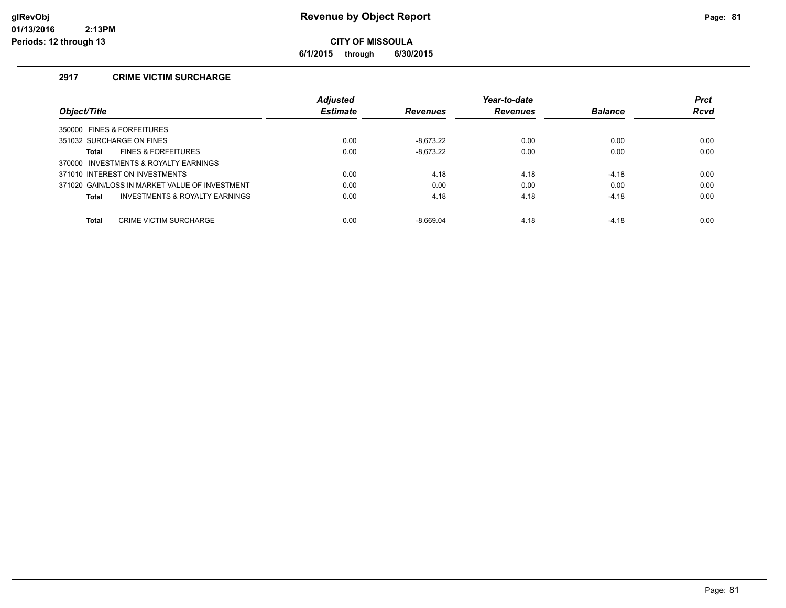**6/1/2015 through 6/30/2015**

### **2917 CRIME VICTIM SURCHARGE**

|                                                    | <b>Adjusted</b> |                 | Year-to-date    |                | <b>Prct</b> |
|----------------------------------------------------|-----------------|-----------------|-----------------|----------------|-------------|
| Object/Title                                       | <b>Estimate</b> | <b>Revenues</b> | <b>Revenues</b> | <b>Balance</b> | <b>Rcvd</b> |
| 350000 FINES & FORFEITURES                         |                 |                 |                 |                |             |
| 351032 SURCHARGE ON FINES                          | 0.00            | $-8.673.22$     | 0.00            | 0.00           | 0.00        |
| <b>FINES &amp; FORFEITURES</b><br>Total            | 0.00            | $-8.673.22$     | 0.00            | 0.00           | 0.00        |
| 370000 INVESTMENTS & ROYALTY EARNINGS              |                 |                 |                 |                |             |
| 371010 INTEREST ON INVESTMENTS                     | 0.00            | 4.18            | 4.18            | $-4.18$        | 0.00        |
| 371020 GAIN/LOSS IN MARKET VALUE OF INVESTMENT     | 0.00            | 0.00            | 0.00            | 0.00           | 0.00        |
| <b>INVESTMENTS &amp; ROYALTY EARNINGS</b><br>Total | 0.00            | 4.18            | 4.18            | $-4.18$        | 0.00        |
| <b>Total</b><br><b>CRIME VICTIM SURCHARGE</b>      | 0.00            | $-8.669.04$     | 4.18            | $-4.18$        | 0.00        |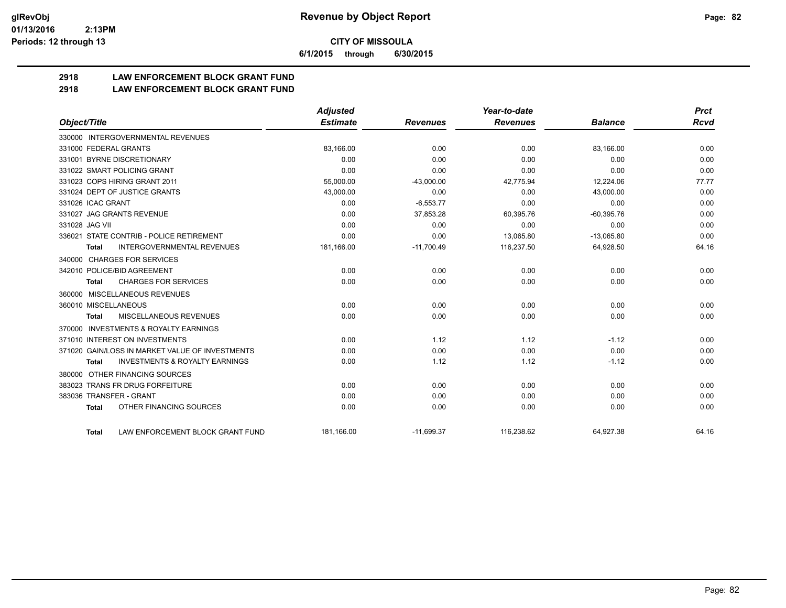**6/1/2015 through 6/30/2015**

## **2918 LAW ENFORCEMENT BLOCK GRANT FUND**

**2918 LAW ENFORCEMENT BLOCK GRANT FUND**

|                                 |                                                 | <b>Adjusted</b> |                 | Year-to-date    |                | <b>Prct</b> |
|---------------------------------|-------------------------------------------------|-----------------|-----------------|-----------------|----------------|-------------|
| Object/Title                    |                                                 | <b>Estimate</b> | <b>Revenues</b> | <b>Revenues</b> | <b>Balance</b> | <b>Rcvd</b> |
|                                 | 330000 INTERGOVERNMENTAL REVENUES               |                 |                 |                 |                |             |
| 331000 FEDERAL GRANTS           |                                                 | 83,166.00       | 0.00            | 0.00            | 83,166.00      | 0.00        |
| 331001 BYRNE DISCRETIONARY      |                                                 | 0.00            | 0.00            | 0.00            | 0.00           | 0.00        |
| 331022 SMART POLICING GRANT     |                                                 | 0.00            | 0.00            | 0.00            | 0.00           | 0.00        |
| 331023 COPS HIRING GRANT 2011   |                                                 | 55,000.00       | $-43,000.00$    | 42,775.94       | 12,224.06      | 77.77       |
| 331024 DEPT OF JUSTICE GRANTS   |                                                 | 43,000.00       | 0.00            | 0.00            | 43.000.00      | 0.00        |
| 331026 ICAC GRANT               |                                                 | 0.00            | $-6,553.77$     | 0.00            | 0.00           | 0.00        |
| 331027 JAG GRANTS REVENUE       |                                                 | 0.00            | 37,853.28       | 60,395.76       | $-60,395.76$   | 0.00        |
| 331028 JAG VII                  |                                                 | 0.00            | 0.00            | 0.00            | 0.00           | 0.00        |
|                                 | 336021 STATE CONTRIB - POLICE RETIREMENT        | 0.00            | 0.00            | 13,065.80       | $-13,065.80$   | 0.00        |
| <b>Total</b>                    | <b>INTERGOVERNMENTAL REVENUES</b>               | 181,166.00      | $-11,700.49$    | 116,237.50      | 64,928.50      | 64.16       |
| 340000 CHARGES FOR SERVICES     |                                                 |                 |                 |                 |                |             |
| 342010 POLICE/BID AGREEMENT     |                                                 | 0.00            | 0.00            | 0.00            | 0.00           | 0.00        |
| <b>Total</b>                    | <b>CHARGES FOR SERVICES</b>                     | 0.00            | 0.00            | 0.00            | 0.00           | 0.00        |
| 360000                          | MISCELLANEOUS REVENUES                          |                 |                 |                 |                |             |
| 360010 MISCELLANEOUS            |                                                 | 0.00            | 0.00            | 0.00            | 0.00           | 0.00        |
| <b>Total</b>                    | <b>MISCELLANEOUS REVENUES</b>                   | 0.00            | 0.00            | 0.00            | 0.00           | 0.00        |
| 370000                          | <b>INVESTMENTS &amp; ROYALTY EARNINGS</b>       |                 |                 |                 |                |             |
| 371010 INTEREST ON INVESTMENTS  |                                                 | 0.00            | 1.12            | 1.12            | $-1.12$        | 0.00        |
|                                 | 371020 GAIN/LOSS IN MARKET VALUE OF INVESTMENTS | 0.00            | 0.00            | 0.00            | 0.00           | 0.00        |
| <b>Total</b>                    | <b>INVESTMENTS &amp; ROYALTY EARNINGS</b>       | 0.00            | 1.12            | 1.12            | $-1.12$        | 0.00        |
| 380000                          | OTHER FINANCING SOURCES                         |                 |                 |                 |                |             |
| 383023 TRANS FR DRUG FORFEITURE |                                                 | 0.00            | 0.00            | 0.00            | 0.00           | 0.00        |
| 383036 TRANSFER - GRANT         |                                                 | 0.00            | 0.00            | 0.00            | 0.00           | 0.00        |
| <b>Total</b>                    | OTHER FINANCING SOURCES                         | 0.00            | 0.00            | 0.00            | 0.00           | 0.00        |
| <b>Total</b>                    | LAW ENFORCEMENT BLOCK GRANT FUND                | 181,166.00      | $-11,699.37$    | 116.238.62      | 64,927.38      | 64.16       |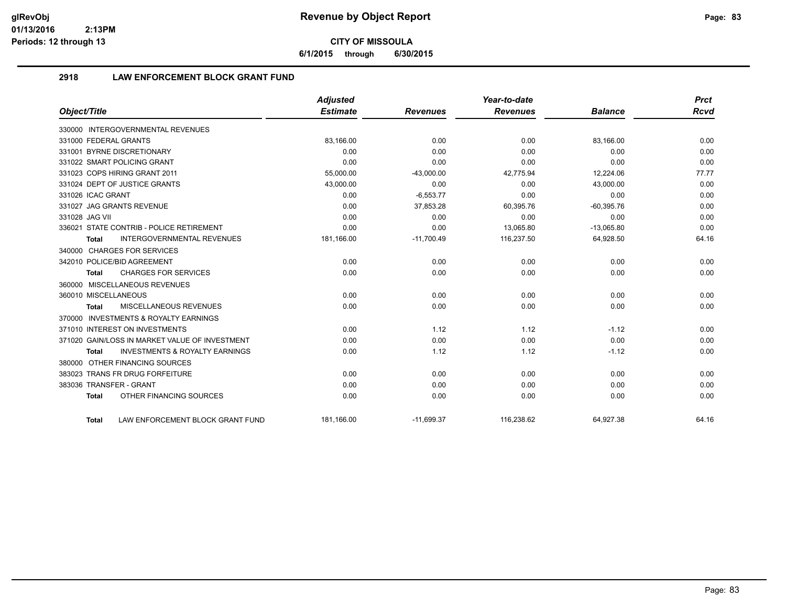**6/1/2015 through 6/30/2015**

### **2918 LAW ENFORCEMENT BLOCK GRANT FUND**

|                                                           | <b>Adjusted</b> |                 | Year-to-date    |                | <b>Prct</b> |
|-----------------------------------------------------------|-----------------|-----------------|-----------------|----------------|-------------|
| Object/Title                                              | <b>Estimate</b> | <b>Revenues</b> | <b>Revenues</b> | <b>Balance</b> | <b>Rcvd</b> |
| 330000 INTERGOVERNMENTAL REVENUES                         |                 |                 |                 |                |             |
| 331000 FEDERAL GRANTS                                     | 83,166.00       | 0.00            | 0.00            | 83,166.00      | 0.00        |
| 331001 BYRNE DISCRETIONARY                                | 0.00            | 0.00            | 0.00            | 0.00           | 0.00        |
| 331022 SMART POLICING GRANT                               | 0.00            | 0.00            | 0.00            | 0.00           | 0.00        |
| 331023 COPS HIRING GRANT 2011                             | 55,000.00       | $-43,000.00$    | 42,775.94       | 12,224.06      | 77.77       |
| 331024 DEPT OF JUSTICE GRANTS                             | 43,000.00       | 0.00            | 0.00            | 43,000.00      | 0.00        |
| 331026 ICAC GRANT                                         | 0.00            | $-6,553.77$     | 0.00            | 0.00           | 0.00        |
| 331027 JAG GRANTS REVENUE                                 | 0.00            | 37,853.28       | 60,395.76       | $-60,395.76$   | 0.00        |
| 331028 JAG VII                                            | 0.00            | 0.00            | 0.00            | 0.00           | 0.00        |
| 336021 STATE CONTRIB - POLICE RETIREMENT                  | 0.00            | 0.00            | 13,065.80       | $-13,065.80$   | 0.00        |
| <b>INTERGOVERNMENTAL REVENUES</b><br><b>Total</b>         | 181,166.00      | $-11,700.49$    | 116,237.50      | 64,928.50      | 64.16       |
| 340000 CHARGES FOR SERVICES                               |                 |                 |                 |                |             |
| 342010 POLICE/BID AGREEMENT                               | 0.00            | 0.00            | 0.00            | 0.00           | 0.00        |
| <b>CHARGES FOR SERVICES</b><br><b>Total</b>               | 0.00            | 0.00            | 0.00            | 0.00           | 0.00        |
| 360000 MISCELLANEOUS REVENUES                             |                 |                 |                 |                |             |
| 360010 MISCELLANEOUS                                      | 0.00            | 0.00            | 0.00            | 0.00           | 0.00        |
| MISCELLANEOUS REVENUES<br><b>Total</b>                    | 0.00            | 0.00            | 0.00            | 0.00           | 0.00        |
| 370000 INVESTMENTS & ROYALTY EARNINGS                     |                 |                 |                 |                |             |
| 371010 INTEREST ON INVESTMENTS                            | 0.00            | 1.12            | 1.12            | $-1.12$        | 0.00        |
| 371020 GAIN/LOSS IN MARKET VALUE OF INVESTMENT            | 0.00            | 0.00            | 0.00            | 0.00           | 0.00        |
| <b>INVESTMENTS &amp; ROYALTY EARNINGS</b><br><b>Total</b> | 0.00            | 1.12            | 1.12            | $-1.12$        | 0.00        |
| 380000 OTHER FINANCING SOURCES                            |                 |                 |                 |                |             |
| 383023 TRANS FR DRUG FORFEITURE                           | 0.00            | 0.00            | 0.00            | 0.00           | 0.00        |
| 383036 TRANSFER - GRANT                                   | 0.00            | 0.00            | 0.00            | 0.00           | 0.00        |
| OTHER FINANCING SOURCES<br><b>Total</b>                   | 0.00            | 0.00            | 0.00            | 0.00           | 0.00        |
| LAW ENFORCEMENT BLOCK GRANT FUND<br>Total                 | 181,166.00      | $-11,699.37$    | 116.238.62      | 64.927.38      | 64.16       |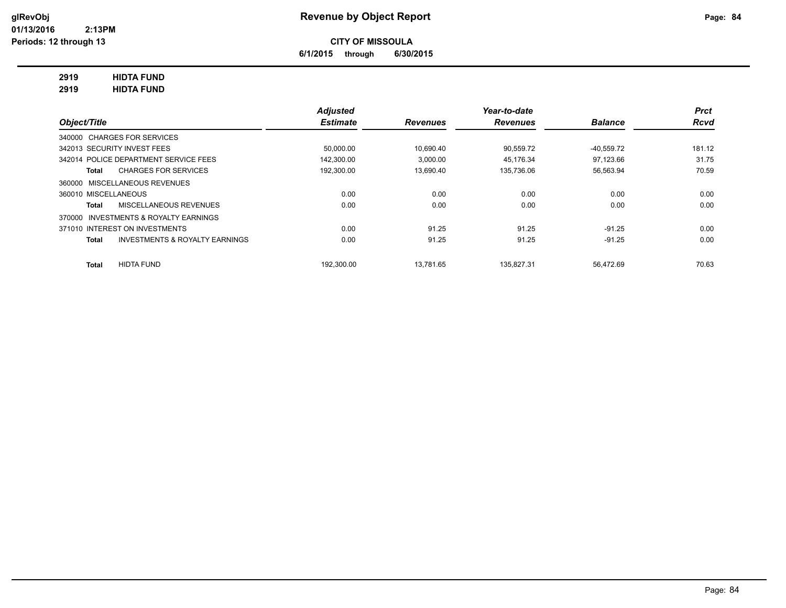**6/1/2015 through 6/30/2015**

### **2919 HIDTA FUND**

**2919 HIDTA FUND**

|                                                    | <b>Adjusted</b> |                 | Year-to-date    |                | <b>Prct</b> |
|----------------------------------------------------|-----------------|-----------------|-----------------|----------------|-------------|
| Object/Title                                       | <b>Estimate</b> | <b>Revenues</b> | <b>Revenues</b> | <b>Balance</b> | <b>Rcvd</b> |
| 340000 CHARGES FOR SERVICES                        |                 |                 |                 |                |             |
| 342013 SECURITY INVEST FEES                        | 50,000.00       | 10.690.40       | 90,559.72       | $-40,559.72$   | 181.12      |
| 342014 POLICE DEPARTMENT SERVICE FEES              | 142.300.00      | 3.000.00        | 45.176.34       | 97,123.66      | 31.75       |
| <b>CHARGES FOR SERVICES</b><br>Total               | 192,300.00      | 13.690.40       | 135.736.06      | 56,563.94      | 70.59       |
| 360000 MISCELLANEOUS REVENUES                      |                 |                 |                 |                |             |
| 360010 MISCELLANEOUS                               | 0.00            | 0.00            | 0.00            | 0.00           | 0.00        |
| MISCELLANEOUS REVENUES<br>Total                    | 0.00            | 0.00            | 0.00            | 0.00           | 0.00        |
| INVESTMENTS & ROYALTY EARNINGS<br>370000           |                 |                 |                 |                |             |
| 371010 INTEREST ON INVESTMENTS                     | 0.00            | 91.25           | 91.25           | $-91.25$       | 0.00        |
| <b>INVESTMENTS &amp; ROYALTY EARNINGS</b><br>Total | 0.00            | 91.25           | 91.25           | $-91.25$       | 0.00        |
| <b>HIDTA FUND</b><br><b>Total</b>                  | 192.300.00      | 13.781.65       | 135.827.31      | 56.472.69      | 70.63       |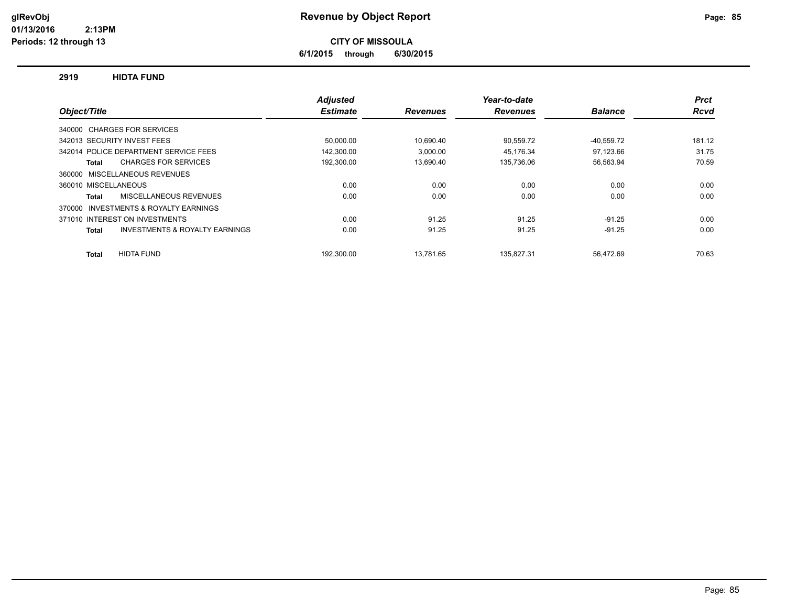**6/1/2015 through 6/30/2015**

### **2919 HIDTA FUND**

|                                                    | <b>Adjusted</b> |                 | Year-to-date    |                | <b>Prct</b> |
|----------------------------------------------------|-----------------|-----------------|-----------------|----------------|-------------|
| Object/Title                                       | <b>Estimate</b> | <b>Revenues</b> | <b>Revenues</b> | <b>Balance</b> | <b>Rcvd</b> |
| 340000 CHARGES FOR SERVICES                        |                 |                 |                 |                |             |
| 342013 SECURITY INVEST FEES                        | 50.000.00       | 10.690.40       | 90.559.72       | $-40,559.72$   | 181.12      |
| 342014 POLICE DEPARTMENT SERVICE FEES              | 142.300.00      | 3.000.00        | 45.176.34       | 97.123.66      | 31.75       |
| <b>CHARGES FOR SERVICES</b><br>Total               | 192,300.00      | 13.690.40       | 135.736.06      | 56.563.94      | 70.59       |
| 360000 MISCELLANEOUS REVENUES                      |                 |                 |                 |                |             |
| 360010 MISCELLANEOUS                               | 0.00            | 0.00            | 0.00            | 0.00           | 0.00        |
| MISCELLANEOUS REVENUES<br><b>Total</b>             | 0.00            | 0.00            | 0.00            | 0.00           | 0.00        |
| 370000 INVESTMENTS & ROYALTY EARNINGS              |                 |                 |                 |                |             |
| 371010 INTEREST ON INVESTMENTS                     | 0.00            | 91.25           | 91.25           | $-91.25$       | 0.00        |
| <b>INVESTMENTS &amp; ROYALTY EARNINGS</b><br>Total | 0.00            | 91.25           | 91.25           | $-91.25$       | 0.00        |
| <b>HIDTA FUND</b><br><b>Total</b>                  | 192.300.00      | 13.781.65       | 135.827.31      | 56.472.69      | 70.63       |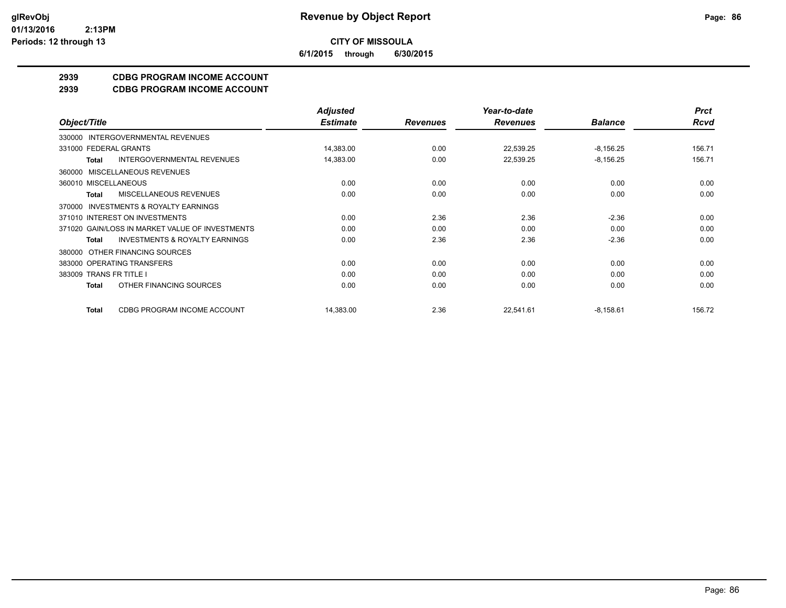**6/1/2015 through 6/30/2015**

## **2939 CDBG PROGRAM INCOME ACCOUNT**

**2939 CDBG PROGRAM INCOME ACCOUNT**

|                                                           | <b>Adjusted</b> |                 | Year-to-date    |                | <b>Prct</b> |
|-----------------------------------------------------------|-----------------|-----------------|-----------------|----------------|-------------|
| Object/Title                                              | <b>Estimate</b> | <b>Revenues</b> | <b>Revenues</b> | <b>Balance</b> | <b>Rcvd</b> |
| INTERGOVERNMENTAL REVENUES<br>330000                      |                 |                 |                 |                |             |
| 331000 FEDERAL GRANTS                                     | 14,383.00       | 0.00            | 22,539.25       | $-8,156.25$    | 156.71      |
| <b>INTERGOVERNMENTAL REVENUES</b><br><b>Total</b>         | 14,383.00       | 0.00            | 22,539.25       | $-8,156.25$    | 156.71      |
| MISCELLANEOUS REVENUES<br>360000                          |                 |                 |                 |                |             |
| 360010 MISCELLANEOUS                                      | 0.00            | 0.00            | 0.00            | 0.00           | 0.00        |
| <b>MISCELLANEOUS REVENUES</b><br>Total                    | 0.00            | 0.00            | 0.00            | 0.00           | 0.00        |
| <b>INVESTMENTS &amp; ROYALTY EARNINGS</b><br>370000       |                 |                 |                 |                |             |
| 371010 INTEREST ON INVESTMENTS                            | 0.00            | 2.36            | 2.36            | $-2.36$        | 0.00        |
| 371020 GAIN/LOSS IN MARKET VALUE OF INVESTMENTS           | 0.00            | 0.00            | 0.00            | 0.00           | 0.00        |
| <b>INVESTMENTS &amp; ROYALTY EARNINGS</b><br><b>Total</b> | 0.00            | 2.36            | 2.36            | $-2.36$        | 0.00        |
| OTHER FINANCING SOURCES<br>380000                         |                 |                 |                 |                |             |
| 383000 OPERATING TRANSFERS                                | 0.00            | 0.00            | 0.00            | 0.00           | 0.00        |
| 383009 TRANS FR TITLE I                                   | 0.00            | 0.00            | 0.00            | 0.00           | 0.00        |
| OTHER FINANCING SOURCES<br><b>Total</b>                   | 0.00            | 0.00            | 0.00            | 0.00           | 0.00        |
| CDBG PROGRAM INCOME ACCOUNT<br><b>Total</b>               | 14,383.00       | 2.36            | 22,541.61       | $-8,158.61$    | 156.72      |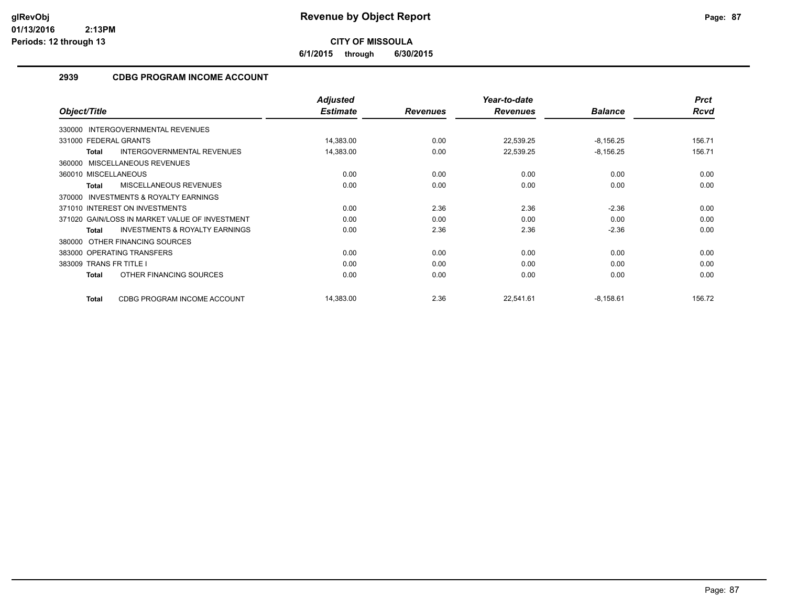**6/1/2015 through 6/30/2015**

### **2939 CDBG PROGRAM INCOME ACCOUNT**

|                                                           | <b>Adjusted</b> |                 | Year-to-date    |                | <b>Prct</b> |
|-----------------------------------------------------------|-----------------|-----------------|-----------------|----------------|-------------|
| Object/Title                                              | <b>Estimate</b> | <b>Revenues</b> | <b>Revenues</b> | <b>Balance</b> | Rcvd        |
| 330000 INTERGOVERNMENTAL REVENUES                         |                 |                 |                 |                |             |
| 331000 FEDERAL GRANTS                                     | 14,383.00       | 0.00            | 22,539.25       | $-8,156.25$    | 156.71      |
| INTERGOVERNMENTAL REVENUES<br><b>Total</b>                | 14,383.00       | 0.00            | 22,539.25       | $-8,156.25$    | 156.71      |
| 360000 MISCELLANEOUS REVENUES                             |                 |                 |                 |                |             |
| 360010 MISCELLANEOUS                                      | 0.00            | 0.00            | 0.00            | 0.00           | 0.00        |
| <b>MISCELLANEOUS REVENUES</b><br><b>Total</b>             | 0.00            | 0.00            | 0.00            | 0.00           | 0.00        |
| INVESTMENTS & ROYALTY EARNINGS<br>370000                  |                 |                 |                 |                |             |
| 371010 INTEREST ON INVESTMENTS                            | 0.00            | 2.36            | 2.36            | $-2.36$        | 0.00        |
| 371020 GAIN/LOSS IN MARKET VALUE OF INVESTMENT            | 0.00            | 0.00            | 0.00            | 0.00           | 0.00        |
| <b>INVESTMENTS &amp; ROYALTY EARNINGS</b><br><b>Total</b> | 0.00            | 2.36            | 2.36            | $-2.36$        | 0.00        |
| 380000 OTHER FINANCING SOURCES                            |                 |                 |                 |                |             |
| 383000 OPERATING TRANSFERS                                | 0.00            | 0.00            | 0.00            | 0.00           | 0.00        |
| 383009 TRANS FR TITLE I                                   | 0.00            | 0.00            | 0.00            | 0.00           | 0.00        |
| OTHER FINANCING SOURCES<br><b>Total</b>                   | 0.00            | 0.00            | 0.00            | 0.00           | 0.00        |
| CDBG PROGRAM INCOME ACCOUNT<br><b>Total</b>               | 14,383.00       | 2.36            | 22,541.61       | $-8,158.61$    | 156.72      |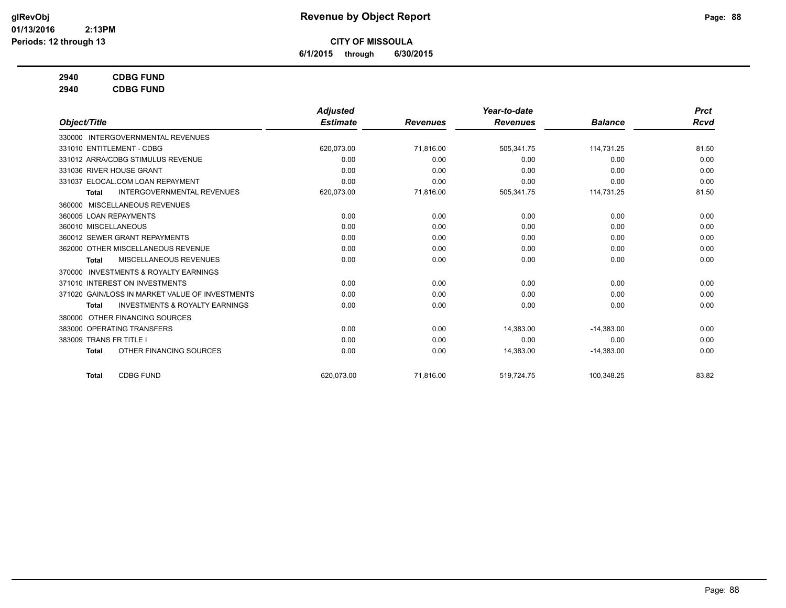**6/1/2015 through 6/30/2015**

### **2940 CDBG FUND**

**2940 CDBG FUND**

|                                                           | <b>Adjusted</b> |                 | Year-to-date    |                | <b>Prct</b> |
|-----------------------------------------------------------|-----------------|-----------------|-----------------|----------------|-------------|
| Object/Title                                              | <b>Estimate</b> | <b>Revenues</b> | <b>Revenues</b> | <b>Balance</b> | Rcvd        |
| 330000 INTERGOVERNMENTAL REVENUES                         |                 |                 |                 |                |             |
| 331010 ENTITLEMENT - CDBG                                 | 620,073.00      | 71,816.00       | 505,341.75      | 114,731.25     | 81.50       |
| 331012 ARRA/CDBG STIMULUS REVENUE                         | 0.00            | 0.00            | 0.00            | 0.00           | 0.00        |
| 331036 RIVER HOUSE GRANT                                  | 0.00            | 0.00            | 0.00            | 0.00           | 0.00        |
| 331037 ELOCAL.COM LOAN REPAYMENT                          | 0.00            | 0.00            | 0.00            | 0.00           | 0.00        |
| <b>INTERGOVERNMENTAL REVENUES</b><br><b>Total</b>         | 620,073.00      | 71,816.00       | 505,341.75      | 114,731.25     | 81.50       |
| 360000 MISCELLANEOUS REVENUES                             |                 |                 |                 |                |             |
| 360005 LOAN REPAYMENTS                                    | 0.00            | 0.00            | 0.00            | 0.00           | 0.00        |
| 360010 MISCELLANEOUS                                      | 0.00            | 0.00            | 0.00            | 0.00           | 0.00        |
| 360012 SEWER GRANT REPAYMENTS                             | 0.00            | 0.00            | 0.00            | 0.00           | 0.00        |
| 362000 OTHER MISCELLANEOUS REVENUE                        | 0.00            | 0.00            | 0.00            | 0.00           | 0.00        |
| <b>MISCELLANEOUS REVENUES</b><br><b>Total</b>             | 0.00            | 0.00            | 0.00            | 0.00           | 0.00        |
| <b>INVESTMENTS &amp; ROYALTY EARNINGS</b><br>370000       |                 |                 |                 |                |             |
| 371010 INTEREST ON INVESTMENTS                            | 0.00            | 0.00            | 0.00            | 0.00           | 0.00        |
| 371020 GAIN/LOSS IN MARKET VALUE OF INVESTMENTS           | 0.00            | 0.00            | 0.00            | 0.00           | 0.00        |
| <b>INVESTMENTS &amp; ROYALTY EARNINGS</b><br><b>Total</b> | 0.00            | 0.00            | 0.00            | 0.00           | 0.00        |
| OTHER FINANCING SOURCES<br>380000                         |                 |                 |                 |                |             |
| 383000 OPERATING TRANSFERS                                | 0.00            | 0.00            | 14,383.00       | $-14,383.00$   | 0.00        |
| 383009 TRANS FR TITLE I                                   | 0.00            | 0.00            | 0.00            | 0.00           | 0.00        |
| OTHER FINANCING SOURCES<br><b>Total</b>                   | 0.00            | 0.00            | 14,383.00       | $-14,383.00$   | 0.00        |
| <b>CDBG FUND</b><br><b>Total</b>                          | 620.073.00      | 71.816.00       | 519,724.75      | 100,348.25     | 83.82       |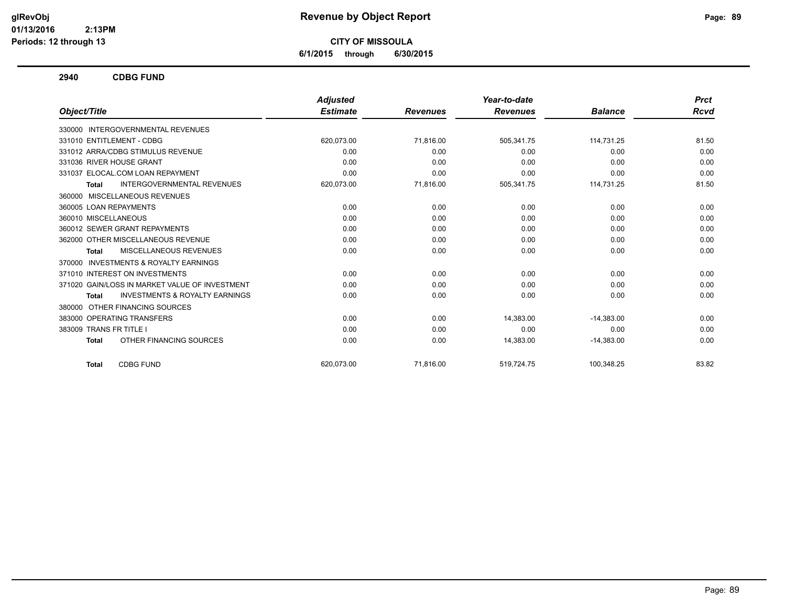**6/1/2015 through 6/30/2015**

**2940 CDBG FUND**

|                                                     | <b>Adjusted</b> |                 | Year-to-date    |                | <b>Prct</b> |
|-----------------------------------------------------|-----------------|-----------------|-----------------|----------------|-------------|
| Object/Title                                        | <b>Estimate</b> | <b>Revenues</b> | <b>Revenues</b> | <b>Balance</b> | <b>Rcvd</b> |
| 330000 INTERGOVERNMENTAL REVENUES                   |                 |                 |                 |                |             |
| 331010 ENTITLEMENT - CDBG                           | 620,073.00      | 71,816.00       | 505,341.75      | 114,731.25     | 81.50       |
| 331012 ARRA/CDBG STIMULUS REVENUE                   | 0.00            | 0.00            | 0.00            | 0.00           | 0.00        |
| 331036 RIVER HOUSE GRANT                            | 0.00            | 0.00            | 0.00            | 0.00           | 0.00        |
| 331037 ELOCAL.COM LOAN REPAYMENT                    | 0.00            | 0.00            | 0.00            | 0.00           | 0.00        |
| <b>INTERGOVERNMENTAL REVENUES</b><br><b>Total</b>   | 620,073.00      | 71,816.00       | 505,341.75      | 114,731.25     | 81.50       |
| MISCELLANEOUS REVENUES<br>360000                    |                 |                 |                 |                |             |
| 360005 LOAN REPAYMENTS                              | 0.00            | 0.00            | 0.00            | 0.00           | 0.00        |
| 360010 MISCELLANEOUS                                | 0.00            | 0.00            | 0.00            | 0.00           | 0.00        |
| 360012 SEWER GRANT REPAYMENTS                       | 0.00            | 0.00            | 0.00            | 0.00           | 0.00        |
| 362000 OTHER MISCELLANEOUS REVENUE                  | 0.00            | 0.00            | 0.00            | 0.00           | 0.00        |
| MISCELLANEOUS REVENUES<br>Total                     | 0.00            | 0.00            | 0.00            | 0.00           | 0.00        |
| <b>INVESTMENTS &amp; ROYALTY EARNINGS</b><br>370000 |                 |                 |                 |                |             |
| 371010 INTEREST ON INVESTMENTS                      | 0.00            | 0.00            | 0.00            | 0.00           | 0.00        |
| 371020 GAIN/LOSS IN MARKET VALUE OF INVESTMENT      | 0.00            | 0.00            | 0.00            | 0.00           | 0.00        |
| <b>INVESTMENTS &amp; ROYALTY EARNINGS</b><br>Total  | 0.00            | 0.00            | 0.00            | 0.00           | 0.00        |
| OTHER FINANCING SOURCES<br>380000                   |                 |                 |                 |                |             |
| 383000 OPERATING TRANSFERS                          | 0.00            | 0.00            | 14.383.00       | $-14,383.00$   | 0.00        |
| 383009 TRANS FR TITLE I                             | 0.00            | 0.00            | 0.00            | 0.00           | 0.00        |
| OTHER FINANCING SOURCES<br><b>Total</b>             | 0.00            | 0.00            | 14,383.00       | $-14,383.00$   | 0.00        |
| <b>CDBG FUND</b><br><b>Total</b>                    | 620.073.00      | 71.816.00       | 519,724.75      | 100.348.25     | 83.82       |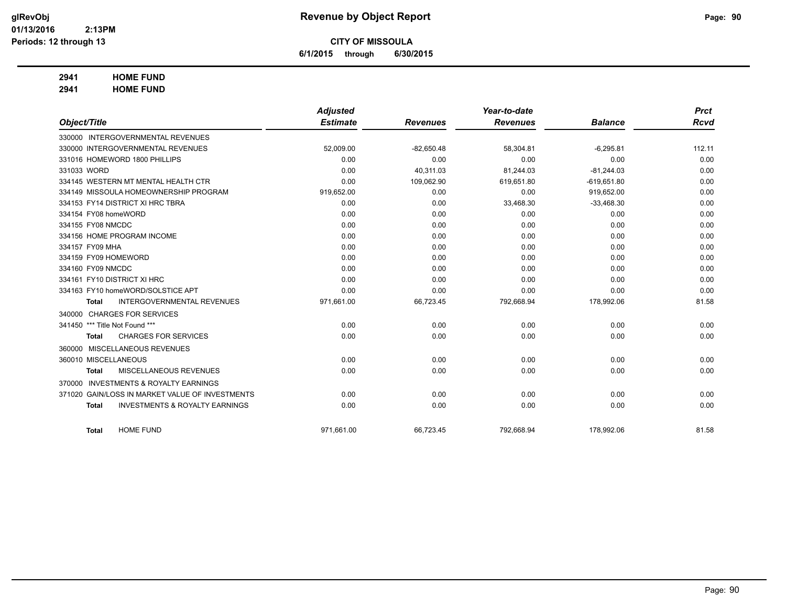**6/1/2015 through 6/30/2015**

### **2941 HOME FUND**

**2941 HOME FUND**

|                                                           | <b>Adjusted</b> |                 | Year-to-date    |                | <b>Prct</b> |
|-----------------------------------------------------------|-----------------|-----------------|-----------------|----------------|-------------|
| Object/Title                                              | <b>Estimate</b> | <b>Revenues</b> | <b>Revenues</b> | <b>Balance</b> | <b>Rcvd</b> |
| 330000 INTERGOVERNMENTAL REVENUES                         |                 |                 |                 |                |             |
| 330000 INTERGOVERNMENTAL REVENUES                         | 52,009.00       | $-82,650.48$    | 58,304.81       | $-6,295.81$    | 112.11      |
| 331016 HOMEWORD 1800 PHILLIPS                             | 0.00            | 0.00            | 0.00            | 0.00           | 0.00        |
| 331033 WORD                                               | 0.00            | 40,311.03       | 81,244.03       | $-81,244.03$   | 0.00        |
| 334145 WESTERN MT MENTAL HEALTH CTR                       | 0.00            | 109,062.90      | 619,651.80      | $-619,651.80$  | 0.00        |
| 334149 MISSOULA HOMEOWNERSHIP PROGRAM                     | 919,652.00      | 0.00            | 0.00            | 919,652.00     | 0.00        |
| 334153 FY14 DISTRICT XI HRC TBRA                          | 0.00            | 0.00            | 33,468.30       | $-33,468.30$   | 0.00        |
| 334154 FY08 homeWORD                                      | 0.00            | 0.00            | 0.00            | 0.00           | 0.00        |
| 334155 FY08 NMCDC                                         | 0.00            | 0.00            | 0.00            | 0.00           | 0.00        |
| 334156 HOME PROGRAM INCOME                                | 0.00            | 0.00            | 0.00            | 0.00           | 0.00        |
| 334157 FY09 MHA                                           | 0.00            | 0.00            | 0.00            | 0.00           | 0.00        |
| 334159 FY09 HOMEWORD                                      | 0.00            | 0.00            | 0.00            | 0.00           | 0.00        |
| 334160 FY09 NMCDC                                         | 0.00            | 0.00            | 0.00            | 0.00           | 0.00        |
| 334161 FY10 DISTRICT XI HRC                               | 0.00            | 0.00            | 0.00            | 0.00           | 0.00        |
| 334163 FY10 homeWORD/SOLSTICE APT                         | 0.00            | 0.00            | 0.00            | 0.00           | 0.00        |
| <b>INTERGOVERNMENTAL REVENUES</b><br><b>Total</b>         | 971,661.00      | 66,723.45       | 792,668.94      | 178,992.06     | 81.58       |
| <b>CHARGES FOR SERVICES</b><br>340000                     |                 |                 |                 |                |             |
| *** Title Not Found ***<br>341450                         | 0.00            | 0.00            | 0.00            | 0.00           | 0.00        |
| <b>CHARGES FOR SERVICES</b><br><b>Total</b>               | 0.00            | 0.00            | 0.00            | 0.00           | 0.00        |
| MISCELLANEOUS REVENUES<br>360000                          |                 |                 |                 |                |             |
| 360010 MISCELLANEOUS                                      | 0.00            | 0.00            | 0.00            | 0.00           | 0.00        |
| <b>MISCELLANEOUS REVENUES</b><br><b>Total</b>             | 0.00            | 0.00            | 0.00            | 0.00           | 0.00        |
| <b>INVESTMENTS &amp; ROYALTY EARNINGS</b><br>370000       |                 |                 |                 |                |             |
| 371020 GAIN/LOSS IN MARKET VALUE OF INVESTMENTS           | 0.00            | 0.00            | 0.00            | 0.00           | 0.00        |
| <b>INVESTMENTS &amp; ROYALTY EARNINGS</b><br><b>Total</b> | 0.00            | 0.00            | 0.00            | 0.00           | 0.00        |
| <b>HOME FUND</b><br><b>Total</b>                          | 971,661.00      | 66,723.45       | 792,668.94      | 178,992.06     | 81.58       |
|                                                           |                 |                 |                 |                |             |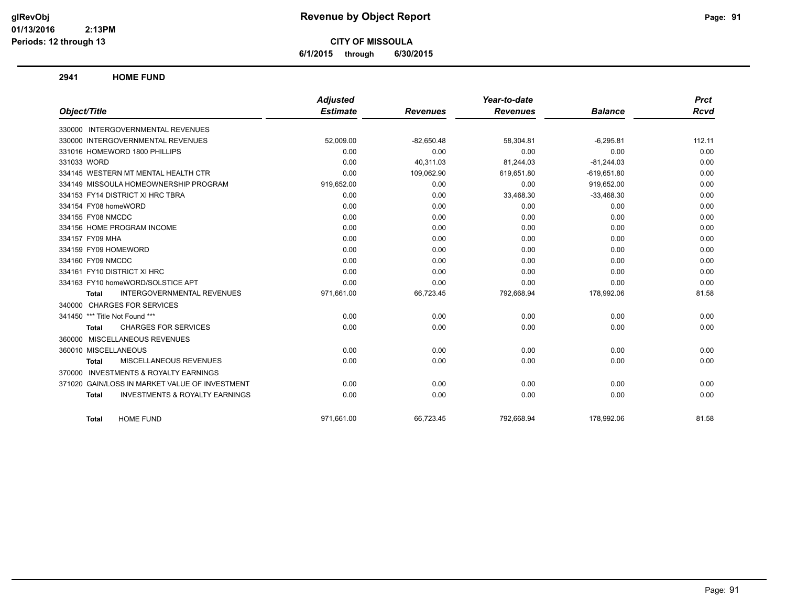**6/1/2015 through 6/30/2015**

### **2941 HOME FUND**

|                                                           | <b>Adjusted</b> |                 | Year-to-date    |                | <b>Prct</b> |
|-----------------------------------------------------------|-----------------|-----------------|-----------------|----------------|-------------|
| Object/Title                                              | <b>Estimate</b> | <b>Revenues</b> | <b>Revenues</b> | <b>Balance</b> | Rcvd        |
| 330000 INTERGOVERNMENTAL REVENUES                         |                 |                 |                 |                |             |
| 330000 INTERGOVERNMENTAL REVENUES                         | 52,009.00       | $-82,650.48$    | 58,304.81       | $-6,295.81$    | 112.11      |
| 331016 HOMEWORD 1800 PHILLIPS                             | 0.00            | 0.00            | 0.00            | 0.00           | 0.00        |
| 331033 WORD                                               | 0.00            | 40,311.03       | 81,244.03       | $-81,244.03$   | 0.00        |
| 334145 WESTERN MT MENTAL HEALTH CTR                       | 0.00            | 109,062.90      | 619,651.80      | $-619,651.80$  | 0.00        |
| 334149 MISSOULA HOMEOWNERSHIP PROGRAM                     | 919,652.00      | 0.00            | 0.00            | 919,652.00     | 0.00        |
| 334153 FY14 DISTRICT XI HRC TBRA                          | 0.00            | 0.00            | 33,468.30       | $-33,468.30$   | 0.00        |
| 334154 FY08 homeWORD                                      | 0.00            | 0.00            | 0.00            | 0.00           | 0.00        |
| 334155 FY08 NMCDC                                         | 0.00            | 0.00            | 0.00            | 0.00           | 0.00        |
| 334156 HOME PROGRAM INCOME                                | 0.00            | 0.00            | 0.00            | 0.00           | 0.00        |
| 334157 FY09 MHA                                           | 0.00            | 0.00            | 0.00            | 0.00           | 0.00        |
| 334159 FY09 HOMEWORD                                      | 0.00            | 0.00            | 0.00            | 0.00           | 0.00        |
| 334160 FY09 NMCDC                                         | 0.00            | 0.00            | 0.00            | 0.00           | 0.00        |
| 334161 FY10 DISTRICT XI HRC                               | 0.00            | 0.00            | 0.00            | 0.00           | 0.00        |
| 334163 FY10 homeWORD/SOLSTICE APT                         | 0.00            | 0.00            | 0.00            | 0.00           | 0.00        |
| <b>INTERGOVERNMENTAL REVENUES</b><br><b>Total</b>         | 971,661.00      | 66,723.45       | 792,668.94      | 178,992.06     | 81.58       |
| 340000 CHARGES FOR SERVICES                               |                 |                 |                 |                |             |
| 341450 *** Title Not Found ***                            | 0.00            | 0.00            | 0.00            | 0.00           | 0.00        |
| <b>CHARGES FOR SERVICES</b><br>Total                      | 0.00            | 0.00            | 0.00            | 0.00           | 0.00        |
| 360000 MISCELLANEOUS REVENUES                             |                 |                 |                 |                |             |
| 360010 MISCELLANEOUS                                      | 0.00            | 0.00            | 0.00            | 0.00           | 0.00        |
| MISCELLANEOUS REVENUES<br><b>Total</b>                    | 0.00            | 0.00            | 0.00            | 0.00           | 0.00        |
| 370000 INVESTMENTS & ROYALTY EARNINGS                     |                 |                 |                 |                |             |
| 371020 GAIN/LOSS IN MARKET VALUE OF INVESTMENT            | 0.00            | 0.00            | 0.00            | 0.00           | 0.00        |
| <b>INVESTMENTS &amp; ROYALTY EARNINGS</b><br><b>Total</b> | 0.00            | 0.00            | 0.00            | 0.00           | 0.00        |
| <b>HOME FUND</b><br><b>Total</b>                          | 971,661.00      | 66,723.45       | 792,668.94      | 178,992.06     | 81.58       |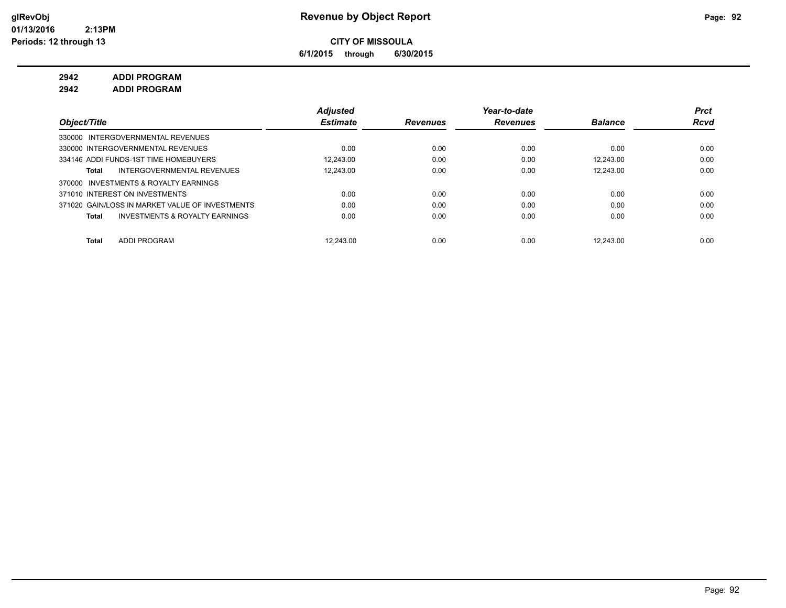**6/1/2015 through 6/30/2015**

**2942 ADDI PROGRAM**

**2942 ADDI PROGRAM**

|                                                 |                                           | <b>Adjusted</b> |                 | Year-to-date    |                | <b>Prct</b> |
|-------------------------------------------------|-------------------------------------------|-----------------|-----------------|-----------------|----------------|-------------|
| Object/Title                                    |                                           | <b>Estimate</b> | <b>Revenues</b> | <b>Revenues</b> | <b>Balance</b> | <b>Rcvd</b> |
| 330000 INTERGOVERNMENTAL REVENUES               |                                           |                 |                 |                 |                |             |
| 330000 INTERGOVERNMENTAL REVENUES               |                                           | 0.00            | 0.00            | 0.00            | 0.00           | 0.00        |
| 334146 ADDI FUNDS-1ST TIME HOMEBUYERS           |                                           | 12.243.00       | 0.00            | 0.00            | 12.243.00      | 0.00        |
| Total                                           | INTERGOVERNMENTAL REVENUES                | 12.243.00       | 0.00            | 0.00            | 12.243.00      | 0.00        |
| 370000 INVESTMENTS & ROYALTY EARNINGS           |                                           |                 |                 |                 |                |             |
| 371010 INTEREST ON INVESTMENTS                  |                                           | 0.00            | 0.00            | 0.00            | 0.00           | 0.00        |
| 371020 GAIN/LOSS IN MARKET VALUE OF INVESTMENTS |                                           | 0.00            | 0.00            | 0.00            | 0.00           | 0.00        |
| Total                                           | <b>INVESTMENTS &amp; ROYALTY EARNINGS</b> | 0.00            | 0.00            | 0.00            | 0.00           | 0.00        |
| ADDI PROGRAM<br>Total                           |                                           | 12.243.00       | 0.00            | 0.00            | 12.243.00      | 0.00        |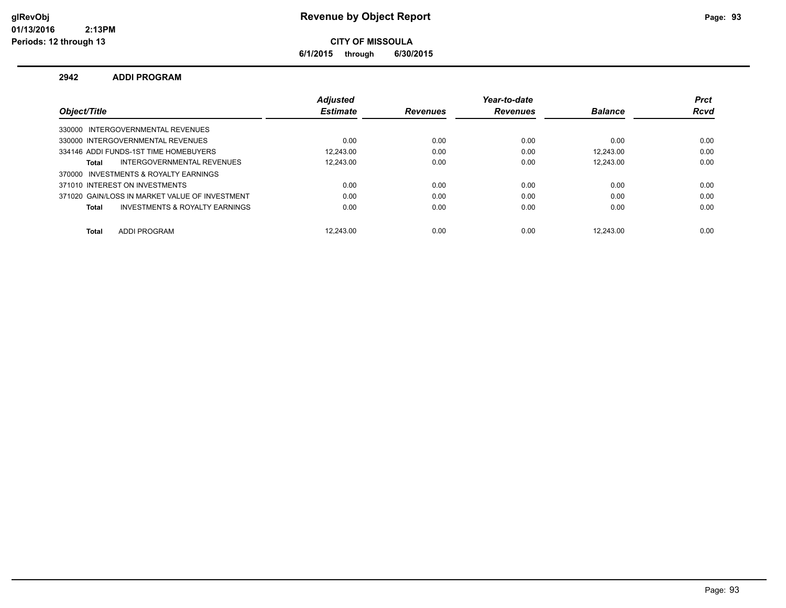**6/1/2015 through 6/30/2015**

### **2942 ADDI PROGRAM**

|                                                | <b>Adiusted</b> |                 | Year-to-date    |                | <b>Prct</b> |
|------------------------------------------------|-----------------|-----------------|-----------------|----------------|-------------|
| Object/Title                                   | <b>Estimate</b> | <b>Revenues</b> | <b>Revenues</b> | <b>Balance</b> | <b>Rcvd</b> |
| 330000 INTERGOVERNMENTAL REVENUES              |                 |                 |                 |                |             |
| 330000 INTERGOVERNMENTAL REVENUES              | 0.00            | 0.00            | 0.00            | 0.00           | 0.00        |
| 334146 ADDI FUNDS-1ST TIME HOMEBUYERS          | 12.243.00       | 0.00            | 0.00            | 12.243.00      | 0.00        |
| INTERGOVERNMENTAL REVENUES<br><b>Total</b>     | 12.243.00       | 0.00            | 0.00            | 12.243.00      | 0.00        |
| 370000 INVESTMENTS & ROYALTY EARNINGS          |                 |                 |                 |                |             |
| 371010 INTEREST ON INVESTMENTS                 | 0.00            | 0.00            | 0.00            | 0.00           | 0.00        |
| 371020 GAIN/LOSS IN MARKET VALUE OF INVESTMENT | 0.00            | 0.00            | 0.00            | 0.00           | 0.00        |
| INVESTMENTS & ROYALTY EARNINGS<br><b>Total</b> | 0.00            | 0.00            | 0.00            | 0.00           | 0.00        |
| <b>ADDI PROGRAM</b><br><b>Total</b>            | 12.243.00       | 0.00            | 0.00            | 12.243.00      | 0.00        |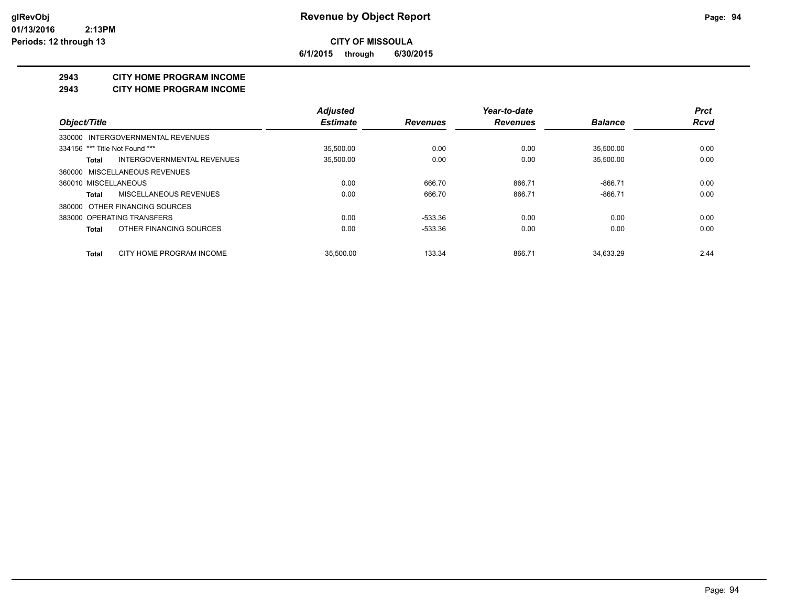**6/1/2015 through 6/30/2015**

### **2943 CITY HOME PROGRAM INCOME**

#### **2943 CITY HOME PROGRAM INCOME**

|                                            | <b>Adjusted</b> |                 | Year-to-date    |                | <b>Prct</b> |
|--------------------------------------------|-----------------|-----------------|-----------------|----------------|-------------|
| Object/Title                               | <b>Estimate</b> | <b>Revenues</b> | <b>Revenues</b> | <b>Balance</b> | <b>Rcvd</b> |
| 330000 INTERGOVERNMENTAL REVENUES          |                 |                 |                 |                |             |
| 334156 *** Title Not Found ***             | 35.500.00       | 0.00            | 0.00            | 35.500.00      | 0.00        |
| <b>INTERGOVERNMENTAL REVENUES</b><br>Total | 35,500.00       | 0.00            | 0.00            | 35,500.00      | 0.00        |
| 360000 MISCELLANEOUS REVENUES              |                 |                 |                 |                |             |
| 360010 MISCELLANEOUS                       | 0.00            | 666.70          | 866.71          | $-866.71$      | 0.00        |
| <b>MISCELLANEOUS REVENUES</b><br>Total     | 0.00            | 666.70          | 866.71          | $-866.71$      | 0.00        |
| 380000 OTHER FINANCING SOURCES             |                 |                 |                 |                |             |
| 383000 OPERATING TRANSFERS                 | 0.00            | -533.36         | 0.00            | 0.00           | 0.00        |
| OTHER FINANCING SOURCES<br>Total           | 0.00            | -533.36         | 0.00            | 0.00           | 0.00        |
| CITY HOME PROGRAM INCOME<br>Total          | 35.500.00       | 133.34          | 866.71          | 34.633.29      | 2.44        |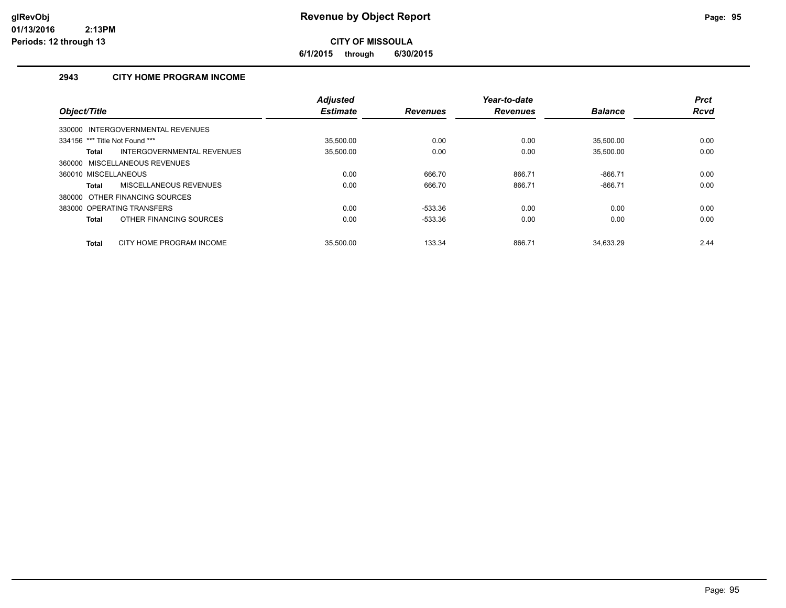**6/1/2015 through 6/30/2015**

### **2943 CITY HOME PROGRAM INCOME**

| Object/Title                   |                                   | <b>Adjusted</b><br><b>Estimate</b> | <b>Revenues</b> | Year-to-date<br><b>Revenues</b> | <b>Balance</b> | <b>Prct</b><br><b>Rcvd</b> |
|--------------------------------|-----------------------------------|------------------------------------|-----------------|---------------------------------|----------------|----------------------------|
|                                | 330000 INTERGOVERNMENTAL REVENUES |                                    |                 |                                 |                |                            |
| 334156 *** Title Not Found *** |                                   | 35.500.00                          | 0.00            | 0.00                            | 35.500.00      | 0.00                       |
| Total                          | INTERGOVERNMENTAL REVENUES        | 35,500.00                          | 0.00            | 0.00                            | 35,500.00      | 0.00                       |
|                                | 360000 MISCELLANEOUS REVENUES     |                                    |                 |                                 |                |                            |
| 360010 MISCELLANEOUS           |                                   | 0.00                               | 666.70          | 866.71                          | $-866.71$      | 0.00                       |
| <b>Total</b>                   | <b>MISCELLANEOUS REVENUES</b>     | 0.00                               | 666.70          | 866.71                          | $-866.71$      | 0.00                       |
|                                | 380000 OTHER FINANCING SOURCES    |                                    |                 |                                 |                |                            |
|                                | 383000 OPERATING TRANSFERS        | 0.00                               | $-533.36$       | 0.00                            | 0.00           | 0.00                       |
| <b>Total</b>                   | OTHER FINANCING SOURCES           | 0.00                               | $-533.36$       | 0.00                            | 0.00           | 0.00                       |
| <b>Total</b>                   | CITY HOME PROGRAM INCOME          | 35.500.00                          | 133.34          | 866.71                          | 34.633.29      | 2.44                       |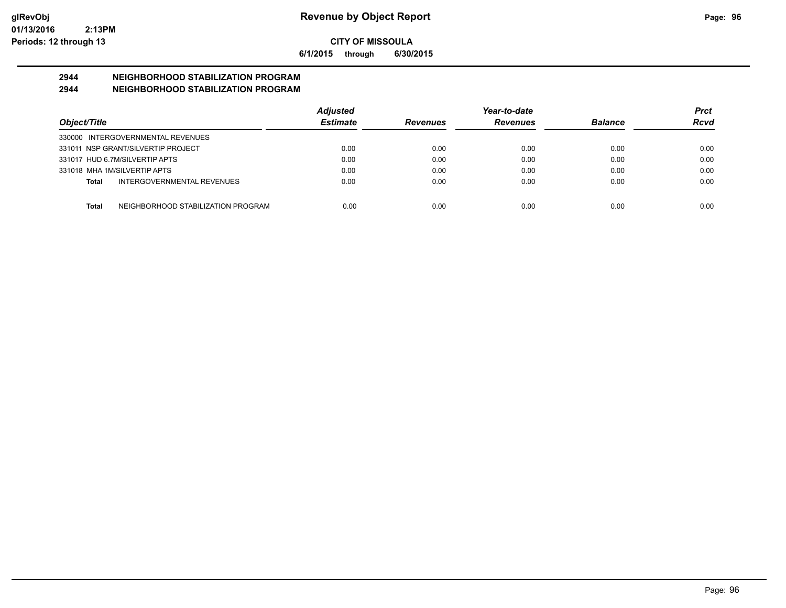**6/1/2015 through 6/30/2015**

# **2944 NEIGHBORHOOD STABILIZATION PROGRAM**

## **2944 NEIGHBORHOOD STABILIZATION PROGRAM**

|                                                    | <b>Adjusted</b> |                 | Year-to-date    |                | <b>Prct</b> |
|----------------------------------------------------|-----------------|-----------------|-----------------|----------------|-------------|
| Object/Title                                       | <b>Estimate</b> | <b>Revenues</b> | <b>Revenues</b> | <b>Balance</b> | Rcvd        |
| 330000 INTERGOVERNMENTAL REVENUES                  |                 |                 |                 |                |             |
| 331011 NSP GRANT/SILVERTIP PROJECT                 | 0.00            | 0.00            | 0.00            | 0.00           | 0.00        |
| 331017 HUD 6.7M/SILVERTIP APTS                     | 0.00            | 0.00            | 0.00            | 0.00           | 0.00        |
| 331018 MHA 1M/SILVERTIP APTS                       | 0.00            | 0.00            | 0.00            | 0.00           | 0.00        |
| <b>INTERGOVERNMENTAL REVENUES</b><br>Total         | 0.00            | 0.00            | 0.00            | 0.00           | 0.00        |
|                                                    |                 |                 |                 |                |             |
| NEIGHBORHOOD STABILIZATION PROGRAM<br><b>Total</b> | 0.00            | 0.00            | 0.00            | 0.00           | 0.00        |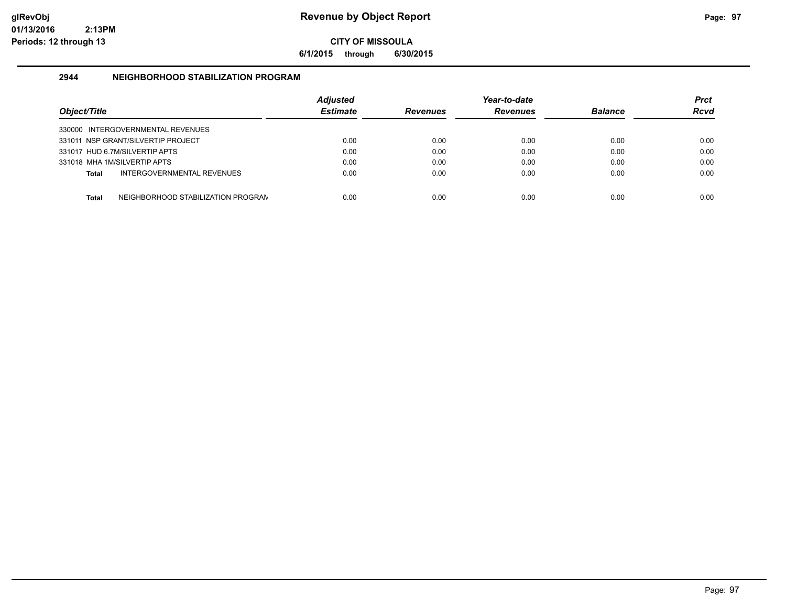**6/1/2015 through 6/30/2015**

### **2944 NEIGHBORHOOD STABILIZATION PROGRAM**

| Object/Title                                | <b>Adiusted</b><br><b>Estimate</b> | <b>Revenues</b> | Year-to-date<br><b>Revenues</b> | <b>Balance</b> | <b>Prct</b><br><b>Rcvd</b> |
|---------------------------------------------|------------------------------------|-----------------|---------------------------------|----------------|----------------------------|
| 330000 INTERGOVERNMENTAL REVENUES           |                                    |                 |                                 |                |                            |
| 331011 NSP GRANT/SILVERTIP PROJECT          | 0.00                               | 0.00            | 0.00                            | 0.00           | 0.00                       |
| 331017 HUD 6.7M/SILVERTIP APTS              | 0.00                               | 0.00            | 0.00                            | 0.00           | 0.00                       |
| 331018 MHA 1M/SILVERTIP APTS                | 0.00                               | 0.00            | 0.00                            | 0.00           | 0.00                       |
| INTERGOVERNMENTAL REVENUES<br><b>Total</b>  | 0.00                               | 0.00            | 0.00                            | 0.00           | 0.00                       |
| NEIGHBORHOOD STABILIZATION PROGRAN<br>Total | 0.00                               | 0.00            | 0.00                            | 0.00           | 0.00                       |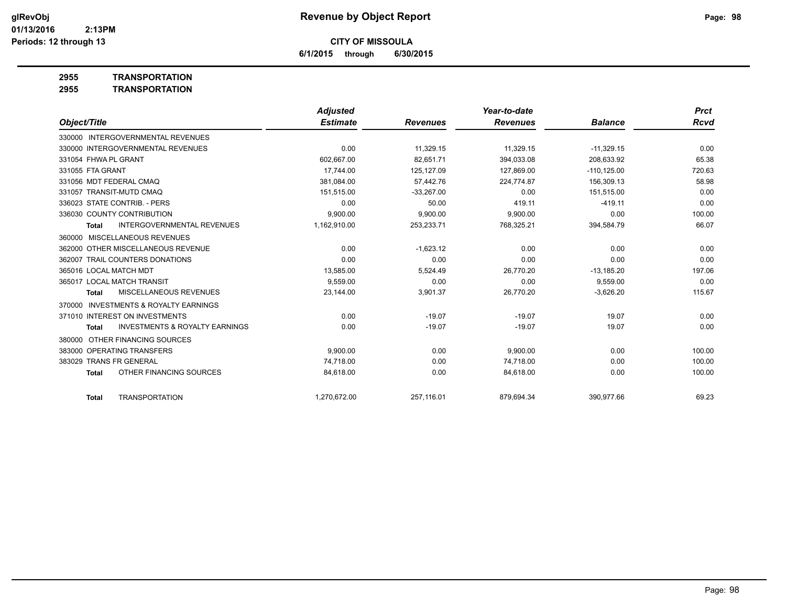**6/1/2015 through 6/30/2015**

**2955 TRANSPORTATION**

**2955 TRANSPORTATION**

|                                                           | <b>Adjusted</b> |                 | Year-to-date    |                | <b>Prct</b> |
|-----------------------------------------------------------|-----------------|-----------------|-----------------|----------------|-------------|
| Object/Title                                              | <b>Estimate</b> | <b>Revenues</b> | <b>Revenues</b> | <b>Balance</b> | <b>Rcvd</b> |
| 330000 INTERGOVERNMENTAL REVENUES                         |                 |                 |                 |                |             |
| 330000 INTERGOVERNMENTAL REVENUES                         | 0.00            | 11,329.15       | 11,329.15       | $-11,329.15$   | 0.00        |
| 331054 FHWA PL GRANT                                      | 602.667.00      | 82.651.71       | 394.033.08      | 208.633.92     | 65.38       |
| 331055 FTA GRANT                                          | 17.744.00       | 125,127.09      | 127,869.00      | $-110, 125.00$ | 720.63      |
| 331056 MDT FEDERAL CMAQ                                   | 381,084.00      | 57,442.76       | 224,774.87      | 156,309.13     | 58.98       |
| 331057 TRANSIT-MUTD CMAQ                                  | 151,515.00      | $-33.267.00$    | 0.00            | 151,515.00     | 0.00        |
| 336023 STATE CONTRIB. - PERS                              | 0.00            | 50.00           | 419.11          | $-419.11$      | 0.00        |
| 336030 COUNTY CONTRIBUTION                                | 9,900.00        | 9,900.00        | 9,900.00        | 0.00           | 100.00      |
| <b>INTERGOVERNMENTAL REVENUES</b><br><b>Total</b>         | 1,162,910.00    | 253,233.71      | 768,325.21      | 394,584.79     | 66.07       |
| 360000 MISCELLANEOUS REVENUES                             |                 |                 |                 |                |             |
| 362000 OTHER MISCELLANEOUS REVENUE                        | 0.00            | $-1,623.12$     | 0.00            | 0.00           | 0.00        |
| 362007 TRAIL COUNTERS DONATIONS                           | 0.00            | 0.00            | 0.00            | 0.00           | 0.00        |
| 365016 LOCAL MATCH MDT                                    | 13,585.00       | 5,524.49        | 26,770.20       | $-13,185.20$   | 197.06      |
| 365017 LOCAL MATCH TRANSIT                                | 9.559.00        | 0.00            | 0.00            | 9,559.00       | 0.00        |
| MISCELLANEOUS REVENUES<br>Total                           | 23,144.00       | 3,901.37        | 26,770.20       | $-3,626.20$    | 115.67      |
| <b>INVESTMENTS &amp; ROYALTY EARNINGS</b><br>370000       |                 |                 |                 |                |             |
| 371010 INTEREST ON INVESTMENTS                            | 0.00            | $-19.07$        | $-19.07$        | 19.07          | 0.00        |
| <b>INVESTMENTS &amp; ROYALTY EARNINGS</b><br><b>Total</b> | 0.00            | $-19.07$        | $-19.07$        | 19.07          | 0.00        |
| OTHER FINANCING SOURCES<br>380000                         |                 |                 |                 |                |             |
| 383000 OPERATING TRANSFERS                                | 9.900.00        | 0.00            | 9.900.00        | 0.00           | 100.00      |
| 383029 TRANS FR GENERAL                                   | 74.718.00       | 0.00            | 74.718.00       | 0.00           | 100.00      |
| OTHER FINANCING SOURCES<br><b>Total</b>                   | 84,618.00       | 0.00            | 84,618.00       | 0.00           | 100.00      |
|                                                           |                 |                 |                 |                |             |
| <b>TRANSPORTATION</b><br><b>Total</b>                     | 1,270,672.00    | 257,116.01      | 879,694.34      | 390,977.66     | 69.23       |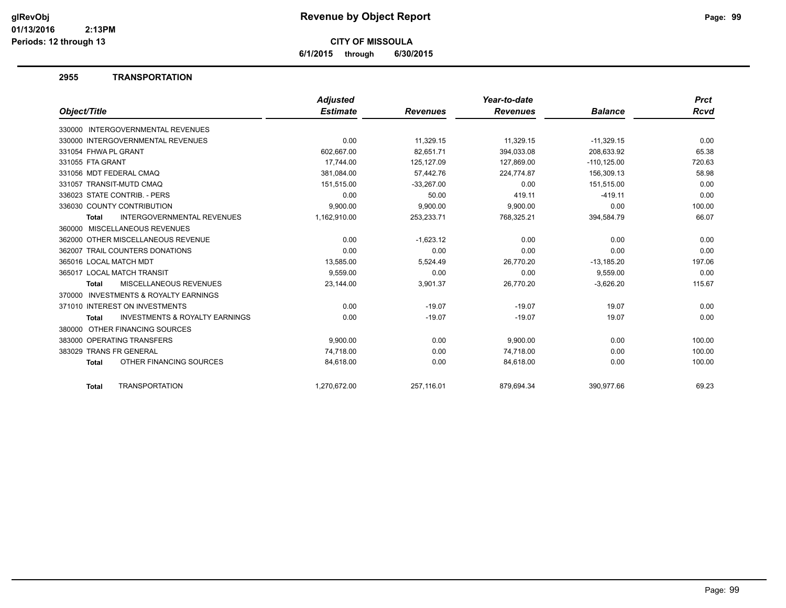**6/1/2015 through 6/30/2015**

### **2955 TRANSPORTATION**

|                                                           | <b>Adjusted</b> |                 | Year-to-date    |                | <b>Prct</b> |
|-----------------------------------------------------------|-----------------|-----------------|-----------------|----------------|-------------|
| Object/Title                                              | <b>Estimate</b> | <b>Revenues</b> | <b>Revenues</b> | <b>Balance</b> | Rcvd        |
| 330000 INTERGOVERNMENTAL REVENUES                         |                 |                 |                 |                |             |
| 330000 INTERGOVERNMENTAL REVENUES                         | 0.00            | 11,329.15       | 11,329.15       | $-11,329.15$   | 0.00        |
| 331054 FHWA PL GRANT                                      | 602,667.00      | 82,651.71       | 394,033.08      | 208,633.92     | 65.38       |
| 331055 FTA GRANT                                          | 17.744.00       | 125,127.09      | 127,869.00      | $-110, 125.00$ | 720.63      |
| 331056 MDT FEDERAL CMAQ                                   | 381.084.00      | 57.442.76       | 224.774.87      | 156.309.13     | 58.98       |
| 331057 TRANSIT-MUTD CMAO                                  | 151,515.00      | $-33,267.00$    | 0.00            | 151,515.00     | 0.00        |
| 336023 STATE CONTRIB. - PERS                              | 0.00            | 50.00           | 419.11          | $-419.11$      | 0.00        |
| 336030 COUNTY CONTRIBUTION                                | 9,900.00        | 9,900.00        | 9,900.00        | 0.00           | 100.00      |
| INTERGOVERNMENTAL REVENUES<br>Total                       | 1,162,910.00    | 253,233.71      | 768,325.21      | 394,584.79     | 66.07       |
| 360000 MISCELLANEOUS REVENUES                             |                 |                 |                 |                |             |
| 362000 OTHER MISCELLANEOUS REVENUE                        | 0.00            | $-1,623.12$     | 0.00            | 0.00           | 0.00        |
| 362007 TRAIL COUNTERS DONATIONS                           | 0.00            | 0.00            | 0.00            | 0.00           | 0.00        |
| 365016 LOCAL MATCH MDT                                    | 13,585.00       | 5,524.49        | 26,770.20       | $-13,185.20$   | 197.06      |
| 365017 LOCAL MATCH TRANSIT                                | 9,559.00        | 0.00            | 0.00            | 9,559.00       | 0.00        |
| MISCELLANEOUS REVENUES<br><b>Total</b>                    | 23,144.00       | 3,901.37        | 26,770.20       | $-3,626.20$    | 115.67      |
| 370000 INVESTMENTS & ROYALTY EARNINGS                     |                 |                 |                 |                |             |
| 371010 INTEREST ON INVESTMENTS                            | 0.00            | $-19.07$        | $-19.07$        | 19.07          | 0.00        |
| <b>INVESTMENTS &amp; ROYALTY EARNINGS</b><br><b>Total</b> | 0.00            | $-19.07$        | $-19.07$        | 19.07          | 0.00        |
| 380000 OTHER FINANCING SOURCES                            |                 |                 |                 |                |             |
| 383000 OPERATING TRANSFERS                                | 9,900.00        | 0.00            | 9,900.00        | 0.00           | 100.00      |
| 383029 TRANS FR GENERAL                                   | 74,718.00       | 0.00            | 74,718.00       | 0.00           | 100.00      |
| OTHER FINANCING SOURCES<br><b>Total</b>                   | 84,618.00       | 0.00            | 84,618.00       | 0.00           | 100.00      |
| <b>TRANSPORTATION</b><br><b>Total</b>                     | 1,270,672.00    | 257,116.01      | 879,694.34      | 390,977.66     | 69.23       |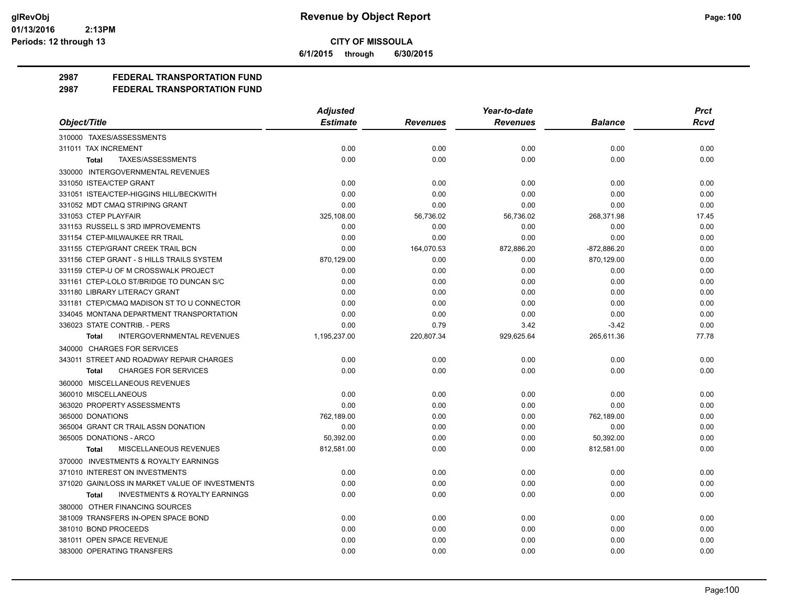**6/1/2015 through 6/30/2015**

**2987 FEDERAL TRANSPORTATION FUND**

|                                                           | <b>Adjusted</b> |                 | Year-to-date    |                | <b>Prct</b> |
|-----------------------------------------------------------|-----------------|-----------------|-----------------|----------------|-------------|
| Object/Title                                              | <b>Estimate</b> | <b>Revenues</b> | <b>Revenues</b> | <b>Balance</b> | Rcvd        |
| 310000 TAXES/ASSESSMENTS                                  |                 |                 |                 |                |             |
| 311011 TAX INCREMENT                                      | 0.00            | 0.00            | 0.00            | 0.00           | 0.00        |
| TAXES/ASSESSMENTS<br><b>Total</b>                         | 0.00            | 0.00            | 0.00            | 0.00           | 0.00        |
| 330000 INTERGOVERNMENTAL REVENUES                         |                 |                 |                 |                |             |
| 331050 ISTEA/CTEP GRANT                                   | 0.00            | 0.00            | 0.00            | 0.00           | 0.00        |
| 331051 ISTEA/CTEP-HIGGINS HILL/BECKWITH                   | 0.00            | 0.00            | 0.00            | 0.00           | 0.00        |
| 331052 MDT CMAQ STRIPING GRANT                            | 0.00            | 0.00            | 0.00            | 0.00           | 0.00        |
| 331053 CTEP PLAYFAIR                                      | 325,108.00      | 56,736.02       | 56,736.02       | 268,371.98     | 17.45       |
| 331153 RUSSELL S 3RD IMPROVEMENTS                         | 0.00            | 0.00            | 0.00            | 0.00           | 0.00        |
| 331154 CTEP-MILWAUKEE RR TRAIL                            | 0.00            | 0.00            | 0.00            | 0.00           | 0.00        |
| 331155 CTEP/GRANT CREEK TRAIL BCN                         | 0.00            | 164,070.53      | 872,886.20      | $-872,886.20$  | 0.00        |
| 331156 CTEP GRANT - S HILLS TRAILS SYSTEM                 | 870,129.00      | 0.00            | 0.00            | 870,129.00     | 0.00        |
| 331159 CTEP-U OF M CROSSWALK PROJECT                      | 0.00            | 0.00            | 0.00            | 0.00           | 0.00        |
| 331161 CTEP-LOLO ST/BRIDGE TO DUNCAN S/C                  | 0.00            | 0.00            | 0.00            | 0.00           | 0.00        |
| 331180 LIBRARY LITERACY GRANT                             | 0.00            | 0.00            | 0.00            | 0.00           | 0.00        |
| 331181 CTEP/CMAQ MADISON ST TO U CONNECTOR                | 0.00            | 0.00            | 0.00            | 0.00           | 0.00        |
| 334045 MONTANA DEPARTMENT TRANSPORTATION                  | 0.00            | 0.00            | 0.00            | 0.00           | 0.00        |
| 336023 STATE CONTRIB. - PERS                              | 0.00            | 0.79            | 3.42            | $-3.42$        | 0.00        |
| <b>INTERGOVERNMENTAL REVENUES</b><br><b>Total</b>         | 1,195,237.00    | 220,807.34      | 929,625.64      | 265,611.36     | 77.78       |
| 340000 CHARGES FOR SERVICES                               |                 |                 |                 |                |             |
| 343011 STREET AND ROADWAY REPAIR CHARGES                  | 0.00            | 0.00            | 0.00            | 0.00           | 0.00        |
| <b>CHARGES FOR SERVICES</b><br><b>Total</b>               | 0.00            | 0.00            | 0.00            | 0.00           | 0.00        |
| 360000 MISCELLANEOUS REVENUES                             |                 |                 |                 |                |             |
| 360010 MISCELLANEOUS                                      | 0.00            | 0.00            | 0.00            | 0.00           | 0.00        |
| 363020 PROPERTY ASSESSMENTS                               | 0.00            | 0.00            | 0.00            | 0.00           | 0.00        |
| 365000 DONATIONS                                          | 762,189.00      | 0.00            | 0.00            | 762,189.00     | 0.00        |
| 365004 GRANT CR TRAIL ASSN DONATION                       | 0.00            | 0.00            | 0.00            | 0.00           | 0.00        |
| 365005 DONATIONS - ARCO                                   | 50,392.00       | 0.00            | 0.00            | 50,392.00      | 0.00        |
| MISCELLANEOUS REVENUES<br>Total                           | 812,581.00      | 0.00            | 0.00            | 812,581.00     | 0.00        |
| 370000 INVESTMENTS & ROYALTY EARNINGS                     |                 |                 |                 |                |             |
| 371010 INTEREST ON INVESTMENTS                            | 0.00            | 0.00            | 0.00            | 0.00           | 0.00        |
| 371020 GAIN/LOSS IN MARKET VALUE OF INVESTMENTS           | 0.00            | 0.00            | 0.00            | 0.00           | 0.00        |
| <b>INVESTMENTS &amp; ROYALTY EARNINGS</b><br><b>Total</b> | 0.00            | 0.00            | 0.00            | 0.00           | 0.00        |
| 380000 OTHER FINANCING SOURCES                            |                 |                 |                 |                |             |
| 381009 TRANSFERS IN-OPEN SPACE BOND                       | 0.00            | 0.00            | 0.00            | 0.00           | 0.00        |
| 381010 BOND PROCEEDS                                      | 0.00            | 0.00            | 0.00            | 0.00           | 0.00        |
| 381011 OPEN SPACE REVENUE                                 | 0.00            | 0.00            | 0.00            | 0.00           | 0.00        |
| 383000 OPERATING TRANSFERS                                | 0.00            | 0.00            | 0.00            | 0.00           | 0.00        |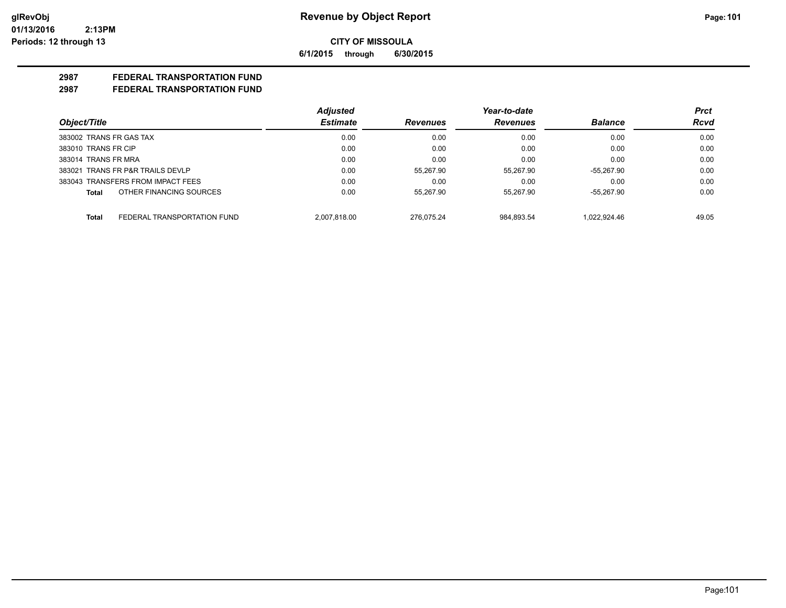**6/1/2015 through 6/30/2015**

## **2987 FEDERAL TRANSPORTATION FUND**

|                                      | <b>Adjusted</b> |                 | Year-to-date    |                | Prct  |
|--------------------------------------|-----------------|-----------------|-----------------|----------------|-------|
| Object/Title                         | <b>Estimate</b> | <b>Revenues</b> | <b>Revenues</b> | <b>Balance</b> | Rcvd  |
| 383002 TRANS FR GAS TAX              | 0.00            | 0.00            | 0.00            | 0.00           | 0.00  |
| 383010 TRANS FR CIP                  | 0.00            | 0.00            | 0.00            | 0.00           | 0.00  |
| 383014 TRANS FR MRA                  | 0.00            | 0.00            | 0.00            | 0.00           | 0.00  |
| 383021 TRANS FR P&R TRAILS DEVLP     | 0.00            | 55.267.90       | 55.267.90       | $-55.267.90$   | 0.00  |
| 383043 TRANSFERS FROM IMPACT FEES    | 0.00            | 0.00            | 0.00            | 0.00           | 0.00  |
| OTHER FINANCING SOURCES<br>Total     | 0.00            | 55.267.90       | 55.267.90       | $-55.267.90$   | 0.00  |
| FEDERAL TRANSPORTATION FUND<br>Total | 2.007.818.00    | 276.075.24      | 984.893.54      | 1.022.924.46   | 49.05 |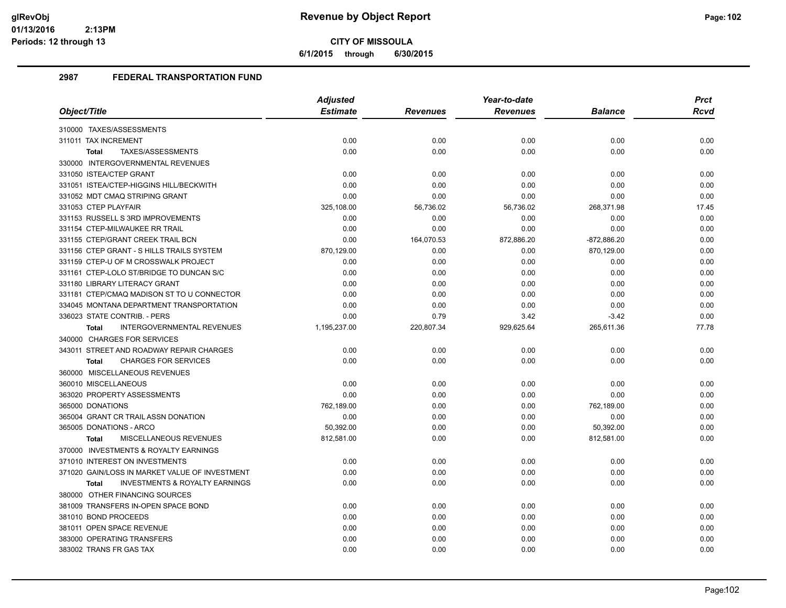**6/1/2015 through 6/30/2015**

|                                                           | <b>Adjusted</b> |                 | Year-to-date    |               | <b>Prct</b> |
|-----------------------------------------------------------|-----------------|-----------------|-----------------|---------------|-------------|
| Object/Title                                              | <b>Estimate</b> | <b>Revenues</b> | <b>Revenues</b> | Balance       | Rcvd        |
| 310000 TAXES/ASSESSMENTS                                  |                 |                 |                 |               |             |
| 311011 TAX INCREMENT                                      | 0.00            | 0.00            | 0.00            | 0.00          | 0.00        |
| TAXES/ASSESSMENTS<br><b>Total</b>                         | 0.00            | 0.00            | 0.00            | 0.00          | 0.00        |
| 330000 INTERGOVERNMENTAL REVENUES                         |                 |                 |                 |               |             |
| 331050 ISTEA/CTEP GRANT                                   | 0.00            | 0.00            | 0.00            | 0.00          | 0.00        |
| 331051 ISTEA/CTEP-HIGGINS HILL/BECKWITH                   | 0.00            | 0.00            | 0.00            | 0.00          | 0.00        |
| 331052 MDT CMAQ STRIPING GRANT                            | 0.00            | 0.00            | 0.00            | 0.00          | 0.00        |
| 331053 CTEP PLAYFAIR                                      | 325,108.00      | 56,736.02       | 56,736.02       | 268,371.98    | 17.45       |
| 331153 RUSSELL S 3RD IMPROVEMENTS                         | 0.00            | 0.00            | 0.00            | 0.00          | 0.00        |
| 331154 CTEP-MILWAUKEE RR TRAIL                            | 0.00            | 0.00            | 0.00            | 0.00          | 0.00        |
| 331155 CTEP/GRANT CREEK TRAIL BCN                         | 0.00            | 164,070.53      | 872,886.20      | $-872,886.20$ | 0.00        |
| 331156 CTEP GRANT - S HILLS TRAILS SYSTEM                 | 870,129.00      | 0.00            | 0.00            | 870,129.00    | 0.00        |
| 331159 CTEP-U OF M CROSSWALK PROJECT                      | 0.00            | 0.00            | 0.00            | 0.00          | 0.00        |
| 331161 CTEP-LOLO ST/BRIDGE TO DUNCAN S/C                  | 0.00            | 0.00            | 0.00            | 0.00          | 0.00        |
| 331180 LIBRARY LITERACY GRANT                             | 0.00            | 0.00            | 0.00            | 0.00          | 0.00        |
| 331181 CTEP/CMAQ MADISON ST TO U CONNECTOR                | 0.00            | 0.00            | 0.00            | 0.00          | 0.00        |
| 334045 MONTANA DEPARTMENT TRANSPORTATION                  | 0.00            | 0.00            | 0.00            | 0.00          | 0.00        |
| 336023 STATE CONTRIB. - PERS                              | 0.00            | 0.79            | 3.42            | $-3.42$       | 0.00        |
| <b>INTERGOVERNMENTAL REVENUES</b><br><b>Total</b>         | 1,195,237.00    | 220,807.34      | 929,625.64      | 265,611.36    | 77.78       |
| 340000 CHARGES FOR SERVICES                               |                 |                 |                 |               |             |
| 343011 STREET AND ROADWAY REPAIR CHARGES                  | 0.00            | 0.00            | 0.00            | 0.00          | 0.00        |
| <b>CHARGES FOR SERVICES</b><br><b>Total</b>               | 0.00            | 0.00            | 0.00            | 0.00          | 0.00        |
| 360000 MISCELLANEOUS REVENUES                             |                 |                 |                 |               |             |
| 360010 MISCELLANEOUS                                      | 0.00            | 0.00            | 0.00            | 0.00          | 0.00        |
| 363020 PROPERTY ASSESSMENTS                               | 0.00            | 0.00            | 0.00            | 0.00          | 0.00        |
| 365000 DONATIONS                                          | 762,189.00      | 0.00            | 0.00            | 762,189.00    | 0.00        |
| 365004 GRANT CR TRAIL ASSN DONATION                       | 0.00            | 0.00            | 0.00            | 0.00          | 0.00        |
| 365005 DONATIONS - ARCO                                   | 50,392.00       | 0.00            | 0.00            | 50,392.00     | 0.00        |
| MISCELLANEOUS REVENUES<br><b>Total</b>                    | 812,581.00      | 0.00            | 0.00            | 812,581.00    | 0.00        |
| 370000 INVESTMENTS & ROYALTY EARNINGS                     |                 |                 |                 |               |             |
| 371010 INTEREST ON INVESTMENTS                            | 0.00            | 0.00            | 0.00            | 0.00          | 0.00        |
| 371020 GAIN/LOSS IN MARKET VALUE OF INVESTMENT            | 0.00            | 0.00            | 0.00            | 0.00          | 0.00        |
| <b>INVESTMENTS &amp; ROYALTY EARNINGS</b><br><b>Total</b> | 0.00            | 0.00            | 0.00            | 0.00          | 0.00        |
| 380000 OTHER FINANCING SOURCES                            |                 |                 |                 |               |             |
| 381009 TRANSFERS IN-OPEN SPACE BOND                       | 0.00            | 0.00            | 0.00            | 0.00          | 0.00        |
| 381010 BOND PROCEEDS                                      | 0.00            | 0.00            | 0.00            | 0.00          | 0.00        |
| 381011 OPEN SPACE REVENUE                                 | 0.00            | 0.00            | 0.00            | 0.00          | 0.00        |
| 383000 OPERATING TRANSFERS                                | 0.00            | 0.00            | 0.00            | 0.00          | 0.00        |
| 383002 TRANS FR GAS TAX                                   | 0.00            | 0.00            | 0.00            | 0.00          | 0.00        |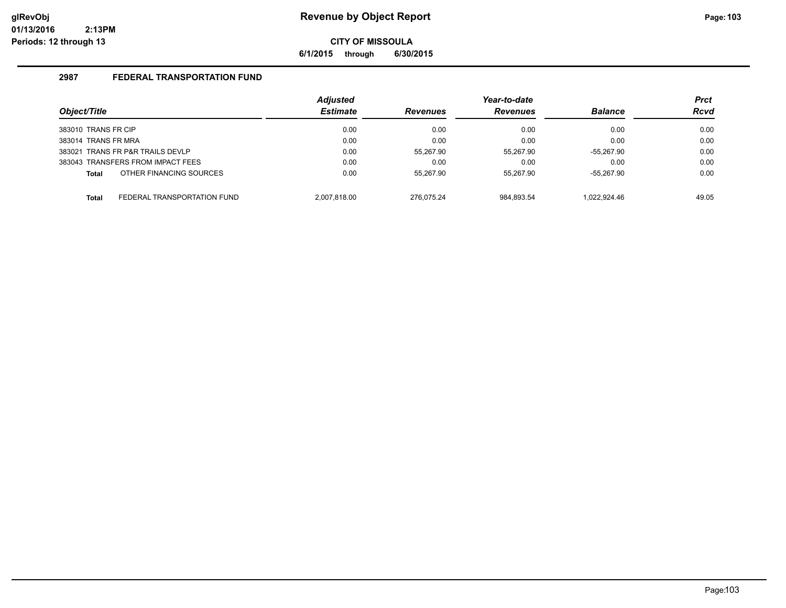**6/1/2015 through 6/30/2015**

| Object/Title        |                                   | <b>Adjusted</b><br><b>Estimate</b> | <b>Revenues</b> | Year-to-date<br><b>Revenues</b> | <b>Balance</b> | <b>Prct</b><br><b>Rcvd</b> |
|---------------------|-----------------------------------|------------------------------------|-----------------|---------------------------------|----------------|----------------------------|
| 383010 TRANS FR CIP |                                   | 0.00                               | 0.00            | 0.00                            | 0.00           | 0.00                       |
| 383014 TRANS FR MRA |                                   | 0.00                               | 0.00            | 0.00                            | 0.00           | 0.00                       |
|                     | 383021 TRANS FR P&R TRAILS DEVLP  | 0.00                               | 55.267.90       | 55.267.90                       | $-55.267.90$   | 0.00                       |
|                     | 383043 TRANSFERS FROM IMPACT FEES | 0.00                               | 0.00            | 0.00                            | 0.00           | 0.00                       |
| <b>Total</b>        | OTHER FINANCING SOURCES           | 0.00                               | 55.267.90       | 55.267.90                       | -55.267.90     | 0.00                       |
| Total               | FEDERAL TRANSPORTATION FUND       | 2.007.818.00                       | 276.075.24      | 984.893.54                      | 1.022.924.46   | 49.05                      |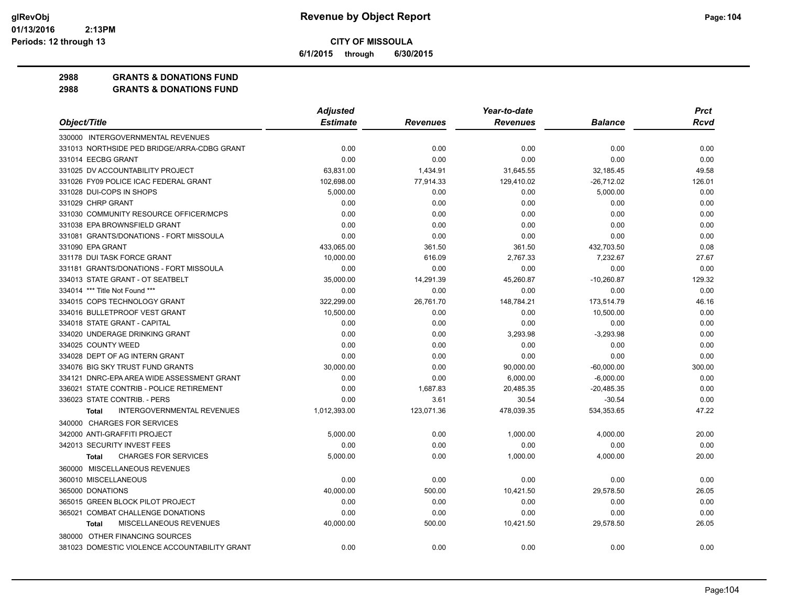**6/1/2015 through 6/30/2015**

### **2988 GRANTS & DONATIONS FUND**

|                                                   | <b>Adjusted</b> |                 | Year-to-date    |                | <b>Prct</b> |
|---------------------------------------------------|-----------------|-----------------|-----------------|----------------|-------------|
| Object/Title                                      | <b>Estimate</b> | <b>Revenues</b> | <b>Revenues</b> | <b>Balance</b> | <b>Rcvd</b> |
| 330000 INTERGOVERNMENTAL REVENUES                 |                 |                 |                 |                |             |
| 331013 NORTHSIDE PED BRIDGE/ARRA-CDBG GRANT       | 0.00            | 0.00            | 0.00            | 0.00           | 0.00        |
| 331014 EECBG GRANT                                | 0.00            | 0.00            | 0.00            | 0.00           | 0.00        |
| 331025 DV ACCOUNTABILITY PROJECT                  | 63.831.00       | 1,434.91        | 31,645.55       | 32,185.45      | 49.58       |
| 331026 FY09 POLICE ICAC FEDERAL GRANT             | 102,698.00      | 77,914.33       | 129,410.02      | $-26,712.02$   | 126.01      |
| 331028 DUI-COPS IN SHOPS                          | 5,000.00        | 0.00            | 0.00            | 5,000.00       | 0.00        |
| 331029 CHRP GRANT                                 | 0.00            | 0.00            | 0.00            | 0.00           | 0.00        |
| 331030 COMMUNITY RESOURCE OFFICER/MCPS            | 0.00            | 0.00            | 0.00            | 0.00           | 0.00        |
| 331038 EPA BROWNSFIELD GRANT                      | 0.00            | 0.00            | 0.00            | 0.00           | 0.00        |
| 331081 GRANTS/DONATIONS - FORT MISSOULA           | 0.00            | 0.00            | 0.00            | 0.00           | 0.00        |
| 331090 EPA GRANT                                  | 433,065.00      | 361.50          | 361.50          | 432,703.50     | 0.08        |
| 331178 DUI TASK FORCE GRANT                       | 10,000.00       | 616.09          | 2.767.33        | 7,232.67       | 27.67       |
| 331181 GRANTS/DONATIONS - FORT MISSOULA           | 0.00            | 0.00            | 0.00            | 0.00           | 0.00        |
| 334013 STATE GRANT - OT SEATBELT                  | 35,000.00       | 14,291.39       | 45,260.87       | $-10,260.87$   | 129.32      |
| 334014 *** Title Not Found ***                    | 0.00            | 0.00            | 0.00            | 0.00           | 0.00        |
| 334015 COPS TECHNOLOGY GRANT                      | 322,299.00      | 26,761.70       | 148,784.21      | 173,514.79     | 46.16       |
| 334016 BULLETPROOF VEST GRANT                     | 10,500.00       | 0.00            | 0.00            | 10,500.00      | 0.00        |
| 334018 STATE GRANT - CAPITAL                      | 0.00            | 0.00            | 0.00            | 0.00           | 0.00        |
| 334020 UNDERAGE DRINKING GRANT                    | 0.00            | 0.00            | 3,293.98        | $-3,293.98$    | 0.00        |
| 334025 COUNTY WEED                                | 0.00            | 0.00            | 0.00            | 0.00           | 0.00        |
| 334028 DEPT OF AG INTERN GRANT                    | 0.00            | 0.00            | 0.00            | 0.00           | 0.00        |
| 334076 BIG SKY TRUST FUND GRANTS                  | 30.000.00       | 0.00            | 90,000.00       | $-60,000.00$   | 300.00      |
| 334121 DNRC-EPA AREA WIDE ASSESSMENT GRANT        | 0.00            | 0.00            | 6,000.00        | $-6,000.00$    | 0.00        |
| 336021 STATE CONTRIB - POLICE RETIREMENT          | 0.00            | 1,687.83        | 20,485.35       | $-20,485.35$   | 0.00        |
| 336023 STATE CONTRIB. - PERS                      | 0.00            | 3.61            | 30.54           | $-30.54$       | 0.00        |
| <b>INTERGOVERNMENTAL REVENUES</b><br><b>Total</b> | 1,012,393.00    | 123,071.36      | 478,039.35      | 534,353.65     | 47.22       |
| 340000 CHARGES FOR SERVICES                       |                 |                 |                 |                |             |
| 342000 ANTI-GRAFFITI PROJECT                      | 5,000.00        | 0.00            | 1,000.00        | 4,000.00       | 20.00       |
| 342013 SECURITY INVEST FEES                       | 0.00            | 0.00            | 0.00            | 0.00           | 0.00        |
| <b>CHARGES FOR SERVICES</b><br><b>Total</b>       | 5,000.00        | 0.00            | 1,000.00        | 4,000.00       | 20.00       |
| 360000 MISCELLANEOUS REVENUES                     |                 |                 |                 |                |             |
| 360010 MISCELLANEOUS                              | 0.00            | 0.00            | 0.00            | 0.00           | 0.00        |
| 365000 DONATIONS                                  | 40,000.00       | 500.00          | 10,421.50       | 29,578.50      | 26.05       |
| 365015 GREEN BLOCK PILOT PROJECT                  | 0.00            | 0.00            | 0.00            | 0.00           | 0.00        |
| 365021 COMBAT CHALLENGE DONATIONS                 | 0.00            | 0.00            | 0.00            | 0.00           | 0.00        |
| MISCELLANEOUS REVENUES<br><b>Total</b>            | 40,000.00       | 500.00          | 10,421.50       | 29,578.50      | 26.05       |
| 380000 OTHER FINANCING SOURCES                    |                 |                 |                 |                |             |
| 381023 DOMESTIC VIOLENCE ACCOUNTABILITY GRANT     | 0.00            | 0.00            | 0.00            | 0.00           | 0.00        |
|                                                   |                 |                 |                 |                |             |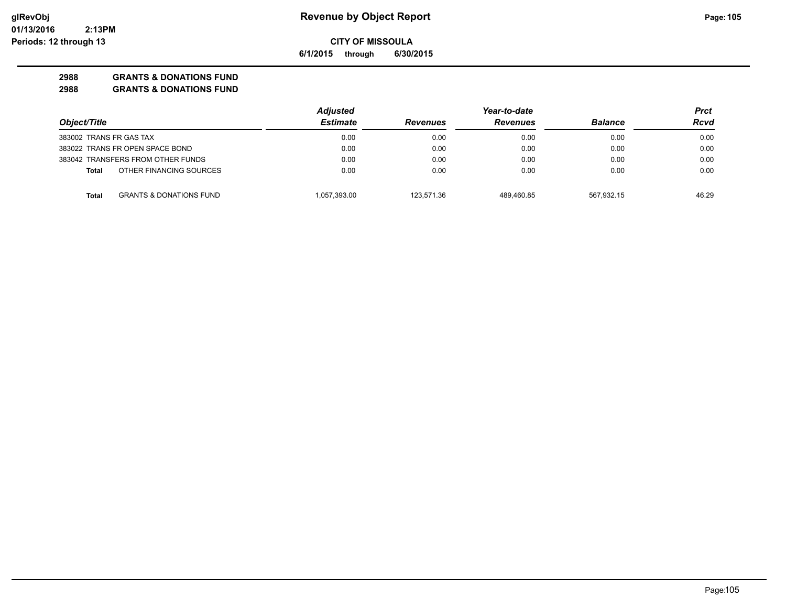**6/1/2015 through 6/30/2015**

### **2988 GRANTS & DONATIONS FUND**

|                                                    | <b>Adjusted</b> | Year-to-date    |                 |                | Prct  |
|----------------------------------------------------|-----------------|-----------------|-----------------|----------------|-------|
| Object/Title                                       | <b>Estimate</b> | <b>Revenues</b> | <b>Revenues</b> | <b>Balance</b> | Rcvd  |
| 383002 TRANS FR GAS TAX                            | 0.00            | 0.00            | 0.00            | 0.00           | 0.00  |
| 383022 TRANS FR OPEN SPACE BOND                    | 0.00            | 0.00            | 0.00            | 0.00           | 0.00  |
| 383042 TRANSFERS FROM OTHER FUNDS                  | 0.00            | 0.00            | 0.00            | 0.00           | 0.00  |
| OTHER FINANCING SOURCES<br><b>Total</b>            | 0.00            | 0.00            | 0.00            | 0.00           | 0.00  |
| <b>Total</b><br><b>GRANTS &amp; DONATIONS FUND</b> | 1,057,393.00    | 123.571.36      | 489.460.85      | 567,932.15     | 46.29 |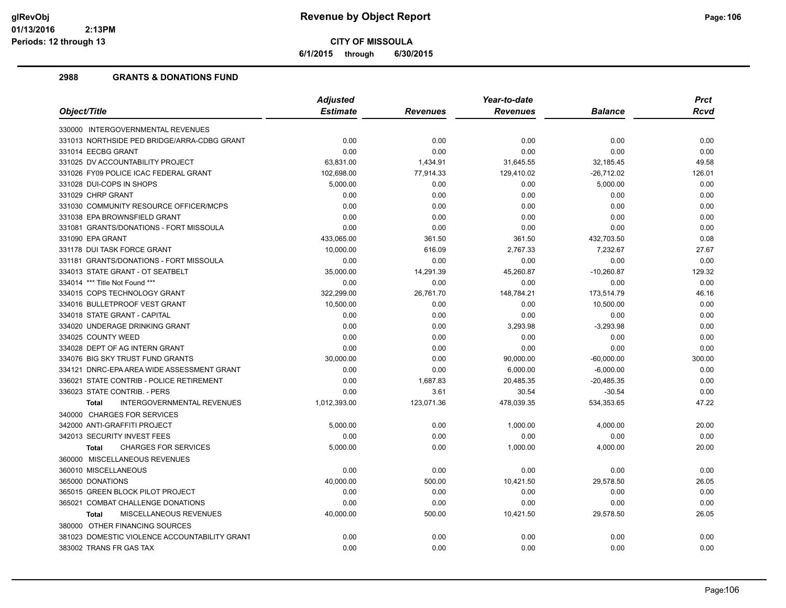**6/1/2015 through 6/30/2015**

|                                                                                 | <b>Adjusted</b> |                 | Year-to-date    | <b>Prct</b>    |        |
|---------------------------------------------------------------------------------|-----------------|-----------------|-----------------|----------------|--------|
| Object/Title                                                                    | <b>Estimate</b> | <b>Revenues</b> | <b>Revenues</b> | <b>Balance</b> | Rcvd   |
| 330000 INTERGOVERNMENTAL REVENUES                                               |                 |                 |                 |                |        |
| 331013 NORTHSIDE PED BRIDGE/ARRA-CDBG GRANT                                     | 0.00            | 0.00            | 0.00            | 0.00           | 0.00   |
| 331014 EECBG GRANT                                                              | 0.00            | 0.00            | 0.00            | 0.00           | 0.00   |
| 331025 DV ACCOUNTABILITY PROJECT                                                | 63,831.00       | 1,434.91        | 31,645.55       | 32,185.45      | 49.58  |
| 331026 FY09 POLICE ICAC FEDERAL GRANT                                           | 102,698.00      | 77,914.33       | 129,410.02      | $-26,712.02$   | 126.01 |
| 331028 DUI-COPS IN SHOPS                                                        | 5,000.00        | 0.00            | 0.00            | 5,000.00       | 0.00   |
| 331029 CHRP GRANT                                                               | 0.00            | 0.00            | 0.00            | 0.00           | 0.00   |
| 331030 COMMUNITY RESOURCE OFFICER/MCPS                                          | 0.00            | 0.00            | 0.00            | 0.00           | 0.00   |
| 331038 EPA BROWNSFIELD GRANT                                                    | 0.00            | 0.00            | 0.00            | 0.00           | 0.00   |
| 331081 GRANTS/DONATIONS - FORT MISSOULA                                         | 0.00            | 0.00            | 0.00            | 0.00           | 0.00   |
| 331090 EPA GRANT                                                                | 433,065.00      | 361.50          | 361.50          | 432,703.50     | 0.08   |
| 331178 DUI TASK FORCE GRANT                                                     | 10,000.00       | 616.09          | 2,767.33        | 7,232.67       | 27.67  |
| 331181 GRANTS/DONATIONS - FORT MISSOULA                                         | 0.00            | 0.00            | 0.00            | 0.00           | 0.00   |
| 334013 STATE GRANT - OT SEATBELT                                                | 35,000.00       | 14,291.39       | 45,260.87       | $-10,260.87$   | 129.32 |
| 334014 *** Title Not Found ***                                                  | 0.00            | 0.00            | 0.00            | 0.00           | 0.00   |
| 334015 COPS TECHNOLOGY GRANT                                                    | 322.299.00      | 26,761.70       | 148.784.21      | 173,514.79     | 46.16  |
| 334016 BULLETPROOF VEST GRANT                                                   | 10,500.00       | 0.00            | 0.00            | 10,500.00      | 0.00   |
| 334018 STATE GRANT - CAPITAL                                                    | 0.00            | 0.00            | 0.00            | 0.00           | 0.00   |
| 334020 UNDERAGE DRINKING GRANT                                                  | 0.00            | 0.00            | 3,293.98        | $-3,293.98$    | 0.00   |
| 334025 COUNTY WEED                                                              | 0.00            | 0.00            | 0.00            | 0.00           | 0.00   |
| 334028 DEPT OF AG INTERN GRANT                                                  | 0.00            | 0.00            | 0.00            | 0.00           | 0.00   |
| 334076 BIG SKY TRUST FUND GRANTS                                                | 30,000.00       | 0.00            | 90,000.00       | $-60,000.00$   | 300.00 |
| 334121 DNRC-EPA AREA WIDE ASSESSMENT GRANT                                      | 0.00            | 0.00            | 6.000.00        | $-6.000.00$    | 0.00   |
| 336021 STATE CONTRIB - POLICE RETIREMENT                                        | 0.00            | 1,687.83        | 20,485.35       | $-20,485.35$   | 0.00   |
| 336023 STATE CONTRIB. - PERS                                                    | 0.00            | 3.61            | 30.54           | $-30.54$       | 0.00   |
| <b>INTERGOVERNMENTAL REVENUES</b><br><b>Total</b>                               | 1,012,393.00    | 123,071.36      | 478,039.35      | 534,353.65     | 47.22  |
| 340000 CHARGES FOR SERVICES                                                     |                 |                 |                 |                |        |
| 342000 ANTI-GRAFFITI PROJECT                                                    | 5,000.00        | 0.00            | 1,000.00        | 4,000.00       | 20.00  |
| 342013 SECURITY INVEST FEES                                                     | 0.00            | 0.00            | 0.00            | 0.00           | 0.00   |
| <b>CHARGES FOR SERVICES</b><br>Total                                            | 5,000.00        | 0.00            | 1,000.00        | 4,000.00       | 20.00  |
| 360000 MISCELLANEOUS REVENUES                                                   |                 |                 |                 |                |        |
| 360010 MISCELLANEOUS                                                            | 0.00            | 0.00            | 0.00            | 0.00           | 0.00   |
| 365000 DONATIONS                                                                | 40,000.00       | 500.00          | 10,421.50       | 29,578.50      | 26.05  |
| 365015 GREEN BLOCK PILOT PROJECT                                                | 0.00            | 0.00            | 0.00            | 0.00           | 0.00   |
| 365021 COMBAT CHALLENGE DONATIONS                                               | 0.00            | 0.00            | 0.00            | 0.00           | 0.00   |
| MISCELLANEOUS REVENUES<br><b>Total</b>                                          | 40,000.00       | 500.00          | 10,421.50       | 29,578.50      | 26.05  |
|                                                                                 |                 |                 |                 |                |        |
| 380000 OTHER FINANCING SOURCES<br>381023 DOMESTIC VIOLENCE ACCOUNTABILITY GRANT | 0.00            | 0.00            | 0.00            | 0.00           | 0.00   |
|                                                                                 |                 |                 |                 |                |        |
| 383002 TRANS FR GAS TAX                                                         | 0.00            | 0.00            | 0.00            | 0.00           | 0.00   |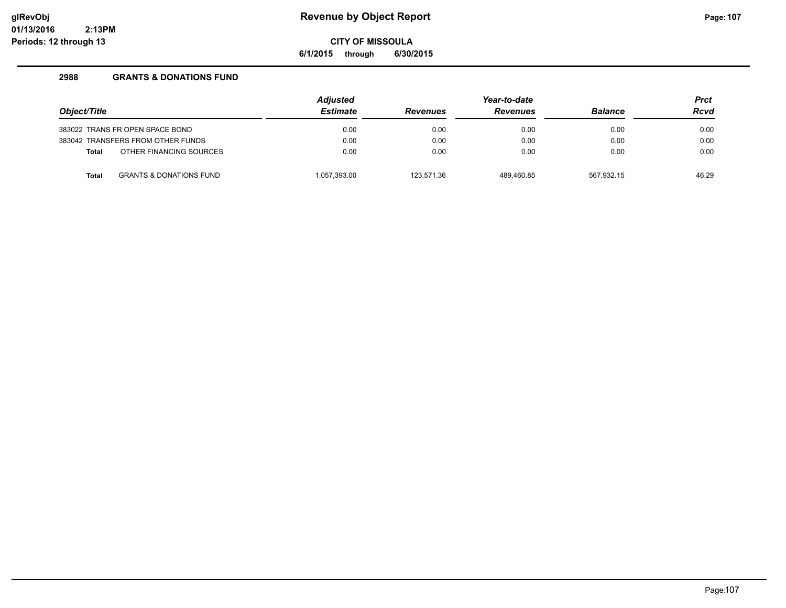### **glRevObj Revenue by Object Report Page:107**

**CITY OF MISSOULA**

**6/1/2015 through 6/30/2015**

|                                             | Adjusted        |                 |                 | <b>Prct</b>    |             |
|---------------------------------------------|-----------------|-----------------|-----------------|----------------|-------------|
| Object/Title                                | <b>Estimate</b> | <b>Revenues</b> | <b>Revenues</b> | <b>Balance</b> | <b>Rcvd</b> |
| 383022 TRANS FR OPEN SPACE BOND             | 0.00            | 0.00            | 0.00            | 0.00           | 0.00        |
| 383042 TRANSFERS FROM OTHER FUNDS           | 0.00            | 0.00            | 0.00            | 0.00           | 0.00        |
| OTHER FINANCING SOURCES<br><b>Total</b>     | 0.00            | 0.00            | 0.00            | 0.00           | 0.00        |
| Total<br><b>GRANTS &amp; DONATIONS FUND</b> | 1,057,393.00    | 123.571.36      | 489.460.85      | 567.932.15     | 46.29       |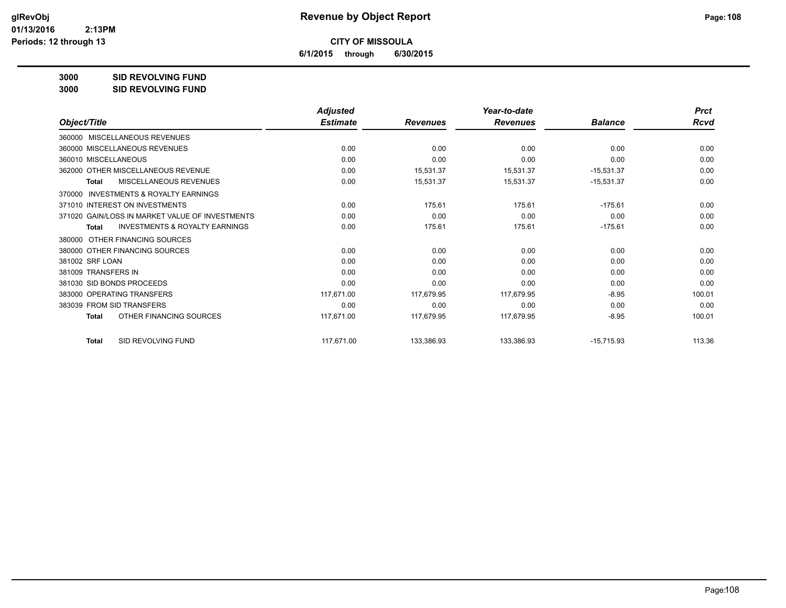**6/1/2015 through 6/30/2015**

**3000 SID REVOLVING FUND**

**3000 SID REVOLVING FUND**

|                                                           | <b>Adjusted</b> |                 | Year-to-date    |                | <b>Prct</b> |
|-----------------------------------------------------------|-----------------|-----------------|-----------------|----------------|-------------|
| Object/Title                                              | <b>Estimate</b> | <b>Revenues</b> | <b>Revenues</b> | <b>Balance</b> | Rcvd        |
| MISCELLANEOUS REVENUES<br>360000                          |                 |                 |                 |                |             |
| 360000 MISCELLANEOUS REVENUES                             | 0.00            | 0.00            | 0.00            | 0.00           | 0.00        |
| 360010 MISCELLANEOUS                                      | 0.00            | 0.00            | 0.00            | 0.00           | 0.00        |
| 362000 OTHER MISCELLANEOUS REVENUE                        | 0.00            | 15,531.37       | 15,531.37       | $-15,531.37$   | 0.00        |
| MISCELLANEOUS REVENUES<br><b>Total</b>                    | 0.00            | 15,531.37       | 15,531.37       | $-15,531.37$   | 0.00        |
| <b>INVESTMENTS &amp; ROYALTY EARNINGS</b><br>370000       |                 |                 |                 |                |             |
| 371010 INTEREST ON INVESTMENTS                            | 0.00            | 175.61          | 175.61          | $-175.61$      | 0.00        |
| 371020 GAIN/LOSS IN MARKET VALUE OF INVESTMENTS           | 0.00            | 0.00            | 0.00            | 0.00           | 0.00        |
| <b>INVESTMENTS &amp; ROYALTY EARNINGS</b><br><b>Total</b> | 0.00            | 175.61          | 175.61          | $-175.61$      | 0.00        |
| OTHER FINANCING SOURCES<br>380000                         |                 |                 |                 |                |             |
| 380000 OTHER FINANCING SOURCES                            | 0.00            | 0.00            | 0.00            | 0.00           | 0.00        |
| 381002 SRF LOAN                                           | 0.00            | 0.00            | 0.00            | 0.00           | 0.00        |
| 381009 TRANSFERS IN                                       | 0.00            | 0.00            | 0.00            | 0.00           | 0.00        |
| 381030 SID BONDS PROCEEDS                                 | 0.00            | 0.00            | 0.00            | 0.00           | 0.00        |
| 383000 OPERATING TRANSFERS                                | 117,671.00      | 117,679.95      | 117,679.95      | $-8.95$        | 100.01      |
| 383039 FROM SID TRANSFERS                                 | 0.00            | 0.00            | 0.00            | 0.00           | 0.00        |
| OTHER FINANCING SOURCES<br><b>Total</b>                   | 117,671.00      | 117,679.95      | 117,679.95      | $-8.95$        | 100.01      |
| SID REVOLVING FUND<br><b>Total</b>                        | 117,671.00      | 133,386.93      | 133,386.93      | $-15,715.93$   | 113.36      |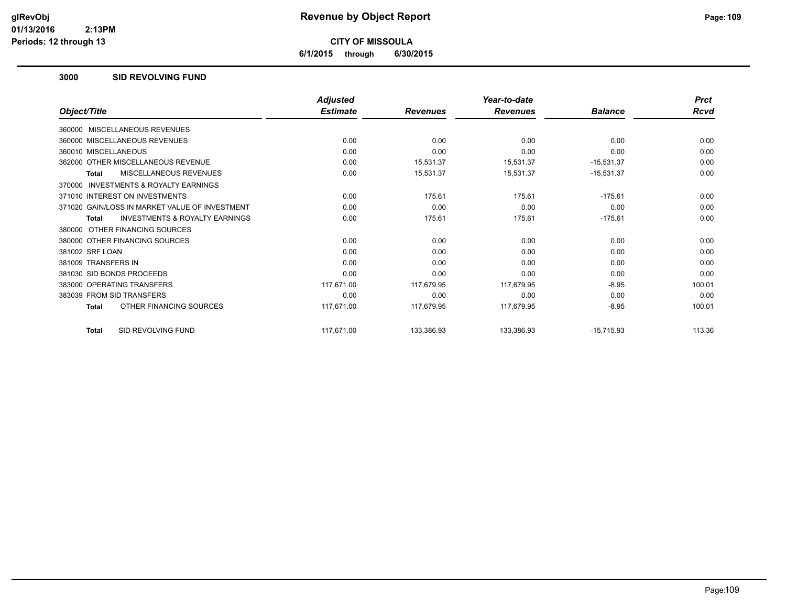**6/1/2015 through 6/30/2015**

### **3000 SID REVOLVING FUND**

|                                                    | <b>Adjusted</b> |                 | Year-to-date    | <b>Prct</b>    |        |
|----------------------------------------------------|-----------------|-----------------|-----------------|----------------|--------|
| Object/Title                                       | <b>Estimate</b> | <b>Revenues</b> | <b>Revenues</b> | <b>Balance</b> | Rcvd   |
| 360000 MISCELLANEOUS REVENUES                      |                 |                 |                 |                |        |
| 360000 MISCELLANEOUS REVENUES                      | 0.00            | 0.00            | 0.00            | 0.00           | 0.00   |
| 360010 MISCELLANEOUS                               | 0.00            | 0.00            | 0.00            | 0.00           | 0.00   |
| 362000 OTHER MISCELLANEOUS REVENUE                 | 0.00            | 15,531.37       | 15,531.37       | $-15,531.37$   | 0.00   |
| MISCELLANEOUS REVENUES<br><b>Total</b>             | 0.00            | 15,531.37       | 15,531.37       | $-15,531.37$   | 0.00   |
| 370000 INVESTMENTS & ROYALTY EARNINGS              |                 |                 |                 |                |        |
| 371010 INTEREST ON INVESTMENTS                     | 0.00            | 175.61          | 175.61          | $-175.61$      | 0.00   |
| 371020 GAIN/LOSS IN MARKET VALUE OF INVESTMENT     | 0.00            | 0.00            | 0.00            | 0.00           | 0.00   |
| <b>INVESTMENTS &amp; ROYALTY EARNINGS</b><br>Total | 0.00            | 175.61          | 175.61          | $-175.61$      | 0.00   |
| 380000 OTHER FINANCING SOURCES                     |                 |                 |                 |                |        |
| 380000 OTHER FINANCING SOURCES                     | 0.00            | 0.00            | 0.00            | 0.00           | 0.00   |
| 381002 SRF LOAN                                    | 0.00            | 0.00            | 0.00            | 0.00           | 0.00   |
| 381009 TRANSFERS IN                                | 0.00            | 0.00            | 0.00            | 0.00           | 0.00   |
| 381030 SID BONDS PROCEEDS                          | 0.00            | 0.00            | 0.00            | 0.00           | 0.00   |
| 383000 OPERATING TRANSFERS                         | 117,671.00      | 117,679.95      | 117,679.95      | $-8.95$        | 100.01 |
| 383039 FROM SID TRANSFERS                          | 0.00            | 0.00            | 0.00            | 0.00           | 0.00   |
| OTHER FINANCING SOURCES<br>Total                   | 117,671.00      | 117,679.95      | 117,679.95      | $-8.95$        | 100.01 |
| SID REVOLVING FUND<br><b>Total</b>                 | 117,671.00      | 133,386.93      | 133,386.93      | $-15,715.93$   | 113.36 |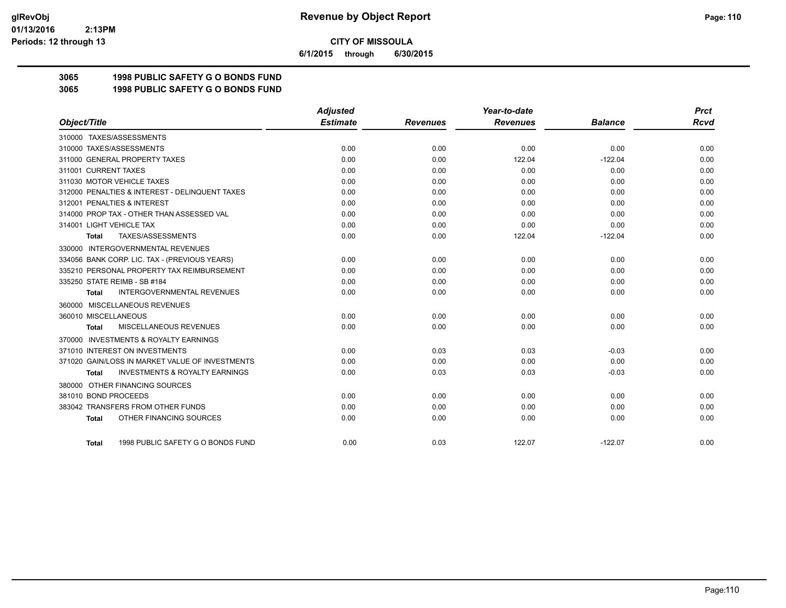**6/1/2015 through 6/30/2015**

# **3065 1998 PUBLIC SAFETY G O BONDS FUND**

**3065 1998 PUBLIC SAFETY G O BONDS FUND**

|                                                           | <b>Adjusted</b> |                 | Year-to-date    |                | <b>Prct</b> |
|-----------------------------------------------------------|-----------------|-----------------|-----------------|----------------|-------------|
| Object/Title                                              | <b>Estimate</b> | <b>Revenues</b> | <b>Revenues</b> | <b>Balance</b> | Rcvd        |
| 310000 TAXES/ASSESSMENTS                                  |                 |                 |                 |                |             |
| 310000 TAXES/ASSESSMENTS                                  | 0.00            | 0.00            | 0.00            | 0.00           | 0.00        |
| 311000 GENERAL PROPERTY TAXES                             | 0.00            | 0.00            | 122.04          | $-122.04$      | 0.00        |
| 311001 CURRENT TAXES                                      | 0.00            | 0.00            | 0.00            | 0.00           | 0.00        |
| 311030 MOTOR VEHICLE TAXES                                | 0.00            | 0.00            | 0.00            | 0.00           | 0.00        |
| 312000 PENALTIES & INTEREST - DELINQUENT TAXES            | 0.00            | 0.00            | 0.00            | 0.00           | 0.00        |
| 312001 PENALTIES & INTEREST                               | 0.00            | 0.00            | 0.00            | 0.00           | 0.00        |
| 314000 PROP TAX - OTHER THAN ASSESSED VAL                 | 0.00            | 0.00            | 0.00            | 0.00           | 0.00        |
| 314001 LIGHT VEHICLE TAX                                  | 0.00            | 0.00            | 0.00            | 0.00           | 0.00        |
| TAXES/ASSESSMENTS<br>Total                                | 0.00            | 0.00            | 122.04          | $-122.04$      | 0.00        |
| 330000 INTERGOVERNMENTAL REVENUES                         |                 |                 |                 |                |             |
| 334056 BANK CORP. LIC. TAX - (PREVIOUS YEARS)             | 0.00            | 0.00            | 0.00            | 0.00           | 0.00        |
| 335210 PERSONAL PROPERTY TAX REIMBURSEMENT                | 0.00            | 0.00            | 0.00            | 0.00           | 0.00        |
| 335250 STATE REIMB - SB #184                              | 0.00            | 0.00            | 0.00            | 0.00           | 0.00        |
| <b>INTERGOVERNMENTAL REVENUES</b><br>Total                | 0.00            | 0.00            | 0.00            | 0.00           | 0.00        |
| 360000 MISCELLANEOUS REVENUES                             |                 |                 |                 |                |             |
| 360010 MISCELLANEOUS                                      | 0.00            | 0.00            | 0.00            | 0.00           | 0.00        |
| MISCELLANEOUS REVENUES<br><b>Total</b>                    | 0.00            | 0.00            | 0.00            | 0.00           | 0.00        |
| <b>INVESTMENTS &amp; ROYALTY EARNINGS</b><br>370000       |                 |                 |                 |                |             |
| 371010 INTEREST ON INVESTMENTS                            | 0.00            | 0.03            | 0.03            | $-0.03$        | 0.00        |
| 371020 GAIN/LOSS IN MARKET VALUE OF INVESTMENTS           | 0.00            | 0.00            | 0.00            | 0.00           | 0.00        |
| <b>INVESTMENTS &amp; ROYALTY EARNINGS</b><br><b>Total</b> | 0.00            | 0.03            | 0.03            | $-0.03$        | 0.00        |
| 380000 OTHER FINANCING SOURCES                            |                 |                 |                 |                |             |
| 381010 BOND PROCEEDS                                      | 0.00            | 0.00            | 0.00            | 0.00           | 0.00        |
| 383042 TRANSFERS FROM OTHER FUNDS                         | 0.00            | 0.00            | 0.00            | 0.00           | 0.00        |
| OTHER FINANCING SOURCES<br><b>Total</b>                   | 0.00            | 0.00            | 0.00            | 0.00           | 0.00        |
|                                                           |                 |                 |                 |                |             |
| 1998 PUBLIC SAFETY G O BONDS FUND<br>Total                | 0.00            | 0.03            | 122.07          | $-122.07$      | 0.00        |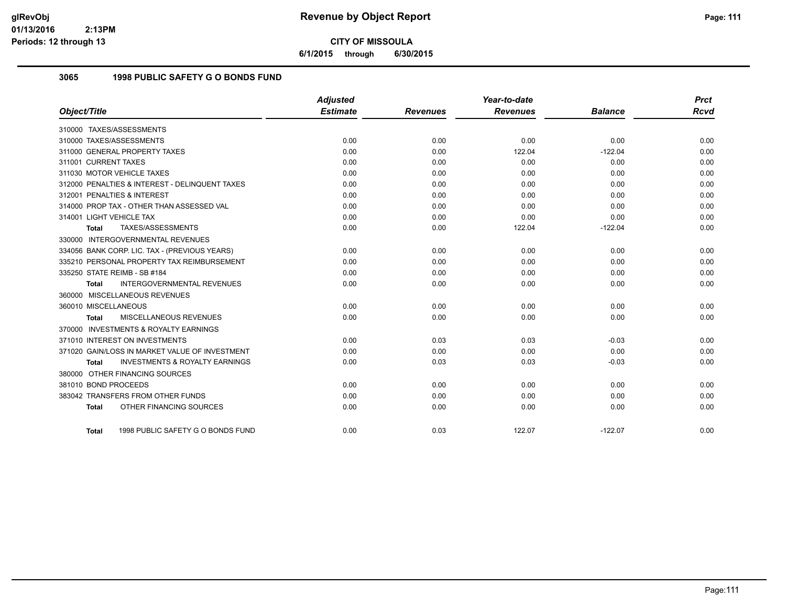**6/1/2015 through 6/30/2015**

# **3065 1998 PUBLIC SAFETY G O BONDS FUND**

|                                                           | <b>Adjusted</b> |                 | Year-to-date    |                | <b>Prct</b> |
|-----------------------------------------------------------|-----------------|-----------------|-----------------|----------------|-------------|
| Object/Title                                              | <b>Estimate</b> | <b>Revenues</b> | <b>Revenues</b> | <b>Balance</b> | <b>Rcvd</b> |
| 310000 TAXES/ASSESSMENTS                                  |                 |                 |                 |                |             |
| 310000 TAXES/ASSESSMENTS                                  | 0.00            | 0.00            | 0.00            | 0.00           | 0.00        |
| 311000 GENERAL PROPERTY TAXES                             | 0.00            | 0.00            | 122.04          | $-122.04$      | 0.00        |
| 311001 CURRENT TAXES                                      | 0.00            | 0.00            | 0.00            | 0.00           | 0.00        |
| 311030 MOTOR VEHICLE TAXES                                | 0.00            | 0.00            | 0.00            | 0.00           | 0.00        |
| 312000 PENALTIES & INTEREST - DELINQUENT TAXES            | 0.00            | 0.00            | 0.00            | 0.00           | 0.00        |
| 312001 PENALTIES & INTEREST                               | 0.00            | 0.00            | 0.00            | 0.00           | 0.00        |
| 314000 PROP TAX - OTHER THAN ASSESSED VAL                 | 0.00            | 0.00            | 0.00            | 0.00           | 0.00        |
| 314001 LIGHT VEHICLE TAX                                  | 0.00            | 0.00            | 0.00            | 0.00           | 0.00        |
| TAXES/ASSESSMENTS<br><b>Total</b>                         | 0.00            | 0.00            | 122.04          | $-122.04$      | 0.00        |
| 330000 INTERGOVERNMENTAL REVENUES                         |                 |                 |                 |                |             |
| 334056 BANK CORP. LIC. TAX - (PREVIOUS YEARS)             | 0.00            | 0.00            | 0.00            | 0.00           | 0.00        |
| 335210 PERSONAL PROPERTY TAX REIMBURSEMENT                | 0.00            | 0.00            | 0.00            | 0.00           | 0.00        |
| 335250 STATE REIMB - SB #184                              | 0.00            | 0.00            | 0.00            | 0.00           | 0.00        |
| INTERGOVERNMENTAL REVENUES<br>Total                       | 0.00            | 0.00            | 0.00            | 0.00           | 0.00        |
| 360000 MISCELLANEOUS REVENUES                             |                 |                 |                 |                |             |
| 360010 MISCELLANEOUS                                      | 0.00            | 0.00            | 0.00            | 0.00           | 0.00        |
| MISCELLANEOUS REVENUES<br>Total                           | 0.00            | 0.00            | 0.00            | 0.00           | 0.00        |
| 370000 INVESTMENTS & ROYALTY EARNINGS                     |                 |                 |                 |                |             |
| 371010 INTEREST ON INVESTMENTS                            | 0.00            | 0.03            | 0.03            | $-0.03$        | 0.00        |
| 371020 GAIN/LOSS IN MARKET VALUE OF INVESTMENT            | 0.00            | 0.00            | 0.00            | 0.00           | 0.00        |
| <b>INVESTMENTS &amp; ROYALTY EARNINGS</b><br><b>Total</b> | 0.00            | 0.03            | 0.03            | $-0.03$        | 0.00        |
| 380000 OTHER FINANCING SOURCES                            |                 |                 |                 |                |             |
| 381010 BOND PROCEEDS                                      | 0.00            | 0.00            | 0.00            | 0.00           | 0.00        |
| 383042 TRANSFERS FROM OTHER FUNDS                         | 0.00            | 0.00            | 0.00            | 0.00           | 0.00        |
| OTHER FINANCING SOURCES<br><b>Total</b>                   | 0.00            | 0.00            | 0.00            | 0.00           | 0.00        |
|                                                           |                 |                 |                 |                |             |
| 1998 PUBLIC SAFETY G O BONDS FUND<br><b>Total</b>         | 0.00            | 0.03            | 122.07          | $-122.07$      | 0.00        |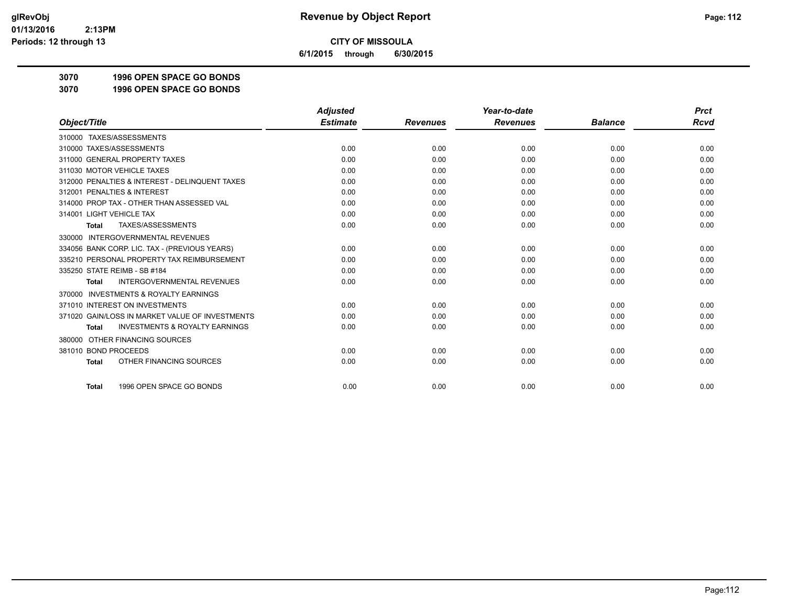**6/1/2015 through 6/30/2015**

**3070 1996 OPEN SPACE GO BONDS**

**3070 1996 OPEN SPACE GO BONDS**

|                                                           | <b>Adjusted</b> |                 | Year-to-date    |                | <b>Prct</b> |
|-----------------------------------------------------------|-----------------|-----------------|-----------------|----------------|-------------|
| Object/Title                                              | <b>Estimate</b> | <b>Revenues</b> | <b>Revenues</b> | <b>Balance</b> | <b>Rcvd</b> |
| 310000 TAXES/ASSESSMENTS                                  |                 |                 |                 |                |             |
| 310000 TAXES/ASSESSMENTS                                  | 0.00            | 0.00            | 0.00            | 0.00           | 0.00        |
| 311000 GENERAL PROPERTY TAXES                             | 0.00            | 0.00            | 0.00            | 0.00           | 0.00        |
| 311030 MOTOR VEHICLE TAXES                                | 0.00            | 0.00            | 0.00            | 0.00           | 0.00        |
| 312000 PENALTIES & INTEREST - DELINQUENT TAXES            | 0.00            | 0.00            | 0.00            | 0.00           | 0.00        |
| 312001 PENALTIES & INTEREST                               | 0.00            | 0.00            | 0.00            | 0.00           | 0.00        |
| 314000 PROP TAX - OTHER THAN ASSESSED VAL                 | 0.00            | 0.00            | 0.00            | 0.00           | 0.00        |
| 314001 LIGHT VEHICLE TAX                                  | 0.00            | 0.00            | 0.00            | 0.00           | 0.00        |
| TAXES/ASSESSMENTS<br><b>Total</b>                         | 0.00            | 0.00            | 0.00            | 0.00           | 0.00        |
| <b>INTERGOVERNMENTAL REVENUES</b><br>330000               |                 |                 |                 |                |             |
| 334056 BANK CORP. LIC. TAX - (PREVIOUS YEARS)             | 0.00            | 0.00            | 0.00            | 0.00           | 0.00        |
| 335210 PERSONAL PROPERTY TAX REIMBURSEMENT                | 0.00            | 0.00            | 0.00            | 0.00           | 0.00        |
| 335250 STATE REIMB - SB #184                              | 0.00            | 0.00            | 0.00            | 0.00           | 0.00        |
| <b>INTERGOVERNMENTAL REVENUES</b><br><b>Total</b>         | 0.00            | 0.00            | 0.00            | 0.00           | 0.00        |
| 370000 INVESTMENTS & ROYALTY EARNINGS                     |                 |                 |                 |                |             |
| 371010 INTEREST ON INVESTMENTS                            | 0.00            | 0.00            | 0.00            | 0.00           | 0.00        |
| 371020 GAIN/LOSS IN MARKET VALUE OF INVESTMENTS           | 0.00            | 0.00            | 0.00            | 0.00           | 0.00        |
| <b>INVESTMENTS &amp; ROYALTY EARNINGS</b><br><b>Total</b> | 0.00            | 0.00            | 0.00            | 0.00           | 0.00        |
| OTHER FINANCING SOURCES<br>380000                         |                 |                 |                 |                |             |
| 381010 BOND PROCEEDS                                      | 0.00            | 0.00            | 0.00            | 0.00           | 0.00        |
| OTHER FINANCING SOURCES<br><b>Total</b>                   | 0.00            | 0.00            | 0.00            | 0.00           | 0.00        |
|                                                           |                 |                 |                 |                |             |
| 1996 OPEN SPACE GO BONDS<br>Total                         | 0.00            | 0.00            | 0.00            | 0.00           | 0.00        |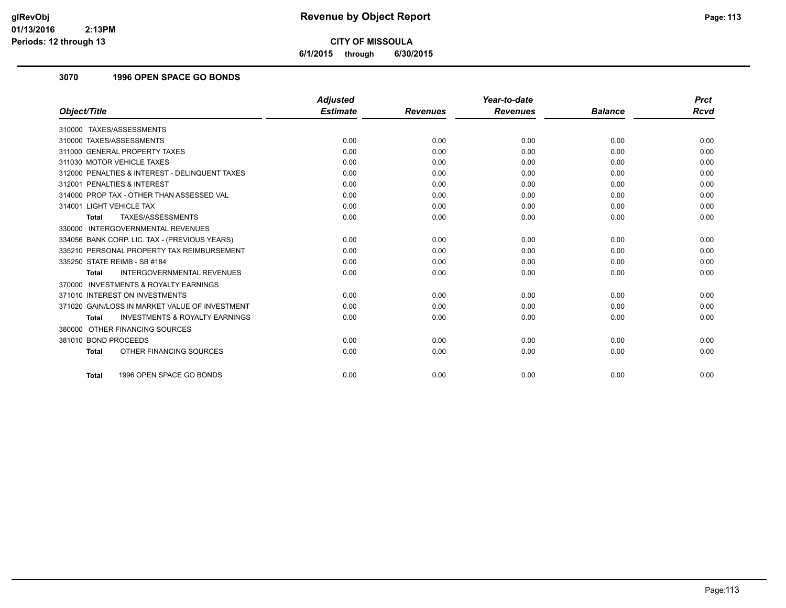**6/1/2015 through 6/30/2015**

# **3070 1996 OPEN SPACE GO BONDS**

|                                                           | <b>Adjusted</b> |                 | Year-to-date    |                | <b>Prct</b> |
|-----------------------------------------------------------|-----------------|-----------------|-----------------|----------------|-------------|
| Object/Title                                              | <b>Estimate</b> | <b>Revenues</b> | <b>Revenues</b> | <b>Balance</b> | Rcvd        |
| 310000 TAXES/ASSESSMENTS                                  |                 |                 |                 |                |             |
| 310000 TAXES/ASSESSMENTS                                  | 0.00            | 0.00            | 0.00            | 0.00           | 0.00        |
| 311000 GENERAL PROPERTY TAXES                             | 0.00            | 0.00            | 0.00            | 0.00           | 0.00        |
| 311030 MOTOR VEHICLE TAXES                                | 0.00            | 0.00            | 0.00            | 0.00           | 0.00        |
| 312000 PENALTIES & INTEREST - DELINQUENT TAXES            | 0.00            | 0.00            | 0.00            | 0.00           | 0.00        |
| 312001 PENALTIES & INTEREST                               | 0.00            | 0.00            | 0.00            | 0.00           | 0.00        |
| 314000 PROP TAX - OTHER THAN ASSESSED VAL                 | 0.00            | 0.00            | 0.00            | 0.00           | 0.00        |
| 314001 LIGHT VEHICLE TAX                                  | 0.00            | 0.00            | 0.00            | 0.00           | 0.00        |
| TAXES/ASSESSMENTS<br><b>Total</b>                         | 0.00            | 0.00            | 0.00            | 0.00           | 0.00        |
| 330000 INTERGOVERNMENTAL REVENUES                         |                 |                 |                 |                |             |
| 334056 BANK CORP. LIC. TAX - (PREVIOUS YEARS)             | 0.00            | 0.00            | 0.00            | 0.00           | 0.00        |
| 335210 PERSONAL PROPERTY TAX REIMBURSEMENT                | 0.00            | 0.00            | 0.00            | 0.00           | 0.00        |
| 335250 STATE REIMB - SB #184                              | 0.00            | 0.00            | 0.00            | 0.00           | 0.00        |
| <b>INTERGOVERNMENTAL REVENUES</b><br><b>Total</b>         | 0.00            | 0.00            | 0.00            | 0.00           | 0.00        |
| <b>INVESTMENTS &amp; ROYALTY EARNINGS</b><br>370000       |                 |                 |                 |                |             |
| 371010 INTEREST ON INVESTMENTS                            | 0.00            | 0.00            | 0.00            | 0.00           | 0.00        |
| 371020 GAIN/LOSS IN MARKET VALUE OF INVESTMENT            | 0.00            | 0.00            | 0.00            | 0.00           | 0.00        |
| <b>INVESTMENTS &amp; ROYALTY EARNINGS</b><br><b>Total</b> | 0.00            | 0.00            | 0.00            | 0.00           | 0.00        |
| 380000 OTHER FINANCING SOURCES                            |                 |                 |                 |                |             |
| 381010 BOND PROCEEDS                                      | 0.00            | 0.00            | 0.00            | 0.00           | 0.00        |
| OTHER FINANCING SOURCES<br><b>Total</b>                   | 0.00            | 0.00            | 0.00            | 0.00           | 0.00        |
| 1996 OPEN SPACE GO BONDS<br><b>Total</b>                  | 0.00            | 0.00            | 0.00            | 0.00           | 0.00        |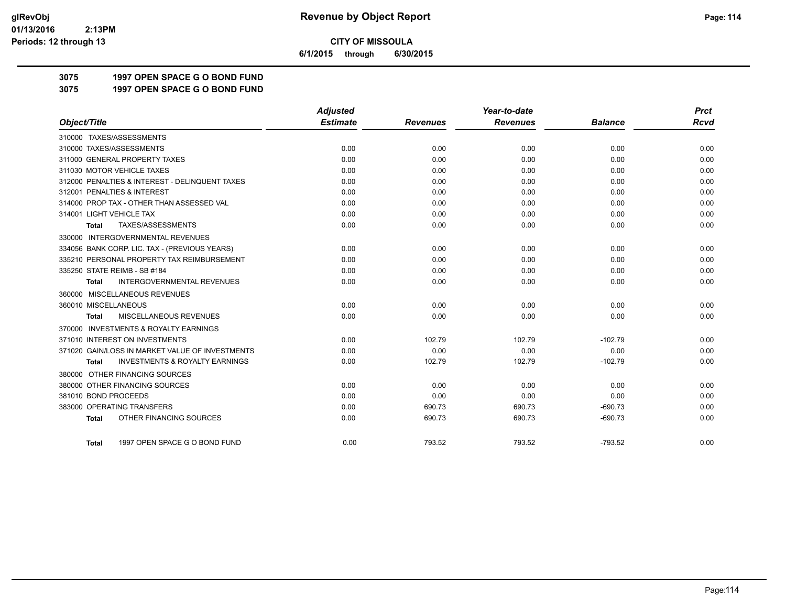**6/1/2015 through 6/30/2015**

**3075 1997 OPEN SPACE G O BOND FUND**

**3075 1997 OPEN SPACE G O BOND FUND**

|                                                    | <b>Adjusted</b> |                 | Year-to-date    |                | <b>Prct</b> |
|----------------------------------------------------|-----------------|-----------------|-----------------|----------------|-------------|
| Object/Title                                       | <b>Estimate</b> | <b>Revenues</b> | <b>Revenues</b> | <b>Balance</b> | <b>Rcvd</b> |
| 310000 TAXES/ASSESSMENTS                           |                 |                 |                 |                |             |
| 310000 TAXES/ASSESSMENTS                           | 0.00            | 0.00            | 0.00            | 0.00           | 0.00        |
| 311000 GENERAL PROPERTY TAXES                      | 0.00            | 0.00            | 0.00            | 0.00           | 0.00        |
| 311030 MOTOR VEHICLE TAXES                         | 0.00            | 0.00            | 0.00            | 0.00           | 0.00        |
| 312000 PENALTIES & INTEREST - DELINQUENT TAXES     | 0.00            | 0.00            | 0.00            | 0.00           | 0.00        |
| 312001 PENALTIES & INTEREST                        | 0.00            | 0.00            | 0.00            | 0.00           | 0.00        |
| 314000 PROP TAX - OTHER THAN ASSESSED VAL          | 0.00            | 0.00            | 0.00            | 0.00           | 0.00        |
| 314001 LIGHT VEHICLE TAX                           | 0.00            | 0.00            | 0.00            | 0.00           | 0.00        |
| TAXES/ASSESSMENTS<br>Total                         | 0.00            | 0.00            | 0.00            | 0.00           | 0.00        |
| 330000 INTERGOVERNMENTAL REVENUES                  |                 |                 |                 |                |             |
| 334056 BANK CORP. LIC. TAX - (PREVIOUS YEARS)      | 0.00            | 0.00            | 0.00            | 0.00           | 0.00        |
| 335210 PERSONAL PROPERTY TAX REIMBURSEMENT         | 0.00            | 0.00            | 0.00            | 0.00           | 0.00        |
| 335250 STATE REIMB - SB #184                       | 0.00            | 0.00            | 0.00            | 0.00           | 0.00        |
| <b>INTERGOVERNMENTAL REVENUES</b><br>Total         | 0.00            | 0.00            | 0.00            | 0.00           | 0.00        |
| 360000 MISCELLANEOUS REVENUES                      |                 |                 |                 |                |             |
| 360010 MISCELLANEOUS                               | 0.00            | 0.00            | 0.00            | 0.00           | 0.00        |
| <b>MISCELLANEOUS REVENUES</b><br><b>Total</b>      | 0.00            | 0.00            | 0.00            | 0.00           | 0.00        |
| 370000 INVESTMENTS & ROYALTY EARNINGS              |                 |                 |                 |                |             |
| 371010 INTEREST ON INVESTMENTS                     | 0.00            | 102.79          | 102.79          | $-102.79$      | 0.00        |
| 371020 GAIN/LOSS IN MARKET VALUE OF INVESTMENTS    | 0.00            | 0.00            | 0.00            | 0.00           | 0.00        |
| <b>INVESTMENTS &amp; ROYALTY EARNINGS</b><br>Total | 0.00            | 102.79          | 102.79          | $-102.79$      | 0.00        |
| 380000 OTHER FINANCING SOURCES                     |                 |                 |                 |                |             |
| 380000 OTHER FINANCING SOURCES                     | 0.00            | 0.00            | 0.00            | 0.00           | 0.00        |
| 381010 BOND PROCEEDS                               | 0.00            | 0.00            | 0.00            | 0.00           | 0.00        |
| 383000 OPERATING TRANSFERS                         | 0.00            | 690.73          | 690.73          | $-690.73$      | 0.00        |
| OTHER FINANCING SOURCES<br><b>Total</b>            | 0.00            | 690.73          | 690.73          | $-690.73$      | 0.00        |
| 1997 OPEN SPACE G O BOND FUND<br><b>Total</b>      | 0.00            | 793.52          | 793.52          | $-793.52$      | 0.00        |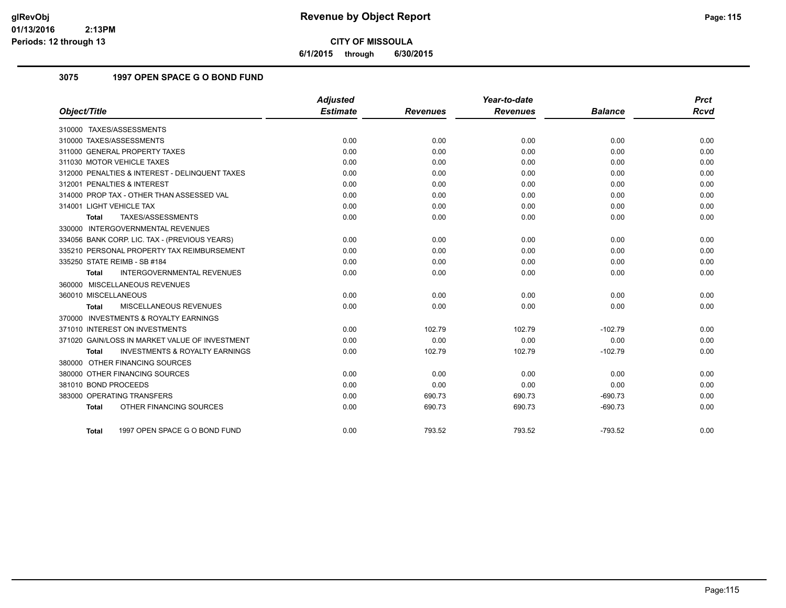**6/1/2015 through 6/30/2015**

## **3075 1997 OPEN SPACE G O BOND FUND**

|                                                           | <b>Adjusted</b> |                 | Year-to-date    |                | <b>Prct</b> |
|-----------------------------------------------------------|-----------------|-----------------|-----------------|----------------|-------------|
| Object/Title                                              | <b>Estimate</b> | <b>Revenues</b> | <b>Revenues</b> | <b>Balance</b> | <b>Rcvd</b> |
| 310000 TAXES/ASSESSMENTS                                  |                 |                 |                 |                |             |
| 310000 TAXES/ASSESSMENTS                                  | 0.00            | 0.00            | 0.00            | 0.00           | 0.00        |
| 311000 GENERAL PROPERTY TAXES                             | 0.00            | 0.00            | 0.00            | 0.00           | 0.00        |
| 311030 MOTOR VEHICLE TAXES                                | 0.00            | 0.00            | 0.00            | 0.00           | 0.00        |
| 312000 PENALTIES & INTEREST - DELINQUENT TAXES            | 0.00            | 0.00            | 0.00            | 0.00           | 0.00        |
| 312001 PENALTIES & INTEREST                               | 0.00            | 0.00            | 0.00            | 0.00           | 0.00        |
| 314000 PROP TAX - OTHER THAN ASSESSED VAL                 | 0.00            | 0.00            | 0.00            | 0.00           | 0.00        |
| 314001 LIGHT VEHICLE TAX                                  | 0.00            | 0.00            | 0.00            | 0.00           | 0.00        |
| TAXES/ASSESSMENTS<br>Total                                | 0.00            | 0.00            | 0.00            | 0.00           | 0.00        |
| 330000 INTERGOVERNMENTAL REVENUES                         |                 |                 |                 |                |             |
| 334056 BANK CORP. LIC. TAX - (PREVIOUS YEARS)             | 0.00            | 0.00            | 0.00            | 0.00           | 0.00        |
| 335210 PERSONAL PROPERTY TAX REIMBURSEMENT                | 0.00            | 0.00            | 0.00            | 0.00           | 0.00        |
| 335250 STATE REIMB - SB #184                              | 0.00            | 0.00            | 0.00            | 0.00           | 0.00        |
| INTERGOVERNMENTAL REVENUES<br><b>Total</b>                | 0.00            | 0.00            | 0.00            | 0.00           | 0.00        |
| 360000 MISCELLANEOUS REVENUES                             |                 |                 |                 |                |             |
| 360010 MISCELLANEOUS                                      | 0.00            | 0.00            | 0.00            | 0.00           | 0.00        |
| MISCELLANEOUS REVENUES<br><b>Total</b>                    | 0.00            | 0.00            | 0.00            | 0.00           | 0.00        |
| 370000 INVESTMENTS & ROYALTY EARNINGS                     |                 |                 |                 |                |             |
| 371010 INTEREST ON INVESTMENTS                            | 0.00            | 102.79          | 102.79          | $-102.79$      | 0.00        |
| 371020 GAIN/LOSS IN MARKET VALUE OF INVESTMENT            | 0.00            | 0.00            | 0.00            | 0.00           | 0.00        |
| <b>INVESTMENTS &amp; ROYALTY EARNINGS</b><br><b>Total</b> | 0.00            | 102.79          | 102.79          | $-102.79$      | 0.00        |
| 380000 OTHER FINANCING SOURCES                            |                 |                 |                 |                |             |
| 380000 OTHER FINANCING SOURCES                            | 0.00            | 0.00            | 0.00            | 0.00           | 0.00        |
| 381010 BOND PROCEEDS                                      | 0.00            | 0.00            | 0.00            | 0.00           | 0.00        |
| 383000 OPERATING TRANSFERS                                | 0.00            | 690.73          | 690.73          | $-690.73$      | 0.00        |
| OTHER FINANCING SOURCES<br><b>Total</b>                   | 0.00            | 690.73          | 690.73          | $-690.73$      | 0.00        |
|                                                           |                 |                 |                 |                |             |
| 1997 OPEN SPACE G O BOND FUND<br>Total                    | 0.00            | 793.52          | 793.52          | $-793.52$      | 0.00        |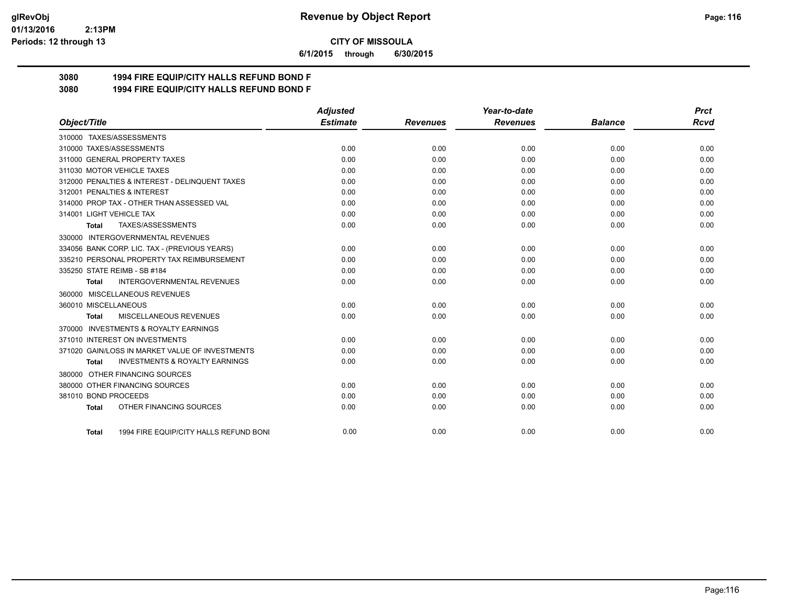#### **01/13/2016 2:13PM Periods: 12 through 13**

**CITY OF MISSOULA**

**6/1/2015 through 6/30/2015**

# **3080 1994 FIRE EQUIP/CITY HALLS REFUND BOND F**

**3080 1994 FIRE EQUIP/CITY HALLS REFUND BOND F**

|                                                           | <b>Adjusted</b> |                 | Year-to-date    |                | <b>Prct</b> |
|-----------------------------------------------------------|-----------------|-----------------|-----------------|----------------|-------------|
| Object/Title                                              | <b>Estimate</b> | <b>Revenues</b> | <b>Revenues</b> | <b>Balance</b> | <b>Rcvd</b> |
| 310000 TAXES/ASSESSMENTS                                  |                 |                 |                 |                |             |
| 310000 TAXES/ASSESSMENTS                                  | 0.00            | 0.00            | 0.00            | 0.00           | 0.00        |
| 311000 GENERAL PROPERTY TAXES                             | 0.00            | 0.00            | 0.00            | 0.00           | 0.00        |
| 311030 MOTOR VEHICLE TAXES                                | 0.00            | 0.00            | 0.00            | 0.00           | 0.00        |
| 312000 PENALTIES & INTEREST - DELINQUENT TAXES            | 0.00            | 0.00            | 0.00            | 0.00           | 0.00        |
| 312001 PENALTIES & INTEREST                               | 0.00            | 0.00            | 0.00            | 0.00           | 0.00        |
| 314000 PROP TAX - OTHER THAN ASSESSED VAL                 | 0.00            | 0.00            | 0.00            | 0.00           | 0.00        |
| 314001 LIGHT VEHICLE TAX                                  | 0.00            | 0.00            | 0.00            | 0.00           | 0.00        |
| TAXES/ASSESSMENTS<br>Total                                | 0.00            | 0.00            | 0.00            | 0.00           | 0.00        |
| <b>INTERGOVERNMENTAL REVENUES</b><br>330000               |                 |                 |                 |                |             |
| 334056 BANK CORP. LIC. TAX - (PREVIOUS YEARS)             | 0.00            | 0.00            | 0.00            | 0.00           | 0.00        |
| 335210 PERSONAL PROPERTY TAX REIMBURSEMENT                | 0.00            | 0.00            | 0.00            | 0.00           | 0.00        |
| 335250 STATE REIMB - SB #184                              | 0.00            | 0.00            | 0.00            | 0.00           | 0.00        |
| <b>INTERGOVERNMENTAL REVENUES</b><br><b>Total</b>         | 0.00            | 0.00            | 0.00            | 0.00           | 0.00        |
| MISCELLANEOUS REVENUES<br>360000                          |                 |                 |                 |                |             |
| 360010 MISCELLANEOUS                                      | 0.00            | 0.00            | 0.00            | 0.00           | 0.00        |
| <b>MISCELLANEOUS REVENUES</b><br><b>Total</b>             | 0.00            | 0.00            | 0.00            | 0.00           | 0.00        |
| <b>INVESTMENTS &amp; ROYALTY EARNINGS</b><br>370000       |                 |                 |                 |                |             |
| 371010 INTEREST ON INVESTMENTS                            | 0.00            | 0.00            | 0.00            | 0.00           | 0.00        |
| 371020 GAIN/LOSS IN MARKET VALUE OF INVESTMENTS           | 0.00            | 0.00            | 0.00            | 0.00           | 0.00        |
| <b>INVESTMENTS &amp; ROYALTY EARNINGS</b><br><b>Total</b> | 0.00            | 0.00            | 0.00            | 0.00           | 0.00        |
| 380000 OTHER FINANCING SOURCES                            |                 |                 |                 |                |             |
| 380000 OTHER FINANCING SOURCES                            | 0.00            | 0.00            | 0.00            | 0.00           | 0.00        |
| 381010 BOND PROCEEDS                                      | 0.00            | 0.00            | 0.00            | 0.00           | 0.00        |
| OTHER FINANCING SOURCES<br><b>Total</b>                   | 0.00            | 0.00            | 0.00            | 0.00           | 0.00        |
|                                                           |                 |                 |                 |                |             |
| 1994 FIRE EQUIP/CITY HALLS REFUND BONI<br><b>Total</b>    | 0.00            | 0.00            | 0.00            | 0.00           | 0.00        |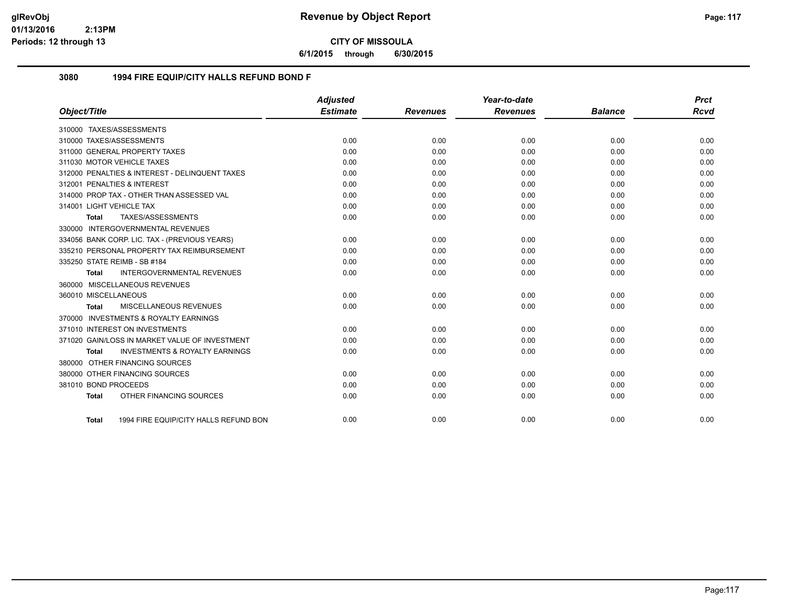**6/1/2015 through 6/30/2015**

### **3080 1994 FIRE EQUIP/CITY HALLS REFUND BOND F**

|                                                           | <b>Adjusted</b> |                 | Year-to-date    |                | <b>Prct</b> |
|-----------------------------------------------------------|-----------------|-----------------|-----------------|----------------|-------------|
| Object/Title                                              | <b>Estimate</b> | <b>Revenues</b> | <b>Revenues</b> | <b>Balance</b> | <b>Rcvd</b> |
| 310000 TAXES/ASSESSMENTS                                  |                 |                 |                 |                |             |
| 310000 TAXES/ASSESSMENTS                                  | 0.00            | 0.00            | 0.00            | 0.00           | 0.00        |
| 311000 GENERAL PROPERTY TAXES                             | 0.00            | 0.00            | 0.00            | 0.00           | 0.00        |
| 311030 MOTOR VEHICLE TAXES                                | 0.00            | 0.00            | 0.00            | 0.00           | 0.00        |
| 312000 PENALTIES & INTEREST - DELINQUENT TAXES            | 0.00            | 0.00            | 0.00            | 0.00           | 0.00        |
| 312001 PENALTIES & INTEREST                               | 0.00            | 0.00            | 0.00            | 0.00           | 0.00        |
| 314000 PROP TAX - OTHER THAN ASSESSED VAL                 | 0.00            | 0.00            | 0.00            | 0.00           | 0.00        |
| 314001 LIGHT VEHICLE TAX                                  | 0.00            | 0.00            | 0.00            | 0.00           | 0.00        |
| TAXES/ASSESSMENTS<br><b>Total</b>                         | 0.00            | 0.00            | 0.00            | 0.00           | 0.00        |
| 330000 INTERGOVERNMENTAL REVENUES                         |                 |                 |                 |                |             |
| 334056 BANK CORP. LIC. TAX - (PREVIOUS YEARS)             | 0.00            | 0.00            | 0.00            | 0.00           | 0.00        |
| 335210 PERSONAL PROPERTY TAX REIMBURSEMENT                | 0.00            | 0.00            | 0.00            | 0.00           | 0.00        |
| 335250 STATE REIMB - SB #184                              | 0.00            | 0.00            | 0.00            | 0.00           | 0.00        |
| <b>INTERGOVERNMENTAL REVENUES</b><br><b>Total</b>         | 0.00            | 0.00            | 0.00            | 0.00           | 0.00        |
| 360000 MISCELLANEOUS REVENUES                             |                 |                 |                 |                |             |
| 360010 MISCELLANEOUS                                      | 0.00            | 0.00            | 0.00            | 0.00           | 0.00        |
| <b>MISCELLANEOUS REVENUES</b><br>Total                    | 0.00            | 0.00            | 0.00            | 0.00           | 0.00        |
| 370000 INVESTMENTS & ROYALTY EARNINGS                     |                 |                 |                 |                |             |
| 371010 INTEREST ON INVESTMENTS                            | 0.00            | 0.00            | 0.00            | 0.00           | 0.00        |
| 371020 GAIN/LOSS IN MARKET VALUE OF INVESTMENT            | 0.00            | 0.00            | 0.00            | 0.00           | 0.00        |
| <b>INVESTMENTS &amp; ROYALTY EARNINGS</b><br><b>Total</b> | 0.00            | 0.00            | 0.00            | 0.00           | 0.00        |
| 380000 OTHER FINANCING SOURCES                            |                 |                 |                 |                |             |
| 380000 OTHER FINANCING SOURCES                            | 0.00            | 0.00            | 0.00            | 0.00           | 0.00        |
| 381010 BOND PROCEEDS                                      | 0.00            | 0.00            | 0.00            | 0.00           | 0.00        |
| OTHER FINANCING SOURCES<br><b>Total</b>                   | 0.00            | 0.00            | 0.00            | 0.00           | 0.00        |
| 1994 FIRE EQUIP/CITY HALLS REFUND BON<br><b>Total</b>     | 0.00            | 0.00            | 0.00            | 0.00           | 0.00        |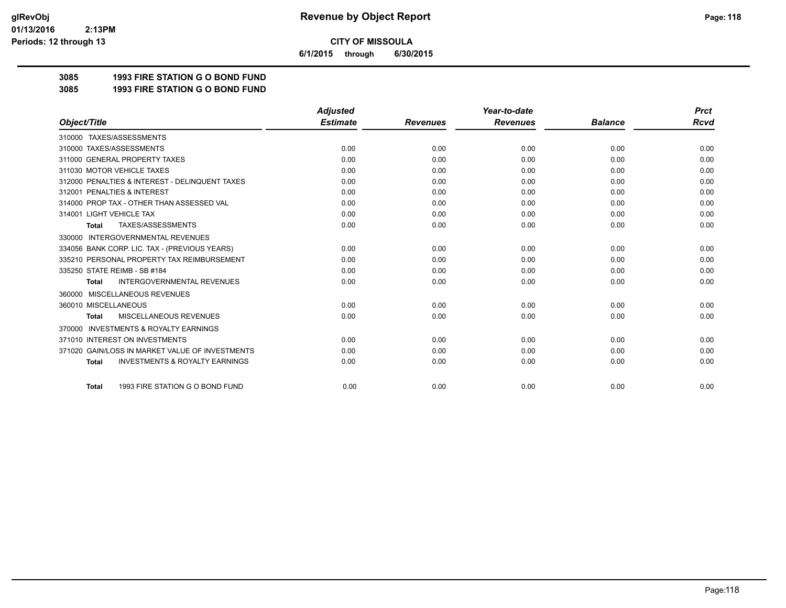**6/1/2015 through 6/30/2015**

# **3085 1993 FIRE STATION G O BOND FUND**

**3085 1993 FIRE STATION G O BOND FUND**

|                                                           | <b>Adjusted</b> |                 | Year-to-date    |                | <b>Prct</b> |
|-----------------------------------------------------------|-----------------|-----------------|-----------------|----------------|-------------|
| Object/Title                                              | <b>Estimate</b> | <b>Revenues</b> | <b>Revenues</b> | <b>Balance</b> | <b>Rcvd</b> |
| 310000 TAXES/ASSESSMENTS                                  |                 |                 |                 |                |             |
| 310000 TAXES/ASSESSMENTS                                  | 0.00            | 0.00            | 0.00            | 0.00           | 0.00        |
| 311000 GENERAL PROPERTY TAXES                             | 0.00            | 0.00            | 0.00            | 0.00           | 0.00        |
| 311030 MOTOR VEHICLE TAXES                                | 0.00            | 0.00            | 0.00            | 0.00           | 0.00        |
| 312000 PENALTIES & INTEREST - DELINQUENT TAXES            | 0.00            | 0.00            | 0.00            | 0.00           | 0.00        |
| 312001 PENALTIES & INTEREST                               | 0.00            | 0.00            | 0.00            | 0.00           | 0.00        |
| 314000 PROP TAX - OTHER THAN ASSESSED VAL                 | 0.00            | 0.00            | 0.00            | 0.00           | 0.00        |
| 314001 LIGHT VEHICLE TAX                                  | 0.00            | 0.00            | 0.00            | 0.00           | 0.00        |
| TAXES/ASSESSMENTS<br><b>Total</b>                         | 0.00            | 0.00            | 0.00            | 0.00           | 0.00        |
| <b>INTERGOVERNMENTAL REVENUES</b><br>330000               |                 |                 |                 |                |             |
| 334056 BANK CORP. LIC. TAX - (PREVIOUS YEARS)             | 0.00            | 0.00            | 0.00            | 0.00           | 0.00        |
| 335210 PERSONAL PROPERTY TAX REIMBURSEMENT                | 0.00            | 0.00            | 0.00            | 0.00           | 0.00        |
| 335250 STATE REIMB - SB #184                              | 0.00            | 0.00            | 0.00            | 0.00           | 0.00        |
| <b>INTERGOVERNMENTAL REVENUES</b><br><b>Total</b>         | 0.00            | 0.00            | 0.00            | 0.00           | 0.00        |
| MISCELLANEOUS REVENUES<br>360000                          |                 |                 |                 |                |             |
| 360010 MISCELLANEOUS                                      | 0.00            | 0.00            | 0.00            | 0.00           | 0.00        |
| MISCELLANEOUS REVENUES<br><b>Total</b>                    | 0.00            | 0.00            | 0.00            | 0.00           | 0.00        |
| <b>INVESTMENTS &amp; ROYALTY EARNINGS</b><br>370000       |                 |                 |                 |                |             |
| 371010 INTEREST ON INVESTMENTS                            | 0.00            | 0.00            | 0.00            | 0.00           | 0.00        |
| 371020 GAIN/LOSS IN MARKET VALUE OF INVESTMENTS           | 0.00            | 0.00            | 0.00            | 0.00           | 0.00        |
| <b>INVESTMENTS &amp; ROYALTY EARNINGS</b><br><b>Total</b> | 0.00            | 0.00            | 0.00            | 0.00           | 0.00        |
| 1993 FIRE STATION G O BOND FUND<br><b>Total</b>           | 0.00            | 0.00            | 0.00            | 0.00           | 0.00        |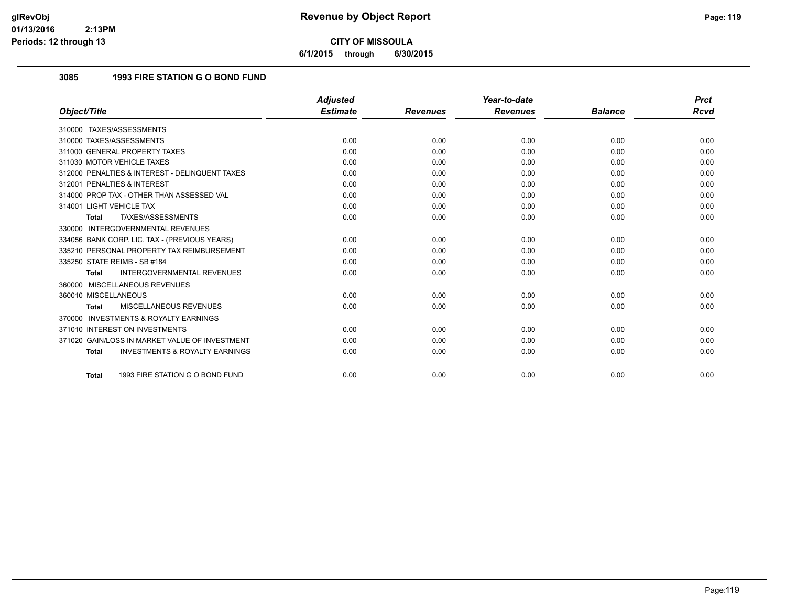**6/1/2015 through 6/30/2015**

## **3085 1993 FIRE STATION G O BOND FUND**

|                                                           | <b>Adjusted</b> |                 | Year-to-date    |                | <b>Prct</b> |
|-----------------------------------------------------------|-----------------|-----------------|-----------------|----------------|-------------|
| Object/Title                                              | <b>Estimate</b> | <b>Revenues</b> | <b>Revenues</b> | <b>Balance</b> | Rcvd        |
| 310000 TAXES/ASSESSMENTS                                  |                 |                 |                 |                |             |
| 310000 TAXES/ASSESSMENTS                                  | 0.00            | 0.00            | 0.00            | 0.00           | 0.00        |
| 311000 GENERAL PROPERTY TAXES                             | 0.00            | 0.00            | 0.00            | 0.00           | 0.00        |
| 311030 MOTOR VEHICLE TAXES                                | 0.00            | 0.00            | 0.00            | 0.00           | 0.00        |
| 312000 PENALTIES & INTEREST - DELINQUENT TAXES            | 0.00            | 0.00            | 0.00            | 0.00           | 0.00        |
| 312001 PENALTIES & INTEREST                               | 0.00            | 0.00            | 0.00            | 0.00           | 0.00        |
| 314000 PROP TAX - OTHER THAN ASSESSED VAL                 | 0.00            | 0.00            | 0.00            | 0.00           | 0.00        |
| 314001 LIGHT VEHICLE TAX                                  | 0.00            | 0.00            | 0.00            | 0.00           | 0.00        |
| TAXES/ASSESSMENTS<br><b>Total</b>                         | 0.00            | 0.00            | 0.00            | 0.00           | 0.00        |
| 330000 INTERGOVERNMENTAL REVENUES                         |                 |                 |                 |                |             |
| 334056 BANK CORP. LIC. TAX - (PREVIOUS YEARS)             | 0.00            | 0.00            | 0.00            | 0.00           | 0.00        |
| 335210 PERSONAL PROPERTY TAX REIMBURSEMENT                | 0.00            | 0.00            | 0.00            | 0.00           | 0.00        |
| 335250 STATE REIMB - SB #184                              | 0.00            | 0.00            | 0.00            | 0.00           | 0.00        |
| <b>INTERGOVERNMENTAL REVENUES</b><br>Total                | 0.00            | 0.00            | 0.00            | 0.00           | 0.00        |
| 360000 MISCELLANEOUS REVENUES                             |                 |                 |                 |                |             |
| 360010 MISCELLANEOUS                                      | 0.00            | 0.00            | 0.00            | 0.00           | 0.00        |
| MISCELLANEOUS REVENUES<br>Total                           | 0.00            | 0.00            | 0.00            | 0.00           | 0.00        |
| 370000 INVESTMENTS & ROYALTY EARNINGS                     |                 |                 |                 |                |             |
| 371010 INTEREST ON INVESTMENTS                            | 0.00            | 0.00            | 0.00            | 0.00           | 0.00        |
| 371020 GAIN/LOSS IN MARKET VALUE OF INVESTMENT            | 0.00            | 0.00            | 0.00            | 0.00           | 0.00        |
| <b>INVESTMENTS &amp; ROYALTY EARNINGS</b><br><b>Total</b> | 0.00            | 0.00            | 0.00            | 0.00           | 0.00        |
| 1993 FIRE STATION G O BOND FUND<br>Total                  | 0.00            | 0.00            | 0.00            | 0.00           | 0.00        |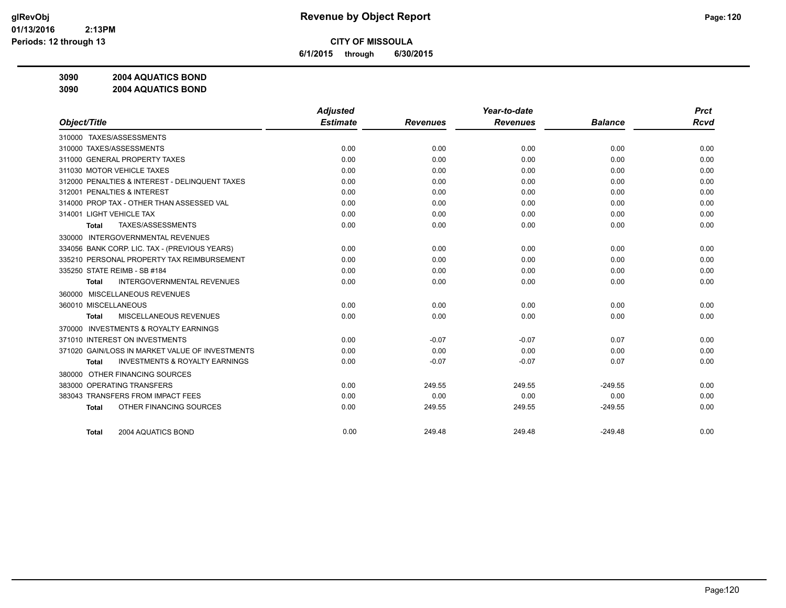**6/1/2015 through 6/30/2015**

**3090 2004 AQUATICS BOND**

**3090 2004 AQUATICS BOND**

|                                                           | <b>Adjusted</b> |                 | Year-to-date    |                | <b>Prct</b> |
|-----------------------------------------------------------|-----------------|-----------------|-----------------|----------------|-------------|
| Object/Title                                              | <b>Estimate</b> | <b>Revenues</b> | <b>Revenues</b> | <b>Balance</b> | <b>Rcvd</b> |
| 310000 TAXES/ASSESSMENTS                                  |                 |                 |                 |                |             |
| 310000 TAXES/ASSESSMENTS                                  | 0.00            | 0.00            | 0.00            | 0.00           | 0.00        |
| 311000 GENERAL PROPERTY TAXES                             | 0.00            | 0.00            | 0.00            | 0.00           | 0.00        |
| 311030 MOTOR VEHICLE TAXES                                | 0.00            | 0.00            | 0.00            | 0.00           | 0.00        |
| 312000 PENALTIES & INTEREST - DELINQUENT TAXES            | 0.00            | 0.00            | 0.00            | 0.00           | 0.00        |
| 312001 PENALTIES & INTEREST                               | 0.00            | 0.00            | 0.00            | 0.00           | 0.00        |
| 314000 PROP TAX - OTHER THAN ASSESSED VAL                 | 0.00            | 0.00            | 0.00            | 0.00           | 0.00        |
| 314001 LIGHT VEHICLE TAX                                  | 0.00            | 0.00            | 0.00            | 0.00           | 0.00        |
| TAXES/ASSESSMENTS<br><b>Total</b>                         | 0.00            | 0.00            | 0.00            | 0.00           | 0.00        |
| 330000 INTERGOVERNMENTAL REVENUES                         |                 |                 |                 |                |             |
| 334056 BANK CORP. LIC. TAX - (PREVIOUS YEARS)             | 0.00            | 0.00            | 0.00            | 0.00           | 0.00        |
| 335210 PERSONAL PROPERTY TAX REIMBURSEMENT                | 0.00            | 0.00            | 0.00            | 0.00           | 0.00        |
| 335250 STATE REIMB - SB #184                              | 0.00            | 0.00            | 0.00            | 0.00           | 0.00        |
| <b>INTERGOVERNMENTAL REVENUES</b><br><b>Total</b>         | 0.00            | 0.00            | 0.00            | 0.00           | 0.00        |
| MISCELLANEOUS REVENUES<br>360000                          |                 |                 |                 |                |             |
| 360010 MISCELLANEOUS                                      | 0.00            | 0.00            | 0.00            | 0.00           | 0.00        |
| MISCELLANEOUS REVENUES<br><b>Total</b>                    | 0.00            | 0.00            | 0.00            | 0.00           | 0.00        |
| <b>INVESTMENTS &amp; ROYALTY EARNINGS</b><br>370000       |                 |                 |                 |                |             |
| 371010 INTEREST ON INVESTMENTS                            | 0.00            | $-0.07$         | $-0.07$         | 0.07           | 0.00        |
| 371020 GAIN/LOSS IN MARKET VALUE OF INVESTMENTS           | 0.00            | 0.00            | 0.00            | 0.00           | 0.00        |
| <b>INVESTMENTS &amp; ROYALTY EARNINGS</b><br><b>Total</b> | 0.00            | $-0.07$         | $-0.07$         | 0.07           | 0.00        |
| OTHER FINANCING SOURCES<br>380000                         |                 |                 |                 |                |             |
| 383000 OPERATING TRANSFERS                                | 0.00            | 249.55          | 249.55          | $-249.55$      | 0.00        |
| 383043 TRANSFERS FROM IMPACT FEES                         | 0.00            | 0.00            | 0.00            | 0.00           | 0.00        |
| OTHER FINANCING SOURCES<br><b>Total</b>                   | 0.00            | 249.55          | 249.55          | $-249.55$      | 0.00        |
|                                                           |                 |                 |                 |                |             |
| 2004 AQUATICS BOND<br><b>Total</b>                        | 0.00            | 249.48          | 249.48          | $-249.48$      | 0.00        |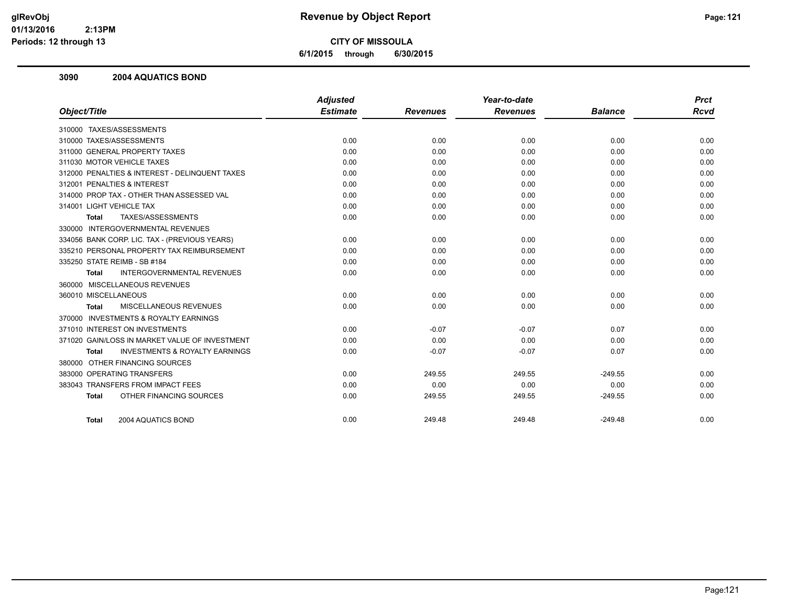**6/1/2015 through 6/30/2015**

#### **3090 2004 AQUATICS BOND**

|                                                           | <b>Adjusted</b> |                 | Year-to-date    |                | <b>Prct</b> |
|-----------------------------------------------------------|-----------------|-----------------|-----------------|----------------|-------------|
| Object/Title                                              | <b>Estimate</b> | <b>Revenues</b> | <b>Revenues</b> | <b>Balance</b> | <b>Rcvd</b> |
| 310000 TAXES/ASSESSMENTS                                  |                 |                 |                 |                |             |
| 310000 TAXES/ASSESSMENTS                                  | 0.00            | 0.00            | 0.00            | 0.00           | 0.00        |
| 311000 GENERAL PROPERTY TAXES                             | 0.00            | 0.00            | 0.00            | 0.00           | 0.00        |
| 311030 MOTOR VEHICLE TAXES                                | 0.00            | 0.00            | 0.00            | 0.00           | 0.00        |
| 312000 PENALTIES & INTEREST - DELINQUENT TAXES            | 0.00            | 0.00            | 0.00            | 0.00           | 0.00        |
| 312001 PENALTIES & INTEREST                               | 0.00            | 0.00            | 0.00            | 0.00           | 0.00        |
| 314000 PROP TAX - OTHER THAN ASSESSED VAL                 | 0.00            | 0.00            | 0.00            | 0.00           | 0.00        |
| 314001 LIGHT VEHICLE TAX                                  | 0.00            | 0.00            | 0.00            | 0.00           | 0.00        |
| TAXES/ASSESSMENTS<br><b>Total</b>                         | 0.00            | 0.00            | 0.00            | 0.00           | 0.00        |
| 330000 INTERGOVERNMENTAL REVENUES                         |                 |                 |                 |                |             |
| 334056 BANK CORP. LIC. TAX - (PREVIOUS YEARS)             | 0.00            | 0.00            | 0.00            | 0.00           | 0.00        |
| 335210 PERSONAL PROPERTY TAX REIMBURSEMENT                | 0.00            | 0.00            | 0.00            | 0.00           | 0.00        |
| 335250 STATE REIMB - SB #184                              | 0.00            | 0.00            | 0.00            | 0.00           | 0.00        |
| <b>INTERGOVERNMENTAL REVENUES</b><br><b>Total</b>         | 0.00            | 0.00            | 0.00            | 0.00           | 0.00        |
| 360000 MISCELLANEOUS REVENUES                             |                 |                 |                 |                |             |
| 360010 MISCELLANEOUS                                      | 0.00            | 0.00            | 0.00            | 0.00           | 0.00        |
| MISCELLANEOUS REVENUES<br><b>Total</b>                    | 0.00            | 0.00            | 0.00            | 0.00           | 0.00        |
| 370000 INVESTMENTS & ROYALTY EARNINGS                     |                 |                 |                 |                |             |
| 371010 INTEREST ON INVESTMENTS                            | 0.00            | $-0.07$         | $-0.07$         | 0.07           | 0.00        |
| 371020 GAIN/LOSS IN MARKET VALUE OF INVESTMENT            | 0.00            | 0.00            | 0.00            | 0.00           | 0.00        |
| <b>INVESTMENTS &amp; ROYALTY EARNINGS</b><br><b>Total</b> | 0.00            | $-0.07$         | $-0.07$         | 0.07           | 0.00        |
| 380000 OTHER FINANCING SOURCES                            |                 |                 |                 |                |             |
| 383000 OPERATING TRANSFERS                                | 0.00            | 249.55          | 249.55          | $-249.55$      | 0.00        |
| 383043 TRANSFERS FROM IMPACT FEES                         | 0.00            | 0.00            | 0.00            | 0.00           | 0.00        |
| OTHER FINANCING SOURCES<br><b>Total</b>                   | 0.00            | 249.55          | 249.55          | $-249.55$      | 0.00        |
| 2004 AQUATICS BOND<br><b>Total</b>                        | 0.00            | 249.48          | 249.48          | $-249.48$      | 0.00        |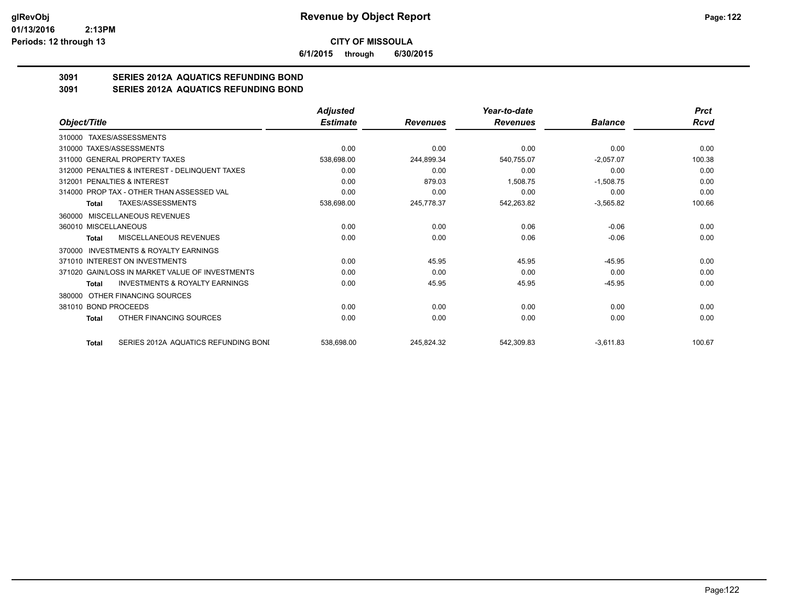**6/1/2015 through 6/30/2015**

# **3091 SERIES 2012A AQUATICS REFUNDING BOND**

**3091 SERIES 2012A AQUATICS REFUNDING BOND**

|                                                           | <b>Adjusted</b> |                 | Year-to-date    |                | <b>Prct</b> |
|-----------------------------------------------------------|-----------------|-----------------|-----------------|----------------|-------------|
| Object/Title                                              | <b>Estimate</b> | <b>Revenues</b> | <b>Revenues</b> | <b>Balance</b> | Rcvd        |
| 310000 TAXES/ASSESSMENTS                                  |                 |                 |                 |                |             |
| 310000 TAXES/ASSESSMENTS                                  | 0.00            | 0.00            | 0.00            | 0.00           | 0.00        |
| 311000 GENERAL PROPERTY TAXES                             | 538,698.00      | 244,899.34      | 540,755.07      | $-2,057.07$    | 100.38      |
| 312000 PENALTIES & INTEREST - DELINQUENT TAXES            | 0.00            | 0.00            | 0.00            | 0.00           | 0.00        |
| 312001 PENALTIES & INTEREST                               | 0.00            | 879.03          | 1,508.75        | $-1,508.75$    | 0.00        |
| 314000 PROP TAX - OTHER THAN ASSESSED VAL                 | 0.00            | 0.00            | 0.00            | 0.00           | 0.00        |
| TAXES/ASSESSMENTS<br><b>Total</b>                         | 538,698.00      | 245,778.37      | 542,263.82      | $-3,565.82$    | 100.66      |
| 360000 MISCELLANEOUS REVENUES                             |                 |                 |                 |                |             |
| 360010 MISCELLANEOUS                                      | 0.00            | 0.00            | 0.06            | $-0.06$        | 0.00        |
| MISCELLANEOUS REVENUES<br>Total                           | 0.00            | 0.00            | 0.06            | $-0.06$        | 0.00        |
| <b>INVESTMENTS &amp; ROYALTY EARNINGS</b><br>370000       |                 |                 |                 |                |             |
| 371010 INTEREST ON INVESTMENTS                            | 0.00            | 45.95           | 45.95           | $-45.95$       | 0.00        |
| 371020 GAIN/LOSS IN MARKET VALUE OF INVESTMENTS           | 0.00            | 0.00            | 0.00            | 0.00           | 0.00        |
| <b>INVESTMENTS &amp; ROYALTY EARNINGS</b><br><b>Total</b> | 0.00            | 45.95           | 45.95           | $-45.95$       | 0.00        |
| OTHER FINANCING SOURCES<br>380000                         |                 |                 |                 |                |             |
| 381010 BOND PROCEEDS                                      | 0.00            | 0.00            | 0.00            | 0.00           | 0.00        |
| OTHER FINANCING SOURCES<br>Total                          | 0.00            | 0.00            | 0.00            | 0.00           | 0.00        |
| SERIES 2012A AQUATICS REFUNDING BONI<br><b>Total</b>      | 538,698.00      | 245,824.32      | 542,309.83      | $-3,611.83$    | 100.67      |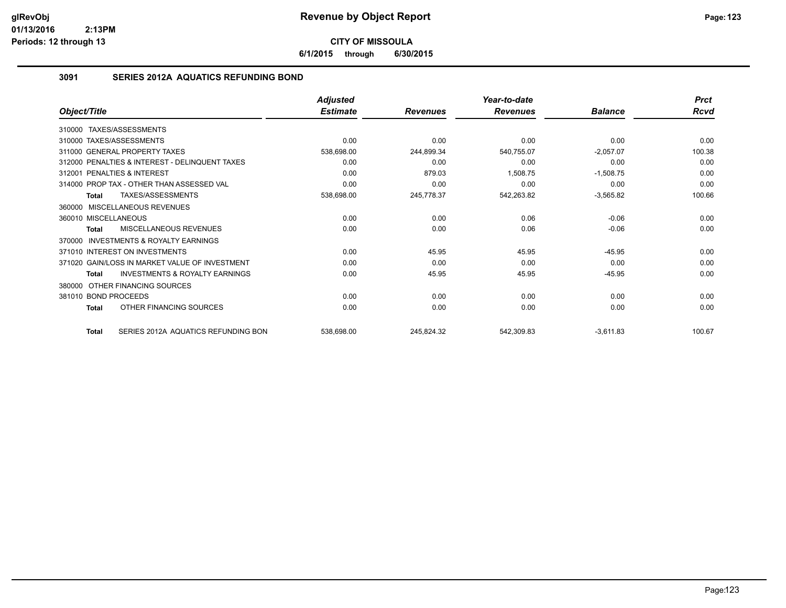**6/1/2015 through 6/30/2015**

## **3091 SERIES 2012A AQUATICS REFUNDING BOND**

|                                                           | <b>Adjusted</b> |                 | Year-to-date    |                | <b>Prct</b> |
|-----------------------------------------------------------|-----------------|-----------------|-----------------|----------------|-------------|
| Object/Title                                              | <b>Estimate</b> | <b>Revenues</b> | <b>Revenues</b> | <b>Balance</b> | Rcvd        |
| TAXES/ASSESSMENTS<br>310000                               |                 |                 |                 |                |             |
| 310000 TAXES/ASSESSMENTS                                  | 0.00            | 0.00            | 0.00            | 0.00           | 0.00        |
| 311000 GENERAL PROPERTY TAXES                             | 538,698.00      | 244,899.34      | 540,755.07      | $-2,057.07$    | 100.38      |
| 312000 PENALTIES & INTEREST - DELINQUENT TAXES            | 0.00            | 0.00            | 0.00            | 0.00           | 0.00        |
| 312001 PENALTIES & INTEREST                               | 0.00            | 879.03          | 1,508.75        | $-1,508.75$    | 0.00        |
| 314000 PROP TAX - OTHER THAN ASSESSED VAL                 | 0.00            | 0.00            | 0.00            | 0.00           | 0.00        |
| TAXES/ASSESSMENTS<br><b>Total</b>                         | 538,698.00      | 245,778.37      | 542,263.82      | $-3,565.82$    | 100.66      |
| MISCELLANEOUS REVENUES<br>360000                          |                 |                 |                 |                |             |
| 360010 MISCELLANEOUS                                      | 0.00            | 0.00            | 0.06            | $-0.06$        | 0.00        |
| MISCELLANEOUS REVENUES<br><b>Total</b>                    | 0.00            | 0.00            | 0.06            | $-0.06$        | 0.00        |
| <b>INVESTMENTS &amp; ROYALTY EARNINGS</b><br>370000       |                 |                 |                 |                |             |
| 371010 INTEREST ON INVESTMENTS                            | 0.00            | 45.95           | 45.95           | $-45.95$       | 0.00        |
| 371020 GAIN/LOSS IN MARKET VALUE OF INVESTMENT            | 0.00            | 0.00            | 0.00            | 0.00           | 0.00        |
| <b>INVESTMENTS &amp; ROYALTY EARNINGS</b><br><b>Total</b> | 0.00            | 45.95           | 45.95           | $-45.95$       | 0.00        |
| OTHER FINANCING SOURCES<br>380000                         |                 |                 |                 |                |             |
| 381010 BOND PROCEEDS                                      | 0.00            | 0.00            | 0.00            | 0.00           | 0.00        |
| OTHER FINANCING SOURCES<br><b>Total</b>                   | 0.00            | 0.00            | 0.00            | 0.00           | 0.00        |
| SERIES 2012A AQUATICS REFUNDING BON<br><b>Total</b>       | 538,698.00      | 245,824.32      | 542,309.83      | $-3,611.83$    | 100.67      |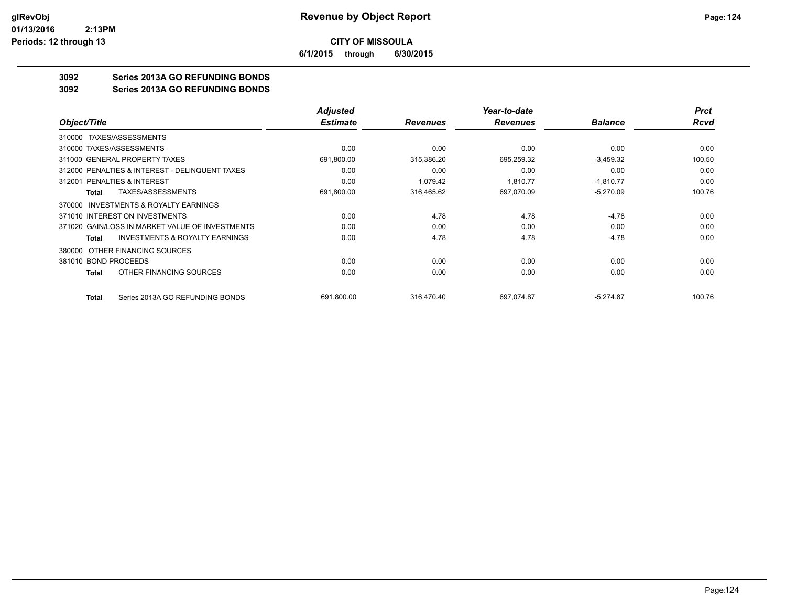**6/1/2015 through 6/30/2015**

# **3092 Series 2013A GO REFUNDING BONDS**

**3092 Series 2013A GO REFUNDING BONDS**

|                                                           | <b>Adjusted</b> |                 | Year-to-date    |                | <b>Prct</b> |
|-----------------------------------------------------------|-----------------|-----------------|-----------------|----------------|-------------|
| Object/Title                                              | <b>Estimate</b> | <b>Revenues</b> | <b>Revenues</b> | <b>Balance</b> | Rcvd        |
| 310000 TAXES/ASSESSMENTS                                  |                 |                 |                 |                |             |
| 310000 TAXES/ASSESSMENTS                                  | 0.00            | 0.00            | 0.00            | 0.00           | 0.00        |
| 311000 GENERAL PROPERTY TAXES                             | 691,800.00      | 315,386.20      | 695,259.32      | $-3,459.32$    | 100.50      |
| 312000 PENALTIES & INTEREST - DELINQUENT TAXES            | 0.00            | 0.00            | 0.00            | 0.00           | 0.00        |
| 312001 PENALTIES & INTEREST                               | 0.00            | 1,079.42        | 1,810.77        | $-1,810.77$    | 0.00        |
| <b>TAXES/ASSESSMENTS</b><br><b>Total</b>                  | 691,800.00      | 316,465.62      | 697,070.09      | $-5,270.09$    | 100.76      |
| INVESTMENTS & ROYALTY EARNINGS<br>370000                  |                 |                 |                 |                |             |
| 371010 INTEREST ON INVESTMENTS                            | 0.00            | 4.78            | 4.78            | $-4.78$        | 0.00        |
| 371020 GAIN/LOSS IN MARKET VALUE OF INVESTMENTS           | 0.00            | 0.00            | 0.00            | 0.00           | 0.00        |
| <b>INVESTMENTS &amp; ROYALTY EARNINGS</b><br><b>Total</b> | 0.00            | 4.78            | 4.78            | $-4.78$        | 0.00        |
| OTHER FINANCING SOURCES<br>380000                         |                 |                 |                 |                |             |
| 381010 BOND PROCEEDS                                      | 0.00            | 0.00            | 0.00            | 0.00           | 0.00        |
| OTHER FINANCING SOURCES<br>Total                          | 0.00            | 0.00            | 0.00            | 0.00           | 0.00        |
| Series 2013A GO REFUNDING BONDS<br><b>Total</b>           | 691,800.00      | 316,470.40      | 697,074.87      | $-5,274.87$    | 100.76      |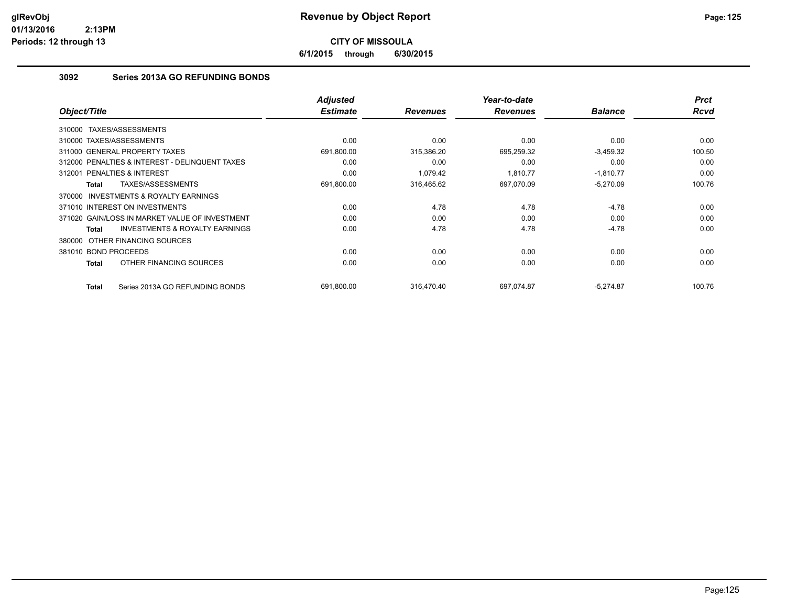**6/1/2015 through 6/30/2015**

# **3092 Series 2013A GO REFUNDING BONDS**

| Object/Title                                              | <b>Adjusted</b><br><b>Estimate</b> | <b>Revenues</b> | Year-to-date<br><b>Revenues</b> | <b>Balance</b> | <b>Prct</b><br><b>Rcvd</b> |
|-----------------------------------------------------------|------------------------------------|-----------------|---------------------------------|----------------|----------------------------|
|                                                           |                                    |                 |                                 |                |                            |
| 310000 TAXES/ASSESSMENTS                                  |                                    |                 |                                 |                |                            |
| 310000 TAXES/ASSESSMENTS                                  | 0.00                               | 0.00            | 0.00                            | 0.00           | 0.00                       |
| 311000 GENERAL PROPERTY TAXES                             | 691,800.00                         | 315,386.20      | 695,259.32                      | $-3,459.32$    | 100.50                     |
| 312000 PENALTIES & INTEREST - DELINQUENT TAXES            | 0.00                               | 0.00            | 0.00                            | 0.00           | 0.00                       |
| <b>PENALTIES &amp; INTEREST</b><br>312001                 | 0.00                               | 1,079.42        | 1,810.77                        | $-1,810.77$    | 0.00                       |
| <b>TAXES/ASSESSMENTS</b><br>Total                         | 691,800.00                         | 316,465.62      | 697,070.09                      | $-5,270.09$    | 100.76                     |
| <b>INVESTMENTS &amp; ROYALTY EARNINGS</b><br>370000       |                                    |                 |                                 |                |                            |
| 371010 INTEREST ON INVESTMENTS                            | 0.00                               | 4.78            | 4.78                            | $-4.78$        | 0.00                       |
| 371020 GAIN/LOSS IN MARKET VALUE OF INVESTMENT            | 0.00                               | 0.00            | 0.00                            | 0.00           | 0.00                       |
| <b>INVESTMENTS &amp; ROYALTY EARNINGS</b><br><b>Total</b> | 0.00                               | 4.78            | 4.78                            | $-4.78$        | 0.00                       |
| 380000 OTHER FINANCING SOURCES                            |                                    |                 |                                 |                |                            |
| 381010 BOND PROCEEDS                                      | 0.00                               | 0.00            | 0.00                            | 0.00           | 0.00                       |
| OTHER FINANCING SOURCES<br>Total                          | 0.00                               | 0.00            | 0.00                            | 0.00           | 0.00                       |
| Series 2013A GO REFUNDING BONDS<br>Total                  | 691,800.00                         | 316.470.40      | 697.074.87                      | $-5,274.87$    | 100.76                     |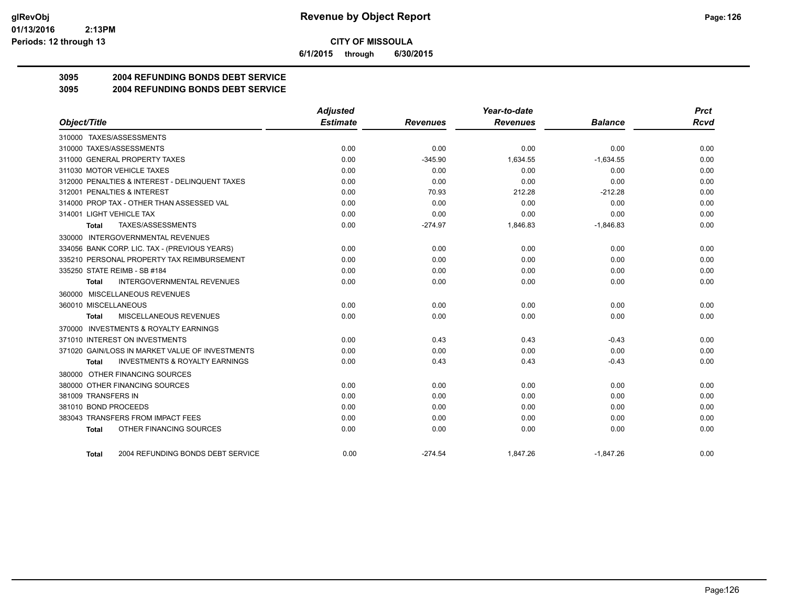**6/1/2015 through 6/30/2015**

# **3095 2004 REFUNDING BONDS DEBT SERVICE**

**3095 2004 REFUNDING BONDS DEBT SERVICE**

|                                                    | <b>Adjusted</b> |                 | Year-to-date    |                | <b>Prct</b> |
|----------------------------------------------------|-----------------|-----------------|-----------------|----------------|-------------|
| Object/Title                                       | <b>Estimate</b> | <b>Revenues</b> | <b>Revenues</b> | <b>Balance</b> | <b>Rcvd</b> |
| 310000 TAXES/ASSESSMENTS                           |                 |                 |                 |                |             |
| 310000 TAXES/ASSESSMENTS                           | 0.00            | 0.00            | 0.00            | 0.00           | 0.00        |
| 311000 GENERAL PROPERTY TAXES                      | 0.00            | $-345.90$       | 1,634.55        | $-1,634.55$    | 0.00        |
| 311030 MOTOR VEHICLE TAXES                         | 0.00            | 0.00            | 0.00            | 0.00           | 0.00        |
| 312000 PENALTIES & INTEREST - DELINQUENT TAXES     | 0.00            | 0.00            | 0.00            | 0.00           | 0.00        |
| 312001 PENALTIES & INTEREST                        | 0.00            | 70.93           | 212.28          | $-212.28$      | 0.00        |
| 314000 PROP TAX - OTHER THAN ASSESSED VAL          | 0.00            | 0.00            | 0.00            | 0.00           | 0.00        |
| 314001 LIGHT VEHICLE TAX                           | 0.00            | 0.00            | 0.00            | 0.00           | 0.00        |
| TAXES/ASSESSMENTS<br>Total                         | 0.00            | $-274.97$       | 1,846.83        | $-1,846.83$    | 0.00        |
| 330000 INTERGOVERNMENTAL REVENUES                  |                 |                 |                 |                |             |
| 334056 BANK CORP. LIC. TAX - (PREVIOUS YEARS)      | 0.00            | 0.00            | 0.00            | 0.00           | 0.00        |
| 335210 PERSONAL PROPERTY TAX REIMBURSEMENT         | 0.00            | 0.00            | 0.00            | 0.00           | 0.00        |
| 335250 STATE REIMB - SB #184                       | 0.00            | 0.00            | 0.00            | 0.00           | 0.00        |
| <b>INTERGOVERNMENTAL REVENUES</b><br>Total         | 0.00            | 0.00            | 0.00            | 0.00           | 0.00        |
| 360000 MISCELLANEOUS REVENUES                      |                 |                 |                 |                |             |
| 360010 MISCELLANEOUS                               | 0.00            | 0.00            | 0.00            | 0.00           | 0.00        |
| MISCELLANEOUS REVENUES<br>Total                    | 0.00            | 0.00            | 0.00            | 0.00           | 0.00        |
| 370000 INVESTMENTS & ROYALTY EARNINGS              |                 |                 |                 |                |             |
| 371010 INTEREST ON INVESTMENTS                     | 0.00            | 0.43            | 0.43            | $-0.43$        | 0.00        |
| 371020 GAIN/LOSS IN MARKET VALUE OF INVESTMENTS    | 0.00            | 0.00            | 0.00            | 0.00           | 0.00        |
| <b>INVESTMENTS &amp; ROYALTY EARNINGS</b><br>Total | 0.00            | 0.43            | 0.43            | $-0.43$        | 0.00        |
| 380000 OTHER FINANCING SOURCES                     |                 |                 |                 |                |             |
| 380000 OTHER FINANCING SOURCES                     | 0.00            | 0.00            | 0.00            | 0.00           | 0.00        |
| 381009 TRANSFERS IN                                | 0.00            | 0.00            | 0.00            | 0.00           | 0.00        |
| 381010 BOND PROCEEDS                               | 0.00            | 0.00            | 0.00            | 0.00           | 0.00        |
| 383043 TRANSFERS FROM IMPACT FEES                  | 0.00            | 0.00            | 0.00            | 0.00           | 0.00        |
| OTHER FINANCING SOURCES<br><b>Total</b>            | 0.00            | 0.00            | 0.00            | 0.00           | 0.00        |
| 2004 REFUNDING BONDS DEBT SERVICE<br>Total         | 0.00            | $-274.54$       | 1.847.26        | $-1.847.26$    | 0.00        |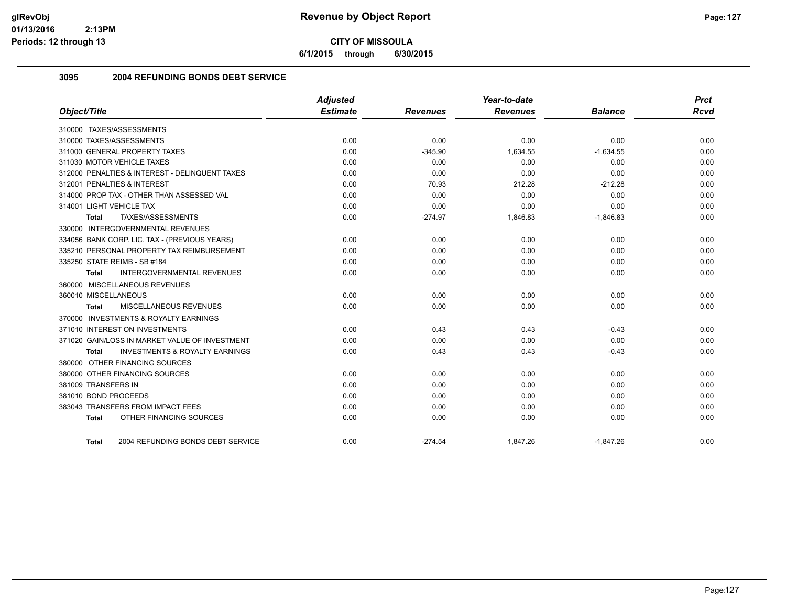**6/1/2015 through 6/30/2015**

## **3095 2004 REFUNDING BONDS DEBT SERVICE**

|                                                    | <b>Adjusted</b> |                 | Year-to-date    |                | <b>Prct</b> |
|----------------------------------------------------|-----------------|-----------------|-----------------|----------------|-------------|
| Object/Title                                       | <b>Estimate</b> | <b>Revenues</b> | <b>Revenues</b> | <b>Balance</b> | <b>Rcvd</b> |
| 310000 TAXES/ASSESSMENTS                           |                 |                 |                 |                |             |
| 310000 TAXES/ASSESSMENTS                           | 0.00            | 0.00            | 0.00            | 0.00           | 0.00        |
| 311000 GENERAL PROPERTY TAXES                      | 0.00            | $-345.90$       | 1,634.55        | $-1,634.55$    | 0.00        |
| 311030 MOTOR VEHICLE TAXES                         | 0.00            | 0.00            | 0.00            | 0.00           | 0.00        |
| 312000 PENALTIES & INTEREST - DELINQUENT TAXES     | 0.00            | 0.00            | 0.00            | 0.00           | 0.00        |
| 312001 PENALTIES & INTEREST                        | 0.00            | 70.93           | 212.28          | $-212.28$      | 0.00        |
| 314000 PROP TAX - OTHER THAN ASSESSED VAL          | 0.00            | 0.00            | 0.00            | 0.00           | 0.00        |
| 314001 LIGHT VEHICLE TAX                           | 0.00            | 0.00            | 0.00            | 0.00           | 0.00        |
| TAXES/ASSESSMENTS<br>Total                         | 0.00            | $-274.97$       | 1,846.83        | $-1,846.83$    | 0.00        |
| 330000 INTERGOVERNMENTAL REVENUES                  |                 |                 |                 |                |             |
| 334056 BANK CORP. LIC. TAX - (PREVIOUS YEARS)      | 0.00            | 0.00            | 0.00            | 0.00           | 0.00        |
| 335210 PERSONAL PROPERTY TAX REIMBURSEMENT         | 0.00            | 0.00            | 0.00            | 0.00           | 0.00        |
| 335250 STATE REIMB - SB #184                       | 0.00            | 0.00            | 0.00            | 0.00           | 0.00        |
| INTERGOVERNMENTAL REVENUES<br><b>Total</b>         | 0.00            | 0.00            | 0.00            | 0.00           | 0.00        |
| 360000 MISCELLANEOUS REVENUES                      |                 |                 |                 |                |             |
| 360010 MISCELLANEOUS                               | 0.00            | 0.00            | 0.00            | 0.00           | 0.00        |
| MISCELLANEOUS REVENUES<br>Total                    | 0.00            | 0.00            | 0.00            | 0.00           | 0.00        |
| 370000 INVESTMENTS & ROYALTY EARNINGS              |                 |                 |                 |                |             |
| 371010 INTEREST ON INVESTMENTS                     | 0.00            | 0.43            | 0.43            | $-0.43$        | 0.00        |
| 371020 GAIN/LOSS IN MARKET VALUE OF INVESTMENT     | 0.00            | 0.00            | 0.00            | 0.00           | 0.00        |
| <b>INVESTMENTS &amp; ROYALTY EARNINGS</b><br>Total | 0.00            | 0.43            | 0.43            | $-0.43$        | 0.00        |
| 380000 OTHER FINANCING SOURCES                     |                 |                 |                 |                |             |
| 380000 OTHER FINANCING SOURCES                     | 0.00            | 0.00            | 0.00            | 0.00           | 0.00        |
| 381009 TRANSFERS IN                                | 0.00            | 0.00            | 0.00            | 0.00           | 0.00        |
| 381010 BOND PROCEEDS                               | 0.00            | 0.00            | 0.00            | 0.00           | 0.00        |
| 383043 TRANSFERS FROM IMPACT FEES                  | 0.00            | 0.00            | 0.00            | 0.00           | 0.00        |
| OTHER FINANCING SOURCES<br><b>Total</b>            | 0.00            | 0.00            | 0.00            | 0.00           | 0.00        |
| 2004 REFUNDING BONDS DEBT SERVICE<br>Total         | 0.00            | $-274.54$       | 1.847.26        | $-1.847.26$    | 0.00        |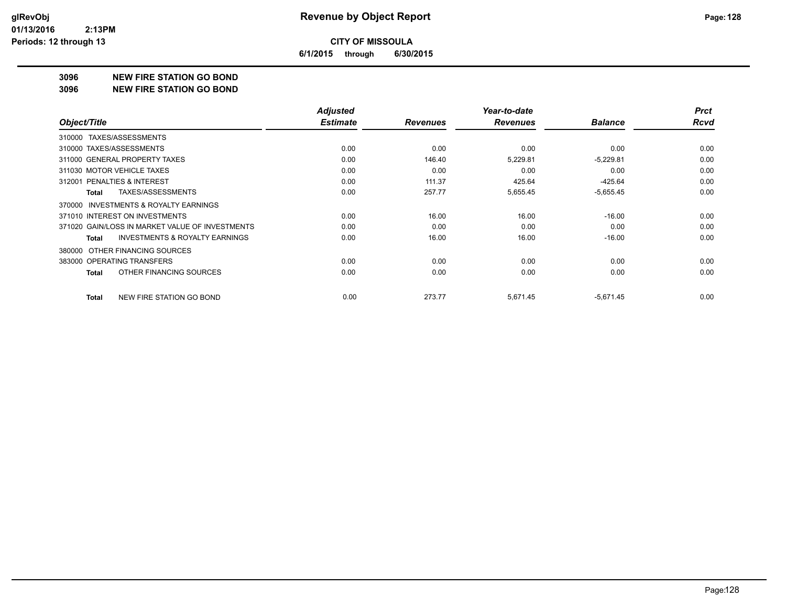**6/1/2015 through 6/30/2015**

#### **3096 NEW FIRE STATION GO BOND**

**3096 NEW FIRE STATION GO BOND**

|                                                    | <b>Adjusted</b> |                 | Year-to-date    |                | <b>Prct</b> |
|----------------------------------------------------|-----------------|-----------------|-----------------|----------------|-------------|
| Object/Title                                       | <b>Estimate</b> | <b>Revenues</b> | <b>Revenues</b> | <b>Balance</b> | <b>Rcvd</b> |
| TAXES/ASSESSMENTS<br>310000                        |                 |                 |                 |                |             |
| 310000 TAXES/ASSESSMENTS                           | 0.00            | 0.00            | 0.00            | 0.00           | 0.00        |
| 311000 GENERAL PROPERTY TAXES                      | 0.00            | 146.40          | 5,229.81        | $-5,229.81$    | 0.00        |
| 311030 MOTOR VEHICLE TAXES                         | 0.00            | 0.00            | 0.00            | 0.00           | 0.00        |
| 312001 PENALTIES & INTEREST                        | 0.00            | 111.37          | 425.64          | $-425.64$      | 0.00        |
| TAXES/ASSESSMENTS<br>Total                         | 0.00            | 257.77          | 5,655.45        | $-5,655.45$    | 0.00        |
| 370000 INVESTMENTS & ROYALTY EARNINGS              |                 |                 |                 |                |             |
| 371010 INTEREST ON INVESTMENTS                     | 0.00            | 16.00           | 16.00           | $-16.00$       | 0.00        |
| 371020 GAIN/LOSS IN MARKET VALUE OF INVESTMENTS    | 0.00            | 0.00            | 0.00            | 0.00           | 0.00        |
| <b>INVESTMENTS &amp; ROYALTY EARNINGS</b><br>Total | 0.00            | 16.00           | 16.00           | $-16.00$       | 0.00        |
| OTHER FINANCING SOURCES<br>380000                  |                 |                 |                 |                |             |
| 383000 OPERATING TRANSFERS                         | 0.00            | 0.00            | 0.00            | 0.00           | 0.00        |
| OTHER FINANCING SOURCES<br>Total                   | 0.00            | 0.00            | 0.00            | 0.00           | 0.00        |
| NEW FIRE STATION GO BOND<br><b>Total</b>           | 0.00            | 273.77          | 5,671.45        | $-5,671.45$    | 0.00        |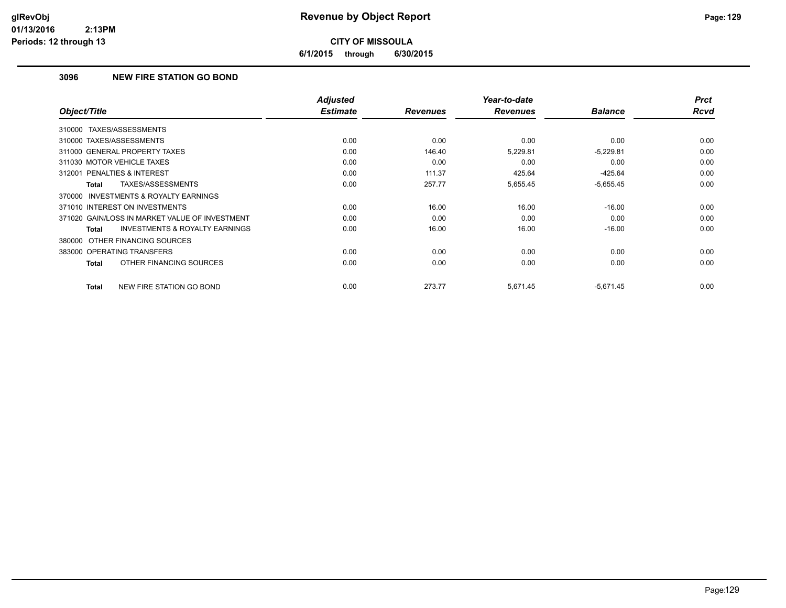**6/1/2015 through 6/30/2015**

# **3096 NEW FIRE STATION GO BOND**

| Object/Title                                        | <b>Adjusted</b><br><b>Estimate</b> | <b>Revenues</b> | Year-to-date<br><b>Revenues</b> | <b>Balance</b> | <b>Prct</b><br><b>Rcvd</b> |
|-----------------------------------------------------|------------------------------------|-----------------|---------------------------------|----------------|----------------------------|
| TAXES/ASSESSMENTS<br>310000                         |                                    |                 |                                 |                |                            |
| 310000 TAXES/ASSESSMENTS                            | 0.00                               | 0.00            | 0.00                            | 0.00           | 0.00                       |
| 311000 GENERAL PROPERTY TAXES                       | 0.00                               | 146.40          | 5,229.81                        | $-5,229.81$    | 0.00                       |
| 311030 MOTOR VEHICLE TAXES                          | 0.00                               | 0.00            | 0.00                            | 0.00           | 0.00                       |
| <b>PENALTIES &amp; INTEREST</b><br>312001           | 0.00                               | 111.37          | 425.64                          | $-425.64$      | 0.00                       |
| <b>TAXES/ASSESSMENTS</b><br><b>Total</b>            | 0.00                               | 257.77          | 5,655.45                        | $-5,655.45$    | 0.00                       |
| <b>INVESTMENTS &amp; ROYALTY EARNINGS</b><br>370000 |                                    |                 |                                 |                |                            |
| 371010 INTEREST ON INVESTMENTS                      | 0.00                               | 16.00           | 16.00                           | $-16.00$       | 0.00                       |
| 371020 GAIN/LOSS IN MARKET VALUE OF INVESTMENT      | 0.00                               | 0.00            | 0.00                            | 0.00           | 0.00                       |
| <b>INVESTMENTS &amp; ROYALTY EARNINGS</b><br>Total  | 0.00                               | 16.00           | 16.00                           | $-16.00$       | 0.00                       |
| 380000 OTHER FINANCING SOURCES                      |                                    |                 |                                 |                |                            |
| 383000 OPERATING TRANSFERS                          | 0.00                               | 0.00            | 0.00                            | 0.00           | 0.00                       |
| OTHER FINANCING SOURCES<br>Total                    | 0.00                               | 0.00            | 0.00                            | 0.00           | 0.00                       |
| NEW FIRE STATION GO BOND<br><b>Total</b>            | 0.00                               | 273.77          | 5,671.45                        | $-5,671.45$    | 0.00                       |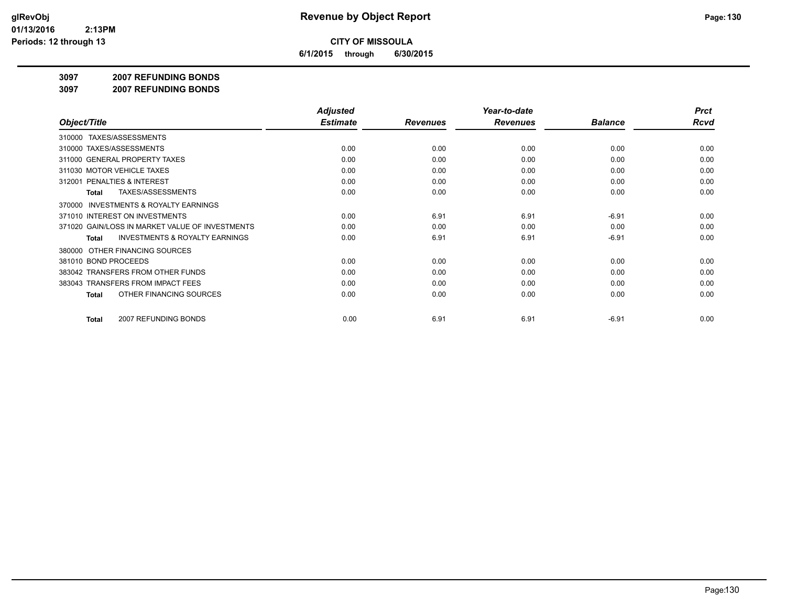**6/1/2015 through 6/30/2015**

#### **3097 2007 REFUNDING BONDS**

**3097 2007 REFUNDING BONDS**

|                                                     | <b>Adjusted</b> |                 | Year-to-date    |                | <b>Prct</b> |
|-----------------------------------------------------|-----------------|-----------------|-----------------|----------------|-------------|
| Object/Title                                        | <b>Estimate</b> | <b>Revenues</b> | <b>Revenues</b> | <b>Balance</b> | Rcvd        |
| TAXES/ASSESSMENTS<br>310000                         |                 |                 |                 |                |             |
| 310000 TAXES/ASSESSMENTS                            | 0.00            | 0.00            | 0.00            | 0.00           | 0.00        |
| 311000 GENERAL PROPERTY TAXES                       | 0.00            | 0.00            | 0.00            | 0.00           | 0.00        |
| 311030 MOTOR VEHICLE TAXES                          | 0.00            | 0.00            | 0.00            | 0.00           | 0.00        |
| 312001 PENALTIES & INTEREST                         | 0.00            | 0.00            | 0.00            | 0.00           | 0.00        |
| <b>TAXES/ASSESSMENTS</b><br>Total                   | 0.00            | 0.00            | 0.00            | 0.00           | 0.00        |
| <b>INVESTMENTS &amp; ROYALTY EARNINGS</b><br>370000 |                 |                 |                 |                |             |
| 371010 INTEREST ON INVESTMENTS                      | 0.00            | 6.91            | 6.91            | $-6.91$        | 0.00        |
| 371020 GAIN/LOSS IN MARKET VALUE OF INVESTMENTS     | 0.00            | 0.00            | 0.00            | 0.00           | 0.00        |
| <b>INVESTMENTS &amp; ROYALTY EARNINGS</b><br>Total  | 0.00            | 6.91            | 6.91            | $-6.91$        | 0.00        |
| OTHER FINANCING SOURCES<br>380000                   |                 |                 |                 |                |             |
| 381010 BOND PROCEEDS                                | 0.00            | 0.00            | 0.00            | 0.00           | 0.00        |
| 383042 TRANSFERS FROM OTHER FUNDS                   | 0.00            | 0.00            | 0.00            | 0.00           | 0.00        |
| 383043 TRANSFERS FROM IMPACT FEES                   | 0.00            | 0.00            | 0.00            | 0.00           | 0.00        |
| OTHER FINANCING SOURCES<br>Total                    | 0.00            | 0.00            | 0.00            | 0.00           | 0.00        |
| 2007 REFUNDING BONDS<br>Total                       | 0.00            | 6.91            | 6.91            | $-6.91$        | 0.00        |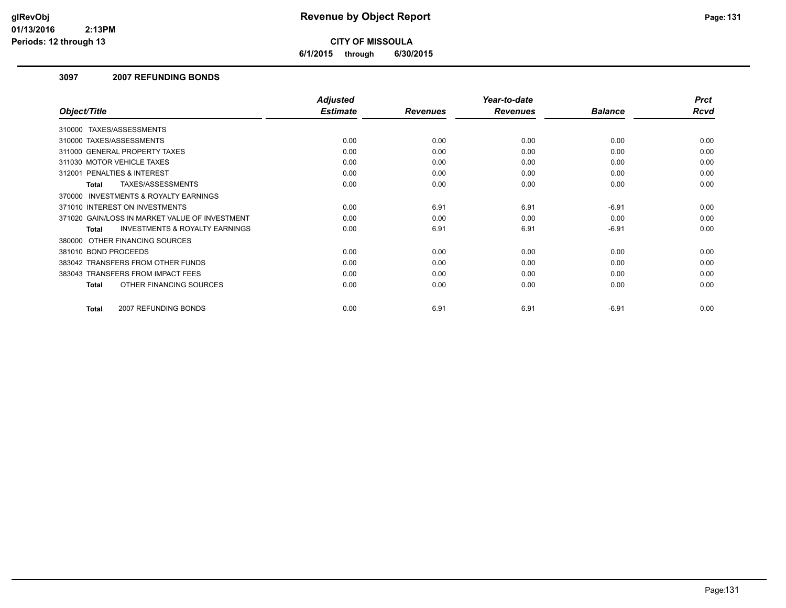**6/1/2015 through 6/30/2015**

## **3097 2007 REFUNDING BONDS**

|                                                           | <b>Adjusted</b> |                 | Year-to-date    |                | <b>Prct</b> |
|-----------------------------------------------------------|-----------------|-----------------|-----------------|----------------|-------------|
| Object/Title                                              | <b>Estimate</b> | <b>Revenues</b> | <b>Revenues</b> | <b>Balance</b> | <b>Rcvd</b> |
| 310000 TAXES/ASSESSMENTS                                  |                 |                 |                 |                |             |
| 310000 TAXES/ASSESSMENTS                                  | 0.00            | 0.00            | 0.00            | 0.00           | 0.00        |
| 311000 GENERAL PROPERTY TAXES                             | 0.00            | 0.00            | 0.00            | 0.00           | 0.00        |
| 311030 MOTOR VEHICLE TAXES                                | 0.00            | 0.00            | 0.00            | 0.00           | 0.00        |
| 312001 PENALTIES & INTEREST                               | 0.00            | 0.00            | 0.00            | 0.00           | 0.00        |
| TAXES/ASSESSMENTS<br><b>Total</b>                         | 0.00            | 0.00            | 0.00            | 0.00           | 0.00        |
| <b>INVESTMENTS &amp; ROYALTY EARNINGS</b><br>370000       |                 |                 |                 |                |             |
| 371010 INTEREST ON INVESTMENTS                            | 0.00            | 6.91            | 6.91            | $-6.91$        | 0.00        |
| 371020 GAIN/LOSS IN MARKET VALUE OF INVESTMENT            | 0.00            | 0.00            | 0.00            | 0.00           | 0.00        |
| <b>INVESTMENTS &amp; ROYALTY EARNINGS</b><br><b>Total</b> | 0.00            | 6.91            | 6.91            | $-6.91$        | 0.00        |
| 380000 OTHER FINANCING SOURCES                            |                 |                 |                 |                |             |
| 381010 BOND PROCEEDS                                      | 0.00            | 0.00            | 0.00            | 0.00           | 0.00        |
| 383042 TRANSFERS FROM OTHER FUNDS                         | 0.00            | 0.00            | 0.00            | 0.00           | 0.00        |
| 383043 TRANSFERS FROM IMPACT FEES                         | 0.00            | 0.00            | 0.00            | 0.00           | 0.00        |
| OTHER FINANCING SOURCES<br><b>Total</b>                   | 0.00            | 0.00            | 0.00            | 0.00           | 0.00        |
|                                                           |                 |                 |                 |                |             |
| 2007 REFUNDING BONDS<br>Total                             | 0.00            | 6.91            | 6.91            | $-6.91$        | 0.00        |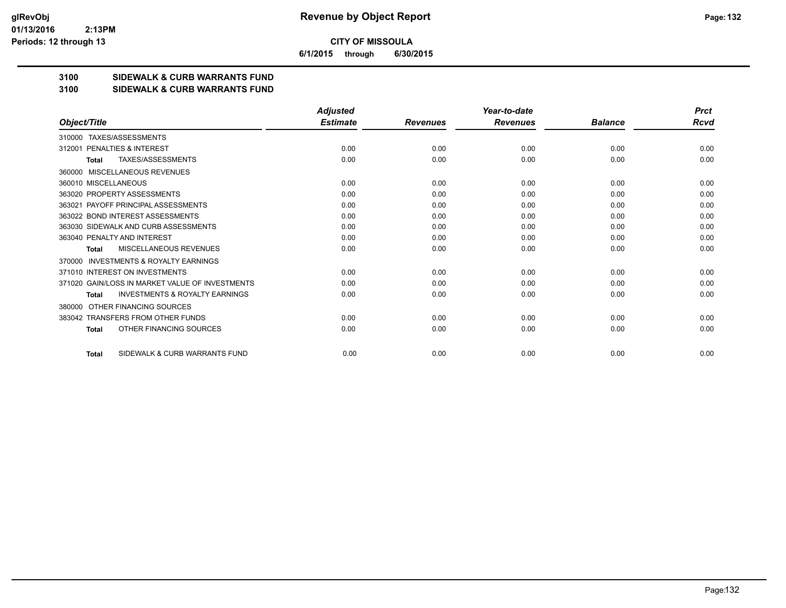**6/1/2015 through 6/30/2015**

# **3100 SIDEWALK & CURB WARRANTS FUND**

#### **3100 SIDEWALK & CURB WARRANTS FUND**

|                                                           | <b>Adjusted</b> |                 | Year-to-date    |                | <b>Prct</b> |
|-----------------------------------------------------------|-----------------|-----------------|-----------------|----------------|-------------|
| Object/Title                                              | <b>Estimate</b> | <b>Revenues</b> | <b>Revenues</b> | <b>Balance</b> | Rcvd        |
| 310000 TAXES/ASSESSMENTS                                  |                 |                 |                 |                |             |
| PENALTIES & INTEREST<br>312001                            | 0.00            | 0.00            | 0.00            | 0.00           | 0.00        |
| TAXES/ASSESSMENTS<br><b>Total</b>                         | 0.00            | 0.00            | 0.00            | 0.00           | 0.00        |
| MISCELLANEOUS REVENUES<br>360000                          |                 |                 |                 |                |             |
| 360010 MISCELLANEOUS                                      | 0.00            | 0.00            | 0.00            | 0.00           | 0.00        |
| 363020 PROPERTY ASSESSMENTS                               | 0.00            | 0.00            | 0.00            | 0.00           | 0.00        |
| 363021 PAYOFF PRINCIPAL ASSESSMENTS                       | 0.00            | 0.00            | 0.00            | 0.00           | 0.00        |
| 363022 BOND INTEREST ASSESSMENTS                          | 0.00            | 0.00            | 0.00            | 0.00           | 0.00        |
| 363030 SIDEWALK AND CURB ASSESSMENTS                      | 0.00            | 0.00            | 0.00            | 0.00           | 0.00        |
| 363040 PENALTY AND INTEREST                               | 0.00            | 0.00            | 0.00            | 0.00           | 0.00        |
| MISCELLANEOUS REVENUES<br><b>Total</b>                    | 0.00            | 0.00            | 0.00            | 0.00           | 0.00        |
| <b>INVESTMENTS &amp; ROYALTY EARNINGS</b><br>370000       |                 |                 |                 |                |             |
| 371010 INTEREST ON INVESTMENTS                            | 0.00            | 0.00            | 0.00            | 0.00           | 0.00        |
| 371020 GAIN/LOSS IN MARKET VALUE OF INVESTMENTS           | 0.00            | 0.00            | 0.00            | 0.00           | 0.00        |
| <b>INVESTMENTS &amp; ROYALTY EARNINGS</b><br><b>Total</b> | 0.00            | 0.00            | 0.00            | 0.00           | 0.00        |
| OTHER FINANCING SOURCES<br>380000                         |                 |                 |                 |                |             |
| 383042 TRANSFERS FROM OTHER FUNDS                         | 0.00            | 0.00            | 0.00            | 0.00           | 0.00        |
| OTHER FINANCING SOURCES<br><b>Total</b>                   | 0.00            | 0.00            | 0.00            | 0.00           | 0.00        |
| SIDEWALK & CURB WARRANTS FUND<br><b>Total</b>             | 0.00            | 0.00            | 0.00            | 0.00           | 0.00        |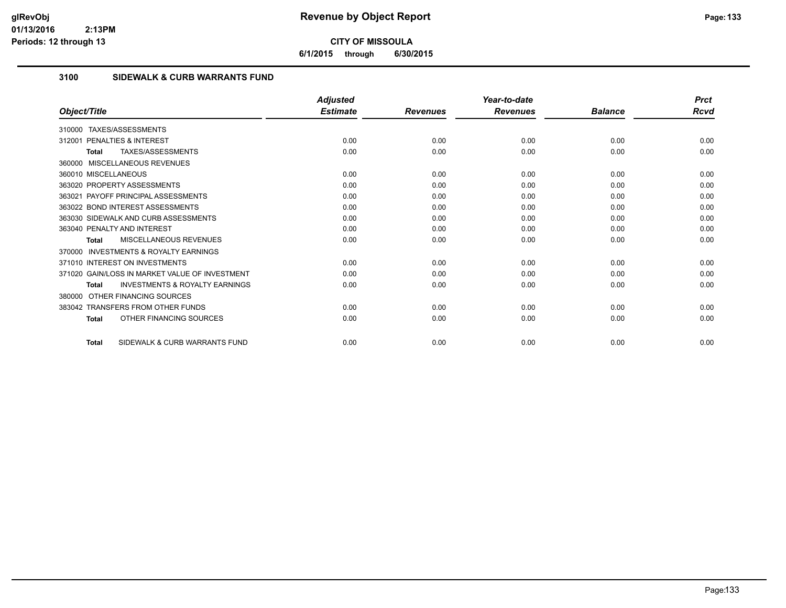**6/1/2015 through 6/30/2015**

# **3100 SIDEWALK & CURB WARRANTS FUND**

|                                                           | <b>Adjusted</b> |                 | Year-to-date    |                | <b>Prct</b> |
|-----------------------------------------------------------|-----------------|-----------------|-----------------|----------------|-------------|
| Object/Title                                              | <b>Estimate</b> | <b>Revenues</b> | <b>Revenues</b> | <b>Balance</b> | Rcvd        |
| TAXES/ASSESSMENTS<br>310000                               |                 |                 |                 |                |             |
| <b>PENALTIES &amp; INTEREST</b><br>312001                 | 0.00            | 0.00            | 0.00            | 0.00           | 0.00        |
| TAXES/ASSESSMENTS<br>Total                                | 0.00            | 0.00            | 0.00            | 0.00           | 0.00        |
| 360000 MISCELLANEOUS REVENUES                             |                 |                 |                 |                |             |
| 360010 MISCELLANEOUS                                      | 0.00            | 0.00            | 0.00            | 0.00           | 0.00        |
| 363020 PROPERTY ASSESSMENTS                               | 0.00            | 0.00            | 0.00            | 0.00           | 0.00        |
| 363021 PAYOFF PRINCIPAL ASSESSMENTS                       | 0.00            | 0.00            | 0.00            | 0.00           | 0.00        |
| 363022 BOND INTEREST ASSESSMENTS                          | 0.00            | 0.00            | 0.00            | 0.00           | 0.00        |
| 363030 SIDEWALK AND CURB ASSESSMENTS                      | 0.00            | 0.00            | 0.00            | 0.00           | 0.00        |
| 363040 PENALTY AND INTEREST                               | 0.00            | 0.00            | 0.00            | 0.00           | 0.00        |
| MISCELLANEOUS REVENUES<br><b>Total</b>                    | 0.00            | 0.00            | 0.00            | 0.00           | 0.00        |
| <b>INVESTMENTS &amp; ROYALTY EARNINGS</b><br>370000       |                 |                 |                 |                |             |
| 371010 INTEREST ON INVESTMENTS                            | 0.00            | 0.00            | 0.00            | 0.00           | 0.00        |
| 371020 GAIN/LOSS IN MARKET VALUE OF INVESTMENT            | 0.00            | 0.00            | 0.00            | 0.00           | 0.00        |
| <b>INVESTMENTS &amp; ROYALTY EARNINGS</b><br><b>Total</b> | 0.00            | 0.00            | 0.00            | 0.00           | 0.00        |
| OTHER FINANCING SOURCES<br>380000                         |                 |                 |                 |                |             |
| 383042 TRANSFERS FROM OTHER FUNDS                         | 0.00            | 0.00            | 0.00            | 0.00           | 0.00        |
| OTHER FINANCING SOURCES<br>Total                          | 0.00            | 0.00            | 0.00            | 0.00           | 0.00        |
| SIDEWALK & CURB WARRANTS FUND<br><b>Total</b>             | 0.00            | 0.00            | 0.00            | 0.00           | 0.00        |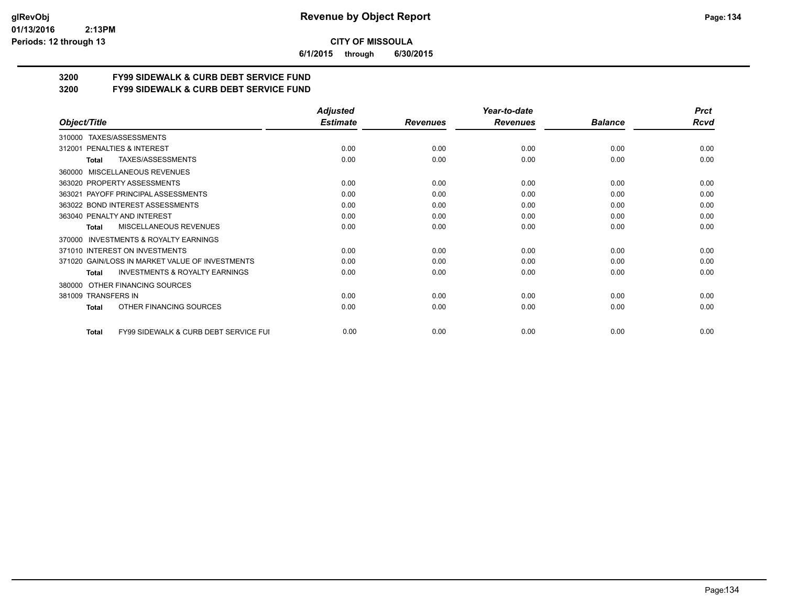#### **01/13/2016 2:13PM Periods: 12 through 13**

**CITY OF MISSOULA**

**6/1/2015 through 6/30/2015**

# **3200 FY99 SIDEWALK & CURB DEBT SERVICE FUND**

**3200 FY99 SIDEWALK & CURB DEBT SERVICE FUND**

|                                                                  | <b>Adjusted</b> |                 | Year-to-date    |                | <b>Prct</b> |
|------------------------------------------------------------------|-----------------|-----------------|-----------------|----------------|-------------|
| Object/Title                                                     | <b>Estimate</b> | <b>Revenues</b> | <b>Revenues</b> | <b>Balance</b> | <b>Rcvd</b> |
| TAXES/ASSESSMENTS<br>310000                                      |                 |                 |                 |                |             |
| PENALTIES & INTEREST<br>312001                                   | 0.00            | 0.00            | 0.00            | 0.00           | 0.00        |
| TAXES/ASSESSMENTS<br>Total                                       | 0.00            | 0.00            | 0.00            | 0.00           | 0.00        |
| <b>MISCELLANEOUS REVENUES</b><br>360000                          |                 |                 |                 |                |             |
| 363020 PROPERTY ASSESSMENTS                                      | 0.00            | 0.00            | 0.00            | 0.00           | 0.00        |
| 363021 PAYOFF PRINCIPAL ASSESSMENTS                              | 0.00            | 0.00            | 0.00            | 0.00           | 0.00        |
| 363022 BOND INTEREST ASSESSMENTS                                 | 0.00            | 0.00            | 0.00            | 0.00           | 0.00        |
| 363040 PENALTY AND INTEREST                                      | 0.00            | 0.00            | 0.00            | 0.00           | 0.00        |
| MISCELLANEOUS REVENUES<br>Total                                  | 0.00            | 0.00            | 0.00            | 0.00           | 0.00        |
| <b>INVESTMENTS &amp; ROYALTY EARNINGS</b><br>370000              |                 |                 |                 |                |             |
| 371010 INTEREST ON INVESTMENTS                                   | 0.00            | 0.00            | 0.00            | 0.00           | 0.00        |
| 371020 GAIN/LOSS IN MARKET VALUE OF INVESTMENTS                  | 0.00            | 0.00            | 0.00            | 0.00           | 0.00        |
| <b>INVESTMENTS &amp; ROYALTY EARNINGS</b><br><b>Total</b>        | 0.00            | 0.00            | 0.00            | 0.00           | 0.00        |
| OTHER FINANCING SOURCES<br>380000                                |                 |                 |                 |                |             |
| 381009 TRANSFERS IN                                              | 0.00            | 0.00            | 0.00            | 0.00           | 0.00        |
| OTHER FINANCING SOURCES<br><b>Total</b>                          | 0.00            | 0.00            | 0.00            | 0.00           | 0.00        |
| <b>FY99 SIDEWALK &amp; CURB DEBT SERVICE FUI</b><br><b>Total</b> | 0.00            | 0.00            | 0.00            | 0.00           | 0.00        |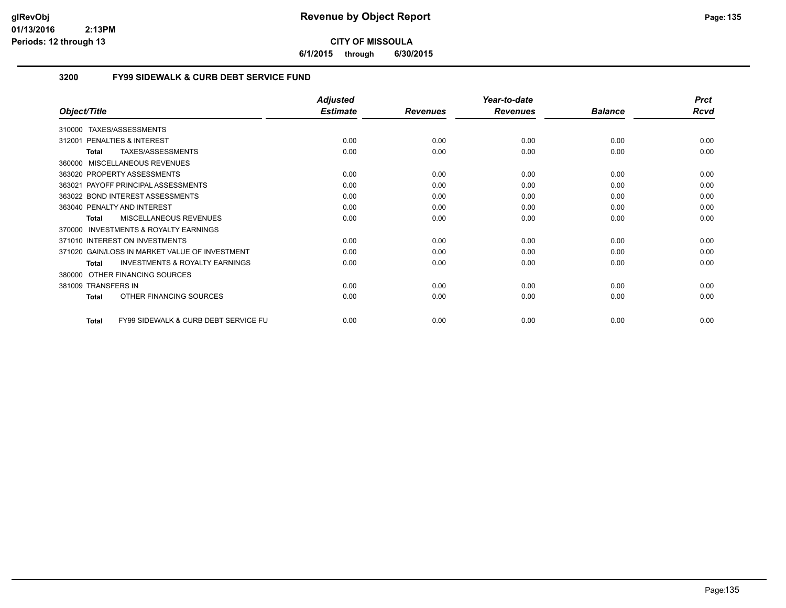**6/1/2015 through 6/30/2015**

# **3200 FY99 SIDEWALK & CURB DEBT SERVICE FUND**

|                                                                 | <b>Adjusted</b> |                 | Year-to-date    |                | <b>Prct</b> |
|-----------------------------------------------------------------|-----------------|-----------------|-----------------|----------------|-------------|
| Object/Title                                                    | <b>Estimate</b> | <b>Revenues</b> | <b>Revenues</b> | <b>Balance</b> | <b>Rcvd</b> |
| TAXES/ASSESSMENTS<br>310000                                     |                 |                 |                 |                |             |
| PENALTIES & INTEREST<br>312001                                  | 0.00            | 0.00            | 0.00            | 0.00           | 0.00        |
| TAXES/ASSESSMENTS<br><b>Total</b>                               | 0.00            | 0.00            | 0.00            | 0.00           | 0.00        |
| 360000 MISCELLANEOUS REVENUES                                   |                 |                 |                 |                |             |
| 363020 PROPERTY ASSESSMENTS                                     | 0.00            | 0.00            | 0.00            | 0.00           | 0.00        |
| 363021 PAYOFF PRINCIPAL ASSESSMENTS                             | 0.00            | 0.00            | 0.00            | 0.00           | 0.00        |
| 363022 BOND INTEREST ASSESSMENTS                                | 0.00            | 0.00            | 0.00            | 0.00           | 0.00        |
| 363040 PENALTY AND INTEREST                                     | 0.00            | 0.00            | 0.00            | 0.00           | 0.00        |
| <b>MISCELLANEOUS REVENUES</b><br><b>Total</b>                   | 0.00            | 0.00            | 0.00            | 0.00           | 0.00        |
| <b>INVESTMENTS &amp; ROYALTY EARNINGS</b><br>370000             |                 |                 |                 |                |             |
| 371010 INTEREST ON INVESTMENTS                                  | 0.00            | 0.00            | 0.00            | 0.00           | 0.00        |
| 371020 GAIN/LOSS IN MARKET VALUE OF INVESTMENT                  | 0.00            | 0.00            | 0.00            | 0.00           | 0.00        |
| <b>INVESTMENTS &amp; ROYALTY EARNINGS</b><br><b>Total</b>       | 0.00            | 0.00            | 0.00            | 0.00           | 0.00        |
| OTHER FINANCING SOURCES<br>380000                               |                 |                 |                 |                |             |
| 381009 TRANSFERS IN                                             | 0.00            | 0.00            | 0.00            | 0.00           | 0.00        |
| OTHER FINANCING SOURCES<br><b>Total</b>                         | 0.00            | 0.00            | 0.00            | 0.00           | 0.00        |
| <b>FY99 SIDEWALK &amp; CURB DEBT SERVICE FU</b><br><b>Total</b> | 0.00            | 0.00            | 0.00            | 0.00           | 0.00        |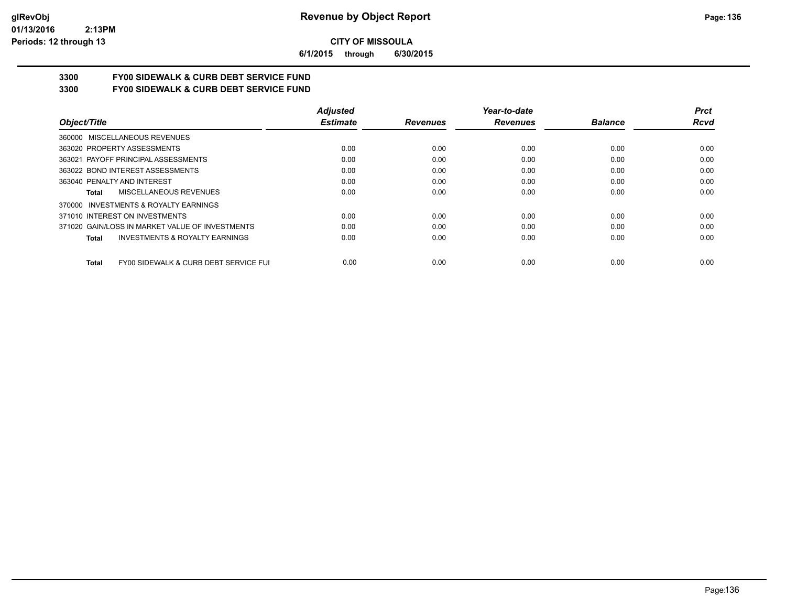**6/1/2015 through 6/30/2015**

# **3300 FY00 SIDEWALK & CURB DEBT SERVICE FUND**

**3300 FY00 SIDEWALK & CURB DEBT SERVICE FUND**

|                                                       | <b>Adjusted</b> |                 | Year-to-date    |                | <b>Prct</b> |
|-------------------------------------------------------|-----------------|-----------------|-----------------|----------------|-------------|
| Object/Title                                          | <b>Estimate</b> | <b>Revenues</b> | <b>Revenues</b> | <b>Balance</b> | <b>Rcvd</b> |
| 360000 MISCELLANEOUS REVENUES                         |                 |                 |                 |                |             |
| 363020 PROPERTY ASSESSMENTS                           | 0.00            | 0.00            | 0.00            | 0.00           | 0.00        |
| 363021 PAYOFF PRINCIPAL ASSESSMENTS                   | 0.00            | 0.00            | 0.00            | 0.00           | 0.00        |
| 363022 BOND INTEREST ASSESSMENTS                      | 0.00            | 0.00            | 0.00            | 0.00           | 0.00        |
| 363040 PENALTY AND INTEREST                           | 0.00            | 0.00            | 0.00            | 0.00           | 0.00        |
| MISCELLANEOUS REVENUES<br>Total                       | 0.00            | 0.00            | 0.00            | 0.00           | 0.00        |
| INVESTMENTS & ROYALTY EARNINGS<br>370000              |                 |                 |                 |                |             |
| 371010 INTEREST ON INVESTMENTS                        | 0.00            | 0.00            | 0.00            | 0.00           | 0.00        |
| 371020 GAIN/LOSS IN MARKET VALUE OF INVESTMENTS       | 0.00            | 0.00            | 0.00            | 0.00           | 0.00        |
| <b>INVESTMENTS &amp; ROYALTY EARNINGS</b><br>Total    | 0.00            | 0.00            | 0.00            | 0.00           | 0.00        |
| FY00 SIDEWALK & CURB DEBT SERVICE FUI<br><b>Total</b> | 0.00            | 0.00            | 0.00            | 0.00           | 0.00        |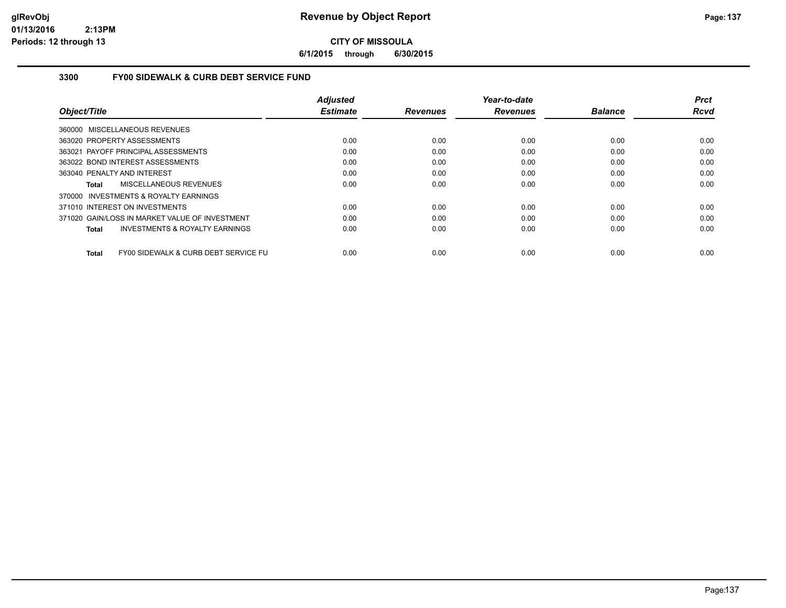**6/1/2015 through 6/30/2015**

# **3300 FY00 SIDEWALK & CURB DEBT SERVICE FUND**

| Object/Title                                       | <b>Adjusted</b><br><b>Estimate</b> | <b>Revenues</b> | Year-to-date<br><b>Revenues</b> | <b>Balance</b> | <b>Prct</b><br><b>Rcvd</b> |
|----------------------------------------------------|------------------------------------|-----------------|---------------------------------|----------------|----------------------------|
|                                                    |                                    |                 |                                 |                |                            |
| 360000 MISCELLANEOUS REVENUES                      |                                    |                 |                                 |                |                            |
| 363020 PROPERTY ASSESSMENTS                        | 0.00                               | 0.00            | 0.00                            | 0.00           | 0.00                       |
| 363021 PAYOFF PRINCIPAL ASSESSMENTS                | 0.00                               | 0.00            | 0.00                            | 0.00           | 0.00                       |
| 363022 BOND INTEREST ASSESSMENTS                   | 0.00                               | 0.00            | 0.00                            | 0.00           | 0.00                       |
| 363040 PENALTY AND INTEREST                        | 0.00                               | 0.00            | 0.00                            | 0.00           | 0.00                       |
| MISCELLANEOUS REVENUES<br>Total                    | 0.00                               | 0.00            | 0.00                            | 0.00           | 0.00                       |
| 370000 INVESTMENTS & ROYALTY EARNINGS              |                                    |                 |                                 |                |                            |
| 371010 INTEREST ON INVESTMENTS                     | 0.00                               | 0.00            | 0.00                            | 0.00           | 0.00                       |
| 371020 GAIN/LOSS IN MARKET VALUE OF INVESTMENT     | 0.00                               | 0.00            | 0.00                            | 0.00           | 0.00                       |
| <b>INVESTMENTS &amp; ROYALTY EARNINGS</b><br>Total | 0.00                               | 0.00            | 0.00                            | 0.00           | 0.00                       |
| FY00 SIDEWALK & CURB DEBT SERVICE FU<br>Total      | 0.00                               | 0.00            | 0.00                            | 0.00           | 0.00                       |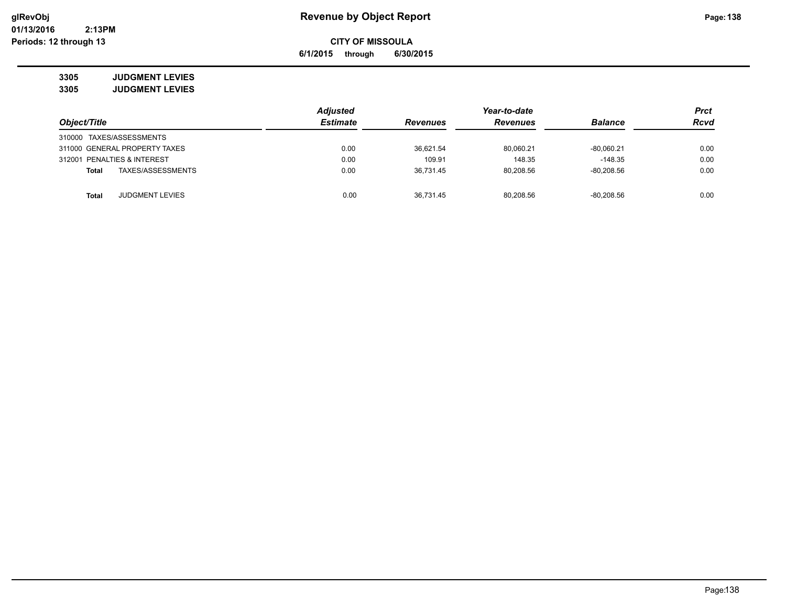**6/1/2015 through 6/30/2015**

**3305 JUDGMENT LEVIES 3305 JUDGMENT LEVIES**

|              |                               | <b>Adjusted</b> |                 | Year-to-date   |              | <b>Prct</b> |
|--------------|-------------------------------|-----------------|-----------------|----------------|--------------|-------------|
| Object/Title | <b>Estimate</b>               | <b>Revenues</b> | <b>Revenues</b> | <b>Balance</b> | <b>Rcvd</b>  |             |
|              | 310000 TAXES/ASSESSMENTS      |                 |                 |                |              |             |
|              | 311000 GENERAL PROPERTY TAXES | 0.00            | 36.621.54       | 80,060.21      | $-80,060.21$ | 0.00        |
|              | 312001 PENALTIES & INTEREST   | 0.00            | 109.91          | 148.35         | $-148.35$    | 0.00        |
| Total        | TAXES/ASSESSMENTS             | 0.00            | 36.731.45       | 80.208.56      | $-80,208.56$ | 0.00        |
| Total        | <b>JUDGMENT LEVIES</b>        | 0.00            | 36,731.45       | 80.208.56      | $-80,208.56$ | 0.00        |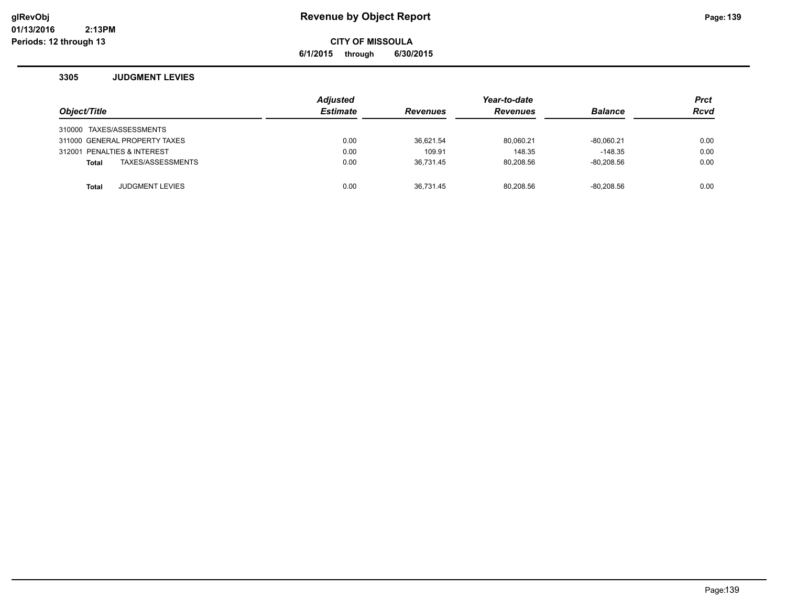**6/1/2015 through 6/30/2015**

#### **3305 JUDGMENT LEVIES**

| Object/Title                           | <b>Adjusted</b><br><b>Estimate</b> | <b>Revenues</b> | Year-to-date<br><b>Revenues</b> | <b>Balance</b> | <b>Prct</b><br><b>Rcvd</b> |
|----------------------------------------|------------------------------------|-----------------|---------------------------------|----------------|----------------------------|
| 310000 TAXES/ASSESSMENTS               |                                    |                 |                                 |                |                            |
| 311000 GENERAL PROPERTY TAXES          | 0.00                               | 36.621.54       | 80,060.21                       | $-80,060.21$   | 0.00                       |
| 312001 PENALTIES & INTEREST            | 0.00                               | 109.91          | 148.35                          | $-148.35$      | 0.00                       |
| TAXES/ASSESSMENTS<br><b>Total</b>      | 0.00                               | 36.731.45       | 80,208.56                       | $-80,208.56$   | 0.00                       |
|                                        |                                    |                 |                                 |                |                            |
| <b>JUDGMENT LEVIES</b><br><b>Total</b> | 0.00                               | 36.731.45       | 80.208.56                       | $-80.208.56$   | 0.00                       |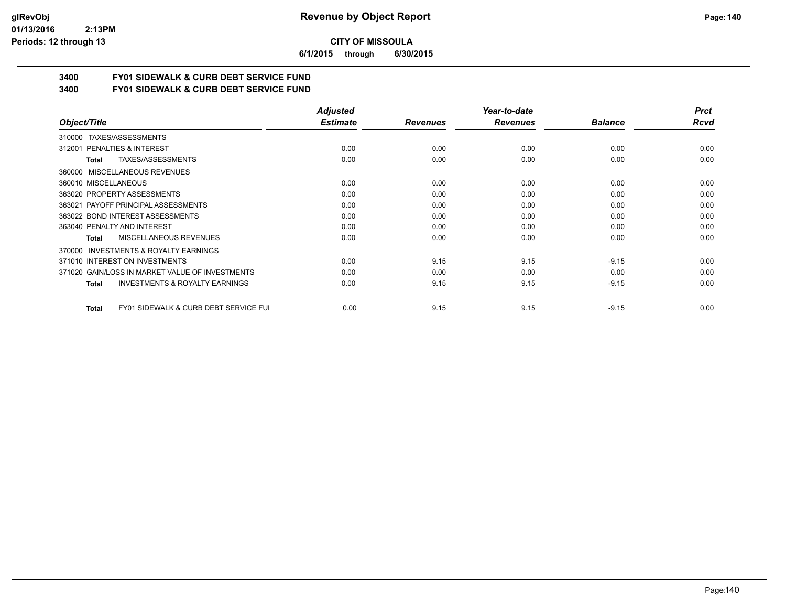#### **01/13/2016 2:13PM Periods: 12 through 13**

**CITY OF MISSOULA**

**6/1/2015 through 6/30/2015**

# **3400 FY01 SIDEWALK & CURB DEBT SERVICE FUND**

**3400 FY01 SIDEWALK & CURB DEBT SERVICE FUND**

|                                                           | <b>Adjusted</b> |                 | Year-to-date    |                | <b>Prct</b> |
|-----------------------------------------------------------|-----------------|-----------------|-----------------|----------------|-------------|
| Object/Title                                              | <b>Estimate</b> | <b>Revenues</b> | <b>Revenues</b> | <b>Balance</b> | <b>Rcvd</b> |
| TAXES/ASSESSMENTS<br>310000                               |                 |                 |                 |                |             |
| 312001 PENALTIES & INTEREST                               | 0.00            | 0.00            | 0.00            | 0.00           | 0.00        |
| TAXES/ASSESSMENTS<br>Total                                | 0.00            | 0.00            | 0.00            | 0.00           | 0.00        |
| MISCELLANEOUS REVENUES<br>360000                          |                 |                 |                 |                |             |
| 360010 MISCELLANEOUS                                      | 0.00            | 0.00            | 0.00            | 0.00           | 0.00        |
| 363020 PROPERTY ASSESSMENTS                               | 0.00            | 0.00            | 0.00            | 0.00           | 0.00        |
| 363021 PAYOFF PRINCIPAL ASSESSMENTS                       | 0.00            | 0.00            | 0.00            | 0.00           | 0.00        |
| 363022 BOND INTEREST ASSESSMENTS                          | 0.00            | 0.00            | 0.00            | 0.00           | 0.00        |
| 363040 PENALTY AND INTEREST                               | 0.00            | 0.00            | 0.00            | 0.00           | 0.00        |
| MISCELLANEOUS REVENUES<br>Total                           | 0.00            | 0.00            | 0.00            | 0.00           | 0.00        |
| <b>INVESTMENTS &amp; ROYALTY EARNINGS</b><br>370000       |                 |                 |                 |                |             |
| 371010 INTEREST ON INVESTMENTS                            | 0.00            | 9.15            | 9.15            | $-9.15$        | 0.00        |
| 371020 GAIN/LOSS IN MARKET VALUE OF INVESTMENTS           | 0.00            | 0.00            | 0.00            | 0.00           | 0.00        |
| <b>INVESTMENTS &amp; ROYALTY EARNINGS</b><br>Total        | 0.00            | 9.15            | 9.15            | $-9.15$        | 0.00        |
| <b>FY01 SIDEWALK &amp; CURB DEBT SERVICE FUI</b><br>Total | 0.00            | 9.15            | 9.15            | $-9.15$        | 0.00        |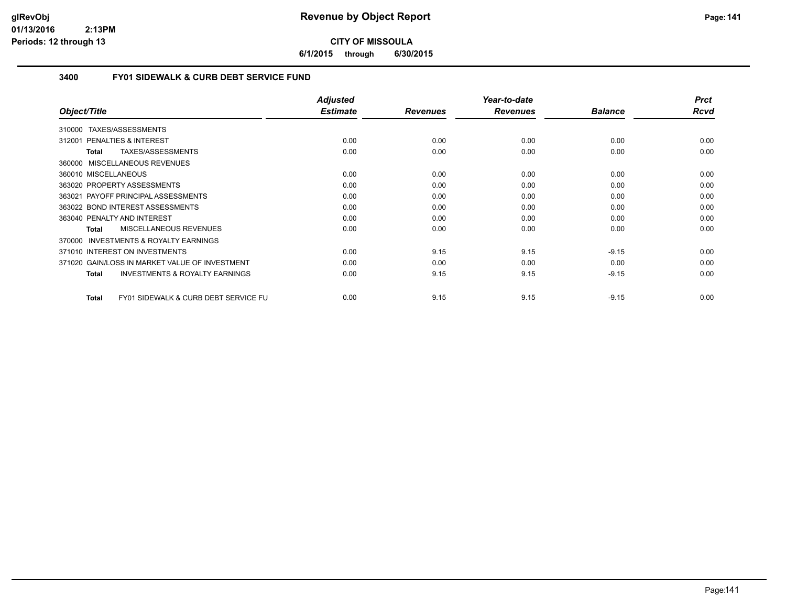**6/1/2015 through 6/30/2015**

# **3400 FY01 SIDEWALK & CURB DEBT SERVICE FUND**

|                                                           | <b>Adjusted</b> |                 | Year-to-date    |                | <b>Prct</b> |
|-----------------------------------------------------------|-----------------|-----------------|-----------------|----------------|-------------|
| Object/Title                                              | <b>Estimate</b> | <b>Revenues</b> | <b>Revenues</b> | <b>Balance</b> | <b>Rcvd</b> |
| 310000 TAXES/ASSESSMENTS                                  |                 |                 |                 |                |             |
| <b>PENALTIES &amp; INTEREST</b><br>312001                 | 0.00            | 0.00            | 0.00            | 0.00           | 0.00        |
| TAXES/ASSESSMENTS<br><b>Total</b>                         | 0.00            | 0.00            | 0.00            | 0.00           | 0.00        |
| 360000 MISCELLANEOUS REVENUES                             |                 |                 |                 |                |             |
| 360010 MISCELLANEOUS                                      | 0.00            | 0.00            | 0.00            | 0.00           | 0.00        |
| 363020 PROPERTY ASSESSMENTS                               | 0.00            | 0.00            | 0.00            | 0.00           | 0.00        |
| PAYOFF PRINCIPAL ASSESSMENTS<br>363021                    | 0.00            | 0.00            | 0.00            | 0.00           | 0.00        |
| 363022 BOND INTEREST ASSESSMENTS                          | 0.00            | 0.00            | 0.00            | 0.00           | 0.00        |
| 363040 PENALTY AND INTEREST                               | 0.00            | 0.00            | 0.00            | 0.00           | 0.00        |
| <b>MISCELLANEOUS REVENUES</b><br>Total                    | 0.00            | 0.00            | 0.00            | 0.00           | 0.00        |
| INVESTMENTS & ROYALTY EARNINGS<br>370000                  |                 |                 |                 |                |             |
| 371010 INTEREST ON INVESTMENTS                            | 0.00            | 9.15            | 9.15            | $-9.15$        | 0.00        |
| 371020 GAIN/LOSS IN MARKET VALUE OF INVESTMENT            | 0.00            | 0.00            | 0.00            | 0.00           | 0.00        |
| <b>INVESTMENTS &amp; ROYALTY EARNINGS</b><br><b>Total</b> | 0.00            | 9.15            | 9.15            | $-9.15$        | 0.00        |
| FY01 SIDEWALK & CURB DEBT SERVICE FU<br><b>Total</b>      | 0.00            | 9.15            | 9.15            | $-9.15$        | 0.00        |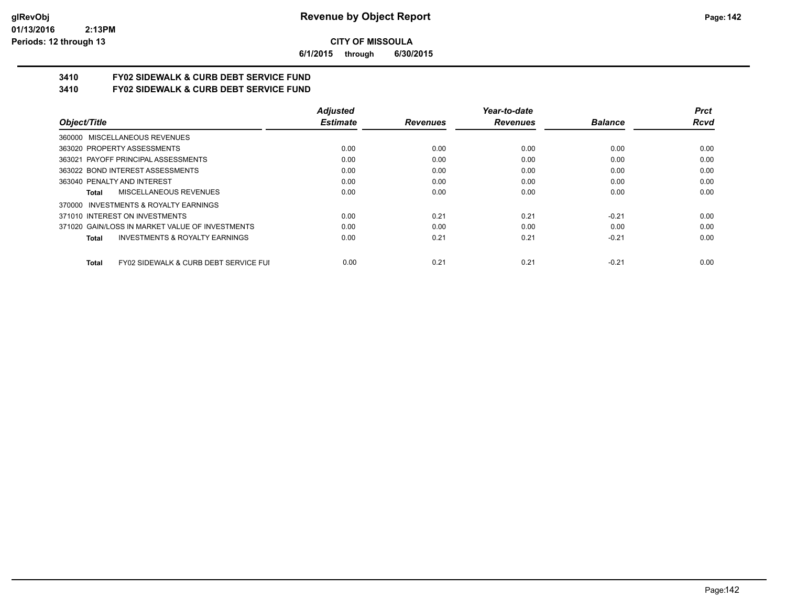**6/1/2015 through 6/30/2015**

# **3410 FY02 SIDEWALK & CURB DEBT SERVICE FUND**

**3410 FY02 SIDEWALK & CURB DEBT SERVICE FUND**

|                                                    | <b>Adjusted</b> |                 | Year-to-date    |                | <b>Prct</b> |
|----------------------------------------------------|-----------------|-----------------|-----------------|----------------|-------------|
| Object/Title                                       | <b>Estimate</b> | <b>Revenues</b> | <b>Revenues</b> | <b>Balance</b> | <b>Rcvd</b> |
| 360000 MISCELLANEOUS REVENUES                      |                 |                 |                 |                |             |
| 363020 PROPERTY ASSESSMENTS                        | 0.00            | 0.00            | 0.00            | 0.00           | 0.00        |
| 363021 PAYOFF PRINCIPAL ASSESSMENTS                | 0.00            | 0.00            | 0.00            | 0.00           | 0.00        |
| 363022 BOND INTEREST ASSESSMENTS                   | 0.00            | 0.00            | 0.00            | 0.00           | 0.00        |
| 363040 PENALTY AND INTEREST                        | 0.00            | 0.00            | 0.00            | 0.00           | 0.00        |
| MISCELLANEOUS REVENUES<br>Total                    | 0.00            | 0.00            | 0.00            | 0.00           | 0.00        |
| 370000 INVESTMENTS & ROYALTY EARNINGS              |                 |                 |                 |                |             |
| 371010 INTEREST ON INVESTMENTS                     | 0.00            | 0.21            | 0.21            | $-0.21$        | 0.00        |
| 371020 GAIN/LOSS IN MARKET VALUE OF INVESTMENTS    | 0.00            | 0.00            | 0.00            | 0.00           | 0.00        |
| <b>INVESTMENTS &amp; ROYALTY EARNINGS</b><br>Total | 0.00            | 0.21            | 0.21            | $-0.21$        | 0.00        |
| FY02 SIDEWALK & CURB DEBT SERVICE FUI<br>Total     | 0.00            | 0.21            | 0.21            | $-0.21$        | 0.00        |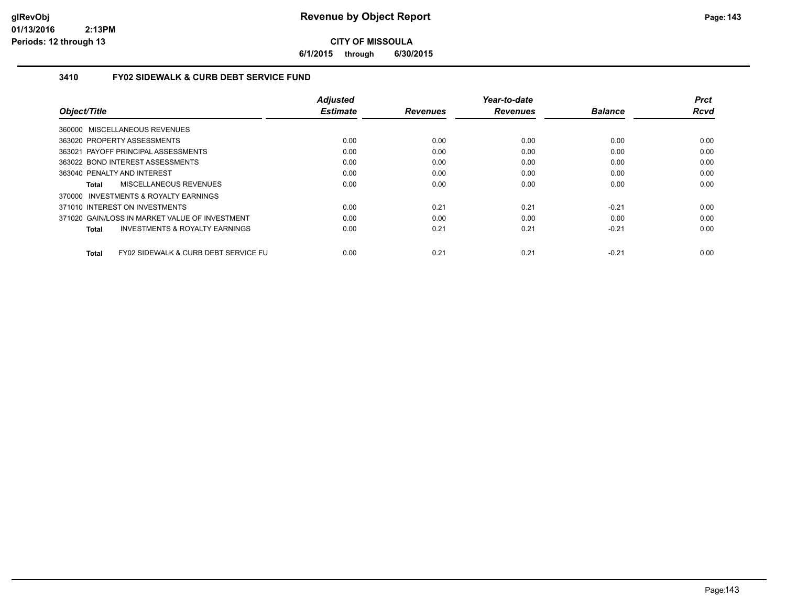**6/1/2015 through 6/30/2015**

# **3410 FY02 SIDEWALK & CURB DEBT SERVICE FUND**

|                                                    | <b>Adjusted</b> |                 | Year-to-date    |                | <b>Prct</b> |
|----------------------------------------------------|-----------------|-----------------|-----------------|----------------|-------------|
| Object/Title                                       | <b>Estimate</b> | <b>Revenues</b> | <b>Revenues</b> | <b>Balance</b> | <b>Rcvd</b> |
| 360000 MISCELLANEOUS REVENUES                      |                 |                 |                 |                |             |
| 363020 PROPERTY ASSESSMENTS                        | 0.00            | 0.00            | 0.00            | 0.00           | 0.00        |
| 363021 PAYOFF PRINCIPAL ASSESSMENTS                | 0.00            | 0.00            | 0.00            | 0.00           | 0.00        |
| 363022 BOND INTEREST ASSESSMENTS                   | 0.00            | 0.00            | 0.00            | 0.00           | 0.00        |
| 363040 PENALTY AND INTEREST                        | 0.00            | 0.00            | 0.00            | 0.00           | 0.00        |
| MISCELLANEOUS REVENUES<br>Total                    | 0.00            | 0.00            | 0.00            | 0.00           | 0.00        |
| 370000 INVESTMENTS & ROYALTY EARNINGS              |                 |                 |                 |                |             |
| 371010 INTEREST ON INVESTMENTS                     | 0.00            | 0.21            | 0.21            | $-0.21$        | 0.00        |
| 371020 GAIN/LOSS IN MARKET VALUE OF INVESTMENT     | 0.00            | 0.00            | 0.00            | 0.00           | 0.00        |
| <b>INVESTMENTS &amp; ROYALTY EARNINGS</b><br>Total | 0.00            | 0.21            | 0.21            | $-0.21$        | 0.00        |
| FY02 SIDEWALK & CURB DEBT SERVICE FU<br>Total      | 0.00            | 0.21            | 0.21            | $-0.21$        | 0.00        |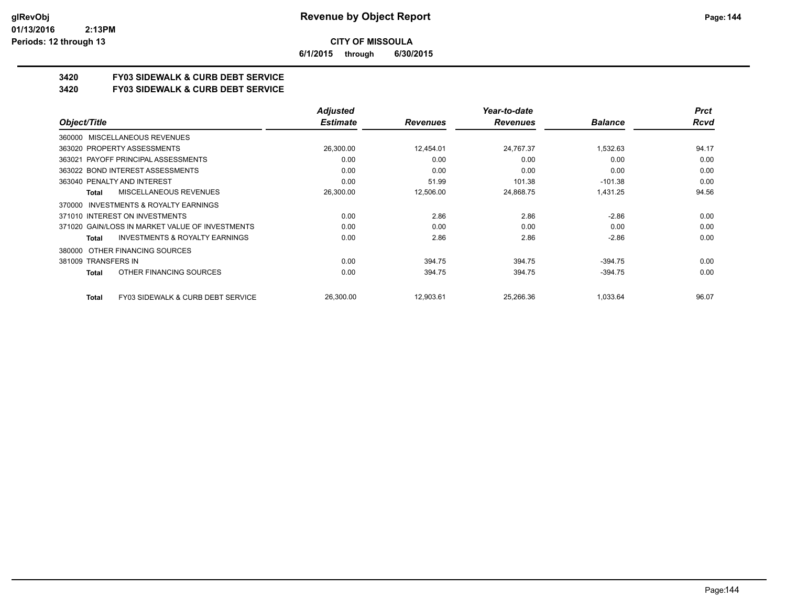**6/1/2015 through 6/30/2015**

# **3420 FY03 SIDEWALK & CURB DEBT SERVICE**

**3420 FY03 SIDEWALK & CURB DEBT SERVICE**

|                                                    | <b>Adjusted</b> |                 | Year-to-date    |                | <b>Prct</b> |
|----------------------------------------------------|-----------------|-----------------|-----------------|----------------|-------------|
| Object/Title                                       | <b>Estimate</b> | <b>Revenues</b> | <b>Revenues</b> | <b>Balance</b> | Rcvd        |
| 360000 MISCELLANEOUS REVENUES                      |                 |                 |                 |                |             |
| 363020 PROPERTY ASSESSMENTS                        | 26,300.00       | 12.454.01       | 24,767.37       | 1,532.63       | 94.17       |
| 363021 PAYOFF PRINCIPAL ASSESSMENTS                | 0.00            | 0.00            | 0.00            | 0.00           | 0.00        |
| 363022 BOND INTEREST ASSESSMENTS                   | 0.00            | 0.00            | 0.00            | 0.00           | 0.00        |
| 363040 PENALTY AND INTEREST                        | 0.00            | 51.99           | 101.38          | $-101.38$      | 0.00        |
| <b>MISCELLANEOUS REVENUES</b><br><b>Total</b>      | 26,300.00       | 12,506.00       | 24,868.75       | 1,431.25       | 94.56       |
| 370000 INVESTMENTS & ROYALTY EARNINGS              |                 |                 |                 |                |             |
| 371010 INTEREST ON INVESTMENTS                     | 0.00            | 2.86            | 2.86            | $-2.86$        | 0.00        |
| 371020 GAIN/LOSS IN MARKET VALUE OF INVESTMENTS    | 0.00            | 0.00            | 0.00            | 0.00           | 0.00        |
| <b>INVESTMENTS &amp; ROYALTY EARNINGS</b><br>Total | 0.00            | 2.86            | 2.86            | $-2.86$        | 0.00        |
| OTHER FINANCING SOURCES<br>380000                  |                 |                 |                 |                |             |
| 381009 TRANSFERS IN                                | 0.00            | 394.75          | 394.75          | $-394.75$      | 0.00        |
| OTHER FINANCING SOURCES<br>Total                   | 0.00            | 394.75          | 394.75          | $-394.75$      | 0.00        |
| FY03 SIDEWALK & CURB DEBT SERVICE<br><b>Total</b>  | 26,300.00       | 12,903.61       | 25,266.36       | 1,033.64       | 96.07       |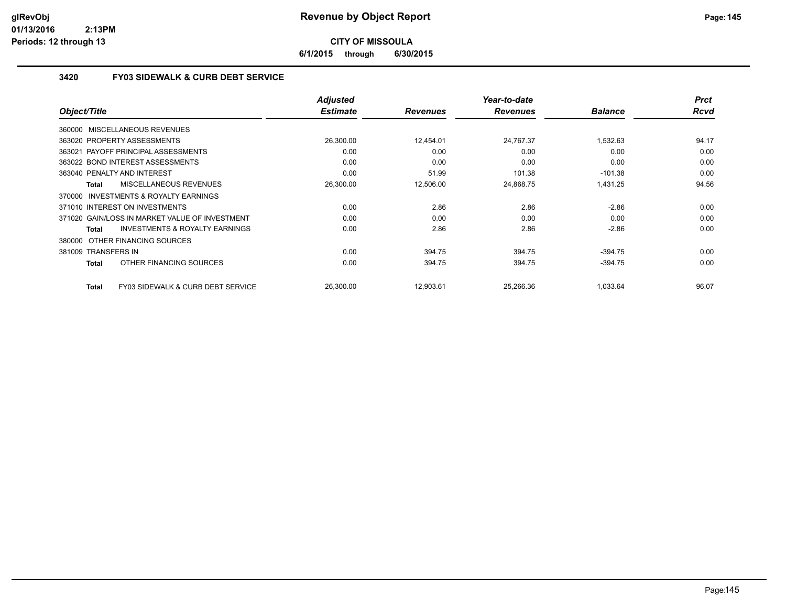**6/1/2015 through 6/30/2015**

## **3420 FY03 SIDEWALK & CURB DEBT SERVICE**

|                                                    | <b>Adjusted</b> |                 | Year-to-date    |                | <b>Prct</b> |
|----------------------------------------------------|-----------------|-----------------|-----------------|----------------|-------------|
| Object/Title                                       | <b>Estimate</b> | <b>Revenues</b> | <b>Revenues</b> | <b>Balance</b> | <b>Rcvd</b> |
| 360000 MISCELLANEOUS REVENUES                      |                 |                 |                 |                |             |
| 363020 PROPERTY ASSESSMENTS                        | 26,300.00       | 12.454.01       | 24.767.37       | 1,532.63       | 94.17       |
| 363021 PAYOFF PRINCIPAL ASSESSMENTS                | 0.00            | 0.00            | 0.00            | 0.00           | 0.00        |
| 363022 BOND INTEREST ASSESSMENTS                   | 0.00            | 0.00            | 0.00            | 0.00           | 0.00        |
| 363040 PENALTY AND INTEREST                        | 0.00            | 51.99           | 101.38          | $-101.38$      | 0.00        |
| MISCELLANEOUS REVENUES<br>Total                    | 26,300.00       | 12,506.00       | 24,868.75       | 1,431.25       | 94.56       |
| 370000 INVESTMENTS & ROYALTY EARNINGS              |                 |                 |                 |                |             |
| 371010 INTEREST ON INVESTMENTS                     | 0.00            | 2.86            | 2.86            | $-2.86$        | 0.00        |
| 371020 GAIN/LOSS IN MARKET VALUE OF INVESTMENT     | 0.00            | 0.00            | 0.00            | 0.00           | 0.00        |
| <b>INVESTMENTS &amp; ROYALTY EARNINGS</b><br>Total | 0.00            | 2.86            | 2.86            | $-2.86$        | 0.00        |
| 380000 OTHER FINANCING SOURCES                     |                 |                 |                 |                |             |
| 381009 TRANSFERS IN                                | 0.00            | 394.75          | 394.75          | $-394.75$      | 0.00        |
| OTHER FINANCING SOURCES<br>Total                   | 0.00            | 394.75          | 394.75          | $-394.75$      | 0.00        |
| FY03 SIDEWALK & CURB DEBT SERVICE<br>Total         | 26.300.00       | 12.903.61       | 25.266.36       | 1.033.64       | 96.07       |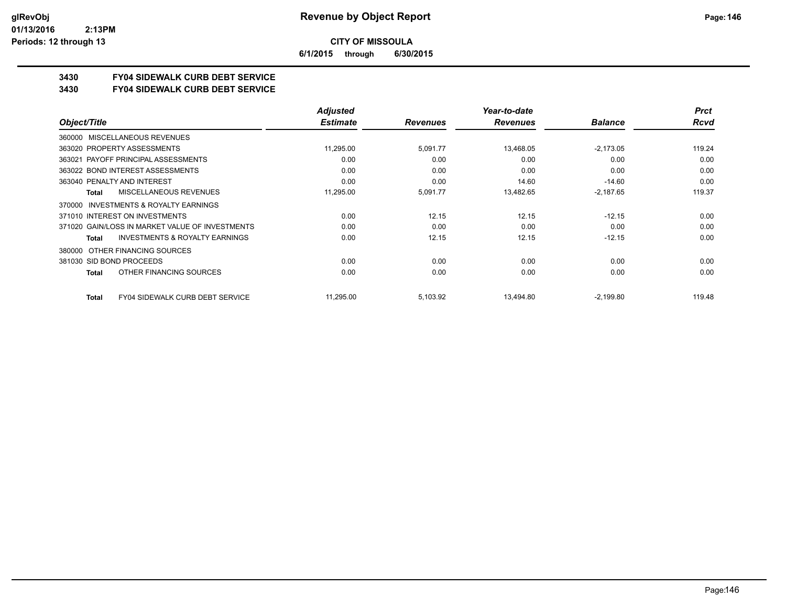**6/1/2015 through 6/30/2015**

# **3430 FY04 SIDEWALK CURB DEBT SERVICE**

**3430 FY04 SIDEWALK CURB DEBT SERVICE**

|                                                     | <b>Adjusted</b> |                 | Year-to-date    |                | <b>Prct</b> |
|-----------------------------------------------------|-----------------|-----------------|-----------------|----------------|-------------|
| Object/Title                                        | <b>Estimate</b> | <b>Revenues</b> | <b>Revenues</b> | <b>Balance</b> | Rcvd        |
| MISCELLANEOUS REVENUES<br>360000                    |                 |                 |                 |                |             |
| 363020 PROPERTY ASSESSMENTS                         | 11,295.00       | 5,091.77        | 13,468.05       | $-2,173.05$    | 119.24      |
| 363021 PAYOFF PRINCIPAL ASSESSMENTS                 | 0.00            | 0.00            | 0.00            | 0.00           | 0.00        |
| 363022 BOND INTEREST ASSESSMENTS                    | 0.00            | 0.00            | 0.00            | 0.00           | 0.00        |
| 363040 PENALTY AND INTEREST                         | 0.00            | 0.00            | 14.60           | $-14.60$       | 0.00        |
| MISCELLANEOUS REVENUES<br><b>Total</b>              | 11,295.00       | 5,091.77        | 13,482.65       | $-2,187.65$    | 119.37      |
| <b>INVESTMENTS &amp; ROYALTY EARNINGS</b><br>370000 |                 |                 |                 |                |             |
| 371010 INTEREST ON INVESTMENTS                      | 0.00            | 12.15           | 12.15           | $-12.15$       | 0.00        |
| 371020 GAIN/LOSS IN MARKET VALUE OF INVESTMENTS     | 0.00            | 0.00            | 0.00            | 0.00           | 0.00        |
| <b>INVESTMENTS &amp; ROYALTY EARNINGS</b><br>Total  | 0.00            | 12.15           | 12.15           | $-12.15$       | 0.00        |
| OTHER FINANCING SOURCES<br>380000                   |                 |                 |                 |                |             |
| 381030 SID BOND PROCEEDS                            | 0.00            | 0.00            | 0.00            | 0.00           | 0.00        |
| OTHER FINANCING SOURCES<br><b>Total</b>             | 0.00            | 0.00            | 0.00            | 0.00           | 0.00        |
| FY04 SIDEWALK CURB DEBT SERVICE<br><b>Total</b>     | 11,295.00       | 5,103.92        | 13,494.80       | $-2,199.80$    | 119.48      |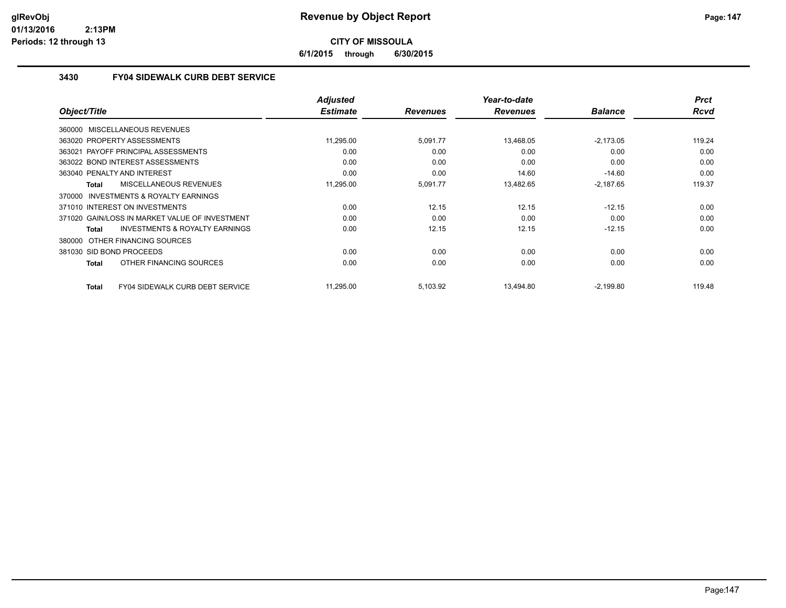**6/1/2015 through 6/30/2015**

## **3430 FY04 SIDEWALK CURB DEBT SERVICE**

|                                                    | <b>Adjusted</b> |                 | Year-to-date    |                | <b>Prct</b> |
|----------------------------------------------------|-----------------|-----------------|-----------------|----------------|-------------|
| Object/Title                                       | <b>Estimate</b> | <b>Revenues</b> | <b>Revenues</b> | <b>Balance</b> | <b>Rcvd</b> |
| 360000 MISCELLANEOUS REVENUES                      |                 |                 |                 |                |             |
| 363020 PROPERTY ASSESSMENTS                        | 11,295.00       | 5,091.77        | 13,468.05       | $-2,173.05$    | 119.24      |
| 363021 PAYOFF PRINCIPAL ASSESSMENTS                | 0.00            | 0.00            | 0.00            | 0.00           | 0.00        |
| 363022 BOND INTEREST ASSESSMENTS                   | 0.00            | 0.00            | 0.00            | 0.00           | 0.00        |
| 363040 PENALTY AND INTEREST                        | 0.00            | 0.00            | 14.60           | $-14.60$       | 0.00        |
| MISCELLANEOUS REVENUES<br>Total                    | 11,295.00       | 5,091.77        | 13,482.65       | $-2,187.65$    | 119.37      |
| 370000 INVESTMENTS & ROYALTY EARNINGS              |                 |                 |                 |                |             |
| 371010 INTEREST ON INVESTMENTS                     | 0.00            | 12.15           | 12.15           | $-12.15$       | 0.00        |
| 371020 GAIN/LOSS IN MARKET VALUE OF INVESTMENT     | 0.00            | 0.00            | 0.00            | 0.00           | 0.00        |
| <b>INVESTMENTS &amp; ROYALTY EARNINGS</b><br>Total | 0.00            | 12.15           | 12.15           | $-12.15$       | 0.00        |
| 380000 OTHER FINANCING SOURCES                     |                 |                 |                 |                |             |
| 381030 SID BOND PROCEEDS                           | 0.00            | 0.00            | 0.00            | 0.00           | 0.00        |
| OTHER FINANCING SOURCES<br>Total                   | 0.00            | 0.00            | 0.00            | 0.00           | 0.00        |
| FY04 SIDEWALK CURB DEBT SERVICE<br>Total           | 11,295.00       | 5,103.92        | 13,494.80       | $-2,199.80$    | 119.48      |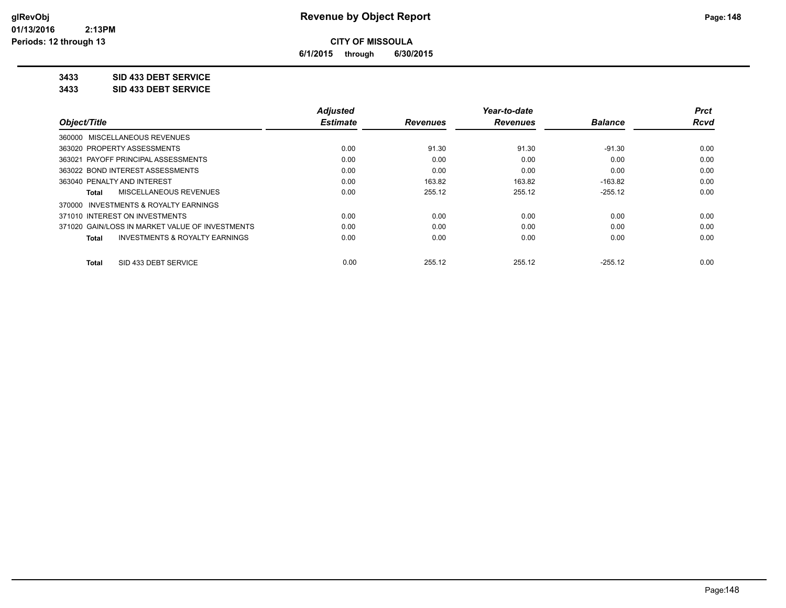**6/1/2015 through 6/30/2015**

**3433 SID 433 DEBT SERVICE**

**3433 SID 433 DEBT SERVICE**

|                                                    | <b>Adjusted</b> |                 | Year-to-date    |                | <b>Prct</b> |
|----------------------------------------------------|-----------------|-----------------|-----------------|----------------|-------------|
| Object/Title                                       | <b>Estimate</b> | <b>Revenues</b> | <b>Revenues</b> | <b>Balance</b> | <b>Rcvd</b> |
| 360000 MISCELLANEOUS REVENUES                      |                 |                 |                 |                |             |
| 363020 PROPERTY ASSESSMENTS                        | 0.00            | 91.30           | 91.30           | $-91.30$       | 0.00        |
| 363021 PAYOFF PRINCIPAL ASSESSMENTS                | 0.00            | 0.00            | 0.00            | 0.00           | 0.00        |
| 363022 BOND INTEREST ASSESSMENTS                   | 0.00            | 0.00            | 0.00            | 0.00           | 0.00        |
| 363040 PENALTY AND INTEREST                        | 0.00            | 163.82          | 163.82          | $-163.82$      | 0.00        |
| MISCELLANEOUS REVENUES<br>Total                    | 0.00            | 255.12          | 255.12          | $-255.12$      | 0.00        |
| 370000 INVESTMENTS & ROYALTY EARNINGS              |                 |                 |                 |                |             |
| 371010 INTEREST ON INVESTMENTS                     | 0.00            | 0.00            | 0.00            | 0.00           | 0.00        |
| 371020 GAIN/LOSS IN MARKET VALUE OF INVESTMENTS    | 0.00            | 0.00            | 0.00            | 0.00           | 0.00        |
| <b>INVESTMENTS &amp; ROYALTY EARNINGS</b><br>Total | 0.00            | 0.00            | 0.00            | 0.00           | 0.00        |
| SID 433 DEBT SERVICE<br>Total                      | 0.00            | 255.12          | 255.12          | $-255.12$      | 0.00        |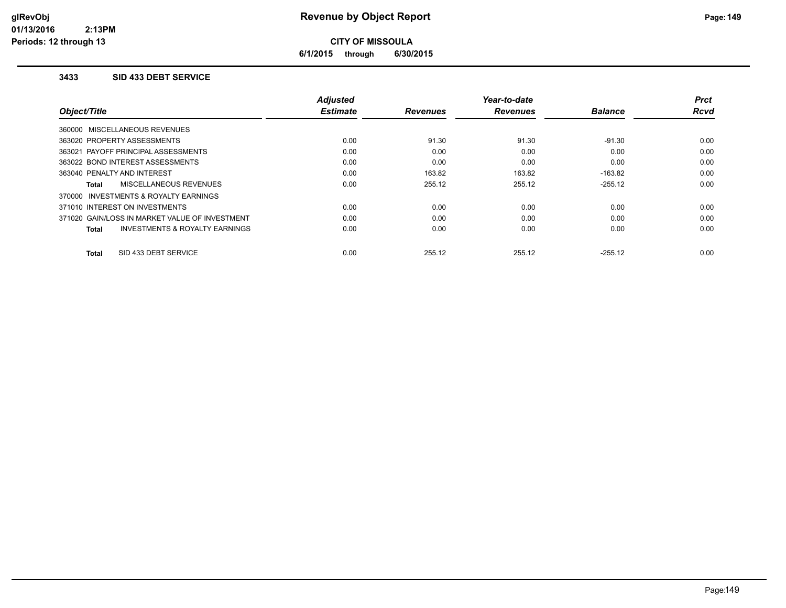**6/1/2015 through 6/30/2015**

### **3433 SID 433 DEBT SERVICE**

|                                                    | <b>Adjusted</b> |                 | Year-to-date    |                | Prct        |
|----------------------------------------------------|-----------------|-----------------|-----------------|----------------|-------------|
| Object/Title                                       | <b>Estimate</b> | <b>Revenues</b> | <b>Revenues</b> | <b>Balance</b> | <b>Rcvd</b> |
| 360000 MISCELLANEOUS REVENUES                      |                 |                 |                 |                |             |
| 363020 PROPERTY ASSESSMENTS                        | 0.00            | 91.30           | 91.30           | $-91.30$       | 0.00        |
| 363021 PAYOFF PRINCIPAL ASSESSMENTS                | 0.00            | 0.00            | 0.00            | 0.00           | 0.00        |
| 363022 BOND INTEREST ASSESSMENTS                   | 0.00            | 0.00            | 0.00            | 0.00           | 0.00        |
| 363040 PENALTY AND INTEREST                        | 0.00            | 163.82          | 163.82          | $-163.82$      | 0.00        |
| <b>MISCELLANEOUS REVENUES</b><br>Total             | 0.00            | 255.12          | 255.12          | $-255.12$      | 0.00        |
| 370000 INVESTMENTS & ROYALTY EARNINGS              |                 |                 |                 |                |             |
| 371010 INTEREST ON INVESTMENTS                     | 0.00            | 0.00            | 0.00            | 0.00           | 0.00        |
| 371020 GAIN/LOSS IN MARKET VALUE OF INVESTMENT     | 0.00            | 0.00            | 0.00            | 0.00           | 0.00        |
| <b>INVESTMENTS &amp; ROYALTY EARNINGS</b><br>Total | 0.00            | 0.00            | 0.00            | 0.00           | 0.00        |
| SID 433 DEBT SERVICE<br><b>Total</b>               | 0.00            | 255.12          | 255.12          | $-255.12$      | 0.00        |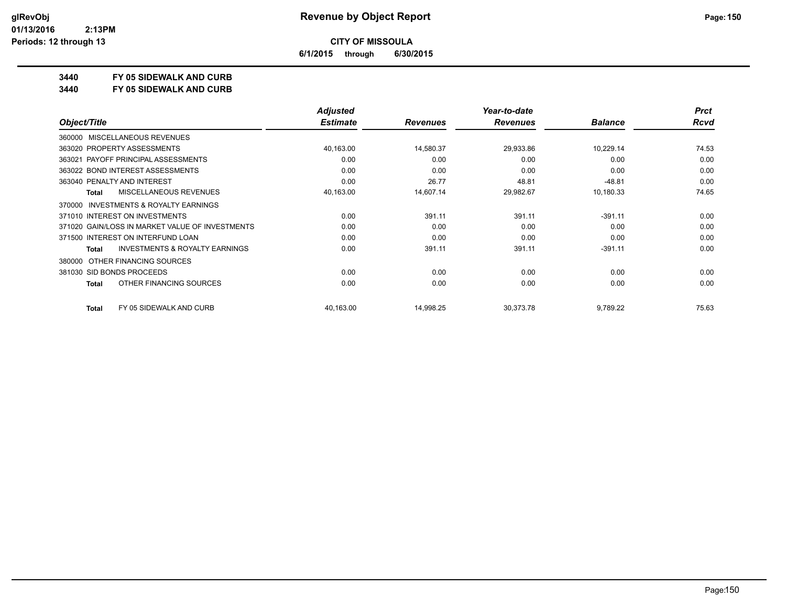**6/1/2015 through 6/30/2015**

**3440 FY 05 SIDEWALK AND CURB**

**3440 FY 05 SIDEWALK AND CURB**

|                                                           | <b>Adjusted</b> |                 | Year-to-date    |                | <b>Prct</b> |
|-----------------------------------------------------------|-----------------|-----------------|-----------------|----------------|-------------|
| Object/Title                                              | <b>Estimate</b> | <b>Revenues</b> | <b>Revenues</b> | <b>Balance</b> | Rcvd        |
| MISCELLANEOUS REVENUES<br>360000                          |                 |                 |                 |                |             |
| 363020 PROPERTY ASSESSMENTS                               | 40,163.00       | 14,580.37       | 29,933.86       | 10,229.14      | 74.53       |
| 363021 PAYOFF PRINCIPAL ASSESSMENTS                       | 0.00            | 0.00            | 0.00            | 0.00           | 0.00        |
| 363022 BOND INTEREST ASSESSMENTS                          | 0.00            | 0.00            | 0.00            | 0.00           | 0.00        |
| 363040 PENALTY AND INTEREST                               | 0.00            | 26.77           | 48.81           | $-48.81$       | 0.00        |
| <b>MISCELLANEOUS REVENUES</b><br><b>Total</b>             | 40,163.00       | 14,607.14       | 29,982.67       | 10,180.33      | 74.65       |
| INVESTMENTS & ROYALTY EARNINGS<br>370000                  |                 |                 |                 |                |             |
| 371010 INTEREST ON INVESTMENTS                            | 0.00            | 391.11          | 391.11          | $-391.11$      | 0.00        |
| 371020 GAIN/LOSS IN MARKET VALUE OF INVESTMENTS           | 0.00            | 0.00            | 0.00            | 0.00           | 0.00        |
| 371500 INTEREST ON INTERFUND LOAN                         | 0.00            | 0.00            | 0.00            | 0.00           | 0.00        |
| <b>INVESTMENTS &amp; ROYALTY EARNINGS</b><br><b>Total</b> | 0.00            | 391.11          | 391.11          | $-391.11$      | 0.00        |
| OTHER FINANCING SOURCES<br>380000                         |                 |                 |                 |                |             |
| 381030 SID BONDS PROCEEDS                                 | 0.00            | 0.00            | 0.00            | 0.00           | 0.00        |
| OTHER FINANCING SOURCES<br>Total                          | 0.00            | 0.00            | 0.00            | 0.00           | 0.00        |
| FY 05 SIDEWALK AND CURB<br><b>Total</b>                   | 40,163.00       | 14,998.25       | 30,373.78       | 9,789.22       | 75.63       |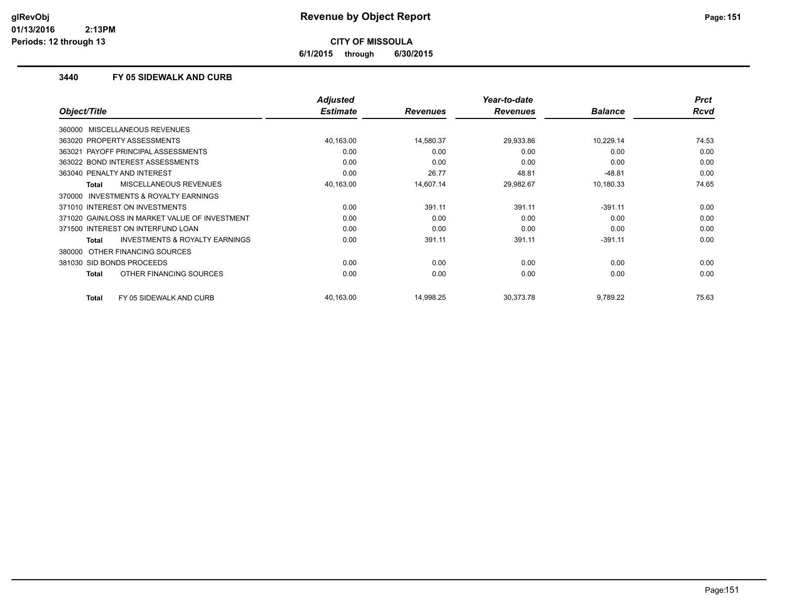**6/1/2015 through 6/30/2015**

## **3440 FY 05 SIDEWALK AND CURB**

|                                                     | <b>Adjusted</b> |                 | Year-to-date    |                | <b>Prct</b> |
|-----------------------------------------------------|-----------------|-----------------|-----------------|----------------|-------------|
| Object/Title                                        | <b>Estimate</b> | <b>Revenues</b> | <b>Revenues</b> | <b>Balance</b> | <b>Rcvd</b> |
| 360000 MISCELLANEOUS REVENUES                       |                 |                 |                 |                |             |
| 363020 PROPERTY ASSESSMENTS                         | 40,163.00       | 14,580.37       | 29,933.86       | 10,229.14      | 74.53       |
| 363021 PAYOFF PRINCIPAL ASSESSMENTS                 | 0.00            | 0.00            | 0.00            | 0.00           | 0.00        |
| 363022 BOND INTEREST ASSESSMENTS                    | 0.00            | 0.00            | 0.00            | 0.00           | 0.00        |
| 363040 PENALTY AND INTEREST                         | 0.00            | 26.77           | 48.81           | $-48.81$       | 0.00        |
| <b>MISCELLANEOUS REVENUES</b><br><b>Total</b>       | 40,163.00       | 14,607.14       | 29,982.67       | 10,180.33      | 74.65       |
| <b>INVESTMENTS &amp; ROYALTY EARNINGS</b><br>370000 |                 |                 |                 |                |             |
| 371010 INTEREST ON INVESTMENTS                      | 0.00            | 391.11          | 391.11          | $-391.11$      | 0.00        |
| 371020 GAIN/LOSS IN MARKET VALUE OF INVESTMENT      | 0.00            | 0.00            | 0.00            | 0.00           | 0.00        |
| 371500 INTEREST ON INTERFUND LOAN                   | 0.00            | 0.00            | 0.00            | 0.00           | 0.00        |
| <b>INVESTMENTS &amp; ROYALTY EARNINGS</b><br>Total  | 0.00            | 391.11          | 391.11          | $-391.11$      | 0.00        |
| 380000 OTHER FINANCING SOURCES                      |                 |                 |                 |                |             |
| 381030 SID BONDS PROCEEDS                           | 0.00            | 0.00            | 0.00            | 0.00           | 0.00        |
| OTHER FINANCING SOURCES<br>Total                    | 0.00            | 0.00            | 0.00            | 0.00           | 0.00        |
| <b>Total</b><br>FY 05 SIDEWALK AND CURB             | 40,163.00       | 14,998.25       | 30,373.78       | 9,789.22       | 75.63       |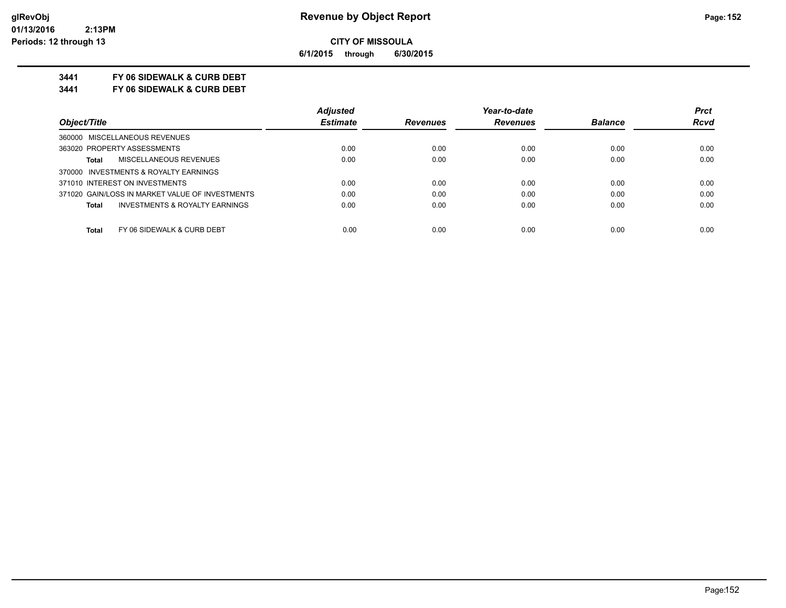**6/1/2015 through 6/30/2015**

## **3441 FY 06 SIDEWALK & CURB DEBT**

**3441 FY 06 SIDEWALK & CURB DEBT**

|                                                 | <b>Adjusted</b> |                 | Year-to-date    |                | <b>Prct</b> |
|-------------------------------------------------|-----------------|-----------------|-----------------|----------------|-------------|
| Object/Title                                    | <b>Estimate</b> | <b>Revenues</b> | <b>Revenues</b> | <b>Balance</b> | <b>Rcvd</b> |
| 360000 MISCELLANEOUS REVENUES                   |                 |                 |                 |                |             |
| 363020 PROPERTY ASSESSMENTS                     | 0.00            | 0.00            | 0.00            | 0.00           | 0.00        |
| MISCELLANEOUS REVENUES<br><b>Total</b>          | 0.00            | 0.00            | 0.00            | 0.00           | 0.00        |
| 370000 INVESTMENTS & ROYALTY EARNINGS           |                 |                 |                 |                |             |
| 371010 INTEREST ON INVESTMENTS                  | 0.00            | 0.00            | 0.00            | 0.00           | 0.00        |
| 371020 GAIN/LOSS IN MARKET VALUE OF INVESTMENTS | 0.00            | 0.00            | 0.00            | 0.00           | 0.00        |
| INVESTMENTS & ROYALTY EARNINGS<br>Total         | 0.00            | 0.00            | 0.00            | 0.00           | 0.00        |
|                                                 |                 |                 |                 |                |             |
| Total<br>FY 06 SIDEWALK & CURB DEBT             | 0.00            | 0.00            | 0.00            | 0.00           | 0.00        |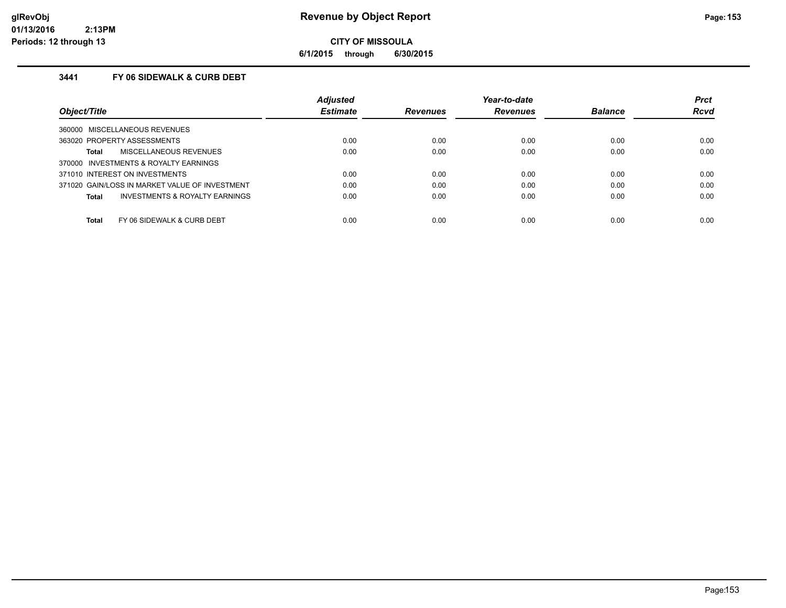**6/1/2015 through 6/30/2015**

## **3441 FY 06 SIDEWALK & CURB DEBT**

|                                                    | <b>Adjusted</b> |                 | Year-to-date    |                | <b>Prct</b> |
|----------------------------------------------------|-----------------|-----------------|-----------------|----------------|-------------|
| Object/Title                                       | <b>Estimate</b> | <b>Revenues</b> | <b>Revenues</b> | <b>Balance</b> | <b>Rcvd</b> |
| 360000 MISCELLANEOUS REVENUES                      |                 |                 |                 |                |             |
| 363020 PROPERTY ASSESSMENTS                        | 0.00            | 0.00            | 0.00            | 0.00           | 0.00        |
| <b>MISCELLANEOUS REVENUES</b><br>Total             | 0.00            | 0.00            | 0.00            | 0.00           | 0.00        |
| 370000 INVESTMENTS & ROYALTY EARNINGS              |                 |                 |                 |                |             |
| 371010 INTEREST ON INVESTMENTS                     | 0.00            | 0.00            | 0.00            | 0.00           | 0.00        |
| 371020 GAIN/LOSS IN MARKET VALUE OF INVESTMENT     | 0.00            | 0.00            | 0.00            | 0.00           | 0.00        |
| <b>INVESTMENTS &amp; ROYALTY EARNINGS</b><br>Total | 0.00            | 0.00            | 0.00            | 0.00           | 0.00        |
| <b>Total</b><br>FY 06 SIDEWALK & CURB DEBT         | 0.00            | 0.00            | 0.00            | 0.00           | 0.00        |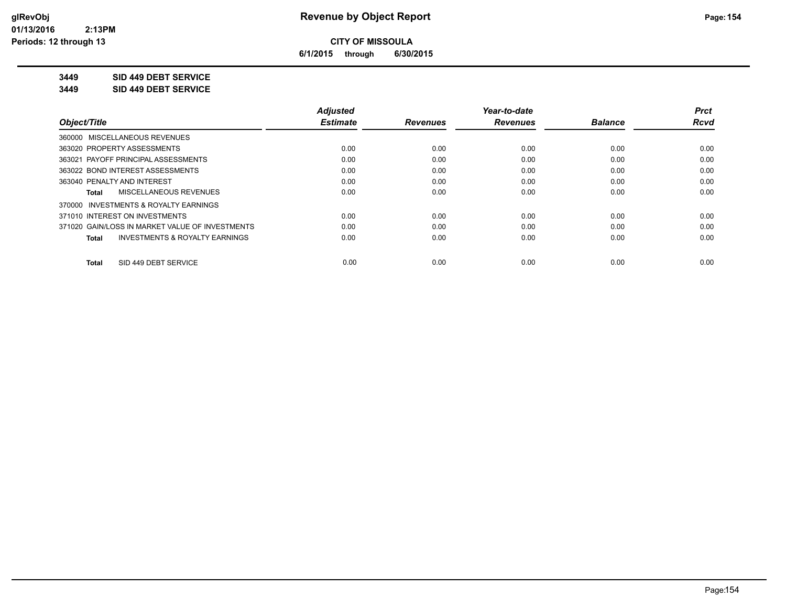**6/1/2015 through 6/30/2015**

**3449 SID 449 DEBT SERVICE**

**3449 SID 449 DEBT SERVICE**

|                                                    | <b>Adjusted</b> |                 | Year-to-date    |                | <b>Prct</b> |
|----------------------------------------------------|-----------------|-----------------|-----------------|----------------|-------------|
| Object/Title                                       | <b>Estimate</b> | <b>Revenues</b> | <b>Revenues</b> | <b>Balance</b> | Rcvd        |
| 360000 MISCELLANEOUS REVENUES                      |                 |                 |                 |                |             |
| 363020 PROPERTY ASSESSMENTS                        | 0.00            | 0.00            | 0.00            | 0.00           | 0.00        |
| 363021 PAYOFF PRINCIPAL ASSESSMENTS                | 0.00            | 0.00            | 0.00            | 0.00           | 0.00        |
| 363022 BOND INTEREST ASSESSMENTS                   | 0.00            | 0.00            | 0.00            | 0.00           | 0.00        |
| 363040 PENALTY AND INTEREST                        | 0.00            | 0.00            | 0.00            | 0.00           | 0.00        |
| MISCELLANEOUS REVENUES<br>Total                    | 0.00            | 0.00            | 0.00            | 0.00           | 0.00        |
| 370000 INVESTMENTS & ROYALTY EARNINGS              |                 |                 |                 |                |             |
| 371010 INTEREST ON INVESTMENTS                     | 0.00            | 0.00            | 0.00            | 0.00           | 0.00        |
| 371020 GAIN/LOSS IN MARKET VALUE OF INVESTMENTS    | 0.00            | 0.00            | 0.00            | 0.00           | 0.00        |
| <b>INVESTMENTS &amp; ROYALTY EARNINGS</b><br>Total | 0.00            | 0.00            | 0.00            | 0.00           | 0.00        |
| SID 449 DEBT SERVICE<br>Total                      | 0.00            | 0.00            | 0.00            | 0.00           | 0.00        |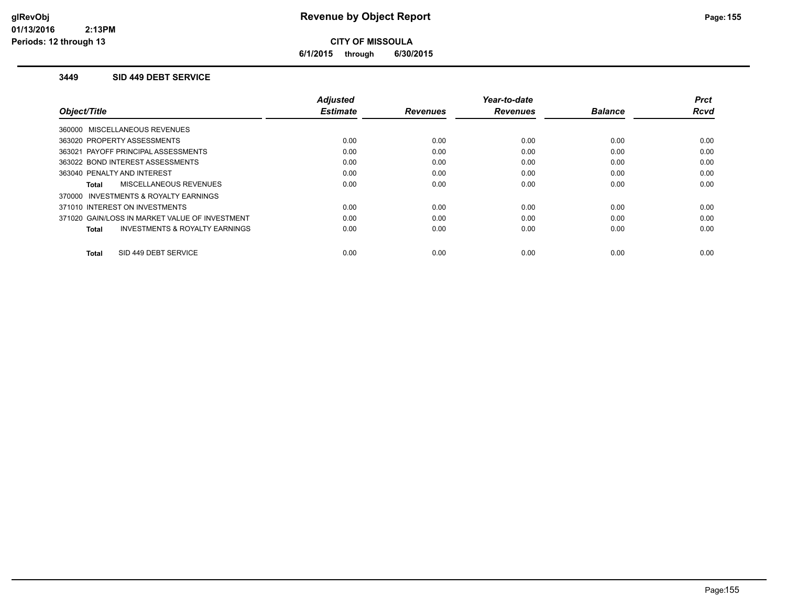**6/1/2015 through 6/30/2015**

### **3449 SID 449 DEBT SERVICE**

|                                                    | <b>Adjusted</b> |                 | Year-to-date    |                | <b>Prct</b> |
|----------------------------------------------------|-----------------|-----------------|-----------------|----------------|-------------|
| Object/Title                                       | <b>Estimate</b> | <b>Revenues</b> | <b>Revenues</b> | <b>Balance</b> | <b>Rcvd</b> |
| 360000 MISCELLANEOUS REVENUES                      |                 |                 |                 |                |             |
| 363020 PROPERTY ASSESSMENTS                        | 0.00            | 0.00            | 0.00            | 0.00           | 0.00        |
| 363021 PAYOFF PRINCIPAL ASSESSMENTS                | 0.00            | 0.00            | 0.00            | 0.00           | 0.00        |
| 363022 BOND INTEREST ASSESSMENTS                   | 0.00            | 0.00            | 0.00            | 0.00           | 0.00        |
| 363040 PENALTY AND INTEREST                        | 0.00            | 0.00            | 0.00            | 0.00           | 0.00        |
| MISCELLANEOUS REVENUES<br>Total                    | 0.00            | 0.00            | 0.00            | 0.00           | 0.00        |
| INVESTMENTS & ROYALTY EARNINGS<br>370000           |                 |                 |                 |                |             |
| 371010 INTEREST ON INVESTMENTS                     | 0.00            | 0.00            | 0.00            | 0.00           | 0.00        |
| 371020 GAIN/LOSS IN MARKET VALUE OF INVESTMENT     | 0.00            | 0.00            | 0.00            | 0.00           | 0.00        |
| <b>INVESTMENTS &amp; ROYALTY EARNINGS</b><br>Total | 0.00            | 0.00            | 0.00            | 0.00           | 0.00        |
|                                                    |                 |                 |                 |                |             |
| SID 449 DEBT SERVICE<br>Total                      | 0.00            | 0.00            | 0.00            | 0.00           | 0.00        |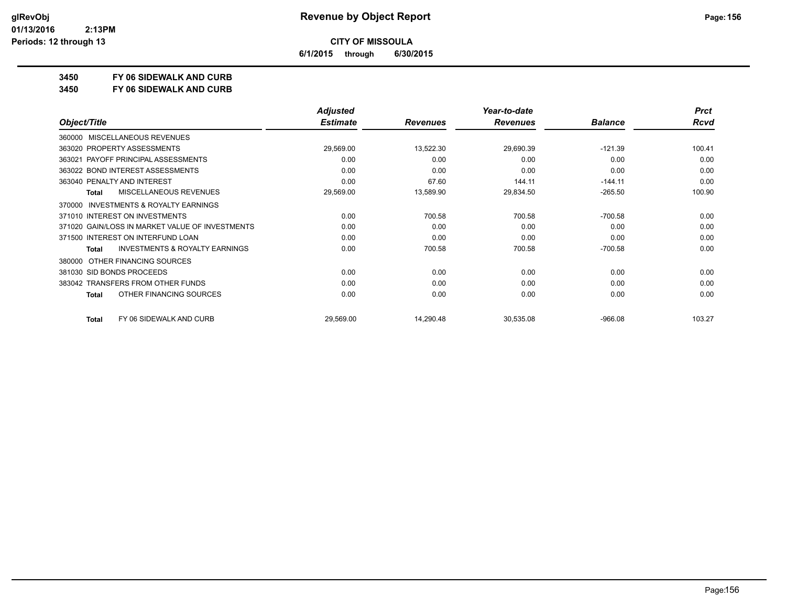**6/1/2015 through 6/30/2015**

**3450 FY 06 SIDEWALK AND CURB**

**3450 FY 06 SIDEWALK AND CURB**

|                                                     | <b>Adjusted</b> |                 | Year-to-date    |                | <b>Prct</b> |
|-----------------------------------------------------|-----------------|-----------------|-----------------|----------------|-------------|
| Object/Title                                        | <b>Estimate</b> | <b>Revenues</b> | <b>Revenues</b> | <b>Balance</b> | <b>Rcvd</b> |
| <b>MISCELLANEOUS REVENUES</b><br>360000             |                 |                 |                 |                |             |
| 363020 PROPERTY ASSESSMENTS                         | 29,569.00       | 13,522.30       | 29,690.39       | $-121.39$      | 100.41      |
| 363021 PAYOFF PRINCIPAL ASSESSMENTS                 | 0.00            | 0.00            | 0.00            | 0.00           | 0.00        |
| 363022 BOND INTEREST ASSESSMENTS                    | 0.00            | 0.00            | 0.00            | 0.00           | 0.00        |
| 363040 PENALTY AND INTEREST                         | 0.00            | 67.60           | 144.11          | $-144.11$      | 0.00        |
| MISCELLANEOUS REVENUES<br>Total                     | 29,569.00       | 13,589.90       | 29,834.50       | $-265.50$      | 100.90      |
| <b>INVESTMENTS &amp; ROYALTY EARNINGS</b><br>370000 |                 |                 |                 |                |             |
| 371010 INTEREST ON INVESTMENTS                      | 0.00            | 700.58          | 700.58          | $-700.58$      | 0.00        |
| 371020 GAIN/LOSS IN MARKET VALUE OF INVESTMENTS     | 0.00            | 0.00            | 0.00            | 0.00           | 0.00        |
| 371500 INTEREST ON INTERFUND LOAN                   | 0.00            | 0.00            | 0.00            | 0.00           | 0.00        |
| <b>INVESTMENTS &amp; ROYALTY EARNINGS</b><br>Total  | 0.00            | 700.58          | 700.58          | $-700.58$      | 0.00        |
| OTHER FINANCING SOURCES<br>380000                   |                 |                 |                 |                |             |
| 381030 SID BONDS PROCEEDS                           | 0.00            | 0.00            | 0.00            | 0.00           | 0.00        |
| 383042 TRANSFERS FROM OTHER FUNDS                   | 0.00            | 0.00            | 0.00            | 0.00           | 0.00        |
| OTHER FINANCING SOURCES<br>Total                    | 0.00            | 0.00            | 0.00            | 0.00           | 0.00        |
| FY 06 SIDEWALK AND CURB<br><b>Total</b>             | 29,569.00       | 14,290.48       | 30,535.08       | $-966.08$      | 103.27      |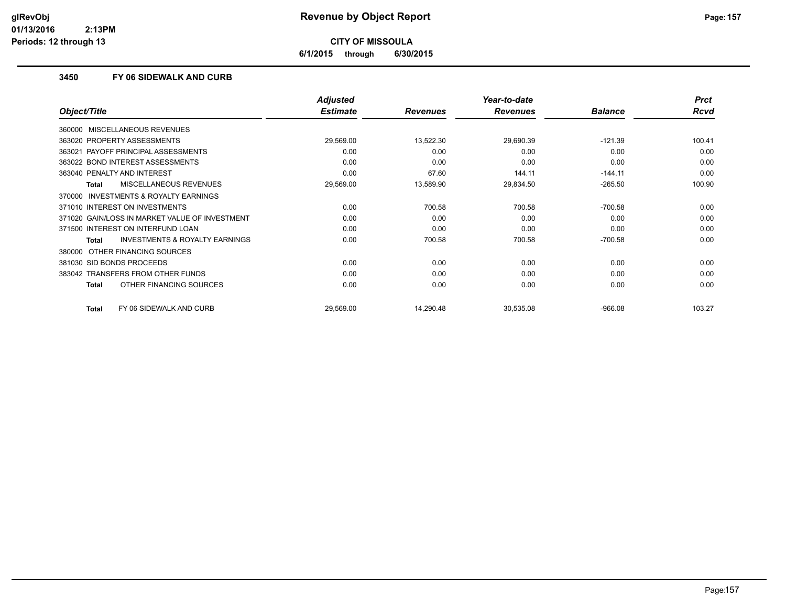**6/1/2015 through 6/30/2015**

### **3450 FY 06 SIDEWALK AND CURB**

|                                                     | <b>Adjusted</b> |                 | Year-to-date    |                | <b>Prct</b> |
|-----------------------------------------------------|-----------------|-----------------|-----------------|----------------|-------------|
| Object/Title                                        | <b>Estimate</b> | <b>Revenues</b> | <b>Revenues</b> | <b>Balance</b> | Rcvd        |
| 360000 MISCELLANEOUS REVENUES                       |                 |                 |                 |                |             |
| 363020 PROPERTY ASSESSMENTS                         | 29,569.00       | 13,522.30       | 29,690.39       | $-121.39$      | 100.41      |
| PAYOFF PRINCIPAL ASSESSMENTS<br>363021              | 0.00            | 0.00            | 0.00            | 0.00           | 0.00        |
| 363022 BOND INTEREST ASSESSMENTS                    | 0.00            | 0.00            | 0.00            | 0.00           | 0.00        |
| 363040 PENALTY AND INTEREST                         | 0.00            | 67.60           | 144.11          | $-144.11$      | 0.00        |
| MISCELLANEOUS REVENUES<br>Total                     | 29,569.00       | 13,589.90       | 29,834.50       | $-265.50$      | 100.90      |
| <b>INVESTMENTS &amp; ROYALTY EARNINGS</b><br>370000 |                 |                 |                 |                |             |
| 371010 INTEREST ON INVESTMENTS                      | 0.00            | 700.58          | 700.58          | $-700.58$      | 0.00        |
| 371020 GAIN/LOSS IN MARKET VALUE OF INVESTMENT      | 0.00            | 0.00            | 0.00            | 0.00           | 0.00        |
| 371500 INTEREST ON INTERFUND LOAN                   | 0.00            | 0.00            | 0.00            | 0.00           | 0.00        |
| INVESTMENTS & ROYALTY EARNINGS<br>Total             | 0.00            | 700.58          | 700.58          | $-700.58$      | 0.00        |
| 380000 OTHER FINANCING SOURCES                      |                 |                 |                 |                |             |
| 381030 SID BONDS PROCEEDS                           | 0.00            | 0.00            | 0.00            | 0.00           | 0.00        |
| 383042 TRANSFERS FROM OTHER FUNDS                   | 0.00            | 0.00            | 0.00            | 0.00           | 0.00        |
| OTHER FINANCING SOURCES<br><b>Total</b>             | 0.00            | 0.00            | 0.00            | 0.00           | 0.00        |
| FY 06 SIDEWALK AND CURB<br><b>Total</b>             | 29,569.00       | 14,290.48       | 30,535.08       | $-966.08$      | 103.27      |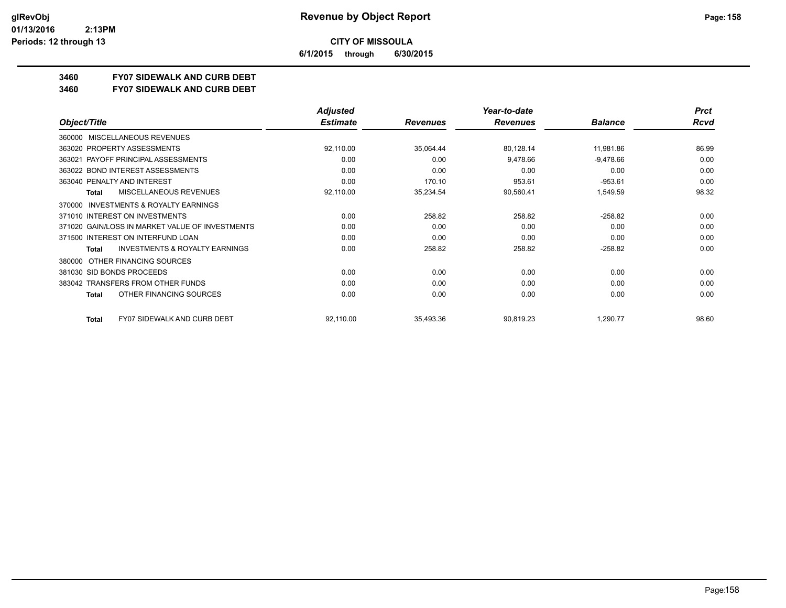**6/1/2015 through 6/30/2015**

## **3460 FY07 SIDEWALK AND CURB DEBT**

#### **3460 FY07 SIDEWALK AND CURB DEBT**

|                                                           | <b>Adjusted</b> |                 | Year-to-date    |                | <b>Prct</b> |
|-----------------------------------------------------------|-----------------|-----------------|-----------------|----------------|-------------|
| Object/Title                                              | <b>Estimate</b> | <b>Revenues</b> | <b>Revenues</b> | <b>Balance</b> | <b>Rcvd</b> |
| <b>MISCELLANEOUS REVENUES</b><br>360000                   |                 |                 |                 |                |             |
| 363020 PROPERTY ASSESSMENTS                               | 92,110.00       | 35,064.44       | 80,128.14       | 11,981.86      | 86.99       |
| 363021 PAYOFF PRINCIPAL ASSESSMENTS                       | 0.00            | 0.00            | 9,478.66        | $-9,478.66$    | 0.00        |
| 363022 BOND INTEREST ASSESSMENTS                          | 0.00            | 0.00            | 0.00            | 0.00           | 0.00        |
| 363040 PENALTY AND INTEREST                               | 0.00            | 170.10          | 953.61          | $-953.61$      | 0.00        |
| MISCELLANEOUS REVENUES<br><b>Total</b>                    | 92,110.00       | 35,234.54       | 90,560.41       | 1,549.59       | 98.32       |
| <b>INVESTMENTS &amp; ROYALTY EARNINGS</b><br>370000       |                 |                 |                 |                |             |
| 371010 INTEREST ON INVESTMENTS                            | 0.00            | 258.82          | 258.82          | $-258.82$      | 0.00        |
| 371020 GAIN/LOSS IN MARKET VALUE OF INVESTMENTS           | 0.00            | 0.00            | 0.00            | 0.00           | 0.00        |
| 371500 INTEREST ON INTERFUND LOAN                         | 0.00            | 0.00            | 0.00            | 0.00           | 0.00        |
| <b>INVESTMENTS &amp; ROYALTY EARNINGS</b><br><b>Total</b> | 0.00            | 258.82          | 258.82          | $-258.82$      | 0.00        |
| OTHER FINANCING SOURCES<br>380000                         |                 |                 |                 |                |             |
| 381030 SID BONDS PROCEEDS                                 | 0.00            | 0.00            | 0.00            | 0.00           | 0.00        |
| 383042 TRANSFERS FROM OTHER FUNDS                         | 0.00            | 0.00            | 0.00            | 0.00           | 0.00        |
| OTHER FINANCING SOURCES<br>Total                          | 0.00            | 0.00            | 0.00            | 0.00           | 0.00        |
| <b>FY07 SIDEWALK AND CURB DEBT</b><br>Total               | 92,110.00       | 35,493.36       | 90,819.23       | 1,290.77       | 98.60       |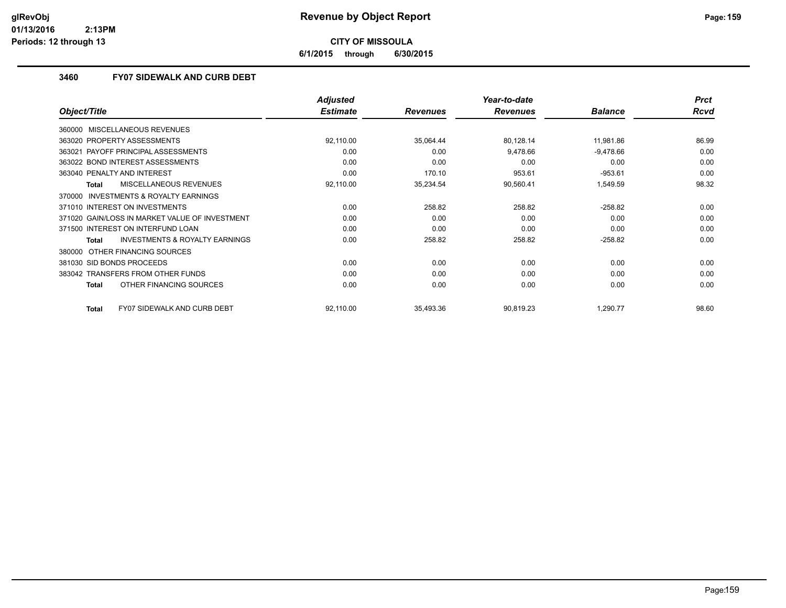**6/1/2015 through 6/30/2015**

## **3460 FY07 SIDEWALK AND CURB DEBT**

|                                                     | <b>Adjusted</b> |                 | Year-to-date    |                | <b>Prct</b> |
|-----------------------------------------------------|-----------------|-----------------|-----------------|----------------|-------------|
| Object/Title                                        | <b>Estimate</b> | <b>Revenues</b> | <b>Revenues</b> | <b>Balance</b> | Rcvd        |
| 360000 MISCELLANEOUS REVENUES                       |                 |                 |                 |                |             |
| 363020 PROPERTY ASSESSMENTS                         | 92,110.00       | 35,064.44       | 80,128.14       | 11,981.86      | 86.99       |
| PAYOFF PRINCIPAL ASSESSMENTS<br>363021              | 0.00            | 0.00            | 9,478.66        | $-9,478.66$    | 0.00        |
| 363022 BOND INTEREST ASSESSMENTS                    | 0.00            | 0.00            | 0.00            | 0.00           | 0.00        |
| 363040 PENALTY AND INTEREST                         | 0.00            | 170.10          | 953.61          | $-953.61$      | 0.00        |
| MISCELLANEOUS REVENUES<br>Total                     | 92,110.00       | 35,234.54       | 90,560.41       | 1,549.59       | 98.32       |
| <b>INVESTMENTS &amp; ROYALTY EARNINGS</b><br>370000 |                 |                 |                 |                |             |
| 371010 INTEREST ON INVESTMENTS                      | 0.00            | 258.82          | 258.82          | $-258.82$      | 0.00        |
| 371020 GAIN/LOSS IN MARKET VALUE OF INVESTMENT      | 0.00            | 0.00            | 0.00            | 0.00           | 0.00        |
| 371500 INTEREST ON INTERFUND LOAN                   | 0.00            | 0.00            | 0.00            | 0.00           | 0.00        |
| INVESTMENTS & ROYALTY EARNINGS<br>Total             | 0.00            | 258.82          | 258.82          | $-258.82$      | 0.00        |
| 380000 OTHER FINANCING SOURCES                      |                 |                 |                 |                |             |
| 381030 SID BONDS PROCEEDS                           | 0.00            | 0.00            | 0.00            | 0.00           | 0.00        |
| 383042 TRANSFERS FROM OTHER FUNDS                   | 0.00            | 0.00            | 0.00            | 0.00           | 0.00        |
| OTHER FINANCING SOURCES<br><b>Total</b>             | 0.00            | 0.00            | 0.00            | 0.00           | 0.00        |
| <b>FY07 SIDEWALK AND CURB DEBT</b><br><b>Total</b>  | 92,110.00       | 35,493.36       | 90,819.23       | 1,290.77       | 98.60       |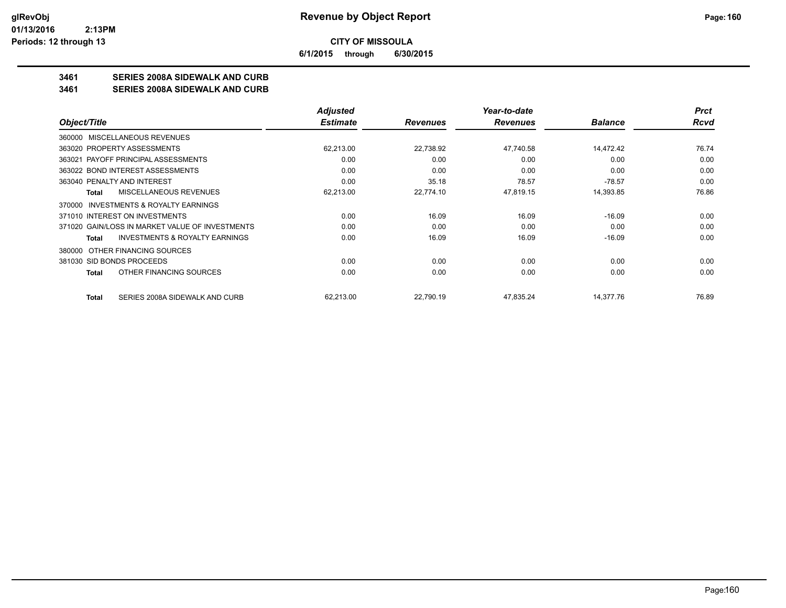**6/1/2015 through 6/30/2015**

## **3461 SERIES 2008A SIDEWALK AND CURB**

### **3461 SERIES 2008A SIDEWALK AND CURB**

|                                                    | <b>Adjusted</b> |                 | Year-to-date    |                | <b>Prct</b> |
|----------------------------------------------------|-----------------|-----------------|-----------------|----------------|-------------|
| Object/Title                                       | <b>Estimate</b> | <b>Revenues</b> | <b>Revenues</b> | <b>Balance</b> | Rcvd        |
| 360000 MISCELLANEOUS REVENUES                      |                 |                 |                 |                |             |
| 363020 PROPERTY ASSESSMENTS                        | 62,213.00       | 22.738.92       | 47,740.58       | 14,472.42      | 76.74       |
| 363021 PAYOFF PRINCIPAL ASSESSMENTS                | 0.00            | 0.00            | 0.00            | 0.00           | 0.00        |
| 363022 BOND INTEREST ASSESSMENTS                   | 0.00            | 0.00            | 0.00            | 0.00           | 0.00        |
| 363040 PENALTY AND INTEREST                        | 0.00            | 35.18           | 78.57           | $-78.57$       | 0.00        |
| MISCELLANEOUS REVENUES<br>Total                    | 62,213.00       | 22.774.10       | 47,819.15       | 14,393.85      | 76.86       |
| INVESTMENTS & ROYALTY EARNINGS<br>370000           |                 |                 |                 |                |             |
| 371010 INTEREST ON INVESTMENTS                     | 0.00            | 16.09           | 16.09           | $-16.09$       | 0.00        |
| 371020 GAIN/LOSS IN MARKET VALUE OF INVESTMENTS    | 0.00            | 0.00            | 0.00            | 0.00           | 0.00        |
| <b>INVESTMENTS &amp; ROYALTY EARNINGS</b><br>Total | 0.00            | 16.09           | 16.09           | $-16.09$       | 0.00        |
| OTHER FINANCING SOURCES<br>380000                  |                 |                 |                 |                |             |
| 381030 SID BONDS PROCEEDS                          | 0.00            | 0.00            | 0.00            | 0.00           | 0.00        |
| OTHER FINANCING SOURCES<br>Total                   | 0.00            | 0.00            | 0.00            | 0.00           | 0.00        |
| SERIES 2008A SIDEWALK AND CURB<br>Total            | 62,213.00       | 22.790.19       | 47,835.24       | 14,377.76      | 76.89       |
|                                                    |                 |                 |                 |                |             |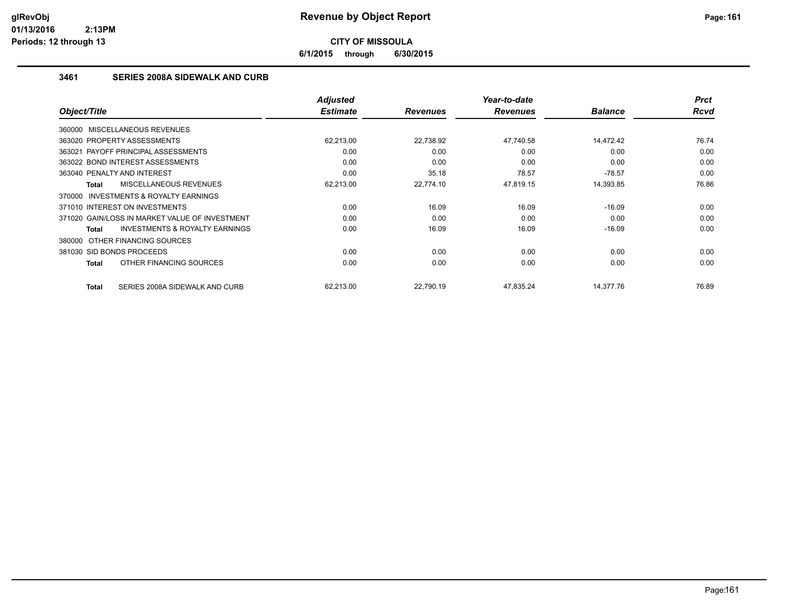**6/1/2015 through 6/30/2015**

## **3461 SERIES 2008A SIDEWALK AND CURB**

| Object/Title                                        | <b>Adjusted</b><br><b>Estimate</b> | <b>Revenues</b> | Year-to-date<br><b>Revenues</b> | <b>Balance</b> | <b>Prct</b><br><b>Rcvd</b> |
|-----------------------------------------------------|------------------------------------|-----------------|---------------------------------|----------------|----------------------------|
|                                                     |                                    |                 |                                 |                |                            |
| 360000 MISCELLANEOUS REVENUES                       |                                    |                 |                                 |                |                            |
| 363020 PROPERTY ASSESSMENTS                         | 62.213.00                          | 22,738.92       | 47.740.58                       | 14.472.42      | 76.74                      |
| 363021 PAYOFF PRINCIPAL ASSESSMENTS                 | 0.00                               | 0.00            | 0.00                            | 0.00           | 0.00                       |
| 363022 BOND INTEREST ASSESSMENTS                    | 0.00                               | 0.00            | 0.00                            | 0.00           | 0.00                       |
| 363040 PENALTY AND INTEREST                         | 0.00                               | 35.18           | 78.57                           | $-78.57$       | 0.00                       |
| <b>MISCELLANEOUS REVENUES</b><br><b>Total</b>       | 62,213.00                          | 22.774.10       | 47,819.15                       | 14,393.85      | 76.86                      |
| <b>INVESTMENTS &amp; ROYALTY EARNINGS</b><br>370000 |                                    |                 |                                 |                |                            |
| 371010 INTEREST ON INVESTMENTS                      | 0.00                               | 16.09           | 16.09                           | $-16.09$       | 0.00                       |
| 371020 GAIN/LOSS IN MARKET VALUE OF INVESTMENT      | 0.00                               | 0.00            | 0.00                            | 0.00           | 0.00                       |
| INVESTMENTS & ROYALTY EARNINGS<br><b>Total</b>      | 0.00                               | 16.09           | 16.09                           | $-16.09$       | 0.00                       |
| 380000 OTHER FINANCING SOURCES                      |                                    |                 |                                 |                |                            |
| 381030 SID BONDS PROCEEDS                           | 0.00                               | 0.00            | 0.00                            | 0.00           | 0.00                       |
| OTHER FINANCING SOURCES<br><b>Total</b>             | 0.00                               | 0.00            | 0.00                            | 0.00           | 0.00                       |
| SERIES 2008A SIDEWALK AND CURB<br><b>Total</b>      | 62,213.00                          | 22.790.19       | 47,835.24                       | 14,377.76      | 76.89                      |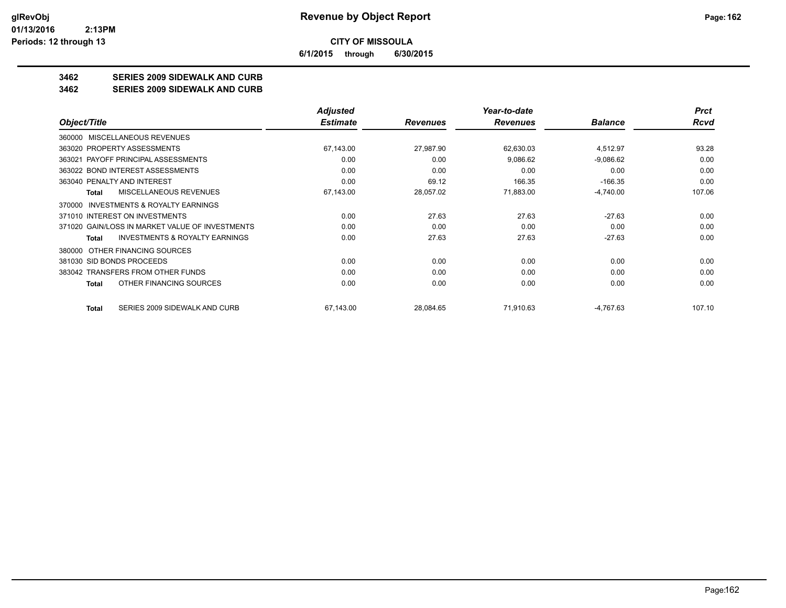**6/1/2015 through 6/30/2015**

## **3462 SERIES 2009 SIDEWALK AND CURB**

### **3462 SERIES 2009 SIDEWALK AND CURB**

|                                                     | <b>Adjusted</b> |                 | Year-to-date    |                | <b>Prct</b> |
|-----------------------------------------------------|-----------------|-----------------|-----------------|----------------|-------------|
| Object/Title                                        | <b>Estimate</b> | <b>Revenues</b> | <b>Revenues</b> | <b>Balance</b> | Rcvd        |
| MISCELLANEOUS REVENUES<br>360000                    |                 |                 |                 |                |             |
| 363020 PROPERTY ASSESSMENTS                         | 67,143.00       | 27,987.90       | 62,630.03       | 4,512.97       | 93.28       |
| 363021 PAYOFF PRINCIPAL ASSESSMENTS                 | 0.00            | 0.00            | 9,086.62        | $-9,086.62$    | 0.00        |
| 363022 BOND INTEREST ASSESSMENTS                    | 0.00            | 0.00            | 0.00            | 0.00           | 0.00        |
| 363040 PENALTY AND INTEREST                         | 0.00            | 69.12           | 166.35          | $-166.35$      | 0.00        |
| MISCELLANEOUS REVENUES<br><b>Total</b>              | 67,143.00       | 28,057.02       | 71,883.00       | $-4,740.00$    | 107.06      |
| <b>INVESTMENTS &amp; ROYALTY EARNINGS</b><br>370000 |                 |                 |                 |                |             |
| 371010 INTEREST ON INVESTMENTS                      | 0.00            | 27.63           | 27.63           | $-27.63$       | 0.00        |
| 371020 GAIN/LOSS IN MARKET VALUE OF INVESTMENTS     | 0.00            | 0.00            | 0.00            | 0.00           | 0.00        |
| <b>INVESTMENTS &amp; ROYALTY EARNINGS</b><br>Total  | 0.00            | 27.63           | 27.63           | $-27.63$       | 0.00        |
| OTHER FINANCING SOURCES<br>380000                   |                 |                 |                 |                |             |
| 381030 SID BONDS PROCEEDS                           | 0.00            | 0.00            | 0.00            | 0.00           | 0.00        |
| 383042 TRANSFERS FROM OTHER FUNDS                   | 0.00            | 0.00            | 0.00            | 0.00           | 0.00        |
| OTHER FINANCING SOURCES<br>Total                    | 0.00            | 0.00            | 0.00            | 0.00           | 0.00        |
| SERIES 2009 SIDEWALK AND CURB<br>Total              | 67,143.00       | 28,084.65       | 71,910.63       | $-4,767.63$    | 107.10      |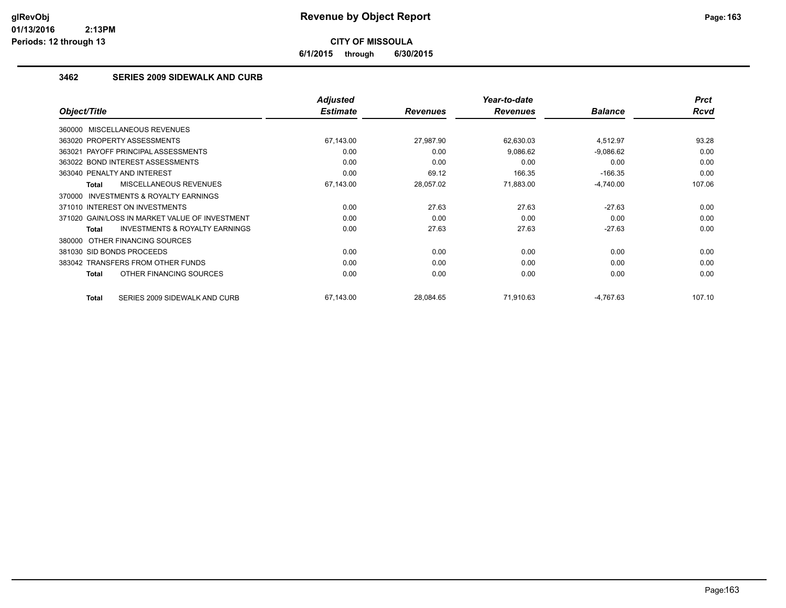**6/1/2015 through 6/30/2015**

## **3462 SERIES 2009 SIDEWALK AND CURB**

|                                                           | <b>Adjusted</b> |                 | Year-to-date    |                | <b>Prct</b> |
|-----------------------------------------------------------|-----------------|-----------------|-----------------|----------------|-------------|
| Object/Title                                              | <b>Estimate</b> | <b>Revenues</b> | <b>Revenues</b> | <b>Balance</b> | Rcvd        |
| 360000 MISCELLANEOUS REVENUES                             |                 |                 |                 |                |             |
| 363020 PROPERTY ASSESSMENTS                               | 67,143.00       | 27,987.90       | 62,630.03       | 4,512.97       | 93.28       |
| 363021 PAYOFF PRINCIPAL ASSESSMENTS                       | 0.00            | 0.00            | 9,086.62        | $-9,086.62$    | 0.00        |
| 363022 BOND INTEREST ASSESSMENTS                          | 0.00            | 0.00            | 0.00            | 0.00           | 0.00        |
| 363040 PENALTY AND INTEREST                               | 0.00            | 69.12           | 166.35          | $-166.35$      | 0.00        |
| MISCELLANEOUS REVENUES<br>Total                           | 67,143.00       | 28,057.02       | 71,883.00       | $-4,740.00$    | 107.06      |
| <b>INVESTMENTS &amp; ROYALTY EARNINGS</b><br>370000       |                 |                 |                 |                |             |
| 371010 INTEREST ON INVESTMENTS                            | 0.00            | 27.63           | 27.63           | $-27.63$       | 0.00        |
| 371020 GAIN/LOSS IN MARKET VALUE OF INVESTMENT            | 0.00            | 0.00            | 0.00            | 0.00           | 0.00        |
| <b>INVESTMENTS &amp; ROYALTY EARNINGS</b><br><b>Total</b> | 0.00            | 27.63           | 27.63           | $-27.63$       | 0.00        |
| 380000 OTHER FINANCING SOURCES                            |                 |                 |                 |                |             |
| 381030 SID BONDS PROCEEDS                                 | 0.00            | 0.00            | 0.00            | 0.00           | 0.00        |
| 383042 TRANSFERS FROM OTHER FUNDS                         | 0.00            | 0.00            | 0.00            | 0.00           | 0.00        |
| OTHER FINANCING SOURCES<br>Total                          | 0.00            | 0.00            | 0.00            | 0.00           | 0.00        |
| SERIES 2009 SIDEWALK AND CURB<br>Total                    | 67,143.00       | 28,084.65       | 71.910.63       | $-4,767.63$    | 107.10      |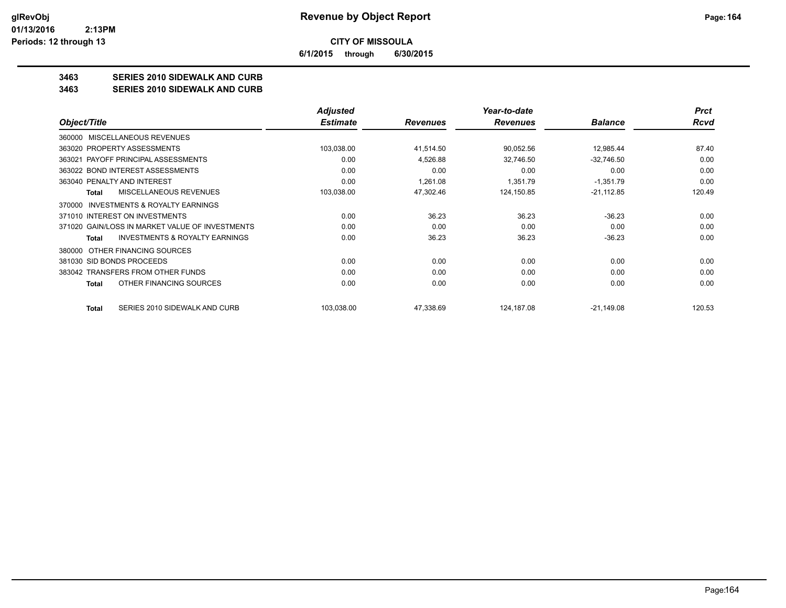**6/1/2015 through 6/30/2015**

## **3463 SERIES 2010 SIDEWALK AND CURB**

**3463 SERIES 2010 SIDEWALK AND CURB**

|                                                           | <b>Adjusted</b> |                 | Year-to-date    |                | <b>Prct</b> |
|-----------------------------------------------------------|-----------------|-----------------|-----------------|----------------|-------------|
| Object/Title                                              | <b>Estimate</b> | <b>Revenues</b> | <b>Revenues</b> | <b>Balance</b> | Rcvd        |
| MISCELLANEOUS REVENUES<br>360000                          |                 |                 |                 |                |             |
| 363020 PROPERTY ASSESSMENTS                               | 103,038.00      | 41,514.50       | 90,052.56       | 12,985.44      | 87.40       |
| 363021 PAYOFF PRINCIPAL ASSESSMENTS                       | 0.00            | 4,526.88        | 32,746.50       | $-32,746.50$   | 0.00        |
| 363022 BOND INTEREST ASSESSMENTS                          | 0.00            | 0.00            | 0.00            | 0.00           | 0.00        |
| 363040 PENALTY AND INTEREST                               | 0.00            | 1,261.08        | 1,351.79        | $-1,351.79$    | 0.00        |
| MISCELLANEOUS REVENUES<br><b>Total</b>                    | 103,038.00      | 47,302.46       | 124,150.85      | $-21,112.85$   | 120.49      |
| INVESTMENTS & ROYALTY EARNINGS<br>370000                  |                 |                 |                 |                |             |
| 371010 INTEREST ON INVESTMENTS                            | 0.00            | 36.23           | 36.23           | $-36.23$       | 0.00        |
| 371020 GAIN/LOSS IN MARKET VALUE OF INVESTMENTS           | 0.00            | 0.00            | 0.00            | 0.00           | 0.00        |
| <b>INVESTMENTS &amp; ROYALTY EARNINGS</b><br><b>Total</b> | 0.00            | 36.23           | 36.23           | $-36.23$       | 0.00        |
| OTHER FINANCING SOURCES<br>380000                         |                 |                 |                 |                |             |
| 381030 SID BONDS PROCEEDS                                 | 0.00            | 0.00            | 0.00            | 0.00           | 0.00        |
| 383042 TRANSFERS FROM OTHER FUNDS                         | 0.00            | 0.00            | 0.00            | 0.00           | 0.00        |
| OTHER FINANCING SOURCES<br><b>Total</b>                   | 0.00            | 0.00            | 0.00            | 0.00           | 0.00        |
| SERIES 2010 SIDEWALK AND CURB<br><b>Total</b>             | 103,038.00      | 47,338.69       | 124,187.08      | $-21,149.08$   | 120.53      |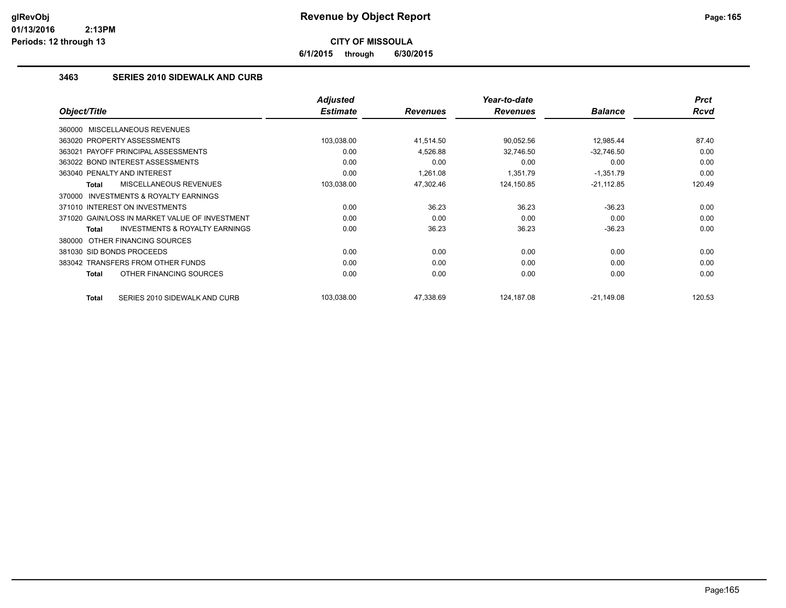**6/1/2015 through 6/30/2015**

## **3463 SERIES 2010 SIDEWALK AND CURB**

|                                                    | <b>Adjusted</b> |                 | Year-to-date    |                | <b>Prct</b> |
|----------------------------------------------------|-----------------|-----------------|-----------------|----------------|-------------|
| Object/Title                                       | <b>Estimate</b> | <b>Revenues</b> | <b>Revenues</b> | <b>Balance</b> | Rcvd        |
| 360000 MISCELLANEOUS REVENUES                      |                 |                 |                 |                |             |
| 363020 PROPERTY ASSESSMENTS                        | 103,038.00      | 41,514.50       | 90,052.56       | 12,985.44      | 87.40       |
| 363021 PAYOFF PRINCIPAL ASSESSMENTS                | 0.00            | 4,526.88        | 32,746.50       | $-32,746.50$   | 0.00        |
| 363022 BOND INTEREST ASSESSMENTS                   | 0.00            | 0.00            | 0.00            | 0.00           | 0.00        |
| 363040 PENALTY AND INTEREST                        | 0.00            | 1,261.08        | 1,351.79        | $-1,351.79$    | 0.00        |
| <b>MISCELLANEOUS REVENUES</b><br>Total             | 103,038.00      | 47,302.46       | 124,150.85      | $-21,112.85$   | 120.49      |
| INVESTMENTS & ROYALTY EARNINGS<br>370000           |                 |                 |                 |                |             |
| 371010 INTEREST ON INVESTMENTS                     | 0.00            | 36.23           | 36.23           | $-36.23$       | 0.00        |
| 371020 GAIN/LOSS IN MARKET VALUE OF INVESTMENT     | 0.00            | 0.00            | 0.00            | 0.00           | 0.00        |
| <b>INVESTMENTS &amp; ROYALTY EARNINGS</b><br>Total | 0.00            | 36.23           | 36.23           | $-36.23$       | 0.00        |
| 380000 OTHER FINANCING SOURCES                     |                 |                 |                 |                |             |
| 381030 SID BONDS PROCEEDS                          | 0.00            | 0.00            | 0.00            | 0.00           | 0.00        |
| 383042 TRANSFERS FROM OTHER FUNDS                  | 0.00            | 0.00            | 0.00            | 0.00           | 0.00        |
| OTHER FINANCING SOURCES<br>Total                   | 0.00            | 0.00            | 0.00            | 0.00           | 0.00        |
| SERIES 2010 SIDEWALK AND CURB<br>Total             | 103,038.00      | 47,338.69       | 124,187.08      | $-21,149.08$   | 120.53      |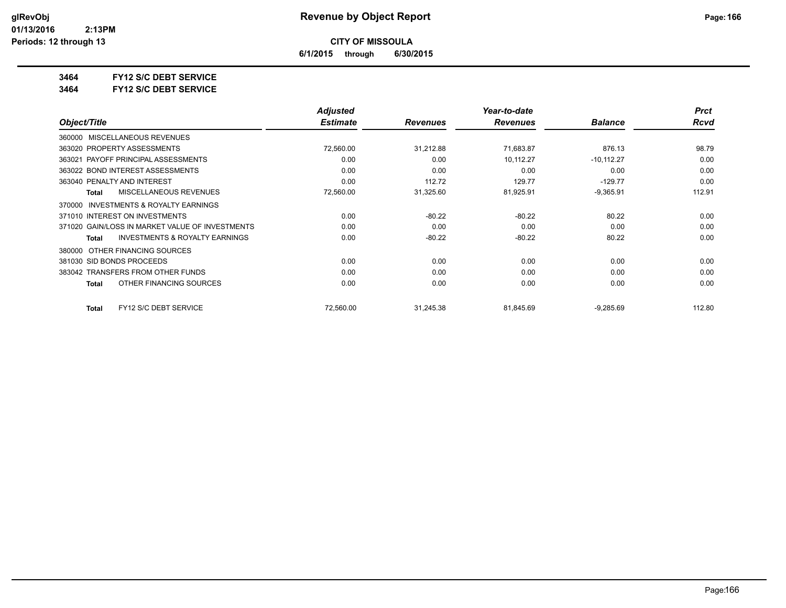**6/1/2015 through 6/30/2015**

**3464 FY12 S/C DEBT SERVICE**

**3464 FY12 S/C DEBT SERVICE**

|                                                    | <b>Adjusted</b> |                 | Year-to-date    |                | <b>Prct</b> |
|----------------------------------------------------|-----------------|-----------------|-----------------|----------------|-------------|
| Object/Title                                       | <b>Estimate</b> | <b>Revenues</b> | <b>Revenues</b> | <b>Balance</b> | <b>Rcvd</b> |
| MISCELLANEOUS REVENUES<br>360000                   |                 |                 |                 |                |             |
| 363020 PROPERTY ASSESSMENTS                        | 72,560.00       | 31,212.88       | 71,683.87       | 876.13         | 98.79       |
| 363021 PAYOFF PRINCIPAL ASSESSMENTS                | 0.00            | 0.00            | 10,112.27       | $-10, 112.27$  | 0.00        |
| 363022 BOND INTEREST ASSESSMENTS                   | 0.00            | 0.00            | 0.00            | 0.00           | 0.00        |
| 363040 PENALTY AND INTEREST                        | 0.00            | 112.72          | 129.77          | $-129.77$      | 0.00        |
| MISCELLANEOUS REVENUES<br>Total                    | 72,560.00       | 31,325.60       | 81,925.91       | $-9,365.91$    | 112.91      |
| INVESTMENTS & ROYALTY EARNINGS<br>370000           |                 |                 |                 |                |             |
| 371010 INTEREST ON INVESTMENTS                     | 0.00            | $-80.22$        | $-80.22$        | 80.22          | 0.00        |
| 371020 GAIN/LOSS IN MARKET VALUE OF INVESTMENTS    | 0.00            | 0.00            | 0.00            | 0.00           | 0.00        |
| <b>INVESTMENTS &amp; ROYALTY EARNINGS</b><br>Total | 0.00            | $-80.22$        | $-80.22$        | 80.22          | 0.00        |
| OTHER FINANCING SOURCES<br>380000                  |                 |                 |                 |                |             |
| 381030 SID BONDS PROCEEDS                          | 0.00            | 0.00            | 0.00            | 0.00           | 0.00        |
| 383042 TRANSFERS FROM OTHER FUNDS                  | 0.00            | 0.00            | 0.00            | 0.00           | 0.00        |
| OTHER FINANCING SOURCES<br>Total                   | 0.00            | 0.00            | 0.00            | 0.00           | 0.00        |
| FY12 S/C DEBT SERVICE<br><b>Total</b>              | 72,560.00       | 31,245.38       | 81,845.69       | $-9,285.69$    | 112.80      |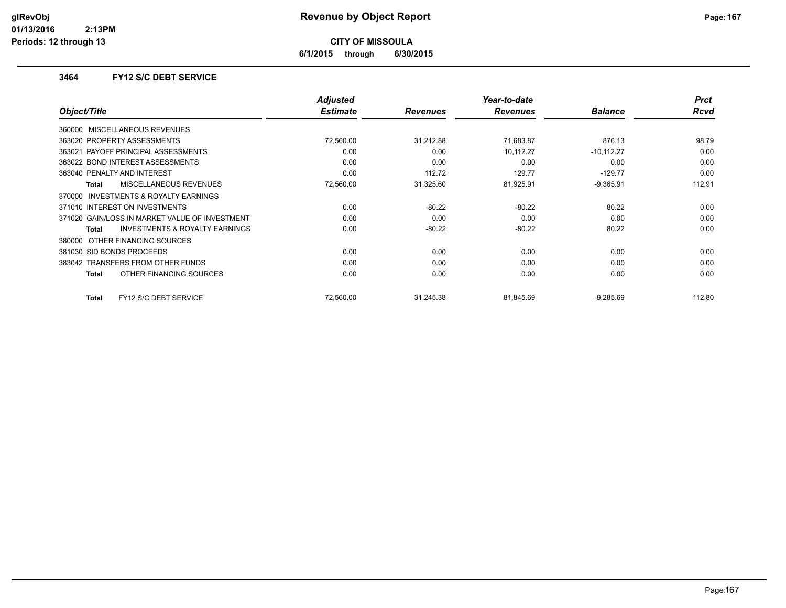**6/1/2015 through 6/30/2015**

### **3464 FY12 S/C DEBT SERVICE**

|                                                           | <b>Adjusted</b> |                 | Year-to-date    |                | <b>Prct</b> |
|-----------------------------------------------------------|-----------------|-----------------|-----------------|----------------|-------------|
| Object/Title                                              | <b>Estimate</b> | <b>Revenues</b> | <b>Revenues</b> | <b>Balance</b> | Rcvd        |
| 360000 MISCELLANEOUS REVENUES                             |                 |                 |                 |                |             |
| 363020 PROPERTY ASSESSMENTS                               | 72,560.00       | 31,212.88       | 71,683.87       | 876.13         | 98.79       |
| 363021 PAYOFF PRINCIPAL ASSESSMENTS                       | 0.00            | 0.00            | 10,112.27       | $-10,112.27$   | 0.00        |
| 363022 BOND INTEREST ASSESSMENTS                          | 0.00            | 0.00            | 0.00            | 0.00           | 0.00        |
| 363040 PENALTY AND INTEREST                               | 0.00            | 112.72          | 129.77          | $-129.77$      | 0.00        |
| MISCELLANEOUS REVENUES<br><b>Total</b>                    | 72,560.00       | 31,325.60       | 81,925.91       | $-9,365.91$    | 112.91      |
| <b>INVESTMENTS &amp; ROYALTY EARNINGS</b><br>370000       |                 |                 |                 |                |             |
| 371010 INTEREST ON INVESTMENTS                            | 0.00            | $-80.22$        | $-80.22$        | 80.22          | 0.00        |
| 371020 GAIN/LOSS IN MARKET VALUE OF INVESTMENT            | 0.00            | 0.00            | 0.00            | 0.00           | 0.00        |
| <b>INVESTMENTS &amp; ROYALTY EARNINGS</b><br><b>Total</b> | 0.00            | $-80.22$        | $-80.22$        | 80.22          | 0.00        |
| 380000 OTHER FINANCING SOURCES                            |                 |                 |                 |                |             |
| 381030 SID BONDS PROCEEDS                                 | 0.00            | 0.00            | 0.00            | 0.00           | 0.00        |
| 383042 TRANSFERS FROM OTHER FUNDS                         | 0.00            | 0.00            | 0.00            | 0.00           | 0.00        |
| OTHER FINANCING SOURCES<br>Total                          | 0.00            | 0.00            | 0.00            | 0.00           | 0.00        |
| FY12 S/C DEBT SERVICE<br>Total                            | 72,560.00       | 31,245.38       | 81,845.69       | $-9,285.69$    | 112.80      |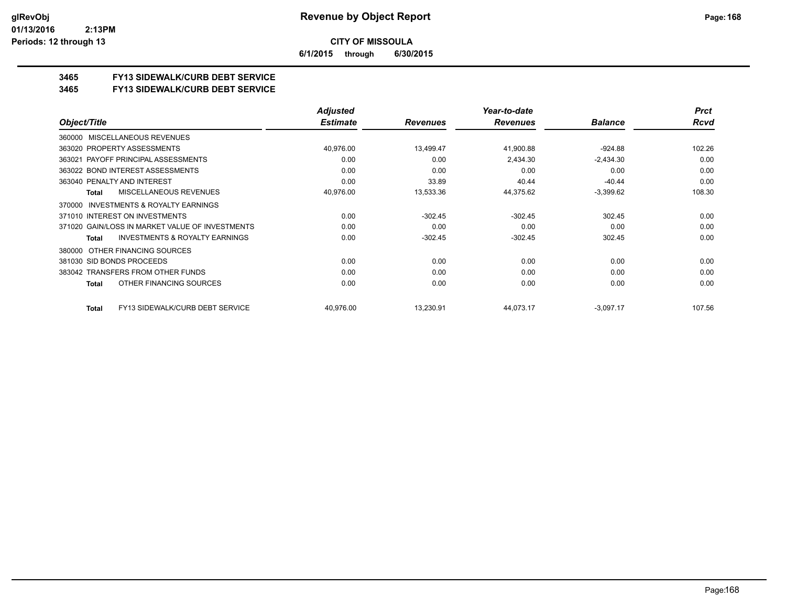**6/1/2015 through 6/30/2015**

## **3465 FY13 SIDEWALK/CURB DEBT SERVICE**

### **3465 FY13 SIDEWALK/CURB DEBT SERVICE**

|                                                     | Adjusted        |                 | Year-to-date    |                | <b>Prct</b> |
|-----------------------------------------------------|-----------------|-----------------|-----------------|----------------|-------------|
| Object/Title                                        | <b>Estimate</b> | <b>Revenues</b> | <b>Revenues</b> | <b>Balance</b> | <b>Rcvd</b> |
| <b>MISCELLANEOUS REVENUES</b><br>360000             |                 |                 |                 |                |             |
| 363020 PROPERTY ASSESSMENTS                         | 40,976.00       | 13,499.47       | 41,900.88       | $-924.88$      | 102.26      |
| 363021 PAYOFF PRINCIPAL ASSESSMENTS                 | 0.00            | 0.00            | 2,434.30        | $-2,434.30$    | 0.00        |
| 363022 BOND INTEREST ASSESSMENTS                    | 0.00            | 0.00            | 0.00            | 0.00           | 0.00        |
| 363040 PENALTY AND INTEREST                         | 0.00            | 33.89           | 40.44           | $-40.44$       | 0.00        |
| MISCELLANEOUS REVENUES<br>Total                     | 40,976.00       | 13,533.36       | 44,375.62       | $-3,399.62$    | 108.30      |
| <b>INVESTMENTS &amp; ROYALTY EARNINGS</b><br>370000 |                 |                 |                 |                |             |
| 371010 INTEREST ON INVESTMENTS                      | 0.00            | $-302.45$       | $-302.45$       | 302.45         | 0.00        |
| 371020 GAIN/LOSS IN MARKET VALUE OF INVESTMENTS     | 0.00            | 0.00            | 0.00            | 0.00           | 0.00        |
| <b>INVESTMENTS &amp; ROYALTY EARNINGS</b><br>Total  | 0.00            | $-302.45$       | $-302.45$       | 302.45         | 0.00        |
| 380000 OTHER FINANCING SOURCES                      |                 |                 |                 |                |             |
| 381030 SID BONDS PROCEEDS                           | 0.00            | 0.00            | 0.00            | 0.00           | 0.00        |
| 383042 TRANSFERS FROM OTHER FUNDS                   | 0.00            | 0.00            | 0.00            | 0.00           | 0.00        |
| OTHER FINANCING SOURCES<br>Total                    | 0.00            | 0.00            | 0.00            | 0.00           | 0.00        |
| FY13 SIDEWALK/CURB DEBT SERVICE<br>Total            | 40,976.00       | 13,230.91       | 44,073.17       | $-3,097.17$    | 107.56      |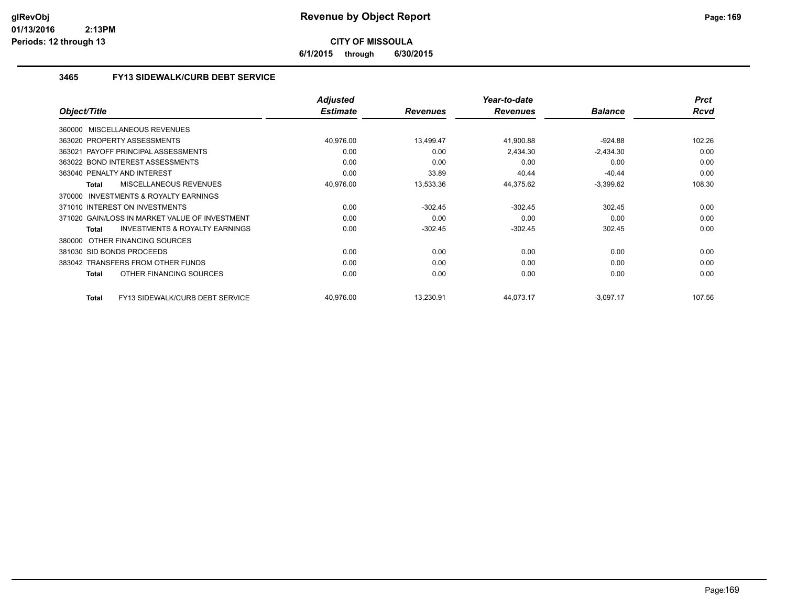**6/1/2015 through 6/30/2015**

## **3465 FY13 SIDEWALK/CURB DEBT SERVICE**

|                                                           | <b>Adjusted</b> |                 | Year-to-date    |                | <b>Prct</b> |
|-----------------------------------------------------------|-----------------|-----------------|-----------------|----------------|-------------|
| Object/Title                                              | <b>Estimate</b> | <b>Revenues</b> | <b>Revenues</b> | <b>Balance</b> | Rcvd        |
| 360000 MISCELLANEOUS REVENUES                             |                 |                 |                 |                |             |
| 363020 PROPERTY ASSESSMENTS                               | 40,976.00       | 13,499.47       | 41,900.88       | $-924.88$      | 102.26      |
| PAYOFF PRINCIPAL ASSESSMENTS<br>363021                    | 0.00            | 0.00            | 2,434.30        | $-2,434.30$    | 0.00        |
| 363022 BOND INTEREST ASSESSMENTS                          | 0.00            | 0.00            | 0.00            | 0.00           | 0.00        |
| 363040 PENALTY AND INTEREST                               | 0.00            | 33.89           | 40.44           | $-40.44$       | 0.00        |
| MISCELLANEOUS REVENUES<br><b>Total</b>                    | 40,976.00       | 13,533.36       | 44,375.62       | $-3,399.62$    | 108.30      |
| 370000 INVESTMENTS & ROYALTY EARNINGS                     |                 |                 |                 |                |             |
| 371010 INTEREST ON INVESTMENTS                            | 0.00            | $-302.45$       | $-302.45$       | 302.45         | 0.00        |
| 371020 GAIN/LOSS IN MARKET VALUE OF INVESTMENT            | 0.00            | 0.00            | 0.00            | 0.00           | 0.00        |
| <b>INVESTMENTS &amp; ROYALTY EARNINGS</b><br><b>Total</b> | 0.00            | $-302.45$       | $-302.45$       | 302.45         | 0.00        |
| OTHER FINANCING SOURCES<br>380000                         |                 |                 |                 |                |             |
| 381030 SID BONDS PROCEEDS                                 | 0.00            | 0.00            | 0.00            | 0.00           | 0.00        |
| 383042 TRANSFERS FROM OTHER FUNDS                         | 0.00            | 0.00            | 0.00            | 0.00           | 0.00        |
| OTHER FINANCING SOURCES<br><b>Total</b>                   | 0.00            | 0.00            | 0.00            | 0.00           | 0.00        |
| FY13 SIDEWALK/CURB DEBT SERVICE<br><b>Total</b>           | 40,976.00       | 13,230.91       | 44,073.17       | $-3,097.17$    | 107.56      |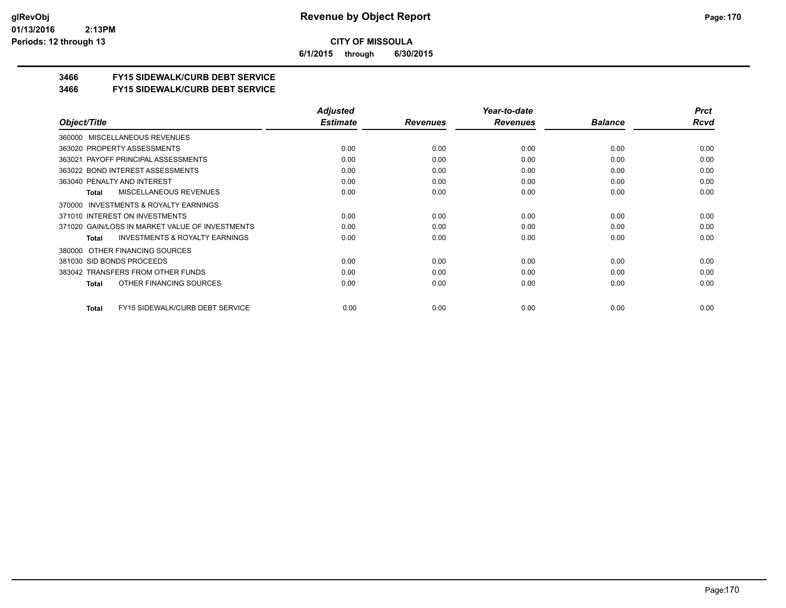**6/1/2015 through 6/30/2015**

## **3466 FY15 SIDEWALK/CURB DEBT SERVICE**

### **3466 FY15 SIDEWALK/CURB DEBT SERVICE**

|                                                     | <b>Adjusted</b> |                 | Year-to-date    |                | <b>Prct</b> |
|-----------------------------------------------------|-----------------|-----------------|-----------------|----------------|-------------|
| Object/Title                                        | <b>Estimate</b> | <b>Revenues</b> | <b>Revenues</b> | <b>Balance</b> | Rcvd        |
| MISCELLANEOUS REVENUES<br>360000                    |                 |                 |                 |                |             |
| 363020 PROPERTY ASSESSMENTS                         | 0.00            | 0.00            | 0.00            | 0.00           | 0.00        |
| 363021 PAYOFF PRINCIPAL ASSESSMENTS                 | 0.00            | 0.00            | 0.00            | 0.00           | 0.00        |
| 363022 BOND INTEREST ASSESSMENTS                    | 0.00            | 0.00            | 0.00            | 0.00           | 0.00        |
| 363040 PENALTY AND INTEREST                         | 0.00            | 0.00            | 0.00            | 0.00           | 0.00        |
| MISCELLANEOUS REVENUES<br>Total                     | 0.00            | 0.00            | 0.00            | 0.00           | 0.00        |
| <b>INVESTMENTS &amp; ROYALTY EARNINGS</b><br>370000 |                 |                 |                 |                |             |
| 371010 INTEREST ON INVESTMENTS                      | 0.00            | 0.00            | 0.00            | 0.00           | 0.00        |
| 371020 GAIN/LOSS IN MARKET VALUE OF INVESTMENTS     | 0.00            | 0.00            | 0.00            | 0.00           | 0.00        |
| <b>INVESTMENTS &amp; ROYALTY EARNINGS</b><br>Total  | 0.00            | 0.00            | 0.00            | 0.00           | 0.00        |
| 380000 OTHER FINANCING SOURCES                      |                 |                 |                 |                |             |
| 381030 SID BONDS PROCEEDS                           | 0.00            | 0.00            | 0.00            | 0.00           | 0.00        |
| 383042 TRANSFERS FROM OTHER FUNDS                   | 0.00            | 0.00            | 0.00            | 0.00           | 0.00        |
| OTHER FINANCING SOURCES<br>Total                    | 0.00            | 0.00            | 0.00            | 0.00           | 0.00        |
|                                                     |                 |                 |                 |                |             |
| <b>FY15 SIDEWALK/CURB DEBT SERVICE</b><br>Total     | 0.00            | 0.00            | 0.00            | 0.00           | 0.00        |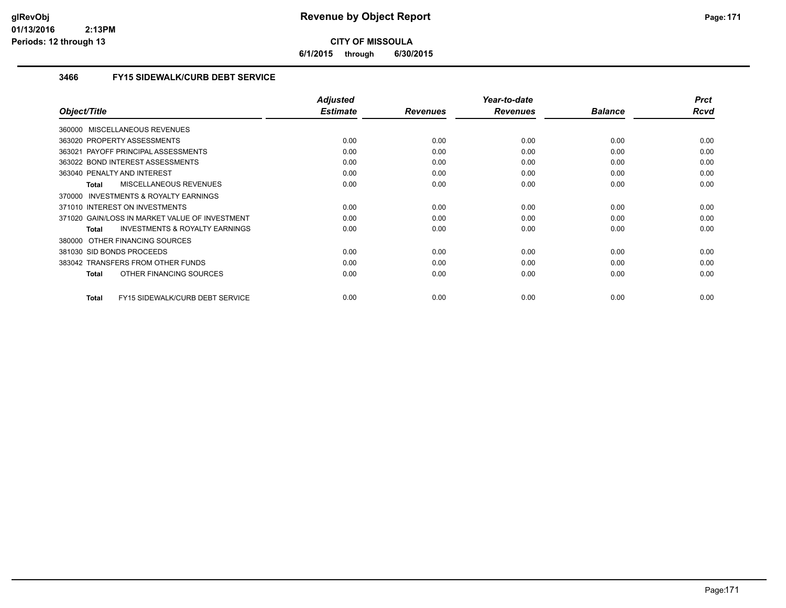**6/1/2015 through 6/30/2015**

## **3466 FY15 SIDEWALK/CURB DEBT SERVICE**

|                                                           | <b>Adjusted</b> |                 | Year-to-date    |                | <b>Prct</b> |
|-----------------------------------------------------------|-----------------|-----------------|-----------------|----------------|-------------|
| Object/Title                                              | <b>Estimate</b> | <b>Revenues</b> | <b>Revenues</b> | <b>Balance</b> | Rcvd        |
| 360000 MISCELLANEOUS REVENUES                             |                 |                 |                 |                |             |
| 363020 PROPERTY ASSESSMENTS                               | 0.00            | 0.00            | 0.00            | 0.00           | 0.00        |
| 363021 PAYOFF PRINCIPAL ASSESSMENTS                       | 0.00            | 0.00            | 0.00            | 0.00           | 0.00        |
| 363022 BOND INTEREST ASSESSMENTS                          | 0.00            | 0.00            | 0.00            | 0.00           | 0.00        |
| 363040 PENALTY AND INTEREST                               | 0.00            | 0.00            | 0.00            | 0.00           | 0.00        |
| <b>MISCELLANEOUS REVENUES</b><br><b>Total</b>             | 0.00            | 0.00            | 0.00            | 0.00           | 0.00        |
| 370000 INVESTMENTS & ROYALTY EARNINGS                     |                 |                 |                 |                |             |
| 371010 INTEREST ON INVESTMENTS                            | 0.00            | 0.00            | 0.00            | 0.00           | 0.00        |
| 371020 GAIN/LOSS IN MARKET VALUE OF INVESTMENT            | 0.00            | 0.00            | 0.00            | 0.00           | 0.00        |
| <b>INVESTMENTS &amp; ROYALTY EARNINGS</b><br><b>Total</b> | 0.00            | 0.00            | 0.00            | 0.00           | 0.00        |
| OTHER FINANCING SOURCES<br>380000                         |                 |                 |                 |                |             |
| 381030 SID BONDS PROCEEDS                                 | 0.00            | 0.00            | 0.00            | 0.00           | 0.00        |
| 383042 TRANSFERS FROM OTHER FUNDS                         | 0.00            | 0.00            | 0.00            | 0.00           | 0.00        |
| OTHER FINANCING SOURCES<br><b>Total</b>                   | 0.00            | 0.00            | 0.00            | 0.00           | 0.00        |
|                                                           |                 |                 |                 |                |             |
| FY15 SIDEWALK/CURB DEBT SERVICE<br><b>Total</b>           | 0.00            | 0.00            | 0.00            | 0.00           | 0.00        |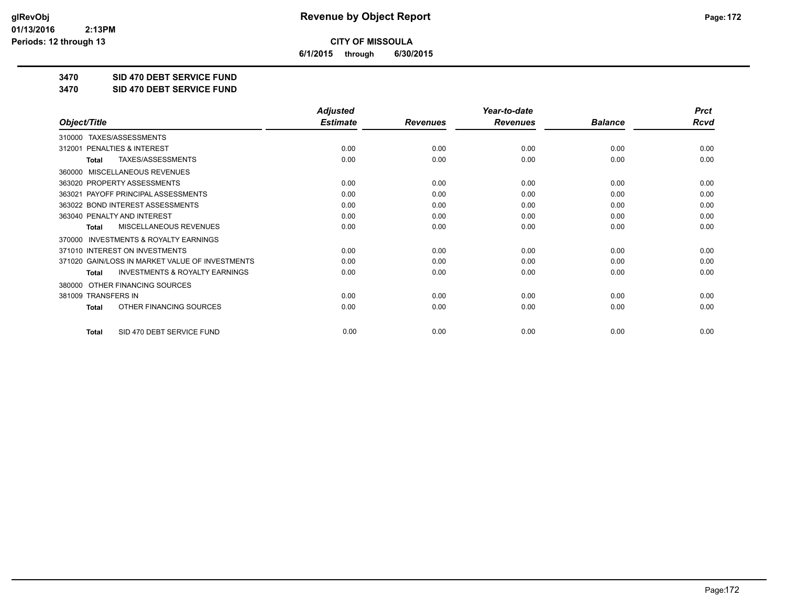**6/1/2015 through 6/30/2015**

**3470 SID 470 DEBT SERVICE FUND**

**3470 SID 470 DEBT SERVICE FUND**

|                                                           | <b>Adjusted</b> |                 | Year-to-date    |                | <b>Prct</b> |
|-----------------------------------------------------------|-----------------|-----------------|-----------------|----------------|-------------|
| Object/Title                                              | <b>Estimate</b> | <b>Revenues</b> | <b>Revenues</b> | <b>Balance</b> | <b>Rcvd</b> |
| <b>TAXES/ASSESSMENTS</b><br>310000                        |                 |                 |                 |                |             |
| <b>PENALTIES &amp; INTEREST</b><br>312001                 | 0.00            | 0.00            | 0.00            | 0.00           | 0.00        |
| TAXES/ASSESSMENTS<br><b>Total</b>                         | 0.00            | 0.00            | 0.00            | 0.00           | 0.00        |
| 360000 MISCELLANEOUS REVENUES                             |                 |                 |                 |                |             |
| 363020 PROPERTY ASSESSMENTS                               | 0.00            | 0.00            | 0.00            | 0.00           | 0.00        |
| PAYOFF PRINCIPAL ASSESSMENTS<br>363021                    | 0.00            | 0.00            | 0.00            | 0.00           | 0.00        |
| 363022 BOND INTEREST ASSESSMENTS                          | 0.00            | 0.00            | 0.00            | 0.00           | 0.00        |
| 363040 PENALTY AND INTEREST                               | 0.00            | 0.00            | 0.00            | 0.00           | 0.00        |
| MISCELLANEOUS REVENUES<br><b>Total</b>                    | 0.00            | 0.00            | 0.00            | 0.00           | 0.00        |
| <b>INVESTMENTS &amp; ROYALTY EARNINGS</b><br>370000       |                 |                 |                 |                |             |
| 371010 INTEREST ON INVESTMENTS                            | 0.00            | 0.00            | 0.00            | 0.00           | 0.00        |
| 371020 GAIN/LOSS IN MARKET VALUE OF INVESTMENTS           | 0.00            | 0.00            | 0.00            | 0.00           | 0.00        |
| <b>INVESTMENTS &amp; ROYALTY EARNINGS</b><br><b>Total</b> | 0.00            | 0.00            | 0.00            | 0.00           | 0.00        |
| OTHER FINANCING SOURCES<br>380000                         |                 |                 |                 |                |             |
| 381009 TRANSFERS IN                                       | 0.00            | 0.00            | 0.00            | 0.00           | 0.00        |
| OTHER FINANCING SOURCES<br><b>Total</b>                   | 0.00            | 0.00            | 0.00            | 0.00           | 0.00        |
| SID 470 DEBT SERVICE FUND<br><b>Total</b>                 | 0.00            | 0.00            | 0.00            | 0.00           | 0.00        |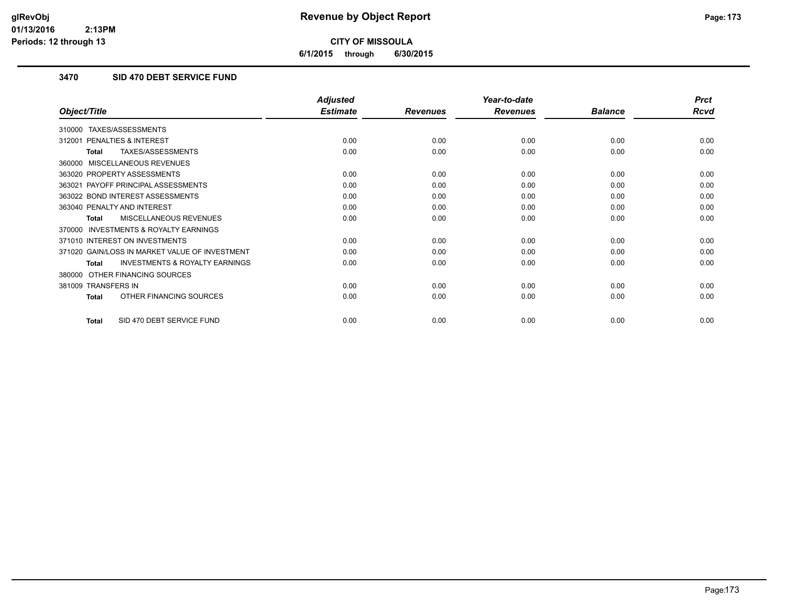**6/1/2015 through 6/30/2015**

## **3470 SID 470 DEBT SERVICE FUND**

|                                                           | <b>Adjusted</b> |                 | Year-to-date    |                | <b>Prct</b> |
|-----------------------------------------------------------|-----------------|-----------------|-----------------|----------------|-------------|
| Object/Title                                              | <b>Estimate</b> | <b>Revenues</b> | <b>Revenues</b> | <b>Balance</b> | <b>Rcvd</b> |
| TAXES/ASSESSMENTS<br>310000                               |                 |                 |                 |                |             |
| <b>PENALTIES &amp; INTEREST</b><br>312001                 | 0.00            | 0.00            | 0.00            | 0.00           | 0.00        |
| TAXES/ASSESSMENTS<br><b>Total</b>                         | 0.00            | 0.00            | 0.00            | 0.00           | 0.00        |
| MISCELLANEOUS REVENUES<br>360000                          |                 |                 |                 |                |             |
| 363020 PROPERTY ASSESSMENTS                               | 0.00            | 0.00            | 0.00            | 0.00           | 0.00        |
| 363021 PAYOFF PRINCIPAL ASSESSMENTS                       | 0.00            | 0.00            | 0.00            | 0.00           | 0.00        |
| 363022 BOND INTEREST ASSESSMENTS                          | 0.00            | 0.00            | 0.00            | 0.00           | 0.00        |
| 363040 PENALTY AND INTEREST                               | 0.00            | 0.00            | 0.00            | 0.00           | 0.00        |
| <b>MISCELLANEOUS REVENUES</b><br><b>Total</b>             | 0.00            | 0.00            | 0.00            | 0.00           | 0.00        |
| <b>INVESTMENTS &amp; ROYALTY EARNINGS</b><br>370000       |                 |                 |                 |                |             |
| 371010 INTEREST ON INVESTMENTS                            | 0.00            | 0.00            | 0.00            | 0.00           | 0.00        |
| 371020 GAIN/LOSS IN MARKET VALUE OF INVESTMENT            | 0.00            | 0.00            | 0.00            | 0.00           | 0.00        |
| <b>INVESTMENTS &amp; ROYALTY EARNINGS</b><br><b>Total</b> | 0.00            | 0.00            | 0.00            | 0.00           | 0.00        |
| OTHER FINANCING SOURCES<br>380000                         |                 |                 |                 |                |             |
| 381009 TRANSFERS IN                                       | 0.00            | 0.00            | 0.00            | 0.00           | 0.00        |
| OTHER FINANCING SOURCES<br><b>Total</b>                   | 0.00            | 0.00            | 0.00            | 0.00           | 0.00        |
| SID 470 DEBT SERVICE FUND<br>Total                        | 0.00            | 0.00            | 0.00            | 0.00           | 0.00        |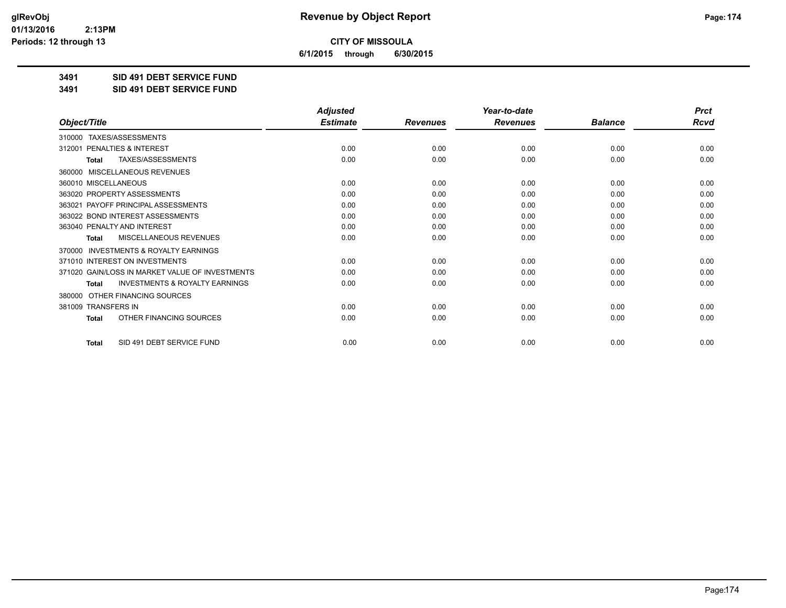**6/1/2015 through 6/30/2015**

**3491 SID 491 DEBT SERVICE FUND**

**3491 SID 491 DEBT SERVICE FUND**

|                                                           | <b>Adjusted</b> |                 | Year-to-date    |                | <b>Prct</b> |
|-----------------------------------------------------------|-----------------|-----------------|-----------------|----------------|-------------|
| Object/Title                                              | <b>Estimate</b> | <b>Revenues</b> | <b>Revenues</b> | <b>Balance</b> | <b>Rcvd</b> |
| TAXES/ASSESSMENTS<br>310000                               |                 |                 |                 |                |             |
| 312001 PENALTIES & INTEREST                               | 0.00            | 0.00            | 0.00            | 0.00           | 0.00        |
| TAXES/ASSESSMENTS<br><b>Total</b>                         | 0.00            | 0.00            | 0.00            | 0.00           | 0.00        |
| MISCELLANEOUS REVENUES<br>360000                          |                 |                 |                 |                |             |
| 360010 MISCELLANEOUS                                      | 0.00            | 0.00            | 0.00            | 0.00           | 0.00        |
| 363020 PROPERTY ASSESSMENTS                               | 0.00            | 0.00            | 0.00            | 0.00           | 0.00        |
| 363021 PAYOFF PRINCIPAL ASSESSMENTS                       | 0.00            | 0.00            | 0.00            | 0.00           | 0.00        |
| 363022 BOND INTEREST ASSESSMENTS                          | 0.00            | 0.00            | 0.00            | 0.00           | 0.00        |
| 363040 PENALTY AND INTEREST                               | 0.00            | 0.00            | 0.00            | 0.00           | 0.00        |
| <b>MISCELLANEOUS REVENUES</b><br><b>Total</b>             | 0.00            | 0.00            | 0.00            | 0.00           | 0.00        |
| <b>INVESTMENTS &amp; ROYALTY EARNINGS</b><br>370000       |                 |                 |                 |                |             |
| 371010 INTEREST ON INVESTMENTS                            | 0.00            | 0.00            | 0.00            | 0.00           | 0.00        |
| 371020 GAIN/LOSS IN MARKET VALUE OF INVESTMENTS           | 0.00            | 0.00            | 0.00            | 0.00           | 0.00        |
| <b>INVESTMENTS &amp; ROYALTY EARNINGS</b><br><b>Total</b> | 0.00            | 0.00            | 0.00            | 0.00           | 0.00        |
| OTHER FINANCING SOURCES<br>380000                         |                 |                 |                 |                |             |
| 381009 TRANSFERS IN                                       | 0.00            | 0.00            | 0.00            | 0.00           | 0.00        |
| OTHER FINANCING SOURCES<br>Total                          | 0.00            | 0.00            | 0.00            | 0.00           | 0.00        |
| SID 491 DEBT SERVICE FUND<br><b>Total</b>                 | 0.00            | 0.00            | 0.00            | 0.00           | 0.00        |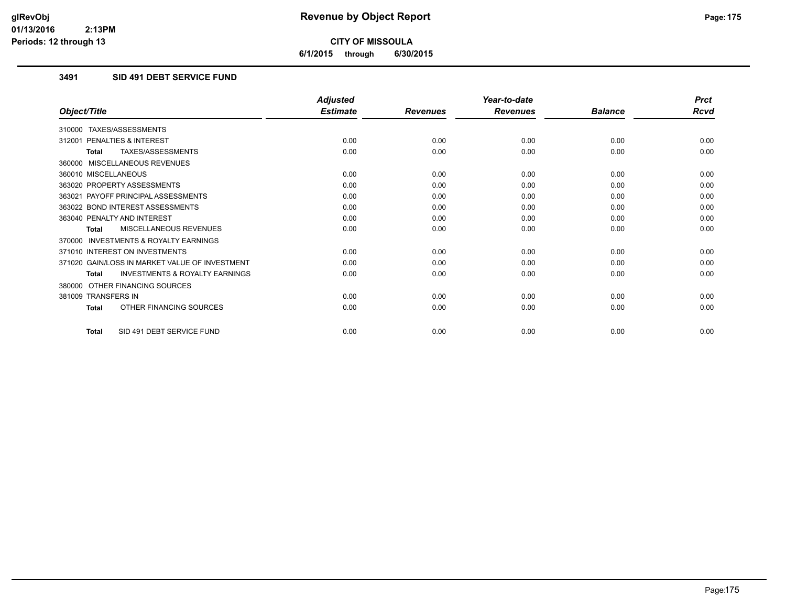**6/1/2015 through 6/30/2015**

## **3491 SID 491 DEBT SERVICE FUND**

|                                                           | <b>Adjusted</b> |                 | Year-to-date    |                | <b>Prct</b> |
|-----------------------------------------------------------|-----------------|-----------------|-----------------|----------------|-------------|
| Object/Title                                              | <b>Estimate</b> | <b>Revenues</b> | <b>Revenues</b> | <b>Balance</b> | <b>Rcvd</b> |
| 310000 TAXES/ASSESSMENTS                                  |                 |                 |                 |                |             |
| 312001 PENALTIES & INTEREST                               | 0.00            | 0.00            | 0.00            | 0.00           | 0.00        |
| TAXES/ASSESSMENTS<br><b>Total</b>                         | 0.00            | 0.00            | 0.00            | 0.00           | 0.00        |
| 360000 MISCELLANEOUS REVENUES                             |                 |                 |                 |                |             |
| 360010 MISCELLANEOUS                                      | 0.00            | 0.00            | 0.00            | 0.00           | 0.00        |
| 363020 PROPERTY ASSESSMENTS                               | 0.00            | 0.00            | 0.00            | 0.00           | 0.00        |
| 363021 PAYOFF PRINCIPAL ASSESSMENTS                       | 0.00            | 0.00            | 0.00            | 0.00           | 0.00        |
| 363022 BOND INTEREST ASSESSMENTS                          | 0.00            | 0.00            | 0.00            | 0.00           | 0.00        |
| 363040 PENALTY AND INTEREST                               | 0.00            | 0.00            | 0.00            | 0.00           | 0.00        |
| MISCELLANEOUS REVENUES<br><b>Total</b>                    | 0.00            | 0.00            | 0.00            | 0.00           | 0.00        |
| <b>INVESTMENTS &amp; ROYALTY EARNINGS</b><br>370000       |                 |                 |                 |                |             |
| 371010 INTEREST ON INVESTMENTS                            | 0.00            | 0.00            | 0.00            | 0.00           | 0.00        |
| 371020 GAIN/LOSS IN MARKET VALUE OF INVESTMENT            | 0.00            | 0.00            | 0.00            | 0.00           | 0.00        |
| <b>INVESTMENTS &amp; ROYALTY EARNINGS</b><br><b>Total</b> | 0.00            | 0.00            | 0.00            | 0.00           | 0.00        |
| OTHER FINANCING SOURCES<br>380000                         |                 |                 |                 |                |             |
| 381009 TRANSFERS IN                                       | 0.00            | 0.00            | 0.00            | 0.00           | 0.00        |
| OTHER FINANCING SOURCES<br><b>Total</b>                   | 0.00            | 0.00            | 0.00            | 0.00           | 0.00        |
| SID 491 DEBT SERVICE FUND<br><b>Total</b>                 | 0.00            | 0.00            | 0.00            | 0.00           | 0.00        |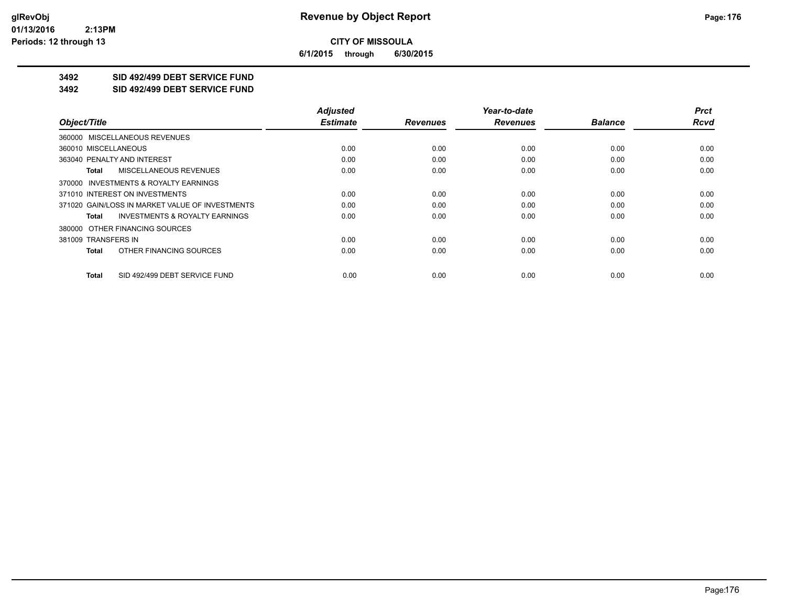**6/1/2015 through 6/30/2015**

# **3492 SID 492/499 DEBT SERVICE FUND**

**3492 SID 492/499 DEBT SERVICE FUND**

|                                                    | <b>Adjusted</b> |                 | Year-to-date    |                | <b>Prct</b> |
|----------------------------------------------------|-----------------|-----------------|-----------------|----------------|-------------|
| Object/Title                                       | <b>Estimate</b> | <b>Revenues</b> | <b>Revenues</b> | <b>Balance</b> | <b>Rcvd</b> |
| 360000 MISCELLANEOUS REVENUES                      |                 |                 |                 |                |             |
| 360010 MISCELLANEOUS                               | 0.00            | 0.00            | 0.00            | 0.00           | 0.00        |
| 363040 PENALTY AND INTEREST                        | 0.00            | 0.00            | 0.00            | 0.00           | 0.00        |
| <b>MISCELLANEOUS REVENUES</b><br>Total             | 0.00            | 0.00            | 0.00            | 0.00           | 0.00        |
| 370000 INVESTMENTS & ROYALTY EARNINGS              |                 |                 |                 |                |             |
| 371010 INTEREST ON INVESTMENTS                     | 0.00            | 0.00            | 0.00            | 0.00           | 0.00        |
| 371020 GAIN/LOSS IN MARKET VALUE OF INVESTMENTS    | 0.00            | 0.00            | 0.00            | 0.00           | 0.00        |
| <b>INVESTMENTS &amp; ROYALTY EARNINGS</b><br>Total | 0.00            | 0.00            | 0.00            | 0.00           | 0.00        |
| 380000 OTHER FINANCING SOURCES                     |                 |                 |                 |                |             |
| 381009 TRANSFERS IN                                | 0.00            | 0.00            | 0.00            | 0.00           | 0.00        |
| OTHER FINANCING SOURCES<br>Total                   | 0.00            | 0.00            | 0.00            | 0.00           | 0.00        |
| SID 492/499 DEBT SERVICE FUND<br>Total             | 0.00            | 0.00            | 0.00            | 0.00           | 0.00        |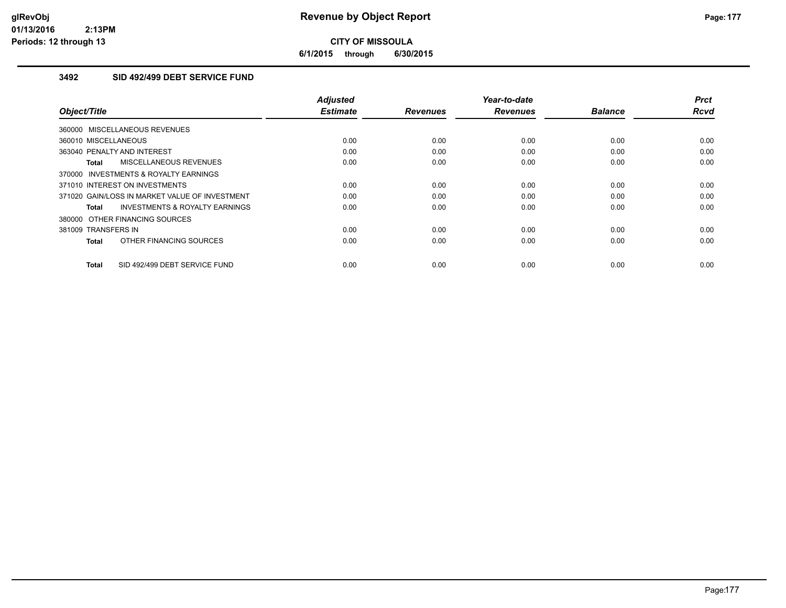**6/1/2015 through 6/30/2015**

## **3492 SID 492/499 DEBT SERVICE FUND**

| Object/Title                                              | Adjusted<br><b>Estimate</b> | <b>Revenues</b> | Year-to-date<br><b>Revenues</b> | <b>Balance</b> | <b>Prct</b><br>Rcvd |
|-----------------------------------------------------------|-----------------------------|-----------------|---------------------------------|----------------|---------------------|
| 360000 MISCELLANEOUS REVENUES                             |                             |                 |                                 |                |                     |
| 360010 MISCELLANEOUS                                      | 0.00                        | 0.00            | 0.00                            | 0.00           | 0.00                |
| 363040 PENALTY AND INTEREST                               | 0.00                        | 0.00            | 0.00                            | 0.00           | 0.00                |
| MISCELLANEOUS REVENUES<br><b>Total</b>                    | 0.00                        | 0.00            | 0.00                            | 0.00           | 0.00                |
| INVESTMENTS & ROYALTY EARNINGS<br>370000                  |                             |                 |                                 |                |                     |
| 371010 INTEREST ON INVESTMENTS                            | 0.00                        | 0.00            | 0.00                            | 0.00           | 0.00                |
| 371020 GAIN/LOSS IN MARKET VALUE OF INVESTMENT            | 0.00                        | 0.00            | 0.00                            | 0.00           | 0.00                |
| <b>INVESTMENTS &amp; ROYALTY EARNINGS</b><br><b>Total</b> | 0.00                        | 0.00            | 0.00                            | 0.00           | 0.00                |
| 380000 OTHER FINANCING SOURCES                            |                             |                 |                                 |                |                     |
| 381009 TRANSFERS IN                                       | 0.00                        | 0.00            | 0.00                            | 0.00           | 0.00                |
| OTHER FINANCING SOURCES<br><b>Total</b>                   | 0.00                        | 0.00            | 0.00                            | 0.00           | 0.00                |
| SID 492/499 DEBT SERVICE FUND<br><b>Total</b>             | 0.00                        | 0.00            | 0.00                            | 0.00           | 0.00                |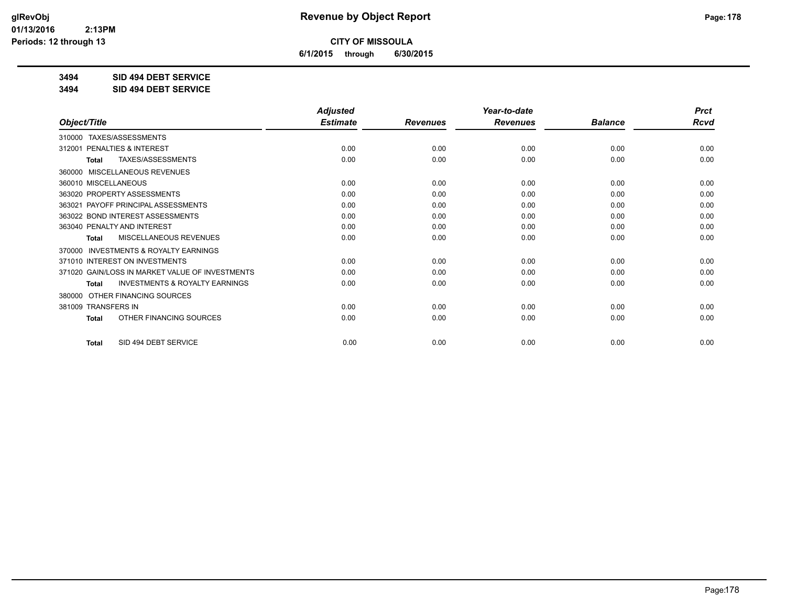**6/1/2015 through 6/30/2015**

**3494 SID 494 DEBT SERVICE**

**3494 SID 494 DEBT SERVICE**

|                                                     | <b>Adjusted</b> |                 | Year-to-date    |                | <b>Prct</b> |
|-----------------------------------------------------|-----------------|-----------------|-----------------|----------------|-------------|
| Object/Title                                        | <b>Estimate</b> | <b>Revenues</b> | <b>Revenues</b> | <b>Balance</b> | <b>Rcvd</b> |
| 310000 TAXES/ASSESSMENTS                            |                 |                 |                 |                |             |
| PENALTIES & INTEREST<br>312001                      | 0.00            | 0.00            | 0.00            | 0.00           | 0.00        |
| <b>TAXES/ASSESSMENTS</b><br><b>Total</b>            | 0.00            | 0.00            | 0.00            | 0.00           | 0.00        |
| MISCELLANEOUS REVENUES<br>360000                    |                 |                 |                 |                |             |
| 360010 MISCELLANEOUS                                | 0.00            | 0.00            | 0.00            | 0.00           | 0.00        |
| 363020 PROPERTY ASSESSMENTS                         | 0.00            | 0.00            | 0.00            | 0.00           | 0.00        |
| 363021 PAYOFF PRINCIPAL ASSESSMENTS                 | 0.00            | 0.00            | 0.00            | 0.00           | 0.00        |
| 363022 BOND INTEREST ASSESSMENTS                    | 0.00            | 0.00            | 0.00            | 0.00           | 0.00        |
| 363040 PENALTY AND INTEREST                         | 0.00            | 0.00            | 0.00            | 0.00           | 0.00        |
| MISCELLANEOUS REVENUES<br>Total                     | 0.00            | 0.00            | 0.00            | 0.00           | 0.00        |
| <b>INVESTMENTS &amp; ROYALTY EARNINGS</b><br>370000 |                 |                 |                 |                |             |
| 371010 INTEREST ON INVESTMENTS                      | 0.00            | 0.00            | 0.00            | 0.00           | 0.00        |
| 371020 GAIN/LOSS IN MARKET VALUE OF INVESTMENTS     | 0.00            | 0.00            | 0.00            | 0.00           | 0.00        |
| <b>INVESTMENTS &amp; ROYALTY EARNINGS</b><br>Total  | 0.00            | 0.00            | 0.00            | 0.00           | 0.00        |
| OTHER FINANCING SOURCES<br>380000                   |                 |                 |                 |                |             |
| 381009 TRANSFERS IN                                 | 0.00            | 0.00            | 0.00            | 0.00           | 0.00        |
| OTHER FINANCING SOURCES<br><b>Total</b>             | 0.00            | 0.00            | 0.00            | 0.00           | 0.00        |
| SID 494 DEBT SERVICE<br><b>Total</b>                | 0.00            | 0.00            | 0.00            | 0.00           | 0.00        |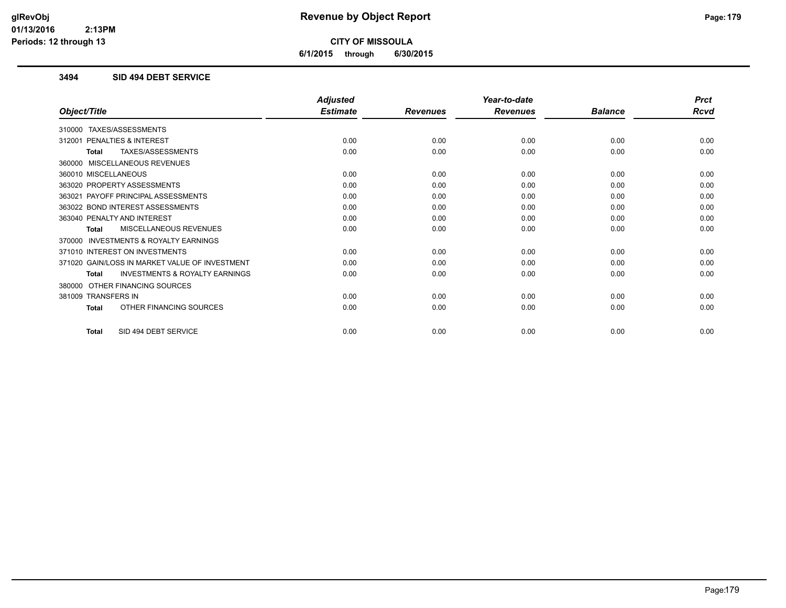**6/1/2015 through 6/30/2015**

## **3494 SID 494 DEBT SERVICE**

|                                                    | <b>Adjusted</b> |                 | Year-to-date    |                | <b>Prct</b> |
|----------------------------------------------------|-----------------|-----------------|-----------------|----------------|-------------|
| Object/Title                                       | <b>Estimate</b> | <b>Revenues</b> | <b>Revenues</b> | <b>Balance</b> | <b>Rcvd</b> |
| 310000 TAXES/ASSESSMENTS                           |                 |                 |                 |                |             |
| PENALTIES & INTEREST<br>312001                     | 0.00            | 0.00            | 0.00            | 0.00           | 0.00        |
| TAXES/ASSESSMENTS<br>Total                         | 0.00            | 0.00            | 0.00            | 0.00           | 0.00        |
| 360000 MISCELLANEOUS REVENUES                      |                 |                 |                 |                |             |
| 360010 MISCELLANEOUS                               | 0.00            | 0.00            | 0.00            | 0.00           | 0.00        |
| 363020 PROPERTY ASSESSMENTS                        | 0.00            | 0.00            | 0.00            | 0.00           | 0.00        |
| 363021 PAYOFF PRINCIPAL ASSESSMENTS                | 0.00            | 0.00            | 0.00            | 0.00           | 0.00        |
| 363022 BOND INTEREST ASSESSMENTS                   | 0.00            | 0.00            | 0.00            | 0.00           | 0.00        |
| 363040 PENALTY AND INTEREST                        | 0.00            | 0.00            | 0.00            | 0.00           | 0.00        |
| MISCELLANEOUS REVENUES<br>Total                    | 0.00            | 0.00            | 0.00            | 0.00           | 0.00        |
| 370000 INVESTMENTS & ROYALTY EARNINGS              |                 |                 |                 |                |             |
| 371010 INTEREST ON INVESTMENTS                     | 0.00            | 0.00            | 0.00            | 0.00           | 0.00        |
| 371020 GAIN/LOSS IN MARKET VALUE OF INVESTMENT     | 0.00            | 0.00            | 0.00            | 0.00           | 0.00        |
| <b>INVESTMENTS &amp; ROYALTY EARNINGS</b><br>Total | 0.00            | 0.00            | 0.00            | 0.00           | 0.00        |
| 380000 OTHER FINANCING SOURCES                     |                 |                 |                 |                |             |
| 381009 TRANSFERS IN                                | 0.00            | 0.00            | 0.00            | 0.00           | 0.00        |
| OTHER FINANCING SOURCES<br>Total                   | 0.00            | 0.00            | 0.00            | 0.00           | 0.00        |
| SID 494 DEBT SERVICE<br><b>Total</b>               | 0.00            | 0.00            | 0.00            | 0.00           | 0.00        |
|                                                    |                 |                 |                 |                |             |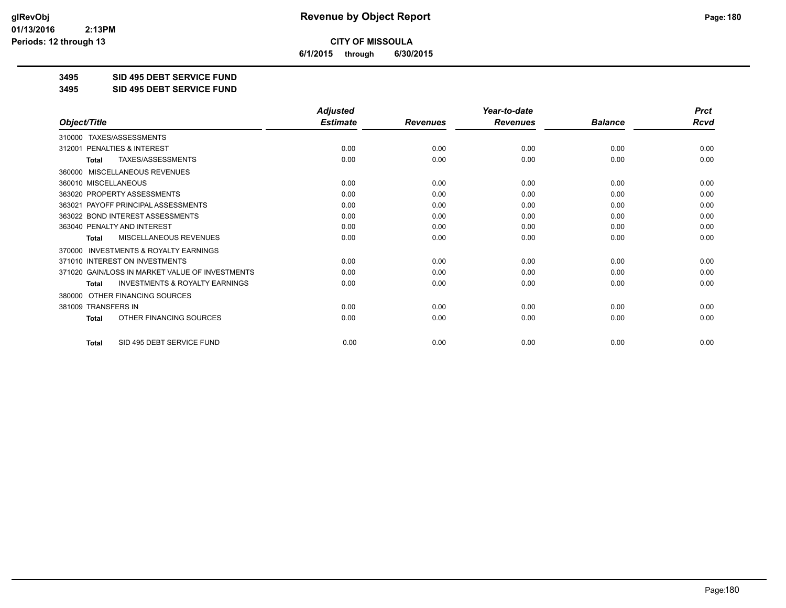**6/1/2015 through 6/30/2015**

**3495 SID 495 DEBT SERVICE FUND**

**3495 SID 495 DEBT SERVICE FUND**

|                                                           | <b>Adjusted</b> |                 | Year-to-date    |                | <b>Prct</b> |
|-----------------------------------------------------------|-----------------|-----------------|-----------------|----------------|-------------|
| Object/Title                                              | <b>Estimate</b> | <b>Revenues</b> | <b>Revenues</b> | <b>Balance</b> | <b>Rcvd</b> |
| 310000 TAXES/ASSESSMENTS                                  |                 |                 |                 |                |             |
| PENALTIES & INTEREST<br>312001                            | 0.00            | 0.00            | 0.00            | 0.00           | 0.00        |
| <b>TAXES/ASSESSMENTS</b><br><b>Total</b>                  | 0.00            | 0.00            | 0.00            | 0.00           | 0.00        |
| MISCELLANEOUS REVENUES<br>360000                          |                 |                 |                 |                |             |
| 360010 MISCELLANEOUS                                      | 0.00            | 0.00            | 0.00            | 0.00           | 0.00        |
| 363020 PROPERTY ASSESSMENTS                               | 0.00            | 0.00            | 0.00            | 0.00           | 0.00        |
| 363021 PAYOFF PRINCIPAL ASSESSMENTS                       | 0.00            | 0.00            | 0.00            | 0.00           | 0.00        |
| 363022 BOND INTEREST ASSESSMENTS                          | 0.00            | 0.00            | 0.00            | 0.00           | 0.00        |
| 363040 PENALTY AND INTEREST                               | 0.00            | 0.00            | 0.00            | 0.00           | 0.00        |
| MISCELLANEOUS REVENUES<br>Total                           | 0.00            | 0.00            | 0.00            | 0.00           | 0.00        |
| <b>INVESTMENTS &amp; ROYALTY EARNINGS</b><br>370000       |                 |                 |                 |                |             |
| 371010 INTEREST ON INVESTMENTS                            | 0.00            | 0.00            | 0.00            | 0.00           | 0.00        |
| 371020 GAIN/LOSS IN MARKET VALUE OF INVESTMENTS           | 0.00            | 0.00            | 0.00            | 0.00           | 0.00        |
| <b>INVESTMENTS &amp; ROYALTY EARNINGS</b><br><b>Total</b> | 0.00            | 0.00            | 0.00            | 0.00           | 0.00        |
| OTHER FINANCING SOURCES<br>380000                         |                 |                 |                 |                |             |
| 381009 TRANSFERS IN                                       | 0.00            | 0.00            | 0.00            | 0.00           | 0.00        |
| OTHER FINANCING SOURCES<br><b>Total</b>                   | 0.00            | 0.00            | 0.00            | 0.00           | 0.00        |
| SID 495 DEBT SERVICE FUND<br><b>Total</b>                 | 0.00            | 0.00            | 0.00            | 0.00           | 0.00        |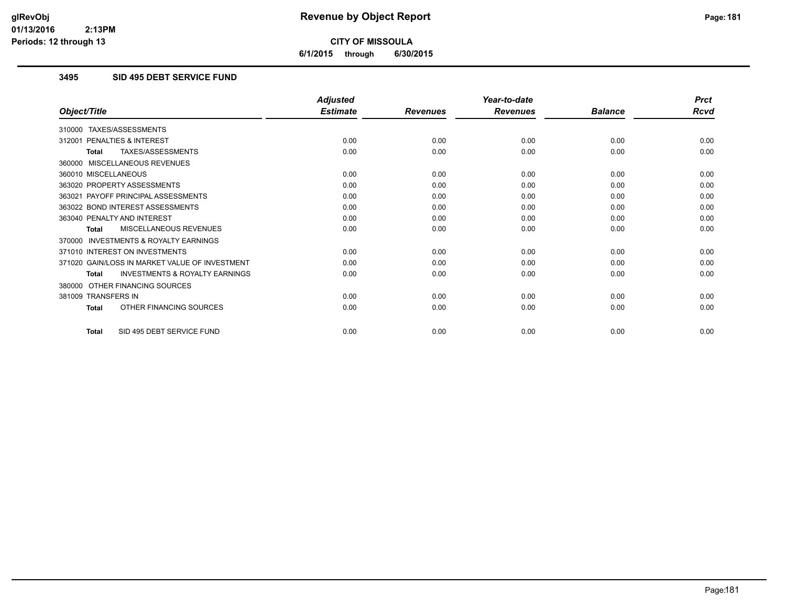**6/1/2015 through 6/30/2015**

# **3495 SID 495 DEBT SERVICE FUND**

|                                                           | <b>Adjusted</b> |                 | Year-to-date    |                | <b>Prct</b> |
|-----------------------------------------------------------|-----------------|-----------------|-----------------|----------------|-------------|
| Object/Title                                              | <b>Estimate</b> | <b>Revenues</b> | <b>Revenues</b> | <b>Balance</b> | <b>Rcvd</b> |
| 310000 TAXES/ASSESSMENTS                                  |                 |                 |                 |                |             |
| PENALTIES & INTEREST<br>312001                            | 0.00            | 0.00            | 0.00            | 0.00           | 0.00        |
| TAXES/ASSESSMENTS<br><b>Total</b>                         | 0.00            | 0.00            | 0.00            | 0.00           | 0.00        |
| 360000 MISCELLANEOUS REVENUES                             |                 |                 |                 |                |             |
| 360010 MISCELLANEOUS                                      | 0.00            | 0.00            | 0.00            | 0.00           | 0.00        |
| 363020 PROPERTY ASSESSMENTS                               | 0.00            | 0.00            | 0.00            | 0.00           | 0.00        |
| 363021 PAYOFF PRINCIPAL ASSESSMENTS                       | 0.00            | 0.00            | 0.00            | 0.00           | 0.00        |
| 363022 BOND INTEREST ASSESSMENTS                          | 0.00            | 0.00            | 0.00            | 0.00           | 0.00        |
| 363040 PENALTY AND INTEREST                               | 0.00            | 0.00            | 0.00            | 0.00           | 0.00        |
| MISCELLANEOUS REVENUES<br><b>Total</b>                    | 0.00            | 0.00            | 0.00            | 0.00           | 0.00        |
| <b>INVESTMENTS &amp; ROYALTY EARNINGS</b><br>370000       |                 |                 |                 |                |             |
| 371010 INTEREST ON INVESTMENTS                            | 0.00            | 0.00            | 0.00            | 0.00           | 0.00        |
| 371020 GAIN/LOSS IN MARKET VALUE OF INVESTMENT            | 0.00            | 0.00            | 0.00            | 0.00           | 0.00        |
| <b>INVESTMENTS &amp; ROYALTY EARNINGS</b><br><b>Total</b> | 0.00            | 0.00            | 0.00            | 0.00           | 0.00        |
| OTHER FINANCING SOURCES<br>380000                         |                 |                 |                 |                |             |
| 381009 TRANSFERS IN                                       | 0.00            | 0.00            | 0.00            | 0.00           | 0.00        |
| OTHER FINANCING SOURCES<br><b>Total</b>                   | 0.00            | 0.00            | 0.00            | 0.00           | 0.00        |
| SID 495 DEBT SERVICE FUND<br><b>Total</b>                 | 0.00            | 0.00            | 0.00            | 0.00           | 0.00        |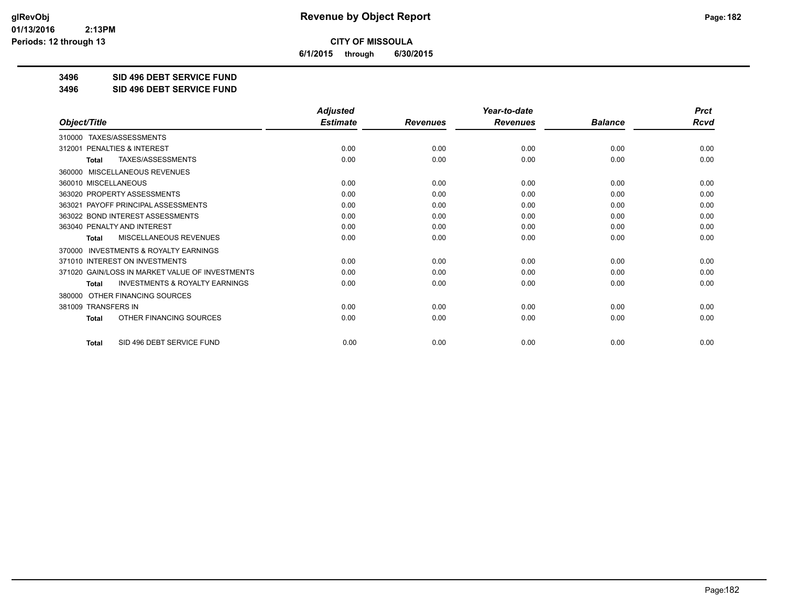**6/1/2015 through 6/30/2015**

**3496 SID 496 DEBT SERVICE FUND**

**3496 SID 496 DEBT SERVICE FUND**

|                                                     | <b>Adjusted</b> |                 | Year-to-date    |                | <b>Prct</b> |
|-----------------------------------------------------|-----------------|-----------------|-----------------|----------------|-------------|
| Object/Title                                        | <b>Estimate</b> | <b>Revenues</b> | <b>Revenues</b> | <b>Balance</b> | <b>Rcvd</b> |
| 310000 TAXES/ASSESSMENTS                            |                 |                 |                 |                |             |
| <b>PENALTIES &amp; INTEREST</b><br>312001           | 0.00            | 0.00            | 0.00            | 0.00           | 0.00        |
| TAXES/ASSESSMENTS<br><b>Total</b>                   | 0.00            | 0.00            | 0.00            | 0.00           | 0.00        |
| MISCELLANEOUS REVENUES<br>360000                    |                 |                 |                 |                |             |
| 360010 MISCELLANEOUS                                | 0.00            | 0.00            | 0.00            | 0.00           | 0.00        |
| 363020 PROPERTY ASSESSMENTS                         | 0.00            | 0.00            | 0.00            | 0.00           | 0.00        |
| 363021 PAYOFF PRINCIPAL ASSESSMENTS                 | 0.00            | 0.00            | 0.00            | 0.00           | 0.00        |
| 363022 BOND INTEREST ASSESSMENTS                    | 0.00            | 0.00            | 0.00            | 0.00           | 0.00        |
| 363040 PENALTY AND INTEREST                         | 0.00            | 0.00            | 0.00            | 0.00           | 0.00        |
| MISCELLANEOUS REVENUES<br><b>Total</b>              | 0.00            | 0.00            | 0.00            | 0.00           | 0.00        |
| <b>INVESTMENTS &amp; ROYALTY EARNINGS</b><br>370000 |                 |                 |                 |                |             |
| 371010 INTEREST ON INVESTMENTS                      | 0.00            | 0.00            | 0.00            | 0.00           | 0.00        |
| 371020 GAIN/LOSS IN MARKET VALUE OF INVESTMENTS     | 0.00            | 0.00            | 0.00            | 0.00           | 0.00        |
| <b>INVESTMENTS &amp; ROYALTY EARNINGS</b><br>Total  | 0.00            | 0.00            | 0.00            | 0.00           | 0.00        |
| OTHER FINANCING SOURCES<br>380000                   |                 |                 |                 |                |             |
| 381009 TRANSFERS IN                                 | 0.00            | 0.00            | 0.00            | 0.00           | 0.00        |
| OTHER FINANCING SOURCES<br>Total                    | 0.00            | 0.00            | 0.00            | 0.00           | 0.00        |
| SID 496 DEBT SERVICE FUND<br><b>Total</b>           | 0.00            | 0.00            | 0.00            | 0.00           | 0.00        |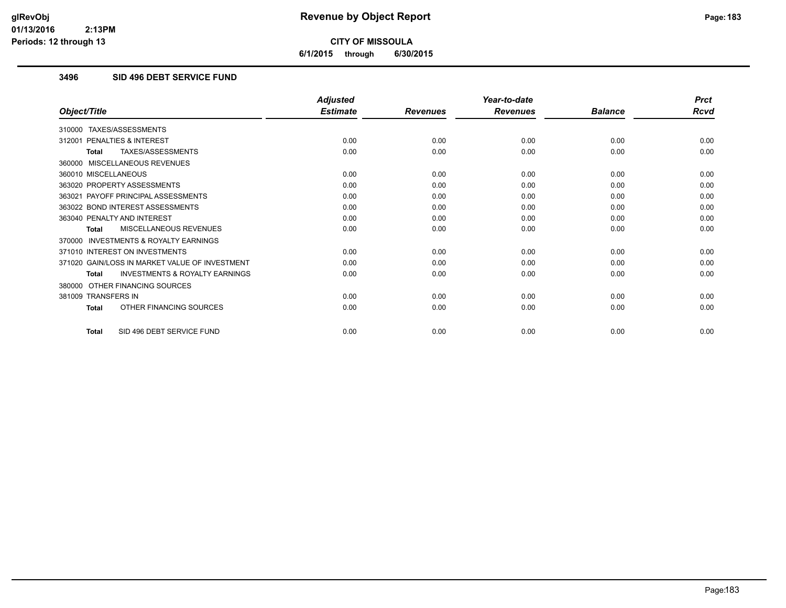**6/1/2015 through 6/30/2015**

# **3496 SID 496 DEBT SERVICE FUND**

|                                                           | <b>Adjusted</b> |                 | Year-to-date    |                | <b>Prct</b> |
|-----------------------------------------------------------|-----------------|-----------------|-----------------|----------------|-------------|
| Object/Title                                              | <b>Estimate</b> | <b>Revenues</b> | <b>Revenues</b> | <b>Balance</b> | <b>Rcvd</b> |
| 310000 TAXES/ASSESSMENTS                                  |                 |                 |                 |                |             |
| 312001 PENALTIES & INTEREST                               | 0.00            | 0.00            | 0.00            | 0.00           | 0.00        |
| <b>TAXES/ASSESSMENTS</b><br><b>Total</b>                  | 0.00            | 0.00            | 0.00            | 0.00           | 0.00        |
| 360000 MISCELLANEOUS REVENUES                             |                 |                 |                 |                |             |
| 360010 MISCELLANEOUS                                      | 0.00            | 0.00            | 0.00            | 0.00           | 0.00        |
| 363020 PROPERTY ASSESSMENTS                               | 0.00            | 0.00            | 0.00            | 0.00           | 0.00        |
| 363021 PAYOFF PRINCIPAL ASSESSMENTS                       | 0.00            | 0.00            | 0.00            | 0.00           | 0.00        |
| 363022 BOND INTEREST ASSESSMENTS                          | 0.00            | 0.00            | 0.00            | 0.00           | 0.00        |
| 363040 PENALTY AND INTEREST                               | 0.00            | 0.00            | 0.00            | 0.00           | 0.00        |
| MISCELLANEOUS REVENUES<br><b>Total</b>                    | 0.00            | 0.00            | 0.00            | 0.00           | 0.00        |
| <b>INVESTMENTS &amp; ROYALTY EARNINGS</b><br>370000       |                 |                 |                 |                |             |
| 371010 INTEREST ON INVESTMENTS                            | 0.00            | 0.00            | 0.00            | 0.00           | 0.00        |
| 371020 GAIN/LOSS IN MARKET VALUE OF INVESTMENT            | 0.00            | 0.00            | 0.00            | 0.00           | 0.00        |
| <b>INVESTMENTS &amp; ROYALTY EARNINGS</b><br><b>Total</b> | 0.00            | 0.00            | 0.00            | 0.00           | 0.00        |
| 380000 OTHER FINANCING SOURCES                            |                 |                 |                 |                |             |
| 381009 TRANSFERS IN                                       | 0.00            | 0.00            | 0.00            | 0.00           | 0.00        |
| OTHER FINANCING SOURCES<br><b>Total</b>                   | 0.00            | 0.00            | 0.00            | 0.00           | 0.00        |
| SID 496 DEBT SERVICE FUND<br>Total                        | 0.00            | 0.00            | 0.00            | 0.00           | 0.00        |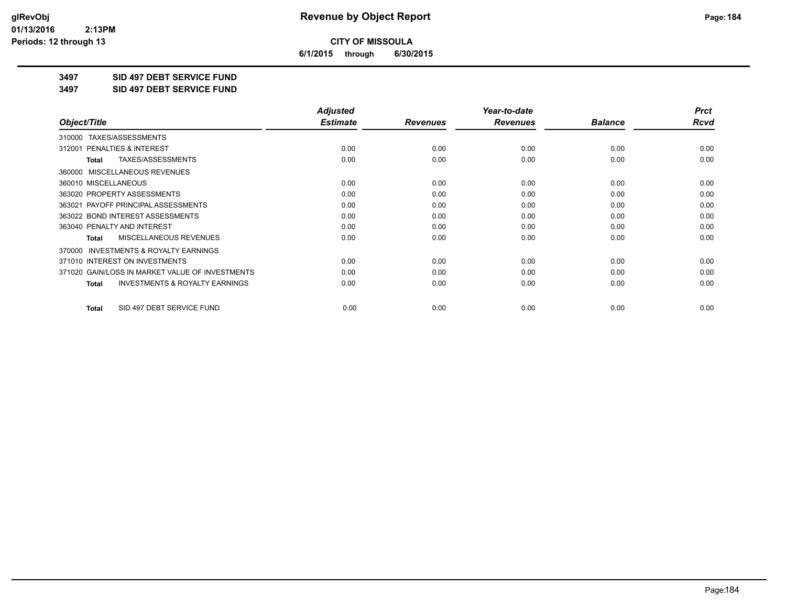**6/1/2015 through 6/30/2015**

**3497 SID 497 DEBT SERVICE FUND**

**3497 SID 497 DEBT SERVICE FUND**

|                                                           | <b>Adjusted</b> |                 | Year-to-date    |                | <b>Prct</b> |
|-----------------------------------------------------------|-----------------|-----------------|-----------------|----------------|-------------|
| Object/Title                                              | <b>Estimate</b> | <b>Revenues</b> | <b>Revenues</b> | <b>Balance</b> | Rcvd        |
| TAXES/ASSESSMENTS<br>310000                               |                 |                 |                 |                |             |
| 312001 PENALTIES & INTEREST                               | 0.00            | 0.00            | 0.00            | 0.00           | 0.00        |
| TAXES/ASSESSMENTS<br><b>Total</b>                         | 0.00            | 0.00            | 0.00            | 0.00           | 0.00        |
| MISCELLANEOUS REVENUES<br>360000                          |                 |                 |                 |                |             |
| 360010 MISCELLANEOUS                                      | 0.00            | 0.00            | 0.00            | 0.00           | 0.00        |
| 363020 PROPERTY ASSESSMENTS                               | 0.00            | 0.00            | 0.00            | 0.00           | 0.00        |
| 363021 PAYOFF PRINCIPAL ASSESSMENTS                       | 0.00            | 0.00            | 0.00            | 0.00           | 0.00        |
| 363022 BOND INTEREST ASSESSMENTS                          | 0.00            | 0.00            | 0.00            | 0.00           | 0.00        |
| 363040 PENALTY AND INTEREST                               | 0.00            | 0.00            | 0.00            | 0.00           | 0.00        |
| MISCELLANEOUS REVENUES<br><b>Total</b>                    | 0.00            | 0.00            | 0.00            | 0.00           | 0.00        |
| <b>INVESTMENTS &amp; ROYALTY EARNINGS</b><br>370000       |                 |                 |                 |                |             |
| 371010 INTEREST ON INVESTMENTS                            | 0.00            | 0.00            | 0.00            | 0.00           | 0.00        |
| 371020 GAIN/LOSS IN MARKET VALUE OF INVESTMENTS           | 0.00            | 0.00            | 0.00            | 0.00           | 0.00        |
| <b>INVESTMENTS &amp; ROYALTY EARNINGS</b><br><b>Total</b> | 0.00            | 0.00            | 0.00            | 0.00           | 0.00        |
| SID 497 DEBT SERVICE FUND<br><b>Total</b>                 | 0.00            | 0.00            | 0.00            | 0.00           | 0.00        |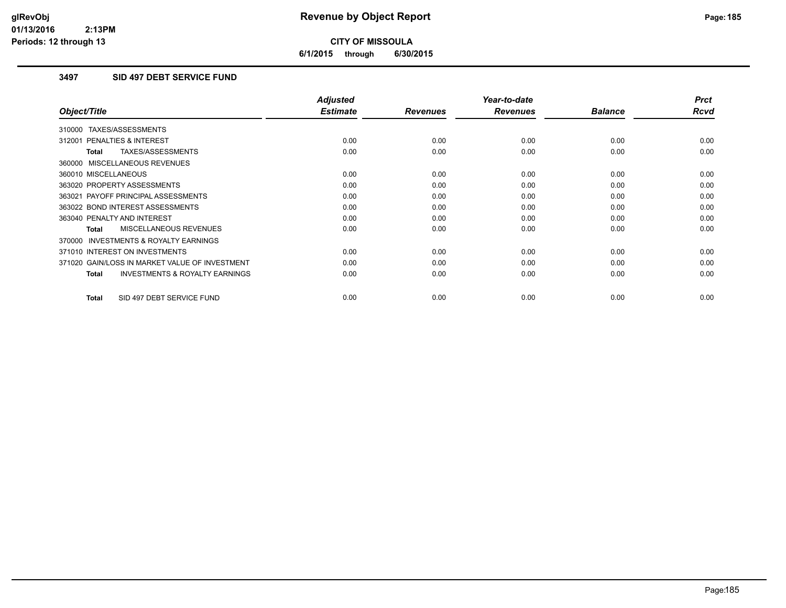**6/1/2015 through 6/30/2015**

## **3497 SID 497 DEBT SERVICE FUND**

|                                                           | <b>Adjusted</b> |                 | Year-to-date    |                | <b>Prct</b> |
|-----------------------------------------------------------|-----------------|-----------------|-----------------|----------------|-------------|
| Object/Title                                              | <b>Estimate</b> | <b>Revenues</b> | <b>Revenues</b> | <b>Balance</b> | <b>Rcvd</b> |
| 310000 TAXES/ASSESSMENTS                                  |                 |                 |                 |                |             |
| 312001 PENALTIES & INTEREST                               | 0.00            | 0.00            | 0.00            | 0.00           | 0.00        |
| TAXES/ASSESSMENTS<br><b>Total</b>                         | 0.00            | 0.00            | 0.00            | 0.00           | 0.00        |
| 360000 MISCELLANEOUS REVENUES                             |                 |                 |                 |                |             |
| 360010 MISCELLANEOUS                                      | 0.00            | 0.00            | 0.00            | 0.00           | 0.00        |
| 363020 PROPERTY ASSESSMENTS                               | 0.00            | 0.00            | 0.00            | 0.00           | 0.00        |
| 363021 PAYOFF PRINCIPAL ASSESSMENTS                       | 0.00            | 0.00            | 0.00            | 0.00           | 0.00        |
| 363022 BOND INTEREST ASSESSMENTS                          | 0.00            | 0.00            | 0.00            | 0.00           | 0.00        |
| 363040 PENALTY AND INTEREST                               | 0.00            | 0.00            | 0.00            | 0.00           | 0.00        |
| MISCELLANEOUS REVENUES<br>Total                           | 0.00            | 0.00            | 0.00            | 0.00           | 0.00        |
| <b>INVESTMENTS &amp; ROYALTY EARNINGS</b><br>370000       |                 |                 |                 |                |             |
| 371010 INTEREST ON INVESTMENTS                            | 0.00            | 0.00            | 0.00            | 0.00           | 0.00        |
| 371020 GAIN/LOSS IN MARKET VALUE OF INVESTMENT            | 0.00            | 0.00            | 0.00            | 0.00           | 0.00        |
| <b>INVESTMENTS &amp; ROYALTY EARNINGS</b><br><b>Total</b> | 0.00            | 0.00            | 0.00            | 0.00           | 0.00        |
| SID 497 DEBT SERVICE FUND<br><b>Total</b>                 | 0.00            | 0.00            | 0.00            | 0.00           | 0.00        |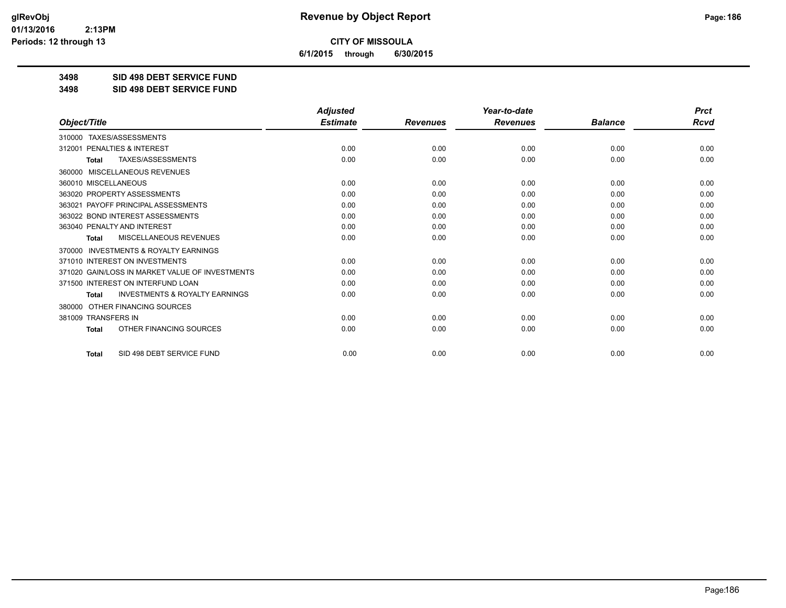**6/1/2015 through 6/30/2015**

**3498 SID 498 DEBT SERVICE FUND**

**3498 SID 498 DEBT SERVICE FUND**

|                                                           | <b>Adjusted</b> |                 | Year-to-date    |                | <b>Prct</b> |
|-----------------------------------------------------------|-----------------|-----------------|-----------------|----------------|-------------|
| Object/Title                                              | <b>Estimate</b> | <b>Revenues</b> | <b>Revenues</b> | <b>Balance</b> | <b>Rcvd</b> |
| TAXES/ASSESSMENTS<br>310000                               |                 |                 |                 |                |             |
| PENALTIES & INTEREST<br>312001                            | 0.00            | 0.00            | 0.00            | 0.00           | 0.00        |
| TAXES/ASSESSMENTS<br><b>Total</b>                         | 0.00            | 0.00            | 0.00            | 0.00           | 0.00        |
| 360000 MISCELLANEOUS REVENUES                             |                 |                 |                 |                |             |
| 360010 MISCELLANEOUS                                      | 0.00            | 0.00            | 0.00            | 0.00           | 0.00        |
| 363020 PROPERTY ASSESSMENTS                               | 0.00            | 0.00            | 0.00            | 0.00           | 0.00        |
| PAYOFF PRINCIPAL ASSESSMENTS<br>363021                    | 0.00            | 0.00            | 0.00            | 0.00           | 0.00        |
| 363022 BOND INTEREST ASSESSMENTS                          | 0.00            | 0.00            | 0.00            | 0.00           | 0.00        |
| 363040 PENALTY AND INTEREST                               | 0.00            | 0.00            | 0.00            | 0.00           | 0.00        |
| MISCELLANEOUS REVENUES<br><b>Total</b>                    | 0.00            | 0.00            | 0.00            | 0.00           | 0.00        |
| 370000 INVESTMENTS & ROYALTY EARNINGS                     |                 |                 |                 |                |             |
| 371010 INTEREST ON INVESTMENTS                            | 0.00            | 0.00            | 0.00            | 0.00           | 0.00        |
| 371020 GAIN/LOSS IN MARKET VALUE OF INVESTMENTS           | 0.00            | 0.00            | 0.00            | 0.00           | 0.00        |
| 371500 INTEREST ON INTERFUND LOAN                         | 0.00            | 0.00            | 0.00            | 0.00           | 0.00        |
| <b>INVESTMENTS &amp; ROYALTY EARNINGS</b><br><b>Total</b> | 0.00            | 0.00            | 0.00            | 0.00           | 0.00        |
| OTHER FINANCING SOURCES<br>380000                         |                 |                 |                 |                |             |
| 381009 TRANSFERS IN                                       | 0.00            | 0.00            | 0.00            | 0.00           | 0.00        |
| OTHER FINANCING SOURCES<br><b>Total</b>                   | 0.00            | 0.00            | 0.00            | 0.00           | 0.00        |
| SID 498 DEBT SERVICE FUND<br>Total                        | 0.00            | 0.00            | 0.00            | 0.00           | 0.00        |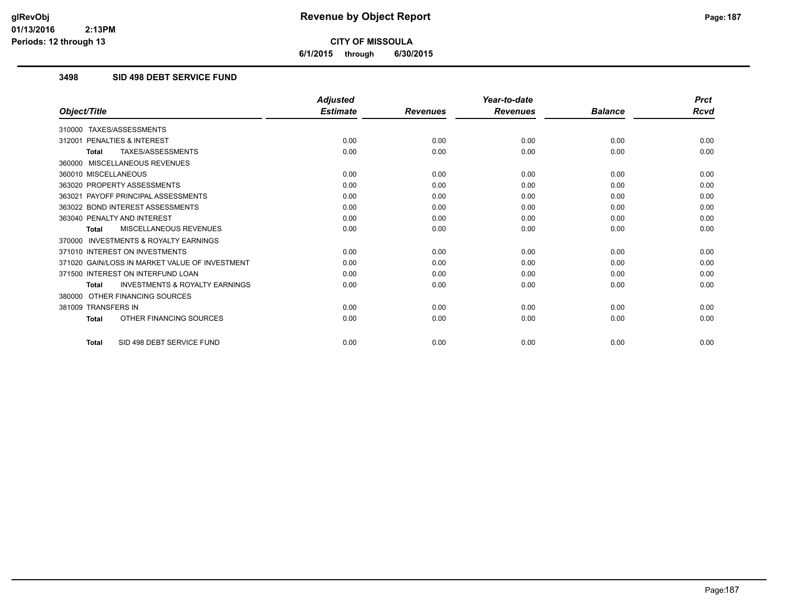**6/1/2015 through 6/30/2015**

## **3498 SID 498 DEBT SERVICE FUND**

|                                                           | <b>Adjusted</b> |                 | Year-to-date    |                | <b>Prct</b> |
|-----------------------------------------------------------|-----------------|-----------------|-----------------|----------------|-------------|
| Object/Title                                              | <b>Estimate</b> | <b>Revenues</b> | <b>Revenues</b> | <b>Balance</b> | Rcvd        |
| TAXES/ASSESSMENTS<br>310000                               |                 |                 |                 |                |             |
| 312001 PENALTIES & INTEREST                               | 0.00            | 0.00            | 0.00            | 0.00           | 0.00        |
| <b>TAXES/ASSESSMENTS</b><br><b>Total</b>                  | 0.00            | 0.00            | 0.00            | 0.00           | 0.00        |
| 360000 MISCELLANEOUS REVENUES                             |                 |                 |                 |                |             |
| 360010 MISCELLANEOUS                                      | 0.00            | 0.00            | 0.00            | 0.00           | 0.00        |
| 363020 PROPERTY ASSESSMENTS                               | 0.00            | 0.00            | 0.00            | 0.00           | 0.00        |
| 363021 PAYOFF PRINCIPAL ASSESSMENTS                       | 0.00            | 0.00            | 0.00            | 0.00           | 0.00        |
| 363022 BOND INTEREST ASSESSMENTS                          | 0.00            | 0.00            | 0.00            | 0.00           | 0.00        |
| 363040 PENALTY AND INTEREST                               | 0.00            | 0.00            | 0.00            | 0.00           | 0.00        |
| MISCELLANEOUS REVENUES<br><b>Total</b>                    | 0.00            | 0.00            | 0.00            | 0.00           | 0.00        |
| <b>INVESTMENTS &amp; ROYALTY EARNINGS</b><br>370000       |                 |                 |                 |                |             |
| 371010 INTEREST ON INVESTMENTS                            | 0.00            | 0.00            | 0.00            | 0.00           | 0.00        |
| 371020 GAIN/LOSS IN MARKET VALUE OF INVESTMENT            | 0.00            | 0.00            | 0.00            | 0.00           | 0.00        |
| 371500 INTEREST ON INTERFUND LOAN                         | 0.00            | 0.00            | 0.00            | 0.00           | 0.00        |
| <b>INVESTMENTS &amp; ROYALTY EARNINGS</b><br><b>Total</b> | 0.00            | 0.00            | 0.00            | 0.00           | 0.00        |
| OTHER FINANCING SOURCES<br>380000                         |                 |                 |                 |                |             |
| 381009 TRANSFERS IN                                       | 0.00            | 0.00            | 0.00            | 0.00           | 0.00        |
| OTHER FINANCING SOURCES<br><b>Total</b>                   | 0.00            | 0.00            | 0.00            | 0.00           | 0.00        |
| SID 498 DEBT SERVICE FUND<br><b>Total</b>                 | 0.00            | 0.00            | 0.00            | 0.00           | 0.00        |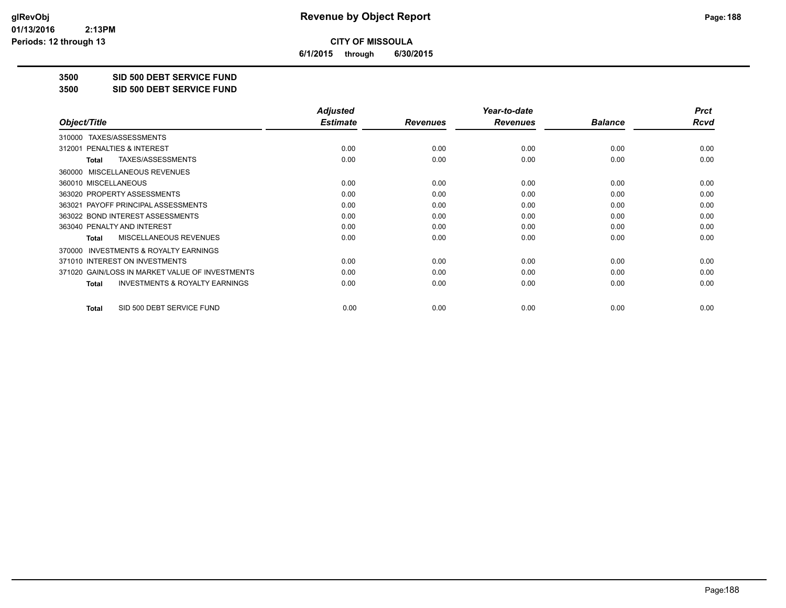**6/1/2015 through 6/30/2015**

**3500 SID 500 DEBT SERVICE FUND**

**3500 SID 500 DEBT SERVICE FUND**

|                                                    | <b>Adjusted</b> |                 | Year-to-date    |                | <b>Prct</b> |
|----------------------------------------------------|-----------------|-----------------|-----------------|----------------|-------------|
| Object/Title                                       | <b>Estimate</b> | <b>Revenues</b> | <b>Revenues</b> | <b>Balance</b> | Rcvd        |
| TAXES/ASSESSMENTS<br>310000                        |                 |                 |                 |                |             |
| <b>PENALTIES &amp; INTEREST</b><br>312001          | 0.00            | 0.00            | 0.00            | 0.00           | 0.00        |
| TAXES/ASSESSMENTS<br>Total                         | 0.00            | 0.00            | 0.00            | 0.00           | 0.00        |
| 360000 MISCELLANEOUS REVENUES                      |                 |                 |                 |                |             |
| 360010 MISCELLANEOUS                               | 0.00            | 0.00            | 0.00            | 0.00           | 0.00        |
| 363020 PROPERTY ASSESSMENTS                        | 0.00            | 0.00            | 0.00            | 0.00           | 0.00        |
| 363021 PAYOFF PRINCIPAL ASSESSMENTS                | 0.00            | 0.00            | 0.00            | 0.00           | 0.00        |
| 363022 BOND INTEREST ASSESSMENTS                   | 0.00            | 0.00            | 0.00            | 0.00           | 0.00        |
| 363040 PENALTY AND INTEREST                        | 0.00            | 0.00            | 0.00            | 0.00           | 0.00        |
| MISCELLANEOUS REVENUES<br>Total                    | 0.00            | 0.00            | 0.00            | 0.00           | 0.00        |
| 370000 INVESTMENTS & ROYALTY EARNINGS              |                 |                 |                 |                |             |
| 371010 INTEREST ON INVESTMENTS                     | 0.00            | 0.00            | 0.00            | 0.00           | 0.00        |
| 371020 GAIN/LOSS IN MARKET VALUE OF INVESTMENTS    | 0.00            | 0.00            | 0.00            | 0.00           | 0.00        |
| <b>INVESTMENTS &amp; ROYALTY EARNINGS</b><br>Total | 0.00            | 0.00            | 0.00            | 0.00           | 0.00        |
| SID 500 DEBT SERVICE FUND<br>Total                 | 0.00            | 0.00            | 0.00            | 0.00           | 0.00        |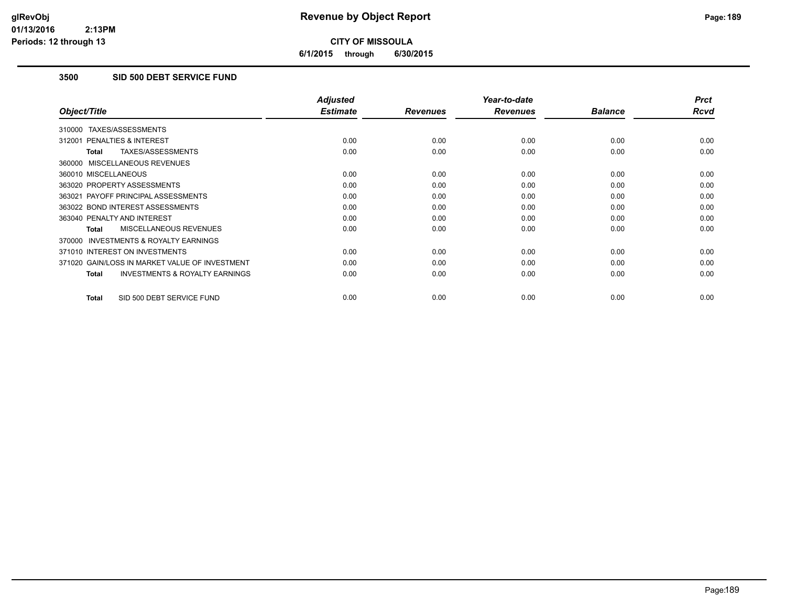**6/1/2015 through 6/30/2015**

# **3500 SID 500 DEBT SERVICE FUND**

|                                                           | <b>Adjusted</b> |                 | Year-to-date    |                | <b>Prct</b> |
|-----------------------------------------------------------|-----------------|-----------------|-----------------|----------------|-------------|
| Object/Title                                              | <b>Estimate</b> | <b>Revenues</b> | <b>Revenues</b> | <b>Balance</b> | <b>Rcvd</b> |
| 310000 TAXES/ASSESSMENTS                                  |                 |                 |                 |                |             |
| 312001 PENALTIES & INTEREST                               | 0.00            | 0.00            | 0.00            | 0.00           | 0.00        |
| TAXES/ASSESSMENTS<br><b>Total</b>                         | 0.00            | 0.00            | 0.00            | 0.00           | 0.00        |
| 360000 MISCELLANEOUS REVENUES                             |                 |                 |                 |                |             |
| 360010 MISCELLANEOUS                                      | 0.00            | 0.00            | 0.00            | 0.00           | 0.00        |
| 363020 PROPERTY ASSESSMENTS                               | 0.00            | 0.00            | 0.00            | 0.00           | 0.00        |
| 363021 PAYOFF PRINCIPAL ASSESSMENTS                       | 0.00            | 0.00            | 0.00            | 0.00           | 0.00        |
| 363022 BOND INTEREST ASSESSMENTS                          | 0.00            | 0.00            | 0.00            | 0.00           | 0.00        |
| 363040 PENALTY AND INTEREST                               | 0.00            | 0.00            | 0.00            | 0.00           | 0.00        |
| MISCELLANEOUS REVENUES<br>Total                           | 0.00            | 0.00            | 0.00            | 0.00           | 0.00        |
| <b>INVESTMENTS &amp; ROYALTY EARNINGS</b><br>370000       |                 |                 |                 |                |             |
| 371010 INTEREST ON INVESTMENTS                            | 0.00            | 0.00            | 0.00            | 0.00           | 0.00        |
| 371020 GAIN/LOSS IN MARKET VALUE OF INVESTMENT            | 0.00            | 0.00            | 0.00            | 0.00           | 0.00        |
| <b>INVESTMENTS &amp; ROYALTY EARNINGS</b><br><b>Total</b> | 0.00            | 0.00            | 0.00            | 0.00           | 0.00        |
| SID 500 DEBT SERVICE FUND<br><b>Total</b>                 | 0.00            | 0.00            | 0.00            | 0.00           | 0.00        |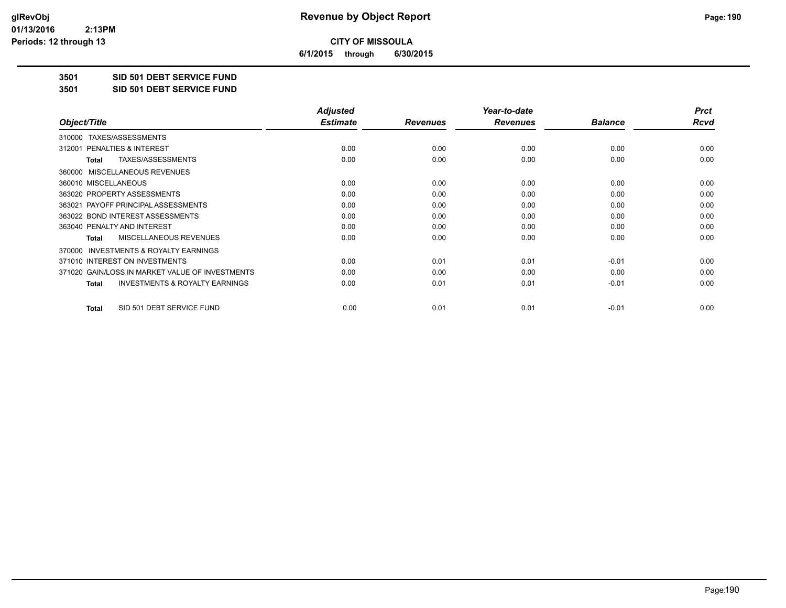**6/1/2015 through 6/30/2015**

**3501 SID 501 DEBT SERVICE FUND**

**3501 SID 501 DEBT SERVICE FUND**

|                                                           | <b>Adjusted</b> |                 | Year-to-date    |                | <b>Prct</b> |
|-----------------------------------------------------------|-----------------|-----------------|-----------------|----------------|-------------|
| Object/Title                                              | <b>Estimate</b> | <b>Revenues</b> | <b>Revenues</b> | <b>Balance</b> | Rcvd        |
| TAXES/ASSESSMENTS<br>310000                               |                 |                 |                 |                |             |
| 312001 PENALTIES & INTEREST                               | 0.00            | 0.00            | 0.00            | 0.00           | 0.00        |
| TAXES/ASSESSMENTS<br>Total                                | 0.00            | 0.00            | 0.00            | 0.00           | 0.00        |
| MISCELLANEOUS REVENUES<br>360000                          |                 |                 |                 |                |             |
| 360010 MISCELLANEOUS                                      | 0.00            | 0.00            | 0.00            | 0.00           | 0.00        |
| 363020 PROPERTY ASSESSMENTS                               | 0.00            | 0.00            | 0.00            | 0.00           | 0.00        |
| 363021 PAYOFF PRINCIPAL ASSESSMENTS                       | 0.00            | 0.00            | 0.00            | 0.00           | 0.00        |
| 363022 BOND INTEREST ASSESSMENTS                          | 0.00            | 0.00            | 0.00            | 0.00           | 0.00        |
| 363040 PENALTY AND INTEREST                               | 0.00            | 0.00            | 0.00            | 0.00           | 0.00        |
| MISCELLANEOUS REVENUES<br><b>Total</b>                    | 0.00            | 0.00            | 0.00            | 0.00           | 0.00        |
| <b>INVESTMENTS &amp; ROYALTY EARNINGS</b><br>370000       |                 |                 |                 |                |             |
| 371010 INTEREST ON INVESTMENTS                            | 0.00            | 0.01            | 0.01            | $-0.01$        | 0.00        |
| 371020 GAIN/LOSS IN MARKET VALUE OF INVESTMENTS           | 0.00            | 0.00            | 0.00            | 0.00           | 0.00        |
| <b>INVESTMENTS &amp; ROYALTY EARNINGS</b><br><b>Total</b> | 0.00            | 0.01            | 0.01            | $-0.01$        | 0.00        |
| SID 501 DEBT SERVICE FUND<br>Total                        | 0.00            | 0.01            | 0.01            | $-0.01$        | 0.00        |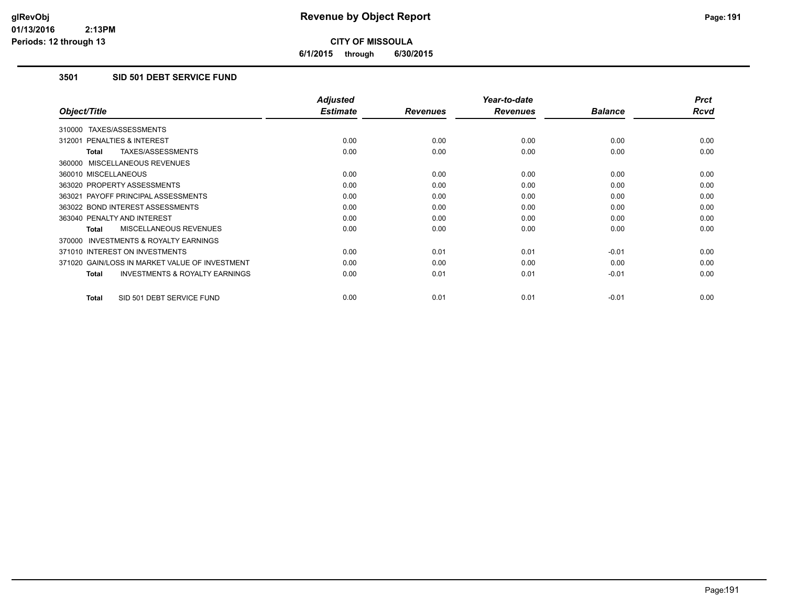**6/1/2015 through 6/30/2015**

# **3501 SID 501 DEBT SERVICE FUND**

|                                                           | <b>Adjusted</b> |                 | Year-to-date    |                | <b>Prct</b> |
|-----------------------------------------------------------|-----------------|-----------------|-----------------|----------------|-------------|
| Object/Title                                              | <b>Estimate</b> | <b>Revenues</b> | <b>Revenues</b> | <b>Balance</b> | Rcvd        |
| 310000 TAXES/ASSESSMENTS                                  |                 |                 |                 |                |             |
| 312001 PENALTIES & INTEREST                               | 0.00            | 0.00            | 0.00            | 0.00           | 0.00        |
| TAXES/ASSESSMENTS<br><b>Total</b>                         | 0.00            | 0.00            | 0.00            | 0.00           | 0.00        |
| 360000 MISCELLANEOUS REVENUES                             |                 |                 |                 |                |             |
| 360010 MISCELLANEOUS                                      | 0.00            | 0.00            | 0.00            | 0.00           | 0.00        |
| 363020 PROPERTY ASSESSMENTS                               | 0.00            | 0.00            | 0.00            | 0.00           | 0.00        |
| 363021 PAYOFF PRINCIPAL ASSESSMENTS                       | 0.00            | 0.00            | 0.00            | 0.00           | 0.00        |
| 363022 BOND INTEREST ASSESSMENTS                          | 0.00            | 0.00            | 0.00            | 0.00           | 0.00        |
| 363040 PENALTY AND INTEREST                               | 0.00            | 0.00            | 0.00            | 0.00           | 0.00        |
| MISCELLANEOUS REVENUES<br><b>Total</b>                    | 0.00            | 0.00            | 0.00            | 0.00           | 0.00        |
| <b>INVESTMENTS &amp; ROYALTY EARNINGS</b><br>370000       |                 |                 |                 |                |             |
| 371010 INTEREST ON INVESTMENTS                            | 0.00            | 0.01            | 0.01            | $-0.01$        | 0.00        |
| 371020 GAIN/LOSS IN MARKET VALUE OF INVESTMENT            | 0.00            | 0.00            | 0.00            | 0.00           | 0.00        |
| <b>INVESTMENTS &amp; ROYALTY EARNINGS</b><br><b>Total</b> | 0.00            | 0.01            | 0.01            | $-0.01$        | 0.00        |
| SID 501 DEBT SERVICE FUND<br><b>Total</b>                 | 0.00            | 0.01            | 0.01            | $-0.01$        | 0.00        |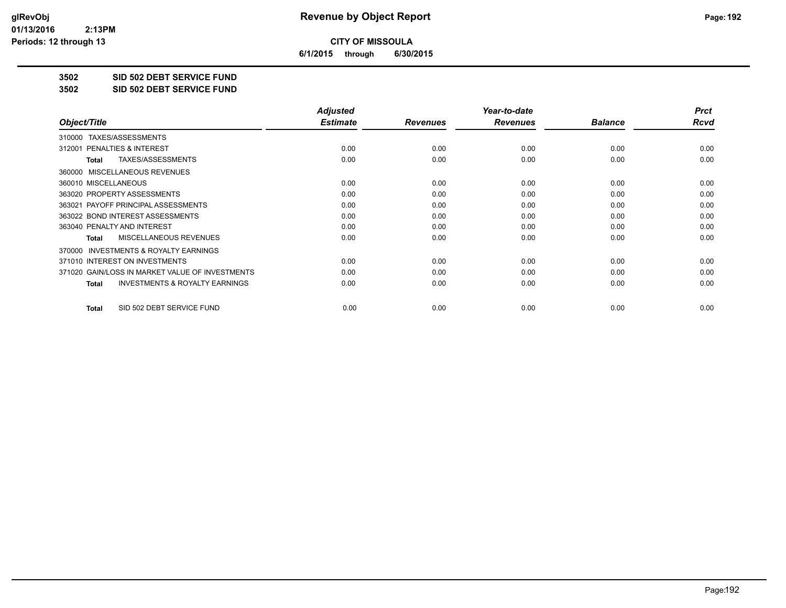**6/1/2015 through 6/30/2015**

**3502 SID 502 DEBT SERVICE FUND**

**3502 SID 502 DEBT SERVICE FUND**

|                                                           | <b>Adjusted</b> |                 | Year-to-date    |                | <b>Prct</b> |
|-----------------------------------------------------------|-----------------|-----------------|-----------------|----------------|-------------|
| Object/Title                                              | <b>Estimate</b> | <b>Revenues</b> | <b>Revenues</b> | <b>Balance</b> | Rcvd        |
| TAXES/ASSESSMENTS<br>310000                               |                 |                 |                 |                |             |
| 312001 PENALTIES & INTEREST                               | 0.00            | 0.00            | 0.00            | 0.00           | 0.00        |
| TAXES/ASSESSMENTS<br>Total                                | 0.00            | 0.00            | 0.00            | 0.00           | 0.00        |
| MISCELLANEOUS REVENUES<br>360000                          |                 |                 |                 |                |             |
| 360010 MISCELLANEOUS                                      | 0.00            | 0.00            | 0.00            | 0.00           | 0.00        |
| 363020 PROPERTY ASSESSMENTS                               | 0.00            | 0.00            | 0.00            | 0.00           | 0.00        |
| 363021 PAYOFF PRINCIPAL ASSESSMENTS                       | 0.00            | 0.00            | 0.00            | 0.00           | 0.00        |
| 363022 BOND INTEREST ASSESSMENTS                          | 0.00            | 0.00            | 0.00            | 0.00           | 0.00        |
| 363040 PENALTY AND INTEREST                               | 0.00            | 0.00            | 0.00            | 0.00           | 0.00        |
| <b>MISCELLANEOUS REVENUES</b><br>Total                    | 0.00            | 0.00            | 0.00            | 0.00           | 0.00        |
| <b>INVESTMENTS &amp; ROYALTY EARNINGS</b><br>370000       |                 |                 |                 |                |             |
| 371010 INTEREST ON INVESTMENTS                            | 0.00            | 0.00            | 0.00            | 0.00           | 0.00        |
| 371020 GAIN/LOSS IN MARKET VALUE OF INVESTMENTS           | 0.00            | 0.00            | 0.00            | 0.00           | 0.00        |
| <b>INVESTMENTS &amp; ROYALTY EARNINGS</b><br><b>Total</b> | 0.00            | 0.00            | 0.00            | 0.00           | 0.00        |
| SID 502 DEBT SERVICE FUND<br>Total                        | 0.00            | 0.00            | 0.00            | 0.00           | 0.00        |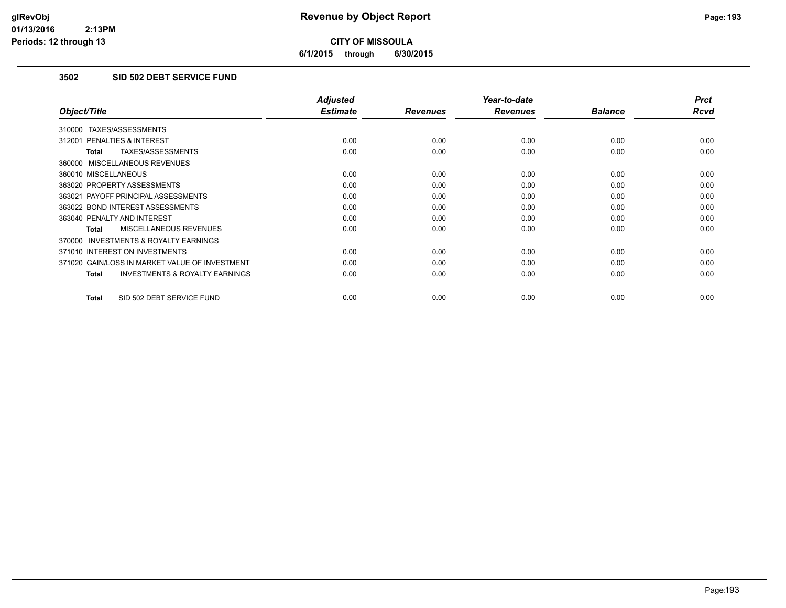**6/1/2015 through 6/30/2015**

# **3502 SID 502 DEBT SERVICE FUND**

|                                                           | <b>Adjusted</b> |                 | Year-to-date    |                | <b>Prct</b> |
|-----------------------------------------------------------|-----------------|-----------------|-----------------|----------------|-------------|
| Object/Title                                              | <b>Estimate</b> | <b>Revenues</b> | <b>Revenues</b> | <b>Balance</b> | <b>Rcvd</b> |
| 310000 TAXES/ASSESSMENTS                                  |                 |                 |                 |                |             |
| 312001 PENALTIES & INTEREST                               | 0.00            | 0.00            | 0.00            | 0.00           | 0.00        |
| TAXES/ASSESSMENTS<br><b>Total</b>                         | 0.00            | 0.00            | 0.00            | 0.00           | 0.00        |
| 360000 MISCELLANEOUS REVENUES                             |                 |                 |                 |                |             |
| 360010 MISCELLANEOUS                                      | 0.00            | 0.00            | 0.00            | 0.00           | 0.00        |
| 363020 PROPERTY ASSESSMENTS                               | 0.00            | 0.00            | 0.00            | 0.00           | 0.00        |
| 363021 PAYOFF PRINCIPAL ASSESSMENTS                       | 0.00            | 0.00            | 0.00            | 0.00           | 0.00        |
| 363022 BOND INTEREST ASSESSMENTS                          | 0.00            | 0.00            | 0.00            | 0.00           | 0.00        |
| 363040 PENALTY AND INTEREST                               | 0.00            | 0.00            | 0.00            | 0.00           | 0.00        |
| MISCELLANEOUS REVENUES<br>Total                           | 0.00            | 0.00            | 0.00            | 0.00           | 0.00        |
| <b>INVESTMENTS &amp; ROYALTY EARNINGS</b><br>370000       |                 |                 |                 |                |             |
| 371010 INTEREST ON INVESTMENTS                            | 0.00            | 0.00            | 0.00            | 0.00           | 0.00        |
| 371020 GAIN/LOSS IN MARKET VALUE OF INVESTMENT            | 0.00            | 0.00            | 0.00            | 0.00           | 0.00        |
| <b>INVESTMENTS &amp; ROYALTY EARNINGS</b><br><b>Total</b> | 0.00            | 0.00            | 0.00            | 0.00           | 0.00        |
|                                                           |                 |                 |                 |                |             |
| SID 502 DEBT SERVICE FUND<br><b>Total</b>                 | 0.00            | 0.00            | 0.00            | 0.00           | 0.00        |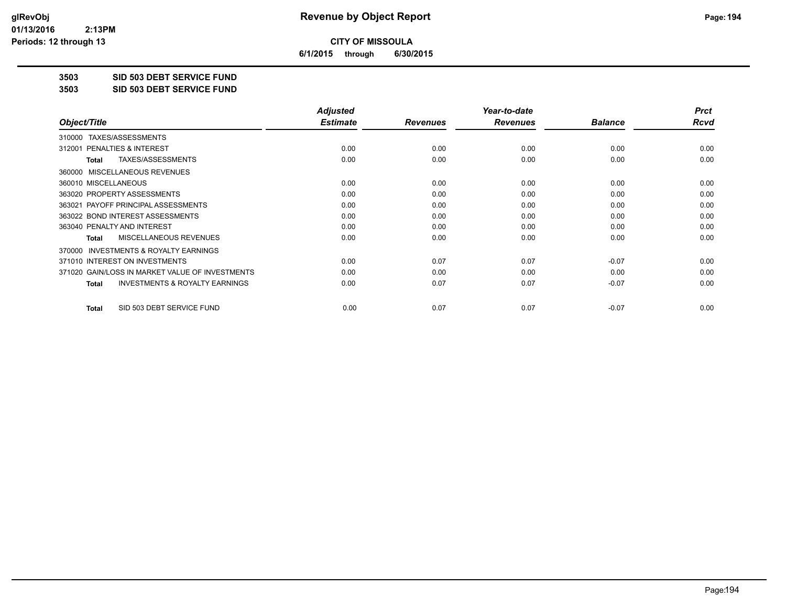**6/1/2015 through 6/30/2015**

**3503 SID 503 DEBT SERVICE FUND**

**3503 SID 503 DEBT SERVICE FUND**

|                                                           | <b>Adjusted</b> |                 | Year-to-date    |                | <b>Prct</b> |
|-----------------------------------------------------------|-----------------|-----------------|-----------------|----------------|-------------|
| Object/Title                                              | <b>Estimate</b> | <b>Revenues</b> | <b>Revenues</b> | <b>Balance</b> | Rcvd        |
| TAXES/ASSESSMENTS<br>310000                               |                 |                 |                 |                |             |
| 312001 PENALTIES & INTEREST                               | 0.00            | 0.00            | 0.00            | 0.00           | 0.00        |
| TAXES/ASSESSMENTS<br>Total                                | 0.00            | 0.00            | 0.00            | 0.00           | 0.00        |
| MISCELLANEOUS REVENUES<br>360000                          |                 |                 |                 |                |             |
| 360010 MISCELLANEOUS                                      | 0.00            | 0.00            | 0.00            | 0.00           | 0.00        |
| 363020 PROPERTY ASSESSMENTS                               | 0.00            | 0.00            | 0.00            | 0.00           | 0.00        |
| 363021 PAYOFF PRINCIPAL ASSESSMENTS                       | 0.00            | 0.00            | 0.00            | 0.00           | 0.00        |
| 363022 BOND INTEREST ASSESSMENTS                          | 0.00            | 0.00            | 0.00            | 0.00           | 0.00        |
| 363040 PENALTY AND INTEREST                               | 0.00            | 0.00            | 0.00            | 0.00           | 0.00        |
| MISCELLANEOUS REVENUES<br><b>Total</b>                    | 0.00            | 0.00            | 0.00            | 0.00           | 0.00        |
| <b>INVESTMENTS &amp; ROYALTY EARNINGS</b><br>370000       |                 |                 |                 |                |             |
| 371010 INTEREST ON INVESTMENTS                            | 0.00            | 0.07            | 0.07            | $-0.07$        | 0.00        |
| 371020 GAIN/LOSS IN MARKET VALUE OF INVESTMENTS           | 0.00            | 0.00            | 0.00            | 0.00           | 0.00        |
| <b>INVESTMENTS &amp; ROYALTY EARNINGS</b><br><b>Total</b> | 0.00            | 0.07            | 0.07            | $-0.07$        | 0.00        |
| SID 503 DEBT SERVICE FUND<br>Total                        | 0.00            | 0.07            | 0.07            | $-0.07$        | 0.00        |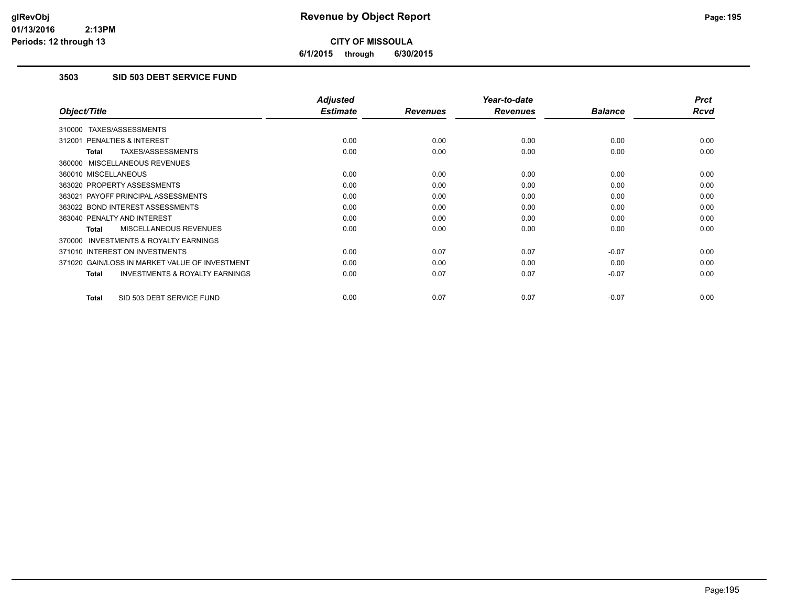**6/1/2015 through 6/30/2015**

# **3503 SID 503 DEBT SERVICE FUND**

|                                                           | <b>Adjusted</b> |                 | Year-to-date    |                | <b>Prct</b> |
|-----------------------------------------------------------|-----------------|-----------------|-----------------|----------------|-------------|
| Object/Title                                              | <b>Estimate</b> | <b>Revenues</b> | <b>Revenues</b> | <b>Balance</b> | <b>Rcvd</b> |
| 310000 TAXES/ASSESSMENTS                                  |                 |                 |                 |                |             |
| 312001 PENALTIES & INTEREST                               | 0.00            | 0.00            | 0.00            | 0.00           | 0.00        |
| TAXES/ASSESSMENTS<br><b>Total</b>                         | 0.00            | 0.00            | 0.00            | 0.00           | 0.00        |
| 360000 MISCELLANEOUS REVENUES                             |                 |                 |                 |                |             |
| 360010 MISCELLANEOUS                                      | 0.00            | 0.00            | 0.00            | 0.00           | 0.00        |
| 363020 PROPERTY ASSESSMENTS                               | 0.00            | 0.00            | 0.00            | 0.00           | 0.00        |
| 363021 PAYOFF PRINCIPAL ASSESSMENTS                       | 0.00            | 0.00            | 0.00            | 0.00           | 0.00        |
| 363022 BOND INTEREST ASSESSMENTS                          | 0.00            | 0.00            | 0.00            | 0.00           | 0.00        |
| 363040 PENALTY AND INTEREST                               | 0.00            | 0.00            | 0.00            | 0.00           | 0.00        |
| MISCELLANEOUS REVENUES<br>Total                           | 0.00            | 0.00            | 0.00            | 0.00           | 0.00        |
| <b>INVESTMENTS &amp; ROYALTY EARNINGS</b><br>370000       |                 |                 |                 |                |             |
| 371010 INTEREST ON INVESTMENTS                            | 0.00            | 0.07            | 0.07            | $-0.07$        | 0.00        |
| 371020 GAIN/LOSS IN MARKET VALUE OF INVESTMENT            | 0.00            | 0.00            | 0.00            | 0.00           | 0.00        |
| <b>INVESTMENTS &amp; ROYALTY EARNINGS</b><br><b>Total</b> | 0.00            | 0.07            | 0.07            | $-0.07$        | 0.00        |
| SID 503 DEBT SERVICE FUND<br><b>Total</b>                 | 0.00            | 0.07            | 0.07            | $-0.07$        | 0.00        |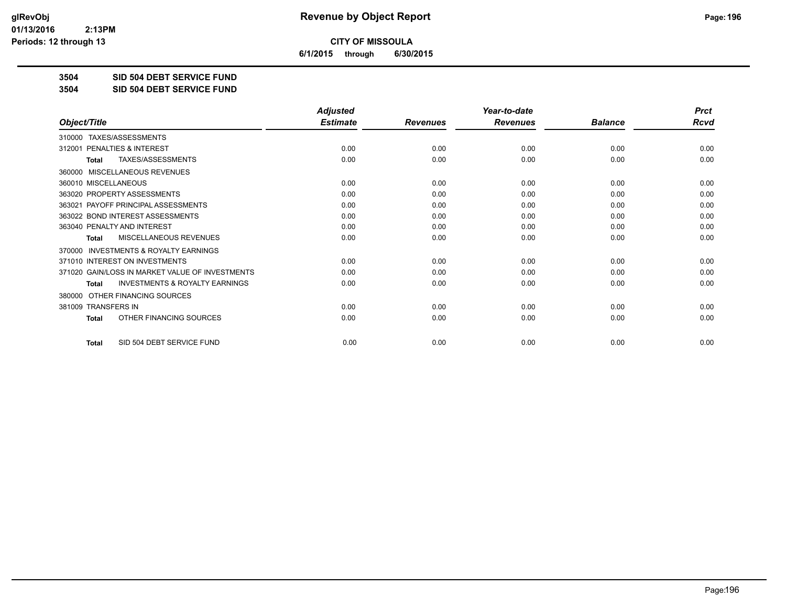**6/1/2015 through 6/30/2015**

**3504 SID 504 DEBT SERVICE FUND**

**3504 SID 504 DEBT SERVICE FUND**

|                                                           | <b>Adjusted</b> |                 | Year-to-date    |                | <b>Prct</b> |
|-----------------------------------------------------------|-----------------|-----------------|-----------------|----------------|-------------|
| Object/Title                                              | <b>Estimate</b> | <b>Revenues</b> | <b>Revenues</b> | <b>Balance</b> | Rcvd        |
| TAXES/ASSESSMENTS<br>310000                               |                 |                 |                 |                |             |
| PENALTIES & INTEREST<br>312001                            | 0.00            | 0.00            | 0.00            | 0.00           | 0.00        |
| TAXES/ASSESSMENTS<br>Total                                | 0.00            | 0.00            | 0.00            | 0.00           | 0.00        |
| MISCELLANEOUS REVENUES<br>360000                          |                 |                 |                 |                |             |
| 360010 MISCELLANEOUS                                      | 0.00            | 0.00            | 0.00            | 0.00           | 0.00        |
| 363020 PROPERTY ASSESSMENTS                               | 0.00            | 0.00            | 0.00            | 0.00           | 0.00        |
| 363021 PAYOFF PRINCIPAL ASSESSMENTS                       | 0.00            | 0.00            | 0.00            | 0.00           | 0.00        |
| 363022 BOND INTEREST ASSESSMENTS                          | 0.00            | 0.00            | 0.00            | 0.00           | 0.00        |
| 363040 PENALTY AND INTEREST                               | 0.00            | 0.00            | 0.00            | 0.00           | 0.00        |
| <b>MISCELLANEOUS REVENUES</b><br><b>Total</b>             | 0.00            | 0.00            | 0.00            | 0.00           | 0.00        |
| <b>INVESTMENTS &amp; ROYALTY EARNINGS</b><br>370000       |                 |                 |                 |                |             |
| 371010 INTEREST ON INVESTMENTS                            | 0.00            | 0.00            | 0.00            | 0.00           | 0.00        |
| 371020 GAIN/LOSS IN MARKET VALUE OF INVESTMENTS           | 0.00            | 0.00            | 0.00            | 0.00           | 0.00        |
| <b>INVESTMENTS &amp; ROYALTY EARNINGS</b><br><b>Total</b> | 0.00            | 0.00            | 0.00            | 0.00           | 0.00        |
| OTHER FINANCING SOURCES<br>380000                         |                 |                 |                 |                |             |
| 381009 TRANSFERS IN                                       | 0.00            | 0.00            | 0.00            | 0.00           | 0.00        |
| OTHER FINANCING SOURCES<br><b>Total</b>                   | 0.00            | 0.00            | 0.00            | 0.00           | 0.00        |
| SID 504 DEBT SERVICE FUND<br><b>Total</b>                 | 0.00            | 0.00            | 0.00            | 0.00           | 0.00        |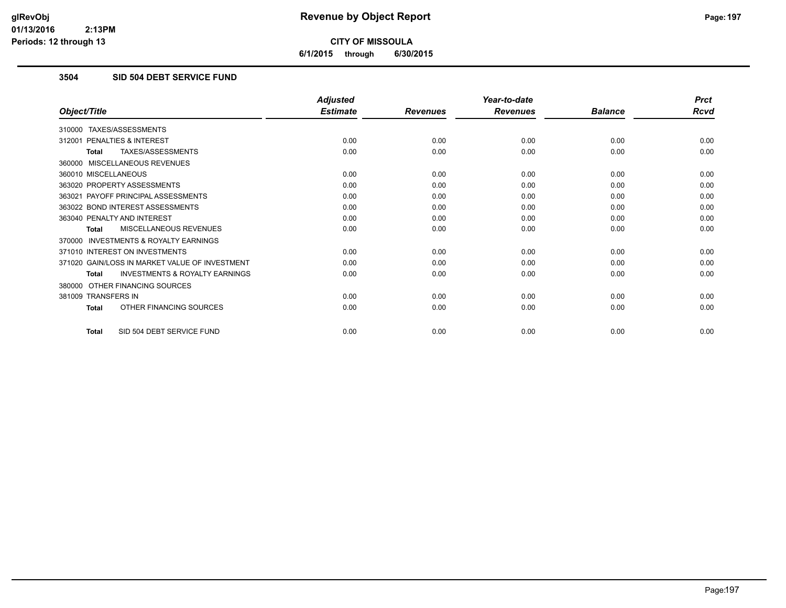**6/1/2015 through 6/30/2015**

# **3504 SID 504 DEBT SERVICE FUND**

|                                                           | <b>Adjusted</b> |                 | Year-to-date    |                | <b>Prct</b> |
|-----------------------------------------------------------|-----------------|-----------------|-----------------|----------------|-------------|
| Object/Title                                              | <b>Estimate</b> | <b>Revenues</b> | <b>Revenues</b> | <b>Balance</b> | <b>Rcvd</b> |
| 310000 TAXES/ASSESSMENTS                                  |                 |                 |                 |                |             |
| 312001 PENALTIES & INTEREST                               | 0.00            | 0.00            | 0.00            | 0.00           | 0.00        |
| TAXES/ASSESSMENTS<br><b>Total</b>                         | 0.00            | 0.00            | 0.00            | 0.00           | 0.00        |
| 360000 MISCELLANEOUS REVENUES                             |                 |                 |                 |                |             |
| 360010 MISCELLANEOUS                                      | 0.00            | 0.00            | 0.00            | 0.00           | 0.00        |
| 363020 PROPERTY ASSESSMENTS                               | 0.00            | 0.00            | 0.00            | 0.00           | 0.00        |
| 363021 PAYOFF PRINCIPAL ASSESSMENTS                       | 0.00            | 0.00            | 0.00            | 0.00           | 0.00        |
| 363022 BOND INTEREST ASSESSMENTS                          | 0.00            | 0.00            | 0.00            | 0.00           | 0.00        |
| 363040 PENALTY AND INTEREST                               | 0.00            | 0.00            | 0.00            | 0.00           | 0.00        |
| MISCELLANEOUS REVENUES<br><b>Total</b>                    | 0.00            | 0.00            | 0.00            | 0.00           | 0.00        |
| <b>INVESTMENTS &amp; ROYALTY EARNINGS</b><br>370000       |                 |                 |                 |                |             |
| 371010 INTEREST ON INVESTMENTS                            | 0.00            | 0.00            | 0.00            | 0.00           | 0.00        |
| 371020 GAIN/LOSS IN MARKET VALUE OF INVESTMENT            | 0.00            | 0.00            | 0.00            | 0.00           | 0.00        |
| <b>INVESTMENTS &amp; ROYALTY EARNINGS</b><br><b>Total</b> | 0.00            | 0.00            | 0.00            | 0.00           | 0.00        |
| 380000 OTHER FINANCING SOURCES                            |                 |                 |                 |                |             |
| 381009 TRANSFERS IN                                       | 0.00            | 0.00            | 0.00            | 0.00           | 0.00        |
| OTHER FINANCING SOURCES<br>Total                          | 0.00            | 0.00            | 0.00            | 0.00           | 0.00        |
| SID 504 DEBT SERVICE FUND<br><b>Total</b>                 | 0.00            | 0.00            | 0.00            | 0.00           | 0.00        |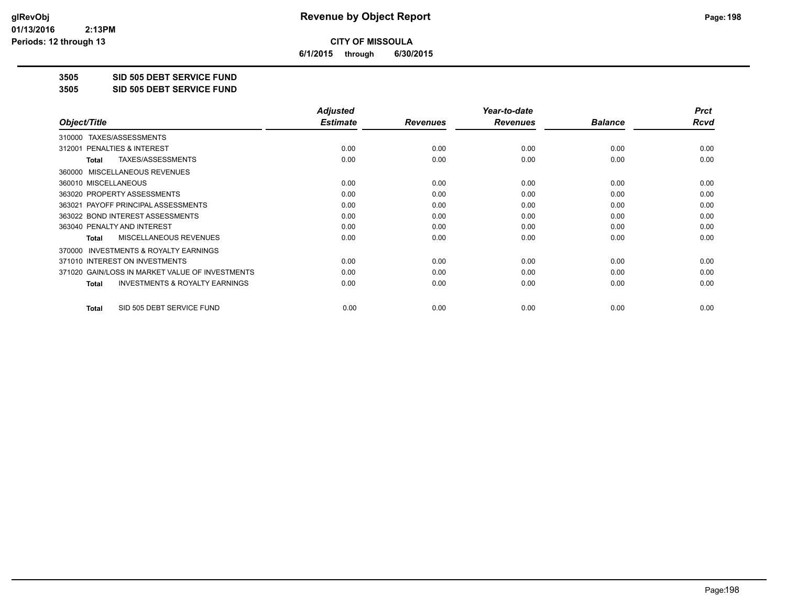**6/1/2015 through 6/30/2015**

**3505 SID 505 DEBT SERVICE FUND**

**3505 SID 505 DEBT SERVICE FUND**

|                                                           | <b>Adjusted</b> |                 | Year-to-date    |                | <b>Prct</b> |
|-----------------------------------------------------------|-----------------|-----------------|-----------------|----------------|-------------|
| Object/Title                                              | <b>Estimate</b> | <b>Revenues</b> | <b>Revenues</b> | <b>Balance</b> | Rcvd        |
| TAXES/ASSESSMENTS<br>310000                               |                 |                 |                 |                |             |
| 312001 PENALTIES & INTEREST                               | 0.00            | 0.00            | 0.00            | 0.00           | 0.00        |
| TAXES/ASSESSMENTS<br>Total                                | 0.00            | 0.00            | 0.00            | 0.00           | 0.00        |
| MISCELLANEOUS REVENUES<br>360000                          |                 |                 |                 |                |             |
| 360010 MISCELLANEOUS                                      | 0.00            | 0.00            | 0.00            | 0.00           | 0.00        |
| 363020 PROPERTY ASSESSMENTS                               | 0.00            | 0.00            | 0.00            | 0.00           | 0.00        |
| 363021 PAYOFF PRINCIPAL ASSESSMENTS                       | 0.00            | 0.00            | 0.00            | 0.00           | 0.00        |
| 363022 BOND INTEREST ASSESSMENTS                          | 0.00            | 0.00            | 0.00            | 0.00           | 0.00        |
| 363040 PENALTY AND INTEREST                               | 0.00            | 0.00            | 0.00            | 0.00           | 0.00        |
| MISCELLANEOUS REVENUES<br><b>Total</b>                    | 0.00            | 0.00            | 0.00            | 0.00           | 0.00        |
| <b>INVESTMENTS &amp; ROYALTY EARNINGS</b><br>370000       |                 |                 |                 |                |             |
| 371010 INTEREST ON INVESTMENTS                            | 0.00            | 0.00            | 0.00            | 0.00           | 0.00        |
| 371020 GAIN/LOSS IN MARKET VALUE OF INVESTMENTS           | 0.00            | 0.00            | 0.00            | 0.00           | 0.00        |
| <b>INVESTMENTS &amp; ROYALTY EARNINGS</b><br><b>Total</b> | 0.00            | 0.00            | 0.00            | 0.00           | 0.00        |
| SID 505 DEBT SERVICE FUND<br><b>Total</b>                 | 0.00            | 0.00            | 0.00            | 0.00           | 0.00        |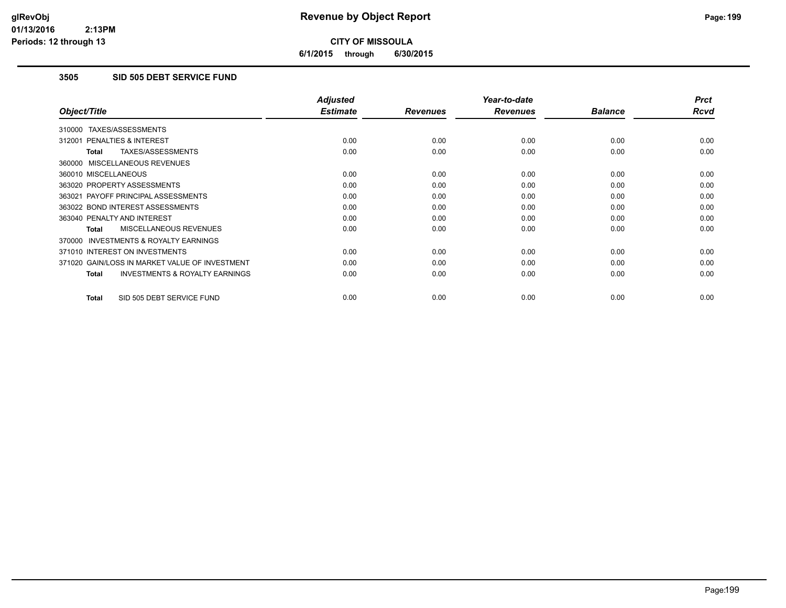**6/1/2015 through 6/30/2015**

# **3505 SID 505 DEBT SERVICE FUND**

|                                                           | <b>Adjusted</b> |                 | Year-to-date    |                | <b>Prct</b> |
|-----------------------------------------------------------|-----------------|-----------------|-----------------|----------------|-------------|
| Object/Title                                              | <b>Estimate</b> | <b>Revenues</b> | <b>Revenues</b> | <b>Balance</b> | <b>Rcvd</b> |
| 310000 TAXES/ASSESSMENTS                                  |                 |                 |                 |                |             |
| 312001 PENALTIES & INTEREST                               | 0.00            | 0.00            | 0.00            | 0.00           | 0.00        |
| TAXES/ASSESSMENTS<br><b>Total</b>                         | 0.00            | 0.00            | 0.00            | 0.00           | 0.00        |
| 360000 MISCELLANEOUS REVENUES                             |                 |                 |                 |                |             |
| 360010 MISCELLANEOUS                                      | 0.00            | 0.00            | 0.00            | 0.00           | 0.00        |
| 363020 PROPERTY ASSESSMENTS                               | 0.00            | 0.00            | 0.00            | 0.00           | 0.00        |
| 363021 PAYOFF PRINCIPAL ASSESSMENTS                       | 0.00            | 0.00            | 0.00            | 0.00           | 0.00        |
| 363022 BOND INTEREST ASSESSMENTS                          | 0.00            | 0.00            | 0.00            | 0.00           | 0.00        |
| 363040 PENALTY AND INTEREST                               | 0.00            | 0.00            | 0.00            | 0.00           | 0.00        |
| MISCELLANEOUS REVENUES<br>Total                           | 0.00            | 0.00            | 0.00            | 0.00           | 0.00        |
| <b>INVESTMENTS &amp; ROYALTY EARNINGS</b><br>370000       |                 |                 |                 |                |             |
| 371010 INTEREST ON INVESTMENTS                            | 0.00            | 0.00            | 0.00            | 0.00           | 0.00        |
| 371020 GAIN/LOSS IN MARKET VALUE OF INVESTMENT            | 0.00            | 0.00            | 0.00            | 0.00           | 0.00        |
| <b>INVESTMENTS &amp; ROYALTY EARNINGS</b><br><b>Total</b> | 0.00            | 0.00            | 0.00            | 0.00           | 0.00        |
|                                                           |                 |                 |                 |                |             |
| SID 505 DEBT SERVICE FUND<br><b>Total</b>                 | 0.00            | 0.00            | 0.00            | 0.00           | 0.00        |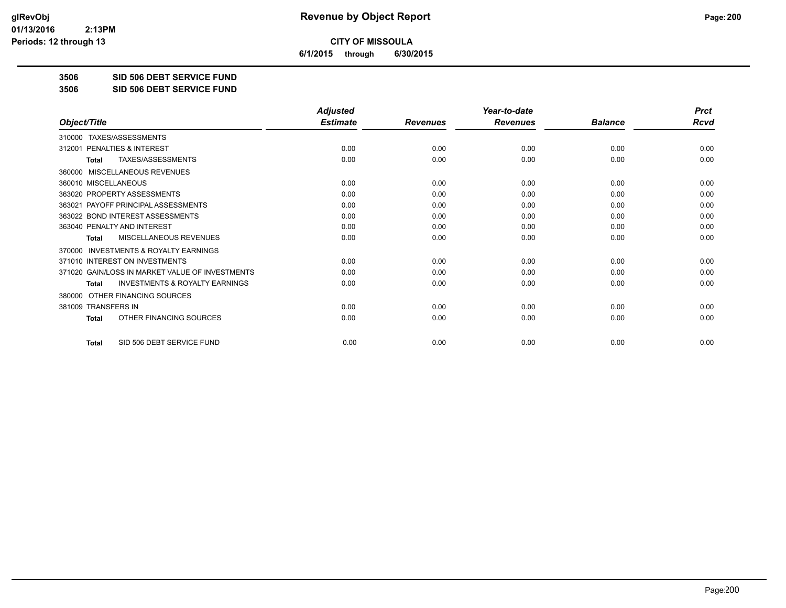**6/1/2015 through 6/30/2015**

**3506 SID 506 DEBT SERVICE FUND**

**3506 SID 506 DEBT SERVICE FUND**

|                                                           | <b>Adjusted</b> |                 | Year-to-date    |                | <b>Prct</b> |
|-----------------------------------------------------------|-----------------|-----------------|-----------------|----------------|-------------|
| Object/Title                                              | <b>Estimate</b> | <b>Revenues</b> | <b>Revenues</b> | <b>Balance</b> | <b>Rcvd</b> |
| TAXES/ASSESSMENTS<br>310000                               |                 |                 |                 |                |             |
| 312001 PENALTIES & INTEREST                               | 0.00            | 0.00            | 0.00            | 0.00           | 0.00        |
| TAXES/ASSESSMENTS<br><b>Total</b>                         | 0.00            | 0.00            | 0.00            | 0.00           | 0.00        |
| MISCELLANEOUS REVENUES<br>360000                          |                 |                 |                 |                |             |
| 360010 MISCELLANEOUS                                      | 0.00            | 0.00            | 0.00            | 0.00           | 0.00        |
| 363020 PROPERTY ASSESSMENTS                               | 0.00            | 0.00            | 0.00            | 0.00           | 0.00        |
| 363021 PAYOFF PRINCIPAL ASSESSMENTS                       | 0.00            | 0.00            | 0.00            | 0.00           | 0.00        |
| 363022 BOND INTEREST ASSESSMENTS                          | 0.00            | 0.00            | 0.00            | 0.00           | 0.00        |
| 363040 PENALTY AND INTEREST                               | 0.00            | 0.00            | 0.00            | 0.00           | 0.00        |
| <b>MISCELLANEOUS REVENUES</b><br><b>Total</b>             | 0.00            | 0.00            | 0.00            | 0.00           | 0.00        |
| <b>INVESTMENTS &amp; ROYALTY EARNINGS</b><br>370000       |                 |                 |                 |                |             |
| 371010 INTEREST ON INVESTMENTS                            | 0.00            | 0.00            | 0.00            | 0.00           | 0.00        |
| 371020 GAIN/LOSS IN MARKET VALUE OF INVESTMENTS           | 0.00            | 0.00            | 0.00            | 0.00           | 0.00        |
| <b>INVESTMENTS &amp; ROYALTY EARNINGS</b><br><b>Total</b> | 0.00            | 0.00            | 0.00            | 0.00           | 0.00        |
| OTHER FINANCING SOURCES<br>380000                         |                 |                 |                 |                |             |
| 381009 TRANSFERS IN                                       | 0.00            | 0.00            | 0.00            | 0.00           | 0.00        |
| OTHER FINANCING SOURCES<br><b>Total</b>                   | 0.00            | 0.00            | 0.00            | 0.00           | 0.00        |
| SID 506 DEBT SERVICE FUND<br><b>Total</b>                 | 0.00            | 0.00            | 0.00            | 0.00           | 0.00        |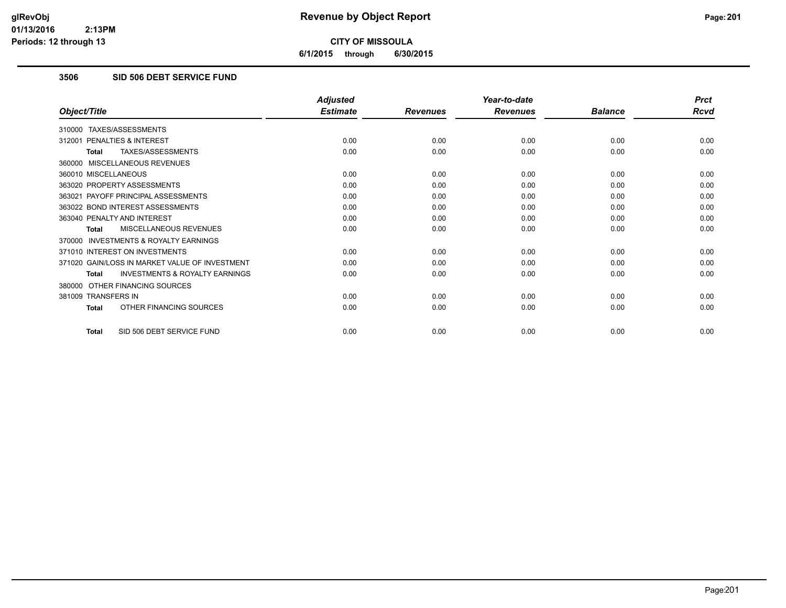**6/1/2015 through 6/30/2015**

## **3506 SID 506 DEBT SERVICE FUND**

|                                                           | <b>Adjusted</b> |                 | Year-to-date    |                | <b>Prct</b> |
|-----------------------------------------------------------|-----------------|-----------------|-----------------|----------------|-------------|
| Object/Title                                              | <b>Estimate</b> | <b>Revenues</b> | <b>Revenues</b> | <b>Balance</b> | <b>Rcvd</b> |
| 310000 TAXES/ASSESSMENTS                                  |                 |                 |                 |                |             |
| 312001 PENALTIES & INTEREST                               | 0.00            | 0.00            | 0.00            | 0.00           | 0.00        |
| <b>TAXES/ASSESSMENTS</b><br><b>Total</b>                  | 0.00            | 0.00            | 0.00            | 0.00           | 0.00        |
| 360000 MISCELLANEOUS REVENUES                             |                 |                 |                 |                |             |
| 360010 MISCELLANEOUS                                      | 0.00            | 0.00            | 0.00            | 0.00           | 0.00        |
| 363020 PROPERTY ASSESSMENTS                               | 0.00            | 0.00            | 0.00            | 0.00           | 0.00        |
| 363021 PAYOFF PRINCIPAL ASSESSMENTS                       | 0.00            | 0.00            | 0.00            | 0.00           | 0.00        |
| 363022 BOND INTEREST ASSESSMENTS                          | 0.00            | 0.00            | 0.00            | 0.00           | 0.00        |
| 363040 PENALTY AND INTEREST                               | 0.00            | 0.00            | 0.00            | 0.00           | 0.00        |
| MISCELLANEOUS REVENUES<br><b>Total</b>                    | 0.00            | 0.00            | 0.00            | 0.00           | 0.00        |
| <b>INVESTMENTS &amp; ROYALTY EARNINGS</b><br>370000       |                 |                 |                 |                |             |
| 371010 INTEREST ON INVESTMENTS                            | 0.00            | 0.00            | 0.00            | 0.00           | 0.00        |
| 371020 GAIN/LOSS IN MARKET VALUE OF INVESTMENT            | 0.00            | 0.00            | 0.00            | 0.00           | 0.00        |
| <b>INVESTMENTS &amp; ROYALTY EARNINGS</b><br><b>Total</b> | 0.00            | 0.00            | 0.00            | 0.00           | 0.00        |
| 380000 OTHER FINANCING SOURCES                            |                 |                 |                 |                |             |
| 381009 TRANSFERS IN                                       | 0.00            | 0.00            | 0.00            | 0.00           | 0.00        |
| OTHER FINANCING SOURCES<br><b>Total</b>                   | 0.00            | 0.00            | 0.00            | 0.00           | 0.00        |
| SID 506 DEBT SERVICE FUND<br><b>Total</b>                 | 0.00            | 0.00            | 0.00            | 0.00           | 0.00        |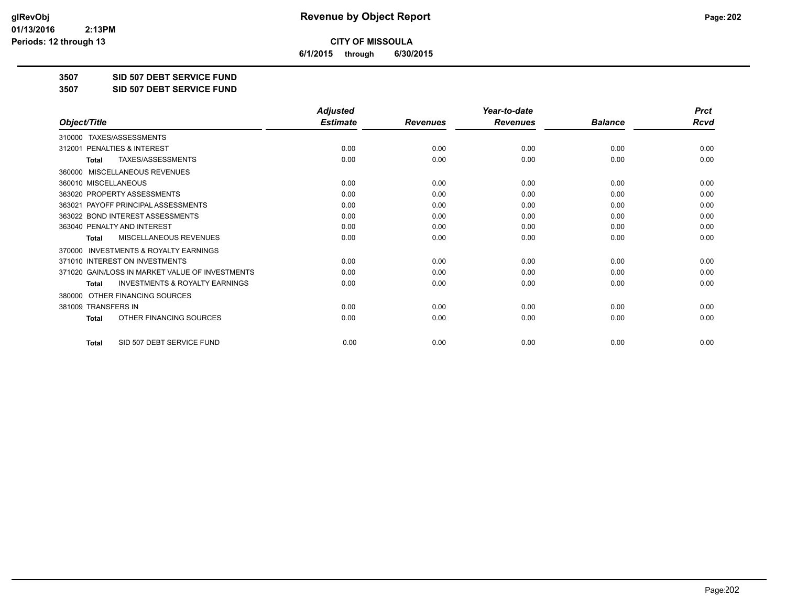**6/1/2015 through 6/30/2015**

**3507 SID 507 DEBT SERVICE FUND**

**3507 SID 507 DEBT SERVICE FUND**

|                                                           | <b>Adjusted</b> |                 | Year-to-date    |                | <b>Prct</b> |
|-----------------------------------------------------------|-----------------|-----------------|-----------------|----------------|-------------|
| Object/Title                                              | <b>Estimate</b> | <b>Revenues</b> | <b>Revenues</b> | <b>Balance</b> | <b>Rcvd</b> |
| 310000 TAXES/ASSESSMENTS                                  |                 |                 |                 |                |             |
| PENALTIES & INTEREST<br>312001                            | 0.00            | 0.00            | 0.00            | 0.00           | 0.00        |
| TAXES/ASSESSMENTS<br><b>Total</b>                         | 0.00            | 0.00            | 0.00            | 0.00           | 0.00        |
| MISCELLANEOUS REVENUES<br>360000                          |                 |                 |                 |                |             |
| 360010 MISCELLANEOUS                                      | 0.00            | 0.00            | 0.00            | 0.00           | 0.00        |
| 363020 PROPERTY ASSESSMENTS                               | 0.00            | 0.00            | 0.00            | 0.00           | 0.00        |
| PAYOFF PRINCIPAL ASSESSMENTS<br>363021                    | 0.00            | 0.00            | 0.00            | 0.00           | 0.00        |
| 363022 BOND INTEREST ASSESSMENTS                          | 0.00            | 0.00            | 0.00            | 0.00           | 0.00        |
| 363040 PENALTY AND INTEREST                               | 0.00            | 0.00            | 0.00            | 0.00           | 0.00        |
| MISCELLANEOUS REVENUES<br><b>Total</b>                    | 0.00            | 0.00            | 0.00            | 0.00           | 0.00        |
| <b>INVESTMENTS &amp; ROYALTY EARNINGS</b><br>370000       |                 |                 |                 |                |             |
| 371010 INTEREST ON INVESTMENTS                            | 0.00            | 0.00            | 0.00            | 0.00           | 0.00        |
| 371020 GAIN/LOSS IN MARKET VALUE OF INVESTMENTS           | 0.00            | 0.00            | 0.00            | 0.00           | 0.00        |
| <b>INVESTMENTS &amp; ROYALTY EARNINGS</b><br><b>Total</b> | 0.00            | 0.00            | 0.00            | 0.00           | 0.00        |
| OTHER FINANCING SOURCES<br>380000                         |                 |                 |                 |                |             |
| 381009 TRANSFERS IN                                       | 0.00            | 0.00            | 0.00            | 0.00           | 0.00        |
| OTHER FINANCING SOURCES<br><b>Total</b>                   | 0.00            | 0.00            | 0.00            | 0.00           | 0.00        |
| SID 507 DEBT SERVICE FUND<br><b>Total</b>                 | 0.00            | 0.00            | 0.00            | 0.00           | 0.00        |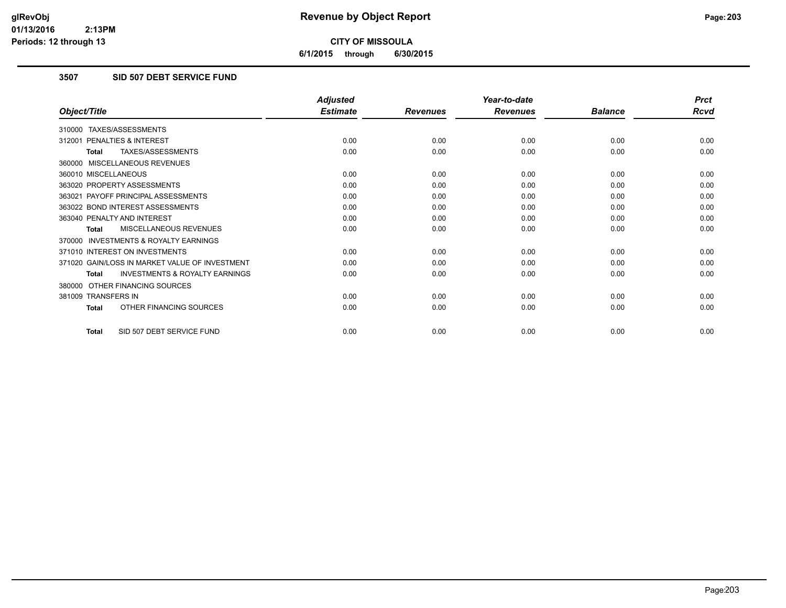**6/1/2015 through 6/30/2015**

# **3507 SID 507 DEBT SERVICE FUND**

|                                                           | <b>Adjusted</b> |                 | Year-to-date    |                | <b>Prct</b> |
|-----------------------------------------------------------|-----------------|-----------------|-----------------|----------------|-------------|
| Object/Title                                              | <b>Estimate</b> | <b>Revenues</b> | <b>Revenues</b> | <b>Balance</b> | <b>Rcvd</b> |
| 310000 TAXES/ASSESSMENTS                                  |                 |                 |                 |                |             |
| 312001 PENALTIES & INTEREST                               | 0.00            | 0.00            | 0.00            | 0.00           | 0.00        |
| TAXES/ASSESSMENTS<br><b>Total</b>                         | 0.00            | 0.00            | 0.00            | 0.00           | 0.00        |
| 360000 MISCELLANEOUS REVENUES                             |                 |                 |                 |                |             |
| 360010 MISCELLANEOUS                                      | 0.00            | 0.00            | 0.00            | 0.00           | 0.00        |
| 363020 PROPERTY ASSESSMENTS                               | 0.00            | 0.00            | 0.00            | 0.00           | 0.00        |
| 363021 PAYOFF PRINCIPAL ASSESSMENTS                       | 0.00            | 0.00            | 0.00            | 0.00           | 0.00        |
| 363022 BOND INTEREST ASSESSMENTS                          | 0.00            | 0.00            | 0.00            | 0.00           | 0.00        |
| 363040 PENALTY AND INTEREST                               | 0.00            | 0.00            | 0.00            | 0.00           | 0.00        |
| MISCELLANEOUS REVENUES<br><b>Total</b>                    | 0.00            | 0.00            | 0.00            | 0.00           | 0.00        |
| <b>INVESTMENTS &amp; ROYALTY EARNINGS</b><br>370000       |                 |                 |                 |                |             |
| 371010 INTEREST ON INVESTMENTS                            | 0.00            | 0.00            | 0.00            | 0.00           | 0.00        |
| 371020 GAIN/LOSS IN MARKET VALUE OF INVESTMENT            | 0.00            | 0.00            | 0.00            | 0.00           | 0.00        |
| <b>INVESTMENTS &amp; ROYALTY EARNINGS</b><br><b>Total</b> | 0.00            | 0.00            | 0.00            | 0.00           | 0.00        |
| 380000 OTHER FINANCING SOURCES                            |                 |                 |                 |                |             |
| 381009 TRANSFERS IN                                       | 0.00            | 0.00            | 0.00            | 0.00           | 0.00        |
| OTHER FINANCING SOURCES<br>Total                          | 0.00            | 0.00            | 0.00            | 0.00           | 0.00        |
| SID 507 DEBT SERVICE FUND<br><b>Total</b>                 | 0.00            | 0.00            | 0.00            | 0.00           | 0.00        |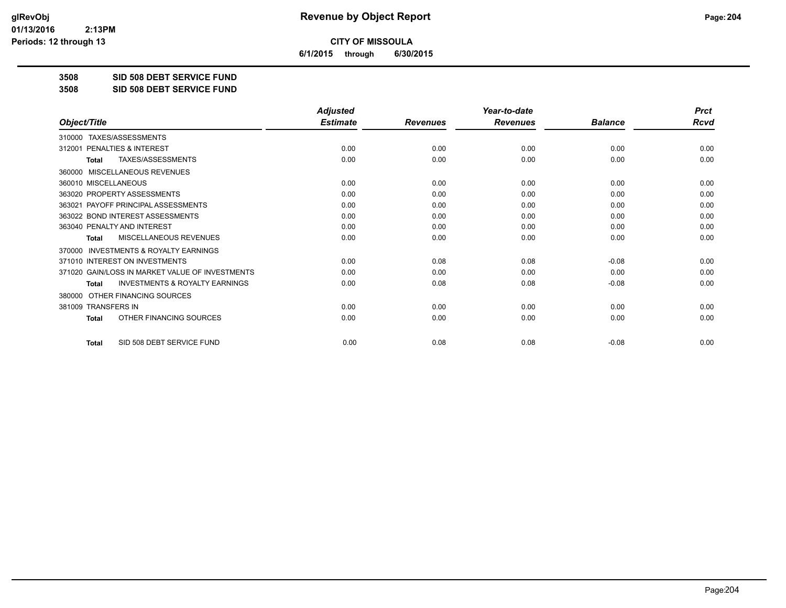**6/1/2015 through 6/30/2015**

**3508 SID 508 DEBT SERVICE FUND**

**3508 SID 508 DEBT SERVICE FUND**

|                                                           | <b>Adjusted</b> |                 | Year-to-date    |                | <b>Prct</b> |
|-----------------------------------------------------------|-----------------|-----------------|-----------------|----------------|-------------|
| Object/Title                                              | <b>Estimate</b> | <b>Revenues</b> | <b>Revenues</b> | <b>Balance</b> | <b>Rcvd</b> |
| TAXES/ASSESSMENTS<br>310000                               |                 |                 |                 |                |             |
| 312001 PENALTIES & INTEREST                               | 0.00            | 0.00            | 0.00            | 0.00           | 0.00        |
| TAXES/ASSESSMENTS<br><b>Total</b>                         | 0.00            | 0.00            | 0.00            | 0.00           | 0.00        |
| <b>MISCELLANEOUS REVENUES</b><br>360000                   |                 |                 |                 |                |             |
| 360010 MISCELLANEOUS                                      | 0.00            | 0.00            | 0.00            | 0.00           | 0.00        |
| 363020 PROPERTY ASSESSMENTS                               | 0.00            | 0.00            | 0.00            | 0.00           | 0.00        |
| 363021 PAYOFF PRINCIPAL ASSESSMENTS                       | 0.00            | 0.00            | 0.00            | 0.00           | 0.00        |
| 363022 BOND INTEREST ASSESSMENTS                          | 0.00            | 0.00            | 0.00            | 0.00           | 0.00        |
| 363040 PENALTY AND INTEREST                               | 0.00            | 0.00            | 0.00            | 0.00           | 0.00        |
| MISCELLANEOUS REVENUES<br><b>Total</b>                    | 0.00            | 0.00            | 0.00            | 0.00           | 0.00        |
| <b>INVESTMENTS &amp; ROYALTY EARNINGS</b><br>370000       |                 |                 |                 |                |             |
| 371010 INTEREST ON INVESTMENTS                            | 0.00            | 0.08            | 0.08            | $-0.08$        | 0.00        |
| 371020 GAIN/LOSS IN MARKET VALUE OF INVESTMENTS           | 0.00            | 0.00            | 0.00            | 0.00           | 0.00        |
| <b>INVESTMENTS &amp; ROYALTY EARNINGS</b><br><b>Total</b> | 0.00            | 0.08            | 0.08            | $-0.08$        | 0.00        |
| OTHER FINANCING SOURCES<br>380000                         |                 |                 |                 |                |             |
| 381009 TRANSFERS IN                                       | 0.00            | 0.00            | 0.00            | 0.00           | 0.00        |
| OTHER FINANCING SOURCES<br><b>Total</b>                   | 0.00            | 0.00            | 0.00            | 0.00           | 0.00        |
| SID 508 DEBT SERVICE FUND<br><b>Total</b>                 | 0.00            | 0.08            | 0.08            | $-0.08$        | 0.00        |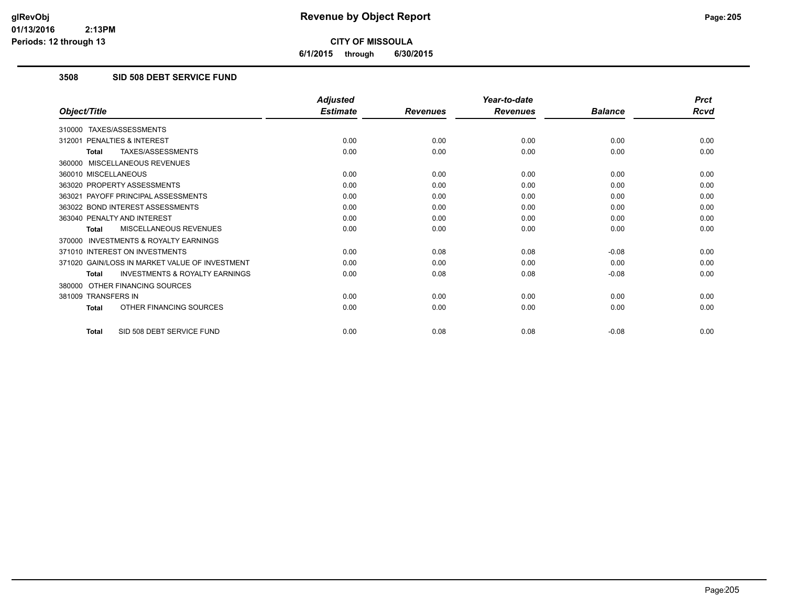**6/1/2015 through 6/30/2015**

# **3508 SID 508 DEBT SERVICE FUND**

|                                                           | <b>Adjusted</b> |                 | Year-to-date    |                | <b>Prct</b> |
|-----------------------------------------------------------|-----------------|-----------------|-----------------|----------------|-------------|
| Object/Title                                              | <b>Estimate</b> | <b>Revenues</b> | <b>Revenues</b> | <b>Balance</b> | <b>Rcvd</b> |
| 310000 TAXES/ASSESSMENTS                                  |                 |                 |                 |                |             |
| 312001 PENALTIES & INTEREST                               | 0.00            | 0.00            | 0.00            | 0.00           | 0.00        |
| TAXES/ASSESSMENTS<br><b>Total</b>                         | 0.00            | 0.00            | 0.00            | 0.00           | 0.00        |
| 360000 MISCELLANEOUS REVENUES                             |                 |                 |                 |                |             |
| 360010 MISCELLANEOUS                                      | 0.00            | 0.00            | 0.00            | 0.00           | 0.00        |
| 363020 PROPERTY ASSESSMENTS                               | 0.00            | 0.00            | 0.00            | 0.00           | 0.00        |
| 363021 PAYOFF PRINCIPAL ASSESSMENTS                       | 0.00            | 0.00            | 0.00            | 0.00           | 0.00        |
| 363022 BOND INTEREST ASSESSMENTS                          | 0.00            | 0.00            | 0.00            | 0.00           | 0.00        |
| 363040 PENALTY AND INTEREST                               | 0.00            | 0.00            | 0.00            | 0.00           | 0.00        |
| MISCELLANEOUS REVENUES<br><b>Total</b>                    | 0.00            | 0.00            | 0.00            | 0.00           | 0.00        |
| <b>INVESTMENTS &amp; ROYALTY EARNINGS</b><br>370000       |                 |                 |                 |                |             |
| 371010 INTEREST ON INVESTMENTS                            | 0.00            | 0.08            | 0.08            | $-0.08$        | 0.00        |
| 371020 GAIN/LOSS IN MARKET VALUE OF INVESTMENT            | 0.00            | 0.00            | 0.00            | 0.00           | 0.00        |
| <b>INVESTMENTS &amp; ROYALTY EARNINGS</b><br><b>Total</b> | 0.00            | 0.08            | 0.08            | $-0.08$        | 0.00        |
| 380000 OTHER FINANCING SOURCES                            |                 |                 |                 |                |             |
| 381009 TRANSFERS IN                                       | 0.00            | 0.00            | 0.00            | 0.00           | 0.00        |
| OTHER FINANCING SOURCES<br>Total                          | 0.00            | 0.00            | 0.00            | 0.00           | 0.00        |
| SID 508 DEBT SERVICE FUND<br><b>Total</b>                 | 0.00            | 0.08            | 0.08            | $-0.08$        | 0.00        |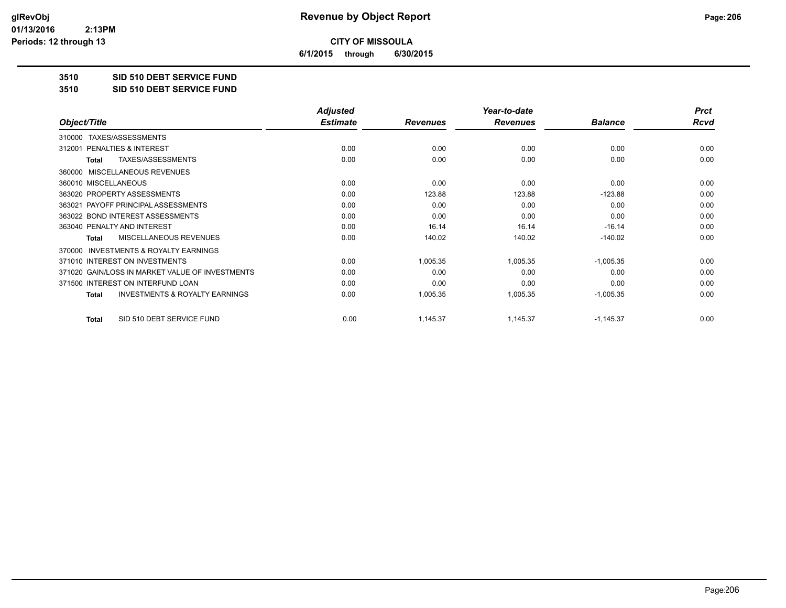**6/1/2015 through 6/30/2015**

**3510 SID 510 DEBT SERVICE FUND**

**3510 SID 510 DEBT SERVICE FUND**

|                                                           | <b>Adjusted</b> |                 | Year-to-date    |                | <b>Prct</b> |
|-----------------------------------------------------------|-----------------|-----------------|-----------------|----------------|-------------|
| Object/Title                                              | <b>Estimate</b> | <b>Revenues</b> | <b>Revenues</b> | <b>Balance</b> | <b>Rcvd</b> |
| TAXES/ASSESSMENTS<br>310000                               |                 |                 |                 |                |             |
| PENALTIES & INTEREST<br>312001                            | 0.00            | 0.00            | 0.00            | 0.00           | 0.00        |
| TAXES/ASSESSMENTS<br><b>Total</b>                         | 0.00            | 0.00            | 0.00            | 0.00           | 0.00        |
| MISCELLANEOUS REVENUES<br>360000                          |                 |                 |                 |                |             |
| 360010 MISCELLANEOUS                                      | 0.00            | 0.00            | 0.00            | 0.00           | 0.00        |
| 363020 PROPERTY ASSESSMENTS                               | 0.00            | 123.88          | 123.88          | $-123.88$      | 0.00        |
| 363021 PAYOFF PRINCIPAL ASSESSMENTS                       | 0.00            | 0.00            | 0.00            | 0.00           | 0.00        |
| 363022 BOND INTEREST ASSESSMENTS                          | 0.00            | 0.00            | 0.00            | 0.00           | 0.00        |
| 363040 PENALTY AND INTEREST                               | 0.00            | 16.14           | 16.14           | $-16.14$       | 0.00        |
| <b>MISCELLANEOUS REVENUES</b><br><b>Total</b>             | 0.00            | 140.02          | 140.02          | $-140.02$      | 0.00        |
| <b>INVESTMENTS &amp; ROYALTY EARNINGS</b><br>370000       |                 |                 |                 |                |             |
| 371010 INTEREST ON INVESTMENTS                            | 0.00            | 1,005.35        | 1,005.35        | $-1,005.35$    | 0.00        |
| 371020 GAIN/LOSS IN MARKET VALUE OF INVESTMENTS           | 0.00            | 0.00            | 0.00            | 0.00           | 0.00        |
| 371500 INTEREST ON INTERFUND LOAN                         | 0.00            | 0.00            | 0.00            | 0.00           | 0.00        |
| <b>INVESTMENTS &amp; ROYALTY EARNINGS</b><br><b>Total</b> | 0.00            | 1,005.35        | 1,005.35        | $-1,005.35$    | 0.00        |
| SID 510 DEBT SERVICE FUND<br><b>Total</b>                 | 0.00            | 1,145.37        | 1,145.37        | $-1,145.37$    | 0.00        |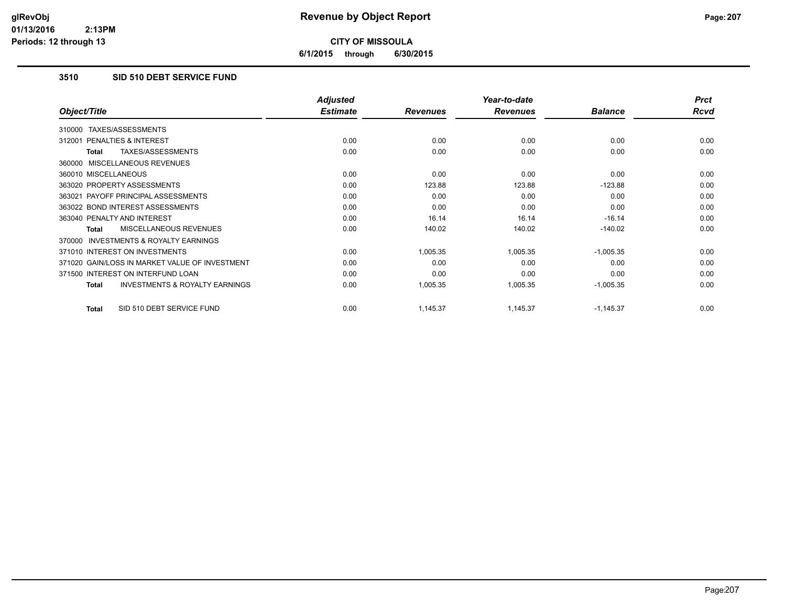**6/1/2015 through 6/30/2015**

# **3510 SID 510 DEBT SERVICE FUND**

|                                                     | <b>Adjusted</b> |                 | Year-to-date    |                | <b>Prct</b> |
|-----------------------------------------------------|-----------------|-----------------|-----------------|----------------|-------------|
| Object/Title                                        | <b>Estimate</b> | <b>Revenues</b> | <b>Revenues</b> | <b>Balance</b> | Rcvd        |
| TAXES/ASSESSMENTS<br>310000                         |                 |                 |                 |                |             |
| PENALTIES & INTEREST<br>312001                      | 0.00            | 0.00            | 0.00            | 0.00           | 0.00        |
| TAXES/ASSESSMENTS<br>Total                          | 0.00            | 0.00            | 0.00            | 0.00           | 0.00        |
| 360000 MISCELLANEOUS REVENUES                       |                 |                 |                 |                |             |
| 360010 MISCELLANEOUS                                | 0.00            | 0.00            | 0.00            | 0.00           | 0.00        |
| 363020 PROPERTY ASSESSMENTS                         | 0.00            | 123.88          | 123.88          | $-123.88$      | 0.00        |
| 363021 PAYOFF PRINCIPAL ASSESSMENTS                 | 0.00            | 0.00            | 0.00            | 0.00           | 0.00        |
| 363022 BOND INTEREST ASSESSMENTS                    | 0.00            | 0.00            | 0.00            | 0.00           | 0.00        |
| 363040 PENALTY AND INTEREST                         | 0.00            | 16.14           | 16.14           | $-16.14$       | 0.00        |
| <b>MISCELLANEOUS REVENUES</b><br><b>Total</b>       | 0.00            | 140.02          | 140.02          | $-140.02$      | 0.00        |
| <b>INVESTMENTS &amp; ROYALTY EARNINGS</b><br>370000 |                 |                 |                 |                |             |
| 371010 INTEREST ON INVESTMENTS                      | 0.00            | 1,005.35        | 1,005.35        | $-1,005.35$    | 0.00        |
| 371020 GAIN/LOSS IN MARKET VALUE OF INVESTMENT      | 0.00            | 0.00            | 0.00            | 0.00           | 0.00        |
| 371500 INTEREST ON INTERFUND LOAN                   | 0.00            | 0.00            | 0.00            | 0.00           | 0.00        |
| <b>INVESTMENTS &amp; ROYALTY EARNINGS</b><br>Total  | 0.00            | 1,005.35        | 1,005.35        | $-1,005.35$    | 0.00        |
| SID 510 DEBT SERVICE FUND<br><b>Total</b>           | 0.00            | 1,145.37        | 1,145.37        | $-1,145.37$    | 0.00        |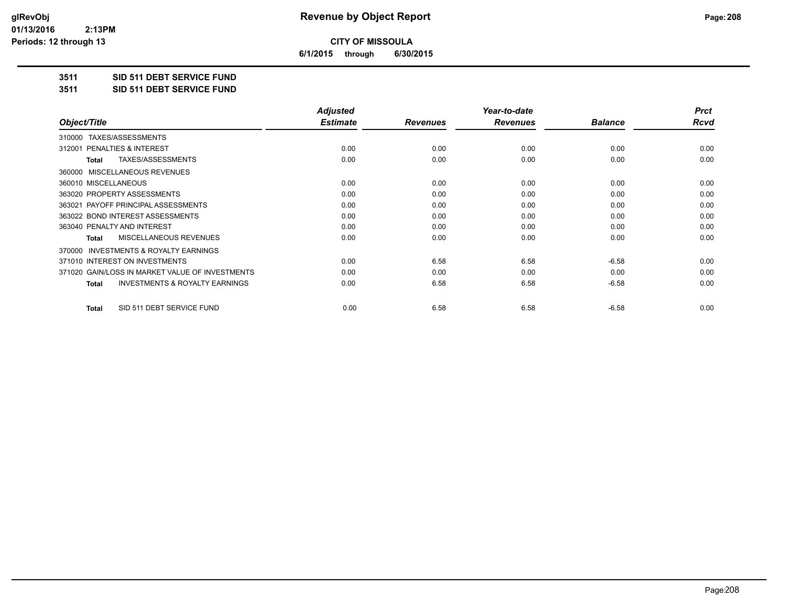**6/1/2015 through 6/30/2015**

**3511 SID 511 DEBT SERVICE FUND**

**3511 SID 511 DEBT SERVICE FUND**

|                                                           | <b>Adjusted</b> |                 | Year-to-date    |                | <b>Prct</b> |
|-----------------------------------------------------------|-----------------|-----------------|-----------------|----------------|-------------|
| Object/Title                                              | <b>Estimate</b> | <b>Revenues</b> | <b>Revenues</b> | <b>Balance</b> | Rcvd        |
| TAXES/ASSESSMENTS<br>310000                               |                 |                 |                 |                |             |
| 312001 PENALTIES & INTEREST                               | 0.00            | 0.00            | 0.00            | 0.00           | 0.00        |
| TAXES/ASSESSMENTS<br>Total                                | 0.00            | 0.00            | 0.00            | 0.00           | 0.00        |
| 360000 MISCELLANEOUS REVENUES                             |                 |                 |                 |                |             |
| 360010 MISCELLANEOUS                                      | 0.00            | 0.00            | 0.00            | 0.00           | 0.00        |
| 363020 PROPERTY ASSESSMENTS                               | 0.00            | 0.00            | 0.00            | 0.00           | 0.00        |
| 363021 PAYOFF PRINCIPAL ASSESSMENTS                       | 0.00            | 0.00            | 0.00            | 0.00           | 0.00        |
| 363022 BOND INTEREST ASSESSMENTS                          | 0.00            | 0.00            | 0.00            | 0.00           | 0.00        |
| 363040 PENALTY AND INTEREST                               | 0.00            | 0.00            | 0.00            | 0.00           | 0.00        |
| <b>MISCELLANEOUS REVENUES</b><br>Total                    | 0.00            | 0.00            | 0.00            | 0.00           | 0.00        |
| 370000 INVESTMENTS & ROYALTY EARNINGS                     |                 |                 |                 |                |             |
| 371010 INTEREST ON INVESTMENTS                            | 0.00            | 6.58            | 6.58            | $-6.58$        | 0.00        |
| 371020 GAIN/LOSS IN MARKET VALUE OF INVESTMENTS           | 0.00            | 0.00            | 0.00            | 0.00           | 0.00        |
| <b>INVESTMENTS &amp; ROYALTY EARNINGS</b><br><b>Total</b> | 0.00            | 6.58            | 6.58            | $-6.58$        | 0.00        |
| SID 511 DEBT SERVICE FUND<br><b>Total</b>                 | 0.00            | 6.58            | 6.58            | $-6.58$        | 0.00        |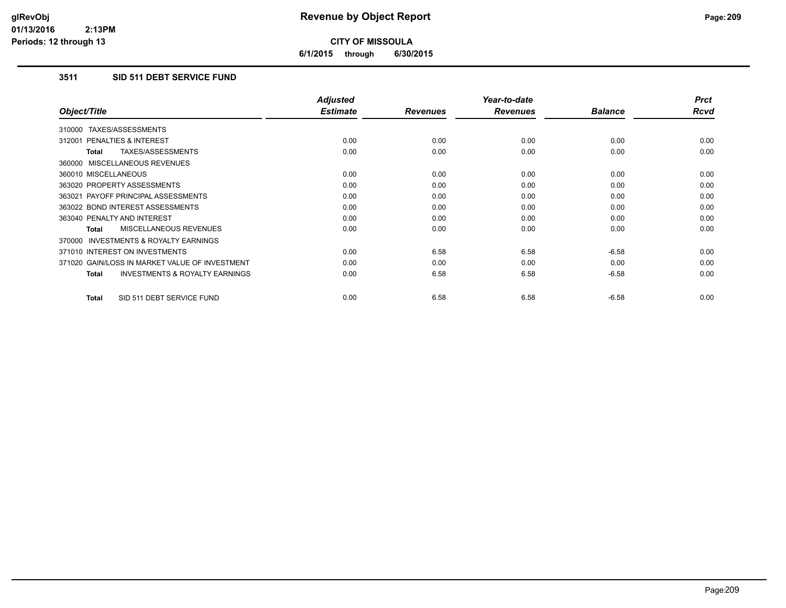**6/1/2015 through 6/30/2015**

# **3511 SID 511 DEBT SERVICE FUND**

|                                                           | <b>Adjusted</b> |                 | Year-to-date    |                | <b>Prct</b> |
|-----------------------------------------------------------|-----------------|-----------------|-----------------|----------------|-------------|
| Object/Title                                              | <b>Estimate</b> | <b>Revenues</b> | <b>Revenues</b> | <b>Balance</b> | <b>Rcvd</b> |
| 310000 TAXES/ASSESSMENTS                                  |                 |                 |                 |                |             |
| 312001 PENALTIES & INTEREST                               | 0.00            | 0.00            | 0.00            | 0.00           | 0.00        |
| TAXES/ASSESSMENTS<br><b>Total</b>                         | 0.00            | 0.00            | 0.00            | 0.00           | 0.00        |
| 360000 MISCELLANEOUS REVENUES                             |                 |                 |                 |                |             |
| 360010 MISCELLANEOUS                                      | 0.00            | 0.00            | 0.00            | 0.00           | 0.00        |
| 363020 PROPERTY ASSESSMENTS                               | 0.00            | 0.00            | 0.00            | 0.00           | 0.00        |
| 363021 PAYOFF PRINCIPAL ASSESSMENTS                       | 0.00            | 0.00            | 0.00            | 0.00           | 0.00        |
| 363022 BOND INTEREST ASSESSMENTS                          | 0.00            | 0.00            | 0.00            | 0.00           | 0.00        |
| 363040 PENALTY AND INTEREST                               | 0.00            | 0.00            | 0.00            | 0.00           | 0.00        |
| MISCELLANEOUS REVENUES<br><b>Total</b>                    | 0.00            | 0.00            | 0.00            | 0.00           | 0.00        |
| INVESTMENTS & ROYALTY EARNINGS<br>370000                  |                 |                 |                 |                |             |
| 371010 INTEREST ON INVESTMENTS                            | 0.00            | 6.58            | 6.58            | $-6.58$        | 0.00        |
| 371020 GAIN/LOSS IN MARKET VALUE OF INVESTMENT            | 0.00            | 0.00            | 0.00            | 0.00           | 0.00        |
| <b>INVESTMENTS &amp; ROYALTY EARNINGS</b><br><b>Total</b> | 0.00            | 6.58            | 6.58            | $-6.58$        | 0.00        |
| SID 511 DEBT SERVICE FUND<br><b>Total</b>                 | 0.00            | 6.58            | 6.58            | $-6.58$        | 0.00        |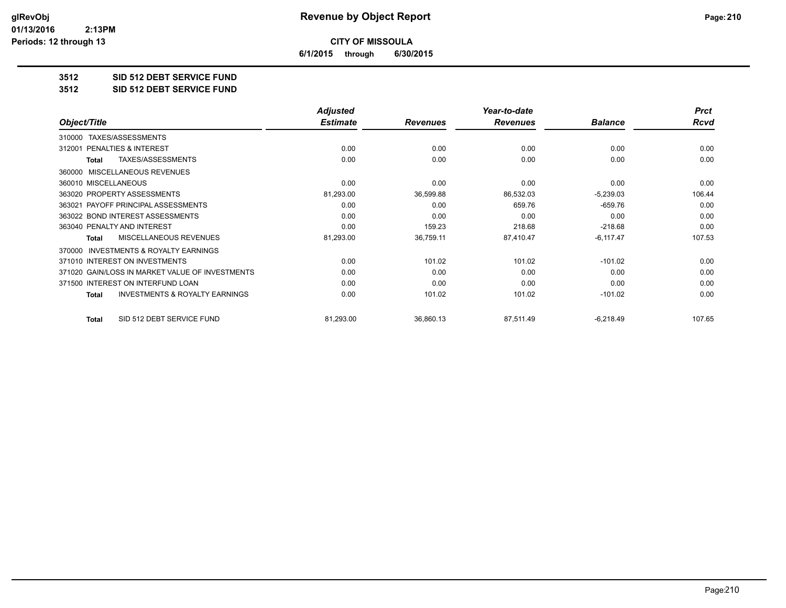**6/1/2015 through 6/30/2015**

**3512 SID 512 DEBT SERVICE FUND**

**3512 SID 512 DEBT SERVICE FUND**

|                                                    | <b>Adjusted</b> |                 | Year-to-date    |                | <b>Prct</b> |
|----------------------------------------------------|-----------------|-----------------|-----------------|----------------|-------------|
| Object/Title                                       | <b>Estimate</b> | <b>Revenues</b> | <b>Revenues</b> | <b>Balance</b> | <b>Rcvd</b> |
| TAXES/ASSESSMENTS<br>310000                        |                 |                 |                 |                |             |
| <b>PENALTIES &amp; INTEREST</b><br>312001          | 0.00            | 0.00            | 0.00            | 0.00           | 0.00        |
| TAXES/ASSESSMENTS<br><b>Total</b>                  | 0.00            | 0.00            | 0.00            | 0.00           | 0.00        |
| MISCELLANEOUS REVENUES<br>360000                   |                 |                 |                 |                |             |
| 360010 MISCELLANEOUS                               | 0.00            | 0.00            | 0.00            | 0.00           | 0.00        |
| 363020 PROPERTY ASSESSMENTS                        | 81,293.00       | 36,599.88       | 86,532.03       | $-5,239.03$    | 106.44      |
| 363021 PAYOFF PRINCIPAL ASSESSMENTS                | 0.00            | 0.00            | 659.76          | $-659.76$      | 0.00        |
| 363022 BOND INTEREST ASSESSMENTS                   | 0.00            | 0.00            | 0.00            | 0.00           | 0.00        |
| 363040 PENALTY AND INTEREST                        | 0.00            | 159.23          | 218.68          | $-218.68$      | 0.00        |
| <b>MISCELLANEOUS REVENUES</b><br>Total             | 81,293.00       | 36,759.11       | 87,410.47       | $-6,117.47$    | 107.53      |
| INVESTMENTS & ROYALTY EARNINGS<br>370000           |                 |                 |                 |                |             |
| 371010 INTEREST ON INVESTMENTS                     | 0.00            | 101.02          | 101.02          | $-101.02$      | 0.00        |
| 371020 GAIN/LOSS IN MARKET VALUE OF INVESTMENTS    | 0.00            | 0.00            | 0.00            | 0.00           | 0.00        |
| 371500 INTEREST ON INTERFUND LOAN                  | 0.00            | 0.00            | 0.00            | 0.00           | 0.00        |
| <b>INVESTMENTS &amp; ROYALTY EARNINGS</b><br>Total | 0.00            | 101.02          | 101.02          | $-101.02$      | 0.00        |
| SID 512 DEBT SERVICE FUND<br><b>Total</b>          | 81,293.00       | 36,860.13       | 87,511.49       | $-6,218.49$    | 107.65      |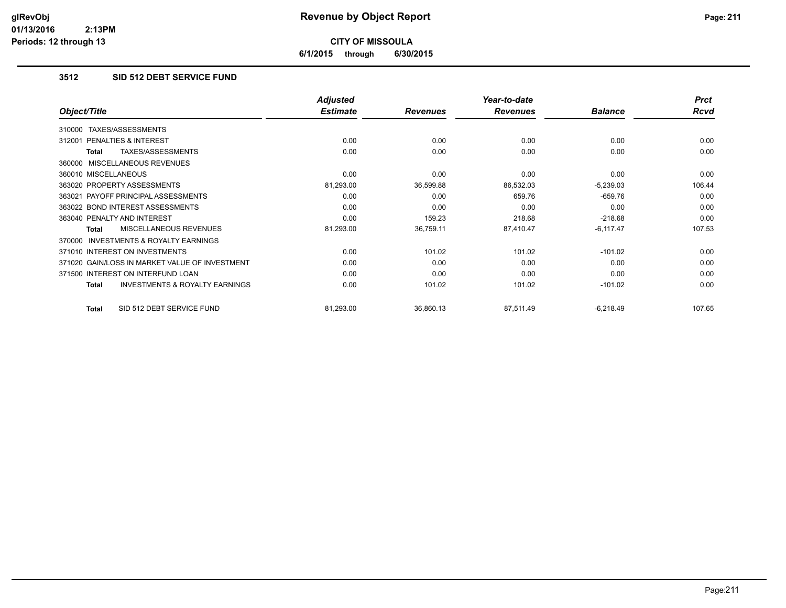**6/1/2015 through 6/30/2015**

# **3512 SID 512 DEBT SERVICE FUND**

|                                                     | <b>Adjusted</b> |                 | Year-to-date    |                | <b>Prct</b> |
|-----------------------------------------------------|-----------------|-----------------|-----------------|----------------|-------------|
| Object/Title                                        | <b>Estimate</b> | <b>Revenues</b> | <b>Revenues</b> | <b>Balance</b> | Rcvd        |
| TAXES/ASSESSMENTS<br>310000                         |                 |                 |                 |                |             |
| 312001 PENALTIES & INTEREST                         | 0.00            | 0.00            | 0.00            | 0.00           | 0.00        |
| TAXES/ASSESSMENTS<br>Total                          | 0.00            | 0.00            | 0.00            | 0.00           | 0.00        |
| 360000 MISCELLANEOUS REVENUES                       |                 |                 |                 |                |             |
| 360010 MISCELLANEOUS                                | 0.00            | 0.00            | 0.00            | 0.00           | 0.00        |
| 363020 PROPERTY ASSESSMENTS                         | 81,293.00       | 36,599.88       | 86,532.03       | $-5,239.03$    | 106.44      |
| 363021 PAYOFF PRINCIPAL ASSESSMENTS                 | 0.00            | 0.00            | 659.76          | $-659.76$      | 0.00        |
| 363022 BOND INTEREST ASSESSMENTS                    | 0.00            | 0.00            | 0.00            | 0.00           | 0.00        |
| 363040 PENALTY AND INTEREST                         | 0.00            | 159.23          | 218.68          | $-218.68$      | 0.00        |
| MISCELLANEOUS REVENUES<br>Total                     | 81,293.00       | 36,759.11       | 87,410.47       | $-6,117.47$    | 107.53      |
| <b>INVESTMENTS &amp; ROYALTY EARNINGS</b><br>370000 |                 |                 |                 |                |             |
| 371010 INTEREST ON INVESTMENTS                      | 0.00            | 101.02          | 101.02          | $-101.02$      | 0.00        |
| 371020 GAIN/LOSS IN MARKET VALUE OF INVESTMENT      | 0.00            | 0.00            | 0.00            | 0.00           | 0.00        |
| 371500 INTEREST ON INTERFUND LOAN                   | 0.00            | 0.00            | 0.00            | 0.00           | 0.00        |
| <b>INVESTMENTS &amp; ROYALTY EARNINGS</b><br>Total  | 0.00            | 101.02          | 101.02          | $-101.02$      | 0.00        |
| SID 512 DEBT SERVICE FUND<br>Total                  | 81,293.00       | 36,860.13       | 87,511.49       | $-6,218.49$    | 107.65      |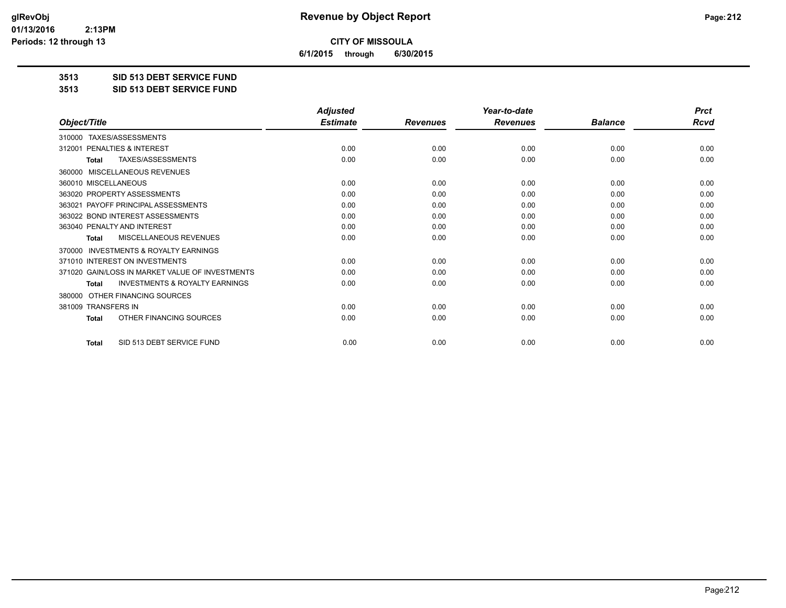**6/1/2015 through 6/30/2015**

**3513 SID 513 DEBT SERVICE FUND**

**3513 SID 513 DEBT SERVICE FUND**

|                                                           | <b>Adjusted</b> |                 | Year-to-date    |                | <b>Prct</b> |
|-----------------------------------------------------------|-----------------|-----------------|-----------------|----------------|-------------|
| Object/Title                                              | <b>Estimate</b> | <b>Revenues</b> | <b>Revenues</b> | <b>Balance</b> | <b>Rcvd</b> |
| TAXES/ASSESSMENTS<br>310000                               |                 |                 |                 |                |             |
| 312001 PENALTIES & INTEREST                               | 0.00            | 0.00            | 0.00            | 0.00           | 0.00        |
| TAXES/ASSESSMENTS<br><b>Total</b>                         | 0.00            | 0.00            | 0.00            | 0.00           | 0.00        |
| MISCELLANEOUS REVENUES<br>360000                          |                 |                 |                 |                |             |
| 360010 MISCELLANEOUS                                      | 0.00            | 0.00            | 0.00            | 0.00           | 0.00        |
| 363020 PROPERTY ASSESSMENTS                               | 0.00            | 0.00            | 0.00            | 0.00           | 0.00        |
| 363021 PAYOFF PRINCIPAL ASSESSMENTS                       | 0.00            | 0.00            | 0.00            | 0.00           | 0.00        |
| 363022 BOND INTEREST ASSESSMENTS                          | 0.00            | 0.00            | 0.00            | 0.00           | 0.00        |
| 363040 PENALTY AND INTEREST                               | 0.00            | 0.00            | 0.00            | 0.00           | 0.00        |
| <b>MISCELLANEOUS REVENUES</b><br><b>Total</b>             | 0.00            | 0.00            | 0.00            | 0.00           | 0.00        |
| <b>INVESTMENTS &amp; ROYALTY EARNINGS</b><br>370000       |                 |                 |                 |                |             |
| 371010 INTEREST ON INVESTMENTS                            | 0.00            | 0.00            | 0.00            | 0.00           | 0.00        |
| 371020 GAIN/LOSS IN MARKET VALUE OF INVESTMENTS           | 0.00            | 0.00            | 0.00            | 0.00           | 0.00        |
| <b>INVESTMENTS &amp; ROYALTY EARNINGS</b><br><b>Total</b> | 0.00            | 0.00            | 0.00            | 0.00           | 0.00        |
| OTHER FINANCING SOURCES<br>380000                         |                 |                 |                 |                |             |
| 381009 TRANSFERS IN                                       | 0.00            | 0.00            | 0.00            | 0.00           | 0.00        |
| OTHER FINANCING SOURCES<br>Total                          | 0.00            | 0.00            | 0.00            | 0.00           | 0.00        |
| SID 513 DEBT SERVICE FUND<br><b>Total</b>                 | 0.00            | 0.00            | 0.00            | 0.00           | 0.00        |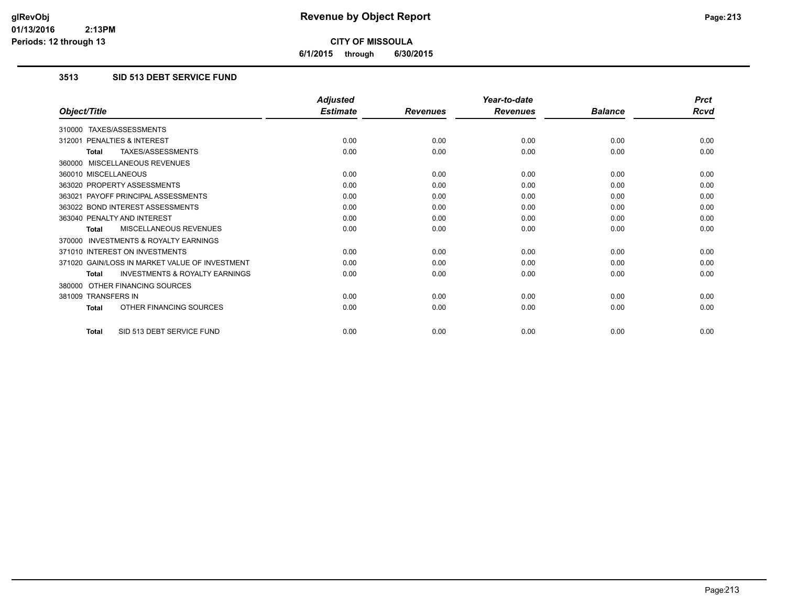**6/1/2015 through 6/30/2015**

# **3513 SID 513 DEBT SERVICE FUND**

|                                                           | <b>Adjusted</b> |                 | Year-to-date    |                | <b>Prct</b> |
|-----------------------------------------------------------|-----------------|-----------------|-----------------|----------------|-------------|
| Object/Title                                              | <b>Estimate</b> | <b>Revenues</b> | <b>Revenues</b> | <b>Balance</b> | <b>Rcvd</b> |
| 310000 TAXES/ASSESSMENTS                                  |                 |                 |                 |                |             |
| 312001 PENALTIES & INTEREST                               | 0.00            | 0.00            | 0.00            | 0.00           | 0.00        |
| <b>TAXES/ASSESSMENTS</b><br><b>Total</b>                  | 0.00            | 0.00            | 0.00            | 0.00           | 0.00        |
| 360000 MISCELLANEOUS REVENUES                             |                 |                 |                 |                |             |
| 360010 MISCELLANEOUS                                      | 0.00            | 0.00            | 0.00            | 0.00           | 0.00        |
| 363020 PROPERTY ASSESSMENTS                               | 0.00            | 0.00            | 0.00            | 0.00           | 0.00        |
| 363021 PAYOFF PRINCIPAL ASSESSMENTS                       | 0.00            | 0.00            | 0.00            | 0.00           | 0.00        |
| 363022 BOND INTEREST ASSESSMENTS                          | 0.00            | 0.00            | 0.00            | 0.00           | 0.00        |
| 363040 PENALTY AND INTEREST                               | 0.00            | 0.00            | 0.00            | 0.00           | 0.00        |
| MISCELLANEOUS REVENUES<br><b>Total</b>                    | 0.00            | 0.00            | 0.00            | 0.00           | 0.00        |
| <b>INVESTMENTS &amp; ROYALTY EARNINGS</b><br>370000       |                 |                 |                 |                |             |
| 371010 INTEREST ON INVESTMENTS                            | 0.00            | 0.00            | 0.00            | 0.00           | 0.00        |
| 371020 GAIN/LOSS IN MARKET VALUE OF INVESTMENT            | 0.00            | 0.00            | 0.00            | 0.00           | 0.00        |
| <b>INVESTMENTS &amp; ROYALTY EARNINGS</b><br><b>Total</b> | 0.00            | 0.00            | 0.00            | 0.00           | 0.00        |
| 380000 OTHER FINANCING SOURCES                            |                 |                 |                 |                |             |
| 381009 TRANSFERS IN                                       | 0.00            | 0.00            | 0.00            | 0.00           | 0.00        |
| OTHER FINANCING SOURCES<br><b>Total</b>                   | 0.00            | 0.00            | 0.00            | 0.00           | 0.00        |
| SID 513 DEBT SERVICE FUND<br><b>Total</b>                 | 0.00            | 0.00            | 0.00            | 0.00           | 0.00        |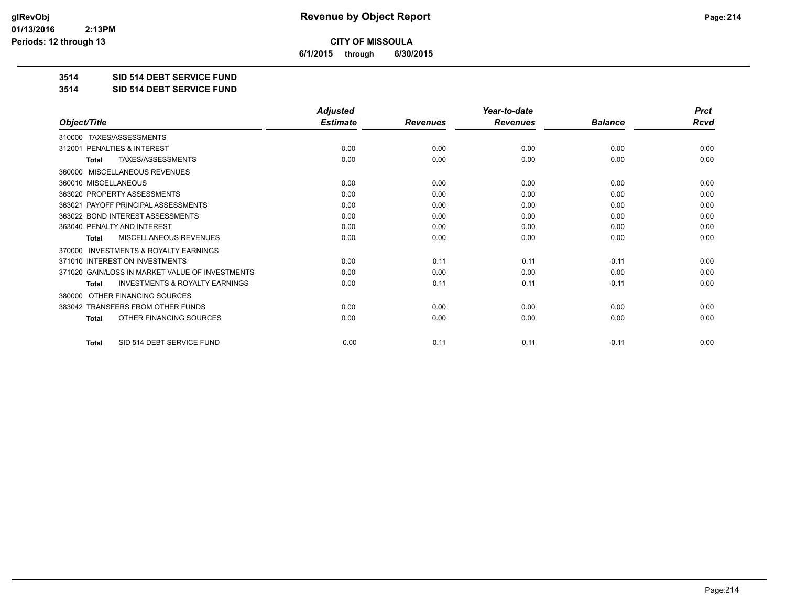**6/1/2015 through 6/30/2015**

**3514 SID 514 DEBT SERVICE FUND**

**3514 SID 514 DEBT SERVICE FUND**

|                                                           | <b>Adjusted</b> |                 | Year-to-date    |                | <b>Prct</b> |
|-----------------------------------------------------------|-----------------|-----------------|-----------------|----------------|-------------|
| Object/Title                                              | <b>Estimate</b> | <b>Revenues</b> | <b>Revenues</b> | <b>Balance</b> | <b>Rcvd</b> |
| TAXES/ASSESSMENTS<br>310000                               |                 |                 |                 |                |             |
| 312001 PENALTIES & INTEREST                               | 0.00            | 0.00            | 0.00            | 0.00           | 0.00        |
| TAXES/ASSESSMENTS<br><b>Total</b>                         | 0.00            | 0.00            | 0.00            | 0.00           | 0.00        |
| MISCELLANEOUS REVENUES<br>360000                          |                 |                 |                 |                |             |
| 360010 MISCELLANEOUS                                      | 0.00            | 0.00            | 0.00            | 0.00           | 0.00        |
| 363020 PROPERTY ASSESSMENTS                               | 0.00            | 0.00            | 0.00            | 0.00           | 0.00        |
| 363021 PAYOFF PRINCIPAL ASSESSMENTS                       | 0.00            | 0.00            | 0.00            | 0.00           | 0.00        |
| 363022 BOND INTEREST ASSESSMENTS                          | 0.00            | 0.00            | 0.00            | 0.00           | 0.00        |
| 363040 PENALTY AND INTEREST                               | 0.00            | 0.00            | 0.00            | 0.00           | 0.00        |
| <b>MISCELLANEOUS REVENUES</b><br><b>Total</b>             | 0.00            | 0.00            | 0.00            | 0.00           | 0.00        |
| <b>INVESTMENTS &amp; ROYALTY EARNINGS</b><br>370000       |                 |                 |                 |                |             |
| 371010 INTEREST ON INVESTMENTS                            | 0.00            | 0.11            | 0.11            | $-0.11$        | 0.00        |
| 371020 GAIN/LOSS IN MARKET VALUE OF INVESTMENTS           | 0.00            | 0.00            | 0.00            | 0.00           | 0.00        |
| <b>INVESTMENTS &amp; ROYALTY EARNINGS</b><br><b>Total</b> | 0.00            | 0.11            | 0.11            | $-0.11$        | 0.00        |
| OTHER FINANCING SOURCES<br>380000                         |                 |                 |                 |                |             |
| 383042 TRANSFERS FROM OTHER FUNDS                         | 0.00            | 0.00            | 0.00            | 0.00           | 0.00        |
| OTHER FINANCING SOURCES<br>Total                          | 0.00            | 0.00            | 0.00            | 0.00           | 0.00        |
| SID 514 DEBT SERVICE FUND<br><b>Total</b>                 | 0.00            | 0.11            | 0.11            | $-0.11$        | 0.00        |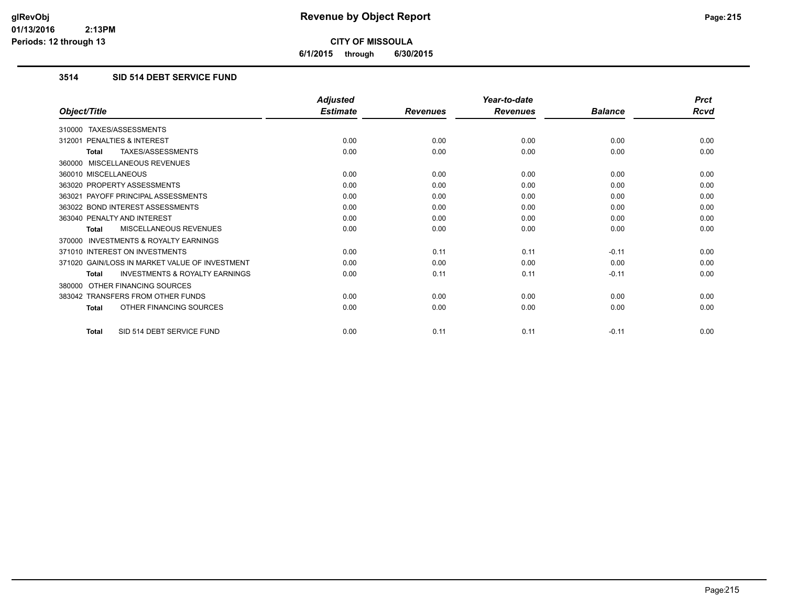**6/1/2015 through 6/30/2015**

# **3514 SID 514 DEBT SERVICE FUND**

|                                                           | <b>Adjusted</b> |                 | Year-to-date    |                | <b>Prct</b> |
|-----------------------------------------------------------|-----------------|-----------------|-----------------|----------------|-------------|
| Object/Title                                              | <b>Estimate</b> | <b>Revenues</b> | <b>Revenues</b> | <b>Balance</b> | Rcvd        |
| 310000 TAXES/ASSESSMENTS                                  |                 |                 |                 |                |             |
| 312001 PENALTIES & INTEREST                               | 0.00            | 0.00            | 0.00            | 0.00           | 0.00        |
| <b>TAXES/ASSESSMENTS</b><br><b>Total</b>                  | 0.00            | 0.00            | 0.00            | 0.00           | 0.00        |
| 360000 MISCELLANEOUS REVENUES                             |                 |                 |                 |                |             |
| 360010 MISCELLANEOUS                                      | 0.00            | 0.00            | 0.00            | 0.00           | 0.00        |
| 363020 PROPERTY ASSESSMENTS                               | 0.00            | 0.00            | 0.00            | 0.00           | 0.00        |
| 363021 PAYOFF PRINCIPAL ASSESSMENTS                       | 0.00            | 0.00            | 0.00            | 0.00           | 0.00        |
| 363022 BOND INTEREST ASSESSMENTS                          | 0.00            | 0.00            | 0.00            | 0.00           | 0.00        |
| 363040 PENALTY AND INTEREST                               | 0.00            | 0.00            | 0.00            | 0.00           | 0.00        |
| MISCELLANEOUS REVENUES<br><b>Total</b>                    | 0.00            | 0.00            | 0.00            | 0.00           | 0.00        |
| <b>INVESTMENTS &amp; ROYALTY EARNINGS</b><br>370000       |                 |                 |                 |                |             |
| 371010 INTEREST ON INVESTMENTS                            | 0.00            | 0.11            | 0.11            | $-0.11$        | 0.00        |
| 371020 GAIN/LOSS IN MARKET VALUE OF INVESTMENT            | 0.00            | 0.00            | 0.00            | 0.00           | 0.00        |
| <b>INVESTMENTS &amp; ROYALTY EARNINGS</b><br><b>Total</b> | 0.00            | 0.11            | 0.11            | $-0.11$        | 0.00        |
| OTHER FINANCING SOURCES<br>380000                         |                 |                 |                 |                |             |
| 383042 TRANSFERS FROM OTHER FUNDS                         | 0.00            | 0.00            | 0.00            | 0.00           | 0.00        |
| OTHER FINANCING SOURCES<br><b>Total</b>                   | 0.00            | 0.00            | 0.00            | 0.00           | 0.00        |
| SID 514 DEBT SERVICE FUND<br><b>Total</b>                 | 0.00            | 0.11            | 0.11            | $-0.11$        | 0.00        |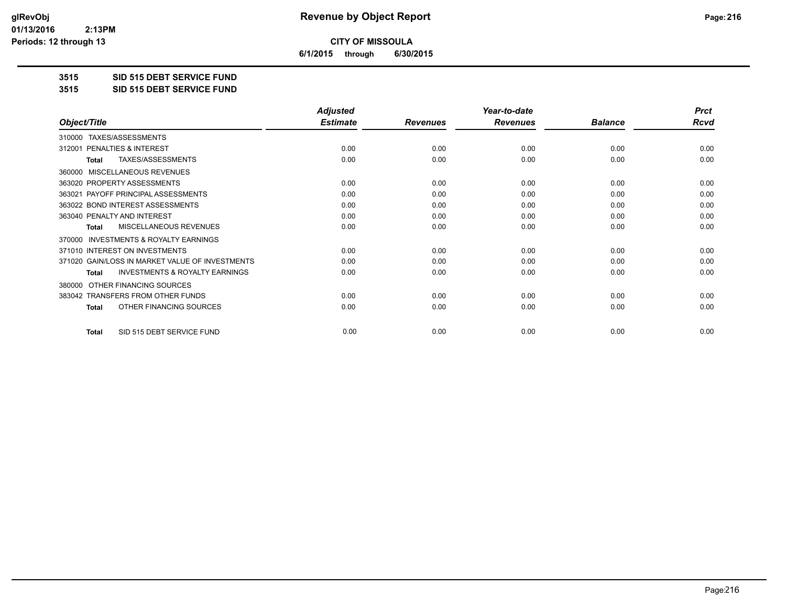**6/1/2015 through 6/30/2015**

**3515 SID 515 DEBT SERVICE FUND**

**3515 SID 515 DEBT SERVICE FUND**

|                                                     | <b>Adjusted</b> |                 | Year-to-date    |                | <b>Prct</b> |
|-----------------------------------------------------|-----------------|-----------------|-----------------|----------------|-------------|
| Object/Title                                        | <b>Estimate</b> | <b>Revenues</b> | <b>Revenues</b> | <b>Balance</b> | <b>Rcvd</b> |
| TAXES/ASSESSMENTS<br>310000                         |                 |                 |                 |                |             |
| PENALTIES & INTEREST<br>312001                      | 0.00            | 0.00            | 0.00            | 0.00           | 0.00        |
| TAXES/ASSESSMENTS<br>Total                          | 0.00            | 0.00            | 0.00            | 0.00           | 0.00        |
| MISCELLANEOUS REVENUES<br>360000                    |                 |                 |                 |                |             |
| 363020 PROPERTY ASSESSMENTS                         | 0.00            | 0.00            | 0.00            | 0.00           | 0.00        |
| 363021 PAYOFF PRINCIPAL ASSESSMENTS                 | 0.00            | 0.00            | 0.00            | 0.00           | 0.00        |
| 363022 BOND INTEREST ASSESSMENTS                    | 0.00            | 0.00            | 0.00            | 0.00           | 0.00        |
| 363040 PENALTY AND INTEREST                         | 0.00            | 0.00            | 0.00            | 0.00           | 0.00        |
| MISCELLANEOUS REVENUES<br><b>Total</b>              | 0.00            | 0.00            | 0.00            | 0.00           | 0.00        |
| <b>INVESTMENTS &amp; ROYALTY EARNINGS</b><br>370000 |                 |                 |                 |                |             |
| 371010 INTEREST ON INVESTMENTS                      | 0.00            | 0.00            | 0.00            | 0.00           | 0.00        |
| 371020 GAIN/LOSS IN MARKET VALUE OF INVESTMENTS     | 0.00            | 0.00            | 0.00            | 0.00           | 0.00        |
| <b>INVESTMENTS &amp; ROYALTY EARNINGS</b><br>Total  | 0.00            | 0.00            | 0.00            | 0.00           | 0.00        |
| OTHER FINANCING SOURCES<br>380000                   |                 |                 |                 |                |             |
| 383042 TRANSFERS FROM OTHER FUNDS                   | 0.00            | 0.00            | 0.00            | 0.00           | 0.00        |
| OTHER FINANCING SOURCES<br><b>Total</b>             | 0.00            | 0.00            | 0.00            | 0.00           | 0.00        |
|                                                     |                 |                 |                 |                |             |
| SID 515 DEBT SERVICE FUND<br><b>Total</b>           | 0.00            | 0.00            | 0.00            | 0.00           | 0.00        |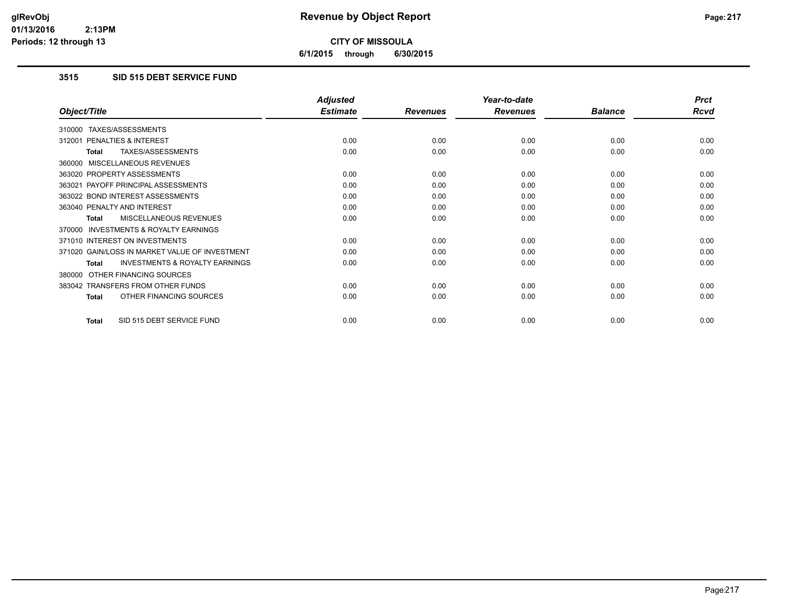**6/1/2015 through 6/30/2015**

## **3515 SID 515 DEBT SERVICE FUND**

|                                                           | <b>Adjusted</b> |                 | Year-to-date    |                | <b>Prct</b> |
|-----------------------------------------------------------|-----------------|-----------------|-----------------|----------------|-------------|
| Object/Title                                              | <b>Estimate</b> | <b>Revenues</b> | <b>Revenues</b> | <b>Balance</b> | <b>Rcvd</b> |
| TAXES/ASSESSMENTS<br>310000                               |                 |                 |                 |                |             |
| 312001 PENALTIES & INTEREST                               | 0.00            | 0.00            | 0.00            | 0.00           | 0.00        |
| TAXES/ASSESSMENTS<br><b>Total</b>                         | 0.00            | 0.00            | 0.00            | 0.00           | 0.00        |
| MISCELLANEOUS REVENUES<br>360000                          |                 |                 |                 |                |             |
| 363020 PROPERTY ASSESSMENTS                               | 0.00            | 0.00            | 0.00            | 0.00           | 0.00        |
| 363021 PAYOFF PRINCIPAL ASSESSMENTS                       | 0.00            | 0.00            | 0.00            | 0.00           | 0.00        |
| 363022 BOND INTEREST ASSESSMENTS                          | 0.00            | 0.00            | 0.00            | 0.00           | 0.00        |
| 363040 PENALTY AND INTEREST                               | 0.00            | 0.00            | 0.00            | 0.00           | 0.00        |
| MISCELLANEOUS REVENUES<br><b>Total</b>                    | 0.00            | 0.00            | 0.00            | 0.00           | 0.00        |
| <b>INVESTMENTS &amp; ROYALTY EARNINGS</b><br>370000       |                 |                 |                 |                |             |
| 371010 INTEREST ON INVESTMENTS                            | 0.00            | 0.00            | 0.00            | 0.00           | 0.00        |
| 371020 GAIN/LOSS IN MARKET VALUE OF INVESTMENT            | 0.00            | 0.00            | 0.00            | 0.00           | 0.00        |
| <b>INVESTMENTS &amp; ROYALTY EARNINGS</b><br><b>Total</b> | 0.00            | 0.00            | 0.00            | 0.00           | 0.00        |
| OTHER FINANCING SOURCES<br>380000                         |                 |                 |                 |                |             |
| 383042 TRANSFERS FROM OTHER FUNDS                         | 0.00            | 0.00            | 0.00            | 0.00           | 0.00        |
| OTHER FINANCING SOURCES<br><b>Total</b>                   | 0.00            | 0.00            | 0.00            | 0.00           | 0.00        |
| SID 515 DEBT SERVICE FUND<br>Total                        | 0.00            | 0.00            | 0.00            | 0.00           | 0.00        |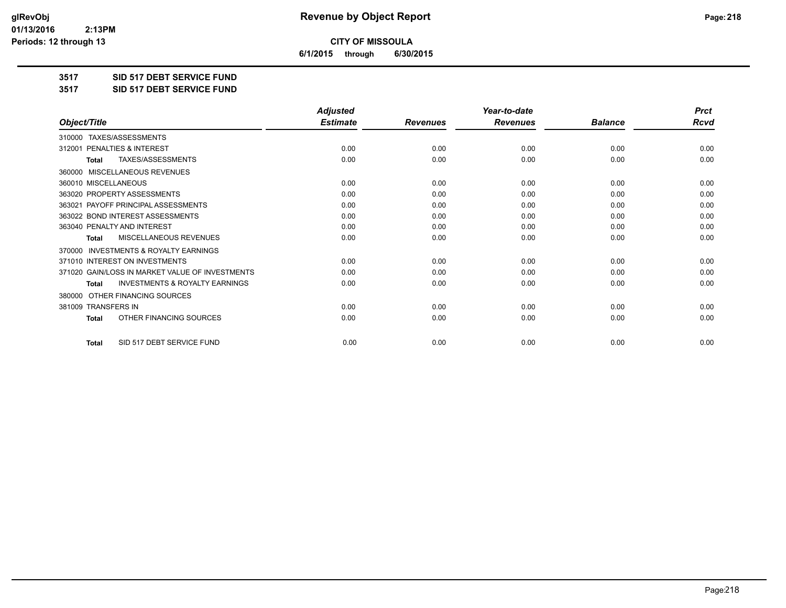**6/1/2015 through 6/30/2015**

**3517 SID 517 DEBT SERVICE FUND**

**3517 SID 517 DEBT SERVICE FUND**

|                                                           | <b>Adjusted</b> |                 | Year-to-date    |                | <b>Prct</b> |
|-----------------------------------------------------------|-----------------|-----------------|-----------------|----------------|-------------|
| Object/Title                                              | <b>Estimate</b> | <b>Revenues</b> | <b>Revenues</b> | <b>Balance</b> | Rcvd        |
| TAXES/ASSESSMENTS<br>310000                               |                 |                 |                 |                |             |
| PENALTIES & INTEREST<br>312001                            | 0.00            | 0.00            | 0.00            | 0.00           | 0.00        |
| TAXES/ASSESSMENTS<br>Total                                | 0.00            | 0.00            | 0.00            | 0.00           | 0.00        |
| MISCELLANEOUS REVENUES<br>360000                          |                 |                 |                 |                |             |
| 360010 MISCELLANEOUS                                      | 0.00            | 0.00            | 0.00            | 0.00           | 0.00        |
| 363020 PROPERTY ASSESSMENTS                               | 0.00            | 0.00            | 0.00            | 0.00           | 0.00        |
| 363021 PAYOFF PRINCIPAL ASSESSMENTS                       | 0.00            | 0.00            | 0.00            | 0.00           | 0.00        |
| 363022 BOND INTEREST ASSESSMENTS                          | 0.00            | 0.00            | 0.00            | 0.00           | 0.00        |
| 363040 PENALTY AND INTEREST                               | 0.00            | 0.00            | 0.00            | 0.00           | 0.00        |
| <b>MISCELLANEOUS REVENUES</b><br><b>Total</b>             | 0.00            | 0.00            | 0.00            | 0.00           | 0.00        |
| <b>INVESTMENTS &amp; ROYALTY EARNINGS</b><br>370000       |                 |                 |                 |                |             |
| 371010 INTEREST ON INVESTMENTS                            | 0.00            | 0.00            | 0.00            | 0.00           | 0.00        |
| 371020 GAIN/LOSS IN MARKET VALUE OF INVESTMENTS           | 0.00            | 0.00            | 0.00            | 0.00           | 0.00        |
| <b>INVESTMENTS &amp; ROYALTY EARNINGS</b><br><b>Total</b> | 0.00            | 0.00            | 0.00            | 0.00           | 0.00        |
| OTHER FINANCING SOURCES<br>380000                         |                 |                 |                 |                |             |
| 381009 TRANSFERS IN                                       | 0.00            | 0.00            | 0.00            | 0.00           | 0.00        |
| OTHER FINANCING SOURCES<br><b>Total</b>                   | 0.00            | 0.00            | 0.00            | 0.00           | 0.00        |
| SID 517 DEBT SERVICE FUND<br><b>Total</b>                 | 0.00            | 0.00            | 0.00            | 0.00           | 0.00        |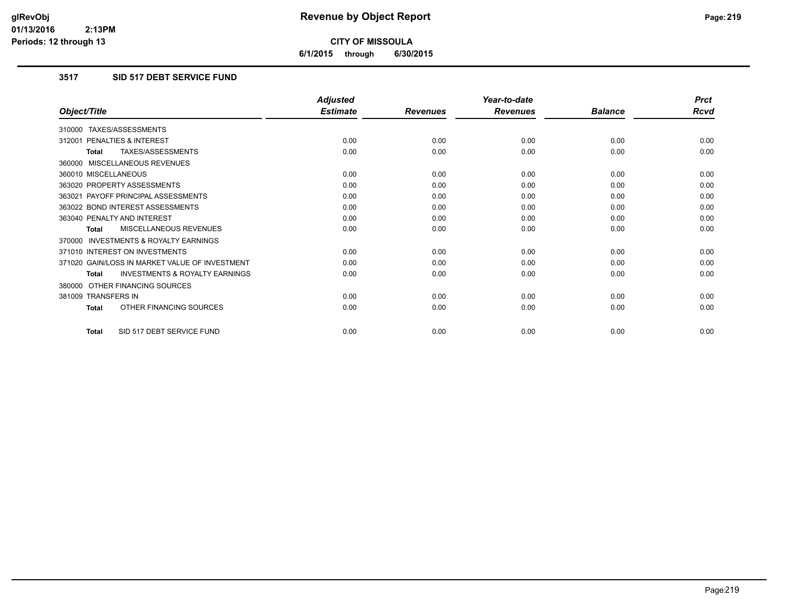**6/1/2015 through 6/30/2015**

## **3517 SID 517 DEBT SERVICE FUND**

|                                                           | <b>Adjusted</b> |                 | Year-to-date    |                | <b>Prct</b> |
|-----------------------------------------------------------|-----------------|-----------------|-----------------|----------------|-------------|
| Object/Title                                              | <b>Estimate</b> | <b>Revenues</b> | <b>Revenues</b> | <b>Balance</b> | <b>Rcvd</b> |
| 310000 TAXES/ASSESSMENTS                                  |                 |                 |                 |                |             |
| 312001 PENALTIES & INTEREST                               | 0.00            | 0.00            | 0.00            | 0.00           | 0.00        |
| TAXES/ASSESSMENTS<br><b>Total</b>                         | 0.00            | 0.00            | 0.00            | 0.00           | 0.00        |
| 360000 MISCELLANEOUS REVENUES                             |                 |                 |                 |                |             |
| 360010 MISCELLANEOUS                                      | 0.00            | 0.00            | 0.00            | 0.00           | 0.00        |
| 363020 PROPERTY ASSESSMENTS                               | 0.00            | 0.00            | 0.00            | 0.00           | 0.00        |
| 363021 PAYOFF PRINCIPAL ASSESSMENTS                       | 0.00            | 0.00            | 0.00            | 0.00           | 0.00        |
| 363022 BOND INTEREST ASSESSMENTS                          | 0.00            | 0.00            | 0.00            | 0.00           | 0.00        |
| 363040 PENALTY AND INTEREST                               | 0.00            | 0.00            | 0.00            | 0.00           | 0.00        |
| MISCELLANEOUS REVENUES<br><b>Total</b>                    | 0.00            | 0.00            | 0.00            | 0.00           | 0.00        |
| <b>INVESTMENTS &amp; ROYALTY EARNINGS</b><br>370000       |                 |                 |                 |                |             |
| 371010 INTEREST ON INVESTMENTS                            | 0.00            | 0.00            | 0.00            | 0.00           | 0.00        |
| 371020 GAIN/LOSS IN MARKET VALUE OF INVESTMENT            | 0.00            | 0.00            | 0.00            | 0.00           | 0.00        |
| <b>INVESTMENTS &amp; ROYALTY EARNINGS</b><br><b>Total</b> | 0.00            | 0.00            | 0.00            | 0.00           | 0.00        |
| 380000 OTHER FINANCING SOURCES                            |                 |                 |                 |                |             |
| 381009 TRANSFERS IN                                       | 0.00            | 0.00            | 0.00            | 0.00           | 0.00        |
| OTHER FINANCING SOURCES<br>Total                          | 0.00            | 0.00            | 0.00            | 0.00           | 0.00        |
| SID 517 DEBT SERVICE FUND<br>Total                        | 0.00            | 0.00            | 0.00            | 0.00           | 0.00        |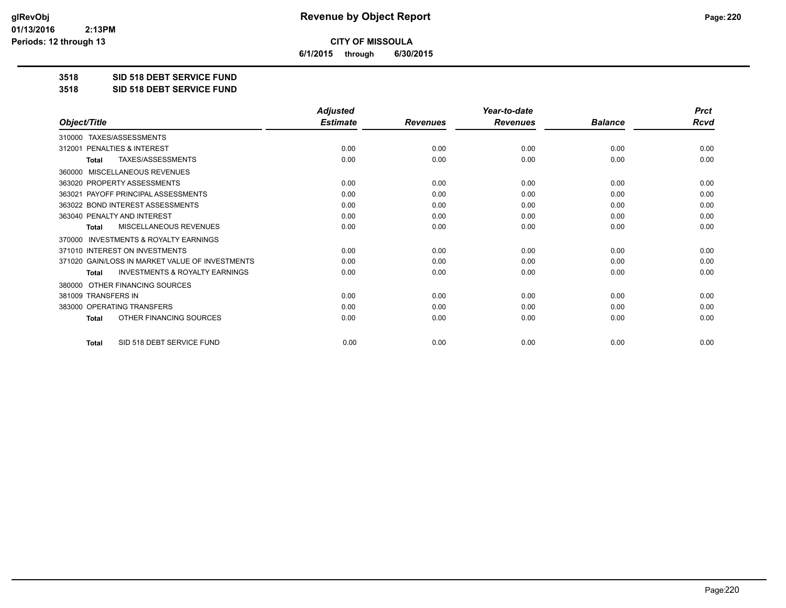**6/1/2015 through 6/30/2015**

**3518 SID 518 DEBT SERVICE FUND**

**3518 SID 518 DEBT SERVICE FUND**

|                                                           | <b>Adjusted</b> |                 | Year-to-date    |                | <b>Prct</b> |
|-----------------------------------------------------------|-----------------|-----------------|-----------------|----------------|-------------|
| Object/Title                                              | <b>Estimate</b> | <b>Revenues</b> | <b>Revenues</b> | <b>Balance</b> | <b>Rcvd</b> |
| 310000 TAXES/ASSESSMENTS                                  |                 |                 |                 |                |             |
| PENALTIES & INTEREST<br>312001                            | 0.00            | 0.00            | 0.00            | 0.00           | 0.00        |
| TAXES/ASSESSMENTS<br><b>Total</b>                         | 0.00            | 0.00            | 0.00            | 0.00           | 0.00        |
| <b>MISCELLANEOUS REVENUES</b><br>360000                   |                 |                 |                 |                |             |
| 363020 PROPERTY ASSESSMENTS                               | 0.00            | 0.00            | 0.00            | 0.00           | 0.00        |
| 363021 PAYOFF PRINCIPAL ASSESSMENTS                       | 0.00            | 0.00            | 0.00            | 0.00           | 0.00        |
| 363022 BOND INTEREST ASSESSMENTS                          | 0.00            | 0.00            | 0.00            | 0.00           | 0.00        |
| 363040 PENALTY AND INTEREST                               | 0.00            | 0.00            | 0.00            | 0.00           | 0.00        |
| <b>MISCELLANEOUS REVENUES</b><br><b>Total</b>             | 0.00            | 0.00            | 0.00            | 0.00           | 0.00        |
| <b>INVESTMENTS &amp; ROYALTY EARNINGS</b><br>370000       |                 |                 |                 |                |             |
| 371010 INTEREST ON INVESTMENTS                            | 0.00            | 0.00            | 0.00            | 0.00           | 0.00        |
| 371020 GAIN/LOSS IN MARKET VALUE OF INVESTMENTS           | 0.00            | 0.00            | 0.00            | 0.00           | 0.00        |
| <b>INVESTMENTS &amp; ROYALTY EARNINGS</b><br><b>Total</b> | 0.00            | 0.00            | 0.00            | 0.00           | 0.00        |
| OTHER FINANCING SOURCES<br>380000                         |                 |                 |                 |                |             |
| 381009 TRANSFERS IN                                       | 0.00            | 0.00            | 0.00            | 0.00           | 0.00        |
| 383000 OPERATING TRANSFERS                                | 0.00            | 0.00            | 0.00            | 0.00           | 0.00        |
| OTHER FINANCING SOURCES<br><b>Total</b>                   | 0.00            | 0.00            | 0.00            | 0.00           | 0.00        |
| SID 518 DEBT SERVICE FUND<br><b>Total</b>                 | 0.00            | 0.00            | 0.00            | 0.00           | 0.00        |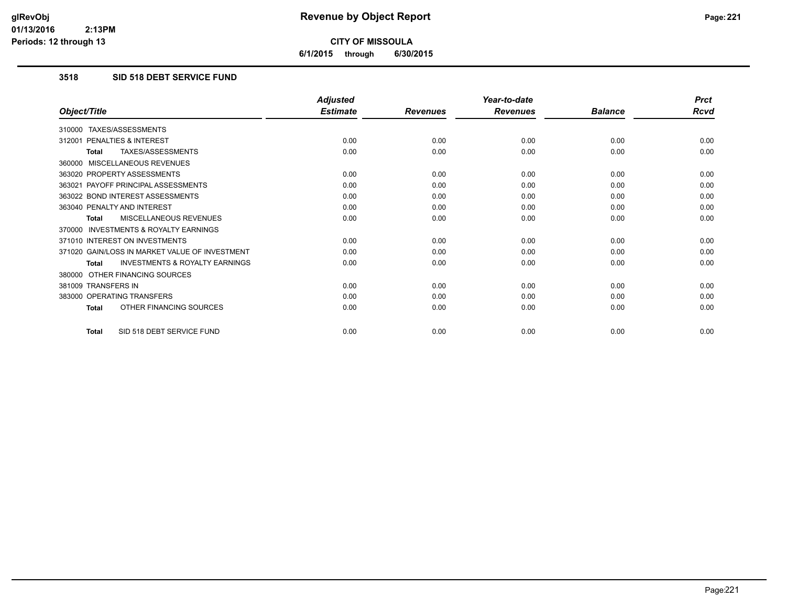**6/1/2015 through 6/30/2015**

## **3518 SID 518 DEBT SERVICE FUND**

|                                                           | <b>Adjusted</b> |                 | Year-to-date    |                | <b>Prct</b> |
|-----------------------------------------------------------|-----------------|-----------------|-----------------|----------------|-------------|
| Object/Title                                              | <b>Estimate</b> | <b>Revenues</b> | <b>Revenues</b> | <b>Balance</b> | <b>Rcvd</b> |
| 310000 TAXES/ASSESSMENTS                                  |                 |                 |                 |                |             |
| 312001 PENALTIES & INTEREST                               | 0.00            | 0.00            | 0.00            | 0.00           | 0.00        |
| <b>TAXES/ASSESSMENTS</b><br><b>Total</b>                  | 0.00            | 0.00            | 0.00            | 0.00           | 0.00        |
| 360000 MISCELLANEOUS REVENUES                             |                 |                 |                 |                |             |
| 363020 PROPERTY ASSESSMENTS                               | 0.00            | 0.00            | 0.00            | 0.00           | 0.00        |
| 363021 PAYOFF PRINCIPAL ASSESSMENTS                       | 0.00            | 0.00            | 0.00            | 0.00           | 0.00        |
| 363022 BOND INTEREST ASSESSMENTS                          | 0.00            | 0.00            | 0.00            | 0.00           | 0.00        |
| 363040 PENALTY AND INTEREST                               | 0.00            | 0.00            | 0.00            | 0.00           | 0.00        |
| MISCELLANEOUS REVENUES<br><b>Total</b>                    | 0.00            | 0.00            | 0.00            | 0.00           | 0.00        |
| <b>INVESTMENTS &amp; ROYALTY EARNINGS</b><br>370000       |                 |                 |                 |                |             |
| 371010 INTEREST ON INVESTMENTS                            | 0.00            | 0.00            | 0.00            | 0.00           | 0.00        |
| 371020 GAIN/LOSS IN MARKET VALUE OF INVESTMENT            | 0.00            | 0.00            | 0.00            | 0.00           | 0.00        |
| <b>INVESTMENTS &amp; ROYALTY EARNINGS</b><br><b>Total</b> | 0.00            | 0.00            | 0.00            | 0.00           | 0.00        |
| 380000 OTHER FINANCING SOURCES                            |                 |                 |                 |                |             |
| 381009 TRANSFERS IN                                       | 0.00            | 0.00            | 0.00            | 0.00           | 0.00        |
| 383000 OPERATING TRANSFERS                                | 0.00            | 0.00            | 0.00            | 0.00           | 0.00        |
| OTHER FINANCING SOURCES<br><b>Total</b>                   | 0.00            | 0.00            | 0.00            | 0.00           | 0.00        |
| SID 518 DEBT SERVICE FUND<br><b>Total</b>                 | 0.00            | 0.00            | 0.00            | 0.00           | 0.00        |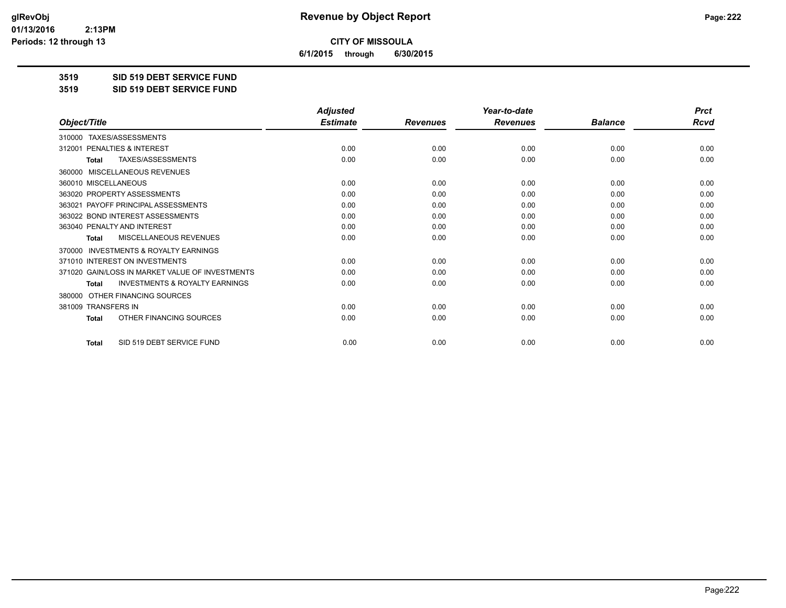**6/1/2015 through 6/30/2015**

**3519 SID 519 DEBT SERVICE FUND**

**3519 SID 519 DEBT SERVICE FUND**

|                                                           | <b>Adjusted</b> |                 | Year-to-date    |                | <b>Prct</b> |
|-----------------------------------------------------------|-----------------|-----------------|-----------------|----------------|-------------|
| Object/Title                                              | <b>Estimate</b> | <b>Revenues</b> | <b>Revenues</b> | <b>Balance</b> | <b>Rcvd</b> |
| 310000 TAXES/ASSESSMENTS                                  |                 |                 |                 |                |             |
| 312001 PENALTIES & INTEREST                               | 0.00            | 0.00            | 0.00            | 0.00           | 0.00        |
| TAXES/ASSESSMENTS<br><b>Total</b>                         | 0.00            | 0.00            | 0.00            | 0.00           | 0.00        |
| <b>MISCELLANEOUS REVENUES</b><br>360000                   |                 |                 |                 |                |             |
| 360010 MISCELLANEOUS                                      | 0.00            | 0.00            | 0.00            | 0.00           | 0.00        |
| 363020 PROPERTY ASSESSMENTS                               | 0.00            | 0.00            | 0.00            | 0.00           | 0.00        |
| 363021 PAYOFF PRINCIPAL ASSESSMENTS                       | 0.00            | 0.00            | 0.00            | 0.00           | 0.00        |
| 363022 BOND INTEREST ASSESSMENTS                          | 0.00            | 0.00            | 0.00            | 0.00           | 0.00        |
| 363040 PENALTY AND INTEREST                               | 0.00            | 0.00            | 0.00            | 0.00           | 0.00        |
| <b>MISCELLANEOUS REVENUES</b><br><b>Total</b>             | 0.00            | 0.00            | 0.00            | 0.00           | 0.00        |
| <b>INVESTMENTS &amp; ROYALTY EARNINGS</b><br>370000       |                 |                 |                 |                |             |
| 371010 INTEREST ON INVESTMENTS                            | 0.00            | 0.00            | 0.00            | 0.00           | 0.00        |
| 371020 GAIN/LOSS IN MARKET VALUE OF INVESTMENTS           | 0.00            | 0.00            | 0.00            | 0.00           | 0.00        |
| <b>INVESTMENTS &amp; ROYALTY EARNINGS</b><br><b>Total</b> | 0.00            | 0.00            | 0.00            | 0.00           | 0.00        |
| OTHER FINANCING SOURCES<br>380000                         |                 |                 |                 |                |             |
| 381009 TRANSFERS IN                                       | 0.00            | 0.00            | 0.00            | 0.00           | 0.00        |
| OTHER FINANCING SOURCES<br><b>Total</b>                   | 0.00            | 0.00            | 0.00            | 0.00           | 0.00        |
| SID 519 DEBT SERVICE FUND<br><b>Total</b>                 | 0.00            | 0.00            | 0.00            | 0.00           | 0.00        |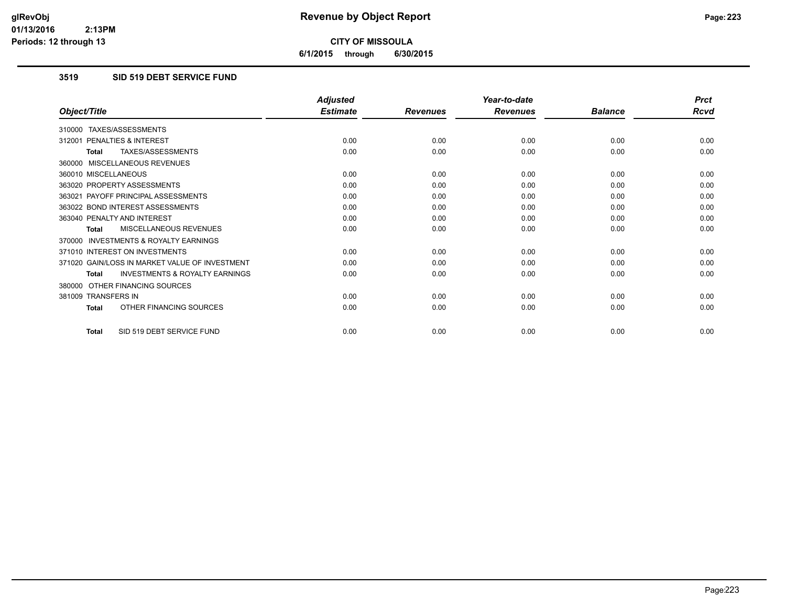**6/1/2015 through 6/30/2015**

## **3519 SID 519 DEBT SERVICE FUND**

|                                                           | <b>Adjusted</b> |                 | Year-to-date    |                | <b>Prct</b> |
|-----------------------------------------------------------|-----------------|-----------------|-----------------|----------------|-------------|
| Object/Title                                              | <b>Estimate</b> | <b>Revenues</b> | <b>Revenues</b> | <b>Balance</b> | <b>Rcvd</b> |
| 310000 TAXES/ASSESSMENTS                                  |                 |                 |                 |                |             |
| 312001 PENALTIES & INTEREST                               | 0.00            | 0.00            | 0.00            | 0.00           | 0.00        |
| TAXES/ASSESSMENTS<br><b>Total</b>                         | 0.00            | 0.00            | 0.00            | 0.00           | 0.00        |
| 360000 MISCELLANEOUS REVENUES                             |                 |                 |                 |                |             |
| 360010 MISCELLANEOUS                                      | 0.00            | 0.00            | 0.00            | 0.00           | 0.00        |
| 363020 PROPERTY ASSESSMENTS                               | 0.00            | 0.00            | 0.00            | 0.00           | 0.00        |
| 363021 PAYOFF PRINCIPAL ASSESSMENTS                       | 0.00            | 0.00            | 0.00            | 0.00           | 0.00        |
| 363022 BOND INTEREST ASSESSMENTS                          | 0.00            | 0.00            | 0.00            | 0.00           | 0.00        |
| 363040 PENALTY AND INTEREST                               | 0.00            | 0.00            | 0.00            | 0.00           | 0.00        |
| <b>MISCELLANEOUS REVENUES</b><br><b>Total</b>             | 0.00            | 0.00            | 0.00            | 0.00           | 0.00        |
| <b>INVESTMENTS &amp; ROYALTY EARNINGS</b><br>370000       |                 |                 |                 |                |             |
| 371010 INTEREST ON INVESTMENTS                            | 0.00            | 0.00            | 0.00            | 0.00           | 0.00        |
| 371020 GAIN/LOSS IN MARKET VALUE OF INVESTMENT            | 0.00            | 0.00            | 0.00            | 0.00           | 0.00        |
| <b>INVESTMENTS &amp; ROYALTY EARNINGS</b><br><b>Total</b> | 0.00            | 0.00            | 0.00            | 0.00           | 0.00        |
| 380000 OTHER FINANCING SOURCES                            |                 |                 |                 |                |             |
| 381009 TRANSFERS IN                                       | 0.00            | 0.00            | 0.00            | 0.00           | 0.00        |
| OTHER FINANCING SOURCES<br><b>Total</b>                   | 0.00            | 0.00            | 0.00            | 0.00           | 0.00        |
| SID 519 DEBT SERVICE FUND<br>Total                        | 0.00            | 0.00            | 0.00            | 0.00           | 0.00        |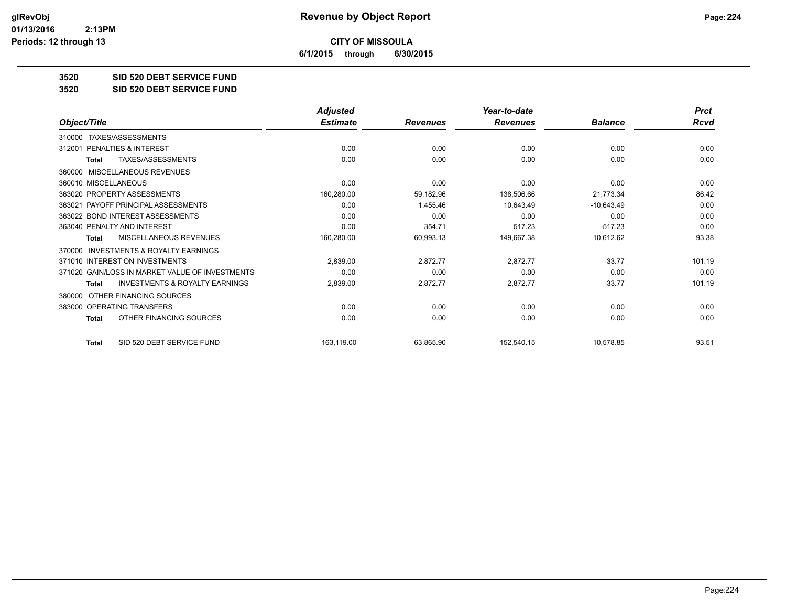**6/1/2015 through 6/30/2015**

**3520 SID 520 DEBT SERVICE FUND**

**3520 SID 520 DEBT SERVICE FUND**

|                                                           | <b>Adjusted</b> |                 | Year-to-date    |                | <b>Prct</b> |
|-----------------------------------------------------------|-----------------|-----------------|-----------------|----------------|-------------|
| Object/Title                                              | <b>Estimate</b> | <b>Revenues</b> | <b>Revenues</b> | <b>Balance</b> | <b>Rcvd</b> |
| TAXES/ASSESSMENTS<br>310000                               |                 |                 |                 |                |             |
| 312001 PENALTIES & INTEREST                               | 0.00            | 0.00            | 0.00            | 0.00           | 0.00        |
| <b>TAXES/ASSESSMENTS</b><br><b>Total</b>                  | 0.00            | 0.00            | 0.00            | 0.00           | 0.00        |
| MISCELLANEOUS REVENUES<br>360000                          |                 |                 |                 |                |             |
| 360010 MISCELLANEOUS                                      | 0.00            | 0.00            | 0.00            | 0.00           | 0.00        |
| 363020 PROPERTY ASSESSMENTS                               | 160,280.00      | 59,182.96       | 138,506.66      | 21,773.34      | 86.42       |
| 363021 PAYOFF PRINCIPAL ASSESSMENTS                       | 0.00            | 1,455.46        | 10,643.49       | $-10,643.49$   | 0.00        |
| 363022 BOND INTEREST ASSESSMENTS                          | 0.00            | 0.00            | 0.00            | 0.00           | 0.00        |
| 363040 PENALTY AND INTEREST                               | 0.00            | 354.71          | 517.23          | $-517.23$      | 0.00        |
| MISCELLANEOUS REVENUES<br><b>Total</b>                    | 160,280.00      | 60,993.13       | 149,667.38      | 10,612.62      | 93.38       |
| <b>INVESTMENTS &amp; ROYALTY EARNINGS</b><br>370000       |                 |                 |                 |                |             |
| 371010 INTEREST ON INVESTMENTS                            | 2,839.00        | 2,872.77        | 2,872.77        | $-33.77$       | 101.19      |
| 371020 GAIN/LOSS IN MARKET VALUE OF INVESTMENTS           | 0.00            | 0.00            | 0.00            | 0.00           | 0.00        |
| <b>INVESTMENTS &amp; ROYALTY EARNINGS</b><br><b>Total</b> | 2,839.00        | 2,872.77        | 2,872.77        | $-33.77$       | 101.19      |
| OTHER FINANCING SOURCES<br>380000                         |                 |                 |                 |                |             |
| 383000 OPERATING TRANSFERS                                | 0.00            | 0.00            | 0.00            | 0.00           | 0.00        |
| OTHER FINANCING SOURCES<br><b>Total</b>                   | 0.00            | 0.00            | 0.00            | 0.00           | 0.00        |
| SID 520 DEBT SERVICE FUND<br><b>Total</b>                 | 163,119.00      | 63,865.90       | 152,540.15      | 10,578.85      | 93.51       |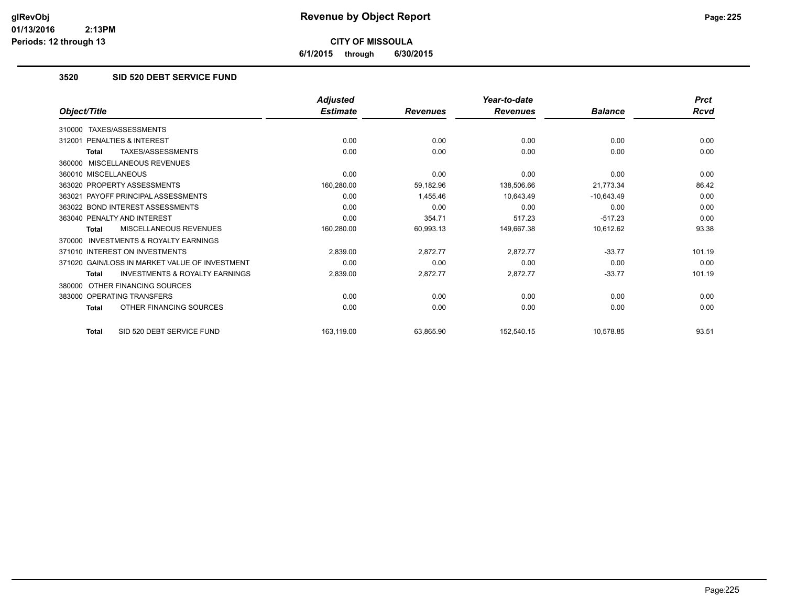**6/1/2015 through 6/30/2015**

## **3520 SID 520 DEBT SERVICE FUND**

|                                                           | <b>Adjusted</b> |                 | Year-to-date    |                | <b>Prct</b> |
|-----------------------------------------------------------|-----------------|-----------------|-----------------|----------------|-------------|
| Object/Title                                              | <b>Estimate</b> | <b>Revenues</b> | <b>Revenues</b> | <b>Balance</b> | Rcvd        |
| 310000 TAXES/ASSESSMENTS                                  |                 |                 |                 |                |             |
| PENALTIES & INTEREST<br>312001                            | 0.00            | 0.00            | 0.00            | 0.00           | 0.00        |
| TAXES/ASSESSMENTS<br><b>Total</b>                         | 0.00            | 0.00            | 0.00            | 0.00           | 0.00        |
| 360000 MISCELLANEOUS REVENUES                             |                 |                 |                 |                |             |
| 360010 MISCELLANEOUS                                      | 0.00            | 0.00            | 0.00            | 0.00           | 0.00        |
| 363020 PROPERTY ASSESSMENTS                               | 160,280.00      | 59,182.96       | 138,506.66      | 21,773.34      | 86.42       |
| 363021 PAYOFF PRINCIPAL ASSESSMENTS                       | 0.00            | 1,455.46        | 10,643.49       | $-10,643.49$   | 0.00        |
| 363022 BOND INTEREST ASSESSMENTS                          | 0.00            | 0.00            | 0.00            | 0.00           | 0.00        |
| 363040 PENALTY AND INTEREST                               | 0.00            | 354.71          | 517.23          | $-517.23$      | 0.00        |
| MISCELLANEOUS REVENUES<br><b>Total</b>                    | 160,280.00      | 60,993.13       | 149,667.38      | 10,612.62      | 93.38       |
| INVESTMENTS & ROYALTY EARNINGS<br>370000                  |                 |                 |                 |                |             |
| 371010 INTEREST ON INVESTMENTS                            | 2,839.00        | 2,872.77        | 2,872.77        | $-33.77$       | 101.19      |
| 371020 GAIN/LOSS IN MARKET VALUE OF INVESTMENT            | 0.00            | 0.00            | 0.00            | 0.00           | 0.00        |
| <b>INVESTMENTS &amp; ROYALTY EARNINGS</b><br><b>Total</b> | 2,839.00        | 2,872.77        | 2,872.77        | $-33.77$       | 101.19      |
| OTHER FINANCING SOURCES<br>380000                         |                 |                 |                 |                |             |
| 383000 OPERATING TRANSFERS                                | 0.00            | 0.00            | 0.00            | 0.00           | 0.00        |
| OTHER FINANCING SOURCES<br><b>Total</b>                   | 0.00            | 0.00            | 0.00            | 0.00           | 0.00        |
| SID 520 DEBT SERVICE FUND<br><b>Total</b>                 | 163,119.00      | 63,865.90       | 152,540.15      | 10,578.85      | 93.51       |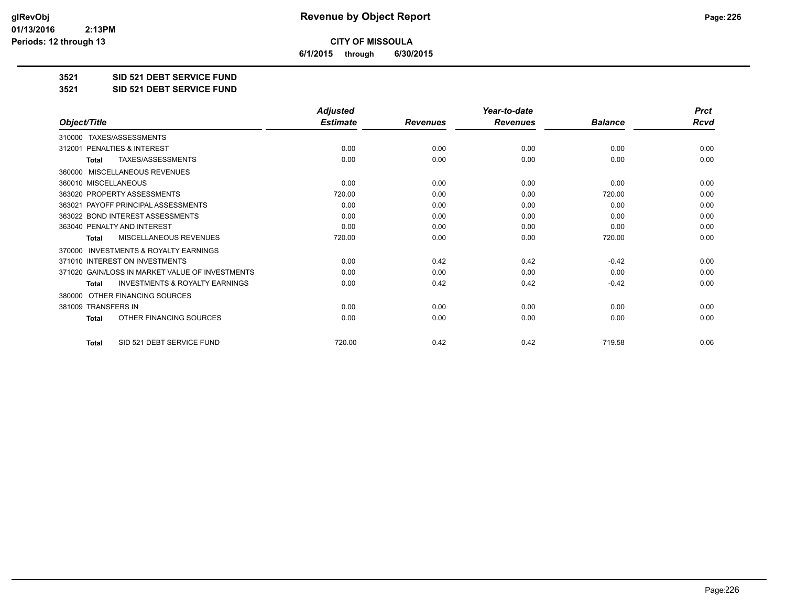**6/1/2015 through 6/30/2015**

**3521 SID 521 DEBT SERVICE FUND**

**3521 SID 521 DEBT SERVICE FUND**

|                                                           | <b>Adjusted</b> |                 | Year-to-date    |                | <b>Prct</b> |
|-----------------------------------------------------------|-----------------|-----------------|-----------------|----------------|-------------|
| Object/Title                                              | <b>Estimate</b> | <b>Revenues</b> | <b>Revenues</b> | <b>Balance</b> | Rcvd        |
| TAXES/ASSESSMENTS<br>310000                               |                 |                 |                 |                |             |
| PENALTIES & INTEREST<br>312001                            | 0.00            | 0.00            | 0.00            | 0.00           | 0.00        |
| TAXES/ASSESSMENTS<br><b>Total</b>                         | 0.00            | 0.00            | 0.00            | 0.00           | 0.00        |
| MISCELLANEOUS REVENUES<br>360000                          |                 |                 |                 |                |             |
| 360010 MISCELLANEOUS                                      | 0.00            | 0.00            | 0.00            | 0.00           | 0.00        |
| 363020 PROPERTY ASSESSMENTS                               | 720.00          | 0.00            | 0.00            | 720.00         | 0.00        |
| 363021 PAYOFF PRINCIPAL ASSESSMENTS                       | 0.00            | 0.00            | 0.00            | 0.00           | 0.00        |
| 363022 BOND INTEREST ASSESSMENTS                          | 0.00            | 0.00            | 0.00            | 0.00           | 0.00        |
| 363040 PENALTY AND INTEREST                               | 0.00            | 0.00            | 0.00            | 0.00           | 0.00        |
| <b>MISCELLANEOUS REVENUES</b><br>Total                    | 720.00          | 0.00            | 0.00            | 720.00         | 0.00        |
| <b>INVESTMENTS &amp; ROYALTY EARNINGS</b><br>370000       |                 |                 |                 |                |             |
| 371010 INTEREST ON INVESTMENTS                            | 0.00            | 0.42            | 0.42            | $-0.42$        | 0.00        |
| 371020 GAIN/LOSS IN MARKET VALUE OF INVESTMENTS           | 0.00            | 0.00            | 0.00            | 0.00           | 0.00        |
| <b>INVESTMENTS &amp; ROYALTY EARNINGS</b><br><b>Total</b> | 0.00            | 0.42            | 0.42            | $-0.42$        | 0.00        |
| OTHER FINANCING SOURCES<br>380000                         |                 |                 |                 |                |             |
| 381009 TRANSFERS IN                                       | 0.00            | 0.00            | 0.00            | 0.00           | 0.00        |
| OTHER FINANCING SOURCES<br><b>Total</b>                   | 0.00            | 0.00            | 0.00            | 0.00           | 0.00        |
| SID 521 DEBT SERVICE FUND<br><b>Total</b>                 | 720.00          | 0.42            | 0.42            | 719.58         | 0.06        |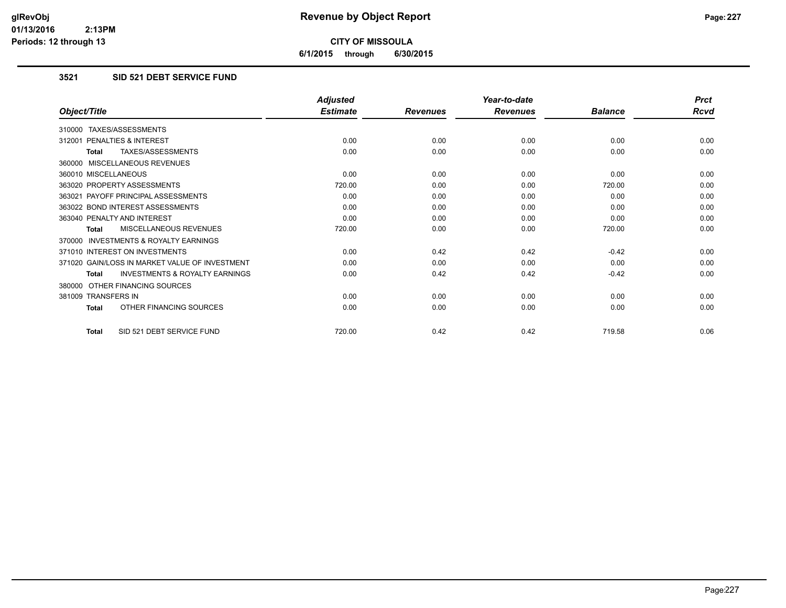**6/1/2015 through 6/30/2015**

## **3521 SID 521 DEBT SERVICE FUND**

|                                                           | <b>Adjusted</b> |                 | Year-to-date    |                | <b>Prct</b> |
|-----------------------------------------------------------|-----------------|-----------------|-----------------|----------------|-------------|
| Object/Title                                              | <b>Estimate</b> | <b>Revenues</b> | <b>Revenues</b> | <b>Balance</b> | <b>Rcvd</b> |
| 310000 TAXES/ASSESSMENTS                                  |                 |                 |                 |                |             |
| 312001 PENALTIES & INTEREST                               | 0.00            | 0.00            | 0.00            | 0.00           | 0.00        |
| <b>TAXES/ASSESSMENTS</b><br><b>Total</b>                  | 0.00            | 0.00            | 0.00            | 0.00           | 0.00        |
| 360000 MISCELLANEOUS REVENUES                             |                 |                 |                 |                |             |
| 360010 MISCELLANEOUS                                      | 0.00            | 0.00            | 0.00            | 0.00           | 0.00        |
| 363020 PROPERTY ASSESSMENTS                               | 720.00          | 0.00            | 0.00            | 720.00         | 0.00        |
| 363021 PAYOFF PRINCIPAL ASSESSMENTS                       | 0.00            | 0.00            | 0.00            | 0.00           | 0.00        |
| 363022 BOND INTEREST ASSESSMENTS                          | 0.00            | 0.00            | 0.00            | 0.00           | 0.00        |
| 363040 PENALTY AND INTEREST                               | 0.00            | 0.00            | 0.00            | 0.00           | 0.00        |
| <b>MISCELLANEOUS REVENUES</b><br><b>Total</b>             | 720.00          | 0.00            | 0.00            | 720.00         | 0.00        |
| <b>INVESTMENTS &amp; ROYALTY EARNINGS</b><br>370000       |                 |                 |                 |                |             |
| 371010 INTEREST ON INVESTMENTS                            | 0.00            | 0.42            | 0.42            | $-0.42$        | 0.00        |
| 371020 GAIN/LOSS IN MARKET VALUE OF INVESTMENT            | 0.00            | 0.00            | 0.00            | 0.00           | 0.00        |
| <b>INVESTMENTS &amp; ROYALTY EARNINGS</b><br><b>Total</b> | 0.00            | 0.42            | 0.42            | $-0.42$        | 0.00        |
| 380000 OTHER FINANCING SOURCES                            |                 |                 |                 |                |             |
| 381009 TRANSFERS IN                                       | 0.00            | 0.00            | 0.00            | 0.00           | 0.00        |
| OTHER FINANCING SOURCES<br><b>Total</b>                   | 0.00            | 0.00            | 0.00            | 0.00           | 0.00        |
| SID 521 DEBT SERVICE FUND<br>Total                        | 720.00          | 0.42            | 0.42            | 719.58         | 0.06        |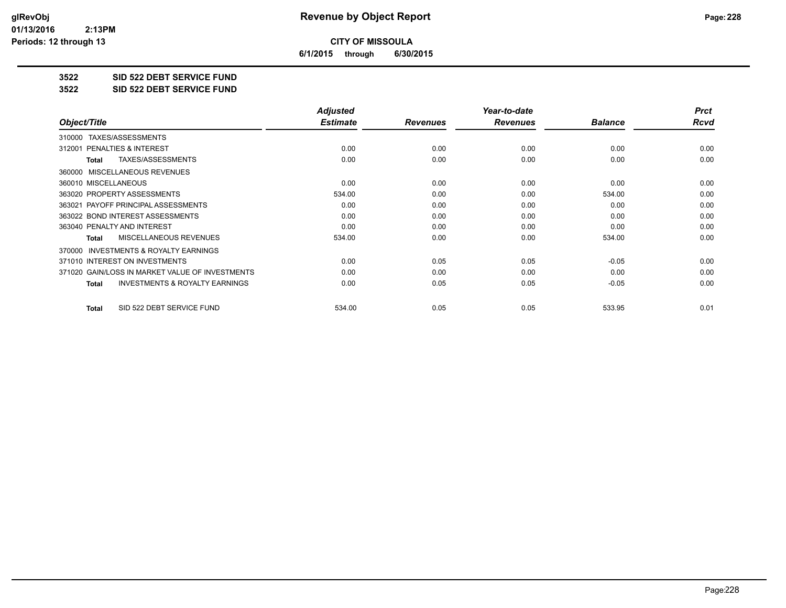**6/1/2015 through 6/30/2015**

**3522 SID 522 DEBT SERVICE FUND**

**3522 SID 522 DEBT SERVICE FUND**

|                                                    | <b>Adjusted</b> |                 | Year-to-date    |                | <b>Prct</b> |
|----------------------------------------------------|-----------------|-----------------|-----------------|----------------|-------------|
| Object/Title                                       | <b>Estimate</b> | <b>Revenues</b> | <b>Revenues</b> | <b>Balance</b> | Rcvd        |
| 310000 TAXES/ASSESSMENTS                           |                 |                 |                 |                |             |
| PENALTIES & INTEREST<br>312001                     | 0.00            | 0.00            | 0.00            | 0.00           | 0.00        |
| TAXES/ASSESSMENTS<br>Total                         | 0.00            | 0.00            | 0.00            | 0.00           | 0.00        |
| 360000 MISCELLANEOUS REVENUES                      |                 |                 |                 |                |             |
| 360010 MISCELLANEOUS                               | 0.00            | 0.00            | 0.00            | 0.00           | 0.00        |
| 363020 PROPERTY ASSESSMENTS                        | 534.00          | 0.00            | 0.00            | 534.00         | 0.00        |
| 363021 PAYOFF PRINCIPAL ASSESSMENTS                | 0.00            | 0.00            | 0.00            | 0.00           | 0.00        |
| 363022 BOND INTEREST ASSESSMENTS                   | 0.00            | 0.00            | 0.00            | 0.00           | 0.00        |
| 363040 PENALTY AND INTEREST                        | 0.00            | 0.00            | 0.00            | 0.00           | 0.00        |
| MISCELLANEOUS REVENUES<br>Total                    | 534.00          | 0.00            | 0.00            | 534.00         | 0.00        |
| 370000 INVESTMENTS & ROYALTY EARNINGS              |                 |                 |                 |                |             |
| 371010 INTEREST ON INVESTMENTS                     | 0.00            | 0.05            | 0.05            | $-0.05$        | 0.00        |
| 371020 GAIN/LOSS IN MARKET VALUE OF INVESTMENTS    | 0.00            | 0.00            | 0.00            | 0.00           | 0.00        |
| <b>INVESTMENTS &amp; ROYALTY EARNINGS</b><br>Total | 0.00            | 0.05            | 0.05            | $-0.05$        | 0.00        |
| SID 522 DEBT SERVICE FUND<br><b>Total</b>          | 534.00          | 0.05            | 0.05            | 533.95         | 0.01        |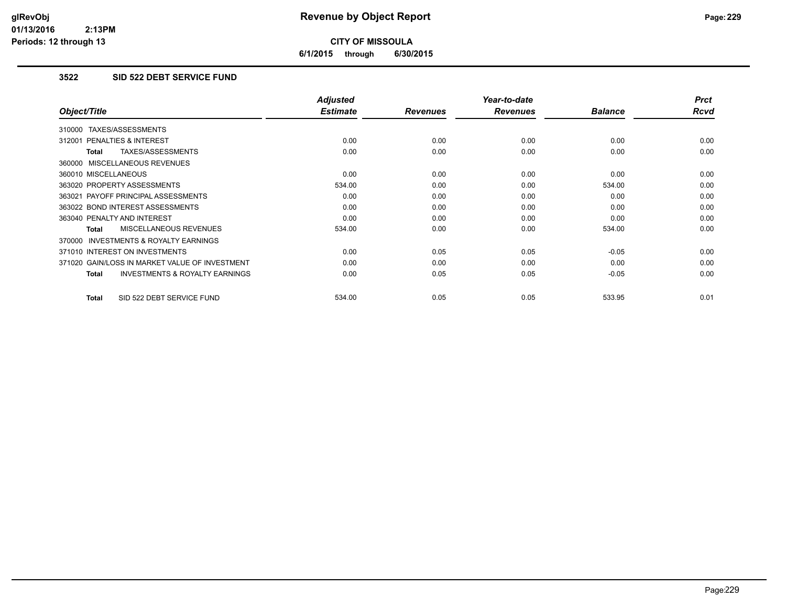**6/1/2015 through 6/30/2015**

## **3522 SID 522 DEBT SERVICE FUND**

|                                                           | <b>Adjusted</b> |                 | Year-to-date    |                | <b>Prct</b> |
|-----------------------------------------------------------|-----------------|-----------------|-----------------|----------------|-------------|
| Object/Title                                              | <b>Estimate</b> | <b>Revenues</b> | <b>Revenues</b> | <b>Balance</b> | <b>Rcvd</b> |
| 310000 TAXES/ASSESSMENTS                                  |                 |                 |                 |                |             |
| 312001 PENALTIES & INTEREST                               | 0.00            | 0.00            | 0.00            | 0.00           | 0.00        |
| TAXES/ASSESSMENTS<br><b>Total</b>                         | 0.00            | 0.00            | 0.00            | 0.00           | 0.00        |
| 360000 MISCELLANEOUS REVENUES                             |                 |                 |                 |                |             |
| 360010 MISCELLANEOUS                                      | 0.00            | 0.00            | 0.00            | 0.00           | 0.00        |
| 363020 PROPERTY ASSESSMENTS                               | 534.00          | 0.00            | 0.00            | 534.00         | 0.00        |
| 363021 PAYOFF PRINCIPAL ASSESSMENTS                       | 0.00            | 0.00            | 0.00            | 0.00           | 0.00        |
| 363022 BOND INTEREST ASSESSMENTS                          | 0.00            | 0.00            | 0.00            | 0.00           | 0.00        |
| 363040 PENALTY AND INTEREST                               | 0.00            | 0.00            | 0.00            | 0.00           | 0.00        |
| MISCELLANEOUS REVENUES<br><b>Total</b>                    | 534.00          | 0.00            | 0.00            | 534.00         | 0.00        |
| <b>INVESTMENTS &amp; ROYALTY EARNINGS</b><br>370000       |                 |                 |                 |                |             |
| 371010 INTEREST ON INVESTMENTS                            | 0.00            | 0.05            | 0.05            | $-0.05$        | 0.00        |
| 371020 GAIN/LOSS IN MARKET VALUE OF INVESTMENT            | 0.00            | 0.00            | 0.00            | 0.00           | 0.00        |
| <b>INVESTMENTS &amp; ROYALTY EARNINGS</b><br><b>Total</b> | 0.00            | 0.05            | 0.05            | $-0.05$        | 0.00        |
| SID 522 DEBT SERVICE FUND<br><b>Total</b>                 | 534.00          | 0.05            | 0.05            | 533.95         | 0.01        |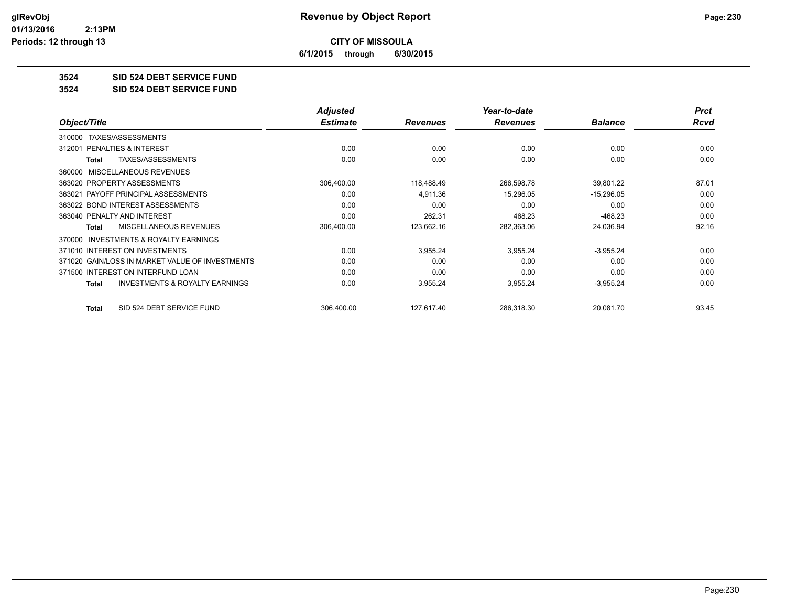**6/1/2015 through 6/30/2015**

**3524 SID 524 DEBT SERVICE FUND**

**3524 SID 524 DEBT SERVICE FUND**

|                                                     | <b>Adjusted</b> |                 | Year-to-date    |                | <b>Prct</b> |
|-----------------------------------------------------|-----------------|-----------------|-----------------|----------------|-------------|
| Object/Title                                        | <b>Estimate</b> | <b>Revenues</b> | <b>Revenues</b> | <b>Balance</b> | <b>Rcvd</b> |
| TAXES/ASSESSMENTS<br>310000                         |                 |                 |                 |                |             |
| 312001 PENALTIES & INTEREST                         | 0.00            | 0.00            | 0.00            | 0.00           | 0.00        |
| TAXES/ASSESSMENTS<br>Total                          | 0.00            | 0.00            | 0.00            | 0.00           | 0.00        |
| <b>MISCELLANEOUS REVENUES</b><br>360000             |                 |                 |                 |                |             |
| 363020 PROPERTY ASSESSMENTS                         | 306,400.00      | 118,488.49      | 266,598.78      | 39,801.22      | 87.01       |
| 363021 PAYOFF PRINCIPAL ASSESSMENTS                 | 0.00            | 4.911.36        | 15,296.05       | $-15,296.05$   | 0.00        |
| 363022 BOND INTEREST ASSESSMENTS                    | 0.00            | 0.00            | 0.00            | 0.00           | 0.00        |
| 363040 PENALTY AND INTEREST                         | 0.00            | 262.31          | 468.23          | $-468.23$      | 0.00        |
| MISCELLANEOUS REVENUES<br>Total                     | 306,400.00      | 123,662.16      | 282,363.06      | 24,036.94      | 92.16       |
| <b>INVESTMENTS &amp; ROYALTY EARNINGS</b><br>370000 |                 |                 |                 |                |             |
| 371010 INTEREST ON INVESTMENTS                      | 0.00            | 3,955.24        | 3,955.24        | $-3,955.24$    | 0.00        |
| 371020 GAIN/LOSS IN MARKET VALUE OF INVESTMENTS     | 0.00            | 0.00            | 0.00            | 0.00           | 0.00        |
| 371500 INTEREST ON INTERFUND LOAN                   | 0.00            | 0.00            | 0.00            | 0.00           | 0.00        |
| <b>INVESTMENTS &amp; ROYALTY EARNINGS</b><br>Total  | 0.00            | 3,955.24        | 3,955.24        | $-3,955.24$    | 0.00        |
| SID 524 DEBT SERVICE FUND<br><b>Total</b>           | 306,400.00      | 127,617.40      | 286,318.30      | 20,081.70      | 93.45       |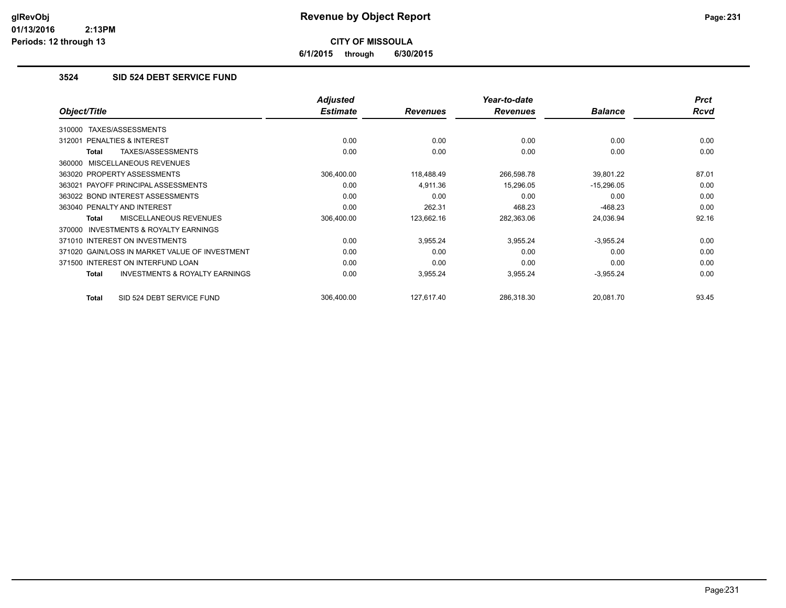**6/1/2015 through 6/30/2015**

## **3524 SID 524 DEBT SERVICE FUND**

|                                                     | <b>Adjusted</b> |                 | Year-to-date    |                | <b>Prct</b> |
|-----------------------------------------------------|-----------------|-----------------|-----------------|----------------|-------------|
| Object/Title                                        | <b>Estimate</b> | <b>Revenues</b> | <b>Revenues</b> | <b>Balance</b> | Rcvd        |
| TAXES/ASSESSMENTS<br>310000                         |                 |                 |                 |                |             |
| 312001 PENALTIES & INTEREST                         | 0.00            | 0.00            | 0.00            | 0.00           | 0.00        |
| TAXES/ASSESSMENTS<br>Total                          | 0.00            | 0.00            | 0.00            | 0.00           | 0.00        |
| 360000 MISCELLANEOUS REVENUES                       |                 |                 |                 |                |             |
| 363020 PROPERTY ASSESSMENTS                         | 306,400.00      | 118,488.49      | 266,598.78      | 39,801.22      | 87.01       |
| 363021 PAYOFF PRINCIPAL ASSESSMENTS                 | 0.00            | 4,911.36        | 15,296.05       | $-15,296.05$   | 0.00        |
| 363022 BOND INTEREST ASSESSMENTS                    | 0.00            | 0.00            | 0.00            | 0.00           | 0.00        |
| 363040 PENALTY AND INTEREST                         | 0.00            | 262.31          | 468.23          | $-468.23$      | 0.00        |
| <b>MISCELLANEOUS REVENUES</b><br><b>Total</b>       | 306,400.00      | 123,662.16      | 282,363.06      | 24,036.94      | 92.16       |
| <b>INVESTMENTS &amp; ROYALTY EARNINGS</b><br>370000 |                 |                 |                 |                |             |
| 371010 INTEREST ON INVESTMENTS                      | 0.00            | 3,955.24        | 3,955.24        | $-3,955.24$    | 0.00        |
| 371020 GAIN/LOSS IN MARKET VALUE OF INVESTMENT      | 0.00            | 0.00            | 0.00            | 0.00           | 0.00        |
| 371500 INTEREST ON INTERFUND LOAN                   | 0.00            | 0.00            | 0.00            | 0.00           | 0.00        |
| <b>INVESTMENTS &amp; ROYALTY EARNINGS</b><br>Total  | 0.00            | 3,955.24        | 3,955.24        | $-3,955.24$    | 0.00        |
| SID 524 DEBT SERVICE FUND<br>Total                  | 306.400.00      | 127,617.40      | 286,318.30      | 20.081.70      | 93.45       |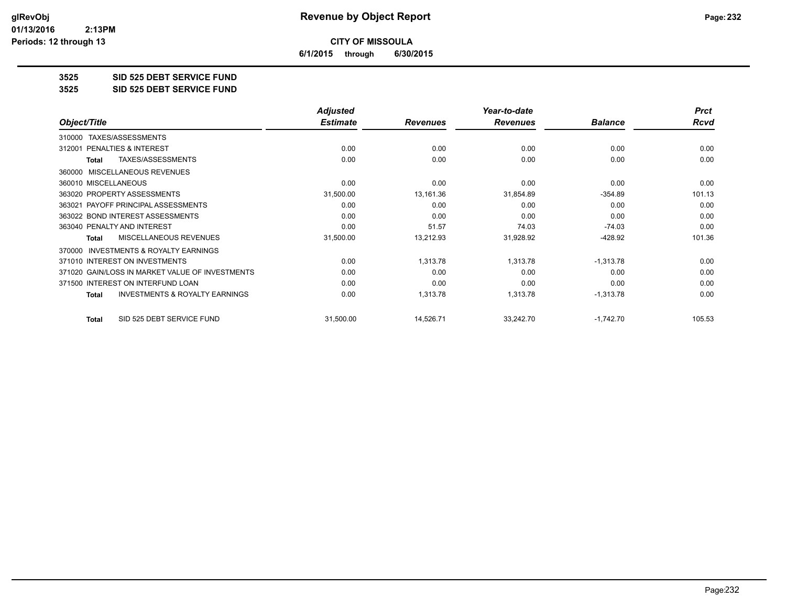**6/1/2015 through 6/30/2015**

**3525 SID 525 DEBT SERVICE FUND**

**3525 SID 525 DEBT SERVICE FUND**

|                                                           | <b>Adjusted</b> |                 | Year-to-date    |                | <b>Prct</b> |
|-----------------------------------------------------------|-----------------|-----------------|-----------------|----------------|-------------|
| Object/Title                                              | <b>Estimate</b> | <b>Revenues</b> | <b>Revenues</b> | <b>Balance</b> | <b>Rcvd</b> |
| TAXES/ASSESSMENTS<br>310000                               |                 |                 |                 |                |             |
| <b>PENALTIES &amp; INTEREST</b><br>312001                 | 0.00            | 0.00            | 0.00            | 0.00           | 0.00        |
| TAXES/ASSESSMENTS<br><b>Total</b>                         | 0.00            | 0.00            | 0.00            | 0.00           | 0.00        |
| MISCELLANEOUS REVENUES<br>360000                          |                 |                 |                 |                |             |
| 360010 MISCELLANEOUS                                      | 0.00            | 0.00            | 0.00            | 0.00           | 0.00        |
| 363020 PROPERTY ASSESSMENTS                               | 31,500.00       | 13,161.36       | 31,854.89       | $-354.89$      | 101.13      |
| 363021 PAYOFF PRINCIPAL ASSESSMENTS                       | 0.00            | 0.00            | 0.00            | 0.00           | 0.00        |
| 363022 BOND INTEREST ASSESSMENTS                          | 0.00            | 0.00            | 0.00            | 0.00           | 0.00        |
| 363040 PENALTY AND INTEREST                               | 0.00            | 51.57           | 74.03           | $-74.03$       | 0.00        |
| <b>MISCELLANEOUS REVENUES</b><br><b>Total</b>             | 31,500.00       | 13,212.93       | 31,928.92       | $-428.92$      | 101.36      |
| <b>INVESTMENTS &amp; ROYALTY EARNINGS</b><br>370000       |                 |                 |                 |                |             |
| 371010 INTEREST ON INVESTMENTS                            | 0.00            | 1,313.78        | 1,313.78        | $-1,313.78$    | 0.00        |
| 371020 GAIN/LOSS IN MARKET VALUE OF INVESTMENTS           | 0.00            | 0.00            | 0.00            | 0.00           | 0.00        |
| 371500 INTEREST ON INTERFUND LOAN                         | 0.00            | 0.00            | 0.00            | 0.00           | 0.00        |
| <b>INVESTMENTS &amp; ROYALTY EARNINGS</b><br><b>Total</b> | 0.00            | 1,313.78        | 1,313.78        | $-1,313.78$    | 0.00        |
| SID 525 DEBT SERVICE FUND<br><b>Total</b>                 | 31,500.00       | 14,526.71       | 33,242.70       | $-1,742.70$    | 105.53      |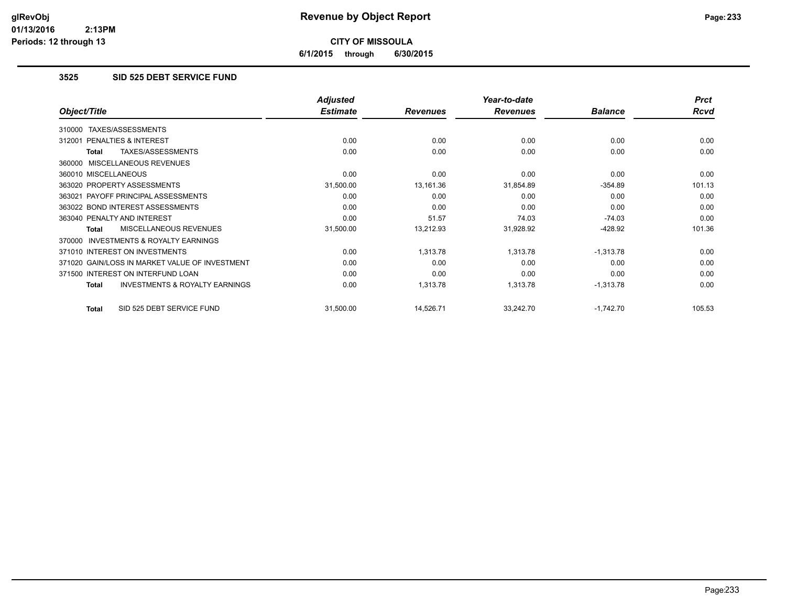**6/1/2015 through 6/30/2015**

## **3525 SID 525 DEBT SERVICE FUND**

|                                                    | <b>Adjusted</b> |                 | Year-to-date    |                | <b>Prct</b> |
|----------------------------------------------------|-----------------|-----------------|-----------------|----------------|-------------|
| Object/Title                                       | <b>Estimate</b> | <b>Revenues</b> | <b>Revenues</b> | <b>Balance</b> | Rcvd        |
| TAXES/ASSESSMENTS<br>310000                        |                 |                 |                 |                |             |
| 312001 PENALTIES & INTEREST                        | 0.00            | 0.00            | 0.00            | 0.00           | 0.00        |
| TAXES/ASSESSMENTS<br>Total                         | 0.00            | 0.00            | 0.00            | 0.00           | 0.00        |
| 360000 MISCELLANEOUS REVENUES                      |                 |                 |                 |                |             |
| 360010 MISCELLANEOUS                               | 0.00            | 0.00            | 0.00            | 0.00           | 0.00        |
| 363020 PROPERTY ASSESSMENTS                        | 31,500.00       | 13,161.36       | 31,854.89       | $-354.89$      | 101.13      |
| 363021 PAYOFF PRINCIPAL ASSESSMENTS                | 0.00            | 0.00            | 0.00            | 0.00           | 0.00        |
| 363022 BOND INTEREST ASSESSMENTS                   | 0.00            | 0.00            | 0.00            | 0.00           | 0.00        |
| 363040 PENALTY AND INTEREST                        | 0.00            | 51.57           | 74.03           | $-74.03$       | 0.00        |
| MISCELLANEOUS REVENUES<br>Total                    | 31,500.00       | 13,212.93       | 31,928.92       | $-428.92$      | 101.36      |
| 370000 INVESTMENTS & ROYALTY EARNINGS              |                 |                 |                 |                |             |
| 371010 INTEREST ON INVESTMENTS                     | 0.00            | 1,313.78        | 1,313.78        | $-1,313.78$    | 0.00        |
| 371020 GAIN/LOSS IN MARKET VALUE OF INVESTMENT     | 0.00            | 0.00            | 0.00            | 0.00           | 0.00        |
| 371500 INTEREST ON INTERFUND LOAN                  | 0.00            | 0.00            | 0.00            | 0.00           | 0.00        |
| <b>INVESTMENTS &amp; ROYALTY EARNINGS</b><br>Total | 0.00            | 1,313.78        | 1,313.78        | $-1,313.78$    | 0.00        |
| SID 525 DEBT SERVICE FUND<br>Total                 | 31,500.00       | 14,526.71       | 33,242.70       | $-1,742.70$    | 105.53      |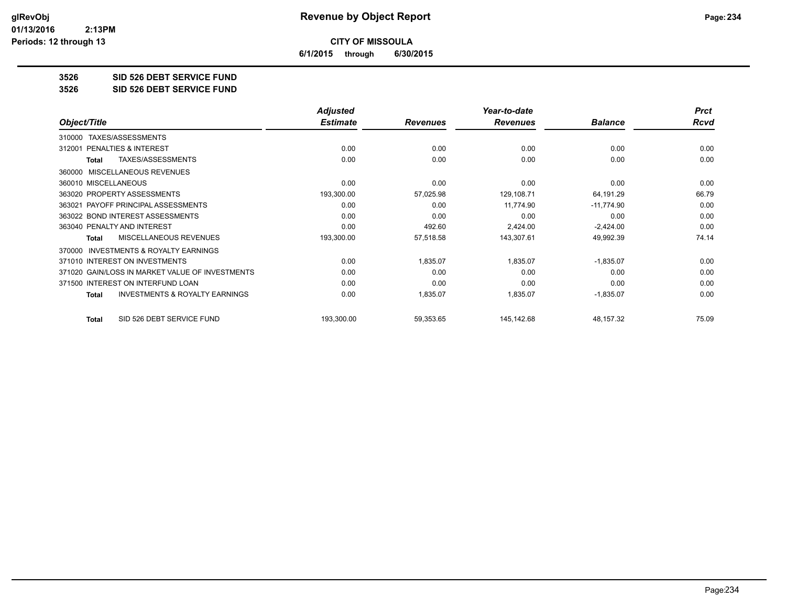**6/1/2015 through 6/30/2015**

**3526 SID 526 DEBT SERVICE FUND**

**3526 SID 526 DEBT SERVICE FUND**

|                                                           | <b>Adjusted</b> |                 | Year-to-date    |                | <b>Prct</b> |
|-----------------------------------------------------------|-----------------|-----------------|-----------------|----------------|-------------|
| Object/Title                                              | <b>Estimate</b> | <b>Revenues</b> | <b>Revenues</b> | <b>Balance</b> | <b>Rcvd</b> |
| TAXES/ASSESSMENTS<br>310000                               |                 |                 |                 |                |             |
| <b>PENALTIES &amp; INTEREST</b><br>312001                 | 0.00            | 0.00            | 0.00            | 0.00           | 0.00        |
| TAXES/ASSESSMENTS<br><b>Total</b>                         | 0.00            | 0.00            | 0.00            | 0.00           | 0.00        |
| MISCELLANEOUS REVENUES<br>360000                          |                 |                 |                 |                |             |
| 360010 MISCELLANEOUS                                      | 0.00            | 0.00            | 0.00            | 0.00           | 0.00        |
| 363020 PROPERTY ASSESSMENTS                               | 193,300.00      | 57,025.98       | 129,108.71      | 64,191.29      | 66.79       |
| 363021 PAYOFF PRINCIPAL ASSESSMENTS                       | 0.00            | 0.00            | 11.774.90       | $-11,774.90$   | 0.00        |
| 363022 BOND INTEREST ASSESSMENTS                          | 0.00            | 0.00            | 0.00            | 0.00           | 0.00        |
| 363040 PENALTY AND INTEREST                               | 0.00            | 492.60          | 2,424.00        | $-2,424.00$    | 0.00        |
| MISCELLANEOUS REVENUES<br><b>Total</b>                    | 193,300.00      | 57,518.58       | 143,307.61      | 49,992.39      | 74.14       |
| <b>INVESTMENTS &amp; ROYALTY EARNINGS</b><br>370000       |                 |                 |                 |                |             |
| 371010 INTEREST ON INVESTMENTS                            | 0.00            | 1,835.07        | 1,835.07        | $-1,835.07$    | 0.00        |
| 371020 GAIN/LOSS IN MARKET VALUE OF INVESTMENTS           | 0.00            | 0.00            | 0.00            | 0.00           | 0.00        |
| 371500 INTEREST ON INTERFUND LOAN                         | 0.00            | 0.00            | 0.00            | 0.00           | 0.00        |
| <b>INVESTMENTS &amp; ROYALTY EARNINGS</b><br><b>Total</b> | 0.00            | 1,835.07        | 1,835.07        | $-1,835.07$    | 0.00        |
| SID 526 DEBT SERVICE FUND<br><b>Total</b>                 | 193,300.00      | 59,353.65       | 145,142.68      | 48,157.32      | 75.09       |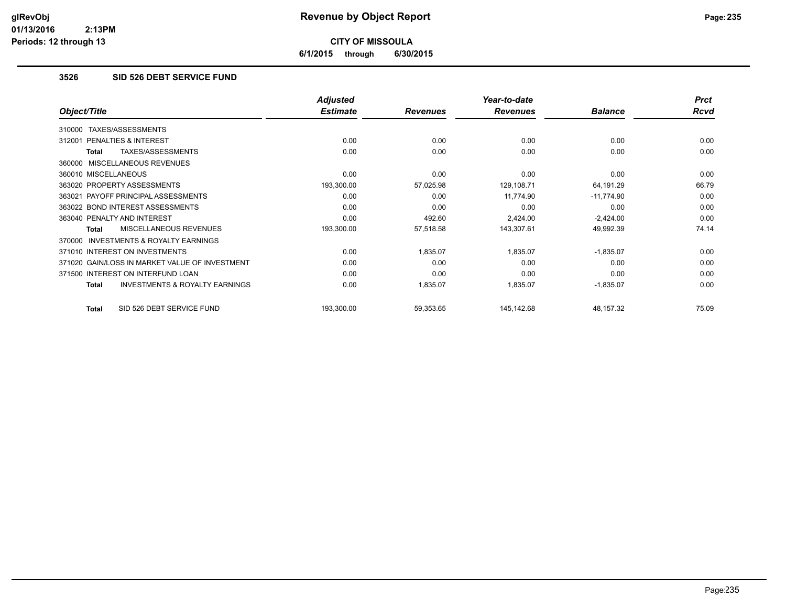**6/1/2015 through 6/30/2015**

## **3526 SID 526 DEBT SERVICE FUND**

|                                                           | <b>Adjusted</b> |                 | Year-to-date    |                | <b>Prct</b> |
|-----------------------------------------------------------|-----------------|-----------------|-----------------|----------------|-------------|
| Object/Title                                              | <b>Estimate</b> | <b>Revenues</b> | <b>Revenues</b> | <b>Balance</b> | Rcvd        |
| TAXES/ASSESSMENTS<br>310000                               |                 |                 |                 |                |             |
| <b>PENALTIES &amp; INTEREST</b><br>312001                 | 0.00            | 0.00            | 0.00            | 0.00           | 0.00        |
| TAXES/ASSESSMENTS<br><b>Total</b>                         | 0.00            | 0.00            | 0.00            | 0.00           | 0.00        |
| 360000 MISCELLANEOUS REVENUES                             |                 |                 |                 |                |             |
| 360010 MISCELLANEOUS                                      | 0.00            | 0.00            | 0.00            | 0.00           | 0.00        |
| 363020 PROPERTY ASSESSMENTS                               | 193,300.00      | 57,025.98       | 129,108.71      | 64,191.29      | 66.79       |
| 363021 PAYOFF PRINCIPAL ASSESSMENTS                       | 0.00            | 0.00            | 11,774.90       | $-11,774.90$   | 0.00        |
| 363022 BOND INTEREST ASSESSMENTS                          | 0.00            | 0.00            | 0.00            | 0.00           | 0.00        |
| 363040 PENALTY AND INTEREST                               | 0.00            | 492.60          | 2,424.00        | $-2,424.00$    | 0.00        |
| MISCELLANEOUS REVENUES<br>Total                           | 193,300.00      | 57,518.58       | 143,307.61      | 49,992.39      | 74.14       |
| <b>INVESTMENTS &amp; ROYALTY EARNINGS</b><br>370000       |                 |                 |                 |                |             |
| 371010 INTEREST ON INVESTMENTS                            | 0.00            | 1,835.07        | 1,835.07        | $-1,835.07$    | 0.00        |
| 371020 GAIN/LOSS IN MARKET VALUE OF INVESTMENT            | 0.00            | 0.00            | 0.00            | 0.00           | 0.00        |
| 371500 INTEREST ON INTERFUND LOAN                         | 0.00            | 0.00            | 0.00            | 0.00           | 0.00        |
| <b>INVESTMENTS &amp; ROYALTY EARNINGS</b><br><b>Total</b> | 0.00            | 1,835.07        | 1,835.07        | $-1,835.07$    | 0.00        |
| SID 526 DEBT SERVICE FUND<br>Total                        | 193,300.00      | 59,353.65       | 145,142.68      | 48,157.32      | 75.09       |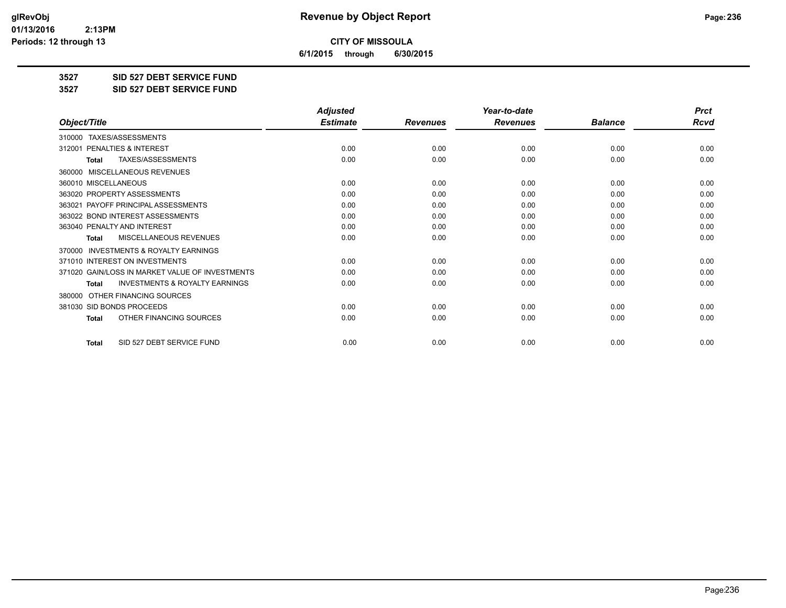**6/1/2015 through 6/30/2015**

**3527 SID 527 DEBT SERVICE FUND**

**3527 SID 527 DEBT SERVICE FUND**

|                                                           | <b>Adjusted</b> |                 | Year-to-date    |                | <b>Prct</b> |
|-----------------------------------------------------------|-----------------|-----------------|-----------------|----------------|-------------|
| Object/Title                                              | <b>Estimate</b> | <b>Revenues</b> | <b>Revenues</b> | <b>Balance</b> | <b>Rcvd</b> |
| TAXES/ASSESSMENTS<br>310000                               |                 |                 |                 |                |             |
| 312001 PENALTIES & INTEREST                               | 0.00            | 0.00            | 0.00            | 0.00           | 0.00        |
| TAXES/ASSESSMENTS<br><b>Total</b>                         | 0.00            | 0.00            | 0.00            | 0.00           | 0.00        |
| MISCELLANEOUS REVENUES<br>360000                          |                 |                 |                 |                |             |
| 360010 MISCELLANEOUS                                      | 0.00            | 0.00            | 0.00            | 0.00           | 0.00        |
| 363020 PROPERTY ASSESSMENTS                               | 0.00            | 0.00            | 0.00            | 0.00           | 0.00        |
| 363021 PAYOFF PRINCIPAL ASSESSMENTS                       | 0.00            | 0.00            | 0.00            | 0.00           | 0.00        |
| 363022 BOND INTEREST ASSESSMENTS                          | 0.00            | 0.00            | 0.00            | 0.00           | 0.00        |
| 363040 PENALTY AND INTEREST                               | 0.00            | 0.00            | 0.00            | 0.00           | 0.00        |
| <b>MISCELLANEOUS REVENUES</b><br><b>Total</b>             | 0.00            | 0.00            | 0.00            | 0.00           | 0.00        |
| <b>INVESTMENTS &amp; ROYALTY EARNINGS</b><br>370000       |                 |                 |                 |                |             |
| 371010 INTEREST ON INVESTMENTS                            | 0.00            | 0.00            | 0.00            | 0.00           | 0.00        |
| 371020 GAIN/LOSS IN MARKET VALUE OF INVESTMENTS           | 0.00            | 0.00            | 0.00            | 0.00           | 0.00        |
| <b>INVESTMENTS &amp; ROYALTY EARNINGS</b><br><b>Total</b> | 0.00            | 0.00            | 0.00            | 0.00           | 0.00        |
| OTHER FINANCING SOURCES<br>380000                         |                 |                 |                 |                |             |
| 381030 SID BONDS PROCEEDS                                 | 0.00            | 0.00            | 0.00            | 0.00           | 0.00        |
| OTHER FINANCING SOURCES<br>Total                          | 0.00            | 0.00            | 0.00            | 0.00           | 0.00        |
| SID 527 DEBT SERVICE FUND<br><b>Total</b>                 | 0.00            | 0.00            | 0.00            | 0.00           | 0.00        |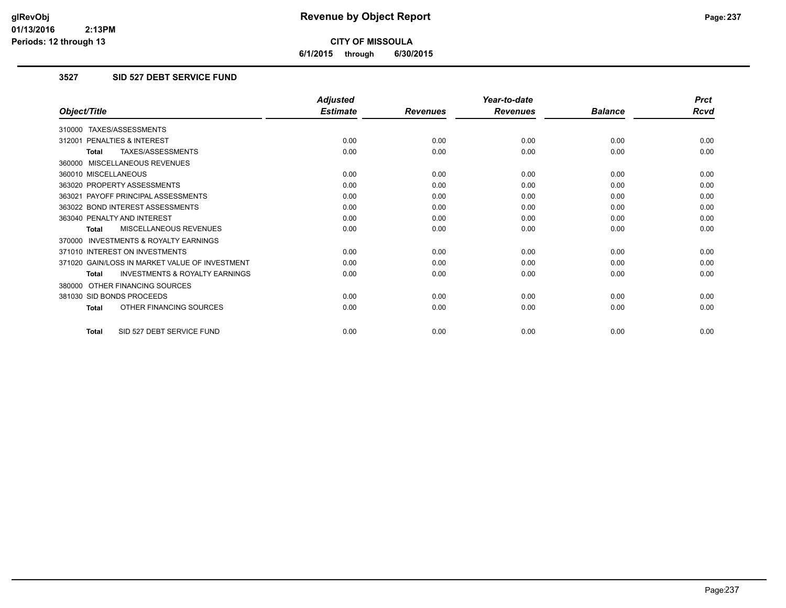**6/1/2015 through 6/30/2015**

## **3527 SID 527 DEBT SERVICE FUND**

|                                                           | <b>Adjusted</b> |                 | Year-to-date    |                | <b>Prct</b> |
|-----------------------------------------------------------|-----------------|-----------------|-----------------|----------------|-------------|
| Object/Title                                              | <b>Estimate</b> | <b>Revenues</b> | <b>Revenues</b> | <b>Balance</b> | <b>Rcvd</b> |
| 310000 TAXES/ASSESSMENTS                                  |                 |                 |                 |                |             |
| 312001 PENALTIES & INTEREST                               | 0.00            | 0.00            | 0.00            | 0.00           | 0.00        |
| TAXES/ASSESSMENTS<br><b>Total</b>                         | 0.00            | 0.00            | 0.00            | 0.00           | 0.00        |
| 360000 MISCELLANEOUS REVENUES                             |                 |                 |                 |                |             |
| 360010 MISCELLANEOUS                                      | 0.00            | 0.00            | 0.00            | 0.00           | 0.00        |
| 363020 PROPERTY ASSESSMENTS                               | 0.00            | 0.00            | 0.00            | 0.00           | 0.00        |
| 363021 PAYOFF PRINCIPAL ASSESSMENTS                       | 0.00            | 0.00            | 0.00            | 0.00           | 0.00        |
| 363022 BOND INTEREST ASSESSMENTS                          | 0.00            | 0.00            | 0.00            | 0.00           | 0.00        |
| 363040 PENALTY AND INTEREST                               | 0.00            | 0.00            | 0.00            | 0.00           | 0.00        |
| MISCELLANEOUS REVENUES<br><b>Total</b>                    | 0.00            | 0.00            | 0.00            | 0.00           | 0.00        |
| <b>INVESTMENTS &amp; ROYALTY EARNINGS</b><br>370000       |                 |                 |                 |                |             |
| 371010 INTEREST ON INVESTMENTS                            | 0.00            | 0.00            | 0.00            | 0.00           | 0.00        |
| 371020 GAIN/LOSS IN MARKET VALUE OF INVESTMENT            | 0.00            | 0.00            | 0.00            | 0.00           | 0.00        |
| <b>INVESTMENTS &amp; ROYALTY EARNINGS</b><br><b>Total</b> | 0.00            | 0.00            | 0.00            | 0.00           | 0.00        |
| OTHER FINANCING SOURCES<br>380000                         |                 |                 |                 |                |             |
| 381030 SID BONDS PROCEEDS                                 | 0.00            | 0.00            | 0.00            | 0.00           | 0.00        |
| OTHER FINANCING SOURCES<br>Total                          | 0.00            | 0.00            | 0.00            | 0.00           | 0.00        |
| SID 527 DEBT SERVICE FUND<br>Total                        | 0.00            | 0.00            | 0.00            | 0.00           | 0.00        |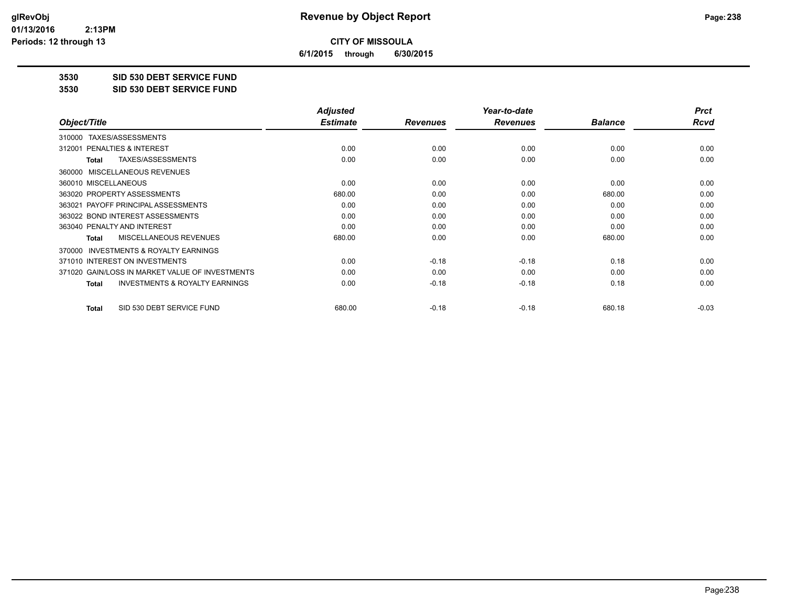**6/1/2015 through 6/30/2015**

**3530 SID 530 DEBT SERVICE FUND**

**3530 SID 530 DEBT SERVICE FUND**

|                                                           | <b>Adjusted</b> |                 | Year-to-date    |                | <b>Prct</b> |
|-----------------------------------------------------------|-----------------|-----------------|-----------------|----------------|-------------|
| Object/Title                                              | <b>Estimate</b> | <b>Revenues</b> | <b>Revenues</b> | <b>Balance</b> | <b>Rcvd</b> |
| TAXES/ASSESSMENTS<br>310000                               |                 |                 |                 |                |             |
| 312001 PENALTIES & INTEREST                               | 0.00            | 0.00            | 0.00            | 0.00           | 0.00        |
| TAXES/ASSESSMENTS<br>Total                                | 0.00            | 0.00            | 0.00            | 0.00           | 0.00        |
| MISCELLANEOUS REVENUES<br>360000                          |                 |                 |                 |                |             |
| 360010 MISCELLANEOUS                                      | 0.00            | 0.00            | 0.00            | 0.00           | 0.00        |
| 363020 PROPERTY ASSESSMENTS                               | 680.00          | 0.00            | 0.00            | 680.00         | 0.00        |
| 363021 PAYOFF PRINCIPAL ASSESSMENTS                       | 0.00            | 0.00            | 0.00            | 0.00           | 0.00        |
| 363022 BOND INTEREST ASSESSMENTS                          | 0.00            | 0.00            | 0.00            | 0.00           | 0.00        |
| 363040 PENALTY AND INTEREST                               | 0.00            | 0.00            | 0.00            | 0.00           | 0.00        |
| MISCELLANEOUS REVENUES<br><b>Total</b>                    | 680.00          | 0.00            | 0.00            | 680.00         | 0.00        |
| <b>INVESTMENTS &amp; ROYALTY EARNINGS</b><br>370000       |                 |                 |                 |                |             |
| 371010 INTEREST ON INVESTMENTS                            | 0.00            | $-0.18$         | $-0.18$         | 0.18           | 0.00        |
| 371020 GAIN/LOSS IN MARKET VALUE OF INVESTMENTS           | 0.00            | 0.00            | 0.00            | 0.00           | 0.00        |
| <b>INVESTMENTS &amp; ROYALTY EARNINGS</b><br><b>Total</b> | 0.00            | $-0.18$         | $-0.18$         | 0.18           | 0.00        |
| SID 530 DEBT SERVICE FUND<br><b>Total</b>                 | 680.00          | $-0.18$         | $-0.18$         | 680.18         | $-0.03$     |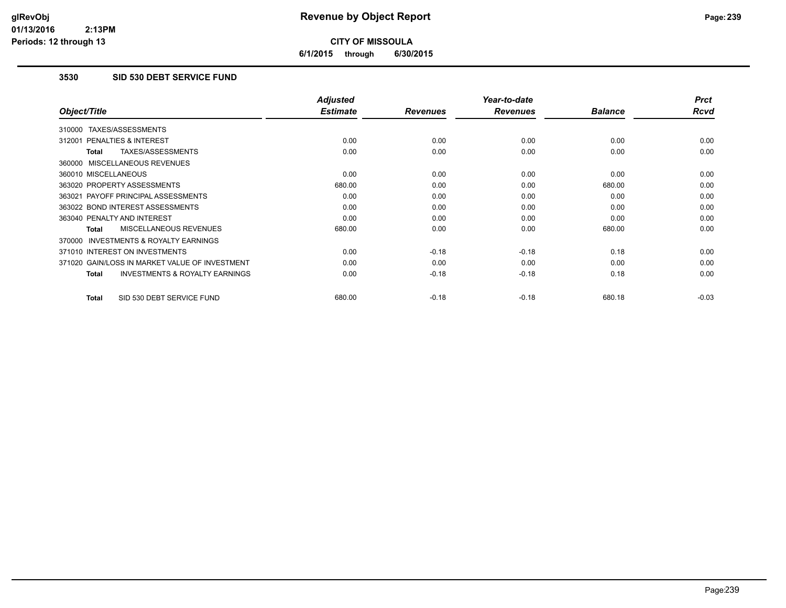**6/1/2015 through 6/30/2015**

## **3530 SID 530 DEBT SERVICE FUND**

|                                                           | <b>Adjusted</b> |                 | Year-to-date    |                | <b>Prct</b> |
|-----------------------------------------------------------|-----------------|-----------------|-----------------|----------------|-------------|
| Object/Title                                              | <b>Estimate</b> | <b>Revenues</b> | <b>Revenues</b> | <b>Balance</b> | <b>Rcvd</b> |
| 310000 TAXES/ASSESSMENTS                                  |                 |                 |                 |                |             |
| 312001 PENALTIES & INTEREST                               | 0.00            | 0.00            | 0.00            | 0.00           | 0.00        |
| <b>TAXES/ASSESSMENTS</b><br><b>Total</b>                  | 0.00            | 0.00            | 0.00            | 0.00           | 0.00        |
| 360000 MISCELLANEOUS REVENUES                             |                 |                 |                 |                |             |
| 360010 MISCELLANEOUS                                      | 0.00            | 0.00            | 0.00            | 0.00           | 0.00        |
| 363020 PROPERTY ASSESSMENTS                               | 680.00          | 0.00            | 0.00            | 680.00         | 0.00        |
| 363021 PAYOFF PRINCIPAL ASSESSMENTS                       | 0.00            | 0.00            | 0.00            | 0.00           | 0.00        |
| 363022 BOND INTEREST ASSESSMENTS                          | 0.00            | 0.00            | 0.00            | 0.00           | 0.00        |
| 363040 PENALTY AND INTEREST                               | 0.00            | 0.00            | 0.00            | 0.00           | 0.00        |
| MISCELLANEOUS REVENUES<br><b>Total</b>                    | 680.00          | 0.00            | 0.00            | 680.00         | 0.00        |
| <b>INVESTMENTS &amp; ROYALTY EARNINGS</b><br>370000       |                 |                 |                 |                |             |
| 371010 INTEREST ON INVESTMENTS                            | 0.00            | $-0.18$         | $-0.18$         | 0.18           | 0.00        |
| 371020 GAIN/LOSS IN MARKET VALUE OF INVESTMENT            | 0.00            | 0.00            | 0.00            | 0.00           | 0.00        |
| <b>INVESTMENTS &amp; ROYALTY EARNINGS</b><br><b>Total</b> | 0.00            | $-0.18$         | $-0.18$         | 0.18           | 0.00        |
| SID 530 DEBT SERVICE FUND<br><b>Total</b>                 | 680.00          | $-0.18$         | $-0.18$         | 680.18         | $-0.03$     |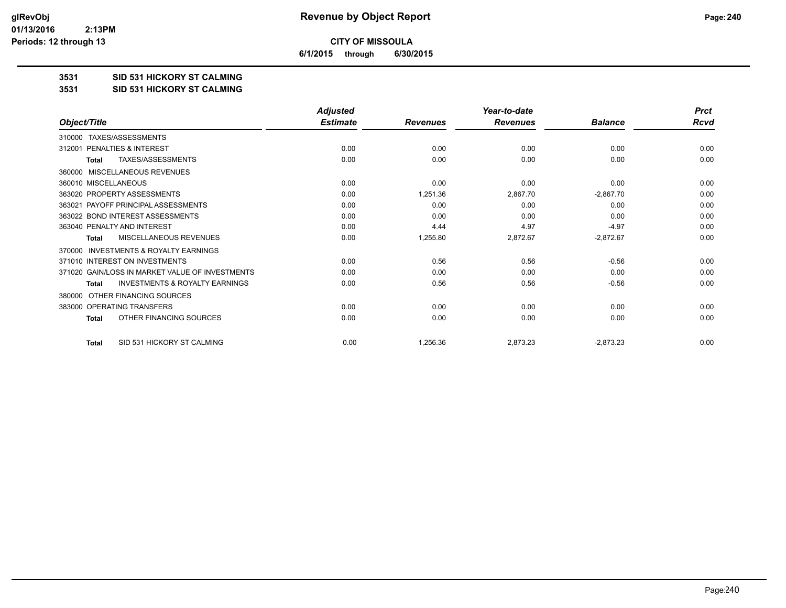**6/1/2015 through 6/30/2015**

#### **3531 SID 531 HICKORY ST CALMING**

#### **3531 SID 531 HICKORY ST CALMING**

|                                                    | <b>Adjusted</b> |                 | Year-to-date    |                | <b>Prct</b> |
|----------------------------------------------------|-----------------|-----------------|-----------------|----------------|-------------|
| Object/Title                                       | <b>Estimate</b> | <b>Revenues</b> | <b>Revenues</b> | <b>Balance</b> | Rcvd        |
| TAXES/ASSESSMENTS<br>310000                        |                 |                 |                 |                |             |
| PENALTIES & INTEREST<br>312001                     | 0.00            | 0.00            | 0.00            | 0.00           | 0.00        |
| TAXES/ASSESSMENTS<br><b>Total</b>                  | 0.00            | 0.00            | 0.00            | 0.00           | 0.00        |
| MISCELLANEOUS REVENUES<br>360000                   |                 |                 |                 |                |             |
| 360010 MISCELLANEOUS                               | 0.00            | 0.00            | 0.00            | 0.00           | 0.00        |
| 363020 PROPERTY ASSESSMENTS                        | 0.00            | 1,251.36        | 2,867.70        | $-2,867.70$    | 0.00        |
| 363021 PAYOFF PRINCIPAL ASSESSMENTS                | 0.00            | 0.00            | 0.00            | 0.00           | 0.00        |
| 363022 BOND INTEREST ASSESSMENTS                   | 0.00            | 0.00            | 0.00            | 0.00           | 0.00        |
| 363040 PENALTY AND INTEREST                        | 0.00            | 4.44            | 4.97            | $-4.97$        | 0.00        |
| MISCELLANEOUS REVENUES<br>Total                    | 0.00            | 1,255.80        | 2,872.67        | $-2,872.67$    | 0.00        |
| INVESTMENTS & ROYALTY EARNINGS<br>370000           |                 |                 |                 |                |             |
| 371010 INTEREST ON INVESTMENTS                     | 0.00            | 0.56            | 0.56            | $-0.56$        | 0.00        |
| 371020 GAIN/LOSS IN MARKET VALUE OF INVESTMENTS    | 0.00            | 0.00            | 0.00            | 0.00           | 0.00        |
| <b>INVESTMENTS &amp; ROYALTY EARNINGS</b><br>Total | 0.00            | 0.56            | 0.56            | $-0.56$        | 0.00        |
| OTHER FINANCING SOURCES<br>380000                  |                 |                 |                 |                |             |
| 383000 OPERATING TRANSFERS                         | 0.00            | 0.00            | 0.00            | 0.00           | 0.00        |
| OTHER FINANCING SOURCES<br>Total                   | 0.00            | 0.00            | 0.00            | 0.00           | 0.00        |
| SID 531 HICKORY ST CALMING<br><b>Total</b>         | 0.00            | 1,256.36        | 2,873.23        | $-2,873.23$    | 0.00        |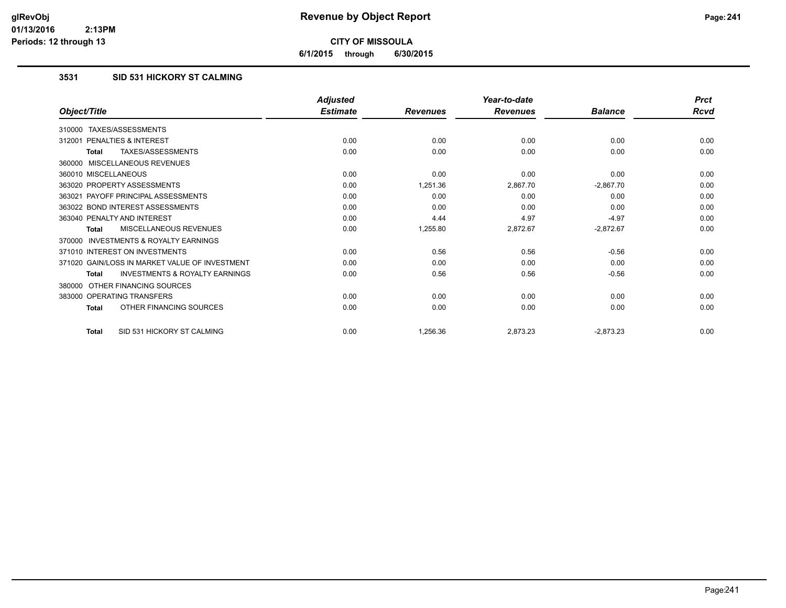**6/1/2015 through 6/30/2015**

## **3531 SID 531 HICKORY ST CALMING**

|                                                           | <b>Adjusted</b> |                 | Year-to-date    |                | <b>Prct</b> |
|-----------------------------------------------------------|-----------------|-----------------|-----------------|----------------|-------------|
| Object/Title                                              | <b>Estimate</b> | <b>Revenues</b> | <b>Revenues</b> | <b>Balance</b> | <b>Rcvd</b> |
| 310000 TAXES/ASSESSMENTS                                  |                 |                 |                 |                |             |
| PENALTIES & INTEREST<br>312001                            | 0.00            | 0.00            | 0.00            | 0.00           | 0.00        |
| TAXES/ASSESSMENTS<br><b>Total</b>                         | 0.00            | 0.00            | 0.00            | 0.00           | 0.00        |
| 360000 MISCELLANEOUS REVENUES                             |                 |                 |                 |                |             |
| 360010 MISCELLANEOUS                                      | 0.00            | 0.00            | 0.00            | 0.00           | 0.00        |
| 363020 PROPERTY ASSESSMENTS                               | 0.00            | 1,251.36        | 2,867.70        | $-2,867.70$    | 0.00        |
| 363021 PAYOFF PRINCIPAL ASSESSMENTS                       | 0.00            | 0.00            | 0.00            | 0.00           | 0.00        |
| 363022 BOND INTEREST ASSESSMENTS                          | 0.00            | 0.00            | 0.00            | 0.00           | 0.00        |
| 363040 PENALTY AND INTEREST                               | 0.00            | 4.44            | 4.97            | $-4.97$        | 0.00        |
| MISCELLANEOUS REVENUES<br><b>Total</b>                    | 0.00            | 1,255.80        | 2,872.67        | $-2,872.67$    | 0.00        |
| <b>INVESTMENTS &amp; ROYALTY EARNINGS</b><br>370000       |                 |                 |                 |                |             |
| 371010 INTEREST ON INVESTMENTS                            | 0.00            | 0.56            | 0.56            | $-0.56$        | 0.00        |
| 371020 GAIN/LOSS IN MARKET VALUE OF INVESTMENT            | 0.00            | 0.00            | 0.00            | 0.00           | 0.00        |
| <b>INVESTMENTS &amp; ROYALTY EARNINGS</b><br><b>Total</b> | 0.00            | 0.56            | 0.56            | $-0.56$        | 0.00        |
| OTHER FINANCING SOURCES<br>380000                         |                 |                 |                 |                |             |
| 383000 OPERATING TRANSFERS                                | 0.00            | 0.00            | 0.00            | 0.00           | 0.00        |
| OTHER FINANCING SOURCES<br><b>Total</b>                   | 0.00            | 0.00            | 0.00            | 0.00           | 0.00        |
| SID 531 HICKORY ST CALMING<br><b>Total</b>                | 0.00            | 1,256.36        | 2,873.23        | $-2,873.23$    | 0.00        |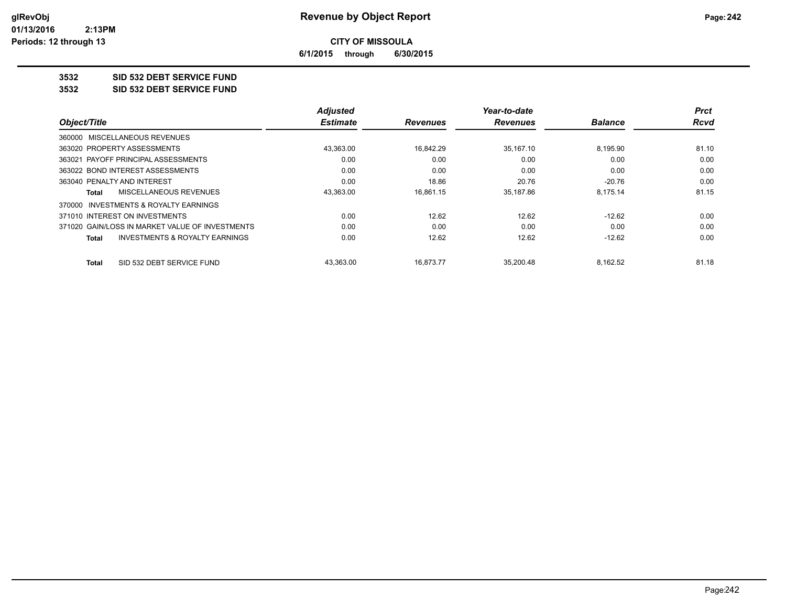**6/1/2015 through 6/30/2015**

**3532 SID 532 DEBT SERVICE FUND**

**3532 SID 532 DEBT SERVICE FUND**

|                                                           | <b>Adjusted</b> |                 | Year-to-date    |                | <b>Prct</b> |
|-----------------------------------------------------------|-----------------|-----------------|-----------------|----------------|-------------|
| Object/Title                                              | <b>Estimate</b> | <b>Revenues</b> | <b>Revenues</b> | <b>Balance</b> | <b>Rcvd</b> |
| 360000 MISCELLANEOUS REVENUES                             |                 |                 |                 |                |             |
| 363020 PROPERTY ASSESSMENTS                               | 43,363.00       | 16.842.29       | 35,167.10       | 8,195.90       | 81.10       |
| 363021 PAYOFF PRINCIPAL ASSESSMENTS                       | 0.00            | 0.00            | 0.00            | 0.00           | 0.00        |
| 363022 BOND INTEREST ASSESSMENTS                          | 0.00            | 0.00            | 0.00            | 0.00           | 0.00        |
| 363040 PENALTY AND INTEREST                               | 0.00            | 18.86           | 20.76           | $-20.76$       | 0.00        |
| MISCELLANEOUS REVENUES<br>Total                           | 43,363.00       | 16.861.15       | 35.187.86       | 8.175.14       | 81.15       |
| 370000 INVESTMENTS & ROYALTY EARNINGS                     |                 |                 |                 |                |             |
| 371010 INTEREST ON INVESTMENTS                            | 0.00            | 12.62           | 12.62           | $-12.62$       | 0.00        |
| 371020 GAIN/LOSS IN MARKET VALUE OF INVESTMENTS           | 0.00            | 0.00            | 0.00            | 0.00           | 0.00        |
| <b>INVESTMENTS &amp; ROYALTY EARNINGS</b><br><b>Total</b> | 0.00            | 12.62           | 12.62           | $-12.62$       | 0.00        |
| SID 532 DEBT SERVICE FUND<br>Total                        | 43,363.00       | 16.873.77       | 35,200.48       | 8,162.52       | 81.18       |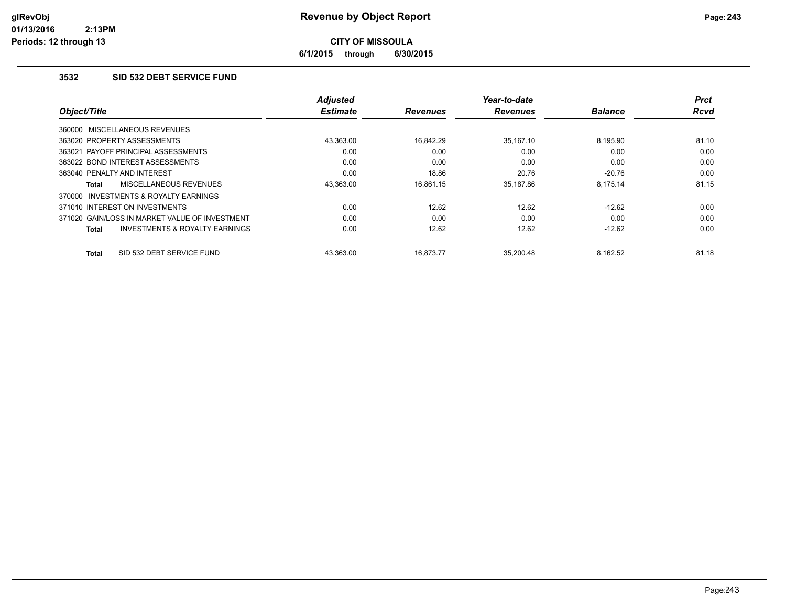**6/1/2015 through 6/30/2015**

### **3532 SID 532 DEBT SERVICE FUND**

|                                                           | <b>Adjusted</b> |                 | Year-to-date    |                | <b>Prct</b> |
|-----------------------------------------------------------|-----------------|-----------------|-----------------|----------------|-------------|
| Object/Title                                              | <b>Estimate</b> | <b>Revenues</b> | <b>Revenues</b> | <b>Balance</b> | <b>Rcvd</b> |
| 360000 MISCELLANEOUS REVENUES                             |                 |                 |                 |                |             |
| 363020 PROPERTY ASSESSMENTS                               | 43.363.00       | 16.842.29       | 35.167.10       | 8.195.90       | 81.10       |
| 363021 PAYOFF PRINCIPAL ASSESSMENTS                       | 0.00            | 0.00            | 0.00            | 0.00           | 0.00        |
| 363022 BOND INTEREST ASSESSMENTS                          | 0.00            | 0.00            | 0.00            | 0.00           | 0.00        |
| 363040 PENALTY AND INTEREST                               | 0.00            | 18.86           | 20.76           | $-20.76$       | 0.00        |
| MISCELLANEOUS REVENUES<br><b>Total</b>                    | 43,363.00       | 16,861.15       | 35,187.86       | 8,175.14       | 81.15       |
| <b>INVESTMENTS &amp; ROYALTY EARNINGS</b><br>370000       |                 |                 |                 |                |             |
| 371010 INTEREST ON INVESTMENTS                            | 0.00            | 12.62           | 12.62           | $-12.62$       | 0.00        |
| 371020 GAIN/LOSS IN MARKET VALUE OF INVESTMENT            | 0.00            | 0.00            | 0.00            | 0.00           | 0.00        |
| <b>INVESTMENTS &amp; ROYALTY EARNINGS</b><br><b>Total</b> | 0.00            | 12.62           | 12.62           | $-12.62$       | 0.00        |
| SID 532 DEBT SERVICE FUND<br><b>Total</b>                 | 43.363.00       | 16.873.77       | 35.200.48       | 8.162.52       | 81.18       |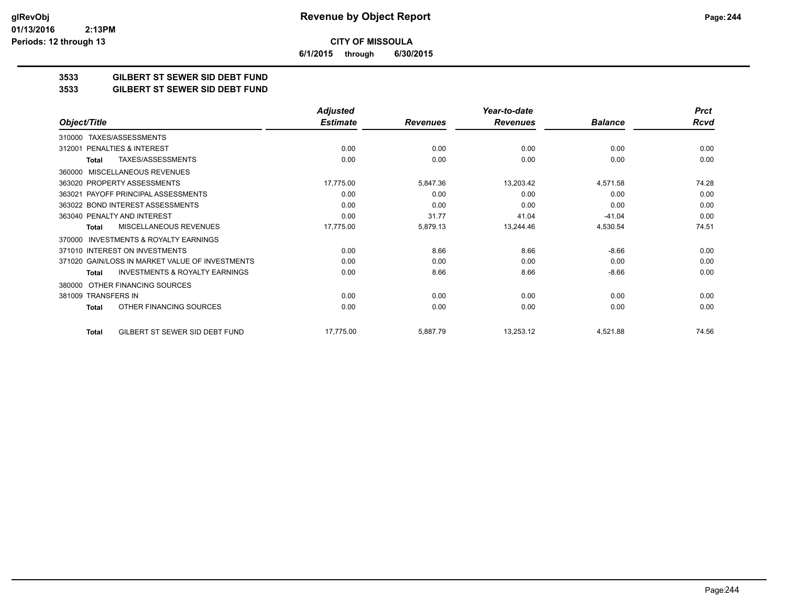**6/1/2015 through 6/30/2015**

## **3533 GILBERT ST SEWER SID DEBT FUND**

#### **3533 GILBERT ST SEWER SID DEBT FUND**

|                                                     | <b>Adjusted</b> |                 | Year-to-date    |                | <b>Prct</b> |
|-----------------------------------------------------|-----------------|-----------------|-----------------|----------------|-------------|
| Object/Title                                        | <b>Estimate</b> | <b>Revenues</b> | <b>Revenues</b> | <b>Balance</b> | Rcvd        |
| TAXES/ASSESSMENTS<br>310000                         |                 |                 |                 |                |             |
| PENALTIES & INTEREST<br>312001                      | 0.00            | 0.00            | 0.00            | 0.00           | 0.00        |
| <b>TAXES/ASSESSMENTS</b><br>Total                   | 0.00            | 0.00            | 0.00            | 0.00           | 0.00        |
| <b>MISCELLANEOUS REVENUES</b><br>360000             |                 |                 |                 |                |             |
| 363020 PROPERTY ASSESSMENTS                         | 17,775.00       | 5,847.36        | 13,203.42       | 4,571.58       | 74.28       |
| 363021 PAYOFF PRINCIPAL ASSESSMENTS                 | 0.00            | 0.00            | 0.00            | 0.00           | 0.00        |
| 363022 BOND INTEREST ASSESSMENTS                    | 0.00            | 0.00            | 0.00            | 0.00           | 0.00        |
| 363040 PENALTY AND INTEREST                         | 0.00            | 31.77           | 41.04           | $-41.04$       | 0.00        |
| <b>MISCELLANEOUS REVENUES</b><br><b>Total</b>       | 17,775.00       | 5,879.13        | 13,244.46       | 4,530.54       | 74.51       |
| <b>INVESTMENTS &amp; ROYALTY EARNINGS</b><br>370000 |                 |                 |                 |                |             |
| 371010 INTEREST ON INVESTMENTS                      | 0.00            | 8.66            | 8.66            | $-8.66$        | 0.00        |
| 371020 GAIN/LOSS IN MARKET VALUE OF INVESTMENTS     | 0.00            | 0.00            | 0.00            | 0.00           | 0.00        |
| <b>INVESTMENTS &amp; ROYALTY EARNINGS</b><br>Total  | 0.00            | 8.66            | 8.66            | $-8.66$        | 0.00        |
| OTHER FINANCING SOURCES<br>380000                   |                 |                 |                 |                |             |
| 381009 TRANSFERS IN                                 | 0.00            | 0.00            | 0.00            | 0.00           | 0.00        |
| OTHER FINANCING SOURCES<br><b>Total</b>             | 0.00            | 0.00            | 0.00            | 0.00           | 0.00        |
| GILBERT ST SEWER SID DEBT FUND<br><b>Total</b>      | 17,775.00       | 5,887.79        | 13,253.12       | 4,521.88       | 74.56       |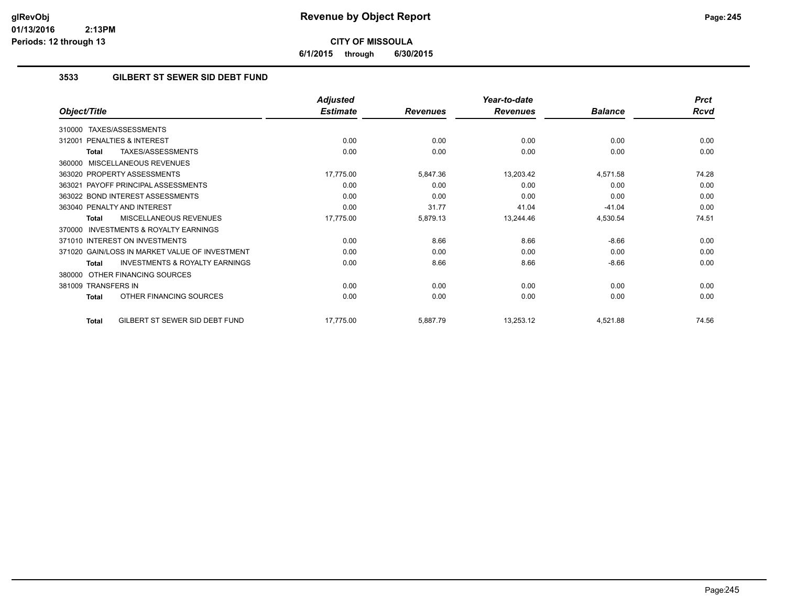**6/1/2015 through 6/30/2015**

## **3533 GILBERT ST SEWER SID DEBT FUND**

|                                                           | <b>Adjusted</b> |                 | Year-to-date    |                | <b>Prct</b> |
|-----------------------------------------------------------|-----------------|-----------------|-----------------|----------------|-------------|
| Object/Title                                              | <b>Estimate</b> | <b>Revenues</b> | <b>Revenues</b> | <b>Balance</b> | <b>Rcvd</b> |
| TAXES/ASSESSMENTS<br>310000                               |                 |                 |                 |                |             |
| <b>PENALTIES &amp; INTEREST</b><br>312001                 | 0.00            | 0.00            | 0.00            | 0.00           | 0.00        |
| TAXES/ASSESSMENTS<br><b>Total</b>                         | 0.00            | 0.00            | 0.00            | 0.00           | 0.00        |
| MISCELLANEOUS REVENUES<br>360000                          |                 |                 |                 |                |             |
| 363020 PROPERTY ASSESSMENTS                               | 17,775.00       | 5,847.36        | 13,203.42       | 4,571.58       | 74.28       |
| PAYOFF PRINCIPAL ASSESSMENTS<br>363021                    | 0.00            | 0.00            | 0.00            | 0.00           | 0.00        |
| 363022 BOND INTEREST ASSESSMENTS                          | 0.00            | 0.00            | 0.00            | 0.00           | 0.00        |
| 363040 PENALTY AND INTEREST                               | 0.00            | 31.77           | 41.04           | $-41.04$       | 0.00        |
| <b>MISCELLANEOUS REVENUES</b><br>Total                    | 17,775.00       | 5,879.13        | 13,244.46       | 4,530.54       | 74.51       |
| INVESTMENTS & ROYALTY EARNINGS<br>370000                  |                 |                 |                 |                |             |
| 371010 INTEREST ON INVESTMENTS                            | 0.00            | 8.66            | 8.66            | $-8.66$        | 0.00        |
| 371020 GAIN/LOSS IN MARKET VALUE OF INVESTMENT            | 0.00            | 0.00            | 0.00            | 0.00           | 0.00        |
| <b>INVESTMENTS &amp; ROYALTY EARNINGS</b><br><b>Total</b> | 0.00            | 8.66            | 8.66            | $-8.66$        | 0.00        |
| OTHER FINANCING SOURCES<br>380000                         |                 |                 |                 |                |             |
| 381009 TRANSFERS IN                                       | 0.00            | 0.00            | 0.00            | 0.00           | 0.00        |
| OTHER FINANCING SOURCES<br>Total                          | 0.00            | 0.00            | 0.00            | 0.00           | 0.00        |
| GILBERT ST SEWER SID DEBT FUND<br><b>Total</b>            | 17,775.00       | 5,887.79        | 13,253.12       | 4,521.88       | 74.56       |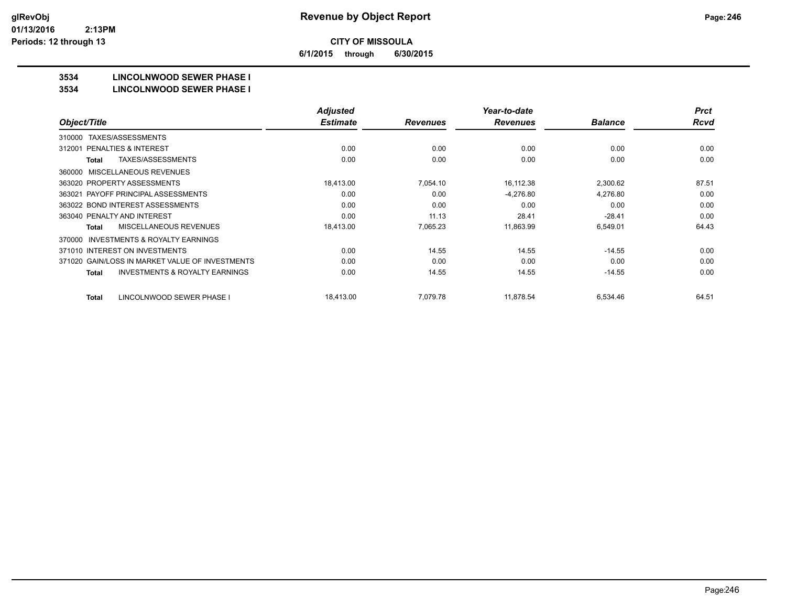**6/1/2015 through 6/30/2015**

## **3534 LINCOLNWOOD SEWER PHASE I**

#### **3534 LINCOLNWOOD SEWER PHASE I**

|                                                    | <b>Adjusted</b> |                 | Year-to-date    |                | <b>Prct</b> |
|----------------------------------------------------|-----------------|-----------------|-----------------|----------------|-------------|
| Object/Title                                       | <b>Estimate</b> | <b>Revenues</b> | <b>Revenues</b> | <b>Balance</b> | Rcvd        |
| TAXES/ASSESSMENTS<br>310000                        |                 |                 |                 |                |             |
| PENALTIES & INTEREST<br>312001                     | 0.00            | 0.00            | 0.00            | 0.00           | 0.00        |
| TAXES/ASSESSMENTS<br>Total                         | 0.00            | 0.00            | 0.00            | 0.00           | 0.00        |
| MISCELLANEOUS REVENUES<br>360000                   |                 |                 |                 |                |             |
| 363020 PROPERTY ASSESSMENTS                        | 18.413.00       | 7.054.10        | 16,112.38       | 2,300.62       | 87.51       |
| 363021 PAYOFF PRINCIPAL ASSESSMENTS                | 0.00            | 0.00            | $-4,276.80$     | 4,276.80       | 0.00        |
| 363022 BOND INTEREST ASSESSMENTS                   | 0.00            | 0.00            | 0.00            | 0.00           | 0.00        |
| 363040 PENALTY AND INTEREST                        | 0.00            | 11.13           | 28.41           | $-28.41$       | 0.00        |
| <b>MISCELLANEOUS REVENUES</b><br>Total             | 18,413.00       | 7,065.23        | 11,863.99       | 6,549.01       | 64.43       |
| INVESTMENTS & ROYALTY EARNINGS<br>370000           |                 |                 |                 |                |             |
| 371010 INTEREST ON INVESTMENTS                     | 0.00            | 14.55           | 14.55           | $-14.55$       | 0.00        |
| 371020 GAIN/LOSS IN MARKET VALUE OF INVESTMENTS    | 0.00            | 0.00            | 0.00            | 0.00           | 0.00        |
| <b>INVESTMENTS &amp; ROYALTY EARNINGS</b><br>Total | 0.00            | 14.55           | 14.55           | $-14.55$       | 0.00        |
| LINCOLNWOOD SEWER PHASE I<br>Total                 | 18,413.00       | 7.079.78        | 11,878.54       | 6,534.46       | 64.51       |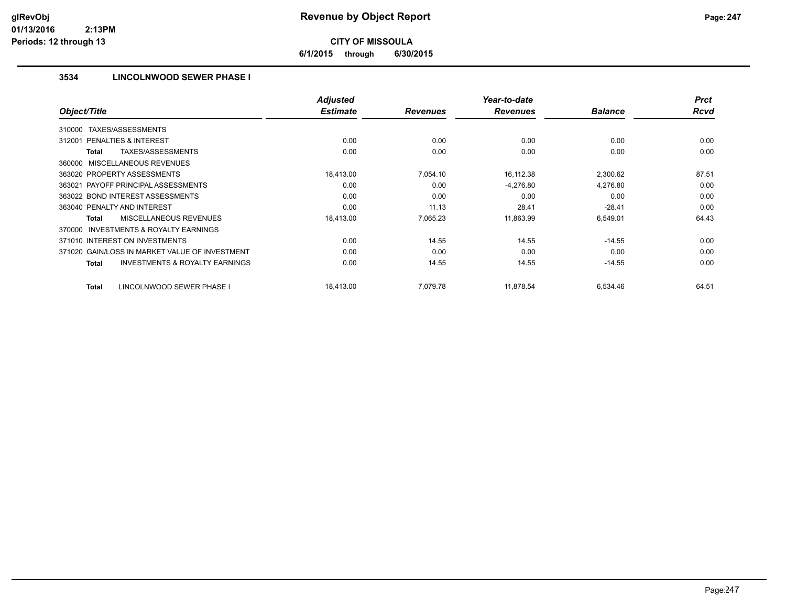**6/1/2015 through 6/30/2015**

## **3534 LINCOLNWOOD SEWER PHASE I**

| Object/Title                                        | <b>Adjusted</b><br><b>Estimate</b> | <b>Revenues</b> | Year-to-date<br><b>Revenues</b> | <b>Balance</b> | <b>Prct</b><br><b>Rcvd</b> |
|-----------------------------------------------------|------------------------------------|-----------------|---------------------------------|----------------|----------------------------|
|                                                     |                                    |                 |                                 |                |                            |
| TAXES/ASSESSMENTS<br>310000                         |                                    |                 |                                 |                |                            |
| <b>PENALTIES &amp; INTEREST</b><br>312001           | 0.00                               | 0.00            | 0.00                            | 0.00           | 0.00                       |
| TAXES/ASSESSMENTS<br>Total                          | 0.00                               | 0.00            | 0.00                            | 0.00           | 0.00                       |
| 360000 MISCELLANEOUS REVENUES                       |                                    |                 |                                 |                |                            |
| 363020 PROPERTY ASSESSMENTS                         | 18,413.00                          | 7,054.10        | 16,112.38                       | 2,300.62       | 87.51                      |
| 363021 PAYOFF PRINCIPAL ASSESSMENTS                 | 0.00                               | 0.00            | $-4,276.80$                     | 4,276.80       | 0.00                       |
| 363022 BOND INTEREST ASSESSMENTS                    | 0.00                               | 0.00            | 0.00                            | 0.00           | 0.00                       |
| 363040 PENALTY AND INTEREST                         | 0.00                               | 11.13           | 28.41                           | $-28.41$       | 0.00                       |
| MISCELLANEOUS REVENUES<br>Total                     | 18,413.00                          | 7,065.23        | 11,863.99                       | 6,549.01       | 64.43                      |
| <b>INVESTMENTS &amp; ROYALTY EARNINGS</b><br>370000 |                                    |                 |                                 |                |                            |
| 371010 INTEREST ON INVESTMENTS                      | 0.00                               | 14.55           | 14.55                           | $-14.55$       | 0.00                       |
| 371020 GAIN/LOSS IN MARKET VALUE OF INVESTMENT      | 0.00                               | 0.00            | 0.00                            | 0.00           | 0.00                       |
| <b>INVESTMENTS &amp; ROYALTY EARNINGS</b><br>Total  | 0.00                               | 14.55           | 14.55                           | $-14.55$       | 0.00                       |
|                                                     |                                    |                 |                                 |                |                            |
| LINCOLNWOOD SEWER PHASE I<br>Total                  | 18,413.00                          | 7,079.78        | 11,878.54                       | 6,534.46       | 64.51                      |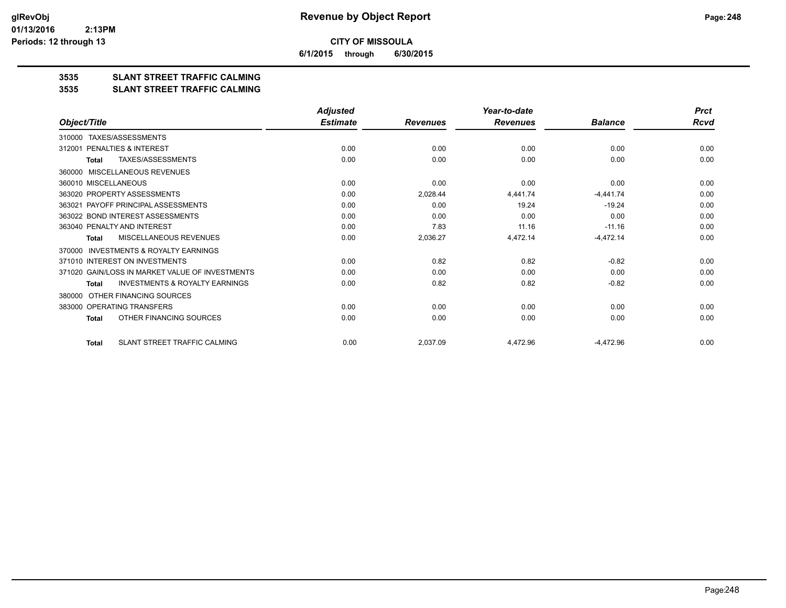**6/1/2015 through 6/30/2015**

## **3535 SLANT STREET TRAFFIC CALMING**

#### **3535 SLANT STREET TRAFFIC CALMING**

|                                                           | <b>Adjusted</b> |                 | Year-to-date    |                | <b>Prct</b> |
|-----------------------------------------------------------|-----------------|-----------------|-----------------|----------------|-------------|
| Object/Title                                              | <b>Estimate</b> | <b>Revenues</b> | <b>Revenues</b> | <b>Balance</b> | Rcvd        |
| TAXES/ASSESSMENTS<br>310000                               |                 |                 |                 |                |             |
| PENALTIES & INTEREST<br>312001                            | 0.00            | 0.00            | 0.00            | 0.00           | 0.00        |
| <b>TAXES/ASSESSMENTS</b><br><b>Total</b>                  | 0.00            | 0.00            | 0.00            | 0.00           | 0.00        |
| <b>MISCELLANEOUS REVENUES</b><br>360000                   |                 |                 |                 |                |             |
| 360010 MISCELLANEOUS                                      | 0.00            | 0.00            | 0.00            | 0.00           | 0.00        |
| 363020 PROPERTY ASSESSMENTS                               | 0.00            | 2,028.44        | 4,441.74        | $-4,441.74$    | 0.00        |
| 363021 PAYOFF PRINCIPAL ASSESSMENTS                       | 0.00            | 0.00            | 19.24           | $-19.24$       | 0.00        |
| 363022 BOND INTEREST ASSESSMENTS                          | 0.00            | 0.00            | 0.00            | 0.00           | 0.00        |
| 363040 PENALTY AND INTEREST                               | 0.00            | 7.83            | 11.16           | $-11.16$       | 0.00        |
| MISCELLANEOUS REVENUES<br><b>Total</b>                    | 0.00            | 2,036.27        | 4,472.14        | $-4,472.14$    | 0.00        |
| INVESTMENTS & ROYALTY EARNINGS<br>370000                  |                 |                 |                 |                |             |
| 371010 INTEREST ON INVESTMENTS                            | 0.00            | 0.82            | 0.82            | $-0.82$        | 0.00        |
| 371020 GAIN/LOSS IN MARKET VALUE OF INVESTMENTS           | 0.00            | 0.00            | 0.00            | 0.00           | 0.00        |
| <b>INVESTMENTS &amp; ROYALTY EARNINGS</b><br><b>Total</b> | 0.00            | 0.82            | 0.82            | $-0.82$        | 0.00        |
| OTHER FINANCING SOURCES<br>380000                         |                 |                 |                 |                |             |
| 383000 OPERATING TRANSFERS                                | 0.00            | 0.00            | 0.00            | 0.00           | 0.00        |
| OTHER FINANCING SOURCES<br><b>Total</b>                   | 0.00            | 0.00            | 0.00            | 0.00           | 0.00        |
| SLANT STREET TRAFFIC CALMING<br><b>Total</b>              | 0.00            | 2,037.09        | 4.472.96        | $-4,472.96$    | 0.00        |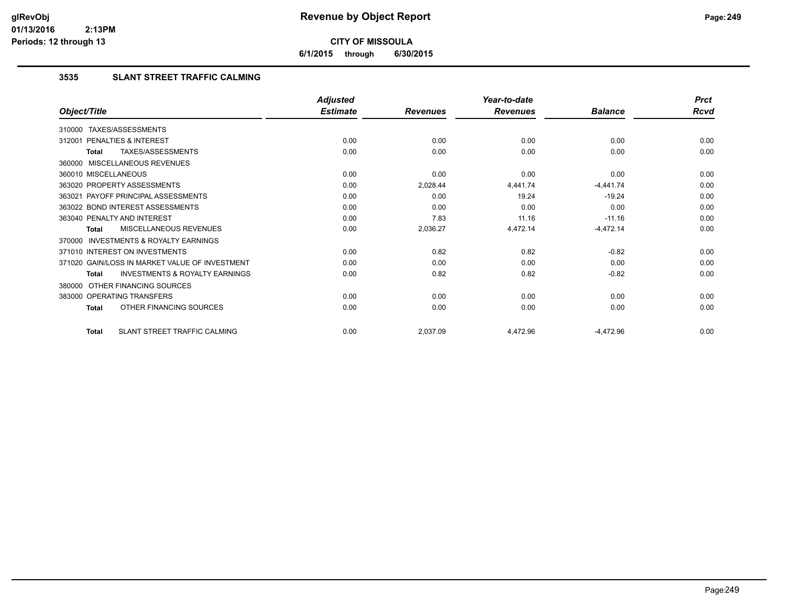**6/1/2015 through 6/30/2015**

## **3535 SLANT STREET TRAFFIC CALMING**

|                                                           | <b>Adjusted</b> |                 | Year-to-date    |                | <b>Prct</b> |
|-----------------------------------------------------------|-----------------|-----------------|-----------------|----------------|-------------|
| Object/Title                                              | <b>Estimate</b> | <b>Revenues</b> | <b>Revenues</b> | <b>Balance</b> | Rcvd        |
| 310000 TAXES/ASSESSMENTS                                  |                 |                 |                 |                |             |
| PENALTIES & INTEREST<br>312001                            | 0.00            | 0.00            | 0.00            | 0.00           | 0.00        |
| TAXES/ASSESSMENTS<br><b>Total</b>                         | 0.00            | 0.00            | 0.00            | 0.00           | 0.00        |
| MISCELLANEOUS REVENUES<br>360000                          |                 |                 |                 |                |             |
| 360010 MISCELLANEOUS                                      | 0.00            | 0.00            | 0.00            | 0.00           | 0.00        |
| 363020 PROPERTY ASSESSMENTS                               | 0.00            | 2,028.44        | 4,441.74        | $-4,441.74$    | 0.00        |
| 363021 PAYOFF PRINCIPAL ASSESSMENTS                       | 0.00            | 0.00            | 19.24           | $-19.24$       | 0.00        |
| 363022 BOND INTEREST ASSESSMENTS                          | 0.00            | 0.00            | 0.00            | 0.00           | 0.00        |
| 363040 PENALTY AND INTEREST                               | 0.00            | 7.83            | 11.16           | $-11.16$       | 0.00        |
| MISCELLANEOUS REVENUES<br><b>Total</b>                    | 0.00            | 2,036.27        | 4,472.14        | $-4,472.14$    | 0.00        |
| INVESTMENTS & ROYALTY EARNINGS<br>370000                  |                 |                 |                 |                |             |
| 371010 INTEREST ON INVESTMENTS                            | 0.00            | 0.82            | 0.82            | $-0.82$        | 0.00        |
| 371020 GAIN/LOSS IN MARKET VALUE OF INVESTMENT            | 0.00            | 0.00            | 0.00            | 0.00           | 0.00        |
| <b>INVESTMENTS &amp; ROYALTY EARNINGS</b><br><b>Total</b> | 0.00            | 0.82            | 0.82            | $-0.82$        | 0.00        |
| OTHER FINANCING SOURCES<br>380000                         |                 |                 |                 |                |             |
| 383000 OPERATING TRANSFERS                                | 0.00            | 0.00            | 0.00            | 0.00           | 0.00        |
| OTHER FINANCING SOURCES<br><b>Total</b>                   | 0.00            | 0.00            | 0.00            | 0.00           | 0.00        |
| SLANT STREET TRAFFIC CALMING<br><b>Total</b>              | 0.00            | 2,037.09        | 4,472.96        | $-4,472.96$    | 0.00        |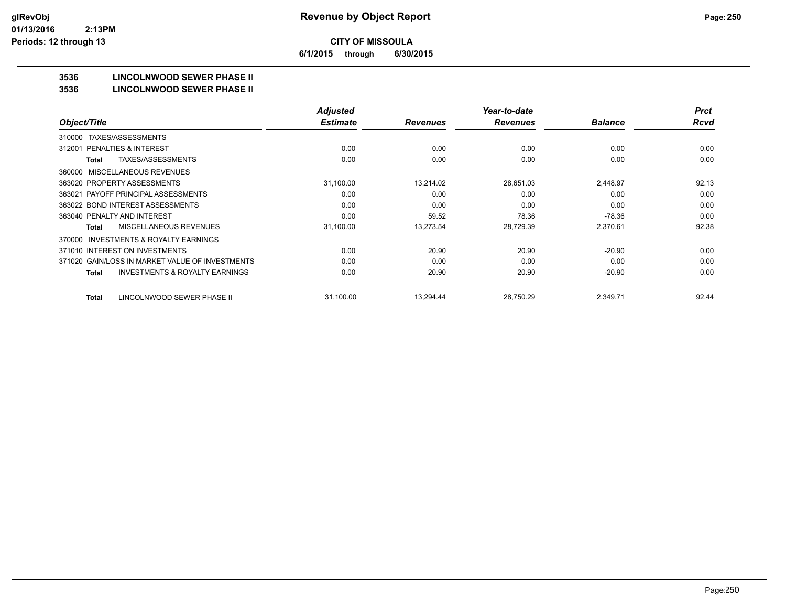**6/1/2015 through 6/30/2015**

## **3536 LINCOLNWOOD SEWER PHASE II**

#### **3536 LINCOLNWOOD SEWER PHASE II**

|                                                    | <b>Adjusted</b> |                 | Year-to-date    |                | <b>Prct</b> |
|----------------------------------------------------|-----------------|-----------------|-----------------|----------------|-------------|
| Object/Title                                       | <b>Estimate</b> | <b>Revenues</b> | <b>Revenues</b> | <b>Balance</b> | <b>Rcvd</b> |
| TAXES/ASSESSMENTS<br>310000                        |                 |                 |                 |                |             |
| PENALTIES & INTEREST<br>312001                     | 0.00            | 0.00            | 0.00            | 0.00           | 0.00        |
| TAXES/ASSESSMENTS<br>Total                         | 0.00            | 0.00            | 0.00            | 0.00           | 0.00        |
| MISCELLANEOUS REVENUES<br>360000                   |                 |                 |                 |                |             |
| 363020 PROPERTY ASSESSMENTS                        | 31,100.00       | 13,214.02       | 28,651.03       | 2,448.97       | 92.13       |
| 363021 PAYOFF PRINCIPAL ASSESSMENTS                | 0.00            | 0.00            | 0.00            | 0.00           | 0.00        |
| 363022 BOND INTEREST ASSESSMENTS                   | 0.00            | 0.00            | 0.00            | 0.00           | 0.00        |
| 363040 PENALTY AND INTEREST                        | 0.00            | 59.52           | 78.36           | $-78.36$       | 0.00        |
| MISCELLANEOUS REVENUES<br>Total                    | 31,100.00       | 13,273.54       | 28,729.39       | 2.370.61       | 92.38       |
| INVESTMENTS & ROYALTY EARNINGS<br>370000           |                 |                 |                 |                |             |
| 371010 INTEREST ON INVESTMENTS                     | 0.00            | 20.90           | 20.90           | $-20.90$       | 0.00        |
| 371020 GAIN/LOSS IN MARKET VALUE OF INVESTMENTS    | 0.00            | 0.00            | 0.00            | 0.00           | 0.00        |
| <b>INVESTMENTS &amp; ROYALTY EARNINGS</b><br>Total | 0.00            | 20.90           | 20.90           | $-20.90$       | 0.00        |
|                                                    |                 |                 |                 |                |             |
| LINCOLNWOOD SEWER PHASE II<br>Total                | 31,100.00       | 13,294.44       | 28,750.29       | 2,349.71       | 92.44       |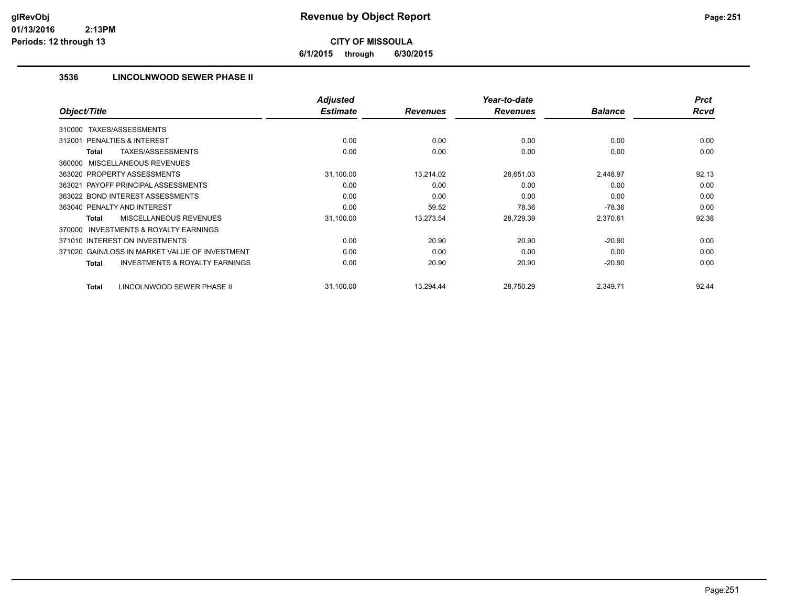**6/1/2015 through 6/30/2015**

## **3536 LINCOLNWOOD SEWER PHASE II**

|                                                           | <b>Adjusted</b> |                 | Year-to-date    |                | <b>Prct</b> |
|-----------------------------------------------------------|-----------------|-----------------|-----------------|----------------|-------------|
| Object/Title                                              | <b>Estimate</b> | <b>Revenues</b> | <b>Revenues</b> | <b>Balance</b> | <b>Rcvd</b> |
| TAXES/ASSESSMENTS<br>310000                               |                 |                 |                 |                |             |
| 312001 PENALTIES & INTEREST                               | 0.00            | 0.00            | 0.00            | 0.00           | 0.00        |
| TAXES/ASSESSMENTS<br>Total                                | 0.00            | 0.00            | 0.00            | 0.00           | 0.00        |
| 360000 MISCELLANEOUS REVENUES                             |                 |                 |                 |                |             |
| 363020 PROPERTY ASSESSMENTS                               | 31,100.00       | 13,214.02       | 28,651.03       | 2,448.97       | 92.13       |
| 363021 PAYOFF PRINCIPAL ASSESSMENTS                       | 0.00            | 0.00            | 0.00            | 0.00           | 0.00        |
| 363022 BOND INTEREST ASSESSMENTS                          | 0.00            | 0.00            | 0.00            | 0.00           | 0.00        |
| 363040 PENALTY AND INTEREST                               | 0.00            | 59.52           | 78.36           | $-78.36$       | 0.00        |
| MISCELLANEOUS REVENUES<br>Total                           | 31,100.00       | 13,273.54       | 28,729.39       | 2,370.61       | 92.38       |
| <b>INVESTMENTS &amp; ROYALTY EARNINGS</b><br>370000       |                 |                 |                 |                |             |
| 371010 INTEREST ON INVESTMENTS                            | 0.00            | 20.90           | 20.90           | $-20.90$       | 0.00        |
| 371020 GAIN/LOSS IN MARKET VALUE OF INVESTMENT            | 0.00            | 0.00            | 0.00            | 0.00           | 0.00        |
| <b>INVESTMENTS &amp; ROYALTY EARNINGS</b><br><b>Total</b> | 0.00            | 20.90           | 20.90           | $-20.90$       | 0.00        |
| LINCOLNWOOD SEWER PHASE II<br><b>Total</b>                | 31,100.00       | 13,294.44       | 28,750.29       | 2,349.71       | 92.44       |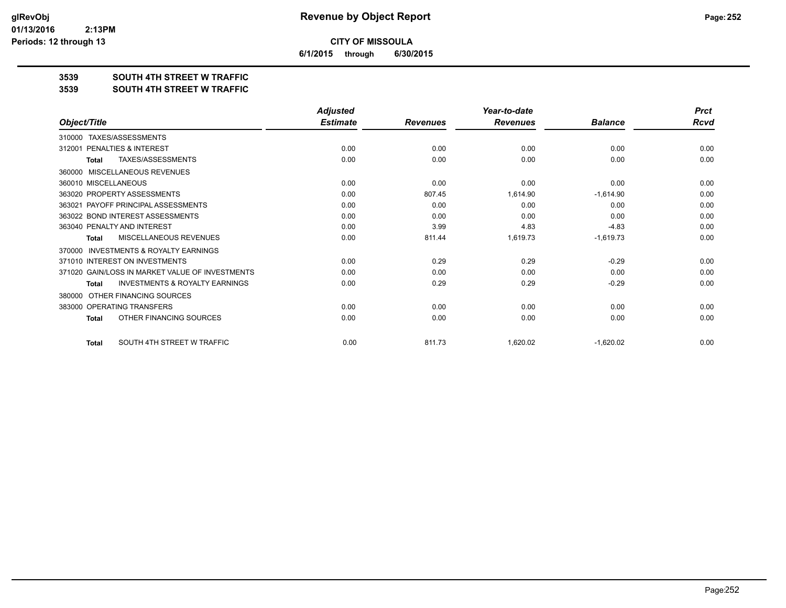**6/1/2015 through 6/30/2015**

### **3539 SOUTH 4TH STREET W TRAFFIC**

#### **3539 SOUTH 4TH STREET W TRAFFIC**

|                                                     | <b>Adjusted</b> |                 | Year-to-date    |                | <b>Prct</b> |
|-----------------------------------------------------|-----------------|-----------------|-----------------|----------------|-------------|
| Object/Title                                        | <b>Estimate</b> | <b>Revenues</b> | <b>Revenues</b> | <b>Balance</b> | Rcvd        |
| TAXES/ASSESSMENTS<br>310000                         |                 |                 |                 |                |             |
| PENALTIES & INTEREST<br>312001                      | 0.00            | 0.00            | 0.00            | 0.00           | 0.00        |
| TAXES/ASSESSMENTS<br><b>Total</b>                   | 0.00            | 0.00            | 0.00            | 0.00           | 0.00        |
| MISCELLANEOUS REVENUES<br>360000                    |                 |                 |                 |                |             |
| 360010 MISCELLANEOUS                                | 0.00            | 0.00            | 0.00            | 0.00           | 0.00        |
| 363020 PROPERTY ASSESSMENTS                         | 0.00            | 807.45          | 1,614.90        | $-1,614.90$    | 0.00        |
| 363021 PAYOFF PRINCIPAL ASSESSMENTS                 | 0.00            | 0.00            | 0.00            | 0.00           | 0.00        |
| 363022 BOND INTEREST ASSESSMENTS                    | 0.00            | 0.00            | 0.00            | 0.00           | 0.00        |
| 363040 PENALTY AND INTEREST                         | 0.00            | 3.99            | 4.83            | $-4.83$        | 0.00        |
| MISCELLANEOUS REVENUES<br>Total                     | 0.00            | 811.44          | 1,619.73        | $-1,619.73$    | 0.00        |
| <b>INVESTMENTS &amp; ROYALTY EARNINGS</b><br>370000 |                 |                 |                 |                |             |
| 371010 INTEREST ON INVESTMENTS                      | 0.00            | 0.29            | 0.29            | $-0.29$        | 0.00        |
| 371020 GAIN/LOSS IN MARKET VALUE OF INVESTMENTS     | 0.00            | 0.00            | 0.00            | 0.00           | 0.00        |
| <b>INVESTMENTS &amp; ROYALTY EARNINGS</b><br>Total  | 0.00            | 0.29            | 0.29            | $-0.29$        | 0.00        |
| OTHER FINANCING SOURCES<br>380000                   |                 |                 |                 |                |             |
| 383000 OPERATING TRANSFERS                          | 0.00            | 0.00            | 0.00            | 0.00           | 0.00        |
| OTHER FINANCING SOURCES<br><b>Total</b>             | 0.00            | 0.00            | 0.00            | 0.00           | 0.00        |
| SOUTH 4TH STREET W TRAFFIC<br><b>Total</b>          | 0.00            | 811.73          | 1,620.02        | $-1,620.02$    | 0.00        |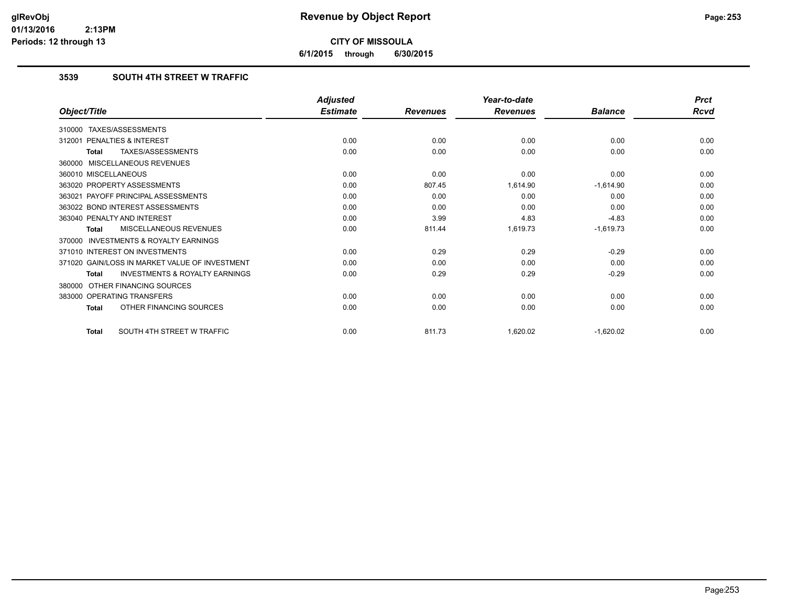**6/1/2015 through 6/30/2015**

## **3539 SOUTH 4TH STREET W TRAFFIC**

|                                                           | <b>Adjusted</b> |                 | Year-to-date    |                | <b>Prct</b> |
|-----------------------------------------------------------|-----------------|-----------------|-----------------|----------------|-------------|
| Object/Title                                              | <b>Estimate</b> | <b>Revenues</b> | <b>Revenues</b> | <b>Balance</b> | Rcvd        |
| TAXES/ASSESSMENTS<br>310000                               |                 |                 |                 |                |             |
| PENALTIES & INTEREST<br>312001                            | 0.00            | 0.00            | 0.00            | 0.00           | 0.00        |
| TAXES/ASSESSMENTS<br><b>Total</b>                         | 0.00            | 0.00            | 0.00            | 0.00           | 0.00        |
| MISCELLANEOUS REVENUES<br>360000                          |                 |                 |                 |                |             |
| 360010 MISCELLANEOUS                                      | 0.00            | 0.00            | 0.00            | 0.00           | 0.00        |
| 363020 PROPERTY ASSESSMENTS                               | 0.00            | 807.45          | 1,614.90        | $-1,614.90$    | 0.00        |
| 363021 PAYOFF PRINCIPAL ASSESSMENTS                       | 0.00            | 0.00            | 0.00            | 0.00           | 0.00        |
| 363022 BOND INTEREST ASSESSMENTS                          | 0.00            | 0.00            | 0.00            | 0.00           | 0.00        |
| 363040 PENALTY AND INTEREST                               | 0.00            | 3.99            | 4.83            | $-4.83$        | 0.00        |
| MISCELLANEOUS REVENUES<br><b>Total</b>                    | 0.00            | 811.44          | 1,619.73        | $-1,619.73$    | 0.00        |
| <b>INVESTMENTS &amp; ROYALTY EARNINGS</b><br>370000       |                 |                 |                 |                |             |
| 371010 INTEREST ON INVESTMENTS                            | 0.00            | 0.29            | 0.29            | $-0.29$        | 0.00        |
| 371020 GAIN/LOSS IN MARKET VALUE OF INVESTMENT            | 0.00            | 0.00            | 0.00            | 0.00           | 0.00        |
| <b>INVESTMENTS &amp; ROYALTY EARNINGS</b><br><b>Total</b> | 0.00            | 0.29            | 0.29            | $-0.29$        | 0.00        |
| OTHER FINANCING SOURCES<br>380000                         |                 |                 |                 |                |             |
| 383000 OPERATING TRANSFERS                                | 0.00            | 0.00            | 0.00            | 0.00           | 0.00        |
| OTHER FINANCING SOURCES<br><b>Total</b>                   | 0.00            | 0.00            | 0.00            | 0.00           | 0.00        |
| SOUTH 4TH STREET W TRAFFIC<br><b>Total</b>                | 0.00            | 811.73          | 1,620.02        | $-1,620.02$    | 0.00        |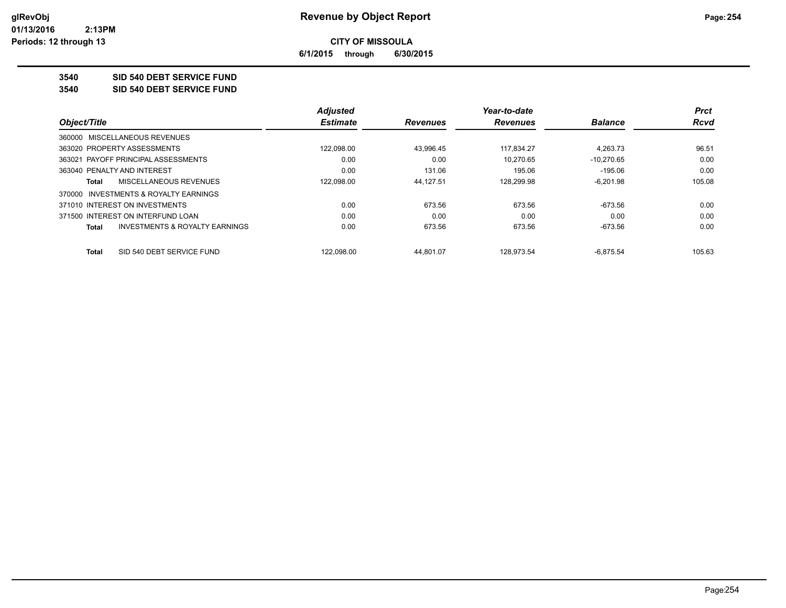**6/1/2015 through 6/30/2015**

**3540 SID 540 DEBT SERVICE FUND**

**3540 SID 540 DEBT SERVICE FUND**

|                                                    | <b>Adjusted</b> |                 | Year-to-date    |                | <b>Prct</b> |
|----------------------------------------------------|-----------------|-----------------|-----------------|----------------|-------------|
| Object/Title                                       | <b>Estimate</b> | <b>Revenues</b> | <b>Revenues</b> | <b>Balance</b> | Rcvd        |
| 360000 MISCELLANEOUS REVENUES                      |                 |                 |                 |                |             |
| 363020 PROPERTY ASSESSMENTS                        | 122.098.00      | 43.996.45       | 117.834.27      | 4.263.73       | 96.51       |
| 363021 PAYOFF PRINCIPAL ASSESSMENTS                | 0.00            | 0.00            | 10.270.65       | $-10.270.65$   | 0.00        |
| 363040 PENALTY AND INTEREST                        | 0.00            | 131.06          | 195.06          | $-195.06$      | 0.00        |
| MISCELLANEOUS REVENUES<br>Total                    | 122,098.00      | 44.127.51       | 128,299.98      | $-6.201.98$    | 105.08      |
| 370000 INVESTMENTS & ROYALTY EARNINGS              |                 |                 |                 |                |             |
| 371010 INTEREST ON INVESTMENTS                     | 0.00            | 673.56          | 673.56          | $-673.56$      | 0.00        |
| 371500 INTEREST ON INTERFUND LOAN                  | 0.00            | 0.00            | 0.00            | 0.00           | 0.00        |
| <b>INVESTMENTS &amp; ROYALTY EARNINGS</b><br>Total | 0.00            | 673.56          | 673.56          | $-673.56$      | 0.00        |
| SID 540 DEBT SERVICE FUND<br>Total                 | 122.098.00      | 44.801.07       | 128.973.54      | $-6.875.54$    | 105.63      |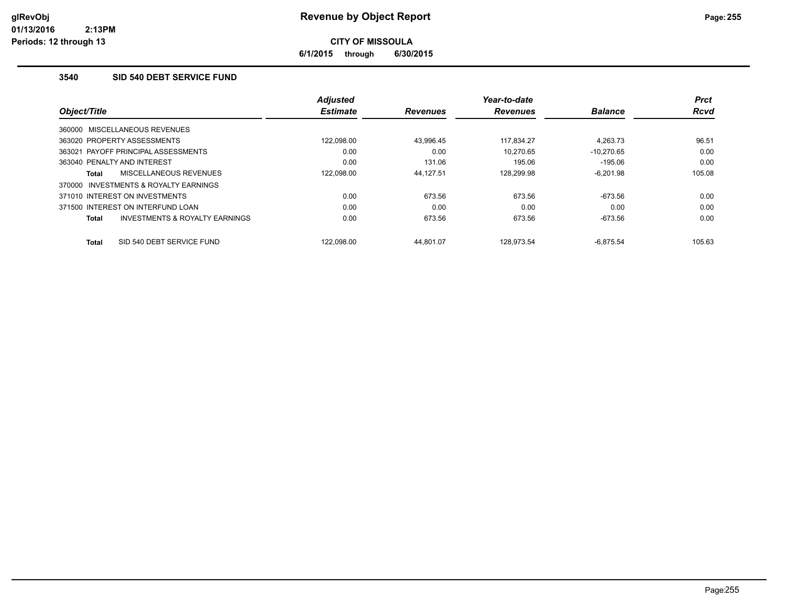**6/1/2015 through 6/30/2015**

## **3540 SID 540 DEBT SERVICE FUND**

| Object/Title                |                                           | <b>Adjusted</b><br><b>Estimate</b> | <b>Revenues</b> | Year-to-date<br><b>Revenues</b> | <b>Balance</b> | <b>Prct</b><br><b>Rcvd</b> |
|-----------------------------|-------------------------------------------|------------------------------------|-----------------|---------------------------------|----------------|----------------------------|
|                             | 360000 MISCELLANEOUS REVENUES             |                                    |                 |                                 |                |                            |
|                             | 363020 PROPERTY ASSESSMENTS               | 122.098.00                         | 43.996.45       | 117.834.27                      | 4.263.73       | 96.51                      |
|                             | 363021 PAYOFF PRINCIPAL ASSESSMENTS       | 0.00                               | 0.00            | 10.270.65                       | $-10.270.65$   | 0.00                       |
| 363040 PENALTY AND INTEREST |                                           | 0.00                               | 131.06          | 195.06                          | $-195.06$      | 0.00                       |
| <b>Total</b>                | <b>MISCELLANEOUS REVENUES</b>             | 122.098.00                         | 44.127.51       | 128.299.98                      | $-6.201.98$    | 105.08                     |
|                             | 370000 INVESTMENTS & ROYALTY EARNINGS     |                                    |                 |                                 |                |                            |
|                             | 371010 INTEREST ON INVESTMENTS            | 0.00                               | 673.56          | 673.56                          | $-673.56$      | 0.00                       |
|                             | 371500 INTEREST ON INTERFUND LOAN         | 0.00                               | 0.00            | 0.00                            | 0.00           | 0.00                       |
| <b>Total</b>                | <b>INVESTMENTS &amp; ROYALTY EARNINGS</b> | 0.00                               | 673.56          | 673.56                          | $-673.56$      | 0.00                       |
| <b>Total</b>                | SID 540 DEBT SERVICE FUND                 | 122.098.00                         | 44.801.07       | 128.973.54                      | $-6.875.54$    | 105.63                     |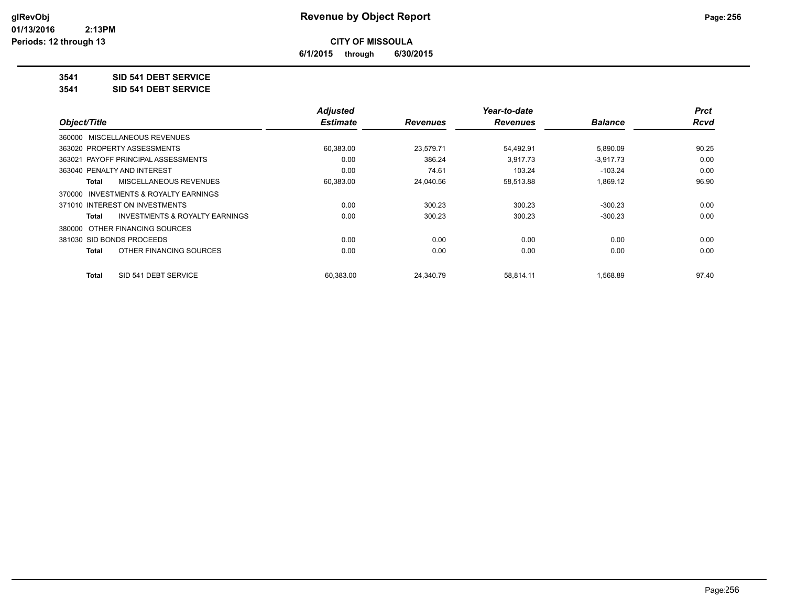**6/1/2015 through 6/30/2015**

### **3541 SID 541 DEBT SERVICE**

**3541 SID 541 DEBT SERVICE**

|                                         | <b>Adjusted</b> |                 | Year-to-date    |                | <b>Prct</b> |
|-----------------------------------------|-----------------|-----------------|-----------------|----------------|-------------|
| Object/Title                            | <b>Estimate</b> | <b>Revenues</b> | <b>Revenues</b> | <b>Balance</b> | <b>Rcvd</b> |
| 360000 MISCELLANEOUS REVENUES           |                 |                 |                 |                |             |
| 363020 PROPERTY ASSESSMENTS             | 60,383.00       | 23,579.71       | 54,492.91       | 5,890.09       | 90.25       |
| 363021 PAYOFF PRINCIPAL ASSESSMENTS     | 0.00            | 386.24          | 3.917.73        | $-3,917.73$    | 0.00        |
| 363040 PENALTY AND INTEREST             | 0.00            | 74.61           | 103.24          | $-103.24$      | 0.00        |
| MISCELLANEOUS REVENUES<br>Total         | 60,383.00       | 24,040.56       | 58,513.88       | 1,869.12       | 96.90       |
| 370000 INVESTMENTS & ROYALTY EARNINGS   |                 |                 |                 |                |             |
| 371010 INTEREST ON INVESTMENTS          | 0.00            | 300.23          | 300.23          | $-300.23$      | 0.00        |
| INVESTMENTS & ROYALTY EARNINGS<br>Total | 0.00            | 300.23          | 300.23          | $-300.23$      | 0.00        |
| 380000 OTHER FINANCING SOURCES          |                 |                 |                 |                |             |
| 381030 SID BONDS PROCEEDS               | 0.00            | 0.00            | 0.00            | 0.00           | 0.00        |
| OTHER FINANCING SOURCES<br>Total        | 0.00            | 0.00            | 0.00            | 0.00           | 0.00        |
| SID 541 DEBT SERVICE<br>Total           | 60.383.00       | 24.340.79       | 58.814.11       | 1,568.89       | 97.40       |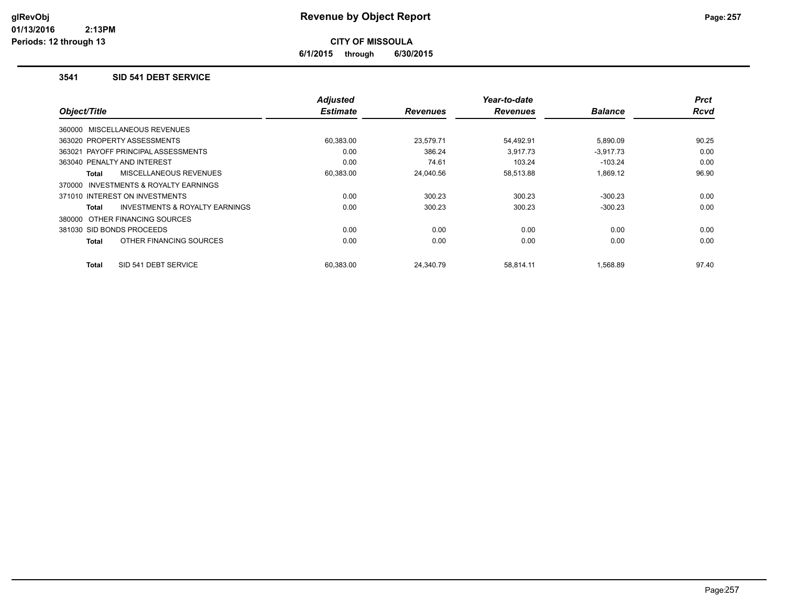**6/1/2015 through 6/30/2015**

#### **3541 SID 541 DEBT SERVICE**

| Object/Title                                       | <b>Adjusted</b><br><b>Estimate</b> | <b>Revenues</b> | Year-to-date<br><b>Revenues</b> | <b>Balance</b> | <b>Prct</b><br><b>Rcvd</b> |
|----------------------------------------------------|------------------------------------|-----------------|---------------------------------|----------------|----------------------------|
|                                                    |                                    |                 |                                 |                |                            |
| 360000 MISCELLANEOUS REVENUES                      |                                    |                 |                                 |                |                            |
| 363020 PROPERTY ASSESSMENTS                        | 60,383.00                          | 23.579.71       | 54.492.91                       | 5,890.09       | 90.25                      |
| 363021 PAYOFF PRINCIPAL ASSESSMENTS                | 0.00                               | 386.24          | 3.917.73                        | $-3.917.73$    | 0.00                       |
| 363040 PENALTY AND INTEREST                        | 0.00                               | 74.61           | 103.24                          | $-103.24$      | 0.00                       |
| MISCELLANEOUS REVENUES<br>Total                    | 60,383.00                          | 24.040.56       | 58.513.88                       | 1,869.12       | 96.90                      |
| INVESTMENTS & ROYALTY EARNINGS<br>370000           |                                    |                 |                                 |                |                            |
| 371010 INTEREST ON INVESTMENTS                     | 0.00                               | 300.23          | 300.23                          | $-300.23$      | 0.00                       |
| <b>INVESTMENTS &amp; ROYALTY EARNINGS</b><br>Total | 0.00                               | 300.23          | 300.23                          | $-300.23$      | 0.00                       |
| 380000 OTHER FINANCING SOURCES                     |                                    |                 |                                 |                |                            |
| 381030 SID BONDS PROCEEDS                          | 0.00                               | 0.00            | 0.00                            | 0.00           | 0.00                       |
| OTHER FINANCING SOURCES<br><b>Total</b>            | 0.00                               | 0.00            | 0.00                            | 0.00           | 0.00                       |
| SID 541 DEBT SERVICE<br><b>Total</b>               | 60,383.00                          | 24,340.79       | 58,814.11                       | 1,568.89       | 97.40                      |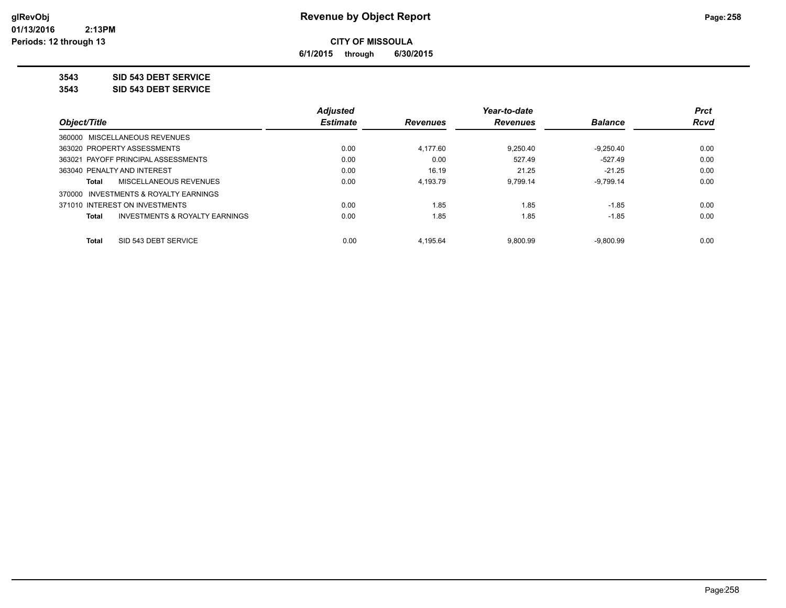**6/1/2015 through 6/30/2015**

**3543 SID 543 DEBT SERVICE**

**3543 SID 543 DEBT SERVICE**

|                             |                                       | <b>Adjusted</b> |                 | Year-to-date    |                | <b>Prct</b> |
|-----------------------------|---------------------------------------|-----------------|-----------------|-----------------|----------------|-------------|
| Object/Title                |                                       | <b>Estimate</b> | <b>Revenues</b> | <b>Revenues</b> | <b>Balance</b> | <b>Rcvd</b> |
|                             | 360000 MISCELLANEOUS REVENUES         |                 |                 |                 |                |             |
|                             | 363020 PROPERTY ASSESSMENTS           | 0.00            | 4.177.60        | 9,250.40        | $-9,250.40$    | 0.00        |
|                             | 363021 PAYOFF PRINCIPAL ASSESSMENTS   | 0.00            | 0.00            | 527.49          | $-527.49$      | 0.00        |
| 363040 PENALTY AND INTEREST |                                       | 0.00            | 16.19           | 21.25           | $-21.25$       | 0.00        |
| Total                       | MISCELLANEOUS REVENUES                | 0.00            | 4.193.79        | 9.799.14        | $-9.799.14$    | 0.00        |
|                             | 370000 INVESTMENTS & ROYALTY EARNINGS |                 |                 |                 |                |             |
|                             | 371010 INTEREST ON INVESTMENTS        | 0.00            | 1.85            | 1.85            | $-1.85$        | 0.00        |
| Total                       | INVESTMENTS & ROYALTY EARNINGS        | 0.00            | 1.85            | 1.85            | $-1.85$        | 0.00        |
| <b>Total</b>                | SID 543 DEBT SERVICE                  | 0.00            | 4.195.64        | 9.800.99        | $-9.800.99$    | 0.00        |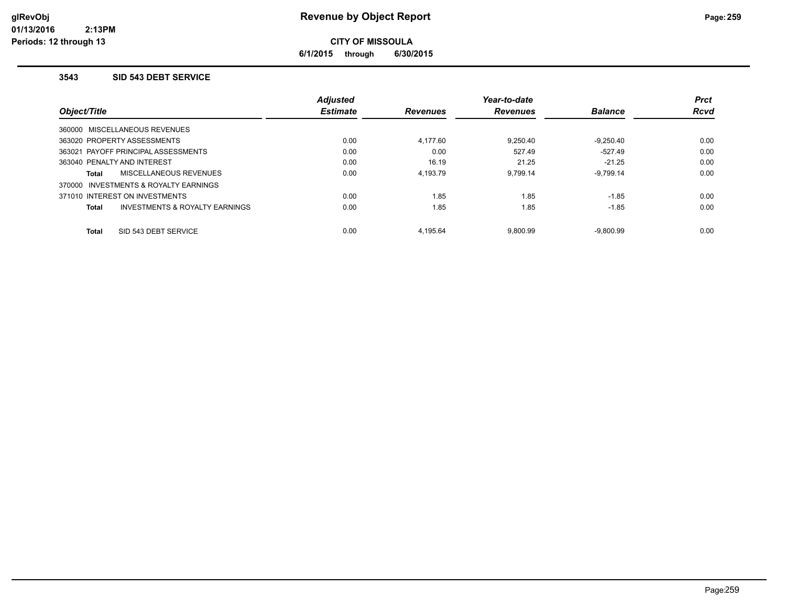**6/1/2015 through 6/30/2015**

#### **3543 SID 543 DEBT SERVICE**

|                                                    | <b>Adjusted</b> |                 | Year-to-date    |                | <b>Prct</b> |
|----------------------------------------------------|-----------------|-----------------|-----------------|----------------|-------------|
| <i><b>Object/Title</b></i>                         | <b>Estimate</b> | <b>Revenues</b> | <b>Revenues</b> | <b>Balance</b> | <b>Rcvd</b> |
| 360000 MISCELLANEOUS REVENUES                      |                 |                 |                 |                |             |
| 363020 PROPERTY ASSESSMENTS                        | 0.00            | 4.177.60        | 9,250.40        | $-9,250.40$    | 0.00        |
| 363021 PAYOFF PRINCIPAL ASSESSMENTS                | 0.00            | 0.00            | 527.49          | $-527.49$      | 0.00        |
| 363040 PENALTY AND INTEREST                        | 0.00            | 16.19           | 21.25           | $-21.25$       | 0.00        |
| MISCELLANEOUS REVENUES<br>Total                    | 0.00            | 4.193.79        | 9.799.14        | $-9.799.14$    | 0.00        |
| INVESTMENTS & ROYALTY EARNINGS<br>370000           |                 |                 |                 |                |             |
| 371010 INTEREST ON INVESTMENTS                     | 0.00            | 1.85            | 1.85            | $-1.85$        | 0.00        |
| <b>INVESTMENTS &amp; ROYALTY EARNINGS</b><br>Total | 0.00            | 1.85            | 1.85            | $-1.85$        | 0.00        |
| SID 543 DEBT SERVICE<br><b>Total</b>               | 0.00            | 4.195.64        | 9.800.99        | $-9.800.99$    | 0.00        |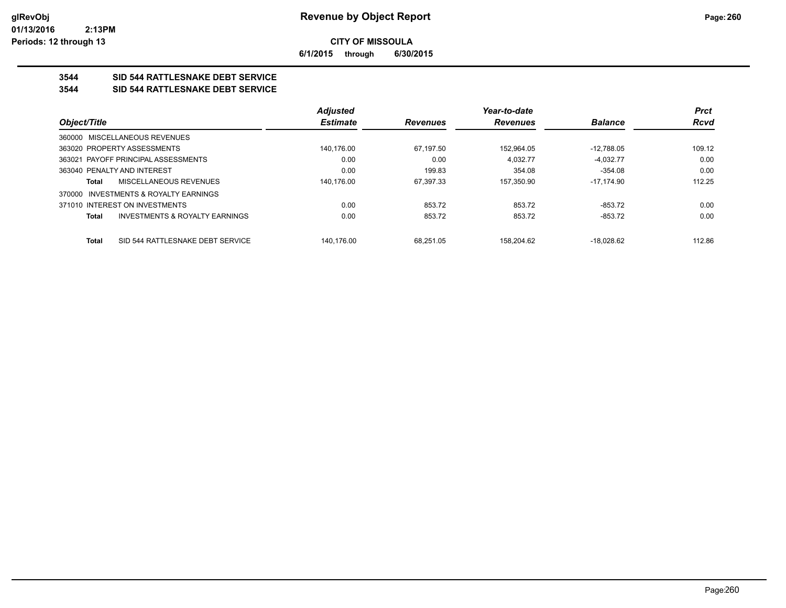**6/1/2015 through 6/30/2015**

# **3544 SID 544 RATTLESNAKE DEBT SERVICE**

**3544 SID 544 RATTLESNAKE DEBT SERVICE**

|                                           | <b>Adjusted</b> |                 | Year-to-date    |                | <b>Prct</b> |
|-------------------------------------------|-----------------|-----------------|-----------------|----------------|-------------|
|                                           | <b>Estimate</b> | <b>Revenues</b> | <b>Revenues</b> | <b>Balance</b> | Rcvd        |
| 360000 MISCELLANEOUS REVENUES             |                 |                 |                 |                |             |
| 363020 PROPERTY ASSESSMENTS               | 140.176.00      | 67.197.50       | 152.964.05      | $-12.788.05$   | 109.12      |
| 363021 PAYOFF PRINCIPAL ASSESSMENTS       | 0.00            | 0.00            | 4.032.77        | $-4.032.77$    | 0.00        |
| 363040 PENALTY AND INTEREST               | 0.00            | 199.83          | 354.08          | $-354.08$      | 0.00        |
| MISCELLANEOUS REVENUES                    | 140,176.00      | 67.397.33       | 157,350.90      | $-17.174.90$   | 112.25      |
| 370000 INVESTMENTS & ROYALTY EARNINGS     |                 |                 |                 |                |             |
| 371010 INTEREST ON INVESTMENTS            | 0.00            | 853.72          | 853.72          | $-853.72$      | 0.00        |
| <b>INVESTMENTS &amp; ROYALTY EARNINGS</b> | 0.00            | 853.72          | 853.72          | $-853.72$      | 0.00        |
| SID 544 RATTLESNAKE DEBT SERVICE          | 140.176.00      | 68.251.05       | 158.204.62      | $-18.028.62$   | 112.86      |
|                                           |                 |                 |                 |                |             |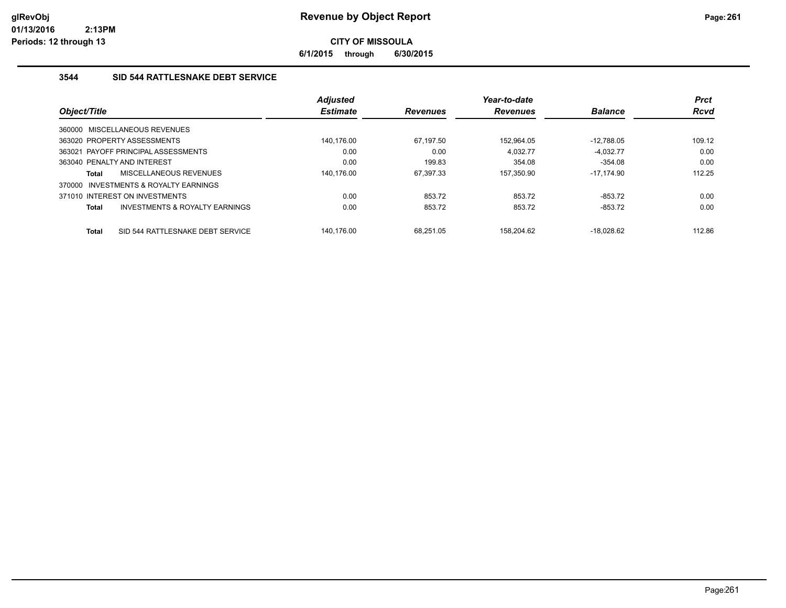**6/1/2015 through 6/30/2015**

## **3544 SID 544 RATTLESNAKE DEBT SERVICE**

|              |                                       | <b>Adjusted</b> |                 | Year-to-date    |                | <b>Prct</b> |
|--------------|---------------------------------------|-----------------|-----------------|-----------------|----------------|-------------|
| Object/Title |                                       | <b>Estimate</b> | <b>Revenues</b> | <b>Revenues</b> | <b>Balance</b> | <b>Rcvd</b> |
|              | 360000 MISCELLANEOUS REVENUES         |                 |                 |                 |                |             |
|              | 363020 PROPERTY ASSESSMENTS           | 140.176.00      | 67.197.50       | 152,964.05      | $-12.788.05$   | 109.12      |
|              | 363021 PAYOFF PRINCIPAL ASSESSMENTS   | 0.00            | 0.00            | 4.032.77        | $-4.032.77$    | 0.00        |
|              | 363040 PENALTY AND INTEREST           | 0.00            | 199.83          | 354.08          | $-354.08$      | 0.00        |
| <b>Total</b> | MISCELLANEOUS REVENUES                | 140.176.00      | 67,397.33       | 157,350.90      | $-17.174.90$   | 112.25      |
|              | 370000 INVESTMENTS & ROYALTY EARNINGS |                 |                 |                 |                |             |
|              | 371010 INTEREST ON INVESTMENTS        | 0.00            | 853.72          | 853.72          | $-853.72$      | 0.00        |
| Total        | INVESTMENTS & ROYALTY EARNINGS        | 0.00            | 853.72          | 853.72          | $-853.72$      | 0.00        |
| <b>Total</b> | SID 544 RATTLESNAKE DEBT SERVICE      | 140.176.00      | 68.251.05       | 158.204.62      | $-18.028.62$   | 112.86      |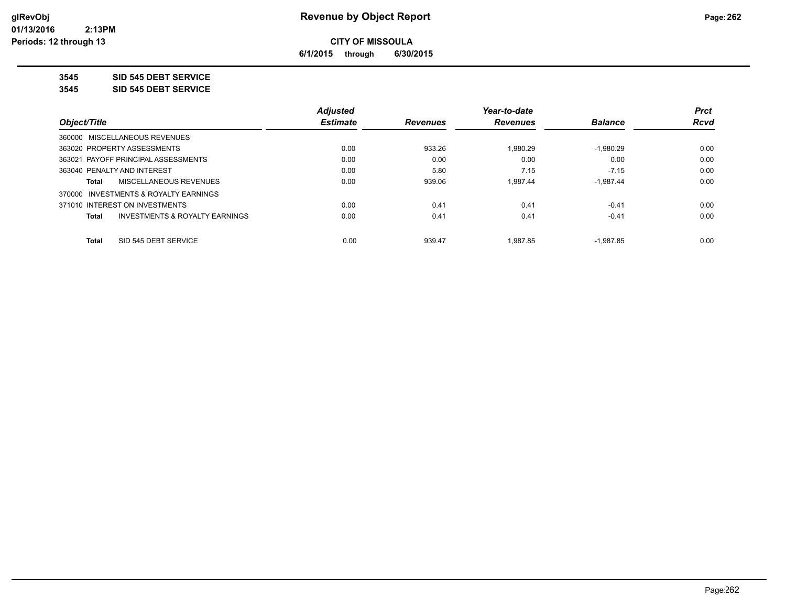**6/1/2015 through 6/30/2015**

**3545 SID 545 DEBT SERVICE**

**3545 SID 545 DEBT SERVICE**

|                                                | <b>Adjusted</b> |                 | Year-to-date    |                | <b>Prct</b> |
|------------------------------------------------|-----------------|-----------------|-----------------|----------------|-------------|
| Object/Title                                   | <b>Estimate</b> | <b>Revenues</b> | <b>Revenues</b> | <b>Balance</b> | Rcvd        |
| 360000 MISCELLANEOUS REVENUES                  |                 |                 |                 |                |             |
| 363020 PROPERTY ASSESSMENTS                    | 0.00            | 933.26          | 1,980.29        | $-1,980.29$    | 0.00        |
| 363021 PAYOFF PRINCIPAL ASSESSMENTS            | 0.00            | 0.00            | 0.00            | 0.00           | 0.00        |
| 363040 PENALTY AND INTEREST                    | 0.00            | 5.80            | 7.15            | $-7.15$        | 0.00        |
| MISCELLANEOUS REVENUES<br>Total                | 0.00            | 939.06          | 1.987.44        | $-1.987.44$    | 0.00        |
| 370000 INVESTMENTS & ROYALTY EARNINGS          |                 |                 |                 |                |             |
| 371010 INTEREST ON INVESTMENTS                 | 0.00            | 0.41            | 0.41            | $-0.41$        | 0.00        |
| INVESTMENTS & ROYALTY EARNINGS<br><b>Total</b> | 0.00            | 0.41            | 0.41            | $-0.41$        | 0.00        |
| SID 545 DEBT SERVICE<br><b>Total</b>           | 0.00            | 939.47          | 1.987.85        | $-1.987.85$    | 0.00        |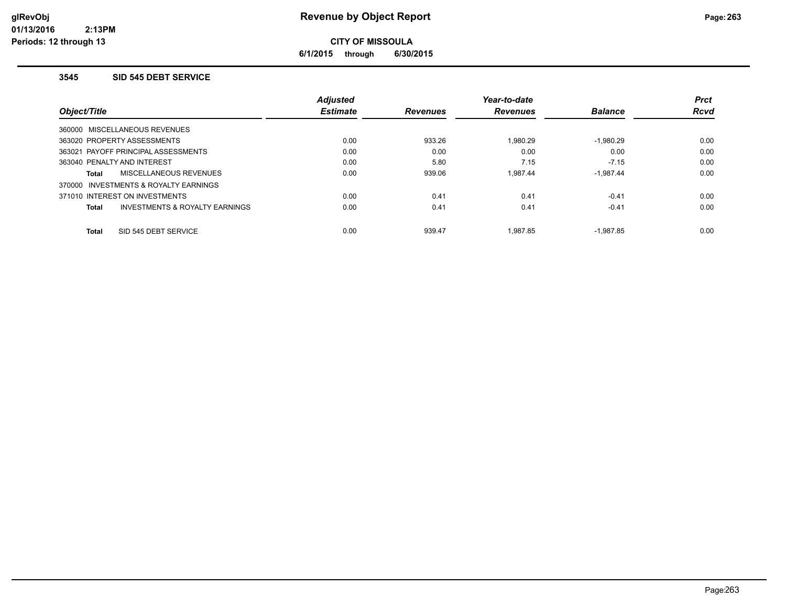**6/1/2015 through 6/30/2015**

#### **3545 SID 545 DEBT SERVICE**

|                                          |                                           | <b>Adjusted</b> |                 | Year-to-date    |                | <b>Prct</b> |
|------------------------------------------|-------------------------------------------|-----------------|-----------------|-----------------|----------------|-------------|
| <i><b>Object/Title</b></i>               |                                           | <b>Estimate</b> | <b>Revenues</b> | <b>Revenues</b> | <b>Balance</b> | <b>Rcvd</b> |
| 360000 MISCELLANEOUS REVENUES            |                                           |                 |                 |                 |                |             |
| 363020 PROPERTY ASSESSMENTS              |                                           | 0.00            | 933.26          | 1.980.29        | $-1,980.29$    | 0.00        |
| 363021 PAYOFF PRINCIPAL ASSESSMENTS      |                                           | 0.00            | 0.00            | 0.00            | 0.00           | 0.00        |
| 363040 PENALTY AND INTEREST              |                                           | 0.00            | 5.80            | 7.15            | $-7.15$        | 0.00        |
| Total                                    | MISCELLANEOUS REVENUES                    | 0.00            | 939.06          | 1.987.44        | $-1.987.44$    | 0.00        |
| INVESTMENTS & ROYALTY EARNINGS<br>370000 |                                           |                 |                 |                 |                |             |
| 371010 INTEREST ON INVESTMENTS           |                                           | 0.00            | 0.41            | 0.41            | $-0.41$        | 0.00        |
| Total                                    | <b>INVESTMENTS &amp; ROYALTY EARNINGS</b> | 0.00            | 0.41            | 0.41            | $-0.41$        | 0.00        |
| <b>Total</b>                             | SID 545 DEBT SERVICE                      | 0.00            | 939.47          | 1.987.85        | $-1.987.85$    | 0.00        |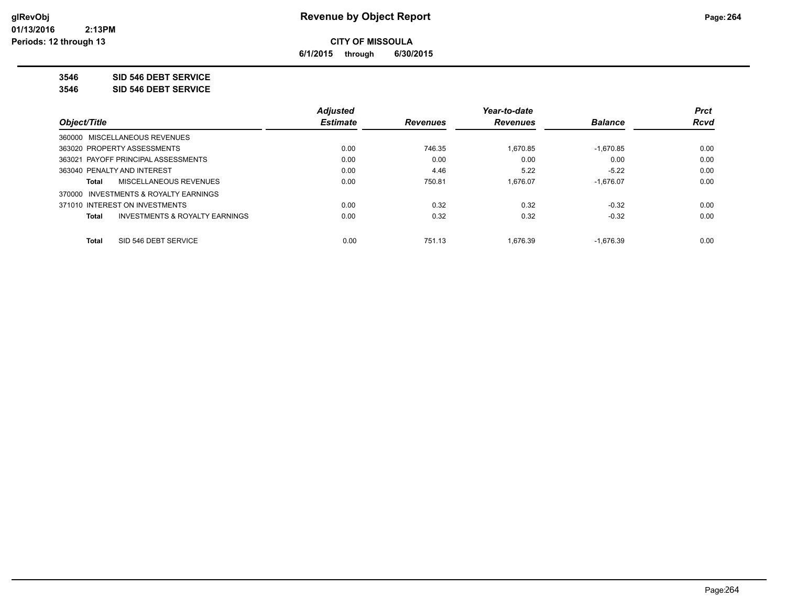**6/1/2015 through 6/30/2015**

**3546 SID 546 DEBT SERVICE**

**3546 SID 546 DEBT SERVICE**

|                                                | <b>Adjusted</b> |                 | Year-to-date    |                | <b>Prct</b> |
|------------------------------------------------|-----------------|-----------------|-----------------|----------------|-------------|
| Object/Title                                   | <b>Estimate</b> | <b>Revenues</b> | <b>Revenues</b> | <b>Balance</b> | Rcvd        |
| 360000 MISCELLANEOUS REVENUES                  |                 |                 |                 |                |             |
| 363020 PROPERTY ASSESSMENTS                    | 0.00            | 746.35          | 1,670.85        | $-1,670.85$    | 0.00        |
| 363021 PAYOFF PRINCIPAL ASSESSMENTS            | 0.00            | 0.00            | 0.00            | 0.00           | 0.00        |
| 363040 PENALTY AND INTEREST                    | 0.00            | 4.46            | 5.22            | $-5.22$        | 0.00        |
| MISCELLANEOUS REVENUES<br>Total                | 0.00            | 750.81          | 1.676.07        | $-1.676.07$    | 0.00        |
| 370000 INVESTMENTS & ROYALTY EARNINGS          |                 |                 |                 |                |             |
| 371010 INTEREST ON INVESTMENTS                 | 0.00            | 0.32            | 0.32            | $-0.32$        | 0.00        |
| INVESTMENTS & ROYALTY EARNINGS<br><b>Total</b> | 0.00            | 0.32            | 0.32            | $-0.32$        | 0.00        |
| SID 546 DEBT SERVICE<br>Total                  | 0.00            | 751.13          | 1.676.39        | $-1.676.39$    | 0.00        |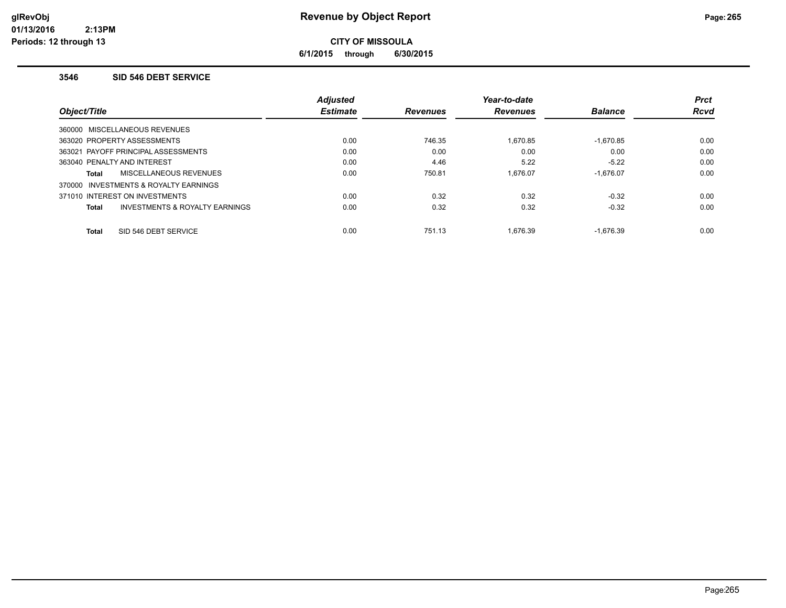**6/1/2015 through 6/30/2015**

#### **3546 SID 546 DEBT SERVICE**

|                                     |                                | <b>Adiusted</b> |                 | Year-to-date    |                | <b>Prct</b> |
|-------------------------------------|--------------------------------|-----------------|-----------------|-----------------|----------------|-------------|
| Object/Title                        |                                | <b>Estimate</b> | <b>Revenues</b> | <b>Revenues</b> | <b>Balance</b> | <b>Rcvd</b> |
| 360000 MISCELLANEOUS REVENUES       |                                |                 |                 |                 |                |             |
| 363020 PROPERTY ASSESSMENTS         |                                | 0.00            | 746.35          | 1.670.85        | $-1.670.85$    | 0.00        |
| 363021 PAYOFF PRINCIPAL ASSESSMENTS |                                | 0.00            | 0.00            | 0.00            | 0.00           | 0.00        |
| 363040 PENALTY AND INTEREST         |                                | 0.00            | 4.46            | 5.22            | $-5.22$        | 0.00        |
| Total                               | MISCELLANEOUS REVENUES         | 0.00            | 750.81          | 1.676.07        | $-1.676.07$    | 0.00        |
| 370000                              | INVESTMENTS & ROYALTY EARNINGS |                 |                 |                 |                |             |
| 371010 INTEREST ON INVESTMENTS      |                                | 0.00            | 0.32            | 0.32            | $-0.32$        | 0.00        |
| Total                               | INVESTMENTS & ROYALTY EARNINGS | 0.00            | 0.32            | 0.32            | $-0.32$        | 0.00        |
| <b>Total</b>                        | SID 546 DEBT SERVICE           | 0.00            | 751.13          | 1.676.39        | $-1.676.39$    | 0.00        |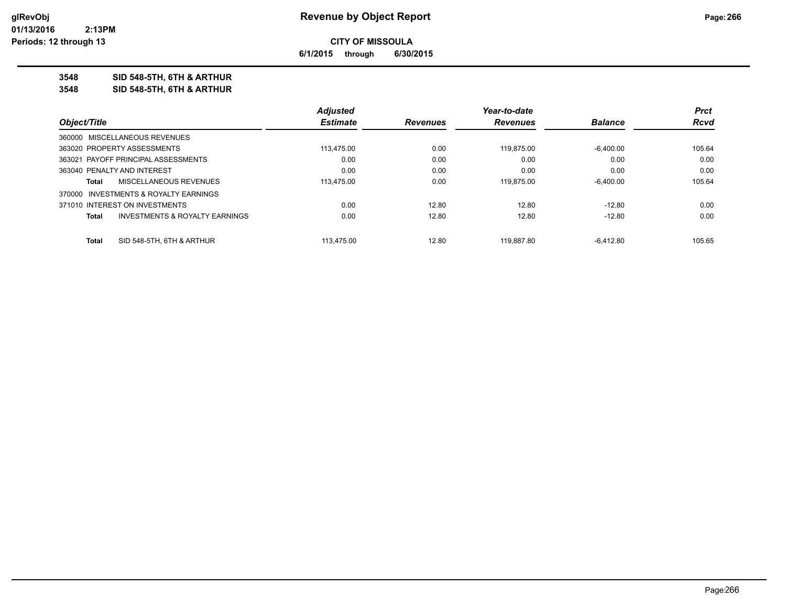**6/1/2015 through 6/30/2015**

**3548 SID 548-5TH, 6TH & ARTHUR**

**3548 SID 548-5TH, 6TH & ARTHUR**

|                                                           | <b>Adjusted</b> |                 | Year-to-date    |                | <b>Prct</b> |
|-----------------------------------------------------------|-----------------|-----------------|-----------------|----------------|-------------|
| Object/Title                                              | <b>Estimate</b> | <b>Revenues</b> | <b>Revenues</b> | <b>Balance</b> | Rcvd        |
| 360000 MISCELLANEOUS REVENUES                             |                 |                 |                 |                |             |
| 363020 PROPERTY ASSESSMENTS                               | 113.475.00      | 0.00            | 119.875.00      | $-6.400.00$    | 105.64      |
| 363021 PAYOFF PRINCIPAL ASSESSMENTS                       | 0.00            | 0.00            | 0.00            | 0.00           | 0.00        |
| 363040 PENALTY AND INTEREST                               | 0.00            | 0.00            | 0.00            | 0.00           | 0.00        |
| MISCELLANEOUS REVENUES<br>Total                           | 113.475.00      | 0.00            | 119.875.00      | $-6.400.00$    | 105.64      |
| 370000 INVESTMENTS & ROYALTY EARNINGS                     |                 |                 |                 |                |             |
| 371010 INTEREST ON INVESTMENTS                            | 0.00            | 12.80           | 12.80           | $-12.80$       | 0.00        |
| <b>INVESTMENTS &amp; ROYALTY EARNINGS</b><br><b>Total</b> | 0.00            | 12.80           | 12.80           | $-12.80$       | 0.00        |
|                                                           |                 |                 |                 |                |             |
| SID 548-5TH, 6TH & ARTHUR<br>Total                        | 113.475.00      | 12.80           | 119.887.80      | $-6.412.80$    | 105.65      |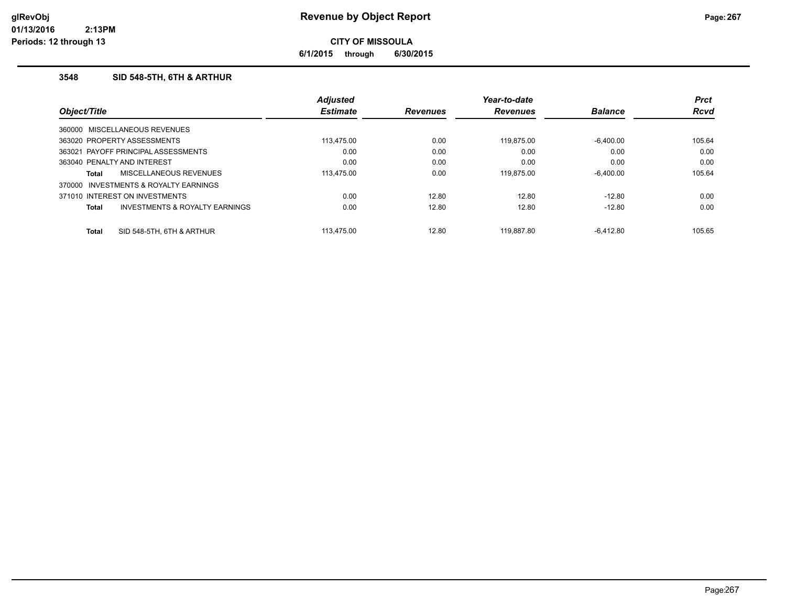**6/1/2015 through 6/30/2015**

## **3548 SID 548-5TH, 6TH & ARTHUR**

|              |                                           | <b>Adjusted</b> |                 | Year-to-date    |                | <b>Prct</b> |
|--------------|-------------------------------------------|-----------------|-----------------|-----------------|----------------|-------------|
| Object/Title |                                           | <b>Estimate</b> | <b>Revenues</b> | <b>Revenues</b> | <b>Balance</b> | <b>Rcvd</b> |
|              | 360000 MISCELLANEOUS REVENUES             |                 |                 |                 |                |             |
|              | 363020 PROPERTY ASSESSMENTS               | 113.475.00      | 0.00            | 119.875.00      | $-6,400.00$    | 105.64      |
|              | 363021 PAYOFF PRINCIPAL ASSESSMENTS       | 0.00            | 0.00            | 0.00            | 0.00           | 0.00        |
|              | 363040 PENALTY AND INTEREST               | 0.00            | 0.00            | 0.00            | 0.00           | 0.00        |
| Total        | MISCELLANEOUS REVENUES                    | 113.475.00      | 0.00            | 119.875.00      | $-6.400.00$    | 105.64      |
| 370000       | INVESTMENTS & ROYALTY EARNINGS            |                 |                 |                 |                |             |
|              | 371010 INTEREST ON INVESTMENTS            | 0.00            | 12.80           | 12.80           | $-12.80$       | 0.00        |
| <b>Total</b> | <b>INVESTMENTS &amp; ROYALTY EARNINGS</b> | 0.00            | 12.80           | 12.80           | $-12.80$       | 0.00        |
| <b>Total</b> | SID 548-5TH, 6TH & ARTHUR                 | 113.475.00      | 12.80           | 119.887.80      | $-6.412.80$    | 105.65      |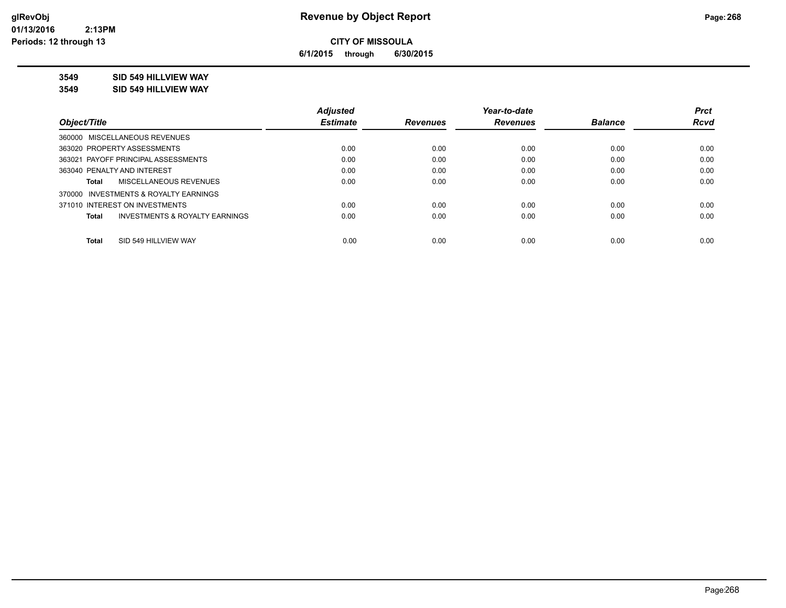**6/1/2015 through 6/30/2015**

## **3549 SID 549 HILLVIEW WAY**

**3549 SID 549 HILLVIEW WAY**

|                                         | <b>Adjusted</b> |                 | Year-to-date    |                | <b>Prct</b> |
|-----------------------------------------|-----------------|-----------------|-----------------|----------------|-------------|
| Object/Title                            | <b>Estimate</b> | <b>Revenues</b> | <b>Revenues</b> | <b>Balance</b> | <b>Rcvd</b> |
| 360000 MISCELLANEOUS REVENUES           |                 |                 |                 |                |             |
| 363020 PROPERTY ASSESSMENTS             | 0.00            | 0.00            | 0.00            | 0.00           | 0.00        |
| 363021 PAYOFF PRINCIPAL ASSESSMENTS     | 0.00            | 0.00            | 0.00            | 0.00           | 0.00        |
| 363040 PENALTY AND INTEREST             | 0.00            | 0.00            | 0.00            | 0.00           | 0.00        |
| MISCELLANEOUS REVENUES<br>Total         | 0.00            | 0.00            | 0.00            | 0.00           | 0.00        |
| 370000 INVESTMENTS & ROYALTY EARNINGS   |                 |                 |                 |                |             |
| 371010 INTEREST ON INVESTMENTS          | 0.00            | 0.00            | 0.00            | 0.00           | 0.00        |
| INVESTMENTS & ROYALTY EARNINGS<br>Total | 0.00            | 0.00            | 0.00            | 0.00           | 0.00        |
| SID 549 HILLVIEW WAY<br>Total           | 0.00            | 0.00            | 0.00            | 0.00           | 0.00        |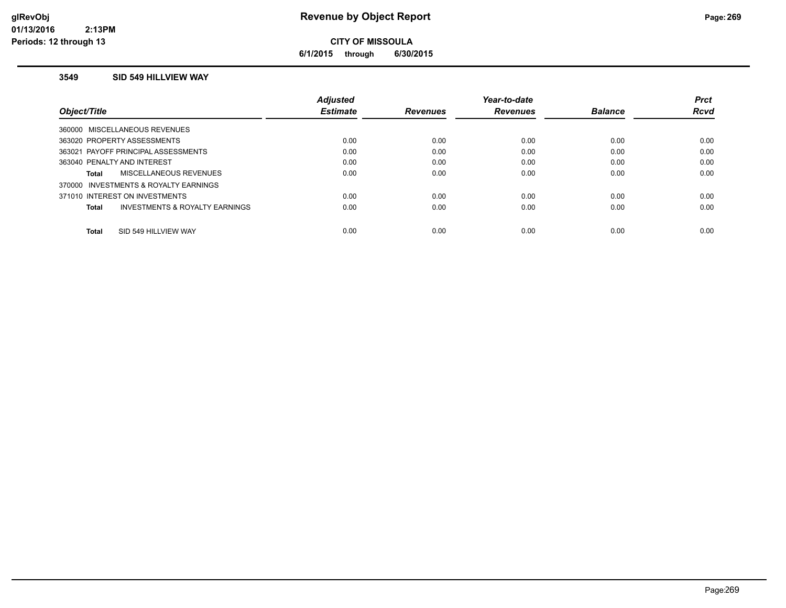**6/1/2015 through 6/30/2015**

#### **3549 SID 549 HILLVIEW WAY**

|                                          | Adjusted        |                 | Year-to-date    |                | <b>Prct</b> |
|------------------------------------------|-----------------|-----------------|-----------------|----------------|-------------|
| Object/Title                             | <b>Estimate</b> | <b>Revenues</b> | <b>Revenues</b> | <b>Balance</b> | <b>Rcvd</b> |
| 360000 MISCELLANEOUS REVENUES            |                 |                 |                 |                |             |
| 363020 PROPERTY ASSESSMENTS              | 0.00            | 0.00            | 0.00            | 0.00           | 0.00        |
| 363021 PAYOFF PRINCIPAL ASSESSMENTS      | 0.00            | 0.00            | 0.00            | 0.00           | 0.00        |
| 363040 PENALTY AND INTEREST              | 0.00            | 0.00            | 0.00            | 0.00           | 0.00        |
| MISCELLANEOUS REVENUES<br>Total          | 0.00            | 0.00            | 0.00            | 0.00           | 0.00        |
| INVESTMENTS & ROYALTY EARNINGS<br>370000 |                 |                 |                 |                |             |
| 371010 INTEREST ON INVESTMENTS           | 0.00            | 0.00            | 0.00            | 0.00           | 0.00        |
| INVESTMENTS & ROYALTY EARNINGS<br>Total  | 0.00            | 0.00            | 0.00            | 0.00           | 0.00        |
| SID 549 HILLVIEW WAY<br><b>Total</b>     | 0.00            | 0.00            | 0.00            | 0.00           | 0.00        |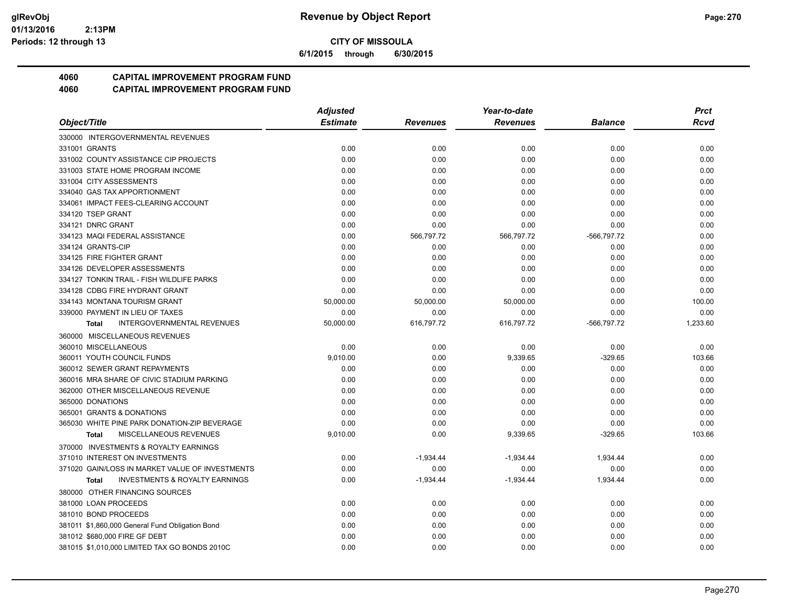**6/1/2015 through 6/30/2015**

## **4060 CAPITAL IMPROVEMENT PROGRAM FUND**

|                                                           | <b>Adjusted</b> |                 | Year-to-date    |                | <b>Prct</b> |
|-----------------------------------------------------------|-----------------|-----------------|-----------------|----------------|-------------|
| Object/Title                                              | <b>Estimate</b> | <b>Revenues</b> | <b>Revenues</b> | <b>Balance</b> | Rcvd        |
| 330000 INTERGOVERNMENTAL REVENUES                         |                 |                 |                 |                |             |
| 331001 GRANTS                                             | 0.00            | 0.00            | 0.00            | 0.00           | 0.00        |
| 331002 COUNTY ASSISTANCE CIP PROJECTS                     | 0.00            | 0.00            | 0.00            | 0.00           | 0.00        |
| 331003 STATE HOME PROGRAM INCOME                          | 0.00            | 0.00            | 0.00            | 0.00           | 0.00        |
| 331004 CITY ASSESSMENTS                                   | 0.00            | 0.00            | 0.00            | 0.00           | 0.00        |
| 334040 GAS TAX APPORTIONMENT                              | 0.00            | 0.00            | 0.00            | 0.00           | 0.00        |
| 334061 IMPACT FEES-CLEARING ACCOUNT                       | 0.00            | 0.00            | 0.00            | 0.00           | 0.00        |
| 334120 TSEP GRANT                                         | 0.00            | 0.00            | 0.00            | 0.00           | 0.00        |
| 334121 DNRC GRANT                                         | 0.00            | 0.00            | 0.00            | 0.00           | 0.00        |
| 334123 MAQI FEDERAL ASSISTANCE                            | 0.00            | 566,797.72      | 566,797.72      | -566,797.72    | 0.00        |
| 334124 GRANTS-CIP                                         | 0.00            | 0.00            | 0.00            | 0.00           | 0.00        |
| 334125 FIRE FIGHTER GRANT                                 | 0.00            | 0.00            | 0.00            | 0.00           | 0.00        |
| 334126 DEVELOPER ASSESSMENTS                              | 0.00            | 0.00            | 0.00            | 0.00           | 0.00        |
| 334127 TONKIN TRAIL - FISH WILDLIFE PARKS                 | 0.00            | 0.00            | 0.00            | 0.00           | 0.00        |
| 334128 CDBG FIRE HYDRANT GRANT                            | 0.00            | 0.00            | 0.00            | 0.00           | 0.00        |
| 334143 MONTANA TOURISM GRANT                              | 50,000.00       | 50,000.00       | 50.000.00       | 0.00           | 100.00      |
| 339000 PAYMENT IN LIEU OF TAXES                           | 0.00            | 0.00            | 0.00            | 0.00           | 0.00        |
| <b>INTERGOVERNMENTAL REVENUES</b><br><b>Total</b>         | 50,000.00       | 616,797.72      | 616,797.72      | -566,797.72    | 1,233.60    |
| 360000 MISCELLANEOUS REVENUES                             |                 |                 |                 |                |             |
| 360010 MISCELLANEOUS                                      | 0.00            | 0.00            | 0.00            | 0.00           | 0.00        |
| 360011 YOUTH COUNCIL FUNDS                                | 9,010.00        | 0.00            | 9,339.65        | $-329.65$      | 103.66      |
| 360012 SEWER GRANT REPAYMENTS                             | 0.00            | 0.00            | 0.00            | 0.00           | 0.00        |
| 360016 MRA SHARE OF CIVIC STADIUM PARKING                 | 0.00            | 0.00            | 0.00            | 0.00           | 0.00        |
| 362000 OTHER MISCELLANEOUS REVENUE                        | 0.00            | 0.00            | 0.00            | 0.00           | 0.00        |
| 365000 DONATIONS                                          | 0.00            | 0.00            | 0.00            | 0.00           | 0.00        |
| 365001 GRANTS & DONATIONS                                 | 0.00            | 0.00            | 0.00            | 0.00           | 0.00        |
| 365030 WHITE PINE PARK DONATION-ZIP BEVERAGE              | 0.00            | 0.00            | 0.00            | 0.00           | 0.00        |
| MISCELLANEOUS REVENUES<br><b>Total</b>                    | 9,010.00        | 0.00            | 9,339.65        | $-329.65$      | 103.66      |
| 370000 INVESTMENTS & ROYALTY EARNINGS                     |                 |                 |                 |                |             |
| 371010 INTEREST ON INVESTMENTS                            | 0.00            | $-1,934.44$     | $-1,934.44$     | 1,934.44       | 0.00        |
| 371020 GAIN/LOSS IN MARKET VALUE OF INVESTMENTS           | 0.00            | 0.00            | 0.00            | 0.00           | 0.00        |
| <b>INVESTMENTS &amp; ROYALTY EARNINGS</b><br><b>Total</b> | 0.00            | $-1,934.44$     | $-1,934.44$     | 1,934.44       | 0.00        |
| 380000 OTHER FINANCING SOURCES                            |                 |                 |                 |                |             |
| 381000 LOAN PROCEEDS                                      | 0.00            | 0.00            | 0.00            | 0.00           | 0.00        |
| 381010 BOND PROCEEDS                                      | 0.00            | 0.00            | 0.00            | 0.00           | 0.00        |
| 381011 \$1,860,000 General Fund Obligation Bond           | 0.00            | 0.00            | 0.00            | 0.00           | 0.00        |
| 381012 \$680,000 FIRE GF DEBT                             | 0.00            | 0.00            | 0.00            | 0.00           | 0.00        |
| 381015 \$1,010,000 LIMITED TAX GO BONDS 2010C             | 0.00            | 0.00            | 0.00            | 0.00           | 0.00        |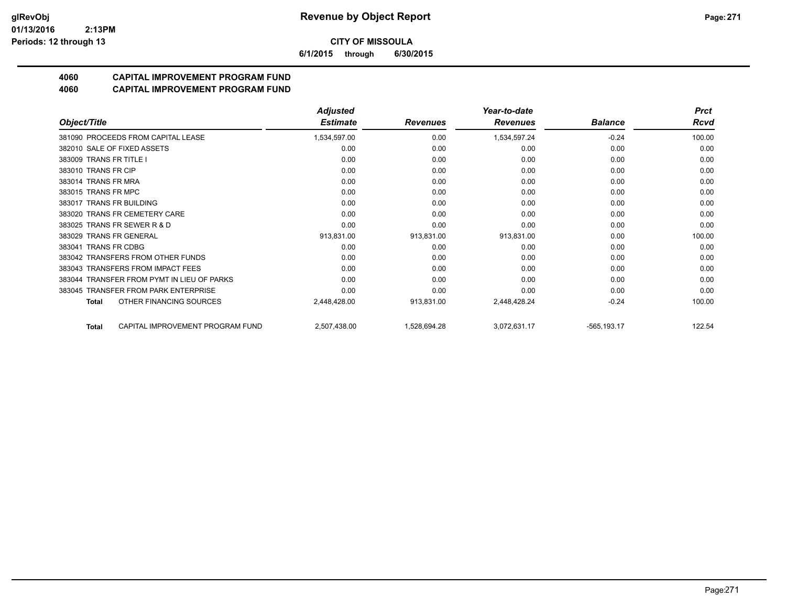**6/1/2015 through 6/30/2015**

# **4060 CAPITAL IMPROVEMENT PROGRAM FUND**

|                                                  | <b>Adjusted</b> |                 | Year-to-date    |                | <b>Prct</b> |
|--------------------------------------------------|-----------------|-----------------|-----------------|----------------|-------------|
| Object/Title                                     | <b>Estimate</b> | <b>Revenues</b> | <b>Revenues</b> | <b>Balance</b> | Rcvd        |
| 381090 PROCEEDS FROM CAPITAL LEASE               | 1,534,597.00    | 0.00            | 1,534,597.24    | $-0.24$        | 100.00      |
| 382010 SALE OF FIXED ASSETS                      | 0.00            | 0.00            | 0.00            | 0.00           | 0.00        |
| 383009 TRANS FR TITLE I                          | 0.00            | 0.00            | 0.00            | 0.00           | 0.00        |
| 383010 TRANS FR CIP                              | 0.00            | 0.00            | 0.00            | 0.00           | 0.00        |
| 383014 TRANS FR MRA                              | 0.00            | 0.00            | 0.00            | 0.00           | 0.00        |
| 383015 TRANS FR MPC                              | 0.00            | 0.00            | 0.00            | 0.00           | 0.00        |
| 383017 TRANS FR BUILDING                         | 0.00            | 0.00            | 0.00            | 0.00           | 0.00        |
| 383020 TRANS FR CEMETERY CARE                    | 0.00            | 0.00            | 0.00            | 0.00           | 0.00        |
| 383025 TRANS FR SEWER R & D                      | 0.00            | 0.00            | 0.00            | 0.00           | 0.00        |
| 383029 TRANS FR GENERAL                          | 913,831.00      | 913,831.00      | 913,831.00      | 0.00           | 100.00      |
| 383041 TRANS FR CDBG                             | 0.00            | 0.00            | 0.00            | 0.00           | 0.00        |
| 383042 TRANSFERS FROM OTHER FUNDS                | 0.00            | 0.00            | 0.00            | 0.00           | 0.00        |
| 383043 TRANSFERS FROM IMPACT FEES                | 0.00            | 0.00            | 0.00            | 0.00           | 0.00        |
| 383044 TRANSFER FROM PYMT IN LIEU OF PARKS       | 0.00            | 0.00            | 0.00            | 0.00           | 0.00        |
| 383045 TRANSFER FROM PARK ENTERPRISE             | 0.00            | 0.00            | 0.00            | 0.00           | 0.00        |
| OTHER FINANCING SOURCES<br>Total                 | 2,448,428.00    | 913,831.00      | 2,448,428.24    | $-0.24$        | 100.00      |
| CAPITAL IMPROVEMENT PROGRAM FUND<br><b>Total</b> | 2,507,438.00    | 1,528,694.28    | 3,072,631.17    | $-565, 193.17$ | 122.54      |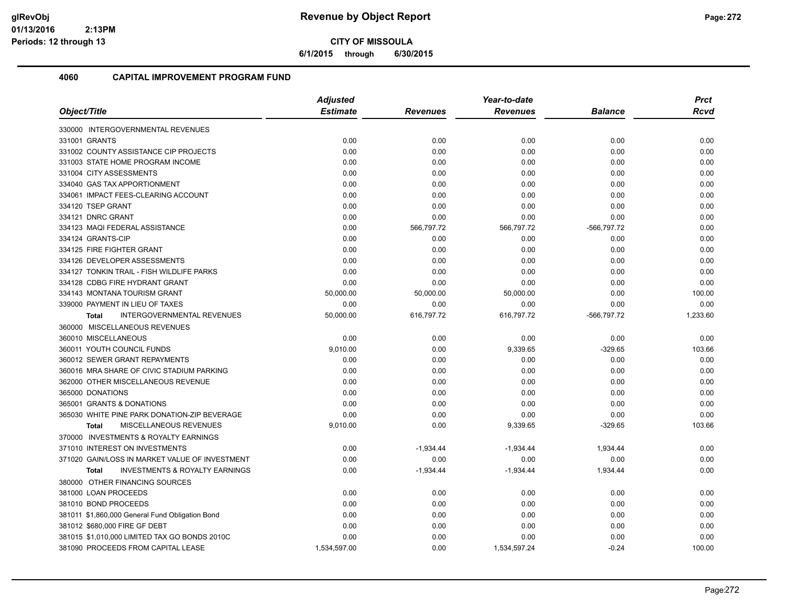**6/1/2015 through 6/30/2015**

|                                                    | <b>Adjusted</b> |                 | Year-to-date    |                |             |
|----------------------------------------------------|-----------------|-----------------|-----------------|----------------|-------------|
| Object/Title                                       | <b>Estimate</b> | <b>Revenues</b> | <b>Revenues</b> | <b>Balance</b> | <b>Rcvd</b> |
| 330000 INTERGOVERNMENTAL REVENUES                  |                 |                 |                 |                |             |
| 331001 GRANTS                                      | 0.00            | 0.00            | 0.00            | 0.00           | 0.00        |
| 331002 COUNTY ASSISTANCE CIP PROJECTS              | 0.00            | 0.00            | 0.00            | 0.00           | 0.00        |
| 331003 STATE HOME PROGRAM INCOME                   | 0.00            | 0.00            | 0.00            | 0.00           | 0.00        |
| 331004 CITY ASSESSMENTS                            | 0.00            | 0.00            | 0.00            | 0.00           | 0.00        |
| 334040 GAS TAX APPORTIONMENT                       | 0.00            | 0.00            | 0.00            | 0.00           | 0.00        |
| 334061 IMPACT FEES-CLEARING ACCOUNT                | 0.00            | 0.00            | 0.00            | 0.00           | 0.00        |
| 334120 TSEP GRANT                                  | 0.00            | 0.00            | 0.00            | 0.00           | 0.00        |
| 334121 DNRC GRANT                                  | 0.00            | 0.00            | 0.00            | 0.00           | 0.00        |
| 334123 MAQI FEDERAL ASSISTANCE                     | 0.00            | 566,797.72      | 566,797.72      | -566,797.72    | 0.00        |
| 334124 GRANTS-CIP                                  | 0.00            | 0.00            | 0.00            | 0.00           | 0.00        |
| 334125 FIRE FIGHTER GRANT                          | 0.00            | 0.00            | 0.00            | 0.00           | 0.00        |
| 334126 DEVELOPER ASSESSMENTS                       | 0.00            | 0.00            | 0.00            | 0.00           | 0.00        |
| 334127 TONKIN TRAIL - FISH WILDLIFE PARKS          | 0.00            | 0.00            | 0.00            | 0.00           | 0.00        |
| 334128 CDBG FIRE HYDRANT GRANT                     | 0.00            | 0.00            | 0.00            | 0.00           | 0.00        |
| 334143 MONTANA TOURISM GRANT                       | 50,000.00       | 50,000.00       | 50,000.00       | 0.00           | 100.00      |
| 339000 PAYMENT IN LIEU OF TAXES                    | 0.00            | 0.00            | 0.00            | 0.00           | 0.00        |
| <b>INTERGOVERNMENTAL REVENUES</b><br>Total         | 50,000.00       | 616,797.72      | 616,797.72      | $-566,797.72$  | 1,233.60    |
| 360000 MISCELLANEOUS REVENUES                      |                 |                 |                 |                |             |
| 360010 MISCELLANEOUS                               | 0.00            | 0.00            | 0.00            | 0.00           | 0.00        |
| 360011 YOUTH COUNCIL FUNDS                         | 9,010.00        | 0.00            | 9,339.65        | $-329.65$      | 103.66      |
| 360012 SEWER GRANT REPAYMENTS                      | 0.00            | 0.00            | 0.00            | 0.00           | 0.00        |
| 360016 MRA SHARE OF CIVIC STADIUM PARKING          | 0.00            | 0.00            | 0.00            | 0.00           | 0.00        |
| 362000 OTHER MISCELLANEOUS REVENUE                 | 0.00            | 0.00            | 0.00            | 0.00           | 0.00        |
| 365000 DONATIONS                                   | 0.00            | 0.00            | 0.00            | 0.00           | 0.00        |
| 365001 GRANTS & DONATIONS                          | 0.00            | 0.00            | 0.00            | 0.00           | 0.00        |
| 365030 WHITE PINE PARK DONATION-ZIP BEVERAGE       | 0.00            | 0.00            | 0.00            | 0.00           | 0.00        |
| MISCELLANEOUS REVENUES<br>Total                    | 9,010.00        | 0.00            | 9,339.65        | $-329.65$      | 103.66      |
| 370000 INVESTMENTS & ROYALTY EARNINGS              |                 |                 |                 |                |             |
| 371010 INTEREST ON INVESTMENTS                     | 0.00            | $-1,934.44$     | $-1,934.44$     | 1,934.44       | 0.00        |
| 371020 GAIN/LOSS IN MARKET VALUE OF INVESTMENT     | 0.00            | 0.00            | 0.00            | 0.00           | 0.00        |
| <b>INVESTMENTS &amp; ROYALTY EARNINGS</b><br>Total | 0.00            | $-1,934.44$     | $-1,934.44$     | 1,934.44       | 0.00        |
| 380000 OTHER FINANCING SOURCES                     |                 |                 |                 |                |             |
| 381000 LOAN PROCEEDS                               | 0.00            | 0.00            | 0.00            | 0.00           | 0.00        |
| 381010 BOND PROCEEDS                               | 0.00            | 0.00            | 0.00            | 0.00           | 0.00        |
| 381011 \$1,860,000 General Fund Obligation Bond    | 0.00            | 0.00            | 0.00            | 0.00           | 0.00        |
| 381012 \$680,000 FIRE GF DEBT                      | 0.00            | 0.00            | 0.00            | 0.00           | 0.00        |
| 381015 \$1,010,000 LIMITED TAX GO BONDS 2010C      | 0.00            | 0.00            | 0.00            | 0.00           | 0.00        |
| 381090 PROCEEDS FROM CAPITAL LEASE                 | 1,534,597.00    | 0.00            | 1,534,597.24    | $-0.24$        | 100.00      |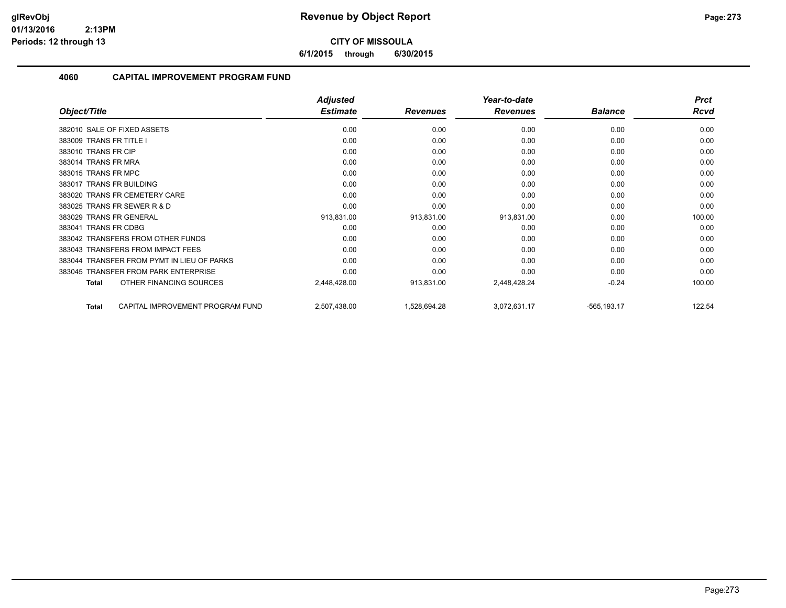**6/1/2015 through 6/30/2015**

|                                            | <b>Adjusted</b> |                 | Year-to-date    |                | <b>Prct</b> |
|--------------------------------------------|-----------------|-----------------|-----------------|----------------|-------------|
| Object/Title                               | <b>Estimate</b> | <b>Revenues</b> | <b>Revenues</b> | <b>Balance</b> | <b>Rcvd</b> |
| 382010 SALE OF FIXED ASSETS                | 0.00            | 0.00            | 0.00            | 0.00           | 0.00        |
| 383009 TRANS FR TITLE I                    | 0.00            | 0.00            | 0.00            | 0.00           | 0.00        |
| 383010 TRANS FR CIP                        | 0.00            | 0.00            | 0.00            | 0.00           | 0.00        |
| 383014 TRANS FR MRA                        | 0.00            | 0.00            | 0.00            | 0.00           | 0.00        |
| 383015 TRANS FR MPC                        | 0.00            | 0.00            | 0.00            | 0.00           | 0.00        |
| 383017 TRANS FR BUILDING                   | 0.00            | 0.00            | 0.00            | 0.00           | 0.00        |
| 383020 TRANS FR CEMETERY CARE              | 0.00            | 0.00            | 0.00            | 0.00           | 0.00        |
| 383025 TRANS FR SEWER R & D                | 0.00            | 0.00            | 0.00            | 0.00           | 0.00        |
| 383029 TRANS FR GENERAL                    | 913,831.00      | 913,831.00      | 913,831.00      | 0.00           | 100.00      |
| <b>TRANS FR CDBG</b><br>383041             | 0.00            | 0.00            | 0.00            | 0.00           | 0.00        |
| 383042 TRANSFERS FROM OTHER FUNDS          | 0.00            | 0.00            | 0.00            | 0.00           | 0.00        |
| 383043 TRANSFERS FROM IMPACT FEES          | 0.00            | 0.00            | 0.00            | 0.00           | 0.00        |
| 383044 TRANSFER FROM PYMT IN LIEU OF PARKS | 0.00            | 0.00            | 0.00            | 0.00           | 0.00        |
| 383045 TRANSFER FROM PARK ENTERPRISE       | 0.00            | 0.00            | 0.00            | 0.00           | 0.00        |
| OTHER FINANCING SOURCES<br>Total           | 2,448,428.00    | 913,831.00      | 2,448,428.24    | $-0.24$        | 100.00      |
| CAPITAL IMPROVEMENT PROGRAM FUND<br>Total  | 2,507,438.00    | 1,528,694.28    | 3,072,631.17    | $-565, 193.17$ | 122.54      |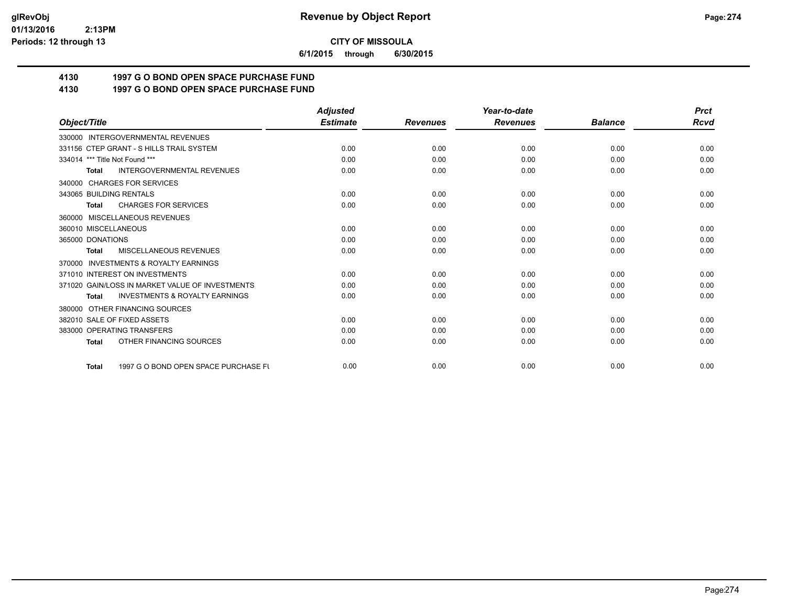**6/1/2015 through 6/30/2015**

# **4130 1997 G O BOND OPEN SPACE PURCHASE FUND**

## **4130 1997 G O BOND OPEN SPACE PURCHASE FUND**

|                                                           | <b>Adjusted</b> |                 | Year-to-date    |                | <b>Prct</b> |
|-----------------------------------------------------------|-----------------|-----------------|-----------------|----------------|-------------|
| Object/Title                                              | <b>Estimate</b> | <b>Revenues</b> | <b>Revenues</b> | <b>Balance</b> | Rcvd        |
| 330000 INTERGOVERNMENTAL REVENUES                         |                 |                 |                 |                |             |
| 331156 CTEP GRANT - S HILLS TRAIL SYSTEM                  | 0.00            | 0.00            | 0.00            | 0.00           | 0.00        |
| 334014 *** Title Not Found ***                            | 0.00            | 0.00            | 0.00            | 0.00           | 0.00        |
| <b>INTERGOVERNMENTAL REVENUES</b><br><b>Total</b>         | 0.00            | 0.00            | 0.00            | 0.00           | 0.00        |
| 340000 CHARGES FOR SERVICES                               |                 |                 |                 |                |             |
| 343065 BUILDING RENTALS                                   | 0.00            | 0.00            | 0.00            | 0.00           | 0.00        |
| <b>CHARGES FOR SERVICES</b><br><b>Total</b>               | 0.00            | 0.00            | 0.00            | 0.00           | 0.00        |
| 360000 MISCELLANEOUS REVENUES                             |                 |                 |                 |                |             |
| 360010 MISCELLANEOUS                                      | 0.00            | 0.00            | 0.00            | 0.00           | 0.00        |
| 365000 DONATIONS                                          | 0.00            | 0.00            | 0.00            | 0.00           | 0.00        |
| <b>MISCELLANEOUS REVENUES</b><br><b>Total</b>             | 0.00            | 0.00            | 0.00            | 0.00           | 0.00        |
| 370000 INVESTMENTS & ROYALTY EARNINGS                     |                 |                 |                 |                |             |
| 371010 INTEREST ON INVESTMENTS                            | 0.00            | 0.00            | 0.00            | 0.00           | 0.00        |
| 371020 GAIN/LOSS IN MARKET VALUE OF INVESTMENTS           | 0.00            | 0.00            | 0.00            | 0.00           | 0.00        |
| <b>INVESTMENTS &amp; ROYALTY EARNINGS</b><br><b>Total</b> | 0.00            | 0.00            | 0.00            | 0.00           | 0.00        |
| 380000 OTHER FINANCING SOURCES                            |                 |                 |                 |                |             |
| 382010 SALE OF FIXED ASSETS                               | 0.00            | 0.00            | 0.00            | 0.00           | 0.00        |
| 383000 OPERATING TRANSFERS                                | 0.00            | 0.00            | 0.00            | 0.00           | 0.00        |
| OTHER FINANCING SOURCES<br><b>Total</b>                   | 0.00            | 0.00            | 0.00            | 0.00           | 0.00        |
| 1997 G O BOND OPEN SPACE PURCHASE FU<br><b>Total</b>      | 0.00            | 0.00            | 0.00            | 0.00           | 0.00        |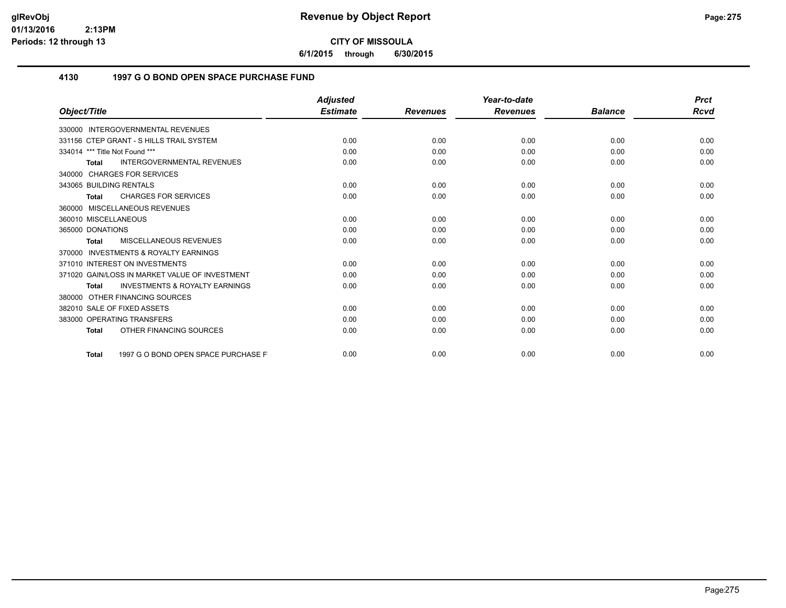**6/1/2015 through 6/30/2015**

### **4130 1997 G O BOND OPEN SPACE PURCHASE FUND**

|                                                           | <b>Adjusted</b> |                 | Year-to-date    |                | <b>Prct</b> |
|-----------------------------------------------------------|-----------------|-----------------|-----------------|----------------|-------------|
| Object/Title                                              | <b>Estimate</b> | <b>Revenues</b> | <b>Revenues</b> | <b>Balance</b> | <b>Rcvd</b> |
| 330000 INTERGOVERNMENTAL REVENUES                         |                 |                 |                 |                |             |
| 331156 CTEP GRANT - S HILLS TRAIL SYSTEM                  | 0.00            | 0.00            | 0.00            | 0.00           | 0.00        |
| 334014 *** Title Not Found ***                            | 0.00            | 0.00            | 0.00            | 0.00           | 0.00        |
| <b>INTERGOVERNMENTAL REVENUES</b><br><b>Total</b>         | 0.00            | 0.00            | 0.00            | 0.00           | 0.00        |
| 340000 CHARGES FOR SERVICES                               |                 |                 |                 |                |             |
| 343065 BUILDING RENTALS                                   | 0.00            | 0.00            | 0.00            | 0.00           | 0.00        |
| <b>CHARGES FOR SERVICES</b><br><b>Total</b>               | 0.00            | 0.00            | 0.00            | 0.00           | 0.00        |
| 360000 MISCELLANEOUS REVENUES                             |                 |                 |                 |                |             |
| 360010 MISCELLANEOUS                                      | 0.00            | 0.00            | 0.00            | 0.00           | 0.00        |
| 365000 DONATIONS                                          | 0.00            | 0.00            | 0.00            | 0.00           | 0.00        |
| MISCELLANEOUS REVENUES<br><b>Total</b>                    | 0.00            | 0.00            | 0.00            | 0.00           | 0.00        |
| <b>INVESTMENTS &amp; ROYALTY EARNINGS</b><br>370000       |                 |                 |                 |                |             |
| 371010 INTEREST ON INVESTMENTS                            | 0.00            | 0.00            | 0.00            | 0.00           | 0.00        |
| 371020 GAIN/LOSS IN MARKET VALUE OF INVESTMENT            | 0.00            | 0.00            | 0.00            | 0.00           | 0.00        |
| <b>INVESTMENTS &amp; ROYALTY EARNINGS</b><br><b>Total</b> | 0.00            | 0.00            | 0.00            | 0.00           | 0.00        |
| 380000 OTHER FINANCING SOURCES                            |                 |                 |                 |                |             |
| 382010 SALE OF FIXED ASSETS                               | 0.00            | 0.00            | 0.00            | 0.00           | 0.00        |
| 383000 OPERATING TRANSFERS                                | 0.00            | 0.00            | 0.00            | 0.00           | 0.00        |
| OTHER FINANCING SOURCES<br><b>Total</b>                   | 0.00            | 0.00            | 0.00            | 0.00           | 0.00        |
| 1997 G O BOND OPEN SPACE PURCHASE F<br><b>Total</b>       | 0.00            | 0.00            | 0.00            | 0.00           | 0.00        |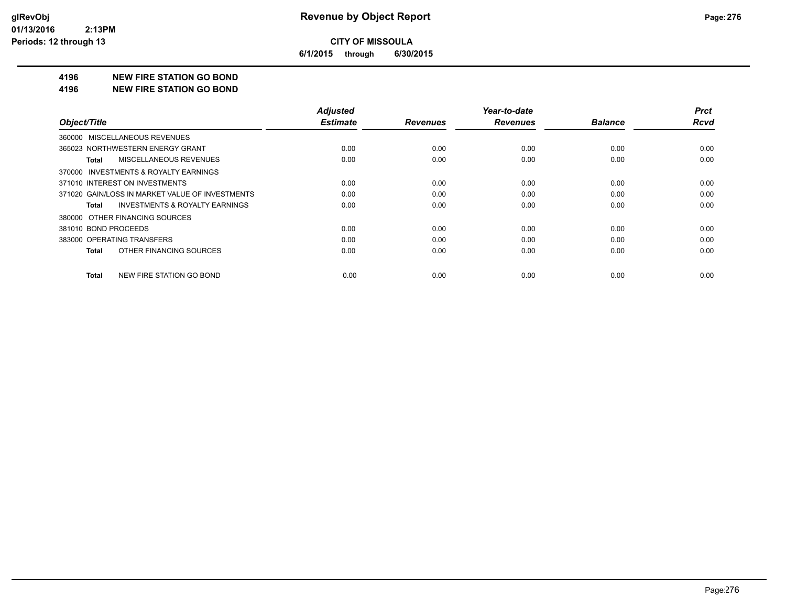**6/1/2015 through 6/30/2015**

#### **4196 NEW FIRE STATION GO BOND**

#### **4196 NEW FIRE STATION GO BOND**

|                                                    | <b>Adjusted</b> |                 | Year-to-date    |                | <b>Prct</b> |
|----------------------------------------------------|-----------------|-----------------|-----------------|----------------|-------------|
| Object/Title                                       | <b>Estimate</b> | <b>Revenues</b> | <b>Revenues</b> | <b>Balance</b> | <b>Rcvd</b> |
| 360000 MISCELLANEOUS REVENUES                      |                 |                 |                 |                |             |
| 365023 NORTHWESTERN ENERGY GRANT                   | 0.00            | 0.00            | 0.00            | 0.00           | 0.00        |
| MISCELLANEOUS REVENUES<br>Total                    | 0.00            | 0.00            | 0.00            | 0.00           | 0.00        |
| 370000 INVESTMENTS & ROYALTY EARNINGS              |                 |                 |                 |                |             |
| 371010 INTEREST ON INVESTMENTS                     | 0.00            | 0.00            | 0.00            | 0.00           | 0.00        |
| 371020 GAIN/LOSS IN MARKET VALUE OF INVESTMENTS    | 0.00            | 0.00            | 0.00            | 0.00           | 0.00        |
| <b>INVESTMENTS &amp; ROYALTY EARNINGS</b><br>Total | 0.00            | 0.00            | 0.00            | 0.00           | 0.00        |
| 380000 OTHER FINANCING SOURCES                     |                 |                 |                 |                |             |
| 381010 BOND PROCEEDS                               | 0.00            | 0.00            | 0.00            | 0.00           | 0.00        |
| 383000 OPERATING TRANSFERS                         | 0.00            | 0.00            | 0.00            | 0.00           | 0.00        |
| OTHER FINANCING SOURCES<br>Total                   | 0.00            | 0.00            | 0.00            | 0.00           | 0.00        |
| NEW FIRE STATION GO BOND<br>Total                  | 0.00            | 0.00            | 0.00            | 0.00           | 0.00        |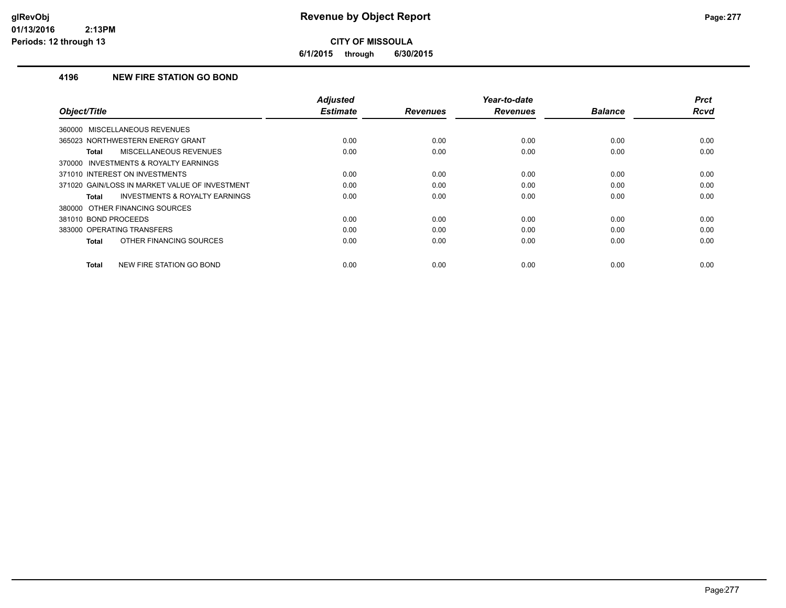**6/1/2015 through 6/30/2015**

## **4196 NEW FIRE STATION GO BOND**

| Object/Title                                       | <b>Adjusted</b><br><b>Estimate</b> | <b>Revenues</b> | Year-to-date<br><b>Revenues</b> | <b>Balance</b> | <b>Prct</b><br>Rcvd |
|----------------------------------------------------|------------------------------------|-----------------|---------------------------------|----------------|---------------------|
| 360000 MISCELLANEOUS REVENUES                      |                                    |                 |                                 |                |                     |
| 365023 NORTHWESTERN ENERGY GRANT                   | 0.00                               | 0.00            | 0.00                            | 0.00           | 0.00                |
| MISCELLANEOUS REVENUES<br><b>Total</b>             | 0.00                               | 0.00            | 0.00                            | 0.00           | 0.00                |
| 370000 INVESTMENTS & ROYALTY EARNINGS              |                                    |                 |                                 |                |                     |
| 371010 INTEREST ON INVESTMENTS                     | 0.00                               | 0.00            | 0.00                            | 0.00           | 0.00                |
| 371020 GAIN/LOSS IN MARKET VALUE OF INVESTMENT     | 0.00                               | 0.00            | 0.00                            | 0.00           | 0.00                |
| <b>INVESTMENTS &amp; ROYALTY EARNINGS</b><br>Total | 0.00                               | 0.00            | 0.00                            | 0.00           | 0.00                |
| 380000 OTHER FINANCING SOURCES                     |                                    |                 |                                 |                |                     |
| 381010 BOND PROCEEDS                               | 0.00                               | 0.00            | 0.00                            | 0.00           | 0.00                |
| 383000 OPERATING TRANSFERS                         | 0.00                               | 0.00            | 0.00                            | 0.00           | 0.00                |
| OTHER FINANCING SOURCES<br><b>Total</b>            | 0.00                               | 0.00            | 0.00                            | 0.00           | 0.00                |
| <b>NEW FIRE STATION GO BOND</b><br><b>Total</b>    | 0.00                               | 0.00            | 0.00                            | 0.00           | 0.00                |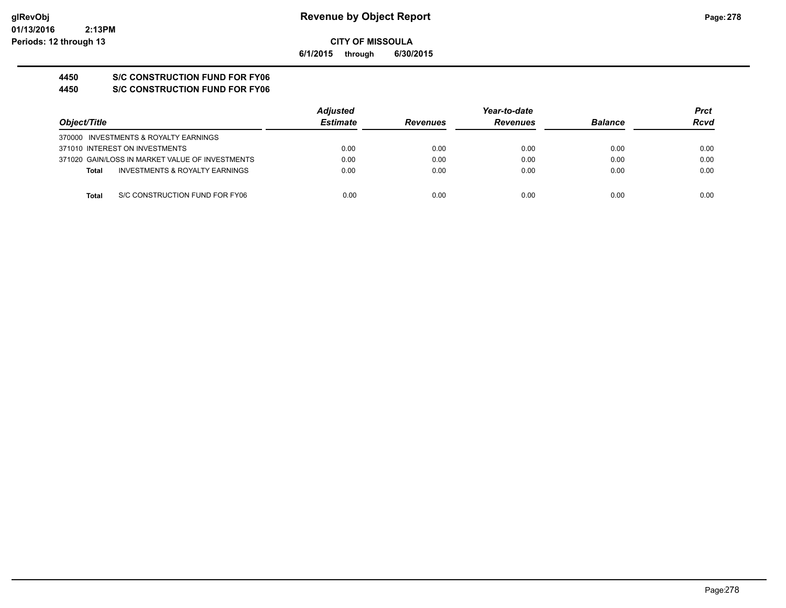**6/1/2015 through 6/30/2015**

# **4450 S/C CONSTRUCTION FUND FOR FY06**

**4450 S/C CONSTRUCTION FUND FOR FY06**

|                                                           | <b>Adjusted</b> |                 | Year-to-date    |                | <b>Prct</b> |
|-----------------------------------------------------------|-----------------|-----------------|-----------------|----------------|-------------|
| Object/Title                                              | <b>Estimate</b> | <b>Revenues</b> | <b>Revenues</b> | <b>Balance</b> | Rcvd        |
| 370000 INVESTMENTS & ROYALTY EARNINGS                     |                 |                 |                 |                |             |
| 371010 INTEREST ON INVESTMENTS                            | 0.00            | 0.00            | 0.00            | 0.00           | 0.00        |
| 371020 GAIN/LOSS IN MARKET VALUE OF INVESTMENTS           | 0.00            | 0.00            | 0.00            | 0.00           | 0.00        |
| <b>INVESTMENTS &amp; ROYALTY EARNINGS</b><br><b>Total</b> | 0.00            | 0.00            | 0.00            | 0.00           | 0.00        |
| S/C CONSTRUCTION FUND FOR FY06<br><b>Total</b>            | 0.00            | 0.00            | 0.00            | 0.00           | 0.00        |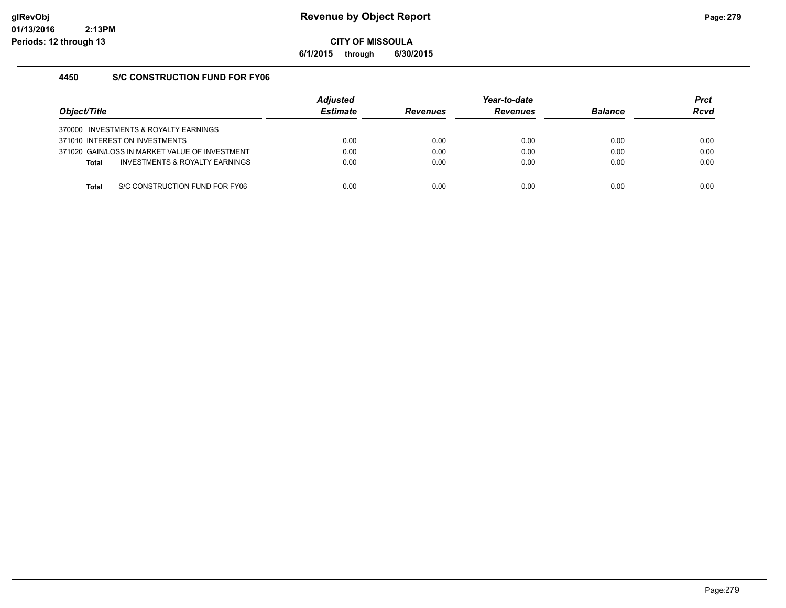**6/1/2015 through 6/30/2015**

### **4450 S/C CONSTRUCTION FUND FOR FY06**

| Object/Title |                                                | <b>Adiusted</b><br><b>Estimate</b> | <b>Revenues</b> | Year-to-date<br><b>Revenues</b> | <b>Balance</b> | <b>Prct</b><br><b>Rcvd</b> |
|--------------|------------------------------------------------|------------------------------------|-----------------|---------------------------------|----------------|----------------------------|
|              | 370000 INVESTMENTS & ROYALTY EARNINGS          |                                    |                 |                                 |                |                            |
|              | 371010 INTEREST ON INVESTMENTS                 | 0.00                               | 0.00            | 0.00                            | 0.00           | 0.00                       |
|              | 371020 GAIN/LOSS IN MARKET VALUE OF INVESTMENT | 0.00                               | 0.00            | 0.00                            | 0.00           | 0.00                       |
| <b>Total</b> | INVESTMENTS & ROYALTY EARNINGS                 | 0.00                               | 0.00            | 0.00                            | 0.00           | 0.00                       |
|              |                                                |                                    |                 |                                 |                |                            |
| Total        | S/C CONSTRUCTION FUND FOR FY06                 | 0.00                               | 0.00            | 0.00                            | 0.00           | 0.00                       |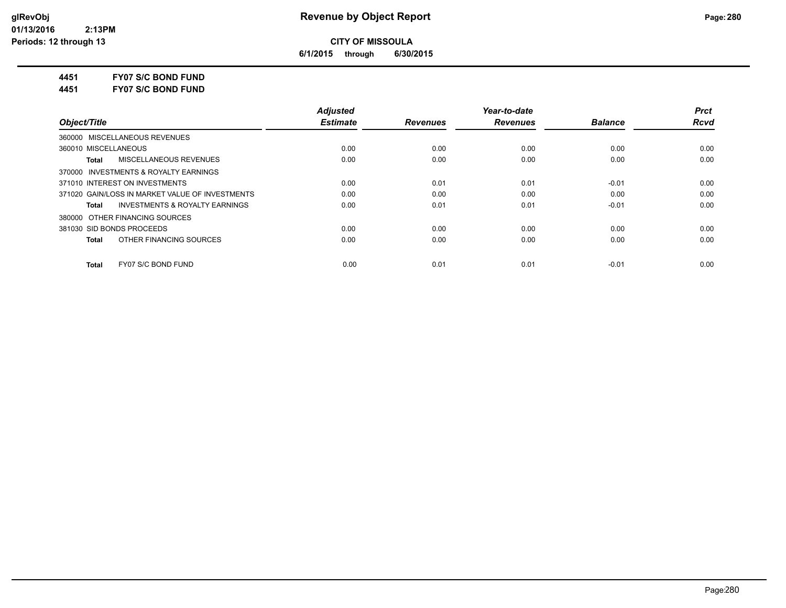**6/1/2015 through 6/30/2015**

**4451 FY07 S/C BOND FUND**

**4451 FY07 S/C BOND FUND**

|                                                    | <b>Adjusted</b> |                 | Year-to-date    |                | <b>Prct</b> |
|----------------------------------------------------|-----------------|-----------------|-----------------|----------------|-------------|
| Object/Title                                       | <b>Estimate</b> | <b>Revenues</b> | <b>Revenues</b> | <b>Balance</b> | <b>Rcvd</b> |
| 360000 MISCELLANEOUS REVENUES                      |                 |                 |                 |                |             |
| 360010 MISCELLANEOUS                               | 0.00            | 0.00            | 0.00            | 0.00           | 0.00        |
| MISCELLANEOUS REVENUES<br><b>Total</b>             | 0.00            | 0.00            | 0.00            | 0.00           | 0.00        |
| 370000 INVESTMENTS & ROYALTY EARNINGS              |                 |                 |                 |                |             |
| 371010 INTEREST ON INVESTMENTS                     | 0.00            | 0.01            | 0.01            | $-0.01$        | 0.00        |
| 371020 GAIN/LOSS IN MARKET VALUE OF INVESTMENTS    | 0.00            | 0.00            | 0.00            | 0.00           | 0.00        |
| <b>INVESTMENTS &amp; ROYALTY EARNINGS</b><br>Total | 0.00            | 0.01            | 0.01            | $-0.01$        | 0.00        |
| 380000 OTHER FINANCING SOURCES                     |                 |                 |                 |                |             |
| 381030 SID BONDS PROCEEDS                          | 0.00            | 0.00            | 0.00            | 0.00           | 0.00        |
| OTHER FINANCING SOURCES<br><b>Total</b>            | 0.00            | 0.00            | 0.00            | 0.00           | 0.00        |
| FY07 S/C BOND FUND<br><b>Total</b>                 | 0.00            | 0.01            | 0.01            | $-0.01$        | 0.00        |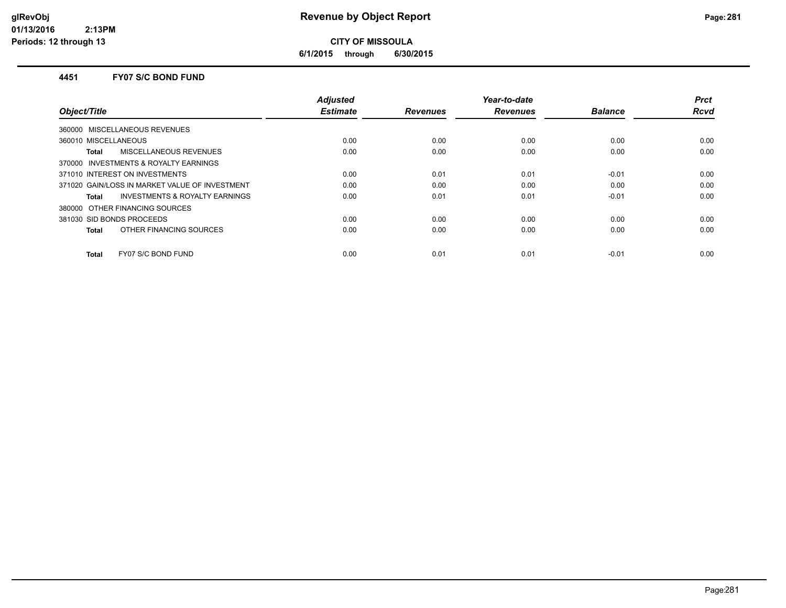**6/1/2015 through 6/30/2015**

#### **4451 FY07 S/C BOND FUND**

| Object/Title                                              | <b>Adjusted</b><br><b>Estimate</b> | <b>Revenues</b> | Year-to-date<br><b>Revenues</b> | <b>Balance</b> | <b>Prct</b><br>Rcvd |
|-----------------------------------------------------------|------------------------------------|-----------------|---------------------------------|----------------|---------------------|
| 360000 MISCELLANEOUS REVENUES                             |                                    |                 |                                 |                |                     |
| 360010 MISCELLANEOUS                                      | 0.00                               | 0.00            | 0.00                            | 0.00           | 0.00                |
| <b>MISCELLANEOUS REVENUES</b><br><b>Total</b>             | 0.00                               | 0.00            | 0.00                            | 0.00           | 0.00                |
| 370000 INVESTMENTS & ROYALTY EARNINGS                     |                                    |                 |                                 |                |                     |
| 371010 INTEREST ON INVESTMENTS                            | 0.00                               | 0.01            | 0.01                            | $-0.01$        | 0.00                |
| 371020 GAIN/LOSS IN MARKET VALUE OF INVESTMENT            | 0.00                               | 0.00            | 0.00                            | 0.00           | 0.00                |
| <b>INVESTMENTS &amp; ROYALTY EARNINGS</b><br><b>Total</b> | 0.00                               | 0.01            | 0.01                            | $-0.01$        | 0.00                |
| 380000 OTHER FINANCING SOURCES                            |                                    |                 |                                 |                |                     |
| 381030 SID BONDS PROCEEDS                                 | 0.00                               | 0.00            | 0.00                            | 0.00           | 0.00                |
| OTHER FINANCING SOURCES<br><b>Total</b>                   | 0.00                               | 0.00            | 0.00                            | 0.00           | 0.00                |
| FY07 S/C BOND FUND<br><b>Total</b>                        | 0.00                               | 0.01            | 0.01                            | $-0.01$        | 0.00                |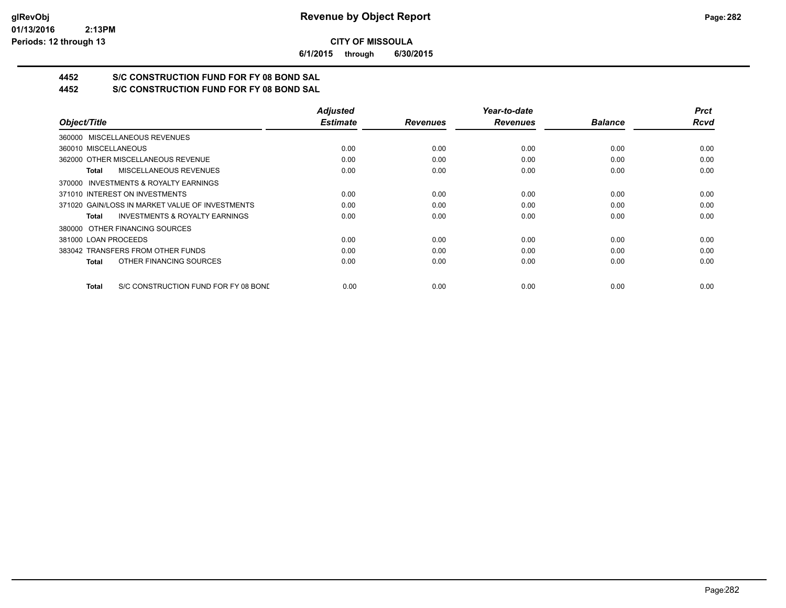**6/1/2015 through 6/30/2015**

# **4452 S/C CONSTRUCTION FUND FOR FY 08 BOND SAL**

**4452 S/C CONSTRUCTION FUND FOR FY 08 BOND SAL**

|                                                      | <b>Adjusted</b> |                 | Year-to-date    |                | <b>Prct</b> |
|------------------------------------------------------|-----------------|-----------------|-----------------|----------------|-------------|
| Object/Title                                         | <b>Estimate</b> | <b>Revenues</b> | <b>Revenues</b> | <b>Balance</b> | <b>Rcvd</b> |
| 360000 MISCELLANEOUS REVENUES                        |                 |                 |                 |                |             |
| 360010 MISCELLANEOUS                                 | 0.00            | 0.00            | 0.00            | 0.00           | 0.00        |
| 362000 OTHER MISCELLANEOUS REVENUE                   | 0.00            | 0.00            | 0.00            | 0.00           | 0.00        |
| <b>MISCELLANEOUS REVENUES</b><br>Total               | 0.00            | 0.00            | 0.00            | 0.00           | 0.00        |
| 370000 INVESTMENTS & ROYALTY EARNINGS                |                 |                 |                 |                |             |
| 371010 INTEREST ON INVESTMENTS                       | 0.00            | 0.00            | 0.00            | 0.00           | 0.00        |
| 371020 GAIN/LOSS IN MARKET VALUE OF INVESTMENTS      | 0.00            | 0.00            | 0.00            | 0.00           | 0.00        |
| <b>INVESTMENTS &amp; ROYALTY EARNINGS</b><br>Total   | 0.00            | 0.00            | 0.00            | 0.00           | 0.00        |
| 380000 OTHER FINANCING SOURCES                       |                 |                 |                 |                |             |
| 381000 LOAN PROCEEDS                                 | 0.00            | 0.00            | 0.00            | 0.00           | 0.00        |
| 383042 TRANSFERS FROM OTHER FUNDS                    | 0.00            | 0.00            | 0.00            | 0.00           | 0.00        |
| OTHER FINANCING SOURCES<br>Total                     | 0.00            | 0.00            | 0.00            | 0.00           | 0.00        |
| S/C CONSTRUCTION FUND FOR FY 08 BONE<br><b>Total</b> | 0.00            | 0.00            | 0.00            | 0.00           | 0.00        |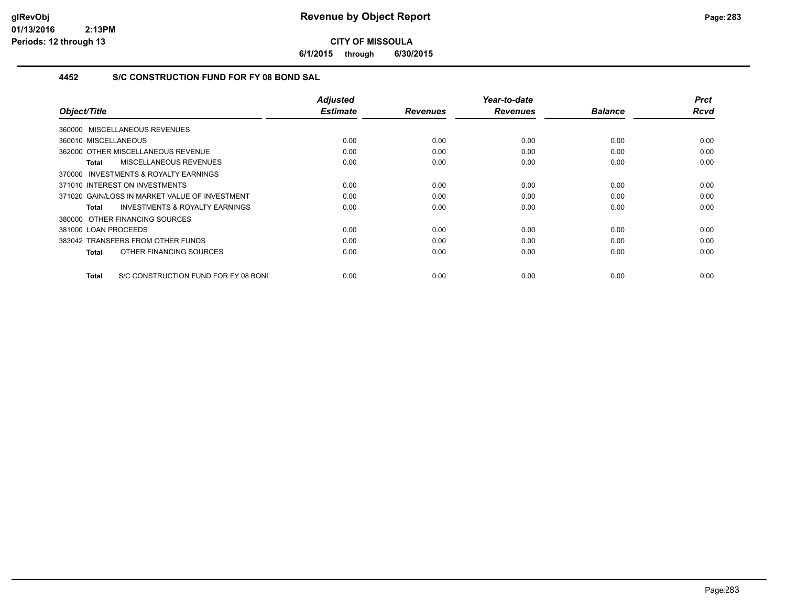**6/1/2015 through 6/30/2015**

## **4452 S/C CONSTRUCTION FUND FOR FY 08 BOND SAL**

|                                                      | <b>Adjusted</b><br><b>Estimate</b> | <b>Revenues</b> | Year-to-date<br><b>Revenues</b> | <b>Balance</b> | <b>Prct</b><br><b>Rcvd</b> |
|------------------------------------------------------|------------------------------------|-----------------|---------------------------------|----------------|----------------------------|
| Object/Title                                         |                                    |                 |                                 |                |                            |
| 360000 MISCELLANEOUS REVENUES                        |                                    |                 |                                 |                |                            |
| 360010 MISCELLANEOUS                                 | 0.00                               | 0.00            | 0.00                            | 0.00           | 0.00                       |
| 362000 OTHER MISCELLANEOUS REVENUE                   | 0.00                               | 0.00            | 0.00                            | 0.00           | 0.00                       |
| MISCELLANEOUS REVENUES<br>Total                      | 0.00                               | 0.00            | 0.00                            | 0.00           | 0.00                       |
| <b>INVESTMENTS &amp; ROYALTY EARNINGS</b><br>370000  |                                    |                 |                                 |                |                            |
| 371010 INTEREST ON INVESTMENTS                       | 0.00                               | 0.00            | 0.00                            | 0.00           | 0.00                       |
| 371020 GAIN/LOSS IN MARKET VALUE OF INVESTMENT       | 0.00                               | 0.00            | 0.00                            | 0.00           | 0.00                       |
| <b>INVESTMENTS &amp; ROYALTY EARNINGS</b><br>Total   | 0.00                               | 0.00            | 0.00                            | 0.00           | 0.00                       |
| 380000 OTHER FINANCING SOURCES                       |                                    |                 |                                 |                |                            |
| 381000 LOAN PROCEEDS                                 | 0.00                               | 0.00            | 0.00                            | 0.00           | 0.00                       |
| 383042 TRANSFERS FROM OTHER FUNDS                    | 0.00                               | 0.00            | 0.00                            | 0.00           | 0.00                       |
| OTHER FINANCING SOURCES<br>Total                     | 0.00                               | 0.00            | 0.00                            | 0.00           | 0.00                       |
|                                                      |                                    |                 |                                 |                |                            |
| S/C CONSTRUCTION FUND FOR FY 08 BONI<br><b>Total</b> | 0.00                               | 0.00            | 0.00                            | 0.00           | 0.00                       |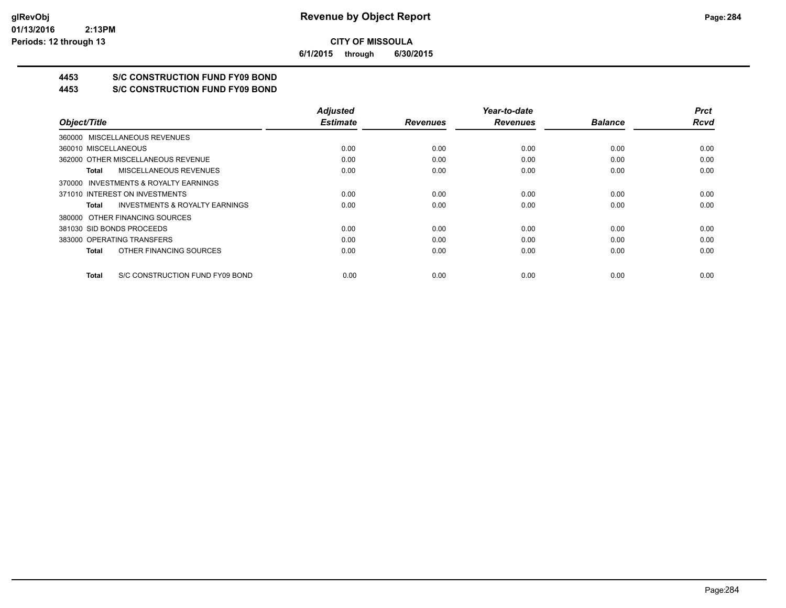**6/1/2015 through 6/30/2015**

## **4453 S/C CONSTRUCTION FUND FY09 BOND**

**4453 S/C CONSTRUCTION FUND FY09 BOND**

|                                                    | <b>Adjusted</b> |                 | Year-to-date    |                | <b>Prct</b> |
|----------------------------------------------------|-----------------|-----------------|-----------------|----------------|-------------|
| Object/Title                                       | <b>Estimate</b> | <b>Revenues</b> | <b>Revenues</b> | <b>Balance</b> | <b>Rcvd</b> |
| 360000 MISCELLANEOUS REVENUES                      |                 |                 |                 |                |             |
| 360010 MISCELLANEOUS                               | 0.00            | 0.00            | 0.00            | 0.00           | 0.00        |
| 362000 OTHER MISCELLANEOUS REVENUE                 | 0.00            | 0.00            | 0.00            | 0.00           | 0.00        |
| MISCELLANEOUS REVENUES<br>Total                    | 0.00            | 0.00            | 0.00            | 0.00           | 0.00        |
| 370000 INVESTMENTS & ROYALTY EARNINGS              |                 |                 |                 |                |             |
| 371010 INTEREST ON INVESTMENTS                     | 0.00            | 0.00            | 0.00            | 0.00           | 0.00        |
| <b>INVESTMENTS &amp; ROYALTY EARNINGS</b><br>Total | 0.00            | 0.00            | 0.00            | 0.00           | 0.00        |
| 380000 OTHER FINANCING SOURCES                     |                 |                 |                 |                |             |
| 381030 SID BONDS PROCEEDS                          | 0.00            | 0.00            | 0.00            | 0.00           | 0.00        |
| 383000 OPERATING TRANSFERS                         | 0.00            | 0.00            | 0.00            | 0.00           | 0.00        |
| OTHER FINANCING SOURCES<br>Total                   | 0.00            | 0.00            | 0.00            | 0.00           | 0.00        |
| S/C CONSTRUCTION FUND FY09 BOND<br>Total           | 0.00            | 0.00            | 0.00            | 0.00           | 0.00        |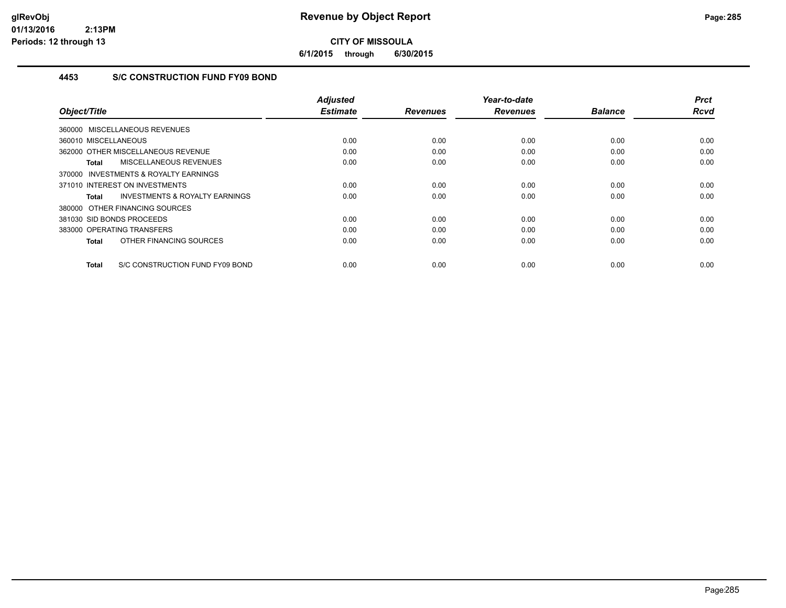**6/1/2015 through 6/30/2015**

## **4453 S/C CONSTRUCTION FUND FY09 BOND**

|                                                    | <b>Adjusted</b><br><b>Estimate</b> |                 | Year-to-date    |                | <b>Prct</b><br><b>Rcvd</b> |
|----------------------------------------------------|------------------------------------|-----------------|-----------------|----------------|----------------------------|
| Object/Title                                       |                                    | <b>Revenues</b> | <b>Revenues</b> | <b>Balance</b> |                            |
| 360000 MISCELLANEOUS REVENUES                      |                                    |                 |                 |                |                            |
| 360010 MISCELLANEOUS                               | 0.00                               | 0.00            | 0.00            | 0.00           | 0.00                       |
| 362000 OTHER MISCELLANEOUS REVENUE                 | 0.00                               | 0.00            | 0.00            | 0.00           | 0.00                       |
| MISCELLANEOUS REVENUES<br>Total                    | 0.00                               | 0.00            | 0.00            | 0.00           | 0.00                       |
| 370000 INVESTMENTS & ROYALTY EARNINGS              |                                    |                 |                 |                |                            |
| 371010 INTEREST ON INVESTMENTS                     | 0.00                               | 0.00            | 0.00            | 0.00           | 0.00                       |
| <b>INVESTMENTS &amp; ROYALTY EARNINGS</b><br>Total | 0.00                               | 0.00            | 0.00            | 0.00           | 0.00                       |
| 380000 OTHER FINANCING SOURCES                     |                                    |                 |                 |                |                            |
| 381030 SID BONDS PROCEEDS                          | 0.00                               | 0.00            | 0.00            | 0.00           | 0.00                       |
| 383000 OPERATING TRANSFERS                         | 0.00                               | 0.00            | 0.00            | 0.00           | 0.00                       |
| OTHER FINANCING SOURCES<br>Total                   | 0.00                               | 0.00            | 0.00            | 0.00           | 0.00                       |
| S/C CONSTRUCTION FUND FY09 BOND<br><b>Total</b>    | 0.00                               | 0.00            | 0.00            | 0.00           | 0.00                       |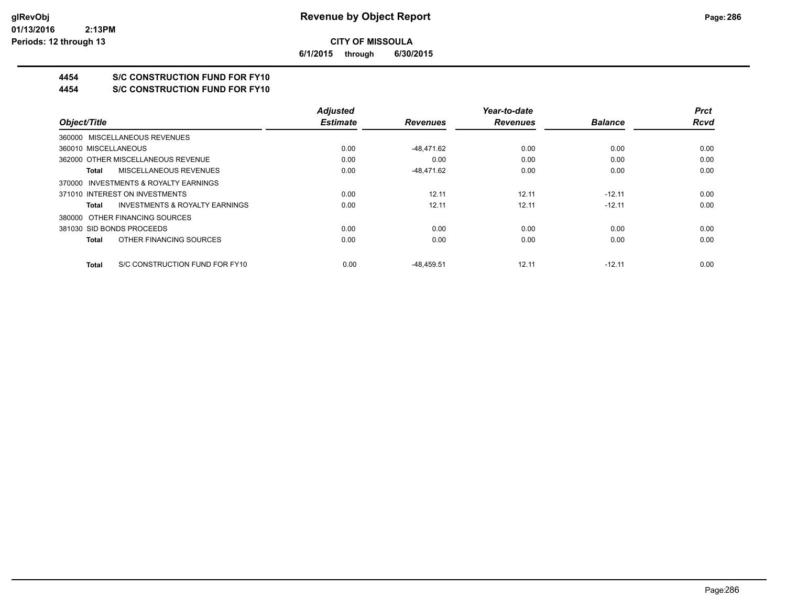**6/1/2015 through 6/30/2015**

# **4454 S/C CONSTRUCTION FUND FOR FY10**

**4454 S/C CONSTRUCTION FUND FOR FY10**

|                                                    | <b>Adjusted</b> |                 | Year-to-date    |                | <b>Prct</b> |
|----------------------------------------------------|-----------------|-----------------|-----------------|----------------|-------------|
| Object/Title                                       | <b>Estimate</b> | <b>Revenues</b> | <b>Revenues</b> | <b>Balance</b> | Rcvd        |
| 360000 MISCELLANEOUS REVENUES                      |                 |                 |                 |                |             |
| 360010 MISCELLANEOUS                               | 0.00            | -48.471.62      | 0.00            | 0.00           | 0.00        |
| 362000 OTHER MISCELLANEOUS REVENUE                 | 0.00            | 0.00            | 0.00            | 0.00           | 0.00        |
| MISCELLANEOUS REVENUES<br>Total                    | 0.00            | -48.471.62      | 0.00            | 0.00           | 0.00        |
| 370000 INVESTMENTS & ROYALTY EARNINGS              |                 |                 |                 |                |             |
| 371010 INTEREST ON INVESTMENTS                     | 0.00            | 12.11           | 12.11           | $-12.11$       | 0.00        |
| <b>INVESTMENTS &amp; ROYALTY EARNINGS</b><br>Total | 0.00            | 12.11           | 12.11           | $-12.11$       | 0.00        |
| 380000 OTHER FINANCING SOURCES                     |                 |                 |                 |                |             |
| 381030 SID BONDS PROCEEDS                          | 0.00            | 0.00            | 0.00            | 0.00           | 0.00        |
| OTHER FINANCING SOURCES<br>Total                   | 0.00            | 0.00            | 0.00            | 0.00           | 0.00        |
| S/C CONSTRUCTION FUND FOR FY10<br><b>Total</b>     | 0.00            | $-48.459.51$    | 12.11           | $-12.11$       | 0.00        |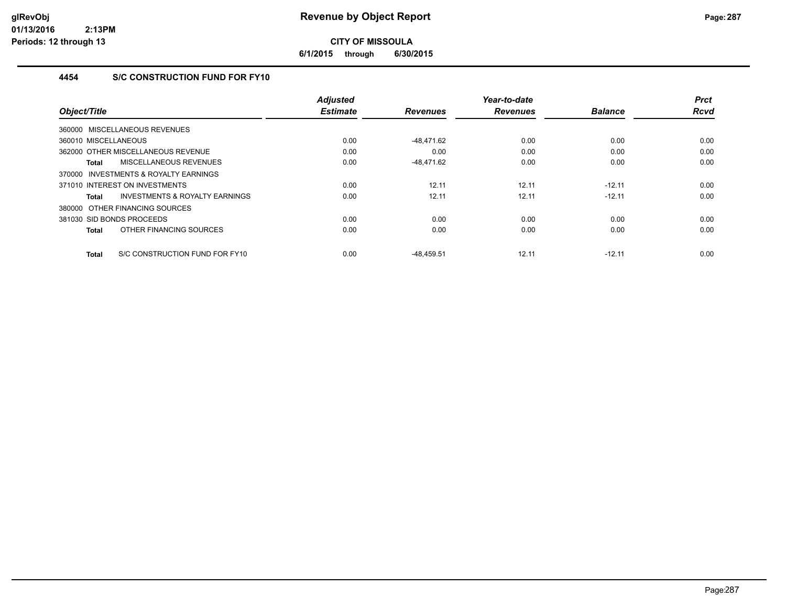**6/1/2015 through 6/30/2015**

## **4454 S/C CONSTRUCTION FUND FOR FY10**

| Object/Title                                   | <b>Adjusted</b><br><b>Estimate</b> | <b>Revenues</b> | Year-to-date<br><b>Revenues</b> | <b>Balance</b> | <b>Prct</b><br><b>Rcvd</b> |
|------------------------------------------------|------------------------------------|-----------------|---------------------------------|----------------|----------------------------|
|                                                |                                    |                 |                                 |                |                            |
| 360000 MISCELLANEOUS REVENUES                  |                                    |                 |                                 |                |                            |
| 360010 MISCELLANEOUS                           | 0.00                               | -48.471.62      | 0.00                            | 0.00           | 0.00                       |
| 362000 OTHER MISCELLANEOUS REVENUE             | 0.00                               | 0.00            | 0.00                            | 0.00           | 0.00                       |
| MISCELLANEOUS REVENUES<br><b>Total</b>         | 0.00                               | $-48,471.62$    | 0.00                            | 0.00           | 0.00                       |
| INVESTMENTS & ROYALTY EARNINGS<br>370000       |                                    |                 |                                 |                |                            |
| 371010 INTEREST ON INVESTMENTS                 | 0.00                               | 12.11           | 12.11                           | $-12.11$       | 0.00                       |
| INVESTMENTS & ROYALTY EARNINGS<br>Total        | 0.00                               | 12.11           | 12.11                           | $-12.11$       | 0.00                       |
| 380000 OTHER FINANCING SOURCES                 |                                    |                 |                                 |                |                            |
| 381030 SID BONDS PROCEEDS                      | 0.00                               | 0.00            | 0.00                            | 0.00           | 0.00                       |
| OTHER FINANCING SOURCES<br><b>Total</b>        | 0.00                               | 0.00            | 0.00                            | 0.00           | 0.00                       |
| S/C CONSTRUCTION FUND FOR FY10<br><b>Total</b> | 0.00                               | $-48.459.51$    | 12.11                           | $-12.11$       | 0.00                       |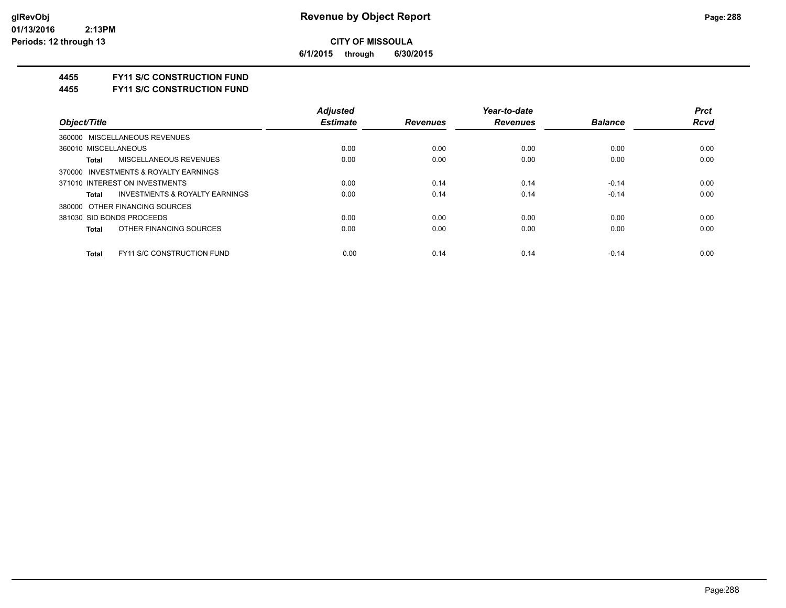**6/1/2015 through 6/30/2015**

### **4455 FY11 S/C CONSTRUCTION FUND**

**4455 FY11 S/C CONSTRUCTION FUND**

|                                                    | <b>Adjusted</b> |                 | Year-to-date    | <b>Prct</b>    |      |
|----------------------------------------------------|-----------------|-----------------|-----------------|----------------|------|
| Object/Title                                       | <b>Estimate</b> | <b>Revenues</b> | <b>Revenues</b> | <b>Balance</b> | Rcvd |
| 360000 MISCELLANEOUS REVENUES                      |                 |                 |                 |                |      |
| 360010 MISCELLANEOUS                               | 0.00            | 0.00            | 0.00            | 0.00           | 0.00 |
| MISCELLANEOUS REVENUES<br><b>Total</b>             | 0.00            | 0.00            | 0.00            | 0.00           | 0.00 |
| 370000 INVESTMENTS & ROYALTY EARNINGS              |                 |                 |                 |                |      |
| 371010 INTEREST ON INVESTMENTS                     | 0.00            | 0.14            | 0.14            | $-0.14$        | 0.00 |
| <b>INVESTMENTS &amp; ROYALTY EARNINGS</b><br>Total | 0.00            | 0.14            | 0.14            | $-0.14$        | 0.00 |
| 380000 OTHER FINANCING SOURCES                     |                 |                 |                 |                |      |
| 381030 SID BONDS PROCEEDS                          | 0.00            | 0.00            | 0.00            | 0.00           | 0.00 |
| OTHER FINANCING SOURCES<br><b>Total</b>            | 0.00            | 0.00            | 0.00            | 0.00           | 0.00 |
| <b>FY11 S/C CONSTRUCTION FUND</b><br><b>Total</b>  | 0.00            | 0.14            | 0.14            | $-0.14$        | 0.00 |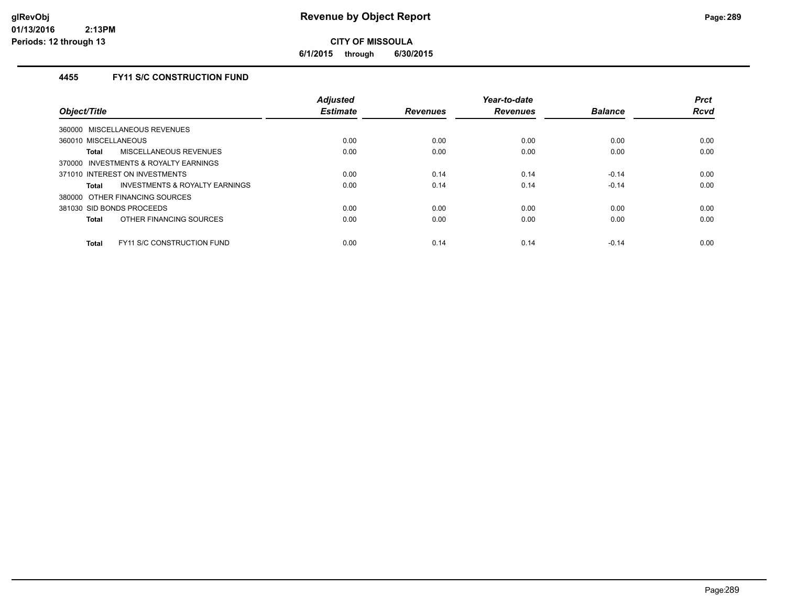**6/1/2015 through 6/30/2015**

#### **4455 FY11 S/C CONSTRUCTION FUND**

| Object/Title                                        | <b>Adjusted</b><br><b>Estimate</b> | <b>Revenues</b> | Year-to-date<br><b>Revenues</b> | <b>Balance</b> | <b>Prct</b><br><b>Rcvd</b> |
|-----------------------------------------------------|------------------------------------|-----------------|---------------------------------|----------------|----------------------------|
|                                                     |                                    |                 |                                 |                |                            |
| MISCELLANEOUS REVENUES<br>360000                    |                                    |                 |                                 |                |                            |
| 360010 MISCELLANEOUS                                | 0.00                               | 0.00            | 0.00                            | 0.00           | 0.00                       |
| MISCELLANEOUS REVENUES<br>Total                     | 0.00                               | 0.00            | 0.00                            | 0.00           | 0.00                       |
| <b>INVESTMENTS &amp; ROYALTY EARNINGS</b><br>370000 |                                    |                 |                                 |                |                            |
| 371010 INTEREST ON INVESTMENTS                      | 0.00                               | 0.14            | 0.14                            | $-0.14$        | 0.00                       |
| INVESTMENTS & ROYALTY EARNINGS<br><b>Total</b>      | 0.00                               | 0.14            | 0.14                            | $-0.14$        | 0.00                       |
| OTHER FINANCING SOURCES<br>380000                   |                                    |                 |                                 |                |                            |
| 381030 SID BONDS PROCEEDS                           | 0.00                               | 0.00            | 0.00                            | 0.00           | 0.00                       |
| OTHER FINANCING SOURCES<br><b>Total</b>             | 0.00                               | 0.00            | 0.00                            | 0.00           | 0.00                       |
| FY11 S/C CONSTRUCTION FUND<br><b>Total</b>          | 0.00                               | 0.14            | 0.14                            | $-0.14$        | 0.00                       |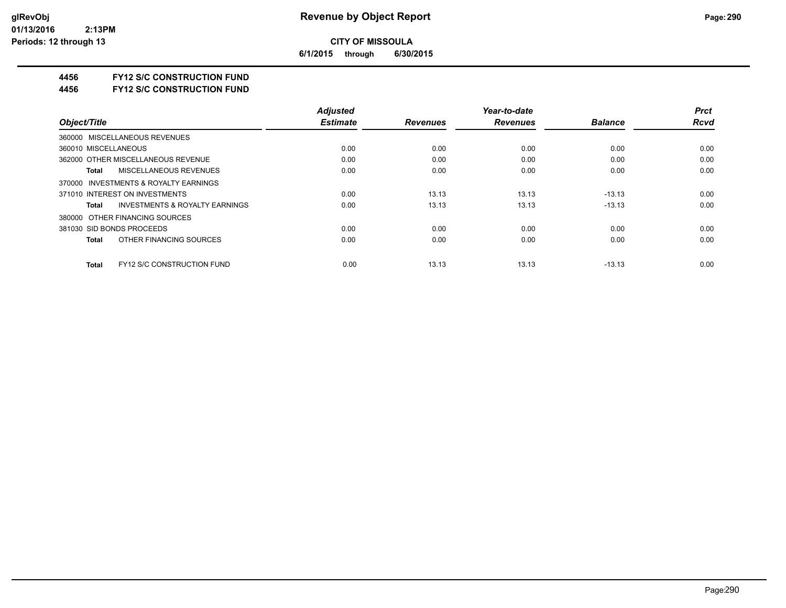**6/1/2015 through 6/30/2015**

#### **4456 FY12 S/C CONSTRUCTION FUND**

**4456 FY12 S/C CONSTRUCTION FUND**

|                                                   | <b>Adjusted</b> |                 | Year-to-date    |                | <b>Prct</b> |
|---------------------------------------------------|-----------------|-----------------|-----------------|----------------|-------------|
| Object/Title                                      | <b>Estimate</b> | <b>Revenues</b> | <b>Revenues</b> | <b>Balance</b> | <b>Rcvd</b> |
| 360000 MISCELLANEOUS REVENUES                     |                 |                 |                 |                |             |
| 360010 MISCELLANEOUS                              | 0.00            | 0.00            | 0.00            | 0.00           | 0.00        |
| 362000 OTHER MISCELLANEOUS REVENUE                | 0.00            | 0.00            | 0.00            | 0.00           | 0.00        |
| MISCELLANEOUS REVENUES<br>Total                   | 0.00            | 0.00            | 0.00            | 0.00           | 0.00        |
| 370000 INVESTMENTS & ROYALTY EARNINGS             |                 |                 |                 |                |             |
| 371010 INTEREST ON INVESTMENTS                    | 0.00            | 13.13           | 13.13           | $-13.13$       | 0.00        |
| INVESTMENTS & ROYALTY EARNINGS<br>Total           | 0.00            | 13.13           | 13.13           | $-13.13$       | 0.00        |
| 380000 OTHER FINANCING SOURCES                    |                 |                 |                 |                |             |
| 381030 SID BONDS PROCEEDS                         | 0.00            | 0.00            | 0.00            | 0.00           | 0.00        |
| OTHER FINANCING SOURCES<br>Total                  | 0.00            | 0.00            | 0.00            | 0.00           | 0.00        |
| <b>FY12 S/C CONSTRUCTION FUND</b><br><b>Total</b> | 0.00            | 13.13           | 13.13           | $-13.13$       | 0.00        |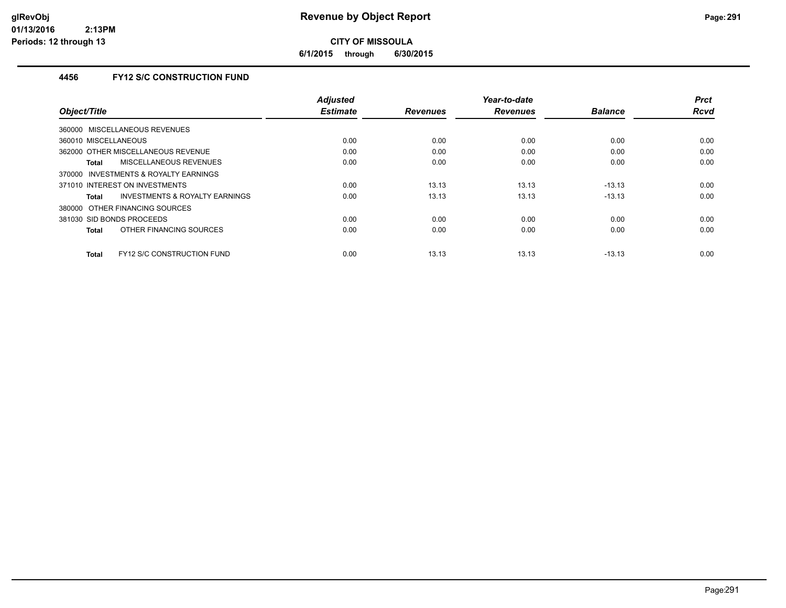**6/1/2015 through 6/30/2015**

#### **4456 FY12 S/C CONSTRUCTION FUND**

|                                                    | <b>Adjusted</b> |                 | Year-to-date    |                | <b>Prct</b> |
|----------------------------------------------------|-----------------|-----------------|-----------------|----------------|-------------|
| Object/Title                                       | <b>Estimate</b> | <b>Revenues</b> | <b>Revenues</b> | <b>Balance</b> | <b>Rcvd</b> |
| 360000 MISCELLANEOUS REVENUES                      |                 |                 |                 |                |             |
| 360010 MISCELLANEOUS                               | 0.00            | 0.00            | 0.00            | 0.00           | 0.00        |
| 362000 OTHER MISCELLANEOUS REVENUE                 | 0.00            | 0.00            | 0.00            | 0.00           | 0.00        |
| MISCELLANEOUS REVENUES<br>Total                    | 0.00            | 0.00            | 0.00            | 0.00           | 0.00        |
| INVESTMENTS & ROYALTY EARNINGS<br>370000           |                 |                 |                 |                |             |
| 371010 INTEREST ON INVESTMENTS                     | 0.00            | 13.13           | 13.13           | $-13.13$       | 0.00        |
| <b>INVESTMENTS &amp; ROYALTY EARNINGS</b><br>Total | 0.00            | 13.13           | 13.13           | $-13.13$       | 0.00        |
| 380000 OTHER FINANCING SOURCES                     |                 |                 |                 |                |             |
| 381030 SID BONDS PROCEEDS                          | 0.00            | 0.00            | 0.00            | 0.00           | 0.00        |
| OTHER FINANCING SOURCES<br>Total                   | 0.00            | 0.00            | 0.00            | 0.00           | 0.00        |
| <b>FY12 S/C CONSTRUCTION FUND</b><br>Total         | 0.00            | 13.13           | 13.13           | $-13.13$       | 0.00        |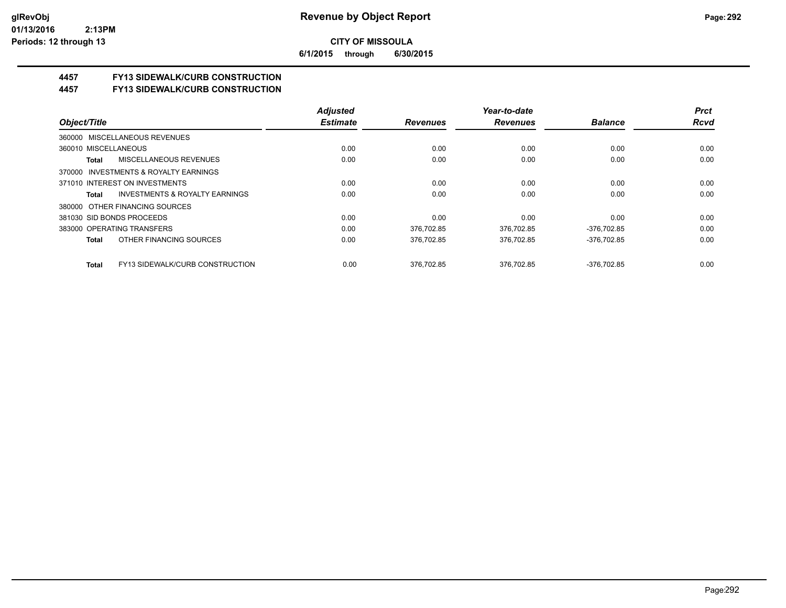**6/1/2015 through 6/30/2015**

#### **4457 FY13 SIDEWALK/CURB CONSTRUCTION**

**4457 FY13 SIDEWALK/CURB CONSTRUCTION**

|                                                    | <b>Adjusted</b> |                 | Year-to-date    |                | <b>Prct</b> |
|----------------------------------------------------|-----------------|-----------------|-----------------|----------------|-------------|
| Object/Title                                       | <b>Estimate</b> | <b>Revenues</b> | <b>Revenues</b> | <b>Balance</b> | Rcvd        |
| 360000 MISCELLANEOUS REVENUES                      |                 |                 |                 |                |             |
| 360010 MISCELLANEOUS                               | 0.00            | 0.00            | 0.00            | 0.00           | 0.00        |
| MISCELLANEOUS REVENUES<br>Total                    | 0.00            | 0.00            | 0.00            | 0.00           | 0.00        |
| 370000 INVESTMENTS & ROYALTY EARNINGS              |                 |                 |                 |                |             |
| 371010 INTEREST ON INVESTMENTS                     | 0.00            | 0.00            | 0.00            | 0.00           | 0.00        |
| <b>INVESTMENTS &amp; ROYALTY EARNINGS</b><br>Total | 0.00            | 0.00            | 0.00            | 0.00           | 0.00        |
| 380000 OTHER FINANCING SOURCES                     |                 |                 |                 |                |             |
| 381030 SID BONDS PROCEEDS                          | 0.00            | 0.00            | 0.00            | 0.00           | 0.00        |
| 383000 OPERATING TRANSFERS                         | 0.00            | 376.702.85      | 376.702.85      | -376.702.85    | 0.00        |
| OTHER FINANCING SOURCES<br>Total                   | 0.00            | 376,702.85      | 376,702.85      | -376,702.85    | 0.00        |
| <b>FY13 SIDEWALK/CURB CONSTRUCTION</b><br>Total    | 0.00            | 376.702.85      | 376.702.85      | -376.702.85    | 0.00        |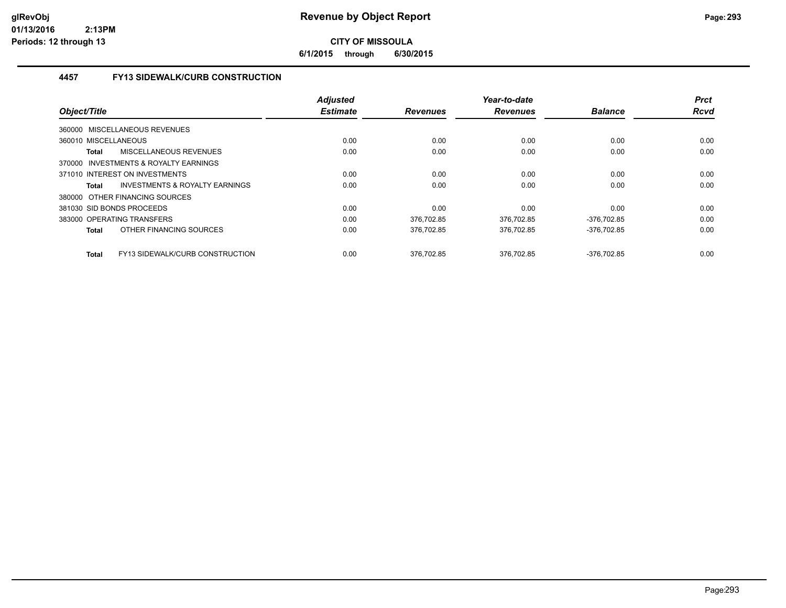**6/1/2015 through 6/30/2015**

#### **4457 FY13 SIDEWALK/CURB CONSTRUCTION**

| Object/Title                                           | <b>Adjusted</b><br><b>Estimate</b> | <b>Revenues</b> | Year-to-date<br><b>Revenues</b> | <b>Balance</b> | <b>Prct</b><br><b>Rcvd</b> |
|--------------------------------------------------------|------------------------------------|-----------------|---------------------------------|----------------|----------------------------|
|                                                        |                                    |                 |                                 |                |                            |
| 360000 MISCELLANEOUS REVENUES                          |                                    |                 |                                 |                |                            |
| 360010 MISCELLANEOUS                                   | 0.00                               | 0.00            | 0.00                            | 0.00           | 0.00                       |
| MISCELLANEOUS REVENUES<br>Total                        | 0.00                               | 0.00            | 0.00                            | 0.00           | 0.00                       |
| 370000 INVESTMENTS & ROYALTY EARNINGS                  |                                    |                 |                                 |                |                            |
| 371010 INTEREST ON INVESTMENTS                         | 0.00                               | 0.00            | 0.00                            | 0.00           | 0.00                       |
| INVESTMENTS & ROYALTY EARNINGS<br>Total                | 0.00                               | 0.00            | 0.00                            | 0.00           | 0.00                       |
| 380000 OTHER FINANCING SOURCES                         |                                    |                 |                                 |                |                            |
| 381030 SID BONDS PROCEEDS                              | 0.00                               | 0.00            | 0.00                            | 0.00           | 0.00                       |
| 383000 OPERATING TRANSFERS                             | 0.00                               | 376.702.85      | 376.702.85                      | -376.702.85    | 0.00                       |
| OTHER FINANCING SOURCES<br><b>Total</b>                | 0.00                               | 376,702.85      | 376,702.85                      | $-376,702.85$  | 0.00                       |
| <b>FY13 SIDEWALK/CURB CONSTRUCTION</b><br><b>Total</b> | 0.00                               | 376.702.85      | 376.702.85                      | $-376.702.85$  | 0.00                       |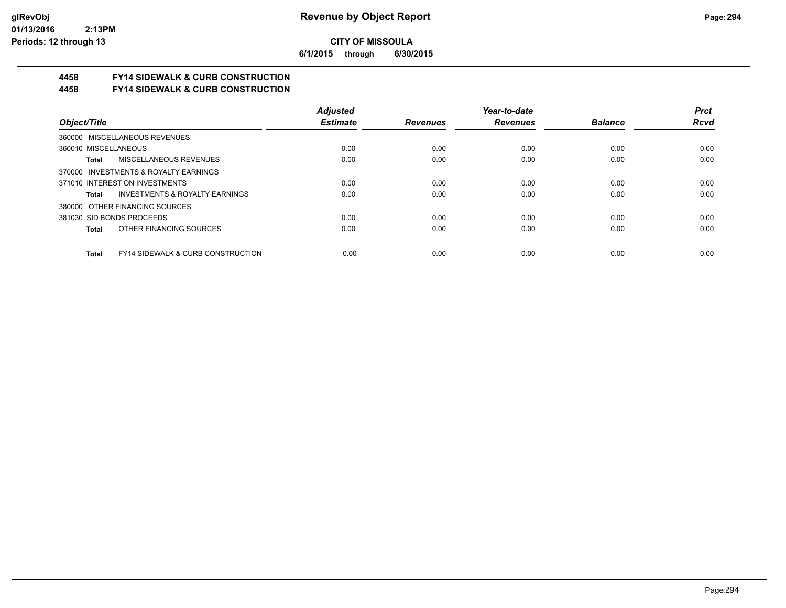**6/1/2015 through 6/30/2015**

## **4458 FY14 SIDEWALK & CURB CONSTRUCTION**

**4458 FY14 SIDEWALK & CURB CONSTRUCTION**

|                                                              | <b>Adjusted</b> |                 | Year-to-date    |                | <b>Prct</b> |
|--------------------------------------------------------------|-----------------|-----------------|-----------------|----------------|-------------|
| Object/Title                                                 | <b>Estimate</b> | <b>Revenues</b> | <b>Revenues</b> | <b>Balance</b> | <b>Rcvd</b> |
| 360000 MISCELLANEOUS REVENUES                                |                 |                 |                 |                |             |
| 360010 MISCELLANEOUS                                         | 0.00            | 0.00            | 0.00            | 0.00           | 0.00        |
| MISCELLANEOUS REVENUES<br>Total                              | 0.00            | 0.00            | 0.00            | 0.00           | 0.00        |
| 370000 INVESTMENTS & ROYALTY EARNINGS                        |                 |                 |                 |                |             |
| 371010 INTEREST ON INVESTMENTS                               | 0.00            | 0.00            | 0.00            | 0.00           | 0.00        |
| INVESTMENTS & ROYALTY EARNINGS<br>Total                      | 0.00            | 0.00            | 0.00            | 0.00           | 0.00        |
| 380000 OTHER FINANCING SOURCES                               |                 |                 |                 |                |             |
| 381030 SID BONDS PROCEEDS                                    | 0.00            | 0.00            | 0.00            | 0.00           | 0.00        |
| OTHER FINANCING SOURCES<br><b>Total</b>                      | 0.00            | 0.00            | 0.00            | 0.00           | 0.00        |
|                                                              |                 |                 |                 |                |             |
| <b>FY14 SIDEWALK &amp; CURB CONSTRUCTION</b><br><b>Total</b> | 0.00            | 0.00            | 0.00            | 0.00           | 0.00        |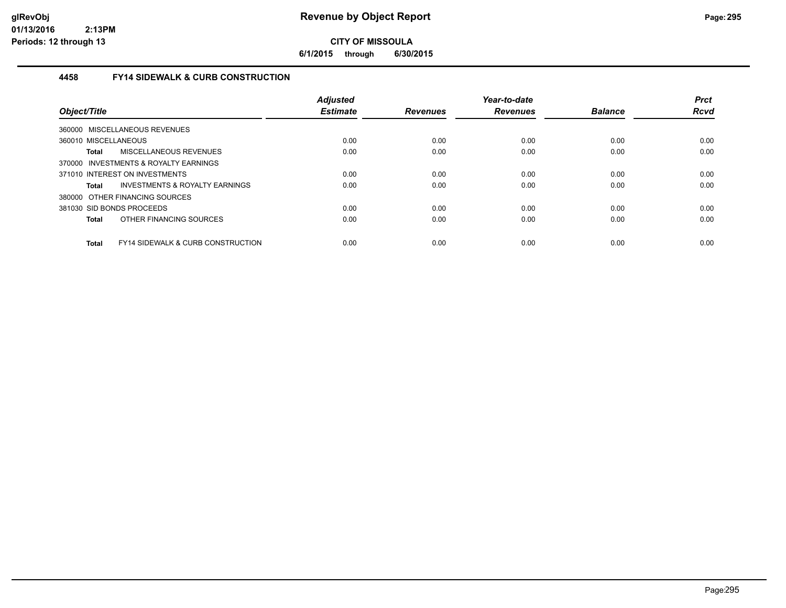**6/1/2015 through 6/30/2015**

#### **4458 FY14 SIDEWALK & CURB CONSTRUCTION**

| Object/Title                                                 | <b>Adjusted</b><br><b>Estimate</b> | <b>Revenues</b> | Year-to-date<br><b>Revenues</b> | <b>Balance</b> | <b>Prct</b><br><b>Rcvd</b> |
|--------------------------------------------------------------|------------------------------------|-----------------|---------------------------------|----------------|----------------------------|
| 360000 MISCELLANEOUS REVENUES                                |                                    |                 |                                 |                |                            |
| 360010 MISCELLANEOUS                                         | 0.00                               | 0.00            | 0.00                            | 0.00           | 0.00                       |
| MISCELLANEOUS REVENUES<br><b>Total</b>                       | 0.00                               | 0.00            | 0.00                            | 0.00           | 0.00                       |
| 370000 INVESTMENTS & ROYALTY EARNINGS                        |                                    |                 |                                 |                |                            |
| 371010 INTEREST ON INVESTMENTS                               | 0.00                               | 0.00            | 0.00                            | 0.00           | 0.00                       |
| INVESTMENTS & ROYALTY EARNINGS<br><b>Total</b>               | 0.00                               | 0.00            | 0.00                            | 0.00           | 0.00                       |
| 380000 OTHER FINANCING SOURCES                               |                                    |                 |                                 |                |                            |
| 381030 SID BONDS PROCEEDS                                    | 0.00                               | 0.00            | 0.00                            | 0.00           | 0.00                       |
| OTHER FINANCING SOURCES<br><b>Total</b>                      | 0.00                               | 0.00            | 0.00                            | 0.00           | 0.00                       |
| <b>FY14 SIDEWALK &amp; CURB CONSTRUCTION</b><br><b>Total</b> | 0.00                               | 0.00            | 0.00                            | 0.00           | 0.00                       |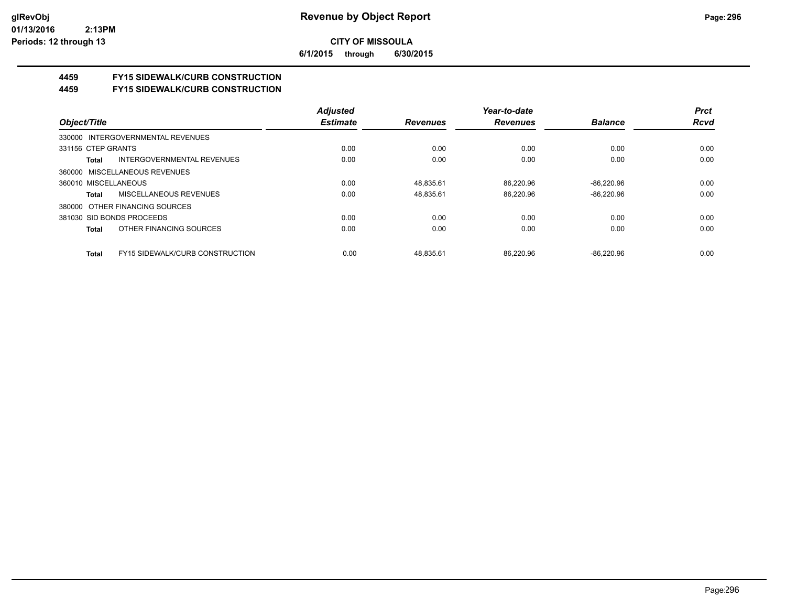**6/1/2015 through 6/30/2015**

## **4459 FY15 SIDEWALK/CURB CONSTRUCTION**

**4459 FY15 SIDEWALK/CURB CONSTRUCTION**

|                      |                                        | <b>Adjusted</b> |                 | Year-to-date    |                | <b>Prct</b> |
|----------------------|----------------------------------------|-----------------|-----------------|-----------------|----------------|-------------|
| Object/Title         |                                        | <b>Estimate</b> | <b>Revenues</b> | <b>Revenues</b> | <b>Balance</b> | <b>Rcvd</b> |
|                      | 330000 INTERGOVERNMENTAL REVENUES      |                 |                 |                 |                |             |
| 331156 CTEP GRANTS   |                                        | 0.00            | 0.00            | 0.00            | 0.00           | 0.00        |
| Total                | INTERGOVERNMENTAL REVENUES             | 0.00            | 0.00            | 0.00            | 0.00           | 0.00        |
|                      | 360000 MISCELLANEOUS REVENUES          |                 |                 |                 |                |             |
| 360010 MISCELLANEOUS |                                        | 0.00            | 48.835.61       | 86.220.96       | $-86.220.96$   | 0.00        |
| Total                | <b>MISCELLANEOUS REVENUES</b>          | 0.00            | 48,835.61       | 86,220.96       | -86,220.96     | 0.00        |
|                      | 380000 OTHER FINANCING SOURCES         |                 |                 |                 |                |             |
|                      | 381030 SID BONDS PROCEEDS              | 0.00            | 0.00            | 0.00            | 0.00           | 0.00        |
| Total                | OTHER FINANCING SOURCES                | 0.00            | 0.00            | 0.00            | 0.00           | 0.00        |
| Total                | <b>FY15 SIDEWALK/CURB CONSTRUCTION</b> | 0.00            | 48.835.61       | 86.220.96       | $-86.220.96$   | 0.00        |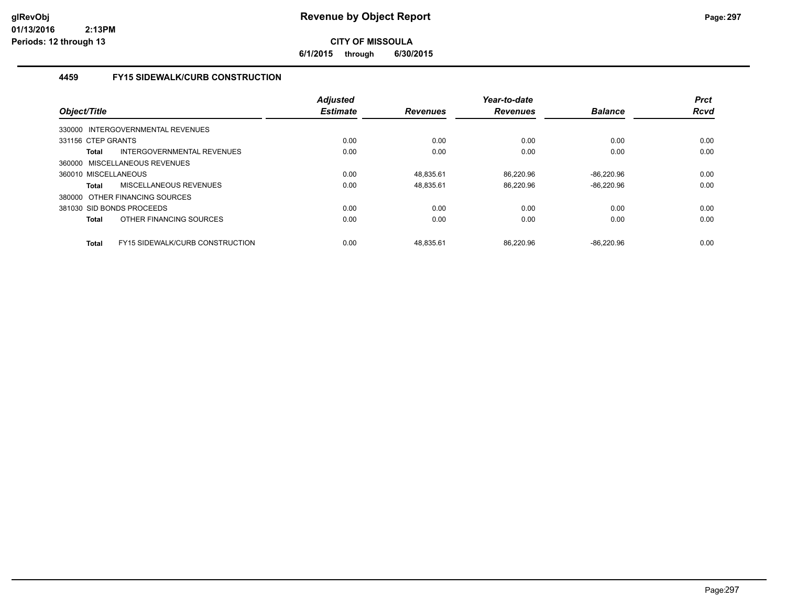**6/1/2015 through 6/30/2015**

#### **4459 FY15 SIDEWALK/CURB CONSTRUCTION**

| Object/Title         |                                        | <b>Adjusted</b><br><b>Estimate</b> | <b>Revenues</b> | Year-to-date<br><b>Revenues</b> | <b>Balance</b> | <b>Prct</b><br><b>Rcvd</b> |
|----------------------|----------------------------------------|------------------------------------|-----------------|---------------------------------|----------------|----------------------------|
|                      | 330000 INTERGOVERNMENTAL REVENUES      |                                    |                 |                                 |                |                            |
| 331156 CTEP GRANTS   |                                        | 0.00                               | 0.00            | 0.00                            | 0.00           | 0.00                       |
| Total                | INTERGOVERNMENTAL REVENUES             | 0.00                               | 0.00            | 0.00                            | 0.00           | 0.00                       |
|                      | 360000 MISCELLANEOUS REVENUES          |                                    |                 |                                 |                |                            |
| 360010 MISCELLANEOUS |                                        | 0.00                               | 48.835.61       | 86.220.96                       | $-86.220.96$   | 0.00                       |
| Total                | MISCELLANEOUS REVENUES                 | 0.00                               | 48,835.61       | 86,220.96                       | $-86,220.96$   | 0.00                       |
|                      | 380000 OTHER FINANCING SOURCES         |                                    |                 |                                 |                |                            |
|                      | 381030 SID BONDS PROCEEDS              | 0.00                               | 0.00            | 0.00                            | 0.00           | 0.00                       |
| Total                | OTHER FINANCING SOURCES                | 0.00                               | 0.00            | 0.00                            | 0.00           | 0.00                       |
| <b>Total</b>         | <b>FY15 SIDEWALK/CURB CONSTRUCTION</b> | 0.00                               | 48.835.61       | 86.220.96                       | $-86.220.96$   | 0.00                       |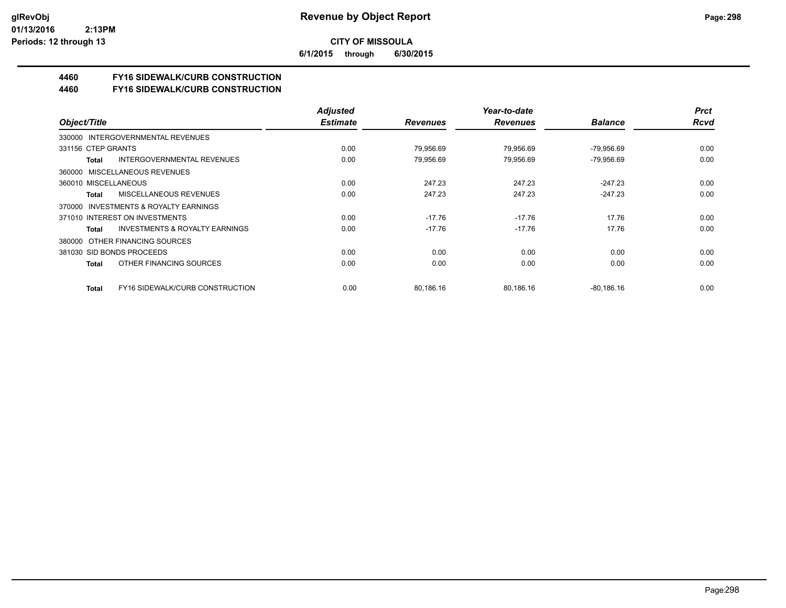**6/1/2015 through 6/30/2015**

## **4460 FY16 SIDEWALK/CURB CONSTRUCTION**

**4460 FY16 SIDEWALK/CURB CONSTRUCTION**

| <b>Adjusted</b> |                 | Year-to-date    |                | <b>Prct</b>  |
|-----------------|-----------------|-----------------|----------------|--------------|
| <b>Estimate</b> | <b>Revenues</b> | <b>Revenues</b> | <b>Balance</b> | <b>Rcvd</b>  |
|                 |                 |                 |                |              |
| 0.00            | 79,956.69       | 79,956.69       | $-79,956.69$   | 0.00         |
| 0.00            | 79,956.69       | 79,956.69       | $-79,956.69$   | 0.00         |
|                 |                 |                 |                |              |
| 0.00            | 247.23          | 247.23          | $-247.23$      | 0.00         |
| 0.00            | 247.23          | 247.23          | $-247.23$      | 0.00         |
|                 |                 |                 |                |              |
| 0.00            | $-17.76$        | $-17.76$        | 17.76          | 0.00         |
| 0.00            | $-17.76$        | $-17.76$        | 17.76          | 0.00         |
|                 |                 |                 |                |              |
| 0.00            | 0.00            | 0.00            | 0.00           | 0.00         |
| 0.00            | 0.00            | 0.00            | 0.00           | 0.00         |
|                 |                 |                 |                | 0.00         |
|                 | 0.00            | 80,186.16       | 80,186.16      | $-80,186.16$ |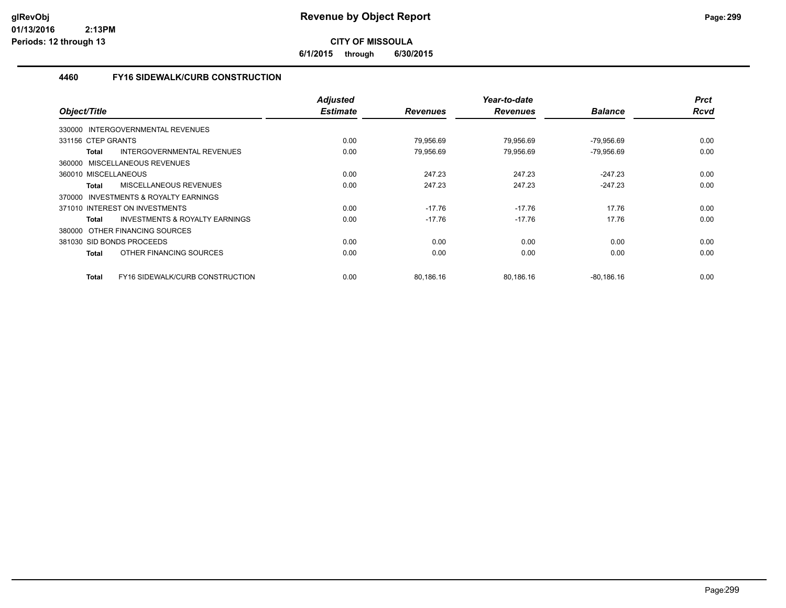**6/1/2015 through 6/30/2015**

#### **4460 FY16 SIDEWALK/CURB CONSTRUCTION**

| Object/Title                                       | <b>Adjusted</b><br><b>Estimate</b> | <b>Revenues</b> | Year-to-date<br><b>Revenues</b> | <b>Balance</b> | <b>Prct</b><br><b>Rcvd</b> |
|----------------------------------------------------|------------------------------------|-----------------|---------------------------------|----------------|----------------------------|
|                                                    |                                    |                 |                                 |                |                            |
| 330000 INTERGOVERNMENTAL REVENUES                  |                                    |                 |                                 |                |                            |
| 331156 CTEP GRANTS                                 | 0.00                               | 79,956.69       | 79,956.69                       | -79,956.69     | 0.00                       |
| INTERGOVERNMENTAL REVENUES<br><b>Total</b>         | 0.00                               | 79,956.69       | 79,956.69                       | -79,956.69     | 0.00                       |
| 360000 MISCELLANEOUS REVENUES                      |                                    |                 |                                 |                |                            |
| 360010 MISCELLANEOUS                               | 0.00                               | 247.23          | 247.23                          | $-247.23$      | 0.00                       |
| MISCELLANEOUS REVENUES<br><b>Total</b>             | 0.00                               | 247.23          | 247.23                          | $-247.23$      | 0.00                       |
| 370000 INVESTMENTS & ROYALTY EARNINGS              |                                    |                 |                                 |                |                            |
| 371010 INTEREST ON INVESTMENTS                     | 0.00                               | $-17.76$        | $-17.76$                        | 17.76          | 0.00                       |
| <b>INVESTMENTS &amp; ROYALTY EARNINGS</b><br>Total | 0.00                               | $-17.76$        | $-17.76$                        | 17.76          | 0.00                       |
| 380000 OTHER FINANCING SOURCES                     |                                    |                 |                                 |                |                            |
| 381030 SID BONDS PROCEEDS                          | 0.00                               | 0.00            | 0.00                            | 0.00           | 0.00                       |
| OTHER FINANCING SOURCES<br>Total                   | 0.00                               | 0.00            | 0.00                            | 0.00           | 0.00                       |
| FY16 SIDEWALK/CURB CONSTRUCTION<br><b>Total</b>    | 0.00                               | 80,186.16       | 80,186.16                       | $-80,186.16$   | 0.00                       |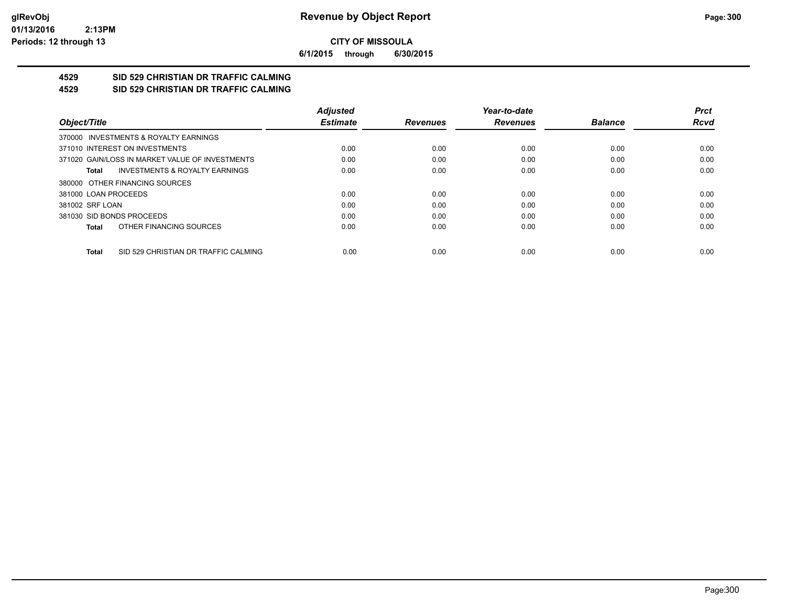**6/1/2015 through 6/30/2015**

# **4529 SID 529 CHRISTIAN DR TRAFFIC CALMING**

## **4529 SID 529 CHRISTIAN DR TRAFFIC CALMING**

|                                                      | <b>Adjusted</b> |                 | Year-to-date    |                | <b>Prct</b> |
|------------------------------------------------------|-----------------|-----------------|-----------------|----------------|-------------|
| Object/Title                                         | <b>Estimate</b> | <b>Revenues</b> | <b>Revenues</b> | <b>Balance</b> | <b>Rcvd</b> |
| 370000 INVESTMENTS & ROYALTY EARNINGS                |                 |                 |                 |                |             |
| 371010 INTEREST ON INVESTMENTS                       | 0.00            | 0.00            | 0.00            | 0.00           | 0.00        |
| 371020 GAIN/LOSS IN MARKET VALUE OF INVESTMENTS      | 0.00            | 0.00            | 0.00            | 0.00           | 0.00        |
| <b>INVESTMENTS &amp; ROYALTY EARNINGS</b><br>Total   | 0.00            | 0.00            | 0.00            | 0.00           | 0.00        |
| 380000 OTHER FINANCING SOURCES                       |                 |                 |                 |                |             |
| 381000 LOAN PROCEEDS                                 | 0.00            | 0.00            | 0.00            | 0.00           | 0.00        |
| 381002 SRF LOAN                                      | 0.00            | 0.00            | 0.00            | 0.00           | 0.00        |
| 381030 SID BONDS PROCEEDS                            | 0.00            | 0.00            | 0.00            | 0.00           | 0.00        |
| OTHER FINANCING SOURCES<br>Total                     | 0.00            | 0.00            | 0.00            | 0.00           | 0.00        |
|                                                      |                 |                 |                 |                |             |
| SID 529 CHRISTIAN DR TRAFFIC CALMING<br><b>Total</b> | 0.00            | 0.00            | 0.00            | 0.00           | 0.00        |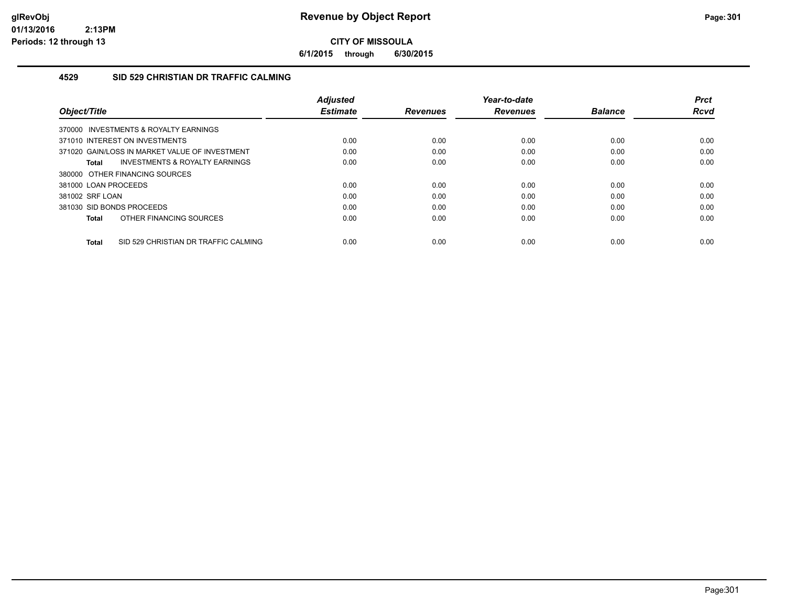**6/1/2015 through 6/30/2015**

#### **4529 SID 529 CHRISTIAN DR TRAFFIC CALMING**

| Object/Title                                         | <b>Adjusted</b><br><b>Estimate</b> | <b>Revenues</b> | Year-to-date<br><b>Revenues</b> | <b>Balance</b> | <b>Prct</b><br>Rcvd |
|------------------------------------------------------|------------------------------------|-----------------|---------------------------------|----------------|---------------------|
| 370000 INVESTMENTS & ROYALTY EARNINGS                |                                    |                 |                                 |                |                     |
| 371010 INTEREST ON INVESTMENTS                       | 0.00                               | 0.00            | 0.00                            | 0.00           | 0.00                |
| 371020 GAIN/LOSS IN MARKET VALUE OF INVESTMENT       | 0.00                               | 0.00            | 0.00                            | 0.00           | 0.00                |
| <b>INVESTMENTS &amp; ROYALTY EARNINGS</b><br>Total   | 0.00                               | 0.00            | 0.00                            | 0.00           | 0.00                |
| 380000 OTHER FINANCING SOURCES                       |                                    |                 |                                 |                |                     |
| 381000 LOAN PROCEEDS                                 | 0.00                               | 0.00            | 0.00                            | 0.00           | 0.00                |
| 381002 SRF LOAN                                      | 0.00                               | 0.00            | 0.00                            | 0.00           | 0.00                |
| 381030 SID BONDS PROCEEDS                            | 0.00                               | 0.00            | 0.00                            | 0.00           | 0.00                |
| OTHER FINANCING SOURCES<br>Total                     | 0.00                               | 0.00            | 0.00                            | 0.00           | 0.00                |
| SID 529 CHRISTIAN DR TRAFFIC CALMING<br><b>Total</b> | 0.00                               | 0.00            | 0.00                            | 0.00           | 0.00                |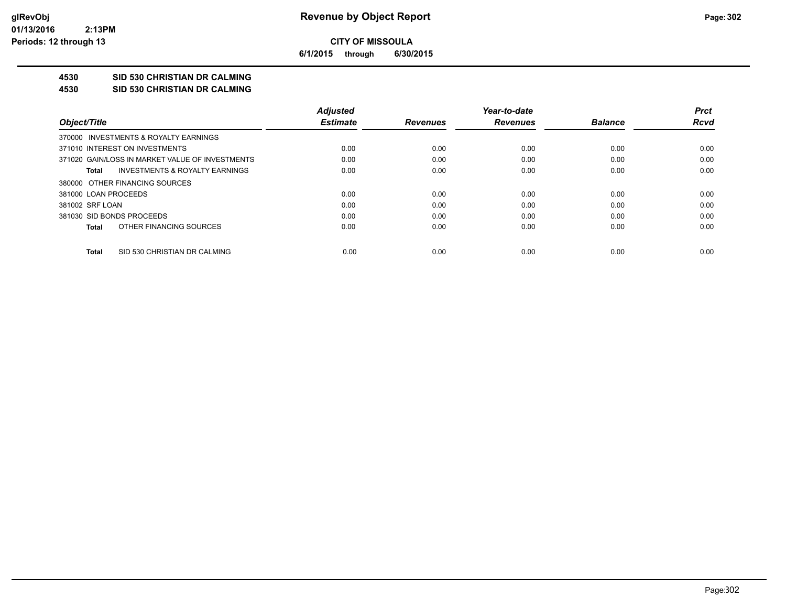**6/1/2015 through 6/30/2015**

## **4530 SID 530 CHRISTIAN DR CALMING**

**4530 SID 530 CHRISTIAN DR CALMING**

|                                                    | <b>Adjusted</b> |                 | Year-to-date    |                | <b>Prct</b> |
|----------------------------------------------------|-----------------|-----------------|-----------------|----------------|-------------|
| Object/Title                                       | <b>Estimate</b> | <b>Revenues</b> | <b>Revenues</b> | <b>Balance</b> | Rcvd        |
| 370000 INVESTMENTS & ROYALTY EARNINGS              |                 |                 |                 |                |             |
| 371010 INTEREST ON INVESTMENTS                     | 0.00            | 0.00            | 0.00            | 0.00           | 0.00        |
| 371020 GAIN/LOSS IN MARKET VALUE OF INVESTMENTS    | 0.00            | 0.00            | 0.00            | 0.00           | 0.00        |
| <b>INVESTMENTS &amp; ROYALTY EARNINGS</b><br>Total | 0.00            | 0.00            | 0.00            | 0.00           | 0.00        |
| 380000 OTHER FINANCING SOURCES                     |                 |                 |                 |                |             |
| 381000 LOAN PROCEEDS                               | 0.00            | 0.00            | 0.00            | 0.00           | 0.00        |
| 381002 SRF LOAN                                    | 0.00            | 0.00            | 0.00            | 0.00           | 0.00        |
| 381030 SID BONDS PROCEEDS                          | 0.00            | 0.00            | 0.00            | 0.00           | 0.00        |
| OTHER FINANCING SOURCES<br>Total                   | 0.00            | 0.00            | 0.00            | 0.00           | 0.00        |
| SID 530 CHRISTIAN DR CALMING<br>Total              | 0.00            | 0.00            | 0.00            | 0.00           | 0.00        |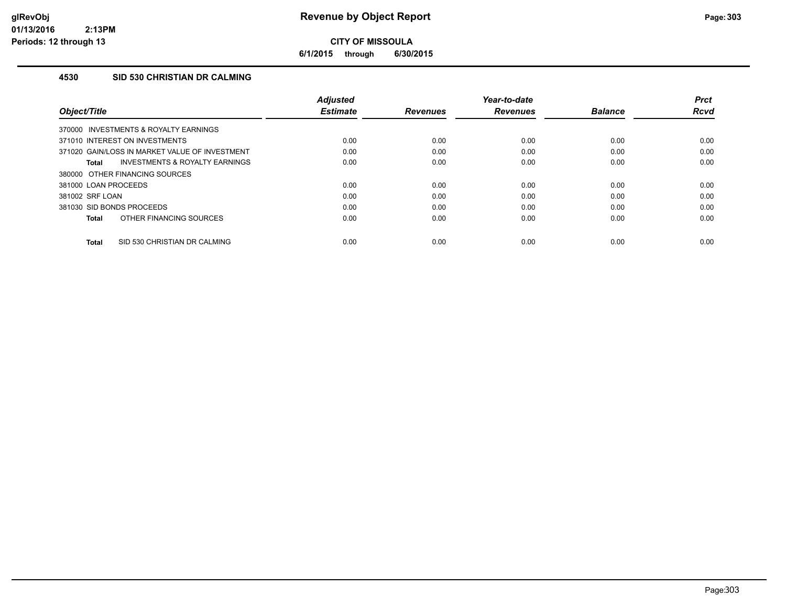**6/1/2015 through 6/30/2015**

#### **4530 SID 530 CHRISTIAN DR CALMING**

| Object/Title                                   | <b>Adjusted</b><br><b>Estimate</b> | <b>Revenues</b> | Year-to-date<br><b>Revenues</b> | <b>Balance</b> | <b>Prct</b><br><b>Rcvd</b> |
|------------------------------------------------|------------------------------------|-----------------|---------------------------------|----------------|----------------------------|
| 370000 INVESTMENTS & ROYALTY EARNINGS          |                                    |                 |                                 |                |                            |
| 371010 INTEREST ON INVESTMENTS                 | 0.00                               | 0.00            | 0.00                            | 0.00           | 0.00                       |
| 371020 GAIN/LOSS IN MARKET VALUE OF INVESTMENT | 0.00                               | 0.00            | 0.00                            | 0.00           | 0.00                       |
| INVESTMENTS & ROYALTY EARNINGS<br>Total        | 0.00                               | 0.00            | 0.00                            | 0.00           | 0.00                       |
| 380000 OTHER FINANCING SOURCES                 |                                    |                 |                                 |                |                            |
| 381000 LOAN PROCEEDS                           | 0.00                               | 0.00            | 0.00                            | 0.00           | 0.00                       |
| 381002 SRF LOAN                                | 0.00                               | 0.00            | 0.00                            | 0.00           | 0.00                       |
| 381030 SID BONDS PROCEEDS                      | 0.00                               | 0.00            | 0.00                            | 0.00           | 0.00                       |
| OTHER FINANCING SOURCES<br>Total               | 0.00                               | 0.00            | 0.00                            | 0.00           | 0.00                       |
| SID 530 CHRISTIAN DR CALMING<br>Total          | 0.00                               | 0.00            | 0.00                            | 0.00           | 0.00                       |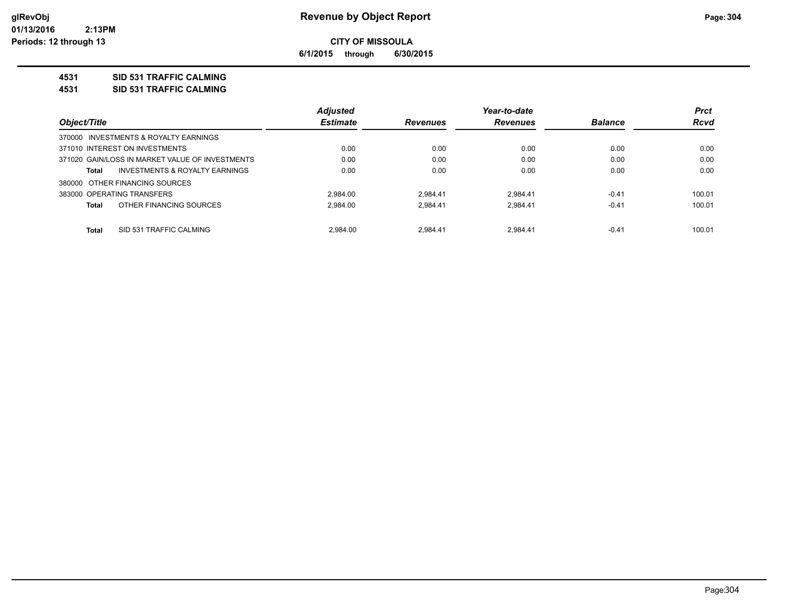**6/1/2015 through 6/30/2015**

#### **4531 SID 531 TRAFFIC CALMING**

**4531 SID 531 TRAFFIC CALMING**

|              |                                                 | <b>Adjusted</b> |                 | Year-to-date    |                | <b>Prct</b> |
|--------------|-------------------------------------------------|-----------------|-----------------|-----------------|----------------|-------------|
| Object/Title |                                                 | <b>Estimate</b> | <b>Revenues</b> | <b>Revenues</b> | <b>Balance</b> | <b>Rcvd</b> |
|              | 370000 INVESTMENTS & ROYALTY EARNINGS           |                 |                 |                 |                |             |
|              | 371010 INTEREST ON INVESTMENTS                  | 0.00            | 0.00            | 0.00            | 0.00           | 0.00        |
|              | 371020 GAIN/LOSS IN MARKET VALUE OF INVESTMENTS | 0.00            | 0.00            | 0.00            | 0.00           | 0.00        |
| Total        | INVESTMENTS & ROYALTY EARNINGS                  | 0.00            | 0.00            | 0.00            | 0.00           | 0.00        |
|              | 380000 OTHER FINANCING SOURCES                  |                 |                 |                 |                |             |
|              | 383000 OPERATING TRANSFERS                      | 2.984.00        | 2.984.41        | 2.984.41        | $-0.41$        | 100.01      |
| <b>Total</b> | OTHER FINANCING SOURCES                         | 2.984.00        | 2.984.41        | 2.984.41        | $-0.41$        | 100.01      |
| <b>Total</b> | SID 531 TRAFFIC CALMING                         | 2.984.00        | 2.984.41        | 2.984.41        | $-0.41$        | 100.01      |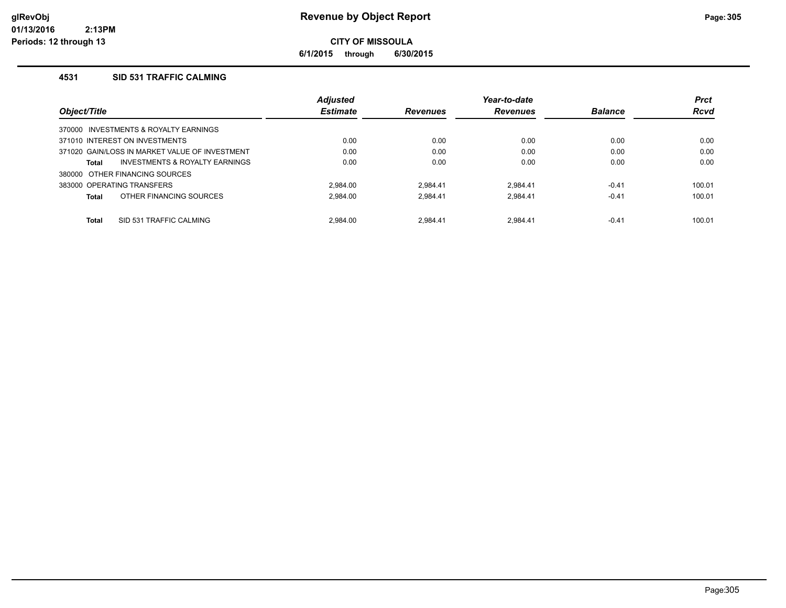**6/1/2015 through 6/30/2015**

#### **4531 SID 531 TRAFFIC CALMING**

|              |                                                | <b>Adjusted</b> |                 | Year-to-date    |                | <b>Prct</b> |
|--------------|------------------------------------------------|-----------------|-----------------|-----------------|----------------|-------------|
| Object/Title |                                                | <b>Estimate</b> | <b>Revenues</b> | <b>Revenues</b> | <b>Balance</b> | <b>Rcvd</b> |
|              | 370000 INVESTMENTS & ROYALTY EARNINGS          |                 |                 |                 |                |             |
|              | 371010 INTEREST ON INVESTMENTS                 | 0.00            | 0.00            | 0.00            | 0.00           | 0.00        |
|              | 371020 GAIN/LOSS IN MARKET VALUE OF INVESTMENT | 0.00            | 0.00            | 0.00            | 0.00           | 0.00        |
| Total        | INVESTMENTS & ROYALTY EARNINGS                 | 0.00            | 0.00            | 0.00            | 0.00           | 0.00        |
|              | 380000 OTHER FINANCING SOURCES                 |                 |                 |                 |                |             |
|              | 383000 OPERATING TRANSFERS                     | 2.984.00        | 2.984.41        | 2.984.41        | $-0.41$        | 100.01      |
| Total        | OTHER FINANCING SOURCES                        | 2.984.00        | 2.984.41        | 2.984.41        | $-0.41$        | 100.01      |
| <b>Total</b> | SID 531 TRAFFIC CALMING                        | 2.984.00        | 2.984.41        | 2.984.41        | $-0.41$        | 100.01      |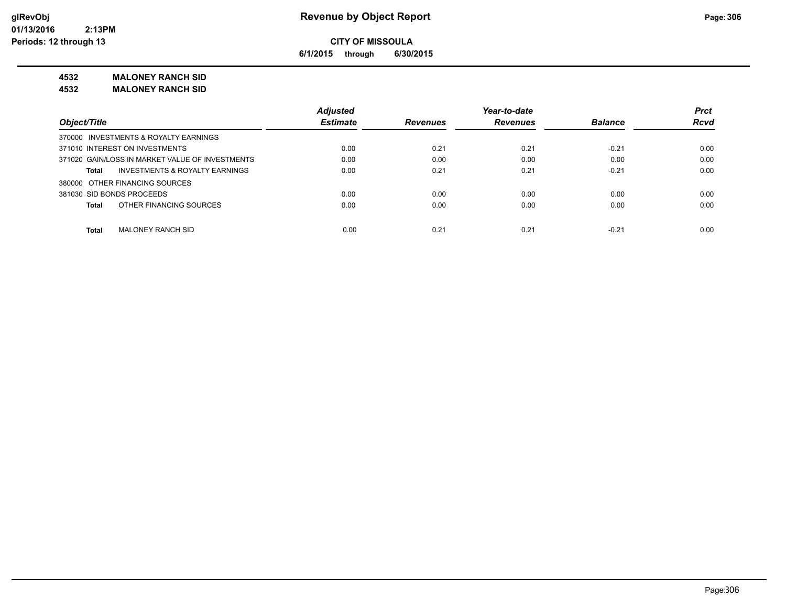**6/1/2015 through 6/30/2015**

**4532 MALONEY RANCH SID**

**4532 MALONEY RANCH SID**

|                                                    | <b>Adjusted</b> |                 | Year-to-date    |                | <b>Prct</b> |
|----------------------------------------------------|-----------------|-----------------|-----------------|----------------|-------------|
| Object/Title                                       | <b>Estimate</b> | <b>Revenues</b> | <b>Revenues</b> | <b>Balance</b> | <b>Rcvd</b> |
| 370000 INVESTMENTS & ROYALTY EARNINGS              |                 |                 |                 |                |             |
| 371010 INTEREST ON INVESTMENTS                     | 0.00            | 0.21            | 0.21            | $-0.21$        | 0.00        |
| 371020 GAIN/LOSS IN MARKET VALUE OF INVESTMENTS    | 0.00            | 0.00            | 0.00            | 0.00           | 0.00        |
| <b>INVESTMENTS &amp; ROYALTY EARNINGS</b><br>Total | 0.00            | 0.21            | 0.21            | $-0.21$        | 0.00        |
| 380000 OTHER FINANCING SOURCES                     |                 |                 |                 |                |             |
| 381030 SID BONDS PROCEEDS                          | 0.00            | 0.00            | 0.00            | 0.00           | 0.00        |
| OTHER FINANCING SOURCES<br><b>Total</b>            | 0.00            | 0.00            | 0.00            | 0.00           | 0.00        |
| <b>Total</b><br><b>MALONEY RANCH SID</b>           | 0.00            | 0.21            | 0.21            | $-0.21$        | 0.00        |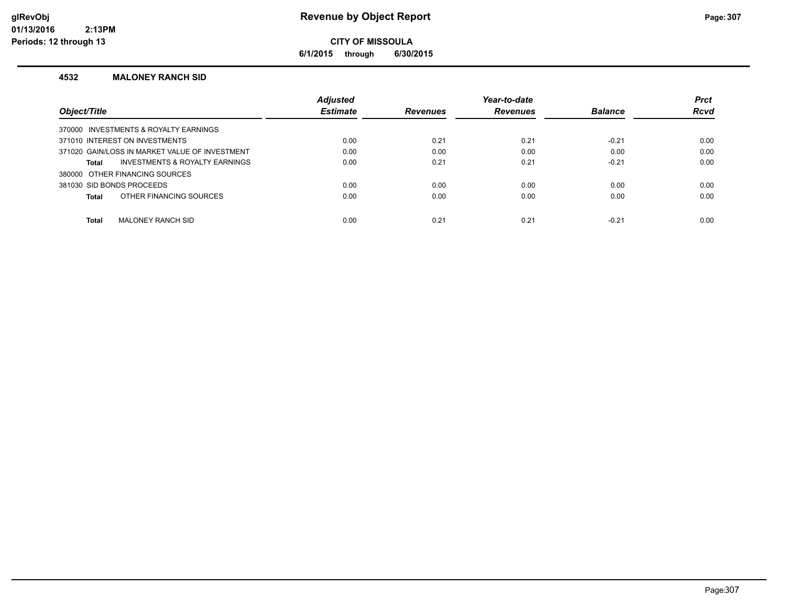#### **glRevObj Revenue by Object Report Page:307**

**CITY OF MISSOULA**

**6/1/2015 through 6/30/2015**

#### **4532 MALONEY RANCH SID**

|                                                | <b>Adjusted</b> |                 | Year-to-date    |                | <b>Prct</b> |
|------------------------------------------------|-----------------|-----------------|-----------------|----------------|-------------|
| Object/Title                                   | <b>Estimate</b> | <b>Revenues</b> | <b>Revenues</b> | <b>Balance</b> | <b>Rcvd</b> |
| 370000 INVESTMENTS & ROYALTY EARNINGS          |                 |                 |                 |                |             |
| 371010 INTEREST ON INVESTMENTS                 | 0.00            | 0.21            | 0.21            | $-0.21$        | 0.00        |
| 371020 GAIN/LOSS IN MARKET VALUE OF INVESTMENT | 0.00            | 0.00            | 0.00            | 0.00           | 0.00        |
| INVESTMENTS & ROYALTY EARNINGS<br>Total        | 0.00            | 0.21            | 0.21            | $-0.21$        | 0.00        |
| 380000 OTHER FINANCING SOURCES                 |                 |                 |                 |                |             |
| 381030 SID BONDS PROCEEDS                      | 0.00            | 0.00            | 0.00            | 0.00           | 0.00        |
| OTHER FINANCING SOURCES<br>Total               | 0.00            | 0.00            | 0.00            | 0.00           | 0.00        |
| <b>Total</b><br><b>MALONEY RANCH SID</b>       | 0.00            | 0.21            | 0.21            | $-0.21$        | 0.00        |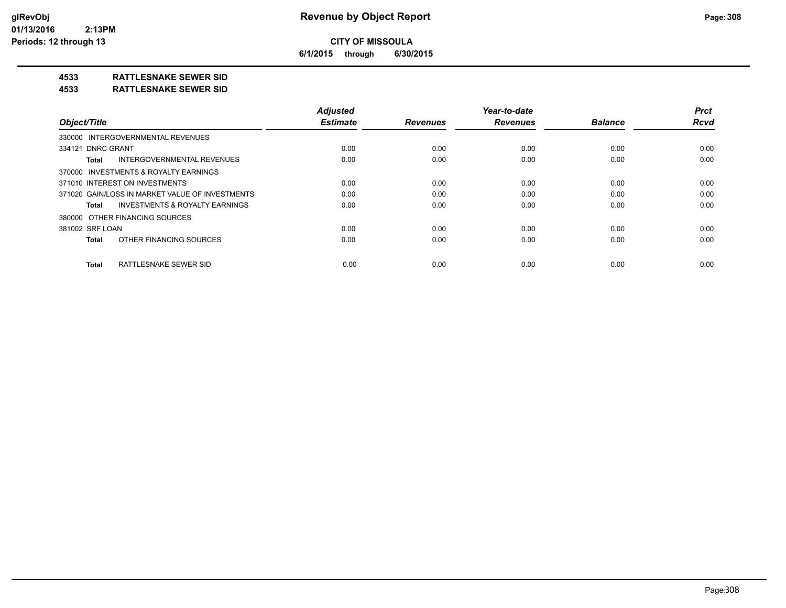**6/1/2015 through 6/30/2015**

#### **4533 RATTLESNAKE SEWER SID**

**4533 RATTLESNAKE SEWER SID**

|                                                 | <b>Adjusted</b> |                 | Year-to-date    |                | <b>Prct</b> |
|-------------------------------------------------|-----------------|-----------------|-----------------|----------------|-------------|
| Object/Title                                    | <b>Estimate</b> | <b>Revenues</b> | <b>Revenues</b> | <b>Balance</b> | <b>Rcvd</b> |
| 330000 INTERGOVERNMENTAL REVENUES               |                 |                 |                 |                |             |
| 334121 DNRC GRANT                               | 0.00            | 0.00            | 0.00            | 0.00           | 0.00        |
| INTERGOVERNMENTAL REVENUES<br>Total             | 0.00            | 0.00            | 0.00            | 0.00           | 0.00        |
| 370000 INVESTMENTS & ROYALTY EARNINGS           |                 |                 |                 |                |             |
| 371010 INTEREST ON INVESTMENTS                  | 0.00            | 0.00            | 0.00            | 0.00           | 0.00        |
| 371020 GAIN/LOSS IN MARKET VALUE OF INVESTMENTS | 0.00            | 0.00            | 0.00            | 0.00           | 0.00        |
| INVESTMENTS & ROYALTY EARNINGS<br>Total         | 0.00            | 0.00            | 0.00            | 0.00           | 0.00        |
| 380000 OTHER FINANCING SOURCES                  |                 |                 |                 |                |             |
| 381002 SRF LOAN                                 | 0.00            | 0.00            | 0.00            | 0.00           | 0.00        |
| OTHER FINANCING SOURCES<br><b>Total</b>         | 0.00            | 0.00            | 0.00            | 0.00           | 0.00        |
| RATTLESNAKE SEWER SID<br><b>Total</b>           | 0.00            | 0.00            | 0.00            | 0.00           | 0.00        |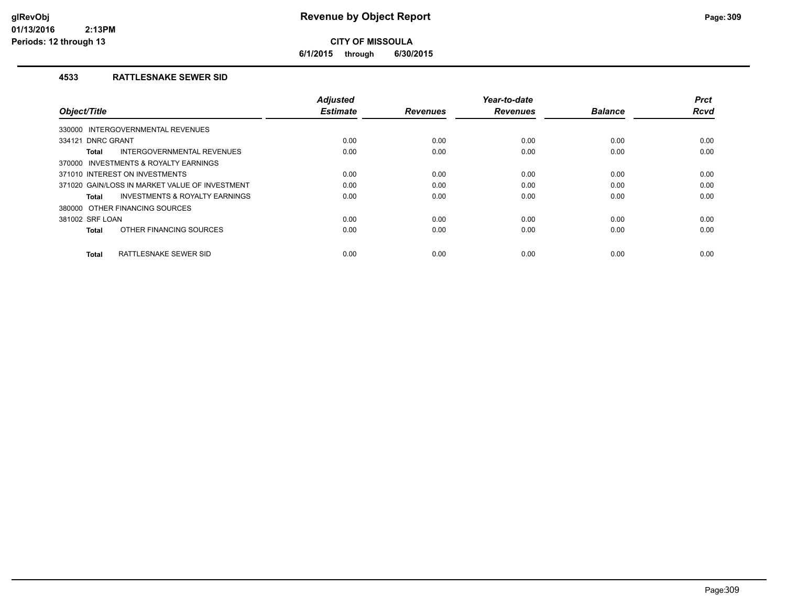**6/1/2015 through 6/30/2015**

#### **4533 RATTLESNAKE SEWER SID**

| Object/Title                                   | <b>Adjusted</b><br><b>Estimate</b> | <b>Revenues</b> | Year-to-date<br><b>Revenues</b> | <b>Balance</b> | <b>Prct</b><br><b>Rcvd</b> |
|------------------------------------------------|------------------------------------|-----------------|---------------------------------|----------------|----------------------------|
| INTERGOVERNMENTAL REVENUES<br>330000           |                                    |                 |                                 |                |                            |
| 334121 DNRC GRANT                              | 0.00                               | 0.00            | 0.00                            | 0.00           | 0.00                       |
| INTERGOVERNMENTAL REVENUES<br>Total            | 0.00                               | 0.00            | 0.00                            | 0.00           | 0.00                       |
| 370000 INVESTMENTS & ROYALTY EARNINGS          |                                    |                 |                                 |                |                            |
| 371010 INTEREST ON INVESTMENTS                 | 0.00                               | 0.00            | 0.00                            | 0.00           | 0.00                       |
| 371020 GAIN/LOSS IN MARKET VALUE OF INVESTMENT | 0.00                               | 0.00            | 0.00                            | 0.00           | 0.00                       |
| INVESTMENTS & ROYALTY EARNINGS<br>Total        | 0.00                               | 0.00            | 0.00                            | 0.00           | 0.00                       |
| 380000 OTHER FINANCING SOURCES                 |                                    |                 |                                 |                |                            |
| 381002 SRF LOAN                                | 0.00                               | 0.00            | 0.00                            | 0.00           | 0.00                       |
| OTHER FINANCING SOURCES<br><b>Total</b>        | 0.00                               | 0.00            | 0.00                            | 0.00           | 0.00                       |
| RATTLESNAKE SEWER SID<br><b>Total</b>          | 0.00                               | 0.00            | 0.00                            | 0.00           | 0.00                       |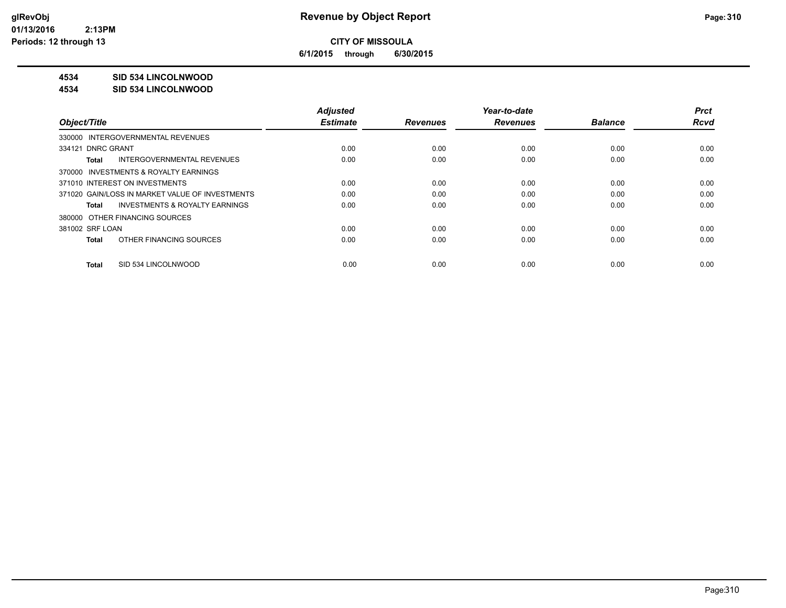**6/1/2015 through 6/30/2015**

#### **4534 SID 534 LINCOLNWOOD**

#### **4534 SID 534 LINCOLNWOOD**

|                                                    | <b>Adjusted</b> |                 | Year-to-date    |                | <b>Prct</b> |
|----------------------------------------------------|-----------------|-----------------|-----------------|----------------|-------------|
| Object/Title                                       | <b>Estimate</b> | <b>Revenues</b> | <b>Revenues</b> | <b>Balance</b> | <b>Rcvd</b> |
| 330000 INTERGOVERNMENTAL REVENUES                  |                 |                 |                 |                |             |
| 334121 DNRC GRANT                                  | 0.00            | 0.00            | 0.00            | 0.00           | 0.00        |
| INTERGOVERNMENTAL REVENUES<br>Total                | 0.00            | 0.00            | 0.00            | 0.00           | 0.00        |
| 370000 INVESTMENTS & ROYALTY EARNINGS              |                 |                 |                 |                |             |
| 371010 INTEREST ON INVESTMENTS                     | 0.00            | 0.00            | 0.00            | 0.00           | 0.00        |
| 371020 GAIN/LOSS IN MARKET VALUE OF INVESTMENTS    | 0.00            | 0.00            | 0.00            | 0.00           | 0.00        |
| <b>INVESTMENTS &amp; ROYALTY EARNINGS</b><br>Total | 0.00            | 0.00            | 0.00            | 0.00           | 0.00        |
| 380000 OTHER FINANCING SOURCES                     |                 |                 |                 |                |             |
| 381002 SRF LOAN                                    | 0.00            | 0.00            | 0.00            | 0.00           | 0.00        |
| OTHER FINANCING SOURCES<br>Total                   | 0.00            | 0.00            | 0.00            | 0.00           | 0.00        |
| SID 534 LINCOLNWOOD<br>Total                       | 0.00            | 0.00            | 0.00            | 0.00           | 0.00        |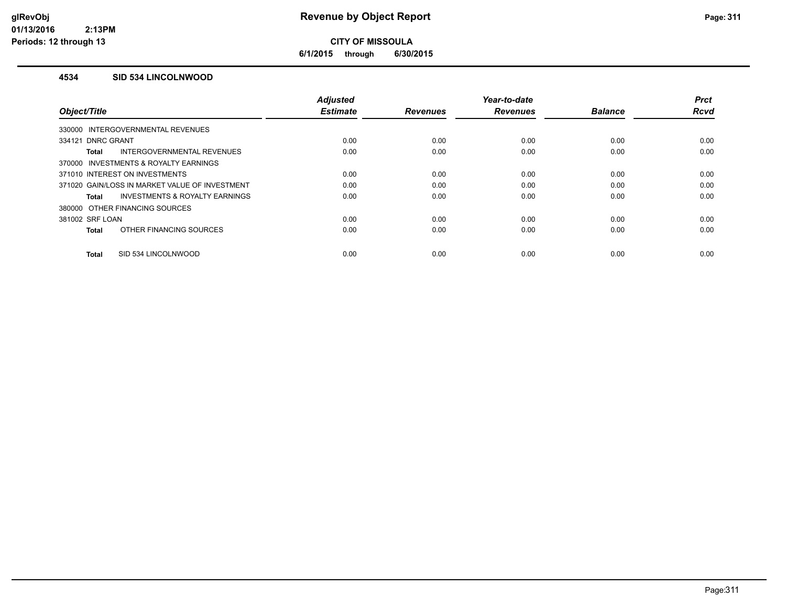**6/1/2015 through 6/30/2015**

#### **4534 SID 534 LINCOLNWOOD**

|                                                | <b>Adjusted</b> |                 | Year-to-date    |                | <b>Prct</b> |
|------------------------------------------------|-----------------|-----------------|-----------------|----------------|-------------|
| Object/Title                                   | <b>Estimate</b> | <b>Revenues</b> | <b>Revenues</b> | <b>Balance</b> | <b>Rcvd</b> |
| 330000 INTERGOVERNMENTAL REVENUES              |                 |                 |                 |                |             |
| 334121 DNRC GRANT                              | 0.00            | 0.00            | 0.00            | 0.00           | 0.00        |
| INTERGOVERNMENTAL REVENUES<br>Total            | 0.00            | 0.00            | 0.00            | 0.00           | 0.00        |
| 370000 INVESTMENTS & ROYALTY EARNINGS          |                 |                 |                 |                |             |
| 371010 INTEREST ON INVESTMENTS                 | 0.00            | 0.00            | 0.00            | 0.00           | 0.00        |
| 371020 GAIN/LOSS IN MARKET VALUE OF INVESTMENT | 0.00            | 0.00            | 0.00            | 0.00           | 0.00        |
| INVESTMENTS & ROYALTY EARNINGS<br>Total        | 0.00            | 0.00            | 0.00            | 0.00           | 0.00        |
| 380000 OTHER FINANCING SOURCES                 |                 |                 |                 |                |             |
| 381002 SRF LOAN                                | 0.00            | 0.00            | 0.00            | 0.00           | 0.00        |
| OTHER FINANCING SOURCES<br>Total               | 0.00            | 0.00            | 0.00            | 0.00           | 0.00        |
|                                                |                 |                 |                 |                |             |
| SID 534 LINCOLNWOOD<br><b>Total</b>            | 0.00            | 0.00            | 0.00            | 0.00           | 0.00        |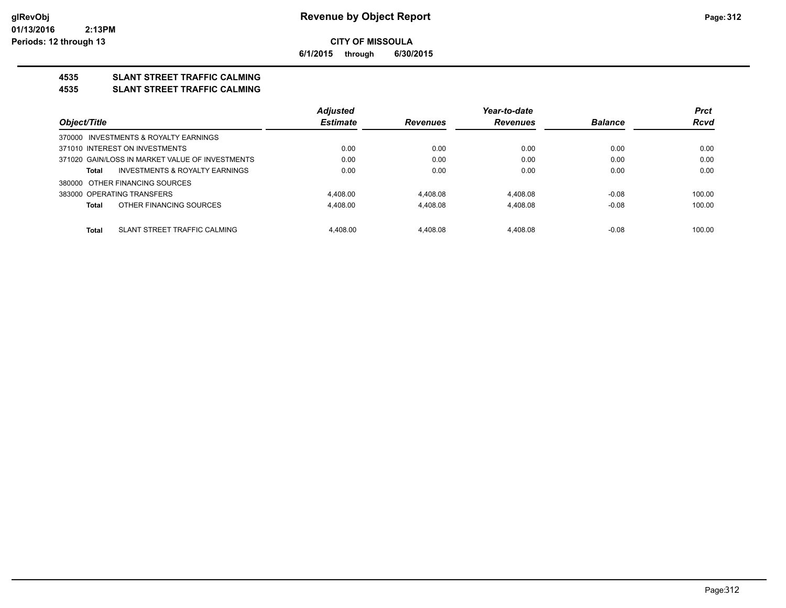**6/1/2015 through 6/30/2015**

### **4535 SLANT STREET TRAFFIC CALMING**

#### **4535 SLANT STREET TRAFFIC CALMING**

|                                                    | <b>Adjusted</b> |                 | Year-to-date    |                | <b>Prct</b> |
|----------------------------------------------------|-----------------|-----------------|-----------------|----------------|-------------|
| Object/Title                                       | <b>Estimate</b> | <b>Revenues</b> | <b>Revenues</b> | <b>Balance</b> | <b>Rcvd</b> |
| 370000 INVESTMENTS & ROYALTY EARNINGS              |                 |                 |                 |                |             |
| 371010 INTEREST ON INVESTMENTS                     | 0.00            | 0.00            | 0.00            | 0.00           | 0.00        |
| 371020 GAIN/LOSS IN MARKET VALUE OF INVESTMENTS    | 0.00            | 0.00            | 0.00            | 0.00           | 0.00        |
| <b>INVESTMENTS &amp; ROYALTY EARNINGS</b><br>Total | 0.00            | 0.00            | 0.00            | 0.00           | 0.00        |
| 380000 OTHER FINANCING SOURCES                     |                 |                 |                 |                |             |
| 383000 OPERATING TRANSFERS                         | 4.408.00        | 4.408.08        | 4.408.08        | $-0.08$        | 100.00      |
| OTHER FINANCING SOURCES<br>Total                   | 4.408.00        | 4.408.08        | 4.408.08        | $-0.08$        | 100.00      |
|                                                    |                 |                 |                 |                |             |
| Total<br>SLANT STREET TRAFFIC CALMING              | 4.408.00        | 4.408.08        | 4.408.08        | $-0.08$        | 100.00      |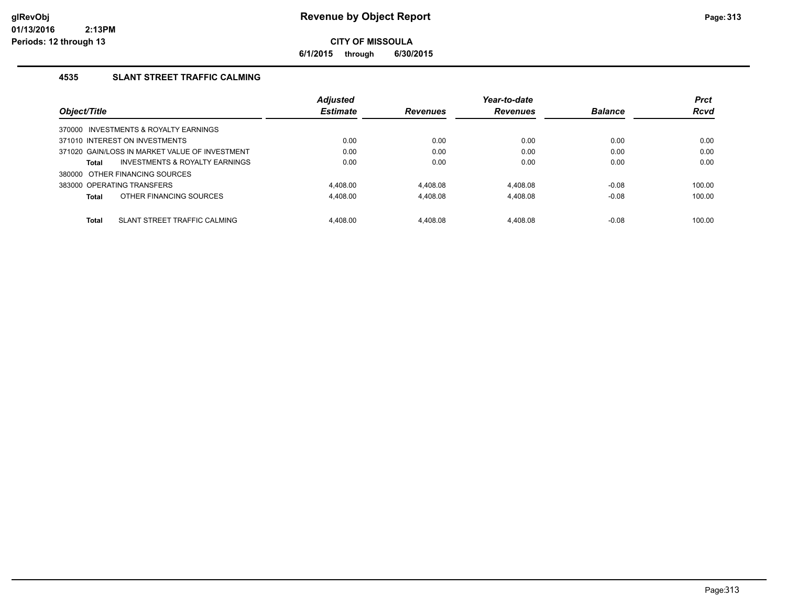**6/1/2015 through 6/30/2015**

#### **4535 SLANT STREET TRAFFIC CALMING**

|                                                | <b>Adjusted</b> |                 | Year-to-date    |                | <b>Prct</b> |
|------------------------------------------------|-----------------|-----------------|-----------------|----------------|-------------|
| Object/Title                                   | <b>Estimate</b> | <b>Revenues</b> | <b>Revenues</b> | <b>Balance</b> | <b>Rcvd</b> |
| 370000 INVESTMENTS & ROYALTY EARNINGS          |                 |                 |                 |                |             |
| 371010 INTEREST ON INVESTMENTS                 | 0.00            | 0.00            | 0.00            | 0.00           | 0.00        |
| 371020 GAIN/LOSS IN MARKET VALUE OF INVESTMENT | 0.00            | 0.00            | 0.00            | 0.00           | 0.00        |
| INVESTMENTS & ROYALTY EARNINGS<br>Total        | 0.00            | 0.00            | 0.00            | 0.00           | 0.00        |
| 380000 OTHER FINANCING SOURCES                 |                 |                 |                 |                |             |
| 383000 OPERATING TRANSFERS                     | 4.408.00        | 4.408.08        | 4.408.08        | $-0.08$        | 100.00      |
| OTHER FINANCING SOURCES<br>Total               | 4.408.00        | 4.408.08        | 4.408.08        | $-0.08$        | 100.00      |
|                                                |                 |                 |                 |                |             |
| Total<br>SLANT STREET TRAFFIC CALMING          | 4.408.00        | 4.408.08        | 4.408.08        | $-0.08$        | 100.00      |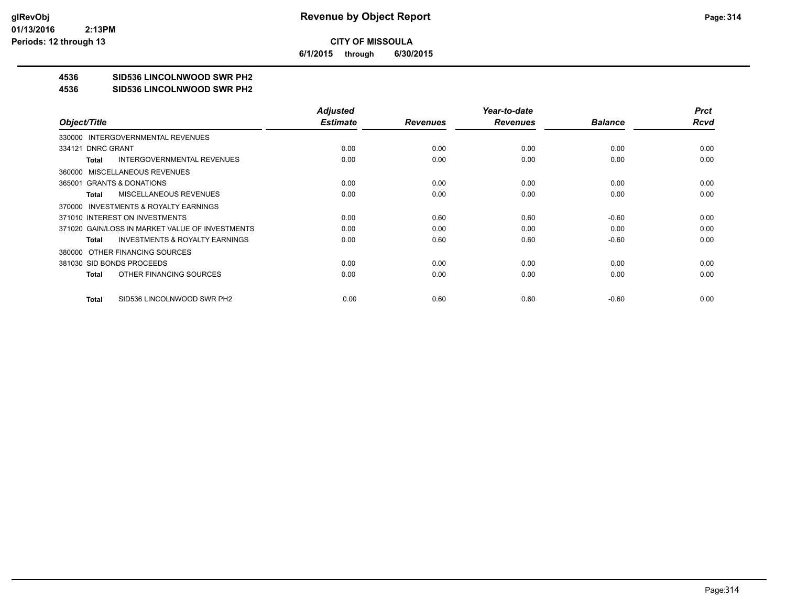**6/1/2015 through 6/30/2015**

## **4536 SID536 LINCOLNWOOD SWR PH2**

#### **4536 SID536 LINCOLNWOOD SWR PH2**

|                                                     | <b>Adjusted</b> |                 | Year-to-date    |                | <b>Prct</b> |
|-----------------------------------------------------|-----------------|-----------------|-----------------|----------------|-------------|
| Object/Title                                        | <b>Estimate</b> | <b>Revenues</b> | <b>Revenues</b> | <b>Balance</b> | Rcvd        |
| 330000 INTERGOVERNMENTAL REVENUES                   |                 |                 |                 |                |             |
| 334121 DNRC GRANT                                   | 0.00            | 0.00            | 0.00            | 0.00           | 0.00        |
| INTERGOVERNMENTAL REVENUES<br>Total                 | 0.00            | 0.00            | 0.00            | 0.00           | 0.00        |
| 360000 MISCELLANEOUS REVENUES                       |                 |                 |                 |                |             |
| 365001 GRANTS & DONATIONS                           | 0.00            | 0.00            | 0.00            | 0.00           | 0.00        |
| <b>MISCELLANEOUS REVENUES</b><br>Total              | 0.00            | 0.00            | 0.00            | 0.00           | 0.00        |
| <b>INVESTMENTS &amp; ROYALTY EARNINGS</b><br>370000 |                 |                 |                 |                |             |
| 371010 INTEREST ON INVESTMENTS                      | 0.00            | 0.60            | 0.60            | $-0.60$        | 0.00        |
| 371020 GAIN/LOSS IN MARKET VALUE OF INVESTMENTS     | 0.00            | 0.00            | 0.00            | 0.00           | 0.00        |
| <b>INVESTMENTS &amp; ROYALTY EARNINGS</b><br>Total  | 0.00            | 0.60            | 0.60            | $-0.60$        | 0.00        |
| 380000 OTHER FINANCING SOURCES                      |                 |                 |                 |                |             |
| 381030 SID BONDS PROCEEDS                           | 0.00            | 0.00            | 0.00            | 0.00           | 0.00        |
| OTHER FINANCING SOURCES<br>Total                    | 0.00            | 0.00            | 0.00            | 0.00           | 0.00        |
|                                                     |                 |                 |                 |                |             |
| SID536 LINCOLNWOOD SWR PH2<br><b>Total</b>          | 0.00            | 0.60            | 0.60            | $-0.60$        | 0.00        |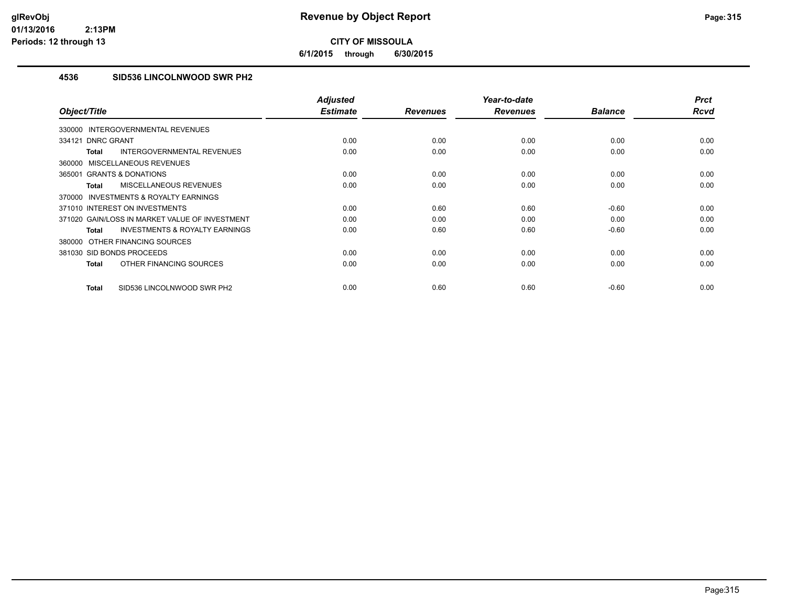**6/1/2015 through 6/30/2015**

#### **4536 SID536 LINCOLNWOOD SWR PH2**

| Object/Title                                              | <b>Adjusted</b><br><b>Estimate</b> | <b>Revenues</b> | Year-to-date<br><b>Revenues</b> | <b>Balance</b> | <b>Prct</b><br><b>Rcvd</b> |
|-----------------------------------------------------------|------------------------------------|-----------------|---------------------------------|----------------|----------------------------|
| INTERGOVERNMENTAL REVENUES<br>330000                      |                                    |                 |                                 |                |                            |
| 334121 DNRC GRANT                                         | 0.00                               | 0.00            | 0.00                            | 0.00           | 0.00                       |
|                                                           |                                    |                 |                                 |                |                            |
| INTERGOVERNMENTAL REVENUES<br><b>Total</b>                | 0.00                               | 0.00            | 0.00                            | 0.00           | 0.00                       |
| <b>MISCELLANEOUS REVENUES</b><br>360000                   |                                    |                 |                                 |                |                            |
| 365001 GRANTS & DONATIONS                                 | 0.00                               | 0.00            | 0.00                            | 0.00           | 0.00                       |
| MISCELLANEOUS REVENUES<br><b>Total</b>                    | 0.00                               | 0.00            | 0.00                            | 0.00           | 0.00                       |
| INVESTMENTS & ROYALTY EARNINGS<br>370000                  |                                    |                 |                                 |                |                            |
| 371010 INTEREST ON INVESTMENTS                            | 0.00                               | 0.60            | 0.60                            | $-0.60$        | 0.00                       |
| 371020 GAIN/LOSS IN MARKET VALUE OF INVESTMENT            | 0.00                               | 0.00            | 0.00                            | 0.00           | 0.00                       |
| <b>INVESTMENTS &amp; ROYALTY EARNINGS</b><br><b>Total</b> | 0.00                               | 0.60            | 0.60                            | $-0.60$        | 0.00                       |
| 380000 OTHER FINANCING SOURCES                            |                                    |                 |                                 |                |                            |
| 381030 SID BONDS PROCEEDS                                 | 0.00                               | 0.00            | 0.00                            | 0.00           | 0.00                       |
| OTHER FINANCING SOURCES<br><b>Total</b>                   | 0.00                               | 0.00            | 0.00                            | 0.00           | 0.00                       |
| SID536 LINCOLNWOOD SWR PH2<br><b>Total</b>                | 0.00                               | 0.60            | 0.60                            | $-0.60$        | 0.00                       |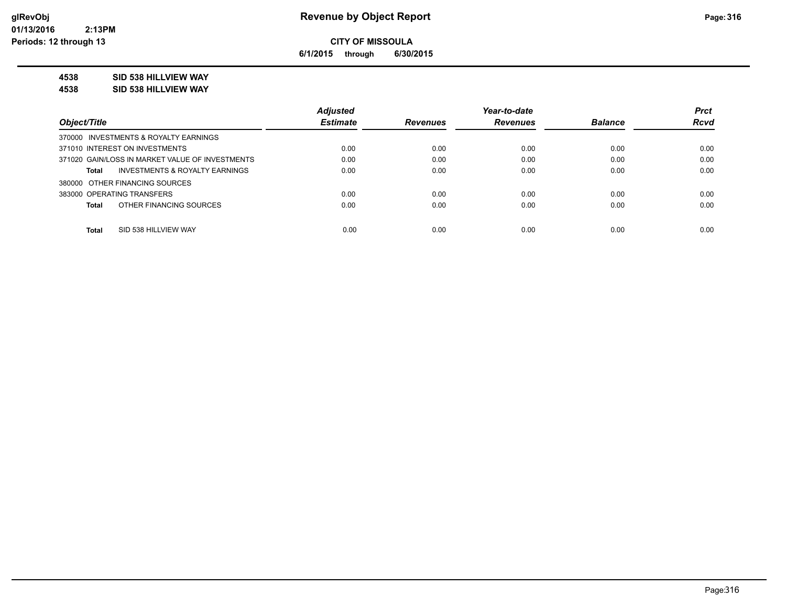**6/1/2015 through 6/30/2015**

#### **4538 SID 538 HILLVIEW WAY**

**4538 SID 538 HILLVIEW WAY**

|                                                    | <b>Adjusted</b> |                 | Year-to-date    |                | <b>Prct</b> |
|----------------------------------------------------|-----------------|-----------------|-----------------|----------------|-------------|
| Object/Title                                       | <b>Estimate</b> | <b>Revenues</b> | <b>Revenues</b> | <b>Balance</b> | <b>Rcvd</b> |
| 370000 INVESTMENTS & ROYALTY EARNINGS              |                 |                 |                 |                |             |
| 371010 INTEREST ON INVESTMENTS                     | 0.00            | 0.00            | 0.00            | 0.00           | 0.00        |
| 371020 GAIN/LOSS IN MARKET VALUE OF INVESTMENTS    | 0.00            | 0.00            | 0.00            | 0.00           | 0.00        |
| <b>INVESTMENTS &amp; ROYALTY EARNINGS</b><br>Total | 0.00            | 0.00            | 0.00            | 0.00           | 0.00        |
| 380000 OTHER FINANCING SOURCES                     |                 |                 |                 |                |             |
| 383000 OPERATING TRANSFERS                         | 0.00            | 0.00            | 0.00            | 0.00           | 0.00        |
| OTHER FINANCING SOURCES<br><b>Total</b>            | 0.00            | 0.00            | 0.00            | 0.00           | 0.00        |
|                                                    |                 |                 |                 |                |             |
| <b>Total</b><br>SID 538 HILLVIEW WAY               | 0.00            | 0.00            | 0.00            | 0.00           | 0.00        |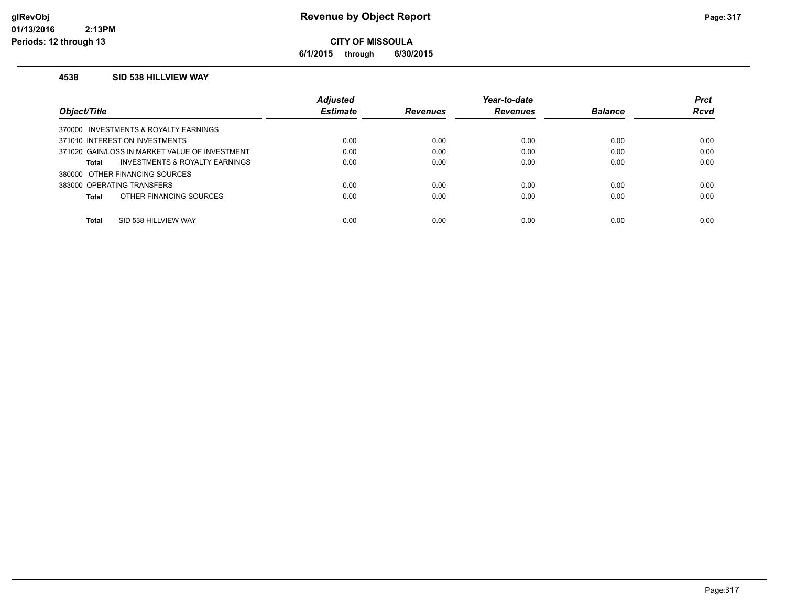**6/1/2015 through 6/30/2015**

#### **4538 SID 538 HILLVIEW WAY**

|                                                | <b>Adjusted</b> |                 | Year-to-date    |                | <b>Prct</b> |
|------------------------------------------------|-----------------|-----------------|-----------------|----------------|-------------|
| Object/Title                                   | <b>Estimate</b> | <b>Revenues</b> | <b>Revenues</b> | <b>Balance</b> | <b>Rcvd</b> |
| 370000 INVESTMENTS & ROYALTY EARNINGS          |                 |                 |                 |                |             |
| 371010 INTEREST ON INVESTMENTS                 | 0.00            | 0.00            | 0.00            | 0.00           | 0.00        |
| 371020 GAIN/LOSS IN MARKET VALUE OF INVESTMENT | 0.00            | 0.00            | 0.00            | 0.00           | 0.00        |
| INVESTMENTS & ROYALTY EARNINGS<br>Total        | 0.00            | 0.00            | 0.00            | 0.00           | 0.00        |
| 380000 OTHER FINANCING SOURCES                 |                 |                 |                 |                |             |
| 383000 OPERATING TRANSFERS                     | 0.00            | 0.00            | 0.00            | 0.00           | 0.00        |
| OTHER FINANCING SOURCES<br>Total               | 0.00            | 0.00            | 0.00            | 0.00           | 0.00        |
|                                                |                 |                 |                 |                |             |
| Total<br>SID 538 HILLVIEW WAY                  | 0.00            | 0.00            | 0.00            | 0.00           | 0.00        |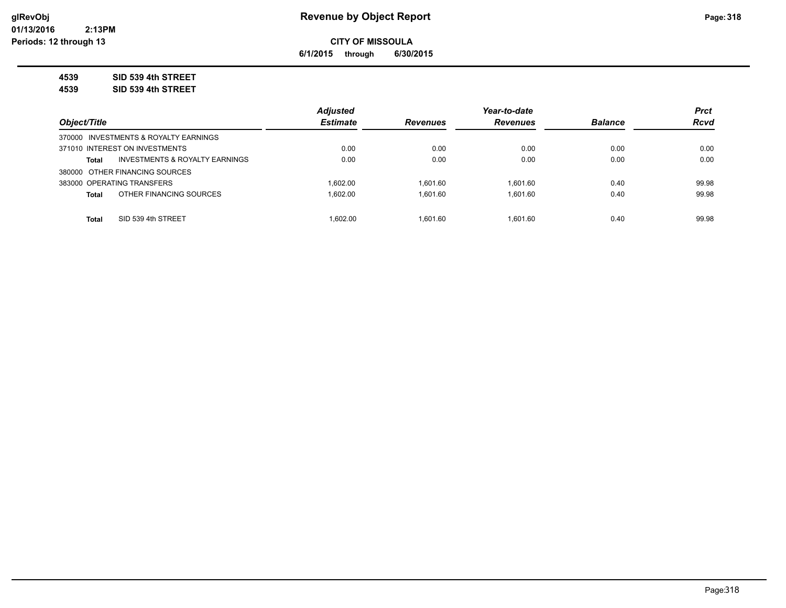**6/1/2015 through 6/30/2015**

**4539 SID 539 4th STREET**

**4539 SID 539 4th STREET**

|                                                           | <b>Adjusted</b> |                 | Year-to-date    |                | <b>Prct</b> |
|-----------------------------------------------------------|-----------------|-----------------|-----------------|----------------|-------------|
| Object/Title                                              | <b>Estimate</b> | <b>Revenues</b> | <b>Revenues</b> | <b>Balance</b> | <b>Rcvd</b> |
| 370000 INVESTMENTS & ROYALTY EARNINGS                     |                 |                 |                 |                |             |
| 371010 INTEREST ON INVESTMENTS                            | 0.00            | 0.00            | 0.00            | 0.00           | 0.00        |
| <b>INVESTMENTS &amp; ROYALTY EARNINGS</b><br><b>Total</b> | 0.00            | 0.00            | 0.00            | 0.00           | 0.00        |
| 380000 OTHER FINANCING SOURCES                            |                 |                 |                 |                |             |
| 383000 OPERATING TRANSFERS                                | 1.602.00        | 1.601.60        | 1.601.60        | 0.40           | 99.98       |
| OTHER FINANCING SOURCES<br><b>Total</b>                   | 1.602.00        | 1.601.60        | 1.601.60        | 0.40           | 99.98       |
|                                                           |                 |                 |                 |                |             |
| SID 539 4th STREET<br><b>Total</b>                        | 1.602.00        | 1.601.60        | 1.601.60        | 0.40           | 99.98       |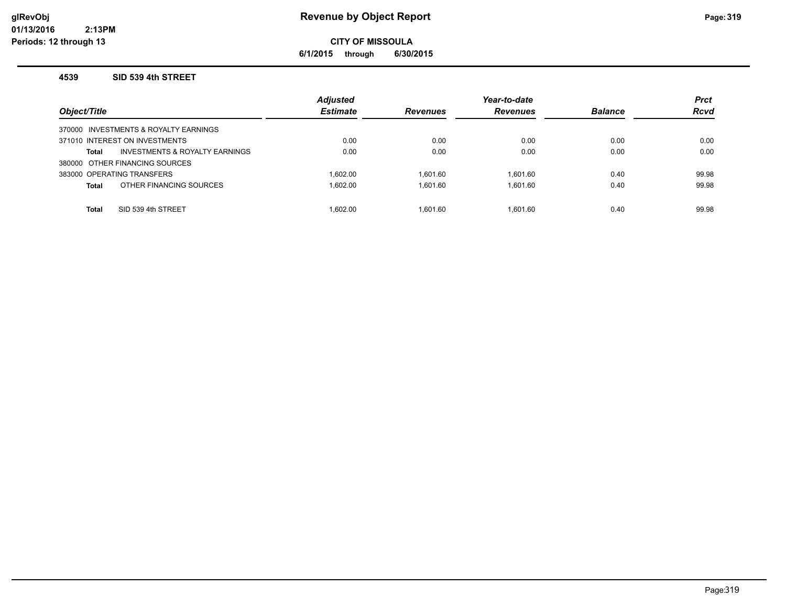**6/1/2015 through 6/30/2015**

#### **4539 SID 539 4th STREET**

| Object/Title                                   | <b>Adjusted</b><br><b>Estimate</b> | <b>Revenues</b> | Year-to-date<br><b>Revenues</b> | <b>Balance</b> | <b>Prct</b><br><b>Rcvd</b> |
|------------------------------------------------|------------------------------------|-----------------|---------------------------------|----------------|----------------------------|
| 370000 INVESTMENTS & ROYALTY EARNINGS          |                                    |                 |                                 |                |                            |
| 371010 INTEREST ON INVESTMENTS                 | 0.00                               | 0.00            | 0.00                            | 0.00           | 0.00                       |
| INVESTMENTS & ROYALTY EARNINGS<br><b>Total</b> | 0.00                               | 0.00            | 0.00                            | 0.00           | 0.00                       |
| 380000 OTHER FINANCING SOURCES                 |                                    |                 |                                 |                |                            |
| 383000 OPERATING TRANSFERS                     | 1.602.00                           | 1.601.60        | 1.601.60                        | 0.40           | 99.98                      |
| OTHER FINANCING SOURCES<br><b>Total</b>        | 1.602.00                           | 1.601.60        | 1.601.60                        | 0.40           | 99.98                      |
|                                                |                                    |                 |                                 |                |                            |
| SID 539 4th STREET<br><b>Total</b>             | 1.602.00                           | 1.601.60        | 1.601.60                        | 0.40           | 99.98                      |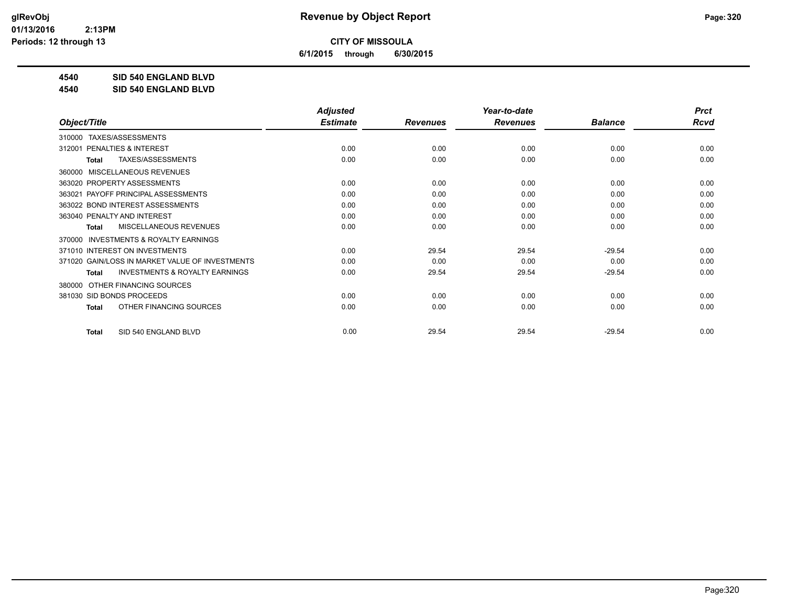**6/1/2015 through 6/30/2015**

**4540 SID 540 ENGLAND BLVD**

**4540 SID 540 ENGLAND BLVD**

|                                                           | <b>Adjusted</b> |                 | Year-to-date    |                | <b>Prct</b> |
|-----------------------------------------------------------|-----------------|-----------------|-----------------|----------------|-------------|
| Object/Title                                              | <b>Estimate</b> | <b>Revenues</b> | <b>Revenues</b> | <b>Balance</b> | <b>Rcvd</b> |
| TAXES/ASSESSMENTS<br>310000                               |                 |                 |                 |                |             |
| PENALTIES & INTEREST<br>312001                            | 0.00            | 0.00            | 0.00            | 0.00           | 0.00        |
| TAXES/ASSESSMENTS<br><b>Total</b>                         | 0.00            | 0.00            | 0.00            | 0.00           | 0.00        |
| MISCELLANEOUS REVENUES<br>360000                          |                 |                 |                 |                |             |
| 363020 PROPERTY ASSESSMENTS                               | 0.00            | 0.00            | 0.00            | 0.00           | 0.00        |
| PAYOFF PRINCIPAL ASSESSMENTS<br>363021                    | 0.00            | 0.00            | 0.00            | 0.00           | 0.00        |
| 363022 BOND INTEREST ASSESSMENTS                          | 0.00            | 0.00            | 0.00            | 0.00           | 0.00        |
| 363040 PENALTY AND INTEREST                               | 0.00            | 0.00            | 0.00            | 0.00           | 0.00        |
| MISCELLANEOUS REVENUES<br><b>Total</b>                    | 0.00            | 0.00            | 0.00            | 0.00           | 0.00        |
| INVESTMENTS & ROYALTY EARNINGS<br>370000                  |                 |                 |                 |                |             |
| 371010 INTEREST ON INVESTMENTS                            | 0.00            | 29.54           | 29.54           | $-29.54$       | 0.00        |
| 371020 GAIN/LOSS IN MARKET VALUE OF INVESTMENTS           | 0.00            | 0.00            | 0.00            | 0.00           | 0.00        |
| <b>INVESTMENTS &amp; ROYALTY EARNINGS</b><br><b>Total</b> | 0.00            | 29.54           | 29.54           | $-29.54$       | 0.00        |
| OTHER FINANCING SOURCES<br>380000                         |                 |                 |                 |                |             |
| 381030 SID BONDS PROCEEDS                                 | 0.00            | 0.00            | 0.00            | 0.00           | 0.00        |
| OTHER FINANCING SOURCES<br><b>Total</b>                   | 0.00            | 0.00            | 0.00            | 0.00           | 0.00        |
| SID 540 ENGLAND BLVD<br><b>Total</b>                      | 0.00            | 29.54           | 29.54           | $-29.54$       | 0.00        |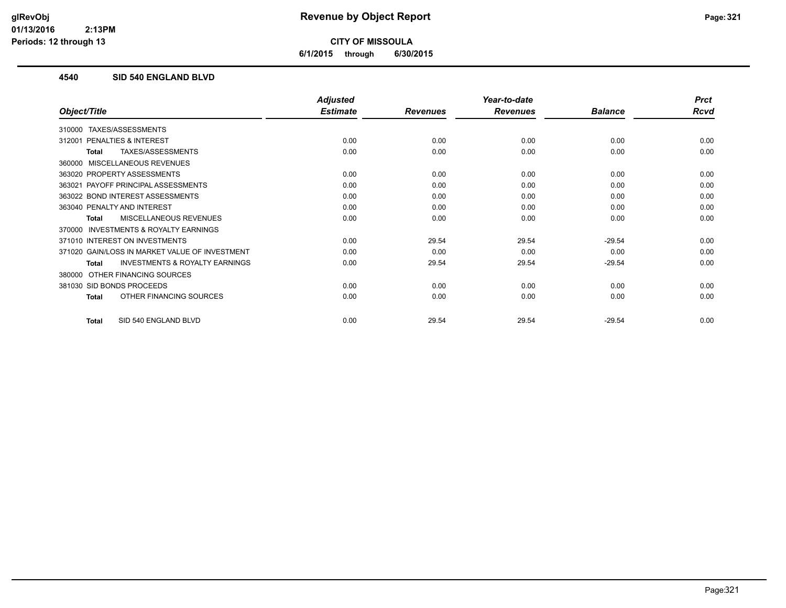**6/1/2015 through 6/30/2015**

#### **4540 SID 540 ENGLAND BLVD**

|                                                           | <b>Adjusted</b> |                 | Year-to-date    |                | <b>Prct</b> |
|-----------------------------------------------------------|-----------------|-----------------|-----------------|----------------|-------------|
| Object/Title                                              | <b>Estimate</b> | <b>Revenues</b> | <b>Revenues</b> | <b>Balance</b> | <b>Rcvd</b> |
| TAXES/ASSESSMENTS<br>310000                               |                 |                 |                 |                |             |
| 312001 PENALTIES & INTEREST                               | 0.00            | 0.00            | 0.00            | 0.00           | 0.00        |
| TAXES/ASSESSMENTS<br><b>Total</b>                         | 0.00            | 0.00            | 0.00            | 0.00           | 0.00        |
| 360000 MISCELLANEOUS REVENUES                             |                 |                 |                 |                |             |
| 363020 PROPERTY ASSESSMENTS                               | 0.00            | 0.00            | 0.00            | 0.00           | 0.00        |
| 363021 PAYOFF PRINCIPAL ASSESSMENTS                       | 0.00            | 0.00            | 0.00            | 0.00           | 0.00        |
| 363022 BOND INTEREST ASSESSMENTS                          | 0.00            | 0.00            | 0.00            | 0.00           | 0.00        |
| 363040 PENALTY AND INTEREST                               | 0.00            | 0.00            | 0.00            | 0.00           | 0.00        |
| MISCELLANEOUS REVENUES<br>Total                           | 0.00            | 0.00            | 0.00            | 0.00           | 0.00        |
| 370000 INVESTMENTS & ROYALTY EARNINGS                     |                 |                 |                 |                |             |
| 371010 INTEREST ON INVESTMENTS                            | 0.00            | 29.54           | 29.54           | $-29.54$       | 0.00        |
| 371020 GAIN/LOSS IN MARKET VALUE OF INVESTMENT            | 0.00            | 0.00            | 0.00            | 0.00           | 0.00        |
| <b>INVESTMENTS &amp; ROYALTY EARNINGS</b><br><b>Total</b> | 0.00            | 29.54           | 29.54           | $-29.54$       | 0.00        |
| 380000 OTHER FINANCING SOURCES                            |                 |                 |                 |                |             |
| 381030 SID BONDS PROCEEDS                                 | 0.00            | 0.00            | 0.00            | 0.00           | 0.00        |
| OTHER FINANCING SOURCES<br>Total                          | 0.00            | 0.00            | 0.00            | 0.00           | 0.00        |
| SID 540 ENGLAND BLVD<br>Total                             | 0.00            | 29.54           | 29.54           | $-29.54$       | 0.00        |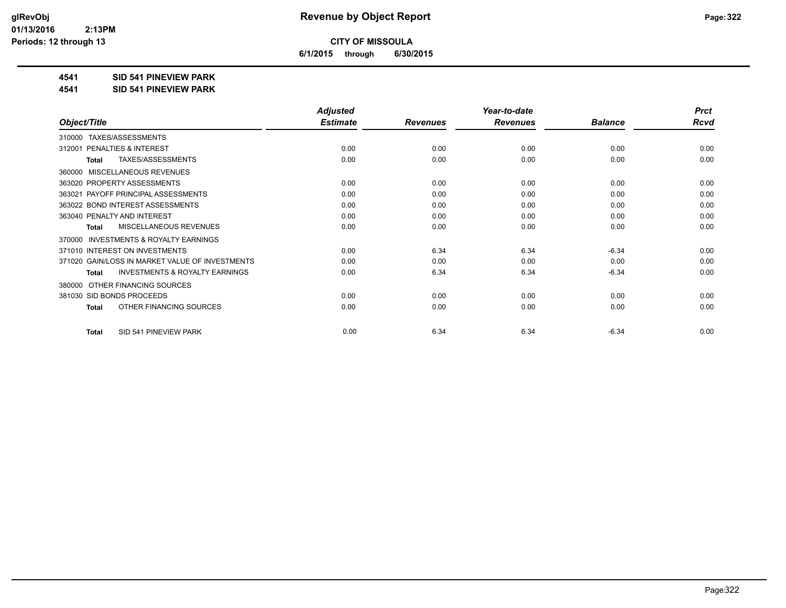**6/1/2015 through 6/30/2015**

#### **4541 SID 541 PINEVIEW PARK**

**4541 SID 541 PINEVIEW PARK**

|                                                           | <b>Adjusted</b> |                 | Year-to-date    |                | <b>Prct</b> |
|-----------------------------------------------------------|-----------------|-----------------|-----------------|----------------|-------------|
| Object/Title                                              | <b>Estimate</b> | <b>Revenues</b> | <b>Revenues</b> | <b>Balance</b> | <b>Rcvd</b> |
| TAXES/ASSESSMENTS<br>310000                               |                 |                 |                 |                |             |
| PENALTIES & INTEREST<br>312001                            | 0.00            | 0.00            | 0.00            | 0.00           | 0.00        |
| TAXES/ASSESSMENTS<br><b>Total</b>                         | 0.00            | 0.00            | 0.00            | 0.00           | 0.00        |
| MISCELLANEOUS REVENUES<br>360000                          |                 |                 |                 |                |             |
| 363020 PROPERTY ASSESSMENTS                               | 0.00            | 0.00            | 0.00            | 0.00           | 0.00        |
| PAYOFF PRINCIPAL ASSESSMENTS<br>363021                    | 0.00            | 0.00            | 0.00            | 0.00           | 0.00        |
| 363022 BOND INTEREST ASSESSMENTS                          | 0.00            | 0.00            | 0.00            | 0.00           | 0.00        |
| 363040 PENALTY AND INTEREST                               | 0.00            | 0.00            | 0.00            | 0.00           | 0.00        |
| MISCELLANEOUS REVENUES<br><b>Total</b>                    | 0.00            | 0.00            | 0.00            | 0.00           | 0.00        |
| <b>INVESTMENTS &amp; ROYALTY EARNINGS</b><br>370000       |                 |                 |                 |                |             |
| 371010 INTEREST ON INVESTMENTS                            | 0.00            | 6.34            | 6.34            | $-6.34$        | 0.00        |
| 371020 GAIN/LOSS IN MARKET VALUE OF INVESTMENTS           | 0.00            | 0.00            | 0.00            | 0.00           | 0.00        |
| <b>INVESTMENTS &amp; ROYALTY EARNINGS</b><br><b>Total</b> | 0.00            | 6.34            | 6.34            | $-6.34$        | 0.00        |
| OTHER FINANCING SOURCES<br>380000                         |                 |                 |                 |                |             |
| 381030 SID BONDS PROCEEDS                                 | 0.00            | 0.00            | 0.00            | 0.00           | 0.00        |
| OTHER FINANCING SOURCES<br><b>Total</b>                   | 0.00            | 0.00            | 0.00            | 0.00           | 0.00        |
| SID 541 PINEVIEW PARK<br><b>Total</b>                     | 0.00            | 6.34            | 6.34            | $-6.34$        | 0.00        |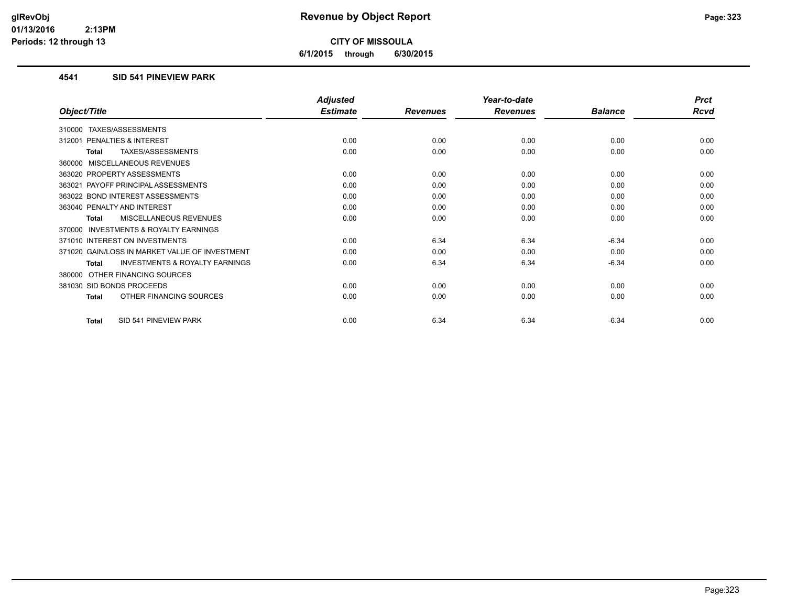**6/1/2015 through 6/30/2015**

#### **4541 SID 541 PINEVIEW PARK**

|                                                    | <b>Adjusted</b> |                 | Year-to-date    |                | <b>Prct</b> |
|----------------------------------------------------|-----------------|-----------------|-----------------|----------------|-------------|
| Object/Title                                       | <b>Estimate</b> | <b>Revenues</b> | <b>Revenues</b> | <b>Balance</b> | Rcvd        |
| TAXES/ASSESSMENTS<br>310000                        |                 |                 |                 |                |             |
| 312001 PENALTIES & INTEREST                        | 0.00            | 0.00            | 0.00            | 0.00           | 0.00        |
| TAXES/ASSESSMENTS<br><b>Total</b>                  | 0.00            | 0.00            | 0.00            | 0.00           | 0.00        |
| 360000 MISCELLANEOUS REVENUES                      |                 |                 |                 |                |             |
| 363020 PROPERTY ASSESSMENTS                        | 0.00            | 0.00            | 0.00            | 0.00           | 0.00        |
| 363021 PAYOFF PRINCIPAL ASSESSMENTS                | 0.00            | 0.00            | 0.00            | 0.00           | 0.00        |
| 363022 BOND INTEREST ASSESSMENTS                   | 0.00            | 0.00            | 0.00            | 0.00           | 0.00        |
| 363040 PENALTY AND INTEREST                        | 0.00            | 0.00            | 0.00            | 0.00           | 0.00        |
| MISCELLANEOUS REVENUES<br>Total                    | 0.00            | 0.00            | 0.00            | 0.00           | 0.00        |
| 370000 INVESTMENTS & ROYALTY EARNINGS              |                 |                 |                 |                |             |
| 371010 INTEREST ON INVESTMENTS                     | 0.00            | 6.34            | 6.34            | $-6.34$        | 0.00        |
| 371020 GAIN/LOSS IN MARKET VALUE OF INVESTMENT     | 0.00            | 0.00            | 0.00            | 0.00           | 0.00        |
| <b>INVESTMENTS &amp; ROYALTY EARNINGS</b><br>Total | 0.00            | 6.34            | 6.34            | $-6.34$        | 0.00        |
| 380000 OTHER FINANCING SOURCES                     |                 |                 |                 |                |             |
| 381030 SID BONDS PROCEEDS                          | 0.00            | 0.00            | 0.00            | 0.00           | 0.00        |
| OTHER FINANCING SOURCES<br>Total                   | 0.00            | 0.00            | 0.00            | 0.00           | 0.00        |
| SID 541 PINEVIEW PARK<br>Total                     | 0.00            | 6.34            | 6.34            | $-6.34$        | 0.00        |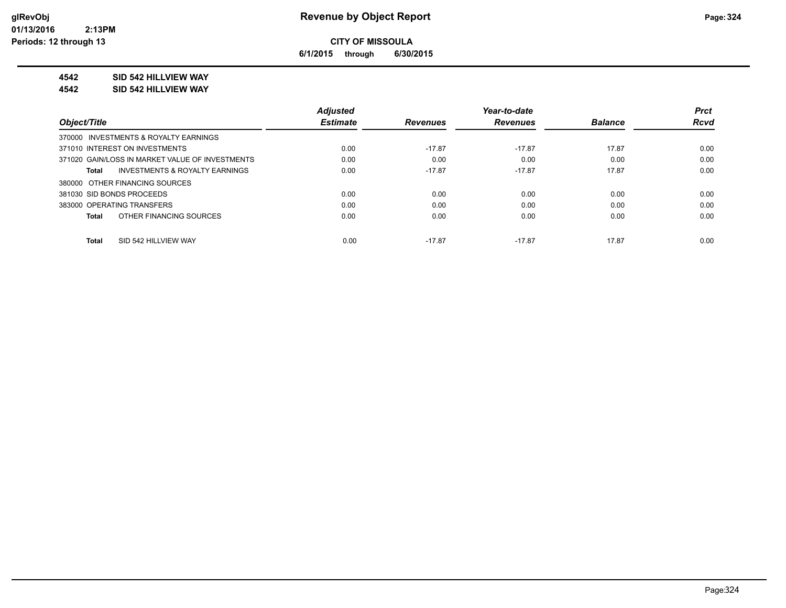**6/1/2015 through 6/30/2015**

#### **4542 SID 542 HILLVIEW WAY**

#### **4542 SID 542 HILLVIEW WAY**

|                                                    | <b>Adjusted</b> |                 | Year-to-date    |                | <b>Prct</b> |
|----------------------------------------------------|-----------------|-----------------|-----------------|----------------|-------------|
| Object/Title                                       | <b>Estimate</b> | <b>Revenues</b> | <b>Revenues</b> | <b>Balance</b> | <b>Rcvd</b> |
| 370000 INVESTMENTS & ROYALTY EARNINGS              |                 |                 |                 |                |             |
| 371010 INTEREST ON INVESTMENTS                     | 0.00            | $-17.87$        | $-17.87$        | 17.87          | 0.00        |
| 371020 GAIN/LOSS IN MARKET VALUE OF INVESTMENTS    | 0.00            | 0.00            | 0.00            | 0.00           | 0.00        |
| <b>INVESTMENTS &amp; ROYALTY EARNINGS</b><br>Total | 0.00            | $-17.87$        | $-17.87$        | 17.87          | 0.00        |
| 380000 OTHER FINANCING SOURCES                     |                 |                 |                 |                |             |
| 381030 SID BONDS PROCEEDS                          | 0.00            | 0.00            | 0.00            | 0.00           | 0.00        |
| 383000 OPERATING TRANSFERS                         | 0.00            | 0.00            | 0.00            | 0.00           | 0.00        |
| OTHER FINANCING SOURCES<br>Total                   | 0.00            | 0.00            | 0.00            | 0.00           | 0.00        |
|                                                    |                 |                 |                 |                |             |
| SID 542 HILLVIEW WAY<br>Total                      | 0.00            | $-17.87$        | $-17.87$        | 17.87          | 0.00        |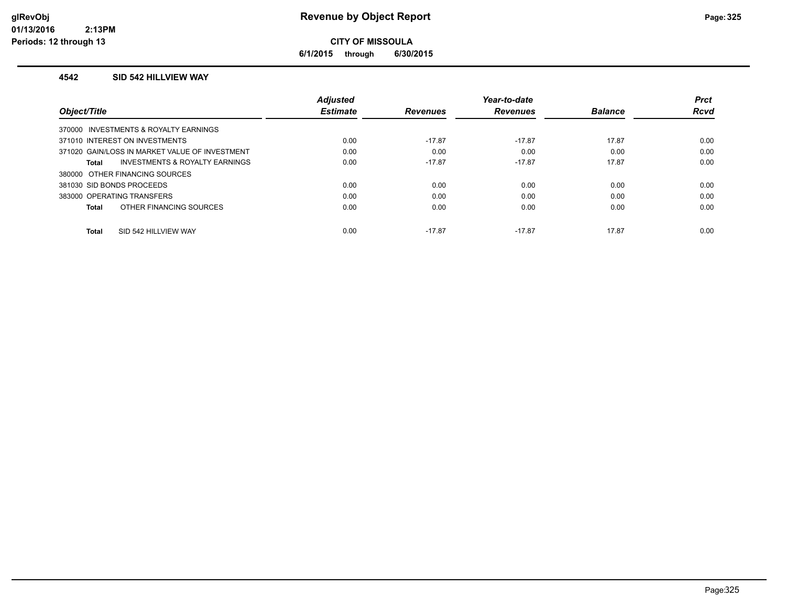**6/1/2015 through 6/30/2015**

### **4542 SID 542 HILLVIEW WAY**

|                                                | Adjusted        |                 | Year-to-date    |                | <b>Prct</b> |
|------------------------------------------------|-----------------|-----------------|-----------------|----------------|-------------|
| Object/Title                                   | <b>Estimate</b> | <b>Revenues</b> | <b>Revenues</b> | <b>Balance</b> | <b>Rcvd</b> |
| 370000 INVESTMENTS & ROYALTY EARNINGS          |                 |                 |                 |                |             |
| 371010 INTEREST ON INVESTMENTS                 | 0.00            | $-17.87$        | $-17.87$        | 17.87          | 0.00        |
| 371020 GAIN/LOSS IN MARKET VALUE OF INVESTMENT | 0.00            | 0.00            | 0.00            | 0.00           | 0.00        |
| INVESTMENTS & ROYALTY EARNINGS<br>Total        | 0.00            | $-17.87$        | $-17.87$        | 17.87          | 0.00        |
| 380000 OTHER FINANCING SOURCES                 |                 |                 |                 |                |             |
| 381030 SID BONDS PROCEEDS                      | 0.00            | 0.00            | 0.00            | 0.00           | 0.00        |
| 383000 OPERATING TRANSFERS                     | 0.00            | 0.00            | 0.00            | 0.00           | 0.00        |
| OTHER FINANCING SOURCES<br>Total               | 0.00            | 0.00            | 0.00            | 0.00           | 0.00        |
| SID 542 HILLVIEW WAY<br><b>Total</b>           | 0.00            | $-17.87$        | $-17.87$        | 17.87          | 0.00        |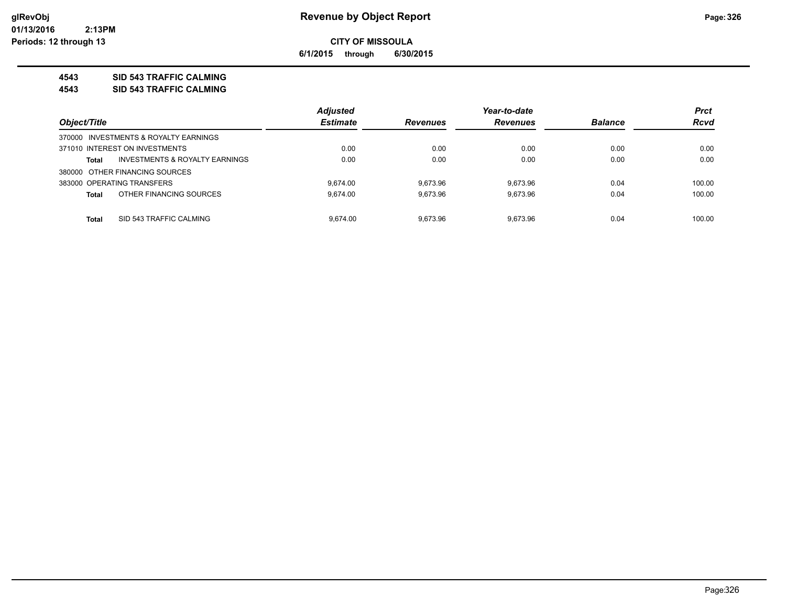**6/1/2015 through 6/30/2015**

## **4543 SID 543 TRAFFIC CALMING**

**4543 SID 543 TRAFFIC CALMING**

|                                                           | <b>Adjusted</b> |                 | Year-to-date    |                | <b>Prct</b> |
|-----------------------------------------------------------|-----------------|-----------------|-----------------|----------------|-------------|
| Object/Title                                              | <b>Estimate</b> | <b>Revenues</b> | <b>Revenues</b> | <b>Balance</b> | <b>Rcvd</b> |
| 370000 INVESTMENTS & ROYALTY EARNINGS                     |                 |                 |                 |                |             |
| 371010 INTEREST ON INVESTMENTS                            | 0.00            | 0.00            | 0.00            | 0.00           | 0.00        |
| <b>INVESTMENTS &amp; ROYALTY EARNINGS</b><br><b>Total</b> | 0.00            | 0.00            | 0.00            | 0.00           | 0.00        |
| 380000 OTHER FINANCING SOURCES                            |                 |                 |                 |                |             |
| 383000 OPERATING TRANSFERS                                | 9.674.00        | 9.673.96        | 9.673.96        | 0.04           | 100.00      |
| OTHER FINANCING SOURCES<br><b>Total</b>                   | 9.674.00        | 9.673.96        | 9.673.96        | 0.04           | 100.00      |
|                                                           |                 |                 |                 |                |             |
| SID 543 TRAFFIC CALMING<br><b>Total</b>                   | 9.674.00        | 9.673.96        | 9.673.96        | 0.04           | 100.00      |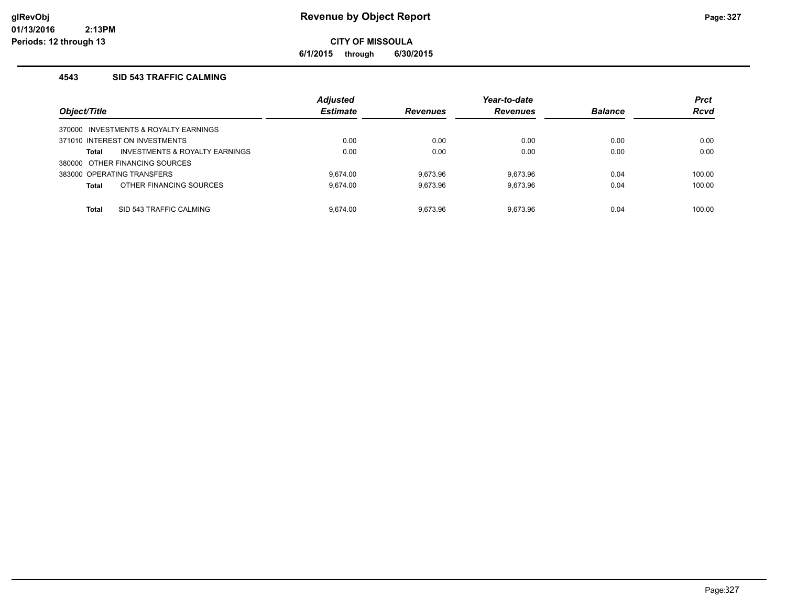**6/1/2015 through 6/30/2015**

# **4543 SID 543 TRAFFIC CALMING**

| Object/Title |                                           | <b>Adjusted</b><br><b>Estimate</b> | <b>Revenues</b> | Year-to-date<br><b>Revenues</b> | <b>Balance</b> | <b>Prct</b><br><b>Rcvd</b> |
|--------------|-------------------------------------------|------------------------------------|-----------------|---------------------------------|----------------|----------------------------|
|              | 370000 INVESTMENTS & ROYALTY EARNINGS     |                                    |                 |                                 |                |                            |
|              | 371010 INTEREST ON INVESTMENTS            | 0.00                               | 0.00            | 0.00                            | 0.00           | 0.00                       |
| Total        | <b>INVESTMENTS &amp; ROYALTY EARNINGS</b> | 0.00                               | 0.00            | 0.00                            | 0.00           | 0.00                       |
|              | 380000 OTHER FINANCING SOURCES            |                                    |                 |                                 |                |                            |
|              | 383000 OPERATING TRANSFERS                | 9.674.00                           | 9.673.96        | 9.673.96                        | 0.04           | 100.00                     |
| Total        | OTHER FINANCING SOURCES                   | 9.674.00                           | 9.673.96        | 9.673.96                        | 0.04           | 100.00                     |
|              |                                           |                                    |                 |                                 |                |                            |
| <b>Total</b> | SID 543 TRAFFIC CALMING                   | 9.674.00                           | 9.673.96        | 9.673.96                        | 0.04           | 100.00                     |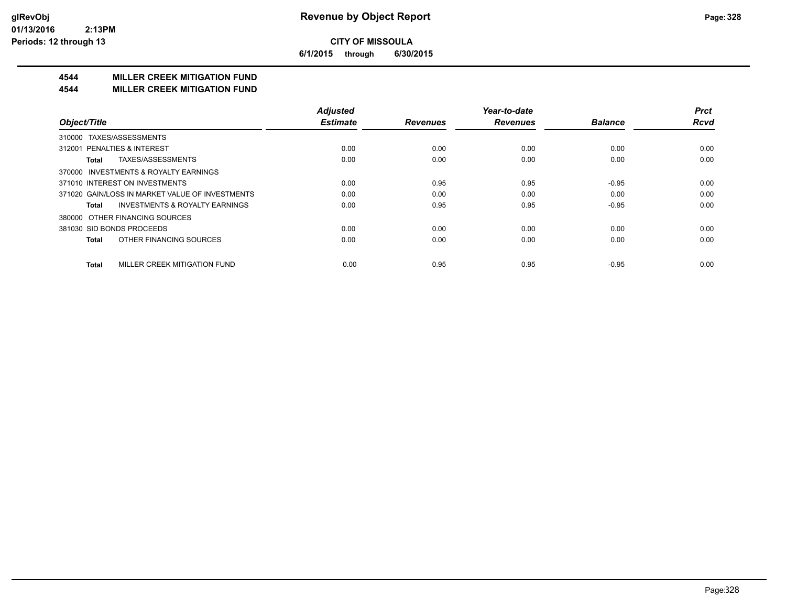**6/1/2015 through 6/30/2015**

# **4544 MILLER CREEK MITIGATION FUND**

#### **4544 MILLER CREEK MITIGATION FUND**

|                                                    | <b>Adjusted</b> |                 | Year-to-date    |                | <b>Prct</b> |
|----------------------------------------------------|-----------------|-----------------|-----------------|----------------|-------------|
| Object/Title                                       | <b>Estimate</b> | <b>Revenues</b> | <b>Revenues</b> | <b>Balance</b> | <b>Rcvd</b> |
| TAXES/ASSESSMENTS<br>310000                        |                 |                 |                 |                |             |
| 312001 PENALTIES & INTEREST                        | 0.00            | 0.00            | 0.00            | 0.00           | 0.00        |
| TAXES/ASSESSMENTS<br>Total                         | 0.00            | 0.00            | 0.00            | 0.00           | 0.00        |
| 370000 INVESTMENTS & ROYALTY EARNINGS              |                 |                 |                 |                |             |
| 371010 INTEREST ON INVESTMENTS                     | 0.00            | 0.95            | 0.95            | $-0.95$        | 0.00        |
| 371020 GAIN/LOSS IN MARKET VALUE OF INVESTMENTS    | 0.00            | 0.00            | 0.00            | 0.00           | 0.00        |
| <b>INVESTMENTS &amp; ROYALTY EARNINGS</b><br>Total | 0.00            | 0.95            | 0.95            | $-0.95$        | 0.00        |
| OTHER FINANCING SOURCES<br>380000                  |                 |                 |                 |                |             |
| 381030 SID BONDS PROCEEDS                          | 0.00            | 0.00            | 0.00            | 0.00           | 0.00        |
| OTHER FINANCING SOURCES<br><b>Total</b>            | 0.00            | 0.00            | 0.00            | 0.00           | 0.00        |
| MILLER CREEK MITIGATION FUND<br><b>Total</b>       | 0.00            | 0.95            | 0.95            | $-0.95$        | 0.00        |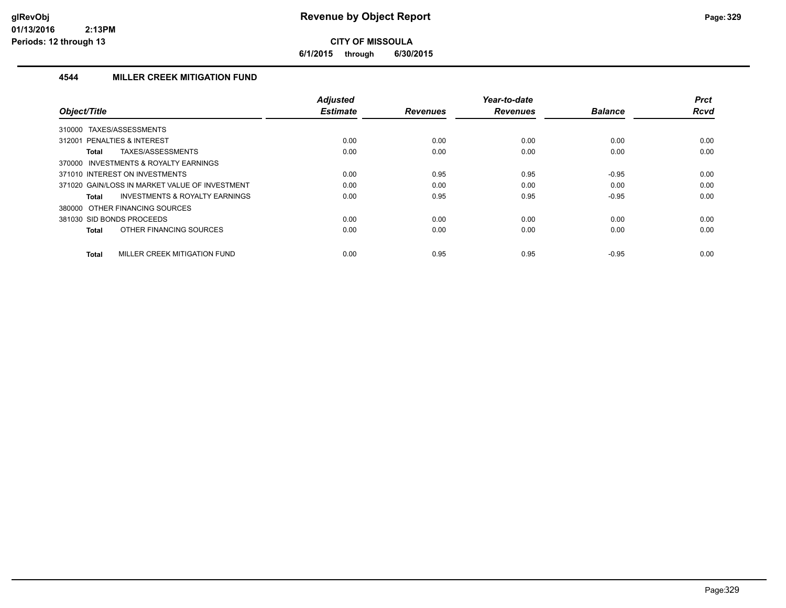**6/1/2015 through 6/30/2015**

# **4544 MILLER CREEK MITIGATION FUND**

| Object/Title                                              | <b>Adiusted</b><br><b>Estimate</b> | <b>Revenues</b> | Year-to-date<br><b>Revenues</b> | <b>Balance</b> | <b>Prct</b><br><b>Rcvd</b> |
|-----------------------------------------------------------|------------------------------------|-----------------|---------------------------------|----------------|----------------------------|
|                                                           |                                    |                 |                                 |                |                            |
| 310000 TAXES/ASSESSMENTS                                  |                                    |                 |                                 |                |                            |
| 312001 PENALTIES & INTEREST                               | 0.00                               | 0.00            | 0.00                            | 0.00           | 0.00                       |
| TAXES/ASSESSMENTS<br>Total                                | 0.00                               | 0.00            | 0.00                            | 0.00           | 0.00                       |
| 370000 INVESTMENTS & ROYALTY EARNINGS                     |                                    |                 |                                 |                |                            |
| 371010 INTEREST ON INVESTMENTS                            | 0.00                               | 0.95            | 0.95                            | $-0.95$        | 0.00                       |
| 371020 GAIN/LOSS IN MARKET VALUE OF INVESTMENT            | 0.00                               | 0.00            | 0.00                            | 0.00           | 0.00                       |
| <b>INVESTMENTS &amp; ROYALTY EARNINGS</b><br><b>Total</b> | 0.00                               | 0.95            | 0.95                            | $-0.95$        | 0.00                       |
| 380000 OTHER FINANCING SOURCES                            |                                    |                 |                                 |                |                            |
| 381030 SID BONDS PROCEEDS                                 | 0.00                               | 0.00            | 0.00                            | 0.00           | 0.00                       |
| OTHER FINANCING SOURCES<br><b>Total</b>                   | 0.00                               | 0.00            | 0.00                            | 0.00           | 0.00                       |
| MILLER CREEK MITIGATION FUND<br><b>Total</b>              | 0.00                               | 0.95            | 0.95                            | $-0.95$        | 0.00                       |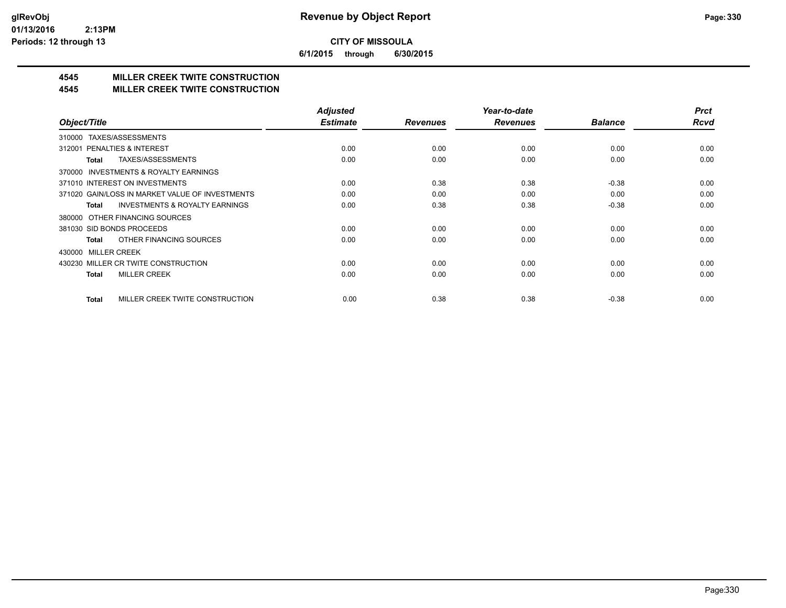**6/1/2015 through 6/30/2015**

# **4545 MILLER CREEK TWITE CONSTRUCTION**

## **4545 MILLER CREEK TWITE CONSTRUCTION**

|                                                     | <b>Adjusted</b> |                 | Year-to-date    |                | <b>Prct</b> |
|-----------------------------------------------------|-----------------|-----------------|-----------------|----------------|-------------|
| Object/Title                                        | <b>Estimate</b> | <b>Revenues</b> | <b>Revenues</b> | <b>Balance</b> | <b>Rcvd</b> |
| TAXES/ASSESSMENTS<br>310000                         |                 |                 |                 |                |             |
| 312001 PENALTIES & INTEREST                         | 0.00            | 0.00            | 0.00            | 0.00           | 0.00        |
| TAXES/ASSESSMENTS<br>Total                          | 0.00            | 0.00            | 0.00            | 0.00           | 0.00        |
| <b>INVESTMENTS &amp; ROYALTY EARNINGS</b><br>370000 |                 |                 |                 |                |             |
| 371010 INTEREST ON INVESTMENTS                      | 0.00            | 0.38            | 0.38            | $-0.38$        | 0.00        |
| 371020 GAIN/LOSS IN MARKET VALUE OF INVESTMENTS     | 0.00            | 0.00            | 0.00            | 0.00           | 0.00        |
| <b>INVESTMENTS &amp; ROYALTY EARNINGS</b><br>Total  | 0.00            | 0.38            | 0.38            | $-0.38$        | 0.00        |
| 380000 OTHER FINANCING SOURCES                      |                 |                 |                 |                |             |
| 381030 SID BONDS PROCEEDS                           | 0.00            | 0.00            | 0.00            | 0.00           | 0.00        |
| OTHER FINANCING SOURCES<br>Total                    | 0.00            | 0.00            | 0.00            | 0.00           | 0.00        |
| <b>MILLER CREEK</b><br>430000                       |                 |                 |                 |                |             |
| 430230 MILLER CR TWITE CONSTRUCTION                 | 0.00            | 0.00            | 0.00            | 0.00           | 0.00        |
| <b>MILLER CREEK</b><br>Total                        | 0.00            | 0.00            | 0.00            | 0.00           | 0.00        |
|                                                     |                 |                 |                 |                |             |
| MILLER CREEK TWITE CONSTRUCTION<br><b>Total</b>     | 0.00            | 0.38            | 0.38            | $-0.38$        | 0.00        |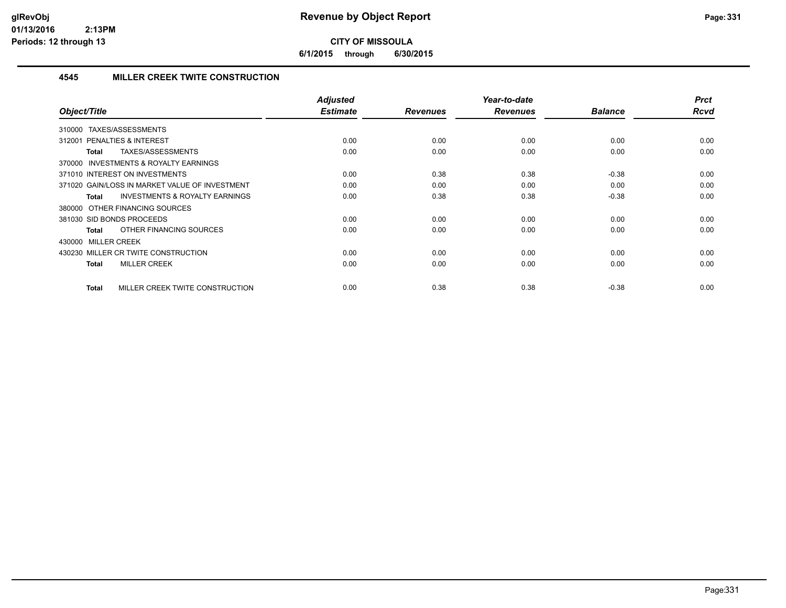**6/1/2015 through 6/30/2015**

# **4545 MILLER CREEK TWITE CONSTRUCTION**

| Object/Title                                              | <b>Adjusted</b><br><b>Estimate</b> | <b>Revenues</b> | Year-to-date<br><b>Revenues</b> | <b>Balance</b> | <b>Prct</b><br><b>Rcvd</b> |
|-----------------------------------------------------------|------------------------------------|-----------------|---------------------------------|----------------|----------------------------|
| TAXES/ASSESSMENTS<br>310000                               |                                    |                 |                                 |                |                            |
| 312001 PENALTIES & INTEREST                               | 0.00                               | 0.00            | 0.00                            | 0.00           | 0.00                       |
| TAXES/ASSESSMENTS<br><b>Total</b>                         | 0.00                               | 0.00            | 0.00                            | 0.00           | 0.00                       |
| INVESTMENTS & ROYALTY EARNINGS<br>370000                  |                                    |                 |                                 |                |                            |
| 371010 INTEREST ON INVESTMENTS                            | 0.00                               | 0.38            | 0.38                            | $-0.38$        | 0.00                       |
| 371020 GAIN/LOSS IN MARKET VALUE OF INVESTMENT            | 0.00                               | 0.00            | 0.00                            | 0.00           | 0.00                       |
| <b>INVESTMENTS &amp; ROYALTY EARNINGS</b><br><b>Total</b> | 0.00                               | 0.38            | 0.38                            | $-0.38$        | 0.00                       |
| 380000 OTHER FINANCING SOURCES                            |                                    |                 |                                 |                |                            |
| 381030 SID BONDS PROCEEDS                                 | 0.00                               | 0.00            | 0.00                            | 0.00           | 0.00                       |
| OTHER FINANCING SOURCES<br>Total                          | 0.00                               | 0.00            | 0.00                            | 0.00           | 0.00                       |
| 430000 MILLER CREEK                                       |                                    |                 |                                 |                |                            |
| 430230 MILLER CR TWITE CONSTRUCTION                       | 0.00                               | 0.00            | 0.00                            | 0.00           | 0.00                       |
| <b>MILLER CREEK</b><br><b>Total</b>                       | 0.00                               | 0.00            | 0.00                            | 0.00           | 0.00                       |
| MILLER CREEK TWITE CONSTRUCTION<br><b>Total</b>           | 0.00                               | 0.38            | 0.38                            | $-0.38$        | 0.00                       |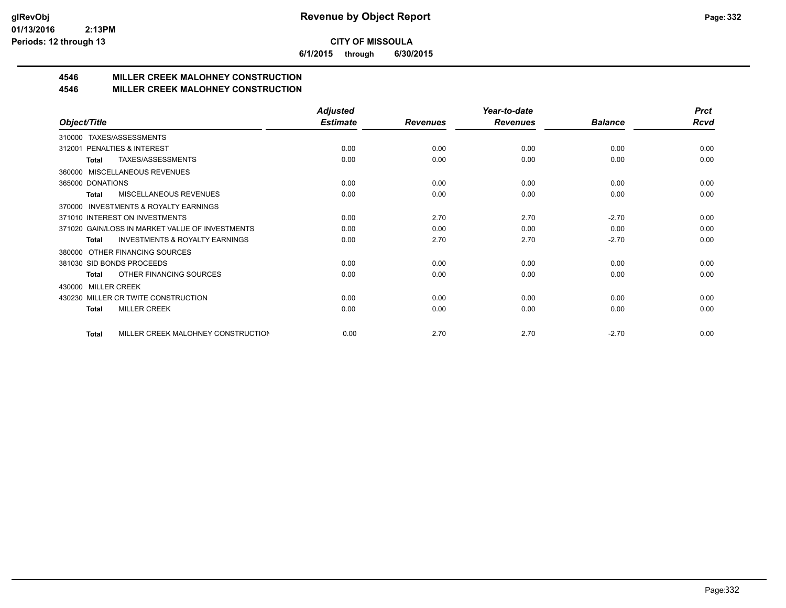**6/1/2015 through 6/30/2015**

# **4546 MILLER CREEK MALOHNEY CONSTRUCTION**

# **4546 MILLER CREEK MALOHNEY CONSTRUCTION**

|                                                           | <b>Adjusted</b> |                 | Year-to-date    |                | <b>Prct</b> |
|-----------------------------------------------------------|-----------------|-----------------|-----------------|----------------|-------------|
| Object/Title                                              | <b>Estimate</b> | <b>Revenues</b> | <b>Revenues</b> | <b>Balance</b> | <b>Rcvd</b> |
| TAXES/ASSESSMENTS<br>310000                               |                 |                 |                 |                |             |
| PENALTIES & INTEREST<br>312001                            | 0.00            | 0.00            | 0.00            | 0.00           | 0.00        |
| TAXES/ASSESSMENTS<br><b>Total</b>                         | 0.00            | 0.00            | 0.00            | 0.00           | 0.00        |
| 360000 MISCELLANEOUS REVENUES                             |                 |                 |                 |                |             |
| 365000 DONATIONS                                          | 0.00            | 0.00            | 0.00            | 0.00           | 0.00        |
| <b>MISCELLANEOUS REVENUES</b><br><b>Total</b>             | 0.00            | 0.00            | 0.00            | 0.00           | 0.00        |
| <b>INVESTMENTS &amp; ROYALTY EARNINGS</b><br>370000       |                 |                 |                 |                |             |
| 371010 INTEREST ON INVESTMENTS                            | 0.00            | 2.70            | 2.70            | $-2.70$        | 0.00        |
| 371020 GAIN/LOSS IN MARKET VALUE OF INVESTMENTS           | 0.00            | 0.00            | 0.00            | 0.00           | 0.00        |
| <b>INVESTMENTS &amp; ROYALTY EARNINGS</b><br><b>Total</b> | 0.00            | 2.70            | 2.70            | $-2.70$        | 0.00        |
| OTHER FINANCING SOURCES<br>380000                         |                 |                 |                 |                |             |
| 381030 SID BONDS PROCEEDS                                 | 0.00            | 0.00            | 0.00            | 0.00           | 0.00        |
| OTHER FINANCING SOURCES<br><b>Total</b>                   | 0.00            | 0.00            | 0.00            | 0.00           | 0.00        |
| 430000 MILLER CREEK                                       |                 |                 |                 |                |             |
| 430230 MILLER CR TWITE CONSTRUCTION                       | 0.00            | 0.00            | 0.00            | 0.00           | 0.00        |
| <b>MILLER CREEK</b><br><b>Total</b>                       | 0.00            | 0.00            | 0.00            | 0.00           | 0.00        |
|                                                           |                 |                 |                 |                |             |
| MILLER CREEK MALOHNEY CONSTRUCTION<br><b>Total</b>        | 0.00            | 2.70            | 2.70            | $-2.70$        | 0.00        |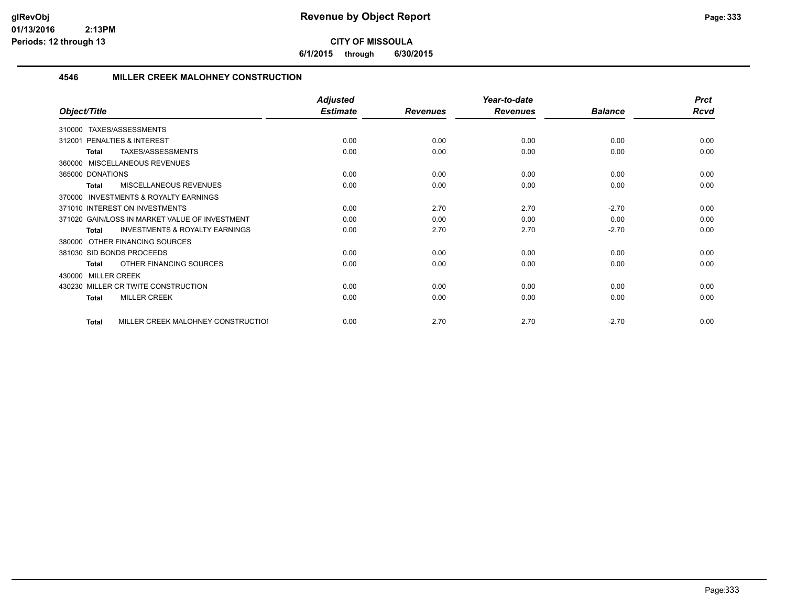**6/1/2015 through 6/30/2015**

# **4546 MILLER CREEK MALOHNEY CONSTRUCTION**

|                                                           | <b>Adjusted</b> |                 | Year-to-date    |                | <b>Prct</b> |
|-----------------------------------------------------------|-----------------|-----------------|-----------------|----------------|-------------|
| Object/Title                                              | <b>Estimate</b> | <b>Revenues</b> | <b>Revenues</b> | <b>Balance</b> | <b>Rcvd</b> |
| TAXES/ASSESSMENTS<br>310000                               |                 |                 |                 |                |             |
| PENALTIES & INTEREST<br>312001                            | 0.00            | 0.00            | 0.00            | 0.00           | 0.00        |
| TAXES/ASSESSMENTS<br><b>Total</b>                         | 0.00            | 0.00            | 0.00            | 0.00           | 0.00        |
| 360000 MISCELLANEOUS REVENUES                             |                 |                 |                 |                |             |
| 365000 DONATIONS                                          | 0.00            | 0.00            | 0.00            | 0.00           | 0.00        |
| <b>MISCELLANEOUS REVENUES</b><br>Total                    | 0.00            | 0.00            | 0.00            | 0.00           | 0.00        |
| INVESTMENTS & ROYALTY EARNINGS<br>370000                  |                 |                 |                 |                |             |
| 371010 INTEREST ON INVESTMENTS                            | 0.00            | 2.70            | 2.70            | $-2.70$        | 0.00        |
| 371020 GAIN/LOSS IN MARKET VALUE OF INVESTMENT            | 0.00            | 0.00            | 0.00            | 0.00           | 0.00        |
| <b>INVESTMENTS &amp; ROYALTY EARNINGS</b><br><b>Total</b> | 0.00            | 2.70            | 2.70            | $-2.70$        | 0.00        |
| OTHER FINANCING SOURCES<br>380000                         |                 |                 |                 |                |             |
| 381030 SID BONDS PROCEEDS                                 | 0.00            | 0.00            | 0.00            | 0.00           | 0.00        |
| OTHER FINANCING SOURCES<br>Total                          | 0.00            | 0.00            | 0.00            | 0.00           | 0.00        |
| <b>MILLER CREEK</b><br>430000                             |                 |                 |                 |                |             |
| 430230 MILLER CR TWITE CONSTRUCTION                       | 0.00            | 0.00            | 0.00            | 0.00           | 0.00        |
| <b>MILLER CREEK</b><br><b>Total</b>                       | 0.00            | 0.00            | 0.00            | 0.00           | 0.00        |
|                                                           |                 |                 |                 |                |             |
| MILLER CREEK MALOHNEY CONSTRUCTIOI<br><b>Total</b>        | 0.00            | 2.70            | 2.70            | $-2.70$        | 0.00        |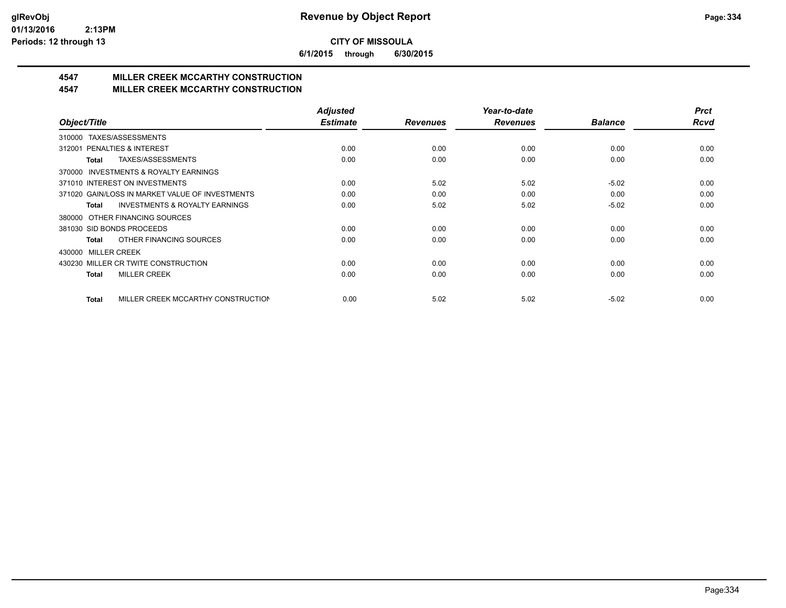**6/1/2015 through 6/30/2015**

# **4547 MILLER CREEK MCCARTHY CONSTRUCTION**

# **4547 MILLER CREEK MCCARTHY CONSTRUCTION**

|                                                           | <b>Adjusted</b> |                 | Year-to-date    |                | <b>Prct</b> |
|-----------------------------------------------------------|-----------------|-----------------|-----------------|----------------|-------------|
| Object/Title                                              | <b>Estimate</b> | <b>Revenues</b> | <b>Revenues</b> | <b>Balance</b> | <b>Rcvd</b> |
| TAXES/ASSESSMENTS<br>310000                               |                 |                 |                 |                |             |
| PENALTIES & INTEREST<br>312001                            | 0.00            | 0.00            | 0.00            | 0.00           | 0.00        |
| TAXES/ASSESSMENTS<br>Total                                | 0.00            | 0.00            | 0.00            | 0.00           | 0.00        |
| INVESTMENTS & ROYALTY EARNINGS<br>370000                  |                 |                 |                 |                |             |
| 371010 INTEREST ON INVESTMENTS                            | 0.00            | 5.02            | 5.02            | $-5.02$        | 0.00        |
| 371020 GAIN/LOSS IN MARKET VALUE OF INVESTMENTS           | 0.00            | 0.00            | 0.00            | 0.00           | 0.00        |
| <b>INVESTMENTS &amp; ROYALTY EARNINGS</b><br><b>Total</b> | 0.00            | 5.02            | 5.02            | $-5.02$        | 0.00        |
| OTHER FINANCING SOURCES<br>380000                         |                 |                 |                 |                |             |
| 381030 SID BONDS PROCEEDS                                 | 0.00            | 0.00            | 0.00            | 0.00           | 0.00        |
| OTHER FINANCING SOURCES<br>Total                          | 0.00            | 0.00            | 0.00            | 0.00           | 0.00        |
| <b>MILLER CREEK</b><br>430000                             |                 |                 |                 |                |             |
| 430230 MILLER CR TWITE CONSTRUCTION                       | 0.00            | 0.00            | 0.00            | 0.00           | 0.00        |
| <b>MILLER CREEK</b><br>Total                              | 0.00            | 0.00            | 0.00            | 0.00           | 0.00        |
|                                                           |                 |                 |                 |                |             |
| MILLER CREEK MCCARTHY CONSTRUCTION<br><b>Total</b>        | 0.00            | 5.02            | 5.02            | $-5.02$        | 0.00        |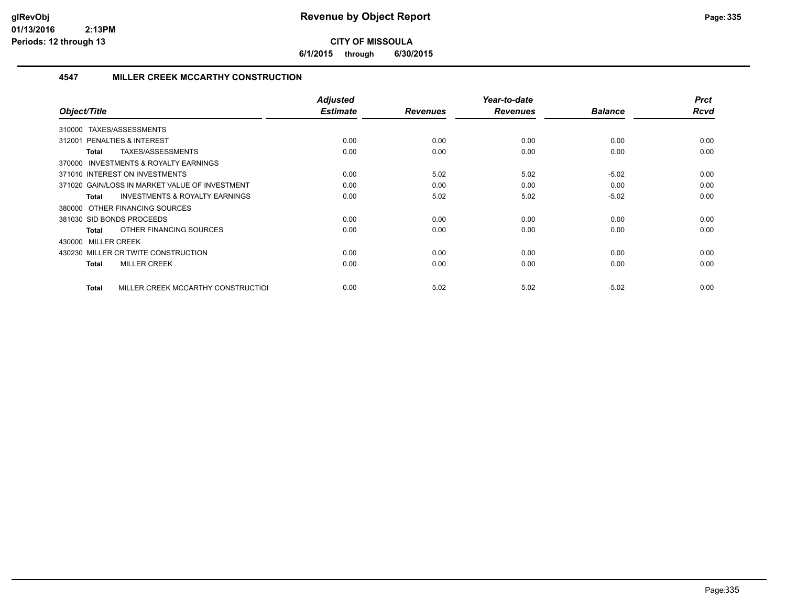**6/1/2015 through 6/30/2015**

# **4547 MILLER CREEK MCCARTHY CONSTRUCTION**

| Object/Title                                              | <b>Adjusted</b><br><b>Estimate</b> | <b>Revenues</b> | Year-to-date<br><b>Revenues</b> | <b>Balance</b> | <b>Prct</b><br><b>Rcvd</b> |
|-----------------------------------------------------------|------------------------------------|-----------------|---------------------------------|----------------|----------------------------|
| TAXES/ASSESSMENTS<br>310000                               |                                    |                 |                                 |                |                            |
| 312001 PENALTIES & INTEREST                               | 0.00                               | 0.00            | 0.00                            | 0.00           | 0.00                       |
| TAXES/ASSESSMENTS<br><b>Total</b>                         | 0.00                               | 0.00            | 0.00                            | 0.00           | 0.00                       |
| <b>INVESTMENTS &amp; ROYALTY EARNINGS</b><br>370000       |                                    |                 |                                 |                |                            |
| 371010 INTEREST ON INVESTMENTS                            | 0.00                               | 5.02            | 5.02                            | $-5.02$        | 0.00                       |
| 371020 GAIN/LOSS IN MARKET VALUE OF INVESTMENT            | 0.00                               | 0.00            | 0.00                            | 0.00           | 0.00                       |
| <b>INVESTMENTS &amp; ROYALTY EARNINGS</b><br><b>Total</b> | 0.00                               | 5.02            | 5.02                            | $-5.02$        | 0.00                       |
| 380000 OTHER FINANCING SOURCES                            |                                    |                 |                                 |                |                            |
| 381030 SID BONDS PROCEEDS                                 | 0.00                               | 0.00            | 0.00                            | 0.00           | 0.00                       |
| OTHER FINANCING SOURCES<br><b>Total</b>                   | 0.00                               | 0.00            | 0.00                            | 0.00           | 0.00                       |
| 430000 MILLER CREEK                                       |                                    |                 |                                 |                |                            |
| 430230 MILLER CR TWITE CONSTRUCTION                       | 0.00                               | 0.00            | 0.00                            | 0.00           | 0.00                       |
| <b>MILLER CREEK</b><br><b>Total</b>                       | 0.00                               | 0.00            | 0.00                            | 0.00           | 0.00                       |
|                                                           |                                    |                 |                                 |                |                            |
| MILLER CREEK MCCARTHY CONSTRUCTIOI<br><b>Total</b>        | 0.00                               | 5.02            | 5.02                            | $-5.02$        | 0.00                       |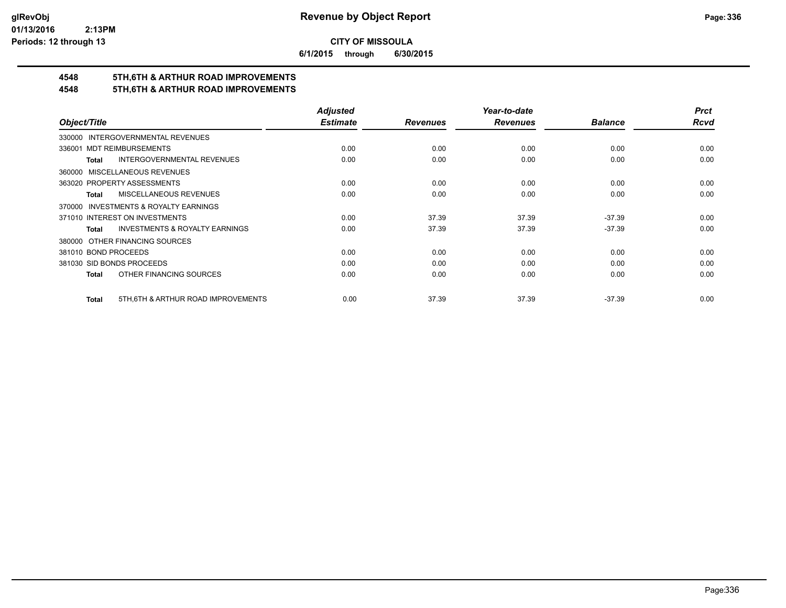**6/1/2015 through 6/30/2015**

# **4548 5TH,6TH & ARTHUR ROAD IMPROVEMENTS**

# **4548 5TH,6TH & ARTHUR ROAD IMPROVEMENTS**

|                                                     | <b>Adjusted</b> |                 | Year-to-date    |                | <b>Prct</b> |
|-----------------------------------------------------|-----------------|-----------------|-----------------|----------------|-------------|
| Object/Title                                        | <b>Estimate</b> | <b>Revenues</b> | <b>Revenues</b> | <b>Balance</b> | <b>Rcvd</b> |
| 330000 INTERGOVERNMENTAL REVENUES                   |                 |                 |                 |                |             |
| <b>MDT REIMBURSEMENTS</b><br>336001                 | 0.00            | 0.00            | 0.00            | 0.00           | 0.00        |
| <b>INTERGOVERNMENTAL REVENUES</b><br>Total          | 0.00            | 0.00            | 0.00            | 0.00           | 0.00        |
| 360000 MISCELLANEOUS REVENUES                       |                 |                 |                 |                |             |
| 363020 PROPERTY ASSESSMENTS                         | 0.00            | 0.00            | 0.00            | 0.00           | 0.00        |
| MISCELLANEOUS REVENUES<br>Total                     | 0.00            | 0.00            | 0.00            | 0.00           | 0.00        |
| 370000 INVESTMENTS & ROYALTY EARNINGS               |                 |                 |                 |                |             |
| 371010 INTEREST ON INVESTMENTS                      | 0.00            | 37.39           | 37.39           | $-37.39$       | 0.00        |
| <b>INVESTMENTS &amp; ROYALTY EARNINGS</b><br>Total  | 0.00            | 37.39           | 37.39           | $-37.39$       | 0.00        |
| 380000 OTHER FINANCING SOURCES                      |                 |                 |                 |                |             |
| 381010 BOND PROCEEDS                                | 0.00            | 0.00            | 0.00            | 0.00           | 0.00        |
| 381030 SID BONDS PROCEEDS                           | 0.00            | 0.00            | 0.00            | 0.00           | 0.00        |
| OTHER FINANCING SOURCES<br>Total                    | 0.00            | 0.00            | 0.00            | 0.00           | 0.00        |
|                                                     |                 |                 |                 |                |             |
| 5TH, 6TH & ARTHUR ROAD IMPROVEMENTS<br><b>Total</b> | 0.00            | 37.39           | 37.39           | $-37.39$       | 0.00        |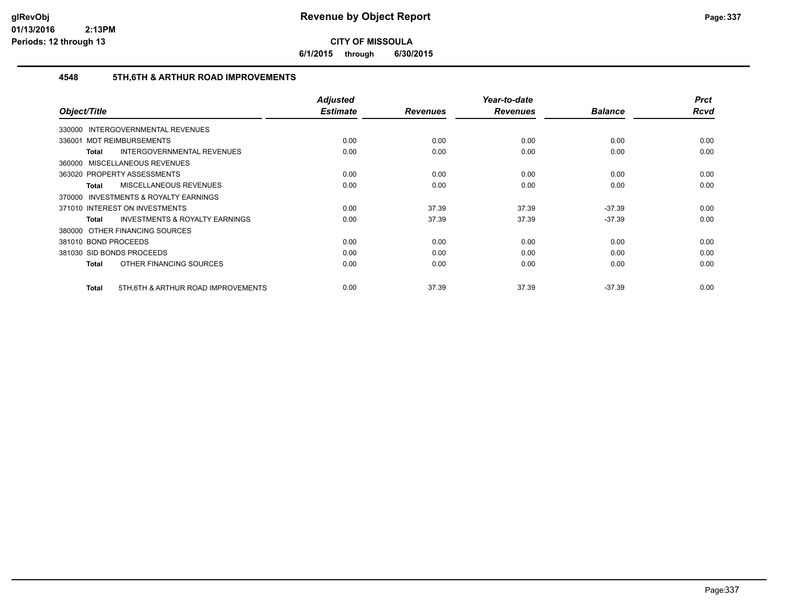**6/1/2015 through 6/30/2015**

# **4548 5TH,6TH & ARTHUR ROAD IMPROVEMENTS**

| Object/Title                                              | <b>Adjusted</b><br><b>Estimate</b> | <b>Revenues</b> | Year-to-date<br><b>Revenues</b> | <b>Balance</b> | <b>Prct</b><br><b>Rcvd</b> |
|-----------------------------------------------------------|------------------------------------|-----------------|---------------------------------|----------------|----------------------------|
|                                                           |                                    |                 |                                 |                |                            |
| INTERGOVERNMENTAL REVENUES<br>330000                      |                                    |                 |                                 |                |                            |
| 336001 MDT REIMBURSEMENTS                                 | 0.00                               | 0.00            | 0.00                            | 0.00           | 0.00                       |
| <b>INTERGOVERNMENTAL REVENUES</b><br>Total                | 0.00                               | 0.00            | 0.00                            | 0.00           | 0.00                       |
| MISCELLANEOUS REVENUES<br>360000                          |                                    |                 |                                 |                |                            |
| 363020 PROPERTY ASSESSMENTS                               | 0.00                               | 0.00            | 0.00                            | 0.00           | 0.00                       |
| MISCELLANEOUS REVENUES<br><b>Total</b>                    | 0.00                               | 0.00            | 0.00                            | 0.00           | 0.00                       |
| <b>INVESTMENTS &amp; ROYALTY EARNINGS</b><br>370000       |                                    |                 |                                 |                |                            |
| 371010 INTEREST ON INVESTMENTS                            | 0.00                               | 37.39           | 37.39                           | $-37.39$       | 0.00                       |
| <b>INVESTMENTS &amp; ROYALTY EARNINGS</b><br><b>Total</b> | 0.00                               | 37.39           | 37.39                           | $-37.39$       | 0.00                       |
| 380000 OTHER FINANCING SOURCES                            |                                    |                 |                                 |                |                            |
| 381010 BOND PROCEEDS                                      | 0.00                               | 0.00            | 0.00                            | 0.00           | 0.00                       |
| 381030 SID BONDS PROCEEDS                                 | 0.00                               | 0.00            | 0.00                            | 0.00           | 0.00                       |
| OTHER FINANCING SOURCES<br><b>Total</b>                   | 0.00                               | 0.00            | 0.00                            | 0.00           | 0.00                       |
| 5TH, 6TH & ARTHUR ROAD IMPROVEMENTS<br><b>Total</b>       | 0.00                               | 37.39           | 37.39                           | $-37.39$       | 0.00                       |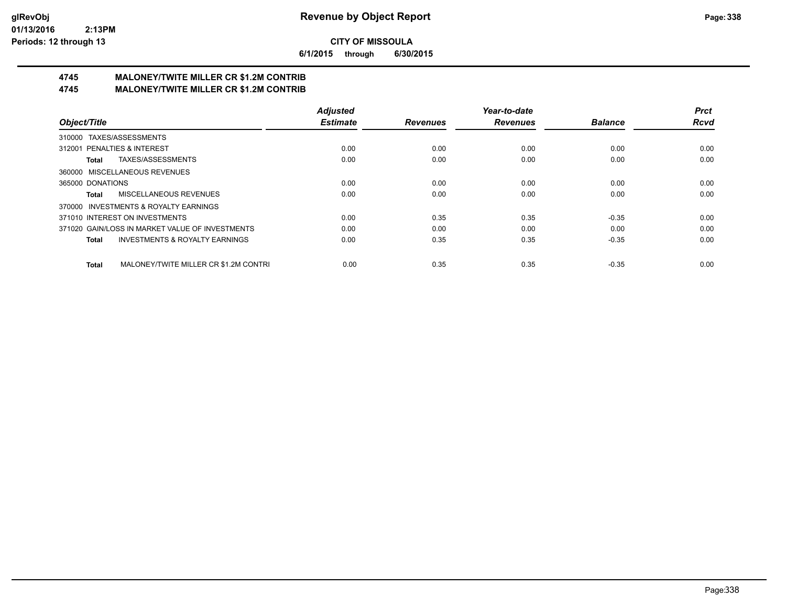**6/1/2015 through 6/30/2015**

# **4745 MALONEY/TWITE MILLER CR \$1.2M CONTRIB**

**4745 MALONEY/TWITE MILLER CR \$1.2M CONTRIB**

|                                                       | <b>Adjusted</b> |                 | Year-to-date    |                | <b>Prct</b> |
|-------------------------------------------------------|-----------------|-----------------|-----------------|----------------|-------------|
| Object/Title                                          | <b>Estimate</b> | <b>Revenues</b> | <b>Revenues</b> | <b>Balance</b> | <b>Rcvd</b> |
| 310000 TAXES/ASSESSMENTS                              |                 |                 |                 |                |             |
| 312001 PENALTIES & INTEREST                           | 0.00            | 0.00            | 0.00            | 0.00           | 0.00        |
| TAXES/ASSESSMENTS<br>Total                            | 0.00            | 0.00            | 0.00            | 0.00           | 0.00        |
| 360000 MISCELLANEOUS REVENUES                         |                 |                 |                 |                |             |
| 365000 DONATIONS                                      | 0.00            | 0.00            | 0.00            | 0.00           | 0.00        |
| MISCELLANEOUS REVENUES<br>Total                       | 0.00            | 0.00            | 0.00            | 0.00           | 0.00        |
| 370000 INVESTMENTS & ROYALTY EARNINGS                 |                 |                 |                 |                |             |
| 371010 INTEREST ON INVESTMENTS                        | 0.00            | 0.35            | 0.35            | $-0.35$        | 0.00        |
| 371020 GAIN/LOSS IN MARKET VALUE OF INVESTMENTS       | 0.00            | 0.00            | 0.00            | 0.00           | 0.00        |
| <b>INVESTMENTS &amp; ROYALTY EARNINGS</b><br>Total    | 0.00            | 0.35            | 0.35            | $-0.35$        | 0.00        |
| MALONEY/TWITE MILLER CR \$1.2M CONTRI<br><b>Total</b> | 0.00            | 0.35            | 0.35            | $-0.35$        | 0.00        |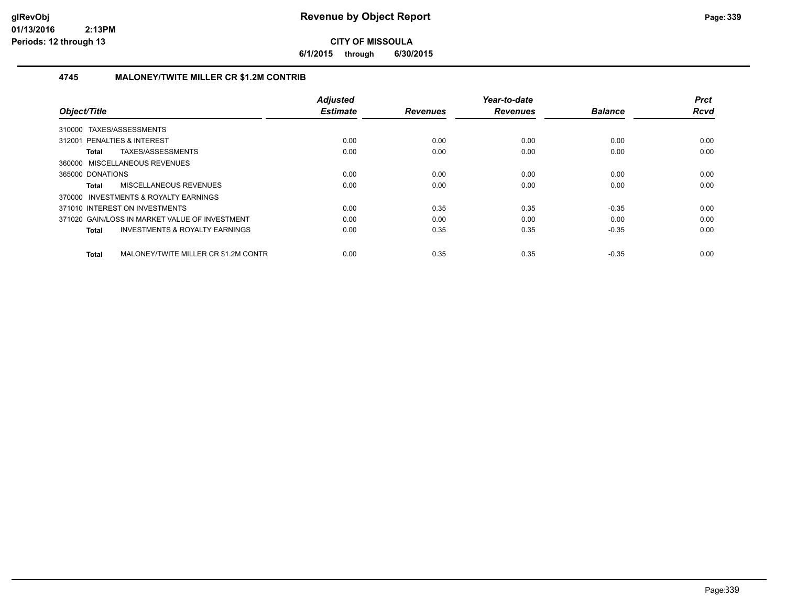**6/1/2015 through 6/30/2015**

# **4745 MALONEY/TWITE MILLER CR \$1.2M CONTRIB**

| Object/Title                                              | <b>Adjusted</b><br><b>Estimate</b> | <b>Revenues</b> | Year-to-date<br><b>Revenues</b> | <b>Balance</b> | <b>Prct</b><br><b>Rcvd</b> |
|-----------------------------------------------------------|------------------------------------|-----------------|---------------------------------|----------------|----------------------------|
|                                                           |                                    |                 |                                 |                |                            |
| 310000 TAXES/ASSESSMENTS                                  |                                    |                 |                                 |                |                            |
| 312001 PENALTIES & INTEREST                               | 0.00                               | 0.00            | 0.00                            | 0.00           | 0.00                       |
| TAXES/ASSESSMENTS<br>Total                                | 0.00                               | 0.00            | 0.00                            | 0.00           | 0.00                       |
| 360000 MISCELLANEOUS REVENUES                             |                                    |                 |                                 |                |                            |
| 365000 DONATIONS                                          | 0.00                               | 0.00            | 0.00                            | 0.00           | 0.00                       |
| MISCELLANEOUS REVENUES<br>Total                           | 0.00                               | 0.00            | 0.00                            | 0.00           | 0.00                       |
| 370000 INVESTMENTS & ROYALTY EARNINGS                     |                                    |                 |                                 |                |                            |
| 371010 INTEREST ON INVESTMENTS                            | 0.00                               | 0.35            | 0.35                            | $-0.35$        | 0.00                       |
| 371020 GAIN/LOSS IN MARKET VALUE OF INVESTMENT            | 0.00                               | 0.00            | 0.00                            | 0.00           | 0.00                       |
| <b>INVESTMENTS &amp; ROYALTY EARNINGS</b><br><b>Total</b> | 0.00                               | 0.35            | 0.35                            | $-0.35$        | 0.00                       |
| MALONEY/TWITE MILLER CR \$1.2M CONTR<br>Total             | 0.00                               | 0.35            | 0.35                            | $-0.35$        | 0.00                       |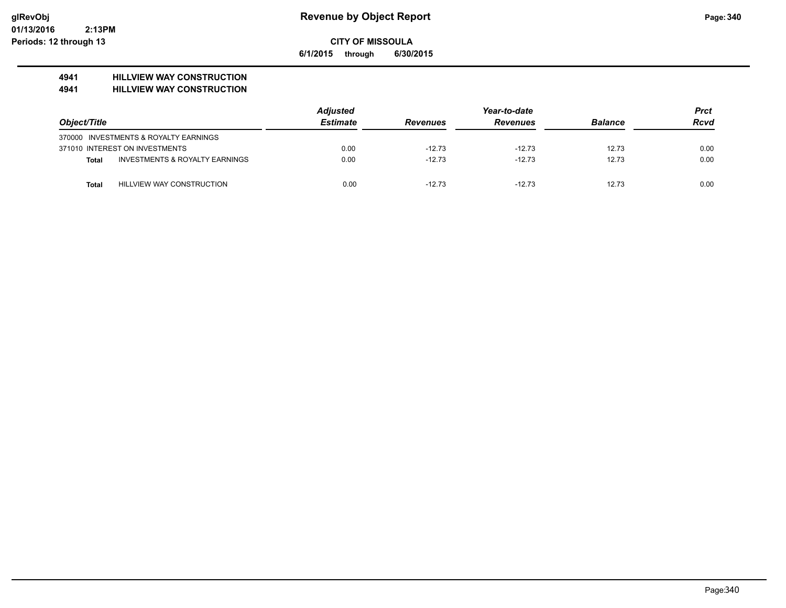**6/1/2015 through 6/30/2015**

# **4941 HILLVIEW WAY CONSTRUCTION**

#### **4941 HILLVIEW WAY CONSTRUCTION**

|              |                                       | <b>Adjusted</b> |                 |                 | <b>Prct</b>    |             |
|--------------|---------------------------------------|-----------------|-----------------|-----------------|----------------|-------------|
| Object/Title |                                       | <b>Estimate</b> | <b>Revenues</b> | <b>Revenues</b> | <b>Balance</b> | <b>Rcvd</b> |
|              | 370000 INVESTMENTS & ROYALTY EARNINGS |                 |                 |                 |                |             |
|              | 371010 INTEREST ON INVESTMENTS        | 0.00            | $-12.73$        | $-12.73$        | 12.73          | 0.00        |
| Total        | INVESTMENTS & ROYALTY EARNINGS        | 0.00            | $-12.73$        | $-12.73$        | 12.73          | 0.00        |
| <b>Total</b> | HILLVIEW WAY CONSTRUCTION             | 0.00            | $-12.73$        | $-12.73$        | 12.73          | 0.00        |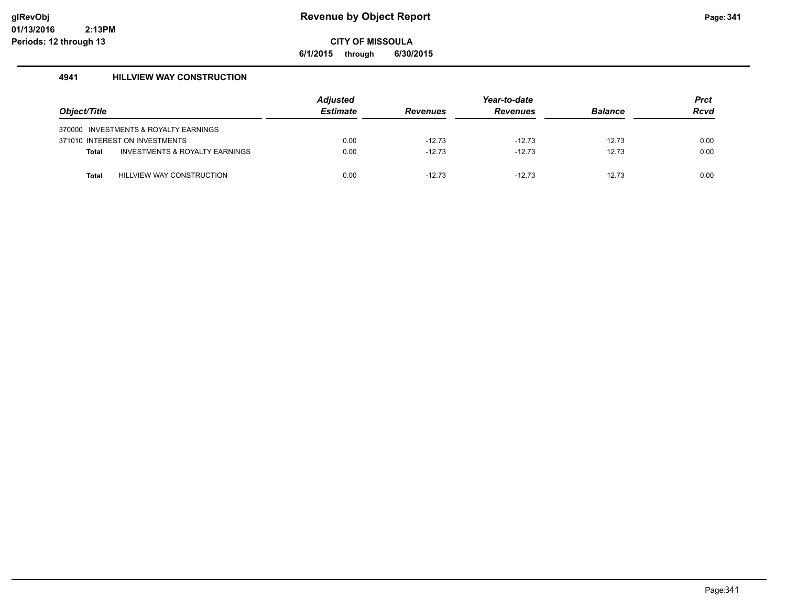**6/1/2015 through 6/30/2015**

# **4941 HILLVIEW WAY CONSTRUCTION**

|              |                                       | <b>Adjusted</b> |                 | Year-to-date    |                | <b>Prct</b> |
|--------------|---------------------------------------|-----------------|-----------------|-----------------|----------------|-------------|
| Object/Title |                                       | <b>Estimate</b> | <b>Revenues</b> | <b>Revenues</b> | <b>Balance</b> | Rcvd        |
|              | 370000 INVESTMENTS & ROYALTY EARNINGS |                 |                 |                 |                |             |
|              | 371010 INTEREST ON INVESTMENTS        | 0.00            | $-12.73$        | $-12.73$        | 12.73          | 0.00        |
| <b>Total</b> | INVESTMENTS & ROYALTY EARNINGS        | 0.00            | $-12.73$        | $-12.73$        | 12.73          | 0.00        |
| Total        | HILLVIEW WAY CONSTRUCTION             | 0.00            | $-12.73$        | $-12.73$        | 12.73          | 0.00        |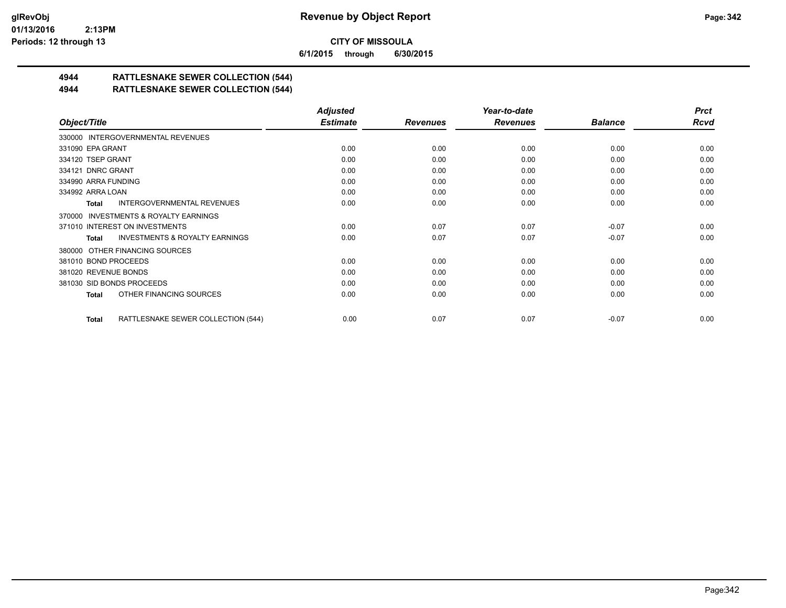**6/1/2015 through 6/30/2015**

# **4944 RATTLESNAKE SEWER COLLECTION (544)**

# **4944 RATTLESNAKE SEWER COLLECTION (544)**

|                                                    | <b>Adjusted</b> |                 | Year-to-date    |                | <b>Prct</b> |
|----------------------------------------------------|-----------------|-----------------|-----------------|----------------|-------------|
| Object/Title                                       | <b>Estimate</b> | <b>Revenues</b> | <b>Revenues</b> | <b>Balance</b> | <b>Rcvd</b> |
| 330000 INTERGOVERNMENTAL REVENUES                  |                 |                 |                 |                |             |
| 331090 EPA GRANT                                   | 0.00            | 0.00            | 0.00            | 0.00           | 0.00        |
| 334120 TSEP GRANT                                  | 0.00            | 0.00            | 0.00            | 0.00           | 0.00        |
| 334121 DNRC GRANT                                  | 0.00            | 0.00            | 0.00            | 0.00           | 0.00        |
| 334990 ARRA FUNDING                                | 0.00            | 0.00            | 0.00            | 0.00           | 0.00        |
| 334992 ARRA LOAN                                   | 0.00            | 0.00            | 0.00            | 0.00           | 0.00        |
| <b>INTERGOVERNMENTAL REVENUES</b><br>Total         | 0.00            | 0.00            | 0.00            | 0.00           | 0.00        |
| 370000 INVESTMENTS & ROYALTY EARNINGS              |                 |                 |                 |                |             |
| 371010 INTEREST ON INVESTMENTS                     | 0.00            | 0.07            | 0.07            | $-0.07$        | 0.00        |
| <b>INVESTMENTS &amp; ROYALTY EARNINGS</b><br>Total | 0.00            | 0.07            | 0.07            | $-0.07$        | 0.00        |
| 380000 OTHER FINANCING SOURCES                     |                 |                 |                 |                |             |
| 381010 BOND PROCEEDS                               | 0.00            | 0.00            | 0.00            | 0.00           | 0.00        |
| 381020 REVENUE BONDS                               | 0.00            | 0.00            | 0.00            | 0.00           | 0.00        |
| 381030 SID BONDS PROCEEDS                          | 0.00            | 0.00            | 0.00            | 0.00           | 0.00        |
| OTHER FINANCING SOURCES<br>Total                   | 0.00            | 0.00            | 0.00            | 0.00           | 0.00        |
| RATTLESNAKE SEWER COLLECTION (544)<br>Total        | 0.00            | 0.07            | 0.07            | $-0.07$        | 0.00        |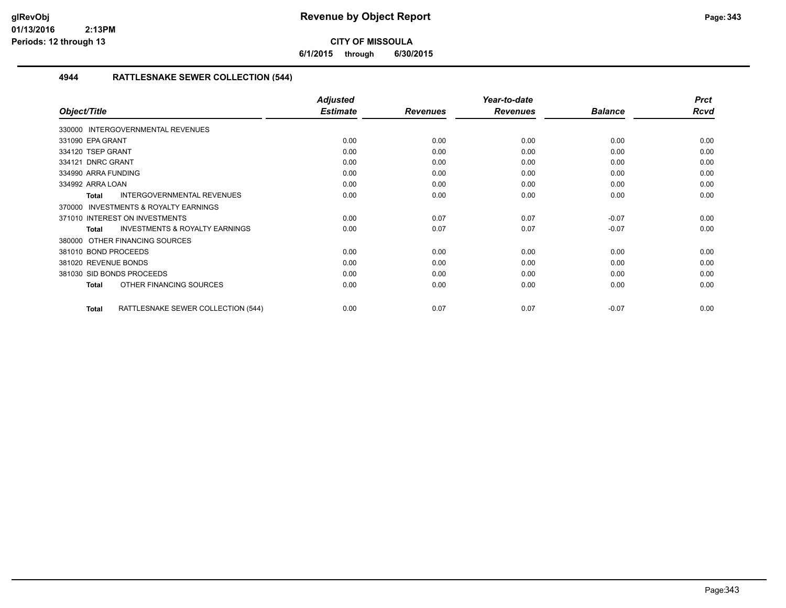**6/1/2015 through 6/30/2015**

# **4944 RATTLESNAKE SEWER COLLECTION (544)**

|                                                           | <b>Adjusted</b> |                 | Year-to-date    |                | <b>Prct</b> |
|-----------------------------------------------------------|-----------------|-----------------|-----------------|----------------|-------------|
| Object/Title                                              | <b>Estimate</b> | <b>Revenues</b> | <b>Revenues</b> | <b>Balance</b> | <b>Rcvd</b> |
| 330000 INTERGOVERNMENTAL REVENUES                         |                 |                 |                 |                |             |
| 331090 EPA GRANT                                          | 0.00            | 0.00            | 0.00            | 0.00           | 0.00        |
| 334120 TSEP GRANT                                         | 0.00            | 0.00            | 0.00            | 0.00           | 0.00        |
| 334121 DNRC GRANT                                         | 0.00            | 0.00            | 0.00            | 0.00           | 0.00        |
| 334990 ARRA FUNDING                                       | 0.00            | 0.00            | 0.00            | 0.00           | 0.00        |
| 334992 ARRA LOAN                                          | 0.00            | 0.00            | 0.00            | 0.00           | 0.00        |
| <b>INTERGOVERNMENTAL REVENUES</b><br><b>Total</b>         | 0.00            | 0.00            | 0.00            | 0.00           | 0.00        |
| <b>INVESTMENTS &amp; ROYALTY EARNINGS</b><br>370000       |                 |                 |                 |                |             |
| 371010 INTEREST ON INVESTMENTS                            | 0.00            | 0.07            | 0.07            | $-0.07$        | 0.00        |
| <b>INVESTMENTS &amp; ROYALTY EARNINGS</b><br><b>Total</b> | 0.00            | 0.07            | 0.07            | $-0.07$        | 0.00        |
| 380000 OTHER FINANCING SOURCES                            |                 |                 |                 |                |             |
| 381010 BOND PROCEEDS                                      | 0.00            | 0.00            | 0.00            | 0.00           | 0.00        |
| 381020 REVENUE BONDS                                      | 0.00            | 0.00            | 0.00            | 0.00           | 0.00        |
| 381030 SID BONDS PROCEEDS                                 | 0.00            | 0.00            | 0.00            | 0.00           | 0.00        |
| OTHER FINANCING SOURCES<br><b>Total</b>                   | 0.00            | 0.00            | 0.00            | 0.00           | 0.00        |
| RATTLESNAKE SEWER COLLECTION (544)<br><b>Total</b>        | 0.00            | 0.07            | 0.07            | $-0.07$        | 0.00        |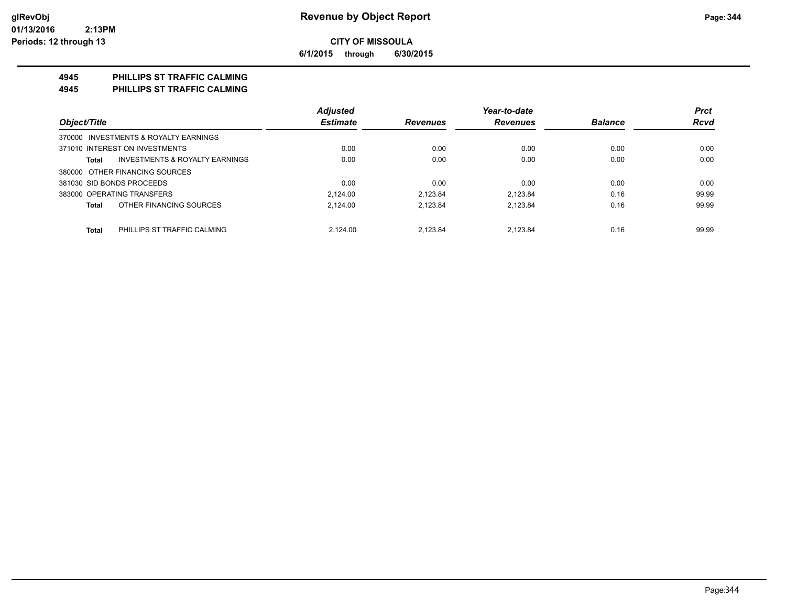**6/1/2015 through 6/30/2015**

# **4945 PHILLIPS ST TRAFFIC CALMING**

**4945 PHILLIPS ST TRAFFIC CALMING**

|                                                           | <b>Adjusted</b> |                 | Year-to-date    |                | <b>Prct</b> |
|-----------------------------------------------------------|-----------------|-----------------|-----------------|----------------|-------------|
| Object/Title                                              | <b>Estimate</b> | <b>Revenues</b> | <b>Revenues</b> | <b>Balance</b> | <b>Rcvd</b> |
| 370000 INVESTMENTS & ROYALTY EARNINGS                     |                 |                 |                 |                |             |
| 371010 INTEREST ON INVESTMENTS                            | 0.00            | 0.00            | 0.00            | 0.00           | 0.00        |
| <b>INVESTMENTS &amp; ROYALTY EARNINGS</b><br><b>Total</b> | 0.00            | 0.00            | 0.00            | 0.00           | 0.00        |
| 380000 OTHER FINANCING SOURCES                            |                 |                 |                 |                |             |
| 381030 SID BONDS PROCEEDS                                 | 0.00            | 0.00            | 0.00            | 0.00           | 0.00        |
| 383000 OPERATING TRANSFERS                                | 2.124.00        | 2.123.84        | 2.123.84        | 0.16           | 99.99       |
| OTHER FINANCING SOURCES<br><b>Total</b>                   | 2.124.00        | 2.123.84        | 2.123.84        | 0.16           | 99.99       |
| <b>Total</b><br>PHILLIPS ST TRAFFIC CALMING               | 2.124.00        | 2.123.84        | 2.123.84        | 0.16           | 99.99       |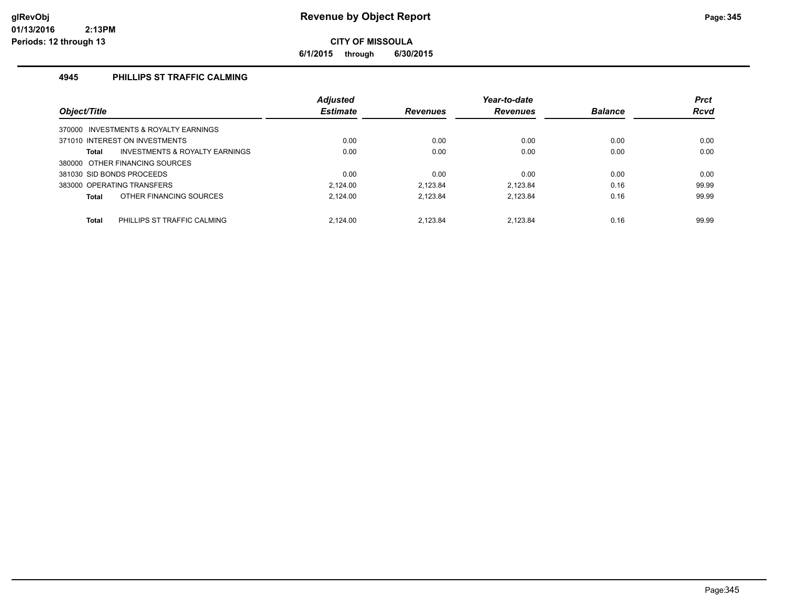**6/1/2015 through 6/30/2015**

# **4945 PHILLIPS ST TRAFFIC CALMING**

|              |                                           | <b>Adjusted</b> |                 | Year-to-date    |                | <b>Prct</b> |
|--------------|-------------------------------------------|-----------------|-----------------|-----------------|----------------|-------------|
| Object/Title |                                           | <b>Estimate</b> | <b>Revenues</b> | <b>Revenues</b> | <b>Balance</b> | <b>Rcvd</b> |
|              | 370000 INVESTMENTS & ROYALTY EARNINGS     |                 |                 |                 |                |             |
|              | 371010 INTEREST ON INVESTMENTS            | 0.00            | 0.00            | 0.00            | 0.00           | 0.00        |
| Total        | <b>INVESTMENTS &amp; ROYALTY EARNINGS</b> | 0.00            | 0.00            | 0.00            | 0.00           | 0.00        |
|              | 380000 OTHER FINANCING SOURCES            |                 |                 |                 |                |             |
|              | 381030 SID BONDS PROCEEDS                 | 0.00            | 0.00            | 0.00            | 0.00           | 0.00        |
|              | 383000 OPERATING TRANSFERS                | 2.124.00        | 2.123.84        | 2.123.84        | 0.16           | 99.99       |
| <b>Total</b> | OTHER FINANCING SOURCES                   | 2.124.00        | 2.123.84        | 2.123.84        | 0.16           | 99.99       |
| <b>Total</b> | PHILLIPS ST TRAFFIC CALMING               | 2.124.00        | 2.123.84        | 2.123.84        | 0.16           | 99.99       |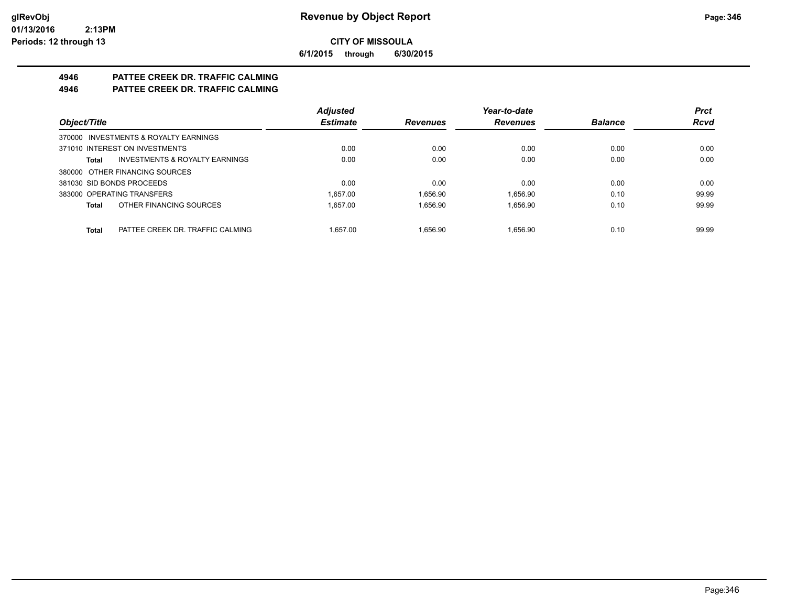**6/1/2015 through 6/30/2015**

# **4946 PATTEE CREEK DR. TRAFFIC CALMING**

**4946 PATTEE CREEK DR. TRAFFIC CALMING**

|                                                    | <b>Adjusted</b> |                 | Year-to-date    |                | <b>Prct</b> |
|----------------------------------------------------|-----------------|-----------------|-----------------|----------------|-------------|
| Object/Title                                       | <b>Estimate</b> | <b>Revenues</b> | <b>Revenues</b> | <b>Balance</b> | <b>Rcvd</b> |
| 370000 INVESTMENTS & ROYALTY EARNINGS              |                 |                 |                 |                |             |
| 371010 INTEREST ON INVESTMENTS                     | 0.00            | 0.00            | 0.00            | 0.00           | 0.00        |
| <b>INVESTMENTS &amp; ROYALTY EARNINGS</b><br>Total | 0.00            | 0.00            | 0.00            | 0.00           | 0.00        |
| 380000 OTHER FINANCING SOURCES                     |                 |                 |                 |                |             |
| 381030 SID BONDS PROCEEDS                          | 0.00            | 0.00            | 0.00            | 0.00           | 0.00        |
| 383000 OPERATING TRANSFERS                         | 1.657.00        | 1.656.90        | 1.656.90        | 0.10           | 99.99       |
| OTHER FINANCING SOURCES<br>Total                   | 1.657.00        | 1.656.90        | 1,656.90        | 0.10           | 99.99       |
|                                                    |                 |                 |                 |                |             |
| PATTEE CREEK DR. TRAFFIC CALMING<br>Total          | 1.657.00        | 1.656.90        | 1.656.90        | 0.10           | 99.99       |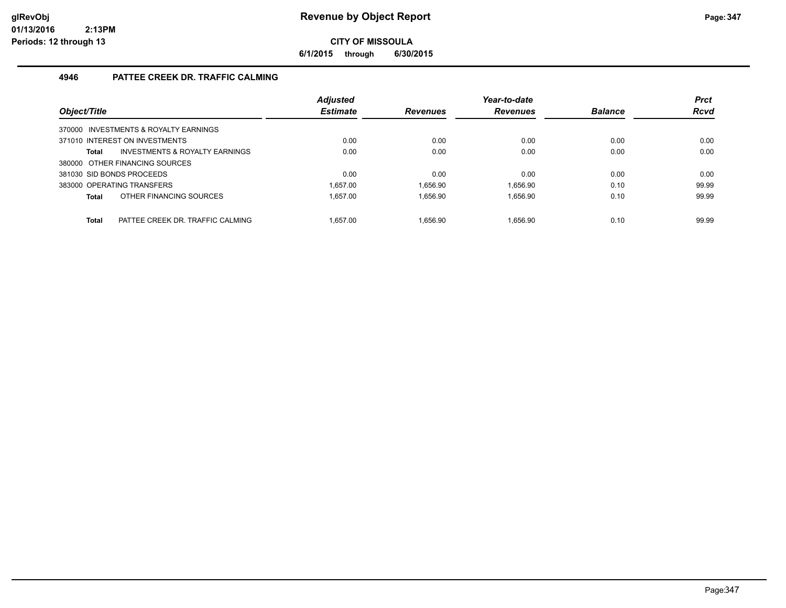**6/1/2015 through 6/30/2015**

# **4946 PATTEE CREEK DR. TRAFFIC CALMING**

|                                                  | <b>Adjusted</b> |                 | Year-to-date    |                | <b>Prct</b> |
|--------------------------------------------------|-----------------|-----------------|-----------------|----------------|-------------|
| Object/Title                                     | <b>Estimate</b> | <b>Revenues</b> | <b>Revenues</b> | <b>Balance</b> | <b>Rcvd</b> |
| 370000 INVESTMENTS & ROYALTY EARNINGS            |                 |                 |                 |                |             |
| 371010 INTEREST ON INVESTMENTS                   | 0.00            | 0.00            | 0.00            | 0.00           | 0.00        |
| INVESTMENTS & ROYALTY EARNINGS<br><b>Total</b>   | 0.00            | 0.00            | 0.00            | 0.00           | 0.00        |
| 380000 OTHER FINANCING SOURCES                   |                 |                 |                 |                |             |
| 381030 SID BONDS PROCEEDS                        | 0.00            | 0.00            | 0.00            | 0.00           | 0.00        |
| 383000 OPERATING TRANSFERS                       | 1.657.00        | 1.656.90        | 1.656.90        | 0.10           | 99.99       |
| OTHER FINANCING SOURCES<br><b>Total</b>          | 1.657.00        | 1.656.90        | 1.656.90        | 0.10           | 99.99       |
|                                                  |                 |                 |                 |                |             |
| <b>Total</b><br>PATTEE CREEK DR. TRAFFIC CALMING | 1.657.00        | 1.656.90        | 1.656.90        | 0.10           | 99.99       |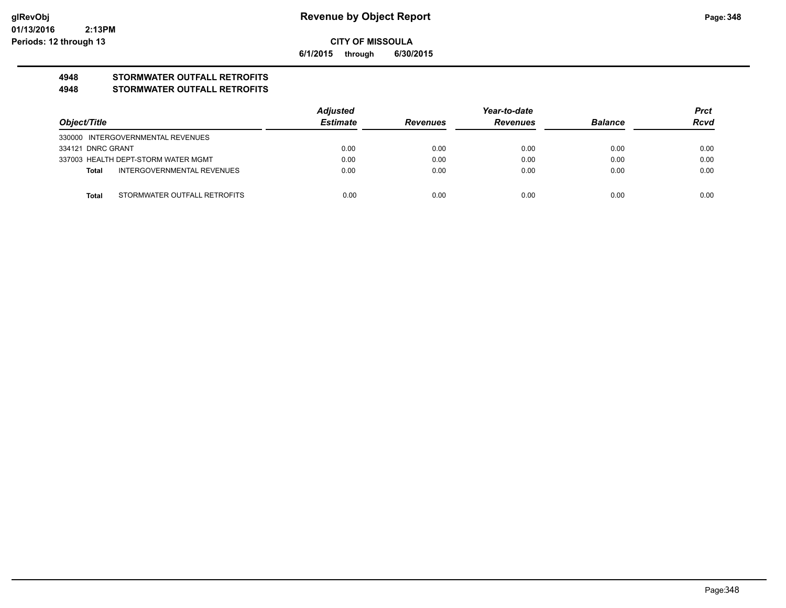**6/1/2015 through 6/30/2015**

# **4948 STORMWATER OUTFALL RETROFITS**

## **4948 STORMWATER OUTFALL RETROFITS**

|                   |                                     | Adjusted        |                 | <b>Prct</b>     |                |             |
|-------------------|-------------------------------------|-----------------|-----------------|-----------------|----------------|-------------|
| Object/Title      |                                     | <b>Estimate</b> | <b>Revenues</b> | <b>Revenues</b> | <b>Balance</b> | <b>Rcvd</b> |
|                   | 330000 INTERGOVERNMENTAL REVENUES   |                 |                 |                 |                |             |
| 334121 DNRC GRANT |                                     | 0.00            | 0.00            | 0.00            | 0.00           | 0.00        |
|                   | 337003 HEALTH DEPT-STORM WATER MGMT | 0.00            | 0.00            | 0.00            | 0.00           | 0.00        |
| Total             | INTERGOVERNMENTAL REVENUES          | 0.00            | 0.00            | 0.00            | 0.00           | 0.00        |
|                   |                                     |                 |                 |                 |                |             |
| Total             | STORMWATER OUTFALL RETROFITS        | 0.00            | 0.00            | 0.00            | 0.00           | 0.00        |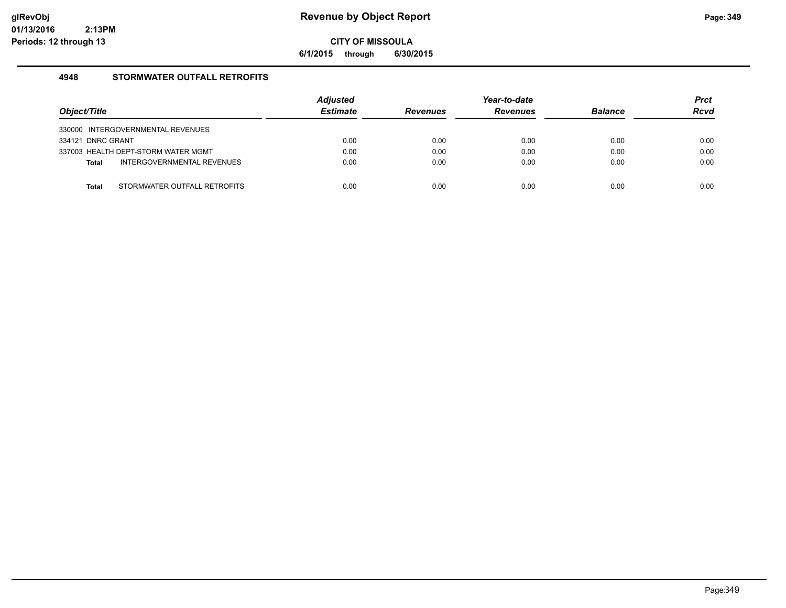**6/1/2015 through 6/30/2015**

# **4948 STORMWATER OUTFALL RETROFITS**

| Object/Title                               | <b>Adjusted</b><br><b>Estimate</b> | <b>Revenues</b> | Year-to-date<br><b>Revenues</b> | <b>Balance</b> | <b>Prct</b><br><b>Rcvd</b> |
|--------------------------------------------|------------------------------------|-----------------|---------------------------------|----------------|----------------------------|
| 330000 INTERGOVERNMENTAL REVENUES          |                                    |                 |                                 |                |                            |
| 334121 DNRC GRANT                          | 0.00                               | 0.00            | 0.00                            | 0.00           | 0.00                       |
| 337003 HEALTH DEPT-STORM WATER MGMT        | 0.00                               | 0.00            | 0.00                            | 0.00           | 0.00                       |
| INTERGOVERNMENTAL REVENUES<br><b>Total</b> | 0.00                               | 0.00            | 0.00                            | 0.00           | 0.00                       |
|                                            |                                    |                 |                                 |                |                            |
| STORMWATER OUTFALL RETROFITS<br>Total      | 0.00                               | 0.00            | 0.00                            | 0.00           | 0.00                       |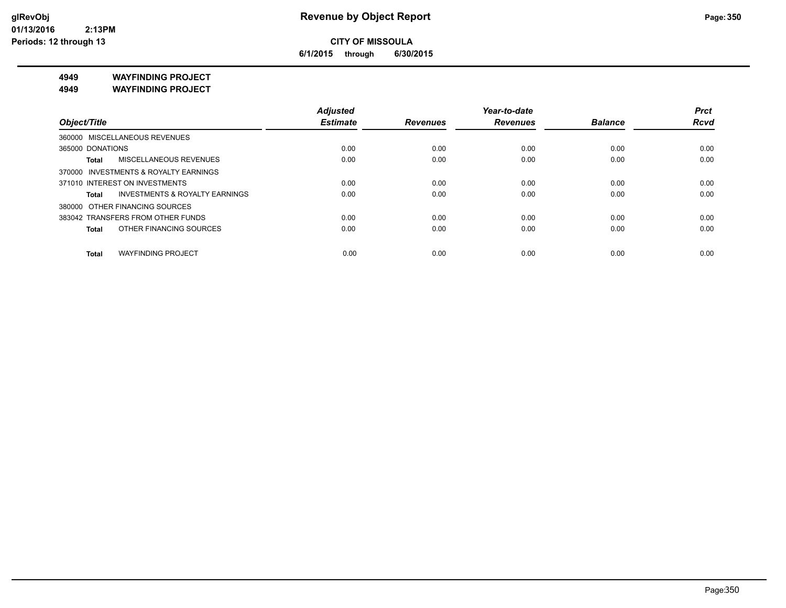**6/1/2015 through 6/30/2015**

**4949 WAYFINDING PROJECT**

| 4949 | <b>WAYFINDING PROJECT</b> |  |
|------|---------------------------|--|
|------|---------------------------|--|

|                                                    | <b>Adjusted</b> |                 | Year-to-date    |                | <b>Prct</b> |
|----------------------------------------------------|-----------------|-----------------|-----------------|----------------|-------------|
| Object/Title                                       | <b>Estimate</b> | <b>Revenues</b> | <b>Revenues</b> | <b>Balance</b> | <b>Rcvd</b> |
| 360000 MISCELLANEOUS REVENUES                      |                 |                 |                 |                |             |
| 365000 DONATIONS                                   | 0.00            | 0.00            | 0.00            | 0.00           | 0.00        |
| MISCELLANEOUS REVENUES<br>Total                    | 0.00            | 0.00            | 0.00            | 0.00           | 0.00        |
| 370000 INVESTMENTS & ROYALTY EARNINGS              |                 |                 |                 |                |             |
| 371010 INTEREST ON INVESTMENTS                     | 0.00            | 0.00            | 0.00            | 0.00           | 0.00        |
| <b>INVESTMENTS &amp; ROYALTY EARNINGS</b><br>Total | 0.00            | 0.00            | 0.00            | 0.00           | 0.00        |
| 380000 OTHER FINANCING SOURCES                     |                 |                 |                 |                |             |
| 383042 TRANSFERS FROM OTHER FUNDS                  | 0.00            | 0.00            | 0.00            | 0.00           | 0.00        |
| OTHER FINANCING SOURCES<br>Total                   | 0.00            | 0.00            | 0.00            | 0.00           | 0.00        |
| <b>WAYFINDING PROJECT</b><br>Total                 | 0.00            | 0.00            | 0.00            | 0.00           | 0.00        |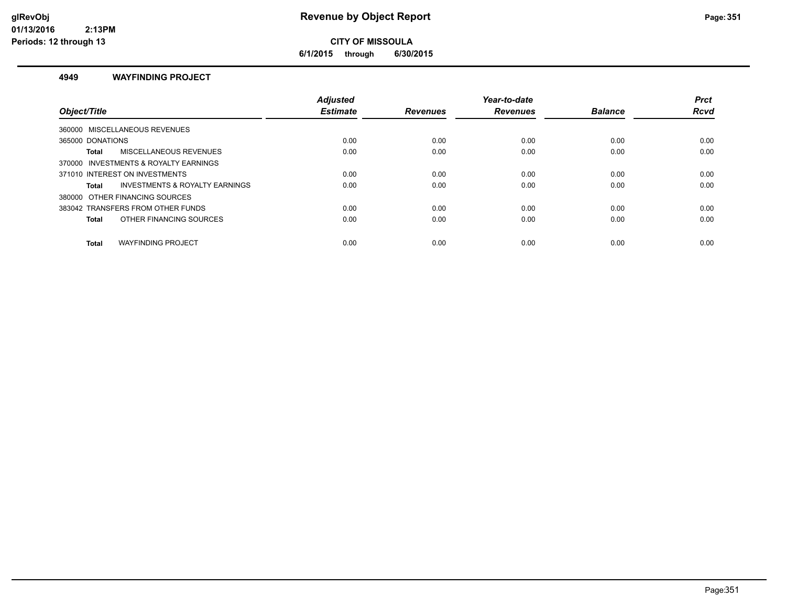**6/1/2015 through 6/30/2015**

### **4949 WAYFINDING PROJECT**

| Object/Title                                              | <b>Adjusted</b><br><b>Estimate</b> | <b>Revenues</b> | Year-to-date<br><b>Revenues</b> | <b>Balance</b> | <b>Prct</b><br>Rcvd |
|-----------------------------------------------------------|------------------------------------|-----------------|---------------------------------|----------------|---------------------|
| 360000 MISCELLANEOUS REVENUES                             |                                    |                 |                                 |                |                     |
| 365000 DONATIONS                                          | 0.00                               | 0.00            | 0.00                            | 0.00           | 0.00                |
| MISCELLANEOUS REVENUES<br><b>Total</b>                    | 0.00                               | 0.00            | 0.00                            | 0.00           | 0.00                |
| 370000 INVESTMENTS & ROYALTY EARNINGS                     |                                    |                 |                                 |                |                     |
| 371010 INTEREST ON INVESTMENTS                            | 0.00                               | 0.00            | 0.00                            | 0.00           | 0.00                |
| <b>INVESTMENTS &amp; ROYALTY EARNINGS</b><br><b>Total</b> | 0.00                               | 0.00            | 0.00                            | 0.00           | 0.00                |
| 380000 OTHER FINANCING SOURCES                            |                                    |                 |                                 |                |                     |
| 383042 TRANSFERS FROM OTHER FUNDS                         | 0.00                               | 0.00            | 0.00                            | 0.00           | 0.00                |
| OTHER FINANCING SOURCES<br><b>Total</b>                   | 0.00                               | 0.00            | 0.00                            | 0.00           | 0.00                |
| <b>WAYFINDING PROJECT</b><br><b>Total</b>                 | 0.00                               | 0.00            | 0.00                            | 0.00           | 0.00                |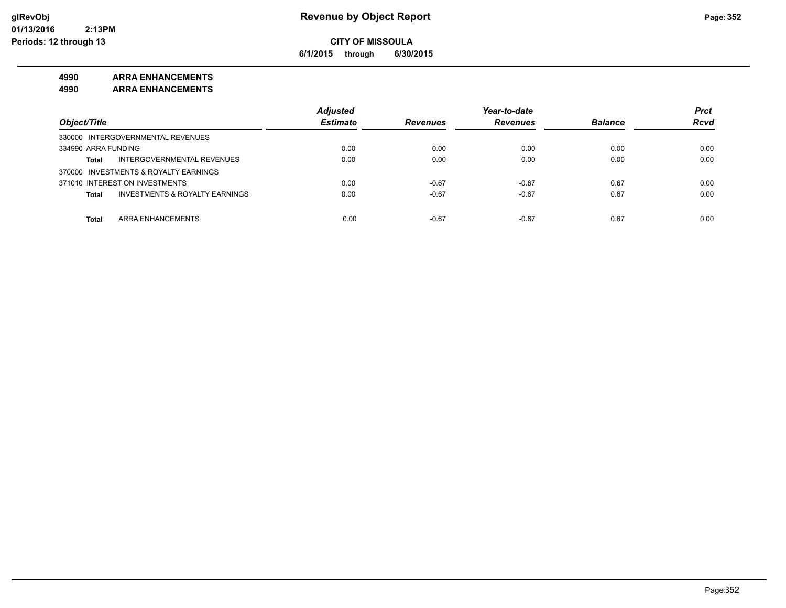**6/1/2015 through 6/30/2015**

# **4990 ARRA ENHANCEMENTS**

**4990 ARRA ENHANCEMENTS**

|                                                           | <b>Adjusted</b> |                 | Year-to-date |                | <b>Prct</b> |
|-----------------------------------------------------------|-----------------|-----------------|--------------|----------------|-------------|
| Object/Title                                              | <b>Estimate</b> | <b>Revenues</b> | Revenues     | <b>Balance</b> | <b>Rcvd</b> |
| 330000 INTERGOVERNMENTAL REVENUES                         |                 |                 |              |                |             |
| 334990 ARRA FUNDING                                       | 0.00            | 0.00            | 0.00         | 0.00           | 0.00        |
| <b>INTERGOVERNMENTAL REVENUES</b><br><b>Total</b>         | 0.00            | 0.00            | 0.00         | 0.00           | 0.00        |
| 370000 INVESTMENTS & ROYALTY EARNINGS                     |                 |                 |              |                |             |
| 371010 INTEREST ON INVESTMENTS                            | 0.00            | $-0.67$         | $-0.67$      | 0.67           | 0.00        |
| <b>INVESTMENTS &amp; ROYALTY EARNINGS</b><br><b>Total</b> | 0.00            | $-0.67$         | $-0.67$      | 0.67           | 0.00        |
|                                                           |                 |                 |              |                |             |
| ARRA ENHANCEMENTS<br>Total                                | 0.00            | $-0.67$         | $-0.67$      | 0.67           | 0.00        |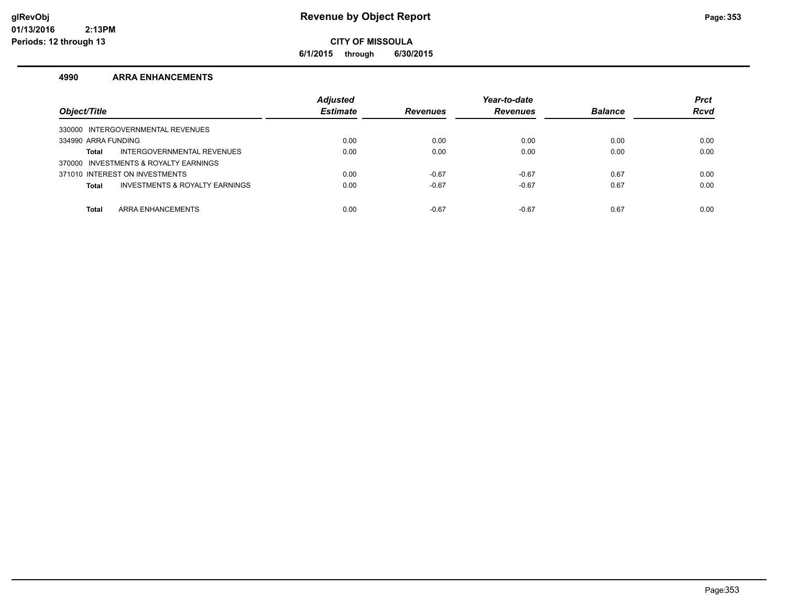**6/1/2015 through 6/30/2015**

### **4990 ARRA ENHANCEMENTS**

| Object/Title                                   | <b>Adjusted</b><br><b>Estimate</b> | <b>Revenues</b> | Year-to-date<br><b>Revenues</b> | <b>Balance</b> | <b>Prct</b><br><b>Rcvd</b> |
|------------------------------------------------|------------------------------------|-----------------|---------------------------------|----------------|----------------------------|
| 330000 INTERGOVERNMENTAL REVENUES              |                                    |                 |                                 |                |                            |
| 334990 ARRA FUNDING                            | 0.00                               | 0.00            | 0.00                            | 0.00           | 0.00                       |
| INTERGOVERNMENTAL REVENUES<br>Total            | 0.00                               | 0.00            | 0.00                            | 0.00           | 0.00                       |
| 370000 INVESTMENTS & ROYALTY EARNINGS          |                                    |                 |                                 |                |                            |
| 371010 INTEREST ON INVESTMENTS                 | 0.00                               | $-0.67$         | $-0.67$                         | 0.67           | 0.00                       |
| INVESTMENTS & ROYALTY EARNINGS<br><b>Total</b> | 0.00                               | $-0.67$         | $-0.67$                         | 0.67           | 0.00                       |
|                                                |                                    |                 |                                 |                |                            |
| ARRA ENHANCEMENTS<br><b>Total</b>              | 0.00                               | $-0.67$         | $-0.67$                         | 0.67           | 0.00                       |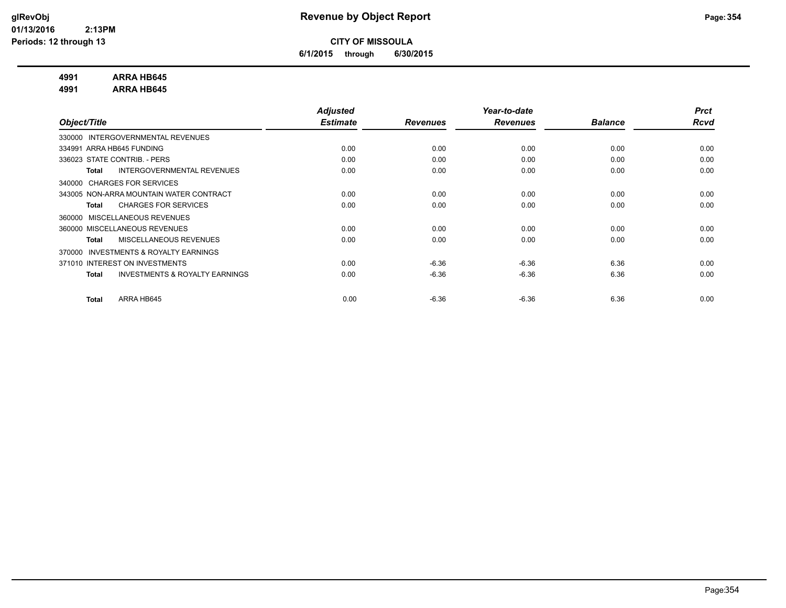**6/1/2015 through 6/30/2015**

## **4991 ARRA HB645**

**4991 ARRA HB645**

|                                                           | <b>Adjusted</b> |                 | Year-to-date    |                | <b>Prct</b> |
|-----------------------------------------------------------|-----------------|-----------------|-----------------|----------------|-------------|
| Object/Title                                              | <b>Estimate</b> | <b>Revenues</b> | <b>Revenues</b> | <b>Balance</b> | Rcvd        |
| 330000 INTERGOVERNMENTAL REVENUES                         |                 |                 |                 |                |             |
| 334991 ARRA HB645 FUNDING                                 | 0.00            | 0.00            | 0.00            | 0.00           | 0.00        |
| 336023 STATE CONTRIB. - PERS                              | 0.00            | 0.00            | 0.00            | 0.00           | 0.00        |
| INTERGOVERNMENTAL REVENUES<br><b>Total</b>                | 0.00            | 0.00            | 0.00            | 0.00           | 0.00        |
| 340000 CHARGES FOR SERVICES                               |                 |                 |                 |                |             |
| 343005 NON-ARRA MOUNTAIN WATER CONTRACT                   | 0.00            | 0.00            | 0.00            | 0.00           | 0.00        |
| <b>CHARGES FOR SERVICES</b><br><b>Total</b>               | 0.00            | 0.00            | 0.00            | 0.00           | 0.00        |
| 360000 MISCELLANEOUS REVENUES                             |                 |                 |                 |                |             |
| 360000 MISCELLANEOUS REVENUES                             | 0.00            | 0.00            | 0.00            | 0.00           | 0.00        |
| <b>MISCELLANEOUS REVENUES</b><br><b>Total</b>             | 0.00            | 0.00            | 0.00            | 0.00           | 0.00        |
| <b>INVESTMENTS &amp; ROYALTY EARNINGS</b><br>370000       |                 |                 |                 |                |             |
| 371010 INTEREST ON INVESTMENTS                            | 0.00            | $-6.36$         | $-6.36$         | 6.36           | 0.00        |
| <b>INVESTMENTS &amp; ROYALTY EARNINGS</b><br><b>Total</b> | 0.00            | $-6.36$         | $-6.36$         | 6.36           | 0.00        |
|                                                           |                 |                 |                 |                |             |
| ARRA HB645<br><b>Total</b>                                | 0.00            | $-6.36$         | $-6.36$         | 6.36           | 0.00        |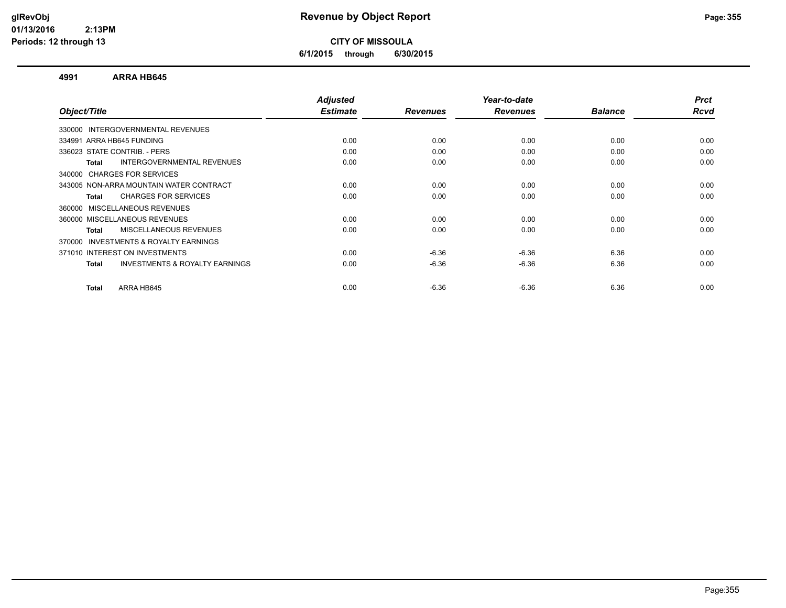**6/1/2015 through 6/30/2015**

#### **4991 ARRA HB645**

| Object/Title                                              | <b>Adjusted</b><br><b>Estimate</b> | <b>Revenues</b> | Year-to-date<br><b>Revenues</b> | <b>Balance</b> | <b>Prct</b><br>Rcvd |
|-----------------------------------------------------------|------------------------------------|-----------------|---------------------------------|----------------|---------------------|
|                                                           |                                    |                 |                                 |                |                     |
| 330000 INTERGOVERNMENTAL REVENUES                         |                                    |                 |                                 |                |                     |
| 334991 ARRA HB645 FUNDING                                 | 0.00                               | 0.00            | 0.00                            | 0.00           | 0.00                |
| 336023 STATE CONTRIB. - PERS                              | 0.00                               | 0.00            | 0.00                            | 0.00           | 0.00                |
| INTERGOVERNMENTAL REVENUES<br><b>Total</b>                | 0.00                               | 0.00            | 0.00                            | 0.00           | 0.00                |
| 340000 CHARGES FOR SERVICES                               |                                    |                 |                                 |                |                     |
| 343005 NON-ARRA MOUNTAIN WATER CONTRACT                   | 0.00                               | 0.00            | 0.00                            | 0.00           | 0.00                |
| <b>CHARGES FOR SERVICES</b><br><b>Total</b>               | 0.00                               | 0.00            | 0.00                            | 0.00           | 0.00                |
| 360000 MISCELLANEOUS REVENUES                             |                                    |                 |                                 |                |                     |
| 360000 MISCELLANEOUS REVENUES                             | 0.00                               | 0.00            | 0.00                            | 0.00           | 0.00                |
| <b>MISCELLANEOUS REVENUES</b><br><b>Total</b>             | 0.00                               | 0.00            | 0.00                            | 0.00           | 0.00                |
| <b>INVESTMENTS &amp; ROYALTY EARNINGS</b><br>370000       |                                    |                 |                                 |                |                     |
| 371010 INTEREST ON INVESTMENTS                            | 0.00                               | $-6.36$         | $-6.36$                         | 6.36           | 0.00                |
| <b>INVESTMENTS &amp; ROYALTY EARNINGS</b><br><b>Total</b> | 0.00                               | $-6.36$         | $-6.36$                         | 6.36           | 0.00                |
| ARRA HB645<br>Total                                       | 0.00                               | $-6.36$         | $-6.36$                         | 6.36           | 0.00                |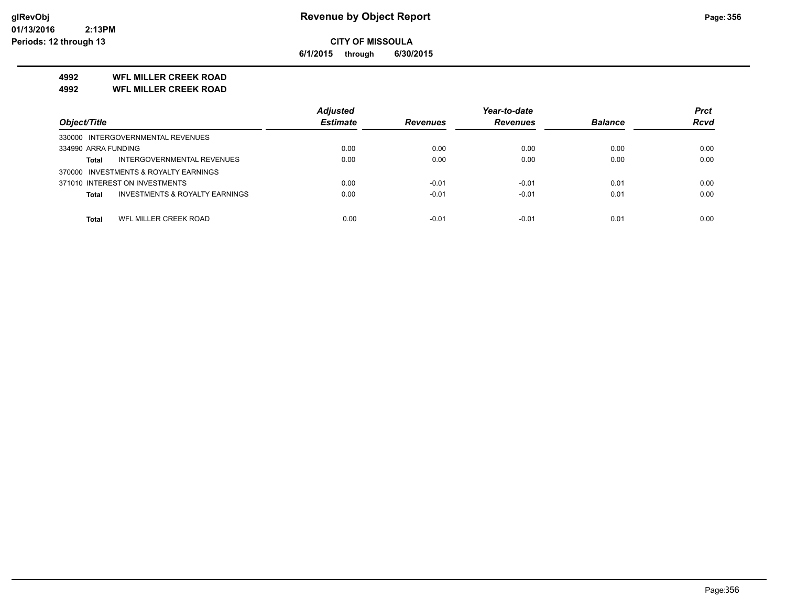**6/1/2015 through 6/30/2015**

# **4992 WFL MILLER CREEK ROAD**

**4992 WFL MILLER CREEK ROAD**

|                                                    | <b>Adiusted</b> |                 | Year-to-date    |                | <b>Prct</b> |
|----------------------------------------------------|-----------------|-----------------|-----------------|----------------|-------------|
| Object/Title                                       | <b>Estimate</b> | <b>Revenues</b> | <b>Revenues</b> | <b>Balance</b> | <b>Rcvd</b> |
| 330000 INTERGOVERNMENTAL REVENUES                  |                 |                 |                 |                |             |
| 334990 ARRA FUNDING                                | 0.00            | 0.00            | 0.00            | 0.00           | 0.00        |
| INTERGOVERNMENTAL REVENUES<br>Total                | 0.00            | 0.00            | 0.00            | 0.00           | 0.00        |
| 370000 INVESTMENTS & ROYALTY EARNINGS              |                 |                 |                 |                |             |
| 371010 INTEREST ON INVESTMENTS                     | 0.00            | $-0.01$         | $-0.01$         | 0.01           | 0.00        |
| <b>INVESTMENTS &amp; ROYALTY EARNINGS</b><br>Total | 0.00            | $-0.01$         | $-0.01$         | 0.01           | 0.00        |
|                                                    |                 |                 |                 |                |             |
| WFL MILLER CREEK ROAD<br>Total                     | 0.00            | $-0.01$         | $-0.01$         | 0.01           | 0.00        |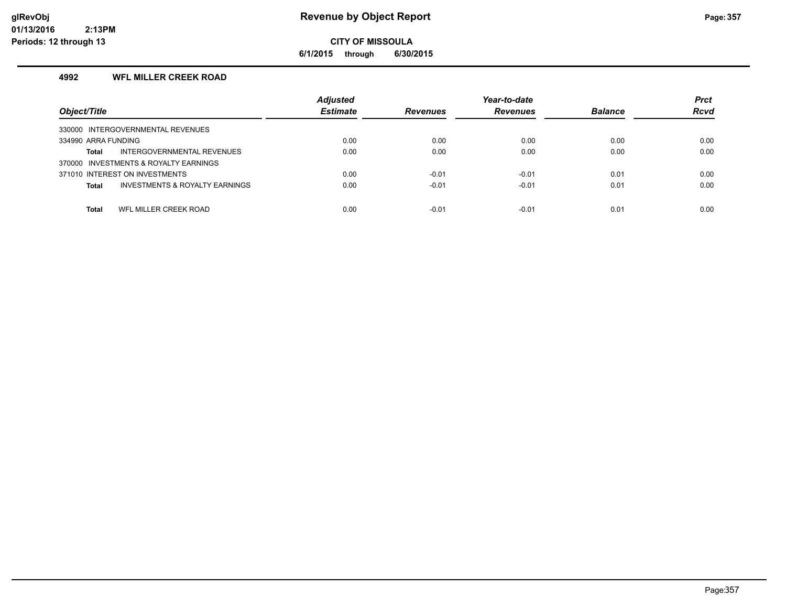**6/1/2015 through 6/30/2015**

# **4992 WFL MILLER CREEK ROAD**

| Object/Title                                              | <b>Adjusted</b><br><b>Estimate</b> | <b>Revenues</b> | Year-to-date<br><b>Revenues</b> | <b>Balance</b> | <b>Prct</b><br><b>Rcvd</b> |
|-----------------------------------------------------------|------------------------------------|-----------------|---------------------------------|----------------|----------------------------|
| 330000 INTERGOVERNMENTAL REVENUES                         |                                    |                 |                                 |                |                            |
| 334990 ARRA FUNDING                                       | 0.00                               | 0.00            | 0.00                            | 0.00           | 0.00                       |
| INTERGOVERNMENTAL REVENUES<br>Total                       | 0.00                               | 0.00            | 0.00                            | 0.00           | 0.00                       |
| 370000 INVESTMENTS & ROYALTY EARNINGS                     |                                    |                 |                                 |                |                            |
| 371010 INTEREST ON INVESTMENTS                            | 0.00                               | $-0.01$         | $-0.01$                         | 0.01           | 0.00                       |
| <b>INVESTMENTS &amp; ROYALTY EARNINGS</b><br><b>Total</b> | 0.00                               | $-0.01$         | $-0.01$                         | 0.01           | 0.00                       |
| WFL MILLER CREEK ROAD<br>Total                            | 0.00                               | $-0.01$         | $-0.01$                         | 0.01           | 0.00                       |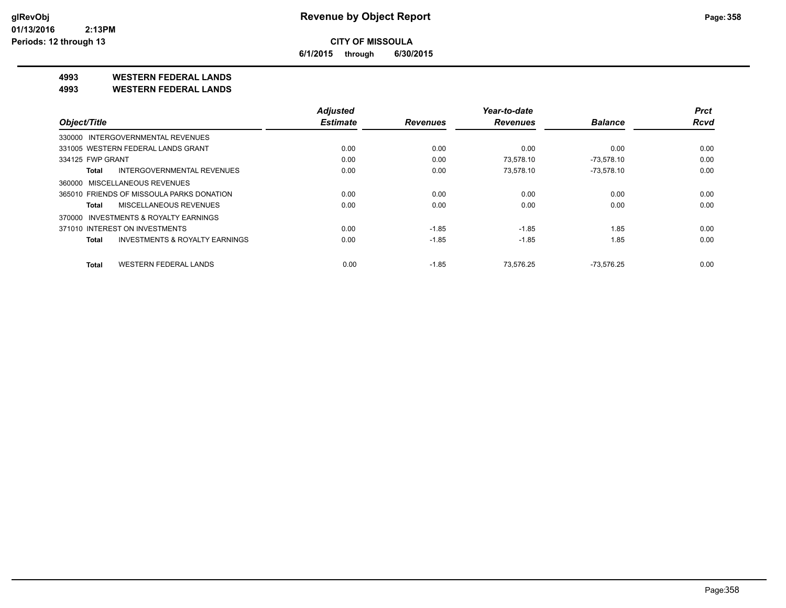**6/1/2015 through 6/30/2015**

**4993 WESTERN FEDERAL LANDS**

**4993 WESTERN FEDERAL LANDS**

|                                                | <b>Adjusted</b> |                 | Year-to-date    |                | <b>Prct</b> |
|------------------------------------------------|-----------------|-----------------|-----------------|----------------|-------------|
| Object/Title                                   | <b>Estimate</b> | <b>Revenues</b> | <b>Revenues</b> | <b>Balance</b> | <b>Rcvd</b> |
| 330000 INTERGOVERNMENTAL REVENUES              |                 |                 |                 |                |             |
| 331005 WESTERN FEDERAL LANDS GRANT             | 0.00            | 0.00            | 0.00            | 0.00           | 0.00        |
| 334125 FWP GRANT                               | 0.00            | 0.00            | 73.578.10       | $-73.578.10$   | 0.00        |
| <b>INTERGOVERNMENTAL REVENUES</b><br>Total     | 0.00            | 0.00            | 73,578.10       | $-73,578.10$   | 0.00        |
| 360000 MISCELLANEOUS REVENUES                  |                 |                 |                 |                |             |
| 365010 FRIENDS OF MISSOULA PARKS DONATION      | 0.00            | 0.00            | 0.00            | 0.00           | 0.00        |
| MISCELLANEOUS REVENUES<br>Total                | 0.00            | 0.00            | 0.00            | 0.00           | 0.00        |
| INVESTMENTS & ROYALTY EARNINGS<br>370000       |                 |                 |                 |                |             |
| 371010 INTEREST ON INVESTMENTS                 | 0.00            | $-1.85$         | $-1.85$         | 1.85           | 0.00        |
| INVESTMENTS & ROYALTY EARNINGS<br><b>Total</b> | 0.00            | $-1.85$         | $-1.85$         | 1.85           | 0.00        |
| <b>WESTERN FEDERAL LANDS</b><br><b>Total</b>   | 0.00            | $-1.85$         | 73.576.25       | $-73.576.25$   | 0.00        |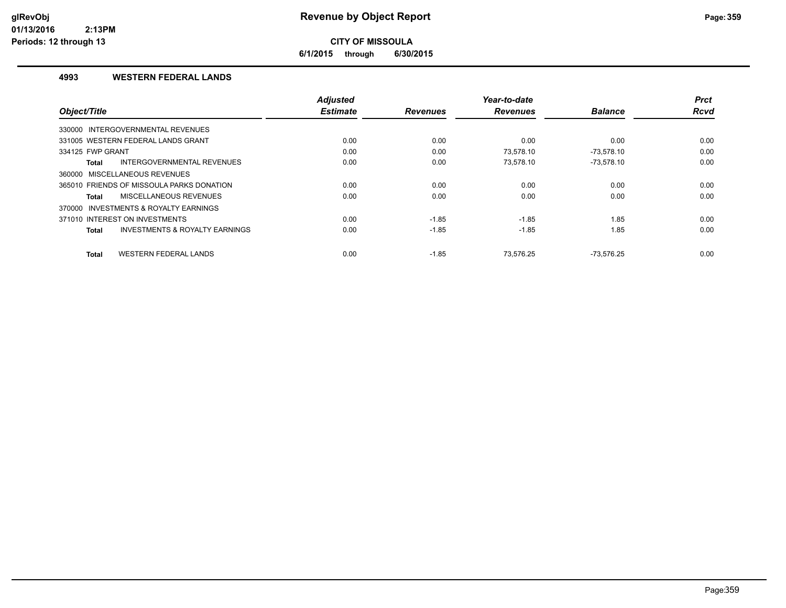**6/1/2015 through 6/30/2015**

# **4993 WESTERN FEDERAL LANDS**

|                                                           | <b>Adjusted</b> |                 | Year-to-date    |                | <b>Prct</b> |
|-----------------------------------------------------------|-----------------|-----------------|-----------------|----------------|-------------|
| Object/Title                                              | <b>Estimate</b> | <b>Revenues</b> | <b>Revenues</b> | <b>Balance</b> | <b>Rcvd</b> |
| 330000 INTERGOVERNMENTAL REVENUES                         |                 |                 |                 |                |             |
| 331005 WESTERN FEDERAL LANDS GRANT                        | 0.00            | 0.00            | 0.00            | 0.00           | 0.00        |
| 334125 FWP GRANT                                          | 0.00            | 0.00            | 73.578.10       | $-73.578.10$   | 0.00        |
| INTERGOVERNMENTAL REVENUES<br><b>Total</b>                | 0.00            | 0.00            | 73,578.10       | $-73,578.10$   | 0.00        |
| 360000 MISCELLANEOUS REVENUES                             |                 |                 |                 |                |             |
| 365010 FRIENDS OF MISSOULA PARKS DONATION                 | 0.00            | 0.00            | 0.00            | 0.00           | 0.00        |
| MISCELLANEOUS REVENUES<br>Total                           | 0.00            | 0.00            | 0.00            | 0.00           | 0.00        |
| 370000 INVESTMENTS & ROYALTY EARNINGS                     |                 |                 |                 |                |             |
| 371010 INTEREST ON INVESTMENTS                            | 0.00            | $-1.85$         | $-1.85$         | 1.85           | 0.00        |
| <b>INVESTMENTS &amp; ROYALTY EARNINGS</b><br><b>Total</b> | 0.00            | $-1.85$         | $-1.85$         | 1.85           | 0.00        |
|                                                           |                 |                 |                 |                |             |
| <b>WESTERN FEDERAL LANDS</b><br><b>Total</b>              | 0.00            | $-1.85$         | 73.576.25       | $-73.576.25$   | 0.00        |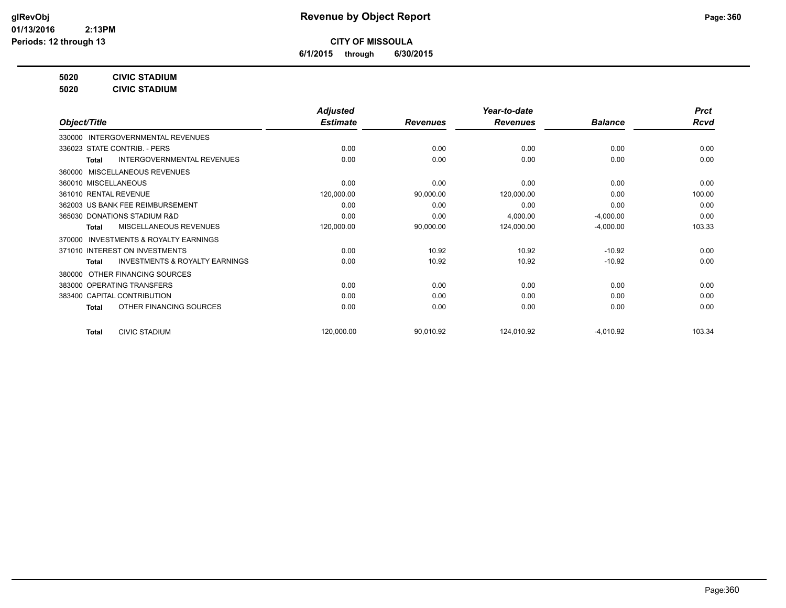**6/1/2015 through 6/30/2015**

**5020 CIVIC STADIUM**

**5020 CIVIC STADIUM**

|                                                           | <b>Adjusted</b> |                 | Year-to-date    |                | <b>Prct</b> |
|-----------------------------------------------------------|-----------------|-----------------|-----------------|----------------|-------------|
| Object/Title                                              | <b>Estimate</b> | <b>Revenues</b> | <b>Revenues</b> | <b>Balance</b> | <b>Rcvd</b> |
| INTERGOVERNMENTAL REVENUES<br>330000                      |                 |                 |                 |                |             |
| 336023 STATE CONTRIB. - PERS                              | 0.00            | 0.00            | 0.00            | 0.00           | 0.00        |
| <b>INTERGOVERNMENTAL REVENUES</b><br><b>Total</b>         | 0.00            | 0.00            | 0.00            | 0.00           | 0.00        |
| MISCELLANEOUS REVENUES<br>360000                          |                 |                 |                 |                |             |
| 360010 MISCELLANEOUS                                      | 0.00            | 0.00            | 0.00            | 0.00           | 0.00        |
| 361010 RENTAL REVENUE                                     | 120,000.00      | 90,000.00       | 120,000.00      | 0.00           | 100.00      |
| 362003 US BANK FEE REIMBURSEMENT                          | 0.00            | 0.00            | 0.00            | 0.00           | 0.00        |
| 365030 DONATIONS STADIUM R&D                              | 0.00            | 0.00            | 4,000.00        | $-4,000.00$    | 0.00        |
| MISCELLANEOUS REVENUES<br><b>Total</b>                    | 120,000.00      | 90,000.00       | 124,000.00      | $-4,000.00$    | 103.33      |
| 370000 INVESTMENTS & ROYALTY EARNINGS                     |                 |                 |                 |                |             |
| 371010 INTEREST ON INVESTMENTS                            | 0.00            | 10.92           | 10.92           | $-10.92$       | 0.00        |
| <b>INVESTMENTS &amp; ROYALTY EARNINGS</b><br><b>Total</b> | 0.00            | 10.92           | 10.92           | $-10.92$       | 0.00        |
| OTHER FINANCING SOURCES<br>380000                         |                 |                 |                 |                |             |
| 383000 OPERATING TRANSFERS                                | 0.00            | 0.00            | 0.00            | 0.00           | 0.00        |
| 383400 CAPITAL CONTRIBUTION                               | 0.00            | 0.00            | 0.00            | 0.00           | 0.00        |
| OTHER FINANCING SOURCES<br><b>Total</b>                   | 0.00            | 0.00            | 0.00            | 0.00           | 0.00        |
| <b>CIVIC STADIUM</b><br><b>Total</b>                      | 120,000.00      | 90,010.92       | 124,010.92      | $-4,010.92$    | 103.34      |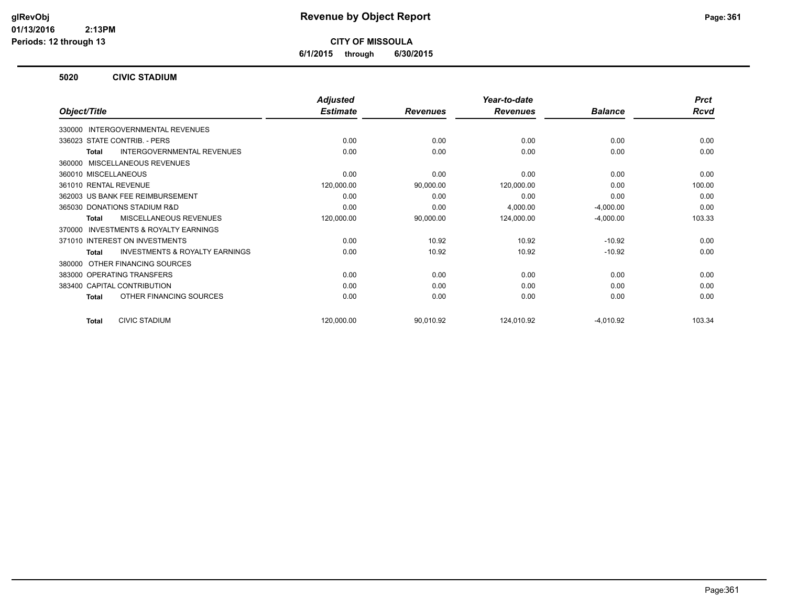**6/1/2015 through 6/30/2015**

### **5020 CIVIC STADIUM**

|                                                    | <b>Adjusted</b> |                 | Year-to-date    |                | <b>Prct</b> |
|----------------------------------------------------|-----------------|-----------------|-----------------|----------------|-------------|
| Object/Title                                       | <b>Estimate</b> | <b>Revenues</b> | <b>Revenues</b> | <b>Balance</b> | <b>Rcvd</b> |
| INTERGOVERNMENTAL REVENUES<br>330000               |                 |                 |                 |                |             |
| 336023 STATE CONTRIB. - PERS                       | 0.00            | 0.00            | 0.00            | 0.00           | 0.00        |
| <b>INTERGOVERNMENTAL REVENUES</b><br>Total         | 0.00            | 0.00            | 0.00            | 0.00           | 0.00        |
| MISCELLANEOUS REVENUES<br>360000                   |                 |                 |                 |                |             |
| 360010 MISCELLANEOUS                               | 0.00            | 0.00            | 0.00            | 0.00           | 0.00        |
| 361010 RENTAL REVENUE                              | 120,000.00      | 90,000.00       | 120,000.00      | 0.00           | 100.00      |
| 362003 US BANK FEE REIMBURSEMENT                   | 0.00            | 0.00            | 0.00            | 0.00           | 0.00        |
| 365030 DONATIONS STADIUM R&D                       | 0.00            | 0.00            | 4,000.00        | $-4,000.00$    | 0.00        |
| <b>MISCELLANEOUS REVENUES</b><br>Total             | 120,000.00      | 90,000.00       | 124,000.00      | $-4,000.00$    | 103.33      |
| INVESTMENTS & ROYALTY EARNINGS<br>370000           |                 |                 |                 |                |             |
| 371010 INTEREST ON INVESTMENTS                     | 0.00            | 10.92           | 10.92           | $-10.92$       | 0.00        |
| <b>INVESTMENTS &amp; ROYALTY EARNINGS</b><br>Total | 0.00            | 10.92           | 10.92           | $-10.92$       | 0.00        |
| OTHER FINANCING SOURCES<br>380000                  |                 |                 |                 |                |             |
| 383000 OPERATING TRANSFERS                         | 0.00            | 0.00            | 0.00            | 0.00           | 0.00        |
| 383400 CAPITAL CONTRIBUTION                        | 0.00            | 0.00            | 0.00            | 0.00           | 0.00        |
| OTHER FINANCING SOURCES<br><b>Total</b>            | 0.00            | 0.00            | 0.00            | 0.00           | 0.00        |
| <b>CIVIC STADIUM</b><br><b>Total</b>               | 120,000.00      | 90,010.92       | 124,010.92      | $-4,010.92$    | 103.34      |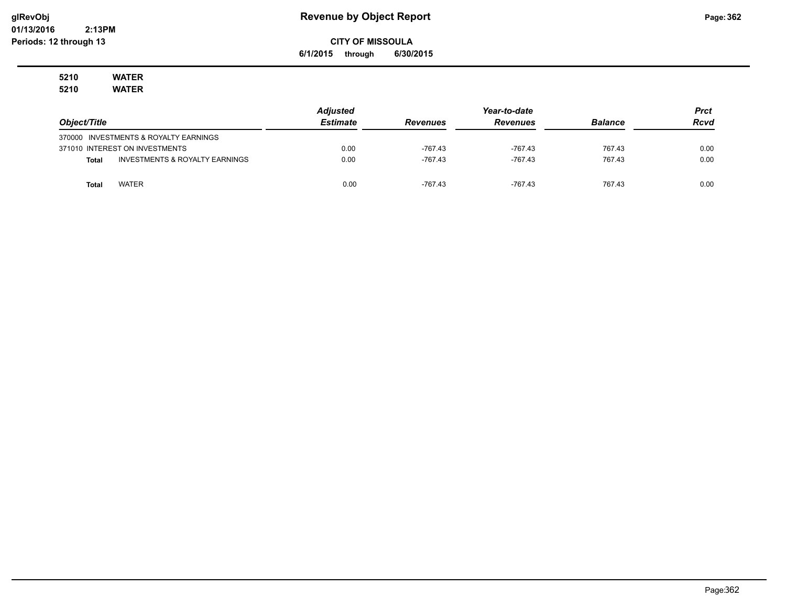**6/1/2015 through 6/30/2015**

### **5210 WATER 5210 WATER**

|                                         | <b>Adjusted</b> |                 | Year-to-date    |                | <b>Prct</b><br><b>Rcvd</b> |
|-----------------------------------------|-----------------|-----------------|-----------------|----------------|----------------------------|
| Object/Title                            | <b>Estimate</b> | <b>Revenues</b> | <b>Revenues</b> | <b>Balance</b> |                            |
| 370000 INVESTMENTS & ROYALTY EARNINGS   |                 |                 |                 |                |                            |
| 371010 INTEREST ON INVESTMENTS          | 0.00            | $-767.43$       | $-767.43$       | 767.43         | 0.00                       |
| INVESTMENTS & ROYALTY EARNINGS<br>Total | 0.00            | $-767.43$       | $-767.43$       | 767.43         | 0.00                       |
| <b>WATER</b><br>Total                   | 0.00            | $-767.43$       | -767.43         | 767.43         | 0.00                       |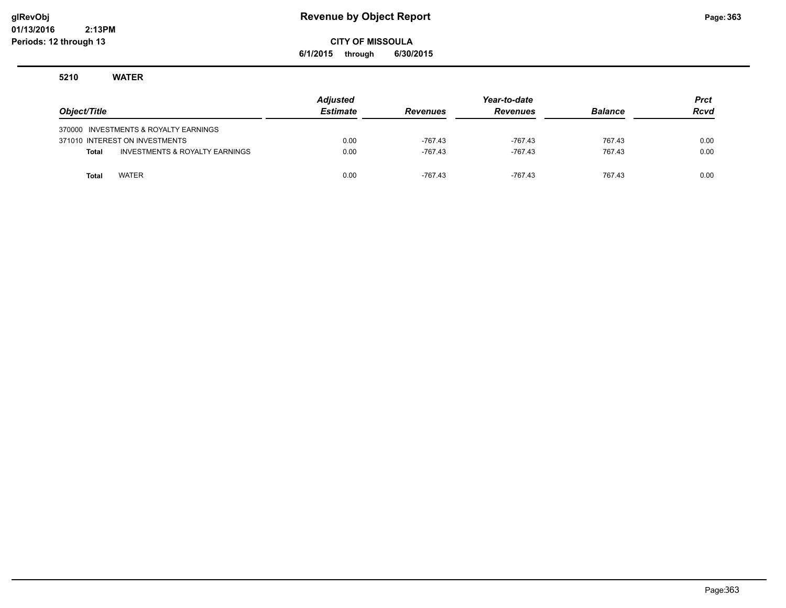# **glRevObj Revenue by Object Report Page:363**

**CITY OF MISSOULA**

**6/1/2015 through 6/30/2015**

### **5210 WATER**

| Object/Title |                                       | <b>Adjusted</b><br><b>Estimate</b> | <b>Revenues</b> | Year-to-date<br><b>Revenues</b> | <b>Balance</b> | <b>Prct</b><br><b>Rcvd</b> |
|--------------|---------------------------------------|------------------------------------|-----------------|---------------------------------|----------------|----------------------------|
|              |                                       |                                    |                 |                                 |                |                            |
|              | 370000 INVESTMENTS & ROYALTY EARNINGS |                                    |                 |                                 |                |                            |
|              | 371010 INTEREST ON INVESTMENTS        | 0.00                               | $-767.43$       | $-767.43$                       | 767.43         | 0.00                       |
| <b>Total</b> | INVESTMENTS & ROYALTY EARNINGS        | 0.00                               | $-767.43$       | $-767.43$                       | 767.43         | 0.00                       |
|              |                                       |                                    |                 |                                 |                |                            |
| <b>Total</b> | <b>WATER</b>                          | 0.00                               | $-767.43$       | $-767.43$                       | 767.43         | 0.00                       |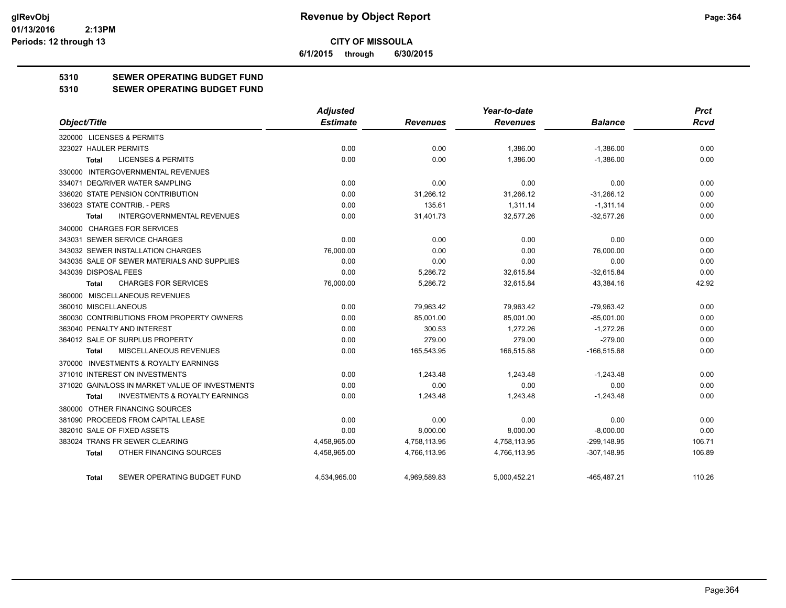**6/1/2015 through 6/30/2015**

# **5310 SEWER OPERATING BUDGET FUND**

#### **5310 SEWER OPERATING BUDGET FUND**

|                                                    | <b>Adjusted</b> |                 | Year-to-date    |                | <b>Prct</b> |
|----------------------------------------------------|-----------------|-----------------|-----------------|----------------|-------------|
| Object/Title                                       | <b>Estimate</b> | <b>Revenues</b> | <b>Revenues</b> | <b>Balance</b> | <b>Rcvd</b> |
| 320000 LICENSES & PERMITS                          |                 |                 |                 |                |             |
| 323027 HAULER PERMITS                              | 0.00            | 0.00            | 1,386.00        | $-1,386.00$    | 0.00        |
| <b>LICENSES &amp; PERMITS</b><br><b>Total</b>      | 0.00            | 0.00            | 1,386.00        | $-1,386.00$    | 0.00        |
| <b>INTERGOVERNMENTAL REVENUES</b><br>330000        |                 |                 |                 |                |             |
| 334071 DEQ/RIVER WATER SAMPLING                    | 0.00            | 0.00            | 0.00            | 0.00           | 0.00        |
| 336020 STATE PENSION CONTRIBUTION                  | 0.00            | 31,266.12       | 31,266.12       | $-31,266.12$   | 0.00        |
| 336023 STATE CONTRIB. - PERS                       | 0.00            | 135.61          | 1,311.14        | $-1,311.14$    | 0.00        |
| <b>INTERGOVERNMENTAL REVENUES</b><br>Total         | 0.00            | 31,401.73       | 32,577.26       | $-32,577.26$   | 0.00        |
| 340000 CHARGES FOR SERVICES                        |                 |                 |                 |                |             |
| 343031 SEWER SERVICE CHARGES                       | 0.00            | 0.00            | 0.00            | 0.00           | 0.00        |
| 343032 SEWER INSTALLATION CHARGES                  | 76,000.00       | 0.00            | 0.00            | 76,000.00      | 0.00        |
| 343035 SALE OF SEWER MATERIALS AND SUPPLIES        | 0.00            | 0.00            | 0.00            | 0.00           | 0.00        |
| 343039 DISPOSAL FEES                               | 0.00            | 5,286.72        | 32,615.84       | $-32,615.84$   | 0.00        |
| <b>CHARGES FOR SERVICES</b><br>Total               | 76,000.00       | 5,286.72        | 32,615.84       | 43,384.16      | 42.92       |
| 360000 MISCELLANEOUS REVENUES                      |                 |                 |                 |                |             |
| 360010 MISCELLANEOUS                               | 0.00            | 79,963.42       | 79,963.42       | $-79,963.42$   | 0.00        |
| 360030 CONTRIBUTIONS FROM PROPERTY OWNERS          | 0.00            | 85,001.00       | 85,001.00       | $-85,001.00$   | 0.00        |
| 363040 PENALTY AND INTEREST                        | 0.00            | 300.53          | 1,272.26        | $-1,272.26$    | 0.00        |
| 364012 SALE OF SURPLUS PROPERTY                    | 0.00            | 279.00          | 279.00          | $-279.00$      | 0.00        |
| MISCELLANEOUS REVENUES<br>Total                    | 0.00            | 165,543.95      | 166,515.68      | $-166,515.68$  | 0.00        |
| 370000 INVESTMENTS & ROYALTY EARNINGS              |                 |                 |                 |                |             |
| 371010 INTEREST ON INVESTMENTS                     | 0.00            | 1.243.48        | 1,243.48        | $-1,243.48$    | 0.00        |
| 371020 GAIN/LOSS IN MARKET VALUE OF INVESTMENTS    | 0.00            | 0.00            | 0.00            | 0.00           | 0.00        |
| <b>INVESTMENTS &amp; ROYALTY EARNINGS</b><br>Total | 0.00            | 1,243.48        | 1,243.48        | $-1,243.48$    | 0.00        |
| 380000 OTHER FINANCING SOURCES                     |                 |                 |                 |                |             |
| 381090 PROCEEDS FROM CAPITAL LEASE                 | 0.00            | 0.00            | 0.00            | 0.00           | 0.00        |
| 382010 SALE OF FIXED ASSETS                        | 0.00            | 8,000.00        | 8,000.00        | $-8,000.00$    | 0.00        |
| 383024 TRANS FR SEWER CLEARING                     | 4,458,965.00    | 4,758,113.95    | 4,758,113.95    | $-299, 148.95$ | 106.71      |
| OTHER FINANCING SOURCES<br><b>Total</b>            | 4,458,965.00    | 4,766,113.95    | 4,766,113.95    | $-307,148.95$  | 106.89      |
| SEWER OPERATING BUDGET FUND<br>Total               | 4.534.965.00    | 4.969.589.83    | 5.000.452.21    | -465.487.21    | 110.26      |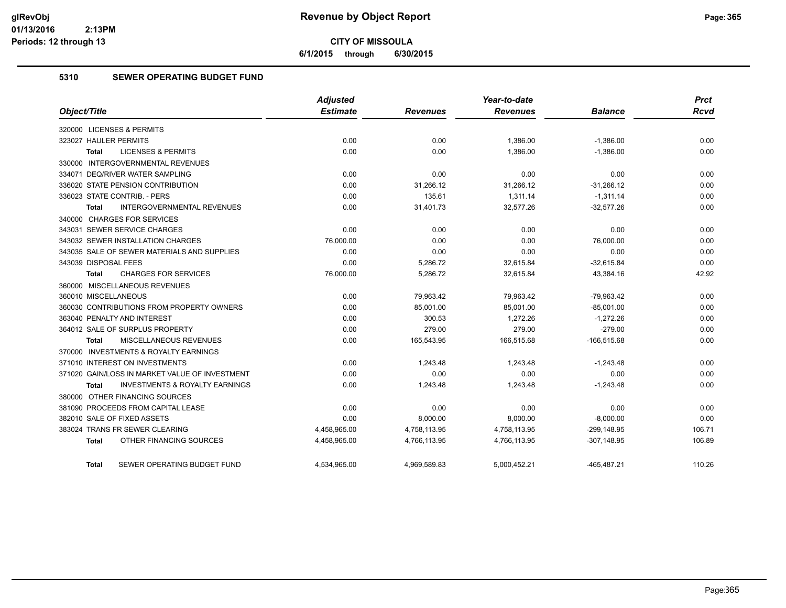**6/1/2015 through 6/30/2015**

# **5310 SEWER OPERATING BUDGET FUND**

|                                                    | <b>Adjusted</b> |                 | Year-to-date    |                | <b>Prct</b> |
|----------------------------------------------------|-----------------|-----------------|-----------------|----------------|-------------|
| Object/Title                                       | <b>Estimate</b> | <b>Revenues</b> | <b>Revenues</b> | <b>Balance</b> | <b>Rcvd</b> |
| 320000 LICENSES & PERMITS                          |                 |                 |                 |                |             |
| 323027 HAULER PERMITS                              | 0.00            | 0.00            | 1,386.00        | $-1,386.00$    | 0.00        |
| <b>LICENSES &amp; PERMITS</b><br>Total             | 0.00            | 0.00            | 1,386.00        | $-1,386.00$    | 0.00        |
| 330000 INTERGOVERNMENTAL REVENUES                  |                 |                 |                 |                |             |
| 334071 DEQ/RIVER WATER SAMPLING                    | 0.00            | 0.00            | 0.00            | 0.00           | 0.00        |
| 336020 STATE PENSION CONTRIBUTION                  | 0.00            | 31,266.12       | 31,266.12       | $-31,266.12$   | 0.00        |
| 336023 STATE CONTRIB. - PERS                       | 0.00            | 135.61          | 1.311.14        | $-1.311.14$    | 0.00        |
| <b>INTERGOVERNMENTAL REVENUES</b><br>Total         | 0.00            | 31,401.73       | 32,577.26       | $-32,577.26$   | 0.00        |
| 340000 CHARGES FOR SERVICES                        |                 |                 |                 |                |             |
| 343031 SEWER SERVICE CHARGES                       | 0.00            | 0.00            | 0.00            | 0.00           | 0.00        |
| 343032 SEWER INSTALLATION CHARGES                  | 76,000.00       | 0.00            | 0.00            | 76,000.00      | 0.00        |
| 343035 SALE OF SEWER MATERIALS AND SUPPLIES        | 0.00            | 0.00            | 0.00            | 0.00           | 0.00        |
| 343039 DISPOSAL FEES                               | 0.00            | 5,286.72        | 32,615.84       | $-32,615.84$   | 0.00        |
| <b>CHARGES FOR SERVICES</b><br><b>Total</b>        | 76,000.00       | 5,286.72        | 32,615.84       | 43,384.16      | 42.92       |
| 360000 MISCELLANEOUS REVENUES                      |                 |                 |                 |                |             |
| 360010 MISCELLANEOUS                               | 0.00            | 79,963.42       | 79,963.42       | $-79,963.42$   | 0.00        |
| 360030 CONTRIBUTIONS FROM PROPERTY OWNERS          | 0.00            | 85,001.00       | 85.001.00       | $-85.001.00$   | 0.00        |
| 363040 PENALTY AND INTEREST                        | 0.00            | 300.53          | 1,272.26        | $-1,272.26$    | 0.00        |
| 364012 SALE OF SURPLUS PROPERTY                    | 0.00            | 279.00          | 279.00          | $-279.00$      | 0.00        |
| MISCELLANEOUS REVENUES<br>Total                    | 0.00            | 165,543.95      | 166,515.68      | $-166,515.68$  | 0.00        |
| 370000 INVESTMENTS & ROYALTY EARNINGS              |                 |                 |                 |                |             |
| 371010 INTEREST ON INVESTMENTS                     | 0.00            | 1,243.48        | 1,243.48        | $-1,243.48$    | 0.00        |
| 371020 GAIN/LOSS IN MARKET VALUE OF INVESTMENT     | 0.00            | 0.00            | 0.00            | 0.00           | 0.00        |
| <b>INVESTMENTS &amp; ROYALTY EARNINGS</b><br>Total | 0.00            | 1,243.48        | 1,243.48        | $-1,243.48$    | 0.00        |
| 380000 OTHER FINANCING SOURCES                     |                 |                 |                 |                |             |
| 381090 PROCEEDS FROM CAPITAL LEASE                 | 0.00            | 0.00            | 0.00            | 0.00           | 0.00        |
| 382010 SALE OF FIXED ASSETS                        | 0.00            | 8,000.00        | 8,000.00        | $-8,000.00$    | 0.00        |
| 383024 TRANS FR SEWER CLEARING                     | 4,458,965.00    | 4,758,113.95    | 4,758,113.95    | $-299,148.95$  | 106.71      |
| OTHER FINANCING SOURCES<br>Total                   | 4,458,965.00    | 4,766,113.95    | 4,766,113.95    | $-307,148.95$  | 106.89      |
| SEWER OPERATING BUDGET FUND<br>Total               | 4,534,965.00    | 4,969,589.83    | 5,000,452.21    | -465,487.21    | 110.26      |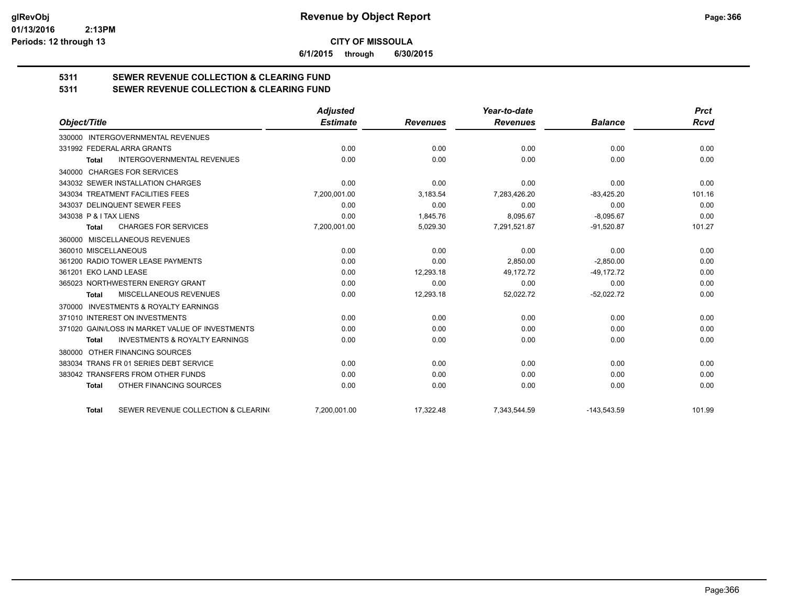**6/1/2015 through 6/30/2015**

# **5311 SEWER REVENUE COLLECTION & CLEARING FUND**

**5311 SEWER REVENUE COLLECTION & CLEARING FUND**

|                                                     | <b>Adjusted</b> |                 | Year-to-date    |                | <b>Prct</b> |
|-----------------------------------------------------|-----------------|-----------------|-----------------|----------------|-------------|
| Object/Title                                        | <b>Estimate</b> | <b>Revenues</b> | <b>Revenues</b> | <b>Balance</b> | <b>Rcvd</b> |
| 330000 INTERGOVERNMENTAL REVENUES                   |                 |                 |                 |                |             |
| 331992 FEDERAL ARRA GRANTS                          | 0.00            | 0.00            | 0.00            | 0.00           | 0.00        |
| <b>INTERGOVERNMENTAL REVENUES</b><br><b>Total</b>   | 0.00            | 0.00            | 0.00            | 0.00           | 0.00        |
| 340000 CHARGES FOR SERVICES                         |                 |                 |                 |                |             |
| 343032 SEWER INSTALLATION CHARGES                   | 0.00            | 0.00            | 0.00            | 0.00           | 0.00        |
| 343034 TREATMENT FACILITIES FEES                    | 7,200,001.00    | 3,183.54        | 7,283,426.20    | $-83,425.20$   | 101.16      |
| 343037 DELINQUENT SEWER FEES                        | 0.00            | 0.00            | 0.00            | 0.00           | 0.00        |
| 343038 P & I TAX LIENS                              | 0.00            | 1,845.76        | 8,095.67        | $-8,095.67$    | 0.00        |
| <b>CHARGES FOR SERVICES</b><br><b>Total</b>         | 7,200,001.00    | 5,029.30        | 7,291,521.87    | $-91,520.87$   | 101.27      |
| 360000 MISCELLANEOUS REVENUES                       |                 |                 |                 |                |             |
| 360010 MISCELLANEOUS                                | 0.00            | 0.00            | 0.00            | 0.00           | 0.00        |
| 361200 RADIO TOWER LEASE PAYMENTS                   | 0.00            | 0.00            | 2,850.00        | $-2,850.00$    | 0.00        |
| 361201 EKO LAND LEASE                               | 0.00            | 12,293.18       | 49,172.72       | $-49,172.72$   | 0.00        |
| 365023 NORTHWESTERN ENERGY GRANT                    | 0.00            | 0.00            | 0.00            | 0.00           | 0.00        |
| MISCELLANEOUS REVENUES<br>Total                     | 0.00            | 12,293.18       | 52,022.72       | $-52,022.72$   | 0.00        |
| <b>INVESTMENTS &amp; ROYALTY EARNINGS</b><br>370000 |                 |                 |                 |                |             |
| 371010 INTEREST ON INVESTMENTS                      | 0.00            | 0.00            | 0.00            | 0.00           | 0.00        |
| 371020 GAIN/LOSS IN MARKET VALUE OF INVESTMENTS     | 0.00            | 0.00            | 0.00            | 0.00           | 0.00        |
| <b>INVESTMENTS &amp; ROYALTY EARNINGS</b><br>Total  | 0.00            | 0.00            | 0.00            | 0.00           | 0.00        |
| OTHER FINANCING SOURCES<br>380000                   |                 |                 |                 |                |             |
| 383034 TRANS FR 01 SERIES DEBT SERVICE              | 0.00            | 0.00            | 0.00            | 0.00           | 0.00        |
| 383042 TRANSFERS FROM OTHER FUNDS                   | 0.00            | 0.00            | 0.00            | 0.00           | 0.00        |
| OTHER FINANCING SOURCES<br><b>Total</b>             | 0.00            | 0.00            | 0.00            | 0.00           | 0.00        |
| SEWER REVENUE COLLECTION & CLEARING<br><b>Total</b> | 7,200,001.00    | 17,322.48       | 7,343,544.59    | $-143,543.59$  | 101.99      |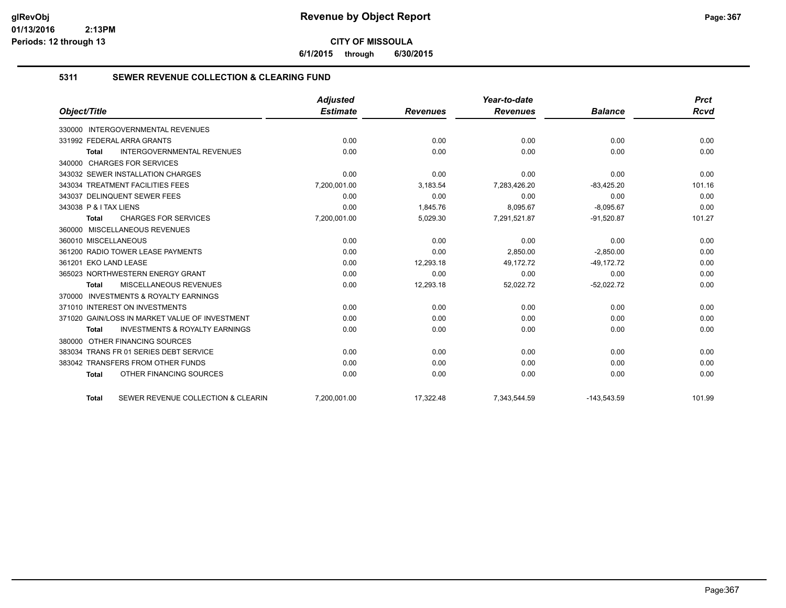**6/1/2015 through 6/30/2015**

# **5311 SEWER REVENUE COLLECTION & CLEARING FUND**

|                                                           | <b>Adjusted</b> |                 | Year-to-date    |                | <b>Prct</b> |
|-----------------------------------------------------------|-----------------|-----------------|-----------------|----------------|-------------|
| Object/Title                                              | <b>Estimate</b> | <b>Revenues</b> | <b>Revenues</b> | <b>Balance</b> | <b>Rcvd</b> |
| INTERGOVERNMENTAL REVENUES<br>330000                      |                 |                 |                 |                |             |
| 331992 FEDERAL ARRA GRANTS                                | 0.00            | 0.00            | 0.00            | 0.00           | 0.00        |
| <b>INTERGOVERNMENTAL REVENUES</b><br>Total                | 0.00            | 0.00            | 0.00            | 0.00           | 0.00        |
| 340000 CHARGES FOR SERVICES                               |                 |                 |                 |                |             |
| 343032 SEWER INSTALLATION CHARGES                         | 0.00            | 0.00            | 0.00            | 0.00           | 0.00        |
| 343034 TREATMENT FACILITIES FEES                          | 7,200,001.00    | 3,183.54        | 7,283,426.20    | $-83,425.20$   | 101.16      |
| 343037 DELINQUENT SEWER FEES                              | 0.00            | 0.00            | 0.00            | 0.00           | 0.00        |
| 343038 P & I TAX LIENS                                    | 0.00            | 1.845.76        | 8.095.67        | $-8.095.67$    | 0.00        |
| <b>CHARGES FOR SERVICES</b><br>Total                      | 7,200,001.00    | 5,029.30        | 7,291,521.87    | $-91,520.87$   | 101.27      |
| 360000 MISCELLANEOUS REVENUES                             |                 |                 |                 |                |             |
| 360010 MISCELLANEOUS                                      | 0.00            | 0.00            | 0.00            | 0.00           | 0.00        |
| 361200 RADIO TOWER LEASE PAYMENTS                         | 0.00            | 0.00            | 2,850.00        | $-2,850.00$    | 0.00        |
| 361201 EKO LAND LEASE                                     | 0.00            | 12.293.18       | 49.172.72       | $-49,172.72$   | 0.00        |
| 365023 NORTHWESTERN ENERGY GRANT                          | 0.00            | 0.00            | 0.00            | 0.00           | 0.00        |
| MISCELLANEOUS REVENUES<br><b>Total</b>                    | 0.00            | 12,293.18       | 52,022.72       | $-52,022.72$   | 0.00        |
| 370000 INVESTMENTS & ROYALTY EARNINGS                     |                 |                 |                 |                |             |
| 371010 INTEREST ON INVESTMENTS                            | 0.00            | 0.00            | 0.00            | 0.00           | 0.00        |
| 371020 GAIN/LOSS IN MARKET VALUE OF INVESTMENT            | 0.00            | 0.00            | 0.00            | 0.00           | 0.00        |
| <b>INVESTMENTS &amp; ROYALTY EARNINGS</b><br><b>Total</b> | 0.00            | 0.00            | 0.00            | 0.00           | 0.00        |
| OTHER FINANCING SOURCES<br>380000                         |                 |                 |                 |                |             |
| 383034 TRANS FR 01 SERIES DEBT SERVICE                    | 0.00            | 0.00            | 0.00            | 0.00           | 0.00        |
| 383042 TRANSFERS FROM OTHER FUNDS                         | 0.00            | 0.00            | 0.00            | 0.00           | 0.00        |
| OTHER FINANCING SOURCES<br><b>Total</b>                   | 0.00            | 0.00            | 0.00            | 0.00           | 0.00        |
| SEWER REVENUE COLLECTION & CLEARIN<br><b>Total</b>        | 7,200,001.00    | 17,322.48       | 7,343,544.59    | $-143,543.59$  | 101.99      |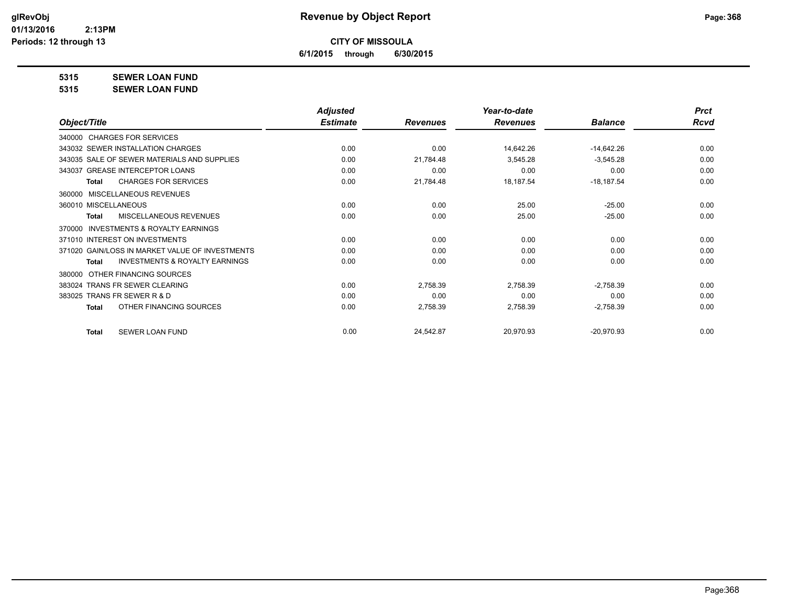**6/1/2015 through 6/30/2015**

**5315 SEWER LOAN FUND**

**5315 SEWER LOAN FUND**

|                                                           | <b>Adjusted</b> |                 | Year-to-date    |                | <b>Prct</b> |
|-----------------------------------------------------------|-----------------|-----------------|-----------------|----------------|-------------|
| Object/Title                                              | <b>Estimate</b> | <b>Revenues</b> | <b>Revenues</b> | <b>Balance</b> | <b>Rcvd</b> |
| <b>CHARGES FOR SERVICES</b><br>340000                     |                 |                 |                 |                |             |
| 343032 SEWER INSTALLATION CHARGES                         | 0.00            | 0.00            | 14,642.26       | $-14,642.26$   | 0.00        |
| 343035 SALE OF SEWER MATERIALS AND SUPPLIES               | 0.00            | 21,784.48       | 3,545.28        | $-3,545.28$    | 0.00        |
| 343037 GREASE INTERCEPTOR LOANS                           | 0.00            | 0.00            | 0.00            | 0.00           | 0.00        |
| <b>CHARGES FOR SERVICES</b><br><b>Total</b>               | 0.00            | 21,784.48       | 18,187.54       | $-18,187.54$   | 0.00        |
| MISCELLANEOUS REVENUES<br>360000                          |                 |                 |                 |                |             |
| 360010 MISCELLANEOUS                                      | 0.00            | 0.00            | 25.00           | $-25.00$       | 0.00        |
| MISCELLANEOUS REVENUES<br><b>Total</b>                    | 0.00            | 0.00            | 25.00           | $-25.00$       | 0.00        |
| INVESTMENTS & ROYALTY EARNINGS<br>370000                  |                 |                 |                 |                |             |
| 371010 INTEREST ON INVESTMENTS                            | 0.00            | 0.00            | 0.00            | 0.00           | 0.00        |
| 371020 GAIN/LOSS IN MARKET VALUE OF INVESTMENTS           | 0.00            | 0.00            | 0.00            | 0.00           | 0.00        |
| <b>INVESTMENTS &amp; ROYALTY EARNINGS</b><br><b>Total</b> | 0.00            | 0.00            | 0.00            | 0.00           | 0.00        |
| OTHER FINANCING SOURCES<br>380000                         |                 |                 |                 |                |             |
| 383024 TRANS FR SEWER CLEARING                            | 0.00            | 2,758.39        | 2,758.39        | $-2,758.39$    | 0.00        |
| 383025 TRANS FR SEWER R & D                               | 0.00            | 0.00            | 0.00            | 0.00           | 0.00        |
| OTHER FINANCING SOURCES<br><b>Total</b>                   | 0.00            | 2,758.39        | 2,758.39        | $-2,758.39$    | 0.00        |
| <b>SEWER LOAN FUND</b><br><b>Total</b>                    | 0.00            | 24,542.87       | 20,970.93       | $-20,970.93$   | 0.00        |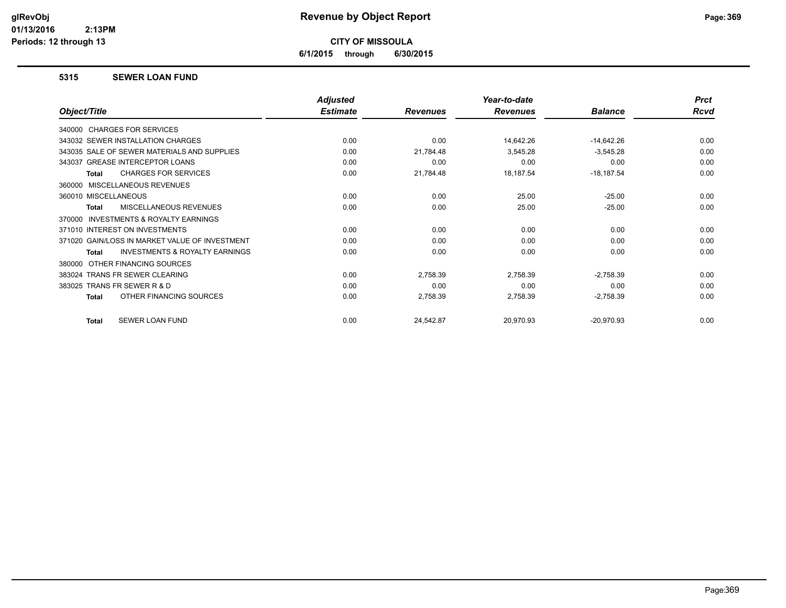**6/1/2015 through 6/30/2015**

### **5315 SEWER LOAN FUND**

|                                                     | <b>Adjusted</b> |                 | Year-to-date    |                | <b>Prct</b> |
|-----------------------------------------------------|-----------------|-----------------|-----------------|----------------|-------------|
| Object/Title                                        | <b>Estimate</b> | <b>Revenues</b> | <b>Revenues</b> | <b>Balance</b> | <b>Rcvd</b> |
| 340000 CHARGES FOR SERVICES                         |                 |                 |                 |                |             |
| 343032 SEWER INSTALLATION CHARGES                   | 0.00            | 0.00            | 14,642.26       | $-14,642.26$   | 0.00        |
| 343035 SALE OF SEWER MATERIALS AND SUPPLIES         | 0.00            | 21,784.48       | 3,545.28        | $-3,545.28$    | 0.00        |
| 343037 GREASE INTERCEPTOR LOANS                     | 0.00            | 0.00            | 0.00            | 0.00           | 0.00        |
| <b>CHARGES FOR SERVICES</b><br>Total                | 0.00            | 21,784.48       | 18,187.54       | $-18,187.54$   | 0.00        |
| 360000 MISCELLANEOUS REVENUES                       |                 |                 |                 |                |             |
| 360010 MISCELLANEOUS                                | 0.00            | 0.00            | 25.00           | $-25.00$       | 0.00        |
| MISCELLANEOUS REVENUES<br><b>Total</b>              | 0.00            | 0.00            | 25.00           | $-25.00$       | 0.00        |
| <b>INVESTMENTS &amp; ROYALTY EARNINGS</b><br>370000 |                 |                 |                 |                |             |
| 371010 INTEREST ON INVESTMENTS                      | 0.00            | 0.00            | 0.00            | 0.00           | 0.00        |
| 371020 GAIN/LOSS IN MARKET VALUE OF INVESTMENT      | 0.00            | 0.00            | 0.00            | 0.00           | 0.00        |
| <b>INVESTMENTS &amp; ROYALTY EARNINGS</b><br>Total  | 0.00            | 0.00            | 0.00            | 0.00           | 0.00        |
| 380000 OTHER FINANCING SOURCES                      |                 |                 |                 |                |             |
| 383024 TRANS FR SEWER CLEARING                      | 0.00            | 2,758.39        | 2,758.39        | $-2,758.39$    | 0.00        |
| 383025 TRANS FR SEWER R & D                         | 0.00            | 0.00            | 0.00            | 0.00           | 0.00        |
| OTHER FINANCING SOURCES<br><b>Total</b>             | 0.00            | 2,758.39        | 2,758.39        | $-2,758.39$    | 0.00        |
|                                                     |                 |                 |                 |                |             |
| SEWER LOAN FUND<br>Total                            | 0.00            | 24,542.87       | 20,970.93       | $-20,970.93$   | 0.00        |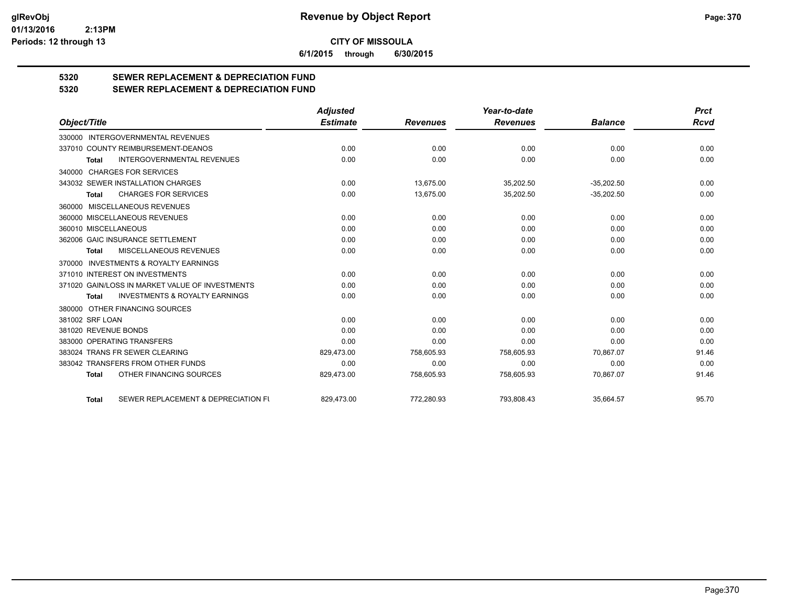**6/1/2015 through 6/30/2015**

# **5320 SEWER REPLACEMENT & DEPRECIATION FUND**

**5320 SEWER REPLACEMENT & DEPRECIATION FUND**

|                                                           | <b>Adjusted</b> |                 | Year-to-date    |                | <b>Prct</b> |
|-----------------------------------------------------------|-----------------|-----------------|-----------------|----------------|-------------|
| Object/Title                                              | <b>Estimate</b> | <b>Revenues</b> | <b>Revenues</b> | <b>Balance</b> | Rcvd        |
| 330000 INTERGOVERNMENTAL REVENUES                         |                 |                 |                 |                |             |
| 337010 COUNTY REIMBURSEMENT-DEANOS                        | 0.00            | 0.00            | 0.00            | 0.00           | 0.00        |
| <b>INTERGOVERNMENTAL REVENUES</b><br><b>Total</b>         | 0.00            | 0.00            | 0.00            | 0.00           | 0.00        |
| 340000 CHARGES FOR SERVICES                               |                 |                 |                 |                |             |
| 343032 SEWER INSTALLATION CHARGES                         | 0.00            | 13,675.00       | 35,202.50       | $-35,202.50$   | 0.00        |
| <b>CHARGES FOR SERVICES</b><br><b>Total</b>               | 0.00            | 13,675.00       | 35,202.50       | $-35,202.50$   | 0.00        |
| 360000 MISCELLANEOUS REVENUES                             |                 |                 |                 |                |             |
| 360000 MISCELLANEOUS REVENUES                             | 0.00            | 0.00            | 0.00            | 0.00           | 0.00        |
| 360010 MISCELLANEOUS                                      | 0.00            | 0.00            | 0.00            | 0.00           | 0.00        |
| 362006 GAIC INSURANCE SETTLEMENT                          | 0.00            | 0.00            | 0.00            | 0.00           | 0.00        |
| MISCELLANEOUS REVENUES<br><b>Total</b>                    | 0.00            | 0.00            | 0.00            | 0.00           | 0.00        |
| 370000 INVESTMENTS & ROYALTY EARNINGS                     |                 |                 |                 |                |             |
| 371010 INTEREST ON INVESTMENTS                            | 0.00            | 0.00            | 0.00            | 0.00           | 0.00        |
| 371020 GAIN/LOSS IN MARKET VALUE OF INVESTMENTS           | 0.00            | 0.00            | 0.00            | 0.00           | 0.00        |
| <b>INVESTMENTS &amp; ROYALTY EARNINGS</b><br><b>Total</b> | 0.00            | 0.00            | 0.00            | 0.00           | 0.00        |
| 380000 OTHER FINANCING SOURCES                            |                 |                 |                 |                |             |
| 381002 SRF LOAN                                           | 0.00            | 0.00            | 0.00            | 0.00           | 0.00        |
| 381020 REVENUE BONDS                                      | 0.00            | 0.00            | 0.00            | 0.00           | 0.00        |
| 383000 OPERATING TRANSFERS                                | 0.00            | 0.00            | 0.00            | 0.00           | 0.00        |
| 383024 TRANS FR SEWER CLEARING                            | 829,473.00      | 758,605.93      | 758,605.93      | 70,867.07      | 91.46       |
| 383042 TRANSFERS FROM OTHER FUNDS                         | 0.00            | 0.00            | 0.00            | 0.00           | 0.00        |
| OTHER FINANCING SOURCES<br><b>Total</b>                   | 829,473.00      | 758,605.93      | 758,605.93      | 70,867.07      | 91.46       |
| SEWER REPLACEMENT & DEPRECIATION FU<br><b>Total</b>       | 829,473.00      | 772,280.93      | 793,808.43      | 35,664.57      | 95.70       |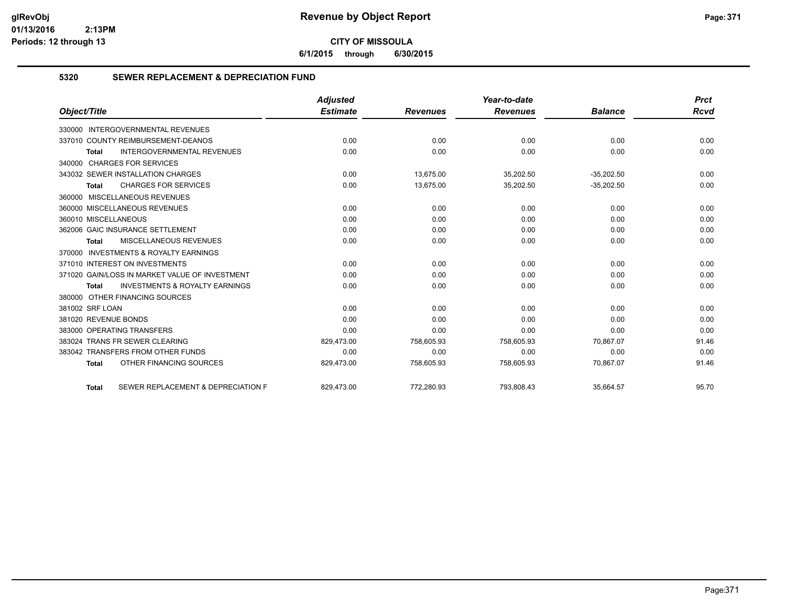**6/1/2015 through 6/30/2015**

# **5320 SEWER REPLACEMENT & DEPRECIATION FUND**

|                                                           | <b>Adjusted</b> |                 | Year-to-date    |                | <b>Prct</b> |
|-----------------------------------------------------------|-----------------|-----------------|-----------------|----------------|-------------|
| Object/Title                                              | <b>Estimate</b> | <b>Revenues</b> | <b>Revenues</b> | <b>Balance</b> | Rcvd        |
| 330000 INTERGOVERNMENTAL REVENUES                         |                 |                 |                 |                |             |
| 337010 COUNTY REIMBURSEMENT-DEANOS                        | 0.00            | 0.00            | 0.00            | 0.00           | 0.00        |
| INTERGOVERNMENTAL REVENUES<br><b>Total</b>                | 0.00            | 0.00            | 0.00            | 0.00           | 0.00        |
| 340000 CHARGES FOR SERVICES                               |                 |                 |                 |                |             |
| 343032 SEWER INSTALLATION CHARGES                         | 0.00            | 13,675.00       | 35,202.50       | $-35,202.50$   | 0.00        |
| <b>CHARGES FOR SERVICES</b><br><b>Total</b>               | 0.00            | 13,675.00       | 35,202.50       | $-35,202.50$   | 0.00        |
| 360000 MISCELLANEOUS REVENUES                             |                 |                 |                 |                |             |
| 360000 MISCELLANEOUS REVENUES                             | 0.00            | 0.00            | 0.00            | 0.00           | 0.00        |
| 360010 MISCELLANEOUS                                      | 0.00            | 0.00            | 0.00            | 0.00           | 0.00        |
| 362006 GAIC INSURANCE SETTLEMENT                          | 0.00            | 0.00            | 0.00            | 0.00           | 0.00        |
| <b>MISCELLANEOUS REVENUES</b><br><b>Total</b>             | 0.00            | 0.00            | 0.00            | 0.00           | 0.00        |
| 370000 INVESTMENTS & ROYALTY EARNINGS                     |                 |                 |                 |                |             |
| 371010 INTEREST ON INVESTMENTS                            | 0.00            | 0.00            | 0.00            | 0.00           | 0.00        |
| 371020 GAIN/LOSS IN MARKET VALUE OF INVESTMENT            | 0.00            | 0.00            | 0.00            | 0.00           | 0.00        |
| <b>INVESTMENTS &amp; ROYALTY EARNINGS</b><br><b>Total</b> | 0.00            | 0.00            | 0.00            | 0.00           | 0.00        |
| 380000 OTHER FINANCING SOURCES                            |                 |                 |                 |                |             |
| 381002 SRF LOAN                                           | 0.00            | 0.00            | 0.00            | 0.00           | 0.00        |
| 381020 REVENUE BONDS                                      | 0.00            | 0.00            | 0.00            | 0.00           | 0.00        |
| 383000 OPERATING TRANSFERS                                | 0.00            | 0.00            | 0.00            | 0.00           | 0.00        |
| 383024 TRANS FR SEWER CLEARING                            | 829,473.00      | 758,605.93      | 758,605.93      | 70,867.07      | 91.46       |
| 383042 TRANSFERS FROM OTHER FUNDS                         | 0.00            | 0.00            | 0.00            | 0.00           | 0.00        |
| OTHER FINANCING SOURCES<br><b>Total</b>                   | 829,473.00      | 758,605.93      | 758,605.93      | 70,867.07      | 91.46       |
| SEWER REPLACEMENT & DEPRECIATION F<br><b>Total</b>        | 829.473.00      | 772.280.93      | 793.808.43      | 35.664.57      | 95.70       |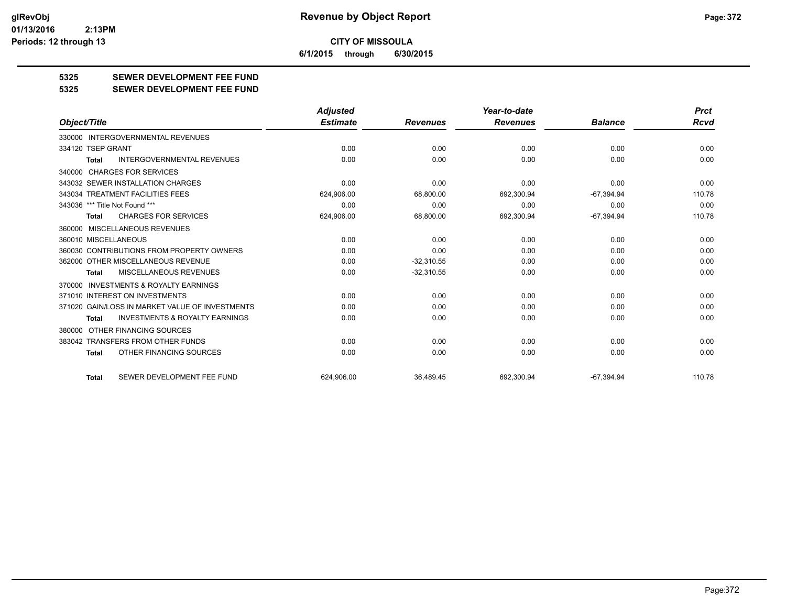**6/1/2015 through 6/30/2015**

# **5325 SEWER DEVELOPMENT FEE FUND**

#### **5325 SEWER DEVELOPMENT FEE FUND**

|                                                           | <b>Adjusted</b> |                 | Year-to-date    |                | <b>Prct</b> |
|-----------------------------------------------------------|-----------------|-----------------|-----------------|----------------|-------------|
| Object/Title                                              | <b>Estimate</b> | <b>Revenues</b> | <b>Revenues</b> | <b>Balance</b> | <b>Rcvd</b> |
| <b>INTERGOVERNMENTAL REVENUES</b><br>330000               |                 |                 |                 |                |             |
| 334120 TSEP GRANT                                         | 0.00            | 0.00            | 0.00            | 0.00           | 0.00        |
| <b>INTERGOVERNMENTAL REVENUES</b><br><b>Total</b>         | 0.00            | 0.00            | 0.00            | 0.00           | 0.00        |
| 340000 CHARGES FOR SERVICES                               |                 |                 |                 |                |             |
| 343032 SEWER INSTALLATION CHARGES                         | 0.00            | 0.00            | 0.00            | 0.00           | 0.00        |
| 343034 TREATMENT FACILITIES FEES                          | 624,906.00      | 68,800.00       | 692,300.94      | $-67,394.94$   | 110.78      |
| 343036 *** Title Not Found ***                            | 0.00            | 0.00            | 0.00            | 0.00           | 0.00        |
| <b>CHARGES FOR SERVICES</b><br><b>Total</b>               | 624,906.00      | 68,800.00       | 692,300.94      | $-67,394.94$   | 110.78      |
| 360000 MISCELLANEOUS REVENUES                             |                 |                 |                 |                |             |
| 360010 MISCELLANEOUS                                      | 0.00            | 0.00            | 0.00            | 0.00           | 0.00        |
| 360030 CONTRIBUTIONS FROM PROPERTY OWNERS                 | 0.00            | 0.00            | 0.00            | 0.00           | 0.00        |
| 362000 OTHER MISCELLANEOUS REVENUE                        | 0.00            | $-32,310.55$    | 0.00            | 0.00           | 0.00        |
| MISCELLANEOUS REVENUES<br><b>Total</b>                    | 0.00            | $-32,310.55$    | 0.00            | 0.00           | 0.00        |
| <b>INVESTMENTS &amp; ROYALTY EARNINGS</b><br>370000       |                 |                 |                 |                |             |
| 371010 INTEREST ON INVESTMENTS                            | 0.00            | 0.00            | 0.00            | 0.00           | 0.00        |
| 371020 GAIN/LOSS IN MARKET VALUE OF INVESTMENTS           | 0.00            | 0.00            | 0.00            | 0.00           | 0.00        |
| <b>INVESTMENTS &amp; ROYALTY EARNINGS</b><br><b>Total</b> | 0.00            | 0.00            | 0.00            | 0.00           | 0.00        |
| 380000 OTHER FINANCING SOURCES                            |                 |                 |                 |                |             |
| 383042 TRANSFERS FROM OTHER FUNDS                         | 0.00            | 0.00            | 0.00            | 0.00           | 0.00        |
| OTHER FINANCING SOURCES<br><b>Total</b>                   | 0.00            | 0.00            | 0.00            | 0.00           | 0.00        |
| SEWER DEVELOPMENT FEE FUND<br><b>Total</b>                | 624.906.00      | 36,489.45       | 692.300.94      | $-67,394.94$   | 110.78      |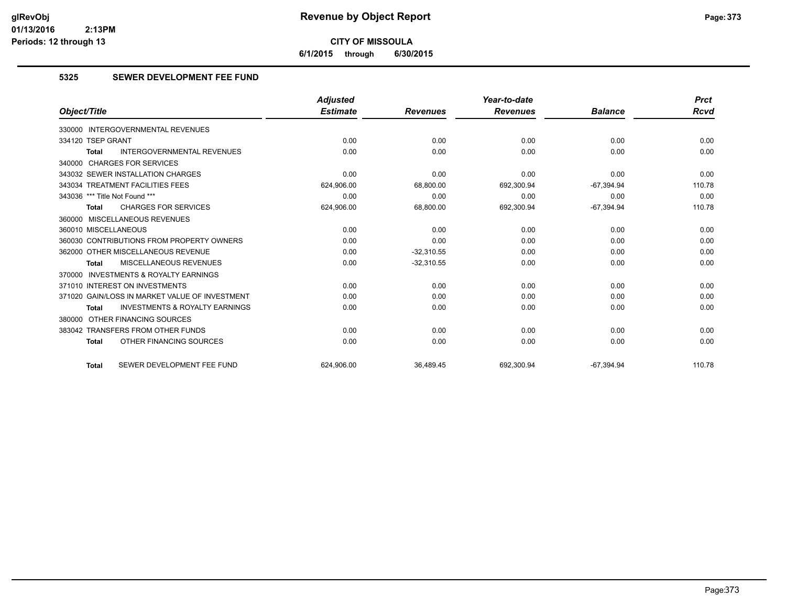**6/1/2015 through 6/30/2015**

# **5325 SEWER DEVELOPMENT FEE FUND**

|                                                    | <b>Adjusted</b> |                 | Year-to-date    |                | <b>Prct</b> |
|----------------------------------------------------|-----------------|-----------------|-----------------|----------------|-------------|
| Object/Title                                       | <b>Estimate</b> | <b>Revenues</b> | <b>Revenues</b> | <b>Balance</b> | Rcvd        |
| 330000 INTERGOVERNMENTAL REVENUES                  |                 |                 |                 |                |             |
| 334120 TSEP GRANT                                  | 0.00            | 0.00            | 0.00            | 0.00           | 0.00        |
| <b>INTERGOVERNMENTAL REVENUES</b><br>Total         | 0.00            | 0.00            | 0.00            | 0.00           | 0.00        |
| 340000 CHARGES FOR SERVICES                        |                 |                 |                 |                |             |
| 343032 SEWER INSTALLATION CHARGES                  | 0.00            | 0.00            | 0.00            | 0.00           | 0.00        |
| 343034 TREATMENT FACILITIES FEES                   | 624.906.00      | 68,800.00       | 692,300.94      | $-67,394.94$   | 110.78      |
| 343036 *** Title Not Found ***                     | 0.00            | 0.00            | 0.00            | 0.00           | 0.00        |
| <b>CHARGES FOR SERVICES</b><br><b>Total</b>        | 624,906.00      | 68,800.00       | 692,300.94      | $-67,394.94$   | 110.78      |
| 360000 MISCELLANEOUS REVENUES                      |                 |                 |                 |                |             |
| 360010 MISCELLANEOUS                               | 0.00            | 0.00            | 0.00            | 0.00           | 0.00        |
| 360030 CONTRIBUTIONS FROM PROPERTY OWNERS          | 0.00            | 0.00            | 0.00            | 0.00           | 0.00        |
| 362000 OTHER MISCELLANEOUS REVENUE                 | 0.00            | $-32.310.55$    | 0.00            | 0.00           | 0.00        |
| <b>MISCELLANEOUS REVENUES</b><br><b>Total</b>      | 0.00            | $-32,310.55$    | 0.00            | 0.00           | 0.00        |
| 370000 INVESTMENTS & ROYALTY EARNINGS              |                 |                 |                 |                |             |
| 371010 INTEREST ON INVESTMENTS                     | 0.00            | 0.00            | 0.00            | 0.00           | 0.00        |
| 371020 GAIN/LOSS IN MARKET VALUE OF INVESTMENT     | 0.00            | 0.00            | 0.00            | 0.00           | 0.00        |
| <b>INVESTMENTS &amp; ROYALTY EARNINGS</b><br>Total | 0.00            | 0.00            | 0.00            | 0.00           | 0.00        |
| 380000 OTHER FINANCING SOURCES                     |                 |                 |                 |                |             |
| 383042 TRANSFERS FROM OTHER FUNDS                  | 0.00            | 0.00            | 0.00            | 0.00           | 0.00        |
| OTHER FINANCING SOURCES<br><b>Total</b>            | 0.00            | 0.00            | 0.00            | 0.00           | 0.00        |
| SEWER DEVELOPMENT FEE FUND<br><b>Total</b>         | 624.906.00      | 36,489.45       | 692.300.94      | $-67.394.94$   | 110.78      |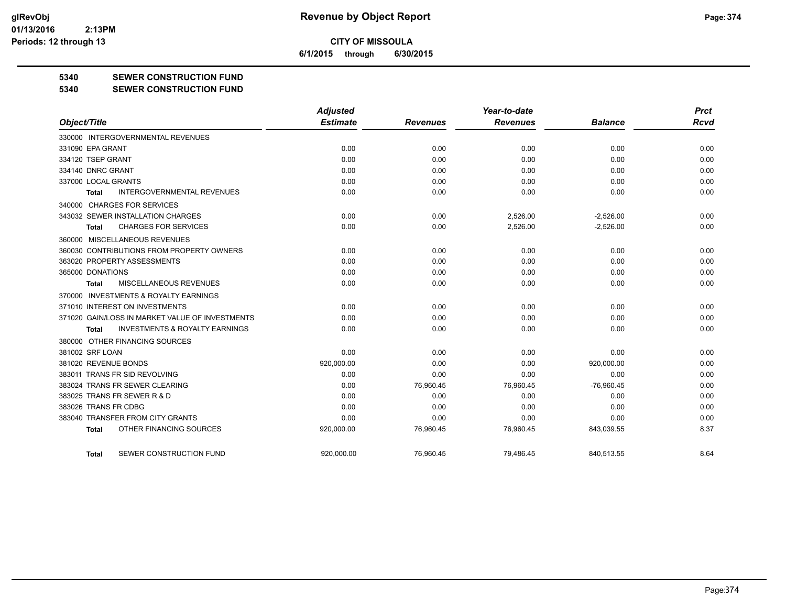**6/1/2015 through 6/30/2015**

### **5340 SEWER CONSTRUCTION FUND**

**5340 SEWER CONSTRUCTION FUND**

|                                                     | <b>Adjusted</b> |                 | Year-to-date    |                | <b>Prct</b> |
|-----------------------------------------------------|-----------------|-----------------|-----------------|----------------|-------------|
| Object/Title                                        | <b>Estimate</b> | <b>Revenues</b> | <b>Revenues</b> | <b>Balance</b> | <b>Rcvd</b> |
| 330000 INTERGOVERNMENTAL REVENUES                   |                 |                 |                 |                |             |
| 331090 EPA GRANT                                    | 0.00            | 0.00            | 0.00            | 0.00           | 0.00        |
| 334120 TSEP GRANT                                   | 0.00            | 0.00            | 0.00            | 0.00           | 0.00        |
| 334140 DNRC GRANT                                   | 0.00            | 0.00            | 0.00            | 0.00           | 0.00        |
| 337000 LOCAL GRANTS                                 | 0.00            | 0.00            | 0.00            | 0.00           | 0.00        |
| <b>INTERGOVERNMENTAL REVENUES</b><br><b>Total</b>   | 0.00            | 0.00            | 0.00            | 0.00           | 0.00        |
| 340000 CHARGES FOR SERVICES                         |                 |                 |                 |                |             |
| 343032 SEWER INSTALLATION CHARGES                   | 0.00            | 0.00            | 2,526.00        | $-2,526.00$    | 0.00        |
| <b>CHARGES FOR SERVICES</b><br>Total                | 0.00            | 0.00            | 2,526.00        | $-2,526.00$    | 0.00        |
| 360000 MISCELLANEOUS REVENUES                       |                 |                 |                 |                |             |
| 360030 CONTRIBUTIONS FROM PROPERTY OWNERS           | 0.00            | 0.00            | 0.00            | 0.00           | 0.00        |
| 363020 PROPERTY ASSESSMENTS                         | 0.00            | 0.00            | 0.00            | 0.00           | 0.00        |
| 365000 DONATIONS                                    | 0.00            | 0.00            | 0.00            | 0.00           | 0.00        |
| MISCELLANEOUS REVENUES<br>Total                     | 0.00            | 0.00            | 0.00            | 0.00           | 0.00        |
| <b>INVESTMENTS &amp; ROYALTY EARNINGS</b><br>370000 |                 |                 |                 |                |             |
| 371010 INTEREST ON INVESTMENTS                      | 0.00            | 0.00            | 0.00            | 0.00           | 0.00        |
| 371020 GAIN/LOSS IN MARKET VALUE OF INVESTMENTS     | 0.00            | 0.00            | 0.00            | 0.00           | 0.00        |
| <b>INVESTMENTS &amp; ROYALTY EARNINGS</b><br>Total  | 0.00            | 0.00            | 0.00            | 0.00           | 0.00        |
| 380000 OTHER FINANCING SOURCES                      |                 |                 |                 |                |             |
| 381002 SRF LOAN                                     | 0.00            | 0.00            | 0.00            | 0.00           | 0.00        |
| 381020 REVENUE BONDS                                | 920,000.00      | 0.00            | 0.00            | 920,000.00     | 0.00        |
| 383011 TRANS FR SID REVOLVING                       | 0.00            | 0.00            | 0.00            | 0.00           | 0.00        |
| 383024 TRANS FR SEWER CLEARING                      | 0.00            | 76,960.45       | 76,960.45       | $-76,960.45$   | 0.00        |
| 383025 TRANS FR SEWER R & D                         | 0.00            | 0.00            | 0.00            | 0.00           | 0.00        |
| 383026 TRANS FR CDBG                                | 0.00            | 0.00            | 0.00            | 0.00           | 0.00        |
| 383040 TRANSFER FROM CITY GRANTS                    | 0.00            | 0.00            | 0.00            | 0.00           | 0.00        |
| OTHER FINANCING SOURCES<br><b>Total</b>             | 920,000.00      | 76,960.45       | 76,960.45       | 843,039.55     | 8.37        |
| SEWER CONSTRUCTION FUND<br>Total                    | 920,000.00      | 76.960.45       | 79.486.45       | 840.513.55     | 8.64        |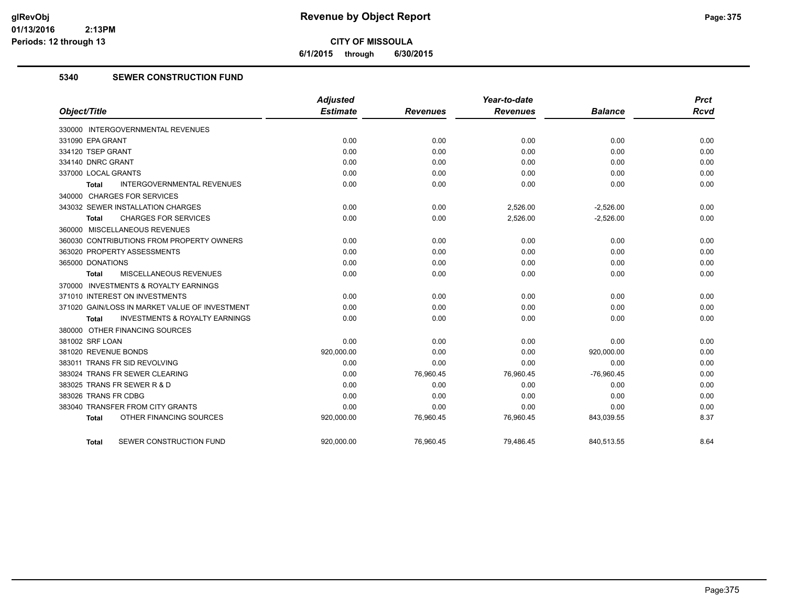**6/1/2015 through 6/30/2015**

# **5340 SEWER CONSTRUCTION FUND**

|                                                           | <b>Adjusted</b> |                 | Year-to-date    |                | <b>Prct</b> |
|-----------------------------------------------------------|-----------------|-----------------|-----------------|----------------|-------------|
| Object/Title                                              | <b>Estimate</b> | <b>Revenues</b> | <b>Revenues</b> | <b>Balance</b> | <b>Rcvd</b> |
| 330000 INTERGOVERNMENTAL REVENUES                         |                 |                 |                 |                |             |
| 331090 EPA GRANT                                          | 0.00            | 0.00            | 0.00            | 0.00           | 0.00        |
| 334120 TSEP GRANT                                         | 0.00            | 0.00            | 0.00            | 0.00           | 0.00        |
| 334140 DNRC GRANT                                         | 0.00            | 0.00            | 0.00            | 0.00           | 0.00        |
| 337000 LOCAL GRANTS                                       | 0.00            | 0.00            | 0.00            | 0.00           | 0.00        |
| <b>INTERGOVERNMENTAL REVENUES</b><br><b>Total</b>         | 0.00            | 0.00            | 0.00            | 0.00           | 0.00        |
| 340000 CHARGES FOR SERVICES                               |                 |                 |                 |                |             |
| 343032 SEWER INSTALLATION CHARGES                         | 0.00            | 0.00            | 2,526.00        | $-2,526.00$    | 0.00        |
| <b>CHARGES FOR SERVICES</b><br><b>Total</b>               | 0.00            | 0.00            | 2,526.00        | $-2,526.00$    | 0.00        |
| 360000 MISCELLANEOUS REVENUES                             |                 |                 |                 |                |             |
| 360030 CONTRIBUTIONS FROM PROPERTY OWNERS                 | 0.00            | 0.00            | 0.00            | 0.00           | 0.00        |
| 363020 PROPERTY ASSESSMENTS                               | 0.00            | 0.00            | 0.00            | 0.00           | 0.00        |
| 365000 DONATIONS                                          | 0.00            | 0.00            | 0.00            | 0.00           | 0.00        |
| MISCELLANEOUS REVENUES<br>Total                           | 0.00            | 0.00            | 0.00            | 0.00           | 0.00        |
| 370000 INVESTMENTS & ROYALTY EARNINGS                     |                 |                 |                 |                |             |
| 371010 INTEREST ON INVESTMENTS                            | 0.00            | 0.00            | 0.00            | 0.00           | 0.00        |
| 371020 GAIN/LOSS IN MARKET VALUE OF INVESTMENT            | 0.00            | 0.00            | 0.00            | 0.00           | 0.00        |
| <b>INVESTMENTS &amp; ROYALTY EARNINGS</b><br><b>Total</b> | 0.00            | 0.00            | 0.00            | 0.00           | 0.00        |
| 380000 OTHER FINANCING SOURCES                            |                 |                 |                 |                |             |
| 381002 SRF LOAN                                           | 0.00            | 0.00            | 0.00            | 0.00           | 0.00        |
| 381020 REVENUE BONDS                                      | 920,000.00      | 0.00            | 0.00            | 920,000.00     | 0.00        |
| 383011 TRANS FR SID REVOLVING                             | 0.00            | 0.00            | 0.00            | 0.00           | 0.00        |
| 383024 TRANS FR SEWER CLEARING                            | 0.00            | 76,960.45       | 76,960.45       | $-76,960.45$   | 0.00        |
| 383025 TRANS FR SEWER R & D                               | 0.00            | 0.00            | 0.00            | 0.00           | 0.00        |
| 383026 TRANS FR CDBG                                      | 0.00            | 0.00            | 0.00            | 0.00           | 0.00        |
| 383040 TRANSFER FROM CITY GRANTS                          | 0.00            | 0.00            | 0.00            | 0.00           | 0.00        |
| OTHER FINANCING SOURCES<br><b>Total</b>                   | 920,000.00      | 76,960.45       | 76,960.45       | 843,039.55     | 8.37        |
| SEWER CONSTRUCTION FUND<br><b>Total</b>                   | 920,000.00      | 76,960.45       | 79,486.45       | 840,513.55     | 8.64        |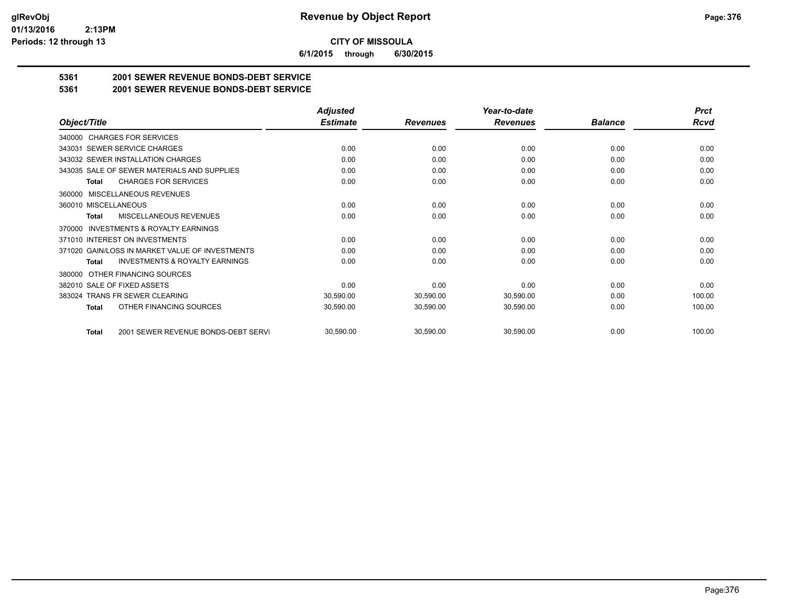**6/1/2015 through 6/30/2015**

# **5361 2001 SEWER REVENUE BONDS-DEBT SERVICE**

**5361 2001 SEWER REVENUE BONDS-DEBT SERVICE**

|                                                     | <b>Adjusted</b> |                 | Year-to-date    |                | <b>Prct</b> |
|-----------------------------------------------------|-----------------|-----------------|-----------------|----------------|-------------|
| Object/Title                                        | <b>Estimate</b> | <b>Revenues</b> | <b>Revenues</b> | <b>Balance</b> | Rcvd        |
| 340000 CHARGES FOR SERVICES                         |                 |                 |                 |                |             |
| <b>SEWER SERVICE CHARGES</b><br>343031              | 0.00            | 0.00            | 0.00            | 0.00           | 0.00        |
| 343032 SEWER INSTALLATION CHARGES                   | 0.00            | 0.00            | 0.00            | 0.00           | 0.00        |
| 343035 SALE OF SEWER MATERIALS AND SUPPLIES         | 0.00            | 0.00            | 0.00            | 0.00           | 0.00        |
| <b>CHARGES FOR SERVICES</b><br>Total                | 0.00            | 0.00            | 0.00            | 0.00           | 0.00        |
| MISCELLANEOUS REVENUES<br>360000                    |                 |                 |                 |                |             |
| 360010 MISCELLANEOUS                                | 0.00            | 0.00            | 0.00            | 0.00           | 0.00        |
| MISCELLANEOUS REVENUES<br>Total                     | 0.00            | 0.00            | 0.00            | 0.00           | 0.00        |
| <b>INVESTMENTS &amp; ROYALTY EARNINGS</b><br>370000 |                 |                 |                 |                |             |
| 371010 INTEREST ON INVESTMENTS                      | 0.00            | 0.00            | 0.00            | 0.00           | 0.00        |
| 371020 GAIN/LOSS IN MARKET VALUE OF INVESTMENTS     | 0.00            | 0.00            | 0.00            | 0.00           | 0.00        |
| <b>INVESTMENTS &amp; ROYALTY EARNINGS</b><br>Total  | 0.00            | 0.00            | 0.00            | 0.00           | 0.00        |
| OTHER FINANCING SOURCES<br>380000                   |                 |                 |                 |                |             |
| 382010 SALE OF FIXED ASSETS                         | 0.00            | 0.00            | 0.00            | 0.00           | 0.00        |
| 383024 TRANS FR SEWER CLEARING                      | 30,590.00       | 30,590.00       | 30,590.00       | 0.00           | 100.00      |
| OTHER FINANCING SOURCES<br><b>Total</b>             | 30,590.00       | 30,590.00       | 30,590.00       | 0.00           | 100.00      |
| 2001 SEWER REVENUE BONDS-DEBT SERVI<br>Total        | 30,590.00       | 30,590.00       | 30,590.00       | 0.00           | 100.00      |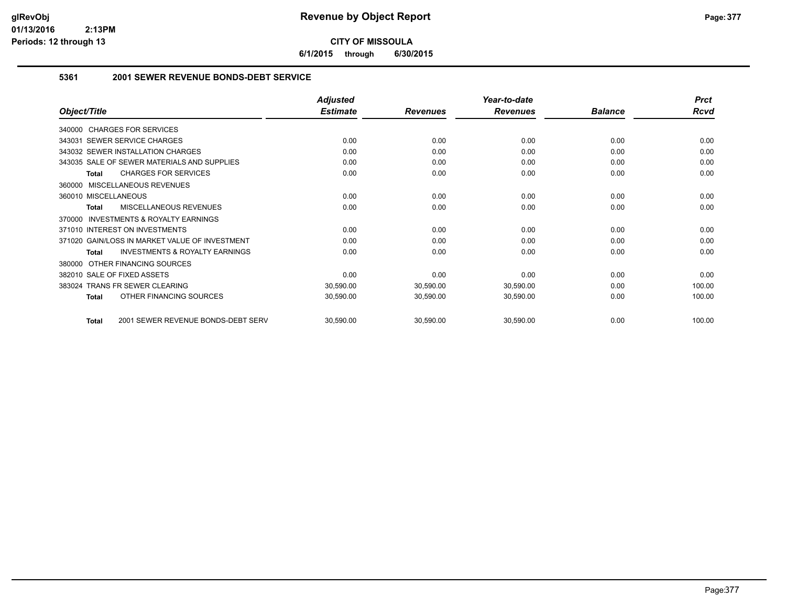**6/1/2015 through 6/30/2015**

### **5361 2001 SEWER REVENUE BONDS-DEBT SERVICE**

|                                                           | <b>Adjusted</b> |                 | Year-to-date    |                | <b>Prct</b> |
|-----------------------------------------------------------|-----------------|-----------------|-----------------|----------------|-------------|
| Object/Title                                              | <b>Estimate</b> | <b>Revenues</b> | <b>Revenues</b> | <b>Balance</b> | <b>Rcvd</b> |
| 340000 CHARGES FOR SERVICES                               |                 |                 |                 |                |             |
| <b>SEWER SERVICE CHARGES</b><br>343031                    | 0.00            | 0.00            | 0.00            | 0.00           | 0.00        |
| 343032 SEWER INSTALLATION CHARGES                         | 0.00            | 0.00            | 0.00            | 0.00           | 0.00        |
| 343035 SALE OF SEWER MATERIALS AND SUPPLIES               | 0.00            | 0.00            | 0.00            | 0.00           | 0.00        |
| <b>CHARGES FOR SERVICES</b><br>Total                      | 0.00            | 0.00            | 0.00            | 0.00           | 0.00        |
| MISCELLANEOUS REVENUES<br>360000                          |                 |                 |                 |                |             |
| 360010 MISCELLANEOUS                                      | 0.00            | 0.00            | 0.00            | 0.00           | 0.00        |
| MISCELLANEOUS REVENUES<br><b>Total</b>                    | 0.00            | 0.00            | 0.00            | 0.00           | 0.00        |
| INVESTMENTS & ROYALTY EARNINGS<br>370000                  |                 |                 |                 |                |             |
| 371010 INTEREST ON INVESTMENTS                            | 0.00            | 0.00            | 0.00            | 0.00           | 0.00        |
| 371020 GAIN/LOSS IN MARKET VALUE OF INVESTMENT            | 0.00            | 0.00            | 0.00            | 0.00           | 0.00        |
| <b>INVESTMENTS &amp; ROYALTY EARNINGS</b><br><b>Total</b> | 0.00            | 0.00            | 0.00            | 0.00           | 0.00        |
| OTHER FINANCING SOURCES<br>380000                         |                 |                 |                 |                |             |
| 382010 SALE OF FIXED ASSETS                               | 0.00            | 0.00            | 0.00            | 0.00           | 0.00        |
| <b>TRANS FR SEWER CLEARING</b><br>383024                  | 30,590.00       | 30,590.00       | 30,590.00       | 0.00           | 100.00      |
| OTHER FINANCING SOURCES<br><b>Total</b>                   | 30,590.00       | 30,590.00       | 30,590.00       | 0.00           | 100.00      |
| 2001 SEWER REVENUE BONDS-DEBT SERV<br><b>Total</b>        | 30,590.00       | 30,590.00       | 30,590.00       | 0.00           | 100.00      |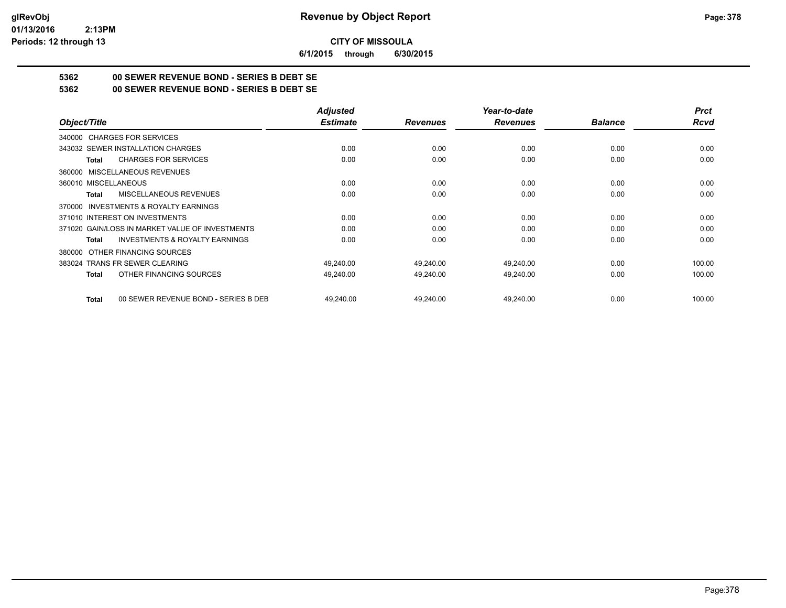**6/1/2015 through 6/30/2015**

# **5362 00 SEWER REVENUE BOND - SERIES B DEBT SE**

**5362 00 SEWER REVENUE BOND - SERIES B DEBT SE**

|                                                      | <b>Adjusted</b> |                 | Year-to-date    |                | <b>Prct</b> |
|------------------------------------------------------|-----------------|-----------------|-----------------|----------------|-------------|
| Object/Title                                         | <b>Estimate</b> | <b>Revenues</b> | <b>Revenues</b> | <b>Balance</b> | <b>Rcvd</b> |
| 340000 CHARGES FOR SERVICES                          |                 |                 |                 |                |             |
| 343032 SEWER INSTALLATION CHARGES                    | 0.00            | 0.00            | 0.00            | 0.00           | 0.00        |
| <b>CHARGES FOR SERVICES</b><br>Total                 | 0.00            | 0.00            | 0.00            | 0.00           | 0.00        |
| 360000 MISCELLANEOUS REVENUES                        |                 |                 |                 |                |             |
| 360010 MISCELLANEOUS                                 | 0.00            | 0.00            | 0.00            | 0.00           | 0.00        |
| <b>MISCELLANEOUS REVENUES</b><br>Total               | 0.00            | 0.00            | 0.00            | 0.00           | 0.00        |
| 370000 INVESTMENTS & ROYALTY EARNINGS                |                 |                 |                 |                |             |
| 371010 INTEREST ON INVESTMENTS                       | 0.00            | 0.00            | 0.00            | 0.00           | 0.00        |
| 371020 GAIN/LOSS IN MARKET VALUE OF INVESTMENTS      | 0.00            | 0.00            | 0.00            | 0.00           | 0.00        |
| <b>INVESTMENTS &amp; ROYALTY EARNINGS</b><br>Total   | 0.00            | 0.00            | 0.00            | 0.00           | 0.00        |
| 380000 OTHER FINANCING SOURCES                       |                 |                 |                 |                |             |
| 383024 TRANS FR SEWER CLEARING                       | 49,240.00       | 49,240.00       | 49,240.00       | 0.00           | 100.00      |
| OTHER FINANCING SOURCES<br><b>Total</b>              | 49,240.00       | 49,240.00       | 49,240.00       | 0.00           | 100.00      |
| 00 SEWER REVENUE BOND - SERIES B DEB<br><b>Total</b> | 49,240.00       | 49,240.00       | 49,240.00       | 0.00           | 100.00      |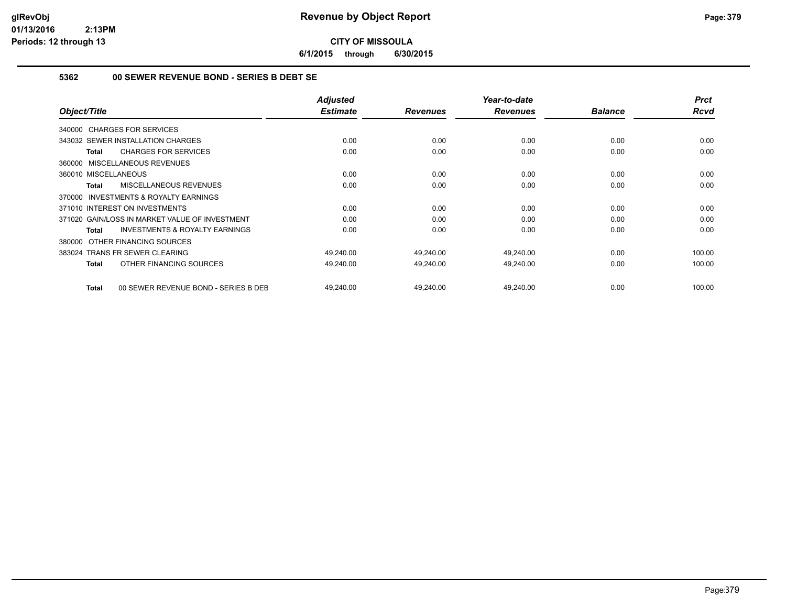**6/1/2015 through 6/30/2015**

# **5362 00 SEWER REVENUE BOND - SERIES B DEBT SE**

| Object/Title                                              | <b>Adjusted</b><br><b>Estimate</b> | <b>Revenues</b> | Year-to-date<br><b>Revenues</b> | <b>Balance</b> | <b>Prct</b><br><b>Rcvd</b> |
|-----------------------------------------------------------|------------------------------------|-----------------|---------------------------------|----------------|----------------------------|
| 340000 CHARGES FOR SERVICES                               |                                    |                 |                                 |                |                            |
| 343032 SEWER INSTALLATION CHARGES                         | 0.00                               | 0.00            | 0.00                            | 0.00           | 0.00                       |
| <b>CHARGES FOR SERVICES</b><br>Total                      | 0.00                               | 0.00            | 0.00                            | 0.00           | 0.00                       |
| MISCELLANEOUS REVENUES<br>360000                          |                                    |                 |                                 |                |                            |
| 360010 MISCELLANEOUS                                      | 0.00                               | 0.00            | 0.00                            | 0.00           | 0.00                       |
| MISCELLANEOUS REVENUES<br><b>Total</b>                    | 0.00                               | 0.00            | 0.00                            | 0.00           | 0.00                       |
| <b>INVESTMENTS &amp; ROYALTY EARNINGS</b><br>370000       |                                    |                 |                                 |                |                            |
| 371010 INTEREST ON INVESTMENTS                            | 0.00                               | 0.00            | 0.00                            | 0.00           | 0.00                       |
| 371020 GAIN/LOSS IN MARKET VALUE OF INVESTMENT            | 0.00                               | 0.00            | 0.00                            | 0.00           | 0.00                       |
| <b>INVESTMENTS &amp; ROYALTY EARNINGS</b><br><b>Total</b> | 0.00                               | 0.00            | 0.00                            | 0.00           | 0.00                       |
| OTHER FINANCING SOURCES<br>380000                         |                                    |                 |                                 |                |                            |
| 383024 TRANS FR SEWER CLEARING                            | 49,240.00                          | 49,240.00       | 49,240.00                       | 0.00           | 100.00                     |
| OTHER FINANCING SOURCES<br>Total                          | 49,240.00                          | 49,240.00       | 49,240.00                       | 0.00           | 100.00                     |
| 00 SEWER REVENUE BOND - SERIES B DEE<br><b>Total</b>      | 49.240.00                          | 49.240.00       | 49,240.00                       | 0.00           | 100.00                     |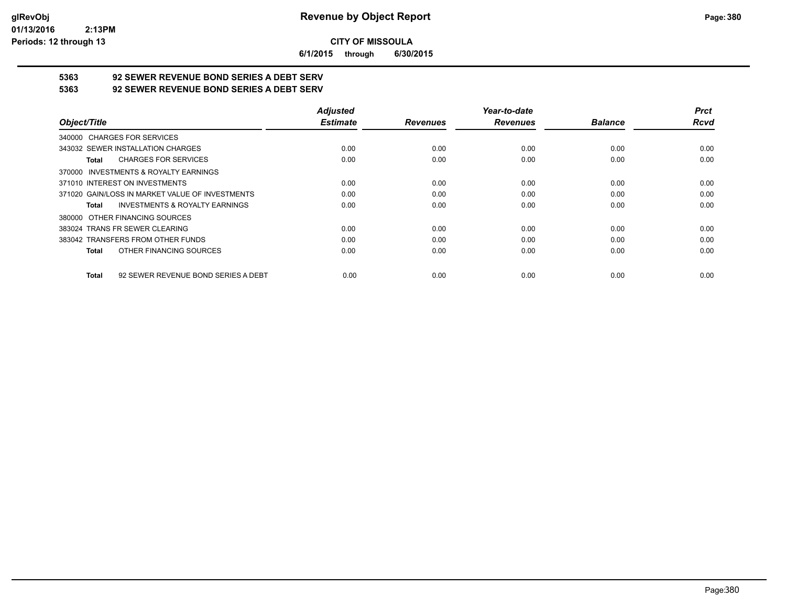**6/1/2015 through 6/30/2015**

# **5363 92 SEWER REVENUE BOND SERIES A DEBT SERV**

**5363 92 SEWER REVENUE BOND SERIES A DEBT SERV**

|                                                     | <b>Adjusted</b> |                 | Year-to-date    |                | <b>Prct</b> |
|-----------------------------------------------------|-----------------|-----------------|-----------------|----------------|-------------|
| Object/Title                                        | <b>Estimate</b> | <b>Revenues</b> | <b>Revenues</b> | <b>Balance</b> | <b>Rcvd</b> |
| 340000 CHARGES FOR SERVICES                         |                 |                 |                 |                |             |
| 343032 SEWER INSTALLATION CHARGES                   | 0.00            | 0.00            | 0.00            | 0.00           | 0.00        |
| <b>CHARGES FOR SERVICES</b><br>Total                | 0.00            | 0.00            | 0.00            | 0.00           | 0.00        |
| 370000 INVESTMENTS & ROYALTY EARNINGS               |                 |                 |                 |                |             |
| 371010 INTEREST ON INVESTMENTS                      | 0.00            | 0.00            | 0.00            | 0.00           | 0.00        |
| 371020 GAIN/LOSS IN MARKET VALUE OF INVESTMENTS     | 0.00            | 0.00            | 0.00            | 0.00           | 0.00        |
| <b>INVESTMENTS &amp; ROYALTY EARNINGS</b><br>Total  | 0.00            | 0.00            | 0.00            | 0.00           | 0.00        |
| 380000 OTHER FINANCING SOURCES                      |                 |                 |                 |                |             |
| 383024 TRANS FR SEWER CLEARING                      | 0.00            | 0.00            | 0.00            | 0.00           | 0.00        |
| 383042 TRANSFERS FROM OTHER FUNDS                   | 0.00            | 0.00            | 0.00            | 0.00           | 0.00        |
| OTHER FINANCING SOURCES<br><b>Total</b>             | 0.00            | 0.00            | 0.00            | 0.00           | 0.00        |
| 92 SEWER REVENUE BOND SERIES A DEBT<br><b>Total</b> | 0.00            | 0.00            | 0.00            | 0.00           | 0.00        |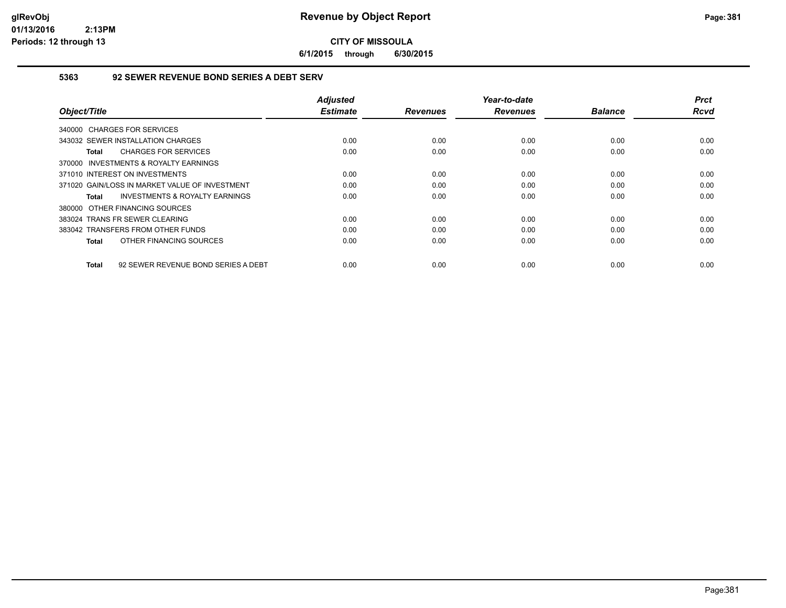**6/1/2015 through 6/30/2015**

# **5363 92 SEWER REVENUE BOND SERIES A DEBT SERV**

| Object/Title                                        | <b>Adjusted</b><br><b>Estimate</b> | <b>Revenues</b> | Year-to-date<br><b>Revenues</b> | <b>Balance</b> | <b>Prct</b><br>Rcvd |
|-----------------------------------------------------|------------------------------------|-----------------|---------------------------------|----------------|---------------------|
| 340000 CHARGES FOR SERVICES                         |                                    |                 |                                 |                |                     |
| 343032 SEWER INSTALLATION CHARGES                   | 0.00                               | 0.00            | 0.00                            | 0.00           | 0.00                |
| <b>CHARGES FOR SERVICES</b><br>Total                | 0.00                               | 0.00            | 0.00                            | 0.00           | 0.00                |
| INVESTMENTS & ROYALTY EARNINGS<br>370000            |                                    |                 |                                 |                |                     |
| 371010 INTEREST ON INVESTMENTS                      | 0.00                               | 0.00            | 0.00                            | 0.00           | 0.00                |
| 371020 GAIN/LOSS IN MARKET VALUE OF INVESTMENT      | 0.00                               | 0.00            | 0.00                            | 0.00           | 0.00                |
| <b>INVESTMENTS &amp; ROYALTY EARNINGS</b><br>Total  | 0.00                               | 0.00            | 0.00                            | 0.00           | 0.00                |
| 380000 OTHER FINANCING SOURCES                      |                                    |                 |                                 |                |                     |
| 383024 TRANS FR SEWER CLEARING                      | 0.00                               | 0.00            | 0.00                            | 0.00           | 0.00                |
| 383042 TRANSFERS FROM OTHER FUNDS                   | 0.00                               | 0.00            | 0.00                            | 0.00           | 0.00                |
| OTHER FINANCING SOURCES<br><b>Total</b>             | 0.00                               | 0.00            | 0.00                            | 0.00           | 0.00                |
| <b>Total</b><br>92 SEWER REVENUE BOND SERIES A DEBT | 0.00                               | 0.00            | 0.00                            | 0.00           | 0.00                |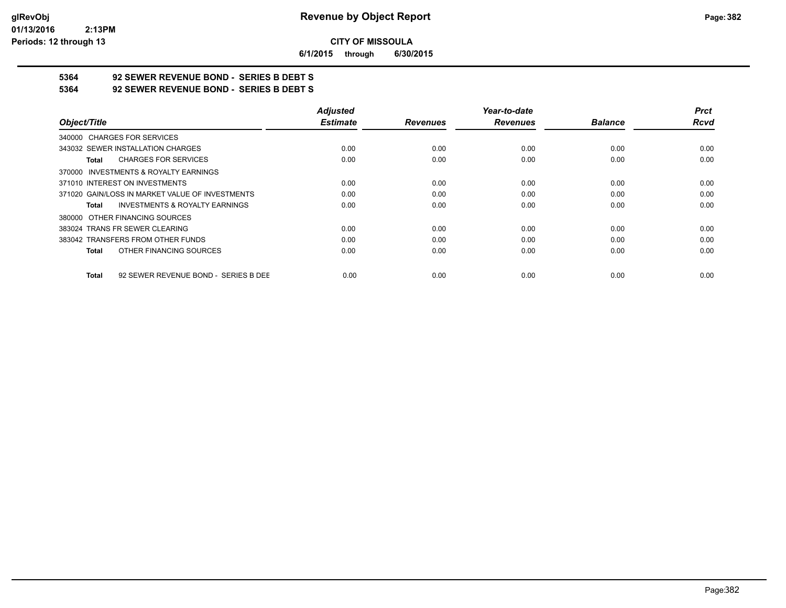**6/1/2015 through 6/30/2015**

# **5364 92 SEWER REVENUE BOND - SERIES B DEBT S**

**5364 92 SEWER REVENUE BOND - SERIES B DEBT S**

|                                                    | <b>Adjusted</b> |                 | Year-to-date    |                | <b>Prct</b> |
|----------------------------------------------------|-----------------|-----------------|-----------------|----------------|-------------|
| Object/Title                                       | <b>Estimate</b> | <b>Revenues</b> | <b>Revenues</b> | <b>Balance</b> | <b>Rcvd</b> |
| 340000 CHARGES FOR SERVICES                        |                 |                 |                 |                |             |
| 343032 SEWER INSTALLATION CHARGES                  | 0.00            | 0.00            | 0.00            | 0.00           | 0.00        |
| <b>CHARGES FOR SERVICES</b><br>Total               | 0.00            | 0.00            | 0.00            | 0.00           | 0.00        |
| 370000 INVESTMENTS & ROYALTY EARNINGS              |                 |                 |                 |                |             |
| 371010 INTEREST ON INVESTMENTS                     | 0.00            | 0.00            | 0.00            | 0.00           | 0.00        |
| 371020 GAIN/LOSS IN MARKET VALUE OF INVESTMENTS    | 0.00            | 0.00            | 0.00            | 0.00           | 0.00        |
| <b>INVESTMENTS &amp; ROYALTY EARNINGS</b><br>Total | 0.00            | 0.00            | 0.00            | 0.00           | 0.00        |
| 380000 OTHER FINANCING SOURCES                     |                 |                 |                 |                |             |
| 383024 TRANS FR SEWER CLEARING                     | 0.00            | 0.00            | 0.00            | 0.00           | 0.00        |
| 383042 TRANSFERS FROM OTHER FUNDS                  | 0.00            | 0.00            | 0.00            | 0.00           | 0.00        |
| OTHER FINANCING SOURCES<br>Total                   | 0.00            | 0.00            | 0.00            | 0.00           | 0.00        |
| 92 SEWER REVENUE BOND - SERIES B DEE<br>Total      | 0.00            | 0.00            | 0.00            | 0.00           | 0.00        |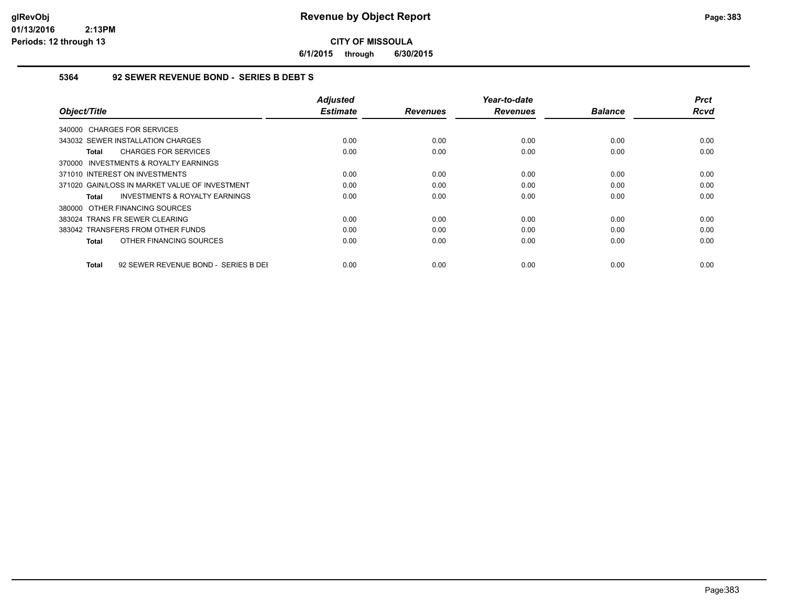**6/1/2015 through 6/30/2015**

## **5364 92 SEWER REVENUE BOND - SERIES B DEBT S**

| Object/Title                                         | <b>Adjusted</b><br><b>Estimate</b> | <b>Revenues</b> | Year-to-date<br><b>Revenues</b> | <b>Balance</b> | <b>Prct</b><br>Rcvd |
|------------------------------------------------------|------------------------------------|-----------------|---------------------------------|----------------|---------------------|
|                                                      |                                    |                 |                                 |                |                     |
| 340000 CHARGES FOR SERVICES                          |                                    |                 |                                 |                |                     |
| 343032 SEWER INSTALLATION CHARGES                    | 0.00                               | 0.00            | 0.00                            | 0.00           | 0.00                |
| <b>CHARGES FOR SERVICES</b><br>Total                 | 0.00                               | 0.00            | 0.00                            | 0.00           | 0.00                |
| 370000 INVESTMENTS & ROYALTY EARNINGS                |                                    |                 |                                 |                |                     |
| 371010 INTEREST ON INVESTMENTS                       | 0.00                               | 0.00            | 0.00                            | 0.00           | 0.00                |
| 371020 GAIN/LOSS IN MARKET VALUE OF INVESTMENT       | 0.00                               | 0.00            | 0.00                            | 0.00           | 0.00                |
| <b>INVESTMENTS &amp; ROYALTY EARNINGS</b><br>Total   | 0.00                               | 0.00            | 0.00                            | 0.00           | 0.00                |
| 380000 OTHER FINANCING SOURCES                       |                                    |                 |                                 |                |                     |
| 383024 TRANS FR SEWER CLEARING                       | 0.00                               | 0.00            | 0.00                            | 0.00           | 0.00                |
| 383042 TRANSFERS FROM OTHER FUNDS                    | 0.00                               | 0.00            | 0.00                            | 0.00           | 0.00                |
| OTHER FINANCING SOURCES<br>Total                     | 0.00                               | 0.00            | 0.00                            | 0.00           | 0.00                |
| 92 SEWER REVENUE BOND - SERIES B DEI<br><b>Total</b> | 0.00                               | 0.00            | 0.00                            | 0.00           | 0.00                |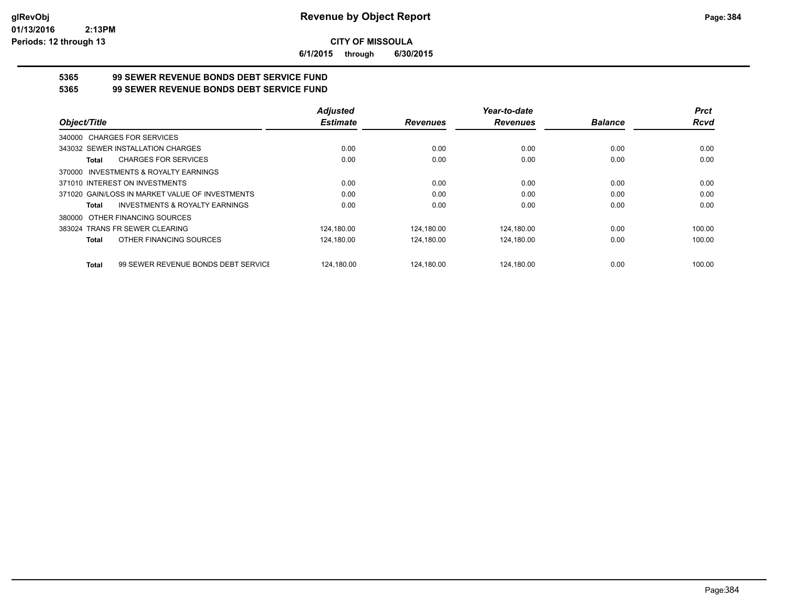**6/1/2015 through 6/30/2015**

# **5365 99 SEWER REVENUE BONDS DEBT SERVICE FUND**

**5365 99 SEWER REVENUE BONDS DEBT SERVICE FUND**

|                                                     | <b>Adjusted</b> |                 | Year-to-date    |                | <b>Prct</b> |
|-----------------------------------------------------|-----------------|-----------------|-----------------|----------------|-------------|
| Object/Title                                        | <b>Estimate</b> | <b>Revenues</b> | <b>Revenues</b> | <b>Balance</b> | <b>Rcvd</b> |
| 340000 CHARGES FOR SERVICES                         |                 |                 |                 |                |             |
| 343032 SEWER INSTALLATION CHARGES                   | 0.00            | 0.00            | 0.00            | 0.00           | 0.00        |
| <b>CHARGES FOR SERVICES</b><br>Total                | 0.00            | 0.00            | 0.00            | 0.00           | 0.00        |
| INVESTMENTS & ROYALTY EARNINGS<br>370000            |                 |                 |                 |                |             |
| 371010 INTEREST ON INVESTMENTS                      | 0.00            | 0.00            | 0.00            | 0.00           | 0.00        |
| 371020 GAIN/LOSS IN MARKET VALUE OF INVESTMENTS     | 0.00            | 0.00            | 0.00            | 0.00           | 0.00        |
| <b>INVESTMENTS &amp; ROYALTY EARNINGS</b><br>Total  | 0.00            | 0.00            | 0.00            | 0.00           | 0.00        |
| OTHER FINANCING SOURCES<br>380000                   |                 |                 |                 |                |             |
| 383024 TRANS FR SEWER CLEARING                      | 124.180.00      | 124.180.00      | 124.180.00      | 0.00           | 100.00      |
| OTHER FINANCING SOURCES<br><b>Total</b>             | 124.180.00      | 124.180.00      | 124.180.00      | 0.00           | 100.00      |
| 99 SEWER REVENUE BONDS DEBT SERVICE<br><b>Total</b> | 124.180.00      | 124.180.00      | 124.180.00      | 0.00           | 100.00      |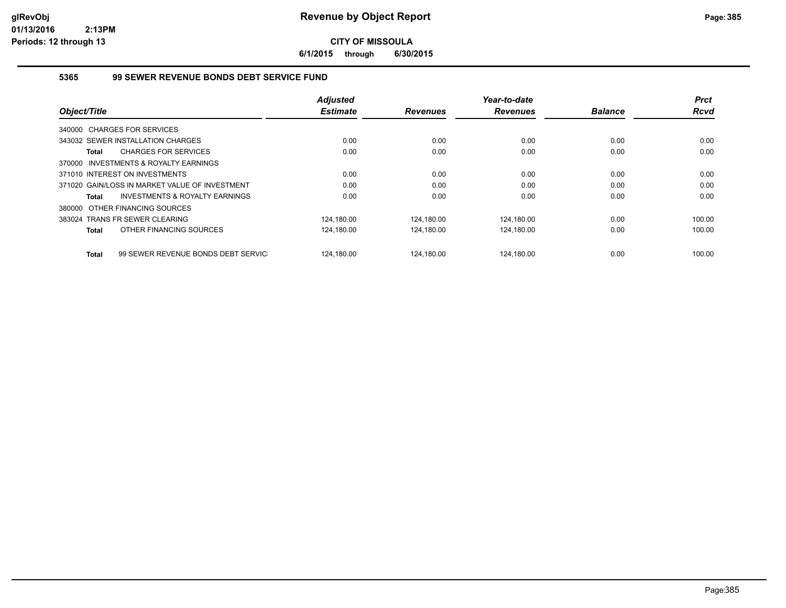**6/1/2015 through 6/30/2015**

### **5365 99 SEWER REVENUE BONDS DEBT SERVICE FUND**

|                                                           | <b>Adjusted</b> |                 | Year-to-date    |                | <b>Prct</b> |
|-----------------------------------------------------------|-----------------|-----------------|-----------------|----------------|-------------|
| Object/Title                                              | <b>Estimate</b> | <b>Revenues</b> | <b>Revenues</b> | <b>Balance</b> | <b>Rcvd</b> |
| 340000 CHARGES FOR SERVICES                               |                 |                 |                 |                |             |
| 343032 SEWER INSTALLATION CHARGES                         | 0.00            | 0.00            | 0.00            | 0.00           | 0.00        |
| <b>CHARGES FOR SERVICES</b><br><b>Total</b>               | 0.00            | 0.00            | 0.00            | 0.00           | 0.00        |
| INVESTMENTS & ROYALTY EARNINGS<br>370000                  |                 |                 |                 |                |             |
| 371010 INTEREST ON INVESTMENTS                            | 0.00            | 0.00            | 0.00            | 0.00           | 0.00        |
| 371020 GAIN/LOSS IN MARKET VALUE OF INVESTMENT            | 0.00            | 0.00            | 0.00            | 0.00           | 0.00        |
| <b>INVESTMENTS &amp; ROYALTY EARNINGS</b><br><b>Total</b> | 0.00            | 0.00            | 0.00            | 0.00           | 0.00        |
| 380000 OTHER FINANCING SOURCES                            |                 |                 |                 |                |             |
| 383024 TRANS FR SEWER CLEARING                            | 124,180.00      | 124,180.00      | 124,180.00      | 0.00           | 100.00      |
| OTHER FINANCING SOURCES<br><b>Total</b>                   | 124,180.00      | 124,180.00      | 124,180.00      | 0.00           | 100.00      |
| 99 SEWER REVENUE BONDS DEBT SERVIC<br><b>Total</b>        | 124.180.00      | 124.180.00      | 124.180.00      | 0.00           | 100.00      |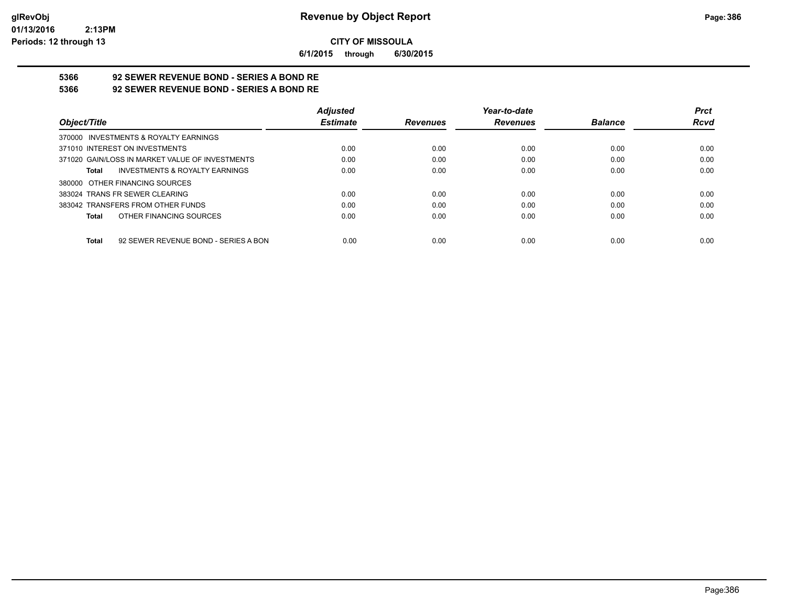**6/1/2015 through 6/30/2015**

# **5366 92 SEWER REVENUE BOND - SERIES A BOND RE**

**5366 92 SEWER REVENUE BOND - SERIES A BOND RE**

|                                                    | <b>Adjusted</b> |                 | Year-to-date    |                | <b>Prct</b> |
|----------------------------------------------------|-----------------|-----------------|-----------------|----------------|-------------|
| Object/Title                                       | <b>Estimate</b> | <b>Revenues</b> | <b>Revenues</b> | <b>Balance</b> | <b>Rcvd</b> |
| 370000 INVESTMENTS & ROYALTY EARNINGS              |                 |                 |                 |                |             |
| 371010 INTEREST ON INVESTMENTS                     | 0.00            | 0.00            | 0.00            | 0.00           | 0.00        |
| 371020 GAIN/LOSS IN MARKET VALUE OF INVESTMENTS    | 0.00            | 0.00            | 0.00            | 0.00           | 0.00        |
| <b>INVESTMENTS &amp; ROYALTY EARNINGS</b><br>Total | 0.00            | 0.00            | 0.00            | 0.00           | 0.00        |
| 380000 OTHER FINANCING SOURCES                     |                 |                 |                 |                |             |
| 383024 TRANS FR SEWER CLEARING                     | 0.00            | 0.00            | 0.00            | 0.00           | 0.00        |
| 383042 TRANSFERS FROM OTHER FUNDS                  | 0.00            | 0.00            | 0.00            | 0.00           | 0.00        |
| OTHER FINANCING SOURCES<br>Total                   | 0.00            | 0.00            | 0.00            | 0.00           | 0.00        |
| 92 SEWER REVENUE BOND - SERIES A BON<br>Total      | 0.00            | 0.00            | 0.00            | 0.00           | 0.00        |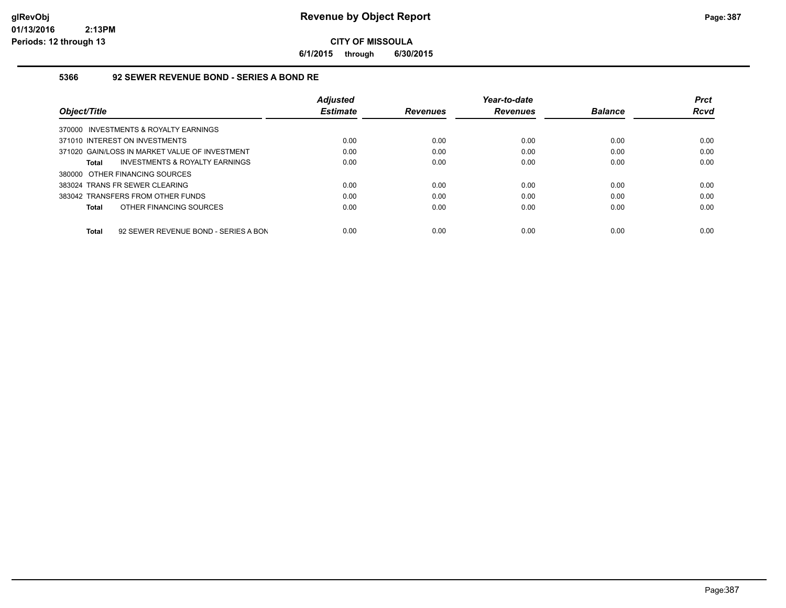**6/1/2015 through 6/30/2015**

## **5366 92 SEWER REVENUE BOND - SERIES A BOND RE**

|                                                      | <b>Adiusted</b> |                 | Year-to-date    |                | <b>Prct</b> |
|------------------------------------------------------|-----------------|-----------------|-----------------|----------------|-------------|
| Object/Title                                         | <b>Estimate</b> | <b>Revenues</b> | <b>Revenues</b> | <b>Balance</b> | Rcvd        |
| 370000 INVESTMENTS & ROYALTY EARNINGS                |                 |                 |                 |                |             |
| 371010 INTEREST ON INVESTMENTS                       | 0.00            | 0.00            | 0.00            | 0.00           | 0.00        |
| 371020 GAIN/LOSS IN MARKET VALUE OF INVESTMENT       | 0.00            | 0.00            | 0.00            | 0.00           | 0.00        |
| INVESTMENTS & ROYALTY EARNINGS<br><b>Total</b>       | 0.00            | 0.00            | 0.00            | 0.00           | 0.00        |
| 380000 OTHER FINANCING SOURCES                       |                 |                 |                 |                |             |
| 383024 TRANS FR SEWER CLEARING                       | 0.00            | 0.00            | 0.00            | 0.00           | 0.00        |
| 383042 TRANSFERS FROM OTHER FUNDS                    | 0.00            | 0.00            | 0.00            | 0.00           | 0.00        |
| OTHER FINANCING SOURCES<br><b>Total</b>              | 0.00            | 0.00            | 0.00            | 0.00           | 0.00        |
|                                                      |                 |                 |                 |                |             |
| 92 SEWER REVENUE BOND - SERIES A BON<br><b>Total</b> | 0.00            | 0.00            | 0.00            | 0.00           | 0.00        |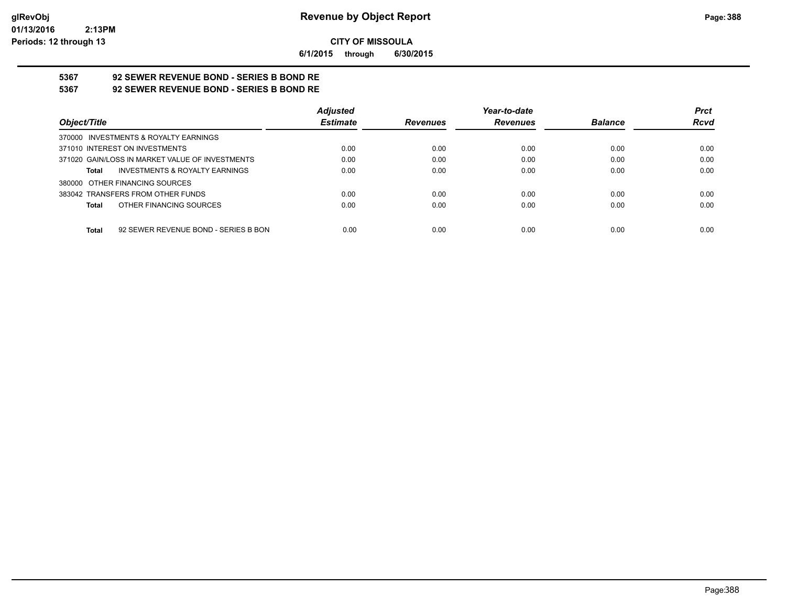**6/1/2015 through 6/30/2015**

# **5367 92 SEWER REVENUE BOND - SERIES B BOND RE**

**5367 92 SEWER REVENUE BOND - SERIES B BOND RE**

|                                                      | <b>Adjusted</b> |                 | Year-to-date    |                | <b>Prct</b> |
|------------------------------------------------------|-----------------|-----------------|-----------------|----------------|-------------|
| Object/Title                                         | <b>Estimate</b> | <b>Revenues</b> | <b>Revenues</b> | <b>Balance</b> | <b>Rcvd</b> |
| 370000 INVESTMENTS & ROYALTY EARNINGS                |                 |                 |                 |                |             |
| 371010 INTEREST ON INVESTMENTS                       | 0.00            | 0.00            | 0.00            | 0.00           | 0.00        |
| 371020 GAIN/LOSS IN MARKET VALUE OF INVESTMENTS      | 0.00            | 0.00            | 0.00            | 0.00           | 0.00        |
| <b>INVESTMENTS &amp; ROYALTY EARNINGS</b><br>Total   | 0.00            | 0.00            | 0.00            | 0.00           | 0.00        |
| 380000 OTHER FINANCING SOURCES                       |                 |                 |                 |                |             |
| 383042 TRANSFERS FROM OTHER FUNDS                    | 0.00            | 0.00            | 0.00            | 0.00           | 0.00        |
| OTHER FINANCING SOURCES<br>Total                     | 0.00            | 0.00            | 0.00            | 0.00           | 0.00        |
|                                                      |                 |                 |                 |                |             |
| 92 SEWER REVENUE BOND - SERIES B BON<br><b>Total</b> | 0.00            | 0.00            | 0.00            | 0.00           | 0.00        |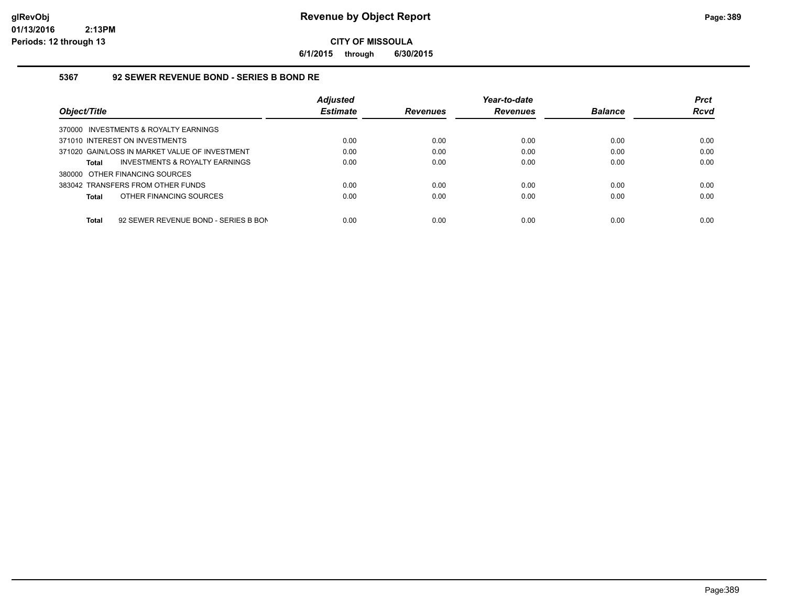**6/1/2015 through 6/30/2015**

## **5367 92 SEWER REVENUE BOND - SERIES B BOND RE**

|                                                      | <b>Adjusted</b> |                 | Year-to-date    |                | <b>Prct</b> |
|------------------------------------------------------|-----------------|-----------------|-----------------|----------------|-------------|
| Object/Title                                         | <b>Estimate</b> | <b>Revenues</b> | <b>Revenues</b> | <b>Balance</b> | <b>Rcvd</b> |
| 370000 INVESTMENTS & ROYALTY EARNINGS                |                 |                 |                 |                |             |
| 371010 INTEREST ON INVESTMENTS                       | 0.00            | 0.00            | 0.00            | 0.00           | 0.00        |
| 371020 GAIN/LOSS IN MARKET VALUE OF INVESTMENT       | 0.00            | 0.00            | 0.00            | 0.00           | 0.00        |
| INVESTMENTS & ROYALTY EARNINGS<br>Total              | 0.00            | 0.00            | 0.00            | 0.00           | 0.00        |
| 380000 OTHER FINANCING SOURCES                       |                 |                 |                 |                |             |
| 383042 TRANSFERS FROM OTHER FUNDS                    | 0.00            | 0.00            | 0.00            | 0.00           | 0.00        |
| OTHER FINANCING SOURCES<br>Total                     | 0.00            | 0.00            | 0.00            | 0.00           | 0.00        |
| 92 SEWER REVENUE BOND - SERIES B BON<br><b>Total</b> | 0.00            | 0.00            | 0.00            | 0.00           | 0.00        |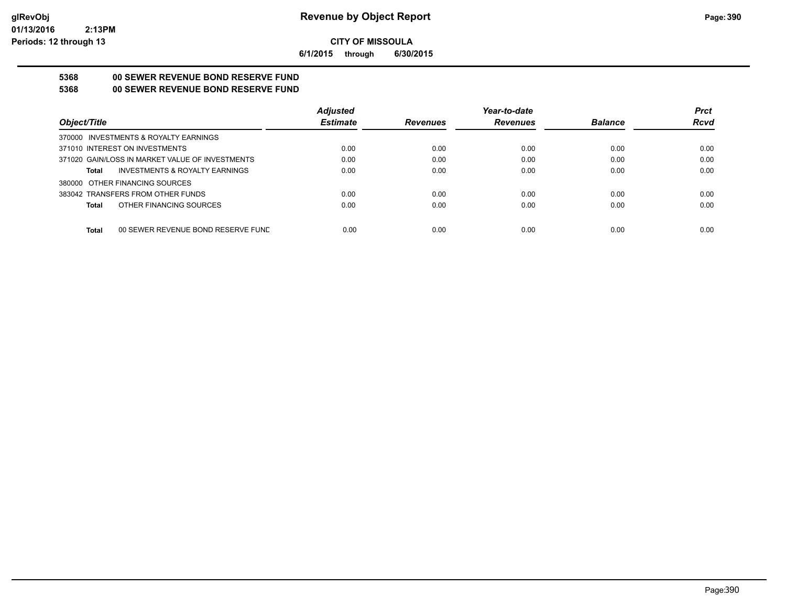**6/1/2015 through 6/30/2015**

# **5368 00 SEWER REVENUE BOND RESERVE FUND**

# **5368 00 SEWER REVENUE BOND RESERVE FUND**

|                                                    | <b>Adjusted</b> |                 | Year-to-date    |                | <b>Prct</b> |
|----------------------------------------------------|-----------------|-----------------|-----------------|----------------|-------------|
| Object/Title                                       | <b>Estimate</b> | <b>Revenues</b> | <b>Revenues</b> | <b>Balance</b> | <b>Rcvd</b> |
| 370000 INVESTMENTS & ROYALTY EARNINGS              |                 |                 |                 |                |             |
| 371010 INTEREST ON INVESTMENTS                     | 0.00            | 0.00            | 0.00            | 0.00           | 0.00        |
| 371020 GAIN/LOSS IN MARKET VALUE OF INVESTMENTS    | 0.00            | 0.00            | 0.00            | 0.00           | 0.00        |
| <b>INVESTMENTS &amp; ROYALTY EARNINGS</b><br>Total | 0.00            | 0.00            | 0.00            | 0.00           | 0.00        |
| 380000 OTHER FINANCING SOURCES                     |                 |                 |                 |                |             |
| 383042 TRANSFERS FROM OTHER FUNDS                  | 0.00            | 0.00            | 0.00            | 0.00           | 0.00        |
| OTHER FINANCING SOURCES<br>Total                   | 0.00            | 0.00            | 0.00            | 0.00           | 0.00        |
|                                                    |                 |                 |                 |                |             |
| <b>Total</b><br>00 SEWER REVENUE BOND RESERVE FUND | 0.00            | 0.00            | 0.00            | 0.00           | 0.00        |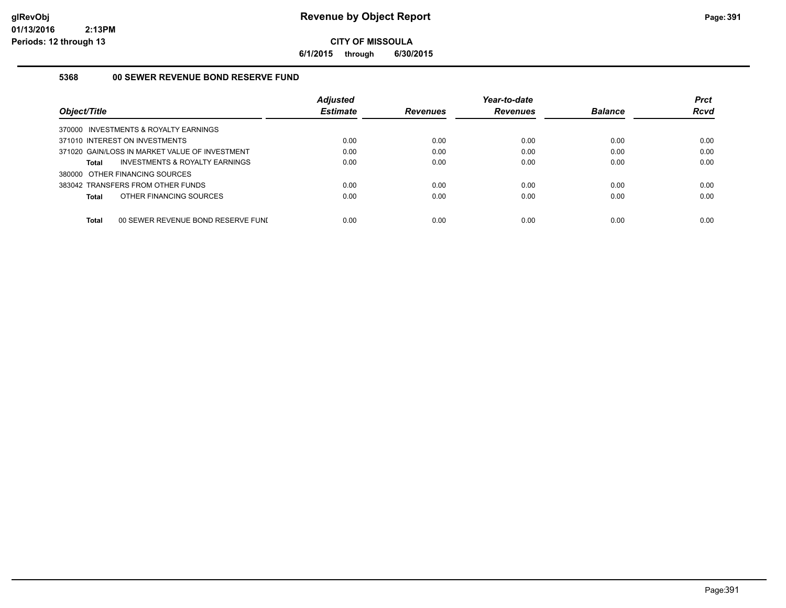**6/1/2015 through 6/30/2015**

## **5368 00 SEWER REVENUE BOND RESERVE FUND**

| Object/Title                                       | <b>Adjusted</b><br><b>Estimate</b> | <b>Revenues</b> | Year-to-date<br><b>Revenues</b> | <b>Balance</b> | <b>Prct</b><br><b>Rcvd</b> |
|----------------------------------------------------|------------------------------------|-----------------|---------------------------------|----------------|----------------------------|
| 370000 INVESTMENTS & ROYALTY EARNINGS              |                                    |                 |                                 |                |                            |
| 371010 INTEREST ON INVESTMENTS                     | 0.00                               | 0.00            | 0.00                            | 0.00           | 0.00                       |
| 371020 GAIN/LOSS IN MARKET VALUE OF INVESTMENT     | 0.00                               | 0.00            | 0.00                            | 0.00           | 0.00                       |
| INVESTMENTS & ROYALTY EARNINGS<br>Total            | 0.00                               | 0.00            | 0.00                            | 0.00           | 0.00                       |
| 380000 OTHER FINANCING SOURCES                     |                                    |                 |                                 |                |                            |
| 383042 TRANSFERS FROM OTHER FUNDS                  | 0.00                               | 0.00            | 0.00                            | 0.00           | 0.00                       |
| OTHER FINANCING SOURCES<br>Total                   | 0.00                               | 0.00            | 0.00                            | 0.00           | 0.00                       |
|                                                    |                                    |                 |                                 |                |                            |
| 00 SEWER REVENUE BOND RESERVE FUNI<br><b>Total</b> | 0.00                               | 0.00            | 0.00                            | 0.00           | 0.00                       |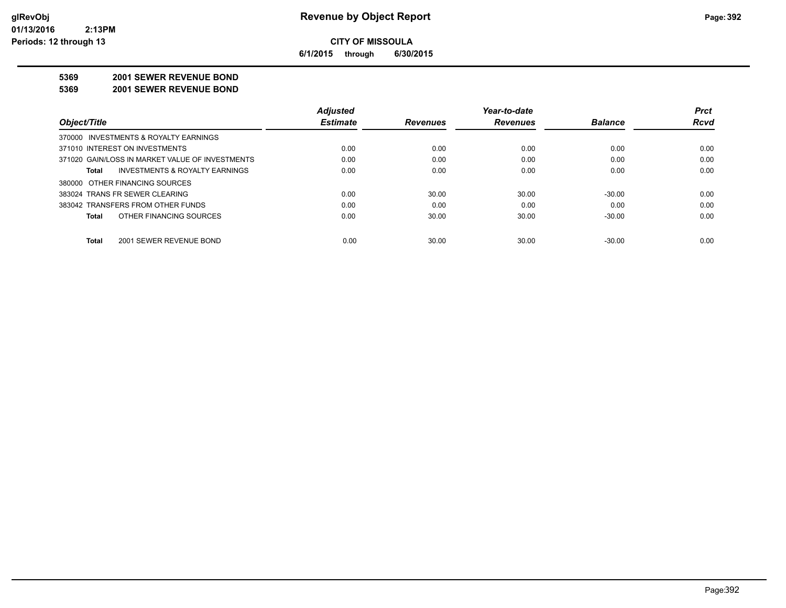**6/1/2015 through 6/30/2015**

### **5369 2001 SEWER REVENUE BOND**

**5369 2001 SEWER REVENUE BOND**

|                                                    | <b>Adiusted</b> |                 | Year-to-date    |                | <b>Prct</b> |
|----------------------------------------------------|-----------------|-----------------|-----------------|----------------|-------------|
| Object/Title                                       | <b>Estimate</b> | <b>Revenues</b> | <b>Revenues</b> | <b>Balance</b> | <b>Rcvd</b> |
| 370000 INVESTMENTS & ROYALTY EARNINGS              |                 |                 |                 |                |             |
| 371010 INTEREST ON INVESTMENTS                     | 0.00            | 0.00            | 0.00            | 0.00           | 0.00        |
| 371020 GAIN/LOSS IN MARKET VALUE OF INVESTMENTS    | 0.00            | 0.00            | 0.00            | 0.00           | 0.00        |
| <b>INVESTMENTS &amp; ROYALTY EARNINGS</b><br>Total | 0.00            | 0.00            | 0.00            | 0.00           | 0.00        |
| 380000 OTHER FINANCING SOURCES                     |                 |                 |                 |                |             |
| 383024 TRANS FR SEWER CLEARING                     | 0.00            | 30.00           | 30.00           | $-30.00$       | 0.00        |
| 383042 TRANSFERS FROM OTHER FUNDS                  | 0.00            | 0.00            | 0.00            | 0.00           | 0.00        |
| OTHER FINANCING SOURCES<br>Total                   | 0.00            | 30.00           | 30.00           | $-30.00$       | 0.00        |
|                                                    |                 |                 |                 |                |             |
| 2001 SEWER REVENUE BOND<br><b>Total</b>            | 0.00            | 30.00           | 30.00           | $-30.00$       | 0.00        |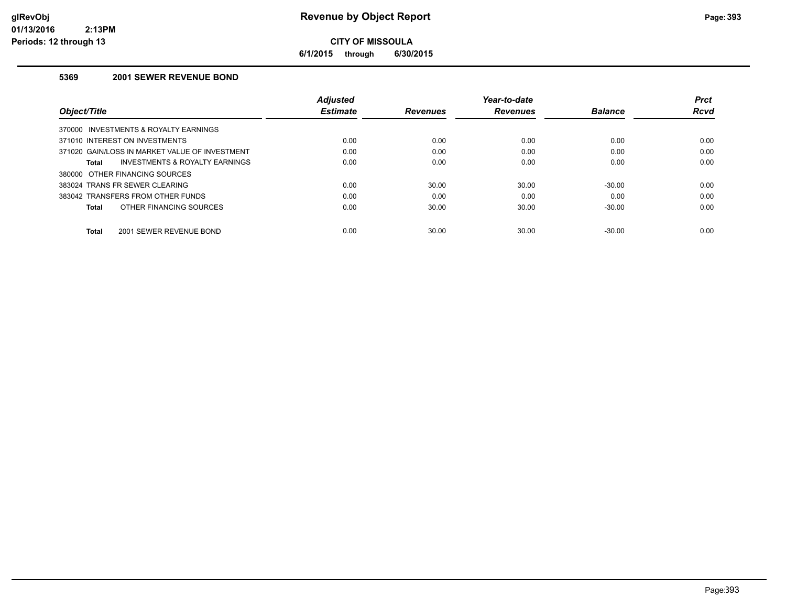**6/1/2015 through 6/30/2015**

# **5369 2001 SEWER REVENUE BOND**

|                                                | <b>Adjusted</b> |                 | Year-to-date    |                | <b>Prct</b> |
|------------------------------------------------|-----------------|-----------------|-----------------|----------------|-------------|
| Object/Title                                   | <b>Estimate</b> | <b>Revenues</b> | <b>Revenues</b> | <b>Balance</b> | <b>Rcvd</b> |
| 370000 INVESTMENTS & ROYALTY EARNINGS          |                 |                 |                 |                |             |
| 371010 INTEREST ON INVESTMENTS                 | 0.00            | 0.00            | 0.00            | 0.00           | 0.00        |
| 371020 GAIN/LOSS IN MARKET VALUE OF INVESTMENT | 0.00            | 0.00            | 0.00            | 0.00           | 0.00        |
| INVESTMENTS & ROYALTY EARNINGS<br>Total        | 0.00            | 0.00            | 0.00            | 0.00           | 0.00        |
| OTHER FINANCING SOURCES<br>380000              |                 |                 |                 |                |             |
| 383024 TRANS FR SEWER CLEARING                 | 0.00            | 30.00           | 30.00           | $-30.00$       | 0.00        |
| 383042 TRANSFERS FROM OTHER FUNDS              | 0.00            | 0.00            | 0.00            | 0.00           | 0.00        |
| OTHER FINANCING SOURCES<br><b>Total</b>        | 0.00            | 30.00           | 30.00           | $-30.00$       | 0.00        |
| 2001 SEWER REVENUE BOND<br><b>Total</b>        | 0.00            | 30.00           | 30.00           | $-30.00$       | 0.00        |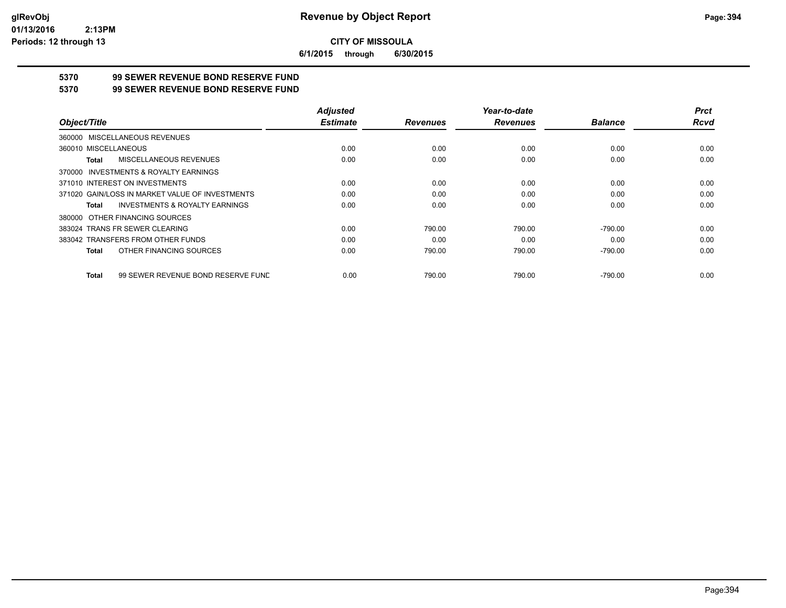**6/1/2015 through 6/30/2015**

# **5370 99 SEWER REVENUE BOND RESERVE FUND**

### **5370 99 SEWER REVENUE BOND RESERVE FUND**

|                                                    | <b>Adjusted</b> |                 | Year-to-date    |                | <b>Prct</b> |
|----------------------------------------------------|-----------------|-----------------|-----------------|----------------|-------------|
| Object/Title                                       | <b>Estimate</b> | <b>Revenues</b> | <b>Revenues</b> | <b>Balance</b> | <b>Rcvd</b> |
| 360000 MISCELLANEOUS REVENUES                      |                 |                 |                 |                |             |
| 360010 MISCELLANEOUS                               | 0.00            | 0.00            | 0.00            | 0.00           | 0.00        |
| MISCELLANEOUS REVENUES<br>Total                    | 0.00            | 0.00            | 0.00            | 0.00           | 0.00        |
| 370000 INVESTMENTS & ROYALTY EARNINGS              |                 |                 |                 |                |             |
| 371010 INTEREST ON INVESTMENTS                     | 0.00            | 0.00            | 0.00            | 0.00           | 0.00        |
| 371020 GAIN/LOSS IN MARKET VALUE OF INVESTMENTS    | 0.00            | 0.00            | 0.00            | 0.00           | 0.00        |
| <b>INVESTMENTS &amp; ROYALTY EARNINGS</b><br>Total | 0.00            | 0.00            | 0.00            | 0.00           | 0.00        |
| 380000 OTHER FINANCING SOURCES                     |                 |                 |                 |                |             |
| 383024 TRANS FR SEWER CLEARING                     | 0.00            | 790.00          | 790.00          | $-790.00$      | 0.00        |
| 383042 TRANSFERS FROM OTHER FUNDS                  | 0.00            | 0.00            | 0.00            | 0.00           | 0.00        |
| OTHER FINANCING SOURCES<br><b>Total</b>            | 0.00            | 790.00          | 790.00          | -790.00        | 0.00        |
| 99 SEWER REVENUE BOND RESERVE FUND<br><b>Total</b> | 0.00            | 790.00          | 790.00          | $-790.00$      | 0.00        |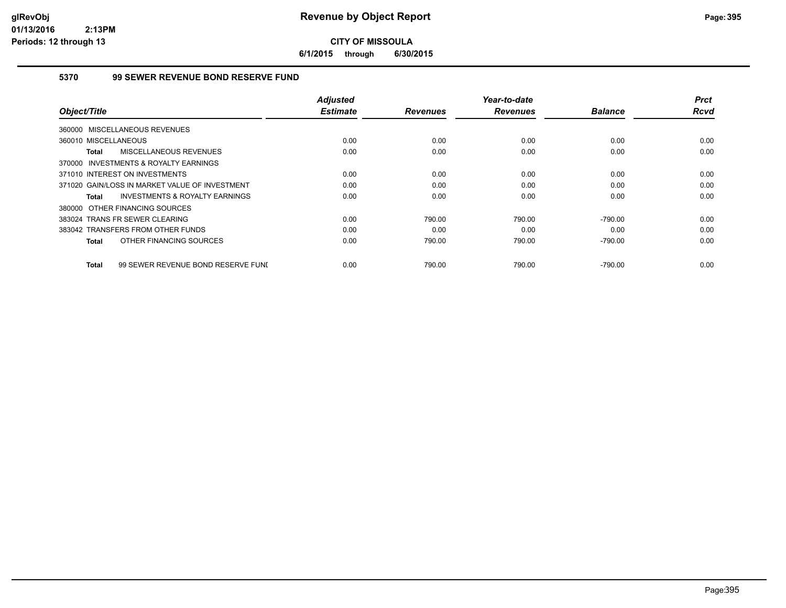**6/1/2015 through 6/30/2015**

# **5370 99 SEWER REVENUE BOND RESERVE FUND**

| Object/Title                                       | <b>Adjusted</b><br><b>Estimate</b> | <b>Revenues</b> | Year-to-date<br><b>Revenues</b> | <b>Balance</b> | <b>Prct</b><br><b>Rcvd</b> |
|----------------------------------------------------|------------------------------------|-----------------|---------------------------------|----------------|----------------------------|
| 360000 MISCELLANEOUS REVENUES                      |                                    |                 |                                 |                |                            |
| 360010 MISCELLANEOUS                               | 0.00                               | 0.00            | 0.00                            | 0.00           | 0.00                       |
| MISCELLANEOUS REVENUES<br>Total                    | 0.00                               | 0.00            | 0.00                            | 0.00           | 0.00                       |
| 370000 INVESTMENTS & ROYALTY EARNINGS              |                                    |                 |                                 |                |                            |
| 371010 INTEREST ON INVESTMENTS                     | 0.00                               | 0.00            | 0.00                            | 0.00           | 0.00                       |
| 371020 GAIN/LOSS IN MARKET VALUE OF INVESTMENT     | 0.00                               | 0.00            | 0.00                            | 0.00           | 0.00                       |
| <b>INVESTMENTS &amp; ROYALTY EARNINGS</b><br>Total | 0.00                               | 0.00            | 0.00                            | 0.00           | 0.00                       |
| 380000 OTHER FINANCING SOURCES                     |                                    |                 |                                 |                |                            |
| 383024 TRANS FR SEWER CLEARING                     | 0.00                               | 790.00          | 790.00                          | $-790.00$      | 0.00                       |
| 383042 TRANSFERS FROM OTHER FUNDS                  | 0.00                               | 0.00            | 0.00                            | 0.00           | 0.00                       |
| OTHER FINANCING SOURCES<br>Total                   | 0.00                               | 790.00          | 790.00                          | $-790.00$      | 0.00                       |
| 99 SEWER REVENUE BOND RESERVE FUNI<br><b>Total</b> | 0.00                               | 790.00          | 790.00                          | $-790.00$      | 0.00                       |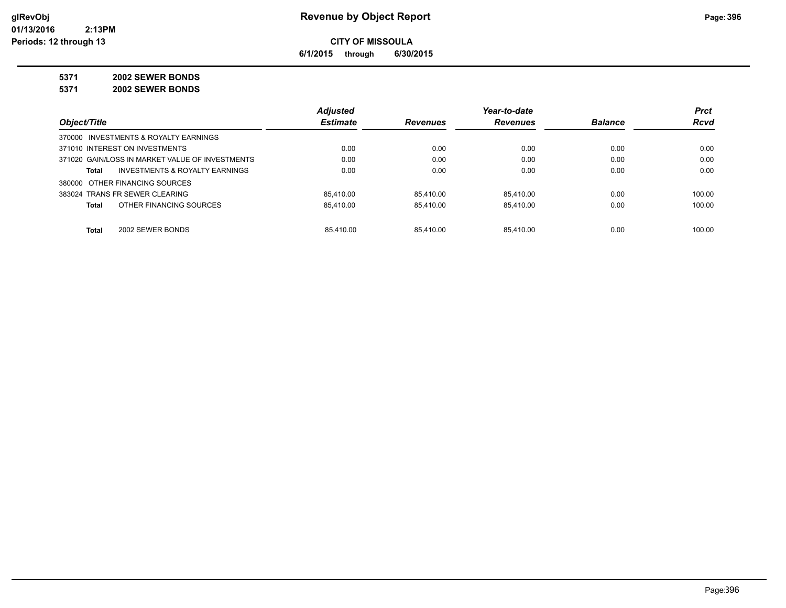**6/1/2015 through 6/30/2015**

**5371 2002 SEWER BONDS**

**5371 2002 SEWER BONDS**

|                                                    | <b>Adjusted</b> |                 | Year-to-date    |                | <b>Prct</b> |
|----------------------------------------------------|-----------------|-----------------|-----------------|----------------|-------------|
| Object/Title                                       | <b>Estimate</b> | <b>Revenues</b> | <b>Revenues</b> | <b>Balance</b> | <b>Rcvd</b> |
| 370000 INVESTMENTS & ROYALTY EARNINGS              |                 |                 |                 |                |             |
| 371010 INTEREST ON INVESTMENTS                     | 0.00            | 0.00            | 0.00            | 0.00           | 0.00        |
| 371020 GAIN/LOSS IN MARKET VALUE OF INVESTMENTS    | 0.00            | 0.00            | 0.00            | 0.00           | 0.00        |
| <b>INVESTMENTS &amp; ROYALTY EARNINGS</b><br>Total | 0.00            | 0.00            | 0.00            | 0.00           | 0.00        |
| 380000 OTHER FINANCING SOURCES                     |                 |                 |                 |                |             |
| 383024 TRANS FR SEWER CLEARING                     | 85.410.00       | 85.410.00       | 85.410.00       | 0.00           | 100.00      |
| OTHER FINANCING SOURCES<br>Total                   | 85.410.00       | 85.410.00       | 85.410.00       | 0.00           | 100.00      |
| 2002 SEWER BONDS<br>Total                          | 85.410.00       | 85.410.00       | 85.410.00       | 0.00           | 100.00      |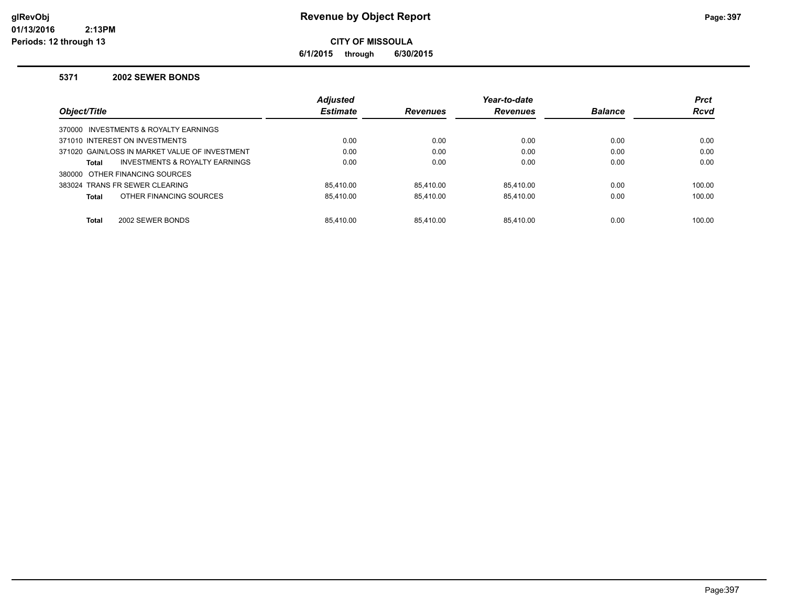**6/1/2015 through 6/30/2015**

#### **5371 2002 SEWER BONDS**

|                                                    | <b>Adjusted</b> |                 | Year-to-date    |                | <b>Prct</b> |
|----------------------------------------------------|-----------------|-----------------|-----------------|----------------|-------------|
| Object/Title                                       | <b>Estimate</b> | <b>Revenues</b> | <b>Revenues</b> | <b>Balance</b> | Rcvd        |
| 370000 INVESTMENTS & ROYALTY EARNINGS              |                 |                 |                 |                |             |
| 371010 INTEREST ON INVESTMENTS                     | 0.00            | 0.00            | 0.00            | 0.00           | 0.00        |
| 371020 GAIN/LOSS IN MARKET VALUE OF INVESTMENT     | 0.00            | 0.00            | 0.00            | 0.00           | 0.00        |
| <b>INVESTMENTS &amp; ROYALTY EARNINGS</b><br>Total | 0.00            | 0.00            | 0.00            | 0.00           | 0.00        |
| 380000 OTHER FINANCING SOURCES                     |                 |                 |                 |                |             |
| 383024 TRANS FR SEWER CLEARING                     | 85.410.00       | 85.410.00       | 85.410.00       | 0.00           | 100.00      |
| OTHER FINANCING SOURCES<br>Total                   | 85.410.00       | 85.410.00       | 85.410.00       | 0.00           | 100.00      |
|                                                    |                 |                 |                 |                |             |
| <b>Total</b><br>2002 SEWER BONDS                   | 85.410.00       | 85.410.00       | 85.410.00       | 0.00           | 100.00      |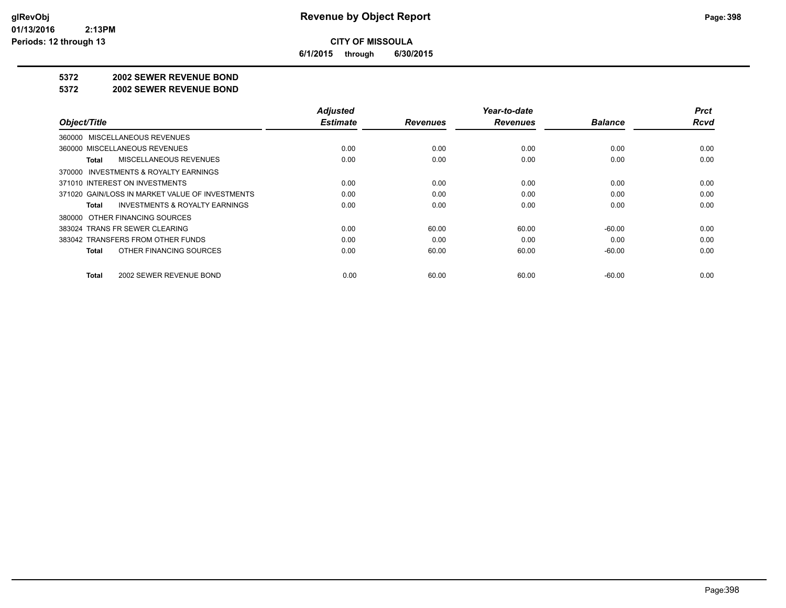**6/1/2015 through 6/30/2015**

#### **5372 2002 SEWER REVENUE BOND**

#### **5372 2002 SEWER REVENUE BOND**

|                                                    | <b>Adjusted</b> |                 | Year-to-date    |                | <b>Prct</b> |
|----------------------------------------------------|-----------------|-----------------|-----------------|----------------|-------------|
| Object/Title                                       | <b>Estimate</b> | <b>Revenues</b> | <b>Revenues</b> | <b>Balance</b> | <b>Rcvd</b> |
| 360000 MISCELLANEOUS REVENUES                      |                 |                 |                 |                |             |
| 360000 MISCELLANEOUS REVENUES                      | 0.00            | 0.00            | 0.00            | 0.00           | 0.00        |
| MISCELLANEOUS REVENUES<br>Total                    | 0.00            | 0.00            | 0.00            | 0.00           | 0.00        |
| INVESTMENTS & ROYALTY EARNINGS<br>370000           |                 |                 |                 |                |             |
| 371010 INTEREST ON INVESTMENTS                     | 0.00            | 0.00            | 0.00            | 0.00           | 0.00        |
| 371020 GAIN/LOSS IN MARKET VALUE OF INVESTMENTS    | 0.00            | 0.00            | 0.00            | 0.00           | 0.00        |
| <b>INVESTMENTS &amp; ROYALTY EARNINGS</b><br>Total | 0.00            | 0.00            | 0.00            | 0.00           | 0.00        |
| 380000 OTHER FINANCING SOURCES                     |                 |                 |                 |                |             |
| 383024 TRANS FR SEWER CLEARING                     | 0.00            | 60.00           | 60.00           | -60.00         | 0.00        |
| 383042 TRANSFERS FROM OTHER FUNDS                  | 0.00            | 0.00            | 0.00            | 0.00           | 0.00        |
| OTHER FINANCING SOURCES<br>Total                   | 0.00            | 60.00           | 60.00           | $-60.00$       | 0.00        |
| 2002 SEWER REVENUE BOND<br><b>Total</b>            | 0.00            | 60.00           | 60.00           | $-60.00$       | 0.00        |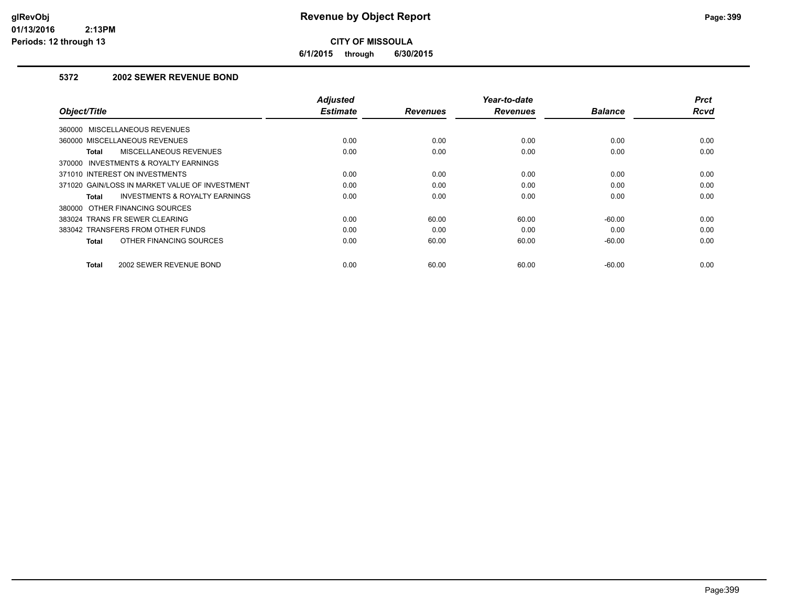**6/1/2015 through 6/30/2015**

### **5372 2002 SEWER REVENUE BOND**

| Object/Title                                       | <b>Adjusted</b><br><b>Estimate</b> | <b>Revenues</b> | Year-to-date<br><b>Revenues</b> | <b>Balance</b> | <b>Prct</b><br><b>Rcvd</b> |
|----------------------------------------------------|------------------------------------|-----------------|---------------------------------|----------------|----------------------------|
| 360000 MISCELLANEOUS REVENUES                      |                                    |                 |                                 |                |                            |
| 360000 MISCELLANEOUS REVENUES                      | 0.00                               | 0.00            | 0.00                            | 0.00           | 0.00                       |
| MISCELLANEOUS REVENUES<br>Total                    | 0.00                               | 0.00            | 0.00                            | 0.00           | 0.00                       |
| 370000 INVESTMENTS & ROYALTY EARNINGS              |                                    |                 |                                 |                |                            |
| 371010 INTEREST ON INVESTMENTS                     | 0.00                               | 0.00            | 0.00                            | 0.00           | 0.00                       |
| 371020 GAIN/LOSS IN MARKET VALUE OF INVESTMENT     | 0.00                               | 0.00            | 0.00                            | 0.00           | 0.00                       |
| <b>INVESTMENTS &amp; ROYALTY EARNINGS</b><br>Total | 0.00                               | 0.00            | 0.00                            | 0.00           | 0.00                       |
| 380000 OTHER FINANCING SOURCES                     |                                    |                 |                                 |                |                            |
| 383024 TRANS FR SEWER CLEARING                     | 0.00                               | 60.00           | 60.00                           | $-60.00$       | 0.00                       |
| 383042 TRANSFERS FROM OTHER FUNDS                  | 0.00                               | 0.00            | 0.00                            | 0.00           | 0.00                       |
| OTHER FINANCING SOURCES<br>Total                   | 0.00                               | 60.00           | 60.00                           | $-60.00$       | 0.00                       |
| 2002 SEWER REVENUE BOND<br>Total                   | 0.00                               | 60.00           | 60.00                           | $-60.00$       | 0.00                       |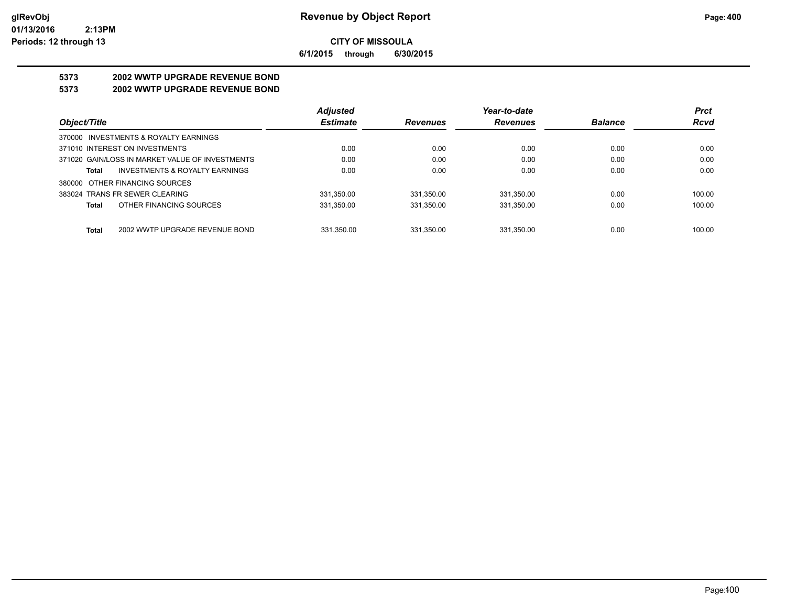**6/1/2015 through 6/30/2015**

# **5373 2002 WWTP UPGRADE REVENUE BOND**

### **5373 2002 WWTP UPGRADE REVENUE BOND**

|                                                 | <b>Adjusted</b> |                 | Year-to-date    |                | <b>Prct</b> |
|-------------------------------------------------|-----------------|-----------------|-----------------|----------------|-------------|
| Object/Title                                    | <b>Estimate</b> | <b>Revenues</b> | <b>Revenues</b> | <b>Balance</b> | <b>Rcvd</b> |
| 370000 INVESTMENTS & ROYALTY EARNINGS           |                 |                 |                 |                |             |
| 371010 INTEREST ON INVESTMENTS                  | 0.00            | 0.00            | 0.00            | 0.00           | 0.00        |
| 371020 GAIN/LOSS IN MARKET VALUE OF INVESTMENTS | 0.00            | 0.00            | 0.00            | 0.00           | 0.00        |
| INVESTMENTS & ROYALTY EARNINGS<br>Total         | 0.00            | 0.00            | 0.00            | 0.00           | 0.00        |
| 380000 OTHER FINANCING SOURCES                  |                 |                 |                 |                |             |
| 383024 TRANS FR SEWER CLEARING                  | 331.350.00      | 331.350.00      | 331.350.00      | 0.00           | 100.00      |
| OTHER FINANCING SOURCES<br><b>Total</b>         | 331.350.00      | 331.350.00      | 331,350.00      | 0.00           | 100.00      |
|                                                 |                 |                 |                 |                |             |
| <b>Total</b><br>2002 WWTP UPGRADE REVENUE BOND  | 331.350.00      | 331.350.00      | 331.350.00      | 0.00           | 100.00      |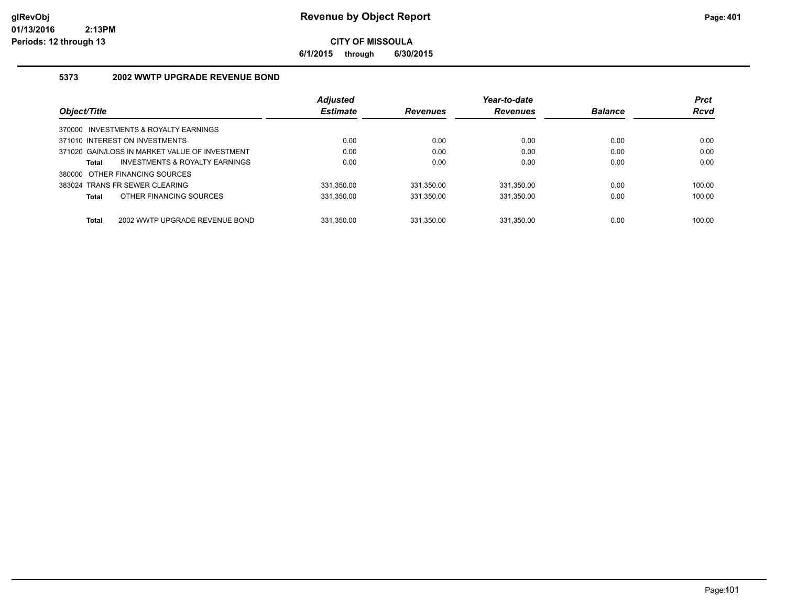**6/1/2015 through 6/30/2015**

#### **5373 2002 WWTP UPGRADE REVENUE BOND**

|                                       |                                                | <b>Adjusted</b> |                 | Year-to-date    |                | <b>Prct</b> |
|---------------------------------------|------------------------------------------------|-----------------|-----------------|-----------------|----------------|-------------|
| Object/Title                          |                                                | <b>Estimate</b> | <b>Revenues</b> | <b>Revenues</b> | <b>Balance</b> | <b>Rcvd</b> |
| 370000 INVESTMENTS & ROYALTY EARNINGS |                                                |                 |                 |                 |                |             |
| 371010 INTEREST ON INVESTMENTS        |                                                | 0.00            | 0.00            | 0.00            | 0.00           | 0.00        |
|                                       | 371020 GAIN/LOSS IN MARKET VALUE OF INVESTMENT | 0.00            | 0.00            | 0.00            | 0.00           | 0.00        |
| Total                                 | INVESTMENTS & ROYALTY EARNINGS                 | 0.00            | 0.00            | 0.00            | 0.00           | 0.00        |
| 380000 OTHER FINANCING SOURCES        |                                                |                 |                 |                 |                |             |
| 383024 TRANS FR SEWER CLEARING        |                                                | 331.350.00      | 331.350.00      | 331.350.00      | 0.00           | 100.00      |
| Total                                 | OTHER FINANCING SOURCES                        | 331.350.00      | 331.350.00      | 331.350.00      | 0.00           | 100.00      |
| <b>Total</b>                          | 2002 WWTP UPGRADE REVENUE BOND                 | 331.350.00      | 331.350.00      | 331.350.00      | 0.00           | 100.00      |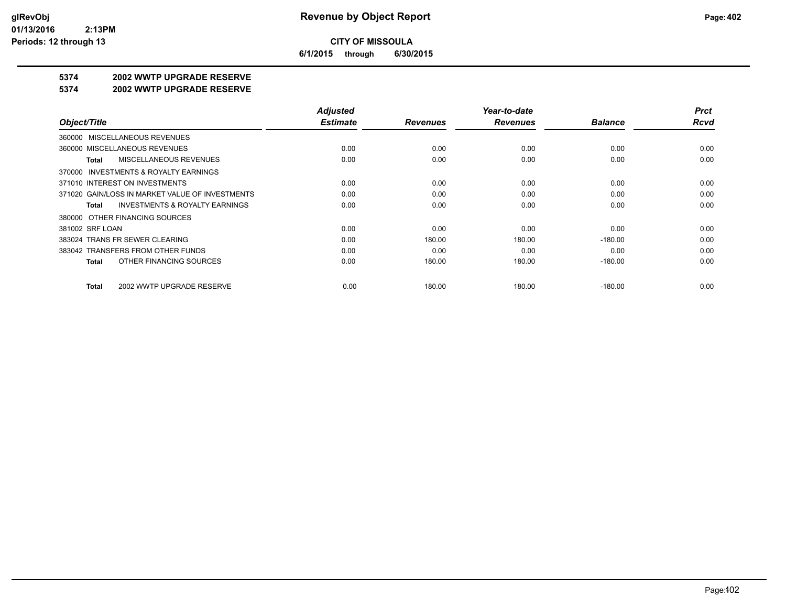**6/1/2015 through 6/30/2015**

#### **5374 2002 WWTP UPGRADE RESERVE**

#### **5374 2002 WWTP UPGRADE RESERVE**

|                                                    | <b>Adjusted</b> |                 | Year-to-date    |                | <b>Prct</b> |
|----------------------------------------------------|-----------------|-----------------|-----------------|----------------|-------------|
| Object/Title                                       | <b>Estimate</b> | <b>Revenues</b> | <b>Revenues</b> | <b>Balance</b> | <b>Rcvd</b> |
| 360000 MISCELLANEOUS REVENUES                      |                 |                 |                 |                |             |
| 360000 MISCELLANEOUS REVENUES                      | 0.00            | 0.00            | 0.00            | 0.00           | 0.00        |
| MISCELLANEOUS REVENUES<br>Total                    | 0.00            | 0.00            | 0.00            | 0.00           | 0.00        |
| 370000 INVESTMENTS & ROYALTY EARNINGS              |                 |                 |                 |                |             |
| 371010 INTEREST ON INVESTMENTS                     | 0.00            | 0.00            | 0.00            | 0.00           | 0.00        |
| 371020 GAIN/LOSS IN MARKET VALUE OF INVESTMENTS    | 0.00            | 0.00            | 0.00            | 0.00           | 0.00        |
| <b>INVESTMENTS &amp; ROYALTY EARNINGS</b><br>Total | 0.00            | 0.00            | 0.00            | 0.00           | 0.00        |
| 380000 OTHER FINANCING SOURCES                     |                 |                 |                 |                |             |
| 381002 SRF LOAN                                    | 0.00            | 0.00            | 0.00            | 0.00           | 0.00        |
| 383024 TRANS FR SEWER CLEARING                     | 0.00            | 180.00          | 180.00          | $-180.00$      | 0.00        |
| 383042 TRANSFERS FROM OTHER FUNDS                  | 0.00            | 0.00            | 0.00            | 0.00           | 0.00        |
| OTHER FINANCING SOURCES<br>Total                   | 0.00            | 180.00          | 180.00          | $-180.00$      | 0.00        |
| 2002 WWTP UPGRADE RESERVE<br>Total                 | 0.00            | 180.00          | 180.00          | $-180.00$      | 0.00        |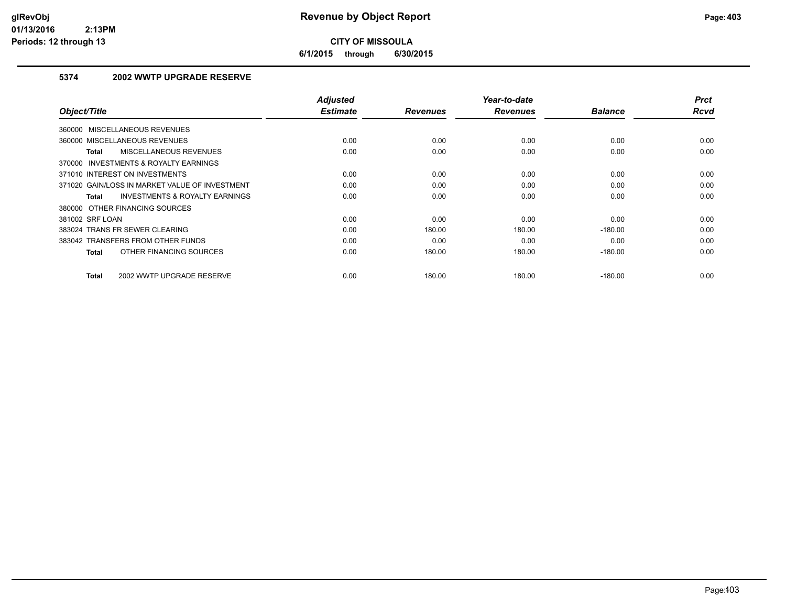**6/1/2015 through 6/30/2015**

#### **5374 2002 WWTP UPGRADE RESERVE**

| Object/Title                                              | <b>Adjusted</b><br><b>Estimate</b> | <b>Revenues</b> | Year-to-date<br><b>Revenues</b> | <b>Balance</b> | <b>Prct</b><br><b>Rcvd</b> |
|-----------------------------------------------------------|------------------------------------|-----------------|---------------------------------|----------------|----------------------------|
| <b>MISCELLANEOUS REVENUES</b><br>360000                   |                                    |                 |                                 |                |                            |
| 360000 MISCELLANEOUS REVENUES                             | 0.00                               | 0.00            | 0.00                            | 0.00           | 0.00                       |
| MISCELLANEOUS REVENUES<br><b>Total</b>                    | 0.00                               | 0.00            | 0.00                            | 0.00           | 0.00                       |
| INVESTMENTS & ROYALTY EARNINGS<br>370000                  |                                    |                 |                                 |                |                            |
| 371010 INTEREST ON INVESTMENTS                            | 0.00                               | 0.00            | 0.00                            | 0.00           | 0.00                       |
| 371020 GAIN/LOSS IN MARKET VALUE OF INVESTMENT            | 0.00                               | 0.00            | 0.00                            | 0.00           | 0.00                       |
| <b>INVESTMENTS &amp; ROYALTY EARNINGS</b><br><b>Total</b> | 0.00                               | 0.00            | 0.00                            | 0.00           | 0.00                       |
| 380000 OTHER FINANCING SOURCES                            |                                    |                 |                                 |                |                            |
| 381002 SRF LOAN                                           | 0.00                               | 0.00            | 0.00                            | 0.00           | 0.00                       |
| 383024 TRANS FR SEWER CLEARING                            | 0.00                               | 180.00          | 180.00                          | $-180.00$      | 0.00                       |
| 383042 TRANSFERS FROM OTHER FUNDS                         | 0.00                               | 0.00            | 0.00                            | 0.00           | 0.00                       |
| OTHER FINANCING SOURCES<br><b>Total</b>                   | 0.00                               | 180.00          | 180.00                          | $-180.00$      | 0.00                       |
|                                                           |                                    |                 |                                 |                |                            |
| 2002 WWTP UPGRADE RESERVE<br><b>Total</b>                 | 0.00                               | 180.00          | 180.00                          | $-180.00$      | 0.00                       |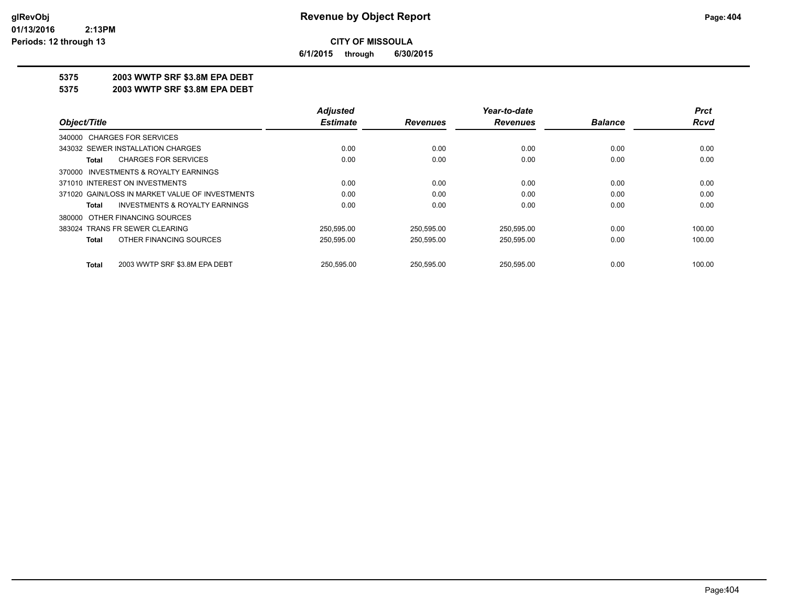**6/1/2015 through 6/30/2015**

### **5375 2003 WWTP SRF \$3.8M EPA DEBT**

**5375 2003 WWTP SRF \$3.8M EPA DEBT**

|                                                    | <b>Adjusted</b> |                 | Year-to-date    |                | <b>Prct</b> |
|----------------------------------------------------|-----------------|-----------------|-----------------|----------------|-------------|
| Object/Title                                       | <b>Estimate</b> | <b>Revenues</b> | <b>Revenues</b> | <b>Balance</b> | Rcvd        |
| 340000 CHARGES FOR SERVICES                        |                 |                 |                 |                |             |
| 343032 SEWER INSTALLATION CHARGES                  | 0.00            | 0.00            | 0.00            | 0.00           | 0.00        |
| <b>CHARGES FOR SERVICES</b><br>Total               | 0.00            | 0.00            | 0.00            | 0.00           | 0.00        |
| 370000 INVESTMENTS & ROYALTY EARNINGS              |                 |                 |                 |                |             |
| 371010 INTEREST ON INVESTMENTS                     | 0.00            | 0.00            | 0.00            | 0.00           | 0.00        |
| 371020 GAIN/LOSS IN MARKET VALUE OF INVESTMENTS    | 0.00            | 0.00            | 0.00            | 0.00           | 0.00        |
| <b>INVESTMENTS &amp; ROYALTY EARNINGS</b><br>Total | 0.00            | 0.00            | 0.00            | 0.00           | 0.00        |
| 380000 OTHER FINANCING SOURCES                     |                 |                 |                 |                |             |
| 383024 TRANS FR SEWER CLEARING                     | 250,595.00      | 250,595.00      | 250,595.00      | 0.00           | 100.00      |
| OTHER FINANCING SOURCES<br>Total                   | 250,595.00      | 250,595.00      | 250,595.00      | 0.00           | 100.00      |
| 2003 WWTP SRF \$3.8M EPA DEBT<br>Total             | 250.595.00      | 250.595.00      | 250.595.00      | 0.00           | 100.00      |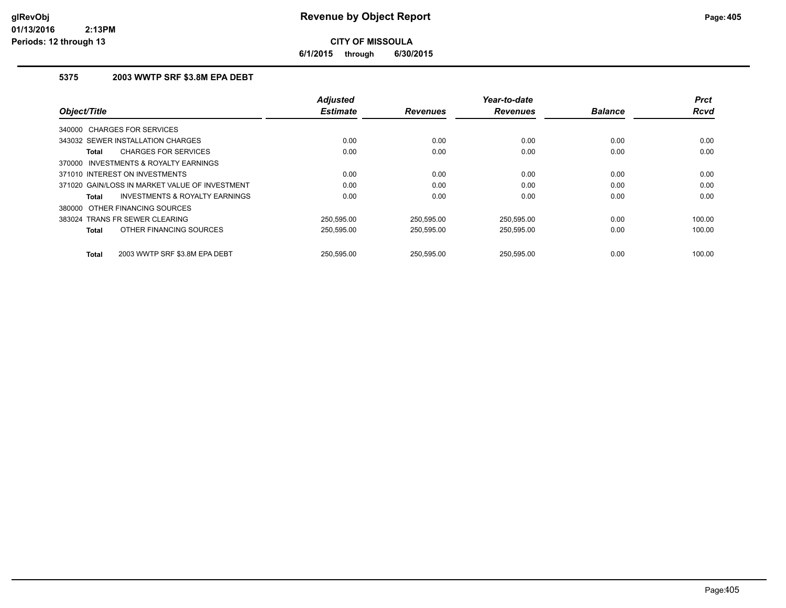**6/1/2015 through 6/30/2015**

### **5375 2003 WWTP SRF \$3.8M EPA DEBT**

| Object/Title                                       | <b>Adjusted</b><br><b>Estimate</b> | <b>Revenues</b> | Year-to-date<br><b>Revenues</b> | <b>Balance</b> | <b>Prct</b><br><b>Rcvd</b> |
|----------------------------------------------------|------------------------------------|-----------------|---------------------------------|----------------|----------------------------|
| 340000 CHARGES FOR SERVICES                        |                                    |                 |                                 |                |                            |
|                                                    |                                    |                 |                                 |                |                            |
| 343032 SEWER INSTALLATION CHARGES                  | 0.00                               | 0.00            | 0.00                            | 0.00           | 0.00                       |
| <b>CHARGES FOR SERVICES</b><br>Total               | 0.00                               | 0.00            | 0.00                            | 0.00           | 0.00                       |
| 370000 INVESTMENTS & ROYALTY EARNINGS              |                                    |                 |                                 |                |                            |
| 371010 INTEREST ON INVESTMENTS                     | 0.00                               | 0.00            | 0.00                            | 0.00           | 0.00                       |
| 371020 GAIN/LOSS IN MARKET VALUE OF INVESTMENT     | 0.00                               | 0.00            | 0.00                            | 0.00           | 0.00                       |
| <b>INVESTMENTS &amp; ROYALTY EARNINGS</b><br>Total | 0.00                               | 0.00            | 0.00                            | 0.00           | 0.00                       |
| 380000 OTHER FINANCING SOURCES                     |                                    |                 |                                 |                |                            |
| 383024 TRANS FR SEWER CLEARING                     | 250,595.00                         | 250,595.00      | 250,595.00                      | 0.00           | 100.00                     |
| OTHER FINANCING SOURCES<br>Total                   | 250,595.00                         | 250,595.00      | 250,595.00                      | 0.00           | 100.00                     |
| 2003 WWTP SRF \$3.8M EPA DEBT<br>Total             | 250.595.00                         | 250.595.00      | 250.595.00                      | 0.00           | 100.00                     |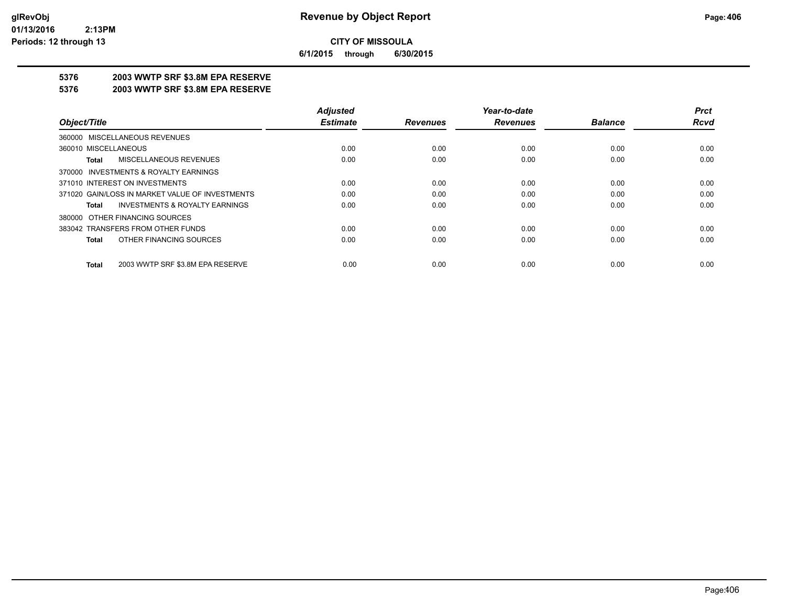**6/1/2015 through 6/30/2015**

### **5376 2003 WWTP SRF \$3.8M EPA RESERVE**

#### **5376 2003 WWTP SRF \$3.8M EPA RESERVE**

|                                                 | <b>Adjusted</b> |                 | Year-to-date    |                | <b>Prct</b> |
|-------------------------------------------------|-----------------|-----------------|-----------------|----------------|-------------|
| Object/Title                                    | <b>Estimate</b> | <b>Revenues</b> | <b>Revenues</b> | <b>Balance</b> | <b>Rcvd</b> |
| 360000 MISCELLANEOUS REVENUES                   |                 |                 |                 |                |             |
| 360010 MISCELLANEOUS                            | 0.00            | 0.00            | 0.00            | 0.00           | 0.00        |
| MISCELLANEOUS REVENUES<br>Total                 | 0.00            | 0.00            | 0.00            | 0.00           | 0.00        |
| 370000 INVESTMENTS & ROYALTY EARNINGS           |                 |                 |                 |                |             |
| 371010 INTEREST ON INVESTMENTS                  | 0.00            | 0.00            | 0.00            | 0.00           | 0.00        |
| 371020 GAIN/LOSS IN MARKET VALUE OF INVESTMENTS | 0.00            | 0.00            | 0.00            | 0.00           | 0.00        |
| INVESTMENTS & ROYALTY EARNINGS<br>Total         | 0.00            | 0.00            | 0.00            | 0.00           | 0.00        |
| 380000 OTHER FINANCING SOURCES                  |                 |                 |                 |                |             |
| 383042 TRANSFERS FROM OTHER FUNDS               | 0.00            | 0.00            | 0.00            | 0.00           | 0.00        |
| OTHER FINANCING SOURCES<br>Total                | 0.00            | 0.00            | 0.00            | 0.00           | 0.00        |
| 2003 WWTP SRF \$3.8M EPA RESERVE<br>Total       | 0.00            | 0.00            | 0.00            | 0.00           | 0.00        |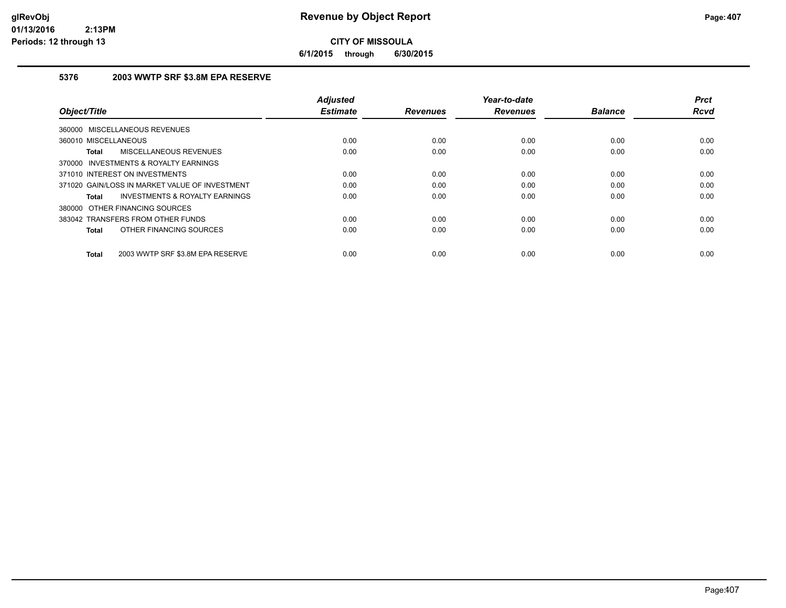**6/1/2015 through 6/30/2015**

#### **5376 2003 WWTP SRF \$3.8M EPA RESERVE**

| Object/Title                                       | <b>Adjusted</b><br><b>Estimate</b> | <b>Revenues</b> | Year-to-date<br><b>Revenues</b> | <b>Balance</b> | <b>Prct</b><br><b>Rcvd</b> |
|----------------------------------------------------|------------------------------------|-----------------|---------------------------------|----------------|----------------------------|
| 360000 MISCELLANEOUS REVENUES                      |                                    |                 |                                 |                |                            |
| 360010 MISCELLANEOUS                               | 0.00                               | 0.00            | 0.00                            | 0.00           | 0.00                       |
| <b>MISCELLANEOUS REVENUES</b><br>Total             | 0.00                               | 0.00            | 0.00                            | 0.00           | 0.00                       |
| 370000 INVESTMENTS & ROYALTY EARNINGS              |                                    |                 |                                 |                |                            |
| 371010 INTEREST ON INVESTMENTS                     | 0.00                               | 0.00            | 0.00                            | 0.00           | 0.00                       |
| 371020 GAIN/LOSS IN MARKET VALUE OF INVESTMENT     | 0.00                               | 0.00            | 0.00                            | 0.00           | 0.00                       |
| <b>INVESTMENTS &amp; ROYALTY EARNINGS</b><br>Total | 0.00                               | 0.00            | 0.00                            | 0.00           | 0.00                       |
| 380000 OTHER FINANCING SOURCES                     |                                    |                 |                                 |                |                            |
| 383042 TRANSFERS FROM OTHER FUNDS                  | 0.00                               | 0.00            | 0.00                            | 0.00           | 0.00                       |
| OTHER FINANCING SOURCES<br>Total                   | 0.00                               | 0.00            | 0.00                            | 0.00           | 0.00                       |
| 2003 WWTP SRF \$3.8M EPA RESERVE<br><b>Total</b>   | 0.00                               | 0.00            | 0.00                            | 0.00           | 0.00                       |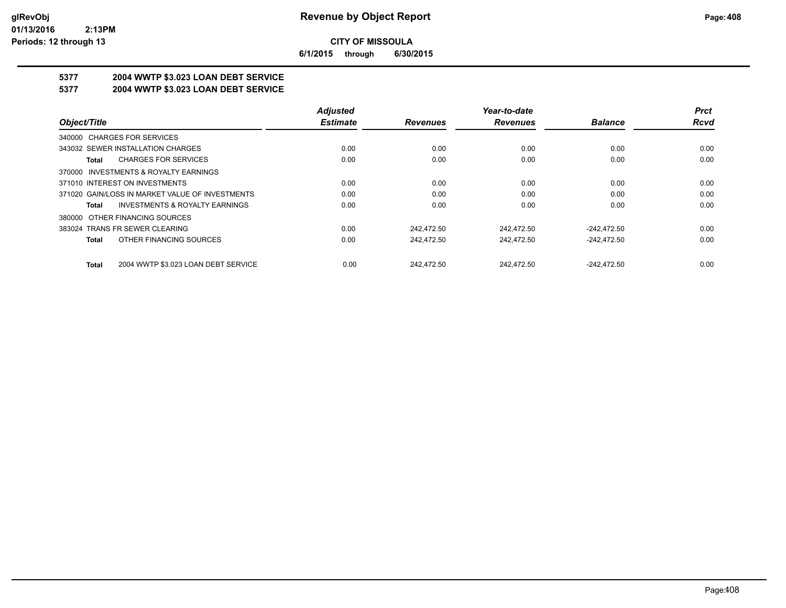**6/1/2015 through 6/30/2015**

# **5377 2004 WWTP \$3.023 LOAN DEBT SERVICE**

### **5377 2004 WWTP \$3.023 LOAN DEBT SERVICE**

|                                                     | <b>Adjusted</b> |                 | Year-to-date    |                | <b>Prct</b> |
|-----------------------------------------------------|-----------------|-----------------|-----------------|----------------|-------------|
| Object/Title                                        | <b>Estimate</b> | <b>Revenues</b> | <b>Revenues</b> | <b>Balance</b> | Rcvd        |
| 340000 CHARGES FOR SERVICES                         |                 |                 |                 |                |             |
| 343032 SEWER INSTALLATION CHARGES                   | 0.00            | 0.00            | 0.00            | 0.00           | 0.00        |
| <b>CHARGES FOR SERVICES</b><br>Total                | 0.00            | 0.00            | 0.00            | 0.00           | 0.00        |
| 370000 INVESTMENTS & ROYALTY EARNINGS               |                 |                 |                 |                |             |
| 371010 INTEREST ON INVESTMENTS                      | 0.00            | 0.00            | 0.00            | 0.00           | 0.00        |
| 371020 GAIN/LOSS IN MARKET VALUE OF INVESTMENTS     | 0.00            | 0.00            | 0.00            | 0.00           | 0.00        |
| <b>INVESTMENTS &amp; ROYALTY EARNINGS</b><br>Total  | 0.00            | 0.00            | 0.00            | 0.00           | 0.00        |
| OTHER FINANCING SOURCES<br>380000                   |                 |                 |                 |                |             |
| 383024 TRANS FR SEWER CLEARING                      | 0.00            | 242.472.50      | 242.472.50      | -242.472.50    | 0.00        |
| OTHER FINANCING SOURCES<br>Total                    | 0.00            | 242,472.50      | 242.472.50      | -242.472.50    | 0.00        |
| 2004 WWTP \$3.023 LOAN DEBT SERVICE<br><b>Total</b> | 0.00            | 242.472.50      | 242.472.50      | $-242.472.50$  | 0.00        |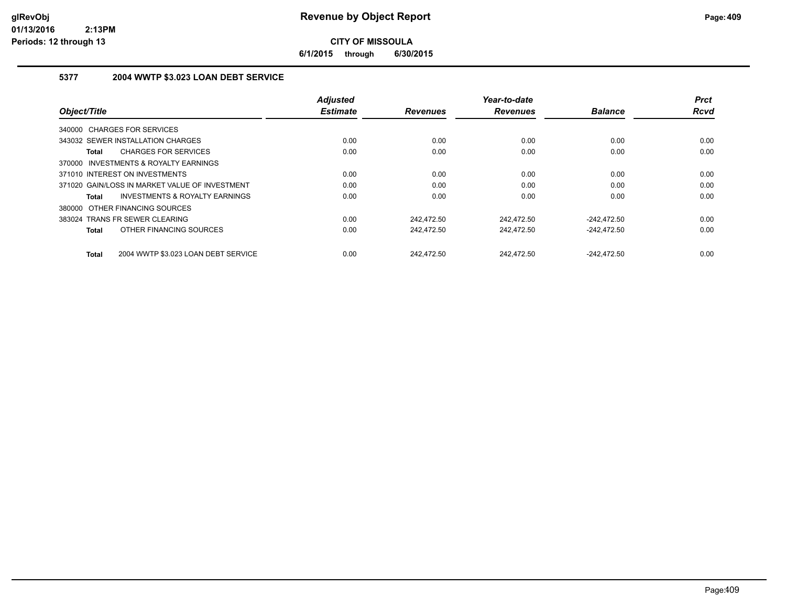**6/1/2015 through 6/30/2015**

#### **5377 2004 WWTP \$3.023 LOAN DEBT SERVICE**

| Object/Title                                        | <b>Adjusted</b><br><b>Estimate</b> | <b>Revenues</b> | Year-to-date<br><b>Revenues</b> | <b>Balance</b> | <b>Prct</b><br><b>Rcvd</b> |
|-----------------------------------------------------|------------------------------------|-----------------|---------------------------------|----------------|----------------------------|
| 340000 CHARGES FOR SERVICES                         |                                    |                 |                                 |                |                            |
| 343032 SEWER INSTALLATION CHARGES                   | 0.00                               | 0.00            | 0.00                            | 0.00           | 0.00                       |
| <b>CHARGES FOR SERVICES</b><br><b>Total</b>         | 0.00                               | 0.00            | 0.00                            | 0.00           | 0.00                       |
| 370000 INVESTMENTS & ROYALTY EARNINGS               |                                    |                 |                                 |                |                            |
| 371010 INTEREST ON INVESTMENTS                      | 0.00                               | 0.00            | 0.00                            | 0.00           | 0.00                       |
| 371020 GAIN/LOSS IN MARKET VALUE OF INVESTMENT      | 0.00                               | 0.00            | 0.00                            | 0.00           | 0.00                       |
| INVESTMENTS & ROYALTY EARNINGS<br><b>Total</b>      | 0.00                               | 0.00            | 0.00                            | 0.00           | 0.00                       |
| 380000 OTHER FINANCING SOURCES                      |                                    |                 |                                 |                |                            |
| 383024 TRANS FR SEWER CLEARING                      | 0.00                               | 242.472.50      | 242.472.50                      | $-242.472.50$  | 0.00                       |
| OTHER FINANCING SOURCES<br><b>Total</b>             | 0.00                               | 242.472.50      | 242.472.50                      | $-242.472.50$  | 0.00                       |
| 2004 WWTP \$3.023 LOAN DEBT SERVICE<br><b>Total</b> | 0.00                               | 242.472.50      | 242.472.50                      | $-242.472.50$  | 0.00                       |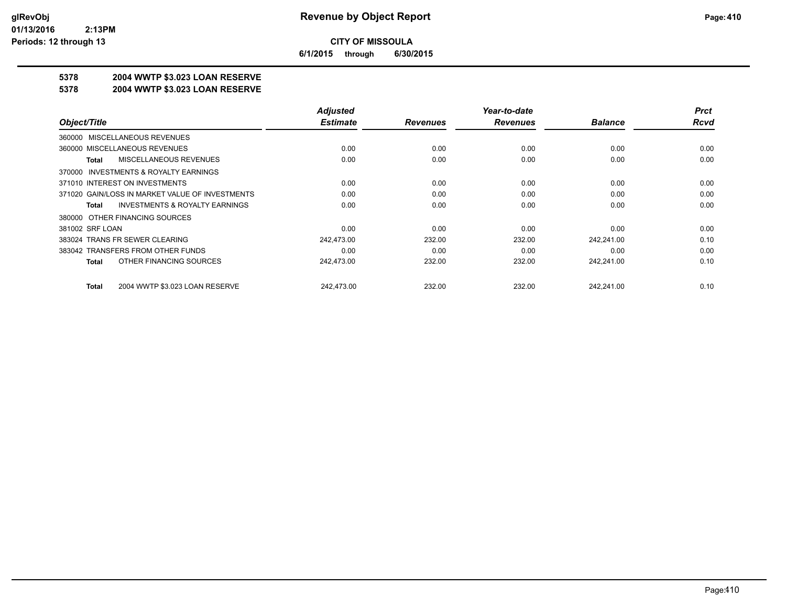**6/1/2015 through 6/30/2015**

### **5378 2004 WWTP \$3.023 LOAN RESERVE**

#### **5378 2004 WWTP \$3.023 LOAN RESERVE**

|                                                    | <b>Adjusted</b> |                 | Year-to-date    |                | <b>Prct</b> |
|----------------------------------------------------|-----------------|-----------------|-----------------|----------------|-------------|
| Object/Title                                       | <b>Estimate</b> | <b>Revenues</b> | <b>Revenues</b> | <b>Balance</b> | <b>Rcvd</b> |
| 360000 MISCELLANEOUS REVENUES                      |                 |                 |                 |                |             |
| 360000 MISCELLANEOUS REVENUES                      | 0.00            | 0.00            | 0.00            | 0.00           | 0.00        |
| <b>MISCELLANEOUS REVENUES</b><br>Total             | 0.00            | 0.00            | 0.00            | 0.00           | 0.00        |
| 370000 INVESTMENTS & ROYALTY EARNINGS              |                 |                 |                 |                |             |
| 371010 INTEREST ON INVESTMENTS                     | 0.00            | 0.00            | 0.00            | 0.00           | 0.00        |
| 371020 GAIN/LOSS IN MARKET VALUE OF INVESTMENTS    | 0.00            | 0.00            | 0.00            | 0.00           | 0.00        |
| <b>INVESTMENTS &amp; ROYALTY EARNINGS</b><br>Total | 0.00            | 0.00            | 0.00            | 0.00           | 0.00        |
| 380000 OTHER FINANCING SOURCES                     |                 |                 |                 |                |             |
| 381002 SRF LOAN                                    | 0.00            | 0.00            | 0.00            | 0.00           | 0.00        |
| 383024 TRANS FR SEWER CLEARING                     | 242.473.00      | 232.00          | 232.00          | 242.241.00     | 0.10        |
| 383042 TRANSFERS FROM OTHER FUNDS                  | 0.00            | 0.00            | 0.00            | 0.00           | 0.00        |
| OTHER FINANCING SOURCES<br>Total                   | 242,473.00      | 232.00          | 232.00          | 242,241.00     | 0.10        |
|                                                    |                 |                 |                 |                |             |
| 2004 WWTP \$3.023 LOAN RESERVE<br>Total            | 242.473.00      | 232.00          | 232.00          | 242.241.00     | 0.10        |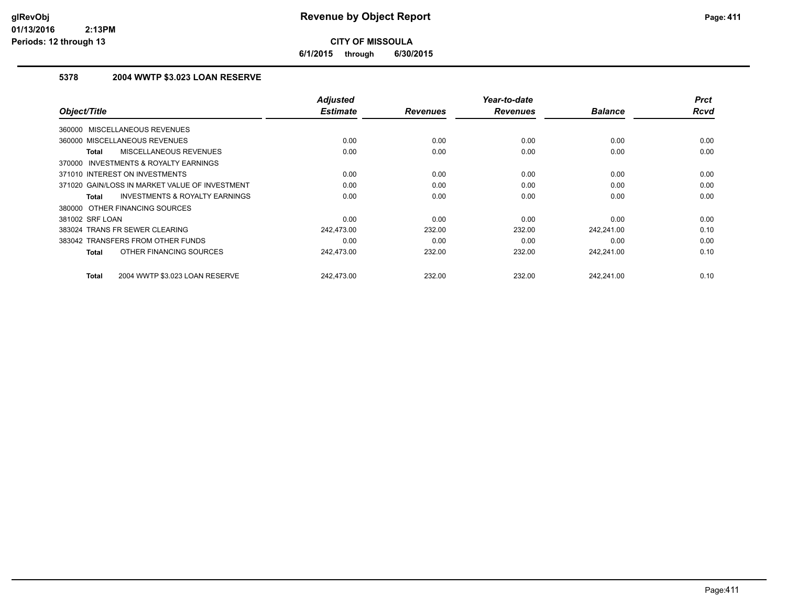**6/1/2015 through 6/30/2015**

#### **5378 2004 WWTP \$3.023 LOAN RESERVE**

|                                                           | <b>Adjusted</b> |                 | Year-to-date    |                | <b>Prct</b> |
|-----------------------------------------------------------|-----------------|-----------------|-----------------|----------------|-------------|
| Object/Title                                              | <b>Estimate</b> | <b>Revenues</b> | <b>Revenues</b> | <b>Balance</b> | <b>Rcvd</b> |
| 360000 MISCELLANEOUS REVENUES                             |                 |                 |                 |                |             |
| 360000 MISCELLANEOUS REVENUES                             | 0.00            | 0.00            | 0.00            | 0.00           | 0.00        |
| MISCELLANEOUS REVENUES<br><b>Total</b>                    | 0.00            | 0.00            | 0.00            | 0.00           | 0.00        |
| INVESTMENTS & ROYALTY EARNINGS<br>370000                  |                 |                 |                 |                |             |
| 371010 INTEREST ON INVESTMENTS                            | 0.00            | 0.00            | 0.00            | 0.00           | 0.00        |
| 371020 GAIN/LOSS IN MARKET VALUE OF INVESTMENT            | 0.00            | 0.00            | 0.00            | 0.00           | 0.00        |
| <b>INVESTMENTS &amp; ROYALTY EARNINGS</b><br><b>Total</b> | 0.00            | 0.00            | 0.00            | 0.00           | 0.00        |
| 380000 OTHER FINANCING SOURCES                            |                 |                 |                 |                |             |
| 381002 SRF LOAN                                           | 0.00            | 0.00            | 0.00            | 0.00           | 0.00        |
| 383024 TRANS FR SEWER CLEARING                            | 242.473.00      | 232.00          | 232.00          | 242,241.00     | 0.10        |
| 383042 TRANSFERS FROM OTHER FUNDS                         | 0.00            | 0.00            | 0.00            | 0.00           | 0.00        |
| OTHER FINANCING SOURCES<br><b>Total</b>                   | 242,473.00      | 232.00          | 232.00          | 242,241.00     | 0.10        |
| 2004 WWTP \$3.023 LOAN RESERVE<br><b>Total</b>            | 242.473.00      | 232.00          | 232.00          | 242.241.00     | 0.10        |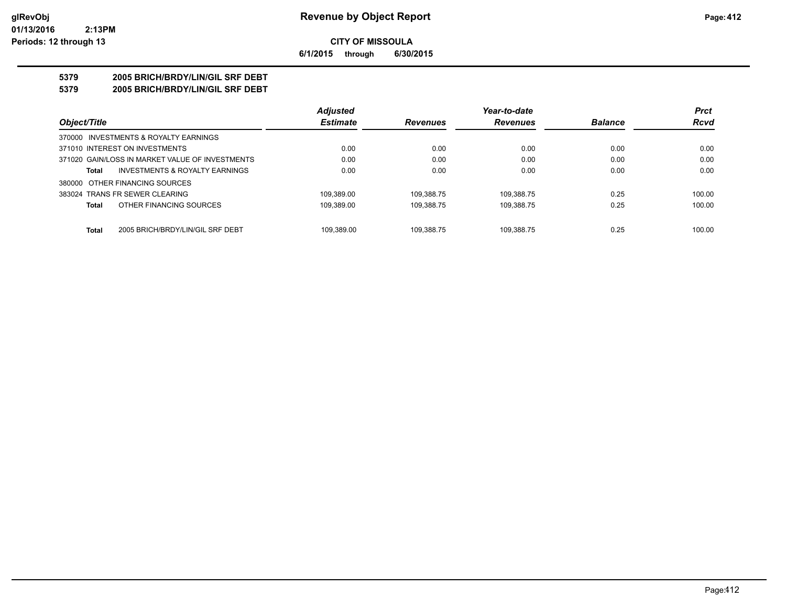**6/1/2015 through 6/30/2015**

### **5379 2005 BRICH/BRDY/LIN/GIL SRF DEBT**

**5379 2005 BRICH/BRDY/LIN/GIL SRF DEBT**

|                                                           | <b>Adjusted</b> |                 | Year-to-date    |                | <b>Prct</b> |
|-----------------------------------------------------------|-----------------|-----------------|-----------------|----------------|-------------|
| Object/Title                                              | <b>Estimate</b> | <b>Revenues</b> | <b>Revenues</b> | <b>Balance</b> | <b>Rcvd</b> |
| 370000 INVESTMENTS & ROYALTY EARNINGS                     |                 |                 |                 |                |             |
| 371010 INTEREST ON INVESTMENTS                            | 0.00            | 0.00            | 0.00            | 0.00           | 0.00        |
| 371020 GAIN/LOSS IN MARKET VALUE OF INVESTMENTS           | 0.00            | 0.00            | 0.00            | 0.00           | 0.00        |
| <b>INVESTMENTS &amp; ROYALTY EARNINGS</b><br><b>Total</b> | 0.00            | 0.00            | 0.00            | 0.00           | 0.00        |
| 380000 OTHER FINANCING SOURCES                            |                 |                 |                 |                |             |
| 383024 TRANS FR SEWER CLEARING                            | 109.389.00      | 109.388.75      | 109.388.75      | 0.25           | 100.00      |
| OTHER FINANCING SOURCES<br><b>Total</b>                   | 109.389.00      | 109.388.75      | 109.388.75      | 0.25           | 100.00      |
| <b>Total</b><br>2005 BRICH/BRDY/LIN/GIL SRF DEBT          | 109.389.00      | 109.388.75      | 109.388.75      | 0.25           | 100.00      |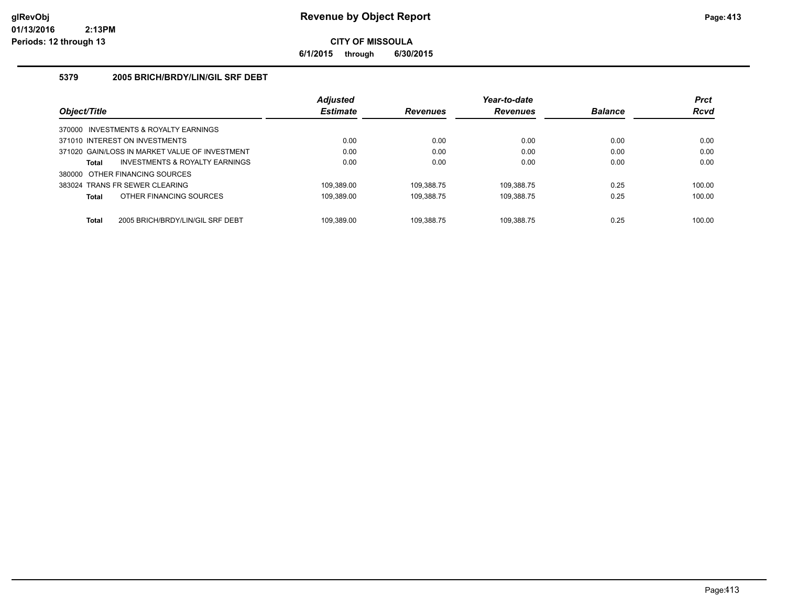**6/1/2015 through 6/30/2015**

#### **5379 2005 BRICH/BRDY/LIN/GIL SRF DEBT**

|                                                  | <b>Adjusted</b> |                 | Year-to-date    |                | <b>Prct</b> |
|--------------------------------------------------|-----------------|-----------------|-----------------|----------------|-------------|
| Object/Title                                     | <b>Estimate</b> | <b>Revenues</b> | <b>Revenues</b> | <b>Balance</b> | <b>Rcvd</b> |
| 370000 INVESTMENTS & ROYALTY EARNINGS            |                 |                 |                 |                |             |
| 371010 INTEREST ON INVESTMENTS                   | 0.00            | 0.00            | 0.00            | 0.00           | 0.00        |
| 371020 GAIN/LOSS IN MARKET VALUE OF INVESTMENT   | 0.00            | 0.00            | 0.00            | 0.00           | 0.00        |
| INVESTMENTS & ROYALTY EARNINGS<br><b>Total</b>   | 0.00            | 0.00            | 0.00            | 0.00           | 0.00        |
| 380000 OTHER FINANCING SOURCES                   |                 |                 |                 |                |             |
| 383024 TRANS FR SEWER CLEARING                   | 109.389.00      | 109.388.75      | 109.388.75      | 0.25           | 100.00      |
| OTHER FINANCING SOURCES<br><b>Total</b>          | 109.389.00      | 109.388.75      | 109.388.75      | 0.25           | 100.00      |
|                                                  |                 |                 |                 |                |             |
| <b>Total</b><br>2005 BRICH/BRDY/LIN/GIL SRF DEBT | 109.389.00      | 109.388.75      | 109.388.75      | 0.25           | 100.00      |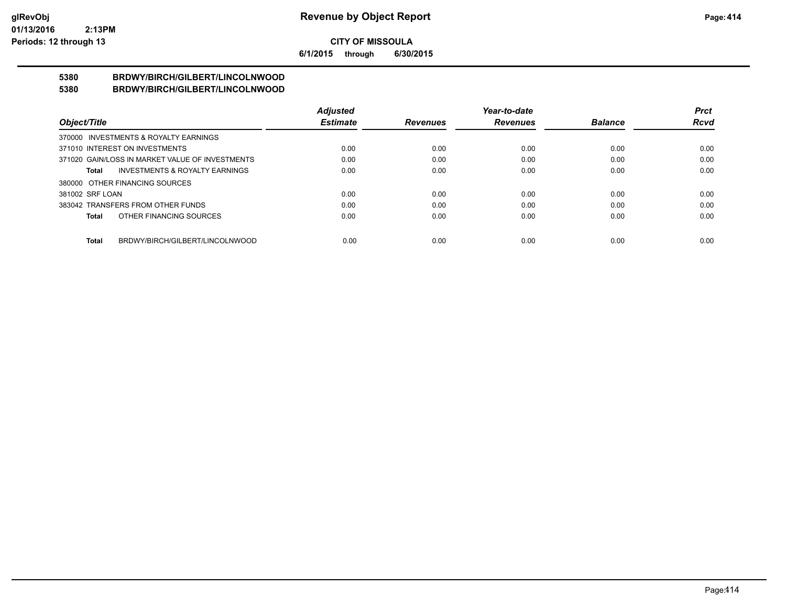**6/1/2015 through 6/30/2015**

#### **5380 BRDWY/BIRCH/GILBERT/LINCOLNWOOD 5380 BRDWY/BIRCH/GILBERT/LINCOLNWOOD**

|                                                    | <b>Adjusted</b> |                 | Year-to-date    |                | <b>Prct</b> |
|----------------------------------------------------|-----------------|-----------------|-----------------|----------------|-------------|
| Object/Title                                       | <b>Estimate</b> | <b>Revenues</b> | <b>Revenues</b> | <b>Balance</b> | <b>Rcvd</b> |
| 370000 INVESTMENTS & ROYALTY EARNINGS              |                 |                 |                 |                |             |
| 371010 INTEREST ON INVESTMENTS                     | 0.00            | 0.00            | 0.00            | 0.00           | 0.00        |
| 371020 GAIN/LOSS IN MARKET VALUE OF INVESTMENTS    | 0.00            | 0.00            | 0.00            | 0.00           | 0.00        |
| <b>INVESTMENTS &amp; ROYALTY EARNINGS</b><br>Total | 0.00            | 0.00            | 0.00            | 0.00           | 0.00        |
| 380000 OTHER FINANCING SOURCES                     |                 |                 |                 |                |             |
| 381002 SRF LOAN                                    | 0.00            | 0.00            | 0.00            | 0.00           | 0.00        |
| 383042 TRANSFERS FROM OTHER FUNDS                  | 0.00            | 0.00            | 0.00            | 0.00           | 0.00        |
| OTHER FINANCING SOURCES<br><b>Total</b>            | 0.00            | 0.00            | 0.00            | 0.00           | 0.00        |
|                                                    |                 |                 |                 |                |             |
| BRDWY/BIRCH/GILBERT/LINCOLNWOOD<br><b>Total</b>    | 0.00            | 0.00            | 0.00            | 0.00           | 0.00        |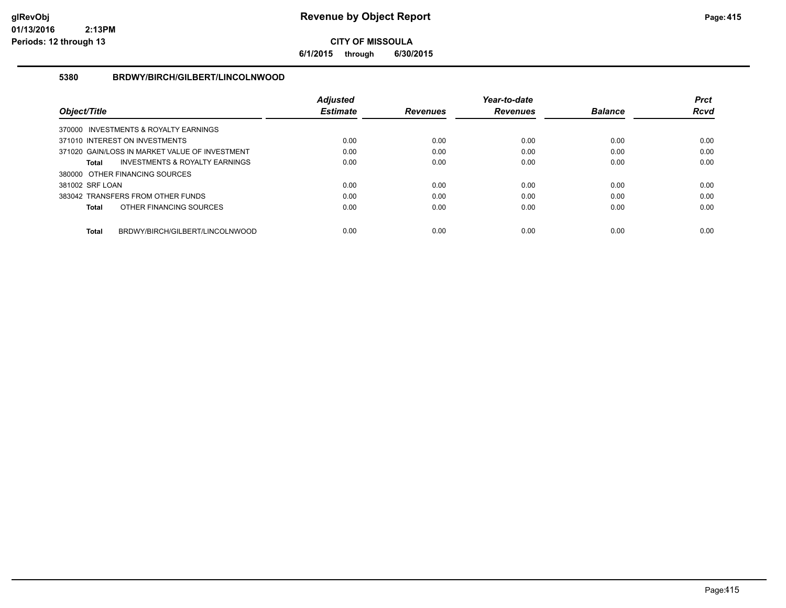**6/1/2015 through 6/30/2015**

#### **5380 BRDWY/BIRCH/GILBERT/LINCOLNWOOD**

|                                |                                                | <b>Adjusted</b> |                 | Year-to-date    |                | <b>Prct</b> |
|--------------------------------|------------------------------------------------|-----------------|-----------------|-----------------|----------------|-------------|
| Object/Title                   |                                                | <b>Estimate</b> | <b>Revenues</b> | <b>Revenues</b> | <b>Balance</b> | Rcvd        |
|                                | 370000 INVESTMENTS & ROYALTY EARNINGS          |                 |                 |                 |                |             |
| 371010 INTEREST ON INVESTMENTS |                                                | 0.00            | 0.00            | 0.00            | 0.00           | 0.00        |
|                                | 371020 GAIN/LOSS IN MARKET VALUE OF INVESTMENT | 0.00            | 0.00            | 0.00            | 0.00           | 0.00        |
| Total                          | INVESTMENTS & ROYALTY EARNINGS                 | 0.00            | 0.00            | 0.00            | 0.00           | 0.00        |
| 380000 OTHER FINANCING SOURCES |                                                |                 |                 |                 |                |             |
| 381002 SRF LOAN                |                                                | 0.00            | 0.00            | 0.00            | 0.00           | 0.00        |
|                                | 383042 TRANSFERS FROM OTHER FUNDS              | 0.00            | 0.00            | 0.00            | 0.00           | 0.00        |
| <b>Total</b>                   | OTHER FINANCING SOURCES                        | 0.00            | 0.00            | 0.00            | 0.00           | 0.00        |
| <b>Total</b>                   | BRDWY/BIRCH/GILBERT/LINCOLNWOOD                | 0.00            | 0.00            | 0.00            | 0.00           | 0.00        |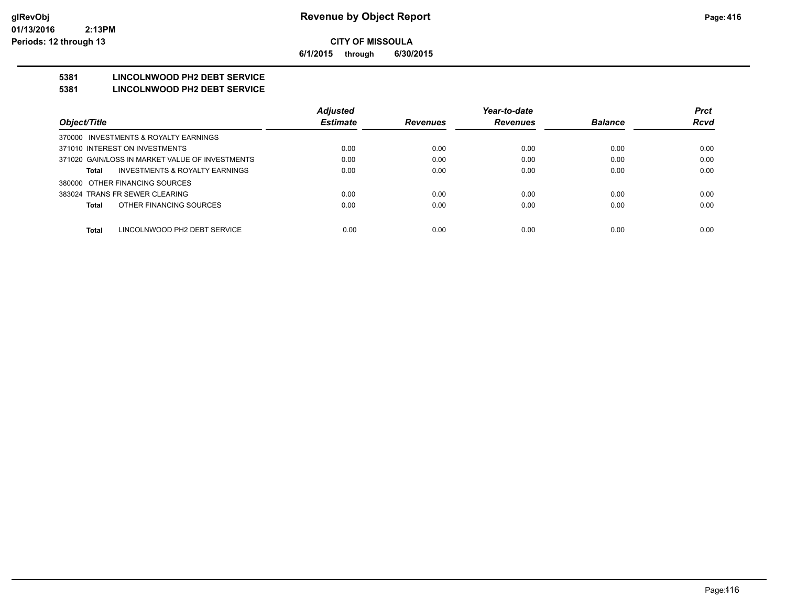**6/1/2015 through 6/30/2015**

## **5381 LINCOLNWOOD PH2 DEBT SERVICE**

**5381 LINCOLNWOOD PH2 DEBT SERVICE**

|                                                 | <b>Adjusted</b> |                 | Year-to-date    |                | <b>Prct</b> |
|-------------------------------------------------|-----------------|-----------------|-----------------|----------------|-------------|
| Object/Title                                    | <b>Estimate</b> | <b>Revenues</b> | <b>Revenues</b> | <b>Balance</b> | <b>Rcvd</b> |
| 370000 INVESTMENTS & ROYALTY EARNINGS           |                 |                 |                 |                |             |
| 371010 INTEREST ON INVESTMENTS                  | 0.00            | 0.00            | 0.00            | 0.00           | 0.00        |
| 371020 GAIN/LOSS IN MARKET VALUE OF INVESTMENTS | 0.00            | 0.00            | 0.00            | 0.00           | 0.00        |
| INVESTMENTS & ROYALTY EARNINGS<br>Total         | 0.00            | 0.00            | 0.00            | 0.00           | 0.00        |
| 380000 OTHER FINANCING SOURCES                  |                 |                 |                 |                |             |
| 383024 TRANS FR SEWER CLEARING                  | 0.00            | 0.00            | 0.00            | 0.00           | 0.00        |
| OTHER FINANCING SOURCES<br>Total                | 0.00            | 0.00            | 0.00            | 0.00           | 0.00        |
|                                                 |                 |                 |                 |                |             |
| Total<br>LINCOLNWOOD PH2 DEBT SERVICE           | 0.00            | 0.00            | 0.00            | 0.00           | 0.00        |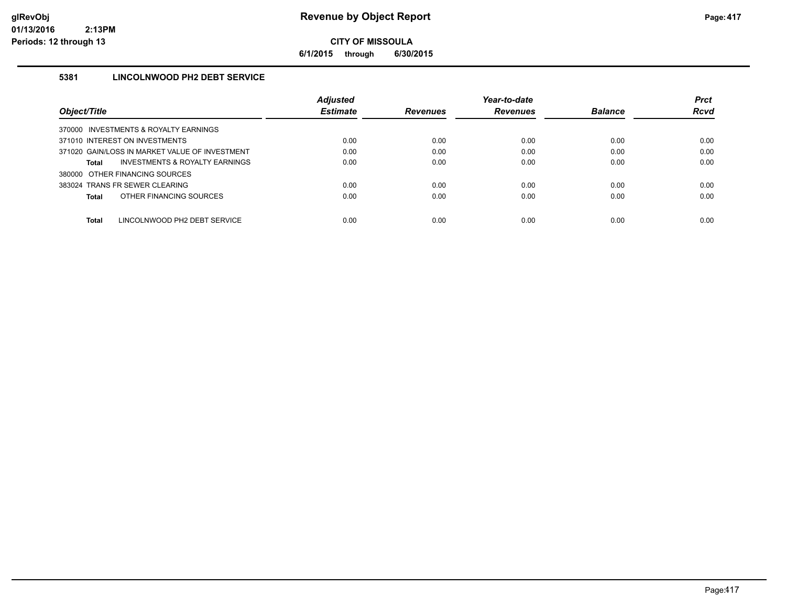**6/1/2015 through 6/30/2015**

#### **5381 LINCOLNWOOD PH2 DEBT SERVICE**

|                                                | <b>Adjusted</b> |                 | Year-to-date    |                | <b>Prct</b> |
|------------------------------------------------|-----------------|-----------------|-----------------|----------------|-------------|
| Object/Title                                   | <b>Estimate</b> | <b>Revenues</b> | <b>Revenues</b> | <b>Balance</b> | <b>Rcvd</b> |
| 370000 INVESTMENTS & ROYALTY EARNINGS          |                 |                 |                 |                |             |
| 371010 INTEREST ON INVESTMENTS                 | 0.00            | 0.00            | 0.00            | 0.00           | 0.00        |
| 371020 GAIN/LOSS IN MARKET VALUE OF INVESTMENT | 0.00            | 0.00            | 0.00            | 0.00           | 0.00        |
| INVESTMENTS & ROYALTY EARNINGS<br>Total        | 0.00            | 0.00            | 0.00            | 0.00           | 0.00        |
| 380000 OTHER FINANCING SOURCES                 |                 |                 |                 |                |             |
| 383024 TRANS FR SEWER CLEARING                 | 0.00            | 0.00            | 0.00            | 0.00           | 0.00        |
| OTHER FINANCING SOURCES<br>Total               | 0.00            | 0.00            | 0.00            | 0.00           | 0.00        |
|                                                |                 |                 |                 |                |             |
| Total<br>LINCOLNWOOD PH2 DEBT SERVICE          | 0.00            | 0.00            | 0.00            | 0.00           | 0.00        |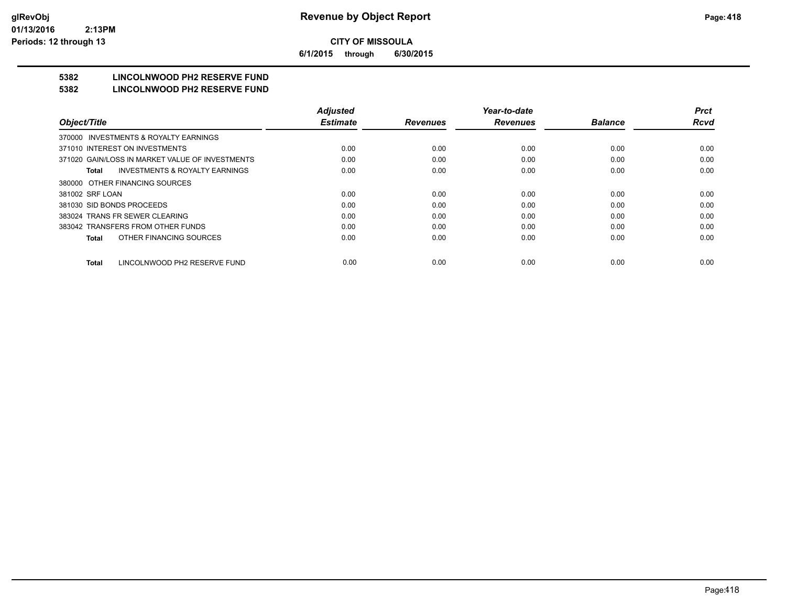**6/1/2015 through 6/30/2015**

## **5382 LINCOLNWOOD PH2 RESERVE FUND**

#### **5382 LINCOLNWOOD PH2 RESERVE FUND**

|                                                    | <b>Adjusted</b> |                 | Year-to-date    |                | <b>Prct</b> |
|----------------------------------------------------|-----------------|-----------------|-----------------|----------------|-------------|
| Object/Title                                       | <b>Estimate</b> | <b>Revenues</b> | <b>Revenues</b> | <b>Balance</b> | <b>Rcvd</b> |
| 370000 INVESTMENTS & ROYALTY EARNINGS              |                 |                 |                 |                |             |
| 371010 INTEREST ON INVESTMENTS                     | 0.00            | 0.00            | 0.00            | 0.00           | 0.00        |
| 371020 GAIN/LOSS IN MARKET VALUE OF INVESTMENTS    | 0.00            | 0.00            | 0.00            | 0.00           | 0.00        |
| <b>INVESTMENTS &amp; ROYALTY EARNINGS</b><br>Total | 0.00            | 0.00            | 0.00            | 0.00           | 0.00        |
| 380000 OTHER FINANCING SOURCES                     |                 |                 |                 |                |             |
| 381002 SRF LOAN                                    | 0.00            | 0.00            | 0.00            | 0.00           | 0.00        |
| 381030 SID BONDS PROCEEDS                          | 0.00            | 0.00            | 0.00            | 0.00           | 0.00        |
| 383024 TRANS FR SEWER CLEARING                     | 0.00            | 0.00            | 0.00            | 0.00           | 0.00        |
| 383042 TRANSFERS FROM OTHER FUNDS                  | 0.00            | 0.00            | 0.00            | 0.00           | 0.00        |
| OTHER FINANCING SOURCES<br>Total                   | 0.00            | 0.00            | 0.00            | 0.00           | 0.00        |
| LINCOLNWOOD PH2 RESERVE FUND<br><b>Total</b>       | 0.00            | 0.00            | 0.00            | 0.00           | 0.00        |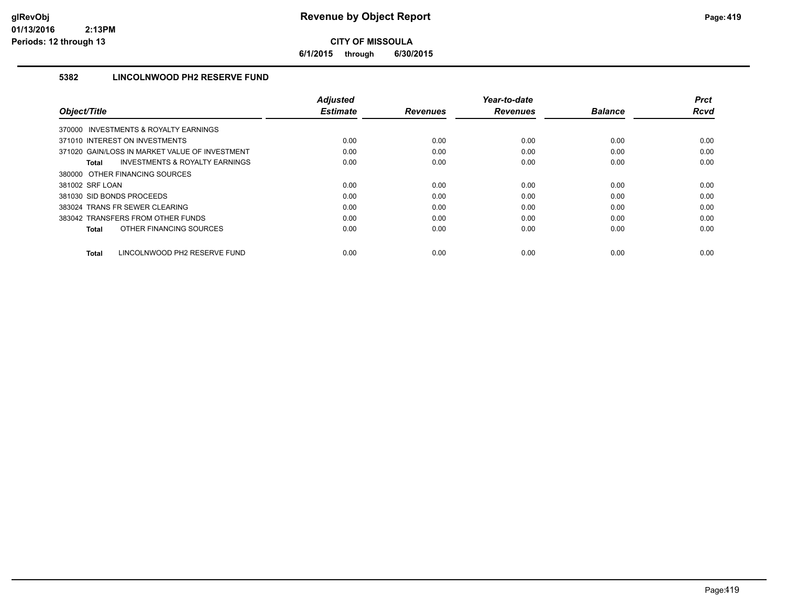**6/1/2015 through 6/30/2015**

### **5382 LINCOLNWOOD PH2 RESERVE FUND**

|                                                    | <b>Adjusted</b> |                 | Year-to-date    |                | <b>Prct</b> |
|----------------------------------------------------|-----------------|-----------------|-----------------|----------------|-------------|
| Object/Title                                       | <b>Estimate</b> | <b>Revenues</b> | <b>Revenues</b> | <b>Balance</b> | Rcvd        |
| 370000 INVESTMENTS & ROYALTY EARNINGS              |                 |                 |                 |                |             |
| 371010 INTEREST ON INVESTMENTS                     | 0.00            | 0.00            | 0.00            | 0.00           | 0.00        |
| 371020 GAIN/LOSS IN MARKET VALUE OF INVESTMENT     | 0.00            | 0.00            | 0.00            | 0.00           | 0.00        |
| <b>INVESTMENTS &amp; ROYALTY EARNINGS</b><br>Total | 0.00            | 0.00            | 0.00            | 0.00           | 0.00        |
| 380000 OTHER FINANCING SOURCES                     |                 |                 |                 |                |             |
| 381002 SRF LOAN                                    | 0.00            | 0.00            | 0.00            | 0.00           | 0.00        |
| 381030 SID BONDS PROCEEDS                          | 0.00            | 0.00            | 0.00            | 0.00           | 0.00        |
| 383024 TRANS FR SEWER CLEARING                     | 0.00            | 0.00            | 0.00            | 0.00           | 0.00        |
| 383042 TRANSFERS FROM OTHER FUNDS                  | 0.00            | 0.00            | 0.00            | 0.00           | 0.00        |
| OTHER FINANCING SOURCES<br><b>Total</b>            | 0.00            | 0.00            | 0.00            | 0.00           | 0.00        |
| LINCOLNWOOD PH2 RESERVE FUND<br><b>Total</b>       | 0.00            | 0.00            | 0.00            | 0.00           | 0.00        |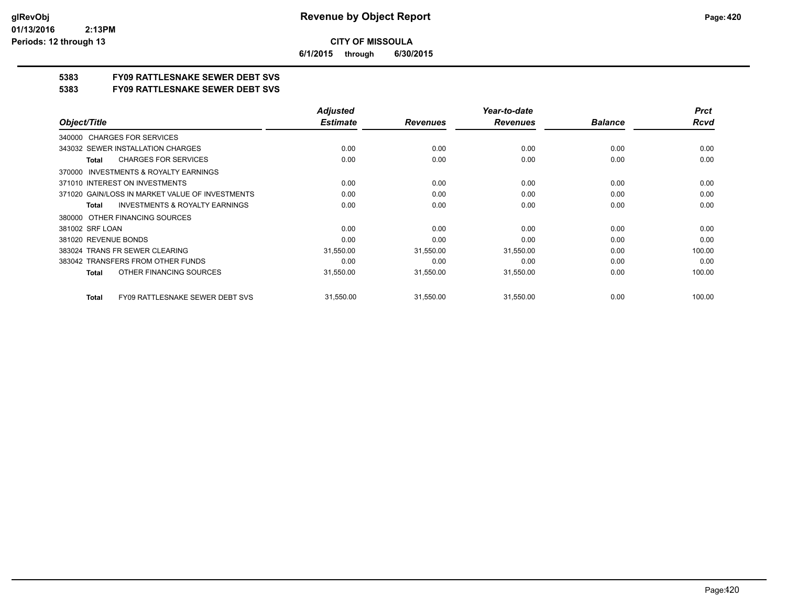**6/1/2015 through 6/30/2015**

## **5383 FY09 RATTLESNAKE SEWER DEBT SVS**

**5383 FY09 RATTLESNAKE SEWER DEBT SVS**

|                                                           | <b>Adjusted</b> |                 | Year-to-date    |                | <b>Prct</b> |
|-----------------------------------------------------------|-----------------|-----------------|-----------------|----------------|-------------|
| Object/Title                                              | <b>Estimate</b> | <b>Revenues</b> | <b>Revenues</b> | <b>Balance</b> | <b>Rcvd</b> |
| 340000 CHARGES FOR SERVICES                               |                 |                 |                 |                |             |
| 343032 SEWER INSTALLATION CHARGES                         | 0.00            | 0.00            | 0.00            | 0.00           | 0.00        |
| <b>CHARGES FOR SERVICES</b><br><b>Total</b>               | 0.00            | 0.00            | 0.00            | 0.00           | 0.00        |
| <b>INVESTMENTS &amp; ROYALTY EARNINGS</b><br>370000       |                 |                 |                 |                |             |
| 371010 INTEREST ON INVESTMENTS                            | 0.00            | 0.00            | 0.00            | 0.00           | 0.00        |
| 371020 GAIN/LOSS IN MARKET VALUE OF INVESTMENTS           | 0.00            | 0.00            | 0.00            | 0.00           | 0.00        |
| <b>INVESTMENTS &amp; ROYALTY EARNINGS</b><br><b>Total</b> | 0.00            | 0.00            | 0.00            | 0.00           | 0.00        |
| OTHER FINANCING SOURCES<br>380000                         |                 |                 |                 |                |             |
| 381002 SRF LOAN                                           | 0.00            | 0.00            | 0.00            | 0.00           | 0.00        |
| 381020 REVENUE BONDS                                      | 0.00            | 0.00            | 0.00            | 0.00           | 0.00        |
| 383024 TRANS FR SEWER CLEARING                            | 31,550.00       | 31,550.00       | 31,550.00       | 0.00           | 100.00      |
| 383042 TRANSFERS FROM OTHER FUNDS                         | 0.00            | 0.00            | 0.00            | 0.00           | 0.00        |
| OTHER FINANCING SOURCES<br><b>Total</b>                   | 31,550.00       | 31,550.00       | 31,550.00       | 0.00           | 100.00      |
| <b>FY09 RATTLESNAKE SEWER DEBT SVS</b><br><b>Total</b>    | 31,550.00       | 31,550.00       | 31,550.00       | 0.00           | 100.00      |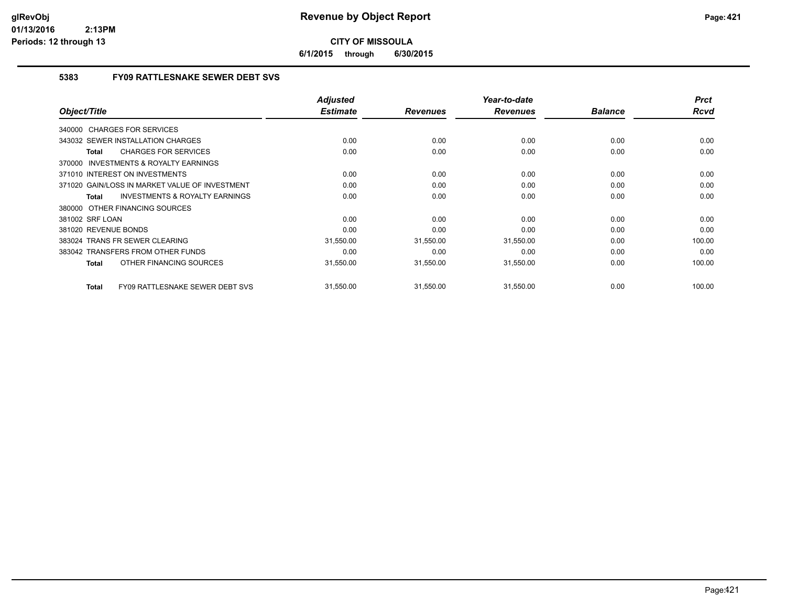**6/1/2015 through 6/30/2015**

#### **5383 FY09 RATTLESNAKE SEWER DEBT SVS**

| Object/Title                                           | <b>Adjusted</b><br><b>Estimate</b> | <b>Revenues</b> | Year-to-date<br><b>Revenues</b> | <b>Balance</b> | <b>Prct</b><br><b>Rcvd</b> |
|--------------------------------------------------------|------------------------------------|-----------------|---------------------------------|----------------|----------------------------|
| 340000 CHARGES FOR SERVICES                            |                                    |                 |                                 |                |                            |
|                                                        |                                    |                 |                                 |                |                            |
| 343032 SEWER INSTALLATION CHARGES                      | 0.00                               | 0.00            | 0.00                            | 0.00           | 0.00                       |
| <b>CHARGES FOR SERVICES</b><br>Total                   | 0.00                               | 0.00            | 0.00                            | 0.00           | 0.00                       |
| <b>INVESTMENTS &amp; ROYALTY EARNINGS</b><br>370000    |                                    |                 |                                 |                |                            |
| 371010 INTEREST ON INVESTMENTS                         | 0.00                               | 0.00            | 0.00                            | 0.00           | 0.00                       |
| 371020 GAIN/LOSS IN MARKET VALUE OF INVESTMENT         | 0.00                               | 0.00            | 0.00                            | 0.00           | 0.00                       |
| <b>INVESTMENTS &amp; ROYALTY EARNINGS</b><br>Total     | 0.00                               | 0.00            | 0.00                            | 0.00           | 0.00                       |
| 380000 OTHER FINANCING SOURCES                         |                                    |                 |                                 |                |                            |
| 381002 SRF LOAN                                        | 0.00                               | 0.00            | 0.00                            | 0.00           | 0.00                       |
| 381020 REVENUE BONDS                                   | 0.00                               | 0.00            | 0.00                            | 0.00           | 0.00                       |
| 383024 TRANS FR SEWER CLEARING                         | 31,550.00                          | 31,550.00       | 31,550.00                       | 0.00           | 100.00                     |
| 383042 TRANSFERS FROM OTHER FUNDS                      | 0.00                               | 0.00            | 0.00                            | 0.00           | 0.00                       |
| OTHER FINANCING SOURCES<br>Total                       | 31,550.00                          | 31,550.00       | 31,550.00                       | 0.00           | 100.00                     |
| <b>FY09 RATTLESNAKE SEWER DEBT SVS</b><br><b>Total</b> | 31,550.00                          | 31,550.00       | 31,550.00                       | 0.00           | 100.00                     |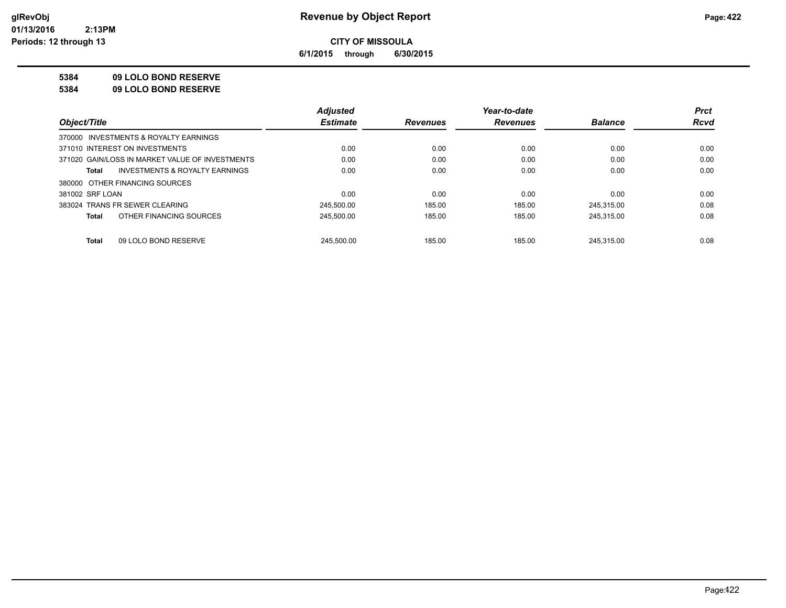**6/1/2015 through 6/30/2015**

#### **5384 09 LOLO BOND RESERVE**

**5384 09 LOLO BOND RESERVE**

|                                                 | <b>Adjusted</b> |                 | Year-to-date    |                | <b>Prct</b> |
|-------------------------------------------------|-----------------|-----------------|-----------------|----------------|-------------|
| Object/Title                                    | <b>Estimate</b> | <b>Revenues</b> | <b>Revenues</b> | <b>Balance</b> | <b>Rcvd</b> |
| 370000 INVESTMENTS & ROYALTY EARNINGS           |                 |                 |                 |                |             |
| 371010 INTEREST ON INVESTMENTS                  | 0.00            | 0.00            | 0.00            | 0.00           | 0.00        |
| 371020 GAIN/LOSS IN MARKET VALUE OF INVESTMENTS | 0.00            | 0.00            | 0.00            | 0.00           | 0.00        |
| INVESTMENTS & ROYALTY EARNINGS<br>Total         | 0.00            | 0.00            | 0.00            | 0.00           | 0.00        |
| 380000 OTHER FINANCING SOURCES                  |                 |                 |                 |                |             |
| 381002 SRF LOAN                                 | 0.00            | 0.00            | 0.00            | 0.00           | 0.00        |
| 383024 TRANS FR SEWER CLEARING                  | 245,500.00      | 185.00          | 185.00          | 245,315.00     | 0.08        |
| OTHER FINANCING SOURCES<br>Total                | 245.500.00      | 185.00          | 185.00          | 245.315.00     | 0.08        |
|                                                 |                 |                 |                 |                |             |
| 09 LOLO BOND RESERVE<br>Total                   | 245.500.00      | 185.00          | 185.00          | 245.315.00     | 0.08        |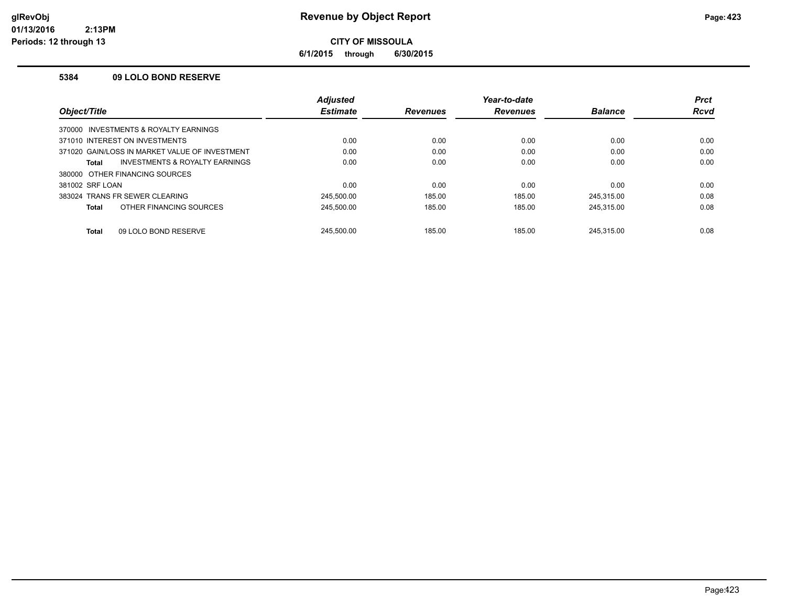**6/1/2015 through 6/30/2015**

#### **5384 09 LOLO BOND RESERVE**

|                                                | <b>Adjusted</b> |                 | Year-to-date    |                | <b>Prct</b> |
|------------------------------------------------|-----------------|-----------------|-----------------|----------------|-------------|
| Object/Title                                   | <b>Estimate</b> | <b>Revenues</b> | <b>Revenues</b> | <b>Balance</b> | <b>Rcvd</b> |
| 370000 INVESTMENTS & ROYALTY EARNINGS          |                 |                 |                 |                |             |
| 371010 INTEREST ON INVESTMENTS                 | 0.00            | 0.00            | 0.00            | 0.00           | 0.00        |
| 371020 GAIN/LOSS IN MARKET VALUE OF INVESTMENT | 0.00            | 0.00            | 0.00            | 0.00           | 0.00        |
| INVESTMENTS & ROYALTY EARNINGS<br>Total        | 0.00            | 0.00            | 0.00            | 0.00           | 0.00        |
| 380000 OTHER FINANCING SOURCES                 |                 |                 |                 |                |             |
| 381002 SRF LOAN                                | 0.00            | 0.00            | 0.00            | 0.00           | 0.00        |
| 383024 TRANS FR SEWER CLEARING                 | 245.500.00      | 185.00          | 185.00          | 245.315.00     | 0.08        |
| OTHER FINANCING SOURCES<br>Total               | 245,500.00      | 185.00          | 185.00          | 245.315.00     | 0.08        |
| 09 LOLO BOND RESERVE<br><b>Total</b>           | 245.500.00      | 185.00          | 185.00          | 245.315.00     | 0.08        |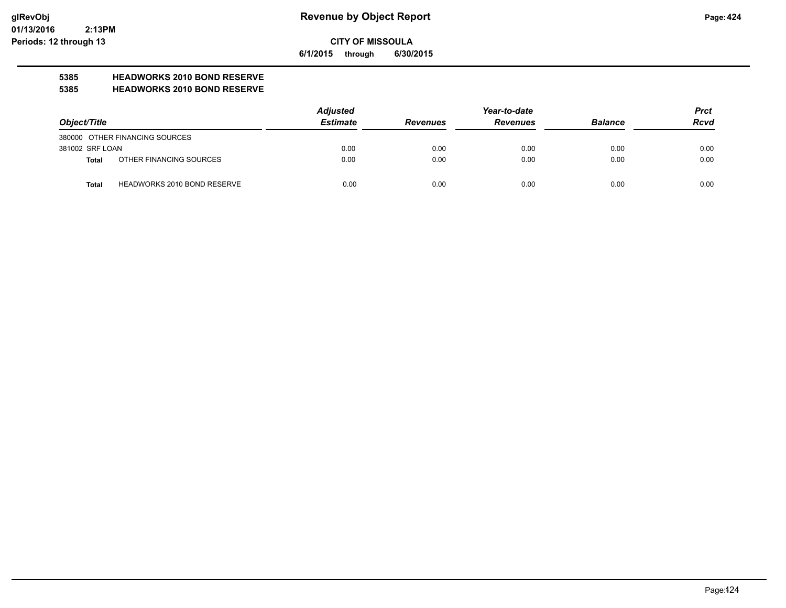**6/1/2015 through 6/30/2015**

# **5385 HEADWORKS 2010 BOND RESERVE**

#### **5385 HEADWORKS 2010 BOND RESERVE**

|                 |                                    | <b>Adjusted</b> |                 |                 | <b>Prct</b>    |             |
|-----------------|------------------------------------|-----------------|-----------------|-----------------|----------------|-------------|
| Object/Title    |                                    | <b>Estimate</b> | <b>Revenues</b> | <b>Revenues</b> | <b>Balance</b> | <b>Rcvd</b> |
|                 | 380000 OTHER FINANCING SOURCES     |                 |                 |                 |                |             |
| 381002 SRF LOAN |                                    | 0.00            | 0.00            | 0.00            | 0.00           | 0.00        |
| Total           | OTHER FINANCING SOURCES            | 0.00            | 0.00            | 0.00            | 0.00           | 0.00        |
| <b>Total</b>    | <b>HEADWORKS 2010 BOND RESERVE</b> | 0.00            | 0.00            | 0.00            | 0.00           | 0.00        |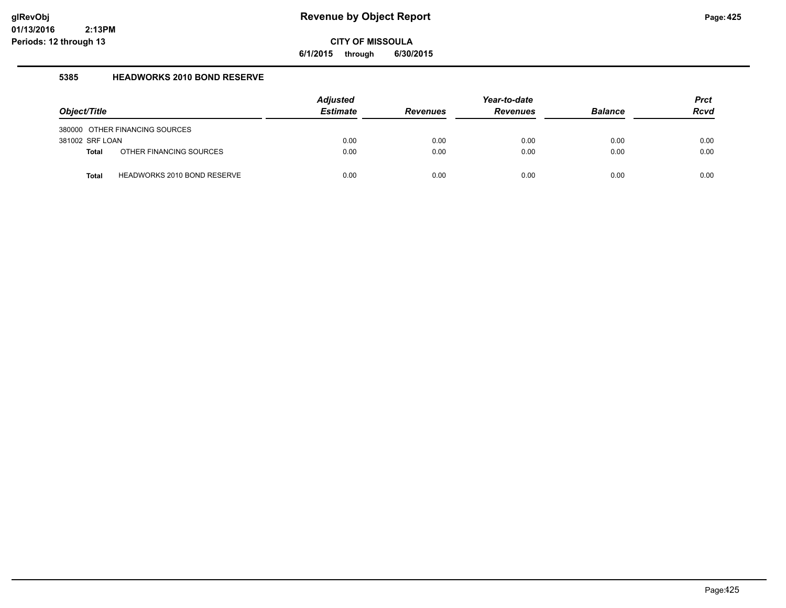**6/1/2015 through 6/30/2015**

#### **5385 HEADWORKS 2010 BOND RESERVE**

| Object/Title    |                                    | <b>Adjusted</b><br><b>Estimate</b> | <b>Revenues</b> | Year-to-date<br><b>Revenues</b> | <b>Balance</b> | <b>Prct</b><br><b>Rcvd</b> |
|-----------------|------------------------------------|------------------------------------|-----------------|---------------------------------|----------------|----------------------------|
|                 | 380000 OTHER FINANCING SOURCES     |                                    |                 |                                 |                |                            |
| 381002 SRF LOAN |                                    | 0.00                               | 0.00            | 0.00                            | 0.00           | 0.00                       |
| <b>Total</b>    | OTHER FINANCING SOURCES            | 0.00                               | 0.00            | 0.00                            | 0.00           | 0.00                       |
| Total           | <b>HEADWORKS 2010 BOND RESERVE</b> | 0.00                               | 0.00            | 0.00                            | 0.00           | 0.00                       |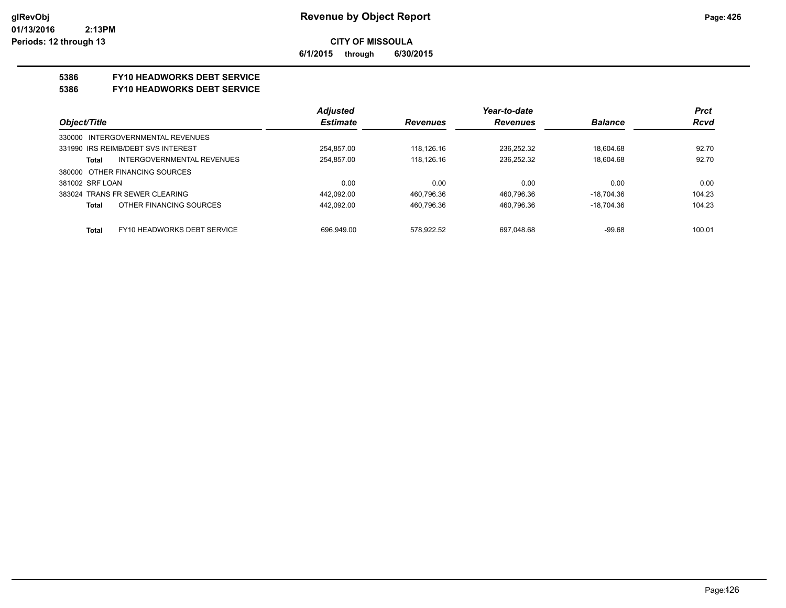**6/1/2015 through 6/30/2015**

#### **5386 FY10 HEADWORKS DEBT SERVICE**

#### **5386 FY10 HEADWORKS DEBT SERVICE**

|                                            | <b>Adjusted</b> |                 | Year-to-date    |                | <b>Prct</b> |
|--------------------------------------------|-----------------|-----------------|-----------------|----------------|-------------|
| Object/Title                               | <b>Estimate</b> | <b>Revenues</b> | <b>Revenues</b> | <b>Balance</b> | <b>Rcvd</b> |
| 330000 INTERGOVERNMENTAL REVENUES          |                 |                 |                 |                |             |
| 331990 IRS REIMB/DEBT SVS INTEREST         | 254.857.00      | 118.126.16      | 236.252.32      | 18.604.68      | 92.70       |
| <b>INTERGOVERNMENTAL REVENUES</b><br>Total | 254.857.00      | 118.126.16      | 236.252.32      | 18.604.68      | 92.70       |
| 380000 OTHER FINANCING SOURCES             |                 |                 |                 |                |             |
| 381002 SRF LOAN                            | 0.00            | 0.00            | 0.00            | 0.00           | 0.00        |
| 383024 TRANS FR SEWER CLEARING             | 442.092.00      | 460.796.36      | 460.796.36      | $-18.704.36$   | 104.23      |
| OTHER FINANCING SOURCES<br>Total           | 442.092.00      | 460.796.36      | 460.796.36      | $-18.704.36$   | 104.23      |
| FY10 HEADWORKS DEBT SERVICE<br>Total       | 696.949.00      | 578.922.52      | 697.048.68      | $-99.68$       | 100.01      |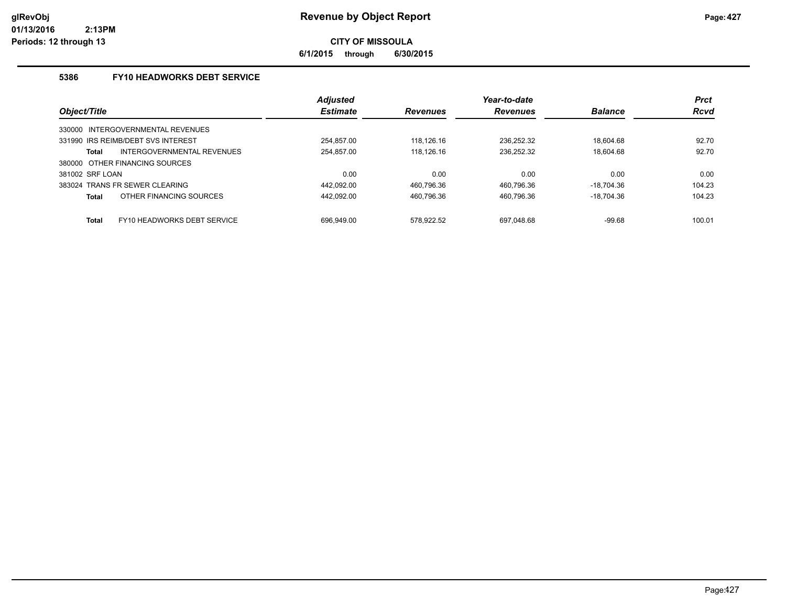**6/1/2015 through 6/30/2015**

#### **5386 FY10 HEADWORKS DEBT SERVICE**

|                 |                                    | <b>Adjusted</b> |                 | Year-to-date    |                | <b>Prct</b> |
|-----------------|------------------------------------|-----------------|-----------------|-----------------|----------------|-------------|
| Object/Title    |                                    | <b>Estimate</b> | <b>Revenues</b> | <b>Revenues</b> | <b>Balance</b> | <b>Rcvd</b> |
| 330000          | INTERGOVERNMENTAL REVENUES         |                 |                 |                 |                |             |
|                 | 331990 IRS REIMB/DEBT SVS INTEREST | 254.857.00      | 118.126.16      | 236.252.32      | 18.604.68      | 92.70       |
| <b>Total</b>    | INTERGOVERNMENTAL REVENUES         | 254.857.00      | 118.126.16      | 236.252.32      | 18.604.68      | 92.70       |
|                 | 380000 OTHER FINANCING SOURCES     |                 |                 |                 |                |             |
| 381002 SRF LOAN |                                    | 0.00            | 0.00            | 0.00            | 0.00           | 0.00        |
|                 | 383024 TRANS FR SEWER CLEARING     | 442.092.00      | 460.796.36      | 460.796.36      | $-18.704.36$   | 104.23      |
| Total           | OTHER FINANCING SOURCES            | 442.092.00      | 460.796.36      | 460.796.36      | $-18.704.36$   | 104.23      |
|                 |                                    |                 |                 |                 |                |             |
| <b>Total</b>    | <b>FY10 HEADWORKS DEBT SERVICE</b> | 696.949.00      | 578.922.52      | 697.048.68      | $-99.68$       | 100.01      |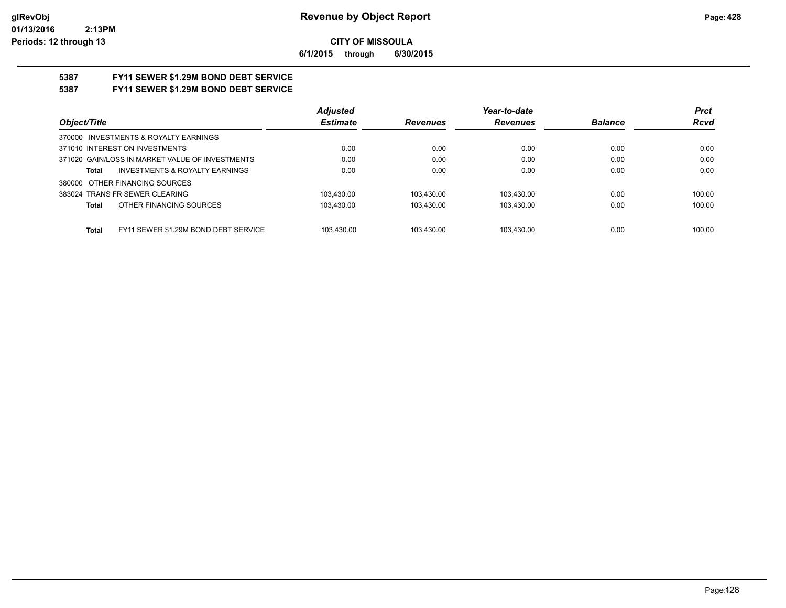**6/1/2015 through 6/30/2015**

# **5387 FY11 SEWER \$1.29M BOND DEBT SERVICE**

### **5387 FY11 SEWER \$1.29M BOND DEBT SERVICE**

|                                                      | <b>Adjusted</b> |                 | Year-to-date    |                | <b>Prct</b> |
|------------------------------------------------------|-----------------|-----------------|-----------------|----------------|-------------|
| Object/Title                                         | <b>Estimate</b> | <b>Revenues</b> | <b>Revenues</b> | <b>Balance</b> | <b>Rcvd</b> |
| 370000 INVESTMENTS & ROYALTY EARNINGS                |                 |                 |                 |                |             |
| 371010 INTEREST ON INVESTMENTS                       | 0.00            | 0.00            | 0.00            | 0.00           | 0.00        |
| 371020 GAIN/LOSS IN MARKET VALUE OF INVESTMENTS      | 0.00            | 0.00            | 0.00            | 0.00           | 0.00        |
| INVESTMENTS & ROYALTY EARNINGS<br>Total              | 0.00            | 0.00            | 0.00            | 0.00           | 0.00        |
| 380000 OTHER FINANCING SOURCES                       |                 |                 |                 |                |             |
| 383024 TRANS FR SEWER CLEARING                       | 103.430.00      | 103.430.00      | 103.430.00      | 0.00           | 100.00      |
| OTHER FINANCING SOURCES<br><b>Total</b>              | 103.430.00      | 103.430.00      | 103.430.00      | 0.00           | 100.00      |
| FY11 SEWER \$1.29M BOND DEBT SERVICE<br><b>Total</b> | 103.430.00      | 103.430.00      | 103.430.00      | 0.00           | 100.00      |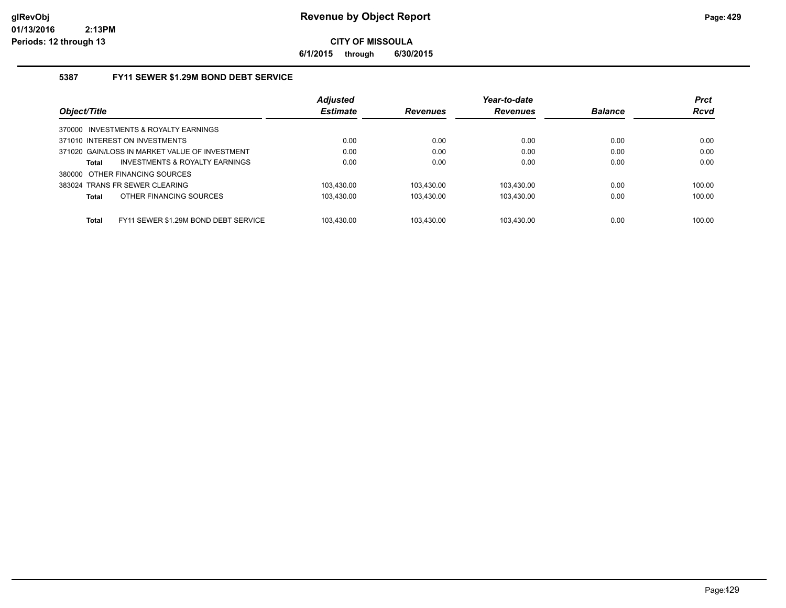**6/1/2015 through 6/30/2015**

#### **5387 FY11 SEWER \$1.29M BOND DEBT SERVICE**

|                                                           | <b>Adjusted</b> |                 | Year-to-date    |                | <b>Prct</b> |
|-----------------------------------------------------------|-----------------|-----------------|-----------------|----------------|-------------|
| Object/Title                                              | <b>Estimate</b> | <b>Revenues</b> | <b>Revenues</b> | <b>Balance</b> | <b>Rcvd</b> |
| 370000 INVESTMENTS & ROYALTY EARNINGS                     |                 |                 |                 |                |             |
| 371010 INTEREST ON INVESTMENTS                            | 0.00            | 0.00            | 0.00            | 0.00           | 0.00        |
| 371020 GAIN/LOSS IN MARKET VALUE OF INVESTMENT            | 0.00            | 0.00            | 0.00            | 0.00           | 0.00        |
| <b>INVESTMENTS &amp; ROYALTY EARNINGS</b><br><b>Total</b> | 0.00            | 0.00            | 0.00            | 0.00           | 0.00        |
| 380000 OTHER FINANCING SOURCES                            |                 |                 |                 |                |             |
| 383024 TRANS FR SEWER CLEARING                            | 103.430.00      | 103.430.00      | 103.430.00      | 0.00           | 100.00      |
| OTHER FINANCING SOURCES<br><b>Total</b>                   | 103.430.00      | 103.430.00      | 103.430.00      | 0.00           | 100.00      |
| <b>Total</b><br>FY11 SEWER \$1.29M BOND DEBT SERVICE      | 103.430.00      | 103.430.00      | 103.430.00      | 0.00           | 100.00      |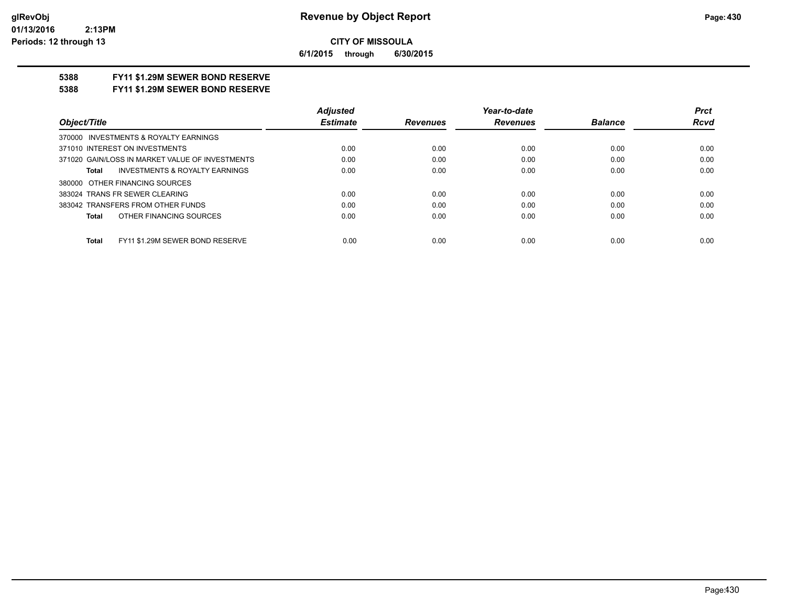**6/1/2015 through 6/30/2015**

### **5388 FY11 \$1.29M SEWER BOND RESERVE**

**5388 FY11 \$1.29M SEWER BOND RESERVE**

|                                                 | <b>Adjusted</b> |                 | Year-to-date    |                | <b>Prct</b> |
|-------------------------------------------------|-----------------|-----------------|-----------------|----------------|-------------|
| Object/Title                                    | <b>Estimate</b> | <b>Revenues</b> | <b>Revenues</b> | <b>Balance</b> | <b>Rcvd</b> |
| 370000 INVESTMENTS & ROYALTY EARNINGS           |                 |                 |                 |                |             |
| 371010 INTEREST ON INVESTMENTS                  | 0.00            | 0.00            | 0.00            | 0.00           | 0.00        |
| 371020 GAIN/LOSS IN MARKET VALUE OF INVESTMENTS | 0.00            | 0.00            | 0.00            | 0.00           | 0.00        |
| INVESTMENTS & ROYALTY EARNINGS<br>Total         | 0.00            | 0.00            | 0.00            | 0.00           | 0.00        |
| 380000 OTHER FINANCING SOURCES                  |                 |                 |                 |                |             |
| 383024 TRANS FR SEWER CLEARING                  | 0.00            | 0.00            | 0.00            | 0.00           | 0.00        |
| 383042 TRANSFERS FROM OTHER FUNDS               | 0.00            | 0.00            | 0.00            | 0.00           | 0.00        |
| OTHER FINANCING SOURCES<br>Total                | 0.00            | 0.00            | 0.00            | 0.00           | 0.00        |
|                                                 |                 |                 |                 |                |             |
| FY11 \$1.29M SEWER BOND RESERVE<br>Total        | 0.00            | 0.00            | 0.00            | 0.00           | 0.00        |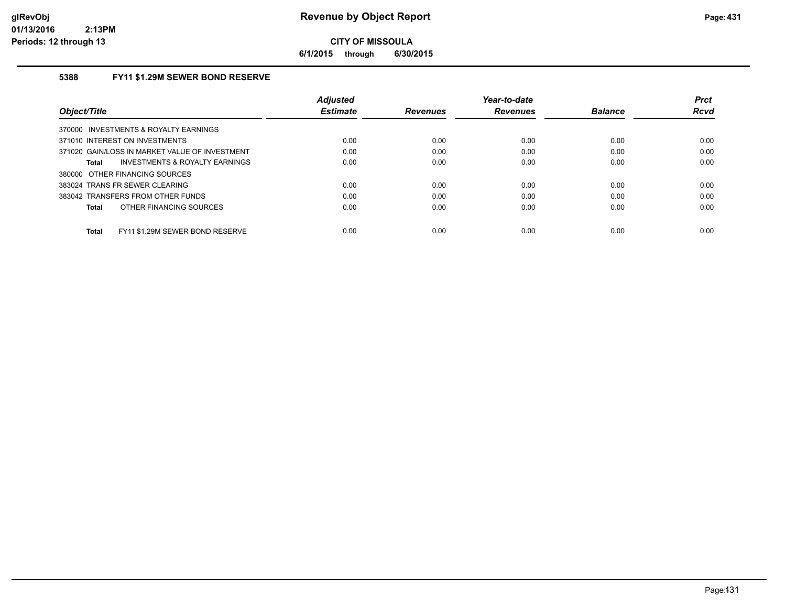**6/1/2015 through 6/30/2015**

#### **5388 FY11 \$1.29M SEWER BOND RESERVE**

|                                                    | <b>Adjusted</b> |                 | Year-to-date    |                | <b>Prct</b> |
|----------------------------------------------------|-----------------|-----------------|-----------------|----------------|-------------|
| Object/Title                                       | <b>Estimate</b> | <b>Revenues</b> | <b>Revenues</b> | <b>Balance</b> | <b>Rcvd</b> |
| 370000 INVESTMENTS & ROYALTY EARNINGS              |                 |                 |                 |                |             |
| 371010 INTEREST ON INVESTMENTS                     | 0.00            | 0.00            | 0.00            | 0.00           | 0.00        |
| 371020 GAIN/LOSS IN MARKET VALUE OF INVESTMENT     | 0.00            | 0.00            | 0.00            | 0.00           | 0.00        |
| <b>INVESTMENTS &amp; ROYALTY EARNINGS</b><br>Total | 0.00            | 0.00            | 0.00            | 0.00           | 0.00        |
| 380000 OTHER FINANCING SOURCES                     |                 |                 |                 |                |             |
| 383024 TRANS FR SEWER CLEARING                     | 0.00            | 0.00            | 0.00            | 0.00           | 0.00        |
| 383042 TRANSFERS FROM OTHER FUNDS                  | 0.00            | 0.00            | 0.00            | 0.00           | 0.00        |
| OTHER FINANCING SOURCES<br>Total                   | 0.00            | 0.00            | 0.00            | 0.00           | 0.00        |
| FY11 \$1.29M SEWER BOND RESERVE<br><b>Total</b>    | 0.00            | 0.00            | 0.00            | 0.00           | 0.00        |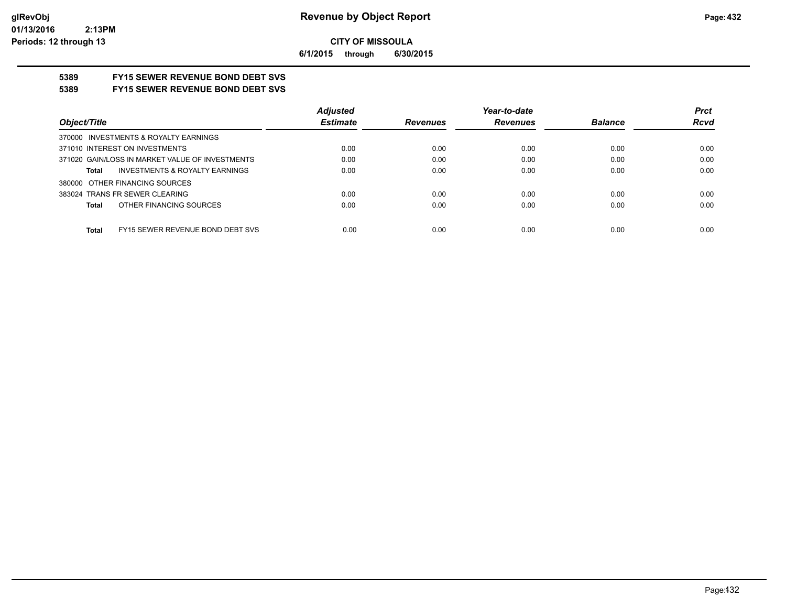**6/1/2015 through 6/30/2015**

# **5389 FY15 SEWER REVENUE BOND DEBT SVS**

### **5389 FY15 SEWER REVENUE BOND DEBT SVS**

|                                                    | <b>Adjusted</b> |                 | Year-to-date    |                | <b>Prct</b> |
|----------------------------------------------------|-----------------|-----------------|-----------------|----------------|-------------|
| Object/Title                                       | <b>Estimate</b> | <b>Revenues</b> | <b>Revenues</b> | <b>Balance</b> | <b>Rcvd</b> |
| 370000 INVESTMENTS & ROYALTY EARNINGS              |                 |                 |                 |                |             |
| 371010 INTEREST ON INVESTMENTS                     | 0.00            | 0.00            | 0.00            | 0.00           | 0.00        |
| 371020 GAIN/LOSS IN MARKET VALUE OF INVESTMENTS    | 0.00            | 0.00            | 0.00            | 0.00           | 0.00        |
| <b>INVESTMENTS &amp; ROYALTY EARNINGS</b><br>Total | 0.00            | 0.00            | 0.00            | 0.00           | 0.00        |
| 380000 OTHER FINANCING SOURCES                     |                 |                 |                 |                |             |
| 383024 TRANS FR SEWER CLEARING                     | 0.00            | 0.00            | 0.00            | 0.00           | 0.00        |
| OTHER FINANCING SOURCES<br>Total                   | 0.00            | 0.00            | 0.00            | 0.00           | 0.00        |
|                                                    |                 |                 |                 |                |             |
| FY15 SEWER REVENUE BOND DEBT SVS<br>Total          | 0.00            | 0.00            | 0.00            | 0.00           | 0.00        |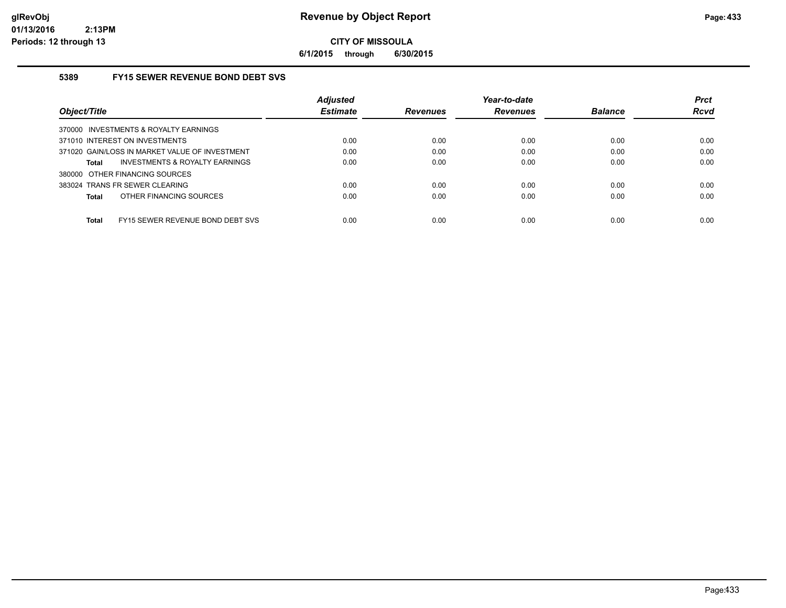**6/1/2015 through 6/30/2015**

## **5389 FY15 SEWER REVENUE BOND DEBT SVS**

|                                                  | <b>Adjusted</b> |                 | Year-to-date    |                | <b>Prct</b> |
|--------------------------------------------------|-----------------|-----------------|-----------------|----------------|-------------|
| Object/Title                                     | <b>Estimate</b> | <b>Revenues</b> | <b>Revenues</b> | <b>Balance</b> | <b>Rcvd</b> |
| 370000 INVESTMENTS & ROYALTY EARNINGS            |                 |                 |                 |                |             |
| 371010 INTEREST ON INVESTMENTS                   | 0.00            | 0.00            | 0.00            | 0.00           | 0.00        |
| 371020 GAIN/LOSS IN MARKET VALUE OF INVESTMENT   | 0.00            | 0.00            | 0.00            | 0.00           | 0.00        |
| INVESTMENTS & ROYALTY EARNINGS<br>Total          | 0.00            | 0.00            | 0.00            | 0.00           | 0.00        |
| 380000 OTHER FINANCING SOURCES                   |                 |                 |                 |                |             |
| 383024 TRANS FR SEWER CLEARING                   | 0.00            | 0.00            | 0.00            | 0.00           | 0.00        |
| OTHER FINANCING SOURCES<br><b>Total</b>          | 0.00            | 0.00            | 0.00            | 0.00           | 0.00        |
|                                                  |                 |                 |                 |                |             |
| FY15 SEWER REVENUE BOND DEBT SVS<br><b>Total</b> | 0.00            | 0.00            | 0.00            | 0.00           | 0.00        |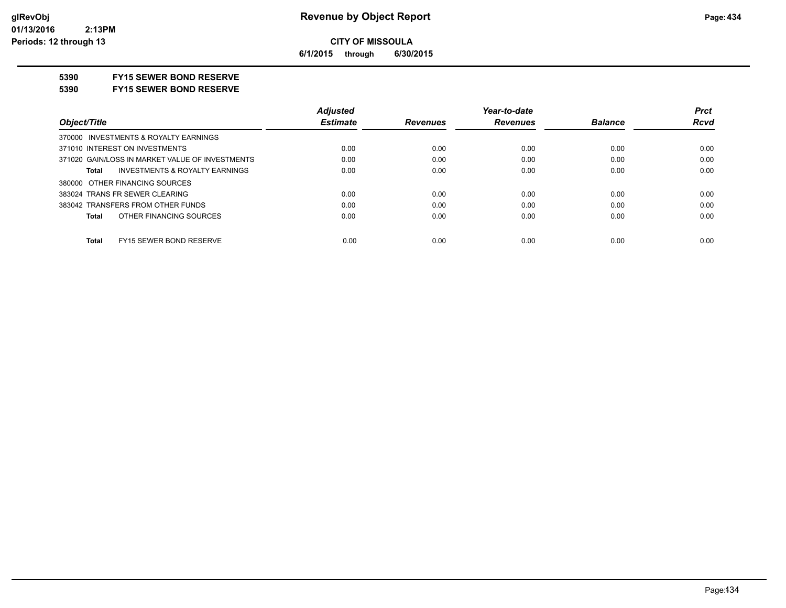**6/1/2015 through 6/30/2015**

#### **5390 FY15 SEWER BOND RESERVE**

#### **5390 FY15 SEWER BOND RESERVE**

|                                                    | <b>Adiusted</b> |                 | Year-to-date    |                | <b>Prct</b> |
|----------------------------------------------------|-----------------|-----------------|-----------------|----------------|-------------|
| Object/Title                                       | <b>Estimate</b> | <b>Revenues</b> | <b>Revenues</b> | <b>Balance</b> | <b>Rcvd</b> |
| 370000 INVESTMENTS & ROYALTY EARNINGS              |                 |                 |                 |                |             |
| 371010 INTEREST ON INVESTMENTS                     | 0.00            | 0.00            | 0.00            | 0.00           | 0.00        |
| 371020 GAIN/LOSS IN MARKET VALUE OF INVESTMENTS    | 0.00            | 0.00            | 0.00            | 0.00           | 0.00        |
| <b>INVESTMENTS &amp; ROYALTY EARNINGS</b><br>Total | 0.00            | 0.00            | 0.00            | 0.00           | 0.00        |
| 380000 OTHER FINANCING SOURCES                     |                 |                 |                 |                |             |
| 383024 TRANS FR SEWER CLEARING                     | 0.00            | 0.00            | 0.00            | 0.00           | 0.00        |
| 383042 TRANSFERS FROM OTHER FUNDS                  | 0.00            | 0.00            | 0.00            | 0.00           | 0.00        |
| OTHER FINANCING SOURCES<br>Total                   | 0.00            | 0.00            | 0.00            | 0.00           | 0.00        |
|                                                    |                 |                 |                 |                |             |
| <b>FY15 SEWER BOND RESERVE</b><br>Total            | 0.00            | 0.00            | 0.00            | 0.00           | 0.00        |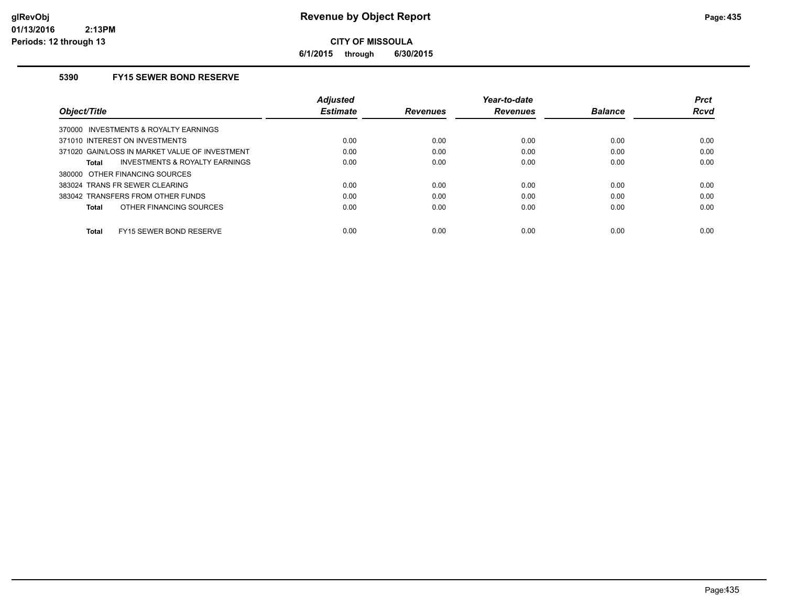**6/1/2015 through 6/30/2015**

## **5390 FY15 SEWER BOND RESERVE**

|                                                    | <b>Adjusted</b> |                 | Year-to-date    |                | <b>Prct</b> |
|----------------------------------------------------|-----------------|-----------------|-----------------|----------------|-------------|
| Object/Title                                       | <b>Estimate</b> | <b>Revenues</b> | <b>Revenues</b> | <b>Balance</b> | <b>Rcvd</b> |
| INVESTMENTS & ROYALTY EARNINGS<br>370000           |                 |                 |                 |                |             |
| 371010 INTEREST ON INVESTMENTS                     | 0.00            | 0.00            | 0.00            | 0.00           | 0.00        |
| 371020 GAIN/LOSS IN MARKET VALUE OF INVESTMENT     | 0.00            | 0.00            | 0.00            | 0.00           | 0.00        |
| <b>INVESTMENTS &amp; ROYALTY EARNINGS</b><br>Total | 0.00            | 0.00            | 0.00            | 0.00           | 0.00        |
| OTHER FINANCING SOURCES<br>380000                  |                 |                 |                 |                |             |
| 383024 TRANS FR SEWER CLEARING                     | 0.00            | 0.00            | 0.00            | 0.00           | 0.00        |
| 383042 TRANSFERS FROM OTHER FUNDS                  | 0.00            | 0.00            | 0.00            | 0.00           | 0.00        |
| OTHER FINANCING SOURCES<br><b>Total</b>            | 0.00            | 0.00            | 0.00            | 0.00           | 0.00        |
| <b>FY15 SEWER BOND RESERVE</b><br>Total            | 0.00            | 0.00            | 0.00            | 0.00           | 0.00        |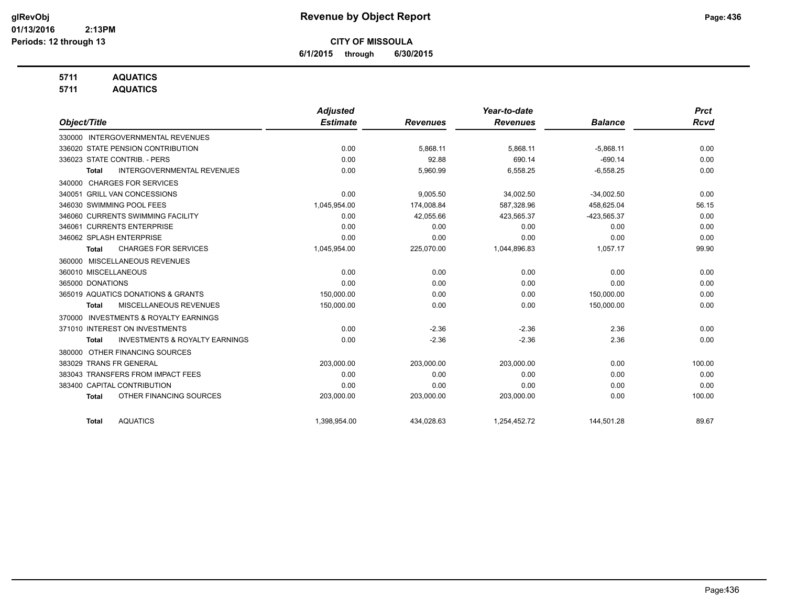**6/1/2015 through 6/30/2015**

## **5711 AQUATICS**

**5711 AQUATICS**

|                                                     | <b>Adjusted</b> |                 | Year-to-date    |                | <b>Prct</b> |
|-----------------------------------------------------|-----------------|-----------------|-----------------|----------------|-------------|
| Object/Title                                        | <b>Estimate</b> | <b>Revenues</b> | <b>Revenues</b> | <b>Balance</b> | <b>Rcvd</b> |
| 330000 INTERGOVERNMENTAL REVENUES                   |                 |                 |                 |                |             |
| 336020 STATE PENSION CONTRIBUTION                   | 0.00            | 5,868.11        | 5,868.11        | $-5,868.11$    | 0.00        |
| 336023 STATE CONTRIB. - PERS                        | 0.00            | 92.88           | 690.14          | $-690.14$      | 0.00        |
| <b>INTERGOVERNMENTAL REVENUES</b><br><b>Total</b>   | 0.00            | 5,960.99        | 6,558.25        | $-6,558.25$    | 0.00        |
| <b>CHARGES FOR SERVICES</b><br>340000               |                 |                 |                 |                |             |
| 340051 GRILL VAN CONCESSIONS                        | 0.00            | 9.005.50        | 34,002.50       | $-34,002.50$   | 0.00        |
| 346030 SWIMMING POOL FEES                           | 1,045,954.00    | 174.008.84      | 587,328.96      | 458.625.04     | 56.15       |
| 346060 CURRENTS SWIMMING FACILITY                   | 0.00            | 42,055.66       | 423,565.37      | -423,565.37    | 0.00        |
| 346061 CURRENTS ENTERPRISE                          | 0.00            | 0.00            | 0.00            | 0.00           | 0.00        |
| 346062 SPLASH ENTERPRISE                            | 0.00            | 0.00            | 0.00            | 0.00           | 0.00        |
| <b>CHARGES FOR SERVICES</b><br><b>Total</b>         | 1,045,954.00    | 225,070.00      | 1,044,896.83    | 1,057.17       | 99.90       |
| 360000 MISCELLANEOUS REVENUES                       |                 |                 |                 |                |             |
| 360010 MISCELLANEOUS                                | 0.00            | 0.00            | 0.00            | 0.00           | 0.00        |
| 365000 DONATIONS                                    | 0.00            | 0.00            | 0.00            | 0.00           | 0.00        |
| 365019 AQUATICS DONATIONS & GRANTS                  | 150,000.00      | 0.00            | 0.00            | 150,000.00     | 0.00        |
| <b>MISCELLANEOUS REVENUES</b><br><b>Total</b>       | 150,000.00      | 0.00            | 0.00            | 150,000.00     | 0.00        |
| <b>INVESTMENTS &amp; ROYALTY EARNINGS</b><br>370000 |                 |                 |                 |                |             |
| 371010 INTEREST ON INVESTMENTS                      | 0.00            | $-2.36$         | $-2.36$         | 2.36           | 0.00        |
| <b>INVESTMENTS &amp; ROYALTY EARNINGS</b><br>Total  | 0.00            | $-2.36$         | $-2.36$         | 2.36           | 0.00        |
| OTHER FINANCING SOURCES<br>380000                   |                 |                 |                 |                |             |
| 383029 TRANS FR GENERAL                             | 203,000.00      | 203,000.00      | 203,000.00      | 0.00           | 100.00      |
| 383043 TRANSFERS FROM IMPACT FEES                   | 0.00            | 0.00            | 0.00            | 0.00           | 0.00        |
| 383400 CAPITAL CONTRIBUTION                         | 0.00            | 0.00            | 0.00            | 0.00           | 0.00        |
| OTHER FINANCING SOURCES<br><b>Total</b>             | 203,000.00      | 203,000.00      | 203,000.00      | 0.00           | 100.00      |
|                                                     |                 |                 |                 |                |             |
| <b>AQUATICS</b><br><b>Total</b>                     | 1.398.954.00    | 434.028.63      | 1,254,452.72    | 144,501.28     | 89.67       |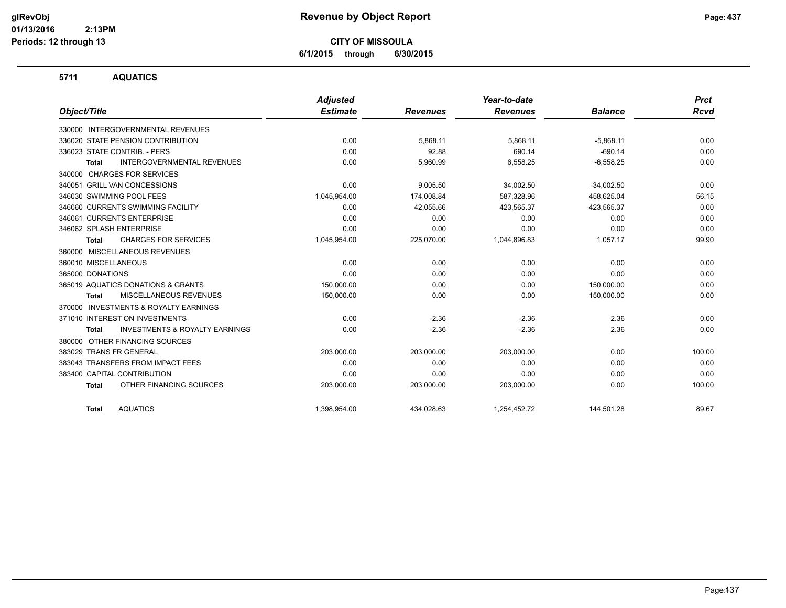**6/1/2015 through 6/30/2015**

#### **5711 AQUATICS**

|                                                           | <b>Adjusted</b> |                 | Year-to-date    |                | <b>Prct</b> |
|-----------------------------------------------------------|-----------------|-----------------|-----------------|----------------|-------------|
| Object/Title                                              | <b>Estimate</b> | <b>Revenues</b> | <b>Revenues</b> | <b>Balance</b> | <b>Rcvd</b> |
| <b>INTERGOVERNMENTAL REVENUES</b><br>330000               |                 |                 |                 |                |             |
| 336020 STATE PENSION CONTRIBUTION                         | 0.00            | 5.868.11        | 5.868.11        | $-5.868.11$    | 0.00        |
| 336023 STATE CONTRIB. - PERS                              | 0.00            | 92.88           | 690.14          | $-690.14$      | 0.00        |
| <b>INTERGOVERNMENTAL REVENUES</b><br><b>Total</b>         | 0.00            | 5,960.99        | 6,558.25        | $-6,558.25$    | 0.00        |
| <b>CHARGES FOR SERVICES</b><br>340000                     |                 |                 |                 |                |             |
| 340051 GRILL VAN CONCESSIONS                              | 0.00            | 9.005.50        | 34,002.50       | $-34,002.50$   | 0.00        |
| 346030 SWIMMING POOL FEES                                 | 1,045,954.00    | 174,008.84      | 587,328.96      | 458,625.04     | 56.15       |
| 346060 CURRENTS SWIMMING FACILITY                         | 0.00            | 42,055.66       | 423,565.37      | -423,565.37    | 0.00        |
| 346061 CURRENTS ENTERPRISE                                | 0.00            | 0.00            | 0.00            | 0.00           | 0.00        |
| 346062 SPLASH ENTERPRISE                                  | 0.00            | 0.00            | 0.00            | 0.00           | 0.00        |
| <b>CHARGES FOR SERVICES</b><br><b>Total</b>               | 1,045,954.00    | 225,070.00      | 1,044,896.83    | 1,057.17       | 99.90       |
| MISCELLANEOUS REVENUES<br>360000                          |                 |                 |                 |                |             |
| 360010 MISCELLANEOUS                                      | 0.00            | 0.00            | 0.00            | 0.00           | 0.00        |
| 365000 DONATIONS                                          | 0.00            | 0.00            | 0.00            | 0.00           | 0.00        |
| 365019 AQUATICS DONATIONS & GRANTS                        | 150,000.00      | 0.00            | 0.00            | 150,000.00     | 0.00        |
| MISCELLANEOUS REVENUES<br><b>Total</b>                    | 150,000.00      | 0.00            | 0.00            | 150,000.00     | 0.00        |
| <b>INVESTMENTS &amp; ROYALTY EARNINGS</b><br>370000       |                 |                 |                 |                |             |
| 371010 INTEREST ON INVESTMENTS                            | 0.00            | $-2.36$         | $-2.36$         | 2.36           | 0.00        |
| <b>INVESTMENTS &amp; ROYALTY EARNINGS</b><br><b>Total</b> | 0.00            | $-2.36$         | $-2.36$         | 2.36           | 0.00        |
| OTHER FINANCING SOURCES<br>380000                         |                 |                 |                 |                |             |
| 383029 TRANS FR GENERAL                                   | 203,000.00      | 203,000.00      | 203,000.00      | 0.00           | 100.00      |
| 383043 TRANSFERS FROM IMPACT FEES                         | 0.00            | 0.00            | 0.00            | 0.00           | 0.00        |
| 383400 CAPITAL CONTRIBUTION                               | 0.00            | 0.00            | 0.00            | 0.00           | 0.00        |
| OTHER FINANCING SOURCES<br><b>Total</b>                   | 203,000.00      | 203,000.00      | 203,000.00      | 0.00           | 100.00      |
| <b>AQUATICS</b><br><b>Total</b>                           | 1,398,954.00    | 434,028.63      | 1,254,452.72    | 144,501.28     | 89.67       |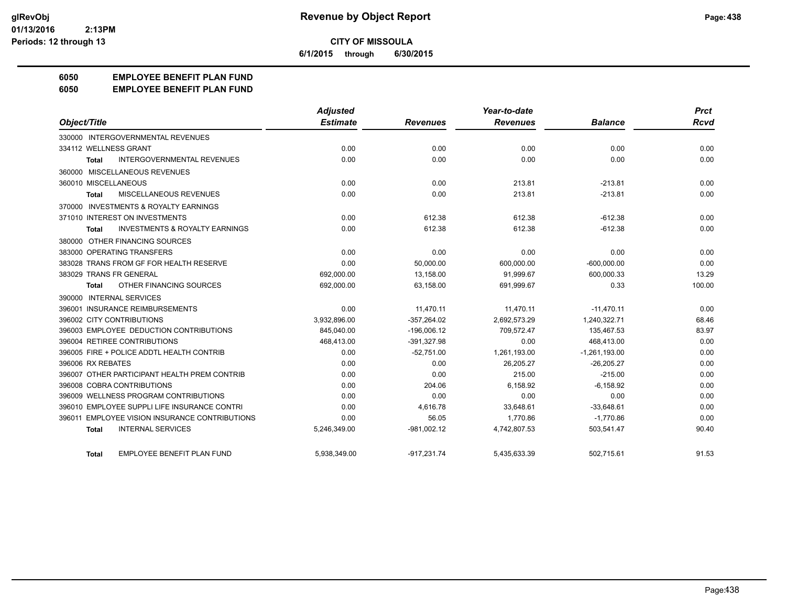**6/1/2015 through 6/30/2015**

# **6050 EMPLOYEE BENEFIT PLAN FUND**

#### **6050 EMPLOYEE BENEFIT PLAN FUND**

|                                                           | <b>Adjusted</b> |                 | Year-to-date    |                 | <b>Prct</b> |
|-----------------------------------------------------------|-----------------|-----------------|-----------------|-----------------|-------------|
| Object/Title                                              | <b>Estimate</b> | <b>Revenues</b> | <b>Revenues</b> | <b>Balance</b>  | Rcvd        |
| 330000 INTERGOVERNMENTAL REVENUES                         |                 |                 |                 |                 |             |
| 334112 WELLNESS GRANT                                     | 0.00            | 0.00            | 0.00            | 0.00            | 0.00        |
| <b>INTERGOVERNMENTAL REVENUES</b><br><b>Total</b>         | 0.00            | 0.00            | 0.00            | 0.00            | 0.00        |
| 360000 MISCELLANEOUS REVENUES                             |                 |                 |                 |                 |             |
| 360010 MISCELLANEOUS                                      | 0.00            | 0.00            | 213.81          | $-213.81$       | 0.00        |
| <b>MISCELLANEOUS REVENUES</b><br>Total                    | 0.00            | 0.00            | 213.81          | $-213.81$       | 0.00        |
| 370000 INVESTMENTS & ROYALTY EARNINGS                     |                 |                 |                 |                 |             |
| 371010 INTEREST ON INVESTMENTS                            | 0.00            | 612.38          | 612.38          | $-612.38$       | 0.00        |
| <b>INVESTMENTS &amp; ROYALTY EARNINGS</b><br><b>Total</b> | 0.00            | 612.38          | 612.38          | $-612.38$       | 0.00        |
| 380000 OTHER FINANCING SOURCES                            |                 |                 |                 |                 |             |
| 383000 OPERATING TRANSFERS                                | 0.00            | 0.00            | 0.00            | 0.00            | 0.00        |
| 383028 TRANS FROM GF FOR HEALTH RESERVE                   | 0.00            | 50,000.00       | 600,000.00      | $-600,000.00$   | 0.00        |
| 383029 TRANS FR GENERAL                                   | 692,000.00      | 13,158.00       | 91,999.67       | 600,000.33      | 13.29       |
| OTHER FINANCING SOURCES<br><b>Total</b>                   | 692,000.00      | 63,158.00       | 691,999.67      | 0.33            | 100.00      |
| 390000 INTERNAL SERVICES                                  |                 |                 |                 |                 |             |
| 396001 INSURANCE REIMBURSEMENTS                           | 0.00            | 11,470.11       | 11,470.11       | $-11,470.11$    | 0.00        |
| 396002 CITY CONTRIBUTIONS                                 | 3,932,896.00    | $-357,264.02$   | 2,692,573.29    | 1,240,322.71    | 68.46       |
| 396003 EMPLOYEE DEDUCTION CONTRIBUTIONS                   | 845,040.00      | $-196,006.12$   | 709,572.47      | 135,467.53      | 83.97       |
| 396004 RETIREE CONTRIBUTIONS                              | 468,413.00      | $-391,327.98$   | 0.00            | 468,413.00      | 0.00        |
| 396005 FIRE + POLICE ADDTL HEALTH CONTRIB                 | 0.00            | $-52.751.00$    | 1,261,193.00    | $-1,261,193.00$ | 0.00        |
| 396006 RX REBATES                                         | 0.00            | 0.00            | 26.205.27       | $-26,205.27$    | 0.00        |
| 396007 OTHER PARTICIPANT HEALTH PREM CONTRIB              | 0.00            | 0.00            | 215.00          | $-215.00$       | 0.00        |
| 396008 COBRA CONTRIBUTIONS                                | 0.00            | 204.06          | 6,158.92        | $-6, 158.92$    | 0.00        |
| 396009 WELLNESS PROGRAM CONTRIBUTIONS                     | 0.00            | 0.00            | 0.00            | 0.00            | 0.00        |
| 396010 EMPLOYEE SUPPLI LIFE INSURANCE CONTRI              | 0.00            | 4,616.78        | 33,648.61       | $-33,648.61$    | 0.00        |
| 396011 EMPLOYEE VISION INSURANCE CONTRIBUTIONS            | 0.00            | 56.05           | 1,770.86        | $-1,770.86$     | 0.00        |
| <b>INTERNAL SERVICES</b><br><b>Total</b>                  | 5,246,349.00    | $-981,002.12$   | 4,742,807.53    | 503,541.47      | 90.40       |
| <b>EMPLOYEE BENEFIT PLAN FUND</b><br><b>Total</b>         | 5.938.349.00    | $-917,231.74$   | 5,435,633.39    | 502.715.61      | 91.53       |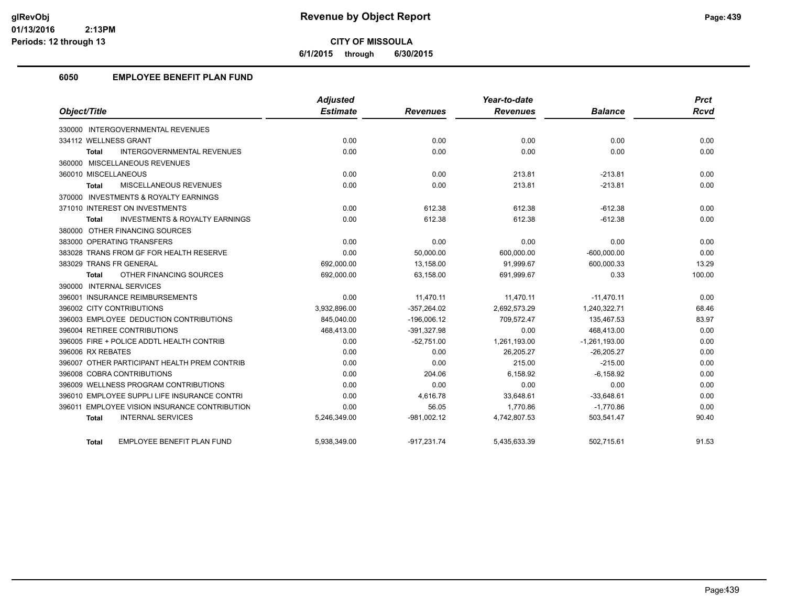**6/1/2015 through 6/30/2015**

# **6050 EMPLOYEE BENEFIT PLAN FUND**

|                                                           | <b>Adjusted</b> |                 | Year-to-date    |                 | <b>Prct</b> |
|-----------------------------------------------------------|-----------------|-----------------|-----------------|-----------------|-------------|
| Object/Title                                              | <b>Estimate</b> | <b>Revenues</b> | <b>Revenues</b> | <b>Balance</b>  | <b>Rcvd</b> |
| 330000 INTERGOVERNMENTAL REVENUES                         |                 |                 |                 |                 |             |
| 334112 WELLNESS GRANT                                     | 0.00            | 0.00            | 0.00            | 0.00            | 0.00        |
| <b>INTERGOVERNMENTAL REVENUES</b><br><b>Total</b>         | 0.00            | 0.00            | 0.00            | 0.00            | 0.00        |
| 360000 MISCELLANEOUS REVENUES                             |                 |                 |                 |                 |             |
| 360010 MISCELLANEOUS                                      | 0.00            | 0.00            | 213.81          | $-213.81$       | 0.00        |
| <b>MISCELLANEOUS REVENUES</b><br><b>Total</b>             | 0.00            | 0.00            | 213.81          | $-213.81$       | 0.00        |
| 370000 INVESTMENTS & ROYALTY EARNINGS                     |                 |                 |                 |                 |             |
| 371010 INTEREST ON INVESTMENTS                            | 0.00            | 612.38          | 612.38          | $-612.38$       | 0.00        |
| <b>INVESTMENTS &amp; ROYALTY EARNINGS</b><br><b>Total</b> | 0.00            | 612.38          | 612.38          | $-612.38$       | 0.00        |
| 380000 OTHER FINANCING SOURCES                            |                 |                 |                 |                 |             |
| 383000 OPERATING TRANSFERS                                | 0.00            | 0.00            | 0.00            | 0.00            | 0.00        |
| 383028 TRANS FROM GF FOR HEALTH RESERVE                   | 0.00            | 50,000.00       | 600,000.00      | $-600,000.00$   | 0.00        |
| 383029 TRANS FR GENERAL                                   | 692,000.00      | 13,158.00       | 91,999.67       | 600,000.33      | 13.29       |
| OTHER FINANCING SOURCES<br><b>Total</b>                   | 692,000.00      | 63,158.00       | 691,999.67      | 0.33            | 100.00      |
| 390000 INTERNAL SERVICES                                  |                 |                 |                 |                 |             |
| 396001 INSURANCE REIMBURSEMENTS                           | 0.00            | 11,470.11       | 11,470.11       | $-11,470.11$    | 0.00        |
| 396002 CITY CONTRIBUTIONS                                 | 3.932.896.00    | $-357,264.02$   | 2,692,573.29    | 1,240,322.71    | 68.46       |
| 396003 EMPLOYEE DEDUCTION CONTRIBUTIONS                   | 845,040.00      | $-196,006.12$   | 709,572.47      | 135,467.53      | 83.97       |
| 396004 RETIREE CONTRIBUTIONS                              | 468,413.00      | $-391,327.98$   | 0.00            | 468,413.00      | 0.00        |
| 396005 FIRE + POLICE ADDTL HEALTH CONTRIB                 | 0.00            | $-52,751.00$    | 1,261,193.00    | $-1,261,193.00$ | 0.00        |
| 396006 RX REBATES                                         | 0.00            | 0.00            | 26,205.27       | $-26,205.27$    | 0.00        |
| 396007 OTHER PARTICIPANT HEALTH PREM CONTRIB              | 0.00            | 0.00            | 215.00          | $-215.00$       | 0.00        |
| 396008 COBRA CONTRIBUTIONS                                | 0.00            | 204.06          | 6.158.92        | $-6, 158.92$    | 0.00        |
| 396009 WELLNESS PROGRAM CONTRIBUTIONS                     | 0.00            | 0.00            | 0.00            | 0.00            | 0.00        |
| 396010 EMPLOYEE SUPPLI LIFE INSURANCE CONTRI              | 0.00            | 4,616.78        | 33,648.61       | $-33,648.61$    | 0.00        |
| 396011 EMPLOYEE VISION INSURANCE CONTRIBUTION             | 0.00            | 56.05           | 1,770.86        | $-1,770.86$     | 0.00        |
| <b>INTERNAL SERVICES</b><br><b>Total</b>                  | 5,246,349.00    | $-981,002.12$   | 4,742,807.53    | 503,541.47      | 90.40       |
| EMPLOYEE BENEFIT PLAN FUND<br><b>Total</b>                | 5,938,349.00    | $-917,231.74$   | 5,435,633.39    | 502,715.61      | 91.53       |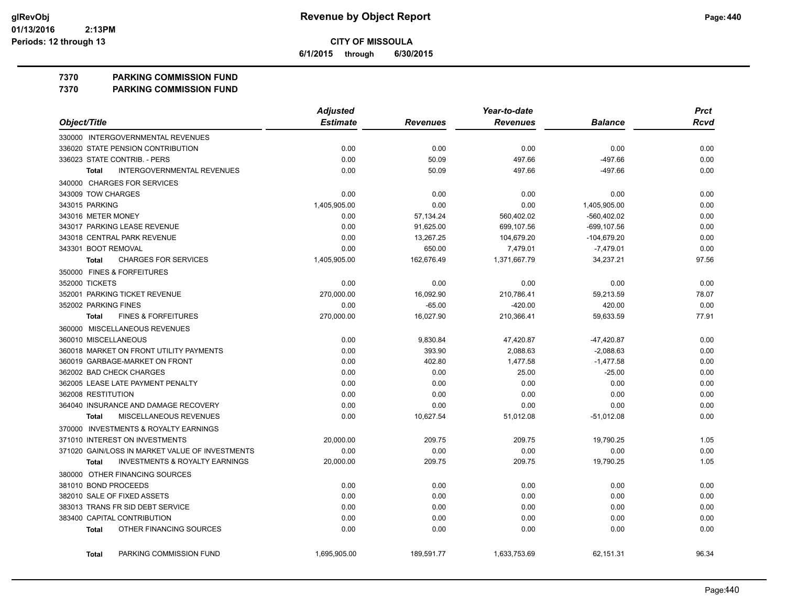**6/1/2015 through 6/30/2015**

**7370 PARKING COMMISSION FUND**

**7370 PARKING COMMISSION FUND**

|                                                           | <b>Adjusted</b> |                 | Year-to-date    |                | <b>Prct</b> |
|-----------------------------------------------------------|-----------------|-----------------|-----------------|----------------|-------------|
| Object/Title                                              | <b>Estimate</b> | <b>Revenues</b> | <b>Revenues</b> | <b>Balance</b> | Rcvd        |
| 330000 INTERGOVERNMENTAL REVENUES                         |                 |                 |                 |                |             |
| 336020 STATE PENSION CONTRIBUTION                         | 0.00            | 0.00            | 0.00            | 0.00           | 0.00        |
| 336023 STATE CONTRIB. - PERS                              | 0.00            | 50.09           | 497.66          | $-497.66$      | 0.00        |
| <b>INTERGOVERNMENTAL REVENUES</b><br><b>Total</b>         | 0.00            | 50.09           | 497.66          | -497.66        | 0.00        |
| 340000 CHARGES FOR SERVICES                               |                 |                 |                 |                |             |
| 343009 TOW CHARGES                                        | 0.00            | 0.00            | 0.00            | 0.00           | 0.00        |
| 343015 PARKING                                            | 1,405,905.00    | 0.00            | 0.00            | 1,405,905.00   | 0.00        |
| 343016 METER MONEY                                        | 0.00            | 57,134.24       | 560,402.02      | $-560,402.02$  | 0.00        |
| 343017 PARKING LEASE REVENUE                              | 0.00            | 91,625.00       | 699,107.56      | $-699, 107.56$ | 0.00        |
| 343018 CENTRAL PARK REVENUE                               | 0.00            | 13,267.25       | 104,679.20      | $-104,679.20$  | 0.00        |
| 343301 BOOT REMOVAL                                       | 0.00            | 650.00          | 7,479.01        | $-7,479.01$    | 0.00        |
| <b>CHARGES FOR SERVICES</b><br><b>Total</b>               | 1,405,905.00    | 162,676.49      | 1,371,667.79    | 34,237.21      | 97.56       |
| 350000 FINES & FORFEITURES                                |                 |                 |                 |                |             |
| 352000 TICKETS                                            | 0.00            | 0.00            | 0.00            | 0.00           | 0.00        |
| 352001 PARKING TICKET REVENUE                             | 270,000.00      | 16,092.90       | 210,786.41      | 59,213.59      | 78.07       |
| 352002 PARKING FINES                                      | 0.00            | $-65.00$        | $-420.00$       | 420.00         | 0.00        |
| <b>FINES &amp; FORFEITURES</b><br>Total                   | 270,000.00      | 16,027.90       | 210,366.41      | 59,633.59      | 77.91       |
| 360000 MISCELLANEOUS REVENUES                             |                 |                 |                 |                |             |
| 360010 MISCELLANEOUS                                      | 0.00            | 9,830.84        | 47,420.87       | -47,420.87     | 0.00        |
| 360018 MARKET ON FRONT UTILITY PAYMENTS                   | 0.00            | 393.90          | 2,088.63        | $-2,088.63$    | 0.00        |
| 360019 GARBAGE-MARKET ON FRONT                            | 0.00            | 402.80          | 1,477.58        | $-1,477.58$    | 0.00        |
| 362002 BAD CHECK CHARGES                                  | 0.00            | 0.00            | 25.00           | $-25.00$       | 0.00        |
| 362005 LEASE LATE PAYMENT PENALTY                         | 0.00            | 0.00            | 0.00            | 0.00           | 0.00        |
| 362008 RESTITUTION                                        | 0.00            | 0.00            | 0.00            | 0.00           | 0.00        |
| 364040 INSURANCE AND DAMAGE RECOVERY                      | 0.00            | 0.00            | 0.00            | 0.00           | 0.00        |
| MISCELLANEOUS REVENUES<br><b>Total</b>                    | 0.00            | 10,627.54       | 51,012.08       | $-51,012.08$   | 0.00        |
| 370000 INVESTMENTS & ROYALTY EARNINGS                     |                 |                 |                 |                |             |
| 371010 INTEREST ON INVESTMENTS                            | 20,000.00       | 209.75          | 209.75          | 19,790.25      | 1.05        |
| 371020 GAIN/LOSS IN MARKET VALUE OF INVESTMENTS           | 0.00            | 0.00            | 0.00            | 0.00           | 0.00        |
| <b>INVESTMENTS &amp; ROYALTY EARNINGS</b><br><b>Total</b> | 20,000.00       | 209.75          | 209.75          | 19,790.25      | 1.05        |
| 380000 OTHER FINANCING SOURCES                            |                 |                 |                 |                |             |
| 381010 BOND PROCEEDS                                      | 0.00            | 0.00            | 0.00            | 0.00           | 0.00        |
| 382010 SALE OF FIXED ASSETS                               | 0.00            | 0.00            | 0.00            | 0.00           | 0.00        |
| 383013 TRANS FR SID DEBT SERVICE                          | 0.00            | 0.00            | 0.00            | 0.00           | 0.00        |
| 383400 CAPITAL CONTRIBUTION                               | 0.00            | 0.00            | 0.00            | 0.00           | 0.00        |
| OTHER FINANCING SOURCES<br><b>Total</b>                   | 0.00            | 0.00            | 0.00            | 0.00           | 0.00        |
| PARKING COMMISSION FUND<br><b>Total</b>                   | 1,695,905.00    | 189,591.77      | 1,633,753.69    | 62.151.31      | 96.34       |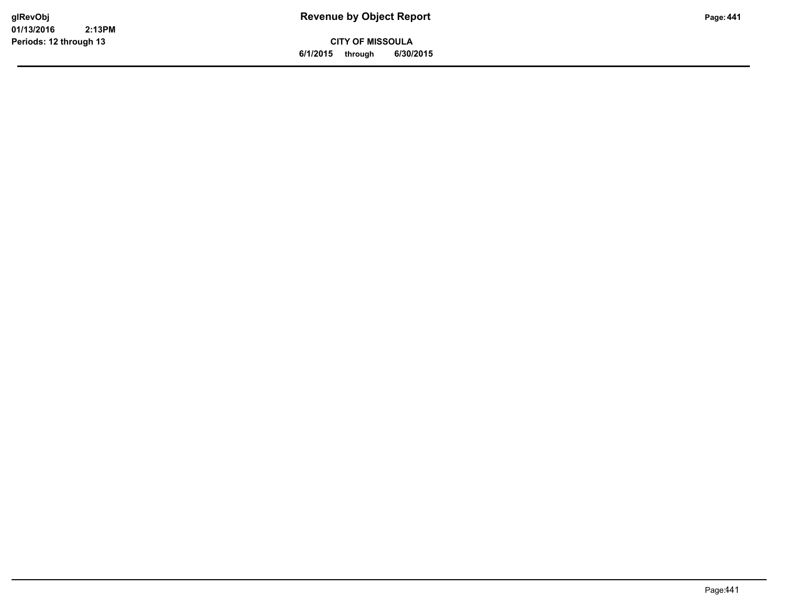**6/1/2015 through 6/30/2015**

**CITY OF MISSOULA**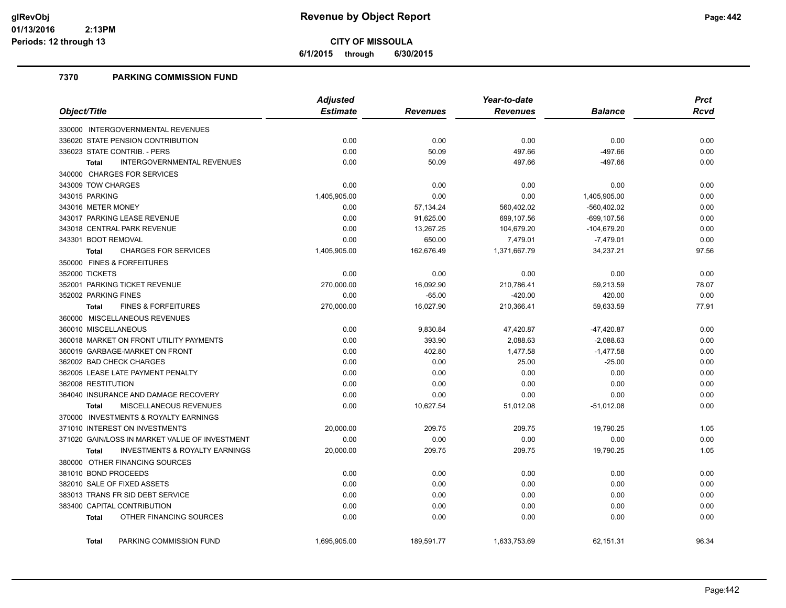**6/1/2015 through 6/30/2015**

#### **7370 PARKING COMMISSION FUND**

|                                                           | <b>Adjusted</b> |                 | Year-to-date    |                | <b>Prct</b> |
|-----------------------------------------------------------|-----------------|-----------------|-----------------|----------------|-------------|
| Object/Title                                              | <b>Estimate</b> | <b>Revenues</b> | <b>Revenues</b> | <b>Balance</b> | Rcvd        |
| 330000 INTERGOVERNMENTAL REVENUES                         |                 |                 |                 |                |             |
| 336020 STATE PENSION CONTRIBUTION                         | 0.00            | 0.00            | 0.00            | 0.00           | 0.00        |
| 336023 STATE CONTRIB. - PERS                              | 0.00            | 50.09           | 497.66          | $-497.66$      | 0.00        |
| <b>INTERGOVERNMENTAL REVENUES</b><br><b>Total</b>         | 0.00            | 50.09           | 497.66          | $-497.66$      | 0.00        |
| 340000 CHARGES FOR SERVICES                               |                 |                 |                 |                |             |
| 343009 TOW CHARGES                                        | 0.00            | 0.00            | 0.00            | 0.00           | 0.00        |
| 343015 PARKING                                            | 1,405,905.00    | 0.00            | 0.00            | 1,405,905.00   | 0.00        |
| 343016 METER MONEY                                        | 0.00            | 57,134.24       | 560,402.02      | $-560,402.02$  | 0.00        |
| 343017 PARKING LEASE REVENUE                              | 0.00            | 91,625.00       | 699,107.56      | $-699, 107.56$ | 0.00        |
| 343018 CENTRAL PARK REVENUE                               | 0.00            | 13,267.25       | 104,679.20      | $-104,679.20$  | 0.00        |
| 343301 BOOT REMOVAL                                       | 0.00            | 650.00          | 7.479.01        | $-7,479.01$    | 0.00        |
| <b>CHARGES FOR SERVICES</b><br><b>Total</b>               | 1,405,905.00    | 162,676.49      | 1,371,667.79    | 34,237.21      | 97.56       |
| 350000 FINES & FORFEITURES                                |                 |                 |                 |                |             |
| 352000 TICKETS                                            | 0.00            | 0.00            | 0.00            | 0.00           | 0.00        |
| 352001 PARKING TICKET REVENUE                             | 270,000.00      | 16,092.90       | 210,786.41      | 59,213.59      | 78.07       |
| 352002 PARKING FINES                                      | 0.00            | $-65.00$        | $-420.00$       | 420.00         | 0.00        |
| <b>FINES &amp; FORFEITURES</b><br><b>Total</b>            | 270,000.00      | 16,027.90       | 210,366.41      | 59,633.59      | 77.91       |
| 360000 MISCELLANEOUS REVENUES                             |                 |                 |                 |                |             |
| 360010 MISCELLANEOUS                                      | 0.00            | 9,830.84        | 47,420.87       | -47,420.87     | 0.00        |
| 360018 MARKET ON FRONT UTILITY PAYMENTS                   | 0.00            | 393.90          | 2,088.63        | $-2,088.63$    | 0.00        |
| 360019 GARBAGE-MARKET ON FRONT                            | 0.00            | 402.80          | 1,477.58        | $-1,477.58$    | 0.00        |
| 362002 BAD CHECK CHARGES                                  | 0.00            | 0.00            | 25.00           | $-25.00$       | 0.00        |
| 362005 LEASE LATE PAYMENT PENALTY                         | 0.00            | 0.00            | 0.00            | 0.00           | 0.00        |
| 362008 RESTITUTION                                        | 0.00            | 0.00            | 0.00            | 0.00           | 0.00        |
| 364040 INSURANCE AND DAMAGE RECOVERY                      | 0.00            | 0.00            | 0.00            | 0.00           | 0.00        |
| MISCELLANEOUS REVENUES<br>Total                           | 0.00            | 10,627.54       | 51,012.08       | $-51,012.08$   | 0.00        |
| 370000 INVESTMENTS & ROYALTY EARNINGS                     |                 |                 |                 |                |             |
| 371010 INTEREST ON INVESTMENTS                            | 20,000.00       | 209.75          | 209.75          | 19,790.25      | 1.05        |
| 371020 GAIN/LOSS IN MARKET VALUE OF INVESTMENT            | 0.00            | 0.00            | 0.00            | 0.00           | 0.00        |
| <b>INVESTMENTS &amp; ROYALTY EARNINGS</b><br><b>Total</b> | 20,000.00       | 209.75          | 209.75          | 19,790.25      | 1.05        |
| 380000 OTHER FINANCING SOURCES                            |                 |                 |                 |                |             |
| 381010 BOND PROCEEDS                                      | 0.00            | 0.00            | 0.00            | 0.00           | 0.00        |
| 382010 SALE OF FIXED ASSETS                               | 0.00            | 0.00            | 0.00            | 0.00           | 0.00        |
| 383013 TRANS FR SID DEBT SERVICE                          | 0.00            | 0.00            | 0.00            | 0.00           | 0.00        |
| 383400 CAPITAL CONTRIBUTION                               | 0.00            | 0.00            | 0.00            | 0.00           | 0.00        |
| OTHER FINANCING SOURCES<br><b>Total</b>                   | 0.00            | 0.00            | 0.00            | 0.00           | 0.00        |
| PARKING COMMISSION FUND<br><b>Total</b>                   | 1.695.905.00    | 189.591.77      | 1.633.753.69    | 62.151.31      | 96.34       |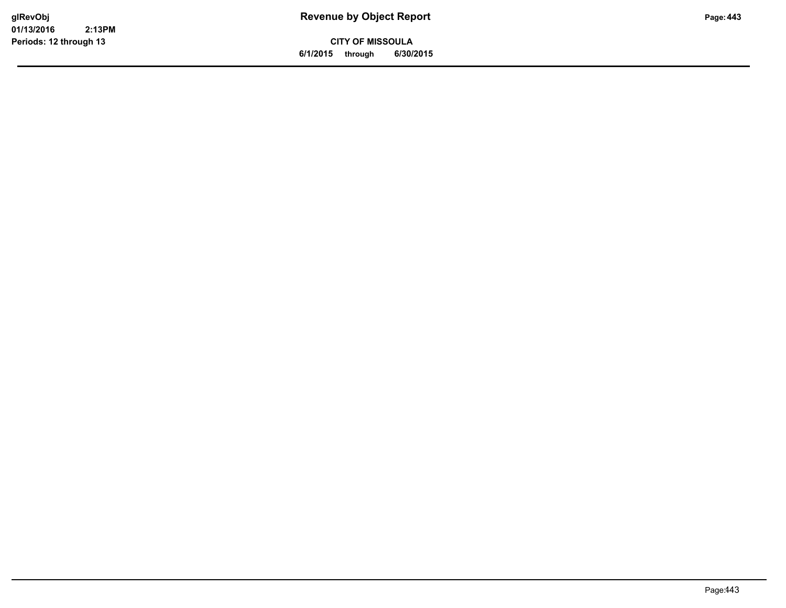**6/1/2015 through 6/30/2015**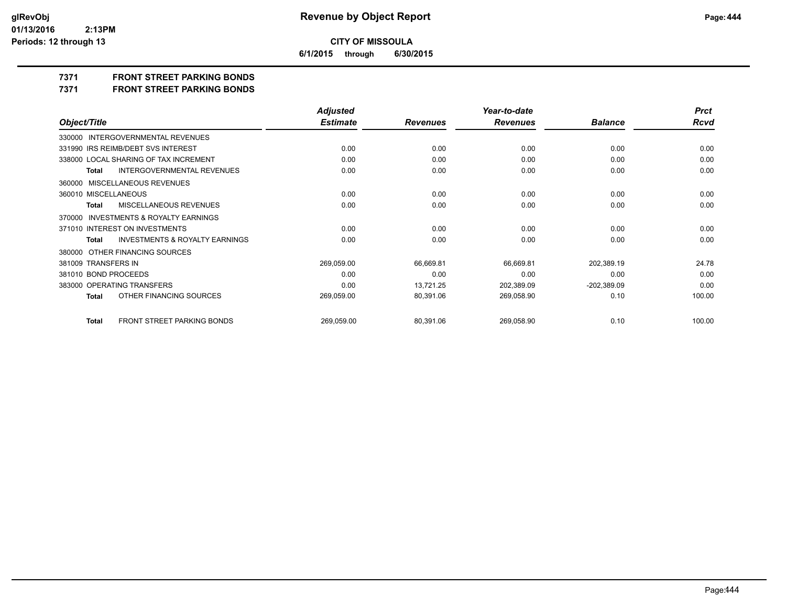**6/1/2015 through 6/30/2015**

# **7371 FRONT STREET PARKING BONDS**

**7371 FRONT STREET PARKING BONDS**

|                                                           | <b>Adjusted</b> |                 | Year-to-date    |                | <b>Prct</b> |
|-----------------------------------------------------------|-----------------|-----------------|-----------------|----------------|-------------|
| Object/Title                                              | <b>Estimate</b> | <b>Revenues</b> | <b>Revenues</b> | <b>Balance</b> | <b>Rcvd</b> |
| 330000 INTERGOVERNMENTAL REVENUES                         |                 |                 |                 |                |             |
| 331990 IRS REIMB/DEBT SVS INTEREST                        | 0.00            | 0.00            | 0.00            | 0.00           | 0.00        |
| 338000 LOCAL SHARING OF TAX INCREMENT                     | 0.00            | 0.00            | 0.00            | 0.00           | 0.00        |
| <b>INTERGOVERNMENTAL REVENUES</b><br><b>Total</b>         | 0.00            | 0.00            | 0.00            | 0.00           | 0.00        |
| 360000 MISCELLANEOUS REVENUES                             |                 |                 |                 |                |             |
| 360010 MISCELLANEOUS                                      | 0.00            | 0.00            | 0.00            | 0.00           | 0.00        |
| MISCELLANEOUS REVENUES<br><b>Total</b>                    | 0.00            | 0.00            | 0.00            | 0.00           | 0.00        |
| INVESTMENTS & ROYALTY EARNINGS<br>370000                  |                 |                 |                 |                |             |
| 371010 INTEREST ON INVESTMENTS                            | 0.00            | 0.00            | 0.00            | 0.00           | 0.00        |
| <b>INVESTMENTS &amp; ROYALTY EARNINGS</b><br><b>Total</b> | 0.00            | 0.00            | 0.00            | 0.00           | 0.00        |
| OTHER FINANCING SOURCES<br>380000                         |                 |                 |                 |                |             |
| 381009 TRANSFERS IN                                       | 269,059.00      | 66,669.81       | 66,669.81       | 202,389.19     | 24.78       |
| 381010 BOND PROCEEDS                                      | 0.00            | 0.00            | 0.00            | 0.00           | 0.00        |
| 383000 OPERATING TRANSFERS                                | 0.00            | 13,721.25       | 202,389.09      | $-202,389.09$  | 0.00        |
| OTHER FINANCING SOURCES<br>Total                          | 269,059.00      | 80,391.06       | 269,058.90      | 0.10           | 100.00      |
| FRONT STREET PARKING BONDS<br><b>Total</b>                | 269,059.00      | 80,391.06       | 269,058.90      | 0.10           | 100.00      |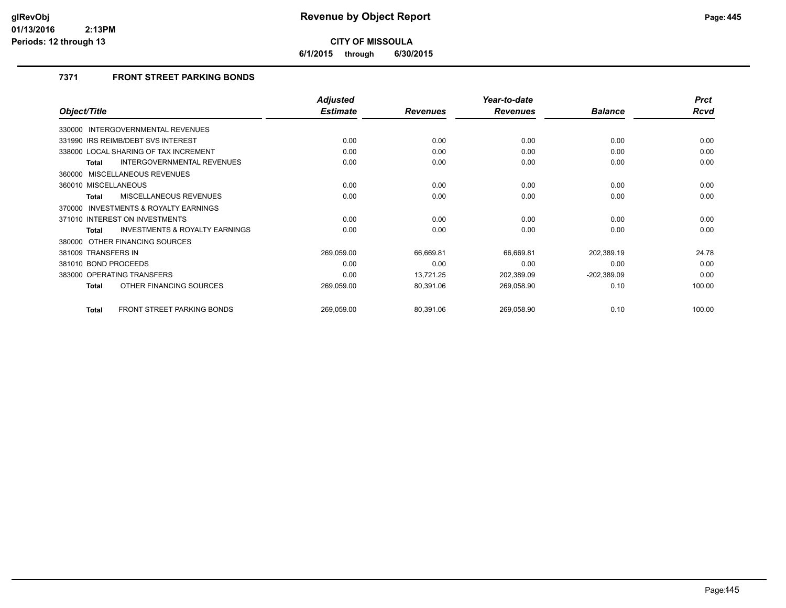**6/1/2015 through 6/30/2015**

# **7371 FRONT STREET PARKING BONDS**

|                                                           | <b>Adjusted</b> |                 | Year-to-date    |                | <b>Prct</b> |
|-----------------------------------------------------------|-----------------|-----------------|-----------------|----------------|-------------|
| Object/Title                                              | <b>Estimate</b> | <b>Revenues</b> | <b>Revenues</b> | <b>Balance</b> | <b>Rcvd</b> |
| <b>INTERGOVERNMENTAL REVENUES</b><br>330000               |                 |                 |                 |                |             |
| 331990 IRS REIMB/DEBT SVS INTEREST                        | 0.00            | 0.00            | 0.00            | 0.00           | 0.00        |
| 338000 LOCAL SHARING OF TAX INCREMENT                     | 0.00            | 0.00            | 0.00            | 0.00           | 0.00        |
| INTERGOVERNMENTAL REVENUES<br><b>Total</b>                | 0.00            | 0.00            | 0.00            | 0.00           | 0.00        |
| 360000 MISCELLANEOUS REVENUES                             |                 |                 |                 |                |             |
| 360010 MISCELLANEOUS                                      | 0.00            | 0.00            | 0.00            | 0.00           | 0.00        |
| MISCELLANEOUS REVENUES<br><b>Total</b>                    | 0.00            | 0.00            | 0.00            | 0.00           | 0.00        |
| 370000 INVESTMENTS & ROYALTY EARNINGS                     |                 |                 |                 |                |             |
| 371010 INTEREST ON INVESTMENTS                            | 0.00            | 0.00            | 0.00            | 0.00           | 0.00        |
| <b>INVESTMENTS &amp; ROYALTY EARNINGS</b><br><b>Total</b> | 0.00            | 0.00            | 0.00            | 0.00           | 0.00        |
| 380000 OTHER FINANCING SOURCES                            |                 |                 |                 |                |             |
| 381009 TRANSFERS IN                                       | 269,059.00      | 66,669.81       | 66,669.81       | 202,389.19     | 24.78       |
| 381010 BOND PROCEEDS                                      | 0.00            | 0.00            | 0.00            | 0.00           | 0.00        |
| 383000 OPERATING TRANSFERS                                | 0.00            | 13,721.25       | 202,389.09      | $-202,389.09$  | 0.00        |
| OTHER FINANCING SOURCES<br><b>Total</b>                   | 269,059.00      | 80,391.06       | 269,058.90      | 0.10           | 100.00      |
| <b>FRONT STREET PARKING BONDS</b><br><b>Total</b>         | 269,059.00      | 80,391.06       | 269,058.90      | 0.10           | 100.00      |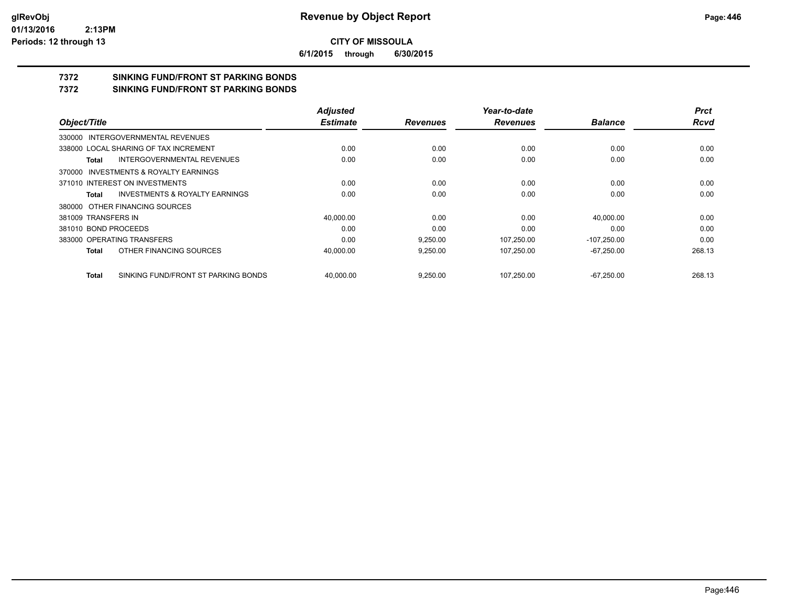**6/1/2015 through 6/30/2015**

# **7372 SINKING FUND/FRONT ST PARKING BONDS**

**7372 SINKING FUND/FRONT ST PARKING BONDS**

|                            |                                           | <b>Adjusted</b> |                 | Year-to-date    |                | <b>Prct</b> |
|----------------------------|-------------------------------------------|-----------------|-----------------|-----------------|----------------|-------------|
| Object/Title               |                                           | <b>Estimate</b> | <b>Revenues</b> | <b>Revenues</b> | <b>Balance</b> | <b>Rcvd</b> |
|                            | 330000 INTERGOVERNMENTAL REVENUES         |                 |                 |                 |                |             |
|                            | 338000 LOCAL SHARING OF TAX INCREMENT     | 0.00            | 0.00            | 0.00            | 0.00           | 0.00        |
| Total                      | INTERGOVERNMENTAL REVENUES                | 0.00            | 0.00            | 0.00            | 0.00           | 0.00        |
|                            | 370000 INVESTMENTS & ROYALTY EARNINGS     |                 |                 |                 |                |             |
|                            | 371010 INTEREST ON INVESTMENTS            | 0.00            | 0.00            | 0.00            | 0.00           | 0.00        |
| Total                      | <b>INVESTMENTS &amp; ROYALTY EARNINGS</b> | 0.00            | 0.00            | 0.00            | 0.00           | 0.00        |
|                            | 380000 OTHER FINANCING SOURCES            |                 |                 |                 |                |             |
| 381009 TRANSFERS IN        |                                           | 40,000.00       | 0.00            | 0.00            | 40.000.00      | 0.00        |
| 381010 BOND PROCEEDS       |                                           | 0.00            | 0.00            | 0.00            | 0.00           | 0.00        |
| 383000 OPERATING TRANSFERS |                                           | 0.00            | 9,250.00        | 107,250.00      | $-107,250.00$  | 0.00        |
| Total                      | OTHER FINANCING SOURCES                   | 40,000.00       | 9,250.00        | 107,250.00      | $-67,250.00$   | 268.13      |
| Total                      | SINKING FUND/FRONT ST PARKING BONDS       | 40.000.00       | 9.250.00        | 107.250.00      | $-67.250.00$   | 268.13      |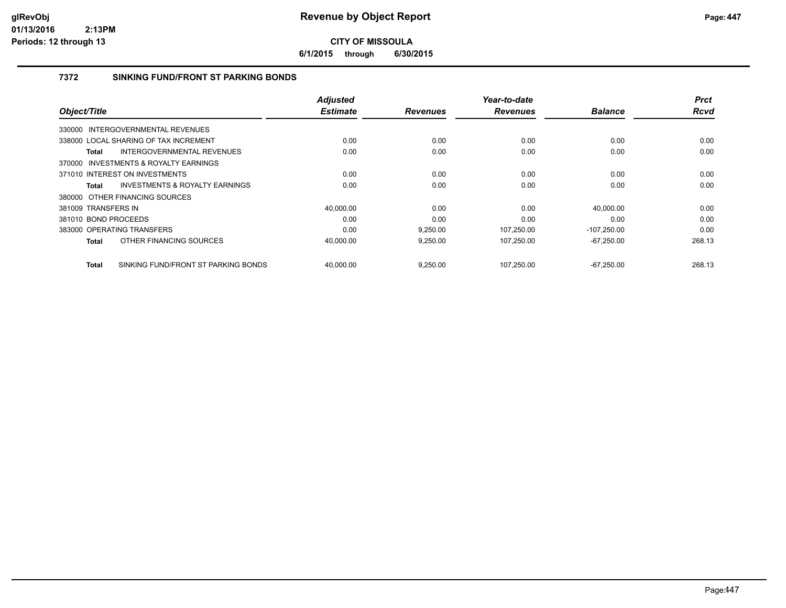**6/1/2015 through 6/30/2015**

#### **7372 SINKING FUND/FRONT ST PARKING BONDS**

| Object/Title                                        | <b>Adjusted</b><br><b>Estimate</b> | <b>Revenues</b> | Year-to-date<br><b>Revenues</b> | <b>Balance</b> | <b>Prct</b><br>Rcvd |
|-----------------------------------------------------|------------------------------------|-----------------|---------------------------------|----------------|---------------------|
|                                                     |                                    |                 |                                 |                |                     |
| 330000 INTERGOVERNMENTAL REVENUES                   |                                    |                 |                                 |                |                     |
| 338000 LOCAL SHARING OF TAX INCREMENT               | 0.00                               | 0.00            | 0.00                            | 0.00           | 0.00                |
| <b>INTERGOVERNMENTAL REVENUES</b><br>Total          | 0.00                               | 0.00            | 0.00                            | 0.00           | 0.00                |
| 370000 INVESTMENTS & ROYALTY EARNINGS               |                                    |                 |                                 |                |                     |
| 371010 INTEREST ON INVESTMENTS                      | 0.00                               | 0.00            | 0.00                            | 0.00           | 0.00                |
| INVESTMENTS & ROYALTY EARNINGS<br>Total             | 0.00                               | 0.00            | 0.00                            | 0.00           | 0.00                |
| 380000 OTHER FINANCING SOURCES                      |                                    |                 |                                 |                |                     |
| 381009 TRANSFERS IN                                 | 40.000.00                          | 0.00            | 0.00                            | 40,000.00      | 0.00                |
| 381010 BOND PROCEEDS                                | 0.00                               | 0.00            | 0.00                            | 0.00           | 0.00                |
| 383000 OPERATING TRANSFERS                          | 0.00                               | 9,250.00        | 107,250.00                      | $-107.250.00$  | 0.00                |
| OTHER FINANCING SOURCES<br>Total                    | 40.000.00                          | 9,250.00        | 107,250.00                      | $-67,250.00$   | 268.13              |
| SINKING FUND/FRONT ST PARKING BONDS<br><b>Total</b> | 40.000.00                          | 9.250.00        | 107.250.00                      | $-67,250.00$   | 268.13              |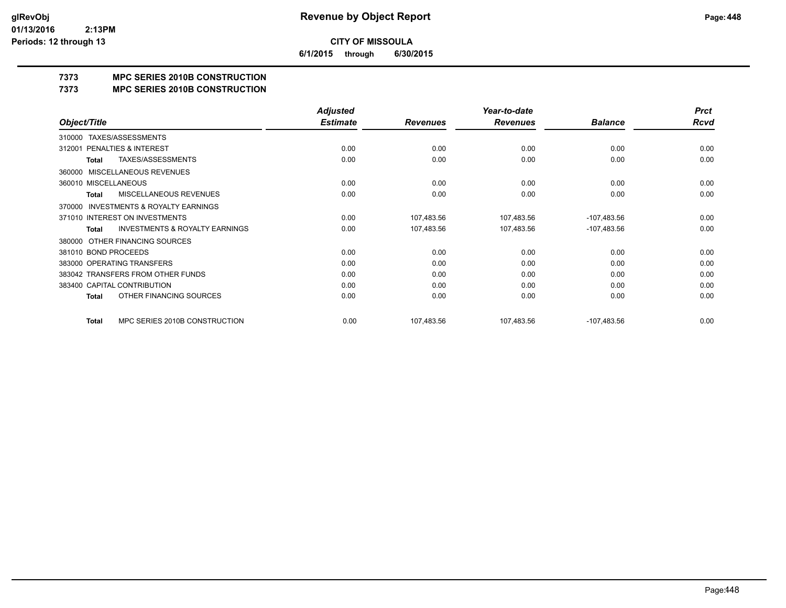**6/1/2015 through 6/30/2015**

# **7373 MPC SERIES 2010B CONSTRUCTION**

#### **7373 MPC SERIES 2010B CONSTRUCTION**

|                                                           | <b>Adjusted</b> |                 | Year-to-date    |                | <b>Prct</b> |
|-----------------------------------------------------------|-----------------|-----------------|-----------------|----------------|-------------|
| Object/Title                                              | <b>Estimate</b> | <b>Revenues</b> | <b>Revenues</b> | <b>Balance</b> | <b>Rcvd</b> |
| TAXES/ASSESSMENTS<br>310000                               |                 |                 |                 |                |             |
| PENALTIES & INTEREST<br>312001                            | 0.00            | 0.00            | 0.00            | 0.00           | 0.00        |
| <b>TAXES/ASSESSMENTS</b><br><b>Total</b>                  | 0.00            | 0.00            | 0.00            | 0.00           | 0.00        |
| <b>MISCELLANEOUS REVENUES</b><br>360000                   |                 |                 |                 |                |             |
| 360010 MISCELLANEOUS                                      | 0.00            | 0.00            | 0.00            | 0.00           | 0.00        |
| <b>MISCELLANEOUS REVENUES</b><br><b>Total</b>             | 0.00            | 0.00            | 0.00            | 0.00           | 0.00        |
| <b>INVESTMENTS &amp; ROYALTY EARNINGS</b><br>370000       |                 |                 |                 |                |             |
| 371010 INTEREST ON INVESTMENTS                            | 0.00            | 107,483.56      | 107,483.56      | $-107,483.56$  | 0.00        |
| <b>INVESTMENTS &amp; ROYALTY EARNINGS</b><br><b>Total</b> | 0.00            | 107,483.56      | 107,483.56      | $-107,483.56$  | 0.00        |
| OTHER FINANCING SOURCES<br>380000                         |                 |                 |                 |                |             |
| 381010 BOND PROCEEDS                                      | 0.00            | 0.00            | 0.00            | 0.00           | 0.00        |
| 383000 OPERATING TRANSFERS                                | 0.00            | 0.00            | 0.00            | 0.00           | 0.00        |
| 383042 TRANSFERS FROM OTHER FUNDS                         | 0.00            | 0.00            | 0.00            | 0.00           | 0.00        |
| 383400 CAPITAL CONTRIBUTION                               | 0.00            | 0.00            | 0.00            | 0.00           | 0.00        |
| OTHER FINANCING SOURCES<br><b>Total</b>                   | 0.00            | 0.00            | 0.00            | 0.00           | 0.00        |
| MPC SERIES 2010B CONSTRUCTION<br><b>Total</b>             | 0.00            | 107,483.56      | 107,483.56      | $-107,483.56$  | 0.00        |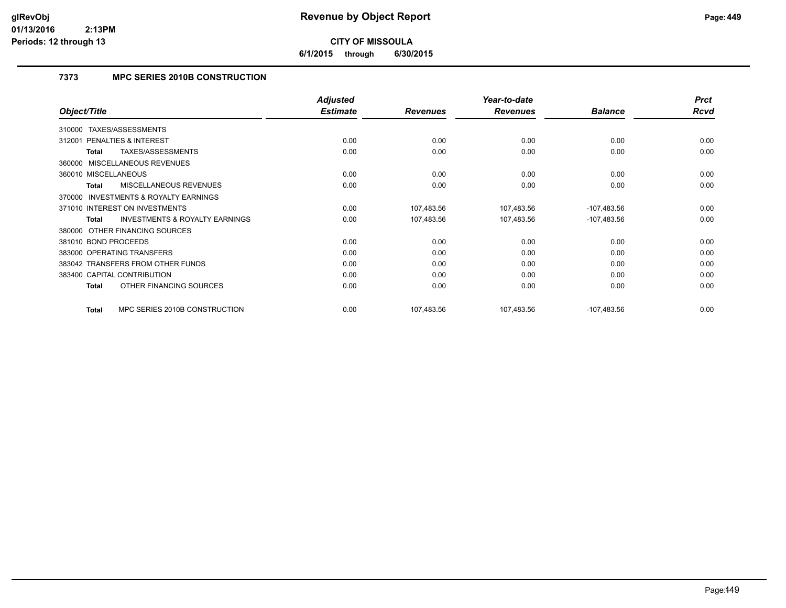**6/1/2015 through 6/30/2015**

## **7373 MPC SERIES 2010B CONSTRUCTION**

|                                                    | <b>Adjusted</b> |                 | Year-to-date    |                | <b>Prct</b> |
|----------------------------------------------------|-----------------|-----------------|-----------------|----------------|-------------|
| Object/Title                                       | <b>Estimate</b> | <b>Revenues</b> | <b>Revenues</b> | <b>Balance</b> | Rcvd        |
| TAXES/ASSESSMENTS<br>310000                        |                 |                 |                 |                |             |
| PENALTIES & INTEREST<br>312001                     | 0.00            | 0.00            | 0.00            | 0.00           | 0.00        |
| TAXES/ASSESSMENTS<br><b>Total</b>                  | 0.00            | 0.00            | 0.00            | 0.00           | 0.00        |
| 360000 MISCELLANEOUS REVENUES                      |                 |                 |                 |                |             |
| 360010 MISCELLANEOUS                               | 0.00            | 0.00            | 0.00            | 0.00           | 0.00        |
| <b>MISCELLANEOUS REVENUES</b><br>Total             | 0.00            | 0.00            | 0.00            | 0.00           | 0.00        |
| 370000 INVESTMENTS & ROYALTY EARNINGS              |                 |                 |                 |                |             |
| 371010 INTEREST ON INVESTMENTS                     | 0.00            | 107,483.56      | 107,483.56      | $-107,483.56$  | 0.00        |
| <b>INVESTMENTS &amp; ROYALTY EARNINGS</b><br>Total | 0.00            | 107,483.56      | 107,483.56      | $-107,483.56$  | 0.00        |
| OTHER FINANCING SOURCES<br>380000                  |                 |                 |                 |                |             |
| 381010 BOND PROCEEDS                               | 0.00            | 0.00            | 0.00            | 0.00           | 0.00        |
| 383000 OPERATING TRANSFERS                         | 0.00            | 0.00            | 0.00            | 0.00           | 0.00        |
| 383042 TRANSFERS FROM OTHER FUNDS                  | 0.00            | 0.00            | 0.00            | 0.00           | 0.00        |
| 383400 CAPITAL CONTRIBUTION                        | 0.00            | 0.00            | 0.00            | 0.00           | 0.00        |
| OTHER FINANCING SOURCES<br><b>Total</b>            | 0.00            | 0.00            | 0.00            | 0.00           | 0.00        |
| MPC SERIES 2010B CONSTRUCTION<br><b>Total</b>      | 0.00            | 107,483.56      | 107,483.56      | $-107,483.56$  | 0.00        |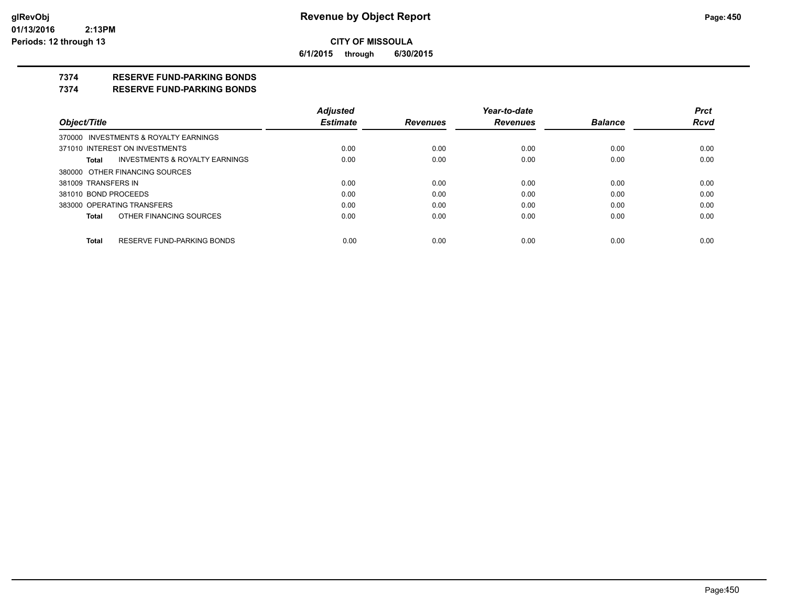**6/1/2015 through 6/30/2015**

## **7374 RESERVE FUND-PARKING BONDS**

#### **7374 RESERVE FUND-PARKING BONDS**

|                      |                                       | <b>Adjusted</b> |                 | Year-to-date    |                | <b>Prct</b> |
|----------------------|---------------------------------------|-----------------|-----------------|-----------------|----------------|-------------|
| Object/Title         |                                       | <b>Estimate</b> | <b>Revenues</b> | <b>Revenues</b> | <b>Balance</b> | <b>Rcvd</b> |
|                      | 370000 INVESTMENTS & ROYALTY EARNINGS |                 |                 |                 |                |             |
|                      | 371010 INTEREST ON INVESTMENTS        | 0.00            | 0.00            | 0.00            | 0.00           | 0.00        |
| Total                | INVESTMENTS & ROYALTY EARNINGS        | 0.00            | 0.00            | 0.00            | 0.00           | 0.00        |
|                      | 380000 OTHER FINANCING SOURCES        |                 |                 |                 |                |             |
| 381009 TRANSFERS IN  |                                       | 0.00            | 0.00            | 0.00            | 0.00           | 0.00        |
| 381010 BOND PROCEEDS |                                       | 0.00            | 0.00            | 0.00            | 0.00           | 0.00        |
|                      | 383000 OPERATING TRANSFERS            | 0.00            | 0.00            | 0.00            | 0.00           | 0.00        |
| <b>Total</b>         | OTHER FINANCING SOURCES               | 0.00            | 0.00            | 0.00            | 0.00           | 0.00        |
|                      |                                       |                 |                 |                 |                |             |
| <b>Total</b>         | RESERVE FUND-PARKING BONDS            | 0.00            | 0.00            | 0.00            | 0.00           | 0.00        |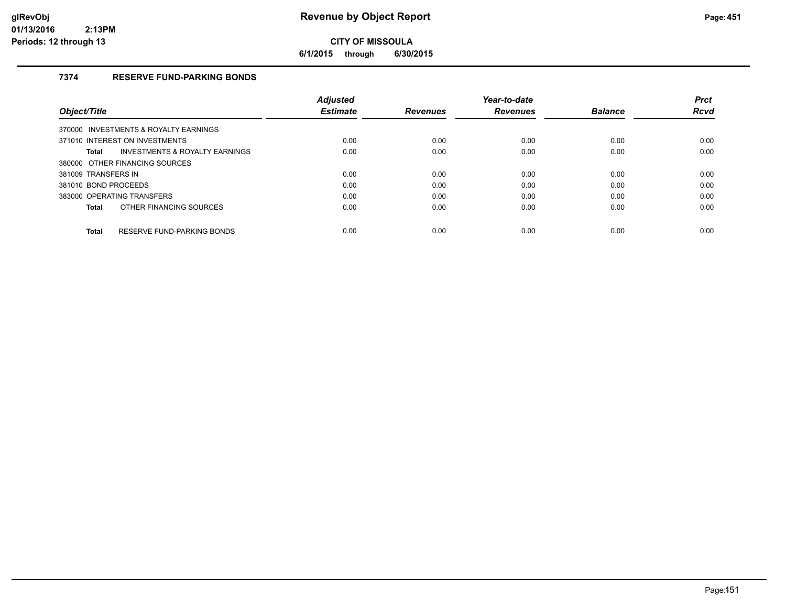**6/1/2015 through 6/30/2015**

## **7374 RESERVE FUND-PARKING BONDS**

|                                                    | <b>Adiusted</b> |                 | Year-to-date    |                | <b>Prct</b> |
|----------------------------------------------------|-----------------|-----------------|-----------------|----------------|-------------|
| Object/Title                                       | <b>Estimate</b> | <b>Revenues</b> | <b>Revenues</b> | <b>Balance</b> | <b>Rcvd</b> |
| 370000 INVESTMENTS & ROYALTY EARNINGS              |                 |                 |                 |                |             |
| 371010 INTEREST ON INVESTMENTS                     | 0.00            | 0.00            | 0.00            | 0.00           | 0.00        |
| <b>INVESTMENTS &amp; ROYALTY EARNINGS</b><br>Total | 0.00            | 0.00            | 0.00            | 0.00           | 0.00        |
| 380000 OTHER FINANCING SOURCES                     |                 |                 |                 |                |             |
| 381009 TRANSFERS IN                                | 0.00            | 0.00            | 0.00            | 0.00           | 0.00        |
| 381010 BOND PROCEEDS                               | 0.00            | 0.00            | 0.00            | 0.00           | 0.00        |
| 383000 OPERATING TRANSFERS                         | 0.00            | 0.00            | 0.00            | 0.00           | 0.00        |
| OTHER FINANCING SOURCES<br>Total                   | 0.00            | 0.00            | 0.00            | 0.00           | 0.00        |
| RESERVE FUND-PARKING BONDS<br><b>Total</b>         | 0.00            | 0.00            | 0.00            | 0.00           | 0.00        |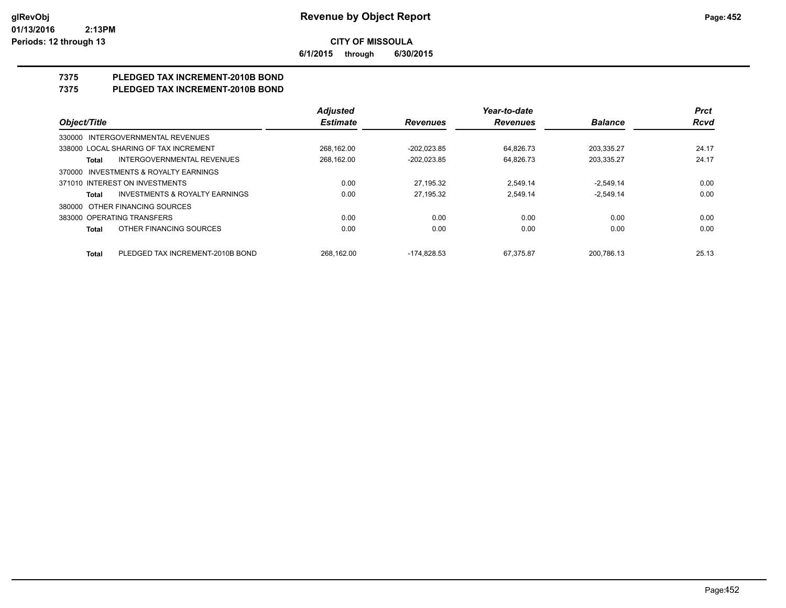**6/1/2015 through 6/30/2015**

# **7375 PLEDGED TAX INCREMENT-2010B BOND**

# **7375 PLEDGED TAX INCREMENT-2010B BOND**

|                                                    | <b>Adjusted</b> |                 | Year-to-date    |                | <b>Prct</b> |
|----------------------------------------------------|-----------------|-----------------|-----------------|----------------|-------------|
| Object/Title                                       | <b>Estimate</b> | <b>Revenues</b> | <b>Revenues</b> | <b>Balance</b> | <b>Rcvd</b> |
| 330000 INTERGOVERNMENTAL REVENUES                  |                 |                 |                 |                |             |
| 338000 LOCAL SHARING OF TAX INCREMENT              | 268.162.00      | $-202.023.85$   | 64.826.73       | 203.335.27     | 24.17       |
| INTERGOVERNMENTAL REVENUES<br>Total                | 268.162.00      | $-202.023.85$   | 64.826.73       | 203.335.27     | 24.17       |
| 370000 INVESTMENTS & ROYALTY EARNINGS              |                 |                 |                 |                |             |
| 371010 INTEREST ON INVESTMENTS                     | 0.00            | 27.195.32       | 2.549.14        | $-2.549.14$    | 0.00        |
| <b>INVESTMENTS &amp; ROYALTY EARNINGS</b><br>Total | 0.00            | 27.195.32       | 2.549.14        | $-2.549.14$    | 0.00        |
| 380000 OTHER FINANCING SOURCES                     |                 |                 |                 |                |             |
| 383000 OPERATING TRANSFERS                         | 0.00            | 0.00            | 0.00            | 0.00           | 0.00        |
| OTHER FINANCING SOURCES<br>Total                   | 0.00            | 0.00            | 0.00            | 0.00           | 0.00        |
| PLEDGED TAX INCREMENT-2010B BOND<br><b>Total</b>   | 268.162.00      | $-174.828.53$   | 67.375.87       | 200.786.13     | 25.13       |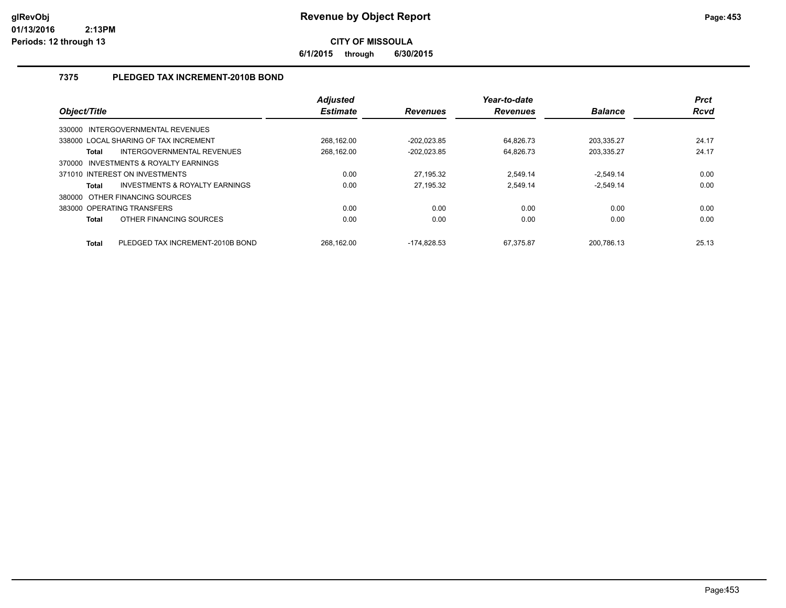**6/1/2015 through 6/30/2015**

## **7375 PLEDGED TAX INCREMENT-2010B BOND**

| Object/Title                                     | <b>Adjusted</b><br><b>Estimate</b> | <b>Revenues</b> | Year-to-date<br><b>Revenues</b> | <b>Balance</b> | <b>Prct</b><br>Rcvd |
|--------------------------------------------------|------------------------------------|-----------------|---------------------------------|----------------|---------------------|
| INTERGOVERNMENTAL REVENUES<br>330000             |                                    |                 |                                 |                |                     |
| 338000 LOCAL SHARING OF TAX INCREMENT            | 268.162.00                         | -202.023.85     | 64.826.73                       | 203.335.27     | 24.17               |
| <b>INTERGOVERNMENTAL REVENUES</b><br>Total       | 268,162.00                         | $-202,023.85$   | 64,826.73                       | 203,335.27     | 24.17               |
| INVESTMENTS & ROYALTY EARNINGS<br>370000         |                                    |                 |                                 |                |                     |
| 371010 INTEREST ON INVESTMENTS                   | 0.00                               | 27,195.32       | 2.549.14                        | $-2.549.14$    | 0.00                |
| INVESTMENTS & ROYALTY EARNINGS<br>Total          | 0.00                               | 27,195.32       | 2.549.14                        | $-2.549.14$    | 0.00                |
| 380000 OTHER FINANCING SOURCES                   |                                    |                 |                                 |                |                     |
| 383000 OPERATING TRANSFERS                       | 0.00                               | 0.00            | 0.00                            | 0.00           | 0.00                |
| OTHER FINANCING SOURCES<br><b>Total</b>          | 0.00                               | 0.00            | 0.00                            | 0.00           | 0.00                |
| PLEDGED TAX INCREMENT-2010B BOND<br><b>Total</b> | 268.162.00                         | $-174.828.53$   | 67.375.87                       | 200.786.13     | 25.13               |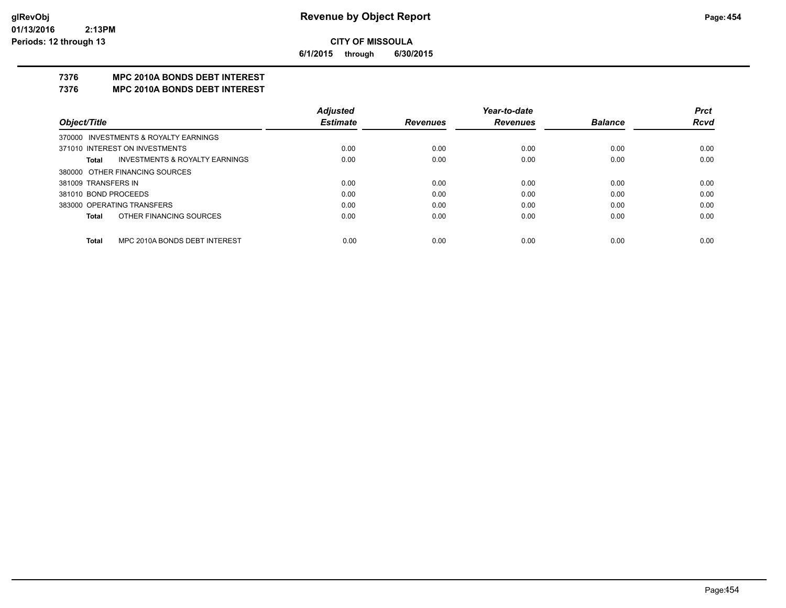**6/1/2015 through 6/30/2015**

## **7376 MPC 2010A BONDS DEBT INTEREST**

#### **7376 MPC 2010A BONDS DEBT INTEREST**

|                      |                                       | <b>Adjusted</b> |                 | Year-to-date    |                | <b>Prct</b> |
|----------------------|---------------------------------------|-----------------|-----------------|-----------------|----------------|-------------|
| Object/Title         |                                       | <b>Estimate</b> | <b>Revenues</b> | <b>Revenues</b> | <b>Balance</b> | <b>Rcvd</b> |
|                      | 370000 INVESTMENTS & ROYALTY EARNINGS |                 |                 |                 |                |             |
|                      | 371010 INTEREST ON INVESTMENTS        | 0.00            | 0.00            | 0.00            | 0.00           | 0.00        |
| Total                | INVESTMENTS & ROYALTY EARNINGS        | 0.00            | 0.00            | 0.00            | 0.00           | 0.00        |
|                      | 380000 OTHER FINANCING SOURCES        |                 |                 |                 |                |             |
| 381009 TRANSFERS IN  |                                       | 0.00            | 0.00            | 0.00            | 0.00           | 0.00        |
| 381010 BOND PROCEEDS |                                       | 0.00            | 0.00            | 0.00            | 0.00           | 0.00        |
|                      | 383000 OPERATING TRANSFERS            | 0.00            | 0.00            | 0.00            | 0.00           | 0.00        |
| Total                | OTHER FINANCING SOURCES               | 0.00            | 0.00            | 0.00            | 0.00           | 0.00        |
|                      |                                       |                 |                 |                 |                |             |
| Total                | MPC 2010A BONDS DEBT INTEREST         | 0.00            | 0.00            | 0.00            | 0.00           | 0.00        |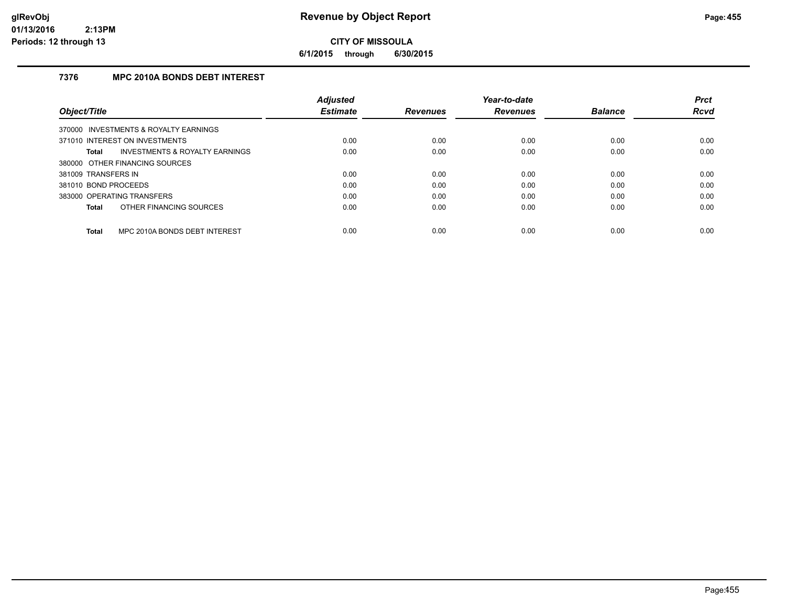**6/1/2015 through 6/30/2015**

## **7376 MPC 2010A BONDS DEBT INTEREST**

|                                       |                                           | <b>Adiusted</b> |                 | Year-to-date    |                | <b>Prct</b> |
|---------------------------------------|-------------------------------------------|-----------------|-----------------|-----------------|----------------|-------------|
| Object/Title                          |                                           | <b>Estimate</b> | <b>Revenues</b> | <b>Revenues</b> | <b>Balance</b> | <b>Rcvd</b> |
| 370000 INVESTMENTS & ROYALTY EARNINGS |                                           |                 |                 |                 |                |             |
| 371010 INTEREST ON INVESTMENTS        |                                           | 0.00            | 0.00            | 0.00            | 0.00           | 0.00        |
| Total                                 | <b>INVESTMENTS &amp; ROYALTY EARNINGS</b> | 0.00            | 0.00            | 0.00            | 0.00           | 0.00        |
| 380000 OTHER FINANCING SOURCES        |                                           |                 |                 |                 |                |             |
| 381009 TRANSFERS IN                   |                                           | 0.00            | 0.00            | 0.00            | 0.00           | 0.00        |
| 381010 BOND PROCEEDS                  |                                           | 0.00            | 0.00            | 0.00            | 0.00           | 0.00        |
| 383000 OPERATING TRANSFERS            |                                           | 0.00            | 0.00            | 0.00            | 0.00           | 0.00        |
| Total                                 | OTHER FINANCING SOURCES                   | 0.00            | 0.00            | 0.00            | 0.00           | 0.00        |
| <b>Total</b>                          | MPC 2010A BONDS DEBT INTEREST             | 0.00            | 0.00            | 0.00            | 0.00           | 0.00        |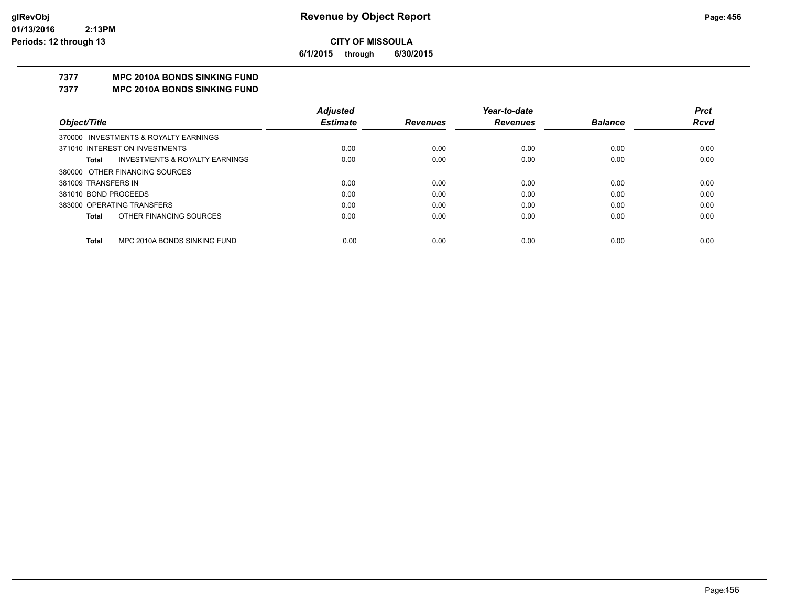**6/1/2015 through 6/30/2015**

# **7377 MPC 2010A BONDS SINKING FUND**

**7377 MPC 2010A BONDS SINKING FUND**

|                      |                                           | <b>Adjusted</b> |                 | Year-to-date    |                | <b>Prct</b> |
|----------------------|-------------------------------------------|-----------------|-----------------|-----------------|----------------|-------------|
| Object/Title         |                                           | <b>Estimate</b> | <b>Revenues</b> | <b>Revenues</b> | <b>Balance</b> | Rcvd        |
|                      | 370000 INVESTMENTS & ROYALTY EARNINGS     |                 |                 |                 |                |             |
|                      | 371010 INTEREST ON INVESTMENTS            | 0.00            | 0.00            | 0.00            | 0.00           | 0.00        |
| Total                | <b>INVESTMENTS &amp; ROYALTY EARNINGS</b> | 0.00            | 0.00            | 0.00            | 0.00           | 0.00        |
|                      | 380000 OTHER FINANCING SOURCES            |                 |                 |                 |                |             |
| 381009 TRANSFERS IN  |                                           | 0.00            | 0.00            | 0.00            | 0.00           | 0.00        |
| 381010 BOND PROCEEDS |                                           | 0.00            | 0.00            | 0.00            | 0.00           | 0.00        |
|                      | 383000 OPERATING TRANSFERS                | 0.00            | 0.00            | 0.00            | 0.00           | 0.00        |
| Total                | OTHER FINANCING SOURCES                   | 0.00            | 0.00            | 0.00            | 0.00           | 0.00        |
| <b>Total</b>         | MPC 2010A BONDS SINKING FUND              | 0.00            | 0.00            | 0.00            | 0.00           | 0.00        |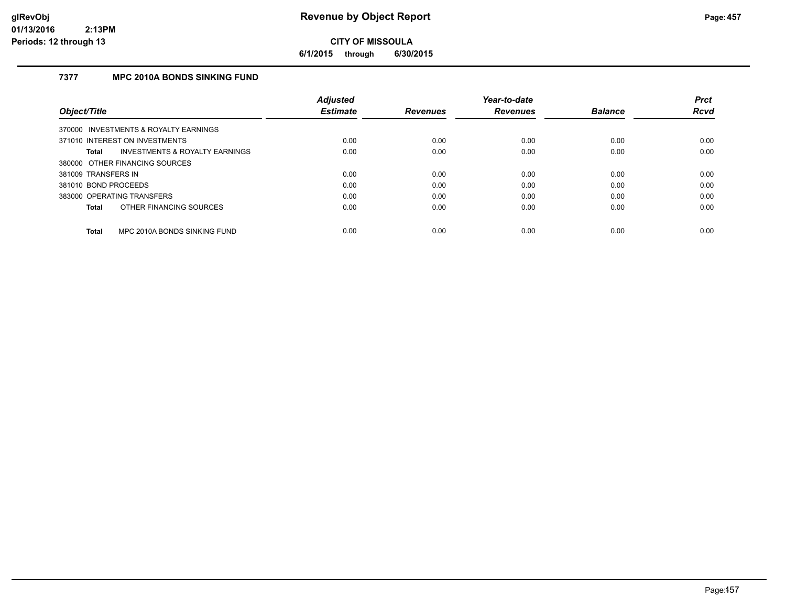**6/1/2015 through 6/30/2015**

## **7377 MPC 2010A BONDS SINKING FUND**

|                                                    | <b>Adiusted</b> |                 | Year-to-date    |                | <b>Prct</b> |
|----------------------------------------------------|-----------------|-----------------|-----------------|----------------|-------------|
| Object/Title                                       | <b>Estimate</b> | <b>Revenues</b> | <b>Revenues</b> | <b>Balance</b> | <b>Rcvd</b> |
| 370000 INVESTMENTS & ROYALTY EARNINGS              |                 |                 |                 |                |             |
| 371010 INTEREST ON INVESTMENTS                     | 0.00            | 0.00            | 0.00            | 0.00           | 0.00        |
| <b>INVESTMENTS &amp; ROYALTY EARNINGS</b><br>Total | 0.00            | 0.00            | 0.00            | 0.00           | 0.00        |
| 380000 OTHER FINANCING SOURCES                     |                 |                 |                 |                |             |
| 381009 TRANSFERS IN                                | 0.00            | 0.00            | 0.00            | 0.00           | 0.00        |
| 381010 BOND PROCEEDS                               | 0.00            | 0.00            | 0.00            | 0.00           | 0.00        |
| 383000 OPERATING TRANSFERS                         | 0.00            | 0.00            | 0.00            | 0.00           | 0.00        |
| OTHER FINANCING SOURCES<br>Total                   | 0.00            | 0.00            | 0.00            | 0.00           | 0.00        |
| MPC 2010A BONDS SINKING FUND<br><b>Total</b>       | 0.00            | 0.00            | 0.00            | 0.00           | 0.00        |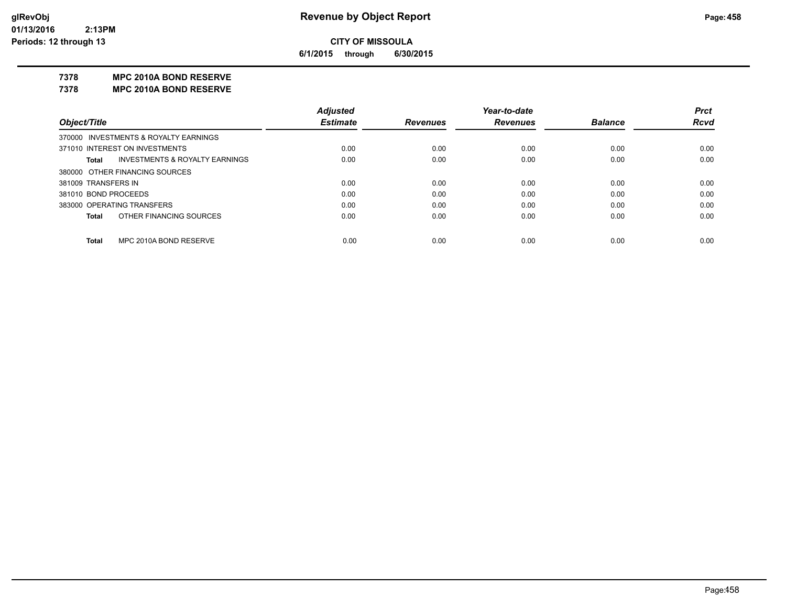**6/1/2015 through 6/30/2015**

#### **7378 MPC 2010A BOND RESERVE**

**7378 MPC 2010A BOND RESERVE**

|                                       |                                           | <b>Adjusted</b> |                 | Year-to-date    |                | <b>Prct</b> |
|---------------------------------------|-------------------------------------------|-----------------|-----------------|-----------------|----------------|-------------|
| Object/Title                          |                                           | <b>Estimate</b> | <b>Revenues</b> | <b>Revenues</b> | <b>Balance</b> | <b>Rcvd</b> |
| 370000 INVESTMENTS & ROYALTY EARNINGS |                                           |                 |                 |                 |                |             |
| 371010 INTEREST ON INVESTMENTS        |                                           | 0.00            | 0.00            | 0.00            | 0.00           | 0.00        |
| <b>Total</b>                          | <b>INVESTMENTS &amp; ROYALTY EARNINGS</b> | 0.00            | 0.00            | 0.00            | 0.00           | 0.00        |
| 380000 OTHER FINANCING SOURCES        |                                           |                 |                 |                 |                |             |
| 381009 TRANSFERS IN                   |                                           | 0.00            | 0.00            | 0.00            | 0.00           | 0.00        |
| 381010 BOND PROCEEDS                  |                                           | 0.00            | 0.00            | 0.00            | 0.00           | 0.00        |
| 383000 OPERATING TRANSFERS            |                                           | 0.00            | 0.00            | 0.00            | 0.00           | 0.00        |
| <b>Total</b>                          | OTHER FINANCING SOURCES                   | 0.00            | 0.00            | 0.00            | 0.00           | 0.00        |
| <b>Total</b>                          | MPC 2010A BOND RESERVE                    | 0.00            | 0.00            | 0.00            | 0.00           | 0.00        |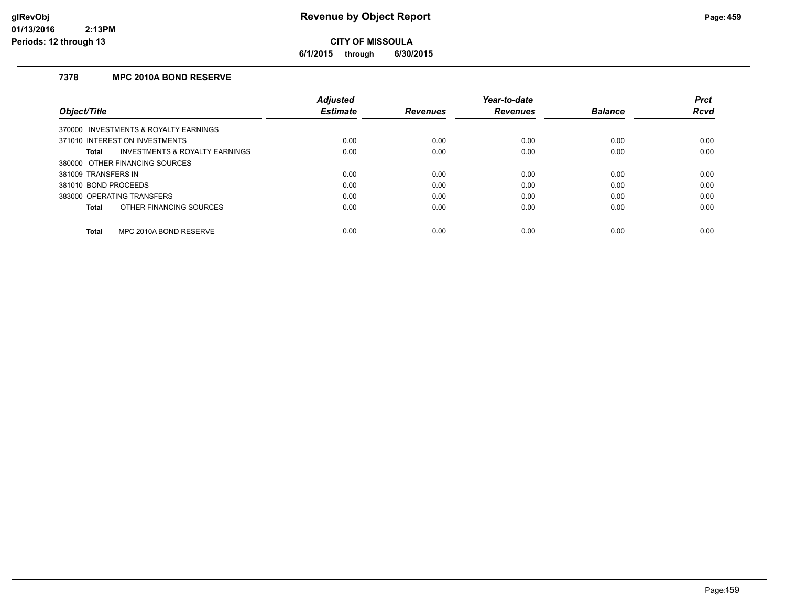**6/1/2015 through 6/30/2015**

## **7378 MPC 2010A BOND RESERVE**

|                                         | <b>Adjusted</b> |                 | Year-to-date    |                | <b>Prct</b> |
|-----------------------------------------|-----------------|-----------------|-----------------|----------------|-------------|
| Object/Title                            | <b>Estimate</b> | <b>Revenues</b> | <b>Revenues</b> | <b>Balance</b> | <b>Rcvd</b> |
| 370000 INVESTMENTS & ROYALTY EARNINGS   |                 |                 |                 |                |             |
| 371010 INTEREST ON INVESTMENTS          | 0.00            | 0.00            | 0.00            | 0.00           | 0.00        |
| INVESTMENTS & ROYALTY EARNINGS<br>Total | 0.00            | 0.00            | 0.00            | 0.00           | 0.00        |
| 380000 OTHER FINANCING SOURCES          |                 |                 |                 |                |             |
| 381009 TRANSFERS IN                     | 0.00            | 0.00            | 0.00            | 0.00           | 0.00        |
| 381010 BOND PROCEEDS                    | 0.00            | 0.00            | 0.00            | 0.00           | 0.00        |
| 383000 OPERATING TRANSFERS              | 0.00            | 0.00            | 0.00            | 0.00           | 0.00        |
| OTHER FINANCING SOURCES<br>Total        | 0.00            | 0.00            | 0.00            | 0.00           | 0.00        |
| MPC 2010A BOND RESERVE<br><b>Total</b>  | 0.00            | 0.00            | 0.00            | 0.00           | 0.00        |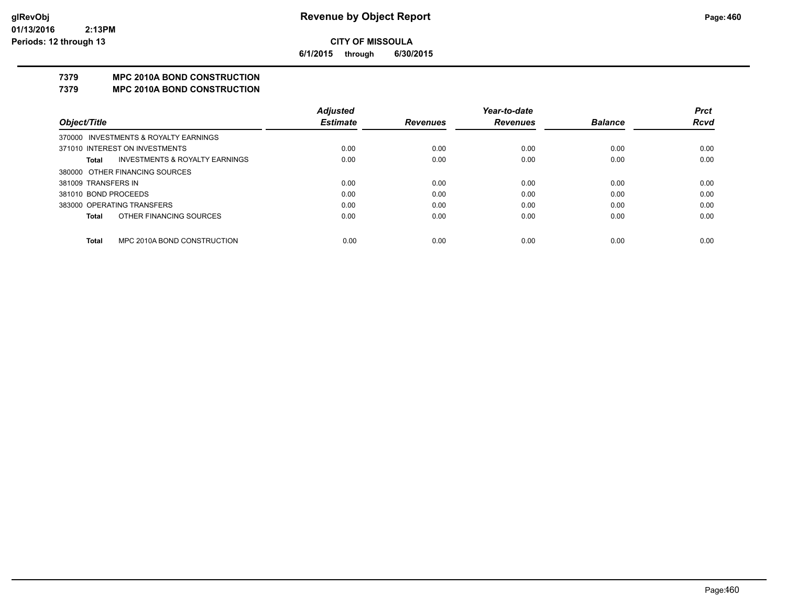**6/1/2015 through 6/30/2015**

# **7379 MPC 2010A BOND CONSTRUCTION**

#### **7379 MPC 2010A BOND CONSTRUCTION**

|                                |                                       | <b>Adjusted</b> |                 | Year-to-date    |                | <b>Prct</b> |
|--------------------------------|---------------------------------------|-----------------|-----------------|-----------------|----------------|-------------|
| Object/Title                   |                                       | <b>Estimate</b> | <b>Revenues</b> | <b>Revenues</b> | <b>Balance</b> | <b>Rcvd</b> |
|                                | 370000 INVESTMENTS & ROYALTY EARNINGS |                 |                 |                 |                |             |
| 371010 INTEREST ON INVESTMENTS |                                       | 0.00            | 0.00            | 0.00            | 0.00           | 0.00        |
| Total                          | INVESTMENTS & ROYALTY EARNINGS        | 0.00            | 0.00            | 0.00            | 0.00           | 0.00        |
| 380000 OTHER FINANCING SOURCES |                                       |                 |                 |                 |                |             |
| 381009 TRANSFERS IN            |                                       | 0.00            | 0.00            | 0.00            | 0.00           | 0.00        |
| 381010 BOND PROCEEDS           |                                       | 0.00            | 0.00            | 0.00            | 0.00           | 0.00        |
| 383000 OPERATING TRANSFERS     |                                       | 0.00            | 0.00            | 0.00            | 0.00           | 0.00        |
| Total                          | OTHER FINANCING SOURCES               | 0.00            | 0.00            | 0.00            | 0.00           | 0.00        |
|                                |                                       |                 |                 |                 |                |             |
| <b>Total</b>                   | MPC 2010A BOND CONSTRUCTION           | 0.00            | 0.00            | 0.00            | 0.00           | 0.00        |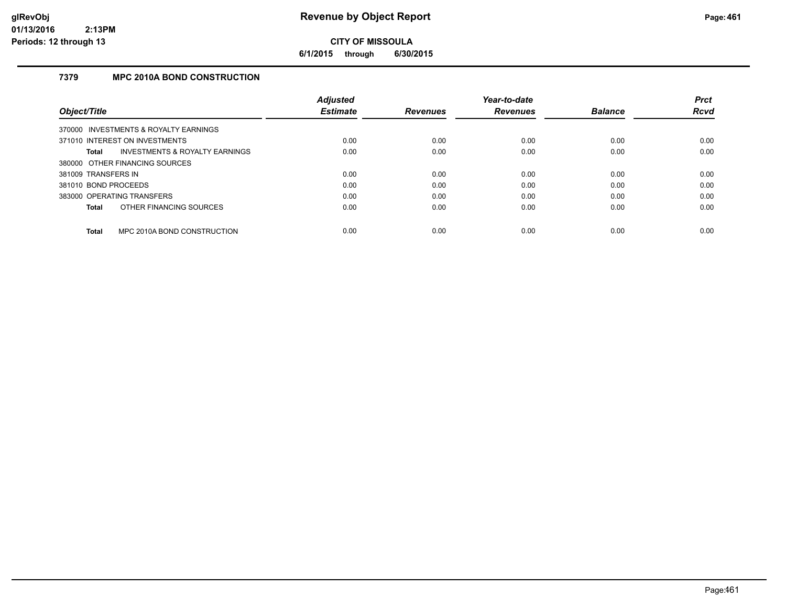**6/1/2015 through 6/30/2015**

# **7379 MPC 2010A BOND CONSTRUCTION**

|                      |                                           | <b>Adjusted</b> |                 | Year-to-date    |                | <b>Prct</b> |
|----------------------|-------------------------------------------|-----------------|-----------------|-----------------|----------------|-------------|
| Object/Title         |                                           | <b>Estimate</b> | <b>Revenues</b> | <b>Revenues</b> | <b>Balance</b> | <b>Rcvd</b> |
|                      | 370000 INVESTMENTS & ROYALTY EARNINGS     |                 |                 |                 |                |             |
|                      | 371010 INTEREST ON INVESTMENTS            | 0.00            | 0.00            | 0.00            | 0.00           | 0.00        |
| Total                | <b>INVESTMENTS &amp; ROYALTY EARNINGS</b> | 0.00            | 0.00            | 0.00            | 0.00           | 0.00        |
|                      | 380000 OTHER FINANCING SOURCES            |                 |                 |                 |                |             |
| 381009 TRANSFERS IN  |                                           | 0.00            | 0.00            | 0.00            | 0.00           | 0.00        |
| 381010 BOND PROCEEDS |                                           | 0.00            | 0.00            | 0.00            | 0.00           | 0.00        |
|                      | 383000 OPERATING TRANSFERS                | 0.00            | 0.00            | 0.00            | 0.00           | 0.00        |
| Total                | OTHER FINANCING SOURCES                   | 0.00            | 0.00            | 0.00            | 0.00           | 0.00        |
| <b>Total</b>         | MPC 2010A BOND CONSTRUCTION               | 0.00            | 0.00            | 0.00            | 0.00           | 0.00        |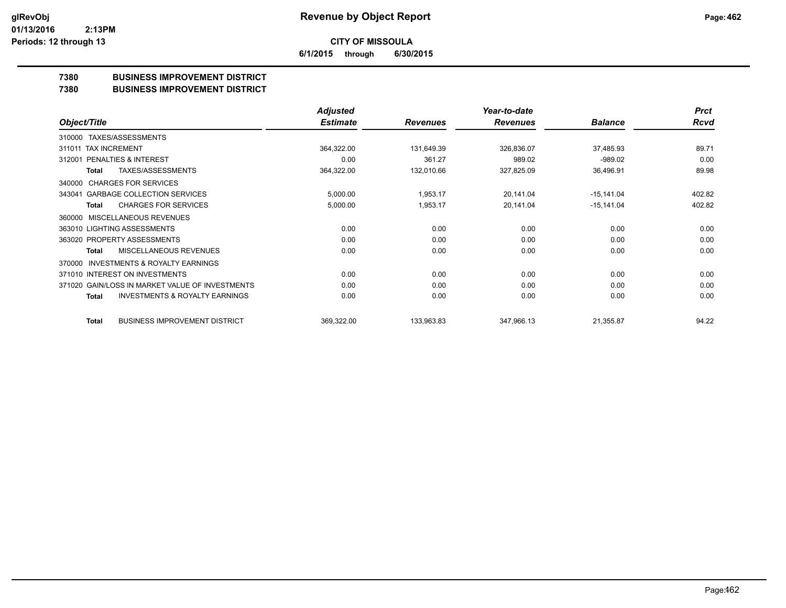**6/1/2015 through 6/30/2015**

## **7380 BUSINESS IMPROVEMENT DISTRICT**

#### **7380 BUSINESS IMPROVEMENT DISTRICT**

|                                                     | <b>Adjusted</b> |                 | Year-to-date    |                | <b>Prct</b> |
|-----------------------------------------------------|-----------------|-----------------|-----------------|----------------|-------------|
| Object/Title                                        | <b>Estimate</b> | <b>Revenues</b> | <b>Revenues</b> | <b>Balance</b> | Rcvd        |
| TAXES/ASSESSMENTS<br>310000                         |                 |                 |                 |                |             |
| 311011 TAX INCREMENT                                | 364,322.00      | 131,649.39      | 326,836.07      | 37,485.93      | 89.71       |
| <b>PENALTIES &amp; INTEREST</b><br>312001           | 0.00            | 361.27          | 989.02          | $-989.02$      | 0.00        |
| <b>TAXES/ASSESSMENTS</b><br>Total                   | 364,322.00      | 132,010.66      | 327,825.09      | 36,496.91      | 89.98       |
| <b>CHARGES FOR SERVICES</b><br>340000               |                 |                 |                 |                |             |
| <b>GARBAGE COLLECTION SERVICES</b><br>343041        | 5,000.00        | 1,953.17        | 20,141.04       | $-15,141.04$   | 402.82      |
| <b>CHARGES FOR SERVICES</b><br><b>Total</b>         | 5,000.00        | 1,953.17        | 20,141.04       | $-15,141.04$   | 402.82      |
| <b>MISCELLANEOUS REVENUES</b><br>360000             |                 |                 |                 |                |             |
| 363010 LIGHTING ASSESSMENTS                         | 0.00            | 0.00            | 0.00            | 0.00           | 0.00        |
| 363020 PROPERTY ASSESSMENTS                         | 0.00            | 0.00            | 0.00            | 0.00           | 0.00        |
| MISCELLANEOUS REVENUES<br>Total                     | 0.00            | 0.00            | 0.00            | 0.00           | 0.00        |
| <b>INVESTMENTS &amp; ROYALTY EARNINGS</b><br>370000 |                 |                 |                 |                |             |
| 371010 INTEREST ON INVESTMENTS                      | 0.00            | 0.00            | 0.00            | 0.00           | 0.00        |
| 371020 GAIN/LOSS IN MARKET VALUE OF INVESTMENTS     | 0.00            | 0.00            | 0.00            | 0.00           | 0.00        |
| <b>INVESTMENTS &amp; ROYALTY EARNINGS</b><br>Total  | 0.00            | 0.00            | 0.00            | 0.00           | 0.00        |
| <b>BUSINESS IMPROVEMENT DISTRICT</b><br>Total       | 369,322.00      | 133,963.83      | 347,966.13      | 21,355.87      | 94.22       |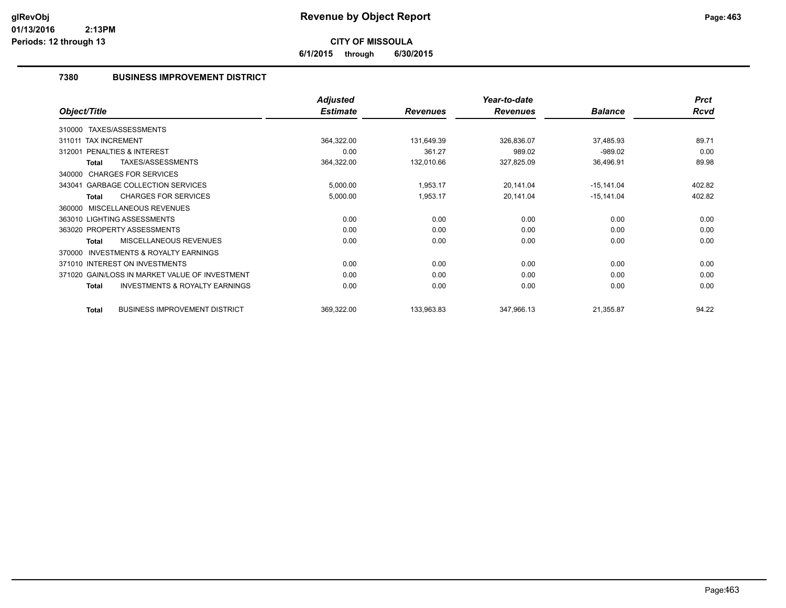**6/1/2015 through 6/30/2015**

## **7380 BUSINESS IMPROVEMENT DISTRICT**

|                                                           | <b>Adjusted</b> |                 | Year-to-date    |                | <b>Prct</b> |
|-----------------------------------------------------------|-----------------|-----------------|-----------------|----------------|-------------|
| Object/Title                                              | <b>Estimate</b> | <b>Revenues</b> | <b>Revenues</b> | <b>Balance</b> | <b>Rcvd</b> |
| 310000 TAXES/ASSESSMENTS                                  |                 |                 |                 |                |             |
| 311011 TAX INCREMENT                                      | 364,322.00      | 131,649.39      | 326,836.07      | 37,485.93      | 89.71       |
| <b>PENALTIES &amp; INTEREST</b><br>312001                 | 0.00            | 361.27          | 989.02          | $-989.02$      | 0.00        |
| TAXES/ASSESSMENTS<br>Total                                | 364,322.00      | 132,010.66      | 327,825.09      | 36,496.91      | 89.98       |
| 340000 CHARGES FOR SERVICES                               |                 |                 |                 |                |             |
| 343041 GARBAGE COLLECTION SERVICES                        | 5,000.00        | 1,953.17        | 20,141.04       | $-15,141.04$   | 402.82      |
| <b>CHARGES FOR SERVICES</b><br><b>Total</b>               | 5,000.00        | 1,953.17        | 20,141.04       | $-15,141.04$   | 402.82      |
| MISCELLANEOUS REVENUES<br>360000                          |                 |                 |                 |                |             |
| 363010 LIGHTING ASSESSMENTS                               | 0.00            | 0.00            | 0.00            | 0.00           | 0.00        |
| 363020 PROPERTY ASSESSMENTS                               | 0.00            | 0.00            | 0.00            | 0.00           | 0.00        |
| <b>MISCELLANEOUS REVENUES</b><br>Total                    | 0.00            | 0.00            | 0.00            | 0.00           | 0.00        |
| <b>INVESTMENTS &amp; ROYALTY EARNINGS</b><br>370000       |                 |                 |                 |                |             |
| 371010 INTEREST ON INVESTMENTS                            | 0.00            | 0.00            | 0.00            | 0.00           | 0.00        |
| 371020 GAIN/LOSS IN MARKET VALUE OF INVESTMENT            | 0.00            | 0.00            | 0.00            | 0.00           | 0.00        |
| <b>INVESTMENTS &amp; ROYALTY EARNINGS</b><br><b>Total</b> | 0.00            | 0.00            | 0.00            | 0.00           | 0.00        |
| <b>BUSINESS IMPROVEMENT DISTRICT</b><br><b>Total</b>      | 369,322.00      | 133,963.83      | 347,966.13      | 21,355.87      | 94.22       |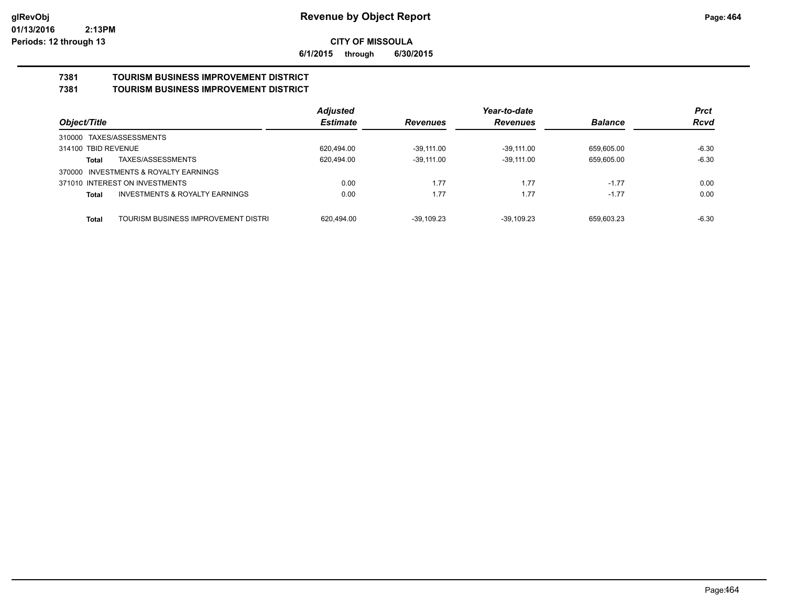**6/1/2015 through 6/30/2015**

# **7381 TOURISM BUSINESS IMPROVEMENT DISTRICT**

# **7381 TOURISM BUSINESS IMPROVEMENT DISTRICT**

|                                                    | <b>Adjusted</b> |                 | Year-to-date    |                | <b>Prct</b> |
|----------------------------------------------------|-----------------|-----------------|-----------------|----------------|-------------|
| Object/Title                                       | <b>Estimate</b> | <b>Revenues</b> | <b>Revenues</b> | <b>Balance</b> | <b>Rcvd</b> |
| 310000 TAXES/ASSESSMENTS                           |                 |                 |                 |                |             |
| 314100 TBID REVENUE                                | 620.494.00      | $-39.111.00$    | $-39.111.00$    | 659.605.00     | $-6.30$     |
| TAXES/ASSESSMENTS<br>Total                         | 620.494.00      | $-39.111.00$    | $-39.111.00$    | 659.605.00     | $-6.30$     |
| 370000 INVESTMENTS & ROYALTY EARNINGS              |                 |                 |                 |                |             |
| 371010 INTEREST ON INVESTMENTS                     | 0.00            | 1.77            | 1.77            | $-1.77$        | 0.00        |
| <b>INVESTMENTS &amp; ROYALTY EARNINGS</b><br>Total | 0.00            | 1.77            | 1.77            | $-1.77$        | 0.00        |
| TOURISM BUSINESS IMPROVEMENT DISTRI<br>Total       | 620.494.00      | $-39.109.23$    | $-39.109.23$    | 659.603.23     | -6.30       |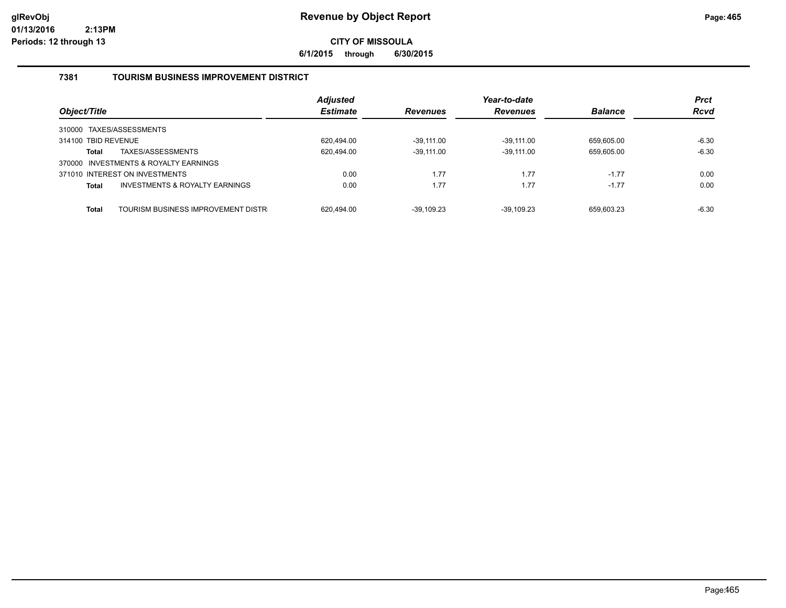**6/1/2015 through 6/30/2015**

## **7381 TOURISM BUSINESS IMPROVEMENT DISTRICT**

| Object/Title                                       | <b>Adjusted</b><br><b>Estimate</b> | <b>Revenues</b> | Year-to-date<br><b>Revenues</b> | <b>Balance</b> | <b>Prct</b><br><b>Rcvd</b> |
|----------------------------------------------------|------------------------------------|-----------------|---------------------------------|----------------|----------------------------|
| 310000 TAXES/ASSESSMENTS                           |                                    |                 |                                 |                |                            |
| 314100 TBID REVENUE                                | 620.494.00                         | $-39.111.00$    | $-39.111.00$                    | 659.605.00     | $-6.30$                    |
| TAXES/ASSESSMENTS<br><b>Total</b>                  | 620,494.00                         | $-39.111.00$    | $-39.111.00$                    | 659,605.00     | $-6.30$                    |
| 370000 INVESTMENTS & ROYALTY EARNINGS              |                                    |                 |                                 |                |                            |
| 371010 INTEREST ON INVESTMENTS                     | 0.00                               | 1.77            | 1.77                            | $-1.77$        | 0.00                       |
| INVESTMENTS & ROYALTY EARNINGS<br><b>Total</b>     | 0.00                               | 1.77            | 1.77                            | $-1.77$        | 0.00                       |
|                                                    |                                    |                 |                                 |                |                            |
| TOURISM BUSINESS IMPROVEMENT DISTR<br><b>Total</b> | 620.494.00                         | $-39.109.23$    | $-39.109.23$                    | 659.603.23     | $-6.30$                    |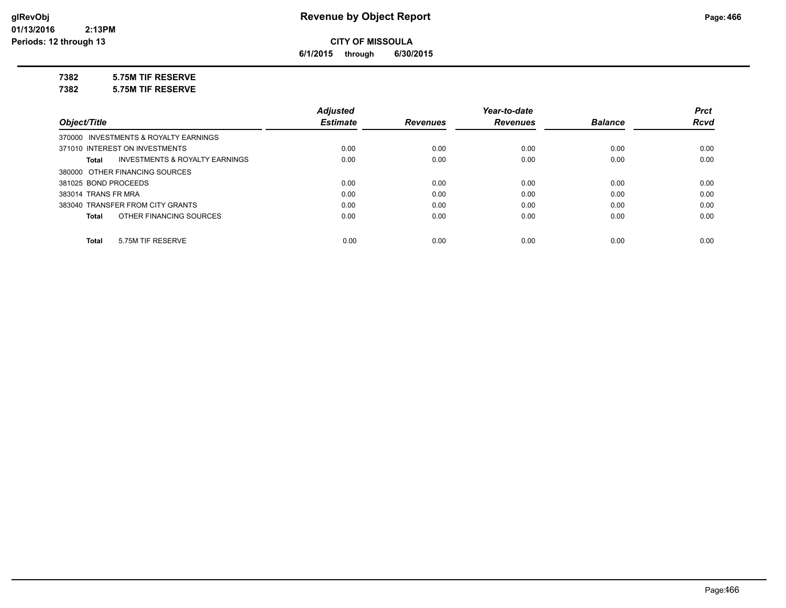**6/1/2015 through 6/30/2015**

#### **7382 5.75M TIF RESERVE**

**7382 5.75M TIF RESERVE**

|                                       |                                | <b>Adjusted</b> |                 | Year-to-date    |                | <b>Prct</b> |
|---------------------------------------|--------------------------------|-----------------|-----------------|-----------------|----------------|-------------|
| Object/Title                          |                                | <b>Estimate</b> | <b>Revenues</b> | <b>Revenues</b> | <b>Balance</b> | <b>Rcvd</b> |
| 370000 INVESTMENTS & ROYALTY EARNINGS |                                |                 |                 |                 |                |             |
| 371010 INTEREST ON INVESTMENTS        |                                | 0.00            | 0.00            | 0.00            | 0.00           | 0.00        |
| Total                                 | INVESTMENTS & ROYALTY EARNINGS | 0.00            | 0.00            | 0.00            | 0.00           | 0.00        |
| 380000 OTHER FINANCING SOURCES        |                                |                 |                 |                 |                |             |
| 381025 BOND PROCEEDS                  |                                | 0.00            | 0.00            | 0.00            | 0.00           | 0.00        |
| 383014 TRANS FR MRA                   |                                | 0.00            | 0.00            | 0.00            | 0.00           | 0.00        |
| 383040 TRANSFER FROM CITY GRANTS      |                                | 0.00            | 0.00            | 0.00            | 0.00           | 0.00        |
| Total                                 | OTHER FINANCING SOURCES        | 0.00            | 0.00            | 0.00            | 0.00           | 0.00        |
|                                       |                                |                 |                 |                 |                |             |
| 5.75M TIF RESERVE<br>Total            |                                | 0.00            | 0.00            | 0.00            | 0.00           | 0.00        |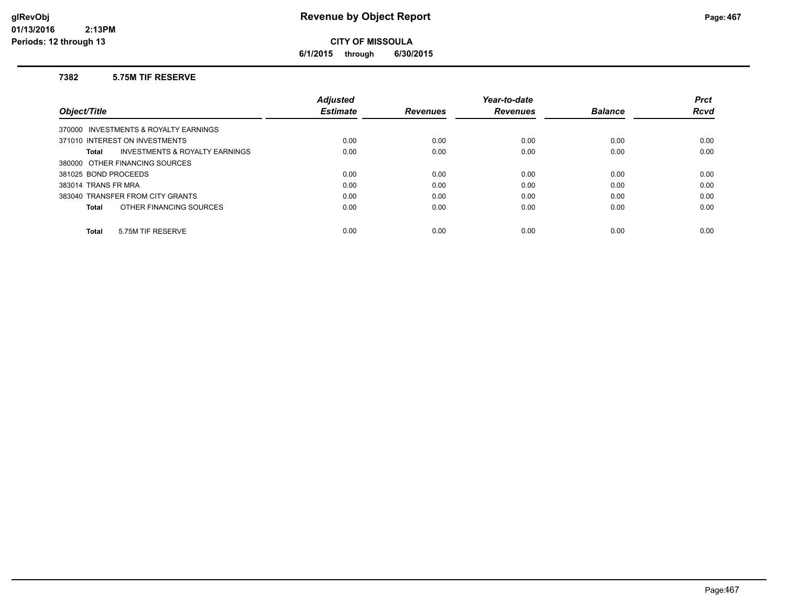**6/1/2015 through 6/30/2015**

#### **7382 5.75M TIF RESERVE**

|                                                    | <b>Adiusted</b> |                 | Year-to-date    |                | <b>Prct</b> |
|----------------------------------------------------|-----------------|-----------------|-----------------|----------------|-------------|
| Object/Title                                       | <b>Estimate</b> | <b>Revenues</b> | <b>Revenues</b> | <b>Balance</b> | <b>Rcvd</b> |
| 370000 INVESTMENTS & ROYALTY EARNINGS              |                 |                 |                 |                |             |
| 371010 INTEREST ON INVESTMENTS                     | 0.00            | 0.00            | 0.00            | 0.00           | 0.00        |
| <b>INVESTMENTS &amp; ROYALTY EARNINGS</b><br>Total | 0.00            | 0.00            | 0.00            | 0.00           | 0.00        |
| 380000 OTHER FINANCING SOURCES                     |                 |                 |                 |                |             |
| 381025 BOND PROCEEDS                               | 0.00            | 0.00            | 0.00            | 0.00           | 0.00        |
| 383014 TRANS FR MRA                                | 0.00            | 0.00            | 0.00            | 0.00           | 0.00        |
| 383040 TRANSFER FROM CITY GRANTS                   | 0.00            | 0.00            | 0.00            | 0.00           | 0.00        |
| OTHER FINANCING SOURCES<br><b>Total</b>            | 0.00            | 0.00            | 0.00            | 0.00           | 0.00        |
| 5.75M TIF RESERVE<br><b>Total</b>                  | 0.00            | 0.00            | 0.00            | 0.00           | 0.00        |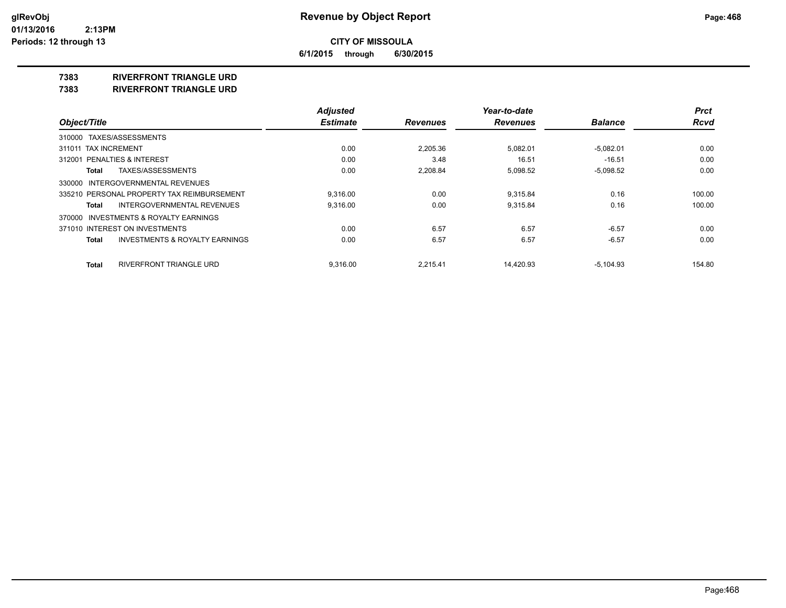**6/1/2015 through 6/30/2015**

#### **7383 RIVERFRONT TRIANGLE URD**

**7383 RIVERFRONT TRIANGLE URD**

|                                                    | <b>Adjusted</b> |                 | Year-to-date    |                | <b>Prct</b> |
|----------------------------------------------------|-----------------|-----------------|-----------------|----------------|-------------|
| Object/Title                                       | <b>Estimate</b> | <b>Revenues</b> | <b>Revenues</b> | <b>Balance</b> | <b>Rcvd</b> |
| 310000 TAXES/ASSESSMENTS                           |                 |                 |                 |                |             |
| 311011 TAX INCREMENT                               | 0.00            | 2.205.36        | 5.082.01        | $-5.082.01$    | 0.00        |
| <b>PENALTIES &amp; INTEREST</b><br>312001          | 0.00            | 3.48            | 16.51           | $-16.51$       | 0.00        |
| TAXES/ASSESSMENTS<br>Total                         | 0.00            | 2,208.84        | 5,098.52        | $-5,098.52$    | 0.00        |
| 330000 INTERGOVERNMENTAL REVENUES                  |                 |                 |                 |                |             |
| 335210 PERSONAL PROPERTY TAX REIMBURSEMENT         | 9.316.00        | 0.00            | 9.315.84        | 0.16           | 100.00      |
| <b>INTERGOVERNMENTAL REVENUES</b><br>Total         | 9,316.00        | 0.00            | 9,315.84        | 0.16           | 100.00      |
| 370000 INVESTMENTS & ROYALTY EARNINGS              |                 |                 |                 |                |             |
| 371010 INTEREST ON INVESTMENTS                     | 0.00            | 6.57            | 6.57            | $-6.57$        | 0.00        |
| <b>INVESTMENTS &amp; ROYALTY EARNINGS</b><br>Total | 0.00            | 6.57            | 6.57            | $-6.57$        | 0.00        |
| <b>RIVERFRONT TRIANGLE URD</b><br><b>Total</b>     | 9.316.00        | 2.215.41        | 14.420.93       | $-5.104.93$    | 154.80      |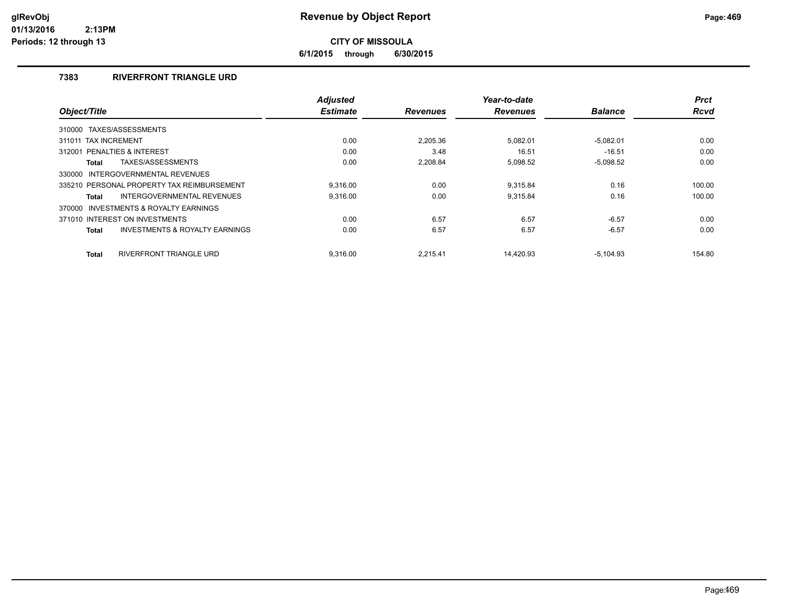**6/1/2015 through 6/30/2015**

## **7383 RIVERFRONT TRIANGLE URD**

|                                                           | <b>Adjusted</b> |                 | Year-to-date    |                | <b>Prct</b> |
|-----------------------------------------------------------|-----------------|-----------------|-----------------|----------------|-------------|
| Object/Title                                              | <b>Estimate</b> | <b>Revenues</b> | <b>Revenues</b> | <b>Balance</b> | <b>Rcvd</b> |
| 310000 TAXES/ASSESSMENTS                                  |                 |                 |                 |                |             |
| 311011 TAX INCREMENT                                      | 0.00            | 2.205.36        | 5.082.01        | $-5.082.01$    | 0.00        |
| <b>PENALTIES &amp; INTEREST</b><br>312001                 | 0.00            | 3.48            | 16.51           | $-16.51$       | 0.00        |
| TAXES/ASSESSMENTS<br>Total                                | 0.00            | 2,208.84        | 5,098.52        | $-5,098.52$    | 0.00        |
| INTERGOVERNMENTAL REVENUES<br>330000                      |                 |                 |                 |                |             |
| 335210 PERSONAL PROPERTY TAX REIMBURSEMENT                | 9.316.00        | 0.00            | 9.315.84        | 0.16           | 100.00      |
| INTERGOVERNMENTAL REVENUES<br><b>Total</b>                | 9.316.00        | 0.00            | 9,315.84        | 0.16           | 100.00      |
| 370000 INVESTMENTS & ROYALTY EARNINGS                     |                 |                 |                 |                |             |
| 371010 INTEREST ON INVESTMENTS                            | 0.00            | 6.57            | 6.57            | $-6.57$        | 0.00        |
| <b>INVESTMENTS &amp; ROYALTY EARNINGS</b><br><b>Total</b> | 0.00            | 6.57            | 6.57            | $-6.57$        | 0.00        |
| <b>RIVERFRONT TRIANGLE URD</b><br><b>Total</b>            | 9.316.00        | 2.215.41        | 14.420.93       | $-5.104.93$    | 154.80      |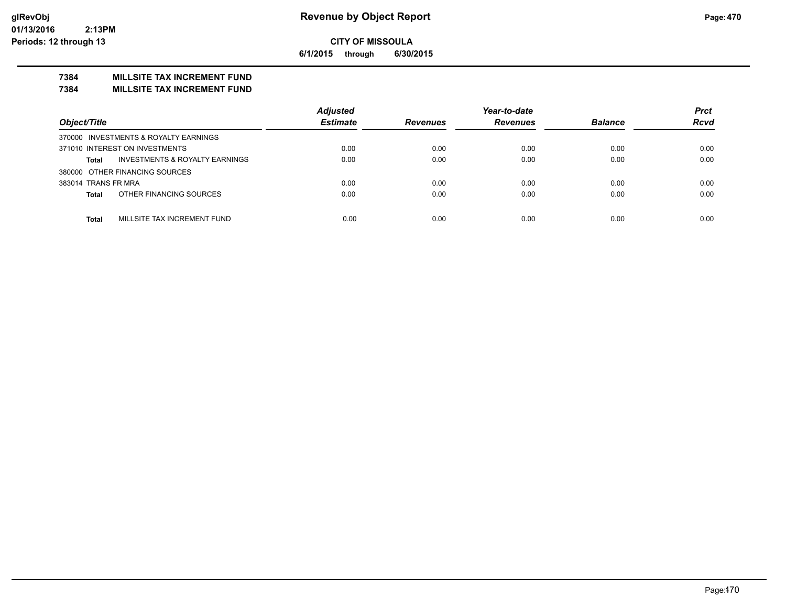**6/1/2015 through 6/30/2015**

## **7384 MILLSITE TAX INCREMENT FUND**

**7384 MILLSITE TAX INCREMENT FUND**

|                                                | <b>Adjusted</b> |                 | Year-to-date    |                | <b>Prct</b> |
|------------------------------------------------|-----------------|-----------------|-----------------|----------------|-------------|
| Object/Title                                   | <b>Estimate</b> | <b>Revenues</b> | <b>Revenues</b> | <b>Balance</b> | <b>Rcvd</b> |
| 370000 INVESTMENTS & ROYALTY EARNINGS          |                 |                 |                 |                |             |
| 371010 INTEREST ON INVESTMENTS                 | 0.00            | 0.00            | 0.00            | 0.00           | 0.00        |
| INVESTMENTS & ROYALTY EARNINGS<br><b>Total</b> | 0.00            | 0.00            | 0.00            | 0.00           | 0.00        |
| 380000 OTHER FINANCING SOURCES                 |                 |                 |                 |                |             |
| 383014 TRANS FR MRA                            | 0.00            | 0.00            | 0.00            | 0.00           | 0.00        |
| OTHER FINANCING SOURCES<br><b>Total</b>        | 0.00            | 0.00            | 0.00            | 0.00           | 0.00        |
|                                                |                 |                 |                 |                |             |
| MILLSITE TAX INCREMENT FUND<br>Total           | 0.00            | 0.00            | 0.00            | 0.00           | 0.00        |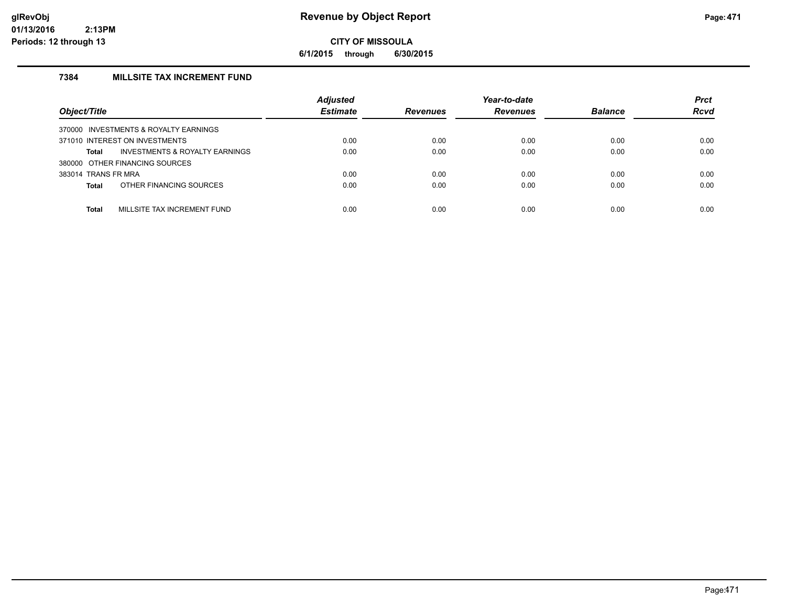**6/1/2015 through 6/30/2015**

## **7384 MILLSITE TAX INCREMENT FUND**

| Object/Title                                        | <b>Adjusted</b><br><b>Estimate</b> | <b>Revenues</b> | Year-to-date<br><b>Revenues</b> | <b>Balance</b> | <b>Prct</b><br><b>Rcvd</b> |
|-----------------------------------------------------|------------------------------------|-----------------|---------------------------------|----------------|----------------------------|
| <b>INVESTMENTS &amp; ROYALTY EARNINGS</b><br>370000 |                                    |                 |                                 |                |                            |
| 371010 INTEREST ON INVESTMENTS                      | 0.00                               | 0.00            | 0.00                            | 0.00           | 0.00                       |
| INVESTMENTS & ROYALTY EARNINGS<br>Total             | 0.00                               | 0.00            | 0.00                            | 0.00           | 0.00                       |
| 380000 OTHER FINANCING SOURCES                      |                                    |                 |                                 |                |                            |
| 383014 TRANS FR MRA                                 | 0.00                               | 0.00            | 0.00                            | 0.00           | 0.00                       |
| OTHER FINANCING SOURCES<br><b>Total</b>             | 0.00                               | 0.00            | 0.00                            | 0.00           | 0.00                       |
| MILLSITE TAX INCREMENT FUND<br>Total                | 0.00                               | 0.00            | 0.00                            | 0.00           | 0.00                       |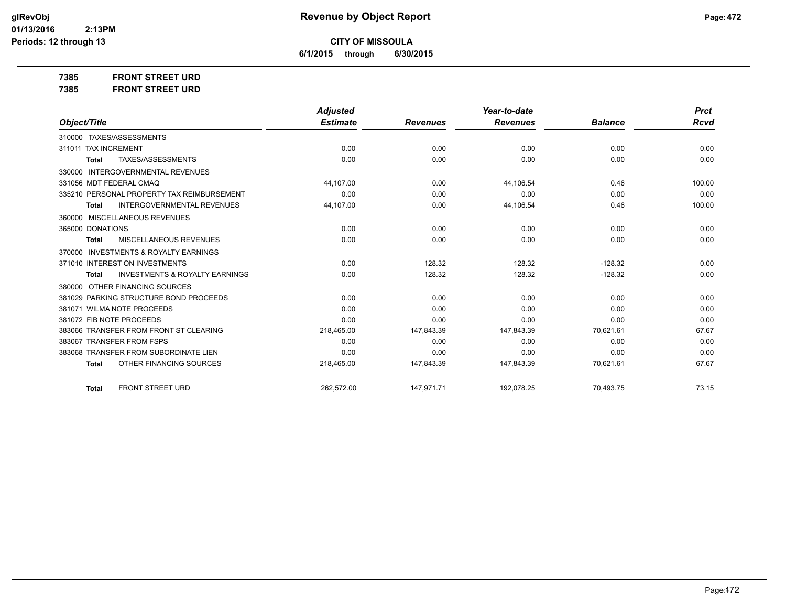**6/1/2015 through 6/30/2015**

**7385 FRONT STREET URD**

|                                                           | <b>Adjusted</b> |                 | Year-to-date    |                | <b>Prct</b> |
|-----------------------------------------------------------|-----------------|-----------------|-----------------|----------------|-------------|
| Object/Title                                              | <b>Estimate</b> | <b>Revenues</b> | <b>Revenues</b> | <b>Balance</b> | <b>Rcvd</b> |
| 310000 TAXES/ASSESSMENTS                                  |                 |                 |                 |                |             |
| 311011 TAX INCREMENT                                      | 0.00            | 0.00            | 0.00            | 0.00           | 0.00        |
| TAXES/ASSESSMENTS<br><b>Total</b>                         | 0.00            | 0.00            | 0.00            | 0.00           | 0.00        |
| <b>INTERGOVERNMENTAL REVENUES</b><br>330000               |                 |                 |                 |                |             |
| 331056 MDT FEDERAL CMAQ                                   | 44.107.00       | 0.00            | 44,106.54       | 0.46           | 100.00      |
| 335210 PERSONAL PROPERTY TAX REIMBURSEMENT                | 0.00            | 0.00            | 0.00            | 0.00           | 0.00        |
| <b>INTERGOVERNMENTAL REVENUES</b><br><b>Total</b>         | 44,107.00       | 0.00            | 44,106.54       | 0.46           | 100.00      |
| 360000 MISCELLANEOUS REVENUES                             |                 |                 |                 |                |             |
| 365000 DONATIONS                                          | 0.00            | 0.00            | 0.00            | 0.00           | 0.00        |
| MISCELLANEOUS REVENUES<br><b>Total</b>                    | 0.00            | 0.00            | 0.00            | 0.00           | 0.00        |
| <b>INVESTMENTS &amp; ROYALTY EARNINGS</b><br>370000       |                 |                 |                 |                |             |
| 371010 INTEREST ON INVESTMENTS                            | 0.00            | 128.32          | 128.32          | $-128.32$      | 0.00        |
| <b>INVESTMENTS &amp; ROYALTY EARNINGS</b><br><b>Total</b> | 0.00            | 128.32          | 128.32          | $-128.32$      | 0.00        |
| OTHER FINANCING SOURCES<br>380000                         |                 |                 |                 |                |             |
| 381029 PARKING STRUCTURE BOND PROCEEDS                    | 0.00            | 0.00            | 0.00            | 0.00           | 0.00        |
| 381071 WILMA NOTE PROCEEDS                                | 0.00            | 0.00            | 0.00            | 0.00           | 0.00        |
| 381072 FIB NOTE PROCEEDS                                  | 0.00            | 0.00            | 0.00            | 0.00           | 0.00        |
| 383066 TRANSFER FROM FRONT ST CLEARING                    | 218,465.00      | 147,843.39      | 147,843.39      | 70,621.61      | 67.67       |
| 383067 TRANSFER FROM FSPS                                 | 0.00            | 0.00            | 0.00            | 0.00           | 0.00        |
| 383068 TRANSFER FROM SUBORDINATE LIEN                     | 0.00            | 0.00            | 0.00            | 0.00           | 0.00        |
| OTHER FINANCING SOURCES<br><b>Total</b>                   | 218,465.00      | 147,843.39      | 147,843.39      | 70,621.61      | 67.67       |
| <b>FRONT STREET URD</b><br><b>Total</b>                   | 262.572.00      | 147,971.71      | 192.078.25      | 70,493.75      | 73.15       |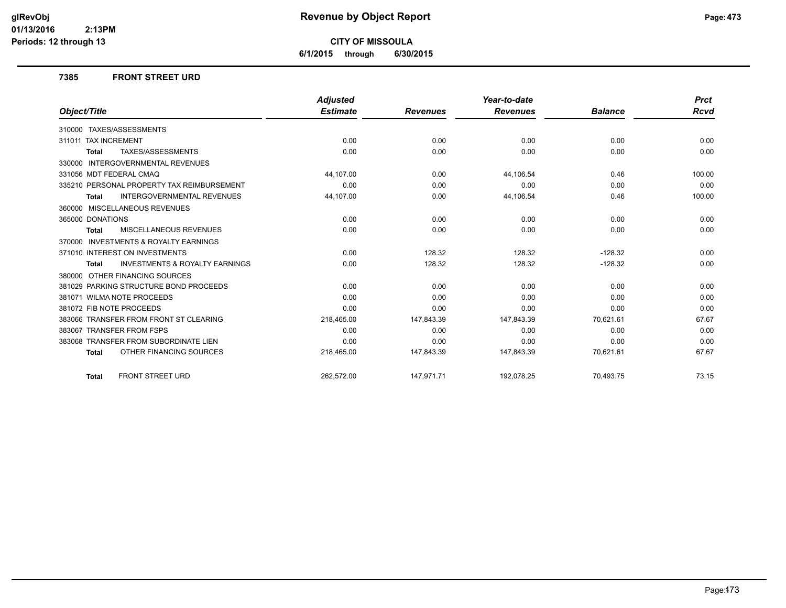**6/1/2015 through 6/30/2015**

## **7385 FRONT STREET URD**

|                                                           | <b>Adjusted</b> |                 | Year-to-date    |                | <b>Prct</b> |
|-----------------------------------------------------------|-----------------|-----------------|-----------------|----------------|-------------|
| Object/Title                                              | <b>Estimate</b> | <b>Revenues</b> | <b>Revenues</b> | <b>Balance</b> | Rcvd        |
| 310000 TAXES/ASSESSMENTS                                  |                 |                 |                 |                |             |
| 311011 TAX INCREMENT                                      | 0.00            | 0.00            | 0.00            | 0.00           | 0.00        |
| TAXES/ASSESSMENTS<br><b>Total</b>                         | 0.00            | 0.00            | 0.00            | 0.00           | 0.00        |
| <b>INTERGOVERNMENTAL REVENUES</b><br>330000               |                 |                 |                 |                |             |
| 331056 MDT FEDERAL CMAQ                                   | 44.107.00       | 0.00            | 44,106.54       | 0.46           | 100.00      |
| 335210 PERSONAL PROPERTY TAX REIMBURSEMENT                | 0.00            | 0.00            | 0.00            | 0.00           | 0.00        |
| <b>INTERGOVERNMENTAL REVENUES</b><br><b>Total</b>         | 44,107.00       | 0.00            | 44,106.54       | 0.46           | 100.00      |
| 360000 MISCELLANEOUS REVENUES                             |                 |                 |                 |                |             |
| 365000 DONATIONS                                          | 0.00            | 0.00            | 0.00            | 0.00           | 0.00        |
| <b>MISCELLANEOUS REVENUES</b><br><b>Total</b>             | 0.00            | 0.00            | 0.00            | 0.00           | 0.00        |
| <b>INVESTMENTS &amp; ROYALTY EARNINGS</b><br>370000       |                 |                 |                 |                |             |
| 371010 INTEREST ON INVESTMENTS                            | 0.00            | 128.32          | 128.32          | $-128.32$      | 0.00        |
| <b>INVESTMENTS &amp; ROYALTY EARNINGS</b><br><b>Total</b> | 0.00            | 128.32          | 128.32          | $-128.32$      | 0.00        |
| 380000 OTHER FINANCING SOURCES                            |                 |                 |                 |                |             |
| 381029 PARKING STRUCTURE BOND PROCEEDS                    | 0.00            | 0.00            | 0.00            | 0.00           | 0.00        |
| 381071 WILMA NOTE PROCEEDS                                | 0.00            | 0.00            | 0.00            | 0.00           | 0.00        |
| 381072 FIB NOTE PROCEEDS                                  | 0.00            | 0.00            | 0.00            | 0.00           | 0.00        |
| 383066 TRANSFER FROM FRONT ST CLEARING                    | 218,465.00      | 147,843.39      | 147,843.39      | 70,621.61      | 67.67       |
| 383067 TRANSFER FROM FSPS                                 | 0.00            | 0.00            | 0.00            | 0.00           | 0.00        |
| 383068 TRANSFER FROM SUBORDINATE LIEN                     | 0.00            | 0.00            | 0.00            | 0.00           | 0.00        |
| OTHER FINANCING SOURCES<br><b>Total</b>                   | 218,465.00      | 147,843.39      | 147,843.39      | 70,621.61      | 67.67       |
| <b>FRONT STREET URD</b><br><b>Total</b>                   | 262.572.00      | 147,971.71      | 192,078.25      | 70,493.75      | 73.15       |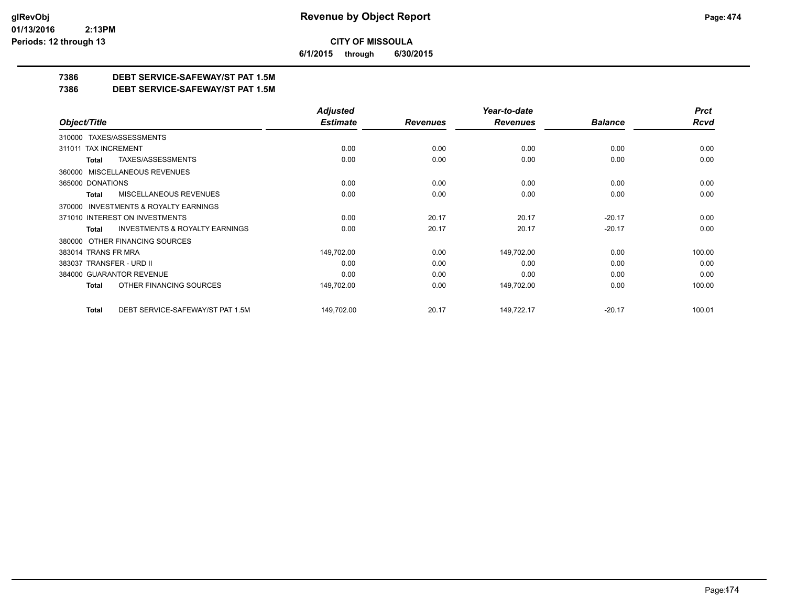**6/1/2015 through 6/30/2015**

## **7386 DEBT SERVICE-SAFEWAY/ST PAT 1.5M**

**7386 DEBT SERVICE-SAFEWAY/ST PAT 1.5M**

|                                                     | <b>Adjusted</b> |                 | Year-to-date    |                | <b>Prct</b> |
|-----------------------------------------------------|-----------------|-----------------|-----------------|----------------|-------------|
| Object/Title                                        | <b>Estimate</b> | <b>Revenues</b> | <b>Revenues</b> | <b>Balance</b> | <b>Rcvd</b> |
| 310000 TAXES/ASSESSMENTS                            |                 |                 |                 |                |             |
| 311011 TAX INCREMENT                                | 0.00            | 0.00            | 0.00            | 0.00           | 0.00        |
| TAXES/ASSESSMENTS<br>Total                          | 0.00            | 0.00            | 0.00            | 0.00           | 0.00        |
| 360000 MISCELLANEOUS REVENUES                       |                 |                 |                 |                |             |
| 365000 DONATIONS                                    | 0.00            | 0.00            | 0.00            | 0.00           | 0.00        |
| <b>MISCELLANEOUS REVENUES</b><br>Total              | 0.00            | 0.00            | 0.00            | 0.00           | 0.00        |
| <b>INVESTMENTS &amp; ROYALTY EARNINGS</b><br>370000 |                 |                 |                 |                |             |
| 371010 INTEREST ON INVESTMENTS                      | 0.00            | 20.17           | 20.17           | $-20.17$       | 0.00        |
| <b>INVESTMENTS &amp; ROYALTY EARNINGS</b><br>Total  | 0.00            | 20.17           | 20.17           | $-20.17$       | 0.00        |
| OTHER FINANCING SOURCES<br>380000                   |                 |                 |                 |                |             |
| 383014 TRANS FR MRA                                 | 149,702.00      | 0.00            | 149,702.00      | 0.00           | 100.00      |
| 383037 TRANSFER - URD II                            | 0.00            | 0.00            | 0.00            | 0.00           | 0.00        |
| 384000 GUARANTOR REVENUE                            | 0.00            | 0.00            | 0.00            | 0.00           | 0.00        |
| OTHER FINANCING SOURCES<br>Total                    | 149,702.00      | 0.00            | 149,702.00      | 0.00           | 100.00      |
| DEBT SERVICE-SAFEWAY/ST PAT 1.5M<br><b>Total</b>    | 149,702.00      | 20.17           | 149,722.17      | $-20.17$       | 100.01      |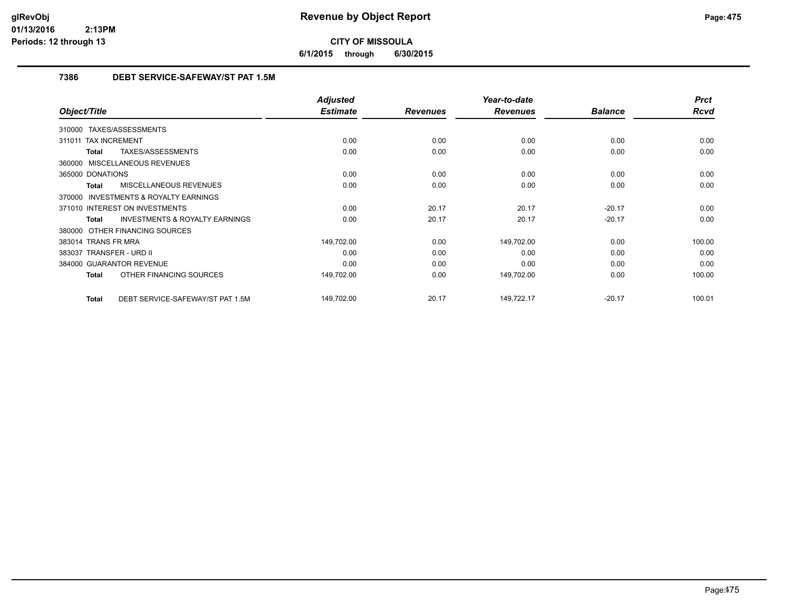**6/1/2015 through 6/30/2015**

## **7386 DEBT SERVICE-SAFEWAY/ST PAT 1.5M**

|                                                           | <b>Adjusted</b> |                 | Year-to-date    |                | <b>Prct</b> |
|-----------------------------------------------------------|-----------------|-----------------|-----------------|----------------|-------------|
| Object/Title                                              | <b>Estimate</b> | <b>Revenues</b> | <b>Revenues</b> | <b>Balance</b> | <b>Rcvd</b> |
| 310000 TAXES/ASSESSMENTS                                  |                 |                 |                 |                |             |
| 311011 TAX INCREMENT                                      | 0.00            | 0.00            | 0.00            | 0.00           | 0.00        |
| TAXES/ASSESSMENTS<br><b>Total</b>                         | 0.00            | 0.00            | 0.00            | 0.00           | 0.00        |
| 360000 MISCELLANEOUS REVENUES                             |                 |                 |                 |                |             |
| 365000 DONATIONS                                          | 0.00            | 0.00            | 0.00            | 0.00           | 0.00        |
| <b>MISCELLANEOUS REVENUES</b><br><b>Total</b>             | 0.00            | 0.00            | 0.00            | 0.00           | 0.00        |
| 370000 INVESTMENTS & ROYALTY EARNINGS                     |                 |                 |                 |                |             |
| 371010 INTEREST ON INVESTMENTS                            | 0.00            | 20.17           | 20.17           | $-20.17$       | 0.00        |
| <b>INVESTMENTS &amp; ROYALTY EARNINGS</b><br><b>Total</b> | 0.00            | 20.17           | 20.17           | $-20.17$       | 0.00        |
| 380000 OTHER FINANCING SOURCES                            |                 |                 |                 |                |             |
| 383014 TRANS FR MRA                                       | 149,702.00      | 0.00            | 149,702.00      | 0.00           | 100.00      |
| 383037 TRANSFER - URD II                                  | 0.00            | 0.00            | 0.00            | 0.00           | 0.00        |
| 384000 GUARANTOR REVENUE                                  | 0.00            | 0.00            | 0.00            | 0.00           | 0.00        |
| OTHER FINANCING SOURCES<br><b>Total</b>                   | 149,702.00      | 0.00            | 149,702.00      | 0.00           | 100.00      |
| DEBT SERVICE-SAFEWAY/ST PAT 1.5M<br>Total                 | 149,702.00      | 20.17           | 149,722.17      | $-20.17$       | 100.01      |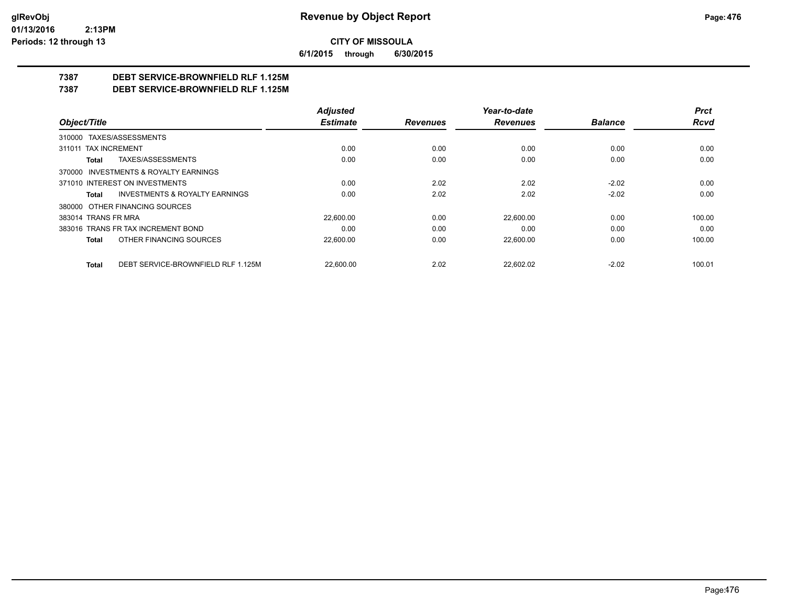**6/1/2015 through 6/30/2015**

## **7387 DEBT SERVICE-BROWNFIELD RLF 1.125M**

**7387 DEBT SERVICE-BROWNFIELD RLF 1.125M**

|                                                    | <b>Adjusted</b> |                 | Year-to-date    |                | <b>Prct</b> |
|----------------------------------------------------|-----------------|-----------------|-----------------|----------------|-------------|
| Object/Title                                       | <b>Estimate</b> | <b>Revenues</b> | <b>Revenues</b> | <b>Balance</b> | Rcvd        |
| 310000 TAXES/ASSESSMENTS                           |                 |                 |                 |                |             |
| 311011 TAX INCREMENT                               | 0.00            | 0.00            | 0.00            | 0.00           | 0.00        |
| TAXES/ASSESSMENTS<br>Total                         | 0.00            | 0.00            | 0.00            | 0.00           | 0.00        |
| 370000 INVESTMENTS & ROYALTY EARNINGS              |                 |                 |                 |                |             |
| 371010 INTEREST ON INVESTMENTS                     | 0.00            | 2.02            | 2.02            | $-2.02$        | 0.00        |
| <b>INVESTMENTS &amp; ROYALTY EARNINGS</b><br>Total | 0.00            | 2.02            | 2.02            | $-2.02$        | 0.00        |
| 380000 OTHER FINANCING SOURCES                     |                 |                 |                 |                |             |
| 383014 TRANS FR MRA                                | 22,600.00       | 0.00            | 22.600.00       | 0.00           | 100.00      |
| 383016 TRANS FR TAX INCREMENT BOND                 | 0.00            | 0.00            | 0.00            | 0.00           | 0.00        |
| OTHER FINANCING SOURCES<br>Total                   | 22,600.00       | 0.00            | 22,600.00       | 0.00           | 100.00      |
| DEBT SERVICE-BROWNFIELD RLF 1.125M<br>Total        | 22.600.00       | 2.02            | 22.602.02       | $-2.02$        | 100.01      |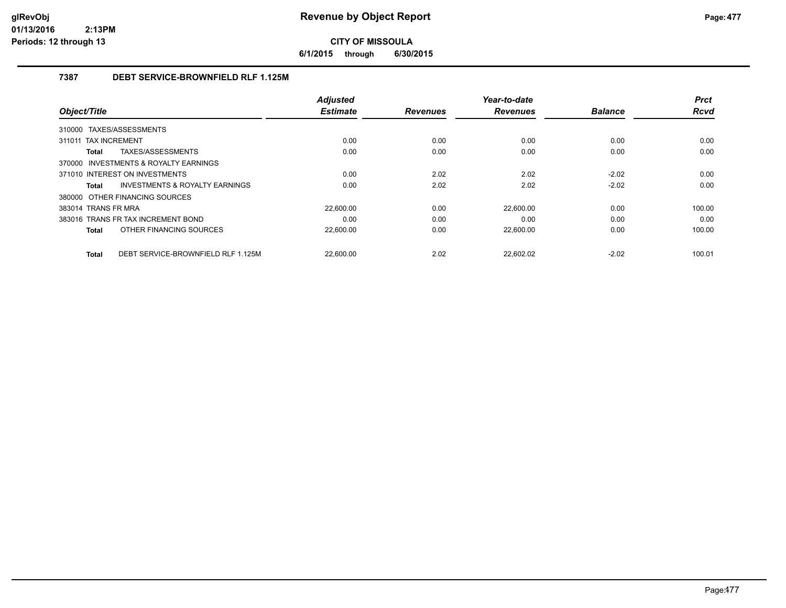**6/1/2015 through 6/30/2015**

## **7387 DEBT SERVICE-BROWNFIELD RLF 1.125M**

|                                                     | <b>Adjusted</b> |                 | Year-to-date    |                | <b>Prct</b> |
|-----------------------------------------------------|-----------------|-----------------|-----------------|----------------|-------------|
| Object/Title                                        | <b>Estimate</b> | <b>Revenues</b> | <b>Revenues</b> | <b>Balance</b> | <b>Rcvd</b> |
| 310000 TAXES/ASSESSMENTS                            |                 |                 |                 |                |             |
| 311011 TAX INCREMENT                                | 0.00            | 0.00            | 0.00            | 0.00           | 0.00        |
| TAXES/ASSESSMENTS<br>Total                          | 0.00            | 0.00            | 0.00            | 0.00           | 0.00        |
| <b>INVESTMENTS &amp; ROYALTY EARNINGS</b><br>370000 |                 |                 |                 |                |             |
| 371010 INTEREST ON INVESTMENTS                      | 0.00            | 2.02            | 2.02            | $-2.02$        | 0.00        |
| INVESTMENTS & ROYALTY EARNINGS<br><b>Total</b>      | 0.00            | 2.02            | 2.02            | $-2.02$        | 0.00        |
| 380000 OTHER FINANCING SOURCES                      |                 |                 |                 |                |             |
| 383014 TRANS FR MRA                                 | 22,600.00       | 0.00            | 22,600.00       | 0.00           | 100.00      |
| 383016 TRANS FR TAX INCREMENT BOND                  | 0.00            | 0.00            | 0.00            | 0.00           | 0.00        |
| OTHER FINANCING SOURCES<br>Total                    | 22,600.00       | 0.00            | 22,600.00       | 0.00           | 100.00      |
| DEBT SERVICE-BROWNFIELD RLF 1.125M<br><b>Total</b>  | 22,600.00       | 2.02            | 22,602.02       | $-2.02$        | 100.01      |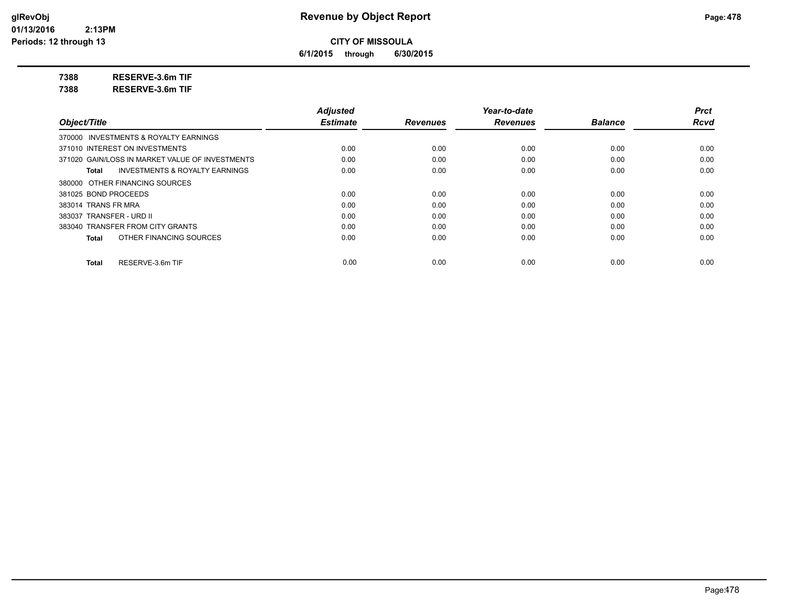**6/1/2015 through 6/30/2015**

**7388 RESERVE-3.6m TIF**

**7388 RESERVE-3.6m TIF**

|                                                 | <b>Adjusted</b> |                 | Year-to-date    |                | <b>Prct</b> |
|-------------------------------------------------|-----------------|-----------------|-----------------|----------------|-------------|
| Object/Title                                    | <b>Estimate</b> | <b>Revenues</b> | <b>Revenues</b> | <b>Balance</b> | <b>Rcvd</b> |
| 370000 INVESTMENTS & ROYALTY EARNINGS           |                 |                 |                 |                |             |
| 371010 INTEREST ON INVESTMENTS                  | 0.00            | 0.00            | 0.00            | 0.00           | 0.00        |
| 371020 GAIN/LOSS IN MARKET VALUE OF INVESTMENTS | 0.00            | 0.00            | 0.00            | 0.00           | 0.00        |
| INVESTMENTS & ROYALTY EARNINGS<br>Total         | 0.00            | 0.00            | 0.00            | 0.00           | 0.00        |
| 380000 OTHER FINANCING SOURCES                  |                 |                 |                 |                |             |
| 381025 BOND PROCEEDS                            | 0.00            | 0.00            | 0.00            | 0.00           | 0.00        |
| 383014 TRANS FR MRA                             | 0.00            | 0.00            | 0.00            | 0.00           | 0.00        |
| 383037 TRANSFER - URD II                        | 0.00            | 0.00            | 0.00            | 0.00           | 0.00        |
| 383040 TRANSFER FROM CITY GRANTS                | 0.00            | 0.00            | 0.00            | 0.00           | 0.00        |
| OTHER FINANCING SOURCES<br>Total                | 0.00            | 0.00            | 0.00            | 0.00           | 0.00        |
| RESERVE-3.6m TIF<br>Total                       | 0.00            | 0.00            | 0.00            | 0.00           | 0.00        |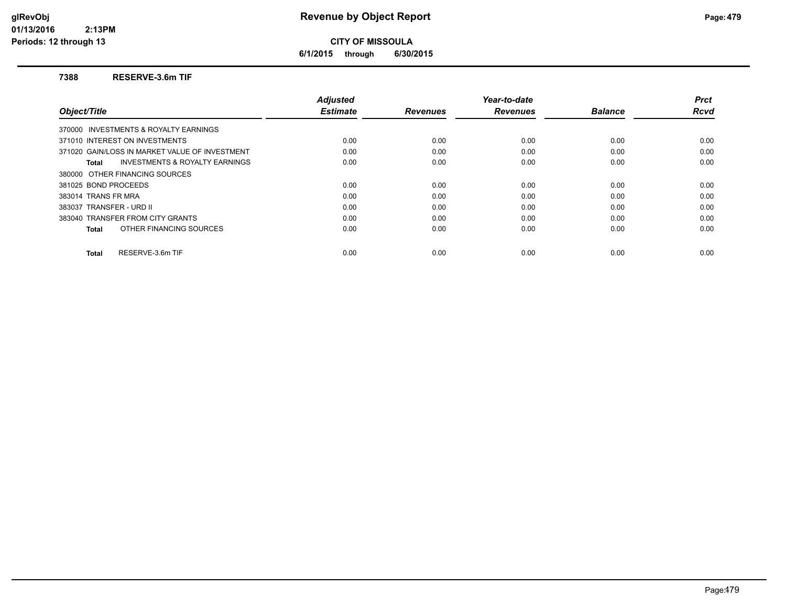**6/1/2015 through 6/30/2015**

#### **7388 RESERVE-3.6m TIF**

|                                                    | <b>Adjusted</b> |                 | Year-to-date    |                | <b>Prct</b> |
|----------------------------------------------------|-----------------|-----------------|-----------------|----------------|-------------|
| Object/Title                                       | <b>Estimate</b> | <b>Revenues</b> | <b>Revenues</b> | <b>Balance</b> | Rcvd        |
| 370000 INVESTMENTS & ROYALTY EARNINGS              |                 |                 |                 |                |             |
| 371010 INTEREST ON INVESTMENTS                     | 0.00            | 0.00            | 0.00            | 0.00           | 0.00        |
| 371020 GAIN/LOSS IN MARKET VALUE OF INVESTMENT     | 0.00            | 0.00            | 0.00            | 0.00           | 0.00        |
| <b>INVESTMENTS &amp; ROYALTY EARNINGS</b><br>Total | 0.00            | 0.00            | 0.00            | 0.00           | 0.00        |
| 380000 OTHER FINANCING SOURCES                     |                 |                 |                 |                |             |
| 381025 BOND PROCEEDS                               | 0.00            | 0.00            | 0.00            | 0.00           | 0.00        |
| 383014 TRANS FR MRA                                | 0.00            | 0.00            | 0.00            | 0.00           | 0.00        |
| 383037 TRANSFER - URD II                           | 0.00            | 0.00            | 0.00            | 0.00           | 0.00        |
| 383040 TRANSFER FROM CITY GRANTS                   | 0.00            | 0.00            | 0.00            | 0.00           | 0.00        |
| OTHER FINANCING SOURCES<br>Total                   | 0.00            | 0.00            | 0.00            | 0.00           | 0.00        |
| RESERVE-3.6m TIF<br><b>Total</b>                   | 0.00            | 0.00            | 0.00            | 0.00           | 0.00        |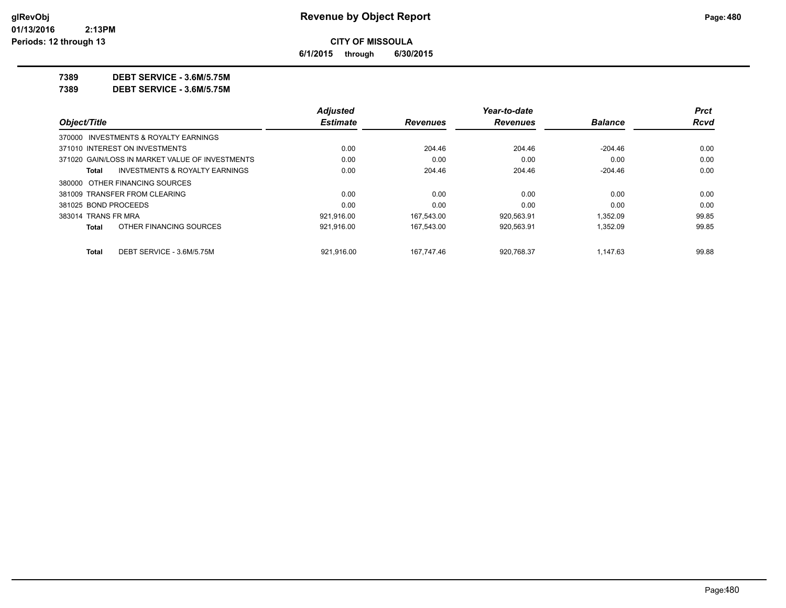**6/1/2015 through 6/30/2015**

**7389 DEBT SERVICE - 3.6M/5.75M**

**7389 DEBT SERVICE - 3.6M/5.75M**

|                      |                                                 | <b>Adjusted</b> |                 | Year-to-date    |                | <b>Prct</b> |
|----------------------|-------------------------------------------------|-----------------|-----------------|-----------------|----------------|-------------|
| Object/Title         |                                                 | <b>Estimate</b> | <b>Revenues</b> | <b>Revenues</b> | <b>Balance</b> | Rcvd        |
|                      | 370000 INVESTMENTS & ROYALTY EARNINGS           |                 |                 |                 |                |             |
|                      | 371010 INTEREST ON INVESTMENTS                  | 0.00            | 204.46          | 204.46          | $-204.46$      | 0.00        |
|                      | 371020 GAIN/LOSS IN MARKET VALUE OF INVESTMENTS | 0.00            | 0.00            | 0.00            | 0.00           | 0.00        |
| Total                | <b>INVESTMENTS &amp; ROYALTY EARNINGS</b>       | 0.00            | 204.46          | 204.46          | $-204.46$      | 0.00        |
|                      | 380000 OTHER FINANCING SOURCES                  |                 |                 |                 |                |             |
|                      | 381009 TRANSFER FROM CLEARING                   | 0.00            | 0.00            | 0.00            | 0.00           | 0.00        |
| 381025 BOND PROCEEDS |                                                 | 0.00            | 0.00            | 0.00            | 0.00           | 0.00        |
| 383014 TRANS FR MRA  |                                                 | 921.916.00      | 167.543.00      | 920,563.91      | 1.352.09       | 99.85       |
| Total                | OTHER FINANCING SOURCES                         | 921,916.00      | 167.543.00      | 920.563.91      | 1,352.09       | 99.85       |
| <b>Total</b>         | DEBT SERVICE - 3.6M/5.75M                       | 921.916.00      | 167.747.46      | 920.768.37      | 1.147.63       | 99.88       |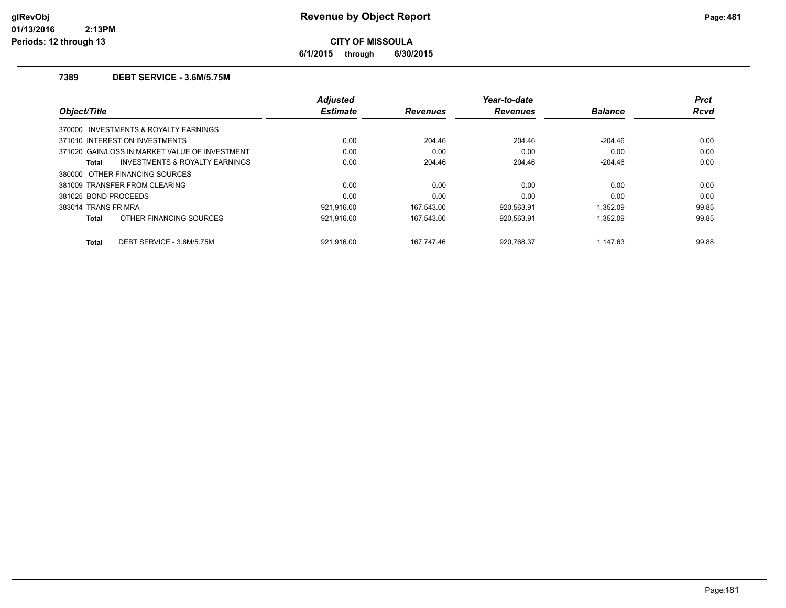**6/1/2015 through 6/30/2015**

## **7389 DEBT SERVICE - 3.6M/5.75M**

| Object/Title                                       | <b>Adjusted</b><br><b>Estimate</b> | <b>Revenues</b> | Year-to-date<br><b>Revenues</b> | <b>Balance</b> | <b>Prct</b><br><b>Rcvd</b> |
|----------------------------------------------------|------------------------------------|-----------------|---------------------------------|----------------|----------------------------|
| 370000 INVESTMENTS & ROYALTY EARNINGS              |                                    |                 |                                 |                |                            |
| 371010 INTEREST ON INVESTMENTS                     | 0.00                               | 204.46          | 204.46                          | $-204.46$      | 0.00                       |
| 371020 GAIN/LOSS IN MARKET VALUE OF INVESTMENT     | 0.00                               | 0.00            | 0.00                            | 0.00           | 0.00                       |
| <b>INVESTMENTS &amp; ROYALTY EARNINGS</b><br>Total | 0.00                               | 204.46          | 204.46                          | $-204.46$      | 0.00                       |
| 380000 OTHER FINANCING SOURCES                     |                                    |                 |                                 |                |                            |
| 381009 TRANSFER FROM CLEARING                      | 0.00                               | 0.00            | 0.00                            | 0.00           | 0.00                       |
| 381025 BOND PROCEEDS                               | 0.00                               | 0.00            | 0.00                            | 0.00           | 0.00                       |
| 383014 TRANS FR MRA                                | 921.916.00                         | 167,543.00      | 920,563.91                      | 1.352.09       | 99.85                      |
| OTHER FINANCING SOURCES<br><b>Total</b>            | 921,916.00                         | 167,543.00      | 920,563.91                      | 1,352.09       | 99.85                      |
| DEBT SERVICE - 3.6M/5.75M<br><b>Total</b>          | 921.916.00                         | 167.747.46      | 920.768.37                      | 1.147.63       | 99.88                      |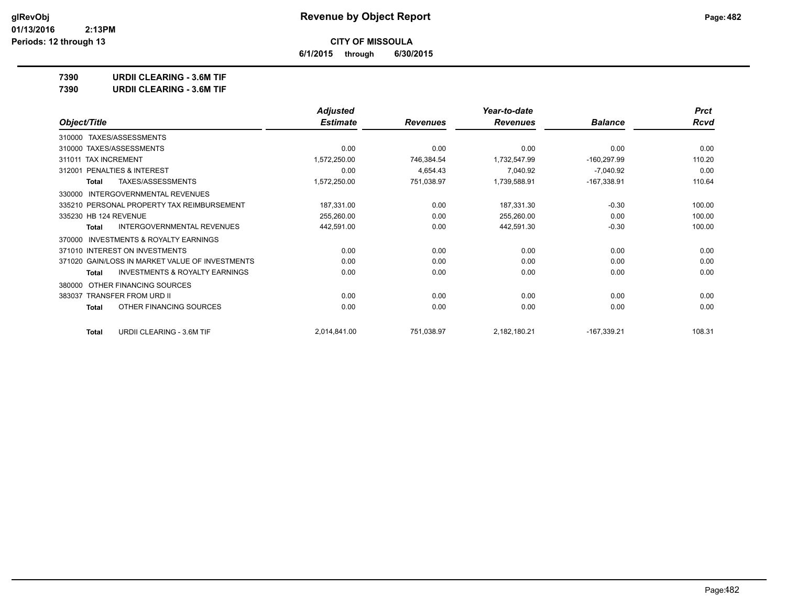**6/1/2015 through 6/30/2015**

**7390 URDII CLEARING - 3.6M TIF**

| <b>URDII CLEARING - 3.6M TIF</b><br>7390 |  |
|------------------------------------------|--|
|------------------------------------------|--|

|                                                           | <b>Adjusted</b> |                 | Year-to-date    |                | <b>Prct</b> |
|-----------------------------------------------------------|-----------------|-----------------|-----------------|----------------|-------------|
| Object/Title                                              | <b>Estimate</b> | <b>Revenues</b> | <b>Revenues</b> | <b>Balance</b> | <b>Rcvd</b> |
| TAXES/ASSESSMENTS<br>310000                               |                 |                 |                 |                |             |
| 310000 TAXES/ASSESSMENTS                                  | 0.00            | 0.00            | 0.00            | 0.00           | 0.00        |
| 311011 TAX INCREMENT                                      | 1,572,250.00    | 746,384.54      | 1,732,547.99    | $-160,297.99$  | 110.20      |
| <b>PENALTIES &amp; INTEREST</b><br>312001                 | 0.00            | 4,654.43        | 7,040.92        | $-7,040.92$    | 0.00        |
| TAXES/ASSESSMENTS<br>Total                                | 1,572,250.00    | 751,038.97      | 1,739,588.91    | $-167,338.91$  | 110.64      |
| <b>INTERGOVERNMENTAL REVENUES</b><br>330000               |                 |                 |                 |                |             |
| 335210 PERSONAL PROPERTY TAX REIMBURSEMENT                | 187,331.00      | 0.00            | 187,331.30      | $-0.30$        | 100.00      |
| 335230 HB 124 REVENUE                                     | 255,260.00      | 0.00            | 255,260.00      | 0.00           | 100.00      |
| <b>INTERGOVERNMENTAL REVENUES</b><br><b>Total</b>         | 442,591.00      | 0.00            | 442,591.30      | $-0.30$        | 100.00      |
| <b>INVESTMENTS &amp; ROYALTY EARNINGS</b><br>370000       |                 |                 |                 |                |             |
| 371010 INTEREST ON INVESTMENTS                            | 0.00            | 0.00            | 0.00            | 0.00           | 0.00        |
| 371020 GAIN/LOSS IN MARKET VALUE OF INVESTMENTS           | 0.00            | 0.00            | 0.00            | 0.00           | 0.00        |
| <b>INVESTMENTS &amp; ROYALTY EARNINGS</b><br><b>Total</b> | 0.00            | 0.00            | 0.00            | 0.00           | 0.00        |
| OTHER FINANCING SOURCES<br>380000                         |                 |                 |                 |                |             |
| TRANSFER FROM URD II<br>383037                            | 0.00            | 0.00            | 0.00            | 0.00           | 0.00        |
| OTHER FINANCING SOURCES<br>Total                          | 0.00            | 0.00            | 0.00            | 0.00           | 0.00        |
| URDII CLEARING - 3.6M TIF<br><b>Total</b>                 | 2,014,841.00    | 751,038.97      | 2,182,180.21    | $-167,339.21$  | 108.31      |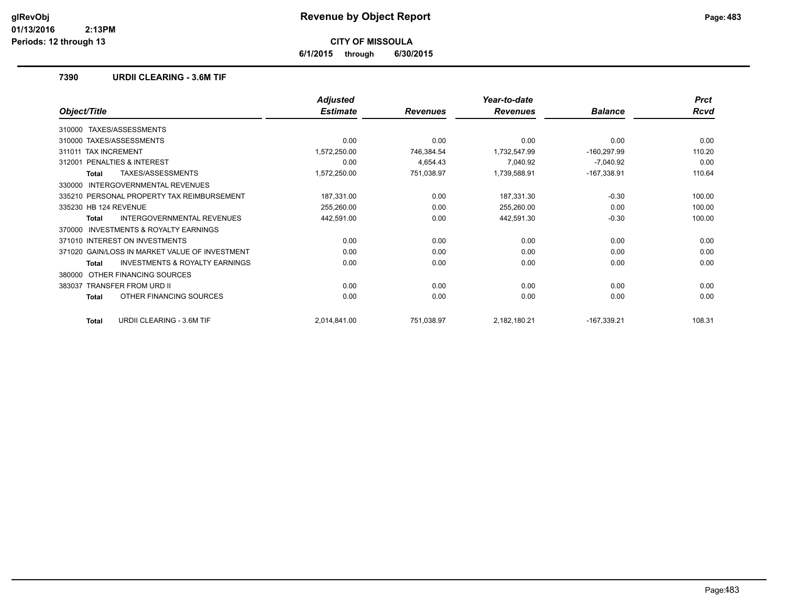**6/1/2015 through 6/30/2015**

## **7390 URDII CLEARING - 3.6M TIF**

|                                                    | <b>Adjusted</b> |                 | Year-to-date    |                | <b>Prct</b> |
|----------------------------------------------------|-----------------|-----------------|-----------------|----------------|-------------|
| Object/Title                                       | <b>Estimate</b> | <b>Revenues</b> | <b>Revenues</b> | <b>Balance</b> | Rcvd        |
| TAXES/ASSESSMENTS<br>310000                        |                 |                 |                 |                |             |
| 310000 TAXES/ASSESSMENTS                           | 0.00            | 0.00            | 0.00            | 0.00           | 0.00        |
| <b>TAX INCREMENT</b><br>311011                     | 1,572,250.00    | 746,384.54      | 1,732,547.99    | $-160,297.99$  | 110.20      |
| PENALTIES & INTEREST<br>312001                     | 0.00            | 4,654.43        | 7,040.92        | $-7,040.92$    | 0.00        |
| TAXES/ASSESSMENTS<br><b>Total</b>                  | 1,572,250.00    | 751,038.97      | 1,739,588.91    | $-167,338.91$  | 110.64      |
| INTERGOVERNMENTAL REVENUES<br>330000               |                 |                 |                 |                |             |
| 335210 PERSONAL PROPERTY TAX REIMBURSEMENT         | 187,331.00      | 0.00            | 187,331.30      | $-0.30$        | 100.00      |
| 335230 HB 124 REVENUE                              | 255,260.00      | 0.00            | 255,260.00      | 0.00           | 100.00      |
| <b>INTERGOVERNMENTAL REVENUES</b><br>Total         | 442,591.00      | 0.00            | 442,591.30      | $-0.30$        | 100.00      |
| INVESTMENTS & ROYALTY EARNINGS<br>370000           |                 |                 |                 |                |             |
| 371010 INTEREST ON INVESTMENTS                     | 0.00            | 0.00            | 0.00            | 0.00           | 0.00        |
| 371020 GAIN/LOSS IN MARKET VALUE OF INVESTMENT     | 0.00            | 0.00            | 0.00            | 0.00           | 0.00        |
| <b>INVESTMENTS &amp; ROYALTY EARNINGS</b><br>Total | 0.00            | 0.00            | 0.00            | 0.00           | 0.00        |
| OTHER FINANCING SOURCES<br>380000                  |                 |                 |                 |                |             |
| <b>TRANSFER FROM URD II</b><br>383037              | 0.00            | 0.00            | 0.00            | 0.00           | 0.00        |
| OTHER FINANCING SOURCES<br>Total                   | 0.00            | 0.00            | 0.00            | 0.00           | 0.00        |
| <b>URDII CLEARING - 3.6M TIF</b><br><b>Total</b>   | 2,014,841.00    | 751,038.97      | 2,182,180.21    | $-167,339.21$  | 108.31      |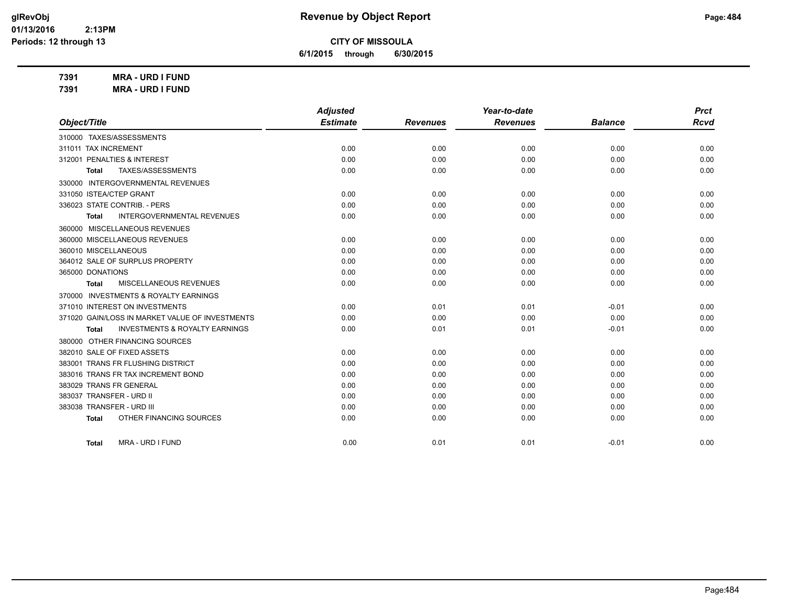**6/1/2015 through 6/30/2015**

**7391 MRA - URD I FUND 7391 MRA - URD I FUND**

|                                                    | <b>Adjusted</b> |                 | Year-to-date    |                | <b>Prct</b> |
|----------------------------------------------------|-----------------|-----------------|-----------------|----------------|-------------|
| Object/Title                                       | <b>Estimate</b> | <b>Revenues</b> | <b>Revenues</b> | <b>Balance</b> | <b>Rcvd</b> |
| 310000 TAXES/ASSESSMENTS                           |                 |                 |                 |                |             |
| 311011 TAX INCREMENT                               | 0.00            | 0.00            | 0.00            | 0.00           | 0.00        |
| 312001 PENALTIES & INTEREST                        | 0.00            | 0.00            | 0.00            | 0.00           | 0.00        |
| TAXES/ASSESSMENTS<br>Total                         | 0.00            | 0.00            | 0.00            | 0.00           | 0.00        |
| 330000 INTERGOVERNMENTAL REVENUES                  |                 |                 |                 |                |             |
| 331050 ISTEA/CTEP GRANT                            | 0.00            | 0.00            | 0.00            | 0.00           | 0.00        |
| 336023 STATE CONTRIB. - PERS                       | 0.00            | 0.00            | 0.00            | 0.00           | 0.00        |
| <b>INTERGOVERNMENTAL REVENUES</b><br><b>Total</b>  | 0.00            | 0.00            | 0.00            | 0.00           | 0.00        |
| 360000 MISCELLANEOUS REVENUES                      |                 |                 |                 |                |             |
| 360000 MISCELLANEOUS REVENUES                      | 0.00            | 0.00            | 0.00            | 0.00           | 0.00        |
| 360010 MISCELLANEOUS                               | 0.00            | 0.00            | 0.00            | 0.00           | 0.00        |
| 364012 SALE OF SURPLUS PROPERTY                    | 0.00            | 0.00            | 0.00            | 0.00           | 0.00        |
| 365000 DONATIONS                                   | 0.00            | 0.00            | 0.00            | 0.00           | 0.00        |
| MISCELLANEOUS REVENUES<br>Total                    | 0.00            | 0.00            | 0.00            | 0.00           | 0.00        |
| 370000 INVESTMENTS & ROYALTY EARNINGS              |                 |                 |                 |                |             |
| 371010 INTEREST ON INVESTMENTS                     | 0.00            | 0.01            | 0.01            | $-0.01$        | 0.00        |
| 371020 GAIN/LOSS IN MARKET VALUE OF INVESTMENTS    | 0.00            | 0.00            | 0.00            | 0.00           | 0.00        |
| <b>INVESTMENTS &amp; ROYALTY EARNINGS</b><br>Total | 0.00            | 0.01            | 0.01            | $-0.01$        | 0.00        |
| 380000 OTHER FINANCING SOURCES                     |                 |                 |                 |                |             |
| 382010 SALE OF FIXED ASSETS                        | 0.00            | 0.00            | 0.00            | 0.00           | 0.00        |
| 383001 TRANS FR FLUSHING DISTRICT                  | 0.00            | 0.00            | 0.00            | 0.00           | 0.00        |
| 383016 TRANS FR TAX INCREMENT BOND                 | 0.00            | 0.00            | 0.00            | 0.00           | 0.00        |
| 383029 TRANS FR GENERAL                            | 0.00            | 0.00            | 0.00            | 0.00           | 0.00        |
| 383037 TRANSFER - URD II                           | 0.00            | 0.00            | 0.00            | 0.00           | 0.00        |
| 383038 TRANSFER - URD III                          | 0.00            | 0.00            | 0.00            | 0.00           | 0.00        |
| OTHER FINANCING SOURCES<br><b>Total</b>            | 0.00            | 0.00            | 0.00            | 0.00           | 0.00        |
| <b>MRA - URD I FUND</b><br>Total                   | 0.00            | 0.01            | 0.01            | $-0.01$        | 0.00        |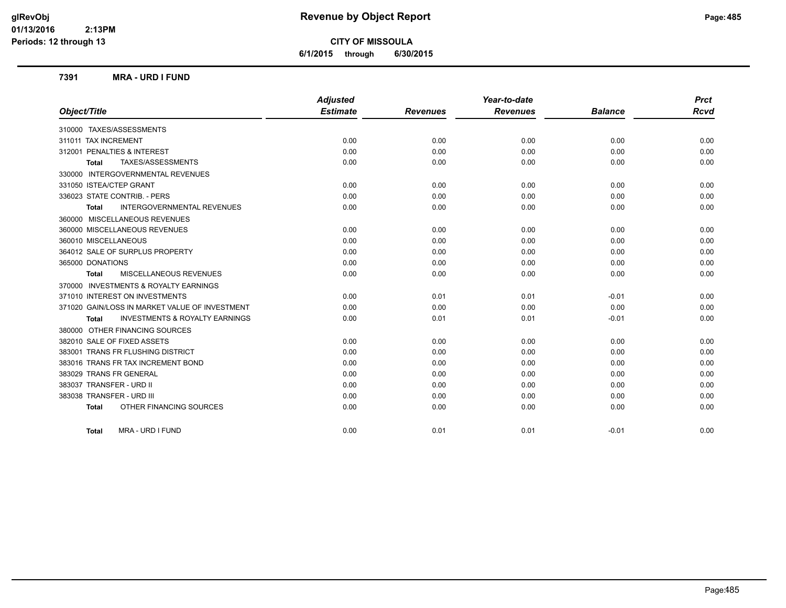## **glRevObj Revenue by Object Report Page:485**

**CITY OF MISSOULA**

**6/1/2015 through 6/30/2015**

#### **7391 MRA - URD I FUND**

|                                                    | <b>Adjusted</b> |                 | Year-to-date    |                | <b>Prct</b> |
|----------------------------------------------------|-----------------|-----------------|-----------------|----------------|-------------|
| Object/Title                                       | <b>Estimate</b> | <b>Revenues</b> | <b>Revenues</b> | <b>Balance</b> | <b>Rcvd</b> |
| 310000 TAXES/ASSESSMENTS                           |                 |                 |                 |                |             |
| 311011 TAX INCREMENT                               | 0.00            | 0.00            | 0.00            | 0.00           | 0.00        |
| 312001 PENALTIES & INTEREST                        | 0.00            | 0.00            | 0.00            | 0.00           | 0.00        |
| TAXES/ASSESSMENTS<br><b>Total</b>                  | 0.00            | 0.00            | 0.00            | 0.00           | 0.00        |
| 330000 INTERGOVERNMENTAL REVENUES                  |                 |                 |                 |                |             |
| 331050 ISTEA/CTEP GRANT                            | 0.00            | 0.00            | 0.00            | 0.00           | 0.00        |
| 336023 STATE CONTRIB. - PERS                       | 0.00            | 0.00            | 0.00            | 0.00           | 0.00        |
| <b>INTERGOVERNMENTAL REVENUES</b><br><b>Total</b>  | 0.00            | 0.00            | 0.00            | 0.00           | 0.00        |
| 360000 MISCELLANEOUS REVENUES                      |                 |                 |                 |                |             |
| 360000 MISCELLANEOUS REVENUES                      | 0.00            | 0.00            | 0.00            | 0.00           | 0.00        |
| 360010 MISCELLANEOUS                               | 0.00            | 0.00            | 0.00            | 0.00           | 0.00        |
| 364012 SALE OF SURPLUS PROPERTY                    | 0.00            | 0.00            | 0.00            | 0.00           | 0.00        |
| 365000 DONATIONS                                   | 0.00            | 0.00            | 0.00            | 0.00           | 0.00        |
| MISCELLANEOUS REVENUES<br><b>Total</b>             | 0.00            | 0.00            | 0.00            | 0.00           | 0.00        |
| 370000 INVESTMENTS & ROYALTY EARNINGS              |                 |                 |                 |                |             |
| 371010 INTEREST ON INVESTMENTS                     | 0.00            | 0.01            | 0.01            | $-0.01$        | 0.00        |
| 371020 GAIN/LOSS IN MARKET VALUE OF INVESTMENT     | 0.00            | 0.00            | 0.00            | 0.00           | 0.00        |
| <b>INVESTMENTS &amp; ROYALTY EARNINGS</b><br>Total | 0.00            | 0.01            | 0.01            | $-0.01$        | 0.00        |
| 380000 OTHER FINANCING SOURCES                     |                 |                 |                 |                |             |
| 382010 SALE OF FIXED ASSETS                        | 0.00            | 0.00            | 0.00            | 0.00           | 0.00        |
| 383001 TRANS FR FLUSHING DISTRICT                  | 0.00            | 0.00            | 0.00            | 0.00           | 0.00        |
| 383016 TRANS FR TAX INCREMENT BOND                 | 0.00            | 0.00            | 0.00            | 0.00           | 0.00        |
| 383029 TRANS FR GENERAL                            | 0.00            | 0.00            | 0.00            | 0.00           | 0.00        |
| 383037 TRANSFER - URD II                           | 0.00            | 0.00            | 0.00            | 0.00           | 0.00        |
| 383038 TRANSFER - URD III                          | 0.00            | 0.00            | 0.00            | 0.00           | 0.00        |
| OTHER FINANCING SOURCES<br><b>Total</b>            | 0.00            | 0.00            | 0.00            | 0.00           | 0.00        |
| MRA - URD I FUND<br><b>Total</b>                   | 0.00            | 0.01            | 0.01            | $-0.01$        | 0.00        |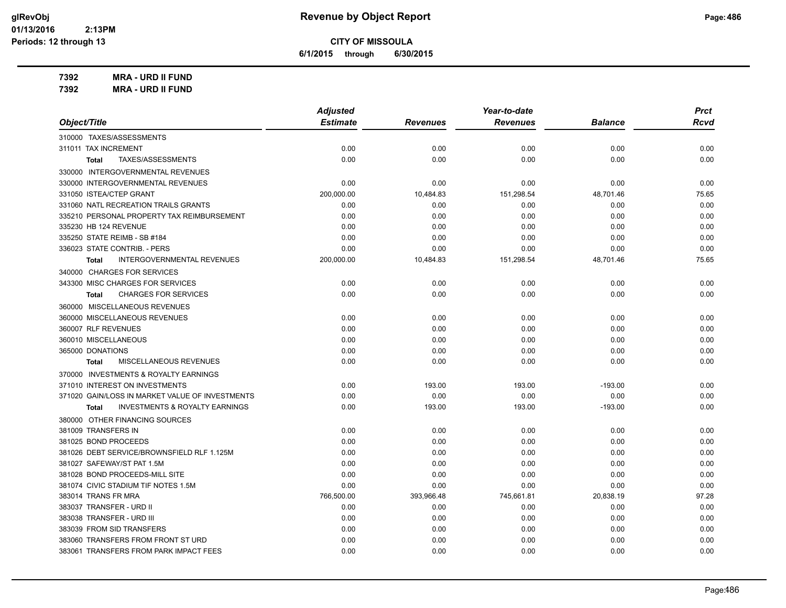**6/1/2015 through 6/30/2015**

**7392 MRA - URD II FUND 7392 MRA - URD II FUND**

|                                                    | <b>Adjusted</b> |                 | Year-to-date    |                | <b>Prct</b> |
|----------------------------------------------------|-----------------|-----------------|-----------------|----------------|-------------|
| Object/Title                                       | <b>Estimate</b> | <b>Revenues</b> | <b>Revenues</b> | <b>Balance</b> | <b>Rcvd</b> |
| 310000 TAXES/ASSESSMENTS                           |                 |                 |                 |                |             |
| 311011 TAX INCREMENT                               | 0.00            | 0.00            | 0.00            | 0.00           | 0.00        |
| TAXES/ASSESSMENTS<br><b>Total</b>                  | 0.00            | 0.00            | 0.00            | 0.00           | 0.00        |
| 330000 INTERGOVERNMENTAL REVENUES                  |                 |                 |                 |                |             |
| 330000 INTERGOVERNMENTAL REVENUES                  | 0.00            | 0.00            | 0.00            | 0.00           | 0.00        |
| 331050 ISTEA/CTEP GRANT                            | 200,000.00      | 10,484.83       | 151,298.54      | 48,701.46      | 75.65       |
| 331060 NATL RECREATION TRAILS GRANTS               | 0.00            | 0.00            | 0.00            | 0.00           | 0.00        |
| 335210 PERSONAL PROPERTY TAX REIMBURSEMENT         | 0.00            | 0.00            | 0.00            | 0.00           | 0.00        |
| 335230 HB 124 REVENUE                              | 0.00            | 0.00            | 0.00            | 0.00           | 0.00        |
| 335250 STATE REIMB - SB #184                       | 0.00            | 0.00            | 0.00            | 0.00           | 0.00        |
| 336023 STATE CONTRIB. - PERS                       | 0.00            | 0.00            | 0.00            | 0.00           | 0.00        |
| <b>Total</b><br>INTERGOVERNMENTAL REVENUES         | 200,000.00      | 10,484.83       | 151,298.54      | 48,701.46      | 75.65       |
| 340000 CHARGES FOR SERVICES                        |                 |                 |                 |                |             |
| 343300 MISC CHARGES FOR SERVICES                   | 0.00            | 0.00            | 0.00            | 0.00           | 0.00        |
| <b>CHARGES FOR SERVICES</b><br>Total               | 0.00            | 0.00            | 0.00            | 0.00           | 0.00        |
| 360000 MISCELLANEOUS REVENUES                      |                 |                 |                 |                |             |
| 360000 MISCELLANEOUS REVENUES                      | 0.00            | 0.00            | 0.00            | 0.00           | 0.00        |
| 360007 RLF REVENUES                                | 0.00            | 0.00            | 0.00            | 0.00           | 0.00        |
| 360010 MISCELLANEOUS                               | 0.00            | 0.00            | 0.00            | 0.00           | 0.00        |
| 365000 DONATIONS                                   | 0.00            | 0.00            | 0.00            | 0.00           | 0.00        |
| MISCELLANEOUS REVENUES<br>Total                    | 0.00            | 0.00            | 0.00            | 0.00           | 0.00        |
| 370000 INVESTMENTS & ROYALTY EARNINGS              |                 |                 |                 |                |             |
| 371010 INTEREST ON INVESTMENTS                     | 0.00            | 193.00          | 193.00          | $-193.00$      | 0.00        |
| 371020 GAIN/LOSS IN MARKET VALUE OF INVESTMENTS    | 0.00            | 0.00            | 0.00            | 0.00           | 0.00        |
| <b>INVESTMENTS &amp; ROYALTY EARNINGS</b><br>Total | 0.00            | 193.00          | 193.00          | $-193.00$      | 0.00        |
| 380000 OTHER FINANCING SOURCES                     |                 |                 |                 |                |             |
| 381009 TRANSFERS IN                                | 0.00            | 0.00            | 0.00            | 0.00           | 0.00        |
| 381025 BOND PROCEEDS                               | 0.00            | 0.00            | 0.00            | 0.00           | 0.00        |
| 381026 DEBT SERVICE/BROWNSFIELD RLF 1.125M         | 0.00            | 0.00            | 0.00            | 0.00           | 0.00        |
| 381027 SAFEWAY/ST PAT 1.5M                         | 0.00            | 0.00            | 0.00            | 0.00           | 0.00        |
| 381028 BOND PROCEEDS-MILL SITE                     | 0.00            | 0.00            | 0.00            | 0.00           | 0.00        |
| 381074 CIVIC STADIUM TIF NOTES 1.5M                | 0.00            | 0.00            | 0.00            | 0.00           | 0.00        |
| 383014 TRANS FR MRA                                | 766,500.00      | 393,966.48      | 745,661.81      | 20,838.19      | 97.28       |
| 383037 TRANSFER - URD II                           | 0.00            | 0.00            | 0.00            | 0.00           | 0.00        |
| 383038 TRANSFER - URD III                          | 0.00            | 0.00            | 0.00            | 0.00           | 0.00        |
| 383039 FROM SID TRANSFERS                          | 0.00            | 0.00            | 0.00            | 0.00           | 0.00        |
| 383060 TRANSFERS FROM FRONT ST URD                 | 0.00            | 0.00            | 0.00            | 0.00           | 0.00        |
| 383061 TRANSFERS FROM PARK IMPACT FEES             | 0.00            | 0.00            | 0.00            | 0.00           | 0.00        |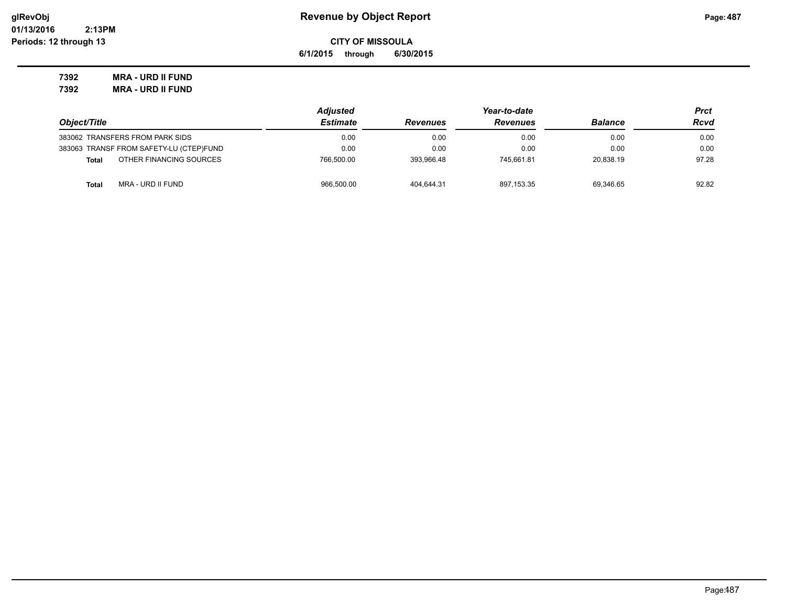**6/1/2015 through 6/30/2015**

**7392 MRA - URD II FUND 7392 MRA - URD II FUND**

|                                         | <b>Adjusted</b> |                                    | Year-to-date |                | Prct  |
|-----------------------------------------|-----------------|------------------------------------|--------------|----------------|-------|
| Object/Title                            | <b>Estimate</b> | <b>Revenues</b><br><b>Revenues</b> |              | <b>Balance</b> | Rcvd  |
| 383062 TRANSFERS FROM PARK SIDS         | 0.00            | 0.00                               | 0.00         | 0.00           | 0.00  |
| 383063 TRANSF FROM SAFETY-LU (CTEP)FUND | 0.00            | 0.00                               | 0.00         | 0.00           | 0.00  |
| OTHER FINANCING SOURCES<br><b>Total</b> | 766.500.00      | 393.966.48                         | 745.661.81   | 20.838.19      | 97.28 |
| MRA - URD II FUND<br><b>Total</b>       | 966.500.00      | 404.644.31                         | 897.153.35   | 69.346.65      | 92.82 |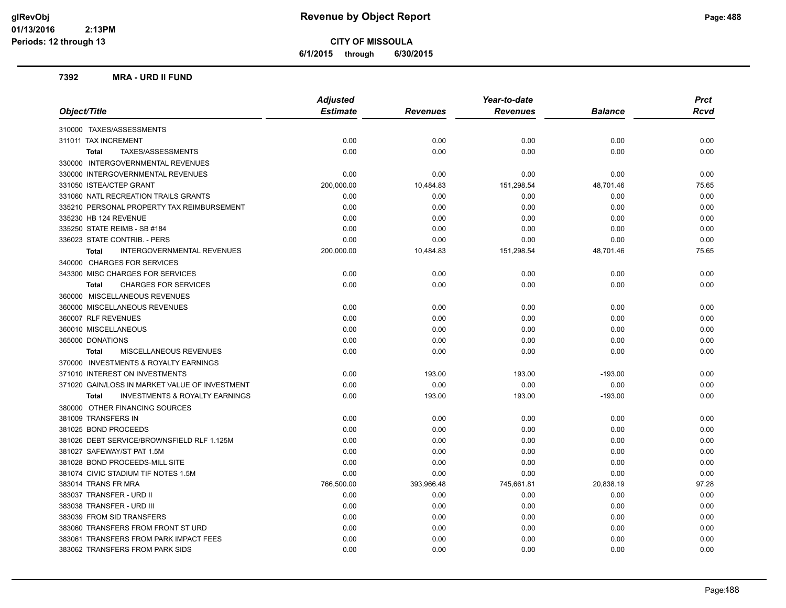**6/1/2015 through 6/30/2015**

#### **7392 MRA - URD II FUND**

|                                                    | <b>Adjusted</b> |                 | Year-to-date    |                | <b>Prct</b> |
|----------------------------------------------------|-----------------|-----------------|-----------------|----------------|-------------|
| Object/Title                                       | <b>Estimate</b> | <b>Revenues</b> | <b>Revenues</b> | <b>Balance</b> | Rcvd        |
| 310000 TAXES/ASSESSMENTS                           |                 |                 |                 |                |             |
| 311011 TAX INCREMENT                               | 0.00            | 0.00            | 0.00            | 0.00           | 0.00        |
| TAXES/ASSESSMENTS<br><b>Total</b>                  | 0.00            | 0.00            | 0.00            | 0.00           | 0.00        |
| 330000 INTERGOVERNMENTAL REVENUES                  |                 |                 |                 |                |             |
| 330000 INTERGOVERNMENTAL REVENUES                  | 0.00            | 0.00            | 0.00            | 0.00           | 0.00        |
| 331050 ISTEA/CTEP GRANT                            | 200,000.00      | 10,484.83       | 151,298.54      | 48,701.46      | 75.65       |
| 331060 NATL RECREATION TRAILS GRANTS               | 0.00            | 0.00            | 0.00            | 0.00           | 0.00        |
| 335210 PERSONAL PROPERTY TAX REIMBURSEMENT         | 0.00            | 0.00            | 0.00            | 0.00           | 0.00        |
| 335230 HB 124 REVENUE                              | 0.00            | 0.00            | 0.00            | 0.00           | 0.00        |
| 335250 STATE REIMB - SB #184                       | 0.00            | 0.00            | 0.00            | 0.00           | 0.00        |
| 336023 STATE CONTRIB. - PERS                       | 0.00            | 0.00            | 0.00            | 0.00           | 0.00        |
| INTERGOVERNMENTAL REVENUES<br><b>Total</b>         | 200,000.00      | 10,484.83       | 151,298.54      | 48,701.46      | 75.65       |
| 340000 CHARGES FOR SERVICES                        |                 |                 |                 |                |             |
| 343300 MISC CHARGES FOR SERVICES                   | 0.00            | 0.00            | 0.00            | 0.00           | 0.00        |
| <b>CHARGES FOR SERVICES</b><br><b>Total</b>        | 0.00            | 0.00            | 0.00            | 0.00           | 0.00        |
| 360000 MISCELLANEOUS REVENUES                      |                 |                 |                 |                |             |
| 360000 MISCELLANEOUS REVENUES                      | 0.00            | 0.00            | 0.00            | 0.00           | 0.00        |
| 360007 RLF REVENUES                                | 0.00            | 0.00            | 0.00            | 0.00           | 0.00        |
| 360010 MISCELLANEOUS                               | 0.00            | 0.00            | 0.00            | 0.00           | 0.00        |
| 365000 DONATIONS                                   | 0.00            | 0.00            | 0.00            | 0.00           | 0.00        |
| MISCELLANEOUS REVENUES<br><b>Total</b>             | 0.00            | 0.00            | 0.00            | 0.00           | 0.00        |
| 370000 INVESTMENTS & ROYALTY EARNINGS              |                 |                 |                 |                |             |
| 371010 INTEREST ON INVESTMENTS                     | 0.00            | 193.00          | 193.00          | $-193.00$      | 0.00        |
| 371020 GAIN/LOSS IN MARKET VALUE OF INVESTMENT     | 0.00            | 0.00            | 0.00            | 0.00           | 0.00        |
| <b>INVESTMENTS &amp; ROYALTY EARNINGS</b><br>Total | 0.00            | 193.00          | 193.00          | $-193.00$      | 0.00        |
| 380000 OTHER FINANCING SOURCES                     |                 |                 |                 |                |             |
| 381009 TRANSFERS IN                                | 0.00            | 0.00            | 0.00            | 0.00           | 0.00        |
| 381025 BOND PROCEEDS                               | 0.00            | 0.00            | 0.00            | 0.00           | 0.00        |
| 381026 DEBT SERVICE/BROWNSFIELD RLF 1.125M         | 0.00            | 0.00            | 0.00            | 0.00           | 0.00        |
| 381027 SAFEWAY/ST PAT 1.5M                         | 0.00            | 0.00            | 0.00            | 0.00           | 0.00        |
| 381028 BOND PROCEEDS-MILL SITE                     | 0.00            | 0.00            | 0.00            | 0.00           | 0.00        |
| 381074 CIVIC STADIUM TIF NOTES 1.5M                | 0.00            | 0.00            | 0.00            | 0.00           | 0.00        |
| 383014 TRANS FR MRA                                | 766,500.00      | 393,966.48      | 745,661.81      | 20,838.19      | 97.28       |
| 383037 TRANSFER - URD II                           | 0.00            | 0.00            | 0.00            | 0.00           | 0.00        |
| 383038 TRANSFER - URD III                          | 0.00            | 0.00            | 0.00            | 0.00           | 0.00        |
| 383039 FROM SID TRANSFERS                          | 0.00            | 0.00            | 0.00            | 0.00           | 0.00        |
| 383060 TRANSFERS FROM FRONT ST URD                 | 0.00            | 0.00            | 0.00            | 0.00           | 0.00        |
| 383061 TRANSFERS FROM PARK IMPACT FEES             | 0.00            | 0.00            | 0.00            | 0.00           | 0.00        |
| 383062 TRANSFERS FROM PARK SIDS                    | 0.00            | 0.00            | 0.00            | 0.00           | 0.00        |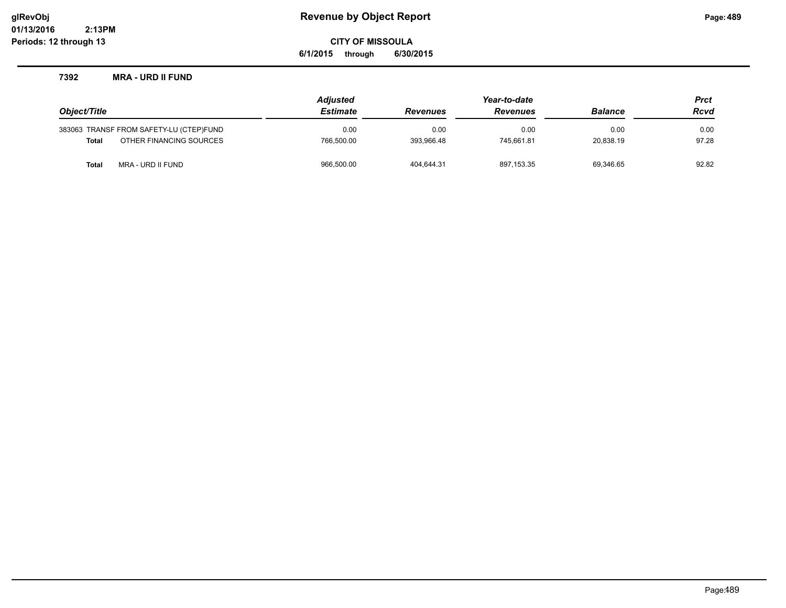**6/1/2015 through 6/30/2015**

#### **7392 MRA - URD II FUND**

|              |                                         | <b>Adjusted</b> |                 | Year-to-date    |                | <b>Prct</b> |
|--------------|-----------------------------------------|-----------------|-----------------|-----------------|----------------|-------------|
| Object/Title |                                         | <b>Estimate</b> | <b>Revenues</b> | <b>Revenues</b> | <b>Balance</b> | <b>Rcvd</b> |
|              | 383063 TRANSF FROM SAFETY-LU (CTEP)FUND | 0.00            | 0.00            | 0.00            | 0.00           | 0.00        |
| Total        | OTHER FINANCING SOURCES                 | 766.500.00      | 393.966.48      | 745.661.81      | 20.838.19      | 97.28       |
|              |                                         |                 |                 |                 |                |             |
| Total        | MRA - URD II FUND                       | 966,500.00      | 404,644.31      | 897,153.35      | 69,346.65      | 92.82       |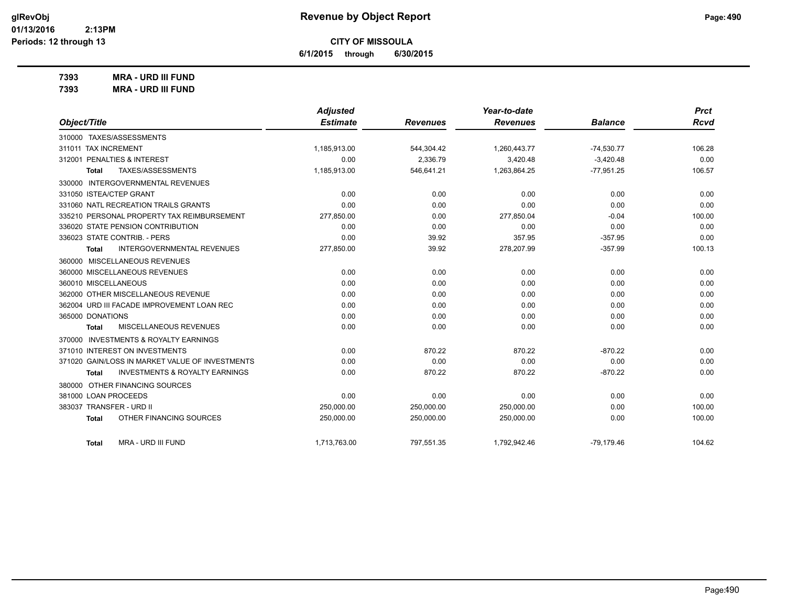**6/1/2015 through 6/30/2015**

**7393 MRA - URD III FUND**

| 7393 | <b>MRA - URD III FUND</b> |
|------|---------------------------|
|------|---------------------------|

|                                                           | <b>Adjusted</b> |                 | Year-to-date    |                | <b>Prct</b> |
|-----------------------------------------------------------|-----------------|-----------------|-----------------|----------------|-------------|
| Object/Title                                              | <b>Estimate</b> | <b>Revenues</b> | <b>Revenues</b> | <b>Balance</b> | <b>Rcvd</b> |
| 310000 TAXES/ASSESSMENTS                                  |                 |                 |                 |                |             |
| 311011 TAX INCREMENT                                      | 1,185,913.00    | 544,304.42      | 1,260,443.77    | $-74,530.77$   | 106.28      |
| 312001 PENALTIES & INTEREST                               | 0.00            | 2.336.79        | 3,420.48        | $-3,420.48$    | 0.00        |
| TAXES/ASSESSMENTS<br>Total                                | 1,185,913.00    | 546,641.21      | 1,263,864.25    | $-77,951.25$   | 106.57      |
| 330000 INTERGOVERNMENTAL REVENUES                         |                 |                 |                 |                |             |
| 331050 ISTEA/CTEP GRANT                                   | 0.00            | 0.00            | 0.00            | 0.00           | 0.00        |
| 331060 NATL RECREATION TRAILS GRANTS                      | 0.00            | 0.00            | 0.00            | 0.00           | 0.00        |
| 335210 PERSONAL PROPERTY TAX REIMBURSEMENT                | 277,850.00      | 0.00            | 277,850.04      | $-0.04$        | 100.00      |
| 336020 STATE PENSION CONTRIBUTION                         | 0.00            | 0.00            | 0.00            | 0.00           | 0.00        |
| 336023 STATE CONTRIB. - PERS                              | 0.00            | 39.92           | 357.95          | $-357.95$      | 0.00        |
| <b>INTERGOVERNMENTAL REVENUES</b><br>Total                | 277,850.00      | 39.92           | 278,207.99      | $-357.99$      | 100.13      |
| 360000 MISCELLANEOUS REVENUES                             |                 |                 |                 |                |             |
| 360000 MISCELLANEOUS REVENUES                             | 0.00            | 0.00            | 0.00            | 0.00           | 0.00        |
| 360010 MISCELLANEOUS                                      | 0.00            | 0.00            | 0.00            | 0.00           | 0.00        |
| 362000 OTHER MISCELLANEOUS REVENUE                        | 0.00            | 0.00            | 0.00            | 0.00           | 0.00        |
| 362004 URD III FACADE IMPROVEMENT LOAN REC                | 0.00            | 0.00            | 0.00            | 0.00           | 0.00        |
| 365000 DONATIONS                                          | 0.00            | 0.00            | 0.00            | 0.00           | 0.00        |
| MISCELLANEOUS REVENUES<br>Total                           | 0.00            | 0.00            | 0.00            | 0.00           | 0.00        |
| <b>INVESTMENTS &amp; ROYALTY EARNINGS</b><br>370000       |                 |                 |                 |                |             |
| 371010 INTEREST ON INVESTMENTS                            | 0.00            | 870.22          | 870.22          | $-870.22$      | 0.00        |
| 371020 GAIN/LOSS IN MARKET VALUE OF INVESTMENTS           | 0.00            | 0.00            | 0.00            | 0.00           | 0.00        |
| <b>INVESTMENTS &amp; ROYALTY EARNINGS</b><br><b>Total</b> | 0.00            | 870.22          | 870.22          | $-870.22$      | 0.00        |
| 380000 OTHER FINANCING SOURCES                            |                 |                 |                 |                |             |
| 381000 LOAN PROCEEDS                                      | 0.00            | 0.00            | 0.00            | 0.00           | 0.00        |
| 383037 TRANSFER - URD II                                  | 250.000.00      | 250,000.00      | 250,000.00      | 0.00           | 100.00      |
| OTHER FINANCING SOURCES<br><b>Total</b>                   | 250,000.00      | 250,000.00      | 250,000.00      | 0.00           | 100.00      |
|                                                           |                 |                 |                 |                |             |
| MRA - URD III FUND<br><b>Total</b>                        | 1,713,763.00    | 797,551.35      | 1,792,942.46    | $-79.179.46$   | 104.62      |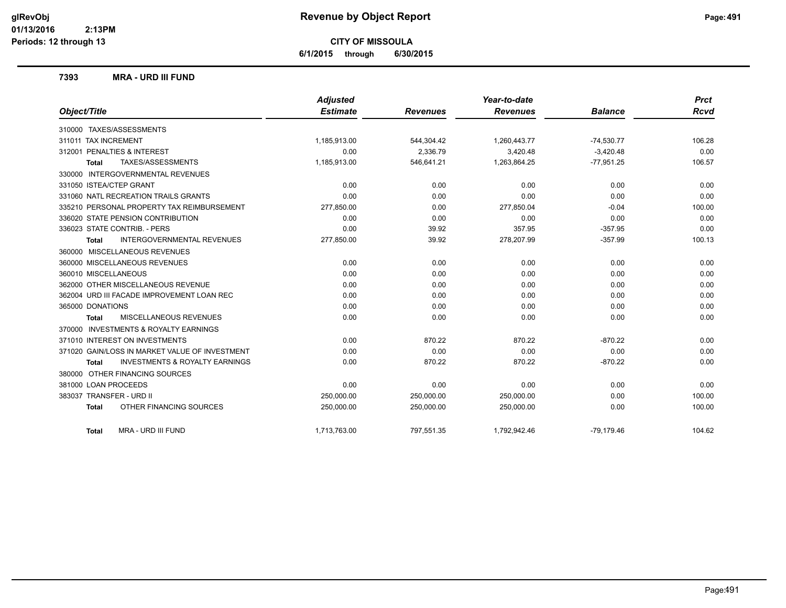**6/1/2015 through 6/30/2015**

#### **7393 MRA - URD III FUND**

|                                                           | Adjusted        |                 | Year-to-date    |                | <b>Prct</b> |
|-----------------------------------------------------------|-----------------|-----------------|-----------------|----------------|-------------|
| Object/Title                                              | <b>Estimate</b> | <b>Revenues</b> | <b>Revenues</b> | <b>Balance</b> | <b>Rcvd</b> |
| 310000 TAXES/ASSESSMENTS                                  |                 |                 |                 |                |             |
| 311011 TAX INCREMENT                                      | 1,185,913.00    | 544,304.42      | 1,260,443.77    | $-74,530.77$   | 106.28      |
| 312001 PENALTIES & INTEREST                               | 0.00            | 2.336.79        | 3.420.48        | $-3.420.48$    | 0.00        |
| TAXES/ASSESSMENTS<br><b>Total</b>                         | 1,185,913.00    | 546,641.21      | 1,263,864.25    | $-77,951.25$   | 106.57      |
| 330000 INTERGOVERNMENTAL REVENUES                         |                 |                 |                 |                |             |
| 331050 ISTEA/CTEP GRANT                                   | 0.00            | 0.00            | 0.00            | 0.00           | 0.00        |
| 331060 NATL RECREATION TRAILS GRANTS                      | 0.00            | 0.00            | 0.00            | 0.00           | 0.00        |
| 335210 PERSONAL PROPERTY TAX REIMBURSEMENT                | 277,850.00      | 0.00            | 277,850.04      | $-0.04$        | 100.00      |
| 336020 STATE PENSION CONTRIBUTION                         | 0.00            | 0.00            | 0.00            | 0.00           | 0.00        |
| 336023 STATE CONTRIB. - PERS                              | 0.00            | 39.92           | 357.95          | $-357.95$      | 0.00        |
| <b>INTERGOVERNMENTAL REVENUES</b><br><b>Total</b>         | 277,850.00      | 39.92           | 278,207.99      | $-357.99$      | 100.13      |
| 360000 MISCELLANEOUS REVENUES                             |                 |                 |                 |                |             |
| 360000 MISCELLANEOUS REVENUES                             | 0.00            | 0.00            | 0.00            | 0.00           | 0.00        |
| 360010 MISCELLANEOUS                                      | 0.00            | 0.00            | 0.00            | 0.00           | 0.00        |
| 362000 OTHER MISCELLANEOUS REVENUE                        | 0.00            | 0.00            | 0.00            | 0.00           | 0.00        |
| 362004 URD III FACADE IMPROVEMENT LOAN REC                | 0.00            | 0.00            | 0.00            | 0.00           | 0.00        |
| 365000 DONATIONS                                          | 0.00            | 0.00            | 0.00            | 0.00           | 0.00        |
| <b>MISCELLANEOUS REVENUES</b><br><b>Total</b>             | 0.00            | 0.00            | 0.00            | 0.00           | 0.00        |
| 370000 INVESTMENTS & ROYALTY EARNINGS                     |                 |                 |                 |                |             |
| 371010 INTEREST ON INVESTMENTS                            | 0.00            | 870.22          | 870.22          | $-870.22$      | 0.00        |
| 371020 GAIN/LOSS IN MARKET VALUE OF INVESTMENT            | 0.00            | 0.00            | 0.00            | 0.00           | 0.00        |
| <b>INVESTMENTS &amp; ROYALTY EARNINGS</b><br><b>Total</b> | 0.00            | 870.22          | 870.22          | $-870.22$      | 0.00        |
| 380000 OTHER FINANCING SOURCES                            |                 |                 |                 |                |             |
| 381000 LOAN PROCEEDS                                      | 0.00            | 0.00            | 0.00            | 0.00           | 0.00        |
| 383037 TRANSFER - URD II                                  | 250,000.00      | 250,000.00      | 250,000.00      | 0.00           | 100.00      |
| OTHER FINANCING SOURCES<br><b>Total</b>                   | 250,000.00      | 250,000.00      | 250,000.00      | 0.00           | 100.00      |
| MRA - URD III FUND<br><b>Total</b>                        | 1,713,763.00    | 797.551.35      | 1,792,942.46    | $-79.179.46$   | 104.62      |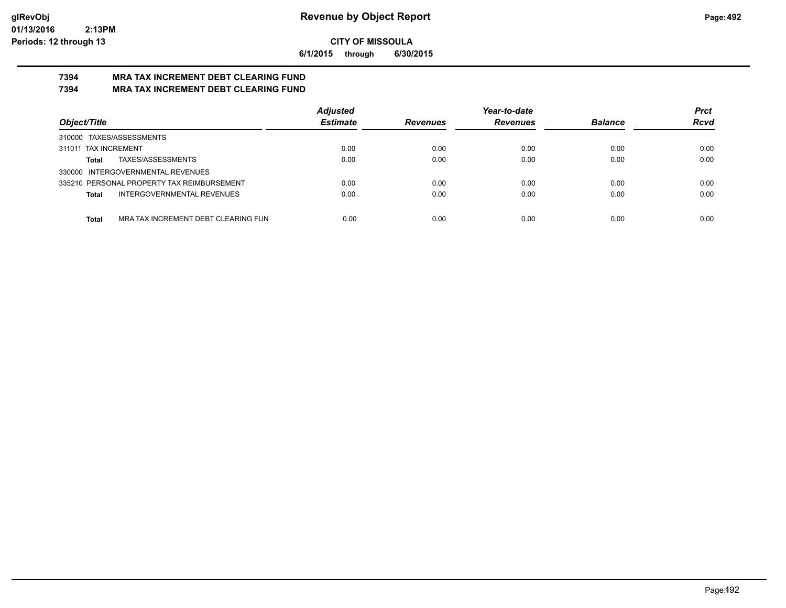**6/1/2015 through 6/30/2015**

## **7394 MRA TAX INCREMENT DEBT CLEARING FUND**

## **7394 MRA TAX INCREMENT DEBT CLEARING FUND**

|                                                     | <b>Adjusted</b> |                 | Year-to-date    |                | <b>Prct</b> |
|-----------------------------------------------------|-----------------|-----------------|-----------------|----------------|-------------|
| Object/Title                                        | <b>Estimate</b> | <b>Revenues</b> | <b>Revenues</b> | <b>Balance</b> | <b>Rcvd</b> |
| 310000 TAXES/ASSESSMENTS                            |                 |                 |                 |                |             |
| 311011 TAX INCREMENT                                | 0.00            | 0.00            | 0.00            | 0.00           | 0.00        |
| TAXES/ASSESSMENTS<br>Total                          | 0.00            | 0.00            | 0.00            | 0.00           | 0.00        |
| 330000 INTERGOVERNMENTAL REVENUES                   |                 |                 |                 |                |             |
| 335210 PERSONAL PROPERTY TAX REIMBURSEMENT          | 0.00            | 0.00            | 0.00            | 0.00           | 0.00        |
| INTERGOVERNMENTAL REVENUES<br><b>Total</b>          | 0.00            | 0.00            | 0.00            | 0.00           | 0.00        |
|                                                     |                 |                 |                 |                |             |
| MRA TAX INCREMENT DEBT CLEARING FUN<br><b>Total</b> | 0.00            | 0.00            | 0.00            | 0.00           | 0.00        |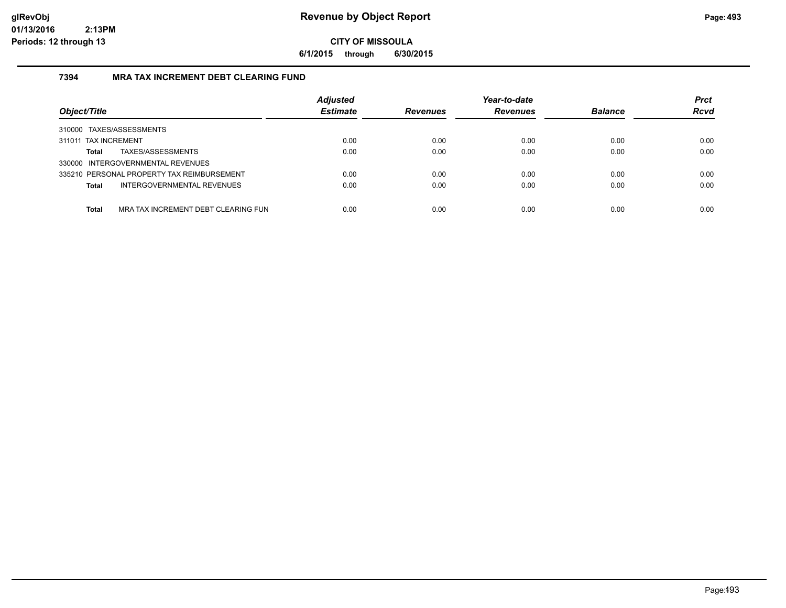**6/1/2015 through 6/30/2015**

## **7394 MRA TAX INCREMENT DEBT CLEARING FUND**

| Object/Title                                      | <b>Adjusted</b><br><b>Estimate</b> | <b>Revenues</b> | Year-to-date<br><b>Revenues</b> | <b>Balance</b> | <b>Prct</b><br><b>Rcvd</b> |
|---------------------------------------------------|------------------------------------|-----------------|---------------------------------|----------------|----------------------------|
| 310000 TAXES/ASSESSMENTS                          |                                    |                 |                                 |                |                            |
| 311011 TAX INCREMENT                              | 0.00                               | 0.00            | 0.00                            | 0.00           | 0.00                       |
| TAXES/ASSESSMENTS<br>Total                        | 0.00                               | 0.00            | 0.00                            | 0.00           | 0.00                       |
| 330000 INTERGOVERNMENTAL REVENUES                 |                                    |                 |                                 |                |                            |
| 335210 PERSONAL PROPERTY TAX REIMBURSEMENT        | 0.00                               | 0.00            | 0.00                            | 0.00           | 0.00                       |
| <b>INTERGOVERNMENTAL REVENUES</b><br><b>Total</b> | 0.00                               | 0.00            | 0.00                            | 0.00           | 0.00                       |
|                                                   |                                    |                 |                                 |                |                            |
| MRA TAX INCREMENT DEBT CLEARING FUN<br>Total      | 0.00                               | 0.00            | 0.00                            | 0.00           | 0.00                       |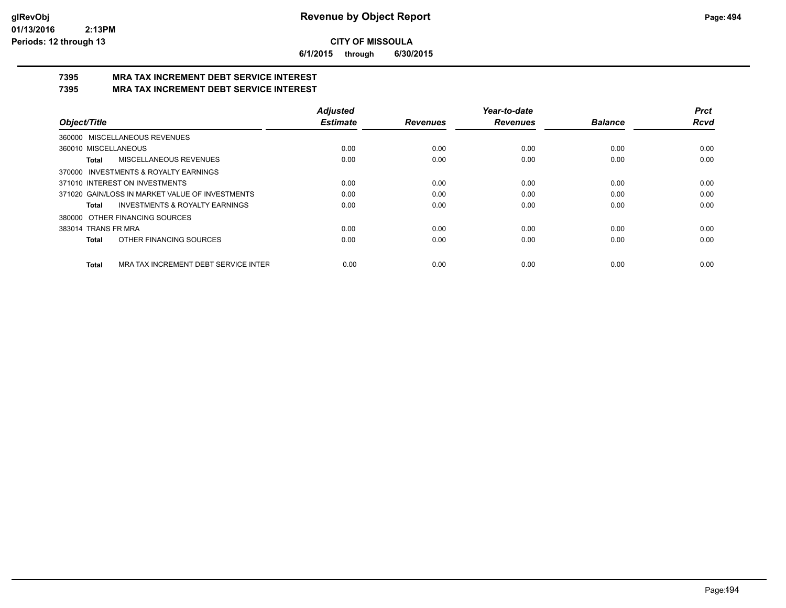**6/1/2015 through 6/30/2015**

# **7395 MRA TAX INCREMENT DEBT SERVICE INTEREST**

| 7395 | <b>MRA TAX INCREMENT DEBT SERVICE INTEREST</b> |  |
|------|------------------------------------------------|--|
|      |                                                |  |

|                                                    | <b>Adjusted</b> |                 | Year-to-date    |                | <b>Prct</b> |
|----------------------------------------------------|-----------------|-----------------|-----------------|----------------|-------------|
| Object/Title                                       | <b>Estimate</b> | <b>Revenues</b> | <b>Revenues</b> | <b>Balance</b> | <b>Rcvd</b> |
| 360000 MISCELLANEOUS REVENUES                      |                 |                 |                 |                |             |
| 360010 MISCELLANEOUS                               | 0.00            | 0.00            | 0.00            | 0.00           | 0.00        |
| MISCELLANEOUS REVENUES<br>Total                    | 0.00            | 0.00            | 0.00            | 0.00           | 0.00        |
| 370000 INVESTMENTS & ROYALTY EARNINGS              |                 |                 |                 |                |             |
| 371010 INTEREST ON INVESTMENTS                     | 0.00            | 0.00            | 0.00            | 0.00           | 0.00        |
| 371020 GAIN/LOSS IN MARKET VALUE OF INVESTMENTS    | 0.00            | 0.00            | 0.00            | 0.00           | 0.00        |
| <b>INVESTMENTS &amp; ROYALTY EARNINGS</b><br>Total | 0.00            | 0.00            | 0.00            | 0.00           | 0.00        |
| 380000 OTHER FINANCING SOURCES                     |                 |                 |                 |                |             |
| 383014 TRANS FR MRA                                | 0.00            | 0.00            | 0.00            | 0.00           | 0.00        |
| OTHER FINANCING SOURCES<br>Total                   | 0.00            | 0.00            | 0.00            | 0.00           | 0.00        |
| MRA TAX INCREMENT DEBT SERVICE INTER<br>Total      | 0.00            | 0.00            | 0.00            | 0.00           | 0.00        |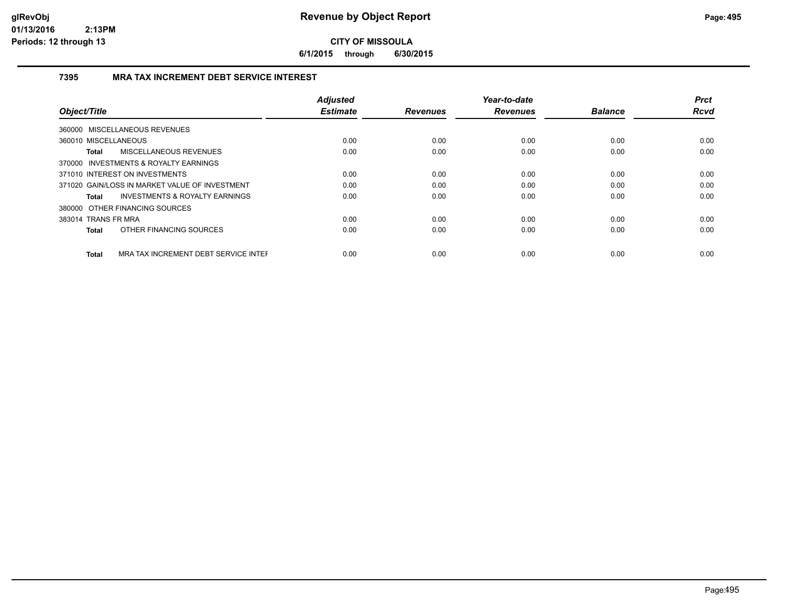**6/1/2015 through 6/30/2015**

## **7395 MRA TAX INCREMENT DEBT SERVICE INTEREST**

| Object/Title                                         | <b>Adjusted</b><br><b>Estimate</b> | <b>Revenues</b> | Year-to-date<br><b>Revenues</b> | <b>Balance</b> | <b>Prct</b><br><b>Rcvd</b> |
|------------------------------------------------------|------------------------------------|-----------------|---------------------------------|----------------|----------------------------|
| 360000 MISCELLANEOUS REVENUES                        |                                    |                 |                                 |                |                            |
| 360010 MISCELLANEOUS                                 | 0.00                               | 0.00            | 0.00                            | 0.00           | 0.00                       |
| MISCELLANEOUS REVENUES<br><b>Total</b>               | 0.00                               | 0.00            | 0.00                            | 0.00           | 0.00                       |
| 370000 INVESTMENTS & ROYALTY EARNINGS                |                                    |                 |                                 |                |                            |
| 371010 INTEREST ON INVESTMENTS                       | 0.00                               | 0.00            | 0.00                            | 0.00           | 0.00                       |
| 371020 GAIN/LOSS IN MARKET VALUE OF INVESTMENT       | 0.00                               | 0.00            | 0.00                            | 0.00           | 0.00                       |
| INVESTMENTS & ROYALTY EARNINGS<br>Total              | 0.00                               | 0.00            | 0.00                            | 0.00           | 0.00                       |
| 380000 OTHER FINANCING SOURCES                       |                                    |                 |                                 |                |                            |
| 383014 TRANS FR MRA                                  | 0.00                               | 0.00            | 0.00                            | 0.00           | 0.00                       |
| OTHER FINANCING SOURCES<br>Total                     | 0.00                               | 0.00            | 0.00                            | 0.00           | 0.00                       |
|                                                      |                                    |                 |                                 |                |                            |
| MRA TAX INCREMENT DEBT SERVICE INTEF<br><b>Total</b> | 0.00                               | 0.00            | 0.00                            | 0.00           | 0.00                       |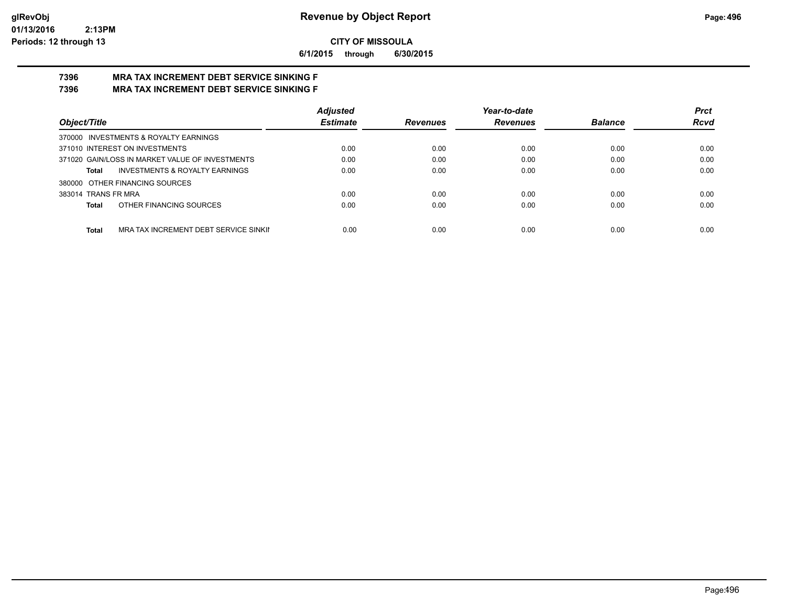**6/1/2015 through 6/30/2015**

#### **7396 MRA TAX INCREMENT DEBT SERVICE SINKING F 7396 MRA TAX INCREMENT DEBT SERVICE SINKING F**

|                                                 | <b>Adiusted</b> |                 | Year-to-date    |                | <b>Prct</b> |
|-------------------------------------------------|-----------------|-----------------|-----------------|----------------|-------------|
| Object/Title                                    | <b>Estimate</b> | <b>Revenues</b> | <b>Revenues</b> | <b>Balance</b> | <b>Rcvd</b> |
| 370000 INVESTMENTS & ROYALTY EARNINGS           |                 |                 |                 |                |             |
| 371010 INTEREST ON INVESTMENTS                  | 0.00            | 0.00            | 0.00            | 0.00           | 0.00        |
| 371020 GAIN/LOSS IN MARKET VALUE OF INVESTMENTS | 0.00            | 0.00            | 0.00            | 0.00           | 0.00        |
| INVESTMENTS & ROYALTY EARNINGS<br>Total         | 0.00            | 0.00            | 0.00            | 0.00           | 0.00        |
| 380000 OTHER FINANCING SOURCES                  |                 |                 |                 |                |             |
| 383014 TRANS FR MRA                             | 0.00            | 0.00            | 0.00            | 0.00           | 0.00        |
| OTHER FINANCING SOURCES<br>Total                | 0.00            | 0.00            | 0.00            | 0.00           | 0.00        |
|                                                 |                 |                 |                 |                |             |
| Total<br>MRA TAX INCREMENT DEBT SERVICE SINKII  | 0.00            | 0.00            | 0.00            | 0.00           | 0.00        |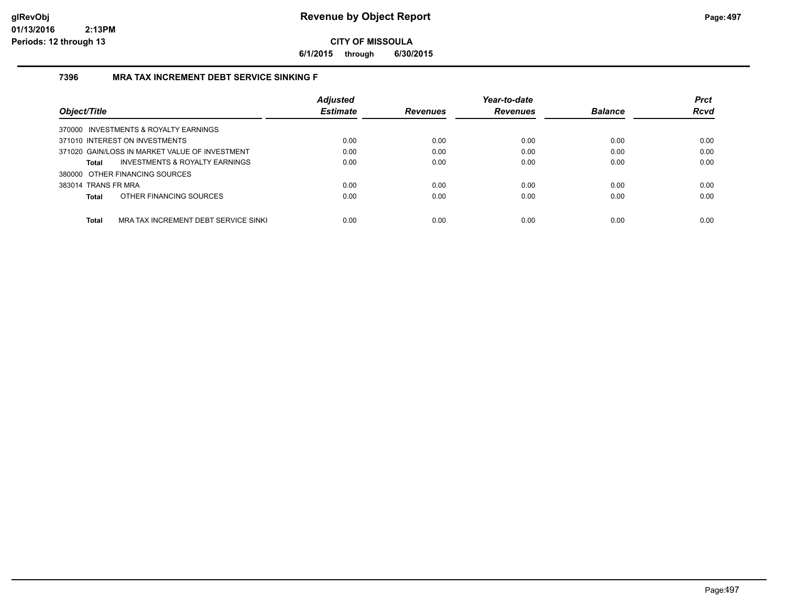**6/1/2015 through 6/30/2015**

## **7396 MRA TAX INCREMENT DEBT SERVICE SINKING F**

| Object/Title                                         | <b>Adjusted</b><br><b>Estimate</b> | <b>Revenues</b> | Year-to-date<br><b>Revenues</b> | <b>Balance</b> | <b>Prct</b><br><b>Rcvd</b> |
|------------------------------------------------------|------------------------------------|-----------------|---------------------------------|----------------|----------------------------|
| 370000 INVESTMENTS & ROYALTY EARNINGS                |                                    |                 |                                 |                |                            |
| 371010 INTEREST ON INVESTMENTS                       | 0.00                               | 0.00            | 0.00                            | 0.00           | 0.00                       |
| 371020 GAIN/LOSS IN MARKET VALUE OF INVESTMENT       | 0.00                               | 0.00            | 0.00                            | 0.00           | 0.00                       |
| INVESTMENTS & ROYALTY EARNINGS<br>Total              | 0.00                               | 0.00            | 0.00                            | 0.00           | 0.00                       |
| 380000 OTHER FINANCING SOURCES                       |                                    |                 |                                 |                |                            |
| 383014 TRANS FR MRA                                  | 0.00                               | 0.00            | 0.00                            | 0.00           | 0.00                       |
| OTHER FINANCING SOURCES<br><b>Total</b>              | 0.00                               | 0.00            | 0.00                            | 0.00           | 0.00                       |
|                                                      |                                    |                 |                                 |                |                            |
| <b>Total</b><br>MRA TAX INCREMENT DEBT SERVICE SINKI | 0.00                               | 0.00            | 0.00                            | 0.00           | 0.00                       |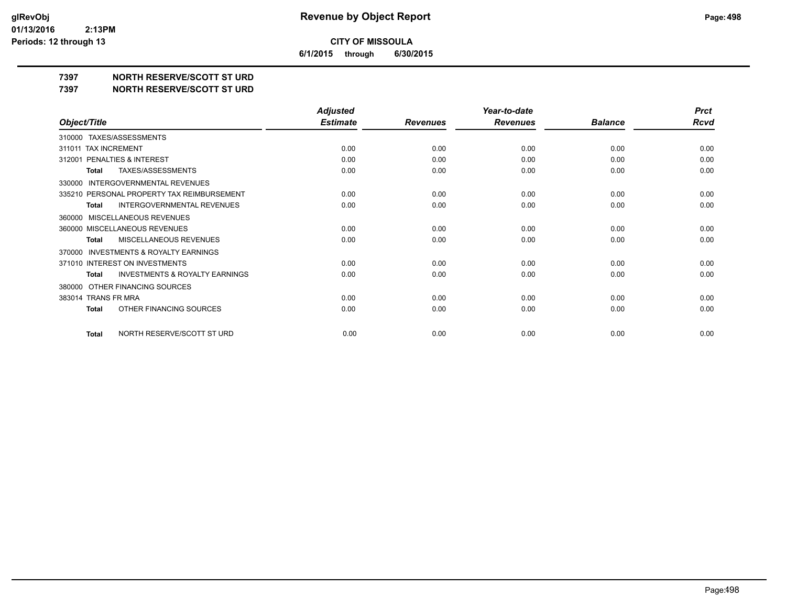**6/1/2015 through 6/30/2015**

## **7397 NORTH RESERVE/SCOTT ST URD**

**7397 NORTH RESERVE/SCOTT ST URD**

|                                                           | <b>Adjusted</b> |                 | Year-to-date    |                | <b>Prct</b> |
|-----------------------------------------------------------|-----------------|-----------------|-----------------|----------------|-------------|
| Object/Title                                              | <b>Estimate</b> | <b>Revenues</b> | <b>Revenues</b> | <b>Balance</b> | <b>Rcvd</b> |
| 310000 TAXES/ASSESSMENTS                                  |                 |                 |                 |                |             |
| <b>TAX INCREMENT</b><br>311011                            | 0.00            | 0.00            | 0.00            | 0.00           | 0.00        |
| PENALTIES & INTEREST<br>312001                            | 0.00            | 0.00            | 0.00            | 0.00           | 0.00        |
| TAXES/ASSESSMENTS<br><b>Total</b>                         | 0.00            | 0.00            | 0.00            | 0.00           | 0.00        |
| <b>INTERGOVERNMENTAL REVENUES</b><br>330000               |                 |                 |                 |                |             |
| 335210 PERSONAL PROPERTY TAX REIMBURSEMENT                | 0.00            | 0.00            | 0.00            | 0.00           | 0.00        |
| <b>INTERGOVERNMENTAL REVENUES</b><br><b>Total</b>         | 0.00            | 0.00            | 0.00            | 0.00           | 0.00        |
| 360000 MISCELLANEOUS REVENUES                             |                 |                 |                 |                |             |
| 360000 MISCELLANEOUS REVENUES                             | 0.00            | 0.00            | 0.00            | 0.00           | 0.00        |
| <b>MISCELLANEOUS REVENUES</b><br>Total                    | 0.00            | 0.00            | 0.00            | 0.00           | 0.00        |
| INVESTMENTS & ROYALTY EARNINGS<br>370000                  |                 |                 |                 |                |             |
| 371010 INTEREST ON INVESTMENTS                            | 0.00            | 0.00            | 0.00            | 0.00           | 0.00        |
| <b>INVESTMENTS &amp; ROYALTY EARNINGS</b><br><b>Total</b> | 0.00            | 0.00            | 0.00            | 0.00           | 0.00        |
| OTHER FINANCING SOURCES<br>380000                         |                 |                 |                 |                |             |
| 383014 TRANS FR MRA                                       | 0.00            | 0.00            | 0.00            | 0.00           | 0.00        |
| OTHER FINANCING SOURCES<br><b>Total</b>                   | 0.00            | 0.00            | 0.00            | 0.00           | 0.00        |
| NORTH RESERVE/SCOTT ST URD<br><b>Total</b>                | 0.00            | 0.00            | 0.00            | 0.00           | 0.00        |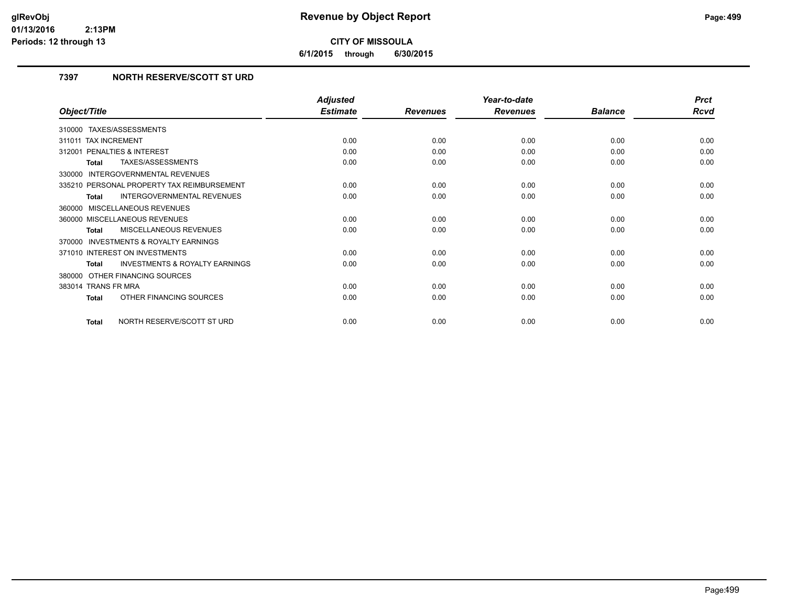**6/1/2015 through 6/30/2015**

## **7397 NORTH RESERVE/SCOTT ST URD**

|                                                           | <b>Adjusted</b> |                 | Year-to-date    |                | <b>Prct</b> |
|-----------------------------------------------------------|-----------------|-----------------|-----------------|----------------|-------------|
| Object/Title                                              | <b>Estimate</b> | <b>Revenues</b> | <b>Revenues</b> | <b>Balance</b> | <b>Rcvd</b> |
| TAXES/ASSESSMENTS<br>310000                               |                 |                 |                 |                |             |
| 311011 TAX INCREMENT                                      | 0.00            | 0.00            | 0.00            | 0.00           | 0.00        |
| PENALTIES & INTEREST<br>312001                            | 0.00            | 0.00            | 0.00            | 0.00           | 0.00        |
| TAXES/ASSESSMENTS<br><b>Total</b>                         | 0.00            | 0.00            | 0.00            | 0.00           | 0.00        |
| 330000 INTERGOVERNMENTAL REVENUES                         |                 |                 |                 |                |             |
| 335210 PERSONAL PROPERTY TAX REIMBURSEMENT                | 0.00            | 0.00            | 0.00            | 0.00           | 0.00        |
| <b>INTERGOVERNMENTAL REVENUES</b><br><b>Total</b>         | 0.00            | 0.00            | 0.00            | 0.00           | 0.00        |
| 360000 MISCELLANEOUS REVENUES                             |                 |                 |                 |                |             |
| 360000 MISCELLANEOUS REVENUES                             | 0.00            | 0.00            | 0.00            | 0.00           | 0.00        |
| <b>MISCELLANEOUS REVENUES</b><br><b>Total</b>             | 0.00            | 0.00            | 0.00            | 0.00           | 0.00        |
| 370000 INVESTMENTS & ROYALTY EARNINGS                     |                 |                 |                 |                |             |
| 371010 INTEREST ON INVESTMENTS                            | 0.00            | 0.00            | 0.00            | 0.00           | 0.00        |
| <b>INVESTMENTS &amp; ROYALTY EARNINGS</b><br><b>Total</b> | 0.00            | 0.00            | 0.00            | 0.00           | 0.00        |
| 380000 OTHER FINANCING SOURCES                            |                 |                 |                 |                |             |
| 383014 TRANS FR MRA                                       | 0.00            | 0.00            | 0.00            | 0.00           | 0.00        |
| OTHER FINANCING SOURCES<br><b>Total</b>                   | 0.00            | 0.00            | 0.00            | 0.00           | 0.00        |
| NORTH RESERVE/SCOTT ST URD<br><b>Total</b>                | 0.00            | 0.00            | 0.00            | 0.00           | 0.00        |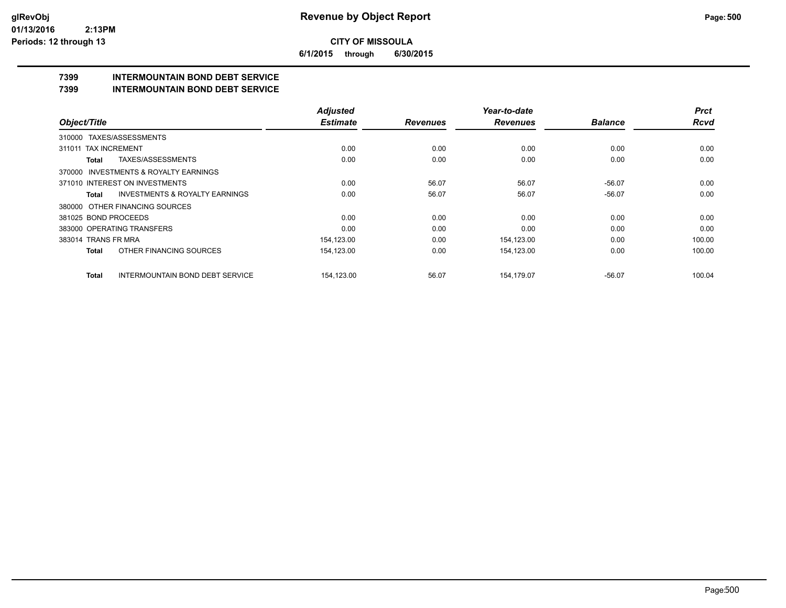**6/1/2015 through 6/30/2015**

## **7399 INTERMOUNTAIN BOND DEBT SERVICE**

**7399 INTERMOUNTAIN BOND DEBT SERVICE**

|                      |                                           | <b>Adjusted</b> |                 | Year-to-date    |                | <b>Prct</b> |
|----------------------|-------------------------------------------|-----------------|-----------------|-----------------|----------------|-------------|
| Object/Title         |                                           | <b>Estimate</b> | <b>Revenues</b> | <b>Revenues</b> | <b>Balance</b> | <b>Rcvd</b> |
|                      | 310000 TAXES/ASSESSMENTS                  |                 |                 |                 |                |             |
| 311011               | <b>TAX INCREMENT</b>                      | 0.00            | 0.00            | 0.00            | 0.00           | 0.00        |
| Total                | TAXES/ASSESSMENTS                         | 0.00            | 0.00            | 0.00            | 0.00           | 0.00        |
|                      | 370000 INVESTMENTS & ROYALTY EARNINGS     |                 |                 |                 |                |             |
|                      | 371010 INTEREST ON INVESTMENTS            | 0.00            | 56.07           | 56.07           | $-56.07$       | 0.00        |
| Total                | <b>INVESTMENTS &amp; ROYALTY EARNINGS</b> | 0.00            | 56.07           | 56.07           | $-56.07$       | 0.00        |
|                      | 380000 OTHER FINANCING SOURCES            |                 |                 |                 |                |             |
| 381025 BOND PROCEEDS |                                           | 0.00            | 0.00            | 0.00            | 0.00           | 0.00        |
|                      | 383000 OPERATING TRANSFERS                | 0.00            | 0.00            | 0.00            | 0.00           | 0.00        |
| 383014 TRANS FR MRA  |                                           | 154,123.00      | 0.00            | 154,123.00      | 0.00           | 100.00      |
| Total                | OTHER FINANCING SOURCES                   | 154,123.00      | 0.00            | 154,123.00      | 0.00           | 100.00      |
| Total                | <b>INTERMOUNTAIN BOND DEBT SERVICE</b>    | 154,123.00      | 56.07           | 154.179.07      | $-56.07$       | 100.04      |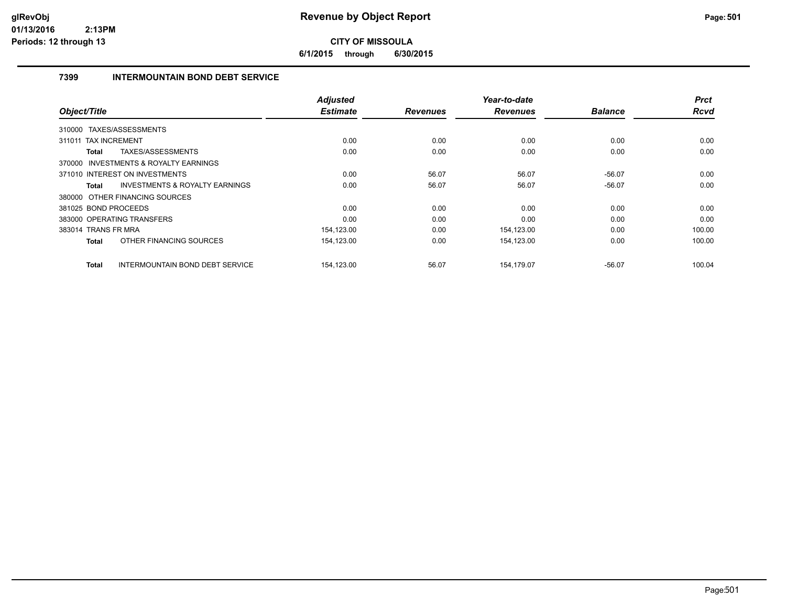**6/1/2015 through 6/30/2015**

## **7399 INTERMOUNTAIN BOND DEBT SERVICE**

| Object/Title                                           | <b>Adjusted</b> |                 | Year-to-date    |                | <b>Prct</b> |
|--------------------------------------------------------|-----------------|-----------------|-----------------|----------------|-------------|
|                                                        | <b>Estimate</b> | <b>Revenues</b> | <b>Revenues</b> | <b>Balance</b> | <b>Rcvd</b> |
| 310000 TAXES/ASSESSMENTS                               |                 |                 |                 |                |             |
| 311011 TAX INCREMENT                                   | 0.00            | 0.00            | 0.00            | 0.00           | 0.00        |
| TAXES/ASSESSMENTS<br><b>Total</b>                      | 0.00            | 0.00            | 0.00            | 0.00           | 0.00        |
| 370000 INVESTMENTS & ROYALTY EARNINGS                  |                 |                 |                 |                |             |
| 371010 INTEREST ON INVESTMENTS                         | 0.00            | 56.07           | 56.07           | $-56.07$       | 0.00        |
| <b>INVESTMENTS &amp; ROYALTY EARNINGS</b><br>Total     | 0.00            | 56.07           | 56.07           | $-56.07$       | 0.00        |
| 380000 OTHER FINANCING SOURCES                         |                 |                 |                 |                |             |
| 381025 BOND PROCEEDS                                   | 0.00            | 0.00            | 0.00            | 0.00           | 0.00        |
| 383000 OPERATING TRANSFERS                             | 0.00            | 0.00            | 0.00            | 0.00           | 0.00        |
| 383014 TRANS FR MRA                                    | 154,123.00      | 0.00            | 154,123.00      | 0.00           | 100.00      |
| OTHER FINANCING SOURCES<br><b>Total</b>                | 154,123.00      | 0.00            | 154,123.00      | 0.00           | 100.00      |
| <b>INTERMOUNTAIN BOND DEBT SERVICE</b><br><b>Total</b> | 154,123.00      | 56.07           | 154,179.07      | $-56.07$       | 100.04      |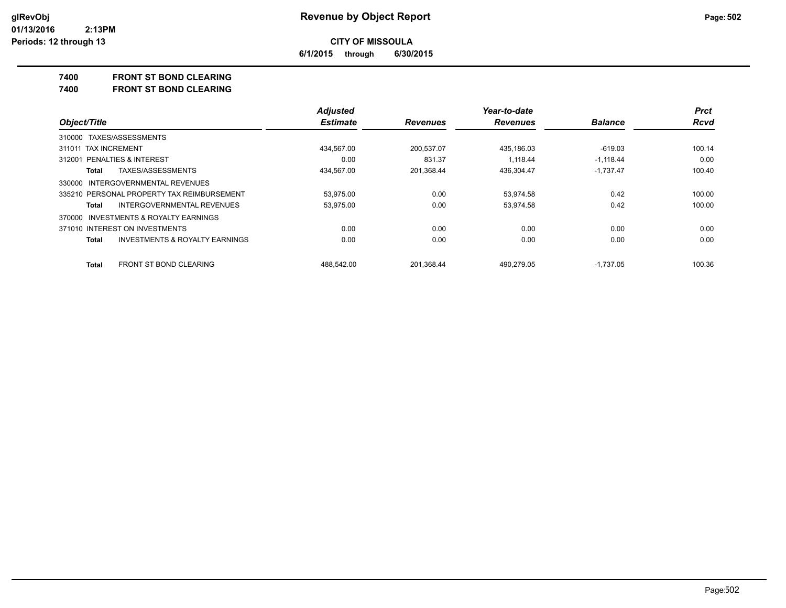**6/1/2015 through 6/30/2015**

## **7400 FRONT ST BOND CLEARING**

**7400 FRONT ST BOND CLEARING**

|                                                    | <b>Adjusted</b> |                 | Year-to-date<br><b>Revenues</b> | <b>Balance</b> | <b>Prct</b><br>Rcvd |
|----------------------------------------------------|-----------------|-----------------|---------------------------------|----------------|---------------------|
| Object/Title                                       | <b>Estimate</b> | <b>Revenues</b> |                                 |                |                     |
| 310000 TAXES/ASSESSMENTS                           |                 |                 |                                 |                |                     |
| 311011 TAX INCREMENT                               | 434.567.00      | 200.537.07      | 435.186.03                      | $-619.03$      | 100.14              |
| <b>PENALTIES &amp; INTEREST</b><br>312001          | 0.00            | 831.37          | 1.118.44                        | $-1.118.44$    | 0.00                |
| TAXES/ASSESSMENTS<br>Total                         | 434.567.00      | 201,368.44      | 436.304.47                      | $-1.737.47$    | 100.40              |
| 330000 INTERGOVERNMENTAL REVENUES                  |                 |                 |                                 |                |                     |
| 335210 PERSONAL PROPERTY TAX REIMBURSEMENT         | 53.975.00       | 0.00            | 53.974.58                       | 0.42           | 100.00              |
| INTERGOVERNMENTAL REVENUES<br>Total                | 53.975.00       | 0.00            | 53.974.58                       | 0.42           | 100.00              |
| 370000 INVESTMENTS & ROYALTY EARNINGS              |                 |                 |                                 |                |                     |
| 371010 INTEREST ON INVESTMENTS                     | 0.00            | 0.00            | 0.00                            | 0.00           | 0.00                |
| <b>INVESTMENTS &amp; ROYALTY EARNINGS</b><br>Total | 0.00            | 0.00            | 0.00                            | 0.00           | 0.00                |
| FRONT ST BOND CLEARING<br><b>Total</b>             | 488.542.00      | 201,368.44      | 490.279.05                      | $-1,737.05$    | 100.36              |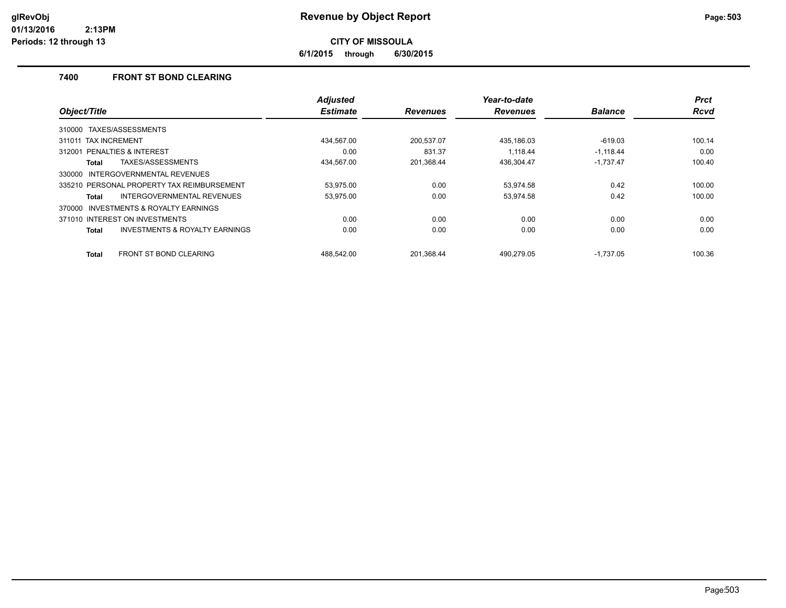**6/1/2015 through 6/30/2015**

## **7400 FRONT ST BOND CLEARING**

| Object/Title                                  | <b>Adjusted</b><br><b>Estimate</b> |                 | Year-to-date<br><b>Revenues</b> | <b>Balance</b> | <b>Prct</b><br><b>Rcvd</b> |
|-----------------------------------------------|------------------------------------|-----------------|---------------------------------|----------------|----------------------------|
|                                               |                                    | <b>Revenues</b> |                                 |                |                            |
| TAXES/ASSESSMENTS<br>310000                   |                                    |                 |                                 |                |                            |
| <b>TAX INCREMENT</b><br>311011                | 434,567.00                         | 200,537.07      | 435,186.03                      | $-619.03$      | 100.14                     |
| PENALTIES & INTEREST<br>312001                | 0.00                               | 831.37          | 1.118.44                        | $-1.118.44$    | 0.00                       |
| TAXES/ASSESSMENTS<br><b>Total</b>             | 434,567.00                         | 201,368.44      | 436,304.47                      | $-1.737.47$    | 100.40                     |
| INTERGOVERNMENTAL REVENUES<br>330000          |                                    |                 |                                 |                |                            |
| 335210 PERSONAL PROPERTY TAX REIMBURSEMENT    | 53,975.00                          | 0.00            | 53,974.58                       | 0.42           | 100.00                     |
| <b>INTERGOVERNMENTAL REVENUES</b><br>Total    | 53.975.00                          | 0.00            | 53.974.58                       | 0.42           | 100.00                     |
| 370000 INVESTMENTS & ROYALTY EARNINGS         |                                    |                 |                                 |                |                            |
| 371010 INTEREST ON INVESTMENTS                | 0.00                               | 0.00            | 0.00                            | 0.00           | 0.00                       |
| INVESTMENTS & ROYALTY EARNINGS<br>Total       | 0.00                               | 0.00            | 0.00                            | 0.00           | 0.00                       |
| <b>FRONT ST BOND CLEARING</b><br><b>Total</b> | 488.542.00                         | 201.368.44      | 490.279.05                      | $-1.737.05$    | 100.36                     |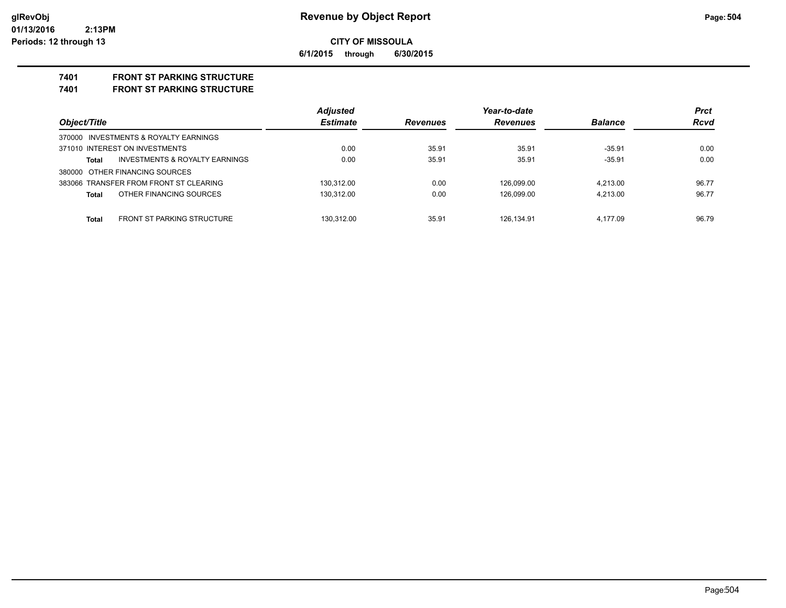**6/1/2015 through 6/30/2015**

## **7401 FRONT ST PARKING STRUCTURE**

**7401 FRONT ST PARKING STRUCTURE**

| Object/Title                               | <b>Adjusted</b> |                 | Year-to-date    |                | <b>Prct</b><br><b>Rcvd</b> |
|--------------------------------------------|-----------------|-----------------|-----------------|----------------|----------------------------|
|                                            | <b>Estimate</b> | <b>Revenues</b> | <b>Revenues</b> | <b>Balance</b> |                            |
| 370000 INVESTMENTS & ROYALTY EARNINGS      |                 |                 |                 |                |                            |
| 371010 INTEREST ON INVESTMENTS             | 0.00            | 35.91           | 35.91           | $-35.91$       | 0.00                       |
| INVESTMENTS & ROYALTY EARNINGS<br>Total    | 0.00            | 35.91           | 35.91           | $-35.91$       | 0.00                       |
| 380000 OTHER FINANCING SOURCES             |                 |                 |                 |                |                            |
| 383066 TRANSFER FROM FRONT ST CLEARING     | 130.312.00      | 0.00            | 126.099.00      | 4.213.00       | 96.77                      |
| OTHER FINANCING SOURCES<br><b>Total</b>    | 130.312.00      | 0.00            | 126.099.00      | 4.213.00       | 96.77                      |
| <b>FRONT ST PARKING STRUCTURE</b><br>Total | 130.312.00      | 35.91           | 126.134.91      | 4.177.09       | 96.79                      |
|                                            |                 |                 |                 |                |                            |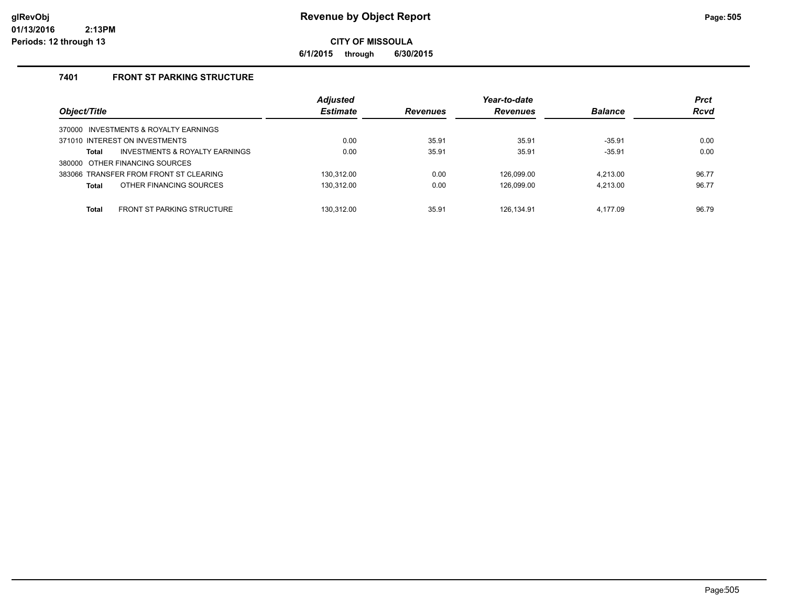**6/1/2015 through 6/30/2015**

#### **7401 FRONT ST PARKING STRUCTURE**

| Object/Title                                       | <b>Adjusted</b><br><b>Estimate</b> | <b>Revenues</b> | Year-to-date<br><b>Revenues</b> | <b>Balance</b> | <b>Prct</b><br><b>Rcvd</b> |
|----------------------------------------------------|------------------------------------|-----------------|---------------------------------|----------------|----------------------------|
|                                                    |                                    |                 |                                 |                |                            |
| 370000 INVESTMENTS & ROYALTY EARNINGS              |                                    |                 |                                 |                |                            |
| 371010 INTEREST ON INVESTMENTS                     | 0.00                               | 35.91           | 35.91                           | $-35.91$       | 0.00                       |
| <b>INVESTMENTS &amp; ROYALTY EARNINGS</b><br>Total | 0.00                               | 35.91           | 35.91                           | $-35.91$       | 0.00                       |
| 380000 OTHER FINANCING SOURCES                     |                                    |                 |                                 |                |                            |
| 383066 TRANSFER FROM FRONT ST CLEARING             | 130.312.00                         | 0.00            | 126.099.00                      | 4.213.00       | 96.77                      |
| OTHER FINANCING SOURCES<br>Total                   | 130,312.00                         | 0.00            | 126,099.00                      | 4,213.00       | 96.77                      |
|                                                    |                                    |                 |                                 |                |                            |
| <b>FRONT ST PARKING STRUCTURE</b><br><b>Total</b>  | 130.312.00                         | 35.91           | 126.134.91                      | 4.177.09       | 96.79                      |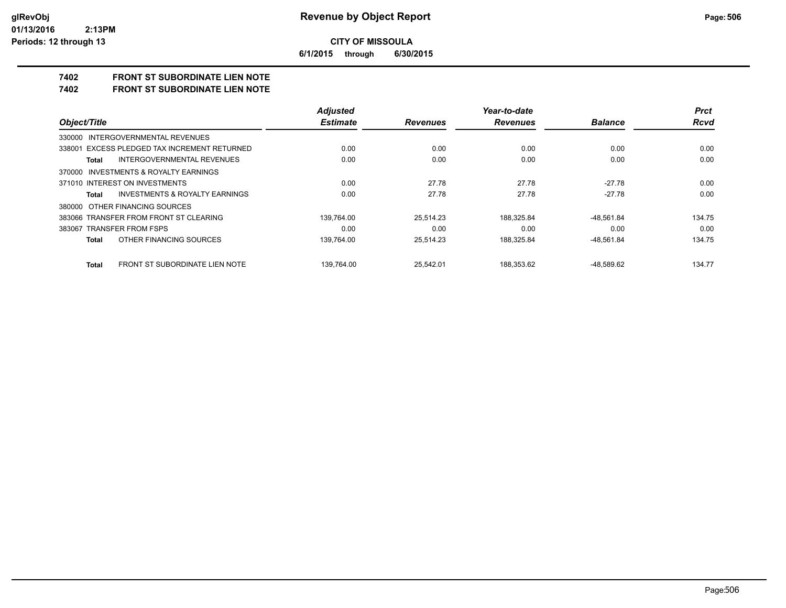**6/1/2015 through 6/30/2015**

## **7402 FRONT ST SUBORDINATE LIEN NOTE**

**7402 FRONT ST SUBORDINATE LIEN NOTE**

|                                                 | <b>Adjusted</b> |                 | Year-to-date    |                | <b>Prct</b> |
|-------------------------------------------------|-----------------|-----------------|-----------------|----------------|-------------|
| Object/Title                                    | <b>Estimate</b> | <b>Revenues</b> | <b>Revenues</b> | <b>Balance</b> | <b>Rcvd</b> |
| 330000 INTERGOVERNMENTAL REVENUES               |                 |                 |                 |                |             |
| EXCESS PLEDGED TAX INCREMENT RETURNED<br>338001 | 0.00            | 0.00            | 0.00            | 0.00           | 0.00        |
| INTERGOVERNMENTAL REVENUES<br>Total             | 0.00            | 0.00            | 0.00            | 0.00           | 0.00        |
| 370000 INVESTMENTS & ROYALTY EARNINGS           |                 |                 |                 |                |             |
| 371010 INTEREST ON INVESTMENTS                  | 0.00            | 27.78           | 27.78           | $-27.78$       | 0.00        |
| INVESTMENTS & ROYALTY EARNINGS<br>Total         | 0.00            | 27.78           | 27.78           | $-27.78$       | 0.00        |
| 380000 OTHER FINANCING SOURCES                  |                 |                 |                 |                |             |
| 383066 TRANSFER FROM FRONT ST CLEARING          | 139.764.00      | 25.514.23       | 188.325.84      | $-48,561.84$   | 134.75      |
| 383067 TRANSFER FROM FSPS                       | 0.00            | 0.00            | 0.00            | 0.00           | 0.00        |
| OTHER FINANCING SOURCES<br>Total                | 139,764.00      | 25.514.23       | 188,325.84      | $-48,561.84$   | 134.75      |
| <b>FRONT ST SUBORDINATE LIEN NOTE</b><br>Total  | 139.764.00      | 25.542.01       | 188.353.62      | -48.589.62     | 134.77      |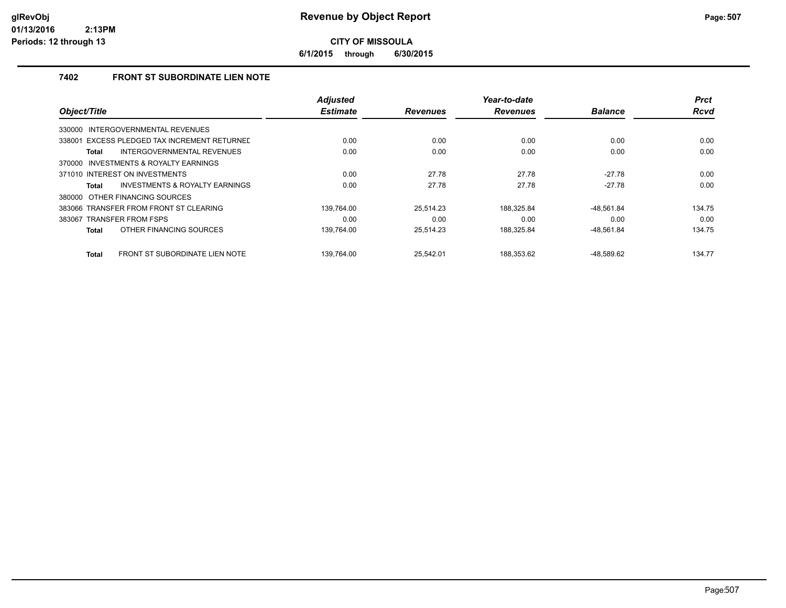**6/1/2015 through 6/30/2015**

#### **7402 FRONT ST SUBORDINATE LIEN NOTE**

|                                                   | <b>Adjusted</b> |                 | Year-to-date    |                | <b>Prct</b> |
|---------------------------------------------------|-----------------|-----------------|-----------------|----------------|-------------|
| Object/Title                                      | <b>Estimate</b> | <b>Revenues</b> | <b>Revenues</b> | <b>Balance</b> | <b>Rcvd</b> |
| INTERGOVERNMENTAL REVENUES<br>330000              |                 |                 |                 |                |             |
| 338001 EXCESS PLEDGED TAX INCREMENT RETURNED      | 0.00            | 0.00            | 0.00            | 0.00           | 0.00        |
| <b>INTERGOVERNMENTAL REVENUES</b><br><b>Total</b> | 0.00            | 0.00            | 0.00            | 0.00           | 0.00        |
| 370000 INVESTMENTS & ROYALTY EARNINGS             |                 |                 |                 |                |             |
| 371010 INTEREST ON INVESTMENTS                    | 0.00            | 27.78           | 27.78           | $-27.78$       | 0.00        |
| INVESTMENTS & ROYALTY EARNINGS<br><b>Total</b>    | 0.00            | 27.78           | 27.78           | $-27.78$       | 0.00        |
| 380000 OTHER FINANCING SOURCES                    |                 |                 |                 |                |             |
| 383066 TRANSFER FROM FRONT ST CLEARING            | 139.764.00      | 25.514.23       | 188.325.84      | $-48,561.84$   | 134.75      |
| 383067 TRANSFER FROM FSPS                         | 0.00            | 0.00            | 0.00            | 0.00           | 0.00        |
| OTHER FINANCING SOURCES<br><b>Total</b>           | 139,764.00      | 25,514.23       | 188,325.84      | $-48,561.84$   | 134.75      |
| FRONT ST SUBORDINATE LIEN NOTE<br><b>Total</b>    | 139.764.00      | 25.542.01       | 188.353.62      | $-48.589.62$   | 134.77      |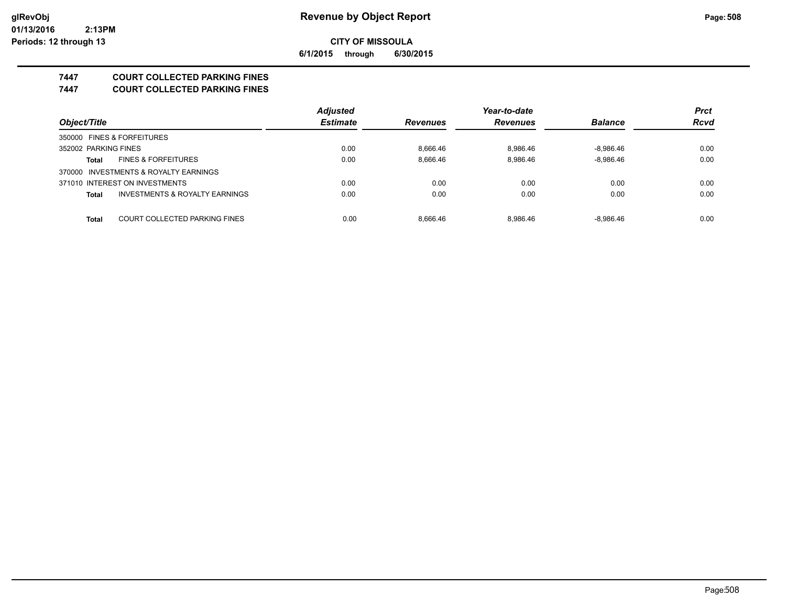**6/1/2015 through 6/30/2015**

## **7447 COURT COLLECTED PARKING FINES**

**7447 COURT COLLECTED PARKING FINES**

|                                                    | <b>Adjusted</b> |                 | Year-to-date    |                | <b>Prct</b> |
|----------------------------------------------------|-----------------|-----------------|-----------------|----------------|-------------|
| Object/Title                                       | <b>Estimate</b> | <b>Revenues</b> | <b>Revenues</b> | <b>Balance</b> | Rcvd        |
| 350000 FINES & FORFEITURES                         |                 |                 |                 |                |             |
| 352002 PARKING FINES                               | 0.00            | 8.666.46        | 8.986.46        | $-8.986.46$    | 0.00        |
| <b>FINES &amp; FORFEITURES</b><br>Total            | 0.00            | 8,666.46        | 8.986.46        | $-8.986.46$    | 0.00        |
| 370000 INVESTMENTS & ROYALTY EARNINGS              |                 |                 |                 |                |             |
| 371010 INTEREST ON INVESTMENTS                     | 0.00            | 0.00            | 0.00            | 0.00           | 0.00        |
| <b>INVESTMENTS &amp; ROYALTY EARNINGS</b><br>Total | 0.00            | 0.00            | 0.00            | 0.00           | 0.00        |
|                                                    |                 |                 |                 |                |             |
| COURT COLLECTED PARKING FINES<br><b>Total</b>      | 0.00            | 8.666.46        | 8.986.46        | $-8.986.46$    | 0.00        |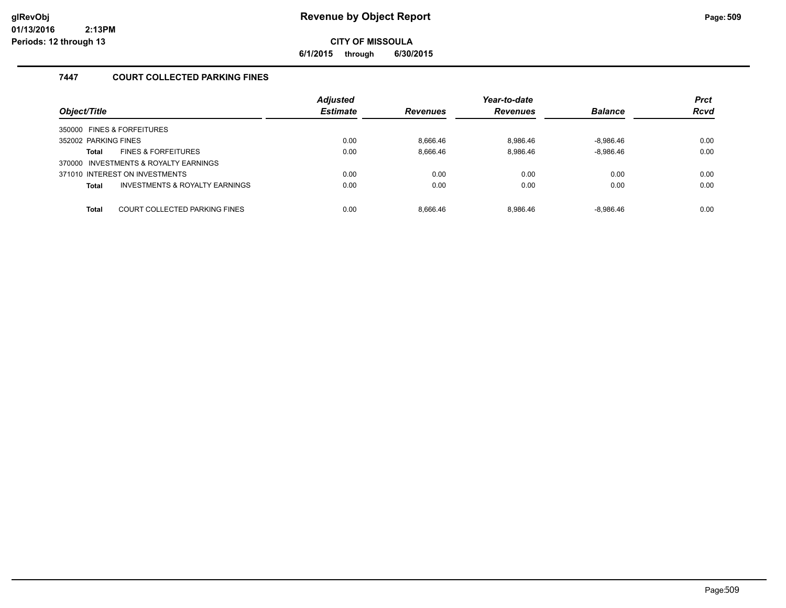**6/1/2015 through 6/30/2015**

#### **7447 COURT COLLECTED PARKING FINES**

| Object/Title                                              | <b>Adjusted</b><br><b>Estimate</b> | <b>Revenues</b> | Year-to-date<br><b>Revenues</b> | <b>Balance</b> | <b>Prct</b><br><b>Rcvd</b> |
|-----------------------------------------------------------|------------------------------------|-----------------|---------------------------------|----------------|----------------------------|
| <b>FINES &amp; FORFEITURES</b><br>350000                  |                                    |                 |                                 |                |                            |
| 352002 PARKING FINES                                      | 0.00                               | 8,666.46        | 8,986.46                        | $-8.986.46$    | 0.00                       |
| <b>FINES &amp; FORFEITURES</b><br>Total                   | 0.00                               | 8,666.46        | 8,986.46                        | $-8,986.46$    | 0.00                       |
| INVESTMENTS & ROYALTY EARNINGS<br>370000                  |                                    |                 |                                 |                |                            |
| 371010 INTEREST ON INVESTMENTS                            | 0.00                               | 0.00            | 0.00                            | 0.00           | 0.00                       |
| <b>INVESTMENTS &amp; ROYALTY EARNINGS</b><br><b>Total</b> | 0.00                               | 0.00            | 0.00                            | 0.00           | 0.00                       |
| <b>COURT COLLECTED PARKING FINES</b><br>Total             | 0.00                               | 8.666.46        | 8.986.46                        | $-8.986.46$    | 0.00                       |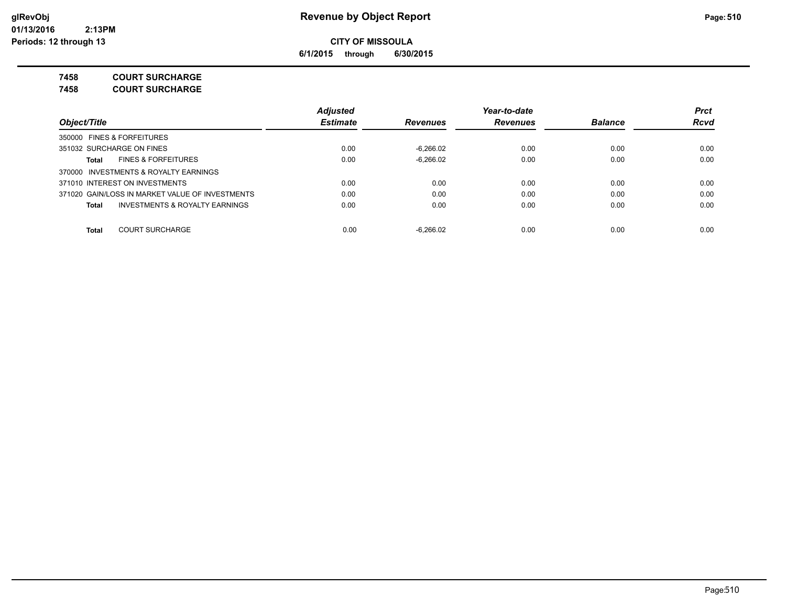**6/1/2015 through 6/30/2015**

**7458 COURT SURCHARGE**

**7458 COURT SURCHARGE**

|                                                    | <b>Adjusted</b> |                 | Year-to-date    |                | <b>Prct</b> |
|----------------------------------------------------|-----------------|-----------------|-----------------|----------------|-------------|
| Object/Title                                       | <b>Estimate</b> | <b>Revenues</b> | <b>Revenues</b> | <b>Balance</b> | <b>Rcvd</b> |
| 350000 FINES & FORFEITURES                         |                 |                 |                 |                |             |
| 351032 SURCHARGE ON FINES                          | 0.00            | $-6.266.02$     | 0.00            | 0.00           | 0.00        |
| <b>FINES &amp; FORFEITURES</b><br>Total            | 0.00            | $-6.266.02$     | 0.00            | 0.00           | 0.00        |
| 370000 INVESTMENTS & ROYALTY EARNINGS              |                 |                 |                 |                |             |
| 371010 INTEREST ON INVESTMENTS                     | 0.00            | 0.00            | 0.00            | 0.00           | 0.00        |
| 371020 GAIN/LOSS IN MARKET VALUE OF INVESTMENTS    | 0.00            | 0.00            | 0.00            | 0.00           | 0.00        |
| <b>INVESTMENTS &amp; ROYALTY EARNINGS</b><br>Total | 0.00            | 0.00            | 0.00            | 0.00           | 0.00        |
| <b>COURT SURCHARGE</b><br><b>Total</b>             | 0.00            | $-6.266.02$     | 0.00            | 0.00           | 0.00        |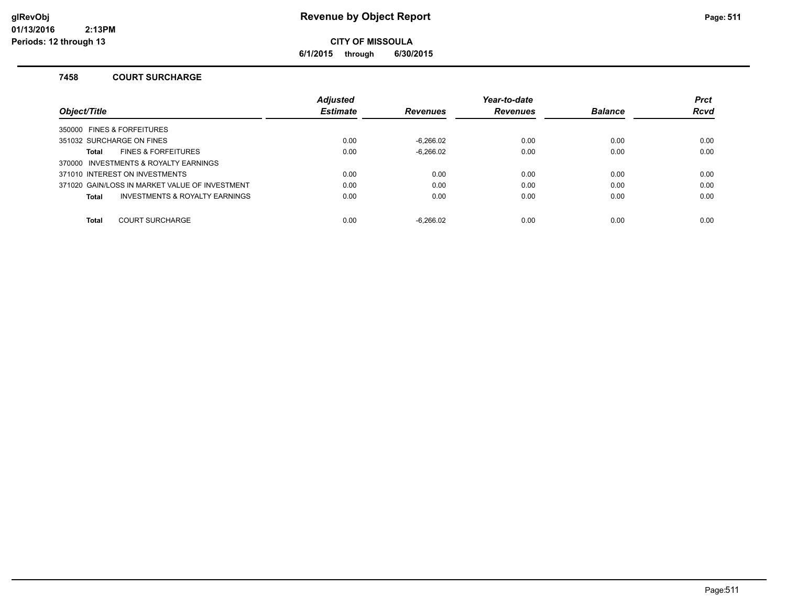**6/1/2015 through 6/30/2015**

#### **7458 COURT SURCHARGE**

| Object/Title                                   | <b>Adjusted</b><br><b>Estimate</b> | <b>Revenues</b> | Year-to-date<br><b>Revenues</b> | <b>Balance</b> | <b>Prct</b><br><b>Rcvd</b> |
|------------------------------------------------|------------------------------------|-----------------|---------------------------------|----------------|----------------------------|
|                                                |                                    |                 |                                 |                |                            |
| 350000 FINES & FORFEITURES                     |                                    |                 |                                 |                |                            |
| 351032 SURCHARGE ON FINES                      | 0.00                               | $-6.266.02$     | 0.00                            | 0.00           | 0.00                       |
| <b>FINES &amp; FORFEITURES</b><br>Total        | 0.00                               | $-6.266.02$     | 0.00                            | 0.00           | 0.00                       |
| 370000 INVESTMENTS & ROYALTY EARNINGS          |                                    |                 |                                 |                |                            |
| 371010 INTEREST ON INVESTMENTS                 | 0.00                               | 0.00            | 0.00                            | 0.00           | 0.00                       |
| 371020 GAIN/LOSS IN MARKET VALUE OF INVESTMENT | 0.00                               | 0.00            | 0.00                            | 0.00           | 0.00                       |
| INVESTMENTS & ROYALTY EARNINGS<br>Total        | 0.00                               | 0.00            | 0.00                            | 0.00           | 0.00                       |
|                                                |                                    |                 |                                 |                |                            |
| Total<br><b>COURT SURCHARGE</b>                | 0.00                               | $-6.266.02$     | 0.00                            | 0.00           | 0.00                       |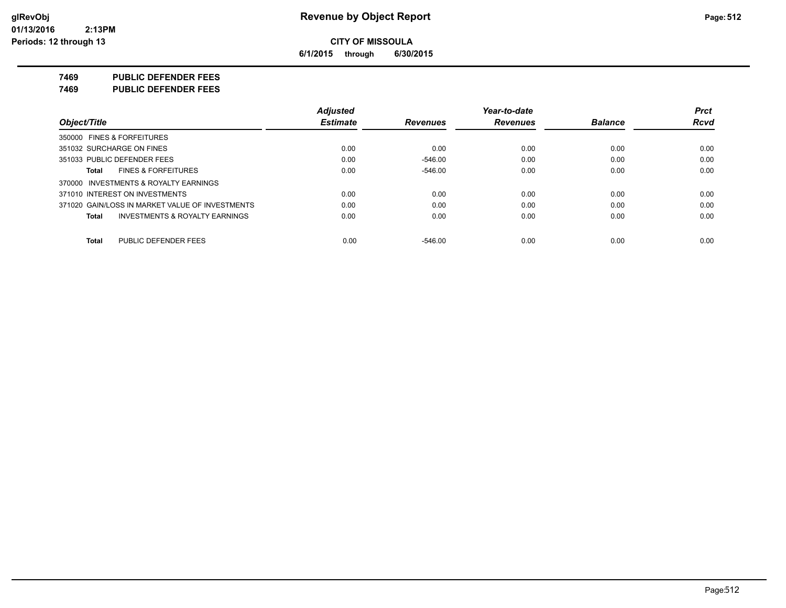**6/1/2015 through 6/30/2015**

**7469 PUBLIC DEFENDER FEES**

**7469 PUBLIC DEFENDER FEES**

|                                                    | <b>Adjusted</b> |                 | Year-to-date    |                | <b>Prct</b> |
|----------------------------------------------------|-----------------|-----------------|-----------------|----------------|-------------|
| Object/Title                                       | <b>Estimate</b> | <b>Revenues</b> | <b>Revenues</b> | <b>Balance</b> | <b>Rcvd</b> |
| 350000 FINES & FORFEITURES                         |                 |                 |                 |                |             |
| 351032 SURCHARGE ON FINES                          | 0.00            | 0.00            | 0.00            | 0.00           | 0.00        |
| 351033 PUBLIC DEFENDER FEES                        | 0.00            | $-546.00$       | 0.00            | 0.00           | 0.00        |
| <b>FINES &amp; FORFEITURES</b><br>Total            | 0.00            | $-546.00$       | 0.00            | 0.00           | 0.00        |
| 370000 INVESTMENTS & ROYALTY EARNINGS              |                 |                 |                 |                |             |
| 371010 INTEREST ON INVESTMENTS                     | 0.00            | 0.00            | 0.00            | 0.00           | 0.00        |
| 371020 GAIN/LOSS IN MARKET VALUE OF INVESTMENTS    | 0.00            | 0.00            | 0.00            | 0.00           | 0.00        |
| <b>INVESTMENTS &amp; ROYALTY EARNINGS</b><br>Total | 0.00            | 0.00            | 0.00            | 0.00           | 0.00        |
| PUBLIC DEFENDER FEES<br><b>Total</b>               | 0.00            | $-546.00$       | 0.00            | 0.00           | 0.00        |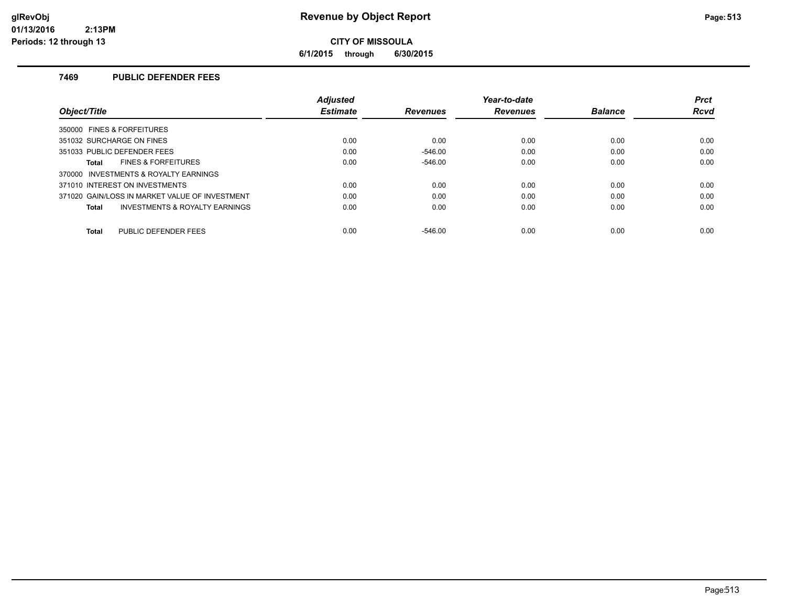**6/1/2015 through 6/30/2015**

#### **7469 PUBLIC DEFENDER FEES**

|                                                | <b>Adiusted</b> |                 | Year-to-date    |                | <b>Prct</b> |
|------------------------------------------------|-----------------|-----------------|-----------------|----------------|-------------|
| Object/Title                                   | <b>Estimate</b> | <b>Revenues</b> | <b>Revenues</b> | <b>Balance</b> | <b>Rcvd</b> |
| 350000 FINES & FORFEITURES                     |                 |                 |                 |                |             |
| 351032 SURCHARGE ON FINES                      | 0.00            | 0.00            | 0.00            | 0.00           | 0.00        |
| 351033 PUBLIC DEFENDER FEES                    | 0.00            | $-546.00$       | 0.00            | 0.00           | 0.00        |
| <b>FINES &amp; FORFEITURES</b><br><b>Total</b> | 0.00            | $-546.00$       | 0.00            | 0.00           | 0.00        |
| 370000 INVESTMENTS & ROYALTY EARNINGS          |                 |                 |                 |                |             |
| 371010 INTEREST ON INVESTMENTS                 | 0.00            | 0.00            | 0.00            | 0.00           | 0.00        |
| 371020 GAIN/LOSS IN MARKET VALUE OF INVESTMENT | 0.00            | 0.00            | 0.00            | 0.00           | 0.00        |
| INVESTMENTS & ROYALTY EARNINGS<br><b>Total</b> | 0.00            | 0.00            | 0.00            | 0.00           | 0.00        |
| PUBLIC DEFENDER FEES<br><b>Total</b>           | 0.00            | $-546.00$       | 0.00            | 0.00           | 0.00        |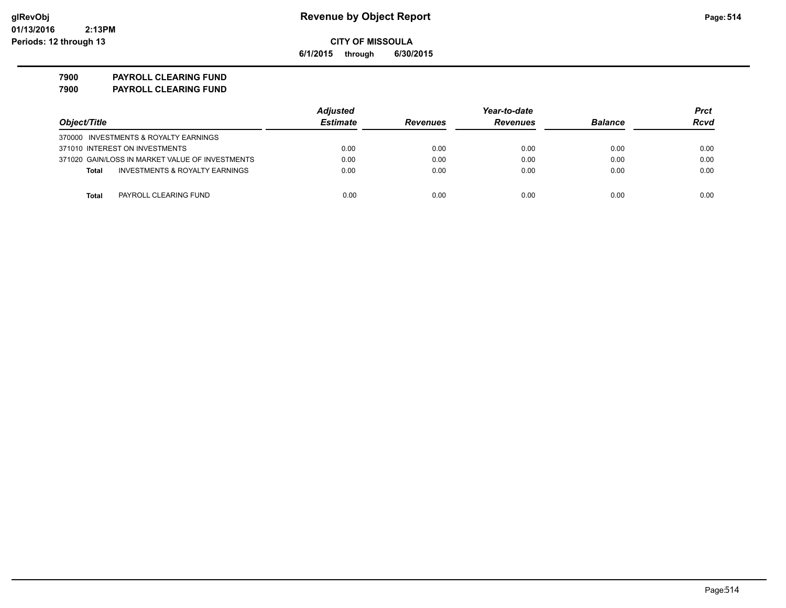**6/1/2015 through 6/30/2015**

**7900 PAYROLL CLEARING FUND 7900 PAYROLL CLEARING FUND**

|                                                 | <b>Adjusted</b> |                 | Year-to-date    |                | Prct |
|-------------------------------------------------|-----------------|-----------------|-----------------|----------------|------|
| Object/Title                                    | <b>Estimate</b> | <b>Revenues</b> | <b>Revenues</b> | <b>Balance</b> | Rcvd |
| 370000 INVESTMENTS & ROYALTY EARNINGS           |                 |                 |                 |                |      |
| 371010 INTEREST ON INVESTMENTS                  | 0.00            | 0.00            | 0.00            | 0.00           | 0.00 |
| 371020 GAIN/LOSS IN MARKET VALUE OF INVESTMENTS | 0.00            | 0.00            | 0.00            | 0.00           | 0.00 |
| INVESTMENTS & ROYALTY EARNINGS<br><b>Total</b>  | 0.00            | 0.00            | 0.00            | 0.00           | 0.00 |
| Total<br>PAYROLL CLEARING FUND                  | 0.00            | 0.00            | 0.00            | 0.00           | 0.00 |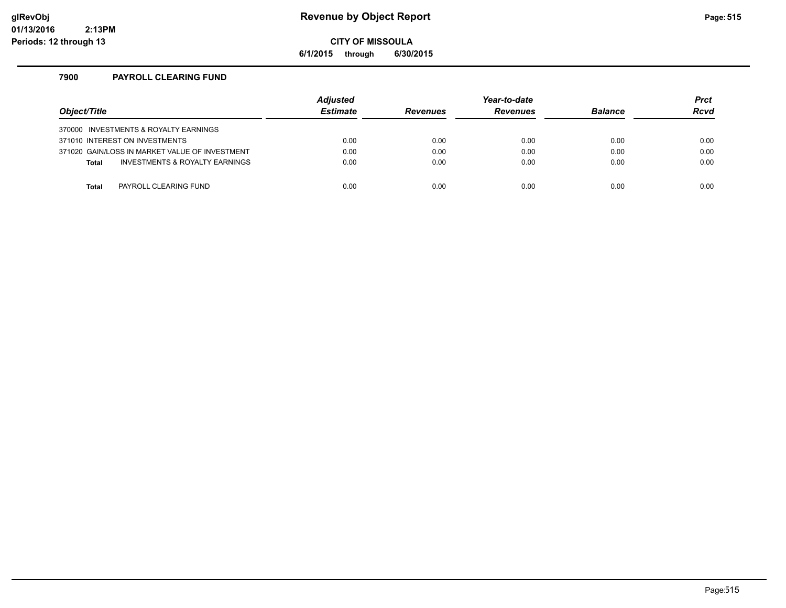#### **glRevObj Revenue by Object Report Page:515**

**CITY OF MISSOULA**

**6/1/2015 through 6/30/2015**

#### **7900 PAYROLL CLEARING FUND**

| Object/Title                                   | <b>Adjusted</b><br><b>Estimate</b> | <b>Revenues</b> | Year-to-date<br><b>Revenues</b> | <b>Balance</b> | <b>Prct</b><br><b>Rcvd</b> |
|------------------------------------------------|------------------------------------|-----------------|---------------------------------|----------------|----------------------------|
| 370000 INVESTMENTS & ROYALTY EARNINGS          |                                    |                 |                                 |                |                            |
| 371010 INTEREST ON INVESTMENTS                 | 0.00                               | 0.00            | 0.00                            | 0.00           | 0.00                       |
| 371020 GAIN/LOSS IN MARKET VALUE OF INVESTMENT | 0.00                               | 0.00            | 0.00                            | 0.00           | 0.00                       |
| INVESTMENTS & ROYALTY EARNINGS<br><b>Total</b> | 0.00                               | 0.00            | 0.00                            | 0.00           | 0.00                       |
|                                                |                                    |                 |                                 |                |                            |
| PAYROLL CLEARING FUND<br>Total                 | 0.00                               | 0.00            | 0.00                            | 0.00           | 0.00                       |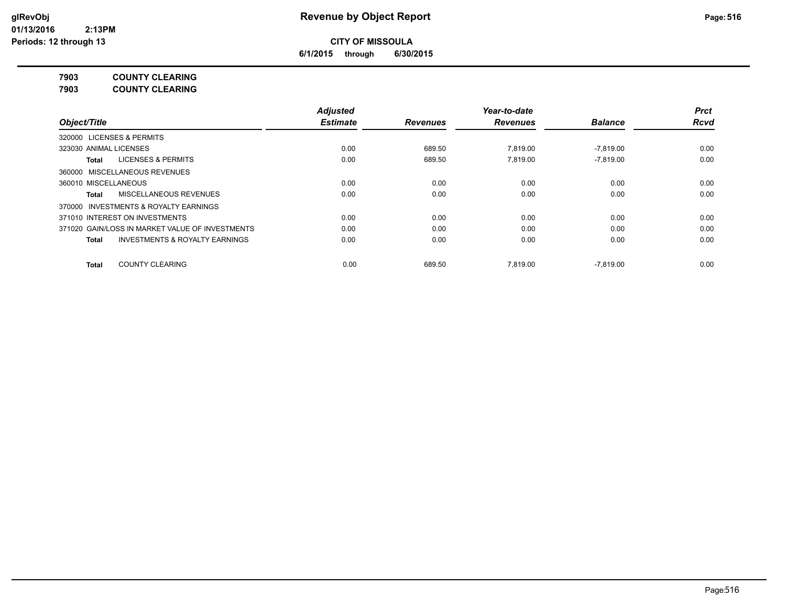**6/1/2015 through 6/30/2015**

**7903 COUNTY CLEARING**

**7903 COUNTY CLEARING**

|                                                    | <b>Adjusted</b> |                 | Year-to-date    |                | <b>Prct</b> |
|----------------------------------------------------|-----------------|-----------------|-----------------|----------------|-------------|
| Object/Title                                       | <b>Estimate</b> | <b>Revenues</b> | <b>Revenues</b> | <b>Balance</b> | <b>Rcvd</b> |
| 320000 LICENSES & PERMITS                          |                 |                 |                 |                |             |
| 323030 ANIMAL LICENSES                             | 0.00            | 689.50          | 7.819.00        | $-7.819.00$    | 0.00        |
| <b>LICENSES &amp; PERMITS</b><br>Total             | 0.00            | 689.50          | 7.819.00        | $-7,819.00$    | 0.00        |
| 360000 MISCELLANEOUS REVENUES                      |                 |                 |                 |                |             |
| 360010 MISCELLANEOUS                               | 0.00            | 0.00            | 0.00            | 0.00           | 0.00        |
| MISCELLANEOUS REVENUES<br><b>Total</b>             | 0.00            | 0.00            | 0.00            | 0.00           | 0.00        |
| 370000 INVESTMENTS & ROYALTY EARNINGS              |                 |                 |                 |                |             |
| 371010 INTEREST ON INVESTMENTS                     | 0.00            | 0.00            | 0.00            | 0.00           | 0.00        |
| 371020 GAIN/LOSS IN MARKET VALUE OF INVESTMENTS    | 0.00            | 0.00            | 0.00            | 0.00           | 0.00        |
| <b>INVESTMENTS &amp; ROYALTY EARNINGS</b><br>Total | 0.00            | 0.00            | 0.00            | 0.00           | 0.00        |
| <b>COUNTY CLEARING</b><br><b>Total</b>             | 0.00            | 689.50          | 7.819.00        | $-7.819.00$    | 0.00        |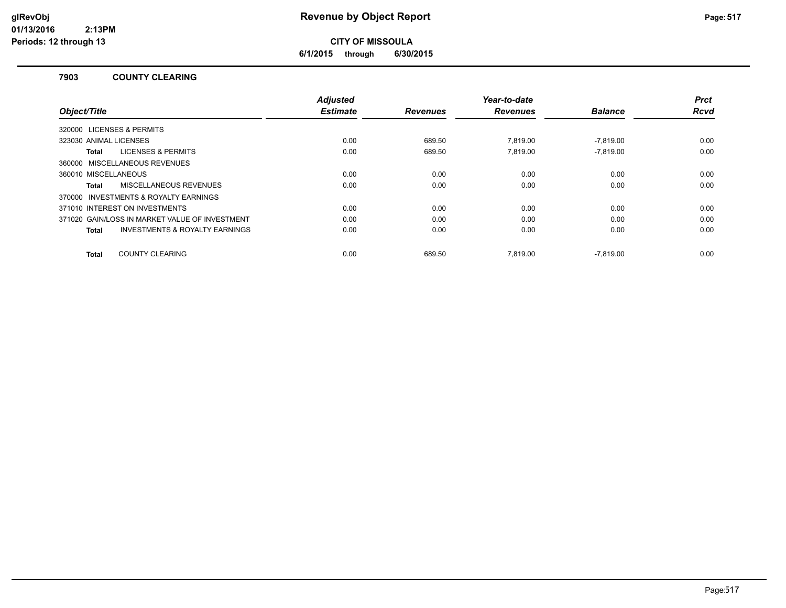**6/1/2015 through 6/30/2015**

#### **7903 COUNTY CLEARING**

|                                                    | <b>Adjusted</b> |                 | Year-to-date    |                | <b>Prct</b> |
|----------------------------------------------------|-----------------|-----------------|-----------------|----------------|-------------|
| Object/Title                                       | <b>Estimate</b> | <b>Revenues</b> | <b>Revenues</b> | <b>Balance</b> | <b>Rcvd</b> |
| 320000 LICENSES & PERMITS                          |                 |                 |                 |                |             |
| 323030 ANIMAL LICENSES                             | 0.00            | 689.50          | 7.819.00        | $-7.819.00$    | 0.00        |
| <b>LICENSES &amp; PERMITS</b><br>Total             | 0.00            | 689.50          | 7.819.00        | $-7.819.00$    | 0.00        |
| 360000 MISCELLANEOUS REVENUES                      |                 |                 |                 |                |             |
| 360010 MISCELLANEOUS                               | 0.00            | 0.00            | 0.00            | 0.00           | 0.00        |
| MISCELLANEOUS REVENUES<br>Total                    | 0.00            | 0.00            | 0.00            | 0.00           | 0.00        |
| 370000 INVESTMENTS & ROYALTY EARNINGS              |                 |                 |                 |                |             |
| 371010 INTEREST ON INVESTMENTS                     | 0.00            | 0.00            | 0.00            | 0.00           | 0.00        |
| 371020 GAIN/LOSS IN MARKET VALUE OF INVESTMENT     | 0.00            | 0.00            | 0.00            | 0.00           | 0.00        |
| <b>INVESTMENTS &amp; ROYALTY EARNINGS</b><br>Total | 0.00            | 0.00            | 0.00            | 0.00           | 0.00        |
|                                                    |                 |                 |                 |                |             |
| <b>COUNTY CLEARING</b><br><b>Total</b>             | 0.00            | 689.50          | 7.819.00        | $-7.819.00$    | 0.00        |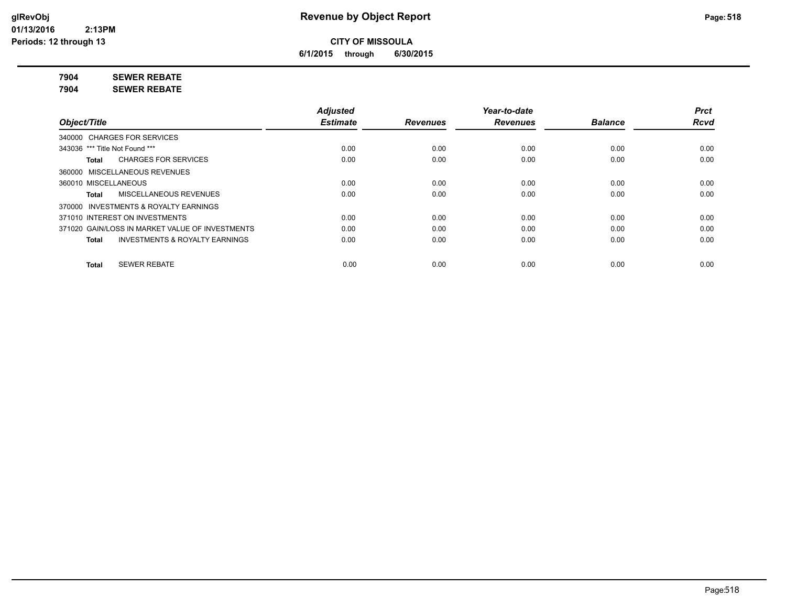**6/1/2015 through 6/30/2015**

**7904 SEWER REBATE**

**7904 SEWER REBATE**

|                                                           | <b>Adjusted</b> |                 | Year-to-date    |                | <b>Prct</b> |
|-----------------------------------------------------------|-----------------|-----------------|-----------------|----------------|-------------|
| Object/Title                                              | <b>Estimate</b> | <b>Revenues</b> | <b>Revenues</b> | <b>Balance</b> | <b>Rcvd</b> |
| 340000 CHARGES FOR SERVICES                               |                 |                 |                 |                |             |
| 343036 *** Title Not Found ***                            | 0.00            | 0.00            | 0.00            | 0.00           | 0.00        |
| <b>CHARGES FOR SERVICES</b><br>Total                      | 0.00            | 0.00            | 0.00            | 0.00           | 0.00        |
| 360000 MISCELLANEOUS REVENUES                             |                 |                 |                 |                |             |
| 360010 MISCELLANEOUS                                      | 0.00            | 0.00            | 0.00            | 0.00           | 0.00        |
| <b>MISCELLANEOUS REVENUES</b><br><b>Total</b>             | 0.00            | 0.00            | 0.00            | 0.00           | 0.00        |
| 370000 INVESTMENTS & ROYALTY EARNINGS                     |                 |                 |                 |                |             |
| 371010 INTEREST ON INVESTMENTS                            | 0.00            | 0.00            | 0.00            | 0.00           | 0.00        |
| 371020 GAIN/LOSS IN MARKET VALUE OF INVESTMENTS           | 0.00            | 0.00            | 0.00            | 0.00           | 0.00        |
| <b>INVESTMENTS &amp; ROYALTY EARNINGS</b><br><b>Total</b> | 0.00            | 0.00            | 0.00            | 0.00           | 0.00        |
| <b>SEWER REBATE</b><br><b>Total</b>                       | 0.00            | 0.00            | 0.00            | 0.00           | 0.00        |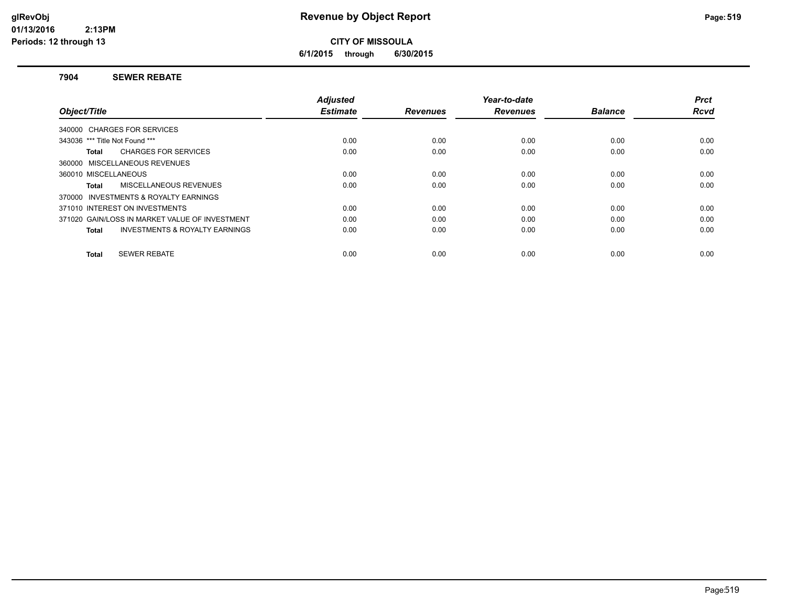**6/1/2015 through 6/30/2015**

#### **7904 SEWER REBATE**

|                                                    | <b>Adjusted</b> |                 | Year-to-date    |                | <b>Prct</b> |
|----------------------------------------------------|-----------------|-----------------|-----------------|----------------|-------------|
| Object/Title                                       | <b>Estimate</b> | <b>Revenues</b> | <b>Revenues</b> | <b>Balance</b> | <b>Rcvd</b> |
| 340000 CHARGES FOR SERVICES                        |                 |                 |                 |                |             |
| 343036 *** Title Not Found ***                     | 0.00            | 0.00            | 0.00            | 0.00           | 0.00        |
| <b>CHARGES FOR SERVICES</b><br>Total               | 0.00            | 0.00            | 0.00            | 0.00           | 0.00        |
| 360000 MISCELLANEOUS REVENUES                      |                 |                 |                 |                |             |
| 360010 MISCELLANEOUS                               | 0.00            | 0.00            | 0.00            | 0.00           | 0.00        |
| MISCELLANEOUS REVENUES<br>Total                    | 0.00            | 0.00            | 0.00            | 0.00           | 0.00        |
| 370000 INVESTMENTS & ROYALTY EARNINGS              |                 |                 |                 |                |             |
| 371010 INTEREST ON INVESTMENTS                     | 0.00            | 0.00            | 0.00            | 0.00           | 0.00        |
| 371020 GAIN/LOSS IN MARKET VALUE OF INVESTMENT     | 0.00            | 0.00            | 0.00            | 0.00           | 0.00        |
| <b>INVESTMENTS &amp; ROYALTY EARNINGS</b><br>Total | 0.00            | 0.00            | 0.00            | 0.00           | 0.00        |
|                                                    |                 |                 |                 |                |             |
| <b>SEWER REBATE</b><br>Total                       | 0.00            | 0.00            | 0.00            | 0.00           | 0.00        |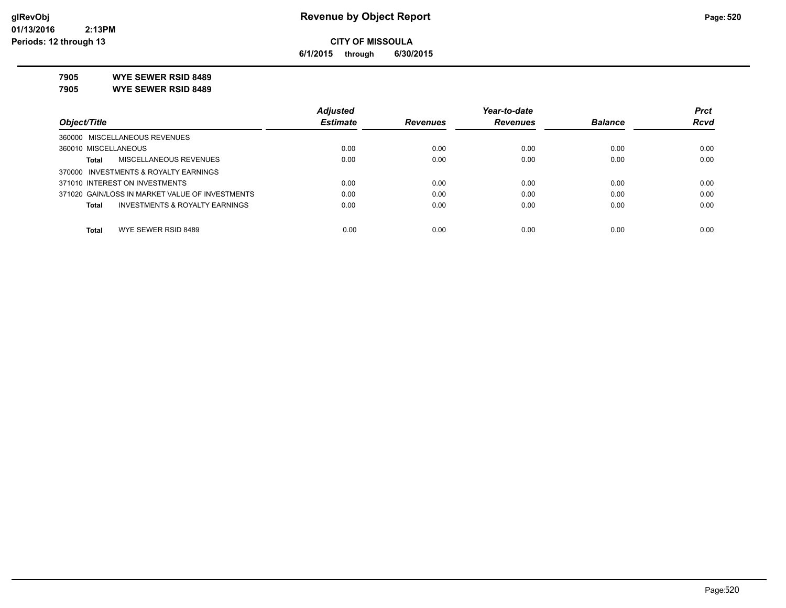**6/1/2015 through 6/30/2015**

**7905 WYE SEWER RSID 8489**

**7905 WYE SEWER RSID 8489**

|                                                 | <b>Adjusted</b> |                 | Year-to-date    |                | <b>Prct</b> |
|-------------------------------------------------|-----------------|-----------------|-----------------|----------------|-------------|
| Object/Title                                    | <b>Estimate</b> | <b>Revenues</b> | <b>Revenues</b> | <b>Balance</b> | <b>Rcvd</b> |
| 360000 MISCELLANEOUS REVENUES                   |                 |                 |                 |                |             |
| 360010 MISCELLANEOUS                            | 0.00            | 0.00            | 0.00            | 0.00           | 0.00        |
| MISCELLANEOUS REVENUES<br>Total                 | 0.00            | 0.00            | 0.00            | 0.00           | 0.00        |
| 370000 INVESTMENTS & ROYALTY EARNINGS           |                 |                 |                 |                |             |
| 371010 INTEREST ON INVESTMENTS                  | 0.00            | 0.00            | 0.00            | 0.00           | 0.00        |
| 371020 GAIN/LOSS IN MARKET VALUE OF INVESTMENTS | 0.00            | 0.00            | 0.00            | 0.00           | 0.00        |
| INVESTMENTS & ROYALTY EARNINGS<br><b>Total</b>  | 0.00            | 0.00            | 0.00            | 0.00           | 0.00        |
|                                                 |                 |                 |                 |                |             |
| WYE SEWER RSID 8489<br><b>Total</b>             | 0.00            | 0.00            | 0.00            | 0.00           | 0.00        |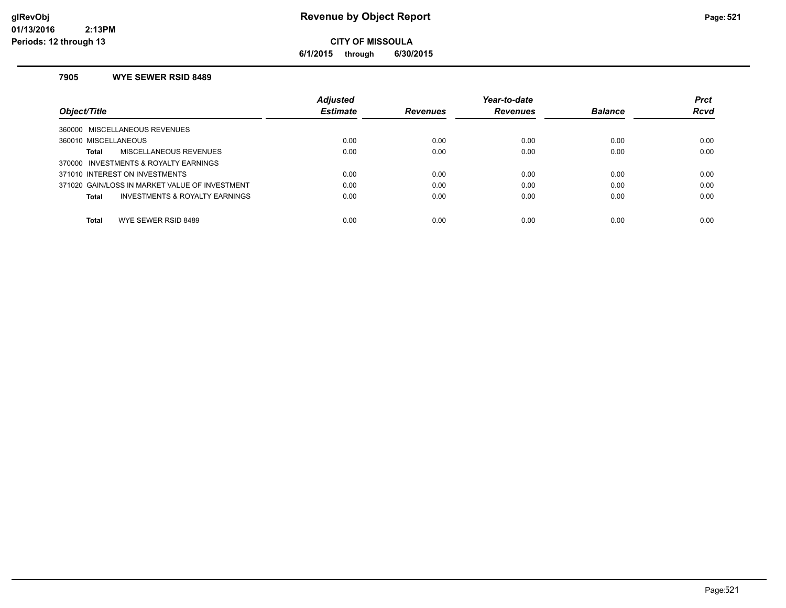**6/1/2015 through 6/30/2015**

#### **7905 WYE SEWER RSID 8489**

|                                                | <b>Adjusted</b> |                 | Year-to-date    |                | <b>Prct</b> |
|------------------------------------------------|-----------------|-----------------|-----------------|----------------|-------------|
| Object/Title                                   | <b>Estimate</b> | <b>Revenues</b> | <b>Revenues</b> | <b>Balance</b> | <b>Rcvd</b> |
| 360000 MISCELLANEOUS REVENUES                  |                 |                 |                 |                |             |
| 360010 MISCELLANEOUS                           | 0.00            | 0.00            | 0.00            | 0.00           | 0.00        |
| MISCELLANEOUS REVENUES<br>Total                | 0.00            | 0.00            | 0.00            | 0.00           | 0.00        |
| 370000 INVESTMENTS & ROYALTY EARNINGS          |                 |                 |                 |                |             |
| 371010 INTEREST ON INVESTMENTS                 | 0.00            | 0.00            | 0.00            | 0.00           | 0.00        |
| 371020 GAIN/LOSS IN MARKET VALUE OF INVESTMENT | 0.00            | 0.00            | 0.00            | 0.00           | 0.00        |
| INVESTMENTS & ROYALTY EARNINGS<br>Total        | 0.00            | 0.00            | 0.00            | 0.00           | 0.00        |
|                                                |                 |                 |                 |                |             |
| <b>Total</b><br>WYE SEWER RSID 8489            | 0.00            | 0.00            | 0.00            | 0.00           | 0.00        |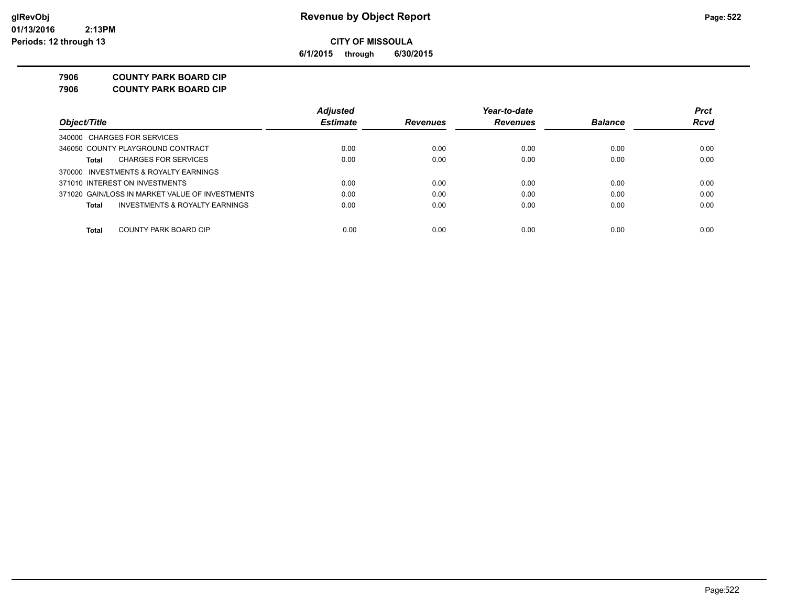**6/1/2015 through 6/30/2015**

**7906 COUNTY PARK BOARD CIP**

**7906 COUNTY PARK BOARD CIP**

|                                                    | <b>Adjusted</b> |                 | Year-to-date    |                | <b>Prct</b> |
|----------------------------------------------------|-----------------|-----------------|-----------------|----------------|-------------|
| Object/Title                                       | <b>Estimate</b> | <b>Revenues</b> | <b>Revenues</b> | <b>Balance</b> | Rcvd        |
| 340000 CHARGES FOR SERVICES                        |                 |                 |                 |                |             |
| 346050 COUNTY PLAYGROUND CONTRACT                  | 0.00            | 0.00            | 0.00            | 0.00           | 0.00        |
| <b>CHARGES FOR SERVICES</b><br>Total               | 0.00            | 0.00            | 0.00            | 0.00           | 0.00        |
| 370000 INVESTMENTS & ROYALTY EARNINGS              |                 |                 |                 |                |             |
| 371010 INTEREST ON INVESTMENTS                     | 0.00            | 0.00            | 0.00            | 0.00           | 0.00        |
| 371020 GAIN/LOSS IN MARKET VALUE OF INVESTMENTS    | 0.00            | 0.00            | 0.00            | 0.00           | 0.00        |
| <b>INVESTMENTS &amp; ROYALTY EARNINGS</b><br>Total | 0.00            | 0.00            | 0.00            | 0.00           | 0.00        |
| <b>Total</b><br>COUNTY PARK BOARD CIP              | 0.00            | 0.00            | 0.00            | 0.00           | 0.00        |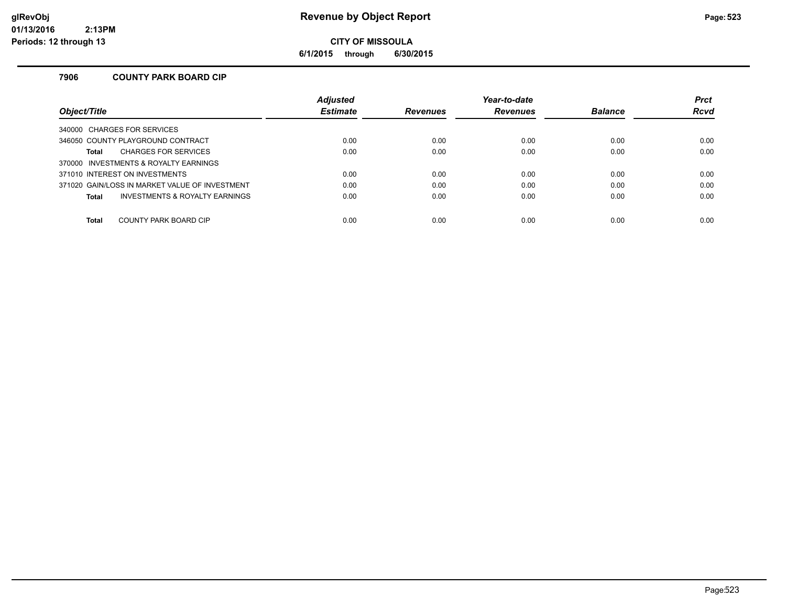**6/1/2015 through 6/30/2015**

#### **7906 COUNTY PARK BOARD CIP**

|                                                | <b>Adjusted</b> |                 | Year-to-date    |                | <b>Prct</b> |
|------------------------------------------------|-----------------|-----------------|-----------------|----------------|-------------|
| Object/Title                                   | <b>Estimate</b> | <b>Revenues</b> | <b>Revenues</b> | <b>Balance</b> | <b>Rcvd</b> |
| 340000 CHARGES FOR SERVICES                    |                 |                 |                 |                |             |
| 346050 COUNTY PLAYGROUND CONTRACT              | 0.00            | 0.00            | 0.00            | 0.00           | 0.00        |
| <b>CHARGES FOR SERVICES</b><br>Total           | 0.00            | 0.00            | 0.00            | 0.00           | 0.00        |
| 370000 INVESTMENTS & ROYALTY EARNINGS          |                 |                 |                 |                |             |
| 371010 INTEREST ON INVESTMENTS                 | 0.00            | 0.00            | 0.00            | 0.00           | 0.00        |
| 371020 GAIN/LOSS IN MARKET VALUE OF INVESTMENT | 0.00            | 0.00            | 0.00            | 0.00           | 0.00        |
| INVESTMENTS & ROYALTY EARNINGS<br>Total        | 0.00            | 0.00            | 0.00            | 0.00           | 0.00        |
|                                                |                 |                 |                 |                |             |
| <b>Total</b><br>COUNTY PARK BOARD CIP          | 0.00            | 0.00            | 0.00            | 0.00           | 0.00        |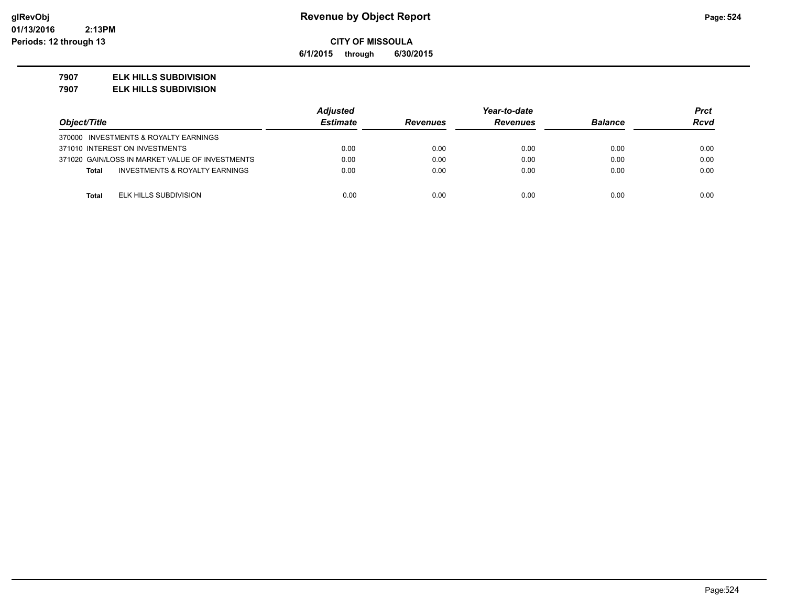**6/1/2015 through 6/30/2015**

#### **7907 ELK HILLS SUBDIVISION**

**7907 ELK HILLS SUBDIVISION**

|                                                           | <b>Adjusted</b> |                 | Year-to-date    |                | Prct |
|-----------------------------------------------------------|-----------------|-----------------|-----------------|----------------|------|
| Object/Title                                              | <b>Estimate</b> | <b>Revenues</b> | <b>Revenues</b> | <b>Balance</b> | Rcvd |
| 370000 INVESTMENTS & ROYALTY EARNINGS                     |                 |                 |                 |                |      |
| 371010 INTEREST ON INVESTMENTS                            | 0.00            | 0.00            | 0.00            | 0.00           | 0.00 |
| 371020 GAIN/LOSS IN MARKET VALUE OF INVESTMENTS           | 0.00            | 0.00            | 0.00            | 0.00           | 0.00 |
| <b>INVESTMENTS &amp; ROYALTY EARNINGS</b><br><b>Total</b> | 0.00            | 0.00            | 0.00            | 0.00           | 0.00 |
|                                                           |                 |                 |                 |                |      |
| ELK HILLS SUBDIVISION<br><b>Total</b>                     | 0.00            | 0.00            | 0.00            | 0.00           | 0.00 |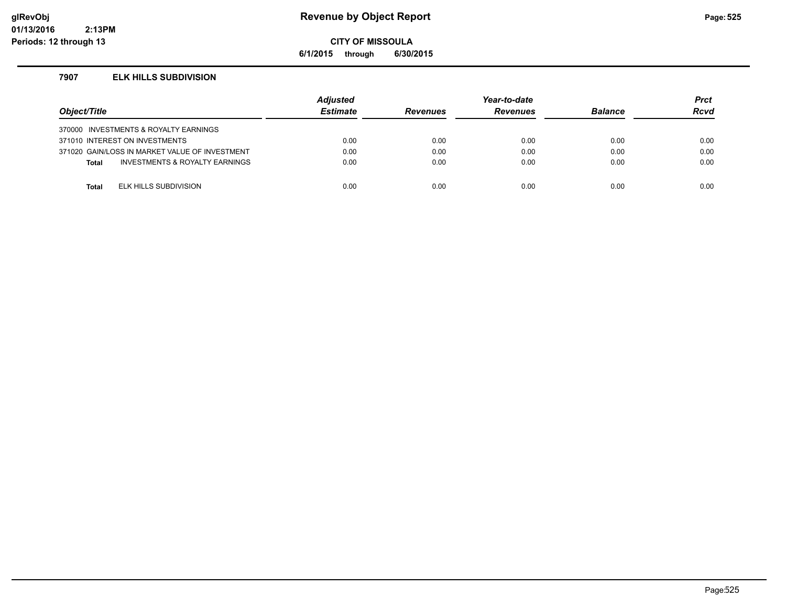#### **glRevObj Revenue by Object Report Page:525**

**CITY OF MISSOULA**

**6/1/2015 through 6/30/2015**

#### **7907 ELK HILLS SUBDIVISION**

| Object/Title |                                                | <b>Adjusted</b><br><b>Estimate</b> | <b>Revenues</b> | Year-to-date<br><b>Revenues</b> | <b>Balance</b> | <b>Prct</b><br>Rcvd |
|--------------|------------------------------------------------|------------------------------------|-----------------|---------------------------------|----------------|---------------------|
|              | 370000 INVESTMENTS & ROYALTY EARNINGS          |                                    |                 |                                 |                |                     |
|              | 371010 INTEREST ON INVESTMENTS                 | 0.00                               | 0.00            | 0.00                            | 0.00           | 0.00                |
|              | 371020 GAIN/LOSS IN MARKET VALUE OF INVESTMENT | 0.00                               | 0.00            | 0.00                            | 0.00           | 0.00                |
| <b>Total</b> | <b>INVESTMENTS &amp; ROYALTY EARNINGS</b>      | 0.00                               | 0.00            | 0.00                            | 0.00           | 0.00                |
|              |                                                |                                    |                 |                                 |                |                     |
| Total        | ELK HILLS SUBDIVISION                          | 0.00                               | 0.00            | 0.00                            | 0.00           | 0.00                |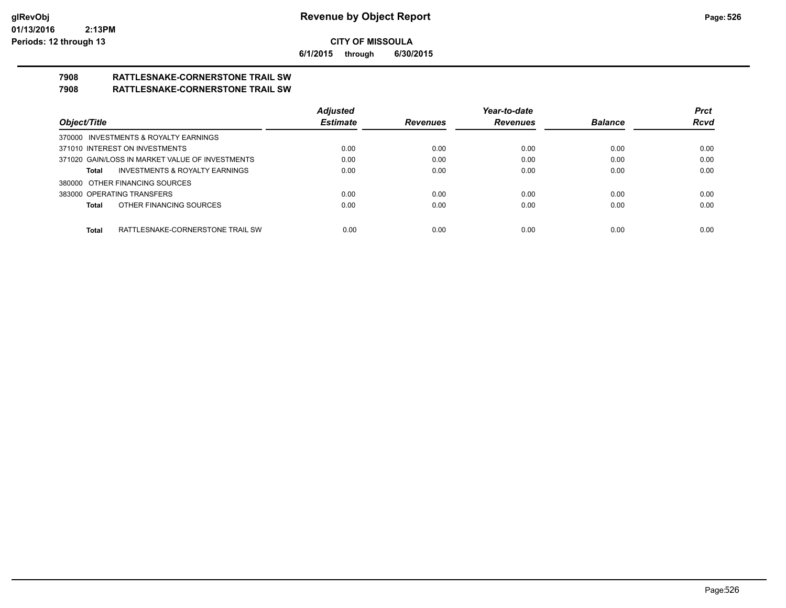**6/1/2015 through 6/30/2015**

# **7908 RATTLESNAKE-CORNERSTONE TRAIL SW**

### **7908 RATTLESNAKE-CORNERSTONE TRAIL SW**

|                                                 | <b>Adjusted</b> |                 | Year-to-date    |                | <b>Prct</b> |
|-------------------------------------------------|-----------------|-----------------|-----------------|----------------|-------------|
| Object/Title                                    | <b>Estimate</b> | <b>Revenues</b> | <b>Revenues</b> | <b>Balance</b> | <b>Rcvd</b> |
| 370000 INVESTMENTS & ROYALTY EARNINGS           |                 |                 |                 |                |             |
| 371010 INTEREST ON INVESTMENTS                  | 0.00            | 0.00            | 0.00            | 0.00           | 0.00        |
| 371020 GAIN/LOSS IN MARKET VALUE OF INVESTMENTS | 0.00            | 0.00            | 0.00            | 0.00           | 0.00        |
| INVESTMENTS & ROYALTY EARNINGS<br>Total         | 0.00            | 0.00            | 0.00            | 0.00           | 0.00        |
| 380000 OTHER FINANCING SOURCES                  |                 |                 |                 |                |             |
| 383000 OPERATING TRANSFERS                      | 0.00            | 0.00            | 0.00            | 0.00           | 0.00        |
| OTHER FINANCING SOURCES<br>Total                | 0.00            | 0.00            | 0.00            | 0.00           | 0.00        |
|                                                 |                 |                 |                 |                |             |
| Total<br>RATTLESNAKE-CORNERSTONE TRAIL SW       | 0.00            | 0.00            | 0.00            | 0.00           | 0.00        |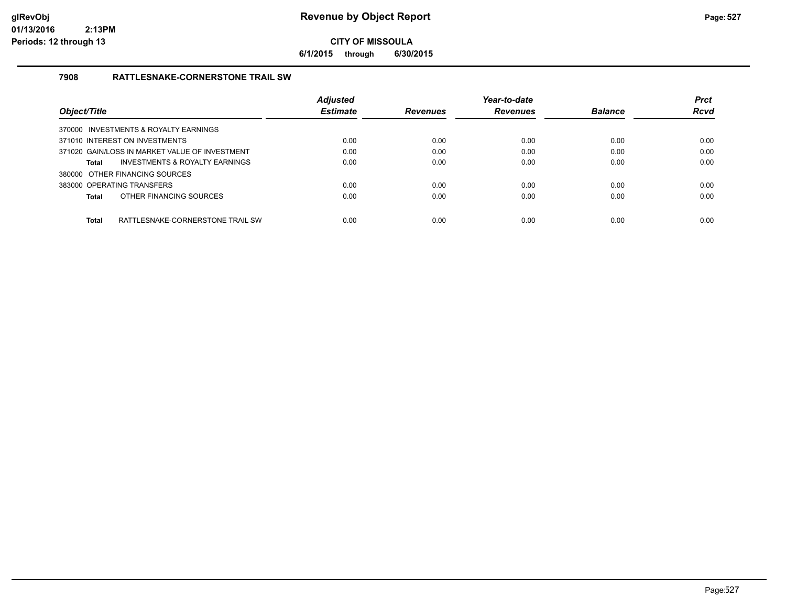**6/1/2015 through 6/30/2015**

#### **7908 RATTLESNAKE-CORNERSTONE TRAIL SW**

| Object/Title |                                                | <b>Adjusted</b><br><b>Estimate</b> | <b>Revenues</b> | Year-to-date<br><b>Revenues</b> | <b>Balance</b> | <b>Prct</b><br><b>Rcvd</b> |
|--------------|------------------------------------------------|------------------------------------|-----------------|---------------------------------|----------------|----------------------------|
|              | 370000 INVESTMENTS & ROYALTY EARNINGS          |                                    |                 |                                 |                |                            |
|              | 371010 INTEREST ON INVESTMENTS                 | 0.00                               | 0.00            | 0.00                            | 0.00           | 0.00                       |
|              | 371020 GAIN/LOSS IN MARKET VALUE OF INVESTMENT | 0.00                               | 0.00            | 0.00                            | 0.00           | 0.00                       |
| Total        | <b>INVESTMENTS &amp; ROYALTY EARNINGS</b>      | 0.00                               | 0.00            | 0.00                            | 0.00           | 0.00                       |
|              | 380000 OTHER FINANCING SOURCES                 |                                    |                 |                                 |                |                            |
|              | 383000 OPERATING TRANSFERS                     | 0.00                               | 0.00            | 0.00                            | 0.00           | 0.00                       |
| Total        | OTHER FINANCING SOURCES                        | 0.00                               | 0.00            | 0.00                            | 0.00           | 0.00                       |
| <b>Total</b> | RATTLESNAKE-CORNERSTONE TRAIL SW               | 0.00                               | 0.00            | 0.00                            | 0.00           | 0.00                       |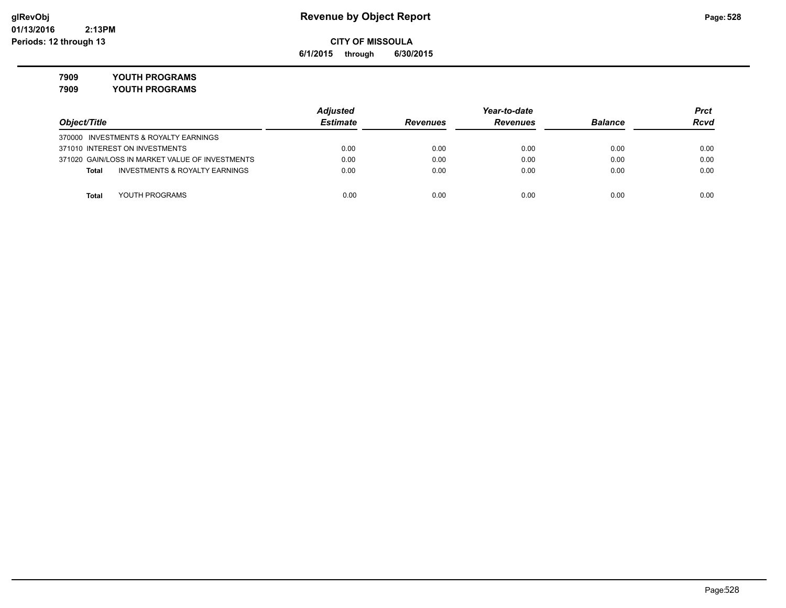**6/1/2015 through 6/30/2015**

**7909 YOUTH PROGRAMS**

**7909 YOUTH PROGRAMS**

|                                                 | <b>Adjusted</b> |                                    | Year-to-date |                |             |
|-------------------------------------------------|-----------------|------------------------------------|--------------|----------------|-------------|
| Object/Title                                    | <b>Estimate</b> | <b>Revenues</b><br><b>Revenues</b> |              | <b>Balance</b> | <b>Rcvd</b> |
| 370000 INVESTMENTS & ROYALTY EARNINGS           |                 |                                    |              |                |             |
| 371010 INTEREST ON INVESTMENTS                  | 0.00            | 0.00                               | 0.00         | 0.00           | 0.00        |
| 371020 GAIN/LOSS IN MARKET VALUE OF INVESTMENTS | 0.00            | 0.00                               | 0.00         | 0.00           | 0.00        |
| INVESTMENTS & ROYALTY EARNINGS<br>Total         | 0.00            | 0.00                               | 0.00         | 0.00           | 0.00        |
| YOUTH PROGRAMS<br>Total                         | 0.00            | 0.00                               | 0.00         | 0.00           | 0.00        |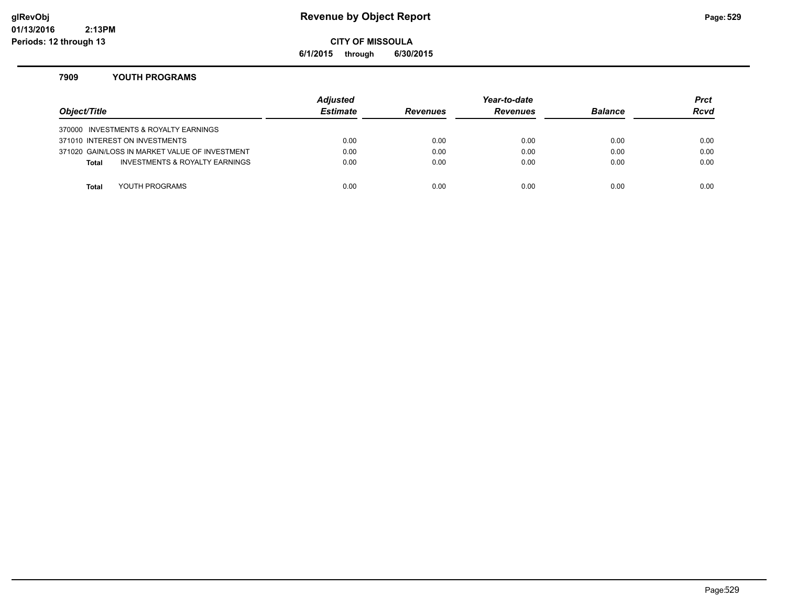#### **glRevObj Revenue by Object Report Page:529**

**CITY OF MISSOULA**

**6/1/2015 through 6/30/2015**

#### **7909 YOUTH PROGRAMS**

| Object/Title |                                                | <b>Adjusted</b><br><b>Estimate</b> | <b>Revenues</b> | Year-to-date<br><b>Revenues</b> | <b>Balance</b> | <b>Prct</b><br><b>Rcvd</b> |
|--------------|------------------------------------------------|------------------------------------|-----------------|---------------------------------|----------------|----------------------------|
|              | 370000 INVESTMENTS & ROYALTY EARNINGS          |                                    |                 |                                 |                |                            |
|              | 371010 INTEREST ON INVESTMENTS                 | 0.00                               | 0.00            | 0.00                            | 0.00           | 0.00                       |
|              | 371020 GAIN/LOSS IN MARKET VALUE OF INVESTMENT | 0.00                               | 0.00            | 0.00                            | 0.00           | 0.00                       |
| <b>Total</b> | INVESTMENTS & ROYALTY EARNINGS                 | 0.00                               | 0.00            | 0.00                            | 0.00           | 0.00                       |
|              |                                                |                                    |                 |                                 |                |                            |
| Total        | YOUTH PROGRAMS                                 | 0.00                               | 0.00            | 0.00                            | 0.00           | 0.00                       |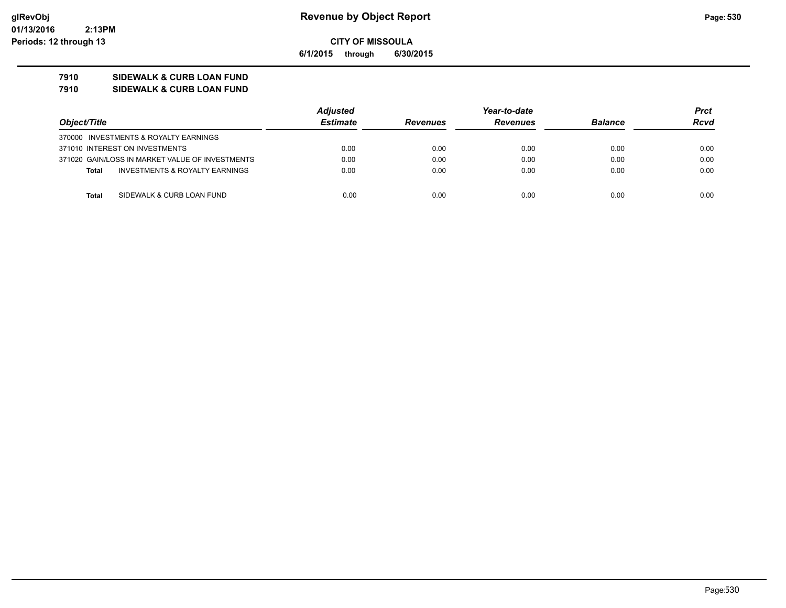**6/1/2015 through 6/30/2015**

### **7910 SIDEWALK & CURB LOAN FUND**

**7910 SIDEWALK & CURB LOAN FUND**

|                                                 | <b>Adjusted</b> | Year-to-date    |                 |                | Prct |
|-------------------------------------------------|-----------------|-----------------|-----------------|----------------|------|
| Object/Title                                    | <b>Estimate</b> | <b>Revenues</b> | <b>Revenues</b> | <b>Balance</b> | Rcvd |
| 370000 INVESTMENTS & ROYALTY EARNINGS           |                 |                 |                 |                |      |
| 371010 INTEREST ON INVESTMENTS                  | 0.00            | 0.00            | 0.00            | 0.00           | 0.00 |
| 371020 GAIN/LOSS IN MARKET VALUE OF INVESTMENTS | 0.00            | 0.00            | 0.00            | 0.00           | 0.00 |
| INVESTMENTS & ROYALTY EARNINGS<br><b>Total</b>  | 0.00            | 0.00            | 0.00            | 0.00           | 0.00 |
|                                                 |                 |                 |                 |                |      |
| SIDEWALK & CURB LOAN FUND<br><b>Total</b>       | 0.00            | 0.00            | 0.00            | 0.00           | 0.00 |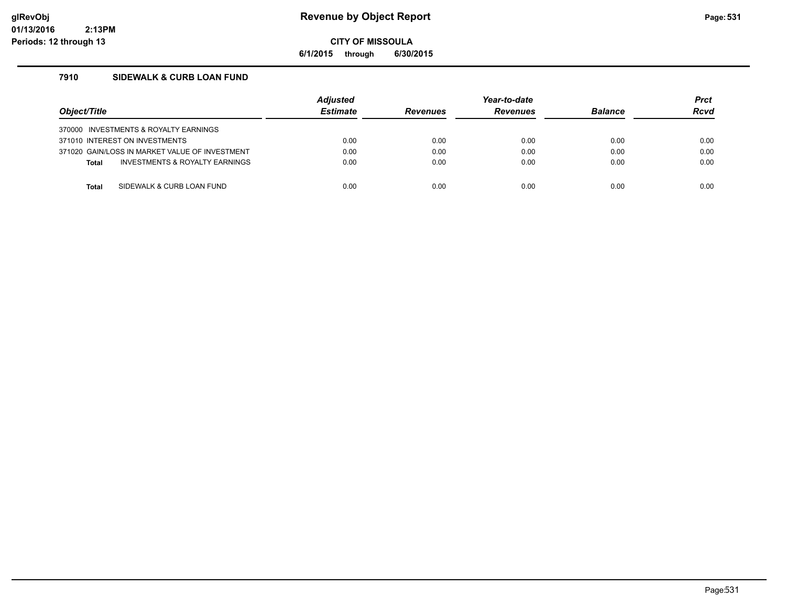**6/1/2015 through 6/30/2015**

#### **7910 SIDEWALK & CURB LOAN FUND**

| Object/Title |                                                | <b>Adjusted</b><br><b>Estimate</b> | <b>Revenues</b> | Year-to-date<br><b>Revenues</b> | <b>Balance</b> | <b>Prct</b><br><b>Rcvd</b> |
|--------------|------------------------------------------------|------------------------------------|-----------------|---------------------------------|----------------|----------------------------|
|              | 370000 INVESTMENTS & ROYALTY EARNINGS          |                                    |                 |                                 |                |                            |
|              | 371010 INTEREST ON INVESTMENTS                 | 0.00                               | 0.00            | 0.00                            | 0.00           | 0.00                       |
|              | 371020 GAIN/LOSS IN MARKET VALUE OF INVESTMENT | 0.00                               | 0.00            | 0.00                            | 0.00           | 0.00                       |
| <b>Total</b> | INVESTMENTS & ROYALTY EARNINGS                 | 0.00                               | 0.00            | 0.00                            | 0.00           | 0.00                       |
|              |                                                |                                    |                 |                                 |                |                            |
| <b>Total</b> | SIDEWALK & CURB LOAN FUND                      | 0.00                               | 0.00            | 0.00                            | 0.00           | 0.00                       |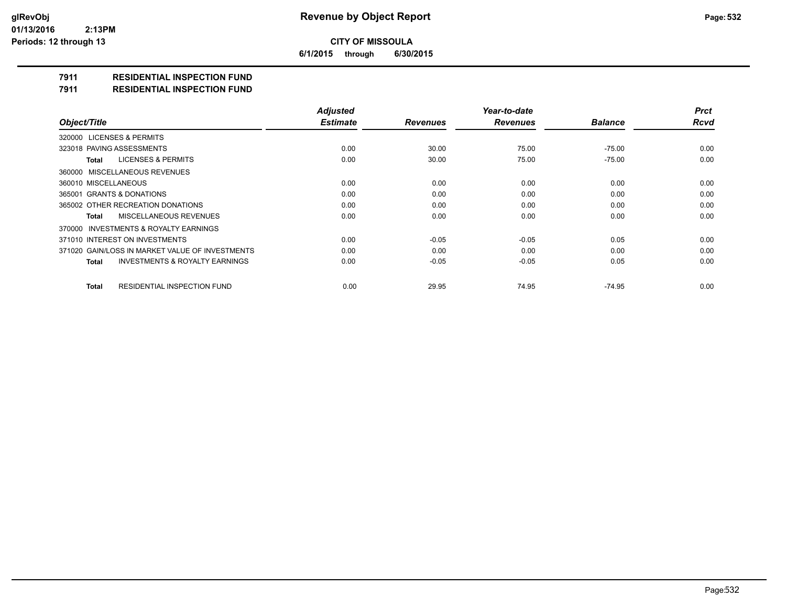**6/1/2015 through 6/30/2015**

## **7911 RESIDENTIAL INSPECTION FUND**

**7911 RESIDENTIAL INSPECTION FUND**

|                                                           | <b>Adjusted</b> |                 | Year-to-date    |                | <b>Prct</b> |
|-----------------------------------------------------------|-----------------|-----------------|-----------------|----------------|-------------|
| Object/Title                                              | <b>Estimate</b> | <b>Revenues</b> | <b>Revenues</b> | <b>Balance</b> | <b>Rcvd</b> |
| 320000 LICENSES & PERMITS                                 |                 |                 |                 |                |             |
| 323018 PAVING ASSESSMENTS                                 | 0.00            | 30.00           | 75.00           | $-75.00$       | 0.00        |
| <b>LICENSES &amp; PERMITS</b><br>Total                    | 0.00            | 30.00           | 75.00           | $-75.00$       | 0.00        |
| 360000 MISCELLANEOUS REVENUES                             |                 |                 |                 |                |             |
| 360010 MISCELLANEOUS                                      | 0.00            | 0.00            | 0.00            | 0.00           | 0.00        |
| 365001 GRANTS & DONATIONS                                 | 0.00            | 0.00            | 0.00            | 0.00           | 0.00        |
| 365002 OTHER RECREATION DONATIONS                         | 0.00            | 0.00            | 0.00            | 0.00           | 0.00        |
| <b>MISCELLANEOUS REVENUES</b><br>Total                    | 0.00            | 0.00            | 0.00            | 0.00           | 0.00        |
| 370000 INVESTMENTS & ROYALTY EARNINGS                     |                 |                 |                 |                |             |
| 371010 INTEREST ON INVESTMENTS                            | 0.00            | $-0.05$         | $-0.05$         | 0.05           | 0.00        |
| 371020 GAIN/LOSS IN MARKET VALUE OF INVESTMENTS           | 0.00            | 0.00            | 0.00            | 0.00           | 0.00        |
| <b>INVESTMENTS &amp; ROYALTY EARNINGS</b><br><b>Total</b> | 0.00            | $-0.05$         | $-0.05$         | 0.05           | 0.00        |
| <b>RESIDENTIAL INSPECTION FUND</b><br>Total               | 0.00            | 29.95           | 74.95           | $-74.95$       | 0.00        |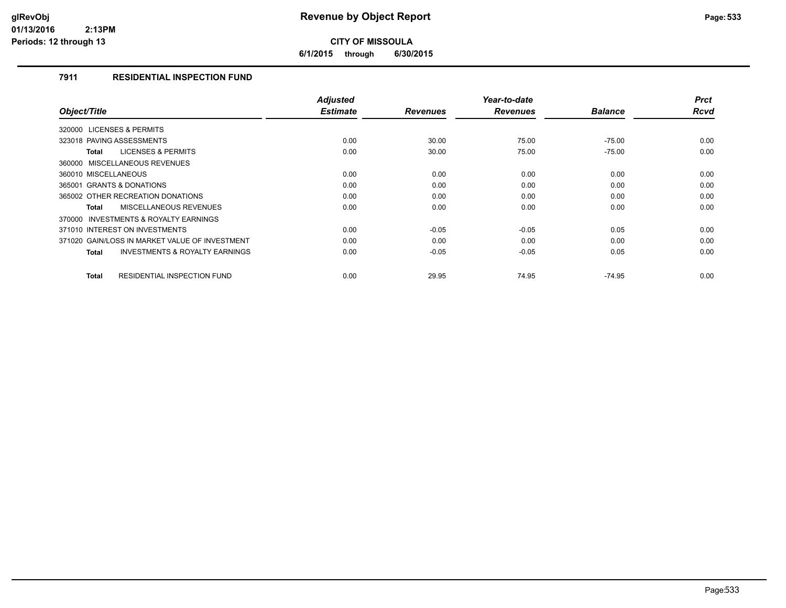**6/1/2015 through 6/30/2015**

#### **7911 RESIDENTIAL INSPECTION FUND**

| Object/Title                                              | <b>Adjusted</b><br><b>Estimate</b> | <b>Revenues</b> | Year-to-date<br><b>Revenues</b> | <b>Balance</b> | <b>Prct</b><br><b>Rcvd</b> |
|-----------------------------------------------------------|------------------------------------|-----------------|---------------------------------|----------------|----------------------------|
|                                                           |                                    |                 |                                 |                |                            |
| 320000 LICENSES & PERMITS                                 |                                    |                 |                                 |                |                            |
| 323018 PAVING ASSESSMENTS                                 | 0.00                               | 30.00           | 75.00                           | $-75.00$       | 0.00                       |
| <b>LICENSES &amp; PERMITS</b><br><b>Total</b>             | 0.00                               | 30.00           | 75.00                           | $-75.00$       | 0.00                       |
| 360000 MISCELLANEOUS REVENUES                             |                                    |                 |                                 |                |                            |
| 360010 MISCELLANEOUS                                      | 0.00                               | 0.00            | 0.00                            | 0.00           | 0.00                       |
| 365001 GRANTS & DONATIONS                                 | 0.00                               | 0.00            | 0.00                            | 0.00           | 0.00                       |
| 365002 OTHER RECREATION DONATIONS                         | 0.00                               | 0.00            | 0.00                            | 0.00           | 0.00                       |
| <b>MISCELLANEOUS REVENUES</b><br><b>Total</b>             | 0.00                               | 0.00            | 0.00                            | 0.00           | 0.00                       |
| INVESTMENTS & ROYALTY EARNINGS<br>370000                  |                                    |                 |                                 |                |                            |
| 371010 INTEREST ON INVESTMENTS                            | 0.00                               | $-0.05$         | $-0.05$                         | 0.05           | 0.00                       |
| 371020 GAIN/LOSS IN MARKET VALUE OF INVESTMENT            | 0.00                               | 0.00            | 0.00                            | 0.00           | 0.00                       |
| <b>INVESTMENTS &amp; ROYALTY EARNINGS</b><br><b>Total</b> | 0.00                               | $-0.05$         | $-0.05$                         | 0.05           | 0.00                       |
| <b>RESIDENTIAL INSPECTION FUND</b><br><b>Total</b>        | 0.00                               | 29.95           | 74.95                           | $-74.95$       | 0.00                       |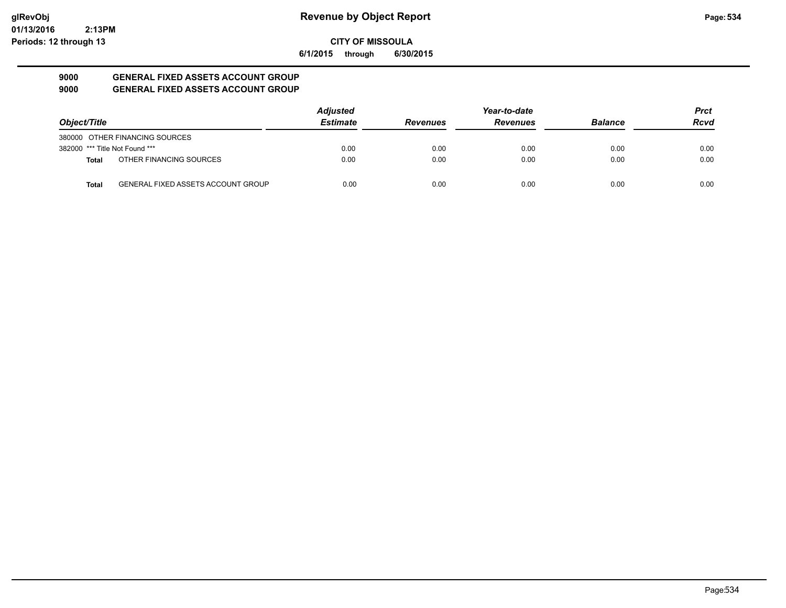**6/1/2015 through 6/30/2015**

#### **9000 GENERAL FIXED ASSETS ACCOUNT GROUP 9000 GENERAL FIXED ASSETS ACCOUNT GROUP**

| Object/Title                   |                                           | <b>Adjusted</b> |                 | Year-to-date    |                | Prct |
|--------------------------------|-------------------------------------------|-----------------|-----------------|-----------------|----------------|------|
|                                |                                           | <b>Estimate</b> | <b>Revenues</b> | <b>Revenues</b> | <b>Balance</b> | Rcvd |
|                                | 380000 OTHER FINANCING SOURCES            |                 |                 |                 |                |      |
| 382000 *** Title Not Found *** |                                           | 0.00            | 0.00            | 0.00            | 0.00           | 0.00 |
| <b>Total</b>                   | OTHER FINANCING SOURCES                   | 0.00            | 0.00            | 0.00            | 0.00           | 0.00 |
| <b>Total</b>                   | <b>GENERAL FIXED ASSETS ACCOUNT GROUP</b> | 0.00            | 0.00            | 0.00            | 0.00           | 0.00 |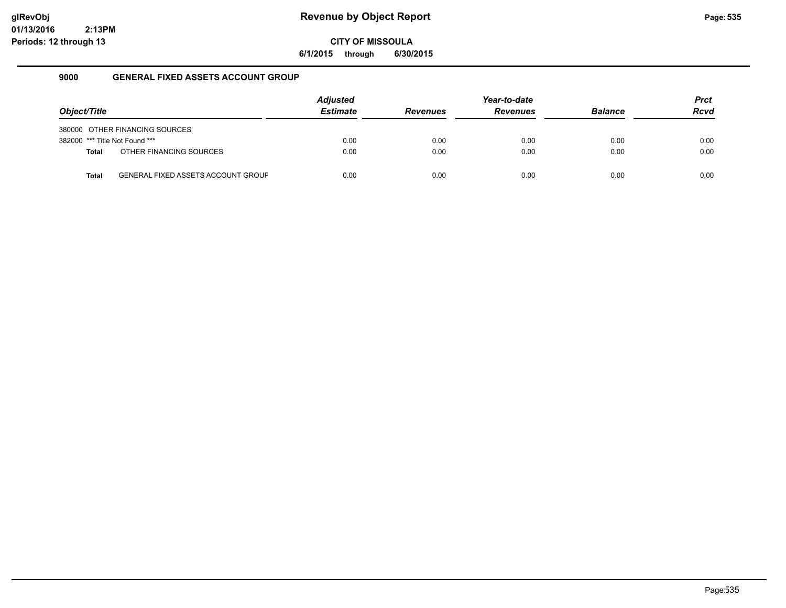**6/1/2015 through 6/30/2015**

#### **9000 GENERAL FIXED ASSETS ACCOUNT GROUP**

|                                |                                           | <b>Adjusted</b> |                 | Year-to-date    |                | <b>Prct</b> |
|--------------------------------|-------------------------------------------|-----------------|-----------------|-----------------|----------------|-------------|
| Object/Title                   |                                           | <b>Estimate</b> | <b>Revenues</b> | <b>Revenues</b> | <b>Balance</b> | <b>Rcvd</b> |
|                                | 380000 OTHER FINANCING SOURCES            |                 |                 |                 |                |             |
| 382000 *** Title Not Found *** |                                           | 0.00            | 0.00            | 0.00            | 0.00           | 0.00        |
| Total                          | OTHER FINANCING SOURCES                   | 0.00            | 0.00            | 0.00            | 0.00           | 0.00        |
| Total                          | <b>GENERAL FIXED ASSETS ACCOUNT GROUF</b> | 0.00            | 0.00            | 0.00            | 0.00           | 0.00        |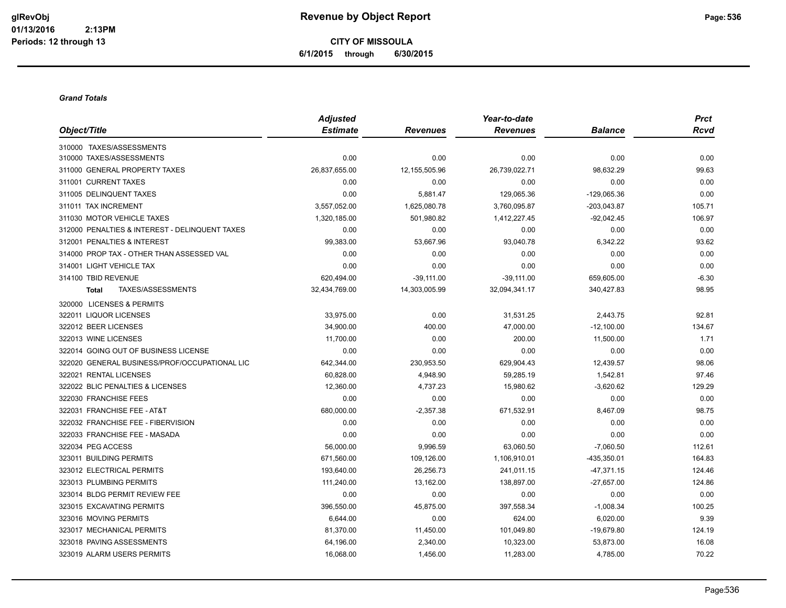**CITY OF MISSOULA 6/1/2015 through 6/30/2015**

#### *Grand Totals*

|                                                | <b>Adjusted</b> |                 | Year-to-date    |                | <b>Prct</b> |
|------------------------------------------------|-----------------|-----------------|-----------------|----------------|-------------|
| Object/Title                                   | <b>Estimate</b> | <b>Revenues</b> | <b>Revenues</b> | <b>Balance</b> | <b>Rcvd</b> |
| 310000 TAXES/ASSESSMENTS                       |                 |                 |                 |                |             |
| 310000 TAXES/ASSESSMENTS                       | 0.00            | 0.00            | 0.00            | 0.00           | 0.00        |
| 311000 GENERAL PROPERTY TAXES                  | 26,837,655.00   | 12,155,505.96   | 26,739,022.71   | 98,632.29      | 99.63       |
| 311001 CURRENT TAXES                           | 0.00            | 0.00            | 0.00            | 0.00           | 0.00        |
| 311005 DELINQUENT TAXES                        | 0.00            | 5,881.47        | 129,065.36      | $-129,065.36$  | 0.00        |
| 311011 TAX INCREMENT                           | 3,557,052.00    | 1,625,080.78    | 3,760,095.87    | $-203,043.87$  | 105.71      |
| 311030 MOTOR VEHICLE TAXES                     | 1,320,185.00    | 501,980.82      | 1,412,227.45    | $-92,042.45$   | 106.97      |
| 312000 PENALTIES & INTEREST - DELINQUENT TAXES | 0.00            | 0.00            | 0.00            | 0.00           | 0.00        |
| 312001 PENALTIES & INTEREST                    | 99,383.00       | 53,667.96       | 93,040.78       | 6,342.22       | 93.62       |
| 314000 PROP TAX - OTHER THAN ASSESSED VAL      | 0.00            | 0.00            | 0.00            | 0.00           | 0.00        |
| 314001 LIGHT VEHICLE TAX                       | 0.00            | 0.00            | 0.00            | 0.00           | 0.00        |
| 314100 TBID REVENUE                            | 620,494.00      | $-39,111.00$    | $-39,111.00$    | 659,605.00     | $-6.30$     |
| TAXES/ASSESSMENTS<br><b>Total</b>              | 32,434,769.00   | 14,303,005.99   | 32,094,341.17   | 340,427.83     | 98.95       |
| 320000 LICENSES & PERMITS                      |                 |                 |                 |                |             |
| 322011 LIQUOR LICENSES                         | 33,975.00       | 0.00            | 31,531.25       | 2,443.75       | 92.81       |
| 322012 BEER LICENSES                           | 34,900.00       | 400.00          | 47,000.00       | $-12,100.00$   | 134.67      |
| 322013 WINE LICENSES                           | 11,700.00       | 0.00            | 200.00          | 11,500.00      | 1.71        |
| 322014 GOING OUT OF BUSINESS LICENSE           | 0.00            | 0.00            | 0.00            | 0.00           | 0.00        |
| 322020 GENERAL BUSINESS/PROF/OCCUPATIONAL LIC  | 642,344.00      | 230,953.50      | 629,904.43      | 12,439.57      | 98.06       |
| 322021 RENTAL LICENSES                         | 60,828.00       | 4,948.90        | 59,285.19       | 1,542.81       | 97.46       |
| 322022 BLIC PENALTIES & LICENSES               | 12,360.00       | 4,737.23        | 15,980.62       | $-3,620.62$    | 129.29      |
| 322030 FRANCHISE FEES                          | 0.00            | 0.00            | 0.00            | 0.00           | 0.00        |
| 322031 FRANCHISE FEE - AT&T                    | 680,000.00      | $-2,357.38$     | 671,532.91      | 8,467.09       | 98.75       |
| 322032 FRANCHISE FEE - FIBERVISION             | 0.00            | 0.00            | 0.00            | 0.00           | 0.00        |
| 322033 FRANCHISE FEE - MASADA                  | 0.00            | 0.00            | 0.00            | 0.00           | 0.00        |
| 322034 PEG ACCESS                              | 56,000.00       | 9,996.59        | 63,060.50       | $-7,060.50$    | 112.61      |
| 323011 BUILDING PERMITS                        | 671,560.00      | 109,126.00      | 1,106,910.01    | $-435,350.01$  | 164.83      |
| 323012 ELECTRICAL PERMITS                      | 193,640.00      | 26,256.73       | 241,011.15      | $-47,371.15$   | 124.46      |
| 323013 PLUMBING PERMITS                        | 111.240.00      | 13,162.00       | 138,897.00      | $-27,657.00$   | 124.86      |
| 323014 BLDG PERMIT REVIEW FEE                  | 0.00            | 0.00            | 0.00            | 0.00           | 0.00        |
| 323015 EXCAVATING PERMITS                      | 396.550.00      | 45,875.00       | 397,558.34      | $-1,008.34$    | 100.25      |
| 323016 MOVING PERMITS                          | 6,644.00        | 0.00            | 624.00          | 6,020.00       | 9.39        |
| 323017 MECHANICAL PERMITS                      | 81,370.00       | 11,450.00       | 101,049.80      | -19,679.80     | 124.19      |
| 323018 PAVING ASSESSMENTS                      | 64,196.00       | 2,340.00        | 10,323.00       | 53,873.00      | 16.08       |
| 323019 ALARM USERS PERMITS                     | 16,068.00       | 1,456.00        | 11,283.00       | 4,785.00       | 70.22       |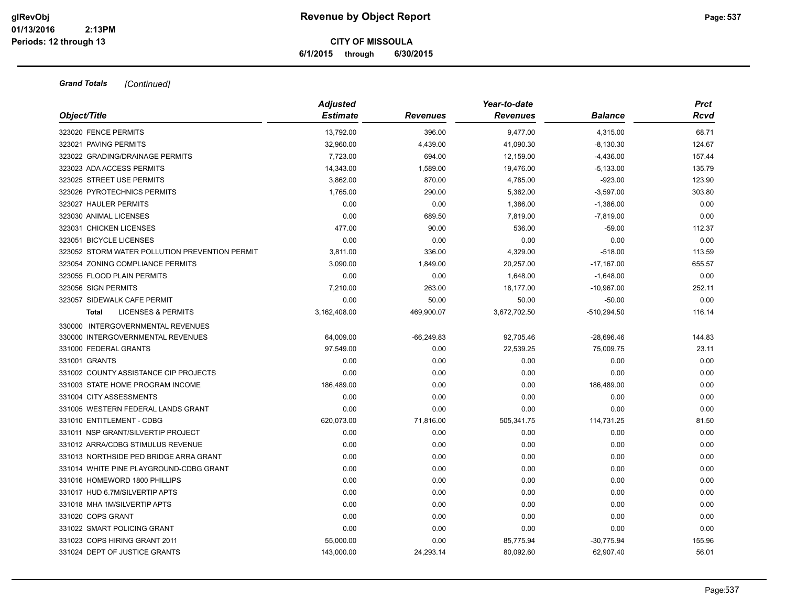**6/1/2015 through 6/30/2015**

| Object/Title                                   | <b>Adjusted</b><br><b>Estimate</b> | <b>Revenues</b> | Year-to-date<br><b>Revenues</b> | <b>Balance</b> | Prct<br>Rcvd |
|------------------------------------------------|------------------------------------|-----------------|---------------------------------|----------------|--------------|
| 323020 FENCE PERMITS                           | 13,792.00                          | 396.00          | 9,477.00                        | 4,315.00       | 68.71        |
| 323021 PAVING PERMITS                          | 32,960.00                          | 4,439.00        | 41,090.30                       | $-8,130.30$    | 124.67       |
| 323022 GRADING/DRAINAGE PERMITS                | 7,723.00                           | 694.00          | 12,159.00                       | $-4,436.00$    | 157.44       |
| 323023 ADA ACCESS PERMITS                      | 14,343.00                          | 1,589.00        | 19,476.00                       | $-5,133.00$    | 135.79       |
| 323025 STREET USE PERMITS                      | 3,862.00                           | 870.00          | 4,785.00                        | $-923.00$      | 123.90       |
| 323026 PYROTECHNICS PERMITS                    | 1,765.00                           | 290.00          | 5,362.00                        | $-3,597.00$    | 303.80       |
| 323027 HAULER PERMITS                          | 0.00                               | 0.00            | 1,386.00                        | $-1,386.00$    | 0.00         |
| 323030 ANIMAL LICENSES                         | 0.00                               | 689.50          | 7,819.00                        | $-7,819.00$    | 0.00         |
| 323031 CHICKEN LICENSES                        | 477.00                             | 90.00           | 536.00                          | $-59.00$       | 112.37       |
| 323051 BICYCLE LICENSES                        | 0.00                               | 0.00            | 0.00                            | 0.00           | 0.00         |
| 323052 STORM WATER POLLUTION PREVENTION PERMIT | 3,811.00                           | 336.00          | 4,329.00                        | $-518.00$      | 113.59       |
| 323054 ZONING COMPLIANCE PERMITS               | 3,090.00                           | 1,849.00        | 20,257.00                       | $-17,167.00$   | 655.57       |
| 323055 FLOOD PLAIN PERMITS                     | 0.00                               | 0.00            | 1,648.00                        | $-1,648.00$    | 0.00         |
| 323056 SIGN PERMITS                            | 7,210.00                           | 263.00          | 18,177.00                       | $-10,967.00$   | 252.11       |
| 323057 SIDEWALK CAFE PERMIT                    | 0.00                               | 50.00           | 50.00                           | $-50.00$       | 0.00         |
| <b>LICENSES &amp; PERMITS</b><br><b>Total</b>  | 3,162,408.00                       | 469,900.07      | 3,672,702.50                    | $-510,294.50$  | 116.14       |
| 330000 INTERGOVERNMENTAL REVENUES              |                                    |                 |                                 |                |              |
| 330000 INTERGOVERNMENTAL REVENUES              | 64,009.00                          | $-66,249.83$    | 92,705.46                       | $-28,696.46$   | 144.83       |
| 331000 FEDERAL GRANTS                          | 97,549.00                          | 0.00            | 22,539.25                       | 75,009.75      | 23.11        |
| 331001 GRANTS                                  | 0.00                               | 0.00            | 0.00                            | 0.00           | 0.00         |
| 331002 COUNTY ASSISTANCE CIP PROJECTS          | 0.00                               | 0.00            | 0.00                            | 0.00           | 0.00         |
| 331003 STATE HOME PROGRAM INCOME               | 186,489.00                         | 0.00            | 0.00                            | 186,489.00     | 0.00         |
| 331004 CITY ASSESSMENTS                        | 0.00                               | 0.00            | 0.00                            | 0.00           | 0.00         |
| 331005 WESTERN FEDERAL LANDS GRANT             | 0.00                               | 0.00            | 0.00                            | 0.00           | 0.00         |
| 331010 ENTITLEMENT - CDBG                      | 620,073.00                         | 71,816.00       | 505,341.75                      | 114,731.25     | 81.50        |
| 331011 NSP GRANT/SILVERTIP PROJECT             | 0.00                               | 0.00            | 0.00                            | 0.00           | 0.00         |
| 331012 ARRA/CDBG STIMULUS REVENUE              | 0.00                               | 0.00            | 0.00                            | 0.00           | 0.00         |
| 331013 NORTHSIDE PED BRIDGE ARRA GRANT         | 0.00                               | 0.00            | 0.00                            | 0.00           | 0.00         |
| 331014 WHITE PINE PLAYGROUND-CDBG GRANT        | 0.00                               | 0.00            | 0.00                            | 0.00           | 0.00         |
| 331016 HOMEWORD 1800 PHILLIPS                  | 0.00                               | 0.00            | 0.00                            | 0.00           | 0.00         |
| 331017 HUD 6.7M/SILVERTIP APTS                 | 0.00                               | 0.00            | 0.00                            | 0.00           | 0.00         |
| 331018 MHA 1M/SILVERTIP APTS                   | 0.00                               | 0.00            | 0.00                            | 0.00           | 0.00         |
| 331020 COPS GRANT                              | 0.00                               | 0.00            | 0.00                            | 0.00           | 0.00         |
| 331022 SMART POLICING GRANT                    | 0.00                               | 0.00            | 0.00                            | 0.00           | 0.00         |
| 331023 COPS HIRING GRANT 2011                  | 55,000.00                          | 0.00            | 85,775.94                       | $-30,775.94$   | 155.96       |
| 331024 DEPT OF JUSTICE GRANTS                  | 143.000.00                         | 24.293.14       | 80.092.60                       | 62.907.40      | 56.01        |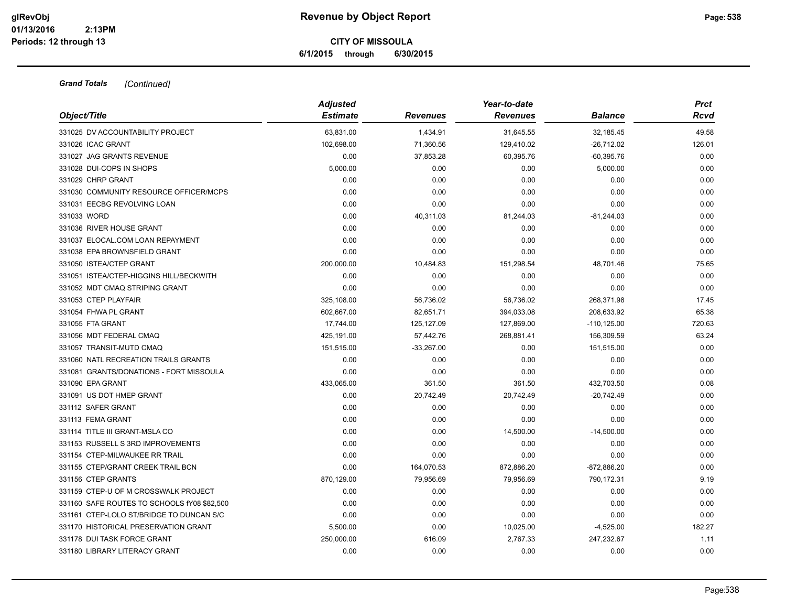**6/1/2015 through 6/30/2015**

|                                             | <b>Adjusted</b> |                 | Year-to-date    |                | <b>Prct</b> |
|---------------------------------------------|-----------------|-----------------|-----------------|----------------|-------------|
| Object/Title                                | <b>Estimate</b> | <b>Revenues</b> | <b>Revenues</b> | <b>Balance</b> | Rcvd        |
| 331025 DV ACCOUNTABILITY PROJECT            | 63.831.00       | 1,434.91        | 31,645.55       | 32,185.45      | 49.58       |
| 331026 ICAC GRANT                           | 102,698.00      | 71,360.56       | 129,410.02      | $-26,712.02$   | 126.01      |
| 331027 JAG GRANTS REVENUE                   | 0.00            | 37,853.28       | 60,395.76       | $-60,395.76$   | 0.00        |
| 331028 DUI-COPS IN SHOPS                    | 5,000.00        | 0.00            | 0.00            | 5,000.00       | 0.00        |
| 331029 CHRP GRANT                           | 0.00            | 0.00            | 0.00            | 0.00           | 0.00        |
| 331030 COMMUNITY RESOURCE OFFICER/MCPS      | 0.00            | 0.00            | 0.00            | 0.00           | 0.00        |
| 331031 EECBG REVOLVING LOAN                 | 0.00            | 0.00            | 0.00            | 0.00           | 0.00        |
| 331033 WORD                                 | 0.00            | 40,311.03       | 81,244.03       | $-81,244.03$   | 0.00        |
| 331036 RIVER HOUSE GRANT                    | 0.00            | 0.00            | 0.00            | 0.00           | 0.00        |
| 331037 ELOCAL.COM LOAN REPAYMENT            | 0.00            | 0.00            | 0.00            | 0.00           | 0.00        |
| 331038 EPA BROWNSFIELD GRANT                | 0.00            | 0.00            | 0.00            | 0.00           | 0.00        |
| 331050 ISTEA/CTEP GRANT                     | 200,000.00      | 10,484.83       | 151,298.54      | 48,701.46      | 75.65       |
| 331051 ISTEA/CTEP-HIGGINS HILL/BECKWITH     | 0.00            | 0.00            | 0.00            | 0.00           | 0.00        |
| 331052 MDT CMAQ STRIPING GRANT              | 0.00            | 0.00            | 0.00            | 0.00           | 0.00        |
| 331053 CTEP PLAYFAIR                        | 325,108.00      | 56,736.02       | 56,736.02       | 268,371.98     | 17.45       |
| 331054 FHWA PL GRANT                        | 602,667.00      | 82,651.71       | 394,033.08      | 208,633.92     | 65.38       |
| 331055 FTA GRANT                            | 17,744.00       | 125,127.09      | 127,869.00      | $-110, 125.00$ | 720.63      |
| 331056 MDT FEDERAL CMAQ                     | 425,191.00      | 57,442.76       | 268,881.41      | 156,309.59     | 63.24       |
| 331057 TRANSIT-MUTD CMAQ                    | 151,515.00      | $-33,267.00$    | 0.00            | 151,515.00     | 0.00        |
| 331060 NATL RECREATION TRAILS GRANTS        | 0.00            | 0.00            | 0.00            | 0.00           | 0.00        |
| 331081 GRANTS/DONATIONS - FORT MISSOULA     | 0.00            | 0.00            | 0.00            | 0.00           | 0.00        |
| 331090 EPA GRANT                            | 433.065.00      | 361.50          | 361.50          | 432,703.50     | 0.08        |
| 331091 US DOT HMEP GRANT                    | 0.00            | 20,742.49       | 20,742.49       | $-20,742.49$   | 0.00        |
| 331112 SAFER GRANT                          | 0.00            | 0.00            | 0.00            | 0.00           | 0.00        |
| 331113 FEMA GRANT                           | 0.00            | 0.00            | 0.00            | 0.00           | 0.00        |
| 331114 TITLE III GRANT-MSLA CO              | 0.00            | 0.00            | 14,500.00       | $-14,500.00$   | 0.00        |
| 331153 RUSSELL S 3RD IMPROVEMENTS           | 0.00            | 0.00            | 0.00            | 0.00           | 0.00        |
| 331154 CTEP-MILWAUKEE RR TRAIL              | 0.00            | 0.00            | 0.00            | 0.00           | 0.00        |
| 331155 CTEP/GRANT CREEK TRAIL BCN           | 0.00            | 164,070.53      | 872,886.20      | $-872,886.20$  | 0.00        |
| 331156 CTEP GRANTS                          | 870,129.00      | 79,956.69       | 79,956.69       | 790,172.31     | 9.19        |
| 331159 CTEP-U OF M CROSSWALK PROJECT        | 0.00            | 0.00            | 0.00            | 0.00           | 0.00        |
| 331160 SAFE ROUTES TO SCHOOLS fY08 \$82,500 | 0.00            | 0.00            | 0.00            | 0.00           | 0.00        |
| 331161 CTEP-LOLO ST/BRIDGE TO DUNCAN S/C    | 0.00            | 0.00            | 0.00            | 0.00           | 0.00        |
| 331170 HISTORICAL PRESERVATION GRANT        | 5,500.00        | 0.00            | 10,025.00       | $-4,525.00$    | 182.27      |
| 331178 DUI TASK FORCE GRANT                 | 250,000.00      | 616.09          | 2,767.33        | 247,232.67     | 1.11        |
| 331180 LIBRARY LITERACY GRANT               | 0.00            | 0.00            | 0.00            | 0.00           | 0.00        |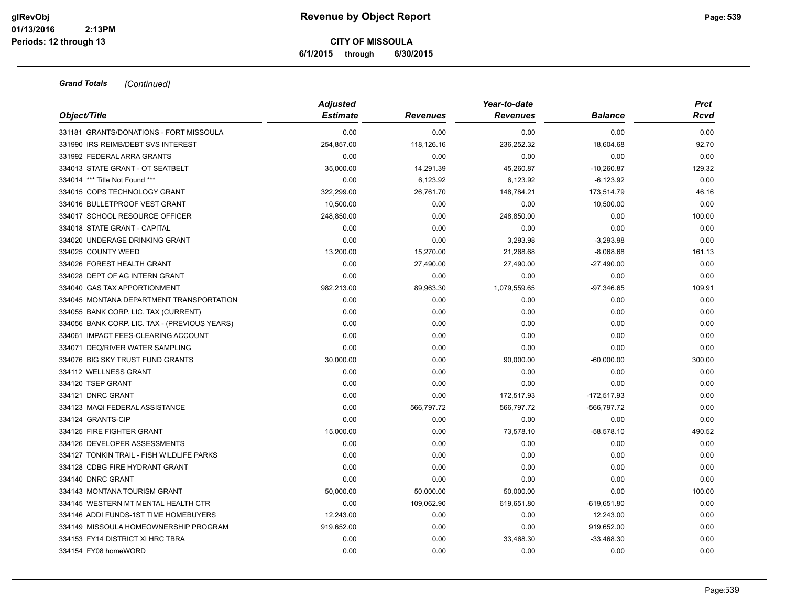**6/1/2015 through 6/30/2015**

|                                               | <b>Adjusted</b> | Year-to-date    |                 |                | <b>Prct</b> |
|-----------------------------------------------|-----------------|-----------------|-----------------|----------------|-------------|
| Object/Title                                  | <b>Estimate</b> | <b>Revenues</b> | <b>Revenues</b> | <b>Balance</b> | Rcvd        |
| 331181 GRANTS/DONATIONS - FORT MISSOULA       | 0.00            | 0.00            | 0.00            | 0.00           | 0.00        |
| 331990 IRS REIMB/DEBT SVS INTEREST            | 254,857.00      | 118,126.16      | 236,252.32      | 18,604.68      | 92.70       |
| 331992 FEDERAL ARRA GRANTS                    | 0.00            | 0.00            | 0.00            | 0.00           | 0.00        |
| 334013 STATE GRANT - OT SEATBELT              | 35,000.00       | 14,291.39       | 45,260.87       | $-10,260.87$   | 129.32      |
| 334014 *** Title Not Found ***                | 0.00            | 6,123.92        | 6,123.92        | $-6,123.92$    | 0.00        |
| 334015 COPS TECHNOLOGY GRANT                  | 322.299.00      | 26,761.70       | 148,784.21      | 173,514.79     | 46.16       |
| 334016 BULLETPROOF VEST GRANT                 | 10,500.00       | 0.00            | 0.00            | 10,500.00      | 0.00        |
| 334017 SCHOOL RESOURCE OFFICER                | 248,850.00      | 0.00            | 248,850.00      | 0.00           | 100.00      |
| 334018 STATE GRANT - CAPITAL                  | 0.00            | 0.00            | 0.00            | 0.00           | 0.00        |
| 334020 UNDERAGE DRINKING GRANT                | 0.00            | 0.00            | 3,293.98        | $-3,293.98$    | 0.00        |
| 334025 COUNTY WEED                            | 13,200.00       | 15,270.00       | 21,268.68       | $-8,068.68$    | 161.13      |
| 334026 FOREST HEALTH GRANT                    | 0.00            | 27,490.00       | 27,490.00       | $-27,490.00$   | 0.00        |
| 334028 DEPT OF AG INTERN GRANT                | 0.00            | 0.00            | 0.00            | 0.00           | 0.00        |
| 334040 GAS TAX APPORTIONMENT                  | 982,213.00      | 89,963.30       | 1,079,559.65    | $-97,346.65$   | 109.91      |
| 334045 MONTANA DEPARTMENT TRANSPORTATION      | 0.00            | 0.00            | 0.00            | 0.00           | 0.00        |
| 334055 BANK CORP. LIC. TAX (CURRENT)          | 0.00            | 0.00            | 0.00            | 0.00           | 0.00        |
| 334056 BANK CORP. LIC. TAX - (PREVIOUS YEARS) | 0.00            | 0.00            | 0.00            | 0.00           | 0.00        |
| 334061 IMPACT FEES-CLEARING ACCOUNT           | 0.00            | 0.00            | 0.00            | 0.00           | 0.00        |
| 334071 DEQ/RIVER WATER SAMPLING               | 0.00            | 0.00            | 0.00            | 0.00           | 0.00        |
| 334076 BIG SKY TRUST FUND GRANTS              | 30.000.00       | 0.00            | 90.000.00       | $-60,000.00$   | 300.00      |
| 334112 WELLNESS GRANT                         | 0.00            | 0.00            | 0.00            | 0.00           | 0.00        |
| 334120 TSEP GRANT                             | 0.00            | 0.00            | 0.00            | 0.00           | 0.00        |
| 334121 DNRC GRANT                             | 0.00            | 0.00            | 172,517.93      | $-172,517.93$  | 0.00        |
| 334123 MAQI FEDERAL ASSISTANCE                | 0.00            | 566,797.72      | 566,797.72      | $-566,797.72$  | 0.00        |
| 334124 GRANTS-CIP                             | 0.00            | 0.00            | 0.00            | 0.00           | 0.00        |
| 334125 FIRE FIGHTER GRANT                     | 15,000.00       | 0.00            | 73,578.10       | $-58,578.10$   | 490.52      |
| 334126 DEVELOPER ASSESSMENTS                  | 0.00            | 0.00            | 0.00            | 0.00           | 0.00        |
| 334127 TONKIN TRAIL - FISH WILDLIFE PARKS     | 0.00            | 0.00            | 0.00            | 0.00           | 0.00        |
| 334128 CDBG FIRE HYDRANT GRANT                | 0.00            | 0.00            | 0.00            | 0.00           | 0.00        |
| 334140 DNRC GRANT                             | 0.00            | 0.00            | 0.00            | 0.00           | 0.00        |
| 334143 MONTANA TOURISM GRANT                  | 50,000.00       | 50,000.00       | 50,000.00       | 0.00           | 100.00      |
| 334145 WESTERN MT MENTAL HEALTH CTR           | 0.00            | 109,062.90      | 619,651.80      | $-619,651.80$  | 0.00        |
| 334146 ADDI FUNDS-1ST TIME HOMEBUYERS         | 12,243.00       | 0.00            | 0.00            | 12,243.00      | 0.00        |
| 334149 MISSOULA HOMEOWNERSHIP PROGRAM         | 919,652.00      | 0.00            | 0.00            | 919,652.00     | 0.00        |
| 334153 FY14 DISTRICT XI HRC TBRA              | 0.00            | 0.00            | 33,468.30       | $-33,468.30$   | 0.00        |
| 334154 FY08 homeWORD                          | 0.00            | 0.00            | 0.00            | 0.00           | 0.00        |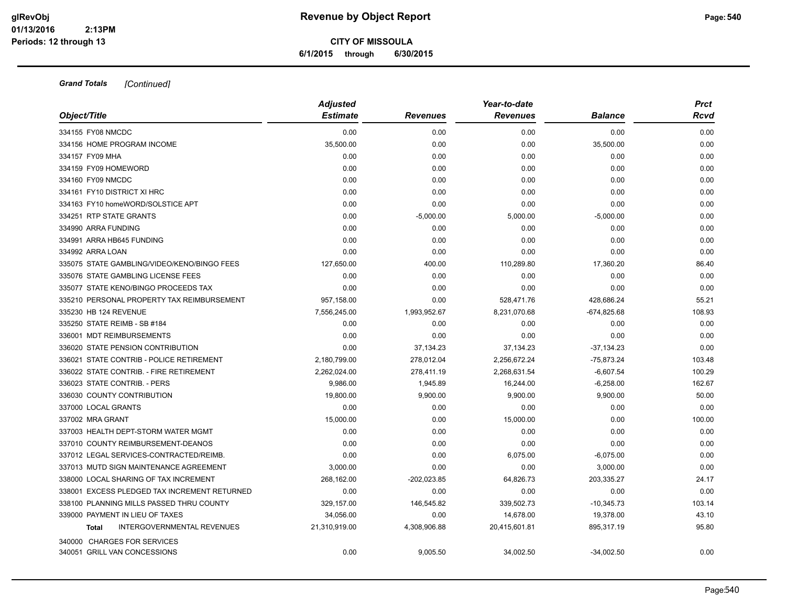**6/1/2015 through 6/30/2015**

|                                                   | <b>Adjusted</b> |                 | Year-to-date    |                | <b>Prct</b> |
|---------------------------------------------------|-----------------|-----------------|-----------------|----------------|-------------|
| Object/Title                                      | <b>Estimate</b> | <b>Revenues</b> | <b>Revenues</b> | <b>Balance</b> | Rcvd        |
| 334155 FY08 NMCDC                                 | 0.00            | 0.00            | 0.00            | 0.00           | 0.00        |
| 334156 HOME PROGRAM INCOME                        | 35,500.00       | 0.00            | 0.00            | 35,500.00      | 0.00        |
| 334157 FY09 MHA                                   | 0.00            | 0.00            | 0.00            | 0.00           | 0.00        |
| 334159 FY09 HOMEWORD                              | 0.00            | 0.00            | 0.00            | 0.00           | 0.00        |
| 334160 FY09 NMCDC                                 | 0.00            | 0.00            | 0.00            | 0.00           | 0.00        |
| 334161 FY10 DISTRICT XI HRC                       | 0.00            | 0.00            | 0.00            | 0.00           | 0.00        |
| 334163 FY10 homeWORD/SOLSTICE APT                 | 0.00            | 0.00            | 0.00            | 0.00           | 0.00        |
| 334251 RTP STATE GRANTS                           | 0.00            | $-5,000.00$     | 5,000.00        | $-5,000.00$    | 0.00        |
| 334990 ARRA FUNDING                               | 0.00            | 0.00            | 0.00            | 0.00           | 0.00        |
| 334991 ARRA HB645 FUNDING                         | 0.00            | 0.00            | 0.00            | 0.00           | 0.00        |
| 334992 ARRA LOAN                                  | 0.00            | 0.00            | 0.00            | 0.00           | 0.00        |
| 335075 STATE GAMBLING/VIDEO/KENO/BINGO FEES       | 127,650.00      | 400.00          | 110,289.80      | 17,360.20      | 86.40       |
| 335076 STATE GAMBLING LICENSE FEES                | 0.00            | 0.00            | 0.00            | 0.00           | 0.00        |
| 335077 STATE KENO/BINGO PROCEEDS TAX              | 0.00            | 0.00            | 0.00            | 0.00           | 0.00        |
| 335210 PERSONAL PROPERTY TAX REIMBURSEMENT        | 957,158.00      | 0.00            | 528,471.76      | 428,686.24     | 55.21       |
| 335230 HB 124 REVENUE                             | 7,556,245.00    | 1,993,952.67    | 8,231,070.68    | -674,825.68    | 108.93      |
| 335250 STATE REIMB - SB #184                      | 0.00            | 0.00            | 0.00            | 0.00           | 0.00        |
| 336001 MDT REIMBURSEMENTS                         | 0.00            | 0.00            | 0.00            | 0.00           | 0.00        |
| 336020 STATE PENSION CONTRIBUTION                 | 0.00            | 37,134.23       | 37,134.23       | $-37,134.23$   | 0.00        |
| 336021 STATE CONTRIB - POLICE RETIREMENT          | 2,180,799.00    | 278,012.04      | 2,256,672.24    | $-75,873.24$   | 103.48      |
| 336022 STATE CONTRIB. - FIRE RETIREMENT           | 2,262,024.00    | 278,411.19      | 2,268,631.54    | $-6,607.54$    | 100.29      |
| 336023 STATE CONTRIB. - PERS                      | 9.986.00        | 1,945.89        | 16,244.00       | $-6,258.00$    | 162.67      |
| 336030 COUNTY CONTRIBUTION                        | 19,800.00       | 9,900.00        | 9,900.00        | 9,900.00       | 50.00       |
| 337000 LOCAL GRANTS                               | 0.00            | 0.00            | 0.00            | 0.00           | 0.00        |
| 337002 MRA GRANT                                  | 15,000.00       | 0.00            | 15,000.00       | 0.00           | 100.00      |
| 337003 HEALTH DEPT-STORM WATER MGMT               | 0.00            | 0.00            | 0.00            | 0.00           | 0.00        |
| 337010 COUNTY REIMBURSEMENT-DEANOS                | 0.00            | 0.00            | 0.00            | 0.00           | 0.00        |
| 337012 LEGAL SERVICES-CONTRACTED/REIMB.           | 0.00            | 0.00            | 6,075.00        | $-6,075.00$    | 0.00        |
| 337013 MUTD SIGN MAINTENANCE AGREEMENT            | 3,000.00        | 0.00            | 0.00            | 3,000.00       | 0.00        |
| 338000 LOCAL SHARING OF TAX INCREMENT             | 268,162.00      | $-202,023.85$   | 64,826.73       | 203,335.27     | 24.17       |
| 338001 EXCESS PLEDGED TAX INCREMENT RETURNED      | 0.00            | 0.00            | 0.00            | 0.00           | 0.00        |
| 338100 PLANNING MILLS PASSED THRU COUNTY          | 329,157.00      | 146,545.82      | 339,502.73      | $-10,345.73$   | 103.14      |
| 339000 PAYMENT IN LIEU OF TAXES                   | 34,056.00       | 0.00            | 14,678.00       | 19,378.00      | 43.10       |
| <b>INTERGOVERNMENTAL REVENUES</b><br><b>Total</b> | 21,310,919.00   | 4,308,906.88    | 20,415,601.81   | 895,317.19     | 95.80       |
| 340000 CHARGES FOR SERVICES                       |                 |                 |                 |                |             |
| 340051 GRILL VAN CONCESSIONS                      | 0.00            | 9,005.50        | 34,002.50       | $-34,002.50$   | 0.00        |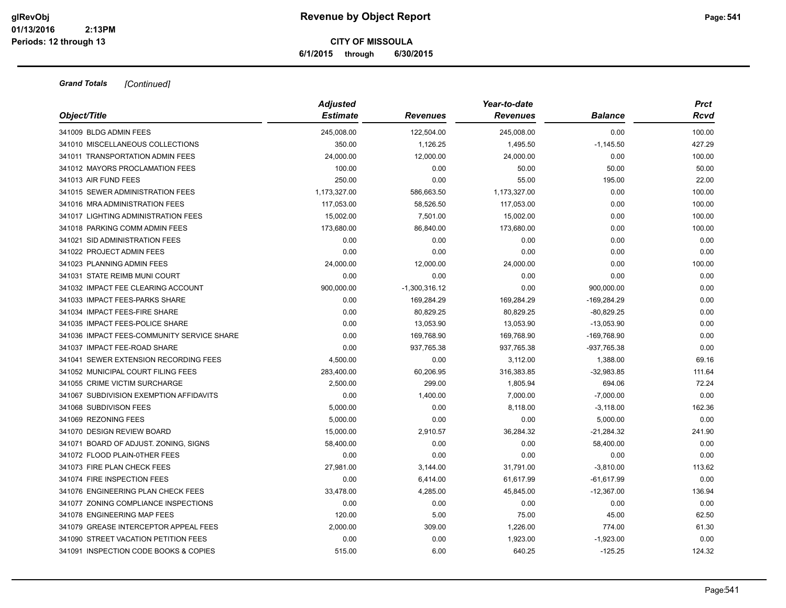**6/1/2015 through 6/30/2015**

|                                            | <b>Adjusted</b> |                 | Year-to-date    |                |        |  |
|--------------------------------------------|-----------------|-----------------|-----------------|----------------|--------|--|
| Object/Title                               | <b>Estimate</b> | <b>Revenues</b> | <b>Revenues</b> | <b>Balance</b> | Rcvd   |  |
| 341009 BLDG ADMIN FEES                     | 245,008.00      | 122,504.00      | 245,008.00      | 0.00           | 100.00 |  |
| 341010 MISCELLANEOUS COLLECTIONS           | 350.00          | 1,126.25        | 1,495.50        | $-1,145.50$    | 427.29 |  |
| 341011 TRANSPORTATION ADMIN FEES           | 24,000.00       | 12,000.00       | 24,000.00       | 0.00           | 100.00 |  |
| 341012 MAYORS PROCLAMATION FEES            | 100.00          | 0.00            | 50.00           | 50.00          | 50.00  |  |
| 341013 AIR FUND FEES                       | 250.00          | 0.00            | 55.00           | 195.00         | 22.00  |  |
| 341015 SEWER ADMINISTRATION FEES           | 1,173,327.00    | 586,663.50      | 1,173,327.00    | 0.00           | 100.00 |  |
| 341016 MRA ADMINISTRATION FEES             | 117,053.00      | 58,526.50       | 117,053.00      | 0.00           | 100.00 |  |
| 341017 LIGHTING ADMINISTRATION FEES        | 15,002.00       | 7,501.00        | 15,002.00       | 0.00           | 100.00 |  |
| 341018 PARKING COMM ADMIN FEES             | 173,680.00      | 86,840.00       | 173,680.00      | 0.00           | 100.00 |  |
| 341021 SID ADMINISTRATION FEES             | 0.00            | 0.00            | 0.00            | 0.00           | 0.00   |  |
| 341022 PROJECT ADMIN FEES                  | 0.00            | 0.00            | 0.00            | 0.00           | 0.00   |  |
| 341023 PLANNING ADMIN FEES                 | 24,000.00       | 12,000.00       | 24,000.00       | 0.00           | 100.00 |  |
| 341031 STATE REIMB MUNI COURT              | 0.00            | 0.00            | 0.00            | 0.00           | 0.00   |  |
| 341032 IMPACT FEE CLEARING ACCOUNT         | 900,000.00      | $-1,300,316.12$ | 0.00            | 900,000.00     | 0.00   |  |
| 341033 IMPACT FEES-PARKS SHARE             | 0.00            | 169,284.29      | 169,284.29      | -169,284.29    | 0.00   |  |
| 341034 IMPACT FEES-FIRE SHARE              | 0.00            | 80,829.25       | 80,829.25       | $-80,829.25$   | 0.00   |  |
| 341035 IMPACT FEES-POLICE SHARE            | 0.00            | 13,053.90       | 13,053.90       | $-13,053.90$   | 0.00   |  |
| 341036 IMPACT FEES-COMMUNITY SERVICE SHARE | 0.00            | 169,768.90      | 169,768.90      | -169,768.90    | 0.00   |  |
| 341037 IMPACT FEE-ROAD SHARE               | 0.00            | 937,765.38      | 937,765.38      | -937,765.38    | 0.00   |  |
| 341041 SEWER EXTENSION RECORDING FEES      | 4,500.00        | 0.00            | 3,112.00        | 1,388.00       | 69.16  |  |
| 341052 MUNICIPAL COURT FILING FEES         | 283,400.00      | 60,206.95       | 316,383.85      | $-32,983.85$   | 111.64 |  |
| 341055 CRIME VICTIM SURCHARGE              | 2,500.00        | 299.00          | 1,805.94        | 694.06         | 72.24  |  |
| 341067 SUBDIVISION EXEMPTION AFFIDAVITS    | 0.00            | 1,400.00        | 7,000.00        | $-7,000.00$    | 0.00   |  |
| 341068 SUBDIVISON FEES                     | 5,000.00        | 0.00            | 8,118.00        | $-3,118.00$    | 162.36 |  |
| 341069 REZONING FEES                       | 5,000.00        | 0.00            | 0.00            | 5,000.00       | 0.00   |  |
| 341070 DESIGN REVIEW BOARD                 | 15,000.00       | 2,910.57        | 36,284.32       | $-21,284.32$   | 241.90 |  |
| 341071 BOARD OF ADJUST. ZONING, SIGNS      | 58,400.00       | 0.00            | 0.00            | 58,400.00      | 0.00   |  |
| 341072 FLOOD PLAIN-0THER FEES              | 0.00            | 0.00            | 0.00            | 0.00           | 0.00   |  |
| 341073 FIRE PLAN CHECK FEES                | 27,981.00       | 3,144.00        | 31,791.00       | $-3,810.00$    | 113.62 |  |
| 341074 FIRE INSPECTION FEES                | 0.00            | 6,414.00        | 61,617.99       | $-61,617.99$   | 0.00   |  |
| 341076 ENGINEERING PLAN CHECK FEES         | 33,478.00       | 4,285.00        | 45,845.00       | $-12,367.00$   | 136.94 |  |
| 341077 ZONING COMPLIANCE INSPECTIONS       | 0.00            | 0.00            | 0.00            | 0.00           | 0.00   |  |
| 341078 ENGINEERING MAP FEES                | 120.00          | 5.00            | 75.00           | 45.00          | 62.50  |  |
| 341079 GREASE INTERCEPTOR APPEAL FEES      | 2,000.00        | 309.00          | 1,226.00        | 774.00         | 61.30  |  |
| 341090 STREET VACATION PETITION FEES       | 0.00            | 0.00            | 1,923.00        | $-1,923.00$    | 0.00   |  |
| 341091 INSPECTION CODE BOOKS & COPIES      | 515.00          | 6.00            | 640.25          | $-125.25$      | 124.32 |  |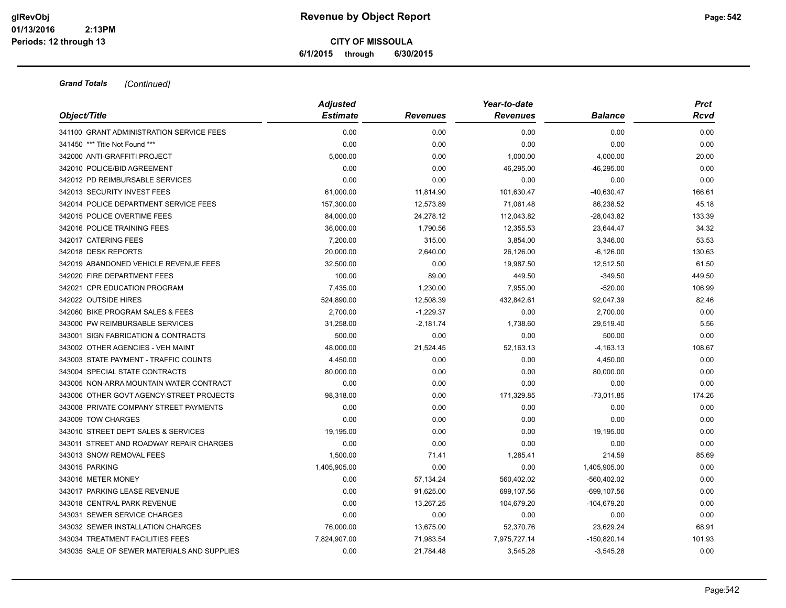**6/1/2015 through 6/30/2015**

|                                             | <b>Adjusted</b> |                 | Year-to-date    |                |        |  |  |
|---------------------------------------------|-----------------|-----------------|-----------------|----------------|--------|--|--|
| Object/Title                                | <b>Estimate</b> | <b>Revenues</b> | <b>Revenues</b> | <b>Balance</b> | Rcvd   |  |  |
| 341100 GRANT ADMINISTRATION SERVICE FEES    | 0.00            | 0.00            | 0.00            | 0.00           | 0.00   |  |  |
| 341450 *** Title Not Found ***              | 0.00            | 0.00            | 0.00            | 0.00           | 0.00   |  |  |
| 342000 ANTI-GRAFFITI PROJECT                | 5,000.00        | 0.00            | 1,000.00        | 4,000.00       | 20.00  |  |  |
| 342010 POLICE/BID AGREEMENT                 | 0.00            | 0.00            | 46,295.00       | $-46,295.00$   | 0.00   |  |  |
| 342012 PD REIMBURSABLE SERVICES             | 0.00            | 0.00            | 0.00            | 0.00           | 0.00   |  |  |
| 342013 SECURITY INVEST FEES                 | 61,000.00       | 11,814.90       | 101,630.47      | $-40,630.47$   | 166.61 |  |  |
| 342014 POLICE DEPARTMENT SERVICE FEES       | 157,300.00      | 12,573.89       | 71,061.48       | 86,238.52      | 45.18  |  |  |
| 342015 POLICE OVERTIME FEES                 | 84,000.00       | 24,278.12       | 112,043.82      | $-28,043.82$   | 133.39 |  |  |
| 342016 POLICE TRAINING FEES                 | 36,000.00       | 1,790.56        | 12,355.53       | 23,644.47      | 34.32  |  |  |
| 342017 CATERING FEES                        | 7,200.00        | 315.00          | 3,854.00        | 3,346.00       | 53.53  |  |  |
| 342018 DESK REPORTS                         | 20,000.00       | 2,640.00        | 26,126.00       | $-6,126.00$    | 130.63 |  |  |
| 342019 ABANDONED VEHICLE REVENUE FEES       | 32,500.00       | 0.00            | 19,987.50       | 12,512.50      | 61.50  |  |  |
| 342020 FIRE DEPARTMENT FEES                 | 100.00          | 89.00           | 449.50          | $-349.50$      | 449.50 |  |  |
| 342021 CPR EDUCATION PROGRAM                | 7,435.00        | 1,230.00        | 7,955.00        | $-520.00$      | 106.99 |  |  |
| 342022 OUTSIDE HIRES                        | 524,890.00      | 12,508.39       | 432,842.61      | 92,047.39      | 82.46  |  |  |
| 342060 BIKE PROGRAM SALES & FEES            | 2,700.00        | $-1,229.37$     | 0.00            | 2,700.00       | 0.00   |  |  |
| 343000 PW REIMBURSABLE SERVICES             | 31,258.00       | $-2,181.74$     | 1,738.60        | 29,519.40      | 5.56   |  |  |
| 343001 SIGN FABRICATION & CONTRACTS         | 500.00          | 0.00            | 0.00            | 500.00         | 0.00   |  |  |
| 343002 OTHER AGENCIES - VEH MAINT           | 48,000.00       | 21,524.45       | 52,163.13       | $-4,163.13$    | 108.67 |  |  |
| 343003 STATE PAYMENT - TRAFFIC COUNTS       | 4,450.00        | 0.00            | 0.00            | 4,450.00       | 0.00   |  |  |
| 343004 SPECIAL STATE CONTRACTS              | 80,000.00       | 0.00            | 0.00            | 80,000.00      | 0.00   |  |  |
| 343005 NON-ARRA MOUNTAIN WATER CONTRACT     | 0.00            | 0.00            | 0.00            | 0.00           | 0.00   |  |  |
| 343006 OTHER GOVT AGENCY-STREET PROJECTS    | 98,318.00       | 0.00            | 171,329.85      | $-73,011.85$   | 174.26 |  |  |
| 343008 PRIVATE COMPANY STREET PAYMENTS      | 0.00            | 0.00            | 0.00            | 0.00           | 0.00   |  |  |
| 343009 TOW CHARGES                          | 0.00            | 0.00            | 0.00            | 0.00           | 0.00   |  |  |
| 343010 STREET DEPT SALES & SERVICES         | 19,195.00       | 0.00            | 0.00            | 19,195.00      | 0.00   |  |  |
| 343011 STREET AND ROADWAY REPAIR CHARGES    | 0.00            | 0.00            | 0.00            | 0.00           | 0.00   |  |  |
| 343013 SNOW REMOVAL FEES                    | 1,500.00        | 71.41           | 1,285.41        | 214.59         | 85.69  |  |  |
| 343015 PARKING                              | 1,405,905.00    | 0.00            | 0.00            | 1,405,905.00   | 0.00   |  |  |
| 343016 METER MONEY                          | 0.00            | 57,134.24       | 560,402.02      | $-560,402.02$  | 0.00   |  |  |
| 343017 PARKING LEASE REVENUE                | 0.00            | 91,625.00       | 699,107.56      | $-699, 107.56$ | 0.00   |  |  |
| 343018 CENTRAL PARK REVENUE                 | 0.00            | 13,267.25       | 104,679.20      | $-104,679.20$  | 0.00   |  |  |
| 343031 SEWER SERVICE CHARGES                | 0.00            | 0.00            | 0.00            | 0.00           | 0.00   |  |  |
| 343032 SEWER INSTALLATION CHARGES           | 76,000.00       | 13,675.00       | 52,370.76       | 23,629.24      | 68.91  |  |  |
| 343034 TREATMENT FACILITIES FEES            | 7,824,907.00    | 71,983.54       | 7,975,727.14    | $-150,820.14$  | 101.93 |  |  |
| 343035 SALE OF SEWER MATERIALS AND SUPPLIES | 0.00            | 21,784.48       | 3,545.28        | $-3,545.28$    | 0.00   |  |  |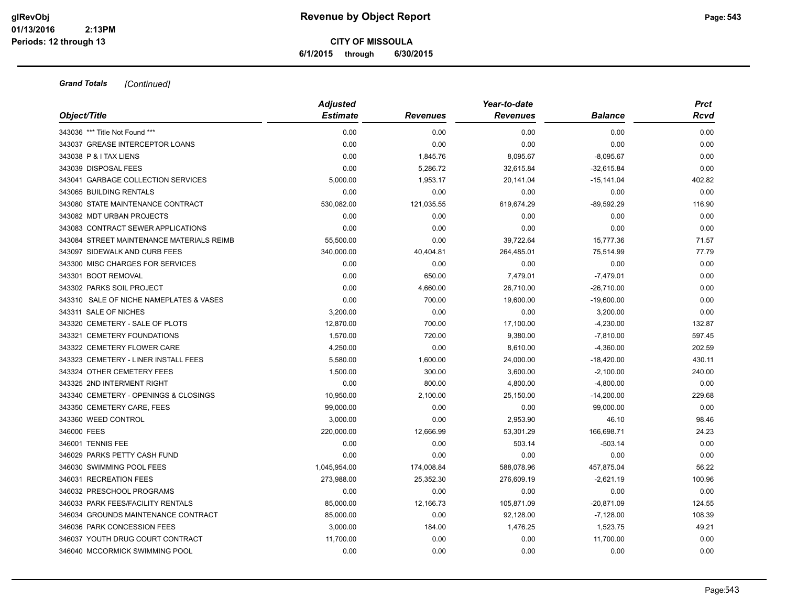**6/1/2015 through 6/30/2015**

|                                           | <b>Adjusted</b> |                 | Year-to-date    |                | <b>Prct</b><br>Rcvd |
|-------------------------------------------|-----------------|-----------------|-----------------|----------------|---------------------|
| Object/Title                              | <b>Estimate</b> | <b>Revenues</b> | <b>Revenues</b> | <b>Balance</b> |                     |
| 343036 *** Title Not Found ***            | 0.00            | 0.00            | 0.00            | 0.00           | 0.00                |
| 343037 GREASE INTERCEPTOR LOANS           | 0.00            | 0.00            | 0.00            | 0.00           | 0.00                |
| 343038 P & I TAX LIENS                    | 0.00            | 1,845.76        | 8,095.67        | $-8,095.67$    | 0.00                |
| 343039 DISPOSAL FEES                      | 0.00            | 5,286.72        | 32,615.84       | $-32,615.84$   | 0.00                |
| 343041 GARBAGE COLLECTION SERVICES        | 5,000.00        | 1,953.17        | 20,141.04       | $-15,141.04$   | 402.82              |
| 343065 BUILDING RENTALS                   | 0.00            | 0.00            | 0.00            | 0.00           | 0.00                |
| 343080 STATE MAINTENANCE CONTRACT         | 530,082.00      | 121,035.55      | 619,674.29      | $-89,592.29$   | 116.90              |
| 343082 MDT URBAN PROJECTS                 | 0.00            | 0.00            | 0.00            | 0.00           | 0.00                |
| 343083 CONTRACT SEWER APPLICATIONS        | 0.00            | 0.00            | 0.00            | 0.00           | 0.00                |
| 343084 STREET MAINTENANCE MATERIALS REIMB | 55,500.00       | 0.00            | 39,722.64       | 15,777.36      | 71.57               |
| 343097 SIDEWALK AND CURB FEES             | 340,000.00      | 40,404.81       | 264,485.01      | 75,514.99      | 77.79               |
| 343300 MISC CHARGES FOR SERVICES          | 0.00            | 0.00            | 0.00            | 0.00           | 0.00                |
| 343301 BOOT REMOVAL                       | 0.00            | 650.00          | 7,479.01        | $-7,479.01$    | 0.00                |
| 343302 PARKS SOIL PROJECT                 | 0.00            | 4,660.00        | 26,710.00       | $-26,710.00$   | 0.00                |
| 343310 SALE OF NICHE NAMEPLATES & VASES   | 0.00            | 700.00          | 19,600.00       | $-19,600.00$   | 0.00                |
| 343311 SALE OF NICHES                     | 3,200.00        | 0.00            | 0.00            | 3,200.00       | 0.00                |
| 343320 CEMETERY - SALE OF PLOTS           | 12,870.00       | 700.00          | 17,100.00       | $-4,230.00$    | 132.87              |
| 343321 CEMETERY FOUNDATIONS               | 1,570.00        | 720.00          | 9,380.00        | $-7,810.00$    | 597.45              |
| 343322 CEMETERY FLOWER CARE               | 4,250.00        | 0.00            | 8,610.00        | $-4,360.00$    | 202.59              |
| 343323 CEMETERY - LINER INSTALL FEES      | 5,580.00        | 1,600.00        | 24,000.00       | $-18,420.00$   | 430.11              |
| 343324 OTHER CEMETERY FEES                | 1,500.00        | 300.00          | 3,600.00        | $-2,100.00$    | 240.00              |
| 343325 2ND INTERMENT RIGHT                | 0.00            | 800.00          | 4,800.00        | $-4,800.00$    | 0.00                |
| 343340 CEMETERY - OPENINGS & CLOSINGS     | 10,950.00       | 2,100.00        | 25,150.00       | $-14,200.00$   | 229.68              |
| 343350 CEMETERY CARE, FEES                | 99,000.00       | 0.00            | 0.00            | 99,000.00      | 0.00                |
| 343360 WEED CONTROL                       | 3,000.00        | 0.00            | 2,953.90        | 46.10          | 98.46               |
| 346000 FEES                               | 220,000.00      | 12,666.99       | 53,301.29       | 166,698.71     | 24.23               |
| 346001 TENNIS FEE                         | 0.00            | 0.00            | 503.14          | $-503.14$      | 0.00                |
| 346029 PARKS PETTY CASH FUND              | 0.00            | 0.00            | 0.00            | 0.00           | 0.00                |
| 346030 SWIMMING POOL FEES                 | 1,045,954.00    | 174,008.84      | 588,078.96      | 457,875.04     | 56.22               |
| 346031 RECREATION FEES                    | 273,988.00      | 25,352.30       | 276,609.19      | $-2,621.19$    | 100.96              |
| 346032 PRESCHOOL PROGRAMS                 | 0.00            | 0.00            | 0.00            | 0.00           | 0.00                |
| 346033 PARK FEES/FACILITY RENTALS         | 85,000.00       | 12,166.73       | 105,871.09      | $-20,871.09$   | 124.55              |
| 346034 GROUNDS MAINTENANCE CONTRACT       | 85,000.00       | 0.00            | 92,128.00       | $-7,128.00$    | 108.39              |
| 346036 PARK CONCESSION FEES               | 3,000.00        | 184.00          | 1,476.25        | 1,523.75       | 49.21               |
| 346037 YOUTH DRUG COURT CONTRACT          | 11,700.00       | 0.00            | 0.00            | 11,700.00      | 0.00                |
| 346040 MCCORMICK SWIMMING POOL            | 0.00            | 0.00            | 0.00            | 0.00           | 0.00                |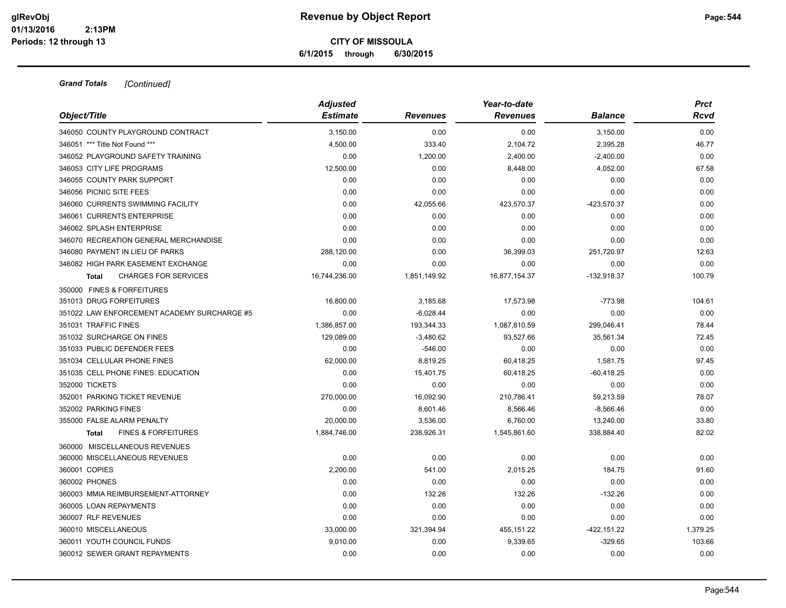**6/1/2015 through 6/30/2015**

| Object/Title                                | <b>Adjusted</b><br><b>Estimate</b> | <b>Revenues</b> | Year-to-date<br><b>Revenues</b> | <b>Balance</b> | <b>Prct</b><br>Rcvd |
|---------------------------------------------|------------------------------------|-----------------|---------------------------------|----------------|---------------------|
| 346050 COUNTY PLAYGROUND CONTRACT           | 3,150.00                           | 0.00            | 0.00                            | 3,150.00       | 0.00                |
| 346051 *** Title Not Found ***              | 4,500.00                           | 333.40          | 2,104.72                        | 2,395.28       | 46.77               |
| 346052 PLAYGROUND SAFETY TRAINING           | 0.00                               | 1,200.00        | 2,400.00                        | $-2,400.00$    | 0.00                |
| 346053 CITY LIFE PROGRAMS                   | 12,500.00                          | 0.00            | 8,448.00                        | 4,052.00       | 67.58               |
| 346055 COUNTY PARK SUPPORT                  | 0.00                               | 0.00            | 0.00                            | 0.00           | 0.00                |
| 346056 PICNIC SITE FEES                     | 0.00                               | 0.00            | 0.00                            | 0.00           | 0.00                |
| 346060 CURRENTS SWIMMING FACILITY           | 0.00                               | 42,055.66       | 423,570.37                      | -423,570.37    | 0.00                |
| 346061 CURRENTS ENTERPRISE                  | 0.00                               | 0.00            | 0.00                            | 0.00           | 0.00                |
| 346062 SPLASH ENTERPRISE                    | 0.00                               | 0.00            | 0.00                            | 0.00           | 0.00                |
| 346070 RECREATION GENERAL MERCHANDISE       | 0.00                               | 0.00            | 0.00                            | 0.00           | 0.00                |
| 346080 PAYMENT IN LIEU OF PARKS             | 288,120.00                         | 0.00            | 36,399.03                       | 251,720.97     | 12.63               |
| 346082 HIGH PARK EASEMENT EXCHANGE          | 0.00                               | 0.00            | 0.00                            | 0.00           | 0.00                |
| <b>CHARGES FOR SERVICES</b><br>Total        | 16,744,236.00                      | 1,851,149.92    | 16,877,154.37                   | $-132,918.37$  | 100.79              |
| 350000 FINES & FORFEITURES                  |                                    |                 |                                 |                |                     |
| 351013 DRUG FORFEITURES                     | 16,800.00                          | 3,185.68        | 17,573.98                       | $-773.98$      | 104.61              |
| 351022 LAW ENFORCEMENT ACADEMY SURCHARGE #5 | 0.00                               | $-6,028.44$     | 0.00                            | 0.00           | 0.00                |
| 351031 TRAFFIC FINES                        | 1,386,857.00                       | 193,344.33      | 1,087,810.59                    | 299,046.41     | 78.44               |
| 351032 SURCHARGE ON FINES                   | 129,089.00                         | $-3,480.62$     | 93,527.66                       | 35,561.34      | 72.45               |
| 351033 PUBLIC DEFENDER FEES                 | 0.00                               | $-546.00$       | 0.00                            | 0.00           | 0.00                |
| 351034 CELLULAR PHONE FINES                 | 62,000.00                          | 8,819.25        | 60,418.25                       | 1,581.75       | 97.45               |
| 351035 CELL PHONE FINES: EDUCATION          | 0.00                               | 15,401.75       | 60,418.25                       | $-60,418.25$   | 0.00                |
| 352000 TICKETS                              | 0.00                               | 0.00            | 0.00                            | 0.00           | 0.00                |
| 352001 PARKING TICKET REVENUE               | 270,000.00                         | 16,092.90       | 210,786.41                      | 59,213.59      | 78.07               |
| 352002 PARKING FINES                        | 0.00                               | 8.601.46        | 8,566.46                        | $-8.566.46$    | 0.00                |
| 355000 FALSE ALARM PENALTY                  | 20,000.00                          | 3,536.00        | 6,760.00                        | 13,240.00      | 33.80               |
| <b>FINES &amp; FORFEITURES</b><br>Total     | 1,884,746.00                       | 238,926.31      | 1,545,861.60                    | 338,884.40     | 82.02               |
| 360000 MISCELLANEOUS REVENUES               |                                    |                 |                                 |                |                     |
| 360000 MISCELLANEOUS REVENUES               | 0.00                               | 0.00            | 0.00                            | 0.00           | 0.00                |
| 360001 COPIES                               | 2,200.00                           | 541.00          | 2,015.25                        | 184.75         | 91.60               |
| 360002 PHONES                               | 0.00                               | 0.00            | 0.00                            | 0.00           | 0.00                |
| 360003 MMIA REIMBURSEMENT-ATTORNEY          | 0.00                               | 132.26          | 132.26                          | $-132.26$      | 0.00                |
| 360005 LOAN REPAYMENTS                      | 0.00                               | 0.00            | 0.00                            | 0.00           | 0.00                |
| 360007 RLF REVENUES                         | 0.00                               | 0.00            | 0.00                            | 0.00           | 0.00                |
| 360010 MISCELLANEOUS                        | 33,000.00                          | 321,394.94      | 455, 151.22                     | $-422, 151.22$ | 1,379.25            |
| 360011 YOUTH COUNCIL FUNDS                  | 9,010.00                           | 0.00            | 9,339.65                        | $-329.65$      | 103.66              |
| 360012 SEWER GRANT REPAYMENTS               | 0.00                               | 0.00            | 0.00                            | 0.00           | 0.00                |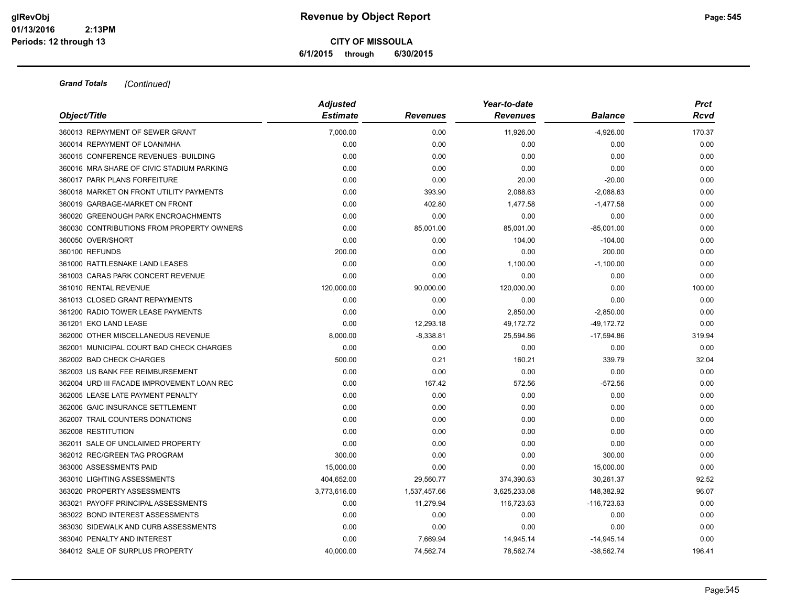**6/1/2015 through 6/30/2015**

|                                            | <b>Adjusted</b> | Year-to-date    |                 |                |        |  |
|--------------------------------------------|-----------------|-----------------|-----------------|----------------|--------|--|
| Object/Title                               | <b>Estimate</b> | <b>Revenues</b> | <b>Revenues</b> | <b>Balance</b> | Rcvd   |  |
| 360013 REPAYMENT OF SEWER GRANT            | 7,000.00        | 0.00            | 11,926.00       | $-4,926.00$    | 170.37 |  |
| 360014 REPAYMENT OF LOAN/MHA               | 0.00            | 0.00            | 0.00            | 0.00           | 0.00   |  |
| 360015 CONFERENCE REVENUES - BUILDING      | 0.00            | 0.00            | 0.00            | 0.00           | 0.00   |  |
| 360016 MRA SHARE OF CIVIC STADIUM PARKING  | 0.00            | 0.00            | 0.00            | 0.00           | 0.00   |  |
| 360017 PARK PLANS FORFEITURE               | 0.00            | 0.00            | 20.00           | $-20.00$       | 0.00   |  |
| 360018 MARKET ON FRONT UTILITY PAYMENTS    | 0.00            | 393.90          | 2,088.63        | $-2,088.63$    | 0.00   |  |
| 360019 GARBAGE-MARKET ON FRONT             | 0.00            | 402.80          | 1,477.58        | $-1,477.58$    | 0.00   |  |
| 360020 GREENOUGH PARK ENCROACHMENTS        | 0.00            | 0.00            | 0.00            | 0.00           | 0.00   |  |
| 360030 CONTRIBUTIONS FROM PROPERTY OWNERS  | 0.00            | 85,001.00       | 85,001.00       | $-85,001.00$   | 0.00   |  |
| 360050 OVER/SHORT                          | 0.00            | 0.00            | 104.00          | $-104.00$      | 0.00   |  |
| 360100 REFUNDS                             | 200.00          | 0.00            | 0.00            | 200.00         | 0.00   |  |
| 361000 RATTLESNAKE LAND LEASES             | 0.00            | 0.00            | 1,100.00        | $-1,100.00$    | 0.00   |  |
| 361003 CARAS PARK CONCERT REVENUE          | 0.00            | 0.00            | 0.00            | 0.00           | 0.00   |  |
| 361010 RENTAL REVENUE                      | 120,000.00      | 90,000.00       | 120,000.00      | 0.00           | 100.00 |  |
| 361013 CLOSED GRANT REPAYMENTS             | 0.00            | 0.00            | 0.00            | 0.00           | 0.00   |  |
| 361200 RADIO TOWER LEASE PAYMENTS          | 0.00            | 0.00            | 2,850.00        | $-2,850.00$    | 0.00   |  |
| 361201 EKO LAND LEASE                      | 0.00            | 12,293.18       | 49,172.72       | $-49,172.72$   | 0.00   |  |
| 362000 OTHER MISCELLANEOUS REVENUE         | 8,000.00        | $-8,338.81$     | 25,594.86       | $-17,594.86$   | 319.94 |  |
| 362001 MUNICIPAL COURT BAD CHECK CHARGES   | 0.00            | 0.00            | 0.00            | 0.00           | 0.00   |  |
| 362002 BAD CHECK CHARGES                   | 500.00          | 0.21            | 160.21          | 339.79         | 32.04  |  |
| 362003 US BANK FEE REIMBURSEMENT           | 0.00            | 0.00            | 0.00            | 0.00           | 0.00   |  |
| 362004 URD III FACADE IMPROVEMENT LOAN REC | 0.00            | 167.42          | 572.56          | $-572.56$      | 0.00   |  |
| 362005 LEASE LATE PAYMENT PENALTY          | 0.00            | 0.00            | 0.00            | 0.00           | 0.00   |  |
| 362006 GAIC INSURANCE SETTLEMENT           | 0.00            | 0.00            | 0.00            | 0.00           | 0.00   |  |
| 362007 TRAIL COUNTERS DONATIONS            | 0.00            | 0.00            | 0.00            | 0.00           | 0.00   |  |
| 362008 RESTITUTION                         | 0.00            | 0.00            | 0.00            | 0.00           | 0.00   |  |
| 362011 SALE OF UNCLAIMED PROPERTY          | 0.00            | 0.00            | 0.00            | 0.00           | 0.00   |  |
| 362012 REC/GREEN TAG PROGRAM               | 300.00          | 0.00            | 0.00            | 300.00         | 0.00   |  |
| 363000 ASSESSMENTS PAID                    | 15,000.00       | 0.00            | 0.00            | 15,000.00      | 0.00   |  |
| 363010 LIGHTING ASSESSMENTS                | 404,652.00      | 29,560.77       | 374,390.63      | 30,261.37      | 92.52  |  |
| 363020 PROPERTY ASSESSMENTS                | 3,773,616.00    | 1,537,457.66    | 3,625,233.08    | 148,382.92     | 96.07  |  |
| 363021 PAYOFF PRINCIPAL ASSESSMENTS        | 0.00            | 11,279.94       | 116,723.63      | $-116,723.63$  | 0.00   |  |
| 363022 BOND INTEREST ASSESSMENTS           | 0.00            | 0.00            | 0.00            | 0.00           | 0.00   |  |
| 363030 SIDEWALK AND CURB ASSESSMENTS       | 0.00            | 0.00            | 0.00            | 0.00           | 0.00   |  |
| 363040 PENALTY AND INTEREST                | 0.00            | 7,669.94        | 14,945.14       | $-14,945.14$   | 0.00   |  |
| 364012 SALE OF SURPLUS PROPERTY            | 40,000.00       | 74,562.74       | 78,562.74       | $-38,562.74$   | 196.41 |  |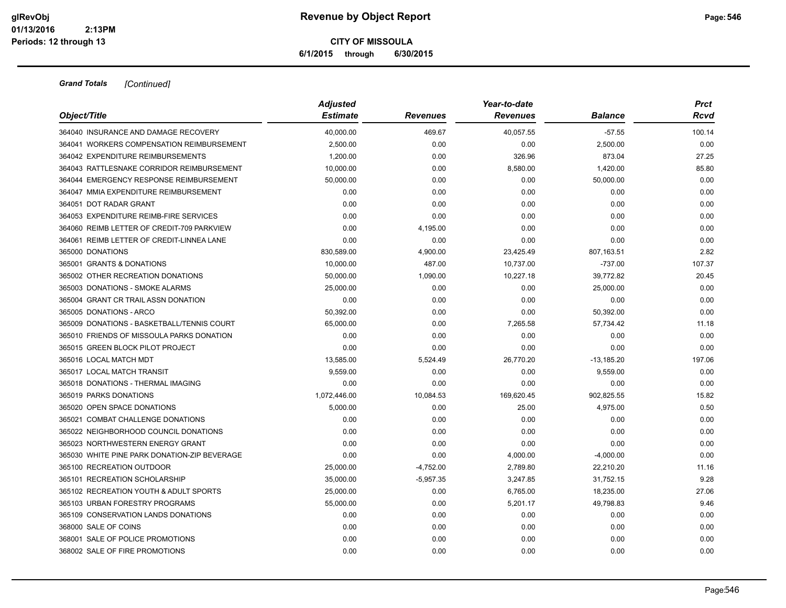**6/1/2015 through 6/30/2015**

|                                              | <b>Adjusted</b> |             | Year-to-date    |                |        |  |  |
|----------------------------------------------|-----------------|-------------|-----------------|----------------|--------|--|--|
| Object/Title                                 | <b>Estimate</b> | Revenues    | <b>Revenues</b> | <b>Balance</b> | Rcvd   |  |  |
| 364040 INSURANCE AND DAMAGE RECOVERY         | 40,000.00       | 469.67      | 40,057.55       | $-57.55$       | 100.14 |  |  |
| 364041 WORKERS COMPENSATION REIMBURSEMENT    | 2,500.00        | 0.00        | 0.00            | 2,500.00       | 0.00   |  |  |
| 364042 EXPENDITURE REIMBURSEMENTS            | 1,200.00        | 0.00        | 326.96          | 873.04         | 27.25  |  |  |
| 364043 RATTLESNAKE CORRIDOR REIMBURSEMENT    | 10,000.00       | 0.00        | 8,580.00        | 1,420.00       | 85.80  |  |  |
| 364044 EMERGENCY RESPONSE REIMBURSEMENT      | 50,000.00       | 0.00        | 0.00            | 50,000.00      | 0.00   |  |  |
| 364047 MMIA EXPENDITURE REIMBURSEMENT        | 0.00            | 0.00        | 0.00            | 0.00           | 0.00   |  |  |
| 364051 DOT RADAR GRANT                       | 0.00            | 0.00        | 0.00            | 0.00           | 0.00   |  |  |
| 364053 EXPENDITURE REIMB-FIRE SERVICES       | 0.00            | 0.00        | 0.00            | 0.00           | 0.00   |  |  |
| 364060 REIMB LETTER OF CREDIT-709 PARKVIEW   | 0.00            | 4,195.00    | 0.00            | 0.00           | 0.00   |  |  |
| 364061 REIMB LETTER OF CREDIT-LINNEA LANE    | 0.00            | 0.00        | 0.00            | 0.00           | 0.00   |  |  |
| 365000 DONATIONS                             | 830,589.00      | 4,900.00    | 23,425.49       | 807,163.51     | 2.82   |  |  |
| 365001 GRANTS & DONATIONS                    | 10,000.00       | 487.00      | 10,737.00       | $-737.00$      | 107.37 |  |  |
| 365002 OTHER RECREATION DONATIONS            | 50,000.00       | 1,090.00    | 10,227.18       | 39,772.82      | 20.45  |  |  |
| 365003 DONATIONS - SMOKE ALARMS              | 25,000.00       | 0.00        | 0.00            | 25,000.00      | 0.00   |  |  |
| 365004 GRANT CR TRAIL ASSN DONATION          | 0.00            | 0.00        | 0.00            | 0.00           | 0.00   |  |  |
| 365005 DONATIONS - ARCO                      | 50,392.00       | 0.00        | 0.00            | 50,392.00      | 0.00   |  |  |
| 365009 DONATIONS - BASKETBALL/TENNIS COURT   | 65,000.00       | 0.00        | 7,265.58        | 57,734.42      | 11.18  |  |  |
| 365010 FRIENDS OF MISSOULA PARKS DONATION    | 0.00            | 0.00        | 0.00            | 0.00           | 0.00   |  |  |
| 365015 GREEN BLOCK PILOT PROJECT             | 0.00            | 0.00        | 0.00            | 0.00           | 0.00   |  |  |
| 365016 LOCAL MATCH MDT                       | 13,585.00       | 5,524.49    | 26,770.20       | $-13,185.20$   | 197.06 |  |  |
| 365017 LOCAL MATCH TRANSIT                   | 9,559.00        | 0.00        | 0.00            | 9,559.00       | 0.00   |  |  |
| 365018 DONATIONS - THERMAL IMAGING           | 0.00            | 0.00        | 0.00            | 0.00           | 0.00   |  |  |
| 365019 PARKS DONATIONS                       | 1,072,446.00    | 10,084.53   | 169,620.45      | 902,825.55     | 15.82  |  |  |
| 365020 OPEN SPACE DONATIONS                  | 5,000.00        | 0.00        | 25.00           | 4,975.00       | 0.50   |  |  |
| 365021 COMBAT CHALLENGE DONATIONS            | 0.00            | 0.00        | 0.00            | 0.00           | 0.00   |  |  |
| 365022 NEIGHBORHOOD COUNCIL DONATIONS        | 0.00            | 0.00        | 0.00            | 0.00           | 0.00   |  |  |
| 365023 NORTHWESTERN ENERGY GRANT             | 0.00            | 0.00        | 0.00            | 0.00           | 0.00   |  |  |
| 365030 WHITE PINE PARK DONATION-ZIP BEVERAGE | 0.00            | 0.00        | 4,000.00        | $-4,000.00$    | 0.00   |  |  |
| 365100 RECREATION OUTDOOR                    | 25,000.00       | $-4,752.00$ | 2,789.80        | 22,210.20      | 11.16  |  |  |
| 365101 RECREATION SCHOLARSHIP                | 35,000.00       | $-5,957.35$ | 3,247.85        | 31,752.15      | 9.28   |  |  |
| 365102 RECREATION YOUTH & ADULT SPORTS       | 25,000.00       | 0.00        | 6,765.00        | 18,235.00      | 27.06  |  |  |
| 365103 URBAN FORESTRY PROGRAMS               | 55,000.00       | 0.00        | 5,201.17        | 49,798.83      | 9.46   |  |  |
| 365109 CONSERVATION LANDS DONATIONS          | 0.00            | 0.00        | 0.00            | 0.00           | 0.00   |  |  |
| 368000 SALE OF COINS                         | 0.00            | 0.00        | 0.00            | 0.00           | 0.00   |  |  |
| 368001 SALE OF POLICE PROMOTIONS             | 0.00            | 0.00        | 0.00            | 0.00           | 0.00   |  |  |
| 368002 SALE OF FIRE PROMOTIONS               | 0.00            | 0.00        | 0.00            | 0.00           | 0.00   |  |  |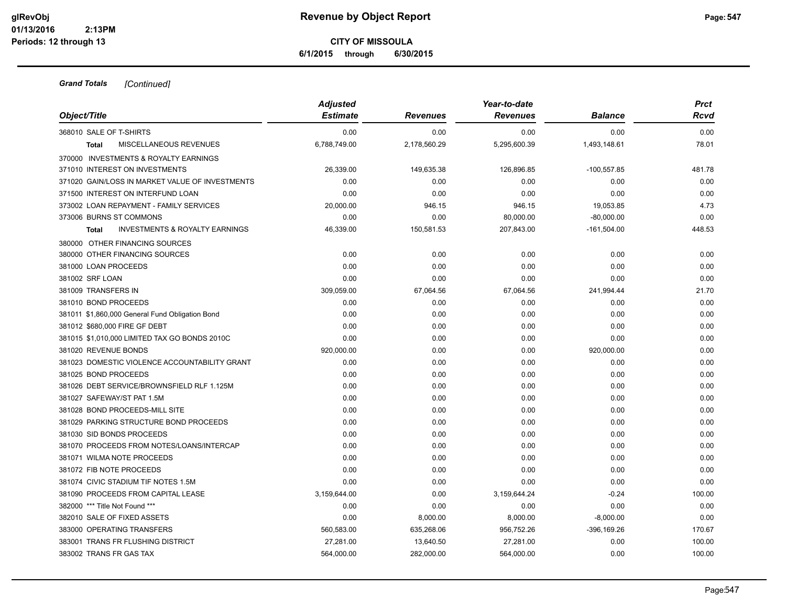**6/1/2015 through 6/30/2015**

| Object/Title                                              | <b>Adjusted</b><br><b>Estimate</b> | <b>Revenues</b> | Year-to-date<br><b>Revenues</b> | <b>Balance</b> | <b>Prct</b><br>Rcvd |
|-----------------------------------------------------------|------------------------------------|-----------------|---------------------------------|----------------|---------------------|
| 368010 SALE OF T-SHIRTS                                   | 0.00                               | 0.00            | 0.00                            | 0.00           | 0.00                |
| MISCELLANEOUS REVENUES<br><b>Total</b>                    | 6,788,749.00                       | 2,178,560.29    | 5,295,600.39                    | 1,493,148.61   | 78.01               |
|                                                           |                                    |                 |                                 |                |                     |
| 370000 INVESTMENTS & ROYALTY EARNINGS                     |                                    |                 |                                 |                |                     |
| 371010 INTEREST ON INVESTMENTS                            | 26,339.00                          | 149,635.38      | 126,896.85                      | $-100,557.85$  | 481.78              |
| 371020 GAIN/LOSS IN MARKET VALUE OF INVESTMENTS           | 0.00                               | 0.00            | 0.00                            | 0.00           | 0.00                |
| 371500 INTEREST ON INTERFUND LOAN                         | 0.00                               | 0.00            | 0.00                            | 0.00           | 0.00                |
| 373002 LOAN REPAYMENT - FAMILY SERVICES                   | 20,000.00                          | 946.15          | 946.15                          | 19,053.85      | 4.73                |
| 373006 BURNS ST COMMONS                                   | 0.00                               | 0.00            | 80,000.00                       | $-80,000.00$   | 0.00                |
| <b>INVESTMENTS &amp; ROYALTY EARNINGS</b><br><b>Total</b> | 46,339.00                          | 150,581.53      | 207,843.00                      | $-161,504.00$  | 448.53              |
| 380000 OTHER FINANCING SOURCES                            |                                    |                 |                                 |                |                     |
| 380000 OTHER FINANCING SOURCES                            | 0.00                               | 0.00            | 0.00                            | 0.00           | 0.00                |
| 381000 LOAN PROCEEDS                                      | 0.00                               | 0.00            | 0.00                            | 0.00           | 0.00                |
| 381002 SRF LOAN                                           | 0.00                               | 0.00            | 0.00                            | 0.00           | 0.00                |
| 381009 TRANSFERS IN                                       | 309,059.00                         | 67,064.56       | 67,064.56                       | 241,994.44     | 21.70               |
| 381010 BOND PROCEEDS                                      | 0.00                               | 0.00            | 0.00                            | 0.00           | 0.00                |
| 381011 \$1,860,000 General Fund Obligation Bond           | 0.00                               | 0.00            | 0.00                            | 0.00           | 0.00                |
| 381012 \$680,000 FIRE GF DEBT                             | 0.00                               | 0.00            | 0.00                            | 0.00           | 0.00                |
| 381015 \$1,010,000 LIMITED TAX GO BONDS 2010C             | 0.00                               | 0.00            | 0.00                            | 0.00           | 0.00                |
| 381020 REVENUE BONDS                                      | 920,000.00                         | 0.00            | 0.00                            | 920,000.00     | 0.00                |
| 381023 DOMESTIC VIOLENCE ACCOUNTABILITY GRANT             | 0.00                               | 0.00            | 0.00                            | 0.00           | 0.00                |
| 381025 BOND PROCEEDS                                      | 0.00                               | 0.00            | 0.00                            | 0.00           | 0.00                |
| 381026 DEBT SERVICE/BROWNSFIELD RLF 1.125M                | 0.00                               | 0.00            | 0.00                            | 0.00           | 0.00                |
| 381027 SAFEWAY/ST PAT 1.5M                                | 0.00                               | 0.00            | 0.00                            | 0.00           | 0.00                |
| 381028 BOND PROCEEDS-MILL SITE                            | 0.00                               | 0.00            | 0.00                            | 0.00           | 0.00                |
| 381029 PARKING STRUCTURE BOND PROCEEDS                    | 0.00                               | 0.00            | 0.00                            | 0.00           | 0.00                |
| 381030 SID BONDS PROCEEDS                                 | 0.00                               | 0.00            | 0.00                            | 0.00           | 0.00                |
| 381070 PROCEEDS FROM NOTES/LOANS/INTERCAP                 | 0.00                               | 0.00            | 0.00                            | 0.00           | 0.00                |
| 381071 WILMA NOTE PROCEEDS                                | 0.00                               | 0.00            | 0.00                            | 0.00           | 0.00                |
| 381072 FIB NOTE PROCEEDS                                  | 0.00                               | 0.00            | 0.00                            | 0.00           | 0.00                |
| 381074 CIVIC STADIUM TIF NOTES 1.5M                       | 0.00                               | 0.00            | 0.00                            | 0.00           | 0.00                |
| 381090 PROCEEDS FROM CAPITAL LEASE                        | 3,159,644.00                       | 0.00            | 3,159,644.24                    | $-0.24$        | 100.00              |
| 382000 *** Title Not Found ***                            | 0.00                               | 0.00            | 0.00                            | 0.00           | 0.00                |
| 382010 SALE OF FIXED ASSETS                               | 0.00                               | 8,000.00        | 8,000.00                        | $-8,000.00$    | 0.00                |
| 383000 OPERATING TRANSFERS                                | 560,583.00                         | 635,268.06      | 956,752.26                      | $-396, 169.26$ | 170.67              |
| 383001 TRANS FR FLUSHING DISTRICT                         | 27,281.00                          | 13,640.50       | 27,281.00                       | 0.00           | 100.00              |
| 383002 TRANS FR GAS TAX                                   | 564,000.00                         | 282,000.00      | 564,000.00                      | 0.00           | 100.00              |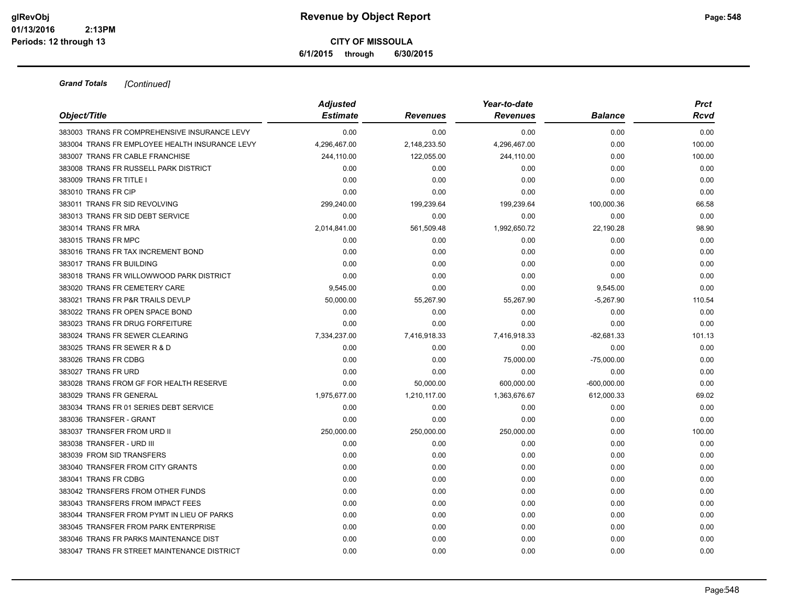**6/1/2015 through 6/30/2015**

| Object/Title                                   | <b>Adjusted</b><br><b>Estimate</b> | <b>Revenues</b> | Year-to-date<br><b>Revenues</b> | <b>Balance</b> | <b>Prct</b><br>Rcvd |
|------------------------------------------------|------------------------------------|-----------------|---------------------------------|----------------|---------------------|
| 383003 TRANS FR COMPREHENSIVE INSURANCE LEVY   | 0.00                               | 0.00            | 0.00                            | 0.00           | 0.00                |
| 383004 TRANS FR EMPLOYEE HEALTH INSURANCE LEVY | 4,296,467.00                       | 2,148,233.50    | 4,296,467.00                    | 0.00           | 100.00              |
| 383007 TRANS FR CABLE FRANCHISE                | 244,110.00                         | 122,055.00      | 244,110.00                      | 0.00           | 100.00              |
| 383008 TRANS FR RUSSELL PARK DISTRICT          | 0.00                               | 0.00            | 0.00                            | 0.00           | 0.00                |
| 383009 TRANS FR TITLE I                        | 0.00                               | 0.00            | 0.00                            | 0.00           | 0.00                |
| 383010 TRANS FR CIP                            | 0.00                               | 0.00            | 0.00                            | 0.00           | 0.00                |
| 383011 TRANS FR SID REVOLVING                  | 299,240.00                         | 199,239.64      | 199,239.64                      | 100,000.36     | 66.58               |
| 383013 TRANS FR SID DEBT SERVICE               | 0.00                               | 0.00            | 0.00                            | 0.00           | 0.00                |
| 383014 TRANS FR MRA                            | 2,014,841.00                       | 561,509.48      | 1,992,650.72                    | 22,190.28      | 98.90               |
| 383015 TRANS FR MPC                            | 0.00                               | 0.00            | 0.00                            | 0.00           | 0.00                |
| 383016 TRANS FR TAX INCREMENT BOND             | 0.00                               | 0.00            | 0.00                            | 0.00           | 0.00                |
| 383017 TRANS FR BUILDING                       | 0.00                               | 0.00            | 0.00                            | 0.00           | 0.00                |
| 383018 TRANS FR WILLOWWOOD PARK DISTRICT       | 0.00                               | 0.00            | 0.00                            | 0.00           | 0.00                |
| 383020 TRANS FR CEMETERY CARE                  | 9,545.00                           | 0.00            | 0.00                            | 9,545.00       | 0.00                |
| 383021 TRANS FR P&R TRAILS DEVLP               | 50,000.00                          | 55,267.90       | 55,267.90                       | $-5,267.90$    | 110.54              |
| 383022 TRANS FR OPEN SPACE BOND                | 0.00                               | 0.00            | 0.00                            | 0.00           | 0.00                |
| 383023 TRANS FR DRUG FORFEITURE                | 0.00                               | 0.00            | 0.00                            | 0.00           | 0.00                |
| 383024 TRANS FR SEWER CLEARING                 | 7,334,237.00                       | 7,416,918.33    | 7,416,918.33                    | $-82,681.33$   | 101.13              |
| 383025 TRANS FR SEWER R & D                    | 0.00                               | 0.00            | 0.00                            | 0.00           | 0.00                |
| 383026 TRANS FR CDBG                           | 0.00                               | 0.00            | 75,000.00                       | $-75,000.00$   | 0.00                |
| 383027 TRANS FR URD                            | 0.00                               | 0.00            | 0.00                            | 0.00           | 0.00                |
| 383028 TRANS FROM GF FOR HEALTH RESERVE        | 0.00                               | 50,000.00       | 600,000.00                      | $-600,000.00$  | 0.00                |
| 383029 TRANS FR GENERAL                        | 1,975,677.00                       | 1,210,117.00    | 1,363,676.67                    | 612,000.33     | 69.02               |
| 383034 TRANS FR 01 SERIES DEBT SERVICE         | 0.00                               | 0.00            | 0.00                            | 0.00           | 0.00                |
| 383036 TRANSFER - GRANT                        | 0.00                               | 0.00            | 0.00                            | 0.00           | 0.00                |
| 383037 TRANSFER FROM URD II                    | 250,000.00                         | 250,000.00      | 250,000.00                      | 0.00           | 100.00              |
| 383038 TRANSFER - URD III                      | 0.00                               | 0.00            | 0.00                            | 0.00           | 0.00                |
| 383039 FROM SID TRANSFERS                      | 0.00                               | 0.00            | 0.00                            | 0.00           | 0.00                |
| 383040 TRANSFER FROM CITY GRANTS               | 0.00                               | 0.00            | 0.00                            | 0.00           | 0.00                |
| 383041 TRANS FR CDBG                           | 0.00                               | 0.00            | 0.00                            | 0.00           | 0.00                |
| 383042 TRANSFERS FROM OTHER FUNDS              | 0.00                               | 0.00            | 0.00                            | 0.00           | 0.00                |
| 383043 TRANSFERS FROM IMPACT FEES              | 0.00                               | 0.00            | 0.00                            | 0.00           | 0.00                |
| 383044 TRANSFER FROM PYMT IN LIEU OF PARKS     | 0.00                               | 0.00            | 0.00                            | 0.00           | 0.00                |
| 383045 TRANSFER FROM PARK ENTERPRISE           | 0.00                               | 0.00            | 0.00                            | 0.00           | 0.00                |
| 383046 TRANS FR PARKS MAINTENANCE DIST         | 0.00                               | 0.00            | 0.00                            | 0.00           | 0.00                |
| 383047 TRANS FR STREET MAINTENANCE DISTRICT    | 0.00                               | 0.00            | 0.00                            | 0.00           | 0.00                |